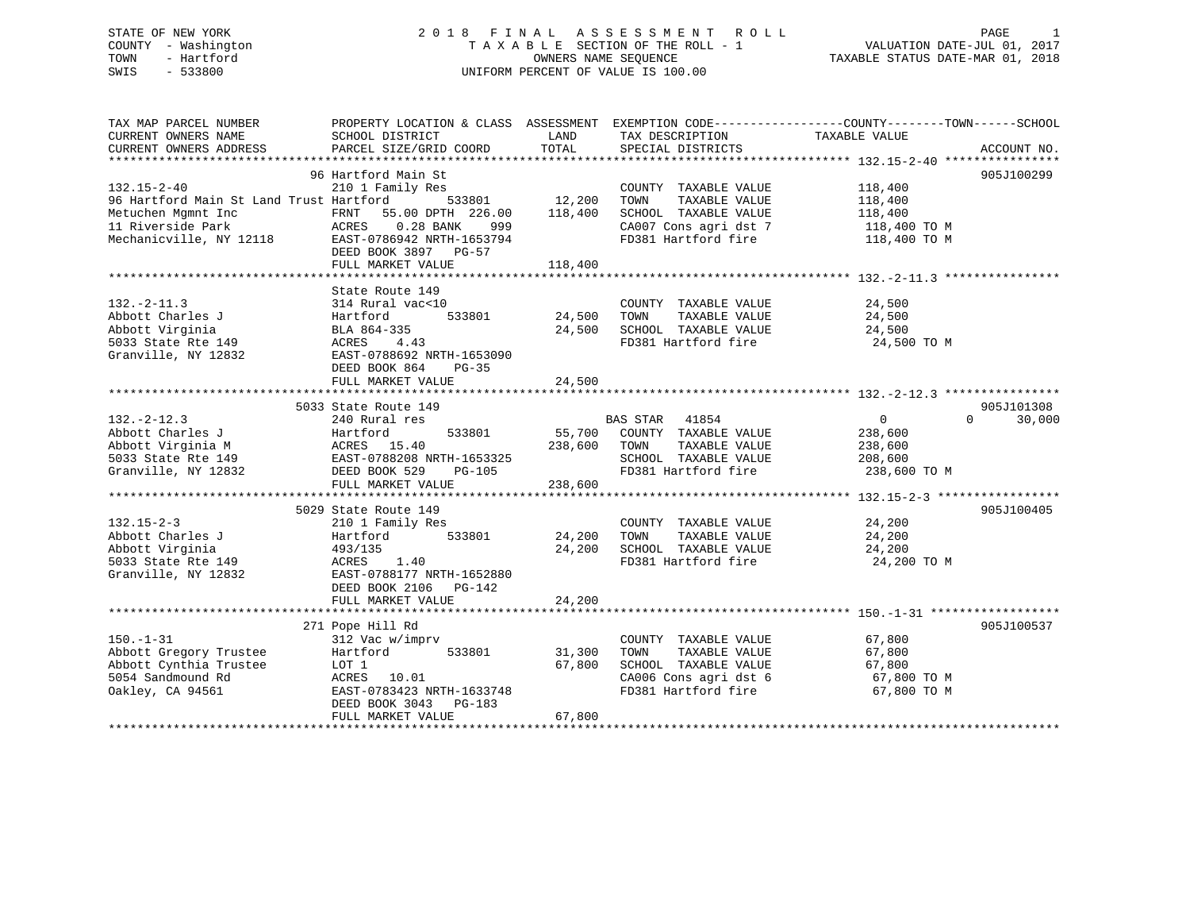## STATE OF NEW YORK 2 0 1 8 F I N A L A S S E S S M E N T R O L L PAGE 1 COUNTY - Washington T A X A B L E SECTION OF THE ROLL - 1 VALUATION DATE-JUL 01, 2017 TOWN - Hartford **TAXABLE STATUS DATE-MAR 01, 2018** OWNERS NAME SEQUENCE TAXABLE STATUS DATE-MAR 01, 2018 SWIS - 533800 UNIFORM PERCENT OF VALUE IS 100.00

| TAX MAP PARCEL NUMBER<br>CURRENT OWNERS NAME                                                                                                                                                                                                                                                          | PROPERTY LOCATION & CLASS ASSESSMENT EXEMPTION CODE----------------COUNTY-------TOWN------SCHOOL<br>SCHOOL DISTRICT                                       | LAND                       | TAX DESCRIPTION                                                                                                                                | TAXABLE VALUE                                            |                                  |
|-------------------------------------------------------------------------------------------------------------------------------------------------------------------------------------------------------------------------------------------------------------------------------------------------------|-----------------------------------------------------------------------------------------------------------------------------------------------------------|----------------------------|------------------------------------------------------------------------------------------------------------------------------------------------|----------------------------------------------------------|----------------------------------|
| CURRENT OWNERS ADDRESS                                                                                                                                                                                                                                                                                | PARCEL SIZE/GRID COORD                                                                                                                                    | TOTAL                      | SPECIAL DISTRICTS                                                                                                                              |                                                          | ACCOUNT NO.                      |
|                                                                                                                                                                                                                                                                                                       | 96 Hartford Main St                                                                                                                                       |                            |                                                                                                                                                |                                                          | 905J100299                       |
| $132.15 - 2 - 40$<br>96 Hartford Main St Land Trust Hartford                                                                                                                                                                                                                                          | 210 1 Family Res<br>FRNT 55.00 DPTH 226.00<br>0.28 BANK 999<br>EAST-0786942 NRTH-1653794<br>DEED BOOK 3897 PG-57                                          |                            | COUNTY TAXABLE VALUE 118,400<br>TAXABLE VALUE<br>TOWN<br>SCHOOL TAXABLE VALUE<br>CA007 Cons agri dst 7 118,400 TO M<br>FD381 Hartford fire     | 118,400<br>118,400<br>118,400 TO M                       |                                  |
|                                                                                                                                                                                                                                                                                                       | FULL MARKET VALUE                                                                                                                                         | 118,400                    |                                                                                                                                                |                                                          |                                  |
|                                                                                                                                                                                                                                                                                                       | State Route 149                                                                                                                                           |                            |                                                                                                                                                |                                                          |                                  |
| $132. -2 - 11.3$<br>Abbott Charles J<br>Abbott Virginia<br>5033 State Rte 149<br>ACRES 4.4<br>Granville, NY 12832                                                                                                                                                                                     | 314 Rural vac<10<br>533801 24,500<br>4.43<br>EAST-0788692 NRTH-1653090                                                                                    |                            | COUNTY TAXABLE VALUE<br>TOWN<br>TAXABLE VALUE<br>24,500 SCHOOL TAXABLE VALUE 24,500 PD381 Hartford fire 24,500 TO M                            | 24,500<br>24,500                                         |                                  |
|                                                                                                                                                                                                                                                                                                       | DEED BOOK 864<br>PG-35<br>FULL MARKET VALUE                                                                                                               | 24,500                     |                                                                                                                                                |                                                          |                                  |
|                                                                                                                                                                                                                                                                                                       |                                                                                                                                                           |                            |                                                                                                                                                |                                                          |                                  |
| $132. - 2 - 12.3$<br>Abbott Charles J<br>Abbott Virginia M<br>55,700<br>55,700<br>55,700<br>55,700<br>55,700<br>55,700<br>55,700<br>55,700<br>55,700<br>238,600<br>56,800<br>56,800<br>56,800<br>56,800<br>56,800<br>56,800<br>56,800<br>56,800<br>56,800<br>56,800<br>56,800<br>56,800<br>56,800<br> | 5033 State Route 149<br>240 Rural res<br>533801<br>FULL MARKET VALUE                                                                                      | 238,600                    | 55,700 COUNTY TAXABLE VALUE<br>238,600 TOWN<br>TAXABLE VALUE<br>SCHOOL TAXABLE VALUE 208,600<br>FD381 Hartford fire 238,600 TO M               | $\overline{0}$<br>238,600<br>238,600                     | 905J101308<br>30,000<br>$\Omega$ |
|                                                                                                                                                                                                                                                                                                       | 5029 State Route 149                                                                                                                                      |                            |                                                                                                                                                |                                                          | 905J100405                       |
| $132.15 - 2 - 3$<br>Abbott Charles J<br>Abbott Virginia<br>5033 State Rte 149<br>Granville, NY 12832                                                                                                                                                                                                  | 210 1 Family Res<br>533801<br>Hartford<br>493/135<br>ACRES<br>EAST-078<br>ACRES 1.40<br>EAST-0788177 NRTH-1652880<br>DEED BOOK 2106 PG-142                | 24,200 TOWN<br>24,200      | COUNTY TAXABLE VALUE<br>TAXABLE VALUE<br>SCHOOL TAXABLE VALUE<br>FD381 Hartford fire                                                           | 24,200<br>24,200<br>24,200<br>24,200 TO M                |                                  |
|                                                                                                                                                                                                                                                                                                       | FULL MARKET VALUE                                                                                                                                         | 24,200                     |                                                                                                                                                |                                                          |                                  |
|                                                                                                                                                                                                                                                                                                       |                                                                                                                                                           |                            |                                                                                                                                                |                                                          |                                  |
| $150. - 1 - 31$<br>Abbott Gregory Trustee<br>Abbott Cynthia Trustee<br>5054 Sandmound Rd<br>Oakley, CA 94561                                                                                                                                                                                          | 271 Pope Hill Rd<br>312 Vac w/imprv<br>Hartford 533801<br>LOT 1<br>ACRES 10.01<br>EAST-0783423 NRTH-1633748<br>DEED BOOK 3043 PG-183<br>FULL MARKET VALUE | 31,300<br>67,800<br>67,800 | COUNTY TAXABLE VALUE<br>TAXABLE VALUE<br>TOWN<br>SCHOOL TAXABLE VALUE<br>CA006 Cons agri dst 6<br>CA006 Cons agri dst 6<br>FD381 Hartford fire | 67,800<br>67,800<br>67,800<br>67,800 TO M<br>67,800 TO M | 905J100537                       |
|                                                                                                                                                                                                                                                                                                       |                                                                                                                                                           |                            |                                                                                                                                                |                                                          |                                  |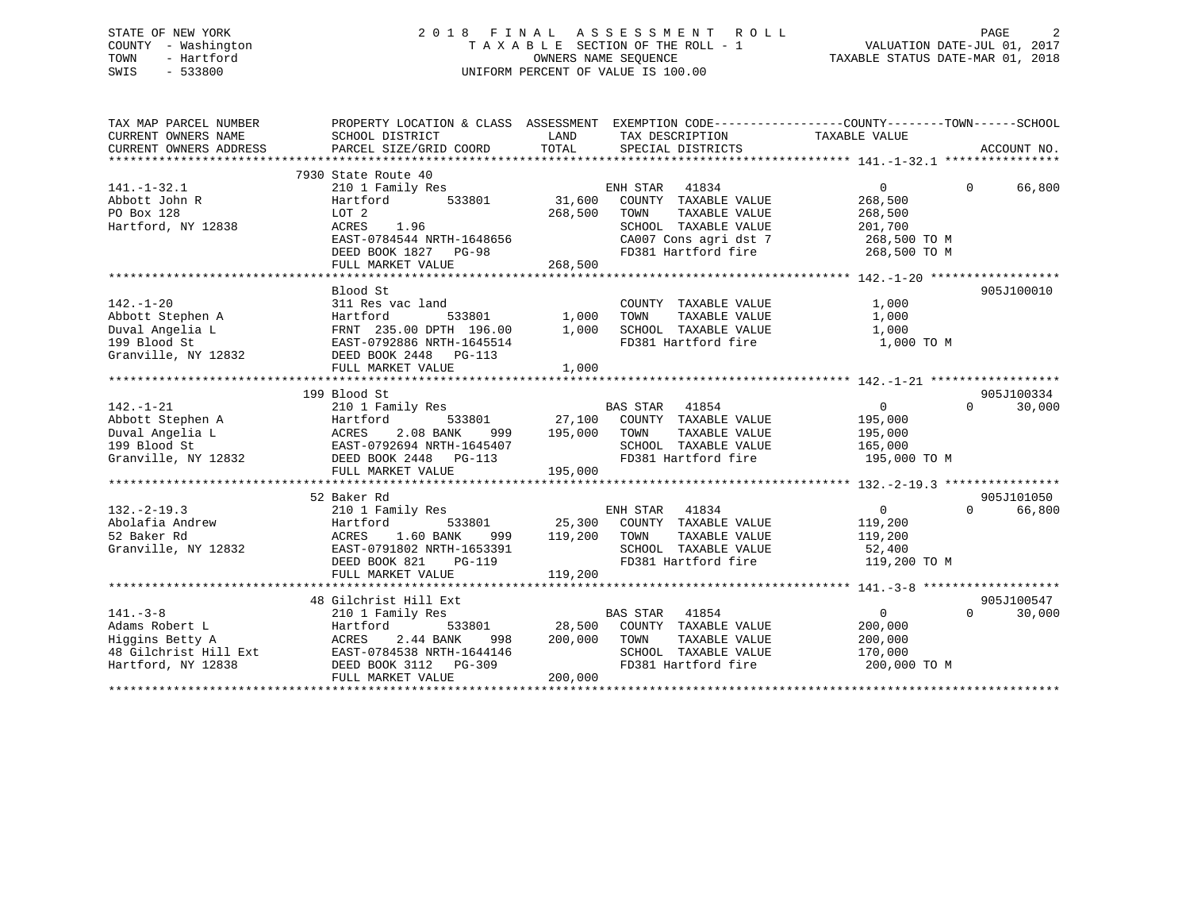## STATE OF NEW YORK 2 0 1 8 F I N A L A S S E S S M E N T R O L L PAGE 2 COUNTY - Washington T A X A B L E SECTION OF THE ROLL - 1 VALUATION DATE-JUL 01, 2017 TOWN - Hartford **TAXABLE STATUS DATE-MAR 01, 2018** OWNERS NAME SEQUENCE TAXABLE STATUS DATE-MAR 01, 2018 SWIS - 533800 UNIFORM PERCENT OF VALUE IS 100.00

| TAX MAP PARCEL NUMBER<br>CURRENT OWNERS NAME<br>CURRENT OWNERS ADDRESS                             | PROPERTY LOCATION & CLASS ASSESSMENT EXEMPTION CODE---------------COUNTY-------TOWN-----SCHOOL<br>SCHOOL DISTRICT<br>PARCEL SIZE/GRID COORD                             | LAND<br>TOTAL                | TAX DESCRIPTION TAXABLE VALUE<br>SPECIAL DISTRICTS                                                                                      |                                                                           | ACCOUNT NO.                      |
|----------------------------------------------------------------------------------------------------|-------------------------------------------------------------------------------------------------------------------------------------------------------------------------|------------------------------|-----------------------------------------------------------------------------------------------------------------------------------------|---------------------------------------------------------------------------|----------------------------------|
| $141. - 1 - 32.1$<br>Abbott John R<br>PO Box 128<br>Hartford, NY 12838                             | 7930 State Route 40<br>210 1 Family Res<br>533801<br>Hartford<br>LOT 2<br>ACRES<br>1.96<br>EAST-0784544 NRTH-1648656<br>DEED BOOK 1827 PG-98<br>FULL MARKET VALUE       | 31,600<br>268,500<br>268,500 | ENH STAR 41834<br>COUNTY TAXABLE VALUE<br>TOWN<br>TAXABLE VALUE<br>SCHOOL TAXABLE VALUE<br>CA007 Cons agri dst 7<br>FD381 Hartford fire | $\Omega$<br>268,500<br>268,500<br>201,700<br>268,500 TO M<br>268,500 TO M | $\Omega$<br>66,800               |
| $142. - 1 - 20$<br>Abbott Stephen A<br>Duval Angelia L<br>199 Blood St<br>Granville, NY 12832      | Blood St<br>311 Res vac land<br>533801<br>Hartford<br>FRNT 235.00 DPTH 196.00<br>EAST-0792886 NRTH-1645514<br>DEED BOOK 2448<br>PG-113<br>FULL MARKET VALUE             | 1,000<br>1,000<br>1,000      | COUNTY TAXABLE VALUE<br>TOWN<br>TAXABLE VALUE<br>SCHOOL TAXABLE VALUE<br>FD381 Hartford fire                                            | 1,000<br>1,000<br>1,000<br>1,000 TO M                                     | 905J100010                       |
| $142. - 1 - 21$<br>Abbott Stephen A<br>Duval Angelia L<br>199 Blood St<br>Granville, NY 12832      | 199 Blood St<br>210 1 Family Res<br>533801<br>Hartford<br>ACRES<br>2.08 BANK<br>999<br>EAST-0792694 NRTH-1645407<br>DEED BOOK 2448 PG-113<br>FULL MARKET VALUE          | 195,000<br>195,000           | BAS STAR 41854<br>27,100 COUNTY TAXABLE VALUE<br>TOWN<br>TAXABLE VALUE<br>SCHOOL TAXABLE VALUE<br>FD381 Hartford fire                   | $\overline{0}$<br>195,000<br>195,000<br>165,000<br>195,000 TO M           | 905J100334<br>$\Omega$<br>30,000 |
| $132. - 2 - 19.3$<br>Abolafia Andrew<br>52 Baker Rd<br>Granville, NY 12832                         | 52 Baker Rd<br>210 1 Family Res<br>Hartford<br>533801<br>1.60 BANK<br>ACRES<br>999<br>EAST-0791802 NRTH-1653391<br>DEED BOOK 821<br><b>PG-119</b><br>FULL MARKET VALUE  | 25,300<br>119,200<br>119,200 | ENH STAR<br>41834<br>COUNTY TAXABLE VALUE<br>TOWN<br>TAXABLE VALUE<br>SCHOOL TAXABLE VALUE<br>FD381 Hartford fire                       | $\Omega$<br>119,200<br>119,200<br>52,400<br>119,200 TO M                  | 905J101050<br>66,800<br>$\Omega$ |
| $141. - 3 - 8$<br>Adams Robert L<br>Higgins Betty A<br>48 Gilchrist Hill Ext<br>Hartford, NY 12838 | 48 Gilchrist Hill Ext<br>210 1 Family Res<br>Hartford<br>533801<br>ACRES<br>2.44 BANK<br>998<br>EAST-0784538 NRTH-1644146<br>DEED BOOK 3112 PG-309<br>FULL MARKET VALUE | 200,000<br>200,000           | <b>BAS STAR</b><br>41854<br>28,500 COUNTY TAXABLE VALUE<br>TOWN<br>TAXABLE VALUE<br>SCHOOL TAXABLE VALUE<br>FD381 Hartford fire         | $\overline{0}$<br>200,000<br>200,000<br>170,000<br>200,000 TO M           | 905J100547<br>$\Omega$<br>30,000 |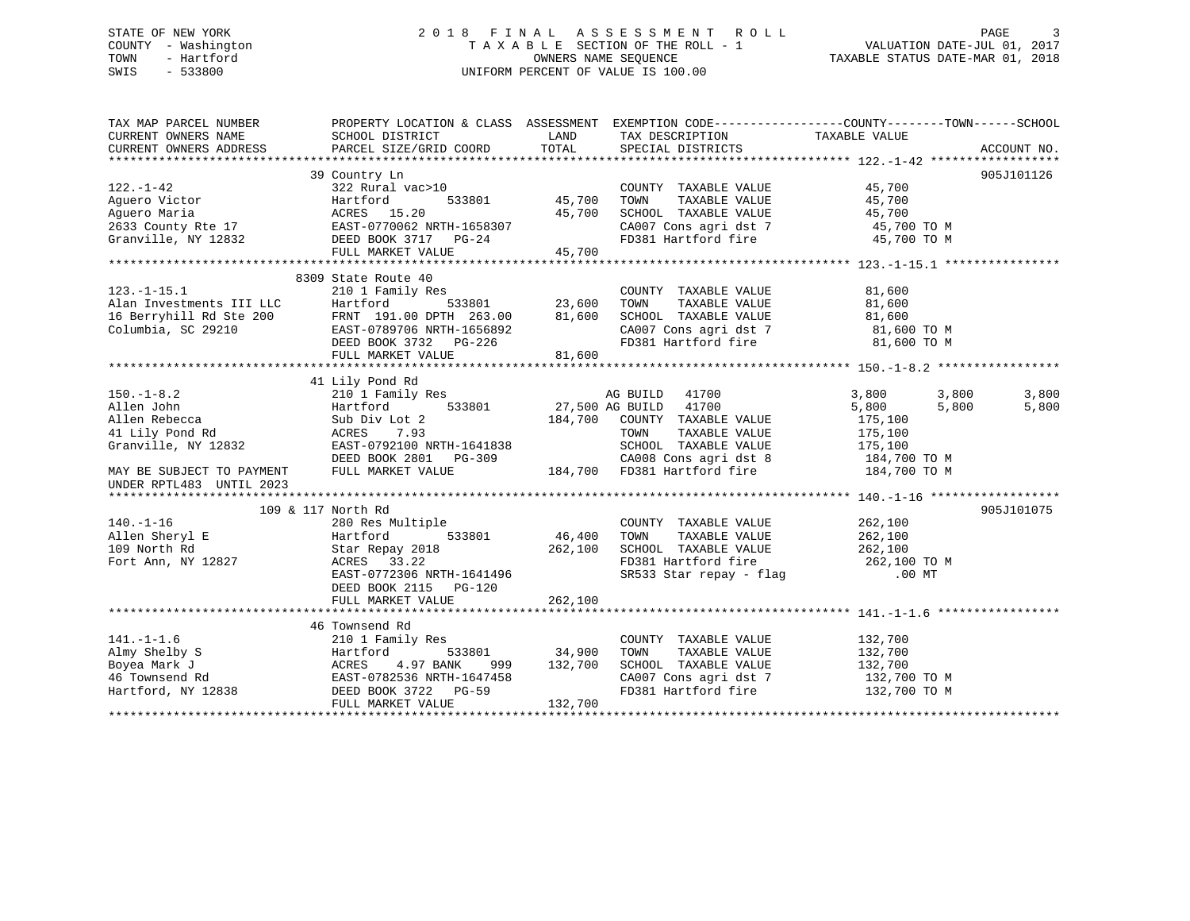## STATE OF NEW YORK 2 0 1 8 F I N A L A S S E S S M E N T R O L L PAGE 3 COUNTY - Washington T A X A B L E SECTION OF THE ROLL - 1 VALUATION DATE-JUL 01, 2017 TOWN - Hartford **TAXABLE STATUS DATE-MAR 01, 2018** OWNERS NAME SEQUENCE TAXABLE STATUS DATE-MAR 01, 2018 SWIS - 533800 UNIFORM PERCENT OF VALUE IS 100.00

| TAX MAP PARCEL NUMBER<br>CURRENT OWNERS NAME                                        | PROPERTY LOCATION & CLASS ASSESSMENT EXEMPTION CODE---------------COUNTY-------TOWN------SCHOOL<br>SCHOOL DISTRICT                                                                                                             | <b>LAND</b>   | TAX DESCRIPTION                                                                                                                                                                                   | TAXABLE VALUE                |       |             |
|-------------------------------------------------------------------------------------|--------------------------------------------------------------------------------------------------------------------------------------------------------------------------------------------------------------------------------|---------------|---------------------------------------------------------------------------------------------------------------------------------------------------------------------------------------------------|------------------------------|-------|-------------|
| CURRENT OWNERS ADDRESS                                                              | PARCEL SIZE/GRID COORD                                                                                                                                                                                                         | TOTAL         | SPECIAL DISTRICTS                                                                                                                                                                                 |                              |       | ACCOUNT NO. |
|                                                                                     |                                                                                                                                                                                                                                |               |                                                                                                                                                                                                   |                              |       |             |
|                                                                                     | 39 Country Ln                                                                                                                                                                                                                  |               |                                                                                                                                                                                                   |                              |       | 905J101126  |
| $122. - 1 - 42$                                                                     | 322 Rural vac>10                                                                                                                                                                                                               |               | COUNTY TAXABLE VALUE                                                                                                                                                                              | $45,700$<br>$45 -$           |       |             |
|                                                                                     |                                                                                                                                                                                                                                | 45,700        | TAXABLE VALUE<br>TOWN                                                                                                                                                                             |                              |       |             |
|                                                                                     |                                                                                                                                                                                                                                |               | SCHOOL TAXABLE VALUE                                                                                                                                                                              | 45,700                       |       |             |
|                                                                                     |                                                                                                                                                                                                                                |               |                                                                                                                                                                                                   |                              |       |             |
|                                                                                     | Aguero Victor<br>Aguero Maria (ACRES 15.20 45,700<br>2633 County Rte 17 EAST-0770062 NRTH-1658307<br>Granville, NY 12832 DEED BOOK 3717 PG-24<br>THE CONSTRIBUTE (ACRES 15.20 45,700<br>CHE CONSTRIBUTE (ACRES 17 17 17 186-24 |               | $\begin{array}{lll} \texttt{CA007} \texttt{ Cons} & \texttt{agri} \texttt{dst} & 7 & \texttt{45,700 T0 M} \\ \texttt{FD381} & \texttt{Hartford} \texttt{fire} & \texttt{45,700 T0 M} \end{array}$ |                              |       |             |
|                                                                                     | FULL MARKET VALUE                                                                                                                                                                                                              | 45,700        |                                                                                                                                                                                                   |                              |       |             |
|                                                                                     |                                                                                                                                                                                                                                |               |                                                                                                                                                                                                   |                              |       |             |
|                                                                                     | 8309 State Route 40                                                                                                                                                                                                            |               |                                                                                                                                                                                                   |                              |       |             |
| $123. - 1 - 15.1$                                                                   | 210 1 Family Res                                                                                                                                                                                                               |               | COUNTY TAXABLE VALUE                                                                                                                                                                              | 81,600                       |       |             |
|                                                                                     |                                                                                                                                                                                                                                |               | TAXABLE VALUE<br>TOWN                                                                                                                                                                             | 81,600                       |       |             |
|                                                                                     |                                                                                                                                                                                                                                | 81,600        |                                                                                                                                                                                                   |                              |       |             |
|                                                                                     |                                                                                                                                                                                                                                |               |                                                                                                                                                                                                   |                              |       |             |
|                                                                                     | 123.1-13.1<br>Alan Investments III LLC Hartford 533801<br>16 Berryhill Rd Ste 200 FRNT 191.00 DPTH 263.00<br>Columbia, SC 29210 EAST-0789706 NRTH-1656892<br>DEED BOOK 3732 PG-226                                             |               | SCHOOL TAXABLE VALUE 81,600<br>CA007 Cons agri dst 7 81,600 TO M<br>FD381 Hartford fire 81,600 TO M                                                                                               |                              |       |             |
|                                                                                     | FULL MARKET VALUE                                                                                                                                                                                                              | 81,600        |                                                                                                                                                                                                   |                              |       |             |
|                                                                                     |                                                                                                                                                                                                                                |               |                                                                                                                                                                                                   |                              |       |             |
|                                                                                     | 41 Lily Pond Rd                                                                                                                                                                                                                |               |                                                                                                                                                                                                   |                              |       |             |
| $150. - 1 - 8.2$                                                                    | 210 <sup>1</sup> Family Res                                                                                                                                                                                                    |               | AG BUILD 41700                                                                                                                                                                                    | 3,800                        | 3,800 | 3,800       |
| Allen John                                                                          | Hartford 533801 27,500 AG BUILD                                                                                                                                                                                                |               | 41700                                                                                                                                                                                             | 5,800                        | 5,800 | 5,800       |
| Allen Rebecca                                                                       | Sub Div Lot 2                                                                                                                                                                                                                  |               | 184,700 COUNTY TAXABLE VALUE                                                                                                                                                                      | 175,100                      |       |             |
| 41 Lily Pond Rd                                                                     | 7.93<br>ACRES                                                                                                                                                                                                                  |               | TOWN<br>TAXABLE VALUE                                                                                                                                                                             | 175,100                      |       |             |
| Granville, NY 12832                                                                 | EAST-0792100 NRTH-1641838                                                                                                                                                                                                      |               |                                                                                                                                                                                                   |                              |       |             |
|                                                                                     | $\Sigma = 3.32100 \text{ NK} \cdot \text{m} = 1041838$<br>DEED BOOK 2801 PG-309                                                                                                                                                |               |                                                                                                                                                                                                   |                              |       |             |
| MAY BE SUBJECT TO PAYMENT                                                           | FULL MARKET VALUE                                                                                                                                                                                                              |               | 1641838 SCHOOL TAXABLE VALUE 175,100<br>3-309 CA008 Cons agri dst 8 184,700 TO M<br>184,700 FD381 Hartford fire 184,700 TO M                                                                      |                              |       |             |
| UNDER RPTL483 UNTIL 2023                                                            |                                                                                                                                                                                                                                |               |                                                                                                                                                                                                   |                              |       |             |
|                                                                                     |                                                                                                                                                                                                                                |               |                                                                                                                                                                                                   |                              |       |             |
|                                                                                     | 109 & 117 North Rd                                                                                                                                                                                                             |               |                                                                                                                                                                                                   |                              |       | 905J101075  |
| $140. - 1 - 16$                                                                     | 280 Res Multiple                                                                                                                                                                                                               |               | COUNTY TAXABLE VALUE                                                                                                                                                                              | 262,100                      |       |             |
| Allen Sheryl E                                                                      | Hartford                                                                                                                                                                                                                       | 533801 46,400 | TOWN<br>TAXABLE VALUE                                                                                                                                                                             | 262,100                      |       |             |
| 109 North Rd                                                                        |                                                                                                                                                                                                                                |               |                                                                                                                                                                                                   |                              |       |             |
| Fort Ann, NY 12827                                                                  | Star Repay 2018 262,100<br>ACRES 33.22                                                                                                                                                                                         |               | SCHOOL TAXABLE VALUE $262,100$<br>FD381 Hartford fire $262,100$ TO M<br>SR533 Star repay - flag (00 MT)                                                                                           |                              |       |             |
|                                                                                     | EAST-0772306 NRTH-1641496                                                                                                                                                                                                      |               |                                                                                                                                                                                                   |                              |       |             |
|                                                                                     | DEED BOOK 2115 PG-120                                                                                                                                                                                                          |               |                                                                                                                                                                                                   |                              |       |             |
|                                                                                     | FULL MARKET VALUE                                                                                                                                                                                                              | 262,100       |                                                                                                                                                                                                   |                              |       |             |
|                                                                                     |                                                                                                                                                                                                                                |               |                                                                                                                                                                                                   |                              |       |             |
|                                                                                     | 46 Townsend Rd                                                                                                                                                                                                                 |               |                                                                                                                                                                                                   |                              |       |             |
| $141. - 1 - 1.6$                                                                    | 210 1 Family Res                                                                                                                                                                                                               |               | COUNTY TAXABLE VALUE                                                                                                                                                                              | 132,700                      |       |             |
|                                                                                     | 533801<br>Hartford                                                                                                                                                                                                             | 34,900        | TAXABLE VALUE<br>TOWN                                                                                                                                                                             | 132,700                      |       |             |
|                                                                                     | 4.97 BANK<br>ACRES<br>999                                                                                                                                                                                                      | 132,700       | SCHOOL TAXABLE VALUE                                                                                                                                                                              | 132,700                      |       |             |
|                                                                                     | EAST-0782536 NRTH-1647458                                                                                                                                                                                                      |               | CA007 Cons agri dst 7                                                                                                                                                                             |                              |       |             |
| 141.-1-1.6<br>Almy Shelby S<br>Boyea Mark J<br>46 Townsend Rd<br>Hartford, NY 12838 | DEED BOOK 3722 PG-59                                                                                                                                                                                                           |               | FD381 Hartford fire                                                                                                                                                                               | 132,700 TO M<br>132,700 TO M |       |             |
|                                                                                     | FULL MARKET VALUE                                                                                                                                                                                                              | 132,700       |                                                                                                                                                                                                   |                              |       |             |
|                                                                                     |                                                                                                                                                                                                                                |               |                                                                                                                                                                                                   |                              |       |             |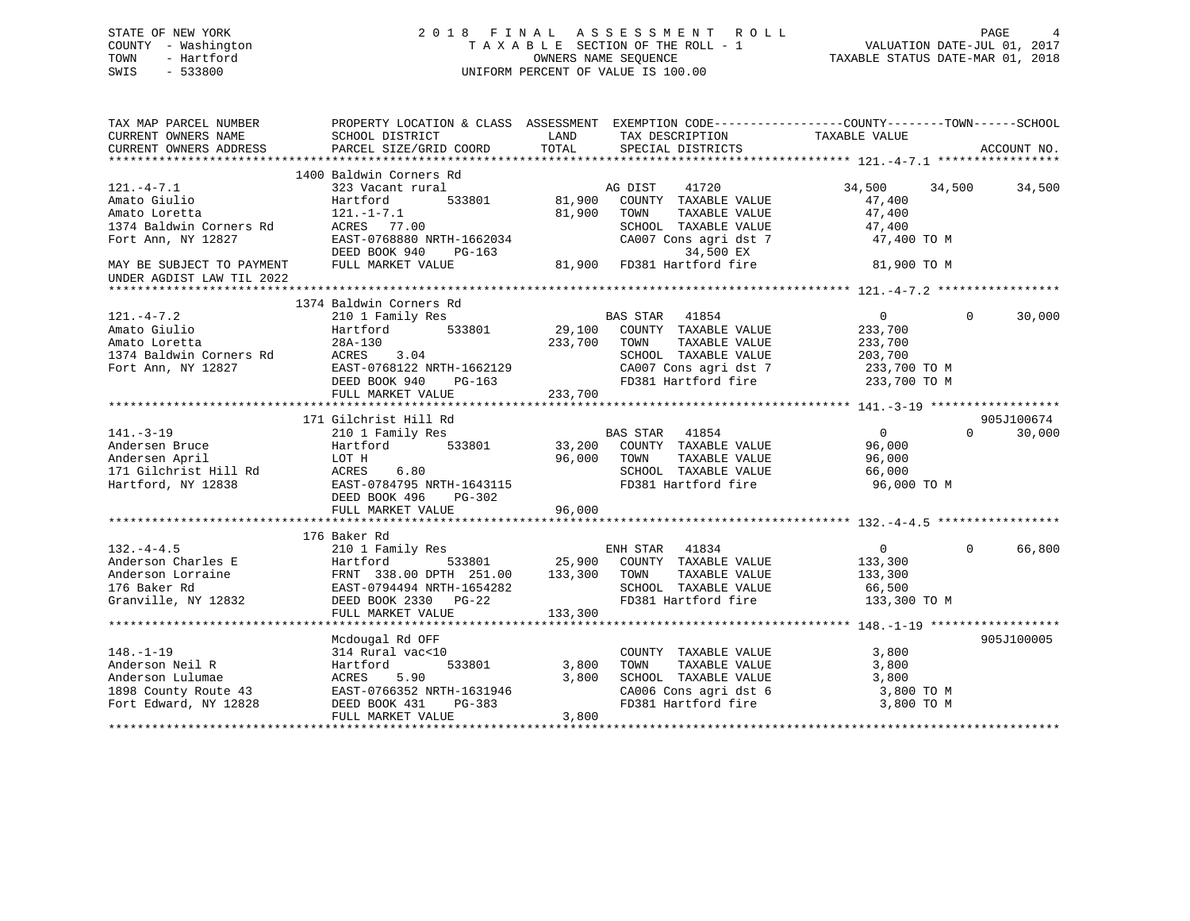## STATE OF NEW YORK 2 0 1 8 F I N A L A S S E S S M E N T R O L L PAGE 4 COUNTY - Washington T A X A B L E SECTION OF THE ROLL - 1 VALUATION DATE-JUL 01, 2017 TOWN - Hartford OWNERS NAME SEQUENCE TAXABLE STATUS DATE-MAR 01, 2018 SWIS - 533800 UNIFORM PERCENT OF VALUE IS 100.00

| TAX MAP PARCEL NUMBER     | PROPERTY LOCATION & CLASS ASSESSMENT |                                       | EXEMPTION CODE-----------------COUNTY-------TOWN------SCHOOL |
|---------------------------|--------------------------------------|---------------------------------------|--------------------------------------------------------------|
| CURRENT OWNERS NAME       | SCHOOL DISTRICT                      | LAND<br>TAX DESCRIPTION               | TAXABLE VALUE                                                |
| CURRENT OWNERS ADDRESS    | PARCEL SIZE/GRID COORD               | TOTAL<br>SPECIAL DISTRICTS            | ACCOUNT NO.                                                  |
|                           |                                      |                                       |                                                              |
|                           | 1400 Baldwin Corners Rd              |                                       |                                                              |
| $121. -4 - 7.1$           | 323 Vacant rural                     | 41720<br>AG DIST                      | 34,500<br>34,500<br>34,500                                   |
| Amato Giulio              | Hartford<br>533801                   | 81,900<br>COUNTY TAXABLE VALUE        | 47,400                                                       |
| Amato Loretta             | $121. - 1 - 7.1$                     | 81,900<br>TOWN<br>TAXABLE VALUE       | 47,400                                                       |
| 1374 Baldwin Corners Rd   | ACRES 77.00                          | SCHOOL TAXABLE VALUE                  | 47,400                                                       |
| Fort Ann, NY 12827        | EAST-0768880 NRTH-1662034            | CA007 Cons agri dst 7                 | 47,400 TO M                                                  |
|                           | DEED BOOK 940<br>$PG-163$            | 34,500 EX                             |                                                              |
| MAY BE SUBJECT TO PAYMENT | FULL MARKET VALUE                    | 81,900<br>FD381 Hartford fire         | 81,900 TO M                                                  |
| UNDER AGDIST LAW TIL 2022 |                                      |                                       |                                                              |
|                           |                                      |                                       |                                                              |
|                           | 1374 Baldwin Corners Rd              |                                       |                                                              |
| $121. -4 - 7.2$           | 210 1 Family Res                     | <b>BAS STAR</b><br>41854              | $\overline{0}$<br>30,000<br>$\Omega$                         |
| Amato Giulio              | 533801<br>Hartford                   | 29,100<br>COUNTY TAXABLE VALUE        | 233,700                                                      |
| Amato Loretta             | 28A-130                              | 233,700<br>TAXABLE VALUE<br>TOWN      | 233,700                                                      |
| 1374 Baldwin Corners Rd   | ACRES<br>3.04                        | SCHOOL TAXABLE VALUE                  | 203,700                                                      |
| Fort Ann, NY 12827        | EAST-0768122 NRTH-1662129            | CA007 Cons agri dst 7                 | 233,700 TO M                                                 |
|                           | DEED BOOK 940<br>PG-163              | FD381 Hartford fire                   | 233,700 TO M                                                 |
|                           | FULL MARKET VALUE                    | 233,700                               |                                                              |
|                           |                                      |                                       |                                                              |
|                           | 171 Gilchrist Hill Rd                |                                       | 905J100674                                                   |
| $141. - 3 - 19$           | 210 1 Family Res                     | BAS STAR 41854                        | $\overline{0}$<br>$\Omega$<br>30,000                         |
| Andersen Bruce            | Hartford<br>533801                   | 33,200<br>COUNTY TAXABLE VALUE        | 96,000                                                       |
| Andersen April            | LOT H                                | TAXABLE VALUE<br>96,000<br>TOWN       | 96,000                                                       |
| 171 Gilchrist Hill Rd     | 6.80<br>ACRES                        | SCHOOL TAXABLE VALUE                  | 66,000                                                       |
| Hartford, NY 12838        | EAST-0784795 NRTH-1643115            | FD381 Hartford fire                   |                                                              |
|                           |                                      |                                       | 96,000 TO M                                                  |
|                           | DEED BOOK 496<br>$PG-302$            |                                       |                                                              |
|                           | FULL MARKET VALUE                    | 96,000                                |                                                              |
|                           |                                      |                                       |                                                              |
|                           | 176 Baker Rd                         |                                       |                                                              |
| $132. -4 - 4.5$           | 210 1 Family Res                     | ENH STAR 41834                        | 66,800<br>$\overline{0}$<br>$\Omega$                         |
| Anderson Charles E        | Hartford                             | 533801 25,900<br>COUNTY TAXABLE VALUE | 133,300                                                      |
| Anderson Lorraine         | FRNT 338.00 DPTH 251.00              | 133,300<br>TOWN<br>TAXABLE VALUE      | 133,300                                                      |
| 176 Baker Rd              | EAST-0794494 NRTH-1654282            | SCHOOL TAXABLE VALUE                  | 66,500                                                       |
| Granville, NY 12832       | DEED BOOK 2330 PG-22                 | FD381 Hartford fire                   | 133,300 TO M                                                 |
|                           | FULL MARKET VALUE                    | 133,300                               |                                                              |
|                           |                                      |                                       |                                                              |
|                           | Mcdougal Rd OFF                      |                                       | 905J100005                                                   |
| $148. - 1 - 19$           | 314 Rural vac<10                     | COUNTY TAXABLE VALUE                  | 3,800                                                        |
| Anderson Neil R           | Hartford<br>533801                   | 3,800<br>TAXABLE VALUE<br>TOWN        | 3,800                                                        |
| Anderson Lulumae          | ACRES<br>5.90                        | SCHOOL TAXABLE VALUE<br>3,800         | 3,800                                                        |
| 1898 County Route 43      | EAST-0766352 NRTH-1631946            | CA006 Cons agri dst 6                 | 3,800 TO M                                                   |
| Fort Edward, NY 12828     | DEED BOOK 431<br>$PG-383$            | FD381 Hartford fire                   | 3,800 TO M                                                   |
|                           | FULL MARKET VALUE                    | 3,800                                 |                                                              |
|                           |                                      |                                       |                                                              |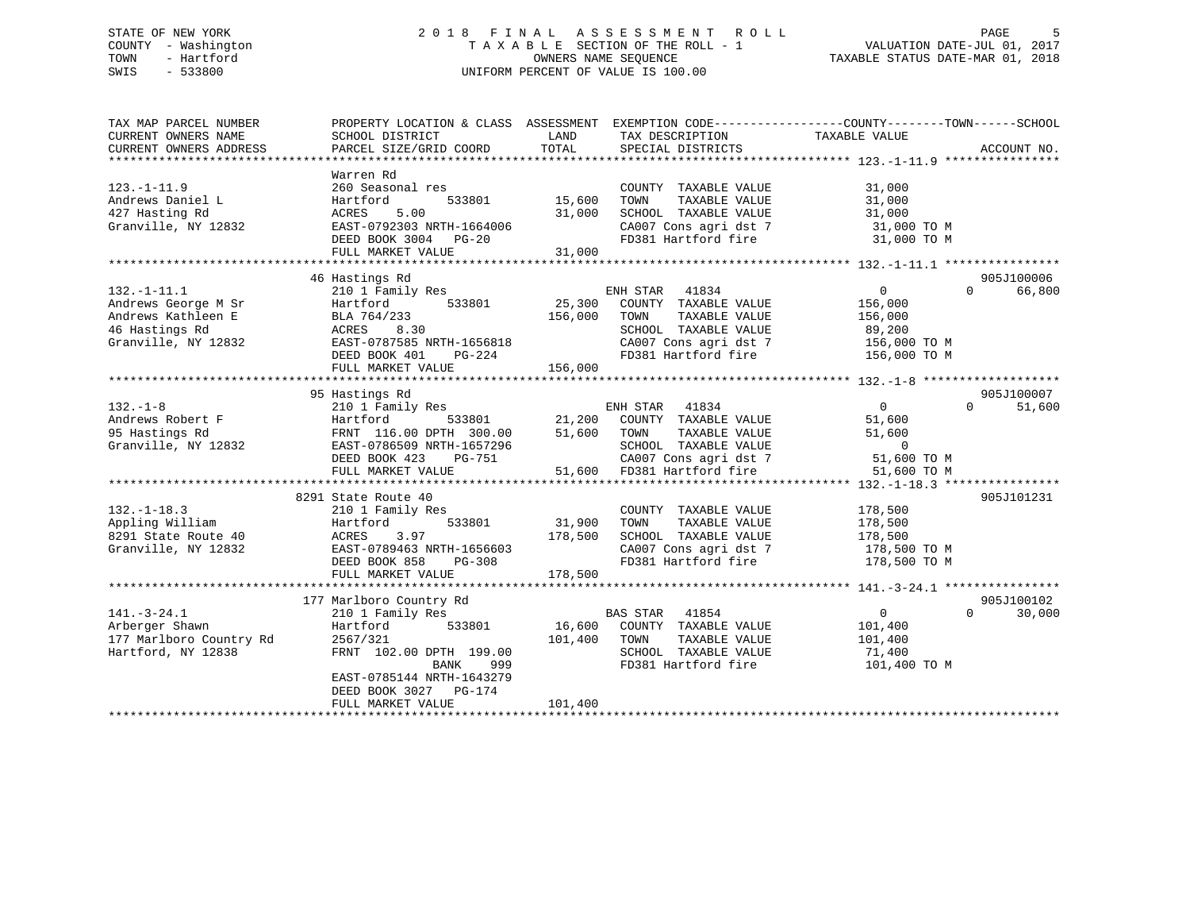## STATE OF NEW YORK 2 0 1 8 F I N A L A S S E S S M E N T R O L L PAGE 5 COUNTY - Washington T A X A B L E SECTION OF THE ROLL - 1 VALUATION DATE-JUL 01, 2017 TOWN - Hartford **TAXABLE STATUS DATE-MAR 01, 2018** OWNERS NAME SEQUENCE TAXABLE STATUS DATE-MAR 01, 2018 SWIS - 533800 UNIFORM PERCENT OF VALUE IS 100.00

| TAX MAP PARCEL NUMBER   | PROPERTY LOCATION & CLASS ASSESSMENT |         |                                                                        | EXEMPTION CODE-----------------COUNTY-------TOWN------SCHOOL |             |
|-------------------------|--------------------------------------|---------|------------------------------------------------------------------------|--------------------------------------------------------------|-------------|
| CURRENT OWNERS NAME     | SCHOOL DISTRICT                      | LAND    | TAX DESCRIPTION                                                        | TAXABLE VALUE                                                |             |
| CURRENT OWNERS ADDRESS  | PARCEL SIZE/GRID COORD               | TOTAL   | SPECIAL DISTRICTS                                                      |                                                              | ACCOUNT NO. |
|                         |                                      |         |                                                                        |                                                              |             |
|                         | Warren Rd                            |         |                                                                        |                                                              |             |
| $123. - 1 - 11.9$       | 260 Seasonal res                     |         | COUNTY TAXABLE VALUE                                                   | 31,000                                                       |             |
| Andrews Daniel L        | Hartford<br>533801                   | 15,600  | TOWN<br>TAXABLE VALUE                                                  | 31,000                                                       |             |
| 427 Hasting Rd          | 5.00<br>ACRES                        | 31,000  | SCHOOL TAXABLE VALUE                                                   | 31,000                                                       |             |
| Granville, NY 12832     | EAST-0792303 NRTH-1664006            |         | CA007 Cons agri dst 7                                                  | 31,000 TO M                                                  |             |
|                         | DEED BOOK 3004 PG-20                 |         | FD381 Hartford fire 31,000 TO M                                        |                                                              |             |
|                         | FULL MARKET VALUE                    | 31,000  |                                                                        |                                                              |             |
|                         |                                      |         |                                                                        |                                                              |             |
|                         | 46 Hastings Rd                       |         |                                                                        |                                                              | 905J100006  |
| $132. - 1 - 11.1$       | 210 1 Family Res                     |         | ENH STAR 41834                                                         | $\overline{0}$<br>$\Omega$                                   | 66,800      |
| Andrews George M Sr     | 533801<br>Hartford                   | 25,300  | COUNTY TAXABLE VALUE                                                   | 156,000                                                      |             |
| Andrews Kathleen E      | BLA 764/233                          | 156,000 | TOWN<br>TAXABLE VALUE                                                  | 156,000                                                      |             |
| 46 Hastings Rd          | 8.30<br>ACRES                        |         | SCHOOL TAXABLE VALUE                                                   | 89,200                                                       |             |
| Granville, NY 12832     | EAST-0787585 NRTH-1656818            |         |                                                                        |                                                              |             |
|                         | DEED BOOK 401 PG-224                 |         | CA007 Cons agri dst 7 156,000 TO M<br>FD381 Hartford fire 156,000 TO M |                                                              |             |
|                         | FULL MARKET VALUE                    | 156,000 |                                                                        |                                                              |             |
|                         |                                      |         |                                                                        |                                                              |             |
|                         | 95 Hastings Rd                       |         |                                                                        |                                                              | 905J100007  |
| $132. - 1 - 8$          | 210 1 Family Res                     |         | ENH STAR 41834                                                         | $\overline{0}$<br>$\Omega$                                   | 51,600      |
| Andrews Robert F        | 533801<br>Hartford                   |         | 21,200 COUNTY TAXABLE VALUE                                            | 51,600                                                       |             |
| 95 Hastings Rd          | FRNT 116.00 DPTH 300.00              | 51,600  | TOWN<br>TAXABLE VALUE                                                  | 51,600                                                       |             |
| Granville, NY 12832     | EAST-0786509 NRTH-1657296            |         | SCHOOL TAXABLE VALUE                                                   | $\overline{0}$                                               |             |
|                         | DEED BOOK 423<br>PG-751              |         | CA007 Cons agri dst 7                                                  | 51,600 TO M                                                  |             |
|                         | FULL MARKET VALUE                    |         | 51,600 FD381 Hartford fire                                             | 51,600 TO M                                                  |             |
|                         |                                      |         |                                                                        |                                                              |             |
|                         | 8291 State Route 40                  |         |                                                                        |                                                              | 905J101231  |
| $132. - 1 - 18.3$       | 210 1 Family Res                     |         | COUNTY TAXABLE VALUE                                                   | 178,500                                                      |             |
|                         | 533801                               | 31,900  | TOWN                                                                   |                                                              |             |
| Appling William         | Hartford<br>3.97                     |         | TAXABLE VALUE                                                          | 178,500                                                      |             |
| 8291 State Route 40     | ACRES                                | 178,500 | SCHOOL TAXABLE VALUE<br>SCHOOL TAXABLE VALUE<br>CA007 Cons agri dst 7  | 178,500<br>178,500 TO M                                      |             |
| Granville, NY 12832     | EAST-0789463 NRTH-1656603            |         |                                                                        |                                                              |             |
|                         | DEED BOOK 858<br>PG-308              |         | FD381 Hartford fire 178,500 TO M                                       |                                                              |             |
|                         | FULL MARKET VALUE                    | 178,500 |                                                                        |                                                              |             |
|                         |                                      |         |                                                                        |                                                              |             |
|                         | 177 Marlboro Country Rd              |         |                                                                        |                                                              | 905J100102  |
| $141. - 3 - 24.1$       | 210 1 Family Res                     |         | BAS STAR 41854                                                         | $\overline{0}$<br>$\Omega$                                   | 30,000      |
| Arberger Shawn          | 533801<br>Hartford                   |         | 16,600 COUNTY TAXABLE VALUE                                            | 101,400                                                      |             |
| 177 Marlboro Country Rd | 2567/321                             | 101,400 | TAXABLE VALUE<br>TOWN                                                  | 101,400                                                      |             |
| Hartford, NY 12838      | FRNT 102.00 DPTH 199.00              |         | SCHOOL TAXABLE VALUE                                                   | 71,400                                                       |             |
|                         | 999<br>BANK                          |         | FD381 Hartford fire                                                    | 101,400 TO M                                                 |             |
|                         | EAST-0785144 NRTH-1643279            |         |                                                                        |                                                              |             |
|                         | DEED BOOK 3027 PG-174                |         |                                                                        |                                                              |             |
|                         | FULL MARKET VALUE                    | 101,400 |                                                                        |                                                              |             |
|                         |                                      |         |                                                                        |                                                              |             |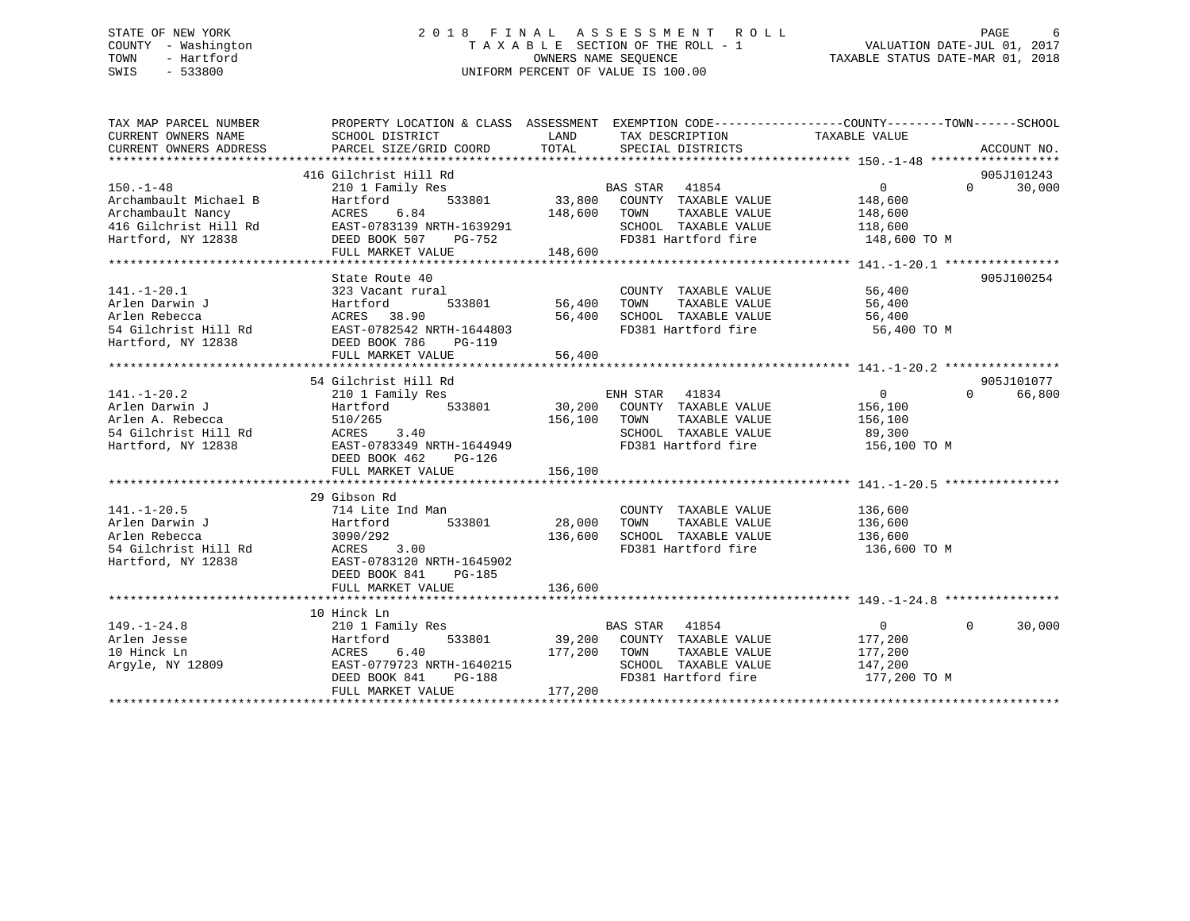# STATE OF NEW YORK GOOD CONSULTED A LIGHT AS SESS MENT ROLL CONSUMER AGE 6 COUNTY - Washington  $T A X A B L E$  SECTION OF THE ROLL - 1<br>TOWN - Hartford SWIS - 533800 UNIFORM PERCENT OF VALUE IS 100.00

TAXABLE STATUS DATE-MAR 01, 2018

| TAX MAP PARCEL NUMBER           | PROPERTY LOCATION & CLASS ASSESSMENT EXEMPTION CODE----------------COUNTY-------TOWN------SCHOOL                                      |                                        |                                            |                            |                             |
|---------------------------------|---------------------------------------------------------------------------------------------------------------------------------------|----------------------------------------|--------------------------------------------|----------------------------|-----------------------------|
| CURRENT OWNERS NAME             | SCHOOL DISTRICT                                                                                                                       | LAND                                   | TAX DESCRIPTION                            | TAXABLE VALUE              |                             |
| CURRENT OWNERS ADDRESS          | PARCEL SIZE/GRID COORD                                                                                                                | TOTAL                                  | SPECIAL DISTRICTS                          |                            | ACCOUNT NO.                 |
|                                 |                                                                                                                                       |                                        |                                            |                            |                             |
|                                 | 416 Gilchrist Hill Rd                                                                                                                 |                                        |                                            |                            | 905J101243                  |
| $150. - 1 - 48$                 | 210 1 Family Res                                                                                                                      |                                        | BAS STAR 41854                             | 0                          | $0 \t 30,000$               |
| Archambault Michael B           | Hartford                                                                                                                              |                                        | 533801 33,800 COUNTY TAXABLE VALUE         | 148,600                    |                             |
|                                 |                                                                                                                                       |                                        |                                            |                            |                             |
|                                 |                                                                                                                                       |                                        | SCHOOL TAXABLE VALUE                       | 148,600<br>118,600         |                             |
| Hartford, NY 12838              | DEED BOOK 507<br>PG-752                                                                                                               |                                        | FD381 Hartford fire 148,600 TO M           |                            |                             |
|                                 | FULL MARKET VALUE 148,600                                                                                                             |                                        |                                            |                            |                             |
|                                 |                                                                                                                                       |                                        |                                            |                            |                             |
|                                 | State Route 40                                                                                                                        |                                        |                                            |                            | 905J100254                  |
| $141. - 1 - 20.1$               | 323 Vacant rural                                                                                                                      |                                        | COUNTY TAXABLE VALUE                       | 56,400                     |                             |
|                                 |                                                                                                                                       | l<br>533801                     56,400 | TAXABLE VALUE<br>TOWN                      | 56,400                     |                             |
|                                 |                                                                                                                                       | 56,400                                 | SCHOOL TAXABLE VALUE                       | 56,400                     |                             |
|                                 |                                                                                                                                       |                                        | FD381 Hartford fire                        | 56,400 TO M                |                             |
|                                 |                                                                                                                                       |                                        |                                            |                            |                             |
|                                 | FULL MARKET VALUE                                                                                                                     | 56,400                                 |                                            |                            |                             |
|                                 |                                                                                                                                       |                                        |                                            |                            |                             |
|                                 | 54 Gilchrist Hill Rd                                                                                                                  |                                        |                                            |                            | 905J101077                  |
| $141. - 1 - 20.2$               | 210 1 Family Res                                                                                                                      |                                        |                                            | $\overline{0}$             | $0 \qquad \qquad$<br>66,800 |
| Arlen Darwin J                  | Hartford                                                                                                                              |                                        |                                            | 156,100                    |                             |
|                                 | Arien Darwin of The Christian Marien A. Rebecca<br>54 Gilchrist Hill Rd (ACRES 3.40)<br>Hartford, NY 12838 (EAST-0783349 NRTH-1644949 |                                        | TOWN<br>TAXABLE VALUE                      | 156,100                    |                             |
|                                 |                                                                                                                                       |                                        | SCHOOL TAXABLE VALUE                       | 89,300                     |                             |
|                                 |                                                                                                                                       |                                        | FD381 Hartford fire                        | 156,100 TO M               |                             |
|                                 | $PG-126$<br>DEED BOOK 462                                                                                                             |                                        |                                            |                            |                             |
|                                 | FULL MARKET VALUE                                                                                                                     | 156,100                                |                                            |                            |                             |
|                                 |                                                                                                                                       |                                        |                                            |                            |                             |
|                                 | 29 Gibson Rd                                                                                                                          |                                        |                                            |                            |                             |
| $141. - 1 - 20.5$               | 714 Lite Ind Man                                                                                                                      |                                        | COUNTY TAXABLE VALUE                       | 136,600                    |                             |
| Arlen Darwin J                  | 533801 28,000<br>Hartford                                                                                                             |                                        | TOWN<br>TAXABLE VALUE                      | 136,600                    |                             |
|                                 |                                                                                                                                       | 136,600                                | SCHOOL TAXABLE VALUE                       | 136,600                    |                             |
|                                 |                                                                                                                                       |                                        | FD381 Hartford fire                        | 136,600 TO M               |                             |
|                                 |                                                                                                                                       |                                        |                                            |                            |                             |
|                                 | DEED BOOK 841<br>PG-185                                                                                                               |                                        |                                            |                            |                             |
|                                 | FULL MARKET VALUE                                                                                                                     | 136,600                                |                                            |                            |                             |
|                                 |                                                                                                                                       |                                        |                                            |                            |                             |
|                                 | 10 Hinck Ln                                                                                                                           |                                        |                                            |                            |                             |
| $149. - 1 - 24.8$               | 210 1 Family Res                                                                                                                      |                                        | BAS STAR 41854                             | $\overline{0}$<br>$\Omega$ | 30,000                      |
| Arlen Jesse                     | Hartford                                                                                                                              |                                        | 533801 39,200 COUNTY TAXABLE VALUE 177,200 |                            |                             |
|                                 | ACRES 6.40                                                                                                                            |                                        | 177,200 TOWN TAXABLE VALUE                 | 177,200                    |                             |
| 10 Hinck Ln<br>Argyle, NY 12809 | EAST-0779723 NRTH-1640215                                                                                                             |                                        | SCHOOL TAXABLE VALUE                       | 147,200                    |                             |
|                                 | DEED BOOK 841                                                                                                                         | $PG-188$                               | FD381 Hartford fire 177,200 TO M           |                            |                             |
|                                 | FULL MARKET VALUE                                                                                                                     | 177,200                                |                                            |                            |                             |
|                                 |                                                                                                                                       |                                        |                                            |                            |                             |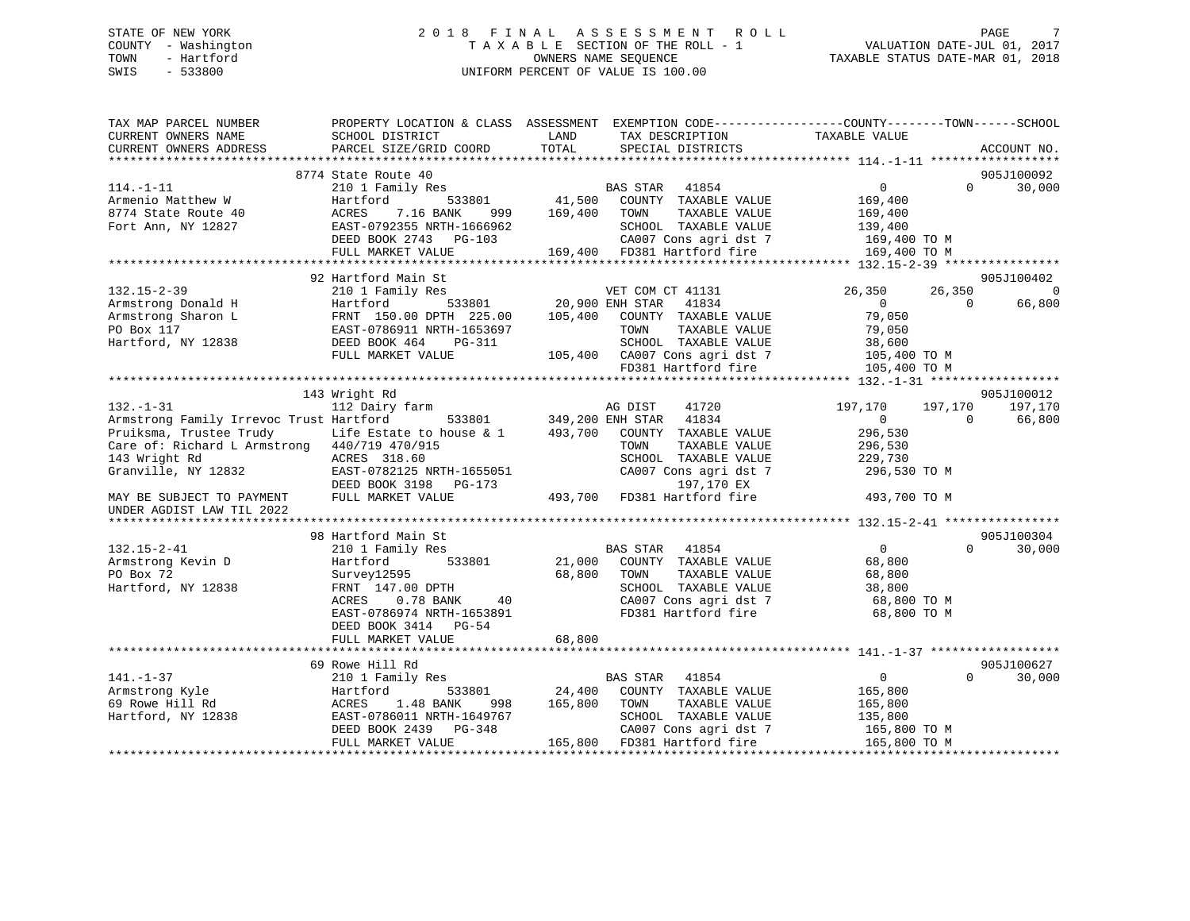## STATE OF NEW YORK 2 0 1 8 F I N A L A S S E S S M E N T R O L L PAGE 7 COUNTY - Washington T A X A B L E SECTION OF THE ROLL - 1 VALUATION DATE-JUL 01, 2017 TOWN - Hartford OWNERS NAME SEQUENCE TAXABLE STATUS DATE-MAR 01, 2018 SWIS - 533800 UNIFORM PERCENT OF VALUE IS 100.00

| TAX MAP PARCEL NUMBER<br>CURRENT OWNERS NAME           | PROPERTY LOCATION & CLASS ASSESSMENT EXEMPTION CODE---------------COUNTY-------TOWN------SCHOOL<br>SCHOOL DISTRICT | LAND                   | TAX DESCRIPTION               | TAXABLE VALUE      |                    |
|--------------------------------------------------------|--------------------------------------------------------------------------------------------------------------------|------------------------|-------------------------------|--------------------|--------------------|
| CURRENT OWNERS ADDRESS                                 | PARCEL SIZE/GRID COORD                                                                                             | TOTAL                  | SPECIAL DISTRICTS             |                    | ACCOUNT NO.        |
|                                                        | 8774 State Route 40                                                                                                |                        |                               |                    | 905J100092         |
| $114. - 1 - 11$                                        | 210 1 Family Res                                                                                                   |                        | BAS STAR 41854                | $\overline{0}$     | $\Omega$<br>30,000 |
| Armenio Matthew W                                      | Hartford<br>533801                                                                                                 |                        | 41,500 COUNTY TAXABLE VALUE   | 169,400            |                    |
| 8774 State Route 40                                    | 7.16 BANK<br>ACRES<br>999                                                                                          | 169,400                | TOWN<br>TAXABLE VALUE         | 169,400            |                    |
| Fort Ann, NY 12827                                     | EAST-0792355 NRTH-1666962                                                                                          |                        | SCHOOL TAXABLE VALUE          | 139,400            |                    |
|                                                        | DEED BOOK 2743 PG-103                                                                                              |                        | CA007 Cons agri dst 7         | $169,400$ TO M     |                    |
|                                                        | FULL MARKET VALUE                                                                                                  |                        | 169,400 FD381 Hartford fire   | 169,400 TO M       |                    |
|                                                        |                                                                                                                    |                        |                               |                    |                    |
|                                                        | 92 Hartford Main St                                                                                                |                        |                               |                    | 905J100402         |
| $132.15 - 2 - 39$                                      | 210 1 Family Res                                                                                                   |                        | VET COM CT 41131              | 26,350<br>26,350   | $\overline{0}$     |
| Armstrong Donald H                                     | Hartford                                                                                                           | 533801 20,900 ENH STAR | 41834                         | $\overline{0}$     | 66,800<br>$\Omega$ |
| Armstrong Sharon L                                     | FRNT 150.00 DPTH 225.00                                                                                            | 105,400                | COUNTY TAXABLE VALUE          | 79,050             |                    |
| PO Box 117                                             | EAST-0786911 NRTH-1653697                                                                                          |                        | TOWN<br>TAXABLE VALUE         | 79,050             |                    |
| Hartford, NY 12838                                     | DEED BOOK 464<br>PG-311                                                                                            |                        | SCHOOL TAXABLE VALUE          | 38,600             |                    |
|                                                        | FULL MARKET VALUE                                                                                                  |                        | 105,400 CA007 Cons agri dst 7 | 105,400 TO M       |                    |
|                                                        |                                                                                                                    |                        | FD381 Hartford fire           | 105,400 TO M       |                    |
|                                                        |                                                                                                                    |                        |                               |                    |                    |
|                                                        | 143 Wright Rd                                                                                                      |                        |                               |                    | 905J100012         |
| $132. - 1 - 31$                                        | 112 Dairy farm                                                                                                     |                        | 41720<br>AG DIST              | 197,170<br>197,170 | 197,170            |
| Armstrong Family Irrevoc Trust Hartford                | 533801                                                                                                             |                        | 349,200 ENH STAR 41834        | $\overline{0}$     | 66,800<br>$\Omega$ |
| Pruiksma, Trustee Trudy                                | Life Estate to house & 1                                                                                           | 493,700                | COUNTY TAXABLE VALUE          | 296,530            |                    |
| Care of: Richard L Armstrong 440/719 470/915           |                                                                                                                    |                        | TOWN<br>TAXABLE VALUE         | 296,530            |                    |
| 143 Wright Rd                                          | ACRES 318.60                                                                                                       |                        | SCHOOL TAXABLE VALUE          | 229,730            |                    |
| Granville, NY 12832                                    | EAST-0782125 NRTH-1655051                                                                                          |                        | CA007 Cons agri dst 7         | 296,530 TO M       |                    |
|                                                        | DEED BOOK 3198 PG-173                                                                                              |                        | 197,170 EX                    |                    |                    |
| MAY BE SUBJECT TO PAYMENT<br>UNDER AGDIST LAW TIL 2022 | FULL MARKET VALUE                                                                                                  |                        | 493,700 FD381 Hartford fire   | 493,700 TO M       |                    |
|                                                        |                                                                                                                    |                        |                               |                    |                    |
|                                                        | 98 Hartford Main St                                                                                                |                        |                               |                    | 905J100304         |
| $132.15 - 2 - 41$                                      | 210 1 Family Res                                                                                                   |                        | BAS STAR 41854                | $\overline{0}$     | $\Omega$<br>30,000 |
| Armstrong Kevin D                                      | 533801<br>Hartford                                                                                                 |                        | 21,000 COUNTY TAXABLE VALUE   | 68,800             |                    |
| PO Box 72                                              | Survey12595                                                                                                        | 68,800                 | TOWN<br>TAXABLE VALUE         | 68,800             |                    |
| Hartford, NY 12838                                     | FRNT 147.00 DPTH                                                                                                   |                        | SCHOOL TAXABLE VALUE          | 38,800             |                    |
|                                                        | $0.78$ BANK<br>ACRES<br>40                                                                                         |                        | CA007 Cons agri dst 7         | 68,800 TO M        |                    |
|                                                        | EAST-0786974 NRTH-1653891                                                                                          |                        | FD381 Hartford fire           | 68,800 TO M        |                    |
|                                                        | DEED BOOK 3414 PG-54                                                                                               |                        |                               |                    |                    |
|                                                        | FULL MARKET VALUE                                                                                                  | 68,800                 |                               |                    |                    |
|                                                        |                                                                                                                    |                        |                               |                    |                    |
|                                                        | 69 Rowe Hill Rd                                                                                                    |                        |                               |                    | 905J100627         |
| $141. - 1 - 37$                                        | 210 1 Family Res                                                                                                   |                        | BAS STAR 41854                | $\overline{0}$     | $\Omega$<br>30,000 |
| Armstrong Kyle                                         | Hartford<br>533801                                                                                                 | 24,400                 | COUNTY TAXABLE VALUE          | 165,800            |                    |
| 69 Rowe Hill Rd                                        | ACRES<br>1.48 BANK<br>998                                                                                          | 165,800                | TOWN<br>TAXABLE VALUE         | 165,800            |                    |
| Hartford, NY 12838                                     | EAST-0786011 NRTH-1649767                                                                                          |                        | SCHOOL TAXABLE VALUE          | 135,800            |                    |
|                                                        | DEED BOOK 2439<br>PG-348                                                                                           |                        | CA007 Cons agri dst 7         | 165,800 TO M       |                    |
|                                                        | FULL MARKET VALUE                                                                                                  |                        | 165,800 FD381 Hartford fire   | 165,800 TO M       |                    |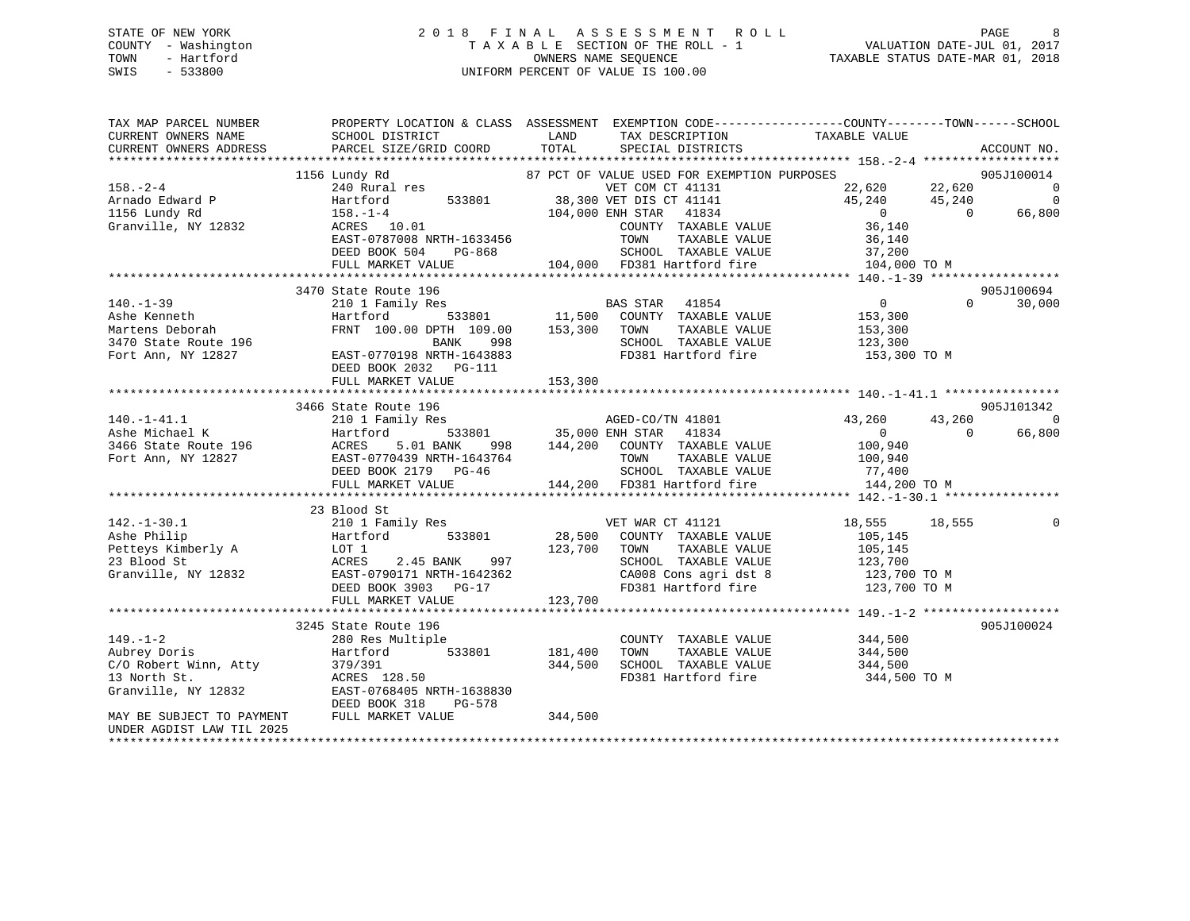## STATE OF NEW YORK 2 0 1 8 F I N A L A S S E S S M E N T R O L L PAGE 8 COUNTY - Washington T A X A B L E SECTION OF THE ROLL - 1 VALUATION DATE-JUL 01, 2017 TOWN - Hartford **TAXABLE STATUS DATE-MAR 01, 2018** OWNERS NAME SEQUENCE TAXABLE STATUS DATE-MAR 01, 2018 SWIS - 533800 UNIFORM PERCENT OF VALUE IS 100.00

| TAX MAP PARCEL NUMBER<br>CURRENT OWNERS NAME<br>CURRENT OWNERS ADDRESS                           | SCHOOL DISTRICT<br>PARCEL SIZE/GRID COORD                                                                                                                             | LAND<br>TAX DESCRIPTION<br>TOTAL<br>SPECIAL DISTRICTS                                                                                                                                                                           | PROPERTY LOCATION & CLASS ASSESSMENT EXEMPTION CODE----------------COUNTY-------TOWN------SCHOOL<br>TAXABLE VALUE<br>ACCOUNT NO.                                       |
|--------------------------------------------------------------------------------------------------|-----------------------------------------------------------------------------------------------------------------------------------------------------------------------|---------------------------------------------------------------------------------------------------------------------------------------------------------------------------------------------------------------------------------|------------------------------------------------------------------------------------------------------------------------------------------------------------------------|
| $158. - 2 - 4$<br>Arnado Edward P<br>1156 Lundy Rd<br>Granville, NY 12832                        | 1156 Lundy Rd<br>240 Rural res<br>533801<br>Hartford<br>$158. - 1 - 4$<br>ACRES 10.01<br>EAST-0787008 NRTH-1633456<br>DEED BOOK 504<br>PG-868<br>FULL MARKET VALUE    | 87 PCT OF VALUE USED FOR EXEMPTION PURPOSES<br>VET COM CT 41131<br>38,300 VET DIS CT 41141<br>104,000 ENH STAR<br>41834<br>COUNTY TAXABLE VALUE<br>TOWN<br>TAXABLE VALUE<br>SCHOOL TAXABLE VALUE<br>104,000 FD381 Hartford fire | 905J100014<br>22,620<br>$\overline{0}$<br>22,620<br>45,240<br>$\Omega$<br>45,240<br>$\Omega$<br>66,800<br>$\overline{0}$<br>36,140<br>36,140<br>37,200<br>104,000 TO M |
|                                                                                                  | 3470 State Route 196                                                                                                                                                  |                                                                                                                                                                                                                                 | 905J100694                                                                                                                                                             |
| $140. - 1 - 39$<br>Ashe Kenneth<br>Martens Deborah<br>3470 State Route 196<br>Fort Ann, NY 12827 | 210 1 Family Res<br>Hartford<br>FRNT 100.00 DPTH 109.00<br><b>BANK</b><br>998<br>EAST-0770198 NRTH-1643883<br>DEED BOOK 2032    PG-111<br>FULL MARKET VALUE           | BAS STAR<br>41854<br>-<br>533801              11,500     COUNTY   TAXABLE VALUE<br>TH   109.00        153,300     TOWN      TAXABLE VALUE<br>SCHOOL TAXABLE VALUE<br>FD381 Hartford fire<br>153,300                             | $\overline{0}$<br>$\Omega$<br>30,000<br>153,300<br>153,300<br>123,300<br>153,300 TO M                                                                                  |
|                                                                                                  |                                                                                                                                                                       |                                                                                                                                                                                                                                 |                                                                                                                                                                        |
| $140. - 1 - 41.1$<br>Ashe Michael K<br>3466 State Route 196<br>Fort Ann, NY 12827                | 3466 State Route 196<br>210 1 Family Res<br>533801<br>Hartford<br>5.01 BANK<br>ACRES<br>998<br>EAST-0770439 NRTH-1643764<br>DEED BOOK 2179 PG-46<br>FULL MARKET VALUE | AGED-CO/TN 41801<br>35,000 ENH STAR<br>41834<br>144,200 COUNTY TAXABLE VALUE<br>TOWN<br>TAXABLE VALUE<br>SCHOOL TAXABLE VALUE<br>144,200 FD381 Hartford fire                                                                    | 905J101342<br>43,260<br>43,260<br>$\Omega$<br>66,800<br>$\overline{0}$<br>$\Omega$<br>100,940<br>100,940<br>77,400<br>144,200 TO M                                     |
|                                                                                                  |                                                                                                                                                                       |                                                                                                                                                                                                                                 |                                                                                                                                                                        |
| $142. - 1 - 30.1$<br>Ashe Philip<br>Petteys Kimberly A<br>23 Blood St<br>Granville, NY 12832     | 23 Blood St<br>210 1 Family Res<br>533801<br>Hartford<br>LOT 1<br>ACRES<br>2.45 BANK<br>997<br>EAST-0790171 NRTH-1642362<br>DEED BOOK 3903 PG-17<br>FULL MARKET VALUE | VET WAR CT 41121<br>28,500<br>COUNTY TAXABLE VALUE<br>123,700<br>TOWN<br>TAXABLE VALUE<br>SCHOOL TAXABLE VALUE<br>CA008 Cons agri dst 8<br>FD381 Hartford fire<br>123,700                                                       | 18,555<br>18,555<br>105,145<br>105,145<br>123,700<br>123,700 TO M<br>123,700 TO M                                                                                      |
|                                                                                                  |                                                                                                                                                                       |                                                                                                                                                                                                                                 |                                                                                                                                                                        |
| $149. - 1 - 2$<br>Aubrey Doris<br>C/O Robert Winn, Atty<br>13 North St.<br>Granville, NY 12832   | 3245 State Route 196<br>280 Res Multiple<br>533801<br>Hartford<br>379/391<br>ACRES 128.50<br>EAST-0768405 NRTH-1638830<br>DEED BOOK 318<br>PG-578                     | COUNTY TAXABLE VALUE<br>181,400<br>TAXABLE VALUE<br>TOWN<br>SCHOOL TAXABLE VALUE<br>344,500<br>FD381 Hartford fire                                                                                                              | 905J100024<br>344,500<br>344,500<br>344,500<br>344,500 TO M                                                                                                            |
| MAY BE SUBJECT TO PAYMENT<br>UNDER AGDIST LAW TIL 2025<br>*********************                  | FULL MARKET VALUE                                                                                                                                                     | 344,500                                                                                                                                                                                                                         |                                                                                                                                                                        |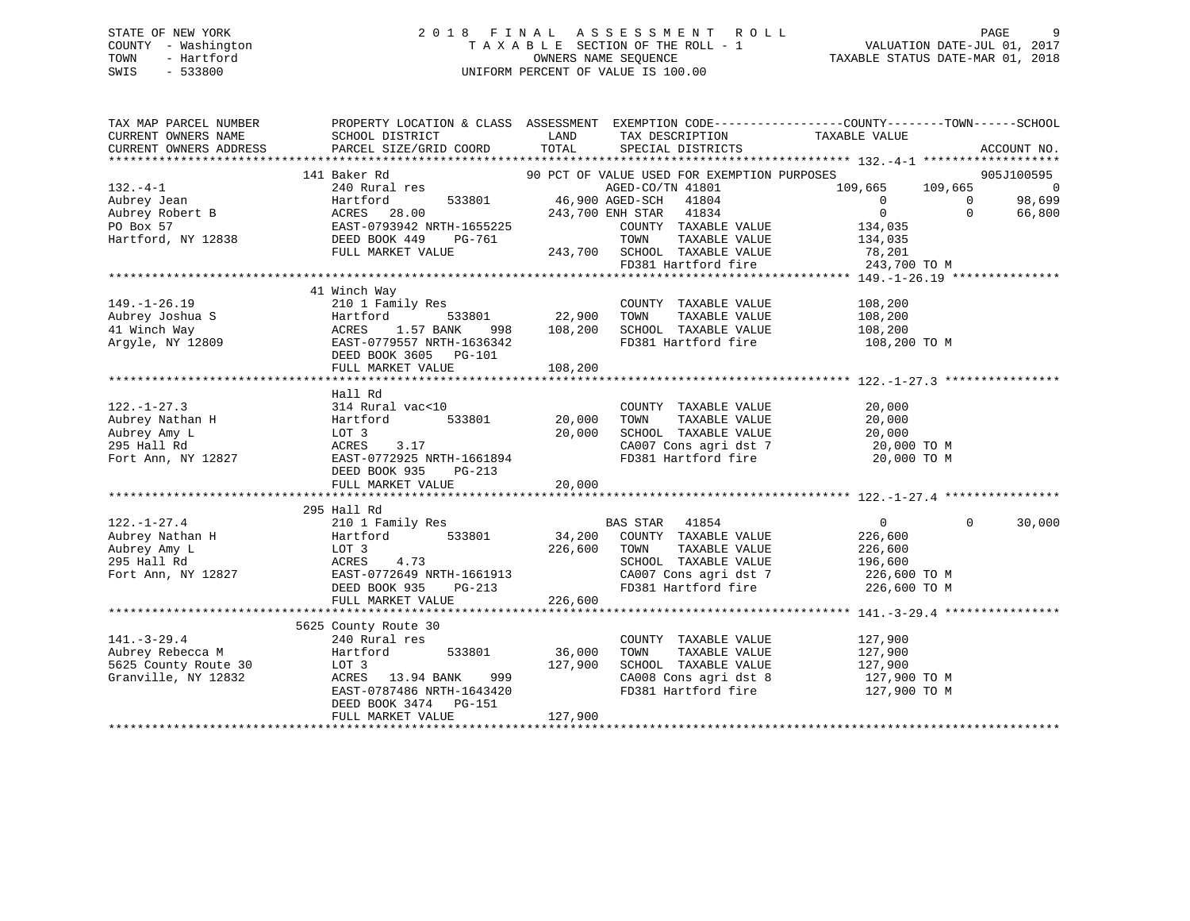## STATE OF NEW YORK 2 0 1 8 F I N A L A S S E S S M E N T R O L L PAGE 9 COUNTY - Washington T A X A B L E SECTION OF THE ROLL - 1 VALUATION DATE-JUL 01, 2017 TOWN - Hartford **TAXABLE STATUS DATE-MAR 01, 2018** OWNERS NAME SEQUENCE TAXABLE STATUS DATE-MAR 01, 2018 SWIS - 533800 UNIFORM PERCENT OF VALUE IS 100.00

| TAX MAP PARCEL NUMBER<br>CURRENT OWNERS NAME<br>CURRENT OWNERS ADDRESS                                                                                                                                                                                                                                                                                                                                                                                                                             | PROPERTY LOCATION & CLASS ASSESSMENT EXEMPTION CODE----------------COUNTY-------TOWN------SCHOOL<br>SCHOOL DISTRICT<br>PARCEL SIZE/GRID COORD                                                                | LAND<br>TOTAL                           | TAX DESCRIPTION TAXABLE VALUE SPECIAL DISTRICTS                                                                                                                           |                                                                                         |                            | ACCOUNT NO.                                      |
|----------------------------------------------------------------------------------------------------------------------------------------------------------------------------------------------------------------------------------------------------------------------------------------------------------------------------------------------------------------------------------------------------------------------------------------------------------------------------------------------------|--------------------------------------------------------------------------------------------------------------------------------------------------------------------------------------------------------------|-----------------------------------------|---------------------------------------------------------------------------------------------------------------------------------------------------------------------------|-----------------------------------------------------------------------------------------|----------------------------|--------------------------------------------------|
| $132 - 4 - 1$<br>$\begin{tabular}{lllllllllllllllllllll} \hline & & & & & & & & & & & & \\ 132.-4-1 & & & & & & & & & & & & \\ \hline \text{Aubrey Jean} & & & & & & & & & & & & \\ \text{Aubrey Robert B} & & & & & & & & & & & & \\ \text{P0 Box 57} & & & & & & & & & & \\ \text{Hartford} & & & & & & & & & & & \\ \text{Hartford} & & & & & & & & & & & \\ \text{Hartford} & & & & & & & & & & & \\ \text{Hartford} & & & & & & & & & & & \\ \text{Hartford} & & & & & & & & & & & \\ \text{$ | Baker Rd<br>90 PCT OF VALUE USED FOR EXEMPTION PURPOSES<br>240 Rural res<br>240 Rural res<br>141 Baker Rd<br>FULL MARKET VALUE $243,700$ SCHOOL TAXABLE VALUE $78,201$<br>FD381 Hartford fire $243,700$ TO M |                                         | 533801 46,900 AGED-SCH 41804<br>COUNTY TAXABLE VALUE                                                                                                                      | 109,665 109,665<br>$\overline{0}$<br>$\overline{0}$<br>134,035<br>TAXABLE VALUE 134,035 | $\overline{0}$<br>$\Omega$ | 905J100595<br>$\overline{0}$<br>98,699<br>66,800 |
| $149. - 1 - 26.19$                                                                                                                                                                                                                                                                                                                                                                                                                                                                                 | 41 Winch Way<br>210 1 Family Res<br>DEED BOOK 3605 PG-101                                                                                                                                                    | <br>  COUNT<br>  22,900 TOWN            | COUNTY TAXABLE VALUE<br>TAXABLE VALUE<br>SCHOOL TAXABLE VALUE 108,200<br>FD381 Hartford fire                                                                              | 108,200<br>108,200<br>108,200 TO M                                                      |                            |                                                  |
|                                                                                                                                                                                                                                                                                                                                                                                                                                                                                                    | Hall Rd<br>DEED BOOK 935<br>$PG-213$                                                                                                                                                                         |                                         | COUNTY TAXABLE VALUE<br>TOWN        TAXABLE  VALUE<br>SCHOOL    TAXABLE  VALUE<br>CA007 Cons agri dst 7 20,000 TO M<br>FD381 Hartford fire 20,000 TO M                    | 20,000<br>20,000<br>20,000                                                              |                            |                                                  |
| 122.-1-27.4<br>Aubrey Nathan H<br>295 Hall Rd<br>Fort Ann, NY 12827                                                                                                                                                                                                                                                                                                                                                                                                                                | 295 Hall Rd<br>DEED BOOK 935<br>FULL MARKET VALUE                                                                                                                                                            | 226,600 TOWN<br>$PG-213$<br>LUE 226,600 | BAS STAR 41854<br>34,200 COUNTY TAXABLE VALUE<br>TAXABLE VALUE<br>SCHOOL TAXABLE VALUE 196,600<br>CA007 Cons agri dst 7 1226,600 TO M<br>FD381 Hartford fire 226,600 TO M | $\overline{0}$<br>226,600<br>226,600                                                    | $\Omega$                   | 30,000                                           |
| $141. - 3 - 29.4$<br>Aubrey Rebecca M<br>5625 County Route 30<br>Granville, NY 12832                                                                                                                                                                                                                                                                                                                                                                                                               | 5625 County Route 30<br>240 Rural res<br>Hartford<br>533801<br>DEED BOOK 3474 PG-151<br>FULL MARKET VALUE                                                                                                    | 36,000<br>127,900<br>127,900            | COUNTY TAXABLE VALUE<br>TAXABLE VALUE<br>TOWN<br>SCHOOL TAXABLE VALUE<br>CA008 Cons agri dst 8 127,900 TO M<br>FD381 Hartford fire 127,900 TO M                           | 127,900<br>127,900<br>127,900                                                           |                            |                                                  |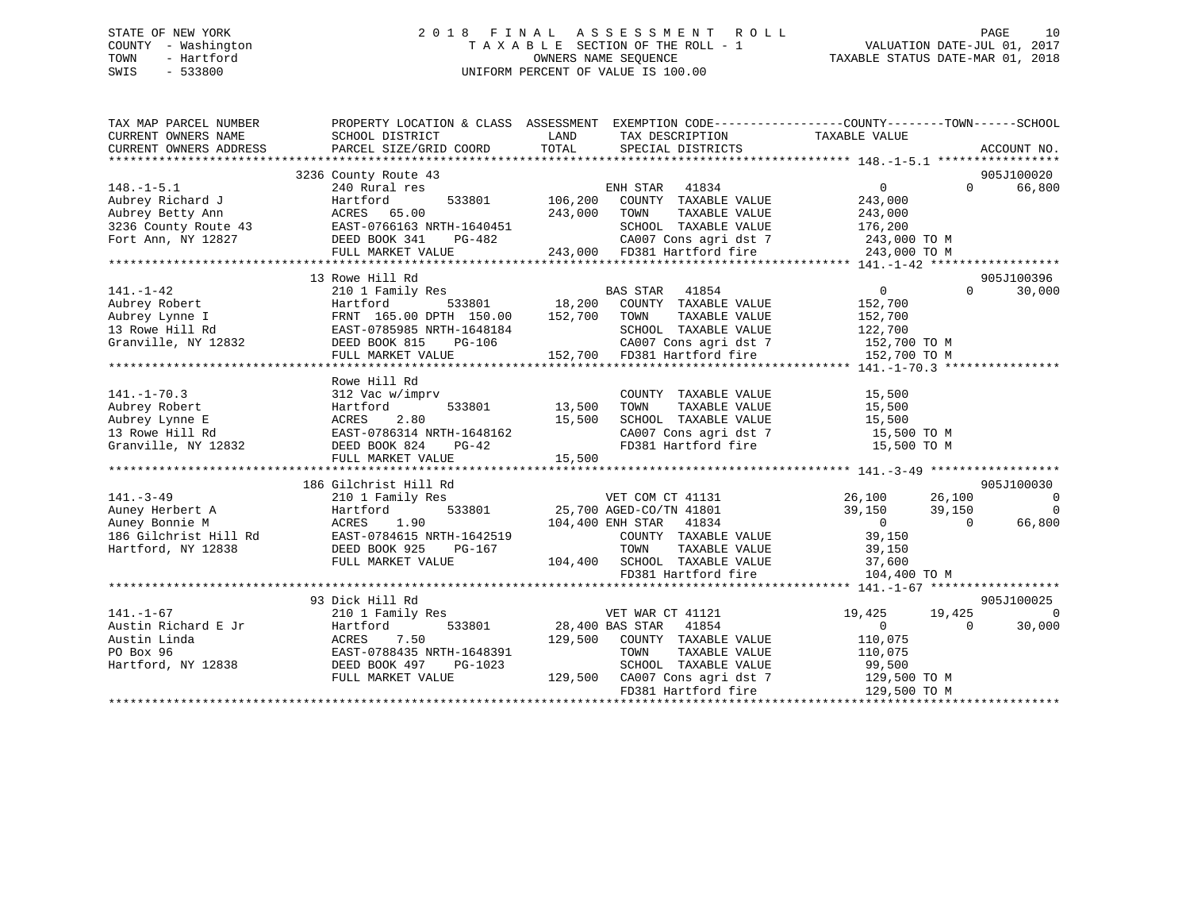## STATE OF NEW YORK 2 0 1 8 F I N A L A S S E S S M E N T R O L L PAGE 10 COUNTY - Washington T A X A B L E SECTION OF THE ROLL - 1 VALUATION DATE-JUL 01, 2017 TOWN - Hartford **TAXABLE STATUS DATE-MAR 01, 2018** OWNERS NAME SEQUENCE TAXABLE STATUS DATE-MAR 01, 2018 SWIS - 533800 UNIFORM PERCENT OF VALUE IS 100.00

| TAX MAP PARCEL NUMBER                                                                                                                                                                                             | PROPERTY LOCATION & CLASS ASSESSMENT EXEMPTION CODE---------------COUNTY-------TOWN-----SCHOOL |         |                                                                                |                  |           |                          |
|-------------------------------------------------------------------------------------------------------------------------------------------------------------------------------------------------------------------|------------------------------------------------------------------------------------------------|---------|--------------------------------------------------------------------------------|------------------|-----------|--------------------------|
| CURRENT OWNERS NAME                                                                                                                                                                                               | SCHOOL DISTRICT                                                                                | LAND    | TAX DESCRIPTION                                                                | TAXABLE VALUE    |           |                          |
| CURRENT OWNERS ADDRESS                                                                                                                                                                                            | PARCEL SIZE/GRID COORD                                                                         | TOTAL   | SPECIAL DISTRICTS                                                              |                  |           | ACCOUNT NO.              |
|                                                                                                                                                                                                                   |                                                                                                |         |                                                                                |                  |           |                          |
|                                                                                                                                                                                                                   | 3236 County Route 43                                                                           |         |                                                                                |                  |           | 905J100020               |
| $148. - 1 - 5.1$                                                                                                                                                                                                  | 240 Rural res                                                                                  |         | ENH STAR<br>41834                                                              | 0                | $\Omega$  | 66,800                   |
| Aubrey Richard J                                                                                                                                                                                                  | 533801<br>Hartford                                                                             | 106,200 | COUNTY TAXABLE VALUE                                                           | 243,000          |           |                          |
| Aubrey Betty Ann                                                                                                                                                                                                  | ACRES 65.00                                                                                    | 243,000 | TOWN<br>TAXABLE VALUE                                                          | 243,000          |           |                          |
| 3236 County Route 43 EAST-0766163 NRTH-1640451<br>Fort Ann, NY 12827 DEED BOOK 341 PG-482                                                                                                                         | 14-1640451<br>PG-482                                                                           |         | SCHOOL TAXABLE VALUE                                                           | 176,200          |           |                          |
|                                                                                                                                                                                                                   |                                                                                                |         | CA007 Cons agri dst 7                                                          | 243,000 TO M     |           |                          |
|                                                                                                                                                                                                                   | FULL MARKET VALUE                                                                              |         | 243,000 FD381 Hartford fire                                                    | 243,000 TO M     |           |                          |
|                                                                                                                                                                                                                   |                                                                                                |         |                                                                                |                  |           |                          |
|                                                                                                                                                                                                                   | 13 Rowe Hill Rd                                                                                |         |                                                                                |                  |           | 905J100396               |
| $141. - 1 - 42$                                                                                                                                                                                                   | 210 1 Family Res                                                                               |         | <b>BAS STAR</b><br>41854                                                       | $\overline{0}$   | $\Omega$  | 30,000                   |
|                                                                                                                                                                                                                   |                                                                                                |         | 533801 18,200 COUNTY TAXABLE VALUE                                             | 152,700          |           |                          |
|                                                                                                                                                                                                                   |                                                                                                | 152,700 | TOWN<br>TAXABLE VALUE                                                          | 152,700          |           |                          |
|                                                                                                                                                                                                                   |                                                                                                |         | SCHOOL TAXABLE VALUE                                                           | 122,700          |           |                          |
| Aubrey Robert<br>Aubrey Lynne I (FRNT 165.00 DPTH 150.00<br>13 Rowe Hill Rd<br>Granville, NY 12832<br>ERST-0785985 NRTH-1648184<br>DEED BOOK 815<br>DEED BOOK 815<br>DEED BOOK 815<br>PG-106<br>PTIT MAPRET VALUE |                                                                                                |         | CA007 Cons agri dst 7 152,700 TO M<br>152,700 FD381 Hartford fire 152,700 TO M |                  |           |                          |
|                                                                                                                                                                                                                   | FULL MARKET VALUE                                                                              |         |                                                                                |                  |           |                          |
|                                                                                                                                                                                                                   |                                                                                                |         |                                                                                |                  |           |                          |
|                                                                                                                                                                                                                   | Rowe Hill Rd                                                                                   |         |                                                                                |                  |           |                          |
| $141. - 1 - 70.3$                                                                                                                                                                                                 | 312 Vac w/imprv                                                                                |         | COUNTY TAXABLE VALUE                                                           | 15,500           |           |                          |
| Aubrey Robert                                                                                                                                                                                                     |                                                                                                | 13,500  | TAXABLE VALUE<br>TOWN                                                          | 15,500           |           |                          |
| Aubrey Lynne E                                                                                                                                                                                                    |                                                                                                | 15,500  | SCHOOL TAXABLE VALUE                                                           | 15,500           |           |                          |
| 13 Rowe Hill Rd                                                                                                                                                                                                   |                                                                                                |         | CA007 Cons agri dst 7 15,500 TO M                                              |                  |           |                          |
| Granville, NY 12832 DEED BOOK 824                                                                                                                                                                                 | Haltivia<br>ACRES 2.80<br>EAST-0786314 NRTH-1648162<br>DEED ROOK 824 PG-42                     |         | FD381 Hartford fire                                                            | 15,500 TO M      |           |                          |
|                                                                                                                                                                                                                   | FULL MARKET VALUE                                                                              | 15,500  |                                                                                |                  |           |                          |
|                                                                                                                                                                                                                   |                                                                                                |         |                                                                                |                  |           |                          |
|                                                                                                                                                                                                                   | 186 Gilchrist Hill Rd                                                                          |         |                                                                                |                  |           | 905J100030               |
| $141. - 3 - 49$                                                                                                                                                                                                   | 210 1 Family Res                                                                               |         | VET COM CT 41131 26,100                                                        | 26,100           |           | $\overline{\phantom{0}}$ |
| Auney Herbert A                                                                                                                                                                                                   | 533801<br>Hartford                                                                             |         | 25,700 AGED-CO/TN 41801                                                        | 39,150<br>39,150 |           | $\overline{0}$           |
| Auney Bonnie M                                                                                                                                                                                                    | ACRES 1.90                                                                                     |         | 104,400 ENH STAR 41834                                                         | $\overline{0}$   | $\bigcap$ | 66,800                   |
| 186 Gilchrist Hill Rd                                                                                                                                                                                             | EAST-0784615 NRTH-1642519                                                                      |         | COUNTY TAXABLE VALUE                                                           | 39,150           |           |                          |
| Hartford, NY 12838                                                                                                                                                                                                | DEED BOOK 925<br>PG-167                                                                        |         | TOWN<br>TAXABLE VALUE                                                          |                  |           |                          |
|                                                                                                                                                                                                                   | FULL MARKET VALUE                                                                              |         | TOWN TAXABLE VALUE<br>104,400 SCHOOL TAXABLE VALUE                             | 39,150<br>37,600 |           |                          |
|                                                                                                                                                                                                                   |                                                                                                |         | FD381 Hartford fire                                                            | 104,400 TO M     |           |                          |
|                                                                                                                                                                                                                   |                                                                                                |         |                                                                                |                  |           |                          |
|                                                                                                                                                                                                                   | 93 Dick Hill Rd                                                                                |         |                                                                                |                  |           | 905J100025               |
| $141. - 1 - 67$                                                                                                                                                                                                   | 210 1 Family Res                                                                               |         | VET WAR CT 41121                                                               | 19,425<br>19,425 |           | $\Omega$                 |
| Austin Richard E Jr                                                                                                                                                                                               | 533801<br>Hartford                                                                             |         | 28,400 BAS STAR 41854                                                          | $\overline{0}$   | $\Omega$  | 30,000                   |
| Austin Linda                                                                                                                                                                                                      | 7.50<br>ACRES                                                                                  | 129,500 | COUNTY TAXABLE VALUE                                                           | 110,075          |           |                          |
| PO Box 96                                                                                                                                                                                                         | EAST-0788435 NRTH-1648391                                                                      |         | TOWN<br>TAXABLE VALUE                                                          | 110,075          |           |                          |
| Hartford, NY 12838                                                                                                                                                                                                | DEED BOOK 497<br>PG-1023                                                                       |         | SCHOOL TAXABLE VALUE                                                           | 99,500           |           |                          |
|                                                                                                                                                                                                                   | FULL MARKET VALUE                                                                              |         | 129,500 CA007 Cons agri dst 7                                                  | 129,500 TO M     |           |                          |
|                                                                                                                                                                                                                   |                                                                                                |         | FD381 Hartford fire                                                            | 129,500 TO M     |           |                          |
|                                                                                                                                                                                                                   |                                                                                                |         |                                                                                |                  |           |                          |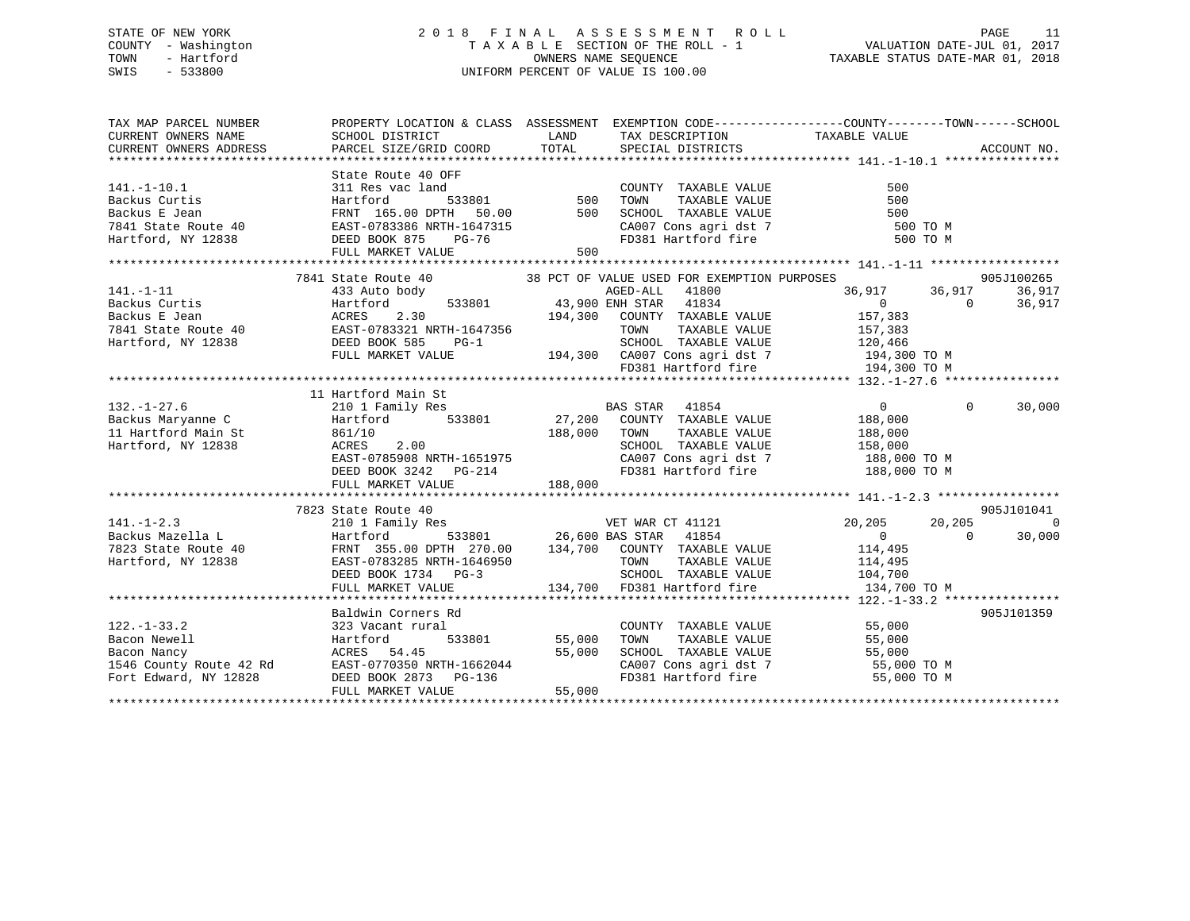## STATE OF NEW YORK 2 0 1 8 F I N A L A S S E S S M E N T R O L L PAGE 11 COUNTY - Washington T A X A B L E SECTION OF THE ROLL - 1 VALUATION DATE-JUL 01, 2017 TOWN - Hartford **TAXABLE STATUS DATE-MAR 01, 2018** OWNERS NAME SEQUENCE TAXABLE STATUS DATE-MAR 01, 2018 SWIS - 533800 UNIFORM PERCENT OF VALUE IS 100.00

| TAX MAP PARCEL NUMBER                                                                                                                                                                                                                                                                                         | PROPERTY LOCATION & CLASS ASSESSMENT EXEMPTION CODE-----------------COUNTY--------TOWN------SCHOOL                                                                                                                                                                          |                                         |                                                                                                                                                                 |                                                    |                      |                    |               |          |        |                 |       |   |               |       |      |         |                      |     |                                                                                                                                                                 |  |  |               |          |                                |
|---------------------------------------------------------------------------------------------------------------------------------------------------------------------------------------------------------------------------------------------------------------------------------------------------------------|-----------------------------------------------------------------------------------------------------------------------------------------------------------------------------------------------------------------------------------------------------------------------------|-----------------------------------------|-----------------------------------------------------------------------------------------------------------------------------------------------------------------|----------------------------------------------------|----------------------|--------------------|---------------|----------|--------|-----------------|-------|---|---------------|-------|------|---------|----------------------|-----|-----------------------------------------------------------------------------------------------------------------------------------------------------------------|--|--|---------------|----------|--------------------------------|
|                                                                                                                                                                                                                                                                                                               |                                                                                                                                                                                                                                                                             |                                         | CA007 Cons agri dst 7 500 TO M                                                                                                                                  | 500 TO M                                           |                      |                    |               |          |        |                 |       |   |               |       |      |         |                      |     |                                                                                                                                                                 |  |  |               |          |                                |
| $141. - 1 - 11$<br>$\n\n\n141.-1-11\n433 Auto body\n43.900 ENH STAR\n41.000\n20.7-1\n20.7-1\n\n\nBackus Curtis\nHeurford\n533801\n43.900 ENH STAR\n41834\n0\n\n\nBackus E Jean\nACRES\n2.30\n194,300\nCOUNTY TAXABLE VALUE\n157$                                                                              | 141.-1-11                                                                                                                                                                                                                                                                   | 433 Auto body                           | 43.900 ENH STAR                                                                                                                                                 | 41.000                                             | 20.7-1               | 20.7-1             | Backus Curtis | Heurford | 533801 | 43.900 ENH STAR | 41834 | 0 | Backus E Jean | ACRES | 2.30 | 194,300 | COUNTY TAXABLE VALUE | 157 | 7841 State Route 40<br>433 Auto body<br>433 Auto body<br>433 Auto body<br>533801<br>533801<br>43,900 ENH STAR<br>41834<br>70 COUNTY TAXABLE VALUE<br>70 157.992 |  |  | 36,917 36,917 | $\Omega$ | 905J100265<br>36,917<br>36,917 |
| 141.-1-11                                                                                                                                                                                                                                                                                                     | 433 Auto body                                                                                                                                                                                                                                                               | 43.900 ENH STAR                         | 41.000                                                                                                                                                          | 20.7-1                                             | 20.7-1               |                    |               |          |        |                 |       |   |               |       |      |         |                      |     |                                                                                                                                                                 |  |  |               |          |                                |
| Backus Curtis                                                                                                                                                                                                                                                                                                 | Heurford                                                                                                                                                                                                                                                                    | 533801                                  | 43.900 ENH STAR                                                                                                                                                 | 41834                                              | 0                    |                    |               |          |        |                 |       |   |               |       |      |         |                      |     |                                                                                                                                                                 |  |  |               |          |                                |
| Backus E Jean                                                                                                                                                                                                                                                                                                 | ACRES                                                                                                                                                                                                                                                                       | 2.30                                    | 194,300                                                                                                                                                         | COUNTY TAXABLE VALUE                               | 157                  |                    |               |          |        |                 |       |   |               |       |      |         |                      |     |                                                                                                                                                                 |  |  |               |          |                                |
|                                                                                                                                                                                                                                                                                                               |                                                                                                                                                                                                                                                                             |                                         |                                                                                                                                                                 |                                                    |                      |                    |               |          |        |                 |       |   |               |       |      |         |                      |     |                                                                                                                                                                 |  |  |               |          |                                |
| $\begin{tabular}{llllllll} 132.-1-27.6 & 11 Hartford Main St & 0.000 & 0.000 & 0.000 & 0.000 & 0.000 & 0.000 & 0.000 & 0.000 & 0.000 & 0.000 & 0.000 & 0.000 & 0.000 & 0.000 & 0.000 & 0.000 & 0.000 & 0.000 & 0.000 & 0.000 & 0.000 & 0.000 & 0.000 & 0.000 & 0.000 & 0.000 & 0.000 &$<br>Hartford, NY 12838 | 11 Hartford Main St<br>861/10<br>ACRES 2.00<br>EAST-0785908 NRTH-1651975<br>DEED BOOK 3242 PG-214<br>FULL MARKET VALUE<br>TOWN TAXABLE VALUE<br>CA007 CONS agri dst 7 188,000 TO M<br>FULL MARKET VALUE<br>TO381 Hartford fire<br>188,000 TO M<br>FULL MARKET VALUE<br>TO38 |                                         |                                                                                                                                                                 | $\overline{0}$<br>188,000<br>TAXABLE VALUE 188,000 | $\Omega$             | 30,000             |               |          |        |                 |       |   |               |       |      |         |                      |     |                                                                                                                                                                 |  |  |               |          |                                |
|                                                                                                                                                                                                                                                                                                               |                                                                                                                                                                                                                                                                             |                                         |                                                                                                                                                                 |                                                    |                      | 905J101041         |               |          |        |                 |       |   |               |       |      |         |                      |     |                                                                                                                                                                 |  |  |               |          |                                |
| 141.-1-2.3<br>Backus Mazella L (023 State Route 40<br>7823 State Route 40<br>Hartford 533801<br>7823 State Route 40<br>Hartford, NY 12838<br>26,600 BAS STAR 41854<br>26,600 BAS STAR 41854<br>26,600 BAS STAR 41854<br>26,600 BAS STAR 41854<br>2                                                            | FULL MARKET VALUE                                                                                                                                                                                                                                                           |                                         | 3-3<br>3-3<br>3-3<br>34,700 ED381 Hartford fire 134,700                                                                                                         | 20,205<br>134,700 TO M                             | 20,205<br>$\bigcirc$ | $\Omega$<br>30,000 |               |          |        |                 |       |   |               |       |      |         |                      |     |                                                                                                                                                                 |  |  |               |          |                                |
|                                                                                                                                                                                                                                                                                                               |                                                                                                                                                                                                                                                                             |                                         |                                                                                                                                                                 |                                                    |                      |                    |               |          |        |                 |       |   |               |       |      |         |                      |     |                                                                                                                                                                 |  |  |               |          |                                |
| $122. - 1 - 33.2$<br>122.-1-33.2 323 Vacant rural<br>Bacon Newell Hartford 533801 55,000<br>Bacon Nancy ACRES 54.45 55,000<br>1546 County Route 42 Rd EAST-0770350 NRTH-1662044<br>Fort Edward, NY 12828 DEED BOOK 2873 PG-136                                                                                | Baldwin Corners Rd<br>323 Vacant rural<br>FULL MARKET VALUE                                                                                                                                                                                                                 | Rd<br>1<br>533801 55,000 TOWN<br>55,000 | COUNTY TAXABLE VALUE 55,000<br>TOWN TAXABLE VALUE 55,000<br>SCHOOL TAXABLE VALUE 55,000<br>CA007 Cons agri dst 7 55,000 TO M<br>FD381 Hartford fire 55,000 TO M |                                                    |                      | 905J101359         |               |          |        |                 |       |   |               |       |      |         |                      |     |                                                                                                                                                                 |  |  |               |          |                                |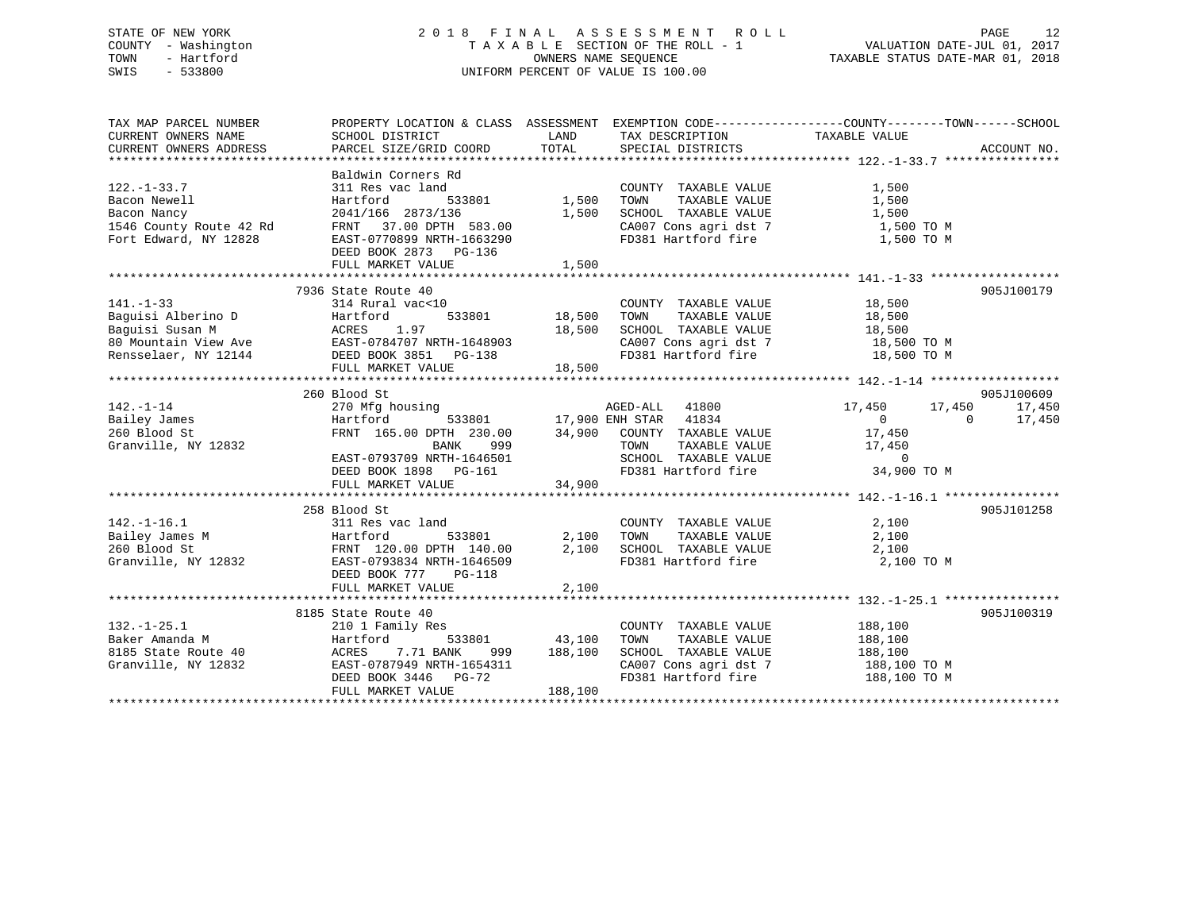## STATE OF NEW YORK 2 0 1 8 F I N A L A S S E S S M E N T R O L L PAGE 12 COUNTY - Washington T A X A B L E SECTION OF THE ROLL - 1 VALUATION DATE-JUL 01, 2017 TOWN - Hartford **TAXABLE STATUS DATE-MAR 01, 2018** OWNERS NAME SEQUENCE TAXABLE STATUS DATE-MAR 01, 2018 SWIS - 533800 UNIFORM PERCENT OF VALUE IS 100.00

| TAX MAP PARCEL NUMBER                                                                                | PROPERTY LOCATION & CLASS ASSESSMENT EXEMPTION CODE----------------COUNTY-------TOWN------SCHOOL                                                                                                                                                                                                             |                                         |                                                                                                                                                                                              |                                                             |                                |
|------------------------------------------------------------------------------------------------------|--------------------------------------------------------------------------------------------------------------------------------------------------------------------------------------------------------------------------------------------------------------------------------------------------------------|-----------------------------------------|----------------------------------------------------------------------------------------------------------------------------------------------------------------------------------------------|-------------------------------------------------------------|--------------------------------|
| $122. - 1 - 33.7$<br>Bacon Newell<br>Bacon Nancy<br>1546 County Route 42 Rd<br>Fort Edward, NY 12828 | Baldwin Corners Rd<br>311 Res vac land<br>Hartford<br>2041/166 2873/136<br>2041/100 2873/130 1,500<br>FRNT 37.00 DPTH 583.00<br>EAST-0770899 NRTH-1663290<br>DEED BOOK 2873 PG-136<br>FULL MARKET VALUE                                                                                                      | $533801$ 1,500<br>1,500<br>1,500        | COUNTY TAXABLE VALUE<br>TAXABLE VALUE<br>TOWN<br>SCHOOL TAXABLE VALUE<br>CA007 Cons agri dst 7 1,500 TO M<br>FD381 Hartford fire 1,500 TO M                                                  | 1,500<br>1,500<br>1,500                                     |                                |
|                                                                                                      | 7936 State Route 40                                                                                                                                                                                                                                                                                          | 0 COUNTY<br>533801 18,500 TOWN          | COUNTY TAXABLE VALUE 18,500<br>TOWN TAXABLE VALUE 18,500<br>TOWN TAXABLE VALUE 18,500<br>SCHOOL TAXABLE VALUE 18,500<br>CA007 Cons agri dst 7 18,500 TO M<br>FD381 Hartford fire 18,500 TO M |                                                             | 905J100179                     |
| $142. - 1 - 14$<br>Bailey James<br>260 Blood St<br>Granville, NY 12832                               | 260 Blood St<br>Blood St<br>270 Mfg housing<br>Hartford 533801 17,900 ENH STAR 41834 0<br>FRNT 165.00 DPTH 230.00 34,900 COUNTY TAXABLE VALUE 17,450<br>TOWN TAXABLE VALUE 17,450<br>TOWN TAXABLE VALUE 17,450<br>BANK 999<br>EAST-0793709 NRTH-1646501<br>DEED BOOK 1898 PG-161<br>FULL MARKET VALUE 34,900 |                                         |                                                                                                                                                                                              | 17,450 17,450<br>$\begin{array}{ccc} 0 & & & 0 \end{array}$ | 905J100609<br>17,450<br>17,450 |
|                                                                                                      | 258 Blood St<br>142.-1-16.1<br>Bailey James M<br>260 Blood St<br>Granville, NY 12832<br>27.100 BEED BOOK 777<br>27.100 BEED BOOK 777<br>27.100 BEED BOOK 777<br>27.100 BEED BOOK 777<br>27.100 BEED BOOK 777<br>27.100 BEED BOOK 777<br>27.100 BEED BOOK 777<br>27.1<br>FULL MARKET VALUE                    | $533801$ 2,100<br>2,100<br>2,100        | COUNTY TAXABLE VALUE<br>TAXABLE VALUE<br>TOWN<br>SCHOOL TAXABLE VALUE $2,100$<br>FD381 Hartford fire $2,100$                                                                                 | 2,100<br>2,100<br>2,100 TO M                                | 905J101258                     |
| $132. - 1 - 25.1$<br>152.-1-25.1<br>Baker Amanda M<br>8185 State Route 40<br>Granville, NY 12832     | 8185 State Route 40<br>210 1 Family Res<br>Hartford<br>ACRES 7.71 BANK<br>EAST-0787949 NRTH-1654311<br>DEED BOOK 3446 PG-72<br>FULL MARKET VALUE                                                                                                                                                             | 533801 43,100<br>999 188,100<br>188,100 | COUNTY TAXABLE VALUE 188,100<br>TOWN<br>TAXABLE VALUE<br>SCHOOL TAXABLE VALUE 188,100<br>CA007 Cons agri dst 7 188,100 TO M<br>FD381 Hartford fire 188,100 TO M                              | 188,100                                                     | 905J100319                     |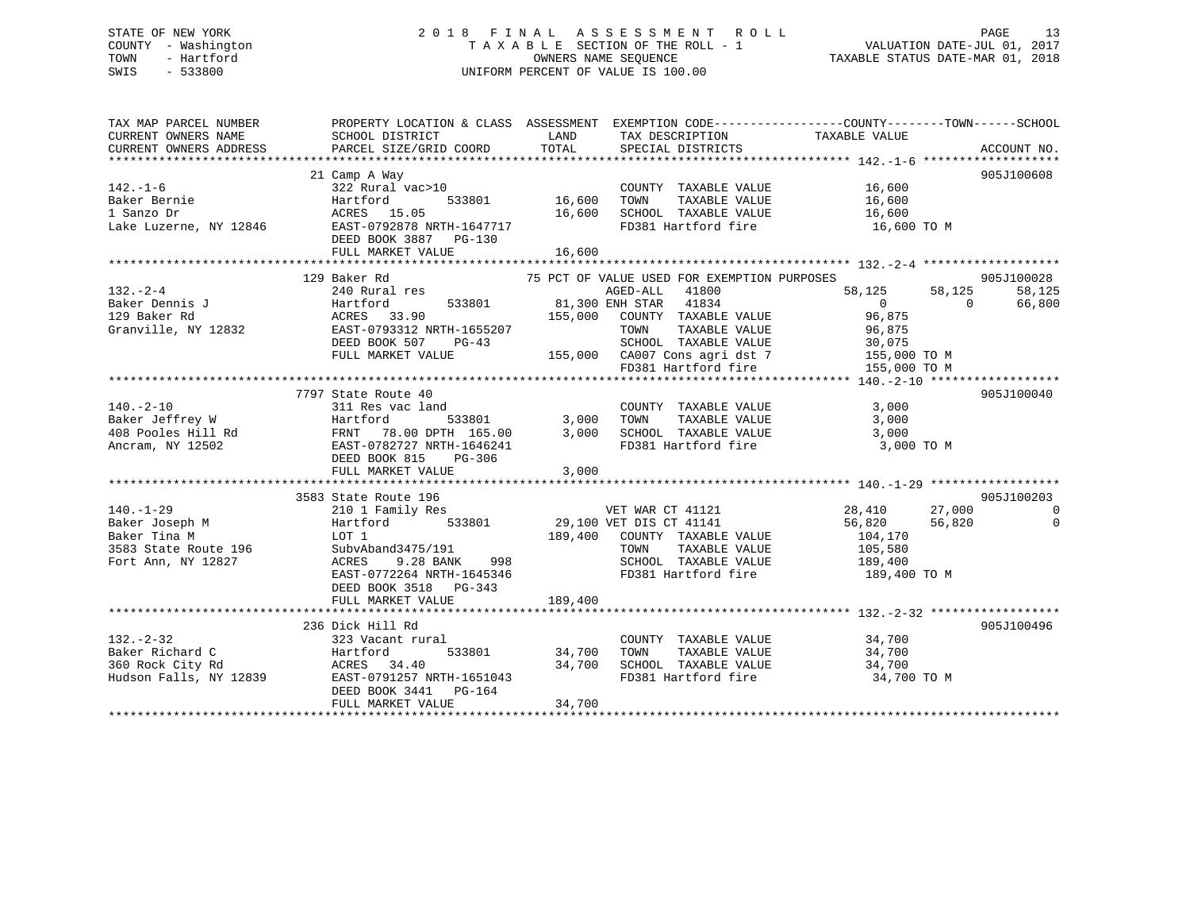## STATE OF NEW YORK 2 0 1 8 F I N A L A S S E S S M E N T R O L L PAGE 13 COUNTY - Washington T A X A B L E SECTION OF THE ROLL - 1 VALUATION DATE-JUL 01, 2017 TOWN - Hartford **TAXABLE STATUS DATE-MAR 01, 2018** OWNERS NAME SEQUENCE TAXABLE STATUS DATE-MAR 01, 2018 SWIS - 533800 UNIFORM PERCENT OF VALUE IS 100.00

| TAX MAP PARCEL NUMBER | PROPERTY LOCATION & CLASS ASSESSMENT EXEMPTION CODE----------------COUNTY-------TOWN------SCHOOL                                                                                                                                                                                                                                                                                                    |        |                                                                                                                                                                                                                                                                                                                                                                                                                                                             |                                 |                                |
|-----------------------|-----------------------------------------------------------------------------------------------------------------------------------------------------------------------------------------------------------------------------------------------------------------------------------------------------------------------------------------------------------------------------------------------------|--------|-------------------------------------------------------------------------------------------------------------------------------------------------------------------------------------------------------------------------------------------------------------------------------------------------------------------------------------------------------------------------------------------------------------------------------------------------------------|---------------------------------|--------------------------------|
| $142. - 1 - 6$        | 21 Camp A Way<br>322 Rural<br>16,600<br>Hartford 533801 16,600<br>ACRES 15.05<br>16,600<br>Paker Bernie (1991)<br>16,600<br>16,600<br>16,600<br>16,600<br>16,600<br>16,600<br>16,600<br>16,600<br>16,600<br>16,600<br>16,600<br>2007<br>2007<br>2007<br>2017<br>2017<br>DEED BOOK 3887 PG-130                                                                                                       |        | $\begin{tabular}{lllll} \multicolumn{2}{l}{{\bf \texttt{COUNTY}}} & \multicolumn{2}{l}{\bf \texttt{TAXABLE} } \texttt{VALUE} & \multicolumn{2}{l}{\bf \texttt{16,600}} \\ \multicolumn{2}{l}{\bf \texttt{COUNTY}} & \multicolumn{2}{l}{\bf \texttt{TAXABLE} } \texttt{VALUE} & \multicolumn{2}{l}{\bf \texttt{16,600}} \\ \multicolumn{2}{l}{\bf \texttt{16,600}} & \multicolumn{2}{l}{\bf \texttt{16,700}} & \multicolumn{2}{l}{\bf \texttt{16,700}} \\ \$ | FD381 Hartford fire 16,600 TO M | 905J100608                     |
|                       |                                                                                                                                                                                                                                                                                                                                                                                                     |        |                                                                                                                                                                                                                                                                                                                                                                                                                                                             |                                 |                                |
|                       | $\begin{tabular}{l c c c c c c} \multicolumn{3}{c c c c} \multicolumn{3}{c c c} \multicolumn{3}{c c c} \multicolumn{3}{c c c} \multicolumn{3}{c c c} \multicolumn{3}{c c c} \multicolumn{3}{c c c} \multicolumn{3}{c c c} \multicolumn{3}{c c c} \multicolumn{3}{c c c} \multicolumn{3}{c c c} \multicolumn{3}{c c c} \multicolumn{3}{c c c} \multicolumn{3}{c c c} \multicolumn{3}{c c c} \multic$ |        |                                                                                                                                                                                                                                                                                                                                                                                                                                                             | $58,125$ $58,125$               | 905J100028<br>58,125<br>66,800 |
|                       |                                                                                                                                                                                                                                                                                                                                                                                                     |        |                                                                                                                                                                                                                                                                                                                                                                                                                                                             |                                 |                                |
|                       | 7797 State Route 40<br>140.-2-10<br>Baker Jeffrey W 311 Res vac land<br>2000 Hartford 533801 3,000 TOWN TAXABLE VALUE 3,000<br>408 Pooles Hill Rd FRNT 78.00 DPTH 165.00 3,000 SCHOOL TAXABLE VALUE 3,000<br>2000 Ancram, NY 12502 EAST-0782727 NRTH-1646241                                                                                                                                        |        |                                                                                                                                                                                                                                                                                                                                                                                                                                                             |                                 | 905J100040                     |
|                       |                                                                                                                                                                                                                                                                                                                                                                                                     |        |                                                                                                                                                                                                                                                                                                                                                                                                                                                             |                                 | 905J100203                     |
|                       | 3583 State Route 196<br>210 1 Family Res<br>29,100 VET WAR CT 41121<br>28,410<br>29,100 VET DIS CT 41141<br>56,820<br>29,410<br>56,820<br>29,100 VET DIS CT 41141<br>56,820<br>29,100 VET DIS CT 41141<br>56,820<br>29,100 VET DIS CT 41141<br>56,820<br>2<br>EAST-0772264 NRTH-1645346<br>DEED BOOK 3518 PG-343                                                                                    |        | FD381 Hartford fire 189,400 TO M                                                                                                                                                                                                                                                                                                                                                                                                                            | 28,410 27,000<br>56,820         | $\overline{0}$<br>$\Omega$     |
|                       |                                                                                                                                                                                                                                                                                                                                                                                                     |        |                                                                                                                                                                                                                                                                                                                                                                                                                                                             |                                 |                                |
|                       | Dick Hill Rd<br>323 Vacant rural<br>533801 34,700 TOWN<br>DEED BOOK 3441 PG-164<br>FULL MARKET VALUE                                                                                                                                                                                                                                                                                                | 34,700 | COUNTY TAXABLE VALUE 34,700<br>TOWN TAXABLE VALUE 34,700<br>SCHOOL TAXABLE VALUE 34,700<br>FD381 Hartford fire                                                                                                                                                                                                                                                                                                                                              | 34,700 TO M                     | 905J100496                     |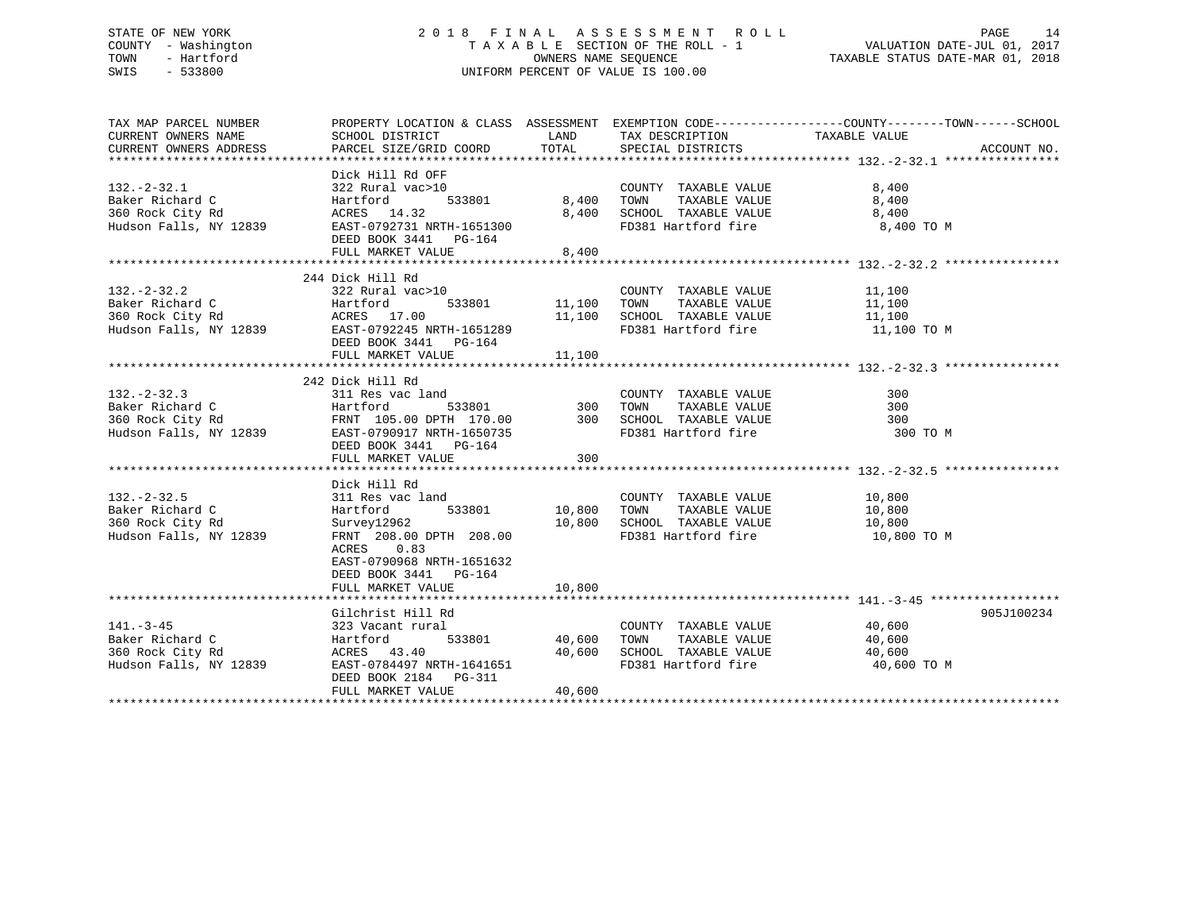## STATE OF NEW YORK 2 0 1 8 F I N A L A S S E S S M E N T R O L L PAGE 14 COUNTY - Washington T A X A B L E SECTION OF THE ROLL - 1 VALUATION DATE-JUL 01, 2017 TOWN - Hartford **TAXABLE STATUS DATE-MAR 01, 2018** OWNERS NAME SEQUENCE TAXABLE STATUS DATE-MAR 01, 2018 SWIS - 533800 UNIFORM PERCENT OF VALUE IS 100.00

| TAX MAP PARCEL NUMBER<br>CURRENT OWNERS NAME                                                                                                                                                                                                      | PROPERTY LOCATION & CLASS ASSESSMENT EXEMPTION CODE----------------COUNTY-------TOWN------SCHOOL<br>SCHOOL DISTRICT | <b>EXAMPLE TO A LAND THE EXAMPLE THE SET OF STATE</b> | TAX DESCRIPTION TAXABLE VALUE                                                                                                                                             |             |             |
|---------------------------------------------------------------------------------------------------------------------------------------------------------------------------------------------------------------------------------------------------|---------------------------------------------------------------------------------------------------------------------|-------------------------------------------------------|---------------------------------------------------------------------------------------------------------------------------------------------------------------------------|-------------|-------------|
| CURRENT OWNERS ADDRESS                                                                                                                                                                                                                            | PARCEL SIZE/GRID COORD TOTAL                                                                                        |                                                       | SPECIAL DISTRICTS                                                                                                                                                         |             | ACCOUNT NO. |
|                                                                                                                                                                                                                                                   | Dick Hill Rd OFF                                                                                                    |                                                       |                                                                                                                                                                           |             |             |
| $132 - 2 - 32.1$                                                                                                                                                                                                                                  | 322 Rural vac>10                                                                                                    |                                                       | 0 COUNTY TAXABLE VALUE<br>533801 8,400 TOWN TAXABLE VALUE                                                                                                                 | 8,400       |             |
|                                                                                                                                                                                                                                                   |                                                                                                                     |                                                       |                                                                                                                                                                           | 8,400       |             |
|                                                                                                                                                                                                                                                   |                                                                                                                     |                                                       | 8,400 SCHOOL TAXABLE VALUE 8,400                                                                                                                                          |             |             |
|                                                                                                                                                                                                                                                   | DEED BOOK 3441 PG-164<br>FULL MARKET VALUE                                                                          | 8,400                                                 | FD381 Hartford fire                                                                                                                                                       | 8,400 TO M  |             |
|                                                                                                                                                                                                                                                   |                                                                                                                     |                                                       |                                                                                                                                                                           |             |             |
|                                                                                                                                                                                                                                                   | 244 Dick Hill Rd                                                                                                    |                                                       |                                                                                                                                                                           |             |             |
|                                                                                                                                                                                                                                                   |                                                                                                                     |                                                       |                                                                                                                                                                           |             |             |
|                                                                                                                                                                                                                                                   |                                                                                                                     |                                                       |                                                                                                                                                                           |             |             |
|                                                                                                                                                                                                                                                   |                                                                                                                     |                                                       |                                                                                                                                                                           |             |             |
|                                                                                                                                                                                                                                                   |                                                                                                                     |                                                       |                                                                                                                                                                           | 11,100 TO M |             |
| 132.-2-32.2<br>Baker Richard C 11,100<br>360 Rock City Rd 11,100<br>Hudson Falls, NY 12839<br>EAST-0792245 NRTH-1651289<br>EAST-0792245 NRTH-1651289<br>EAST-0792245 NRTH-1651289<br>FD381 Hartford fire 11,100<br>FD381 Hartford fire 11,100<br> | DEED BOOK 3441 PG-164                                                                                               |                                                       |                                                                                                                                                                           |             |             |
|                                                                                                                                                                                                                                                   |                                                                                                                     |                                                       |                                                                                                                                                                           |             |             |
|                                                                                                                                                                                                                                                   |                                                                                                                     |                                                       |                                                                                                                                                                           |             |             |
|                                                                                                                                                                                                                                                   | 242 Dick Hill Rd                                                                                                    |                                                       |                                                                                                                                                                           |             |             |
|                                                                                                                                                                                                                                                   |                                                                                                                     |                                                       |                                                                                                                                                                           |             |             |
|                                                                                                                                                                                                                                                   |                                                                                                                     |                                                       |                                                                                                                                                                           |             |             |
|                                                                                                                                                                                                                                                   |                                                                                                                     |                                                       |                                                                                                                                                                           |             |             |
| 311 Res vac land<br>311 Res vac land<br>360 Rock City Rd 360 Rock City Rd 370 Rock City Rd 370 Rock City Rd 370 RD 2839<br>370 RM 2839 EAST-0799171 RTH-1650735<br>424 DICK HILL KON<br>533801 300 TOWN TAXABLE VALUE<br>300 TOWN TAXABLE         |                                                                                                                     |                                                       |                                                                                                                                                                           | 300 TO M    |             |
|                                                                                                                                                                                                                                                   | DEED BOOK 3441 PG-164                                                                                               |                                                       |                                                                                                                                                                           |             |             |
|                                                                                                                                                                                                                                                   | FULL MARKET VALUE                                                                                                   | 300                                                   |                                                                                                                                                                           |             |             |
|                                                                                                                                                                                                                                                   |                                                                                                                     |                                                       |                                                                                                                                                                           |             |             |
|                                                                                                                                                                                                                                                   | Dick Hill Rd                                                                                                        |                                                       |                                                                                                                                                                           |             |             |
|                                                                                                                                                                                                                                                   |                                                                                                                     |                                                       | COUNTY TAXABLE VALUE 10,800                                                                                                                                               |             |             |
|                                                                                                                                                                                                                                                   |                                                                                                                     |                                                       |                                                                                                                                                                           |             |             |
|                                                                                                                                                                                                                                                   |                                                                                                                     |                                                       | 10,800<br>10,800 SCHOOL TAXABLE VALUE 10,800<br>Encesiments in the 10,800                                                                                                 |             |             |
|                                                                                                                                                                                                                                                   | FRNT 208.00 DPTH 208.00                                                                                             |                                                       | FD381 Hartford fire 10,800 TO M                                                                                                                                           |             |             |
|                                                                                                                                                                                                                                                   | ACRES 0.83<br>EAST-0790968 NRTH-1651632<br>DEED BOOK 3441 PG-164                                                    |                                                       |                                                                                                                                                                           |             |             |
|                                                                                                                                                                                                                                                   | FULL MARKET VALUE                                                                                                   | 10,800                                                |                                                                                                                                                                           |             |             |
|                                                                                                                                                                                                                                                   |                                                                                                                     |                                                       |                                                                                                                                                                           |             |             |
|                                                                                                                                                                                                                                                   | Gilchrist Hill Rd                                                                                                   |                                                       |                                                                                                                                                                           |             | 905J100234  |
| $141. - 3 - 45$                                                                                                                                                                                                                                   | 323 Vacant rural                                                                                                    |                                                       | COUNTY TAXABLE VALUE 40,600                                                                                                                                               |             |             |
| Baker Richard C                                                                                                                                                                                                                                   |                                                                                                                     | 533801 40,600                                         |                                                                                                                                                                           |             |             |
|                                                                                                                                                                                                                                                   | Hartford<br>ACRES    43.40<br>ACRES 43.40                                                                           | 40,600                                                |                                                                                                                                                                           |             |             |
| 360 Rock City Rd<br>Hudson Falls, NY 12839                                                                                                                                                                                                        | EAST-0784497 NRTH-1641651                                                                                           |                                                       | TOWN     TAXABLE VALUE                         40,600<br>SCHOOL   TAXABLE VALUE                         40,600<br>FD381 Hartford fire                         40,600 TO M |             |             |
|                                                                                                                                                                                                                                                   | DEED BOOK 2184 PG-311                                                                                               |                                                       |                                                                                                                                                                           |             |             |
|                                                                                                                                                                                                                                                   | FULL MARKET VALUE                                                                                                   | 40,600                                                |                                                                                                                                                                           |             |             |
|                                                                                                                                                                                                                                                   |                                                                                                                     |                                                       |                                                                                                                                                                           |             |             |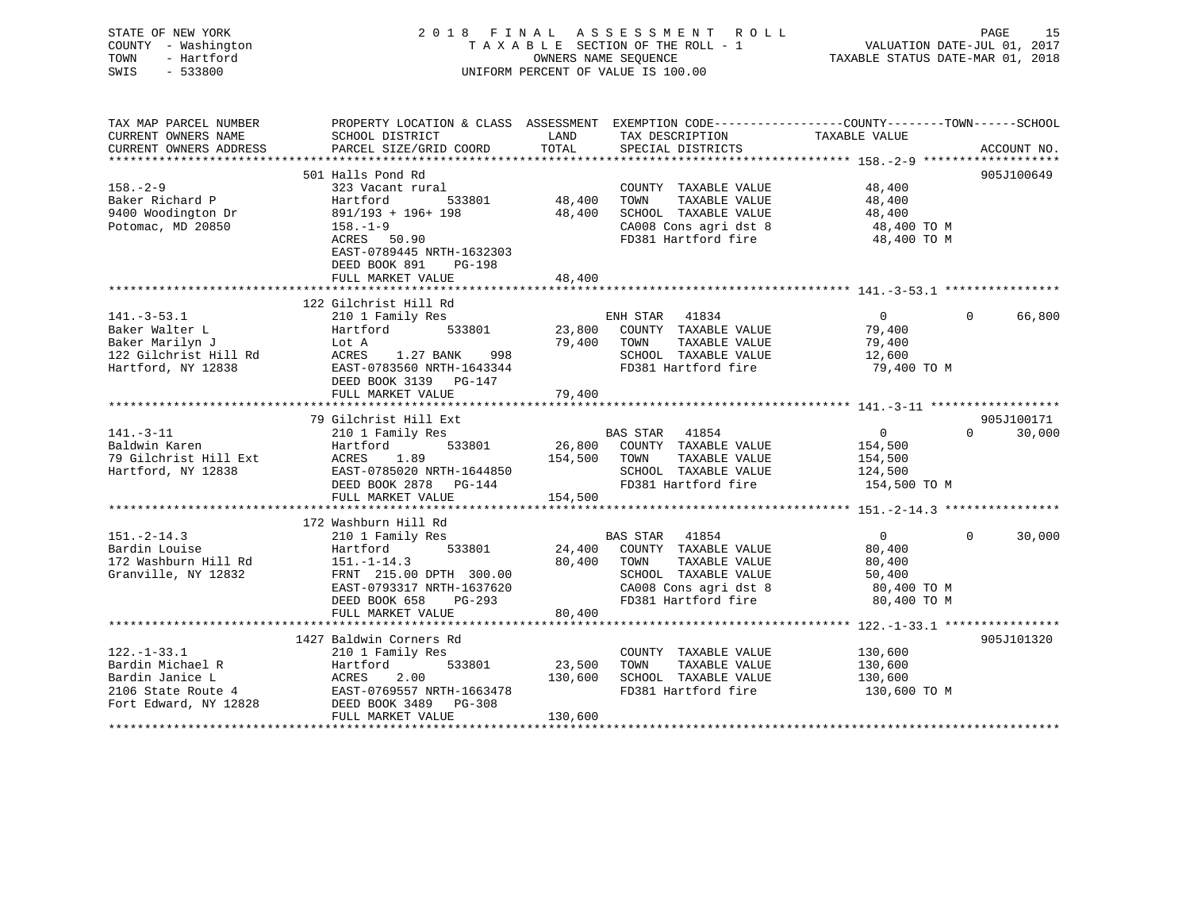| STATE OF NEW YORK<br>COUNTY - Washington<br>- Hartford<br>TOWN<br>SWIS<br>$-533800$ |                                                                                                  | OWNERS NAME SEOUENCE | 2018 FINAL ASSESSMENT ROLL<br>TAXABLE SECTION OF THE ROLL - 1<br>UNIFORM PERCENT OF VALUE IS 100.00 | VALUATION DATE-JUL 01, 2017<br>VALUATION FILE --<br>TAXABLE STATUS DATE-MAR 01, 2018 | PAGE<br>15                       |
|-------------------------------------------------------------------------------------|--------------------------------------------------------------------------------------------------|----------------------|-----------------------------------------------------------------------------------------------------|--------------------------------------------------------------------------------------|----------------------------------|
| TAX MAP PARCEL NUMBER                                                               | PROPERTY LOCATION & CLASS ASSESSMENT EXEMPTION CODE----------------COUNTY-------TOWN------SCHOOL |                      |                                                                                                     |                                                                                      |                                  |
| CURRENT OWNERS NAME                                                                 | SCHOOL DISTRICT                                                                                  | LAND                 | TAX DESCRIPTION                                                                                     | TAXABLE VALUE                                                                        |                                  |
| CURRENT OWNERS ADDRESS                                                              | PARCEL SIZE/GRID COORD                                                                           | TOTAL                | SPECIAL DISTRICTS                                                                                   |                                                                                      | ACCOUNT NO.                      |
|                                                                                     |                                                                                                  |                      |                                                                                                     |                                                                                      |                                  |
| $158. - 2 - 9$                                                                      | 501 Halls Pond Rd                                                                                |                      |                                                                                                     |                                                                                      | 905J100649                       |
| Baker Richard P                                                                     | 323 Vacant rural<br>533801<br>Hartford                                                           | 48,400               | COUNTY TAXABLE VALUE<br>TOWN<br>TAXABLE VALUE                                                       | 48,400<br>48,400                                                                     |                                  |
| 9400 Woodington Dr                                                                  | 891/193 + 196+ 198                                                                               | 48,400               | SCHOOL TAXABLE VALUE                                                                                | 48,400                                                                               |                                  |
| Potomac, MD 20850                                                                   | $158. - 1 - 9$                                                                                   |                      | CA008 Cons agri dst 8                                                                               | 48,400 TO M                                                                          |                                  |
|                                                                                     | ACRES 50.90                                                                                      |                      | FD381 Hartford fire                                                                                 | 48,400 TO M                                                                          |                                  |
|                                                                                     | EAST-0789445 NRTH-1632303                                                                        |                      |                                                                                                     |                                                                                      |                                  |
|                                                                                     | DEED BOOK 891<br>PG-198                                                                          |                      |                                                                                                     |                                                                                      |                                  |
|                                                                                     | FULL MARKET VALUE                                                                                | 48,400               |                                                                                                     |                                                                                      |                                  |
|                                                                                     |                                                                                                  |                      |                                                                                                     |                                                                                      |                                  |
| $141. - 3 - 53.1$                                                                   | 122 Gilchrist Hill Rd<br>210 1 Family Res                                                        |                      | ENH STAR 41834                                                                                      | $\overline{0}$                                                                       | $\Omega$<br>66,800               |
| Baker Walter L                                                                      | Hartford<br>533801                                                                               |                      | 23,800 COUNTY TAXABLE VALUE                                                                         | 79,400                                                                               |                                  |
| Baker Marilyn J                                                                     | Lot A                                                                                            |                      | TAXABLE VALUE<br>79,400 TOWN                                                                        | 79,400                                                                               |                                  |
| 122 Gilchrist Hill Rd                                                               | 1.27 BANK<br>ACRES<br>998                                                                        |                      | SCHOOL TAXABLE VALUE                                                                                | 12,600                                                                               |                                  |
| Hartford, NY 12838                                                                  | EAST-0783560 NRTH-1643344                                                                        |                      | FD381 Hartford fire                                                                                 | 79,400 TO M                                                                          |                                  |
|                                                                                     | DEED BOOK 3139 PG-147                                                                            |                      |                                                                                                     |                                                                                      |                                  |
|                                                                                     | FULL MARKET VALUE                                                                                | 79,400               |                                                                                                     |                                                                                      |                                  |
|                                                                                     |                                                                                                  |                      |                                                                                                     |                                                                                      |                                  |
| $141. - 3 - 11$                                                                     | 79 Gilchrist Hill Ext<br>210 1 Family Res                                                        |                      | BAS STAR 41854                                                                                      | $0 \qquad \qquad$                                                                    | 905J100171<br>$\Omega$<br>30,000 |
| Baldwin Karen                                                                       | 533801<br>Hartford                                                                               |                      | 26,800 COUNTY TAXABLE VALUE                                                                         | 154,500                                                                              |                                  |
| 79 Gilchrist Hill Ext                                                               | ACRES<br>1.89                                                                                    |                      | 154,500 TOWN<br>TAXABLE VALUE                                                                       | 154,500                                                                              |                                  |
| Hartford, NY 12838                                                                  | EAST-0785020 NRTH-1644850                                                                        |                      | SCHOOL TAXABLE VALUE                                                                                | 124,500                                                                              |                                  |
|                                                                                     | DEED BOOK 2878 PG-144                                                                            |                      | FD381 Hartford fire                                                                                 | 154,500 TO M                                                                         |                                  |
|                                                                                     | FULL MARKET VALUE                                                                                | 154,500              |                                                                                                     |                                                                                      |                                  |
|                                                                                     |                                                                                                  |                      |                                                                                                     |                                                                                      |                                  |
|                                                                                     | 172 Washburn Hill Rd                                                                             |                      |                                                                                                     |                                                                                      |                                  |
| $151. - 2 - 14.3$                                                                   | 210 1 Family Res                                                                                 |                      | BAS STAR 41854                                                                                      | 0                                                                                    | 30,000<br>$\mathbf{0}$           |
| Bardin Louise                                                                       | 533801<br>Hartford                                                                               | 24,400               | COUNTY TAXABLE VALUE                                                                                | 80,400                                                                               |                                  |
| 172 Washburn Hill Rd<br>Granville, NY 12832                                         | $151. - 1 - 14.3$<br>FRNT 215.00 DPTH 300.00                                                     | 80,400               | TAXABLE VALUE<br>TOWN<br>SCHOOL TAXABLE VALUE                                                       | 80,400<br>50,400                                                                     |                                  |
|                                                                                     | EAST-0793317 NRTH-1637620                                                                        |                      | CA008 Cons agri dst 8                                                                               | 80,400 TO M                                                                          |                                  |
|                                                                                     | DEED BOOK 658<br>PG-293                                                                          |                      | FD381 Hartford fire                                                                                 | 80,400 TO M                                                                          |                                  |
|                                                                                     | FULL MARKET VALUE                                                                                | 80,400               |                                                                                                     |                                                                                      |                                  |
|                                                                                     |                                                                                                  |                      |                                                                                                     |                                                                                      |                                  |
|                                                                                     | 1427 Baldwin Corners Rd                                                                          |                      |                                                                                                     |                                                                                      | 905J101320                       |
| $122. - 1 - 33.1$                                                                   | 210 1 Family Res                                                                                 |                      | COUNTY TAXABLE VALUE                                                                                | 130,600                                                                              |                                  |
| Bardin Michael R                                                                    | 533801<br>Hartford                                                                               | 23,500               | TOWN<br>TAXABLE VALUE                                                                               | 130,600                                                                              |                                  |
| Bardin Janice L                                                                     | <b>ACRES</b><br>2.00                                                                             | 130,600              | SCHOOL TAXABLE VALUE<br>FD381 Hartford fire                                                         | 130,600                                                                              |                                  |
| 2106 State Route 4<br>Fort Edward, NY 12828                                         | EAST-0769557 NRTH-1663478<br>DEED BOOK 3489 PG-308                                               |                      |                                                                                                     | 130,600 TO M                                                                         |                                  |
|                                                                                     | FULL MARKET VALUE                                                                                | 130,600              |                                                                                                     |                                                                                      |                                  |
| <b>+++++++++++++</b>                                                                |                                                                                                  |                      |                                                                                                     |                                                                                      |                                  |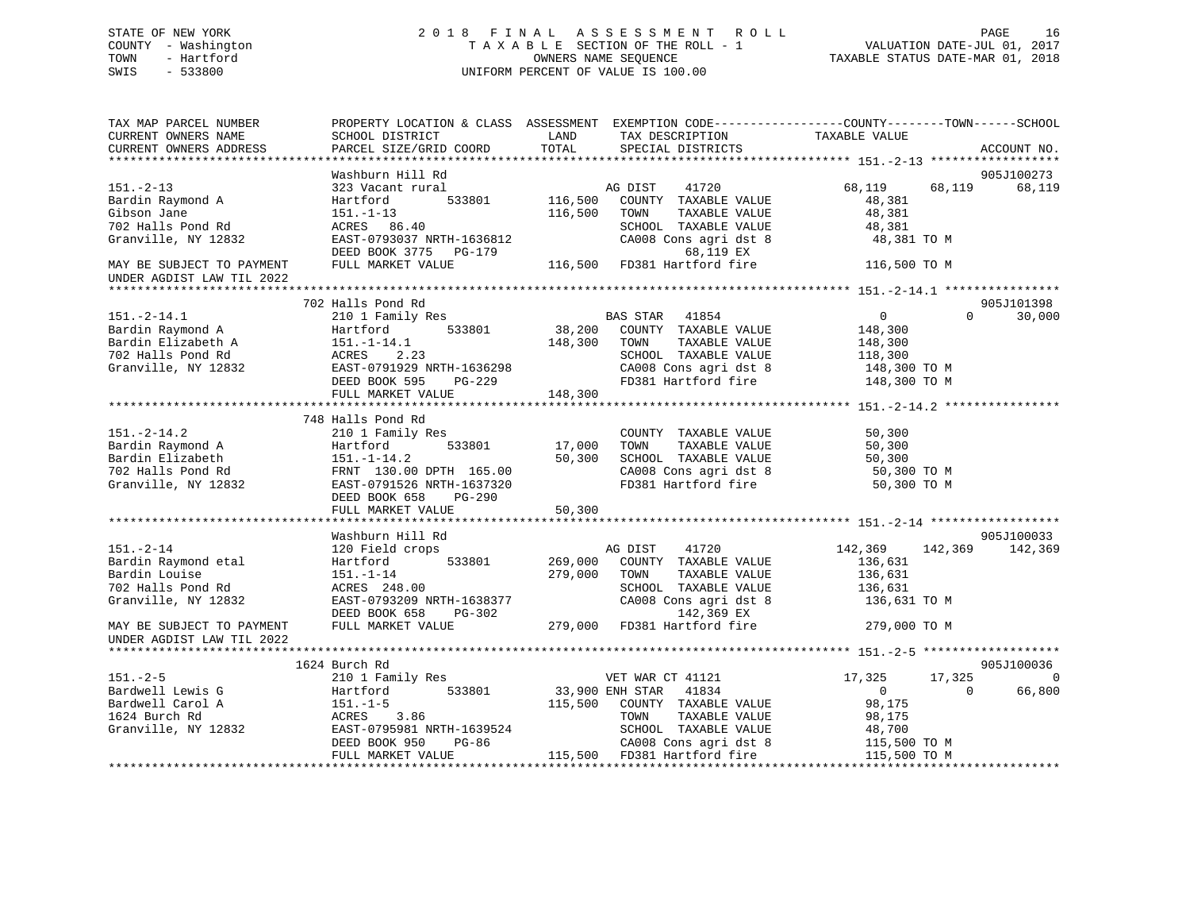## STATE OF NEW YORK 2 0 1 8 F I N A L A S S E S S M E N T R O L L PAGE 16 COUNTY - Washington T A X A B L E SECTION OF THE ROLL - 1 VALUATION DATE-JUL 01, 2017 TOWN - Hartford **TAXABLE STATUS DATE-MAR 01, 2018** OWNERS NAME SEQUENCE TAXABLE STATUS DATE-MAR 01, 2018 SWIS - 533800 UNIFORM PERCENT OF VALUE IS 100.00

| TAX MAP PARCEL NUMBER<br>CURRENT OWNERS NAME<br>CURRENT OWNERS ADDRESS | PROPERTY LOCATION & CLASS ASSESSMENT<br>SCHOOL DISTRICT<br>PARCEL SIZE/GRID COORD | LAND<br>TAX DESCRIPTION<br>TOTAL<br>SPECIAL DISTRICTS | EXEMPTION CODE-----------------COUNTY-------TOWN------SCHOOL<br>TAXABLE VALUE<br>ACCOUNT NO. |
|------------------------------------------------------------------------|-----------------------------------------------------------------------------------|-------------------------------------------------------|----------------------------------------------------------------------------------------------|
|                                                                        |                                                                                   |                                                       |                                                                                              |
|                                                                        | Washburn Hill Rd                                                                  |                                                       | 905J100273                                                                                   |
| $151. - 2 - 13$                                                        | 323 Vacant rural                                                                  | AG DIST<br>41720                                      | 68,119<br>68,119<br>68,119                                                                   |
| Bardin Raymond A                                                       | 533801<br>Hartford                                                                | 116,500<br>COUNTY TAXABLE VALUE                       | 48,381                                                                                       |
| Gibson Jane                                                            | 151.-1-13                                                                         | 116,500<br>TOWN<br>TAXABLE VALUE                      | 48,381                                                                                       |
| 702 Halls Pond Rd                                                      | ACRES 86.40                                                                       | SCHOOL TAXABLE VALUE                                  | 48,381                                                                                       |
| Granville, NY 12832                                                    | EAST-0793037 NRTH-1636812<br>DEED BOOK 3775 PG-179                                | CA008 Cons agri dst 8<br>68,119 EX                    | 48,381 TO M                                                                                  |
| MAY BE SUBJECT TO PAYMENT                                              | FULL MARKET VALUE                                                                 | 116,500 FD381 Hartford fire                           | 116,500 TO M                                                                                 |
| UNDER AGDIST LAW TIL 2022                                              |                                                                                   |                                                       |                                                                                              |
|                                                                        |                                                                                   |                                                       |                                                                                              |
|                                                                        | 702 Halls Pond Rd                                                                 |                                                       | 905J101398                                                                                   |
| $151. - 2 - 14.1$                                                      | 210 1 Family Res                                                                  | <b>BAS STAR</b><br>41854                              | $\mathbf{0}$<br>$\Omega$<br>30,000                                                           |
| Bardin Raymond A                                                       | Hartford<br>533801                                                                | 38,200<br>COUNTY TAXABLE VALUE                        | 148,300                                                                                      |
| Bardin Elizabeth A                                                     | $151.-1-14.1$                                                                     | 148,300<br>TOWN<br>TAXABLE VALUE                      | 148,300                                                                                      |
| 702 Halls Pond Rd                                                      | 2.23<br>ACRES                                                                     | SCHOOL TAXABLE VALUE                                  | 118,300                                                                                      |
| Granville, NY 12832                                                    | EAST-0791929 NRTH-1636298                                                         | CA008 Cons agri dst 8                                 | 148,300 TO M                                                                                 |
|                                                                        | DEED BOOK 595<br>PG-229                                                           | FD381 Hartford fire                                   | 148,300 TO M                                                                                 |
|                                                                        | FULL MARKET VALUE                                                                 | 148,300                                               |                                                                                              |
|                                                                        |                                                                                   |                                                       |                                                                                              |
|                                                                        | 748 Halls Pond Rd                                                                 |                                                       |                                                                                              |
| $151. - 2 - 14.2$                                                      | 210 1 Family Res                                                                  | COUNTY TAXABLE VALUE                                  | 50,300                                                                                       |
| Bardin Raymond A                                                       | 533801<br>Hartford                                                                | 17,000<br>TAXABLE VALUE<br>TOWN                       | 50,300                                                                                       |
| Bardin Elizabeth                                                       | $151. - 1 - 14.2$                                                                 | 50,300<br>SCHOOL TAXABLE VALUE                        | 50,300                                                                                       |
| 702 Halls Pond Rd                                                      | FRNT 130.00 DPTH 165.00                                                           | CA008 Cons agri dst 8                                 | 50,300 TO M                                                                                  |
| Granville, NY 12832                                                    | EAST-0791526 NRTH-1637320                                                         | FD381 Hartford fire                                   | 50,300 TO M                                                                                  |
|                                                                        | DEED BOOK 658<br>PG-290                                                           |                                                       |                                                                                              |
|                                                                        | FULL MARKET VALUE                                                                 | 50,300                                                |                                                                                              |
|                                                                        |                                                                                   |                                                       |                                                                                              |
|                                                                        | Washburn Hill Rd                                                                  |                                                       | 905J100033                                                                                   |
| $151. - 2 - 14$                                                        | 120 Field crops                                                                   | AG DIST<br>41720                                      | 142,369<br>142,369<br>142,369                                                                |
| Bardin Raymond etal                                                    | Hartford<br>533801                                                                | 269,000<br>COUNTY TAXABLE VALUE                       | 136,631                                                                                      |
| Bardin Louise                                                          | $151. - 1 - 14$                                                                   | 279,000<br>TOWN<br>TAXABLE VALUE                      | 136,631                                                                                      |
| 702 Halls Pond Rd                                                      | ACRES 248.00                                                                      | SCHOOL TAXABLE VALUE                                  | 136,631                                                                                      |
| Granville, NY 12832                                                    | EAST-0793209 NRTH-1638377                                                         | CA008 Cons agri dst 8                                 | 136,631 TO M                                                                                 |
|                                                                        | PG-302<br>DEED BOOK 658                                                           | 142,369 EX                                            |                                                                                              |
| MAY BE SUBJECT TO PAYMENT<br>UNDER AGDIST LAW TIL 2022                 | FULL MARKET VALUE                                                                 | 279,000 FD381 Hartford fire                           | 279,000 TO M                                                                                 |
|                                                                        |                                                                                   |                                                       |                                                                                              |
|                                                                        | 1624 Burch Rd                                                                     |                                                       | 905J100036                                                                                   |
| $151 - 2 - 5$                                                          | 210 1 Family Res                                                                  | VET WAR CT 41121                                      | 17,325<br>17,325<br>$\overline{0}$                                                           |
| Bardwell Lewis G                                                       | 533801<br>Hartford                                                                | 33,900 ENH STAR<br>41834                              | 66,800<br>$\overline{0}$<br>$\Omega$                                                         |
| Bardwell Carol A                                                       | $151. - 1 - 5$                                                                    | 115,500<br>COUNTY TAXABLE VALUE                       | 98,175                                                                                       |
| 1624 Burch Rd                                                          | ACRES<br>3.86                                                                     | TAXABLE VALUE<br>TOWN                                 | 98,175                                                                                       |
| Granville, NY 12832                                                    | EAST-0795981 NRTH-1639524                                                         | SCHOOL TAXABLE VALUE                                  | 48,700                                                                                       |
|                                                                        | PG-86<br>DEED BOOK 950                                                            | CA008 Cons agri dst 8                                 | 115,500 TO M                                                                                 |
|                                                                        | FULL MARKET VALUE                                                                 | 115,500 FD381 Hartford fire                           | 115,500 TO M                                                                                 |
|                                                                        |                                                                                   |                                                       |                                                                                              |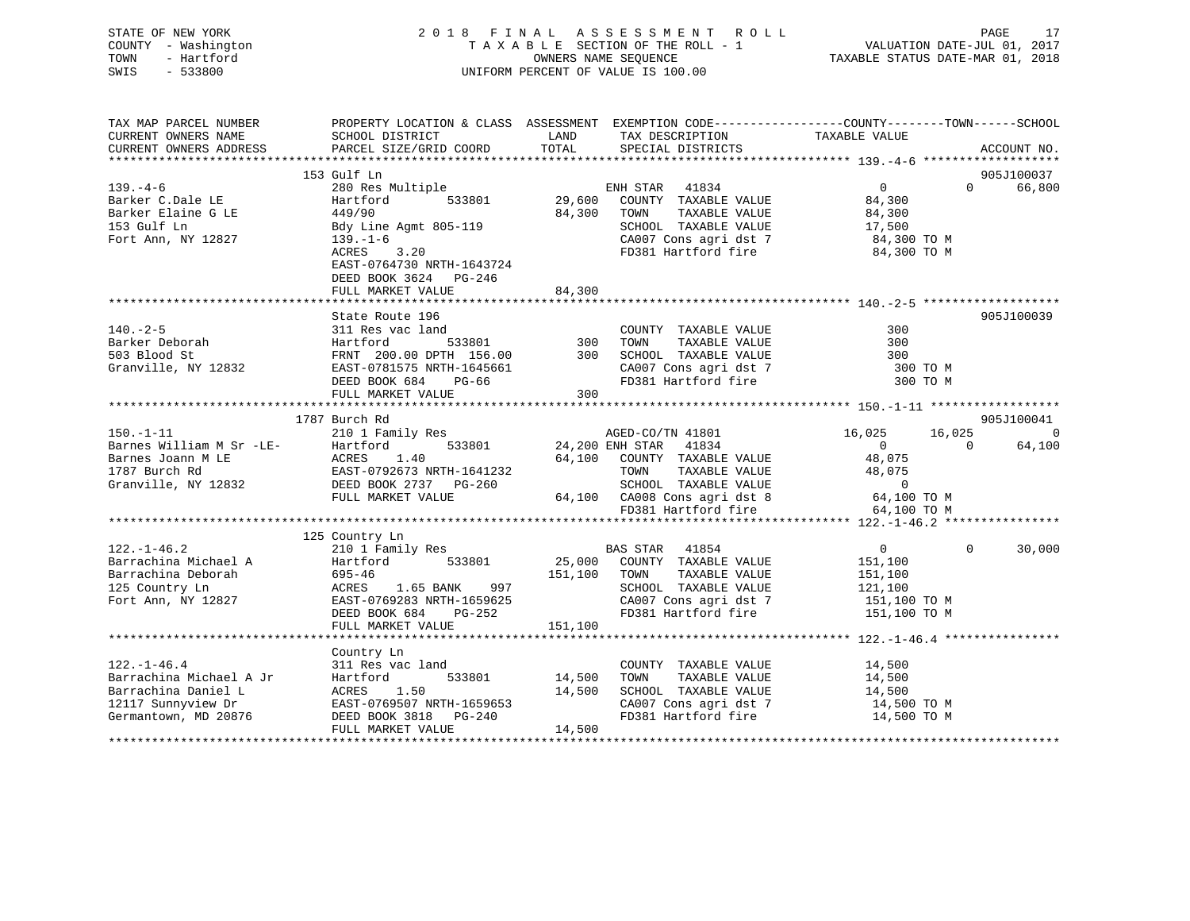| STATE OF NEW YORK   | 2018 FINAL ASSESSMENT ROLL         | PAGE                             |
|---------------------|------------------------------------|----------------------------------|
| COUNTY - Washington | TAXABLE SECTION OF THE ROLL - 1    | VALUATION DATE-JUL 01, 2017      |
| TOWN<br>- Hartford  | OWNERS NAME SEOUENCE               | TAXABLE STATUS DATE-MAR 01, 2018 |
| SWIS<br>- 533800    | UNIFORM PERCENT OF VALUE IS 100.00 |                                  |
|                     |                                    |                                  |

| TAX MAP PARCEL NUMBER                      | PROPERTY LOCATION & CLASS ASSESSMENT EXEMPTION CODE----------------COUNTY-------TOWN------SCHOOL                                                                                                           |             |                                                                                                                                                                                                                       |                      |                          |
|--------------------------------------------|------------------------------------------------------------------------------------------------------------------------------------------------------------------------------------------------------------|-------------|-----------------------------------------------------------------------------------------------------------------------------------------------------------------------------------------------------------------------|----------------------|--------------------------|
|                                            |                                                                                                                                                                                                            |             |                                                                                                                                                                                                                       |                      |                          |
|                                            |                                                                                                                                                                                                            |             |                                                                                                                                                                                                                       |                      |                          |
|                                            |                                                                                                                                                                                                            |             |                                                                                                                                                                                                                       |                      |                          |
|                                            | 153 Gulf Ln                                                                                                                                                                                                |             |                                                                                                                                                                                                                       |                      | 905J100037               |
| $139. -4 - 6$                              | 280 Res Multiple ENH STAR 41834<br>Hartford 533801 29,600 COUNTY TAXABLE VALUE                                                                                                                             |             |                                                                                                                                                                                                                       | $0$<br>84,300        | $\Omega$<br>66,800       |
| Barker C.Dale LE                           |                                                                                                                                                                                                            |             |                                                                                                                                                                                                                       |                      |                          |
| Barker Elaine G LE                         | 449/90                                                                                                                                                                                                     | 84,300 TOWN |                                                                                                                                                                                                                       | TAXABLE VALUE 84,300 |                          |
| 153 Gulf Ln                                | Bdy Line Agmt 805-119                                                                                                                                                                                      |             |                                                                                                                                                                                                                       |                      |                          |
| Fort Ann, NY 12827                         | $139. - 1 - 6$                                                                                                                                                                                             |             | SCHOOL TAXABLE VALUE 17,500<br>CA007 Cons agri dst 7 184,300 TO M                                                                                                                                                     |                      |                          |
|                                            | ACRES 3.20                                                                                                                                                                                                 |             | FD381 Hartford fire 34,300 TO M                                                                                                                                                                                       |                      |                          |
|                                            | EAST-0764730 NRTH-1643724                                                                                                                                                                                  |             |                                                                                                                                                                                                                       |                      |                          |
|                                            | DEED BOOK 3624 PG-246                                                                                                                                                                                      |             |                                                                                                                                                                                                                       |                      |                          |
|                                            | FULL MARKET VALUE                                                                                                                                                                                          | 84,300      |                                                                                                                                                                                                                       |                      |                          |
|                                            |                                                                                                                                                                                                            |             |                                                                                                                                                                                                                       |                      |                          |
|                                            |                                                                                                                                                                                                            |             |                                                                                                                                                                                                                       |                      | 905J100039               |
|                                            |                                                                                                                                                                                                            |             |                                                                                                                                                                                                                       | 300                  |                          |
|                                            |                                                                                                                                                                                                            |             | TAXABLE VALUE                                                                                                                                                                                                         | 300                  |                          |
|                                            |                                                                                                                                                                                                            |             |                                                                                                                                                                                                                       | 300                  |                          |
|                                            | EAST-0781575 NRTH-1645661<br>DEED BOOK 684 PG-66<br>FULL MARKET VALUE 300                                                                                                                                  |             | CA007 Cons agri dst 7 and 300 TO M<br>FD381 Hartford fire 300 TO M                                                                                                                                                    |                      |                          |
|                                            |                                                                                                                                                                                                            |             |                                                                                                                                                                                                                       |                      |                          |
|                                            |                                                                                                                                                                                                            |             |                                                                                                                                                                                                                       |                      |                          |
|                                            |                                                                                                                                                                                                            |             |                                                                                                                                                                                                                       |                      |                          |
|                                            | 1787 Burch Rd                                                                                                                                                                                              |             |                                                                                                                                                                                                                       |                      | 905J100041               |
| $150. - 1 - 11$                            | 210 1 Family Res                                                                                                                                                                                           |             | AGED-CO/TN 41801 16,025 16,025                                                                                                                                                                                        |                      | $\overline{0}$           |
|                                            | Barnes William M Sr -LE-<br>Barnes Joann M LE<br>1787 Burch Rd<br>1787 Burch Rd<br>1787 Burch Rd<br>1787 Burch Rd<br>1787 Burch Rd<br>1787 Burch Rd<br>1881 BOOK 2737 PG-260<br>1892 DEED BOOK 2737 PG-260 |             | Res<br>533801 24,200 ENH STAR 41834                                                                                                                                                                                   | $0$<br>48,075        | 64,100<br>$\overline{0}$ |
|                                            |                                                                                                                                                                                                            |             | 64,100 COUNTY TAXABLE VALUE<br>64,100 COUNTY TAXABLE VALUE 48,075<br>1641232 TOWN TAXABLE VALUE 48,075<br>G-260 SCHOOL TAXABLE VALUE 0<br>64,100 CA008 Cons agri dst 8 64,100 TO M<br>FD381 Hartford fire 64,100 TO M |                      |                          |
|                                            |                                                                                                                                                                                                            |             |                                                                                                                                                                                                                       |                      |                          |
|                                            |                                                                                                                                                                                                            |             |                                                                                                                                                                                                                       |                      |                          |
|                                            |                                                                                                                                                                                                            |             |                                                                                                                                                                                                                       |                      |                          |
|                                            |                                                                                                                                                                                                            |             | FD381 Hartford fire                                                                                                                                                                                                   | 64,100 TO M          |                          |
|                                            |                                                                                                                                                                                                            |             |                                                                                                                                                                                                                       |                      |                          |
|                                            | 125 Country Ln                                                                                                                                                                                             |             |                                                                                                                                                                                                                       |                      |                          |
| $122. - 1 - 46.2$                          | 210 1 Family Res                                                                                                                                                                                           |             | BAS STAR 41854                                                                                                                                                                                                        | $\overline{0}$       | $\Omega$<br>30,000       |
|                                            |                                                                                                                                                                                                            |             |                                                                                                                                                                                                                       |                      |                          |
|                                            |                                                                                                                                                                                                            |             |                                                                                                                                                                                                                       |                      |                          |
|                                            |                                                                                                                                                                                                            |             |                                                                                                                                                                                                                       |                      |                          |
|                                            |                                                                                                                                                                                                            |             |                                                                                                                                                                                                                       |                      |                          |
|                                            |                                                                                                                                                                                                            |             |                                                                                                                                                                                                                       |                      |                          |
|                                            |                                                                                                                                                                                                            |             |                                                                                                                                                                                                                       |                      |                          |
|                                            |                                                                                                                                                                                                            |             |                                                                                                                                                                                                                       |                      |                          |
|                                            | Country Ln                                                                                                                                                                                                 |             |                                                                                                                                                                                                                       |                      |                          |
| $122. - 1 - 46.4$                          | 311 Res vac land                                                                                                                                                                                           |             | COUNTY TAXABLE VALUE                                                                                                                                                                                                  | 14,500               |                          |
| Barrachina Michael A Jr                    | Hartford 533801 14,500<br>ACRES 1.50 14,500<br>EAST-0769507 NRTH-1659653 DEED BOOK 3818 PG-240                                                                                                             |             | TAXABLE VALUE<br>TOWN                                                                                                                                                                                                 | 14,500               |                          |
| Barrachina Daniel L                        |                                                                                                                                                                                                            |             | SCHOOL TAXABLE VALUE                                                                                                                                                                                                  | 14,500               |                          |
| 12117 Sunnyview Dr<br>Germantown, MD 20876 |                                                                                                                                                                                                            |             |                                                                                                                                                                                                                       |                      |                          |
|                                            |                                                                                                                                                                                                            |             | CA007 Cons agri dst 7 14,500 TO M<br>FD381 Hartford fire 14,500 TO M                                                                                                                                                  |                      |                          |
|                                            | FULL MARKET VALUE                                                                                                                                                                                          | 14,500      |                                                                                                                                                                                                                       |                      |                          |
|                                            |                                                                                                                                                                                                            |             |                                                                                                                                                                                                                       |                      |                          |

PAGE 17<br>JUL 01, 2017<br>MAR 01, 2018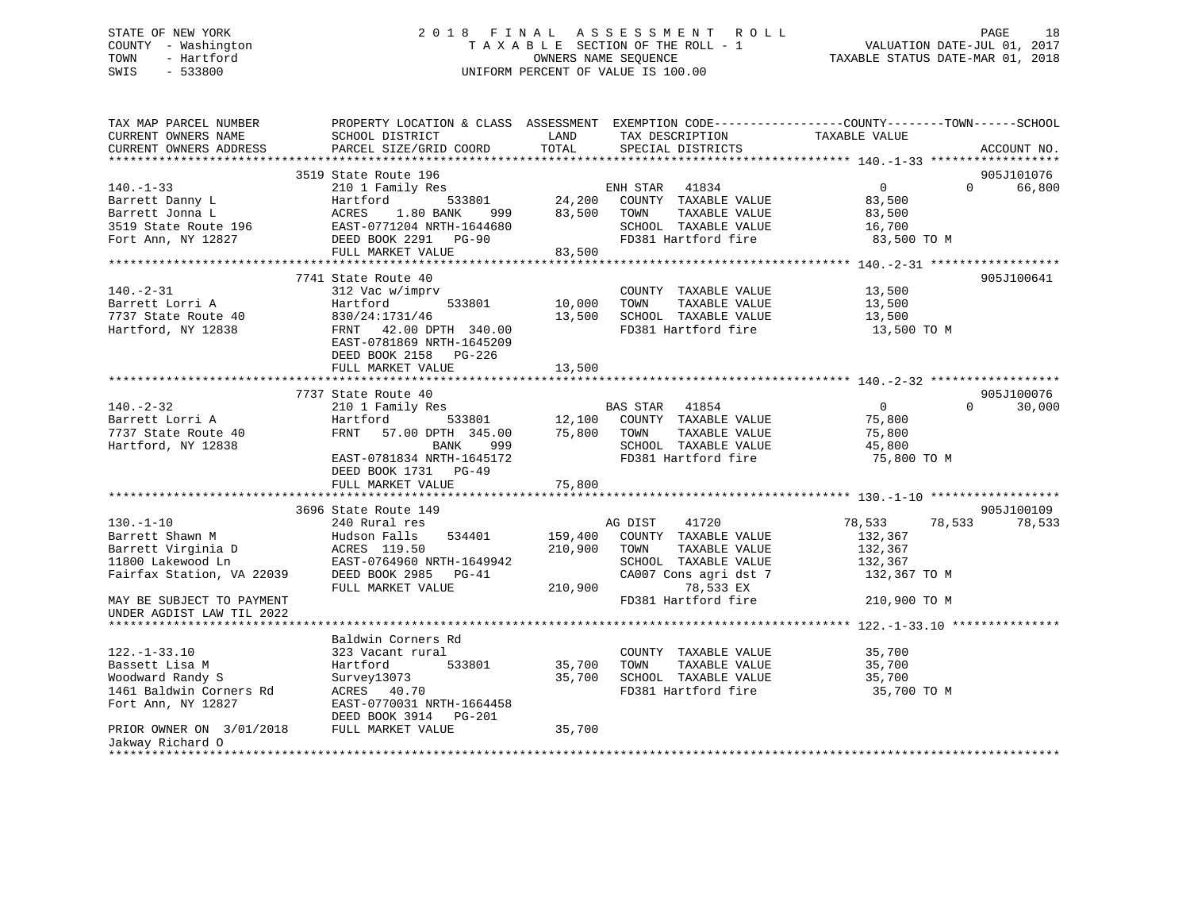## STATE OF NEW YORK 2 0 1 8 F I N A L A S S E S S M E N T R O L L PAGE 18 COUNTY - Washington T A X A B L E SECTION OF THE ROLL - 1 VALUATION DATE-JUL 01, 2017 TOWN - Hartford OWNERS NAME SEQUENCE TAXABLE STATUS DATE-MAR 01, 2018 SWIS - 533800 UNIFORM PERCENT OF VALUE IS 100.00

| TAX MAP PARCEL NUMBER<br>CURRENT OWNERS NAME                                                                                                                         | PROPERTY LOCATION & CLASS ASSESSMENT EXEMPTION CODE---------------COUNTY-------TOWN------SCHOOL<br>SCHOOL DISTRICT                                                                  | LAND                          | TAX DESCRIPTION                                                                                                                                        | TAXABLE VALUE                                                                     |                                  |
|----------------------------------------------------------------------------------------------------------------------------------------------------------------------|-------------------------------------------------------------------------------------------------------------------------------------------------------------------------------------|-------------------------------|--------------------------------------------------------------------------------------------------------------------------------------------------------|-----------------------------------------------------------------------------------|----------------------------------|
| CURRENT OWNERS ADDRESS                                                                                                                                               | PARCEL SIZE/GRID COORD                                                                                                                                                              | TOTAL                         | SPECIAL DISTRICTS                                                                                                                                      |                                                                                   | ACCOUNT NO.                      |
|                                                                                                                                                                      |                                                                                                                                                                                     |                               |                                                                                                                                                        |                                                                                   |                                  |
| $140. - 1 - 33$<br>Barrett Danny L<br>Barrett Jonna L<br>3519 State Route 196<br>Fort Ann, NY 12827                                                                  | 3519 State Route 196<br>210 1 Family Res<br>Hartford<br>533801<br>ACRES<br>1.80 BANK<br>999<br>EAST-0771204 NRTH-1644680<br>DEED BOOK 2291 PG-90<br>FULL MARKET VALUE               | 83,500<br>83,500              | ENH STAR 41834<br>24,200 COUNTY TAXABLE VALUE<br>TAXABLE VALUE<br>TOWN<br>SCHOOL TAXABLE VALUE<br>FD381 Hartford fire                                  | $\overline{0}$<br>83,500<br>83,500<br>16,700<br>83,500 TO M                       | 905J101076<br>$\Omega$<br>66,800 |
|                                                                                                                                                                      |                                                                                                                                                                                     |                               |                                                                                                                                                        |                                                                                   |                                  |
| $140. -2 - 31$<br>Barrett Lorri A<br>7737 State Route 40<br>Hartford, NY 12838                                                                                       | 7741 State Route 40<br>312 Vac w/imprv<br>533801<br>Hartford<br>830/24:1731/46<br>FRNT 42.00 DPTH 340.00<br>EAST-0781869 NRTH-1645209<br>DEED BOOK 2158 PG-226<br>FULL MARKET VALUE | 10,000<br>13,500<br>13,500    | COUNTY TAXABLE VALUE<br>TOWN<br>TAXABLE VALUE<br>SCHOOL TAXABLE VALUE<br>FD381 Hartford fire                                                           | 13,500<br>13,500<br>13,500<br>13,500 TO M                                         | 905J100641                       |
|                                                                                                                                                                      |                                                                                                                                                                                     |                               |                                                                                                                                                        |                                                                                   |                                  |
| $140. - 2 - 32$<br>Barrett Lorri A<br>7737 State Route 40<br>Hartford, NY 12838                                                                                      | 7737 State Route 40<br>210 1 Family Res<br>533801<br>Hartford<br>FRNT<br>57.00 DPTH 345.00<br>BANK<br>999<br>EAST-0781834 NRTH-1645172<br>DEED BOOK 1731 PG-49<br>FULL MARKET VALUE | 12,100<br>75,800<br>75,800    | BAS STAR 41854<br>COUNTY TAXABLE VALUE<br>TAXABLE VALUE<br>TOWN<br>SCHOOL TAXABLE VALUE<br>FD381 Hartford fire                                         | $\overline{0}$<br>75,800<br>75,800<br>45,800<br>75,800 TO M                       | 905J100076<br>30,000<br>$\Omega$ |
|                                                                                                                                                                      |                                                                                                                                                                                     |                               |                                                                                                                                                        |                                                                                   |                                  |
| $130. - 1 - 10$<br>Barrett Shawn M<br>Barrett Virginia D<br>11800 Lakewood Ln<br>Fairfax Station, VA 22039<br>MAY BE SUBJECT TO PAYMENT<br>UNDER AGDIST LAW TIL 2022 | 3696 State Route 149<br>240 Rural res<br>534401<br>Hudson Falls<br>ACRES 119.50<br>EAST-0764960 NRTH-1649942<br>DEED BOOK 2985 PG-41<br>FULL MARKET VALUE                           | 159,400<br>210,900<br>210,900 | AG DIST<br>41720<br>COUNTY TAXABLE VALUE<br>TAXABLE VALUE<br>TOWN<br>SCHOOL TAXABLE VALUE<br>CA007 Cons agri dst 7<br>78,533 EX<br>FD381 Hartford fire | 78,533<br>78,533<br>132,367<br>132,367<br>132,367<br>132,367 TO M<br>210,900 TO M | 905J100109<br>78,533             |
|                                                                                                                                                                      |                                                                                                                                                                                     |                               |                                                                                                                                                        |                                                                                   |                                  |
| $122. - 1 - 33.10$<br>Bassett Lisa M<br>Woodward Randy S<br>1461 Baldwin Corners Rd<br>Fort Ann, NY 12827                                                            | Baldwin Corners Rd<br>323 Vacant rural<br>Hartford<br>533801<br>Survey13073<br>ACRES 40.70<br>EAST-0770031 NRTH-1664458<br>DEED BOOK 3914 PG-201                                    | 35,700<br>35,700              | COUNTY TAXABLE VALUE<br>TOWN<br>TAXABLE VALUE<br>SCHOOL TAXABLE VALUE<br>FD381 Hartford fire                                                           | 35,700<br>35,700<br>35,700<br>35,700 TO M                                         |                                  |
| PRIOR OWNER ON 3/01/2018 FULL MARKET VALUE<br>Jakway Richard O                                                                                                       |                                                                                                                                                                                     | 35,700                        |                                                                                                                                                        |                                                                                   |                                  |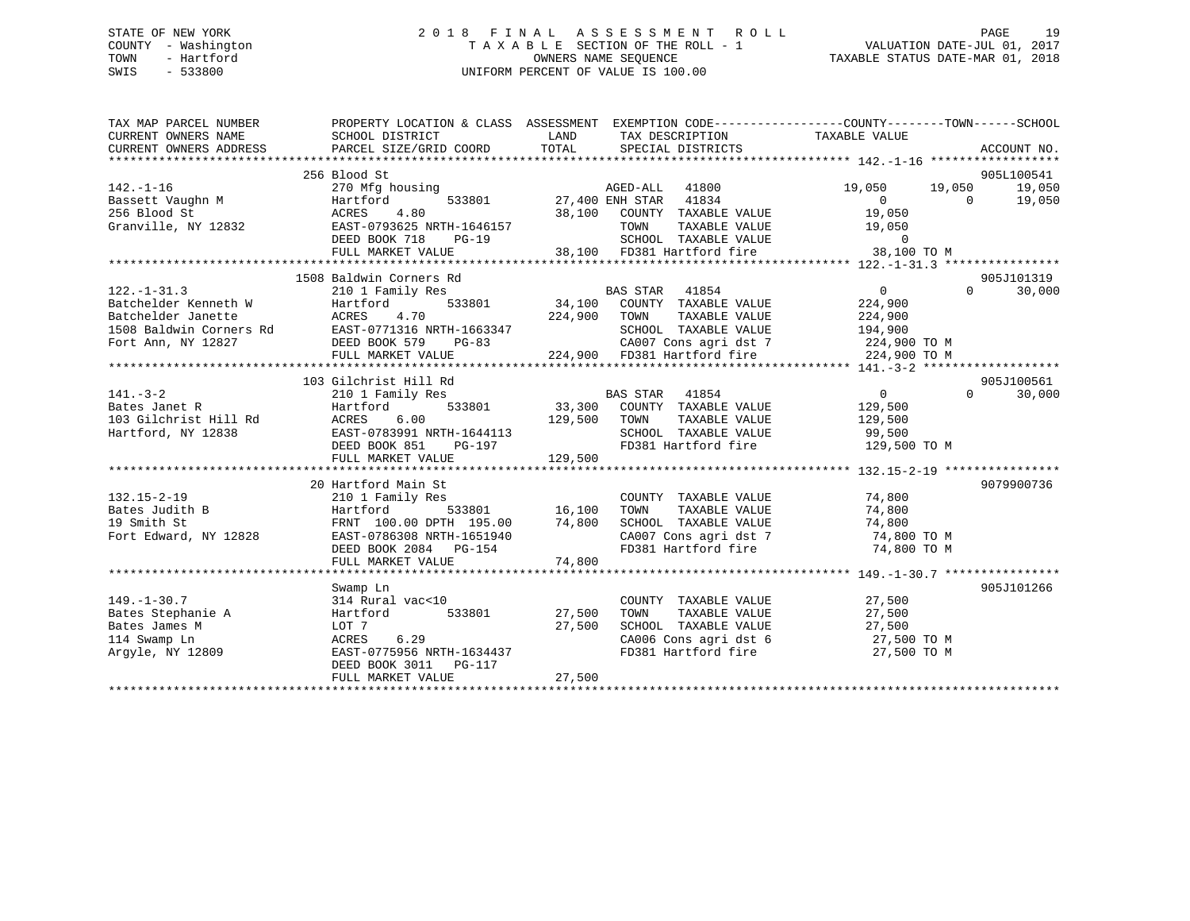## STATE OF NEW YORK 2 0 1 8 F I N A L A S S E S S M E N T R O L L PAGE 19 COUNTY - Washington T A X A B L E SECTION OF THE ROLL - 1 VALUATION DATE-JUL 01, 2017 TOWN - Hartford **TAXABLE STATUS DATE-MAR 01, 2018** OWNERS NAME SEQUENCE TAXABLE STATUS DATE-MAR 01, 2018 SWIS - 533800 UNIFORM PERCENT OF VALUE IS 100.00

| TAX MAP PARCEL NUMBER<br>CURRENT OWNERS NAME<br>CURRENT OWNERS ADDRESS FORCEL SIZE/GRID COORD TOTAL SPECIAL DISTRICTS THEORY ACCOUNT NO.<br>TERRENT OWNERS ADDRESS PARCEL SIZE/GRID COORD TOTAL SPECIAL DISTRICTS ACCOUNT NO.<br>CURRENT OWNERS ADDRESS | PROPERTY LOCATION & CLASS ASSESSMENT EXEMPTION CODE---------------COUNTY-------TOWN-----SCHOOL<br>SCHOOL DISTRICT<br><b>LAND</b>                                                          |               | TAX DESCRIPTION TAXABLE VALUE                                                                         |                      |                |                    |
|---------------------------------------------------------------------------------------------------------------------------------------------------------------------------------------------------------------------------------------------------------|-------------------------------------------------------------------------------------------------------------------------------------------------------------------------------------------|---------------|-------------------------------------------------------------------------------------------------------|----------------------|----------------|--------------------|
|                                                                                                                                                                                                                                                         |                                                                                                                                                                                           |               |                                                                                                       |                      |                | 905L100541         |
|                                                                                                                                                                                                                                                         |                                                                                                                                                                                           |               |                                                                                                       | 19,050 19,050        |                | 19,050             |
|                                                                                                                                                                                                                                                         |                                                                                                                                                                                           |               |                                                                                                       |                      | $\overline{0}$ | 19,050             |
|                                                                                                                                                                                                                                                         |                                                                                                                                                                                           |               |                                                                                                       |                      |                |                    |
|                                                                                                                                                                                                                                                         |                                                                                                                                                                                           |               |                                                                                                       |                      |                |                    |
|                                                                                                                                                                                                                                                         |                                                                                                                                                                                           |               |                                                                                                       |                      |                |                    |
|                                                                                                                                                                                                                                                         |                                                                                                                                                                                           |               |                                                                                                       |                      |                |                    |
|                                                                                                                                                                                                                                                         |                                                                                                                                                                                           |               |                                                                                                       |                      |                |                    |
|                                                                                                                                                                                                                                                         | 1508 Baldwin Corners Rd                                                                                                                                                                   |               |                                                                                                       |                      |                | 905J101319         |
| $122. - 1 - 31.3$                                                                                                                                                                                                                                       | 210 1 Family Res                                                                                                                                                                          |               |                                                                                                       | $\overline{0}$       |                | 30,000<br>$\Omega$ |
|                                                                                                                                                                                                                                                         |                                                                                                                                                                                           |               |                                                                                                       |                      |                |                    |
|                                                                                                                                                                                                                                                         |                                                                                                                                                                                           |               |                                                                                                       |                      |                |                    |
| 212.1-31.3<br>Batchelder Kenneth W Hartford 533801 34,100 COUNTY TAXABLE VALUE 224,900<br>Batchelder Janette ACRES 4.70 224,900 TOWN TAXABLE VALUE 224,900<br>1508 Baldwin Corners Rd EAST-0771316 NRTH-1663347 SCHOOL TAXABLE VALUE                    |                                                                                                                                                                                           |               |                                                                                                       |                      |                |                    |
|                                                                                                                                                                                                                                                         |                                                                                                                                                                                           |               |                                                                                                       |                      |                |                    |
|                                                                                                                                                                                                                                                         |                                                                                                                                                                                           |               |                                                                                                       |                      |                |                    |
|                                                                                                                                                                                                                                                         |                                                                                                                                                                                           |               |                                                                                                       |                      |                |                    |
|                                                                                                                                                                                                                                                         | 103 Gilchrist Hill Rd                                                                                                                                                                     |               |                                                                                                       |                      |                | 905J100561         |
|                                                                                                                                                                                                                                                         |                                                                                                                                                                                           |               |                                                                                                       |                      | $\Omega$       |                    |
|                                                                                                                                                                                                                                                         |                                                                                                                                                                                           |               |                                                                                                       |                      |                | 30,000             |
|                                                                                                                                                                                                                                                         |                                                                                                                                                                                           |               |                                                                                                       |                      |                |                    |
|                                                                                                                                                                                                                                                         |                                                                                                                                                                                           |               |                                                                                                       |                      |                |                    |
|                                                                                                                                                                                                                                                         |                                                                                                                                                                                           |               |                                                                                                       |                      |                |                    |
| 141.-3-2<br>BAS STAR 41854 0<br>BAS STAR 41854 0<br>BAS STAR 41854 0<br>BAS STAR 41854 0<br>BAS STAR 41854 0<br>DEED BAS STAR 41854 0<br>BAS STAR 41854 0<br>DEED 33,300 COUNTY TAXABLE VALUE 129,500<br>TOWN TAXABLE VALUE 129,500<br>TAXABLE VAL      |                                                                                                                                                                                           | 129,500       |                                                                                                       |                      |                |                    |
|                                                                                                                                                                                                                                                         | FULL MARKET VALUE                                                                                                                                                                         |               |                                                                                                       |                      |                |                    |
|                                                                                                                                                                                                                                                         |                                                                                                                                                                                           |               |                                                                                                       |                      |                |                    |
|                                                                                                                                                                                                                                                         | 20 Hartford Main St                                                                                                                                                                       |               | COUNTY TAXABLE VALUE 74,800                                                                           |                      |                | 9079900736         |
| $132.15 - 2 - 19$<br>Bates Judith B                                                                                                                                                                                                                     |                                                                                                                                                                                           |               | TOWN                                                                                                  |                      |                |                    |
|                                                                                                                                                                                                                                                         |                                                                                                                                                                                           |               |                                                                                                       | TAXABLE VALUE 74,800 |                |                    |
| 19 Smith St<br>Fort Edward, NY 12828                                                                                                                                                                                                                    |                                                                                                                                                                                           |               | SCHOOL TAXABLE VALUE 74,800<br>CA007 Cons agri dst 7 74,800 TO M                                      |                      |                |                    |
|                                                                                                                                                                                                                                                         | Hartford Main St<br>210 1 Family Res<br>Hartford 533801 16,100<br>FRNT 100.00 DPTH 195.00 74,800<br>EAST-0786308 NRTH-1651940<br>DEED BOOK 2084 PG-154 74,800<br>FULL MARKET VALUE 74,800 |               |                                                                                                       |                      |                |                    |
|                                                                                                                                                                                                                                                         |                                                                                                                                                                                           |               | FD381 Hartford fire 74,800 TO M                                                                       |                      |                |                    |
|                                                                                                                                                                                                                                                         |                                                                                                                                                                                           |               |                                                                                                       |                      |                |                    |
|                                                                                                                                                                                                                                                         |                                                                                                                                                                                           |               |                                                                                                       |                      |                | 905J101266         |
|                                                                                                                                                                                                                                                         | Swamp Ln<br>$314$ Rural vac<10                                                                                                                                                            |               | COUNTY TAXABLE VALUE 27,500                                                                           |                      |                |                    |
| $149. - 1 - 30.7$                                                                                                                                                                                                                                       |                                                                                                                                                                                           |               |                                                                                                       | TAXABLE VALUE 27,500 |                |                    |
| Bates Stephanie A                                                                                                                                                                                                                                       | Hartford                                                                                                                                                                                  | 533801 27,500 | TOWN                                                                                                  |                      |                |                    |
| Bates James M                                                                                                                                                                                                                                           | LOT 7<br>6.29                                                                                                                                                                             | 27,500        | SCHOOL TAXABLE VALUE $27,500$<br>CA006 Cons agri dst 6 27,500 TO M<br>FD381 Hartford fire 27,500 TO M |                      |                |                    |
| 114 Swamp Ln<br>Argyle, NY 12809                                                                                                                                                                                                                        | ACRES<br>EAST-0775956 NRTH-1634437                                                                                                                                                        |               |                                                                                                       |                      |                |                    |
|                                                                                                                                                                                                                                                         | DEED BOOK 3011    PG-117                                                                                                                                                                  |               |                                                                                                       |                      |                |                    |
|                                                                                                                                                                                                                                                         |                                                                                                                                                                                           |               |                                                                                                       |                      |                |                    |
|                                                                                                                                                                                                                                                         |                                                                                                                                                                                           |               |                                                                                                       |                      |                |                    |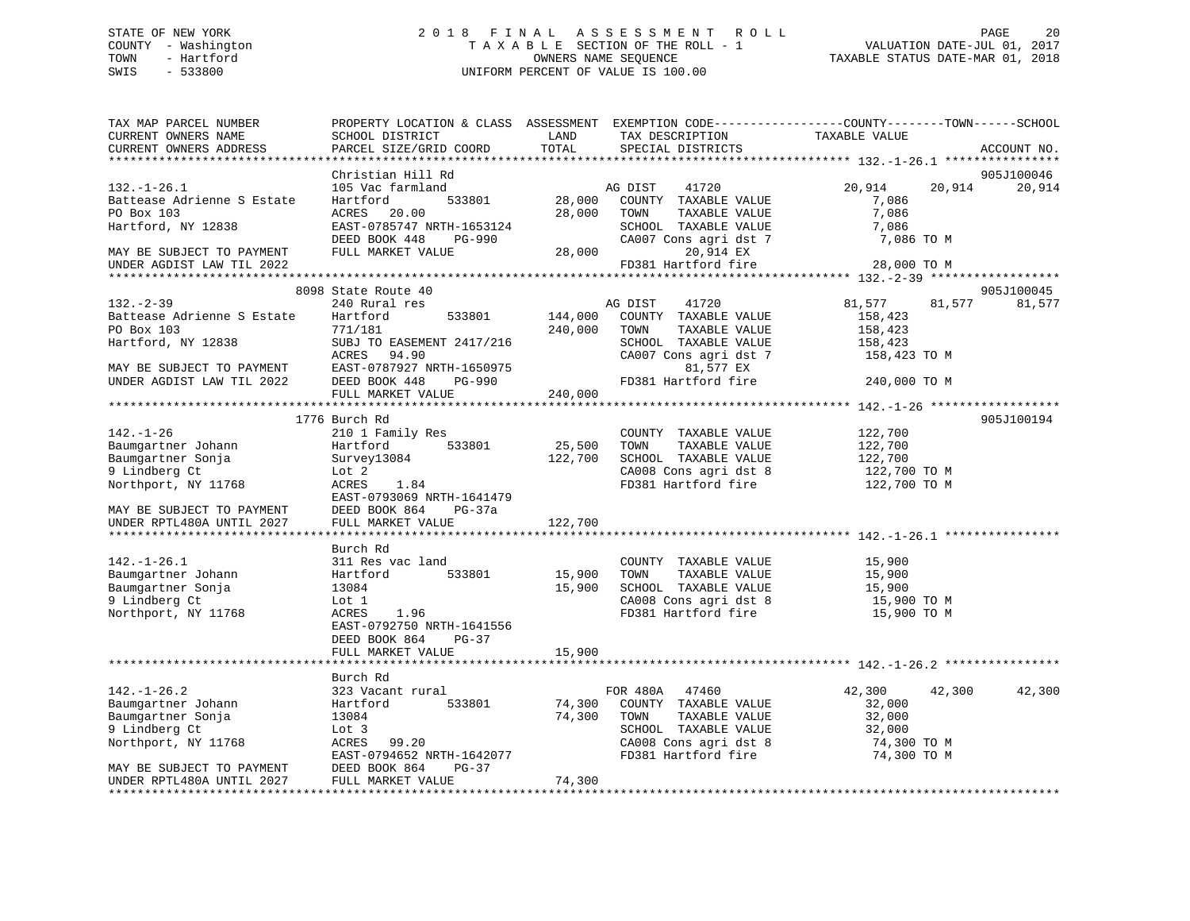## STATE OF NEW YORK 2 0 1 8 F I N A L A S S E S S M E N T R O L L PAGE 20 COUNTY - Washington T A X A B L E SECTION OF THE ROLL - 1 VALUATION DATE-JUL 01, 2017 TOWN - Hartford OWNERS NAME SEQUENCE TAXABLE STATUS DATE-MAR 01, 2018 SWIS - 533800 UNIFORM PERCENT OF VALUE IS 100.00

| TAX MAP PARCEL NUMBER<br>CURRENT OWNERS NAME<br>CURRENT OWNERS ADDRESS                                                                                                                                                                                               | SCHOOL DISTRICT<br>PARCEL SIZE/GRID COORD                                                                                                                                                                                                                                                                                                            | LAND<br>TOTAL                                                                    | TAX DESCRIPTION<br>SPECIAL DISTRICTS                                                                                                                                                                                                           | PROPERTY LOCATION & CLASS ASSESSMENT EXEMPTION CODE---------------COUNTY-------TOWN------SCHOOL<br>TAXABLE VALUE          | ACCOUNT NO.          |
|----------------------------------------------------------------------------------------------------------------------------------------------------------------------------------------------------------------------------------------------------------------------|------------------------------------------------------------------------------------------------------------------------------------------------------------------------------------------------------------------------------------------------------------------------------------------------------------------------------------------------------|----------------------------------------------------------------------------------|------------------------------------------------------------------------------------------------------------------------------------------------------------------------------------------------------------------------------------------------|---------------------------------------------------------------------------------------------------------------------------|----------------------|
|                                                                                                                                                                                                                                                                      |                                                                                                                                                                                                                                                                                                                                                      |                                                                                  |                                                                                                                                                                                                                                                |                                                                                                                           |                      |
| $132. - 1 - 26.1$<br>Battease Adrienne S Estate<br>PO Box 103<br>Hartford, NY 12838                                                                                                                                                                                  | Christian Hill Rd<br>105 Vac farmland<br>533801<br>Hartford<br>20.00<br>ACRES<br>EAST-0785747 NRTH-1653124                                                                                                                                                                                                                                           | 28,000<br>28,000                                                                 | AG DIST<br>41720<br>COUNTY TAXABLE VALUE<br>TOWN<br>TAXABLE VALUE<br>SCHOOL TAXABLE VALUE                                                                                                                                                      | 20,914<br>20,914<br>7,086<br>7,086<br>7,086                                                                               | 905J100046<br>20,914 |
| MAY BE SUBJECT TO PAYMENT<br>UNDER AGDIST LAW TIL 2022                                                                                                                                                                                                               | DEED BOOK 448<br>PG-990<br>FULL MARKET VALUE                                                                                                                                                                                                                                                                                                         | 28,000                                                                           | CA007 Cons agri dst 7<br>20,914 EX<br>FD381 Hartford fire                                                                                                                                                                                      | 7,086 TO M<br>28,000 TO M                                                                                                 |                      |
|                                                                                                                                                                                                                                                                      |                                                                                                                                                                                                                                                                                                                                                      |                                                                                  |                                                                                                                                                                                                                                                |                                                                                                                           |                      |
| $132 - 2 - 39$<br>Battease Adrienne S Estate<br>PO Box 103<br>Hartford, NY 12838<br>MAY BE SUBJECT TO PAYMENT                                                                                                                                                        | 8098 State Route 40<br>240 Rural res<br>533801<br>Hartford<br>771/181<br>SUBJ TO EASEMENT 2417/216<br>ACRES<br>94.90<br>EAST-0787927 NRTH-1650975                                                                                                                                                                                                    | 144,000<br>240,000                                                               | AG DIST<br>41720<br>COUNTY TAXABLE VALUE<br>TOWN<br>TAXABLE VALUE<br>SCHOOL TAXABLE VALUE<br>CA007 Cons agri dst 7<br>81,577 EX                                                                                                                | 81,577<br>81,577<br>158,423<br>158,423<br>158,423<br>158,423 TO M                                                         | 905J100045<br>81,577 |
| UNDER AGDIST LAW TIL 2022                                                                                                                                                                                                                                            | DEED BOOK 448<br>PG-990<br>FULL MARKET VALUE                                                                                                                                                                                                                                                                                                         | 240,000                                                                          | FD381 Hartford fire                                                                                                                                                                                                                            | 240,000 TO M                                                                                                              |                      |
|                                                                                                                                                                                                                                                                      |                                                                                                                                                                                                                                                                                                                                                      |                                                                                  |                                                                                                                                                                                                                                                |                                                                                                                           |                      |
| $142. - 1 - 26$<br>Baumgartner Johann<br>Baumgartner Sonja<br>9 Lindberg Ct<br>Northport, NY 11768<br>MAY BE SUBJECT TO PAYMENT<br>UNDER RPTL480A UNTIL 2027<br>$142. - 1 - 26.1$<br>Baumgartner Johann<br>Baumgartner Sonja<br>9 Lindberg Ct<br>Northport, NY 11768 | 1776 Burch Rd<br>210 1 Family Res<br>533801<br>Hartford<br>Survey13084<br>Lot 2<br>1.84<br>ACRES<br>EAST-0793069 NRTH-1641479<br>DEED BOOK 864<br>PG-37a<br>FULL MARKET VALUE<br>Burch Rd<br>311 Res vac land<br>533801<br>Hartford<br>13084<br>Lot 1<br>1.96<br>ACRES<br>EAST-0792750 NRTH-1641556<br>DEED BOOK 864<br>$PG-37$<br>FULL MARKET VALUE | 25,500<br>122,700<br>122,700<br>******************<br>15,900<br>15,900<br>15,900 | COUNTY TAXABLE VALUE<br>TOWN<br>TAXABLE VALUE<br>SCHOOL TAXABLE VALUE<br>CA008 Cons agri dst 8<br>FD381 Hartford fire<br>COUNTY TAXABLE VALUE<br>TOWN<br>TAXABLE VALUE<br>SCHOOL TAXABLE VALUE<br>CA008 Cons agri dst 8<br>FD381 Hartford fire | 122,700<br>122,700<br>122,700<br>122,700 TO M<br>122,700 TO M<br>15,900<br>15,900<br>15,900<br>15,900 TO M<br>15,900 TO M | 905J100194           |
|                                                                                                                                                                                                                                                                      | Burch Rd                                                                                                                                                                                                                                                                                                                                             |                                                                                  |                                                                                                                                                                                                                                                |                                                                                                                           |                      |
| $142. - 1 - 26.2$<br>Baumgartner Johann<br>Baumgartner Sonja<br>9 Lindberg Ct<br>Northport, NY 11768<br>MAY BE SUBJECT TO PAYMENT                                                                                                                                    | 323 Vacant rural<br>Hartford<br>533801<br>13084<br>Lot 3<br>ACRES 99.20<br>EAST-0794652 NRTH-1642077<br>DEED BOOK 864<br>$PG-37$                                                                                                                                                                                                                     | 74,300<br>74,300                                                                 | FOR 480A 47460<br>COUNTY TAXABLE VALUE<br>TOWN<br>TAXABLE VALUE<br>SCHOOL TAXABLE VALUE<br>CA008 Cons agri dst 8<br>FD381 Hartford fire                                                                                                        | 42,300<br>42,300<br>32,000<br>32,000<br>32,000<br>74,300 TO M<br>74,300 TO M                                              | 42,300               |
| UNDER RPTL480A UNTIL 2027<br>*****************                                                                                                                                                                                                                       | FULL MARKET VALUE                                                                                                                                                                                                                                                                                                                                    | 74,300                                                                           |                                                                                                                                                                                                                                                |                                                                                                                           |                      |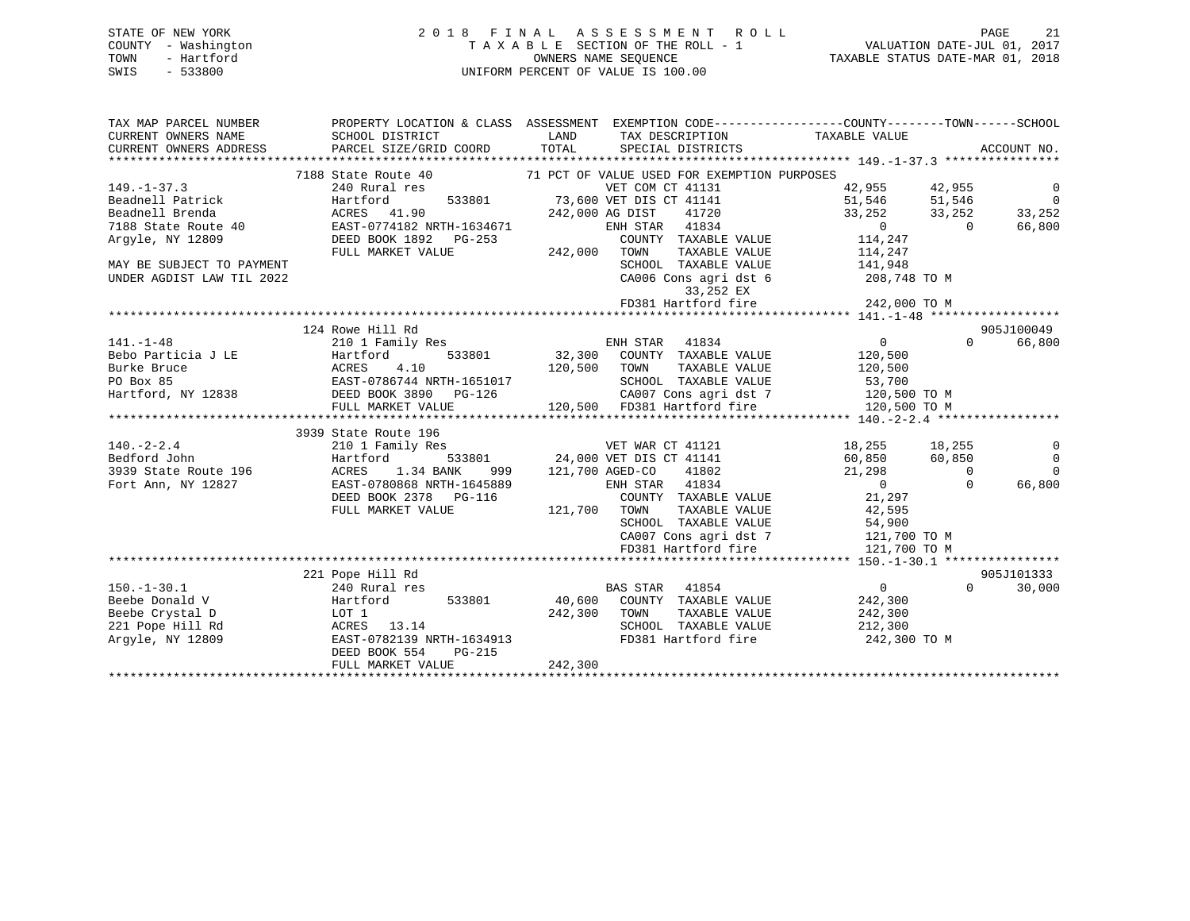## STATE OF NEW YORK 2 0 1 8 F I N A L A S S E S S M E N T R O L L PAGE 21 COUNTY - Washington T A X A B L E SECTION OF THE ROLL - 1 VALUATION DATE-JUL 01, 2017 TOWN - Hartford **TAXABLE STATUS DATE-MAR 01, 2018** OWNERS NAME SEQUENCE TAXABLE STATUS DATE-MAR 01, 2018 SWIS - 533800 UNIFORM PERCENT OF VALUE IS 100.00

| TAX MAP PARCEL NUMBER<br>CURRENT OWNERS NAME | SCHOOL DISTRICT                                                 | PROPERTY LOCATION & CLASS ASSESSMENT EXEMPTION CODE---------------COUNTY-------TOWN-----SCHOOL<br>LAND<br>TAX DESCRIPTION | TAXABLE VALUE    |                          |
|----------------------------------------------|-----------------------------------------------------------------|---------------------------------------------------------------------------------------------------------------------------|------------------|--------------------------|
| CURRENT OWNERS ADDRESS                       | PARCEL SIZE/GRID COORD                                          | TOTAL<br>SPECIAL DISTRICTS                                                                                                |                  | ACCOUNT NO.              |
|                                              |                                                                 |                                                                                                                           |                  |                          |
|                                              | 7188 State Route 40                                             | 71 PCT OF VALUE USED FOR EXEMPTION PURPOSES                                                                               |                  |                          |
| $149. - 1 - 37.3$                            | 240 Rural res                                                   | VET COM CT 41131                                                                                                          | 42,955<br>42,955 | 0                        |
| Beadnell Patrick                             | Hartford<br>533801                                              | 73,600 VET DIS CT 41141                                                                                                   | 51,546<br>51,546 | $\overline{0}$           |
| Beadnell Brenda                              | ACRES 41.90                                                     | 242,000 AG DIST<br>41720                                                                                                  | 33,252           | 33,252<br>33,252         |
| 7188 State Route 40                          | EAST-0774182 NRTH-1634671                                       | ENH STAR 41834                                                                                                            | $\sim$ 0         | 66,800<br>$\overline{0}$ |
| Arqyle, NY 12809                             | DEED BOOK 1892    PG-253                                        | COUNTY TAXABLE VALUE                                                                                                      | 114,247          |                          |
|                                              | FULL MARKET VALUE                                               | 242,000 TOWN<br>TAXABLE VALUE                                                                                             | 114,247          |                          |
| MAY BE SUBJECT TO PAYMENT                    |                                                                 | SCHOOL TAXABLE VALUE                                                                                                      | 141,948          |                          |
| UNDER AGDIST LAW TIL 2022                    |                                                                 | CA006 Cons agri dst 6                                                                                                     | 208,748 TO M     |                          |
|                                              |                                                                 | 33,252 EX                                                                                                                 |                  |                          |
|                                              |                                                                 | 33,252 EX<br>FD381 Hartford fire                                                                                          |                  |                          |
|                                              |                                                                 |                                                                                                                           |                  |                          |
|                                              | 124 Rowe Hill Rd                                                |                                                                                                                           |                  | 905J100049               |
| $141. - 1 - 48$                              | 210 1 Family Res                                                | ENH STAR 41834                                                                                                            | $\overline{0}$   | $\Omega$<br>66,800       |
| Bebo Particia J LE                           | Hartford<br>533801                                              | 32,300 COUNTY TAXABLE VALUE                                                                                               | 120,500          |                          |
| Burke Bruce                                  |                                                                 | 120,500<br>TOWN<br>TAXABLE VALUE                                                                                          | 120,500          |                          |
| PO Box 85                                    | EAST-0786744 NRTH-1651017                                       | SCHOOL TAXABLE VALUE                                                                                                      | 53,700           |                          |
| Hartford, NY 12838                           | ACRES 4.10<br>EAST-0786744 NRTH-165101<br>DEED BOOK 3890 PG-126 |                                                                                                                           |                  |                          |
|                                              | FULL MARKET VALUE                                               | 120,500 FD381 Hartford fire                                                                                               | 120,500 TO M     |                          |
|                                              |                                                                 |                                                                                                                           |                  |                          |
|                                              | 3939 State Route 196                                            |                                                                                                                           |                  |                          |
| $140. - 2 - 2.4$                             | 210 1 Family Res                                                | VET WAR CT 41121                                                                                                          | 18,255<br>18,255 | 0                        |
| Bedford John                                 | Hartford                                                        | 533801 24,000 VET DIS CT 41141                                                                                            | 60,850           | 60,850<br>$\overline{0}$ |
| 3939 State Route 196                         | ACRES<br>1.34 BANK<br>999                                       | 121,700 AGED-CO<br>41802                                                                                                  | 21,298           | $\Omega$<br>$\Omega$     |
| Fort Ann, NY 12827                           | EAST-0780868 NRTH-1645889                                       | ENH STAR 41834                                                                                                            | $\overline{0}$   | 66,800<br>$\Omega$       |
|                                              | DEED BOOK 2378 PG-116                                           | COUNTY TAXABLE VALUE                                                                                                      | 21,297           |                          |
|                                              | FULL MARKET VALUE                                               | 121,700 TOWN                                                                                                              | 42,595           |                          |
|                                              |                                                                 | TOWN        TAXABLE  VALUE<br>SCHOOL    TAXABLE  VALUE                                                                    | 54,900           |                          |
|                                              |                                                                 | CA007 Cons agri dst 7 121,700 TO M                                                                                        |                  |                          |
|                                              |                                                                 | FD381 Hartford fire                                                                                                       | 121,700 TO M     |                          |
|                                              |                                                                 |                                                                                                                           |                  |                          |
|                                              | 221 Pope Hill Rd                                                |                                                                                                                           |                  | 905J101333               |
| $150. - 1 - 30.1$                            | 240 Rural res                                                   | <b>BAS STAR</b><br>41854                                                                                                  | $\overline{0}$   | $\Omega$<br>30,000       |
| Beebe Donald V                               | 533801<br>Hartford                                              | 40,600 COUNTY TAXABLE VALUE                                                                                               | 242,300          |                          |
| Beebe Crystal D                              | LOT 1                                                           | 242,300<br>TOWN<br>TAXABLE VALUE                                                                                          | 242,300          |                          |
| 221 Pope Hill Rd                             | ACRES 13.14                                                     | SCHOOL TAXABLE VALUE                                                                                                      | 212,300          |                          |
| Argyle, NY 12809                             | EAST-0782139 NRTH-1634913                                       | FD381 Hartford fire                                                                                                       | 242,300 TO M     |                          |
|                                              | DEED BOOK 554<br>PG-215                                         |                                                                                                                           |                  |                          |
|                                              | FULL MARKET VALUE                                               | 242,300                                                                                                                   |                  |                          |
|                                              |                                                                 |                                                                                                                           |                  |                          |
|                                              |                                                                 |                                                                                                                           |                  |                          |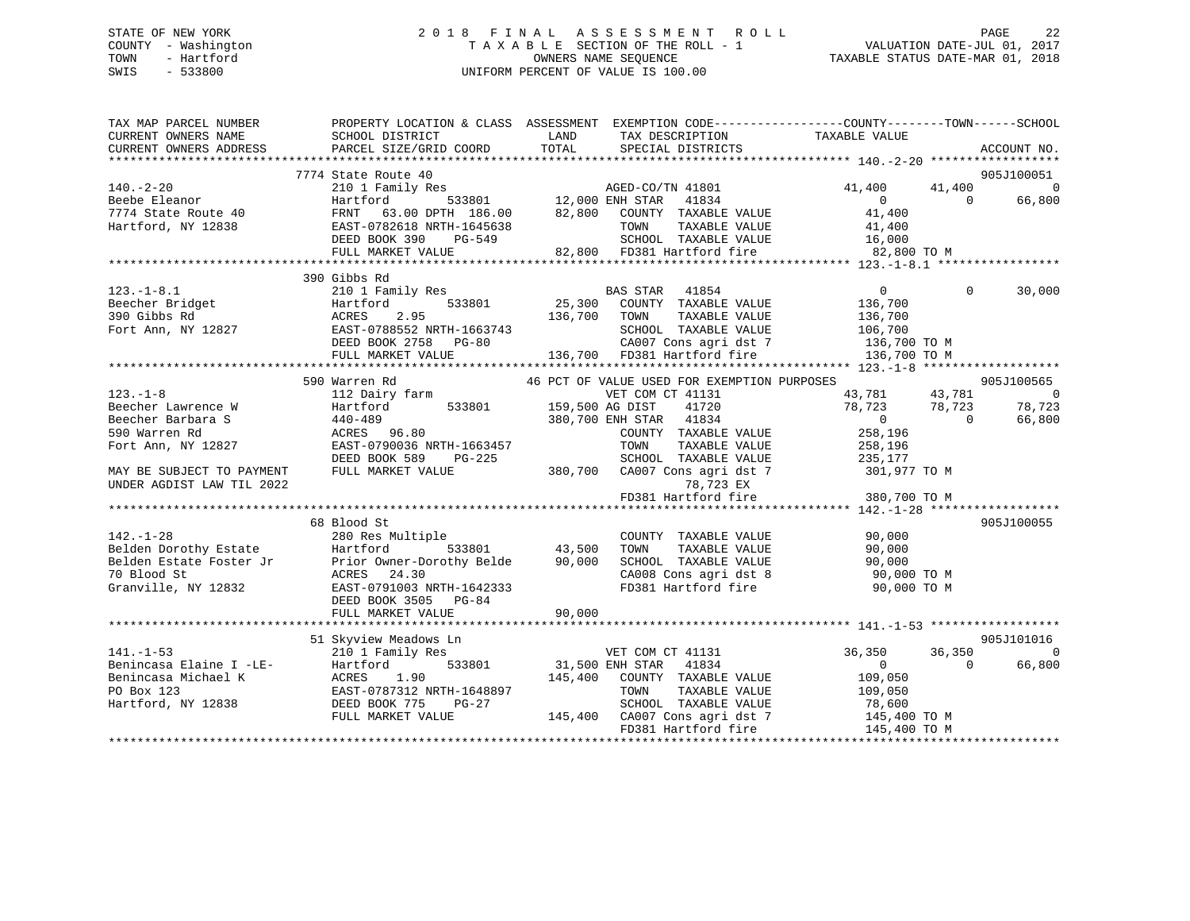## STATE OF NEW YORK 2 0 1 8 F I N A L A S S E S S M E N T R O L L PAGE 22 COUNTY - Washington T A X A B L E SECTION OF THE ROLL - 1 VALUATION DATE-JUL 01, 2017 TOWN - Hartford OWNERS NAME SEQUENCE TAXABLE STATUS DATE-MAR 01, 2018 SWIS - 533800 UNIFORM PERCENT OF VALUE IS 100.00UNIFORM PERCENT OF VALUE IS 100.00

| TAX MAP PARCEL NUMBER<br>CURRENT OWNERS NAME<br>CURRENT OWNERS ADDRESS | SCHOOL DISTRICT<br>PARCEL SIZE/GRID COORD                                                                                                                                                                                                                   | PROPERTY LOCATION & CLASS ASSESSMENT EXEMPTION CODE---------------COUNTY-------TOWN-----SCHOOL<br><b>Example 12</b> LAND<br>TAX DESCRIPTION<br>TOTAL SPECIAL DISTRICTS                                                                                 | TAXABLE VALUE                                          | ACCOUNT NO.    |
|------------------------------------------------------------------------|-------------------------------------------------------------------------------------------------------------------------------------------------------------------------------------------------------------------------------------------------------------|--------------------------------------------------------------------------------------------------------------------------------------------------------------------------------------------------------------------------------------------------------|--------------------------------------------------------|----------------|
|                                                                        | 7774 State Route 40                                                                                                                                                                                                                                         |                                                                                                                                                                                                                                                        |                                                        | 905J100051     |
| $140. -2 - 20$                                                         |                                                                                                                                                                                                                                                             | State Route 40<br>210 1 Family Res<br>Hartford 533801 12,000 ENH STAR 41834<br>82.900 COINTY TAXABLE                                                                                                                                                   | 41,400 41,400 0                                        |                |
| Beebe Eleanor<br>7774 State Route 40                                   |                                                                                                                                                                                                                                                             |                                                                                                                                                                                                                                                        | $\begin{array}{c} 0 \\ 41,400 \end{array}$<br>$\Omega$ | 66,800         |
| Hartford, NY 12838                                                     |                                                                                                                                                                                                                                                             | FRNT 63.00 DPTH 186.00 82,800 COUNTY TAXABLE VALUE 41,400<br>EAST-0782618 NRTH-1645638 TOWN TAXABLE VALUE 41,400<br>DEED BOOK 390 PG-549 SCHOOL TAXABLE VALUE 16,000<br>FULL MARKET VALUE 82,800 FD381 Hartford fire 82,800 TO M                       |                                                        |                |
|                                                                        |                                                                                                                                                                                                                                                             |                                                                                                                                                                                                                                                        |                                                        |                |
|                                                                        |                                                                                                                                                                                                                                                             |                                                                                                                                                                                                                                                        |                                                        |                |
|                                                                        |                                                                                                                                                                                                                                                             |                                                                                                                                                                                                                                                        |                                                        |                |
|                                                                        | 390 Gibbs Rd                                                                                                                                                                                                                                                |                                                                                                                                                                                                                                                        |                                                        |                |
| $123. - 1 - 8.1$                                                       | 210 1 Family Res<br>Hartford 533801                                                                                                                                                                                                                         |                                                                                                                                                                                                                                                        | $\overline{0}$<br>$\Omega$                             | 30,000         |
| Beecher Bridget<br>390 Gibbs Rd<br>Fort Ann, NY 12827                  |                                                                                                                                                                                                                                                             | BAS STAR 41854<br>25,300 COUNTY TAXABLE VALUE                                                                                                                                                                                                          |                                                        |                |
|                                                                        |                                                                                                                                                                                                                                                             |                                                                                                                                                                                                                                                        |                                                        |                |
|                                                                        |                                                                                                                                                                                                                                                             |                                                                                                                                                                                                                                                        |                                                        |                |
|                                                                        |                                                                                                                                                                                                                                                             |                                                                                                                                                                                                                                                        |                                                        |                |
|                                                                        |                                                                                                                                                                                                                                                             |                                                                                                                                                                                                                                                        |                                                        |                |
|                                                                        |                                                                                                                                                                                                                                                             | Hartford 533801 25, 300 COUNTRE VALUE 136, 700 TOWN TAXABLE VALUE 156, 700 TOWN TAXABLE VALUE 16, 700 EAST-0788552 NRTH-1663743 SCHOOL TAXABLE VALUE 106, 700 CA007 Cons agri dst 7 136, 700 TOWN 136, 700 FD381 Hartford fire                         |                                                        |                |
|                                                                        | 590 Warren Rd                                                                                                                                                                                                                                               | 46 PCT OF VALUE USED FOR EXEMPTION PURPOSES                                                                                                                                                                                                            |                                                        | 905J100565     |
| $123 - 1 - 8$                                                          | 112 Dairy farm                                                                                                                                                                                                                                              | VET COM CT 41131                                                                                                                                                                                                                                       | 43,781 43,781                                          | $\overline{0}$ |
| Beecher Lawrence W                                                     | Hartford                                                                                                                                                                                                                                                    | 533801 159,500 AG DIST<br>41720                                                                                                                                                                                                                        | 78,723 78,723<br>0 0                                   | 78,723         |
| Beecher Barbara S                                                      | 440-489<br>440-489<br>ACRES 96.80                                                                                                                                                                                                                           | 380,700 ENH STAR 41834                                                                                                                                                                                                                                 |                                                        | 66,800         |
| 590 Warren Rd                                                          |                                                                                                                                                                                                                                                             | COUNTY TAXABLE VALUE                                                                                                                                                                                                                                   | 258,196                                                |                |
| Fort Ann, NY 12827                                                     | EAST-0790036 NRTH-1663457                                                                                                                                                                                                                                   | TOWN<br>TAXABLE VALUE                                                                                                                                                                                                                                  | 258,196                                                |                |
|                                                                        | DEED BOOK 589<br>PG-225                                                                                                                                                                                                                                     | 3-225 SCHOOL TAXABLE VALUE 235,177<br>380,700 CA007 Cons agri dst 7 301,977 TO M                                                                                                                                                                       |                                                        |                |
| MAY BE SUBJECT TO PAYMENT<br>UNDER AGDIST LAW TIL 2022                 | FULL MARKET VALUE                                                                                                                                                                                                                                           |                                                                                                                                                                                                                                                        | 78,723 EX<br>T8,723 EX<br>x 1.0 1.08 ***               |                |
|                                                                        |                                                                                                                                                                                                                                                             | FD381 Hartford fire                                                                                                                                                                                                                                    |                                                        |                |
|                                                                        |                                                                                                                                                                                                                                                             |                                                                                                                                                                                                                                                        |                                                        |                |
|                                                                        | 68 Blood St                                                                                                                                                                                                                                                 | 142.-1-28<br>280 Res Multiple<br>280 Res Multiple<br>280 Res Multiple<br>280 Res Multiple<br>280 Res Multiple<br>280 Res Multiple<br>280 Res Multiple<br>280 Res Multiple<br>280 Res Multiple<br>280 Res Multiple<br>280 Res Multiple<br>280 Res Multi |                                                        | 905J100055     |
|                                                                        |                                                                                                                                                                                                                                                             |                                                                                                                                                                                                                                                        |                                                        |                |
|                                                                        |                                                                                                                                                                                                                                                             |                                                                                                                                                                                                                                                        |                                                        |                |
|                                                                        |                                                                                                                                                                                                                                                             |                                                                                                                                                                                                                                                        |                                                        |                |
|                                                                        |                                                                                                                                                                                                                                                             |                                                                                                                                                                                                                                                        |                                                        |                |
|                                                                        | DEED BOOK 3505 PG-84                                                                                                                                                                                                                                        |                                                                                                                                                                                                                                                        |                                                        |                |
|                                                                        | FULL MARKET VALUE                                                                                                                                                                                                                                           | 90,000                                                                                                                                                                                                                                                 |                                                        |                |
|                                                                        |                                                                                                                                                                                                                                                             |                                                                                                                                                                                                                                                        |                                                        |                |
|                                                                        | 51 Skyview Meadows Ln                                                                                                                                                                                                                                       |                                                                                                                                                                                                                                                        |                                                        | 905J101016     |
|                                                                        |                                                                                                                                                                                                                                                             |                                                                                                                                                                                                                                                        | 36,350<br>36,350                                       | $\Omega$       |
|                                                                        |                                                                                                                                                                                                                                                             | VET COM CT 41131<br>31,500 ENH STAR 41834                                                                                                                                                                                                              | $\overline{0}$<br>$\bigcap$                            | 66,800         |
|                                                                        | $\begin{tabular}{lllllllllllll} 141.-1-53 & 210 & \text{Family Res} \\ \text{Benincasa Elaine I -LE-} & \text{Hartford} & 533801 \\ \text{Benincasa Michael K} & \text{ACRES} & 1.90 \\ \text{PO Box 123} & \text{EAST-0787312 NRTH-1648897} \end{tabular}$ | 145,400 COUNTY TAXABLE VALUE                                                                                                                                                                                                                           | 109,050                                                |                |
|                                                                        |                                                                                                                                                                                                                                                             | TOWN<br>TAXABLE VALUE                                                                                                                                                                                                                                  | 109,050                                                |                |
| Hartford, NY 12838 DEED BOOK 775                                       | PG-27                                                                                                                                                                                                                                                       |                                                                                                                                                                                                                                                        |                                                        |                |
|                                                                        | FULL MARKET VALUE                                                                                                                                                                                                                                           | SCHOOL TAXABLE VALUE<br>145,400 CA007 Cons agri dst 7                                                                                                                                                                                                  | 78,600<br>145,400 TO M                                 |                |
|                                                                        |                                                                                                                                                                                                                                                             | FD381 Hartford fire                                                                                                                                                                                                                                    | 145,400 TO M                                           |                |
|                                                                        |                                                                                                                                                                                                                                                             |                                                                                                                                                                                                                                                        |                                                        |                |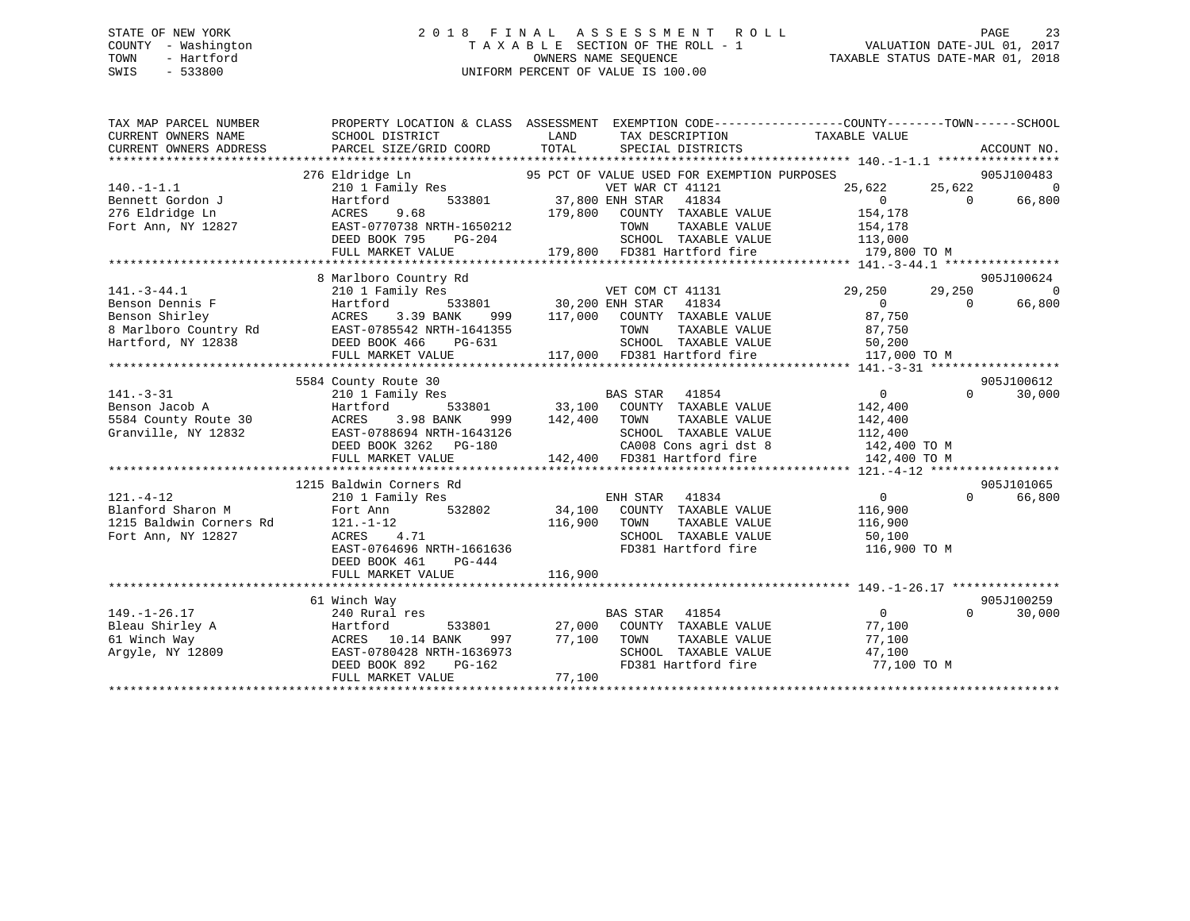## STATE OF NEW YORK 2 0 1 8 F I N A L A S S E S S M E N T R O L L PAGE 23 COUNTY - Washington T A X A B L E SECTION OF THE ROLL - 1 VALUATION DATE-JUL 01, 2017 TOWN - Hartford **TAXABLE STATUS DATE-MAR 01, 2018** OWNERS NAME SEQUENCE TAXABLE STATUS DATE-MAR 01, 2018 SWIS - 533800 UNIFORM PERCENT OF VALUE IS 100.00

| TAX MAP PARCEL NUMBER                                     |                                                                                                                                                               |                                                                                                                                                                                  | PROPERTY LOCATION & CLASS ASSESSMENT EXEMPTION CODE----------------COUNTY-------TOWN------SCHOOL |
|-----------------------------------------------------------|---------------------------------------------------------------------------------------------------------------------------------------------------------------|----------------------------------------------------------------------------------------------------------------------------------------------------------------------------------|--------------------------------------------------------------------------------------------------|
|                                                           | 276 Eldridge Ln                                                                                                                                               |                                                                                                                                                                                  | 905J100483                                                                                       |
| $140. - 1 - 1.1$                                          |                                                                                                                                                               |                                                                                                                                                                                  | 25,622 25,622<br>$\Omega$                                                                        |
|                                                           |                                                                                                                                                               | Eldridge Ln<br>25,622<br>25,622 Hartford 533801<br>37,800 ENH STAR 41834<br>25,622 Lartford 533801<br>27,800 ENH STAR 41834 [1834]                                               | $\Omega$<br>$\overline{0}$<br>66,800                                                             |
| Bennett Gordon J<br>276 Eldridge Ln<br>Fort Ann, NY 12827 | 9.68<br>ACRES                                                                                                                                                 |                                                                                                                                                                                  | 154,178                                                                                          |
|                                                           | EAST-0770738 NRTH-1650212                                                                                                                                     | 179,800 COUNTY TAXABLE VALUE<br>TOWN TAXABLE VALUE                                                                                                                               | 154,178                                                                                          |
|                                                           | DEED BOOK 795<br>PG-204                                                                                                                                       |                                                                                                                                                                                  |                                                                                                  |
|                                                           |                                                                                                                                                               | SCHOOL TAXABLE VALUE 113,000<br>179,800 FD381 Hartford fire                                                                                                                      |                                                                                                  |
|                                                           | FULL MARKET VALUE                                                                                                                                             |                                                                                                                                                                                  | 179,800 TO M                                                                                     |
|                                                           |                                                                                                                                                               |                                                                                                                                                                                  |                                                                                                  |
|                                                           | 8 Marlboro Country Rd                                                                                                                                         |                                                                                                                                                                                  | 905J100624                                                                                       |
| $141. - 3 - 44.1$                                         | 210 1 Family Res                                                                                                                                              |                                                                                                                                                                                  | 29,250<br>29,250<br>$\overline{0}$                                                               |
| Benson Dennis F                                           | Hartford                                                                                                                                                      |                                                                                                                                                                                  | $\overline{0}$<br>66,800<br>$\bigcap$                                                            |
|                                                           | Benson Shirley<br>Benson Shirley<br>8 Marlboro Country Rd<br>BAST-0785542 NRTH-1641355<br>Hartford, NY 12838<br>DEED BOOK 466 PG-631                          | 999 117,000 COUNTY TAXABLE VALUE 67,750                                                                                                                                          |                                                                                                  |
|                                                           |                                                                                                                                                               | 641355 TOWN TAXABLE VALUE 87,750<br>-631 SCHOOL TAXABLE VALUE 50,200<br>117,000 FD381 Hartford fire 117,000 TO M                                                                 |                                                                                                  |
|                                                           |                                                                                                                                                               |                                                                                                                                                                                  |                                                                                                  |
|                                                           | FULL MARKET VALUE                                                                                                                                             |                                                                                                                                                                                  |                                                                                                  |
|                                                           |                                                                                                                                                               |                                                                                                                                                                                  |                                                                                                  |
|                                                           | 5584 County Route 30                                                                                                                                          |                                                                                                                                                                                  | 905J100612                                                                                       |
| $141. - 3 - 31$                                           | 210 1 Family Res                                                                                                                                              |                                                                                                                                                                                  | $\overline{0}$<br>$\Omega$<br>30,000                                                             |
| Benson Jacob A                                            | Hartford                                                                                                                                                      | nily Res<br>533801 533801 33,100 COUNTY TAXABLE VALUE<br>3.98 BANK 999 142,400 TOWN TAXABLE VALUE                                                                                | 142,400                                                                                          |
| 5584 County Route 30                                      | ACRES 3.98 BANK                                                                                                                                               |                                                                                                                                                                                  | 142,400                                                                                          |
| Granville, NY 12832                                       |                                                                                                                                                               |                                                                                                                                                                                  |                                                                                                  |
|                                                           |                                                                                                                                                               | EAST-0788694 NRTH-1643126 SCHOOL TAXABLE VALUE 112,400<br>DEED BOOK 3262 PG-180 CA008 Cons agri dst 8 142,400 TO M<br>FULL MARKET VALUE 142,400 FD381 Hartford fire 142,400 TO M |                                                                                                  |
|                                                           |                                                                                                                                                               |                                                                                                                                                                                  |                                                                                                  |
|                                                           |                                                                                                                                                               |                                                                                                                                                                                  |                                                                                                  |
|                                                           | 1215 Baldwin Corners Rd                                                                                                                                       |                                                                                                                                                                                  | 905J101065                                                                                       |
| $121. - 4 - 12$                                           | 210 1 Family Res                                                                                                                                              | ENH STAR 41834                                                                                                                                                                   | $\overline{0}$<br>$\Omega$<br>66,800                                                             |
| Blanford Sharon M                                         |                                                                                                                                                               | Fort Ann 532802 34,100 COUNTY TAXABLE VALUE                                                                                                                                      | 116,900                                                                                          |
| 1215 Baldwin Corners Rd                                   | 121.-1-12<br>ACRES 4                                                                                                                                          | 116,900<br>TOWN<br>TAXABLE VALUE                                                                                                                                                 | 116,900                                                                                          |
| Fort Ann, NY 12827                                        | ACRES 4.71                                                                                                                                                    |                                                                                                                                                                                  |                                                                                                  |
|                                                           | EAST-0764696 NRTH-1661636                                                                                                                                     | FD381 Hartford fire 116,900 TO M                                                                                                                                                 |                                                                                                  |
|                                                           | DEED BOOK 461<br>PG-444                                                                                                                                       |                                                                                                                                                                                  |                                                                                                  |
|                                                           | FULL MARKET VALUE                                                                                                                                             | 116,900                                                                                                                                                                          |                                                                                                  |
|                                                           |                                                                                                                                                               |                                                                                                                                                                                  |                                                                                                  |
|                                                           | 61 Winch Way                                                                                                                                                  |                                                                                                                                                                                  | 905J100259                                                                                       |
| $149. - 1 - 26.17$                                        | $240$ Rural res                                                                                                                                               | BAS STAR 41854                                                                                                                                                                   | $\overline{0}$<br>$\Omega$<br>30,000                                                             |
| Bleau Shirley A                                           | Hartford                                                                                                                                                      | 533801 27,000 COUNTY TAXABLE VALUE                                                                                                                                               | 77,100                                                                                           |
| 61 Winch Way                                              |                                                                                                                                                               |                                                                                                                                                                                  | 77,100                                                                                           |
| Argyle, NY 12809                                          |                                                                                                                                                               | TOWN       TAXABLE  VALUE<br>SCHOOL    TAXABLE  VALUE                                                                                                                            | 47,100                                                                                           |
|                                                           | $\begin{tabular}{lcccc} ACRES & 10.14 BANK & 997 & 77,100 & TOWN \\ EAST-0780428 NRTH-1636973 & SCHOOL \\ DEED BOOK 892 & PG-162 & FD381 H4 \\ \end{tabular}$ | FD381 Hartford fire 77,100 TO M                                                                                                                                                  |                                                                                                  |
|                                                           | FULL MARKET VALUE                                                                                                                                             | 77,100                                                                                                                                                                           |                                                                                                  |
|                                                           |                                                                                                                                                               |                                                                                                                                                                                  |                                                                                                  |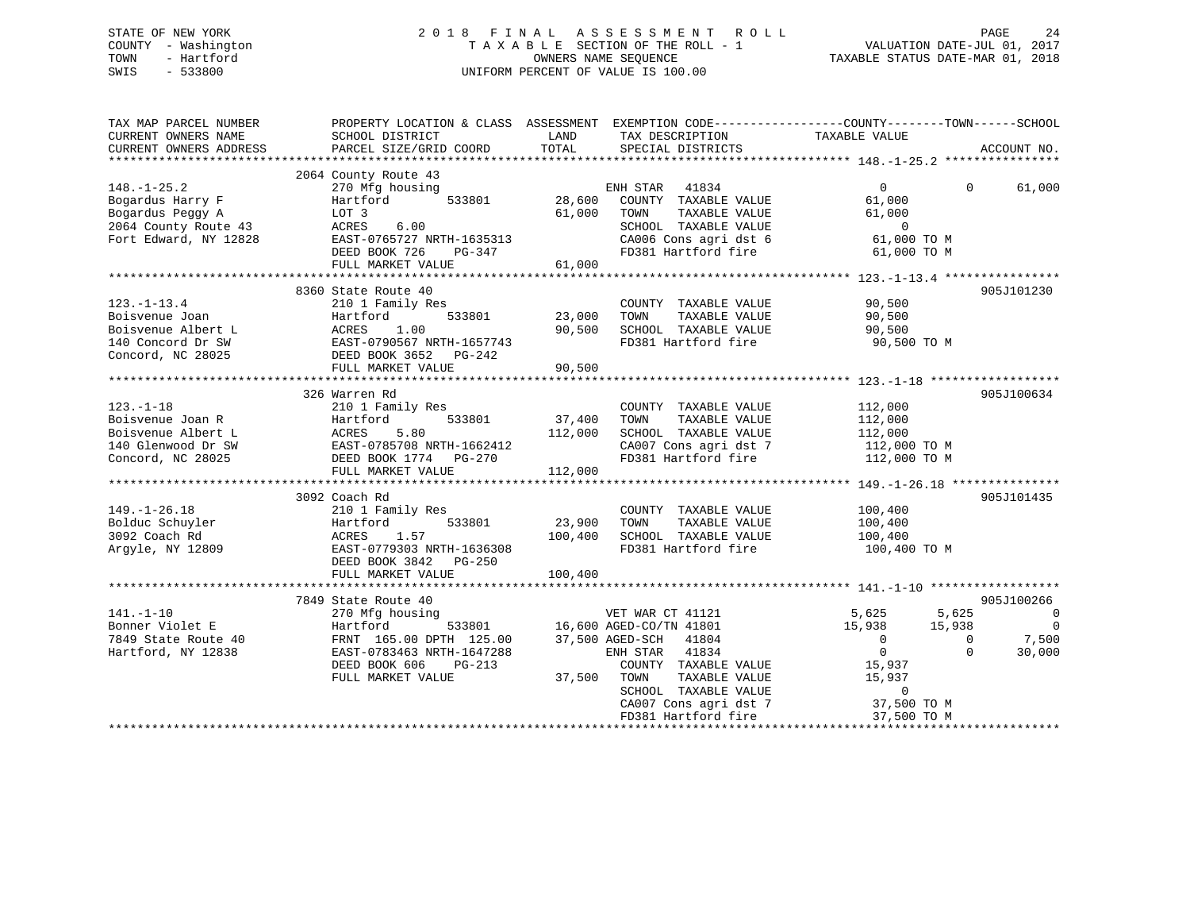## STATE OF NEW YORK 2 0 1 8 F I N A L A S S E S S M E N T R O L L PAGE 24 COUNTY - Washington T A X A B L E SECTION OF THE ROLL - 1 VALUATION DATE-JUL 01, 2017 TOWN - Hartford OWNERS NAME SEQUENCE TAXABLE STATUS DATE-MAR 01, 2018 SWIS - 533800 UNIFORM PERCENT OF VALUE IS 100.00

| TAX MAP PARCEL NUMBER<br>CURRENT OWNERS NAME<br>CURRENT OWNERS ADDRESS                                     | SCHOOL DISTRICT<br>PARCEL SIZE/GRID COORD                                                                                                                            | LAND<br>TOTAL                | TAX DESCRIPTION<br>SPECIAL DISTRICTS                                                                                                                                                                                      | PROPERTY LOCATION & CLASS ASSESSMENT EXEMPTION CODE---------------COUNTY-------TOWN------SCHOOL<br>TAXABLE VALUE                                                     | ACCOUNT NO.                                                                 |
|------------------------------------------------------------------------------------------------------------|----------------------------------------------------------------------------------------------------------------------------------------------------------------------|------------------------------|---------------------------------------------------------------------------------------------------------------------------------------------------------------------------------------------------------------------------|----------------------------------------------------------------------------------------------------------------------------------------------------------------------|-----------------------------------------------------------------------------|
| $148. - 1 - 25.2$<br>Bogardus Harry F<br>Bogardus Peggy A<br>2064 County Route 43<br>Fort Edward, NY 12828 | 2064 County Route 43<br>270 Mfg housing<br>Hartford<br>533801<br>LOT 3<br>6.00<br>ACRES<br>EAST-0765727 NRTH-1635313<br>DEED BOOK 726<br>PG-347<br>FULL MARKET VALUE | 28,600<br>61,000<br>61,000   | ENH STAR 41834<br>COUNTY TAXABLE VALUE<br>TAXABLE VALUE<br>TOWN<br>SCHOOL TAXABLE VALUE<br>CA006 Cons agri dst 6<br>FD381 Hartford fire                                                                                   | $\overline{0}$<br>$\Omega$<br>61,000<br>61,000<br>$\overline{0}$<br>61,000 TO M<br>61,000 TO M                                                                       | 61,000                                                                      |
| $123. - 1 - 13.4$<br>Boisvenue Joan<br>Boisvenue Albert L<br>140 Concord Dr SW<br>Concord, NC 28025        | 8360 State Route 40<br>210 1 Family Res<br>533801<br>Hartford<br>ACRES 1.00<br>EAST-0790567 NRTH-1657743<br>DEED BOOK 3652 PG-242<br>FULL MARKET VALUE               | 23,000<br>90,500<br>90,500   | COUNTY TAXABLE VALUE<br>TAXABLE VALUE<br>TOWN<br>SCHOOL TAXABLE VALUE<br>FD381 Hartford fire                                                                                                                              | 90,500<br>90,500<br>90,500<br>90,500 TO M                                                                                                                            | 905J101230                                                                  |
| $123. - 1 - 18$<br>Boisvenue Joan R<br>Boisvenue Albert L<br>140 Glenwood Dr SW<br>Concord, NC 28025       | 326 Warren Rd<br>210 1 Family Res<br>Hartford 533801<br>ACRES 5.80<br>EAST-0785708 NRTH-1662412<br>DEED BOOK 1774 PG-270<br>FULL MARKET VALUE                        | 37,400<br>112,000<br>112,000 | COUNTY TAXABLE VALUE<br>TOWN<br>TAXABLE VALUE<br>SCHOOL TAXABLE VALUE<br>FD381 Hartford fire                                                                                                                              | 112,000<br>112,000<br>112,000<br>CA007 Cons agri dst 7 112,000 TO M<br>112,000 TO M                                                                                  | 905J100634                                                                  |
| $149. - 1 - 26.18$<br>Bolduc Schuyler<br>3092 Coach Rd<br>Argyle, NY 12809                                 | 3092 Coach Rd<br>210 1 Family Res<br>Hartford<br>533801<br>ACRES<br>1.57<br>EAST-0779303 NRTH-1636308<br>DEED BOOK 3842<br>PG-250<br>FULL MARKET VALUE               | 23,900<br>100,400<br>100,400 | COUNTY TAXABLE VALUE<br>TAXABLE VALUE<br>TOWN<br>SCHOOL TAXABLE VALUE<br>FD381 Hartford fire                                                                                                                              | 100,400<br>100,400<br>100,400<br>100,400 TO M                                                                                                                        | 905J101435                                                                  |
| $141. - 1 - 10$<br>Bonner Violet E<br>7849 State Route 40<br>Hartford, NY 12838                            | 7849 State Route 40<br>270 Mfg housing<br>Hartford<br>FRNT 165.00 DPTH 125.00<br>EAST-0783463 NRTH-1647288<br>DEED BOOK 606<br>$PG-213$<br>FULL MARKET VALUE         | 37,500                       | VET WAR CT 41121<br>533801 16,600 AGED-CO/TN 41801<br>37,500 AGED-SCH 41804<br>ENH STAR<br>41834<br>COUNTY TAXABLE VALUE<br>TOWN<br>TAXABLE VALUE<br>SCHOOL TAXABLE VALUE<br>CA007 Cons agri dst 7<br>FD381 Hartford fire | 5,625<br>5,625<br>15,938<br>15,938<br>$\overline{0}$<br>$\mathbf{0}$<br>$\overline{0}$<br>$\Omega$<br>15,937<br>15,937<br>$\mathbf{0}$<br>37,500 TO M<br>37,500 TO M | 905J100266<br>$\overline{0}$<br>$\overline{\phantom{0}}$<br>7,500<br>30,000 |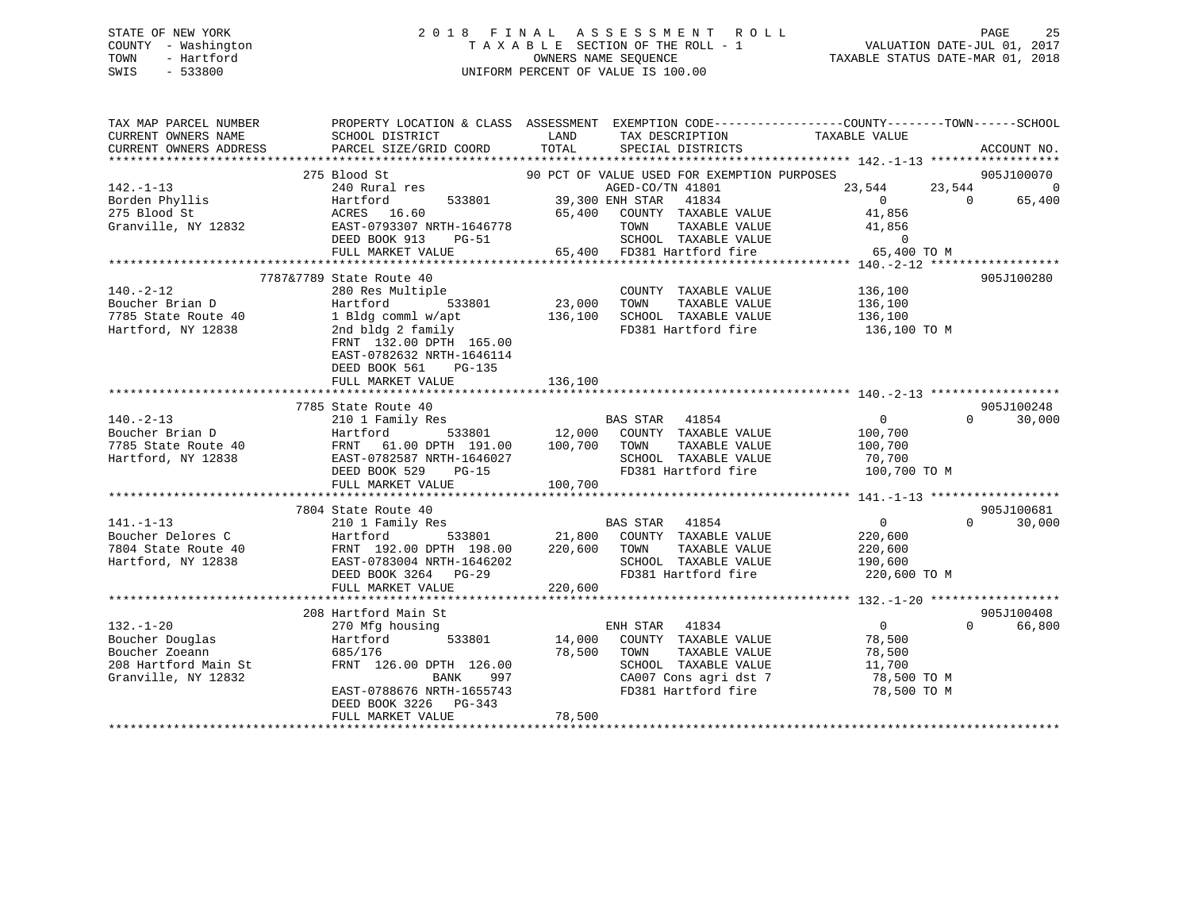## STATE OF NEW YORK 2 0 1 8 F I N A L A S S E S S M E N T R O L L PAGE 25 COUNTY - Washington T A X A B L E SECTION OF THE ROLL - 1 VALUATION DATE-JUL 01, 2017 TOWN - Hartford OWNERS NAME SEQUENCE TAXABLE STATUS DATE-MAR 01, 2018 SWIS - 533800 UNIFORM PERCENT OF VALUE IS 100.00

| TAX MAP PARCEL NUMBER                                                                                                                                                                                                                                     | PROPERTY LOCATION & CLASS ASSESSMENT EXEMPTION CODE----------------COUNTY-------TOWN------SCHOOL                                         |             |                                                        |                                                                                                             |                    |
|-----------------------------------------------------------------------------------------------------------------------------------------------------------------------------------------------------------------------------------------------------------|------------------------------------------------------------------------------------------------------------------------------------------|-------------|--------------------------------------------------------|-------------------------------------------------------------------------------------------------------------|--------------------|
| CURRENT OWNERS NAME                                                                                                                                                                                                                                       | SCHOOL DISTRICT                                                                                                                          | LAND        | TAX DESCRIPTION                                        | TAXABLE VALUE                                                                                               |                    |
| CURRENT OWNERS ADDRESS                                                                                                                                                                                                                                    | PARCEL SIZE/GRID COORD                                                                                                                   | TOTAL       | SPECIAL DISTRICTS                                      |                                                                                                             | ACCOUNT NO.        |
|                                                                                                                                                                                                                                                           |                                                                                                                                          |             |                                                        |                                                                                                             |                    |
|                                                                                                                                                                                                                                                           | 275 Blood St<br>Blood St 533801 90 PCT OF VALUE USED FOR EXEMPLE 240 Rural res 4GED-CO/TN 41801<br>Hartford 533801 39,300 ENH STAR 41834 |             | 90 PCT OF VALUE USED FOR EXEMPTION PURPOSES            | $\begin{array}{cccc} & & & & & 905J100070 \\ 23,544 & & & 23,544 & & & 0 \\ & & & 0 & & 65,400 \end{array}$ |                    |
| $142. - 1 - 13$                                                                                                                                                                                                                                           |                                                                                                                                          |             | AGED-CO/TN 41801                                       |                                                                                                             |                    |
| 142.-1-13<br>Borden Phyllis<br>275 Blood St (ACRES 16.60 65,400 65,400 65,400 Franville, NY 12832 EAST-0793307 NRTH-1646778                                                                                                                               |                                                                                                                                          |             |                                                        | $0$<br>41,856                                                                                               |                    |
|                                                                                                                                                                                                                                                           |                                                                                                                                          |             | 65,400 COUNTY TAXABLE VALUE                            |                                                                                                             |                    |
|                                                                                                                                                                                                                                                           |                                                                                                                                          |             |                                                        |                                                                                                             |                    |
|                                                                                                                                                                                                                                                           |                                                                                                                                          |             |                                                        | 546778 TOWN TAXABLE VALUE 41,856<br>-51 SCHOOL TAXABLE VALUE 10<br>65,400 FD381 Hartford fire 65,400 TO M   |                    |
|                                                                                                                                                                                                                                                           | FULL MARKET VALUE                                                                                                                        |             |                                                        |                                                                                                             |                    |
|                                                                                                                                                                                                                                                           |                                                                                                                                          |             |                                                        |                                                                                                             |                    |
| 140.-2-12<br>136,100<br>7785 State Route 40<br>7785 State Route 40<br>7785 State Route 40<br>136,100<br>7785 State Route 40<br>136,100<br>23,000<br>70WN TAXABLE VALUE<br>7785 State Route 40<br>136,100<br>7785 State Route 40<br>23,000<br>70WN TAXABLE | 7787&7789 State Route 40                                                                                                                 |             |                                                        |                                                                                                             | 905J100280         |
|                                                                                                                                                                                                                                                           |                                                                                                                                          |             |                                                        |                                                                                                             |                    |
|                                                                                                                                                                                                                                                           |                                                                                                                                          |             |                                                        |                                                                                                             |                    |
|                                                                                                                                                                                                                                                           |                                                                                                                                          |             |                                                        |                                                                                                             |                    |
|                                                                                                                                                                                                                                                           |                                                                                                                                          |             |                                                        | 136,100 TO M                                                                                                |                    |
|                                                                                                                                                                                                                                                           | FRNT 132.00 DPTH 165.00                                                                                                                  |             |                                                        |                                                                                                             |                    |
|                                                                                                                                                                                                                                                           | EAST-0782632 NRTH-1646114                                                                                                                |             |                                                        |                                                                                                             |                    |
|                                                                                                                                                                                                                                                           | DEED BOOK 561<br>PG-135                                                                                                                  |             |                                                        |                                                                                                             |                    |
|                                                                                                                                                                                                                                                           | FULL MARKET VALUE                                                                                                                        | 136,100     |                                                        |                                                                                                             |                    |
|                                                                                                                                                                                                                                                           |                                                                                                                                          |             |                                                        |                                                                                                             |                    |
|                                                                                                                                                                                                                                                           | 7785 State Route 40<br>state koute 40<br>210 1 Family Res                                                                                |             |                                                        |                                                                                                             | 905J100248         |
| $140. -2 - 13$                                                                                                                                                                                                                                            |                                                                                                                                          |             | BAS STAR 41854                                         | $\overline{0}$                                                                                              | $0 \t30,000$       |
|                                                                                                                                                                                                                                                           |                                                                                                                                          |             |                                                        |                                                                                                             |                    |
|                                                                                                                                                                                                                                                           |                                                                                                                                          |             |                                                        |                                                                                                             |                    |
|                                                                                                                                                                                                                                                           |                                                                                                                                          |             |                                                        |                                                                                                             |                    |
|                                                                                                                                                                                                                                                           |                                                                                                                                          |             |                                                        |                                                                                                             |                    |
|                                                                                                                                                                                                                                                           |                                                                                                                                          |             |                                                        |                                                                                                             |                    |
|                                                                                                                                                                                                                                                           |                                                                                                                                          |             |                                                        |                                                                                                             |                    |
|                                                                                                                                                                                                                                                           | 7804 State Route 40                                                                                                                      |             |                                                        |                                                                                                             | 905J100681         |
| $141. - 1 - 13$                                                                                                                                                                                                                                           | 210 1 Family Res                                                                                                                         |             | BAS STAR 41854                                         | $\overline{0}$                                                                                              | $\Omega$<br>30,000 |
|                                                                                                                                                                                                                                                           |                                                                                                                                          |             |                                                        | 220,600<br>220,600                                                                                          |                    |
|                                                                                                                                                                                                                                                           |                                                                                                                                          |             |                                                        |                                                                                                             |                    |
| Boucher Delores C<br>7804 State Route 40<br>7804 State Route 40<br>7804 State Route 40<br>7804 SCHOOL TAXABLE VALUE<br>7804 SCHOOL TAXABLE VALUE<br>7804 SCHOOL TAXABLE VALUE<br>7804 SCHOOL TAXABLE VALUE<br>7804 SCHOOL TAXABLE VALUE<br>781 H          |                                                                                                                                          |             | SCHOOL TAXABLE VALUE 190,600                           |                                                                                                             |                    |
|                                                                                                                                                                                                                                                           |                                                                                                                                          |             |                                                        | 220,600 TO M                                                                                                |                    |
|                                                                                                                                                                                                                                                           | FULL MARKET VALUE                                                                                                                        | 220,600     |                                                        |                                                                                                             |                    |
|                                                                                                                                                                                                                                                           |                                                                                                                                          |             |                                                        |                                                                                                             |                    |
|                                                                                                                                                                                                                                                           | 208 Hartford Main St                                                                                                                     |             |                                                        |                                                                                                             | 905J100408         |
| $132. - 1 - 20$                                                                                                                                                                                                                                           | 270 Mfg housing                                                                                                                          |             | ENH STAR 41834 0<br>14,000 COUNTY TAXABLE VALUE 78,500 | $\overline{0}$                                                                                              | 66,800<br>$\Omega$ |
| 132.-1-20<br>Boucher Douglas<br>Boucher Zoeann<br>208 Hartford Main St<br>Granville, NY 12832                                                                                                                                                             | Hartford<br>533801                                                                                                                       |             |                                                        |                                                                                                             |                    |
|                                                                                                                                                                                                                                                           | 685/176                                                                                                                                  | 78,500 TOWN |                                                        | TAXABLE VALUE 78,500<br>TAXABLE VALUE 78,500                                                                |                    |
|                                                                                                                                                                                                                                                           | FRNT 126.00 DPTH 126.00                                                                                                                  |             | SCHOOL TAXABLE VALUE                                   |                                                                                                             |                    |
|                                                                                                                                                                                                                                                           | BANK                                                                                                                                     | 997         |                                                        | CA007 Cons agri dst 7 78,500 TO M                                                                           |                    |
|                                                                                                                                                                                                                                                           | EAST-0788676 NRTH-1655743                                                                                                                |             | FD381 Hartford fire                                    | 78,500 TO M                                                                                                 |                    |
|                                                                                                                                                                                                                                                           | DEED BOOK 3226 PG-343                                                                                                                    |             |                                                        |                                                                                                             |                    |
|                                                                                                                                                                                                                                                           | FULL MARKET VALUE                                                                                                                        | 78,500      |                                                        |                                                                                                             |                    |
|                                                                                                                                                                                                                                                           |                                                                                                                                          |             |                                                        |                                                                                                             |                    |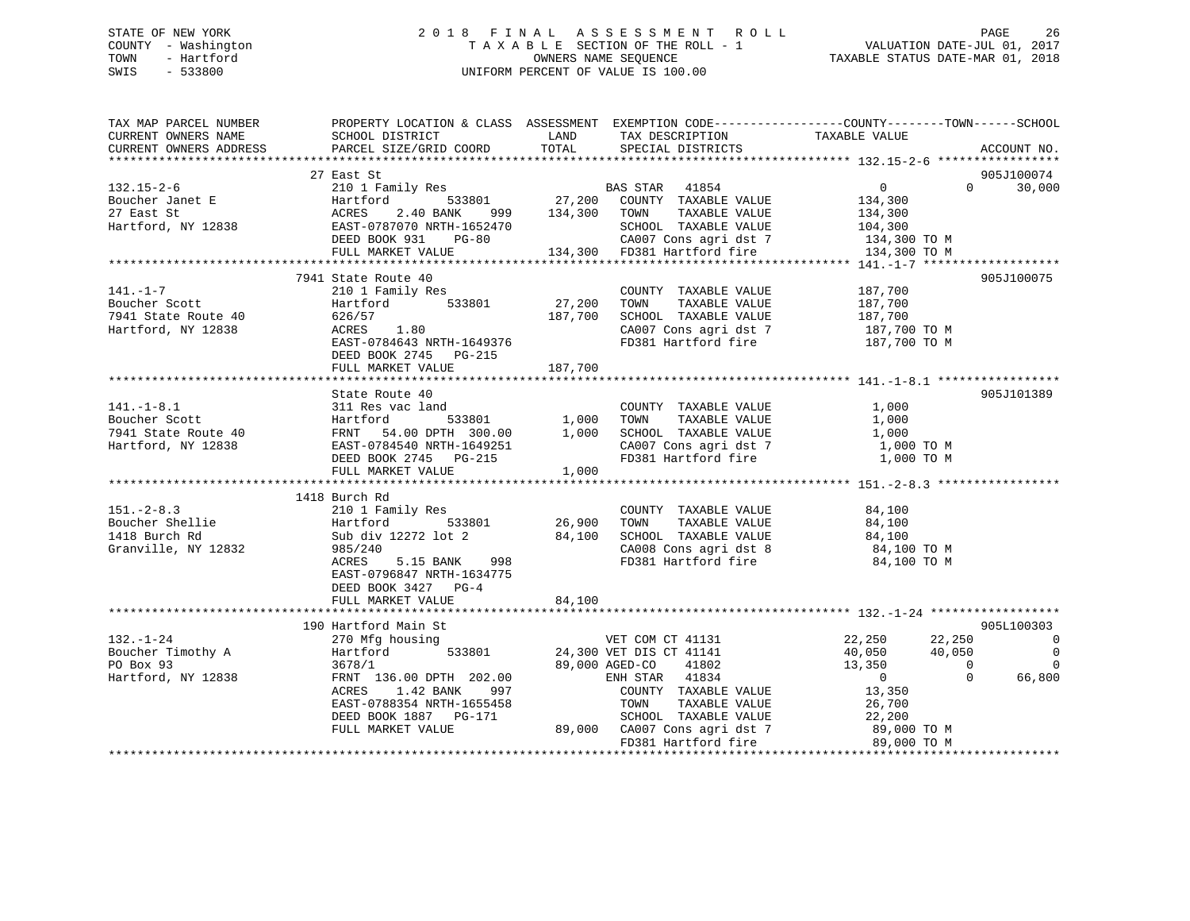## STATE OF NEW YORK 2 0 1 8 F I N A L A S S E S S M E N T R O L L PAGE 26 COUNTY - Washington T A X A B L E SECTION OF THE ROLL - 1 VALUATION DATE-JUL 01, 2017 TOWN - Hartford OWNERS NAME SEQUENCE TAXABLE STATUS DATE-MAR 01, 2018 SWIS - 533800 UNIFORM PERCENT OF VALUE IS 100.00

| TAX MAP PARCEL NUMBER<br>CURRENT OWNERS NAME<br>CURRENT OWNERS ADDRESS                                                                                                                                                                                           | PROPERTY LOCATION & CLASS ASSESSMENT EXEMPTION CODE----------------COUNTY-------TOWN------SCHOOL<br>SCHOOL DISTRICT<br>PARCEL SIZE/GRID COORD | LAND<br>TOTAL | TAX DESCRIPTION<br>SPECIAL DISTRICTS                                                                                        | TAXABLE VALUE                                                                  | ACCOUNT NO.                 |
|------------------------------------------------------------------------------------------------------------------------------------------------------------------------------------------------------------------------------------------------------------------|-----------------------------------------------------------------------------------------------------------------------------------------------|---------------|-----------------------------------------------------------------------------------------------------------------------------|--------------------------------------------------------------------------------|-----------------------------|
|                                                                                                                                                                                                                                                                  |                                                                                                                                               |               |                                                                                                                             |                                                                                |                             |
| $132.15 - 2 - 6$                                                                                                                                                                                                                                                 | 27 East St<br>210 1 Family Res 60 BAS STAR 41854                                                                                              |               |                                                                                                                             | $\overline{0}$                                                                 | 905J100074<br>$0 \t 30,000$ |
| Boucher Janet E<br>Boucher Janet E<br>27 East St<br>27 East St<br>27 East St<br>27 East St<br>27 East St<br>27 East St<br>27 East St<br>27 East St<br>27 East St<br>27 East St<br>27 East St<br>27 East St<br>27 200 COUNTY TAXABLE VALUE<br>27 EAST -078707     |                                                                                                                                               |               |                                                                                                                             |                                                                                |                             |
|                                                                                                                                                                                                                                                                  |                                                                                                                                               |               |                                                                                                                             | 134,300<br>134,300                                                             |                             |
|                                                                                                                                                                                                                                                                  |                                                                                                                                               |               | 104,300 SCHOOL TAXABLE VALUE 104,300<br>3-80 CA007 Cons agri dst 7 134,300 TO M<br>134,300 FD381 Hartford fire 134,300 TO M |                                                                                |                             |
|                                                                                                                                                                                                                                                                  |                                                                                                                                               |               |                                                                                                                             |                                                                                |                             |
|                                                                                                                                                                                                                                                                  | FULL MARKET VALUE                                                                                                                             |               |                                                                                                                             |                                                                                |                             |
|                                                                                                                                                                                                                                                                  |                                                                                                                                               |               |                                                                                                                             |                                                                                |                             |
|                                                                                                                                                                                                                                                                  | 7941 State Route 40<br>210 1 Family Res                                                                                                       |               | COUNTY TAXABLE VALUE 187,700                                                                                                |                                                                                | 905J100075                  |
| $141. - 1 - 7$<br>Boucher Scott                                                                                                                                                                                                                                  |                                                                                                                                               |               | TOWN                                                                                                                        |                                                                                |                             |
| 7941 State Route 40                                                                                                                                                                                                                                              | Hartford 533801 27,200<br>Hartfor<br>626/57                                                                                                   | 187,700       | TAXABLE VALUE 187,700<br>DL TAXABLE VALUE 187,700<br>SCHOOL TAXABLE VALUE                                                   |                                                                                |                             |
| Hartford, NY 12838                                                                                                                                                                                                                                               | 626/57<br>ACRES 1.80                                                                                                                          |               |                                                                                                                             |                                                                                |                             |
|                                                                                                                                                                                                                                                                  | EAST-0784643 NRTH-1649376                                                                                                                     |               | CA007 Cons agri dst 7 187,700 TO M<br>FD381 Hartford fire 187,700 TO M                                                      |                                                                                |                             |
|                                                                                                                                                                                                                                                                  | DEED BOOK 2745 PG-215                                                                                                                         |               |                                                                                                                             |                                                                                |                             |
|                                                                                                                                                                                                                                                                  | FULL MARKET VALUE                                                                                                                             | 187,700       |                                                                                                                             |                                                                                |                             |
|                                                                                                                                                                                                                                                                  |                                                                                                                                               |               |                                                                                                                             |                                                                                |                             |
|                                                                                                                                                                                                                                                                  |                                                                                                                                               |               |                                                                                                                             |                                                                                | 905J101389                  |
|                                                                                                                                                                                                                                                                  |                                                                                                                                               |               |                                                                                                                             |                                                                                |                             |
|                                                                                                                                                                                                                                                                  |                                                                                                                                               |               |                                                                                                                             |                                                                                |                             |
|                                                                                                                                                                                                                                                                  |                                                                                                                                               |               |                                                                                                                             |                                                                                |                             |
|                                                                                                                                                                                                                                                                  |                                                                                                                                               |               |                                                                                                                             |                                                                                |                             |
|                                                                                                                                                                                                                                                                  |                                                                                                                                               |               |                                                                                                                             |                                                                                |                             |
|                                                                                                                                                                                                                                                                  |                                                                                                                                               |               |                                                                                                                             |                                                                                |                             |
| Xtate Route 40<br>141.-1-8.1 311 Res vac land<br>2000 Boucher Scott Hartford 533801 1,000 TOWN TAXABLE VALUE 1,000<br>27941 State Route 40 FRNT 54.00 DPTH 300.00 1,000 SCHOOL TAXABLE VALUE 1,000 TOWN<br>2000 BEED BOOK 2745 PG-215                            | 1418 Burch Rd                                                                                                                                 |               |                                                                                                                             |                                                                                |                             |
| $151. -2 - 8.3$                                                                                                                                                                                                                                                  |                                                                                                                                               |               |                                                                                                                             |                                                                                |                             |
| Boucher Shellie                                                                                                                                                                                                                                                  |                                                                                                                                               |               | COUNTY TAXABLE VALUE<br>TOWN      TAXABLE VALUE                                                                             | 84,100<br>84,100                                                               |                             |
| 1418 Burch Rd                                                                                                                                                                                                                                                    | 210 1 Family Res<br>Hartford 533801 26,900<br>Sub div 12272 lot 2 84,100<br>985/240                                                           |               |                                                                                                                             |                                                                                |                             |
| Granville, NY 12832                                                                                                                                                                                                                                              |                                                                                                                                               |               | SCHOOL TAXABLE VALUE 84,100<br>CA008 Cons agri dst 8 84,100 TO M                                                            |                                                                                |                             |
|                                                                                                                                                                                                                                                                  | ACRES 5.15 BANK 998                                                                                                                           |               | FD381 Hartford fire                                                                                                         | 84,100 TO M                                                                    |                             |
|                                                                                                                                                                                                                                                                  | EAST-0796847 NRTH-1634775                                                                                                                     |               |                                                                                                                             |                                                                                |                             |
|                                                                                                                                                                                                                                                                  | DEED BOOK 3427 PG-4                                                                                                                           |               |                                                                                                                             |                                                                                |                             |
|                                                                                                                                                                                                                                                                  | FULL MARKET VALUE                                                                                                                             | 84,100        |                                                                                                                             |                                                                                |                             |
|                                                                                                                                                                                                                                                                  |                                                                                                                                               |               |                                                                                                                             |                                                                                |                             |
|                                                                                                                                                                                                                                                                  | 190 Hartford Main St                                                                                                                          |               |                                                                                                                             |                                                                                | 905L100303                  |
| $132. - 1 - 24$                                                                                                                                                                                                                                                  | 270 Mfg housing                                                                                                                               |               | VET COM CT 41131                                                                                                            |                                                                                | $\overline{0}$              |
|                                                                                                                                                                                                                                                                  |                                                                                                                                               |               | 533801 24,300 VET DIS CT 41141                                                                                              |                                                                                | $\overline{0}$              |
| Boucher Timothy A<br>Po Box 93<br>Hartford, NY 12838<br>Hartford, NY 12838<br>Po Box 93<br>Po Box 93<br>Po Box 93<br>Po Box 93<br>Po Box 93<br>Po Box 93<br>Po Box 93<br>Po Box 93<br>Po Box 93<br>Po Box 93<br>Po Box 93<br>Po Box 93<br>Po Box 93<br>Po Box 93 |                                                                                                                                               |               | 89,000 AGED-CO 41802                                                                                                        | $\begin{array}{c} 13 \, , \, 350 \\ 0 \end{array}$<br>$\overline{\phantom{a}}$ | $\overline{0}$              |
|                                                                                                                                                                                                                                                                  |                                                                                                                                               |               | ENH STAR 41834                                                                                                              | $\Omega$                                                                       | 66,800                      |
|                                                                                                                                                                                                                                                                  | ACRES<br>1.42 BANK<br>997                                                                                                                     |               | COUNTY TAXABLE VALUE<br>TOWN      TAXABLE VALUE                                                                             | 13,350<br>26,700                                                               |                             |
|                                                                                                                                                                                                                                                                  | EAST-0788354 NRTH-1655458<br>DEED BOOK 1887 PG-171                                                                                            |               |                                                                                                                             |                                                                                |                             |
|                                                                                                                                                                                                                                                                  | FULL MARKET VALUE                                                                                                                             |               | SCHOOL TAXABLE VALUE 22,200<br>89,000 CA007 Cons agri dst 7 89,000 TO M                                                     |                                                                                |                             |
|                                                                                                                                                                                                                                                                  |                                                                                                                                               |               | FD381 Hartford fire 89,000 TO M                                                                                             |                                                                                |                             |
|                                                                                                                                                                                                                                                                  |                                                                                                                                               |               |                                                                                                                             |                                                                                |                             |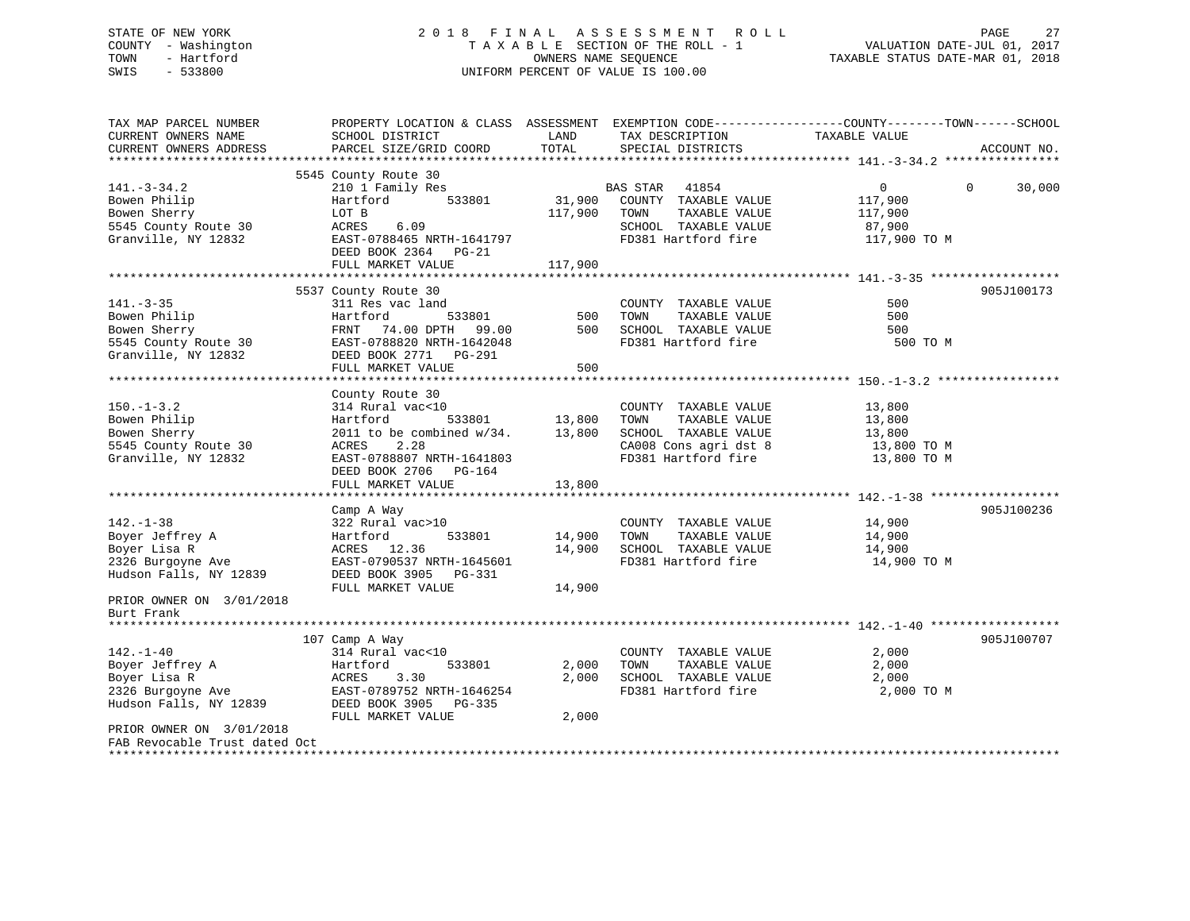## STATE OF NEW YORK 2 0 1 8 F I N A L A S S E S S M E N T R O L L PAGE 27 COUNTY - Washington T A X A B L E SECTION OF THE ROLL - 1 VALUATION DATE-JUL 01, 2017 TOWN - Hartford OWNERS NAME SEQUENCE TAXABLE STATUS DATE-MAR 01, 2018 SWIS - 533800 UNIFORM PERCENT OF VALUE IS 100.00

| TAX MAP PARCEL NUMBER<br>CURRENT OWNERS NAME<br>CURRENT OWNERS ADDRESS                                                                                                             | SCHOOL DISTRICT<br>PARCEL SIZE/GRID COORD                                                                                                                                                    | LAND<br>TOTAL                | TAX DESCRIPTION<br>SPECIAL DISTRICTS                                                                                  | PROPERTY LOCATION & CLASS ASSESSMENT EXEMPTION CODE---------------COUNTY-------TOWN-----SCHOOL<br>TAXABLE VALUE<br>ACCOUNT NO. |
|------------------------------------------------------------------------------------------------------------------------------------------------------------------------------------|----------------------------------------------------------------------------------------------------------------------------------------------------------------------------------------------|------------------------------|-----------------------------------------------------------------------------------------------------------------------|--------------------------------------------------------------------------------------------------------------------------------|
| $141. - 3 - 34.2$<br>Bowen Philip<br>Bowen Sherry<br>5545 County Route 30<br>Granville, NY 12832                                                                                   | 5545 County Route 30<br>210 1 Family Res<br>533801<br>Hartford<br>LOT B<br>ACRES<br>6.09<br>EAST-0788465 NRTH-1641797<br>DEED BOOK 2364 PG-21<br>FULL MARKET VALUE                           | 31,900<br>117,900<br>117,900 | BAS STAR 41854<br>COUNTY TAXABLE VALUE<br>TOWN<br>TAXABLE VALUE<br>SCHOOL TAXABLE VALUE<br>FD381 Hartford fire        | $0 \qquad \qquad$<br>$\Omega$<br>30,000<br>117,900<br>117,900<br>87,900<br>117,900 TO M                                        |
| $141. - 3 - 35$<br>Bowen Philip<br>Bowen Sherry<br>5545 County Route 30<br>Granville, NY 12832                                                                                     | 5537 County Route 30<br>311 Res vac land<br>533801<br>Hartford<br>FRNT 74.00 DPTH 99.00<br>EAST-0788820 NRTH-1642048<br>DEED BOOK 2771 PG-291<br>FULL MARKET VALUE                           | 500<br>500<br>500            | COUNTY TAXABLE VALUE<br>TOWN<br>TAXABLE VALUE<br>SCHOOL TAXABLE VALUE<br>FD381 Hartford fire                          | 905J100173<br>500<br>500<br>500<br>500 TO M                                                                                    |
| $150. - 1 - 3.2$<br>Bowen Philip<br>Bowen Sherry<br>5545 County Route 30<br>Granville, NY 12832                                                                                    | County Route 30<br>314 Rural vac<10<br>533801<br>Hartford<br>2011 to be combined $w/34$ . 13,800<br>2.28<br>ACRES<br>EAST-0788807 NRTH-1641803<br>DEED BOOK 2706 PG-164<br>FULL MARKET VALUE | 13,800<br>13,800             | COUNTY TAXABLE VALUE<br>TOWN<br>TAXABLE VALUE<br>SCHOOL TAXABLE VALUE<br>CA008 Cons agri dst 8<br>FD381 Hartford fire | 13,800<br>13,800<br>13,800<br>13,800 TO M<br>13,800 TO M                                                                       |
| $142. - 1 - 38$<br>Boyer Jeffrey A<br>Boyer Lisa R<br>2326 Burgoyne Ave<br>Hudson Falls, NY 12839<br>PRIOR OWNER ON 3/01/2018<br>Burt Frank                                        | Camp A Way<br>322 Rural vac>10<br>533801<br>Hartford<br>ACRES 12.36<br>EAST-0790537 NRTH-1645601<br>DEED BOOK 3905 PG-331<br>FULL MARKET VALUE                                               | 14,900<br>14,900<br>14,900   | COUNTY TAXABLE VALUE<br>TOWN<br>TAXABLE VALUE<br>SCHOOL TAXABLE VALUE<br>FD381 Hartford fire                          | 905J100236<br>14,900<br>14,900<br>14,900<br>14,900 TO M                                                                        |
| *******************<br>$142. - 1 - 40$<br>142.-1-10<br>Boyer Jeffrey A<br>2326 Burgoyne Ave<br>Hudson Falls, NY 12839<br>PRIOR OWNER ON 3/01/2018<br>FAB Revocable Trust dated Oct | 107 Camp A Way<br>314 Rural vac<10<br>533801<br>Hartford<br>3.30<br>ACRES<br>EAST-0789752 NRTH-1646254<br>DEED BOOK 3905 PG-335<br>FULL MARKET VALUE                                         | 2,000<br>2,000<br>2,000      | COUNTY TAXABLE VALUE<br>TOWN<br>TAXABLE VALUE<br>SCHOOL TAXABLE VALUE<br>FD381 Hartford fire                          | 905J100707<br>2,000<br>2,000<br>2,000<br>2,000 TO M                                                                            |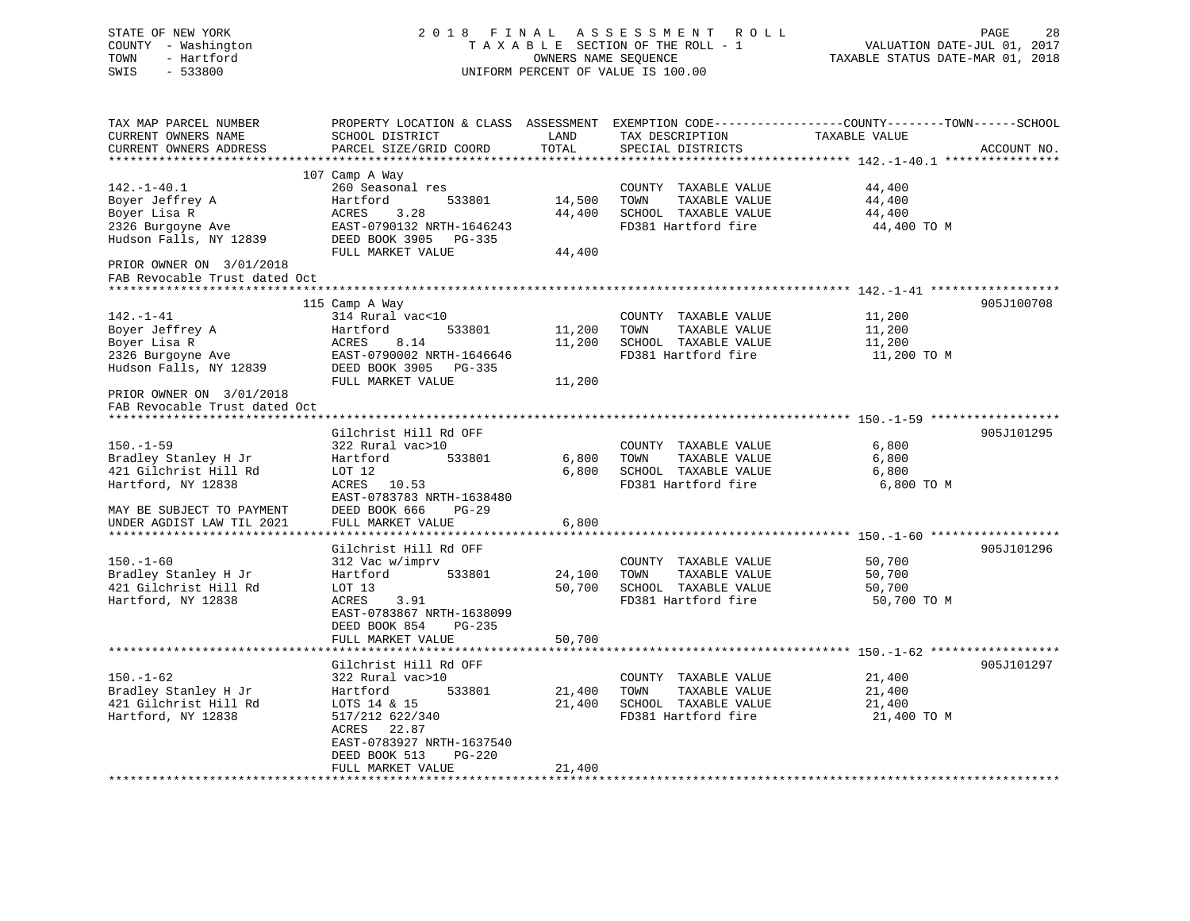| STATE OF NEW YORK<br>COUNTY - Washington<br>TOWN<br>- Hartford<br>SWIS<br>$-533800$                                                                                                    | 2018 FINAL ASSESSMENT<br>TAXABLE SECTION OF THE ROLL - 1<br>UNIFORM PERCENT OF VALUE IS 100.00                                                                                                                                                           | VALUATION DATE-JUL 01, 2017<br>TAXABLE STATUS DATE-MAR 01, 2018 | PAGE<br>28                                                                                   |                                                                                                          |             |
|----------------------------------------------------------------------------------------------------------------------------------------------------------------------------------------|----------------------------------------------------------------------------------------------------------------------------------------------------------------------------------------------------------------------------------------------------------|-----------------------------------------------------------------|----------------------------------------------------------------------------------------------|----------------------------------------------------------------------------------------------------------|-------------|
| TAX MAP PARCEL NUMBER<br>CURRENT OWNERS NAME<br>CURRENT OWNERS ADDRESS<br>*************************                                                                                    | PROPERTY LOCATION & CLASS ASSESSMENT EXEMPTION CODE----------------COUNTY-------TOWN------SCHOOL<br>SCHOOL DISTRICT<br>PARCEL SIZE/GRID COORD                                                                                                            | LAND<br>TOTAL                                                   | TAX DESCRIPTION<br>SPECIAL DISTRICTS                                                         | TAXABLE VALUE                                                                                            | ACCOUNT NO. |
| $142. - 1 - 40.1$<br>Boyer Jeffrey A<br>Boyer Lisa R<br>2326 Burgoyne Ave<br>Hudson Falls, NY 12839<br>PRIOR OWNER ON 3/01/2018                                                        | 107 Camp A Way<br>260 Seasonal res<br>Hartford<br>533801<br>ACRES<br>3.28<br>EAST-0790132 NRTH-1646243<br>DEED BOOK 3905 PG-335<br>FULL MARKET VALUE                                                                                                     | 14,500<br>44,400<br>44,400                                      | COUNTY TAXABLE VALUE<br>TAXABLE VALUE<br>TOWN<br>SCHOOL TAXABLE VALUE<br>FD381 Hartford fire | 44,400<br>44,400<br>44,400<br>44,400 TO M                                                                |             |
| FAB Revocable Trust dated Oct<br>$142. - 1 - 41$<br>Boyer Jeffrey A<br>Boyer Lisa R<br>2326 Burgoyne Ave<br>Hudson Falls, NY 12839<br>PRIOR OWNER ON 3/01/2018                         | 115 Camp A Way<br>314 Rural vac<10<br>533801<br>Hartford<br>ACRES<br>8.14<br>EAST-0790002 NRTH-1646646<br>DEED BOOK 3905 PG-335<br>FULL MARKET VALUE                                                                                                     | 11,200<br>11,200<br>11,200                                      | COUNTY TAXABLE VALUE<br>TOWN<br>TAXABLE VALUE<br>SCHOOL TAXABLE VALUE<br>FD381 Hartford fire | ******************************** 142.-1-41 ****************<br>11,200<br>11,200<br>11,200<br>11,200 TO M | 905J100708  |
| FAB Revocable Trust dated Oct<br>******************************<br>$150. - 1 - 59$<br>Bradley Stanley H Jr<br>421 Gilchrist Hill Rd<br>Hartford, NY 12838<br>MAY BE SUBJECT TO PAYMENT | Gilchrist Hill Rd OFF<br>322 Rural vac>10<br>Hartford<br>533801<br>LOT 12<br>ACRES 10.53<br>EAST-0783783 NRTH-1638480<br>DEED BOOK 666<br>$PG-29$                                                                                                        | 6,800<br>6,800                                                  | COUNTY TAXABLE VALUE<br>TAXABLE VALUE<br>TOWN<br>SCHOOL TAXABLE VALUE<br>FD381 Hartford fire | 6,800<br>6,800<br>6,800<br>6,800 TO M                                                                    | 905J101295  |
| UNDER AGDIST LAW TIL 2021<br>$150. - 1 - 60$<br>Bradley Stanley H Jr<br>421 Gilchrist Hill Rd<br>Hartford, NY 12838                                                                    | FULL MARKET VALUE<br>Gilchrist Hill Rd OFF<br>312 Vac w/imprv<br>Hartford<br>533801<br>LOT 13<br>ACRES<br>3.91<br>EAST-0783867 NRTH-1638099<br>DEED BOOK 854<br>PG-235<br>FULL MARKET VALUE                                                              | 6,800<br>24,100<br>50,700<br>50,700                             | COUNTY TAXABLE VALUE<br>TOWN<br>TAXABLE VALUE<br>SCHOOL TAXABLE VALUE<br>FD381 Hartford fire | 50,700<br>50,700<br>50,700<br>50,700 TO M                                                                | 905J101296  |
| $150. - 1 - 62$<br>Bradley Stanley H Jr<br>421 Gilchrist Hill Rd<br>Hartford, NY 12838<br>*************************                                                                    | *************************<br>Gilchrist Hill Rd OFF<br>322 Rural vac>10<br>Hartford<br>533801<br>LOTS 14 & 15<br>517/212 622/340<br>ACRES<br>22.87<br>EAST-0783927 NRTH-1637540<br>DEED BOOK 513<br>PG-220<br>FULL MARKET VALUE<br>********************** | 21,400<br>21,400<br>21,400                                      | COUNTY TAXABLE VALUE<br>TOWN<br>TAXABLE VALUE<br>SCHOOL TAXABLE VALUE<br>FD381 Hartford fire | 21,400<br>21,400<br>21,400<br>21,400 TO M                                                                | 905J101297  |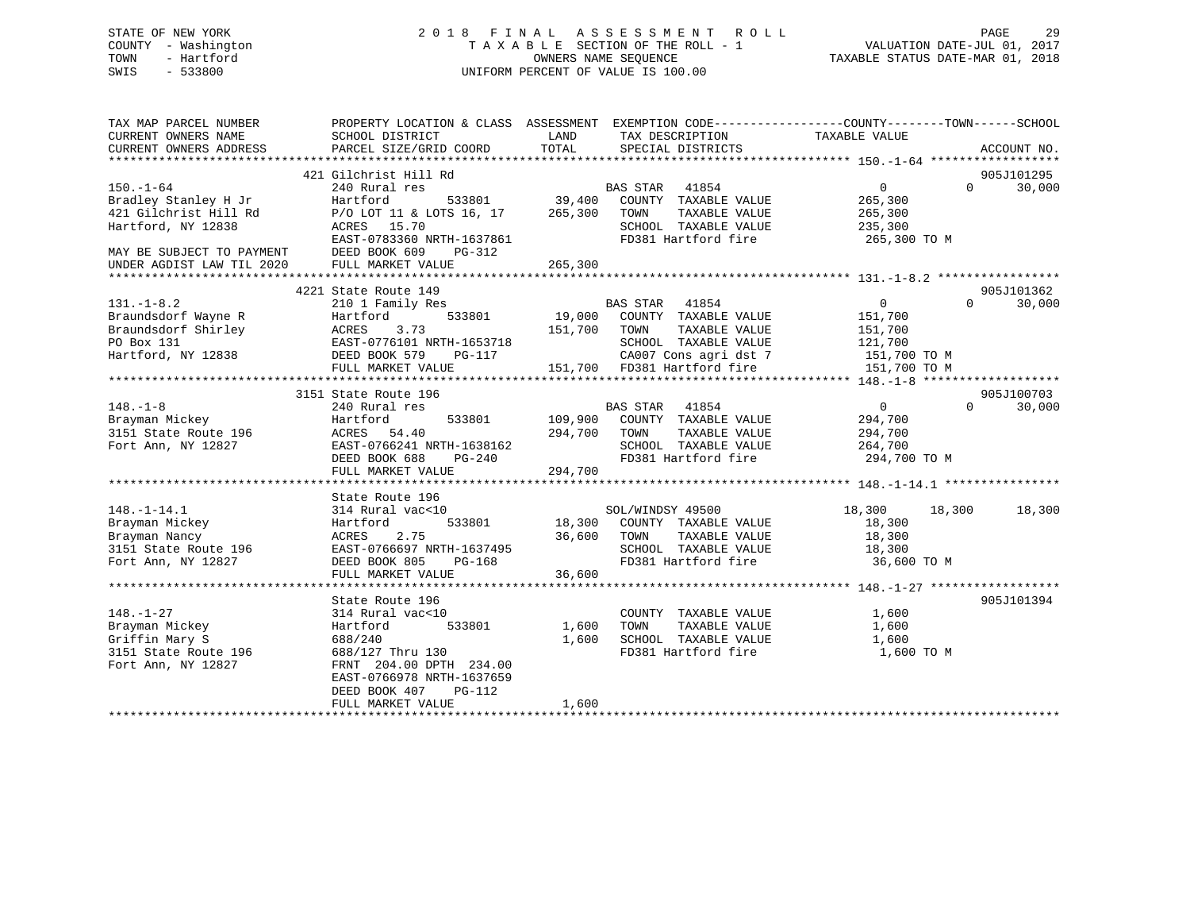## STATE OF NEW YORK 2 0 1 8 F I N A L A S S E S S M E N T R O L L PAGE 29 COUNTY - Washington T A X A B L E SECTION OF THE ROLL - 1 VALUATION DATE-JUL 01, 2017 TOWN - Hartford **TAXABLE STATUS DATE-MAR 01, 2018** OWNERS NAME SEQUENCE TAXABLE STATUS DATE-MAR 01, 2018 SWIS - 533800 UNIFORM PERCENT OF VALUE IS 100.00

| TAX MAP PARCEL NUMBER                                                               | PROPERTY LOCATION & CLASS ASSESSMENT EXEMPTION CODE----------------COUNTY-------TOWN------SCHOOL  |                     |                                 |                               |             |
|-------------------------------------------------------------------------------------|---------------------------------------------------------------------------------------------------|---------------------|---------------------------------|-------------------------------|-------------|
| CURRENT OWNERS NAME                                                                 | SCHOOL DISTRICT                                                                                   | LAND                | TAX DESCRIPTION                 | TAXABLE VALUE                 |             |
| CURRENT OWNERS ADDRESS                                                              | PARCEL SIZE/GRID COORD                                                                            | TOTAL               | SPECIAL DISTRICTS               |                               | ACCOUNT NO. |
|                                                                                     |                                                                                                   |                     |                                 |                               |             |
|                                                                                     | 421 Gilchrist Hill Rd                                                                             |                     |                                 | $\cap$                        | 905J101295  |
| $150. - 1 - 64$                                                                     | 240 Rural res                                                                                     | 533801 39,400       | BAS STAR<br>41854               | $0 \qquad \qquad$             | 30,000      |
| Bradley Stanley H Jr                                                                | Hartford                                                                                          |                     | COUNTY TAXABLE VALUE            | 265,300                       |             |
| 421 Gilchrist Hill Rd                                                               | P/O LOT 11 & LOTS 16, 17 265,300                                                                  |                     | TOWN<br>TAXABLE VALUE           | 265,300                       |             |
| Hartford, NY 12838                                                                  | ACRES 15.70                                                                                       |                     | SCHOOL TAXABLE VALUE            | 235,300                       |             |
|                                                                                     | EAST-0783360 NRTH-1637861                                                                         |                     | FD381 Hartford fire             | 265,300 TO M                  |             |
| MAY BE SUBJECT TO PAYMENT<br>MAY BE SUBJECT TO PAYMENT<br>UNDER AGDIST LAW TIL 2020 | DEED BOOK 609<br>PG-312                                                                           |                     |                                 |                               |             |
|                                                                                     | FULL MARKET VALUE                                                                                 | 265,300             |                                 |                               |             |
|                                                                                     |                                                                                                   |                     |                                 |                               |             |
|                                                                                     | 4221 State Route 149                                                                              |                     |                                 |                               | 905J101362  |
| $131. - 1 - 8.2$                                                                    | 210 1 Family Res                                                                                  |                     | <b>BAS STAR</b><br>41854        | $\overline{0}$<br>$\Omega$    | 30,000      |
| Braundsdorf Wayne R                                                                 |                                                                                                   | 19,000              | COUNTY TAXABLE VALUE            | 151,700                       |             |
| Braundsdorf Shirley                                                                 |                                                                                                   | 151,700             | TOWN<br>TAXABLE VALUE           | 151,700                       |             |
| PO Box 131                                                                          | Hartford<br>ACRES 3.73<br>EAST-0776101 NRTH-1653718<br>DEED BOOK 579 PG-117<br>--- ******** VALUE |                     | SCHOOL TAXABLE VALUE            | 121,700                       |             |
| Hartford, NY 12838                                                                  |                                                                                                   |                     | CA007 Cons agri dst 7           | 151,700 TO M                  |             |
|                                                                                     |                                                                                                   |                     | 151,700 FD381 Hartford fire     | 151,700 TO M                  |             |
|                                                                                     |                                                                                                   |                     |                                 |                               |             |
|                                                                                     | 3151 State Route 196                                                                              |                     |                                 |                               | 905J100703  |
| $148. - 1 - 8$                                                                      | 240 Rural res                                                                                     |                     | <b>BAS STAR</b><br>41854        | $0 \qquad \qquad$<br>$\Omega$ | 30,000      |
| Brayman Mickey                                                                      | Hartford<br>533801                                                                                | 109,900             | COUNTY TAXABLE VALUE            | 294,700                       |             |
| 3151 State Route 196                                                                | ACRES<br>54.40                                                                                    | 294,700             | TAXABLE VALUE<br>TOWN           | 294,700                       |             |
| Fort Ann, NY 12827                                                                  | EAST-0766241 NRTH-1638162                                                                         |                     | SCHOOL TAXABLE VALUE            | 264,700                       |             |
|                                                                                     | DEED BOOK 688<br>PG-240                                                                           |                     | FD381 Hartford fire             | 294,700 TO M                  |             |
|                                                                                     | FULL MARKET VALUE                                                                                 | 294,700             |                                 |                               |             |
|                                                                                     |                                                                                                   |                     |                                 |                               |             |
|                                                                                     | State Route 196                                                                                   |                     |                                 |                               |             |
| $148. - 1 - 14.1$                                                                   | 314 Rural vac<10                                                                                  |                     | SOL/WINDSY 49500                | 18,300<br>18,300              | 18,300      |
| Brayman Mickey                                                                      | 533801<br>Hartford                                                                                |                     | 18,300 COUNTY TAXABLE VALUE     | 18,300                        |             |
| Brayman Nancy                                                                       | 2.75<br>ACRES                                                                                     | 36,600              | TOWN<br>TAXABLE VALUE           | 18,300                        |             |
| 3151 State Route 196                                                                | EAST-0766697 NRTH-1637495                                                                         |                     | SCHOOL TAXABLE VALUE            | 18,300                        |             |
| Fort Ann, NY 12827                                                                  | DEED BOOK 805                                                                                     | H-1637495<br>PG-168 | FD381 Hartford fire 36,600 TO M |                               |             |
|                                                                                     | FULL MARKET VALUE                                                                                 | 36,600              |                                 |                               |             |
|                                                                                     |                                                                                                   |                     |                                 |                               |             |
|                                                                                     | State Route 196                                                                                   |                     |                                 |                               | 905J101394  |
| $148. - 1 - 27$                                                                     | 314 Rural vac<10                                                                                  |                     | COUNTY TAXABLE VALUE            | 1,600                         |             |
| Brayman Mickey                                                                      | 533801<br>Hartford                                                                                | 1,600               | TAXABLE VALUE<br>TOWN           | 1,600                         |             |
| Griffin Mary S                                                                      | 688/240                                                                                           | 1,600               | SCHOOL TAXABLE VALUE            | 1,600                         |             |
| 3151 State Route 196                                                                | 688/127 Thru 130                                                                                  |                     | FD381 Hartford fire             | 1,600 TO M                    |             |
| Fort Ann, NY 12827                                                                  | FRNT 204.00 DPTH 234.00                                                                           |                     |                                 |                               |             |
|                                                                                     | EAST-0766978 NRTH-1637659                                                                         |                     |                                 |                               |             |
|                                                                                     | PG-112<br>DEED BOOK 407                                                                           |                     |                                 |                               |             |
|                                                                                     | FULL MARKET VALUE                                                                                 | 1,600               |                                 |                               |             |
|                                                                                     |                                                                                                   |                     |                                 |                               |             |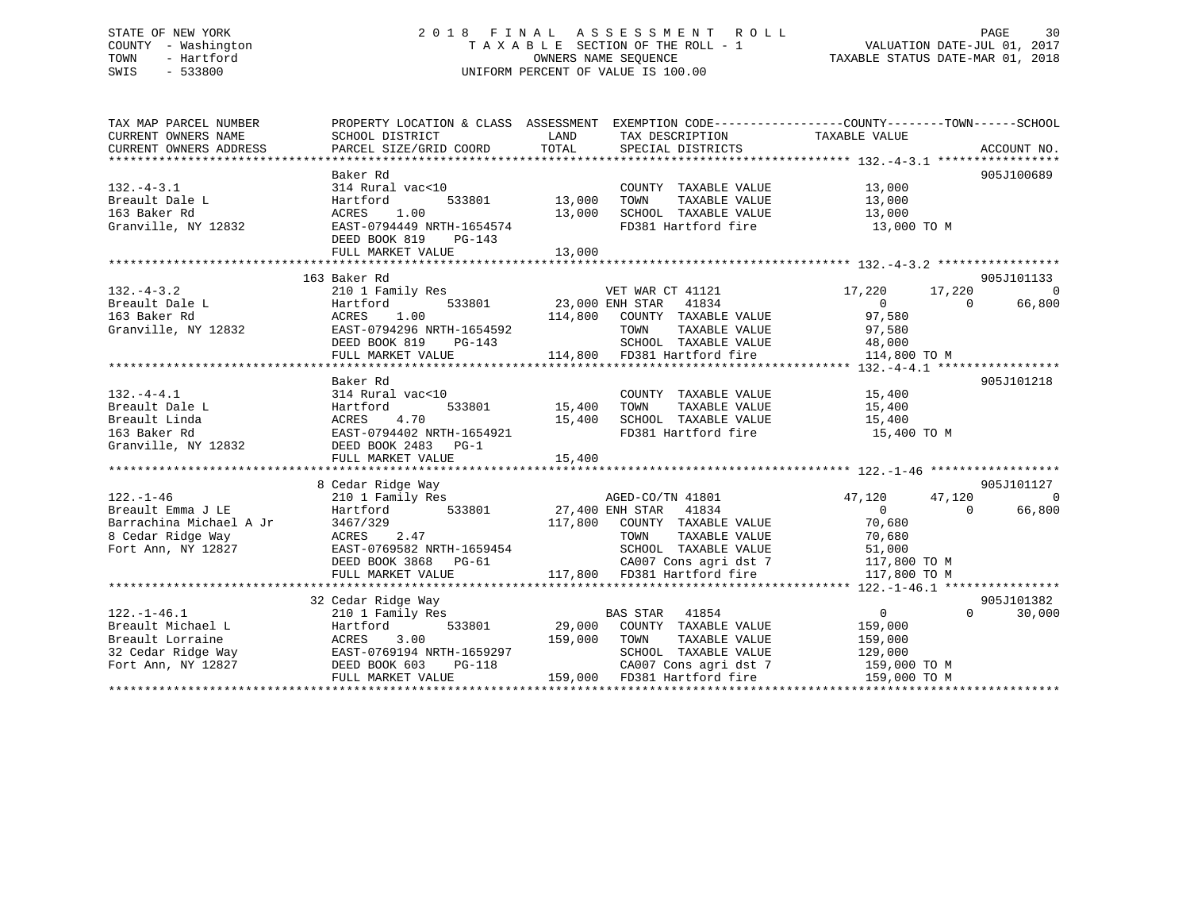## STATE OF NEW YORK 2 0 1 8 F I N A L A S S E S S M E N T R O L L PAGE 30 COUNTY - Washington T A X A B L E SECTION OF THE ROLL - 1 VALUATION DATE-JUL 01, 2017 TOWN - Hartford **TAXABLE STATUS DATE-MAR 01, 2018** OWNERS NAME SEQUENCE TAXABLE STATUS DATE-MAR 01, 2018 SWIS - 533800 UNIFORM PERCENT OF VALUE IS 100.00

| TAX MAP PARCEL NUMBER                                        | PROPERTY LOCATION & CLASS ASSESSMENT EXEMPTION CODE---------------COUNTY-------TOWN------SCHOOL                                                                                                                                                                                                                                                                           |                                                                           |                                                                                           |                                               |                |                          |
|--------------------------------------------------------------|---------------------------------------------------------------------------------------------------------------------------------------------------------------------------------------------------------------------------------------------------------------------------------------------------------------------------------------------------------------------------|---------------------------------------------------------------------------|-------------------------------------------------------------------------------------------|-----------------------------------------------|----------------|--------------------------|
| CURRENT OWNERS NAME                                          | SCHOOL DISTRICT                                                                                                                                                                                                                                                                                                                                                           | LAND                                                                      | TAX DESCRIPTION TAXABLE VALUE                                                             |                                               |                |                          |
|                                                              |                                                                                                                                                                                                                                                                                                                                                                           |                                                                           |                                                                                           |                                               |                |                          |
|                                                              |                                                                                                                                                                                                                                                                                                                                                                           |                                                                           |                                                                                           |                                               |                |                          |
|                                                              | Baker Rd                                                                                                                                                                                                                                                                                                                                                                  |                                                                           |                                                                                           |                                               |                | 905J100689               |
| $132. -4 - 3.1$                                              | 314 Rural vac<10                                                                                                                                                                                                                                                                                                                                                          | 13,000                                                                    | COUNTY TAXABLE VALUE 13,000<br>TOWN TAXABLE VALUE 13,000                                  |                                               |                |                          |
| Breault Dale L                                               | 533801<br>Hartford                                                                                                                                                                                                                                                                                                                                                        | TOWN                                                                      |                                                                                           |                                               |                |                          |
| 163 Baker Rd                                                 | 1.00<br>ACRES                                                                                                                                                                                                                                                                                                                                                             | 13,000 SCHOOL TAXABLE VALUE 13,000                                        |                                                                                           |                                               |                |                          |
| Granville, NY 12832                                          | EAST-0794449 NRTH-1654574                                                                                                                                                                                                                                                                                                                                                 |                                                                           |                                                                                           | FD381 Hartford fire 13,000 TO M               |                |                          |
|                                                              | DEED BOOK 819 PG-143                                                                                                                                                                                                                                                                                                                                                      |                                                                           |                                                                                           |                                               |                |                          |
|                                                              | FULL MARKET VALUE                                                                                                                                                                                                                                                                                                                                                         | 13,000                                                                    |                                                                                           |                                               |                |                          |
|                                                              |                                                                                                                                                                                                                                                                                                                                                                           |                                                                           |                                                                                           |                                               |                |                          |
|                                                              | 163 Baker Rd                                                                                                                                                                                                                                                                                                                                                              |                                                                           |                                                                                           |                                               |                | 905J101133               |
| $132 - 4 - 3.2$                                              | 210 1 Family Res 61 210 1 VET WAR CT 41121 17,220 17,220 17,220                                                                                                                                                                                                                                                                                                           |                                                                           |                                                                                           | $\begin{array}{c}\n0 \\ 0 \\ 97\n\end{array}$ |                | $\overline{\phantom{0}}$ |
|                                                              |                                                                                                                                                                                                                                                                                                                                                                           |                                                                           |                                                                                           |                                               |                |                          |
|                                                              |                                                                                                                                                                                                                                                                                                                                                                           |                                                                           |                                                                                           |                                               |                |                          |
|                                                              |                                                                                                                                                                                                                                                                                                                                                                           |                                                                           |                                                                                           |                                               |                |                          |
|                                                              |                                                                                                                                                                                                                                                                                                                                                                           |                                                                           |                                                                                           |                                               |                |                          |
|                                                              |                                                                                                                                                                                                                                                                                                                                                                           |                                                                           |                                                                                           |                                               |                |                          |
|                                                              | $\begin{array}{cccccccccccc} \texttt{132.}-4-3.2 & \texttt{210 I family} & \texttt{148.0} & \texttt{210.0} & \texttt{210.0} & \texttt{210.0} & \texttt{210.0} & \texttt{210.0} & \texttt{210.0} & \texttt{210.0} & \texttt{210.0} & \texttt{210.0} & \texttt{210.0} & \texttt{210.0} & \texttt{210.0} & \texttt{210.0} & \texttt{210.0} & \texttt{210.0} & \texttt{210.0$ |                                                                           |                                                                                           |                                               |                |                          |
|                                                              | Baker Rd                                                                                                                                                                                                                                                                                                                                                                  |                                                                           |                                                                                           |                                               |                | 905J101218               |
| $132. -4 - 4.1$<br>132.-4-4.1<br>Breault Dale L              | 314 Rural vac<10                                                                                                                                                                                                                                                                                                                                                          |                                                                           | COUNTY TAXABLE VALUE 15,400                                                               |                                               |                |                          |
|                                                              | Hartford                                                                                                                                                                                                                                                                                                                                                                  |                                                                           |                                                                                           | TAXABLE VALUE 15,400                          |                |                          |
|                                                              |                                                                                                                                                                                                                                                                                                                                                                           | 15,400 SCHOOL TAXABLE VALUE 15,400<br>FD381 Hartford fire 15,400          |                                                                                           |                                               |                |                          |
|                                                              | Breault Linda<br>163 Baker Rd<br>Granville, NY 12832<br>SEED BOOK 2483<br>PG-1                                                                                                                                                                                                                                                                                            |                                                                           |                                                                                           | 15,400 TO M                                   |                |                          |
|                                                              |                                                                                                                                                                                                                                                                                                                                                                           |                                                                           |                                                                                           |                                               |                |                          |
|                                                              |                                                                                                                                                                                                                                                                                                                                                                           |                                                                           |                                                                                           |                                               |                |                          |
|                                                              |                                                                                                                                                                                                                                                                                                                                                                           |                                                                           |                                                                                           |                                               |                |                          |
|                                                              | 122.-1-46<br>Breault Emma J LE (210 1 Family Res (27,400 ENH STAR (41801 47,120<br>Barrachina Michael A Jr (3467/329 117,800 COUNTY TAXABLE VALUE 70,680<br>8 Cedar Ridge Way (27,47 117,800 COUNTY TAXABLE VALUE 70,680 117,800 COU                                                                                                                                      |                                                                           |                                                                                           |                                               |                | 905J101127               |
|                                                              |                                                                                                                                                                                                                                                                                                                                                                           |                                                                           |                                                                                           | 47,120                                        | 47,120         | $\Omega$                 |
|                                                              |                                                                                                                                                                                                                                                                                                                                                                           |                                                                           |                                                                                           |                                               | $\overline{0}$ | 66,800                   |
|                                                              |                                                                                                                                                                                                                                                                                                                                                                           |                                                                           |                                                                                           |                                               |                |                          |
|                                                              |                                                                                                                                                                                                                                                                                                                                                                           |                                                                           | TOWN TAXABLE VALUE 70,680<br>SCHOOL TAXABLE VALUE 51,000<br>CA007 Cons agri dst 7 117,800 |                                               |                |                          |
| Fort Ann, NY 12827                                           | EAST-0769582 NRTH-1659454                                                                                                                                                                                                                                                                                                                                                 |                                                                           |                                                                                           |                                               |                |                          |
|                                                              | DEED BOOK $3868$ PG-61                                                                                                                                                                                                                                                                                                                                                    |                                                                           |                                                                                           | 117,800 TO M                                  |                |                          |
|                                                              | FULL MARKET VALUE                                                                                                                                                                                                                                                                                                                                                         | 117,800 FD381 Hartford fire                                               |                                                                                           | 117,800 TO M                                  |                |                          |
|                                                              |                                                                                                                                                                                                                                                                                                                                                                           |                                                                           |                                                                                           |                                               |                |                          |
|                                                              | 32 Cedar Ridge Way                                                                                                                                                                                                                                                                                                                                                        |                                                                           |                                                                                           |                                               |                | 905J101382               |
| $122. - 1 - 46.1$                                            | 210 1 Family Res                                                                                                                                                                                                                                                                                                                                                          | BAS STAR 41854                                                            |                                                                                           | $\overline{0}$                                | $\Omega$       | 30,000                   |
| Breault Michael Land Hartford<br>Breault Lorraine MCRES 3.00 | 533801                                                                                                                                                                                                                                                                                                                                                                    | 29,000 COUNTY TAXABLE VALUE 159,000<br>159,000 TOWN TAXABLE VALUE 159,000 |                                                                                           |                                               |                |                          |
|                                                              |                                                                                                                                                                                                                                                                                                                                                                           |                                                                           |                                                                                           |                                               |                |                          |
|                                                              |                                                                                                                                                                                                                                                                                                                                                                           |                                                                           | SCHOOL TAXABLE VALUE 129,000                                                              |                                               |                |                          |
|                                                              |                                                                                                                                                                                                                                                                                                                                                                           |                                                                           |                                                                                           |                                               |                |                          |
|                                                              |                                                                                                                                                                                                                                                                                                                                                                           |                                                                           |                                                                                           |                                               |                |                          |
|                                                              |                                                                                                                                                                                                                                                                                                                                                                           |                                                                           |                                                                                           |                                               |                |                          |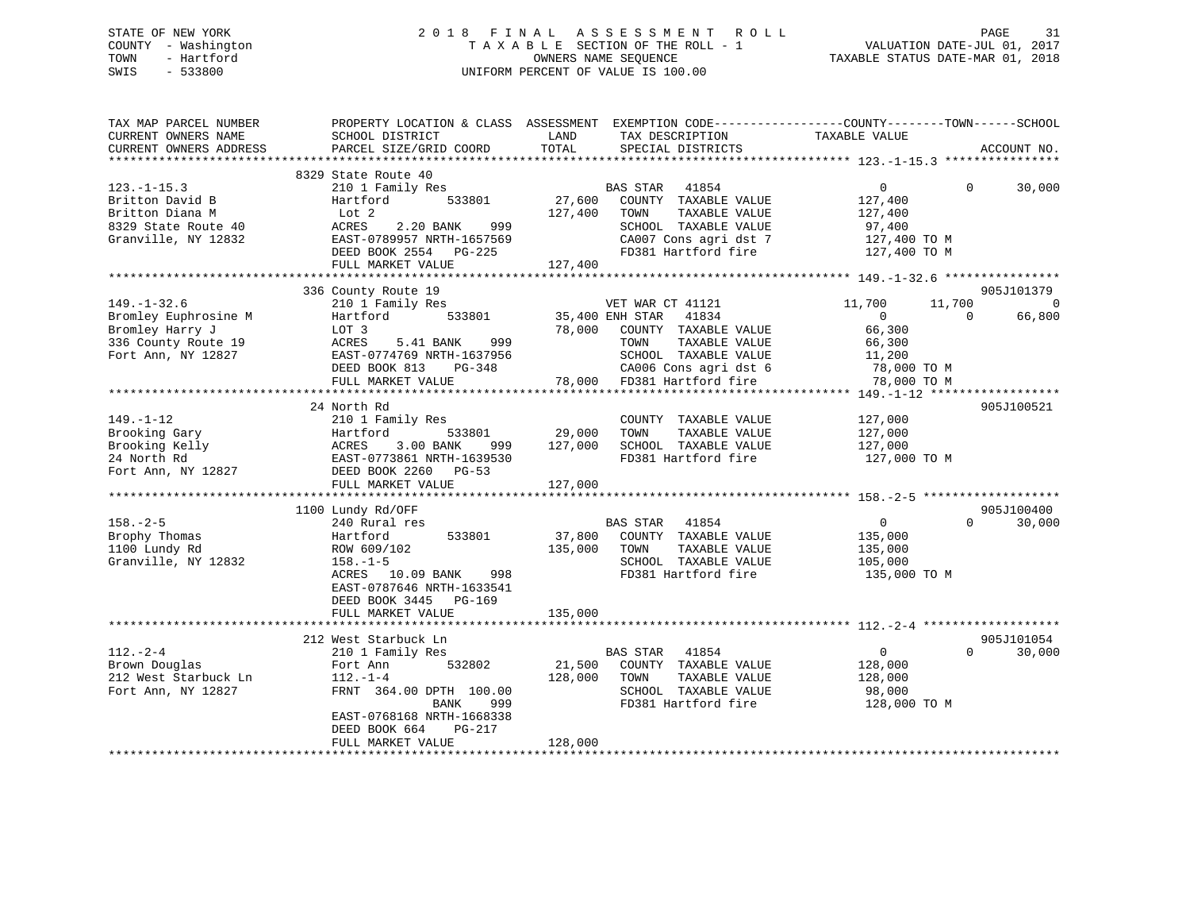## STATE OF NEW YORK 2 0 1 8 F I N A L A S S E S S M E N T R O L L PAGE 31 COUNTY - Washington T A X A B L E SECTION OF THE ROLL - 1 VALUATION DATE-JUL 01, 2017 TOWN - Hartford **TAXABLE STATUS DATE-MAR 01, 2018** OWNERS NAME SEQUENCE TAXABLE STATUS DATE-MAR 01, 2018 SWIS - 533800 UNIFORM PERCENT OF VALUE IS 100.00

| TAX MAP PARCEL NUMBER<br>CURRENT OWNERS NAME<br>CURRENT OWNERS ADDRESS                                    | PROPERTY LOCATION & CLASS ASSESSMENT<br>SCHOOL DISTRICT<br>PARCEL SIZE/GRID COORD                                                                                               | LAND<br>TOTAL                | EXEMPTION CODE-----------------COUNTY-------TOWN------SCHOOL<br>TAX DESCRIPTION<br>SPECIAL DISTRICTS                                                                      | TAXABLE VALUE                                                                        |                    | ACCOUNT NO.                            |
|-----------------------------------------------------------------------------------------------------------|---------------------------------------------------------------------------------------------------------------------------------------------------------------------------------|------------------------------|---------------------------------------------------------------------------------------------------------------------------------------------------------------------------|--------------------------------------------------------------------------------------|--------------------|----------------------------------------|
|                                                                                                           |                                                                                                                                                                                 |                              |                                                                                                                                                                           |                                                                                      |                    |                                        |
| $123. - 1 - 15.3$<br>Britton David B<br>Britton Diana M<br>8329 State Route 40<br>Granville, NY 12832     | 8329 State Route 40<br>210 1 Family Res<br>533801<br>Hartford<br>Lot 2<br>2.20 BANK<br>ACRES<br>999<br>EAST-0789957 NRTH-1657569<br>DEED BOOK 2554 PG-225<br>FULL MARKET VALUE  | 27,600<br>127,400<br>127,400 | BAS STAR 41854<br>COUNTY TAXABLE VALUE<br>TOWN<br>TAXABLE VALUE<br>SCHOOL TAXABLE VALUE<br>CA007 Cons agri dst 7<br>FD381 Hartford fire                                   | $\overline{0}$<br>127,400<br>127,400<br>97,400<br>127,400 TO M<br>127,400 TO M       | $\Omega$           | 30,000                                 |
|                                                                                                           |                                                                                                                                                                                 |                              |                                                                                                                                                                           |                                                                                      |                    |                                        |
| $149. - 1 - 32.6$<br>Bromley Euphrosine M<br>Bromley Harry J<br>336 County Route 19<br>Fort Ann, NY 12827 | 336 County Route 19<br>210 1 Family Res<br>533801<br>Hartford<br>LOT 3<br>5.41 BANK<br>999<br>ACRES<br>EAST-0774769 NRTH-1637956<br>DEED BOOK 813 PG-348<br>FULL MARKET VALUE   | 78,000                       | VET WAR CT 41121<br>35,400 ENH STAR 41834<br>COUNTY TAXABLE VALUE<br>TAXABLE VALUE<br>TOWN<br>SCHOOL TAXABLE VALUE<br>CA006 Cons agri dst 6<br>78,000 FD381 Hartford fire | 11,700<br>$\overline{0}$<br>66,300<br>66,300<br>11,200<br>78,000 TO M<br>78,000 TO M | 11,700<br>$\Omega$ | 905J101379<br>$\overline{0}$<br>66,800 |
|                                                                                                           |                                                                                                                                                                                 |                              |                                                                                                                                                                           |                                                                                      |                    |                                        |
| $149. - 1 - 12$<br>Brooking Gary<br>Brooking Kelly<br>24 North Rd<br>Fort Ann, NY 12827                   | 24 North Rd<br>210 1 Family Res<br>533801<br>Hartford<br>3.00 BANK<br>ACRES<br>999<br>EAST-0773861 NRTH-1639530<br>DEED BOOK 2260 PG-53<br>FULL MARKET VALUE                    | 29,000<br>127,000<br>127,000 | COUNTY TAXABLE VALUE<br>TAXABLE VALUE<br>TOWN<br>SCHOOL TAXABLE VALUE<br>FD381 Hartford fire                                                                              | 127,000<br>127,000<br>127,000<br>127,000 TO M                                        |                    | 905J100521                             |
|                                                                                                           |                                                                                                                                                                                 |                              |                                                                                                                                                                           |                                                                                      |                    |                                        |
| $158. - 2 - 5$<br>Brophy Thomas<br>1100 Lundy Rd<br>Granville, NY 12832                                   | 1100 Lundy Rd/OFF<br>240 Rural res<br>533801<br>Hartford<br>ROW 609/102<br>$158. - 1 - 5$<br>10.09 BANK<br>998<br>ACRES<br>EAST-0787646 NRTH-1633541<br>DEED BOOK 3445 PG-169   | 37,800<br>135,000            | BAS STAR<br>41854<br>COUNTY TAXABLE VALUE<br>TOWN<br>TAXABLE VALUE<br>SCHOOL TAXABLE VALUE<br>FD381 Hartford fire                                                         | $\overline{0}$<br>135,000<br>135,000<br>105,000<br>135,000 TO M                      | $\Omega$           | 905J100400<br>30,000                   |
|                                                                                                           | FULL MARKET VALUE                                                                                                                                                               | 135,000                      |                                                                                                                                                                           |                                                                                      |                    |                                        |
|                                                                                                           | 212 West Starbuck Ln                                                                                                                                                            |                              |                                                                                                                                                                           |                                                                                      |                    | 905J101054                             |
| $112. - 2 - 4$<br>Brown Douglas<br>212 West Starbuck Ln<br>Fort Ann, NY 12827                             | 210 1 Family Res<br>532802<br>Fort Ann<br>$112. - 1 - 4$<br>FRNT 364.00 DPTH 100.00<br>BANK<br>999<br>EAST-0768168 NRTH-1668338<br>DEED BOOK 664<br>PG-217<br>FULL MARKET VALUE | 21,500<br>128,000<br>128,000 | BAS STAR 41854<br>COUNTY TAXABLE VALUE<br>TOWN<br>TAXABLE VALUE<br>SCHOOL TAXABLE VALUE<br>FD381 Hartford fire                                                            | $\overline{0}$<br>128,000<br>128,000<br>98,000<br>128,000 TO M                       | $\Omega$           | 30,000                                 |
|                                                                                                           |                                                                                                                                                                                 |                              |                                                                                                                                                                           |                                                                                      |                    |                                        |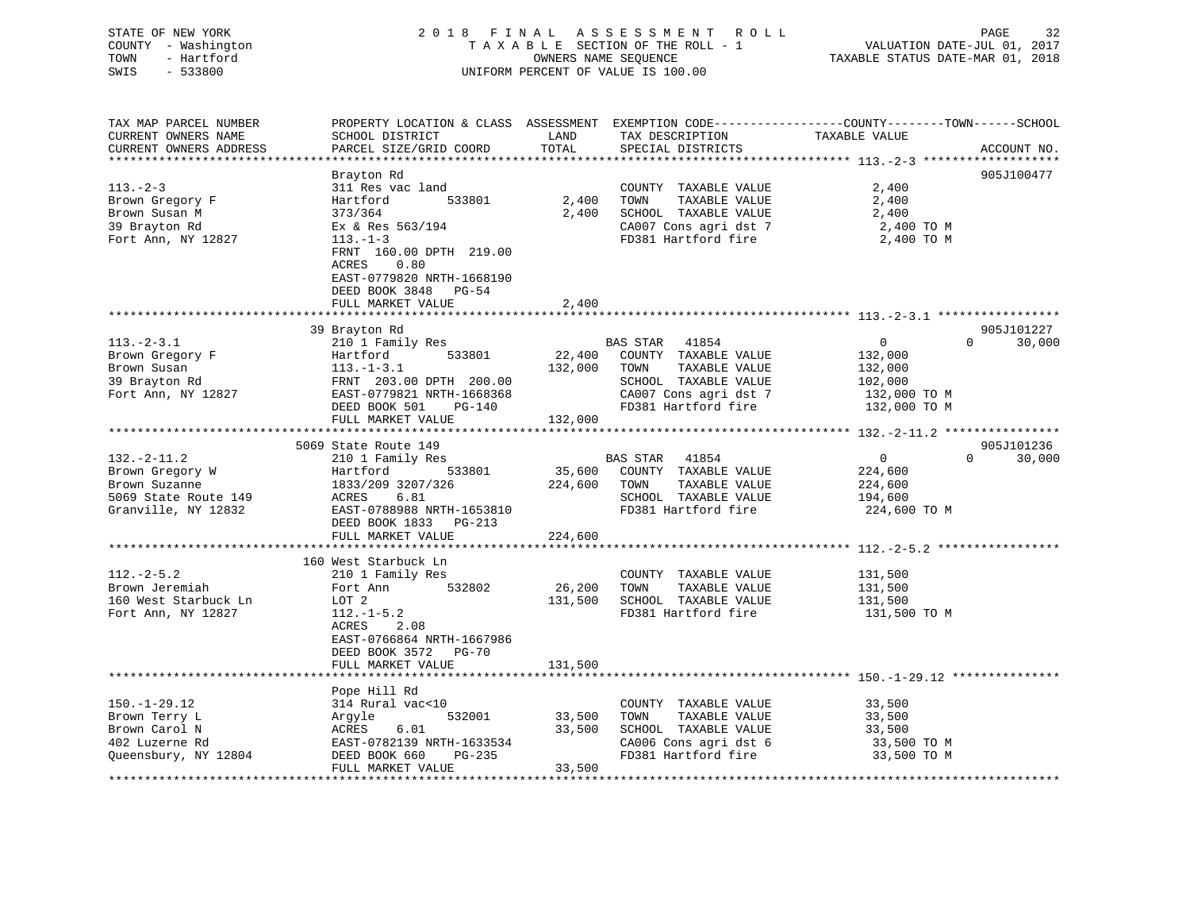| COUNTY - Washington<br>TOWN<br>- Hartford<br>SWIS<br>$-533800$                                       | TAXABLE SECTION OF THE ROLL - 1<br>OWNERS NAME SEOUENCE<br>UNIFORM PERCENT OF VALUE IS 100.00                                                                                      |                              |                                                                                                                                                | VALUATION DATE-JUL 01, 2017<br>TAXABLE STATUS DATE-MAR 01, 2018                 |                    |
|------------------------------------------------------------------------------------------------------|------------------------------------------------------------------------------------------------------------------------------------------------------------------------------------|------------------------------|------------------------------------------------------------------------------------------------------------------------------------------------|---------------------------------------------------------------------------------|--------------------|
| TAX MAP PARCEL NUMBER<br>CURRENT OWNERS NAME<br>CURRENT OWNERS ADDRESS                               | PROPERTY LOCATION & CLASS ASSESSMENT EXEMPTION CODE----------------COUNTY-------TOWN------SCHOOL<br>SCHOOL DISTRICT<br>PARCEL SIZE/GRID COORD                                      | LAND<br>TOTAL                | TAX DESCRIPTION<br>SPECIAL DISTRICTS                                                                                                           | TAXABLE VALUE                                                                   | ACCOUNT NO.        |
| $113. - 2 - 3$<br>Brown Gregory F<br>Brown Susan M<br>39 Brayton Rd<br>Fort Ann, NY 12827            | Brayton Rd<br>311 Res vac land<br>Hartford<br>533801<br>373/364<br>Ex & Res 563/194<br>$113. - 1 - 3$<br>FRNT 160.00 DPTH 219.00<br>ACRES<br>0.80<br>EAST-0779820 NRTH-1668190     | 2,400<br>2,400               | COUNTY TAXABLE VALUE<br>TOWN<br>TAXABLE VALUE<br>SCHOOL TAXABLE VALUE<br>CA007 Cons agri dst 7<br>FD381 Hartford fire                          | 2,400<br>2,400<br>2,400<br>2,400 TO M<br>2,400 TO M                             | 905J100477         |
|                                                                                                      | DEED BOOK 3848 PG-54<br>FULL MARKET VALUE                                                                                                                                          | 2,400                        |                                                                                                                                                |                                                                                 |                    |
|                                                                                                      |                                                                                                                                                                                    |                              |                                                                                                                                                |                                                                                 |                    |
|                                                                                                      | 39 Brayton Rd                                                                                                                                                                      |                              |                                                                                                                                                |                                                                                 | 905J101227         |
| $113.-2-3.1$<br>Brown Gregory F<br>Brown Susan<br>39 Brayton Rd<br>Fort Ann, NY 12827                | 210 1 Family Res<br>533801<br>Hartford<br>$113. - 1 - 3.1$<br>FRNT 203.00 DPTH 200.00<br>EAST-0779821 NRTH-1668368<br>DEED BOOK 501<br>$PG-140$                                    | 132,000                      | BAS STAR 41854<br>22,400 COUNTY TAXABLE VALUE<br>TAXABLE VALUE<br>TOWN<br>SCHOOL TAXABLE VALUE<br>CA007 Cons agri dst 7<br>FD381 Hartford fire | $\overline{0}$<br>132,000<br>132,000<br>102,000<br>132,000 TO M<br>132,000 TO M | $\Omega$<br>30,000 |
|                                                                                                      | FULL MARKET VALUE                                                                                                                                                                  | 132,000                      |                                                                                                                                                |                                                                                 |                    |
|                                                                                                      |                                                                                                                                                                                    |                              |                                                                                                                                                |                                                                                 |                    |
|                                                                                                      | 5069 State Route 149                                                                                                                                                               |                              |                                                                                                                                                |                                                                                 | 905J101236         |
| $132. - 2 - 11.2$<br>Brown Gregory W<br>Brown Suzanne<br>5069 State Route 149<br>Granville, NY 12832 | 210 1 Family Res<br>533801<br>Hartford<br>1833/209 3207/326<br>ACRES<br>6.81<br>EAST-0788988 NRTH-1653810<br>DEED BOOK 1833 PG-213<br>FULL MARKET VALUE                            | 35,600<br>224,600<br>224,600 | BAS STAR 41854<br>COUNTY TAXABLE VALUE<br>TAXABLE VALUE<br>TOWN<br>SCHOOL TAXABLE VALUE<br>FD381 Hartford fire                                 | $\overline{0}$<br>224,600<br>224,600<br>194,600<br>224,600 TO M                 | $\Omega$<br>30,000 |
|                                                                                                      |                                                                                                                                                                                    |                              |                                                                                                                                                |                                                                                 |                    |
| $112.-2-5.2$<br>Brown Jeremiah<br>160 West Starbuck Ln<br>Fort Ann, NY 12827                         | 160 West Starbuck Ln<br>210 1 Family Res<br>532802<br>Fort Ann<br>LOT 2<br>$112.-1-5.2$<br>ACRES<br>2.08<br>EAST-0766864 NRTH-1667986<br>DEED BOOK 3572 PG-70<br>FULL MARKET VALUE | 26,200<br>131,500<br>131,500 | COUNTY TAXABLE VALUE<br>TOWN<br>TAXABLE VALUE<br>SCHOOL TAXABLE VALUE<br>FD381 Hartford fire                                                   | 131,500<br>131,500<br>131,500<br>131,500 TO M                                   |                    |
|                                                                                                      |                                                                                                                                                                                    |                              |                                                                                                                                                |                                                                                 |                    |
| $150. - 1 - 29.12$<br>Brown Terry L<br>Brown Carol N<br>402 Luzerne Rd<br>Queensbury, NY 12804       | Pope Hill Rd<br>314 Rural vac<10<br>532001<br>Argyle<br>ACRES<br>6.01<br>EAST-0782139 NRTH-1633534<br>PG-235<br>DEED BOOK 660<br>FULL MARKET VALUE                                 | 33,500<br>33,500<br>33,500   | COUNTY TAXABLE VALUE<br>TOWN<br>TAXABLE VALUE<br>SCHOOL TAXABLE VALUE<br>CA006 Cons agri dst 6<br>FD381 Hartford fire                          | 33,500<br>33,500<br>33,500<br>33,500 TO M<br>33,500 TO M                        |                    |
| ***************                                                                                      |                                                                                                                                                                                    |                              |                                                                                                                                                |                                                                                 |                    |

STATE OF NEW YORK 2 0 1 8 F I N A L A S S E S S M E N T R O L L PAGE 32

 $32$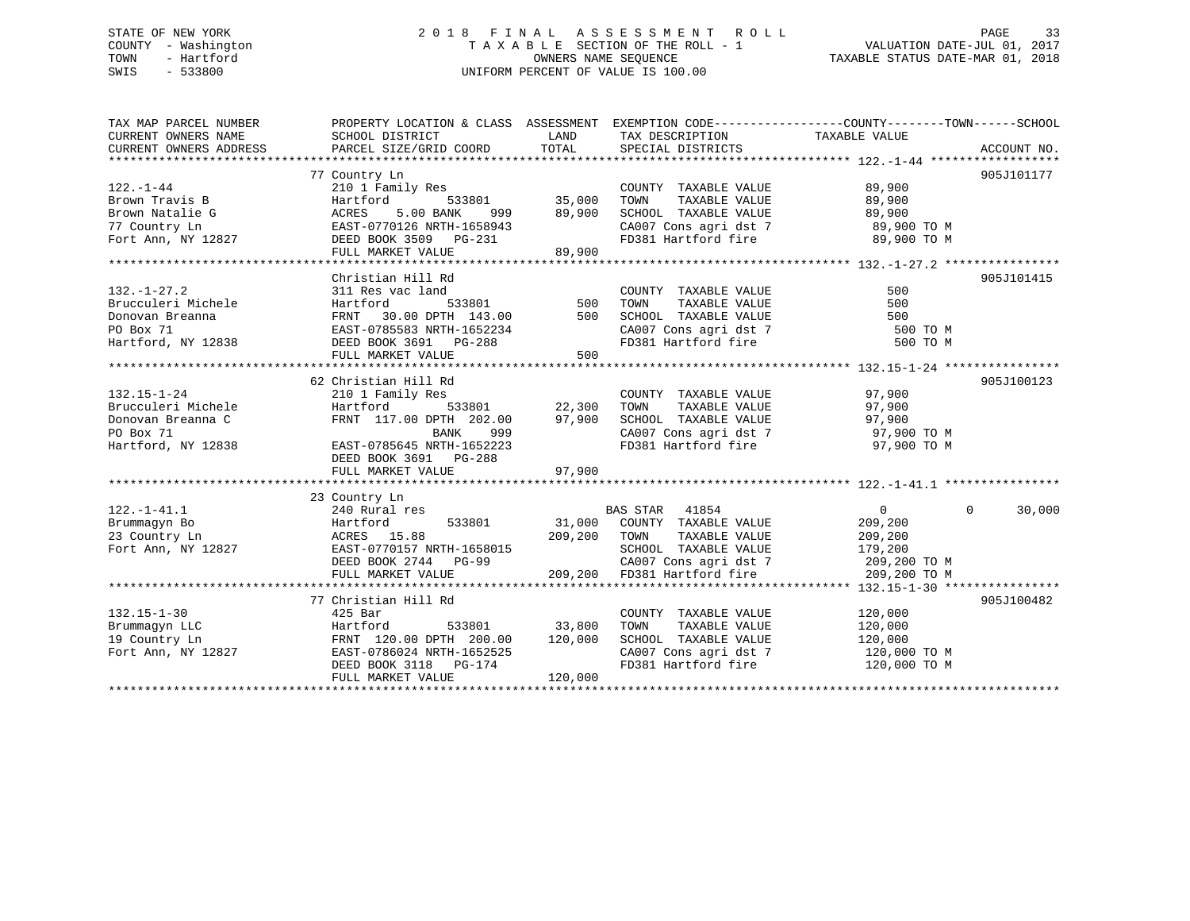## STATE OF NEW YORK 2 0 1 8 F I N A L A S S E S S M E N T R O L L PAGE 33 COUNTY - Washington T A X A B L E SECTION OF THE ROLL - 1 VALUATION DATE-JUL 01, 2017 TOWN - Hartford **TAXABLE STATUS DATE-MAR 01, 2018** OWNERS NAME SEQUENCE TAXABLE STATUS DATE-MAR 01, 2018 SWIS - 533800 UNIFORM PERCENT OF VALUE IS 100.00

| TAX MAP PARCEL NUMBER<br>CURRENT OWNERS NAME | SCHOOL DISTRICT            | LAND          | TAX DESCRIPTION                                                                            | PROPERTY LOCATION & CLASS ASSESSMENT EXEMPTION CODE---------------COUNTY-------TOWN-----SCHOOL<br>TAXABLE VALUE |             |
|----------------------------------------------|----------------------------|---------------|--------------------------------------------------------------------------------------------|-----------------------------------------------------------------------------------------------------------------|-------------|
| CURRENT OWNERS ADDRESS                       | PARCEL SIZE/GRID COORD     | TOTAL         | SPECIAL DISTRICTS                                                                          |                                                                                                                 | ACCOUNT NO. |
|                                              |                            |               |                                                                                            |                                                                                                                 |             |
|                                              | 77 Country Ln              |               |                                                                                            |                                                                                                                 | 905J101177  |
| $122. - 1 - 44$                              | 210 1 Family Res           |               | COUNTY TAXABLE VALUE                                                                       | 89,900                                                                                                          |             |
| Brown Travis B                               | Hartford                   | 533801 35,000 | TOWN<br>TAXABLE VALUE                                                                      | 89,900                                                                                                          |             |
| Brown Natalie G                              | 5.00 BANK<br>ACRES<br>999  | 89,900        | SCHOOL TAXABLE VALUE                                                                       | 89,900                                                                                                          |             |
| 77 Country Ln                                | EAST-0770126 NRTH-1658943  |               | CA007 Cons agri dst 7 89,900 TO M                                                          |                                                                                                                 |             |
| Fort Ann, NY 12827                           | DEED BOOK 3509 PG-231      |               | FD381 Hartford fire                                                                        | 89,900 TO M                                                                                                     |             |
|                                              | FULL MARKET VALUE          | 89,900        |                                                                                            |                                                                                                                 |             |
|                                              |                            |               |                                                                                            |                                                                                                                 |             |
|                                              | Christian Hill Rd          |               |                                                                                            |                                                                                                                 | 905J101415  |
| $132. - 1 - 27.2$                            | 311 Res vac land           |               | COUNTY TAXABLE VALUE                                                                       | 500                                                                                                             |             |
| Brucculeri Michele                           | Hartford                   | 533801 500    | TAXABLE VALUE<br>TOWN                                                                      | 500                                                                                                             |             |
| Donovan Breanna                              | FRNT 30.00 DPTH 143.00 500 |               | SCHOOL TAXABLE VALUE                                                                       |                                                                                                                 |             |
| PO Box 71                                    | EAST-0785583 NRTH-1652234  |               | SCHOOL TAXABLE VALUE 500<br>CA007 Cons agri dst 7 500 TO M<br>FD381 Hartford fire 500 TO M |                                                                                                                 |             |
| Hartford, NY 12838                           | DEED BOOK 3691 PG-288      |               |                                                                                            |                                                                                                                 |             |
|                                              | FULL MARKET VALUE          | 500           |                                                                                            |                                                                                                                 |             |
|                                              |                            |               |                                                                                            |                                                                                                                 |             |
|                                              | 62 Christian Hill Rd       |               |                                                                                            |                                                                                                                 | 905J100123  |
| $132.15 - 1 - 24$                            | 210 1 Family Res           |               | COUNTY TAXABLE VALUE                                                                       | 97,900                                                                                                          |             |
| Brucculeri Michele                           | 533801<br>Hartford         | 22,300        | TAXABLE VALUE<br>TOWN                                                                      | 97,900                                                                                                          |             |
| Donovan Breanna C                            | FRNT 117.00 DPTH 202.00    | 97,900        | SCHOOL TAXABLE VALUE                                                                       | 97,900                                                                                                          |             |
| PO Box 71                                    | BANK<br>999                |               | CA007 Cons agri dst 7                                                                      | 97,900 TO M                                                                                                     |             |
| Hartford, NY 12838                           | EAST-0785645 NRTH-1652223  |               | FD381 Hartford fire                                                                        | 97,900 TO M                                                                                                     |             |
|                                              | DEED BOOK 3691 PG-288      |               |                                                                                            |                                                                                                                 |             |
|                                              | FULL MARKET VALUE          | 97,900        |                                                                                            |                                                                                                                 |             |
|                                              |                            |               |                                                                                            |                                                                                                                 |             |
|                                              | 23 Country Ln              |               |                                                                                            |                                                                                                                 |             |
| $122. - 1 - 41.1$                            | 240 Rural res              |               | BAS STAR 41854                                                                             | $\Omega$<br>$\overline{0}$                                                                                      | 30,000      |
| Brummagyn Bo                                 | 533801<br>Hartford         |               | 31,000 COUNTY TAXABLE VALUE                                                                | 209,200                                                                                                         |             |
| 23 Country Ln                                | ACRES 15.88                | 209,200 TOWN  | TAXABLE VALUE                                                                              | 209,200                                                                                                         |             |
| Fort Ann, NY 12827                           | EAST-0770157 NRTH-1658015  |               | SCHOOL TAXABLE VALUE                                                                       | 179,200                                                                                                         |             |
|                                              | DEED BOOK 2744 PG-99       |               | CA007 Cons agri dst 7                                                                      | 209,200 TO M                                                                                                    |             |
|                                              | FULL MARKET VALUE          | 209,200       | FD381 Hartford fire                                                                        | 209,200 TO M                                                                                                    |             |
|                                              |                            |               |                                                                                            |                                                                                                                 |             |
|                                              | 77 Christian Hill Rd       |               |                                                                                            |                                                                                                                 | 905J100482  |
| $132.15 - 1 - 30$                            | 425 Bar                    |               | COUNTY TAXABLE VALUE                                                                       | 120,000                                                                                                         |             |
| Brummaqyn LLC                                | Hartford<br>533801         | 33,800        | TOWN<br>TAXABLE VALUE                                                                      | 120,000                                                                                                         |             |
| 19 Country Ln                                | FRNT 120.00 DPTH 200.00    | 120,000       | SCHOOL TAXABLE VALUE                                                                       | 120,000                                                                                                         |             |
| Fort Ann, NY 12827                           | EAST-0786024 NRTH-1652525  |               | CA007 Cons agri dst 7                                                                      | 120,000 TO M                                                                                                    |             |
|                                              | DEED BOOK 3118 PG-174      |               | FD381 Hartford fire                                                                        | 120,000 TO M                                                                                                    |             |
|                                              | FULL MARKET VALUE          | 120,000       |                                                                                            |                                                                                                                 |             |
|                                              |                            |               |                                                                                            |                                                                                                                 |             |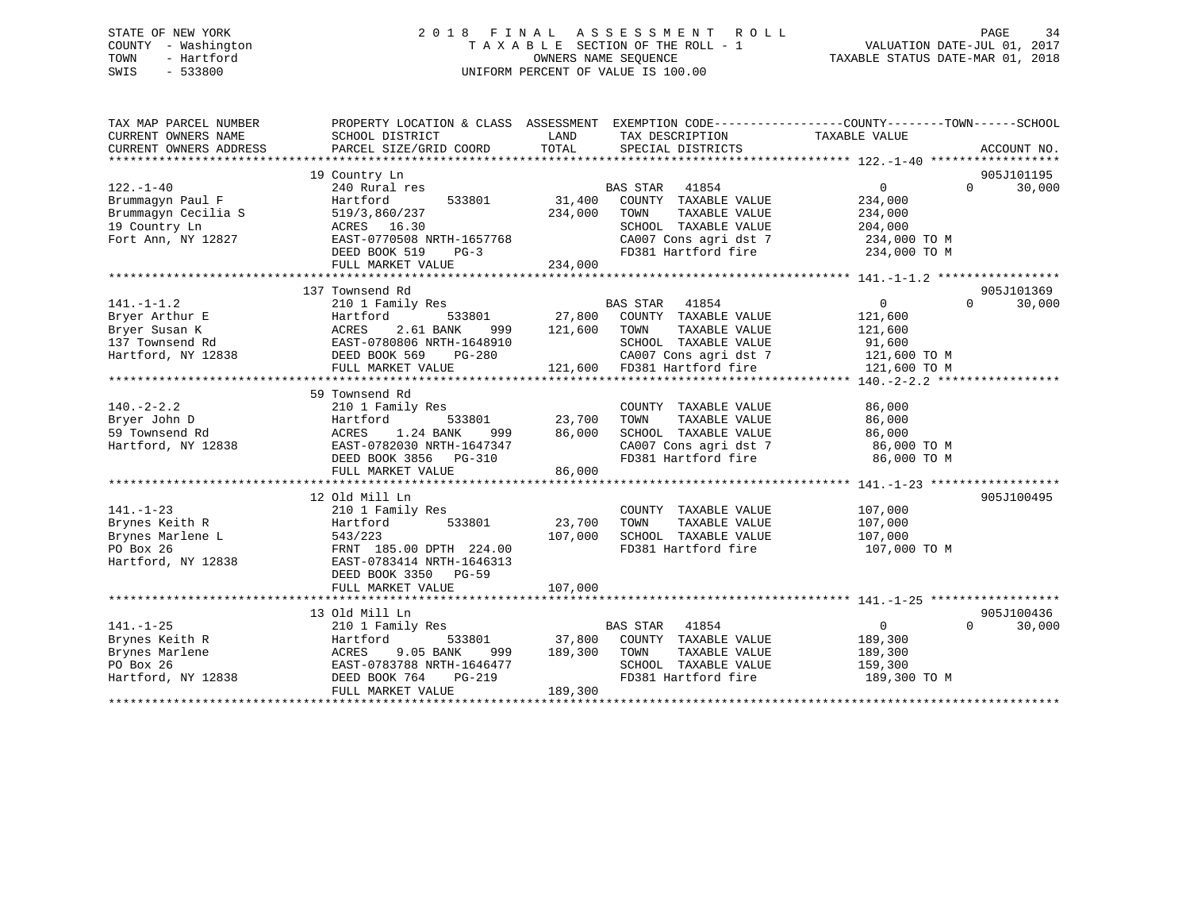## STATE OF NEW YORK 2 0 1 8 F I N A L A S S E S S M E N T R O L L PAGE 34 COUNTY - Washington T A X A B L E SECTION OF THE ROLL - 1 VALUATION DATE-JUL 01, 2017 TOWN - Hartford **TAXABLE STATUS DATE-MAR 01, 2018** OWNERS NAME SEQUENCE TAXABLE STATUS DATE-MAR 01, 2018 SWIS - 533800 UNIFORM PERCENT OF VALUE IS 100.00

| TAX MAP PARCEL NUMBER<br>CURRENT OWNERS NAME                                                                                                                                                                                   | PROPERTY LOCATION & CLASS ASSESSMENT EXEMPTION CODE---------------COUNTY-------TOWN-----SCHOOL<br>SCHOOL DISTRICT                                                                                                                                                       | LAND             | TAX DESCRIPTION                                                                                                                                                                 | TAXABLE VALUE      |          |             |
|--------------------------------------------------------------------------------------------------------------------------------------------------------------------------------------------------------------------------------|-------------------------------------------------------------------------------------------------------------------------------------------------------------------------------------------------------------------------------------------------------------------------|------------------|---------------------------------------------------------------------------------------------------------------------------------------------------------------------------------|--------------------|----------|-------------|
| CURRENT OWNERS ADDRESS                                                                                                                                                                                                         | PARCEL SIZE/GRID COORD                                                                                                                                                                                                                                                  | TOTAL            | SPECIAL DISTRICTS                                                                                                                                                               |                    |          | ACCOUNT NO. |
|                                                                                                                                                                                                                                | 19 Country Ln                                                                                                                                                                                                                                                           |                  |                                                                                                                                                                                 |                    |          | 905J101195  |
| $122. - 1 - 40$                                                                                                                                                                                                                | 240 Rural res                                                                                                                                                                                                                                                           |                  | BAS STAR<br>41854                                                                                                                                                               | $\Omega$           | $\Omega$ | 30,000      |
| Brummagyn Paul F                                                                                                                                                                                                               | Hartford<br>533801                                                                                                                                                                                                                                                      |                  | 31,400 COUNTY TAXABLE VALUE                                                                                                                                                     | 234,000            |          |             |
| Brummagyn Cecilia S                                                                                                                                                                                                            | 519/3,860/237                                                                                                                                                                                                                                                           | 234,000          | TOWN<br>TAXABLE VALUE                                                                                                                                                           | 234,000            |          |             |
| 19 Country Ln                                                                                                                                                                                                                  | ACRES 16.30                                                                                                                                                                                                                                                             |                  | SCHOOL TAXABLE VALUE                                                                                                                                                            | 204,000            |          |             |
| Fort Ann, NY 12827                                                                                                                                                                                                             | EAST-0770508 NRTH-1657768<br>DEED BOOK 519 PG-3                                                                                                                                                                                                                         |                  |                                                                                                                                                                                 |                    |          |             |
|                                                                                                                                                                                                                                |                                                                                                                                                                                                                                                                         |                  | CA007 Cons agri dst 7 234,000 TO M<br>FD381 Hartford fire 234,000 TO M                                                                                                          |                    |          |             |
|                                                                                                                                                                                                                                | FULL MARKET VALUE                                                                                                                                                                                                                                                       | 234,000          |                                                                                                                                                                                 |                    |          |             |
|                                                                                                                                                                                                                                |                                                                                                                                                                                                                                                                         |                  |                                                                                                                                                                                 |                    |          |             |
|                                                                                                                                                                                                                                | 137 Townsend Rd                                                                                                                                                                                                                                                         |                  |                                                                                                                                                                                 |                    |          | 905J101369  |
| $141. - 1 - 1.2$                                                                                                                                                                                                               | 210 1 Family Res                                                                                                                                                                                                                                                        |                  | $\begin{tabular}{lllllllll} \texttt{533801} & \texttt{BAS STAR} & \texttt{41854} \\ \texttt{533801} & \texttt{27,800} & \texttt{COUNTY} & \texttt{TAXABLE VALUE} \end{tabular}$ | $0 \qquad \qquad$  | $\Omega$ | 30,000      |
| Experiment the method of the state of the state of the state of the state of the state of the state of the state of the state of the state of the state of the state of the state of the state of the state of the state of th |                                                                                                                                                                                                                                                                         |                  |                                                                                                                                                                                 | 121,600            |          |             |
|                                                                                                                                                                                                                                | 999                                                                                                                                                                                                                                                                     | 121,600 TOWN     | TAXABLE VALUE                                                                                                                                                                   | 121,600            |          |             |
|                                                                                                                                                                                                                                | EAST-0780806 NRTH-1648910                                                                                                                                                                                                                                               |                  | SCHOOL TAXABLE VALUE                                                                                                                                                            | 91,600             |          |             |
|                                                                                                                                                                                                                                |                                                                                                                                                                                                                                                                         |                  | CA007 Cons agri dst 7 121,600 TO M                                                                                                                                              |                    |          |             |
|                                                                                                                                                                                                                                | FULL MARKET VALUE                                                                                                                                                                                                                                                       |                  | 121,600 FD381 Hartford fire                                                                                                                                                     | 121,600 TO M       |          |             |
|                                                                                                                                                                                                                                |                                                                                                                                                                                                                                                                         |                  |                                                                                                                                                                                 |                    |          |             |
|                                                                                                                                                                                                                                | 59 Townsend Rd                                                                                                                                                                                                                                                          |                  |                                                                                                                                                                                 |                    |          |             |
| $140. - 2 - 2.2$                                                                                                                                                                                                               | 210 1 Family Res                                                                                                                                                                                                                                                        |                  | COUNTY TAXABLE VALUE                                                                                                                                                            | 86,000             |          |             |
| Bryer John D                                                                                                                                                                                                                   | 533801<br>Hartford                                                                                                                                                                                                                                                      | 23,700           | TAXABLE VALUE<br>TOWN                                                                                                                                                           | 86,000             |          |             |
| 59 Townsend Rd                                                                                                                                                                                                                 | 1.24 BANK<br>ACRES                                                                                                                                                                                                                                                      | 999<br>86,000    | SCHOOL TAXABLE VALUE                                                                                                                                                            | 86,000             |          |             |
| Hartford, NY 12838                                                                                                                                                                                                             | EAST-0782030 NRTH-1647347<br>DEED BOOK 3856 PG-310                                                                                                                                                                                                                      |                  | CA007 Cons agri dst 7 86,000 TO M<br>FD381 Hartford fire 86,000 TO M                                                                                                            |                    |          |             |
|                                                                                                                                                                                                                                |                                                                                                                                                                                                                                                                         |                  |                                                                                                                                                                                 |                    |          |             |
|                                                                                                                                                                                                                                | FULL MARKET VALUE                                                                                                                                                                                                                                                       | 86,000           |                                                                                                                                                                                 |                    |          |             |
|                                                                                                                                                                                                                                | .41.-1-23<br>Brynes Keith R<br>Brynes Marlene L<br>To Box 26<br>To Box 26<br>To Box 26<br>To Box 330<br>DEED BOOK 3350<br>PG-59<br>To Box 3150<br>PG-59<br>To Box 3150<br>PG-59<br>To Box 3150<br>PG-59<br>To PG-59<br>PG-59<br>To PG-59<br>PG-59<br>PG-59<br>PG-59<br> |                  |                                                                                                                                                                                 |                    |          | 905J100495  |
|                                                                                                                                                                                                                                |                                                                                                                                                                                                                                                                         |                  |                                                                                                                                                                                 |                    |          |             |
|                                                                                                                                                                                                                                |                                                                                                                                                                                                                                                                         | 23,700           | COUNTY TAXABLE VALUE<br>TOWN<br>TAXABLE VALUE                                                                                                                                   | 107,000<br>107,000 |          |             |
|                                                                                                                                                                                                                                |                                                                                                                                                                                                                                                                         | 107,000          | SCHOOL TAXABLE VALUE 107,000                                                                                                                                                    |                    |          |             |
|                                                                                                                                                                                                                                |                                                                                                                                                                                                                                                                         |                  | FD381 Hartford fire 107,000 TO M                                                                                                                                                |                    |          |             |
|                                                                                                                                                                                                                                |                                                                                                                                                                                                                                                                         |                  |                                                                                                                                                                                 |                    |          |             |
|                                                                                                                                                                                                                                |                                                                                                                                                                                                                                                                         |                  |                                                                                                                                                                                 |                    |          |             |
|                                                                                                                                                                                                                                |                                                                                                                                                                                                                                                                         | 107,000          |                                                                                                                                                                                 |                    |          |             |
|                                                                                                                                                                                                                                |                                                                                                                                                                                                                                                                         |                  |                                                                                                                                                                                 |                    |          |             |
|                                                                                                                                                                                                                                | 13 Old Mill Ln                                                                                                                                                                                                                                                          |                  |                                                                                                                                                                                 |                    |          | 905J100436  |
| $141. - 1 - 25$                                                                                                                                                                                                                | 210 1 Family Res                                                                                                                                                                                                                                                        |                  | <b>BAS STAR 41854</b>                                                                                                                                                           | $\overline{0}$     | $\Omega$ | 30,000      |
| Brynes Keith R                                                                                                                                                                                                                 | Hartford                                                                                                                                                                                                                                                                |                  | 533801 37,800 COUNTY TAXABLE VALUE                                                                                                                                              | 189,300            |          |             |
| Brynes Marlene                                                                                                                                                                                                                 | 9.05 BANK<br>ACRES                                                                                                                                                                                                                                                      | 999 189,300 TOWN | TAXABLE VALUE                                                                                                                                                                   | 189,300            |          |             |
| PO Box 26                                                                                                                                                                                                                      | EAST-0783788 NRTH-1646477                                                                                                                                                                                                                                               |                  | SCHOOL TAXABLE VALUE                                                                                                                                                            | 159,300            |          |             |
| Hartford, NY 12838                                                                                                                                                                                                             | DEED BOOK 764<br>PG-219                                                                                                                                                                                                                                                 |                  | FD381 Hartford fire                                                                                                                                                             | 189,300 TO M       |          |             |
|                                                                                                                                                                                                                                | FULL MARKET VALUE                                                                                                                                                                                                                                                       | 189,300          |                                                                                                                                                                                 |                    |          |             |
|                                                                                                                                                                                                                                |                                                                                                                                                                                                                                                                         |                  |                                                                                                                                                                                 |                    |          |             |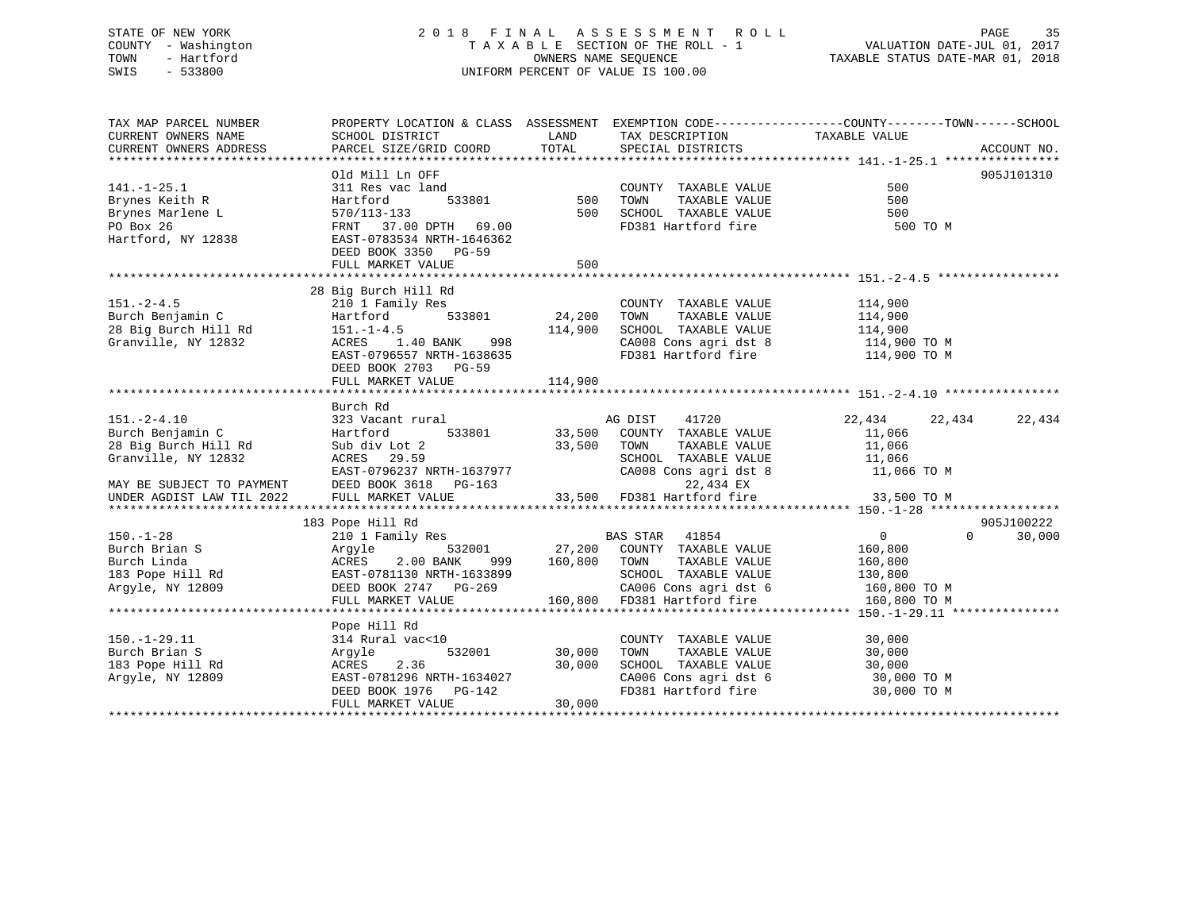## STATE OF NEW YORK 2 0 1 8 F I N A L A S S E S S M E N T R O L L PAGE 35 COUNTY - Washington T A X A B L E SECTION OF THE ROLL - 1 VALUATION DATE-JUL 01, 2017 TOWN - Hartford OWNERS NAME SEQUENCE TAXABLE STATUS DATE-MAR 01, 2018 SWIS - 533800 UNIFORM PERCENT OF VALUE IS 100.00

TAX MAP PARCEL NUMBER PROPERTY LOCATION & CLASS ASSESSMENT EXEMPTION CODE------------------COUNTY--------TOWN------SCHOOL CURRENT OWNERS NAME SCHOOL DISTRICT LAND TAX DESCRIPTION TAXABLE VALUECURRENT OWNERS ADDRESS PARCEL SIZE/GRID COORD TOTAL SPECIAL DISTRICTS ACCOUNT NO. \*\*\*\*\*\*\*\*\*\*\*\*\*\*\*\*\*\*\*\*\*\*\*\*\*\*\*\*\*\*\*\*\*\*\*\*\*\*\*\*\*\*\*\*\*\*\*\*\*\*\*\*\*\*\*\*\*\*\*\*\*\*\*\*\*\*\*\*\*\*\*\*\*\*\*\*\*\*\*\*\*\*\*\*\*\*\*\*\*\*\*\*\*\*\*\*\*\*\*\*\*\*\* 141.-1-25.1 \*\*\*\*\*\*\*\*\*\*\*\*\*\*\*\* Old Mill Ln OFF 905J101310141.-1-25.1 311 Res vac land COUNTY TAXABLE VALUE 500Brynes Keith R Hartford 533801 500 TOWN TAXABLE VALUE 500 Brynes Marlene L 570/113-133 500 SCHOOL TAXABLE VALUE 500 PO Box 26 FRNT 37.00 DPTH 69.00 FD381 Hartford fire 500 TO MHartford, NY 12838 EAST-0783534 NRTH-1646362 DEED BOOK 3350 PG-59FULL MARKET VALUE 500 \*\*\*\*\*\*\*\*\*\*\*\*\*\*\*\*\*\*\*\*\*\*\*\*\*\*\*\*\*\*\*\*\*\*\*\*\*\*\*\*\*\*\*\*\*\*\*\*\*\*\*\*\*\*\*\*\*\*\*\*\*\*\*\*\*\*\*\*\*\*\*\*\*\*\*\*\*\*\*\*\*\*\*\*\*\*\*\*\*\*\*\*\*\*\*\*\*\*\*\*\*\*\* 151.-2-4.5 \*\*\*\*\*\*\*\*\*\*\*\*\*\*\*\*\* 28 Big Burch Hill Rd 151.-2-4.5 210 1 Family Res COUNTY TAXABLE VALUE 114,900 Burch Benjamin C Hartford 533801 24,200 TOWN TAXABLE VALUE 114,900 28 Big Burch Hill Rd 151.-1-4.5 114,900 SCHOOL TAXABLE VALUE 114,900 Granville, NY 12832 ACRES 1.40 BANK 998 CA008 Cons agri dst 8 114,900 TO M EAST-0796557 NRTH-1638635 FD381 Hartford fire 114,900 TO M DEED BOOK 2703 PG-59FULL MARKET VALUE 114,900 \*\*\*\*\*\*\*\*\*\*\*\*\*\*\*\*\*\*\*\*\*\*\*\*\*\*\*\*\*\*\*\*\*\*\*\*\*\*\*\*\*\*\*\*\*\*\*\*\*\*\*\*\*\*\*\*\*\*\*\*\*\*\*\*\*\*\*\*\*\*\*\*\*\*\*\*\*\*\*\*\*\*\*\*\*\*\*\*\*\*\*\*\*\*\*\*\*\*\*\*\*\*\* 151.-2-4.10 \*\*\*\*\*\*\*\*\*\*\*\*\*\*\*\*Burch Rd<br>151.-2-4.10 323 Vacant rural AG DIST 41720 22,434 22,434 22,434 Burch Benjamin C Hartford 533801 33,500 COUNTY TAXABLE VALUE 11,066 28 Big Burch Hill Rd Sub div Lot 2 33,500 TOWN TAXABLE VALUE 11,066 Granville, NY 12832 ACRES 29.59 SCHOOL TAXABLE VALUE 11,066 EAST-0796237 NRTH-1637977 CA008 Cons agri dst 8 11,066 TO M MAY BE SUBJECT TO PAYMENT DEED BOOK 3618 PG-163 22,434 EX UNDER AGDIST LAW TIL 2022 FULL MARKET VALUE 33,500 FD381 Hartford fire 33,500 TO M \*\*\*\*\*\*\*\*\*\*\*\*\*\*\*\*\*\*\*\*\*\*\*\*\*\*\*\*\*\*\*\*\*\*\*\*\*\*\*\*\*\*\*\*\*\*\*\*\*\*\*\*\*\*\*\*\*\*\*\*\*\*\*\*\*\*\*\*\*\*\*\*\*\*\*\*\*\*\*\*\*\*\*\*\*\*\*\*\*\*\*\*\*\*\*\*\*\*\*\*\*\*\* 150.-1-28 \*\*\*\*\*\*\*\*\*\*\*\*\*\*\*\*\*\*905.7100222 183 Pope Hill Rd 905J100222 150.-1-28 210 1 Family Res BAS STAR 41854 0 0 30,000 Burch Brian S Argyle 532001 27,200 COUNTY TAXABLE VALUE 160,800 Burch Linda ACRES 2.00 BANK 999 160,800 TOWN TAXABLE VALUE 160,800 183 Pope Hill Rd EAST-0781130 NRTH-1633899 SCHOOL TAXABLE VALUE 130,800 Argyle, NY 12809 DEED BOOK 2747 PG-269 CA006 Cons agri dst 6 160,800 TO M FULL MARKET VALUE 160,800 FD381 Hartford fire 160,800 TO M \*\*\*\*\*\*\*\*\*\*\*\*\*\*\*\*\*\*\*\*\*\*\*\*\*\*\*\*\*\*\*\*\*\*\*\*\*\*\*\*\*\*\*\*\*\*\*\*\*\*\*\*\*\*\*\*\*\*\*\*\*\*\*\*\*\*\*\*\*\*\*\*\*\*\*\*\*\*\*\*\*\*\*\*\*\*\*\*\*\*\*\*\*\*\*\*\*\*\*\*\*\*\* 150.-1-29.11 \*\*\*\*\*\*\*\*\*\*\*\*\*\*\* Pope Hill Rd 150.-1-29.11 314 Rural vac<10 COUNTY TAXABLE VALUE 30,000 Burch Brian S Argyle 532001 30,000 TOWN TAXABLE VALUE 30,000 183 Pope Hill Rd ACRES 2.36 30,000 SCHOOL TAXABLE VALUE 30,000 Argyle, NY 12809 EAST-0781296 NRTH-1634027 CA006 Cons agri dst 6 30,000 TO M DEED BOOK 1976 PG-142 FD381 Hartford fire 30,000 TO M DEED BOOK 1976 PG-142<br>FULL MARKET VALUE 30,000 \*\*\*\*\*\*\*\*\*\*\*\*\*\*\*\*\*\*\*\*\*\*\*\*\*\*\*\*\*\*\*\*\*\*\*\*\*\*\*\*\*\*\*\*\*\*\*\*\*\*\*\*\*\*\*\*\*\*\*\*\*\*\*\*\*\*\*\*\*\*\*\*\*\*\*\*\*\*\*\*\*\*\*\*\*\*\*\*\*\*\*\*\*\*\*\*\*\*\*\*\*\*\*\*\*\*\*\*\*\*\*\*\*\*\*\*\*\*\*\*\*\*\*\*\*\*\*\*\*\*\*\*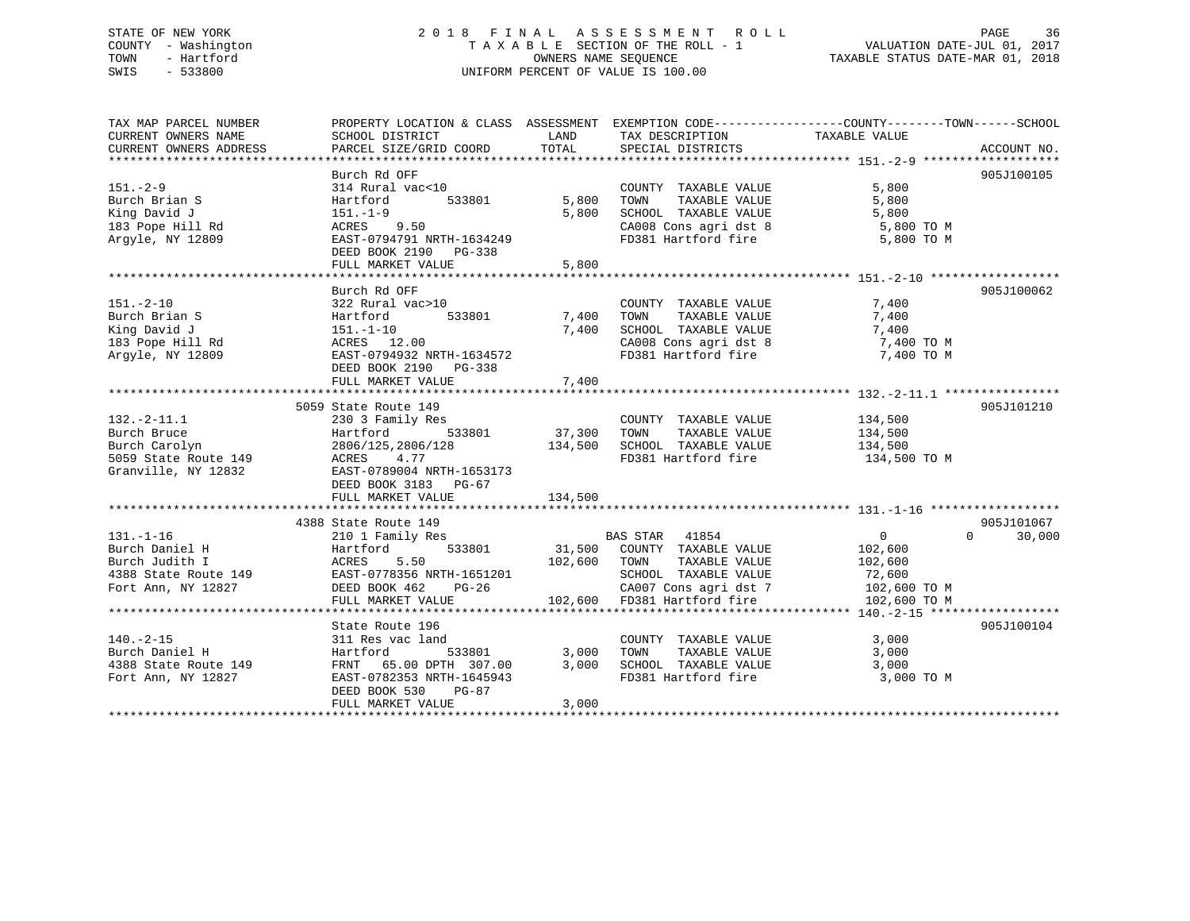## STATE OF NEW YORK 2 0 1 8 F I N A L A S S E S S M E N T R O L L PAGE 36 COUNTY - Washington T A X A B L E SECTION OF THE ROLL - 1 VALUATION DATE-JUL 01, 2017 TOWN - Hartford **TAXABLE STATUS DATE-MAR 01, 2018** OWNERS NAME SEQUENCE TAXABLE STATUS DATE-MAR 01, 2018 SWIS - 533800 UNIFORM PERCENT OF VALUE IS 100.00

| TAX MAP PARCEL NUMBER<br>CURRENT OWNERS NAME | PROPERTY LOCATION & CLASS ASSESSMENT EXEMPTION CODE----------------COUNTY-------TOWN------SCHOOL<br>SCHOOL DISTRICT | LAND    | TAX DESCRIPTION                               | TAXABLE VALUE  |                    |
|----------------------------------------------|---------------------------------------------------------------------------------------------------------------------|---------|-----------------------------------------------|----------------|--------------------|
| CURRENT OWNERS ADDRESS                       | PARCEL SIZE/GRID COORD                                                                                              | TOTAL   | SPECIAL DISTRICTS                             |                | ACCOUNT NO.        |
|                                              |                                                                                                                     |         |                                               |                |                    |
| $151 - 2 - 9$                                | Burch Rd OFF<br>314 Rural vac<10                                                                                    |         | COUNTY TAXABLE VALUE                          | 5,800          | 905J100105         |
| Burch Brian S                                | 533801<br>Hartford                                                                                                  | 5,800   | TAXABLE VALUE<br>TOWN                         | 5,800          |                    |
| King David J                                 | $151.-1-9$                                                                                                          | 5,800   | SCHOOL TAXABLE VALUE                          | 5,800          |                    |
| 183 Pope Hill Rd                             | ACRES 9.50                                                                                                          |         | CA008 Cons agri dst 8                         | 5,800 TO M     |                    |
| Argyle, NY 12809                             | EAST-0794791 NRTH-1634249<br>DEED BOOK 2190 PG-338                                                                  |         | FD381 Hartford fire                           | 5,800 TO M     |                    |
|                                              | FULL MARKET VALUE                                                                                                   | 5,800   |                                               |                |                    |
|                                              |                                                                                                                     |         |                                               |                |                    |
|                                              | Burch Rd OFF                                                                                                        |         |                                               |                | 905J100062         |
| $151. - 2 - 10$<br>Burch Brian S             | 322 Rural vac>10<br>533801<br>Hartford                                                                              | 7,400   | COUNTY TAXABLE VALUE<br>TAXABLE VALUE<br>TOWN | 7,400<br>7,400 |                    |
| King David J                                 | $151.-1-10$                                                                                                         | 7,400   | SCHOOL TAXABLE VALUE                          | 7,400          |                    |
|                                              | ACRES 12.00                                                                                                         |         | CA008 Cons agri dst 8                         |                |                    |
| 183 Pope Hill Rd                             | EAST-0794932 NRTH-1634572                                                                                           |         | FD381 Hartford fire                           | 7,400 TO M     |                    |
| Argyle, NY 12809                             | DEED BOOK 2190 PG-338                                                                                               |         |                                               | 7,400 TO M     |                    |
|                                              | FULL MARKET VALUE                                                                                                   | 7,400   |                                               |                |                    |
|                                              |                                                                                                                     |         |                                               |                |                    |
|                                              | 5059 State Route 149                                                                                                |         |                                               |                | 905J101210         |
| $132. - 2 - 11.1$                            | 230 3 Family Res                                                                                                    |         | COUNTY TAXABLE VALUE                          | 134,500        |                    |
| Burch Bruce                                  | 533801<br>Hartford                                                                                                  | 37,300  | TAXABLE VALUE<br>TOWN                         | 134,500        |                    |
| Burch Carolyn                                | 2806/125,2806/128                                                                                                   | 134,500 | SCHOOL TAXABLE VALUE                          | 134,500        |                    |
| 5059 State Route 149                         | 4.77<br>ACRES                                                                                                       |         | FD381 Hartford fire                           | 134,500 TO M   |                    |
| Granville, NY 12832                          | EAST-0789004 NRTH-1653173                                                                                           |         |                                               |                |                    |
|                                              | DEED BOOK 3183 PG-67                                                                                                |         |                                               |                |                    |
|                                              | FULL MARKET VALUE                                                                                                   | 134,500 |                                               |                |                    |
|                                              |                                                                                                                     |         |                                               |                |                    |
|                                              | 4388 State Route 149                                                                                                |         |                                               |                | 905J101067         |
| $131. - 1 - 16$                              | 210 1 Family Res                                                                                                    |         | BAS STAR 41854                                | $\overline{0}$ | $\Omega$<br>30,000 |
| Burch Daniel H                               | 533801<br>Hartford                                                                                                  |         | 31,500 COUNTY TAXABLE VALUE                   | 102,600        |                    |
| Burch Judith I                               | ACRES<br>5.50                                                                                                       | 102,600 | TOWN<br>TAXABLE VALUE                         | 102,600        |                    |
| 4388 State Route 149                         | EAST-0778356 NRTH-1651201                                                                                           |         | SCHOOL TAXABLE VALUE                          | 72,600         |                    |
| Fort Ann, NY 12827                           | PG-26<br>DEED BOOK 462                                                                                              |         | CA007 Cons agri dst 7                         | 102,600 TO M   |                    |
|                                              | FULL MARKET VALUE                                                                                                   |         | 102,600 FD381 Hartford fire                   | 102,600 TO M   |                    |
|                                              |                                                                                                                     |         |                                               |                |                    |
|                                              | State Route 196                                                                                                     |         |                                               |                | 905J100104         |
| $140. -2 - 15$                               | 311 Res vac land                                                                                                    |         | COUNTY TAXABLE VALUE                          | 3,000          |                    |
| Burch Daniel H                               | 533801<br>Hartford                                                                                                  | 3,000   | TAXABLE VALUE<br>TOWN                         | 3,000          |                    |
| 4388 State Route 149                         | FRNT 65.00 DPTH 307.00                                                                                              | 3,000   | SCHOOL TAXABLE VALUE                          | 3,000          |                    |
| Fort Ann, NY 12827                           | EAST-0782353 NRTH-1645943                                                                                           |         | FD381 Hartford fire                           | 3,000 TO M     |                    |
|                                              | DEED BOOK 530<br>PG-87                                                                                              |         |                                               |                |                    |
|                                              | FULL MARKET VALUE                                                                                                   | 3,000   |                                               |                |                    |
|                                              |                                                                                                                     |         |                                               |                |                    |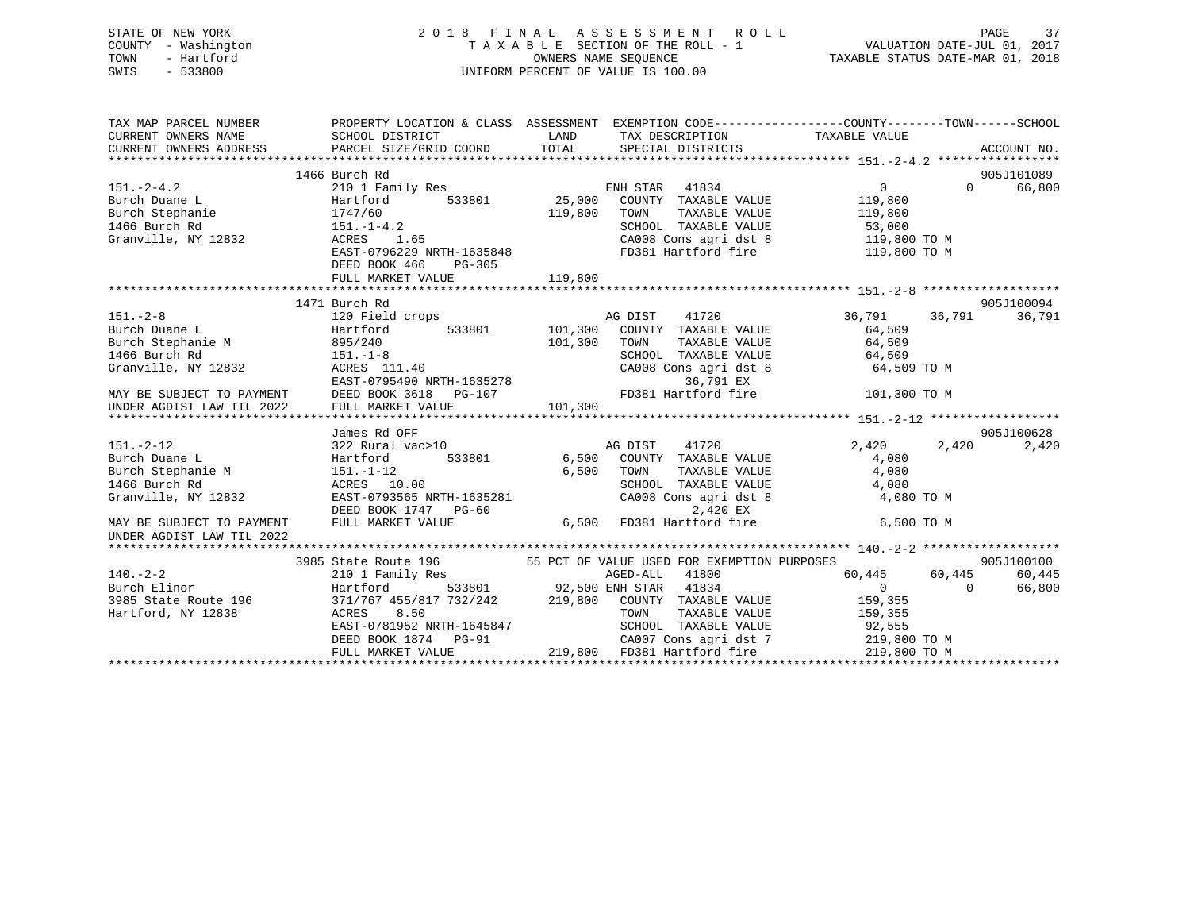|      | STATE OF NEW YORK   | 2018 FINAL ASSESSMENT ROLL         |                                  | PAGE | 37 |
|------|---------------------|------------------------------------|----------------------------------|------|----|
|      | COUNTY - Washington | TAXABLE SECTION OF THE ROLL - 1    | VALUATION DATE-JUL 01, 2017      |      |    |
| TOWN | - Hartford          | OWNERS NAME SEOUENCE               | TAXABLE STATUS DATE-MAR 01, 2018 |      |    |
| SWIS | $-533800$           | UNIFORM PERCENT OF VALUE IS 100.00 |                                  |      |    |
|      |                     |                                    |                                  |      |    |
|      |                     |                                    |                                  |      |    |

| TAX MAP PARCEL NUMBER                                                                                                                                                                                                                                 | PROPERTY LOCATION & CLASS ASSESSMENT EXEMPTION CODE-----------------COUNTY-------TOWN------SCHOOL              |               |                                                           |                                                                   |                    |
|-------------------------------------------------------------------------------------------------------------------------------------------------------------------------------------------------------------------------------------------------------|----------------------------------------------------------------------------------------------------------------|---------------|-----------------------------------------------------------|-------------------------------------------------------------------|--------------------|
| CURRENT OWNERS NAME                                                                                                                                                                                                                                   | SCHOOL DISTRICT                                                                                                | <b>LAND</b>   | TAX DESCRIPTION TAXABLE VALUE                             |                                                                   |                    |
| CURRENT OWNERS NAME<br>CURRENT OWNERS ADDRESS                                                                                                                                                                                                         |                                                                                                                |               |                                                           |                                                                   |                    |
| CURRENT OWNERS ADDRESS FORCEL SIZE/GRID COORD TOTAL SPECIAL DISTRICTS FOR ACCOUNT NO.<br>TERRENT OWNERS ADDRESS PARCEL SIZE/GRID COORD TOTAL SPECIAL DISTRICTS ACCOUNT NO.                                                                            |                                                                                                                |               |                                                           |                                                                   |                    |
|                                                                                                                                                                                                                                                       | 1466 Burch Rd                                                                                                  |               |                                                           |                                                                   | 905J101089         |
| $151. - 2 - 4.2$                                                                                                                                                                                                                                      | 210 1 Family Res                                                                                               |               | ENH STAR 41834                                            | $0 \qquad \qquad$                                                 | 0 66,800           |
| Burch Duane L                                                                                                                                                                                                                                         | Hartford                                                                                                       | 533801 25,000 | COUNTY TAXABLE VALUE                                      | 119,800                                                           |                    |
|                                                                                                                                                                                                                                                       |                                                                                                                |               | TAXABLE VALUE<br>TOWN                                     | 119,800                                                           |                    |
|                                                                                                                                                                                                                                                       |                                                                                                                |               | SCHOOL TAXABLE VALUE                                      | 53,000                                                            |                    |
| Purch Stephanie<br>1747/60<br>1466 Burch Rd<br>151.-1-4.2<br>Granville, NY 12832<br>2008 ACRES                                                                                                                                                        |                                                                                                                |               |                                                           | SCHOOL TAXABLE VALUE 53,000<br>CA008 Cons agri dst 8 119,800 TO M |                    |
|                                                                                                                                                                                                                                                       | 1747/60 151.-1-4.2 119,800<br>151.-1-4.2<br>ACRES 1.65<br>EAST-0796229 NRTH-1635848                            |               |                                                           | FD381 Hartford fire 119,800 TO M                                  |                    |
|                                                                                                                                                                                                                                                       | DEED BOOK 466<br>PG-305                                                                                        |               |                                                           |                                                                   |                    |
|                                                                                                                                                                                                                                                       |                                                                                                                |               |                                                           |                                                                   |                    |
|                                                                                                                                                                                                                                                       |                                                                                                                |               |                                                           |                                                                   |                    |
|                                                                                                                                                                                                                                                       | 1471 Burch Rd                                                                                                  |               |                                                           |                                                                   | 905J100094         |
| 151.-2-8<br>Burch Duane L<br>Burch Duane L<br>Burch Stephanie M<br>166 Burch Rd<br>Stephanie M<br>151.-1-8<br>Granville, NY 12832<br>20 Field crops<br>101,300 COUNTY TAXABLE VALUE<br>101,300 COUNTY TAXABLE VALUE<br>101,300 TOWN TAXABLE VALUE<br> |                                                                                                                |               |                                                           | 36,791                                                            | 36,791<br>36,791   |
|                                                                                                                                                                                                                                                       |                                                                                                                |               |                                                           | 64,509                                                            |                    |
|                                                                                                                                                                                                                                                       |                                                                                                                |               |                                                           | TAXABLE VALUE 64,509                                              |                    |
|                                                                                                                                                                                                                                                       |                                                                                                                |               | SCHOOL TAXABLE VALUE 64,509<br>CA008 Consagridst 8 64,509 |                                                                   |                    |
|                                                                                                                                                                                                                                                       |                                                                                                                |               |                                                           | 64,509 TO M                                                       |                    |
|                                                                                                                                                                                                                                                       |                                                                                                                |               |                                                           |                                                                   |                    |
| MAY BE SUBJECT TO PAYMENT DEED BOOK 3618                                                                                                                                                                                                              | PG-107                                                                                                         |               |                                                           | FD381 Hartford fire 101,300 TO M                                  |                    |
| UNDER AGDIST LAW TIL 2022                                                                                                                                                                                                                             | FULL MARKET VALUE                                                                                              | 101,300       |                                                           |                                                                   |                    |
|                                                                                                                                                                                                                                                       |                                                                                                                |               |                                                           |                                                                   |                    |
|                                                                                                                                                                                                                                                       | James Rd OFF                                                                                                   |               |                                                           |                                                                   | 905J100628         |
| 151.-2-12<br>Burch Duane L<br>Burch Stephanie M<br>151.-1-12<br>151.-1-12<br>1466 Burch Rd<br>151.-1-12                                                                                                                                               |                                                                                                                |               | 41720<br>AG DIST                                          | 2,420 2,420                                                       | 2,420              |
|                                                                                                                                                                                                                                                       |                                                                                                                | 533801 6,500  | COUNTY TAXABLE VALUE                                      | 4,080                                                             |                    |
|                                                                                                                                                                                                                                                       |                                                                                                                |               | TAXABLE VALUE<br>TOWN                                     | 4,080                                                             |                    |
| <b>ACRES</b> 10.00<br>1466 Burch Rd                                                                                                                                                                                                                   |                                                                                                                |               | SCHOOL TAXABLE VALUE                                      | 4,080                                                             |                    |
| Granville, NY 12832                                                                                                                                                                                                                                   |                                                                                                                |               | $CA008$ Cons agri dst $8$                                 | 4,080 TO M                                                        |                    |
|                                                                                                                                                                                                                                                       | 151.-1-12 6,500<br>ACRES 10.00<br>EAST-0793565 NRTH-1635281<br>DEED BOOK 1747 PG-60<br>FULL MARKET VALUE 6,500 |               | $2,420$ EX<br>FD381 Hartford fire                         |                                                                   |                    |
| MAY BE SUBJECT TO PAYMENT                                                                                                                                                                                                                             |                                                                                                                |               |                                                           | 6,500 TO M                                                        |                    |
| UNDER AGDIST LAW TIL 2022                                                                                                                                                                                                                             |                                                                                                                |               |                                                           |                                                                   |                    |
|                                                                                                                                                                                                                                                       |                                                                                                                |               |                                                           |                                                                   |                    |
|                                                                                                                                                                                                                                                       | 3985 State Route 196 55 PCT OF VALUE USED FOR EXEMPTION PURPOSES                                               |               |                                                           |                                                                   | 905J100100         |
| $140. - 2 - 2$                                                                                                                                                                                                                                        | 210 1 Family Res                                                                                               |               | AGED-ALL 41800                                            | 60,445 60,445                                                     | 60,445             |
|                                                                                                                                                                                                                                                       |                                                                                                                |               |                                                           | $\overline{0}$<br>159,355                                         | 66,800<br>$\Omega$ |
|                                                                                                                                                                                                                                                       |                                                                                                                |               |                                                           | TAXABLE VALUE 159,355                                             |                    |
|                                                                                                                                                                                                                                                       |                                                                                                                |               |                                                           |                                                                   |                    |
|                                                                                                                                                                                                                                                       | EAST-0781952 NRTH-1645847<br>DEED BOOK 1874 PG-91<br>TILL 1105                                                 |               | SCHOOL TAXABLE VALUE 92,555<br>CA007 Cons agri dst 7      | 219,800 TO M                                                      |                    |
|                                                                                                                                                                                                                                                       |                                                                                                                |               | 219,800 FD381 Hartford fire                               |                                                                   |                    |
|                                                                                                                                                                                                                                                       |                                                                                                                |               |                                                           |                                                                   |                    |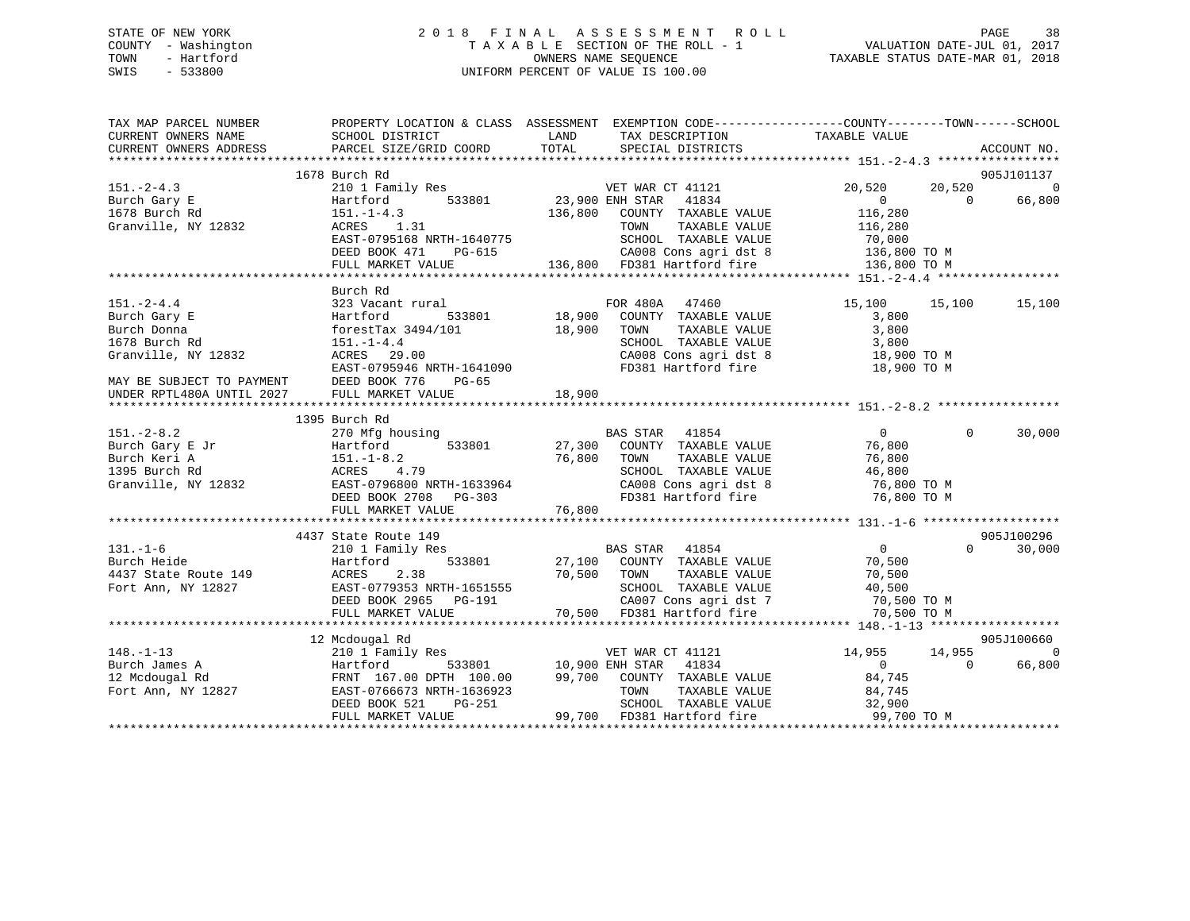### STATE OF NEW YORK 2 0 1 8 F I N A L A S S E S S M E N T R O L L PAGE 38 COUNTY - Washington T A X A B L E SECTION OF THE ROLL - 1 VALUATION DATE-JUL 01, 2017 TOWN - Hartford OWNERS NAME SEQUENCE TAXABLE STATUS DATE-MAR 01, 2018 SWIS - 533800 UNIFORM PERCENT OF VALUE IS 100.00

| TAX MAP PARCEL NUMBER<br>CURRENT OWNERS NAME                                                                                                 | PROPERTY LOCATION & CLASS ASSESSMENT EXEMPTION CODE---------------COUNTY-------TOWN------SCHOOL<br>SCHOOL DISTRICT                | LAND<br>TAX DESCRIPTION                                                                                                  |                                                                           | TAXABLE VALUE                                                                           |                    |                          |
|----------------------------------------------------------------------------------------------------------------------------------------------|-----------------------------------------------------------------------------------------------------------------------------------|--------------------------------------------------------------------------------------------------------------------------|---------------------------------------------------------------------------|-----------------------------------------------------------------------------------------|--------------------|--------------------------|
| CURRENT OWNERS ADDRESS                                                                                                                       | PARCEL SIZE/GRID COORD                                                                                                            | TOTAL<br>SPECIAL DISTRICTS                                                                                               |                                                                           |                                                                                         |                    | ACCOUNT NO.              |
|                                                                                                                                              |                                                                                                                                   |                                                                                                                          |                                                                           |                                                                                         |                    |                          |
|                                                                                                                                              | 1678 Burch Rd<br>210 1 Family Res                                                                                                 |                                                                                                                          |                                                                           |                                                                                         |                    | 905J101137               |
| $151. - 2 - 4.3$                                                                                                                             |                                                                                                                                   | VET WAR CT 41121<br>533801 23,900 ENH STAR 41834                                                                         |                                                                           | 20,520<br>$\overline{0}$                                                                | 20,520<br>$\Omega$ | $\overline{0}$<br>66,800 |
| Burch Gary E                                                                                                                                 | ---<br>151.-1-4.3<br>ACRES 1.31<br>ACRES 1.31                                                                                     | 136,800 COUNTY TAXABLE VALUE                                                                                             |                                                                           |                                                                                         |                    |                          |
| 1678 Burch Rd                                                                                                                                |                                                                                                                                   | TOWN                                                                                                                     |                                                                           | 116,280                                                                                 |                    |                          |
| Granville, NY 12832                                                                                                                          |                                                                                                                                   |                                                                                                                          | TAXABLE VALUE                                                             | 116,280                                                                                 |                    |                          |
|                                                                                                                                              | EAST-0795168 NRTH-1640775<br>DEED BOOK 471 PG-615                                                                                 | 910775 SCHOOL TAXABLE VALUE 70,000<br>615 CA008 Cons agri dst 8 136,800 TO M<br>136,800 FD381 Hartford fire 136,800 TO M |                                                                           |                                                                                         |                    |                          |
|                                                                                                                                              |                                                                                                                                   |                                                                                                                          |                                                                           |                                                                                         |                    |                          |
|                                                                                                                                              | FULL MARKET VALUE                                                                                                                 |                                                                                                                          |                                                                           |                                                                                         |                    |                          |
|                                                                                                                                              | Burch Rd                                                                                                                          |                                                                                                                          |                                                                           |                                                                                         |                    |                          |
| $151 - 2 - 4.4$                                                                                                                              | 323 Vacant rural                                                                                                                  | FOR 480A 47460                                                                                                           |                                                                           | 15,100                                                                                  | 15,100             | 15,100                   |
| Burch Gary E                                                                                                                                 | Hartford                                                                                                                          | 533801 18,900                                                                                                            | COUNTY TAXABLE VALUE                                                      | 3,800                                                                                   |                    |                          |
| Burch Donna                                                                                                                                  | forestTax 3494/101                                                                                                                | 18,900<br>TOWN                                                                                                           | TAXABLE VALUE                                                             | 3,800                                                                                   |                    |                          |
| 1678 Burch Rd                                                                                                                                |                                                                                                                                   |                                                                                                                          | TOWN     TAXABLE VALUE<br>SCHOOL   TAXABLE VALUE<br>CA008 Cons agri dst 8 |                                                                                         |                    |                          |
|                                                                                                                                              | $151. - 1 - 4.4$                                                                                                                  |                                                                                                                          |                                                                           | 3,800                                                                                   |                    |                          |
| Granville, NY 12832                                                                                                                          | ACRES 29.00                                                                                                                       |                                                                                                                          |                                                                           | 18,900 TO M                                                                             |                    |                          |
|                                                                                                                                              | EAST-0795946 NRTH-1641090                                                                                                         |                                                                                                                          | FD381 Hartford fire                                                       | 18,900 TO M                                                                             |                    |                          |
| MAY BE SUBJECT TO PAYMENT DEED BOOK 776                                                                                                      | PG-65                                                                                                                             |                                                                                                                          |                                                                           |                                                                                         |                    |                          |
| UNDER RPTL480A UNTIL 2027                                                                                                                    | FULL MARKET VALUE                                                                                                                 | 18,900                                                                                                                   |                                                                           |                                                                                         |                    |                          |
|                                                                                                                                              |                                                                                                                                   |                                                                                                                          |                                                                           |                                                                                         |                    |                          |
| $151.-2-8.2$                                                                                                                                 | 1395 Burch Rd<br>270 Mfg housing                                                                                                  | BAS STAR 41854                                                                                                           |                                                                           | $\sim$ 0                                                                                | $\Omega$           | 30,000                   |
| 151.-2-0.2<br>Burch Gary E Jr<br>Burch Keri A 151.-1-8.2<br>1395 Burch Rd ACRES 4.79<br>Granville, NY 12832 EAST-0796800 N<br>DEED BOOK 2708 | Hartford 533801                                                                                                                   |                                                                                                                          |                                                                           |                                                                                         |                    |                          |
|                                                                                                                                              |                                                                                                                                   |                                                                                                                          |                                                                           |                                                                                         |                    |                          |
|                                                                                                                                              |                                                                                                                                   | 76,800                                                                                                                   |                                                                           |                                                                                         |                    |                          |
|                                                                                                                                              |                                                                                                                                   |                                                                                                                          |                                                                           | SCHOOL TAXABLE VALUE<br>CAOOL TAXABLE VALUE 46,800<br>CAOOR Cons agri dst 8 76,800 TO M |                    |                          |
|                                                                                                                                              | EAST-0796800 NRTH-1633964                                                                                                         | $PG-303$                                                                                                                 | CA008 Cons agri dst 8<br>FD381 Hartford fire                              |                                                                                         |                    |                          |
|                                                                                                                                              | DEED BOOK 2708                                                                                                                    |                                                                                                                          |                                                                           | 76,800 TO M                                                                             |                    |                          |
|                                                                                                                                              | FULL MARKET VALUE                                                                                                                 | 76,800                                                                                                                   |                                                                           |                                                                                         |                    |                          |
|                                                                                                                                              | 4437 State Route 149                                                                                                              |                                                                                                                          |                                                                           |                                                                                         |                    | 905J100296               |
| $131. - 1 - 6$                                                                                                                               | blace noute 149<br>210 1 Family Res                                                                                               | BAS STAR 41854                                                                                                           |                                                                           | $\overline{0}$                                                                          | $\Omega$           | 30,000                   |
| Burch Heide                                                                                                                                  | 533801<br>Hartford                                                                                                                | 27,100 COUNTY TAXABLE VALUE                                                                                              |                                                                           | 70,500                                                                                  |                    |                          |
| $+$ $\sim$ 149                                                                                                                               |                                                                                                                                   | 70,500 TOWN                                                                                                              | TAXABLE VALUE                                                             | 70,500                                                                                  |                    |                          |
|                                                                                                                                              | 4437 State Route 149 MCRES 2.38<br>Fort Ann, NY 12827 EAST-0779353 NRTH-1651555<br>Row 2965 PG-191                                |                                                                                                                          |                                                                           | SCHOOL TAXABLE VALUE 40,500                                                             |                    |                          |
|                                                                                                                                              |                                                                                                                                   |                                                                                                                          |                                                                           |                                                                                         |                    |                          |
|                                                                                                                                              |                                                                                                                                   | CA007 Cons agri dst 7<br>70,500 FD381 Hartford fire                                                                      |                                                                           | 70,500 TO M                                                                             |                    |                          |
|                                                                                                                                              | FULL MARKET VALUE                                                                                                                 |                                                                                                                          |                                                                           | 70,500 TO M                                                                             |                    |                          |
|                                                                                                                                              |                                                                                                                                   |                                                                                                                          |                                                                           |                                                                                         |                    | 905J100660               |
| $148. - 1 - 13$                                                                                                                              |                                                                                                                                   | VET WAR CT 41121                                                                                                         |                                                                           | 14,955                                                                                  | 14,955             | $\Omega$                 |
| Burch James A                                                                                                                                |                                                                                                                                   | 533801 10,900 ENH STAR 41834                                                                                             |                                                                           | $\Omega$                                                                                | $\Omega$           | 66,800                   |
| 12 Mcdougal Rd                                                                                                                               |                                                                                                                                   |                                                                                                                          | COUNTY TAXABLE VALUE                                                      | 84,745                                                                                  |                    |                          |
| Fort Ann, NY 12827                                                                                                                           |                                                                                                                                   | TOWN                                                                                                                     | TAXABLE VALUE                                                             | 84,745                                                                                  |                    |                          |
|                                                                                                                                              | 210 1 Family Res<br>Hartford 533801 10,900 E.<br>FRNT 167.00 DPTH 100.00 99,700<br>327 EAST-0766673 NRTH-1636923<br>DEED BOOK 521 | n-1030923<br>PG-251                                                                                                      |                                                                           | SCHOOL TAXABLE VALUE 32,900                                                             |                    |                          |
|                                                                                                                                              | FULL MARKET VALUE                                                                                                                 | 99,700 FD381 Hartford fire                                                                                               |                                                                           | 99,700 TO M                                                                             |                    |                          |
|                                                                                                                                              |                                                                                                                                   |                                                                                                                          |                                                                           |                                                                                         |                    |                          |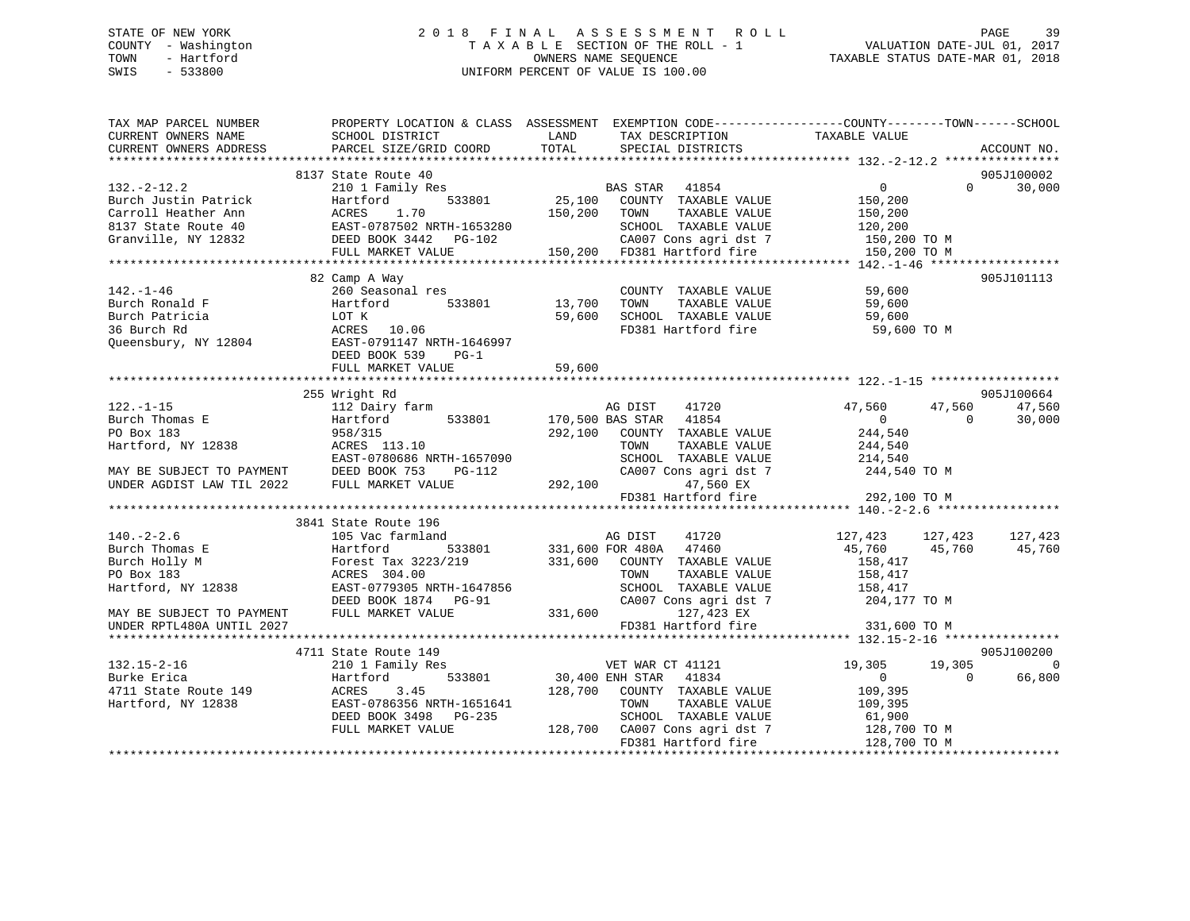### STATE OF NEW YORK 2 0 1 8 F I N A L A S S E S S M E N T R O L L PAGE 39 COUNTY - Washington T A X A B L E SECTION OF THE ROLL - 1 VALUATION DATE-JUL 01, 2017 TOWN - Hartford **TAXABLE STATUS DATE-MAR 01, 2018** OWNERS NAME SEQUENCE TAXABLE STATUS DATE-MAR 01, 2018 SWIS - 533800 UNIFORM PERCENT OF VALUE IS 100.00

| TAX MAP PARCEL NUMBER<br>CURRENT OWNERS NAME<br>CURRENT OWNERS ADDRESS | SCHOOL DISTRICT<br>PARCEL SIZE/GRID COORD                        | PROPERTY LOCATION & CLASS ASSESSMENT EXEMPTION CODE---------------COUNTY-------TOWN-----SCHOOL<br>LAND<br>TAX DESCRIPTION<br>TOTAL<br>SPECIAL DISTRICTS | TAXABLE VALUE<br>ACCOUNT NO.                                                  |
|------------------------------------------------------------------------|------------------------------------------------------------------|---------------------------------------------------------------------------------------------------------------------------------------------------------|-------------------------------------------------------------------------------|
|                                                                        |                                                                  |                                                                                                                                                         |                                                                               |
| $132 - 2 - 12.2$<br>Burch Justin Patrick                               | 8137 State Route 40<br>210 1 Family Res<br>533801<br>Hartford    | BAS STAR 41854<br>25,100 COUNTY TAXABLE VALUE                                                                                                           | 905J100002<br>$\overline{0}$<br>$\Omega$<br>30,000<br>150,200                 |
| Carroll Heather Ann<br>8137 State Route 40                             | ACRES<br>1.70                                                    | 150,200 TOWN<br>TAXABLE VALUE<br>SCHOOL TAXABLE VALUE                                                                                                   | 150,200<br>120,200                                                            |
| Granville, NY 12832                                                    | FULL MARKET VALUE                                                | CA007 Cons agri dst 7<br>150,200 FD381 Hartford fire                                                                                                    | 150,200 TO M<br>150,200 TO M                                                  |
|                                                                        |                                                                  |                                                                                                                                                         |                                                                               |
| $142. - 1 - 46$                                                        | 82 Camp A Way<br>260 Seasonal res                                | COUNTY TAXABLE VALUE                                                                                                                                    | 905J101113<br>59,600                                                          |
| Burch Ronald F<br>Burch Patricia<br>36 Burch Rd                        | 533801<br>Hartford<br>LOT K<br>ACRES 10.06                       | 13,700<br>TOWN<br>TAXABLE VALUE<br>59,600 SCHOOL TAXABLE VALUE<br>FD381 Hartford fire                                                                   | 59,600<br>59,600<br>59,600 TO M                                               |
| Queensbury, NY 12804                                                   | EAST-0791147 NRTH-1646997<br>DEED BOOK 539<br>$PG-1$             |                                                                                                                                                         |                                                                               |
|                                                                        | FULL MARKET VALUE                                                | 59,600                                                                                                                                                  |                                                                               |
|                                                                        | 255 Wright Rd                                                    |                                                                                                                                                         | 905J100664                                                                    |
| $122. - 1 - 15$<br>Burch Thomas E<br>PO Box 183                        | 112 Dairy farm<br>533801<br>Hartford<br>958/315                  | AG DIST<br>41720<br>170,500 BAS STAR 41854<br>292,100 COUNTY TAXABLE VALUE                                                                              | 47,560<br>47,560<br>47,560<br>$\overline{0}$<br>30,000<br>$\Omega$<br>244,540 |
| Hartford, NY 12838                                                     | ACRES 113.10<br>EAST-0780686 NRTH-1657090                        | TAXABLE VALUE<br>TOWN<br>SCHOOL TAXABLE VALUE                                                                                                           | 244,540<br>214,540                                                            |
| MAY BE SUBJECT TO PAYMENT DEED BOOK 753<br>UNDER AGDIST LAW TIL 2022   | PG-112<br>FULL MARKET VALUE                                      | CA007 Cons agri dst 7<br>292,100<br>47,560 EX<br>FD381 Hartford fire                                                                                    | $244,540$ TO M                                                                |
|                                                                        |                                                                  |                                                                                                                                                         | 292,100 TO M                                                                  |
|                                                                        | 3841 State Route 196                                             |                                                                                                                                                         |                                                                               |
| $140. - 2 - 2.6$<br>Burch Thomas E                                     | 105 Vac farmland<br>Hartford                                     | AG DIST<br>41720<br>533801 331,600 FOR 480A 47460                                                                                                       | 127,423<br>127,423<br>127,423<br>45,760<br>45,760<br>45,760                   |
| Burch Holly M<br>PO Box 183<br>Hartford, NY 12838                      | Forest Tax 3223/219<br>ACRES 304.00<br>EAST-0779305 NRTH-1647856 | 331,600 COUNTY TAXABLE VALUE<br>TOWN<br>TAXABLE VALUE<br>SCHOOL TAXABLE VALUE                                                                           | 158,417<br>158,417<br>158,417                                                 |
| MAY BE SUBJECT TO PAYMENT                                              | DEED BOOK 1874 PG-91<br>FULL MARKET VALUE                        | CA007 Cons agri dst 7<br>331,600<br>127,423 EX                                                                                                          | 204,177 TO M                                                                  |
| UNDER RPTL480A UNTIL 2027                                              |                                                                  | FD381 Hartford fire                                                                                                                                     | 331,600 TO M                                                                  |
| $132.15 - 2 - 16$                                                      | 4711 State Route 149<br>210 1 Family Res                         | VET WAR CT 41121                                                                                                                                        | 905J100200<br>19,305<br>19,305<br>$\mathbf 0$                                 |
| Burke Erica<br>4711 State Route 149<br>Hartford, NY 12838              | 533801<br>Hartford<br>3.45<br>ACRES<br>EAST-0786356 NRTH-1651641 | 30,400 ENH STAR 41834<br>128,700<br>COUNTY TAXABLE VALUE<br>TOWN<br>TAXABLE VALUE                                                                       | $\overline{0}$<br>$\Omega$<br>66,800<br>109,395<br>109,395                    |
|                                                                        | DEED BOOK 3498 PG-235<br>FULL MARKET VALUE                       | SCHOOL TAXABLE VALUE<br>128,700 CA007 Cons agri dst 7<br>FD381 Hartford fire                                                                            | 01,300<br>128,700 TO M<br>100 TO TO M<br>128,700 TO M                         |
|                                                                        |                                                                  |                                                                                                                                                         |                                                                               |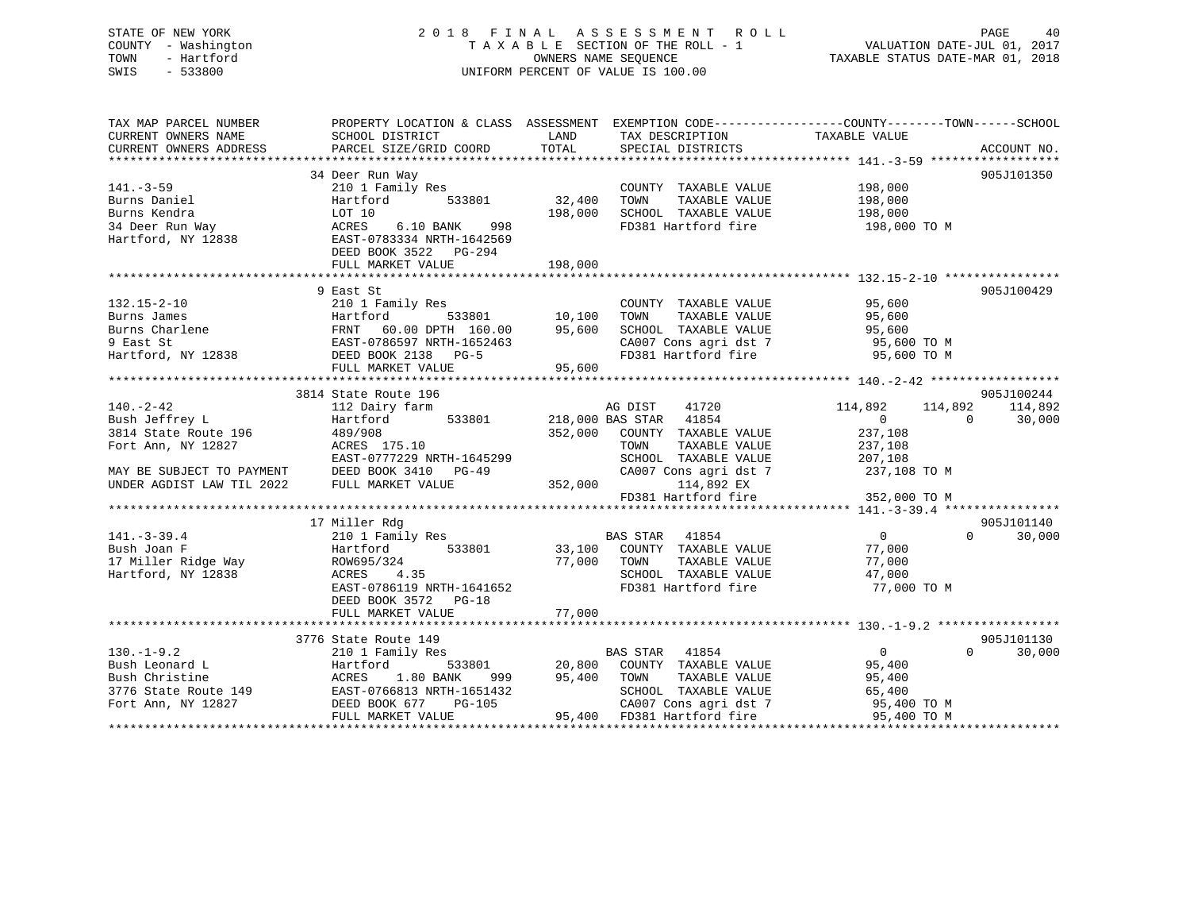### STATE OF NEW YORK 2 0 1 8 F I N A L A S S E S S M E N T R O L L PAGE 40 COUNTY - Washington T A X A B L E SECTION OF THE ROLL - 1 VALUATION DATE-JUL 01, 2017 TOWN - Hartford OWNERS NAME SEQUENCE TAXABLE STATUS DATE-MAR 01, 2018 SWIS - 533800 UNIFORM PERCENT OF VALUE IS 100.00

| TAX MAP PARCEL NUMBER        |                                                                                                                                                                                                                                                      |                 |                                                            | PROPERTY LOCATION & CLASS ASSESSMENT EXEMPTION CODE---------------COUNTY-------TOWN------SCHOOL                                                                                                                                        |        |
|------------------------------|------------------------------------------------------------------------------------------------------------------------------------------------------------------------------------------------------------------------------------------------------|-----------------|------------------------------------------------------------|----------------------------------------------------------------------------------------------------------------------------------------------------------------------------------------------------------------------------------------|--------|
|                              |                                                                                                                                                                                                                                                      |                 |                                                            |                                                                                                                                                                                                                                        |        |
|                              |                                                                                                                                                                                                                                                      |                 |                                                            |                                                                                                                                                                                                                                        |        |
|                              |                                                                                                                                                                                                                                                      |                 |                                                            |                                                                                                                                                                                                                                        |        |
|                              | 34 Deer Run Way                                                                                                                                                                                                                                      |                 |                                                            | 905J101350                                                                                                                                                                                                                             |        |
| $141.-3-59$                  | 210 1 Family Res<br>Hartford 533801 32,400                                                                                                                                                                                                           |                 | COUNTY TAXABLE VALUE 198,000                               |                                                                                                                                                                                                                                        |        |
|                              |                                                                                                                                                                                                                                                      |                 |                                                            |                                                                                                                                                                                                                                        |        |
|                              |                                                                                                                                                                                                                                                      | 198,000         | TOWN TAXABLE VALUE 198,000<br>SCHOOL TAXABLE VALUE 198,000 |                                                                                                                                                                                                                                        |        |
|                              |                                                                                                                                                                                                                                                      |                 |                                                            | FD381 Hartford fire 198,000 TO M                                                                                                                                                                                                       |        |
|                              | Burns Daniel<br>Burns Kendra<br>34 Deer Run Way<br>Hartford, NY 12838<br>Hartford, NY 12838<br>EAST-0783334 NRTH-1642569<br>DEED BOOK 3522<br>PG-294<br>NRTH-1642569<br>DEED BOOK 3522<br>PG-294                                                     |                 |                                                            |                                                                                                                                                                                                                                        |        |
|                              |                                                                                                                                                                                                                                                      |                 |                                                            |                                                                                                                                                                                                                                        |        |
|                              | FULL MARKET VALUE                                                                                                                                                                                                                                    | 198,000         |                                                            |                                                                                                                                                                                                                                        |        |
|                              |                                                                                                                                                                                                                                                      |                 |                                                            |                                                                                                                                                                                                                                        |        |
|                              | 9 East St                                                                                                                                                                                                                                            |                 |                                                            | 905J100429                                                                                                                                                                                                                             |        |
| $132.15 - 2 - 10$            | 210 1 Family Res                                                                                                                                                                                                                                     |                 | COUNTY TAXABLE VALUE 95,600                                |                                                                                                                                                                                                                                        |        |
|                              |                                                                                                                                                                                                                                                      |                 |                                                            |                                                                                                                                                                                                                                        |        |
|                              |                                                                                                                                                                                                                                                      |                 |                                                            |                                                                                                                                                                                                                                        |        |
|                              | Burns James<br>Burns James<br>Burns James<br>Burns James<br>Burns James<br>Burns James<br>Burns Charlene<br>PRNT 60.00 DPTH 160.00 95,600<br>95,600<br>95,600<br>RAST-0786597 NRTH-1652463<br>EED BOOK 2138 PG-5<br>FULL MARKET VALUE<br>95,600      |                 |                                                            |                                                                                                                                                                                                                                        |        |
|                              |                                                                                                                                                                                                                                                      |                 |                                                            | CA007 Cons agri dst 7 95,600 TO M                                                                                                                                                                                                      |        |
|                              |                                                                                                                                                                                                                                                      |                 | FD381 Hartford fire                                        | 95,600 TO M                                                                                                                                                                                                                            |        |
|                              |                                                                                                                                                                                                                                                      |                 |                                                            |                                                                                                                                                                                                                                        |        |
|                              |                                                                                                                                                                                                                                                      |                 |                                                            |                                                                                                                                                                                                                                        |        |
|                              | 3814 State Route 196                                                                                                                                                                                                                                 |                 |                                                            | 905J100244                                                                                                                                                                                                                             |        |
| 140.-2-42<br>Bush Jeffrey L  | 112 Dairy farm Manus AG DIST 41720<br>Hartford 533801 218,000 BAS STAR 41854                                                                                                                                                                         |                 |                                                            | 114,892 114,892<br>114,892                                                                                                                                                                                                             |        |
|                              |                                                                                                                                                                                                                                                      |                 |                                                            | $\overline{0}$<br>$\overline{0}$<br>30,000                                                                                                                                                                                             |        |
| 3814 State Route 196 489/908 |                                                                                                                                                                                                                                                      |                 | 352,000 COUNTY TAXABLE VALUE                               | 237,108                                                                                                                                                                                                                                |        |
| Fort Ann, NY 12827           | ACRES 175.10                                                                                                                                                                                                                                         |                 |                                                            |                                                                                                                                                                                                                                        |        |
|                              | EAST-0777229 NRTH-1645299                                                                                                                                                                                                                            |                 |                                                            |                                                                                                                                                                                                                                        |        |
|                              |                                                                                                                                                                                                                                                      |                 |                                                            | CA007 Cons agri dst 7 237,108 TO M                                                                                                                                                                                                     |        |
|                              | MAY BE SUBJECT TO PAYMENT DEED BOOK 3410 PG-49 $\,$ CA007 C CA007 C UNDER AGDIST LAW TIL 2022 FULL MARKET VALUE 352,000                                                                                                                              |                 | 114,892 EX                                                 |                                                                                                                                                                                                                                        |        |
|                              |                                                                                                                                                                                                                                                      |                 |                                                            |                                                                                                                                                                                                                                        |        |
|                              |                                                                                                                                                                                                                                                      |                 |                                                            |                                                                                                                                                                                                                                        |        |
|                              | 17 Miller Rdg                                                                                                                                                                                                                                        |                 |                                                            | 905J101140                                                                                                                                                                                                                             |        |
| $141. - 3 - 39.4$            |                                                                                                                                                                                                                                                      |                 |                                                            | $\overline{0}$<br>$0 \t 30,000$                                                                                                                                                                                                        |        |
| Bush Joan F                  |                                                                                                                                                                                                                                                      |                 |                                                            |                                                                                                                                                                                                                                        |        |
|                              |                                                                                                                                                                                                                                                      |                 |                                                            |                                                                                                                                                                                                                                        |        |
|                              |                                                                                                                                                                                                                                                      |                 |                                                            |                                                                                                                                                                                                                                        |        |
|                              | EAST-0786119 NRTH-1641652                                                                                                                                                                                                                            |                 |                                                            | FD381 Hartford fire 77,000 TO M                                                                                                                                                                                                        |        |
|                              | DEED BOOK 3572 PG-18                                                                                                                                                                                                                                 |                 |                                                            |                                                                                                                                                                                                                                        |        |
|                              |                                                                                                                                                                                                                                                      |                 |                                                            |                                                                                                                                                                                                                                        |        |
|                              |                                                                                                                                                                                                                                                      |                 |                                                            |                                                                                                                                                                                                                                        |        |
|                              | 3776 State Route 149<br>210 1 Family Res                                                                                                                                                                                                             |                 |                                                            | 905J101130                                                                                                                                                                                                                             |        |
|                              |                                                                                                                                                                                                                                                      |                 |                                                            | $\overline{0}$<br>$\Omega$                                                                                                                                                                                                             | 30,000 |
|                              |                                                                                                                                                                                                                                                      |                 | s<br>533801 20,800 COUNTY TAXABLE VALUE 95,400             |                                                                                                                                                                                                                                        |        |
|                              |                                                                                                                                                                                                                                                      | 999 95,400 TOWN |                                                            | TAXABLE VALUE 95,400                                                                                                                                                                                                                   |        |
|                              |                                                                                                                                                                                                                                                      |                 |                                                            |                                                                                                                                                                                                                                        |        |
|                              |                                                                                                                                                                                                                                                      |                 |                                                            | $\begin{tabular}{lllllllll} \texttt{SCHOOL} & \texttt{TAXABLE} & \texttt{VALUE} & \texttt{65,400} \\ \texttt{CA007} & \texttt{Cons}\ \texttt{agri}\ \texttt{dst}\ \texttt{7} & \texttt{95,400}\ \texttt{TO}\ \texttt{M} \end{tabular}$ |        |
|                              | 130.-1-9.2<br>Bush Leonard L<br>Bush Christine<br>3776 State Route 149<br>Fort Ann, NY 12827<br>ERST-0766813 NRTH-1651432<br>Fort Ann, NY 12827<br>FULL MARKET VALUE<br>CHED BOOK 677<br>PULL MARKET VALUE<br>CHEREN CHEREN ARKET VALUE<br>CHEREN CH |                 | 95,400 FD381 Hartford fire                                 | 95,400 TO M                                                                                                                                                                                                                            |        |
|                              |                                                                                                                                                                                                                                                      |                 |                                                            |                                                                                                                                                                                                                                        |        |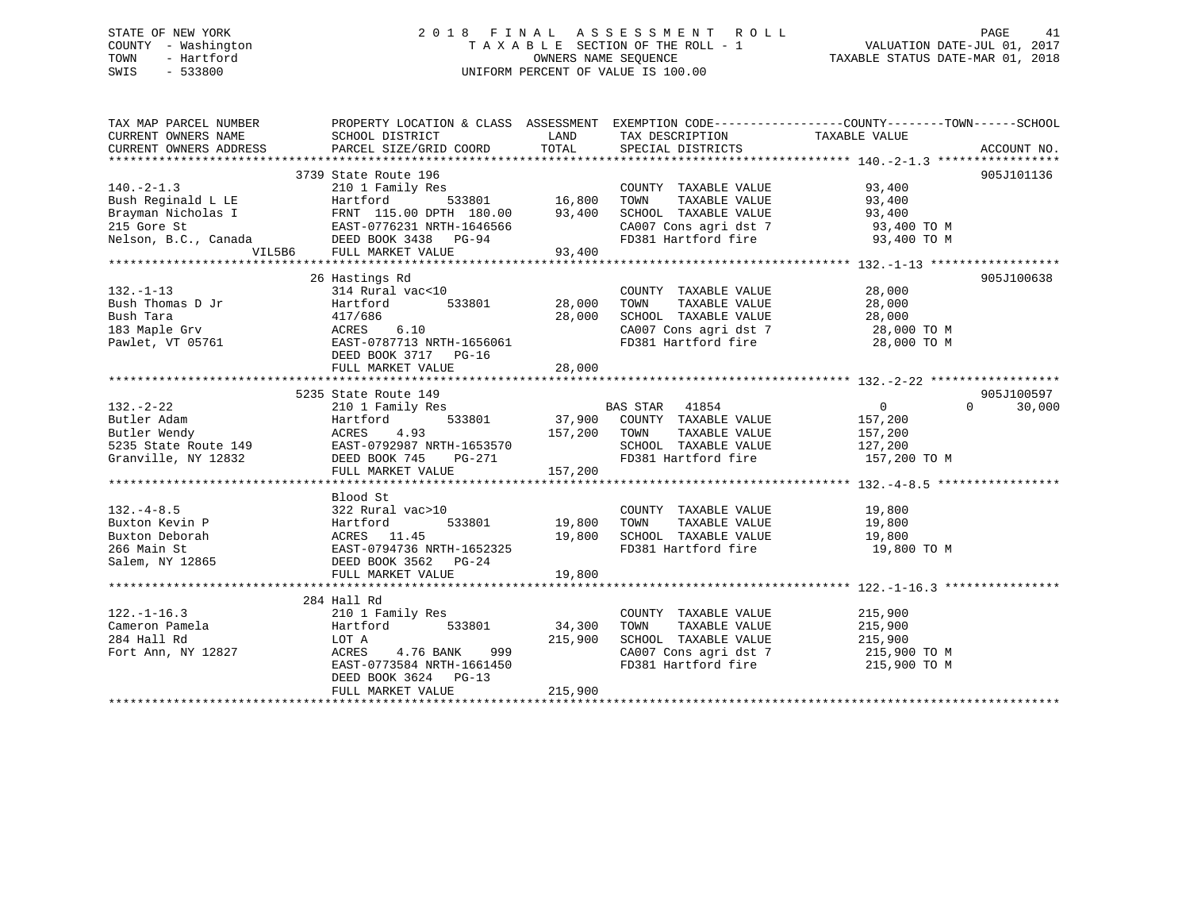### STATE OF NEW YORK 2 0 1 8 F I N A L A S S E S S M E N T R O L L PAGE 41 COUNTY - Washington T A X A B L E SECTION OF THE ROLL - 1 VALUATION DATE-JUL 01, 2017 TOWN - Hartford **TAXABLE STATUS DATE-MAR 01, 2018** OWNERS NAME SEQUENCE TAXABLE STATUS DATE-MAR 01, 2018 SWIS - 533800 UNIFORM PERCENT OF VALUE IS 100.00

| TAX MAP PARCEL NUMBER             | PROPERTY LOCATION & CLASS ASSESSMENT EXEMPTION CODE-----------------COUNTY-------TOWN------SCHOOL                                                                                                                                                                                                                                                                                                                         |                    |                                                                                                                                                                                                                                                                           |                |                                 |
|-----------------------------------|---------------------------------------------------------------------------------------------------------------------------------------------------------------------------------------------------------------------------------------------------------------------------------------------------------------------------------------------------------------------------------------------------------------------------|--------------------|---------------------------------------------------------------------------------------------------------------------------------------------------------------------------------------------------------------------------------------------------------------------------|----------------|---------------------------------|
| CURRENT OWNERS NAME               | SCHOOL DISTRICT                                                                                                                                                                                                                                                                                                                                                                                                           | LAND               | TAX DESCRIPTION TAXABLE VALUE                                                                                                                                                                                                                                             |                |                                 |
|                                   |                                                                                                                                                                                                                                                                                                                                                                                                                           |                    |                                                                                                                                                                                                                                                                           |                |                                 |
|                                   |                                                                                                                                                                                                                                                                                                                                                                                                                           |                    |                                                                                                                                                                                                                                                                           |                |                                 |
|                                   | 3739 State Route 196                                                                                                                                                                                                                                                                                                                                                                                                      |                    |                                                                                                                                                                                                                                                                           |                | 905J101136                      |
| $140. -2 - 1.3$                   |                                                                                                                                                                                                                                                                                                                                                                                                                           |                    | $\begin{tabular}{lllllllll} \multicolumn{2}{c}{\textbf{COUNTY}} & \textbf{TAXABLE VALUE} & & & & 93,400 \\ \multicolumn{2}{c}{\textbf{TONN}} & \textbf{TAXABLE VALUE} & & & & 93,400 \\ \multicolumn{2}{c}{\textbf{TONN}} & \textbf{TAXABLE VALUE} & & & & \end{tabular}$ |                |                                 |
|                                   |                                                                                                                                                                                                                                                                                                                                                                                                                           |                    |                                                                                                                                                                                                                                                                           |                |                                 |
|                                   |                                                                                                                                                                                                                                                                                                                                                                                                                           |                    | SCHOOL TAXABLE VALUE $93,400$<br>CA007 Cons agri dst 7 $93,400$ TO M<br>FD381 Hartford fire 93,400 TO M                                                                                                                                                                   |                |                                 |
|                                   |                                                                                                                                                                                                                                                                                                                                                                                                                           |                    |                                                                                                                                                                                                                                                                           |                |                                 |
|                                   | 140.-2-1.3<br>Bush Reginald L LE Hartford 533801 16,800<br>Brayman Nicholas I FRNT 115.00 DPTH 180.00 93,400<br>215 Gore St EAST-0776231 NRTH-1646566<br>Nelson, B.C., Canada DEED BOOK 3438 PG-94                                                                                                                                                                                                                        |                    |                                                                                                                                                                                                                                                                           |                |                                 |
|                                   | VIL5B6 FULL MARKET VALUE 93,400                                                                                                                                                                                                                                                                                                                                                                                           |                    |                                                                                                                                                                                                                                                                           |                |                                 |
|                                   |                                                                                                                                                                                                                                                                                                                                                                                                                           |                    |                                                                                                                                                                                                                                                                           |                |                                 |
|                                   | 26 Hastings Rd                                                                                                                                                                                                                                                                                                                                                                                                            |                    |                                                                                                                                                                                                                                                                           |                | 905J100638                      |
|                                   |                                                                                                                                                                                                                                                                                                                                                                                                                           |                    | $\begin{tabular}{lllllllll} \multicolumn{2}{c}{\text{COUNTY}} & \text{TAXABLE VALUE} & & & & 28,000 \\ \multicolumn{2}{c}{\text{TOWN}} & \text{TAXABLE VALUE} & & & 28,000 \\ \end{tabular}$                                                                              |                |                                 |
|                                   |                                                                                                                                                                                                                                                                                                                                                                                                                           |                    |                                                                                                                                                                                                                                                                           |                |                                 |
|                                   |                                                                                                                                                                                                                                                                                                                                                                                                                           |                    | SCHOOL TAXABLE VALUE $28,000$<br>CA007 Cons agri dst 7 (28,000 TO M                                                                                                                                                                                                       |                |                                 |
|                                   | 132.-1-13<br>Bush Thomas D Jr $314$ Rural vac<10<br>Bush Tara $417/686$<br>183 Maple Grv $ACRES$ 6.10<br>Pawlet, VT 05761<br>$DEBST-0787713$ NRTH-1656061<br>$DEST-0787713$ NRTH-1656061<br>$DEST-0787713$ NRTH-1656061<br>$DEST-0787717$ PG-16<br>FD381 H                                                                                                                                                                |                    | CA007 Cons agri dst 7 28,000 TO M<br>FD381 Hartford fire 28,000 TO M                                                                                                                                                                                                      |                |                                 |
|                                   |                                                                                                                                                                                                                                                                                                                                                                                                                           |                    |                                                                                                                                                                                                                                                                           |                |                                 |
|                                   |                                                                                                                                                                                                                                                                                                                                                                                                                           |                    |                                                                                                                                                                                                                                                                           |                |                                 |
|                                   | FULL MARKET VALUE                                                                                                                                                                                                                                                                                                                                                                                                         | 28,000             |                                                                                                                                                                                                                                                                           |                |                                 |
|                                   |                                                                                                                                                                                                                                                                                                                                                                                                                           |                    |                                                                                                                                                                                                                                                                           |                |                                 |
|                                   | 5235 State Route 149<br>210 1 Family Res BAS STAR 41854                                                                                                                                                                                                                                                                                                                                                                   |                    |                                                                                                                                                                                                                                                                           |                | 905J100597                      |
| $132 - 2 - 22$                    |                                                                                                                                                                                                                                                                                                                                                                                                                           |                    |                                                                                                                                                                                                                                                                           | $\overline{0}$ | $\Omega$ and $\Omega$<br>30,000 |
|                                   |                                                                                                                                                                                                                                                                                                                                                                                                                           |                    |                                                                                                                                                                                                                                                                           |                |                                 |
|                                   |                                                                                                                                                                                                                                                                                                                                                                                                                           |                    |                                                                                                                                                                                                                                                                           |                |                                 |
|                                   |                                                                                                                                                                                                                                                                                                                                                                                                                           |                    |                                                                                                                                                                                                                                                                           |                |                                 |
|                                   |                                                                                                                                                                                                                                                                                                                                                                                                                           |                    |                                                                                                                                                                                                                                                                           |                |                                 |
|                                   |                                                                                                                                                                                                                                                                                                                                                                                                                           |                    |                                                                                                                                                                                                                                                                           |                |                                 |
|                                   | 132.-2-22<br>Butler Adam<br>Butler Mendy<br>External and the Marchistan Country TAXABLE VALUE<br>External ACRES<br>EXET-0792987 NRTH-1653570<br>Granville, NY 12832<br>CHERE BOOK 745 PG-271 FD381 Hartford fire 157,200 TOWN<br>FULL MARKET V                                                                                                                                                                            |                    |                                                                                                                                                                                                                                                                           |                |                                 |
|                                   | Blood St                                                                                                                                                                                                                                                                                                                                                                                                                  |                    |                                                                                                                                                                                                                                                                           |                |                                 |
|                                   |                                                                                                                                                                                                                                                                                                                                                                                                                           |                    |                                                                                                                                                                                                                                                                           |                |                                 |
|                                   |                                                                                                                                                                                                                                                                                                                                                                                                                           |                    |                                                                                                                                                                                                                                                                           |                |                                 |
|                                   |                                                                                                                                                                                                                                                                                                                                                                                                                           |                    |                                                                                                                                                                                                                                                                           |                |                                 |
|                                   | $\begin{array}{lllllllllllllllllll} \text{132.}-4-8.5 & \text{232 Rural vac}>10 & \text{COUNTY TAXABLE VALUE} & \text{19,800} \\ \text{Buxton Kevin P} & \text{Hartford} & 533801 & 19,800 & \text{TOWN} & \text{TAXABLE VALUE} & \text{19,800} \\ \text{Buxton Deborah} & \text{ACRES} & 11.45 & 19,800 & \text{SCHOOL TAXABLE VALUE} & 19,800 \\ \text{266 Main St} & \text{EAST}-0794736 NRTH-1652325 & & & & & & & &$ |                    |                                                                                                                                                                                                                                                                           |                |                                 |
|                                   |                                                                                                                                                                                                                                                                                                                                                                                                                           |                    |                                                                                                                                                                                                                                                                           |                |                                 |
|                                   | FULL MARKET VALUE                                                                                                                                                                                                                                                                                                                                                                                                         | 19,800             |                                                                                                                                                                                                                                                                           |                |                                 |
|                                   |                                                                                                                                                                                                                                                                                                                                                                                                                           |                    |                                                                                                                                                                                                                                                                           |                |                                 |
|                                   | 284 Hall Rd                                                                                                                                                                                                                                                                                                                                                                                                               |                    |                                                                                                                                                                                                                                                                           |                |                                 |
| $122. - 1 - 16.3$                 | 210 1 Family Res                                                                                                                                                                                                                                                                                                                                                                                                          |                    | COUNTY TAXABLE VALUE 215,900                                                                                                                                                                                                                                              |                |                                 |
| Cameron Pamela                    |                                                                                                                                                                                                                                                                                                                                                                                                                           | 533801 34,300 TOWN | TAXABLE VALUE 215,900                                                                                                                                                                                                                                                     |                |                                 |
| 284 Hall Rd<br>Fort Ann, NY 12827 | Err Traming Res<br>Hartford<br>LOT A<br>ACRES 4.76 BA                                                                                                                                                                                                                                                                                                                                                                     | 215,900            | SCHOOL TAXABLE VALUE 215,900<br>CA007 Cons agri dst 7 215,900 TO M                                                                                                                                                                                                        |                |                                 |
|                                   | ACRES 4.76 BANK 999                                                                                                                                                                                                                                                                                                                                                                                                       |                    |                                                                                                                                                                                                                                                                           |                |                                 |
|                                   | EAST-0773584 NRTH-1661450                                                                                                                                                                                                                                                                                                                                                                                                 |                    | FD381 Hartford fire 215,900 TO M                                                                                                                                                                                                                                          |                |                                 |
|                                   | DEED BOOK 3624 PG-13                                                                                                                                                                                                                                                                                                                                                                                                      |                    |                                                                                                                                                                                                                                                                           |                |                                 |
|                                   | FULL MARKET VALUE                                                                                                                                                                                                                                                                                                                                                                                                         | 215,900            |                                                                                                                                                                                                                                                                           |                |                                 |
|                                   |                                                                                                                                                                                                                                                                                                                                                                                                                           |                    |                                                                                                                                                                                                                                                                           |                |                                 |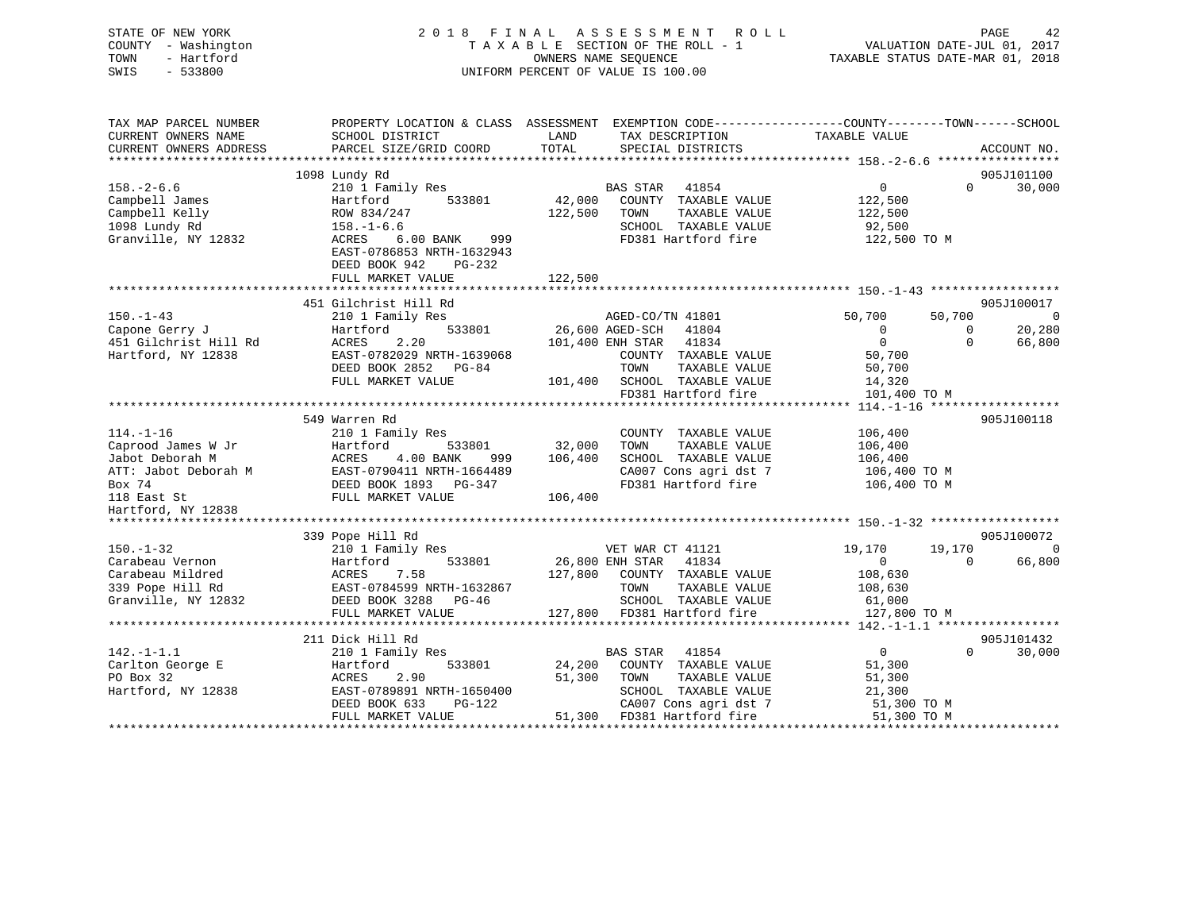| STATE OF NEW YORK<br>COUNTY - Washington<br>TOWN<br>- Hartford<br>SWIS<br>$-533800$ |                                                                                                            |              | 2018 FINAL ASSESSMENT ROLL<br>TAXABLE SECTION OF THE ROLL - 1<br>OWNERS NAME SEOUENCE<br>UNIFORM PERCENT OF VALUE IS 100.00 |                        | PAGE<br>42<br>VALUATION DATE-JUL 01, 2017<br>TAXABLE STATUS DATE-MAR 01, 2018 |
|-------------------------------------------------------------------------------------|------------------------------------------------------------------------------------------------------------|--------------|-----------------------------------------------------------------------------------------------------------------------------|------------------------|-------------------------------------------------------------------------------|
| TAX MAP PARCEL NUMBER                                                               | PROPERTY LOCATION & CLASS ASSESSMENT EXEMPTION CODE----------------COUNTY-------TOWN------SCHOOL           |              |                                                                                                                             |                        |                                                                               |
| CURRENT OWNERS NAME                                                                 | SCHOOL DISTRICT                                                                                            | LAND         | TAX DESCRIPTION TAXABLE VALUE                                                                                               |                        |                                                                               |
| CURRENT OWNERS ADDRESS                                                              | PARCEL SIZE/GRID COORD                                                                                     | TOTAL        | SPECIAL DISTRICTS                                                                                                           |                        | ACCOUNT NO.                                                                   |
|                                                                                     | 1098 Lundy Rd                                                                                              |              |                                                                                                                             |                        | 905J101100                                                                    |
| $158. - 2 - 6.6$                                                                    | 210 1 Family Res                                                                                           |              | BAS STAR<br>41854                                                                                                           | 0                      | $\Omega$<br>30,000                                                            |
| Campbell James                                                                      | 533801<br>Hartford                                                                                         |              | 42,000 COUNTY TAXABLE VALUE                                                                                                 | 122,500                |                                                                               |
| Campbell Kelly                                                                      | ROW 834/247                                                                                                | 122,500 TOWN | TAXABLE VALUE                                                                                                               | 122,500                |                                                                               |
| 1098 Lundy Rd                                                                       | $158. - 1 - 6.6$                                                                                           |              | SCHOOL TAXABLE VALUE                                                                                                        | 92,500                 |                                                                               |
| Granville, NY 12832                                                                 | ACRES 6.00 BANK 999<br>EAST-0786853 NRTH-1632943<br>DEED BOOK 942<br>PG-232                                |              | FD381 Hartford fire                                                                                                         | 122,500 TO M           |                                                                               |
|                                                                                     | FULL MARKET VALUE                                                                                          | 122,500      |                                                                                                                             |                        |                                                                               |
|                                                                                     |                                                                                                            |              |                                                                                                                             |                        |                                                                               |
|                                                                                     | 451 Gilchrist Hill Rd                                                                                      |              |                                                                                                                             |                        | 905J100017                                                                    |
| $150. - 1 - 43$                                                                     | 210 1 Family Res                                                                                           |              | AGED-CO/TN 41801                                                                                                            | 50,700                 | 50,700<br>$\overline{0}$                                                      |
| Capone Gerry J                                                                      | 533801<br>Hartford                                                                                         |              | 26,600 AGED-SCH 41804                                                                                                       | $\overline{0}$         | 20,280<br>$\overline{0}$                                                      |
| 451 Gilchrist Hill Rd                                                               | 2.20<br>ACRES                                                                                              |              | 101,400 ENH STAR 41834                                                                                                      | $\overline{0}$         | $\Omega$<br>66,800                                                            |
| Hartford, NY 12838                                                                  | EAST-0782029 NRTH-1639068                                                                                  |              | COUNTY TAXABLE VALUE                                                                                                        | 50,700                 |                                                                               |
|                                                                                     | DEED BOOK 2852 PG-84                                                                                       |              | TOWN<br>TAXABLE VALUE                                                                                                       | 50,700                 |                                                                               |
|                                                                                     | FULL MARKET VALUE                                                                                          |              | 101,400 SCHOOL TAXABLE VALUE<br>FD381 Hartford fire                                                                         | 14,320<br>101,400 TO M |                                                                               |
|                                                                                     |                                                                                                            |              |                                                                                                                             |                        |                                                                               |
|                                                                                     | 549 Warren Rd                                                                                              |              |                                                                                                                             |                        | 905J100118                                                                    |
| $114. - 1 - 16$                                                                     | 210 1 Family Res                                                                                           |              | COUNTY TAXABLE VALUE                                                                                                        | 106,400                |                                                                               |
| Caprood James W Jr                                                                  |                                                                                                            | 32,000       | TOWN<br>TAXABLE VALUE                                                                                                       | 106,400                |                                                                               |
| Jabot Deborah M                                                                     | 999                                                                                                        | 106,400      | SCHOOL TAXABLE VALUE                                                                                                        | 106,400                |                                                                               |
| ATT: Jabot Deborah M                                                                |                                                                                                            |              | CA007 Cons agri dst 7                                                                                                       | 106,400 TO M           |                                                                               |
| Box 74                                                                              |                                                                                                            |              | FD381 Hartford fire                                                                                                         | 106,400 TO M           |                                                                               |
| 118 East St                                                                         |                                                                                                            | 106,400      |                                                                                                                             |                        |                                                                               |
| Hartford, NY 12838                                                                  | Hartford<br>ACRES 4.00 BANK 522<br>EAST-0790411 NRTH-1664489<br>DEED BOOK 1893 PG-347<br>FULL MARKET VALUE |              |                                                                                                                             |                        |                                                                               |
|                                                                                     | 339 Pope Hill Rd                                                                                           |              |                                                                                                                             |                        | 905J100072                                                                    |
| $150. - 1 - 32$                                                                     | 210 1 Family Res                                                                                           |              | VET WAR CT 41121                                                                                                            | 19,170                 | 19,170<br>$\overline{0}$                                                      |
| Carabeau Vernon                                                                     | 533801<br>Hartford                                                                                         |              | 26,800 ENH STAR 41834                                                                                                       | $\overline{0}$         | $\overline{0}$<br>66,800                                                      |
| Carabeau Mildred                                                                    | ACRES<br>7.58                                                                                              |              | 127,800 COUNTY TAXABLE VALUE                                                                                                | 108,630                |                                                                               |
|                                                                                     | EAST-0784599 NRTH-1632867                                                                                  |              | TOWN<br>TAXABLE VALUE                                                                                                       | 108,630                |                                                                               |
| 339 Pope Hill Rd<br>Granville, NY 12832                                             | DEED BOOK 3288 PG-46                                                                                       |              | SCHOOL TAXABLE VALUE                                                                                                        | 61,000                 |                                                                               |
|                                                                                     | FULL MARKET VALUE                                                                                          |              | 127,800 FD381 Hartford fire                                                                                                 | 127,800 TO M           |                                                                               |
|                                                                                     |                                                                                                            |              |                                                                                                                             |                        |                                                                               |
|                                                                                     | 211 Dick Hill Rd                                                                                           |              |                                                                                                                             |                        | 905J101432                                                                    |
| $142. - 1 - 1.1$                                                                    | 210 1 Family Res                                                                                           |              | BAS STAR 41854                                                                                                              | $\overline{0}$         | $\Omega$<br>30,000                                                            |
| Carlton George E<br>PO Box 32<br>PO Box 32                                          | 533801<br>Hartford<br>ACRES<br>2.90                                                                        | 51,300       | 24,200 COUNTY TAXABLE VALUE<br>TAXABLE VALUE<br>TOWN                                                                        | 51,300                 |                                                                               |
| Hartford, NY 12838                                                                  | EAST-0789891 NRTH-1650400                                                                                  |              | SCHOOL TAXABLE VALUE                                                                                                        | 51,300<br>21,300       |                                                                               |
|                                                                                     | PG-122<br>DEED BOOK 633                                                                                    |              | CA007 Cons agri dst 7                                                                                                       | 51,300 TO M            |                                                                               |
|                                                                                     | FULL MARKET VALUE                                                                                          |              | 51,300 FD381 Hartford fire                                                                                                  | 51,300 TO M            |                                                                               |
|                                                                                     |                                                                                                            |              |                                                                                                                             |                        |                                                                               |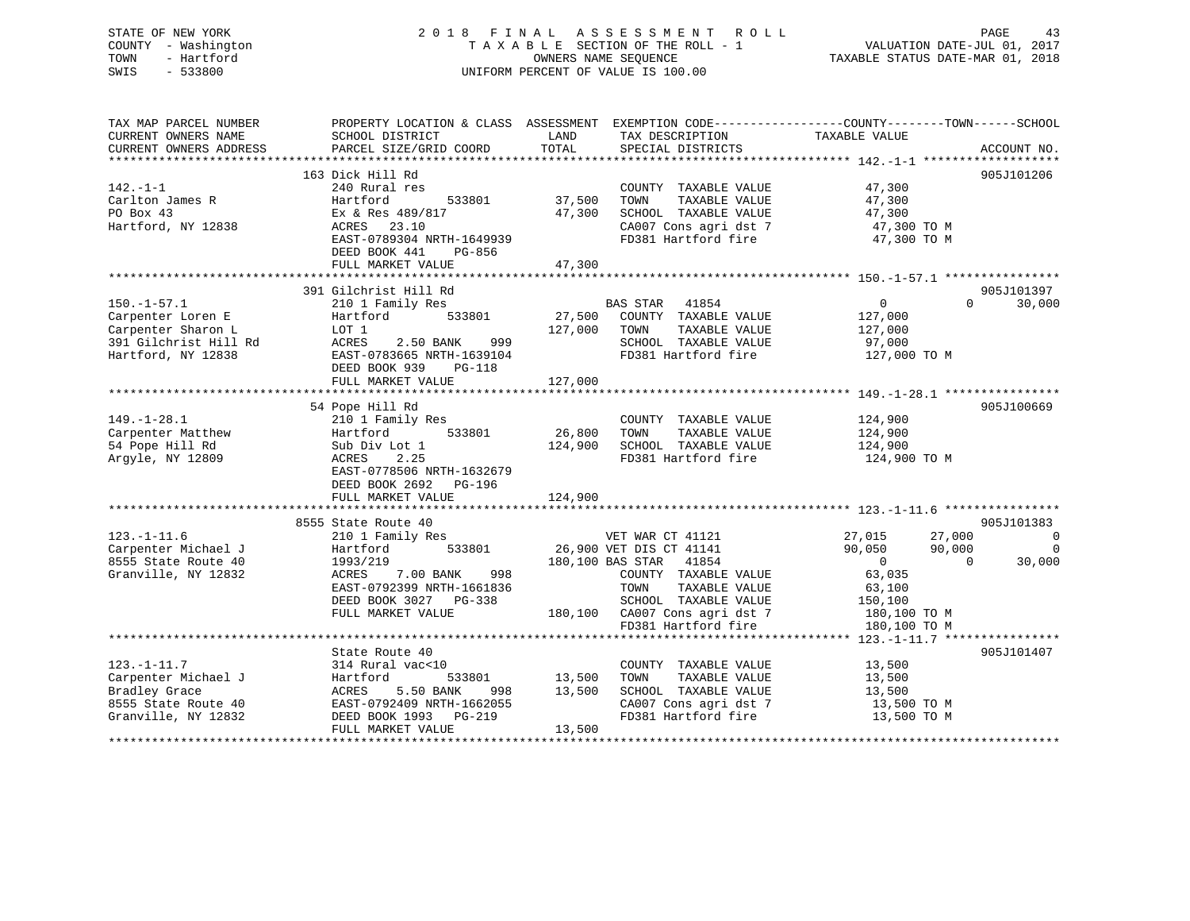## STATE OF NEW YORK 2 0 1 8 F I N A L A S S E S S M E N T R O L L PAGE 43COUNTY - Washington  $T A X A B L E$  SECTION OF THE ROLL - 1<br>TOWN - Hartford SWIS - 533800 UNIFORM PERCENT OF VALUE IS 100.00

VALUATION DATE-JUL 01, 2017

TAXABLE STATUS DATE-MAR 01, 2018

| TAX MAP PARCEL NUMBER  | PROPERTY LOCATION & CLASS ASSESSMENT EXEMPTION CODE-----------------COUNTY-------TOWN------SCHOOL                                                                                                                                                           |              |                                                                                |                                  |                    |
|------------------------|-------------------------------------------------------------------------------------------------------------------------------------------------------------------------------------------------------------------------------------------------------------|--------------|--------------------------------------------------------------------------------|----------------------------------|--------------------|
| CURRENT OWNERS NAME    | SCHOOL DISTRICT                                                                                                                                                                                                                                             | LAND         | TAX DESCRIPTION                                                                | TAXABLE VALUE                    |                    |
| CURRENT OWNERS ADDRESS | PARCEL SIZE/GRID COORD                                                                                                                                                                                                                                      | TOTAL        | SPECIAL DISTRICTS                                                              |                                  | ACCOUNT NO.        |
|                        |                                                                                                                                                                                                                                                             |              |                                                                                |                                  |                    |
|                        | 163 Dick Hill Rd                                                                                                                                                                                                                                            |              |                                                                                |                                  | 905J101206         |
| 142.-1-1               | 240 Rural res                                                                                                                                                                                                                                               |              | COUNTY TAXABLE VALUE 47,300                                                    |                                  |                    |
| Carlton James R        | Hartford<br>533801                                                                                                                                                                                                                                          | 37,500       | TOWN<br>TAXABLE VALUE                                                          | 47,300                           |                    |
| PO Box 43              | Ex & Res 489/817                                                                                                                                                                                                                                            | 47,300       | SCHOOL TAXABLE VALUE                                                           | 47,300                           |                    |
| Hartford, NY 12838     | ACRES 23.10                                                                                                                                                                                                                                                 |              | CA007 Cons agri dst 7                                                          | 47,300 TO M                      |                    |
|                        | EAST-0789304 NRTH-1649939                                                                                                                                                                                                                                   |              | FD381 Hartford fire                                                            | 47,300 TO M                      |                    |
|                        | DEED BOOK 441<br>PG-856                                                                                                                                                                                                                                     |              |                                                                                |                                  |                    |
|                        | FULL MARKET VALUE                                                                                                                                                                                                                                           | 47,300       |                                                                                |                                  |                    |
|                        |                                                                                                                                                                                                                                                             |              |                                                                                |                                  |                    |
|                        | 391 Gilchrist Hill Rd                                                                                                                                                                                                                                       |              |                                                                                |                                  | 905J101397         |
| $150. - 1 - 57.1$      | 210 1 Family Res                                                                                                                                                                                                                                            |              |                                                                                | $\overline{0}$                   | $\Omega$<br>30,000 |
| Carpenter Loren E      | Hartford 533801                                                                                                                                                                                                                                             |              | BAS STAR 41854<br>27,500 COUNTY TAXABLE VALUE                                  | 127,000                          |                    |
| Carpenter Sharon L     |                                                                                                                                                                                                                                                             | 127,000 TOWN | TAXABLE VALUE                                                                  | 127,000                          |                    |
|                        | EXECUTE TO THE RESERVE TO THE REST OF THE RESERVE THE RESERVE THE RESERVE THE RESERVE THE RESERVE THE RESERVE<br>THE RESERVE THE RESERVE THE RESERVE THE RESERVE THE RESERVE THE RESERVE THE RESERVE THE RESERVE THE RESERVE TH<br>T<br>ACRES 2.50 BANK 999 |              | SCHOOL TAXABLE VALUE                                                           | 97,000                           |                    |
|                        | EAST-0783665 NRTH-1639104                                                                                                                                                                                                                                   |              | FD381 Hartford fire                                                            | 127,000 TO M                     |                    |
|                        | DEED BOOK 939<br>PG-118                                                                                                                                                                                                                                     |              |                                                                                |                                  |                    |
|                        | FULL MARKET VALUE                                                                                                                                                                                                                                           | 127,000      |                                                                                |                                  |                    |
|                        |                                                                                                                                                                                                                                                             |              |                                                                                |                                  |                    |
|                        |                                                                                                                                                                                                                                                             |              |                                                                                |                                  | 905J100669         |
|                        | 54 Pope Hill Rd                                                                                                                                                                                                                                             |              |                                                                                |                                  |                    |
| $149. - 1 - 28.1$      | 210 1 Family Res<br>210 1 Fam<br>Hartford                                                                                                                                                                                                                   |              | COUNTY TAXABLE VALUE                                                           | 124,900<br>124,900               |                    |
| Carpenter Matthew      | 533801                                                                                                                                                                                                                                                      | 26,800       | TOWN<br>TAXABLE VALUE                                                          |                                  |                    |
| 54 Pope Hill Rd        | Sub Div Lot 1                                                                                                                                                                                                                                               | 124,900      | SCHOOL TAXABLE VALUE                                                           | 124,900                          |                    |
| Arqyle, NY 12809       | 2.25<br>ACRES                                                                                                                                                                                                                                               |              | FD381 Hartford fire                                                            | 124,900 TO M                     |                    |
|                        | EAST-0778506 NRTH-1632679                                                                                                                                                                                                                                   |              |                                                                                |                                  |                    |
|                        | DEED BOOK 2692 PG-196                                                                                                                                                                                                                                       |              |                                                                                |                                  |                    |
|                        | FULL MARKET VALUE                                                                                                                                                                                                                                           | 124,900      |                                                                                |                                  |                    |
|                        |                                                                                                                                                                                                                                                             |              |                                                                                |                                  |                    |
|                        | 8555 State Route 40                                                                                                                                                                                                                                         |              |                                                                                |                                  | 905J101383         |
| $123. - 1 - 11.6$      | 210 1 Family Res                                                                                                                                                                                                                                            |              | VET WAR CT 41121                                                               | 27,015<br>27,000                 | $\overline{0}$     |
| Carpenter Michael J    | 533801<br>Hartford                                                                                                                                                                                                                                          |              | 26,900 VET DIS CT 41141                                                        | 90,050<br>90,000                 | 0                  |
| 8555 State Route 40    | 1993/219                                                                                                                                                                                                                                                    |              | 180,100 BAS STAR 41854                                                         | $\overline{0}$<br>$\overline{0}$ | 30,000             |
| Granville, NY 12832    | 998<br>ACRES<br>7.00 BANK                                                                                                                                                                                                                                   |              | COUNTY TAXABLE VALUE                                                           | 63,035                           |                    |
|                        | EAST-0792399 NRTH-1661836                                                                                                                                                                                                                                   |              | TOWN<br>TAXABLE VALUE                                                          | 63,100                           |                    |
|                        | DEED BOOK 3027 PG-338                                                                                                                                                                                                                                       |              | SCHOOL TAXABLE VALUE 150,100                                                   |                                  |                    |
|                        | FULL MARKET VALUE                                                                                                                                                                                                                                           |              | 180,100 CA007 Cons agri dst 7 180,100 TO M<br>FD381 Hartford fire 180,100 TO M |                                  |                    |
|                        |                                                                                                                                                                                                                                                             |              |                                                                                |                                  |                    |
|                        |                                                                                                                                                                                                                                                             |              |                                                                                |                                  |                    |
|                        | State Route 40                                                                                                                                                                                                                                              |              |                                                                                |                                  | 905J101407         |
| $123. - 1 - 11.7$      | 314 Rural vac<10                                                                                                                                                                                                                                            |              | COUNTY TAXABLE VALUE                                                           | 13,500                           |                    |
| Carpenter Michael J    | 533801<br>Hartford                                                                                                                                                                                                                                          | 13,500       | TOWN<br>TAXABLE VALUE                                                          | 13,500                           |                    |
| Bradley Grace          | 5.50 BANK<br>ACRES                                                                                                                                                                                                                                          | 998 13,500   | SCHOOL TAXABLE VALUE                                                           | 13,500                           |                    |
| 8555 State Route 40    | EAST-0792409 NRTH-1662055                                                                                                                                                                                                                                   |              | CA007 Cons agri dst 7                                                          | 13,500 TO M                      |                    |
| Granville, NY 12832    | DEED BOOK 1993 PG-219                                                                                                                                                                                                                                       |              | FD381 Hartford fire                                                            | 13,500 TO M                      |                    |
|                        | FULL MARKET VALUE                                                                                                                                                                                                                                           | 13,500       |                                                                                |                                  |                    |
|                        |                                                                                                                                                                                                                                                             |              |                                                                                |                                  |                    |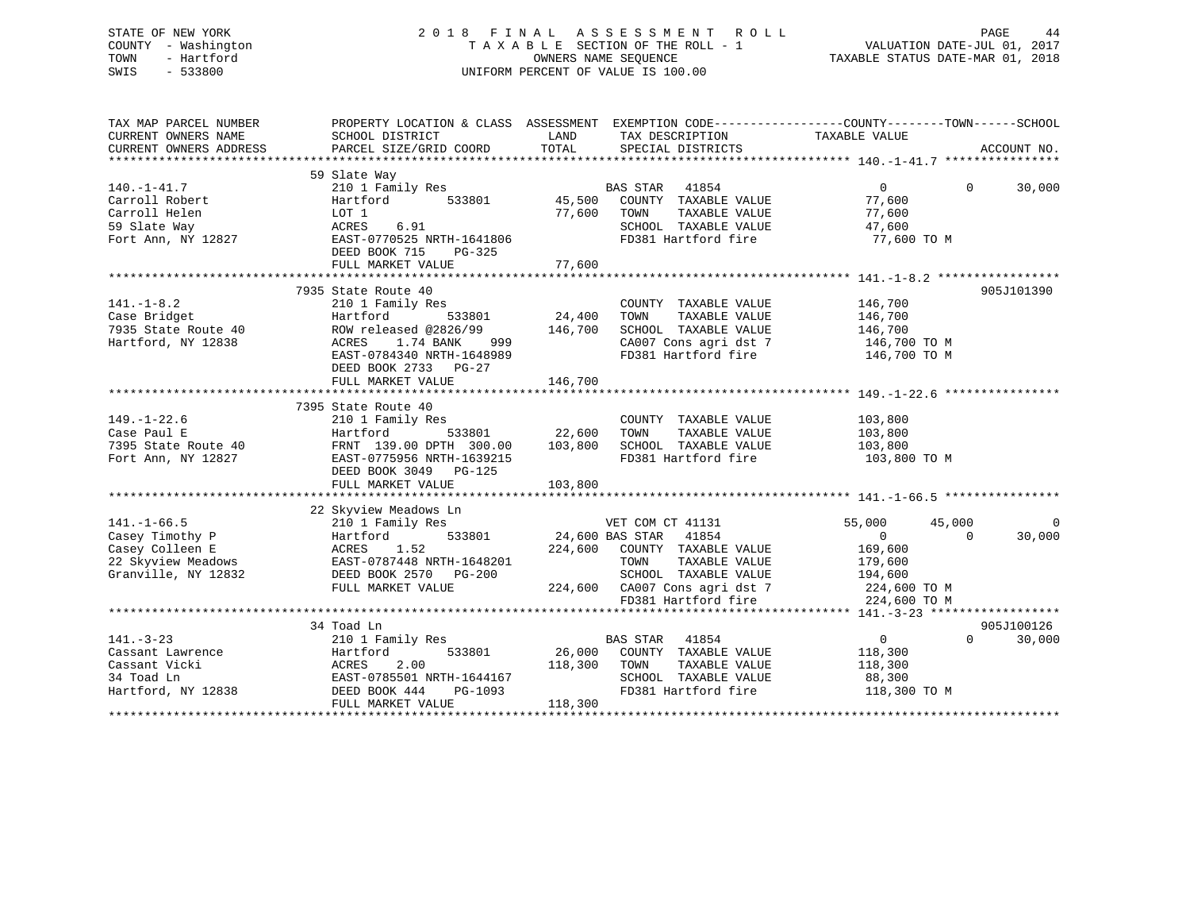### STATE OF NEW YORK 2 0 1 8 F I N A L A S S E S S M E N T R O L L PAGE 44 COUNTY - Washington T A X A B L E SECTION OF THE ROLL - 1 VALUATION DATE-JUL 01, 2017 TOWN - Hartford **TAXABLE STATUS DATE-MAR 01, 2018** OWNERS NAME SEQUENCE TAXABLE STATUS DATE-MAR 01, 2018 SWIS - 533800 UNIFORM PERCENT OF VALUE IS 100.00

| TAX MAP PARCEL NUMBER<br>CURRENT OWNERS NAME<br>CURRENT OWNERS ADDRESS                                                                                                                                                                             | PROPERTY LOCATION & CLASS ASSESSMENT EXEMPTION CODE----------------COUNTY-------TOWN------SCHOOL<br>SCHOOL DISTRICT<br>PARCEL SIZE/GRID COORD TOTAL                                  | LAND                                     | TAX DESCRIPTION TAXABLE VALUE SPECIAL DISTRICTS                                                                                                                                                                                                                                                                     |                                                                                                     | ACCOUNT NO.                      |
|----------------------------------------------------------------------------------------------------------------------------------------------------------------------------------------------------------------------------------------------------|--------------------------------------------------------------------------------------------------------------------------------------------------------------------------------------|------------------------------------------|---------------------------------------------------------------------------------------------------------------------------------------------------------------------------------------------------------------------------------------------------------------------------------------------------------------------|-----------------------------------------------------------------------------------------------------|----------------------------------|
| $140. - 1 - 41.7$<br>Carroll Robert<br>Carroll Helen<br>59 Slate Way<br>Fort Ann, NY 12827                                                                                                                                                         | 59 Slate Way<br>210 1 Family Res<br>Hartford<br>LOT 1<br>ACRES<br>6.91<br>EAST-0770525<br>DEED POOK 515<br>DEED BOOK 715<br>PG-325                                                   | 533801 45,500<br>77,600                  | BAS STAR 41854<br>COUNTY TAXABLE VALUE<br>TAXABLE VALUE<br>TOWN<br>SCHOOL TAXABLE VALUE<br>FD381 Hartford fire                                                                                                                                                                                                      | $\Omega$<br>77,600<br>77,600<br>47,600<br>77,600 TO M                                               | $\Omega$<br>30,000               |
|                                                                                                                                                                                                                                                    | FULL MARKET VALUE                                                                                                                                                                    | 77,600                                   |                                                                                                                                                                                                                                                                                                                     |                                                                                                     |                                  |
| $141. - 1 - 8.2$<br>Case Bridget<br>7935 State Route 40<br>Hartford, NY 12838                                                                                                                                                                      | 7935 State Route 40<br>210 1 Family Res<br>Hartford<br>ROW released @2826/99 146,700<br>ACRES<br>1.74 BANK<br>EAST-0784340 NRTH-1648989<br>DEED BOOK 2733 PG-27<br>FULL MARKET VALUE | $533801$ 24,400<br>999 (1988)<br>146,700 | COUNTY TAXABLE VALUE<br>TOWN<br>TAXABLE VALUE<br>SCHOOL TAXABLE VALUE 146,700<br>CA007 Cons agri dst 7 146,700 TO M<br>FD381 Hartford fire 146,700 TO M                                                                                                                                                             | 146,700<br>146,700                                                                                  | 905J101390                       |
|                                                                                                                                                                                                                                                    | 7395 State Route 40<br>FULL MARKET VALUE                                                                                                                                             | 103,800<br>103,800                       | COUNTY TAXABLE VALUE<br>TOWN<br>TAXABLE VALUE<br>SCHOOL TAXABLE VALUE 103,800<br>FD381 Hartford fire                                                                                                                                                                                                                | 103,800<br>103,800<br>103,800 TO M                                                                  |                                  |
| $141. - 1 - 66.5$<br>Casey Timothy P<br>Casey Colleen E<br>22 Skyview Meadows<br>22 Skyview Meadows<br>23 Skyview Meadows<br>23 Skyview Meadows<br>23 Skyview Meadows<br>23 Skyview Meadows<br>24 Season 28 Skyview Meadows<br>Granville, NY 12832 | 22 Skyview Meadows Ln<br>210 1 Family Res<br>533801 24,600 BAS STAR<br>DEED BOOK 2570 PG-200<br>FULL MARKET VALUE                                                                    |                                          | VET COM CT 41131<br>41854<br>224,600 COUNTY TAXABLE VALUE<br>TOWN<br>TAXABLE VALUE<br>G-200 SCHOOL IAANDER WALLET CALL SCHOOL SCHOOL SERVICE SERVICE SERVICE SERVICE SERVICE SERVICE SERVICE SERVICE SERVICE SERVICE SERVICE SERVICE SERVICE SERVICE SERVICE SERVICE SERVICE SERVICE SERVICE SERVICE SERVICE SERVIC | 55,000<br>45,000<br>$\overline{0}$<br>169,600<br>179,600<br>194,600<br>224,600 TO M<br>224,600 TO M | $\Omega$<br>30,000<br>$\Omega$   |
| $141. - 3 - 23$<br>141.-3-23<br>Cassant Lawrence<br>Cassant Vicki<br>Cassant Vicki<br>2.00<br>34 Toad Ln<br>Hartford, NY 12838<br>2.00<br>DEED BOOK 444                                                                                            | 34 Toad Ln<br>210 1 Family Res<br>EAST-0785501 NRTH-1644167<br>PG-1093<br>FULL MARKET VALUE                                                                                          | 118,300 TOWN<br>118,300                  | $\begin{tabular}{lllllllll} \textsc{ly} & \textsc{Res} & \textsc{max} & \textsc{41854} \\ & & 533801 & \textsc{26,000} & \textsc{COUNTY} & \textsc{TAXABLE VALUE} \end{tabular}$<br>TAXABLE VALUE<br>SCHOOL TAXABLE VALUE<br>FD381 Hartford fire                                                                    | $\overline{0}$<br>118,300<br>118,300<br>88,300<br>118,300 TO M                                      | 905J100126<br>$\Omega$<br>30,000 |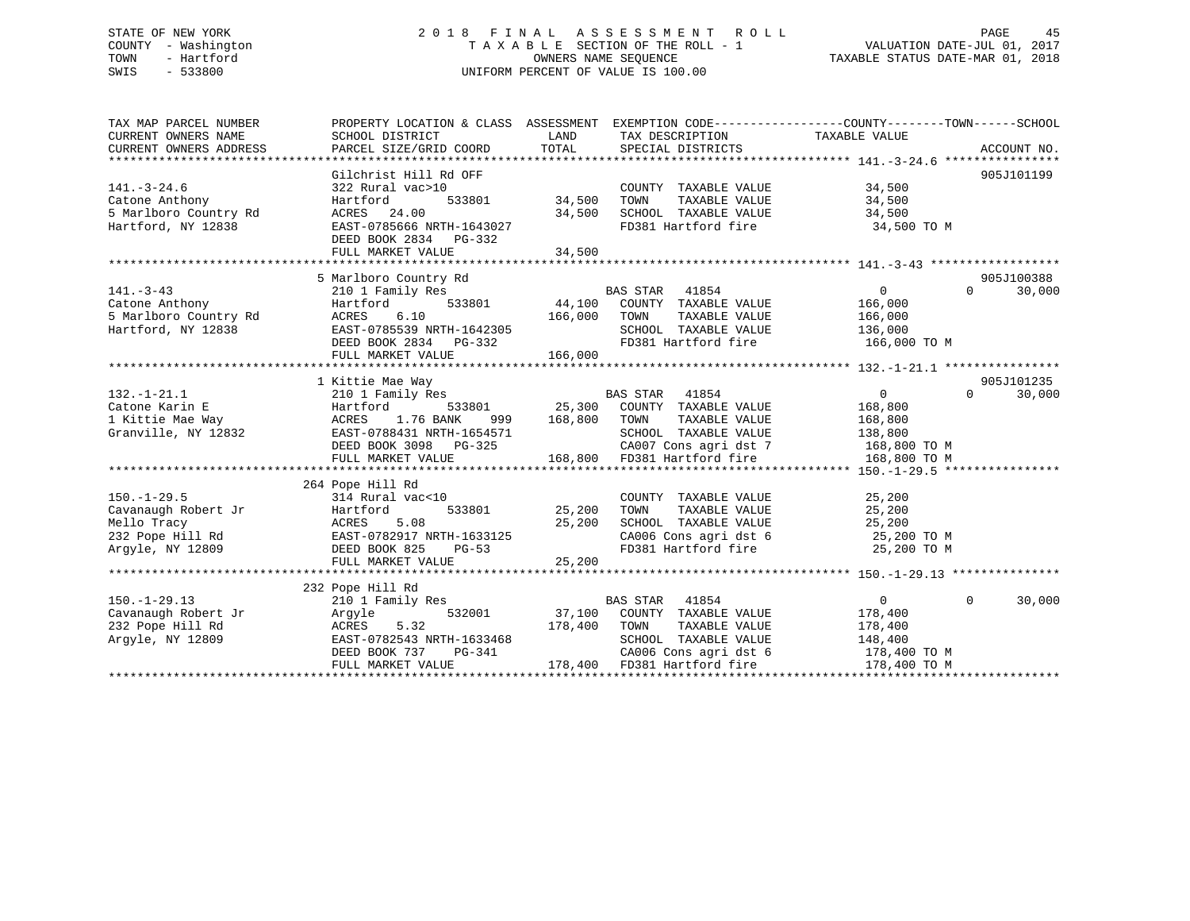### STATE OF NEW YORK 2 0 1 8 F I N A L A S S E S S M E N T R O L L PAGE 45 COUNTY - Washington T A X A B L E SECTION OF THE ROLL - 1 VALUATION DATE-JUL 01, 2017 TOWN - Hartford **TAXABLE STATUS DATE-MAR 01, 2018** OWNERS NAME SEQUENCE TAXABLE STATUS DATE-MAR 01, 2018 SWIS - 533800 UNIFORM PERCENT OF VALUE IS 100.00

| TAX MAP PARCEL NUMBER | PROPERTY LOCATION & CLASS ASSESSMENT EXEMPTION CODE-----------------COUNTY--------TOWN------SCHOOL                                                                                                                                               |         |                                                                      |                                          |                    |
|-----------------------|--------------------------------------------------------------------------------------------------------------------------------------------------------------------------------------------------------------------------------------------------|---------|----------------------------------------------------------------------|------------------------------------------|--------------------|
|                       |                                                                                                                                                                                                                                                  |         |                                                                      |                                          |                    |
|                       |                                                                                                                                                                                                                                                  |         |                                                                      |                                          |                    |
|                       |                                                                                                                                                                                                                                                  |         |                                                                      |                                          |                    |
|                       | Gilchrist Hill Rd OFF                                                                                                                                                                                                                            |         |                                                                      |                                          | 905J101199         |
| $141. - 3 - 24.6$     | 322 Rural vac>10                                                                                                                                                                                                                                 |         | COUNTY TAXABLE VALUE 34,500                                          |                                          |                    |
|                       | 533801 34,500                                                                                                                                                                                                                                    |         | TOWN                                                                 | TAXABLE VALUE 34,500                     |                    |
|                       |                                                                                                                                                                                                                                                  | 34,500  | SCHOOL TAXABLE VALUE                                                 | 34,500                                   |                    |
|                       |                                                                                                                                                                                                                                                  |         | FD381 Hartford fire                                                  | 34,500 TO M                              |                    |
|                       |                                                                                                                                                                                                                                                  | 34,500  |                                                                      |                                          |                    |
|                       | FULL MARKET VALUE                                                                                                                                                                                                                                |         |                                                                      |                                          |                    |
|                       | 5 Marlboro Country Rd                                                                                                                                                                                                                            |         |                                                                      |                                          | 905J100388         |
|                       |                                                                                                                                                                                                                                                  |         |                                                                      | $\overline{0}$                           | $\Omega$<br>30,000 |
|                       |                                                                                                                                                                                                                                                  |         |                                                                      | 166,ぃ、<br>166,000<br><sup>-</sup> 36,000 |                    |
|                       |                                                                                                                                                                                                                                                  |         | TAXABLE VALUE                                                        |                                          |                    |
|                       |                                                                                                                                                                                                                                                  |         | SCHOOL TAXABLE VALUE 136,000                                         |                                          |                    |
|                       |                                                                                                                                                                                                                                                  |         | FD381 Hartford fire 166,000 TO M                                     |                                          |                    |
|                       | 141.-3-43<br>Catone Anthony<br>Catone Anthony<br>Example 2010 I Family Res<br>Hartford, NY 12838<br>Hartford, NY 12838<br>CHEREN COUNTY COUNTY COUNTY TAXABLE VALUE<br>EXACTES<br>CHEREN ON THE 166,000 TOWN TAXABLE VALUE<br>DEED BOOK 2834 PG- |         |                                                                      |                                          |                    |
|                       |                                                                                                                                                                                                                                                  |         |                                                                      |                                          |                    |
|                       | 1 Kittie Mae Way                                                                                                                                                                                                                                 |         |                                                                      |                                          | 905J101235         |
|                       | 132.-1-21.1 132.-1-21.1 1 1 Kittie Mae Way<br>Catone Karin E Hartford 533801 25,300 COUNTY TAXABLE VALUE 168,800<br>168,800 TOWN TAXABLE VALUE 168,800 168,800 TOWN TAXABLE VALUE 168,800<br>Granville, NY 12832 EAST-0788431 NRTH-1             |         |                                                                      |                                          | $\Omega$<br>30,000 |
|                       |                                                                                                                                                                                                                                                  |         |                                                                      |                                          |                    |
|                       |                                                                                                                                                                                                                                                  |         |                                                                      |                                          |                    |
|                       |                                                                                                                                                                                                                                                  |         |                                                                      |                                          |                    |
|                       |                                                                                                                                                                                                                                                  |         |                                                                      |                                          |                    |
|                       |                                                                                                                                                                                                                                                  |         |                                                                      |                                          |                    |
|                       |                                                                                                                                                                                                                                                  |         |                                                                      |                                          |                    |
|                       | 264 Pope Hill Rd                                                                                                                                                                                                                                 |         |                                                                      |                                          |                    |
| $150. - 1 - 29.5$     | 314 Rural vac<10                                                                                                                                                                                                                                 |         | COUNTY TAXABLE VALUE                                                 | 25,200                                   |                    |
|                       |                                                                                                                                                                                                                                                  |         | TAXABLE VALUE<br>TOWN                                                | 25,200                                   |                    |
|                       |                                                                                                                                                                                                                                                  |         |                                                                      | 25,200                                   |                    |
|                       |                                                                                                                                                                                                                                                  |         |                                                                      | 25,200 TO M                              |                    |
|                       | Cavanaugh Robert Jr and The Hartford 533801 25,200<br>Mello Tracy ACRES 5.08 22 Pope Hill Rd EAST-0782917 NRTH-1633125<br>232 Pope Hill Rd EAST-0782917 NRTH-1633125<br>Argyle, NY 12809 DEED BOOK 825 PG-53                                     |         | SCHOOL TAXABLE VALUE<br>CA006 Cons agri dst 6<br>FD381 Hartford fire | 25,200 TO M                              |                    |
|                       | FULL MARKET VALUE                                                                                                                                                                                                                                | 25, 200 |                                                                      |                                          |                    |
|                       |                                                                                                                                                                                                                                                  |         |                                                                      |                                          |                    |
|                       | 232 Pope Hill Rd                                                                                                                                                                                                                                 |         |                                                                      |                                          |                    |
| 150.-1-29.13          | 210 1 Family Res                                                                                                                                                                                                                                 |         | BAS STAR 41854                                                       | $\overline{0}$                           | $\Omega$<br>30,000 |
|                       |                                                                                                                                                                                                                                                  |         | 532001 37,100 COUNTY TAXABLE VALUE $178,400$                         |                                          |                    |
|                       |                                                                                                                                                                                                                                                  |         | TAXABLE VALUE                                                        | 178,400<br>148,400                       |                    |
|                       |                                                                                                                                                                                                                                                  |         | SCHOOL TAXABLE VALUE                                                 |                                          |                    |
|                       | $PG-341$<br>DEED BOOK 737                                                                                                                                                                                                                        |         | CA006 Cons agri dst 6 178,400 TO M                                   |                                          |                    |
|                       | FULL MARKET VALUE                                                                                                                                                                                                                                |         | 178,400 FD381 Hartford fire 3178,400 TO M                            |                                          |                    |
|                       |                                                                                                                                                                                                                                                  |         |                                                                      |                                          |                    |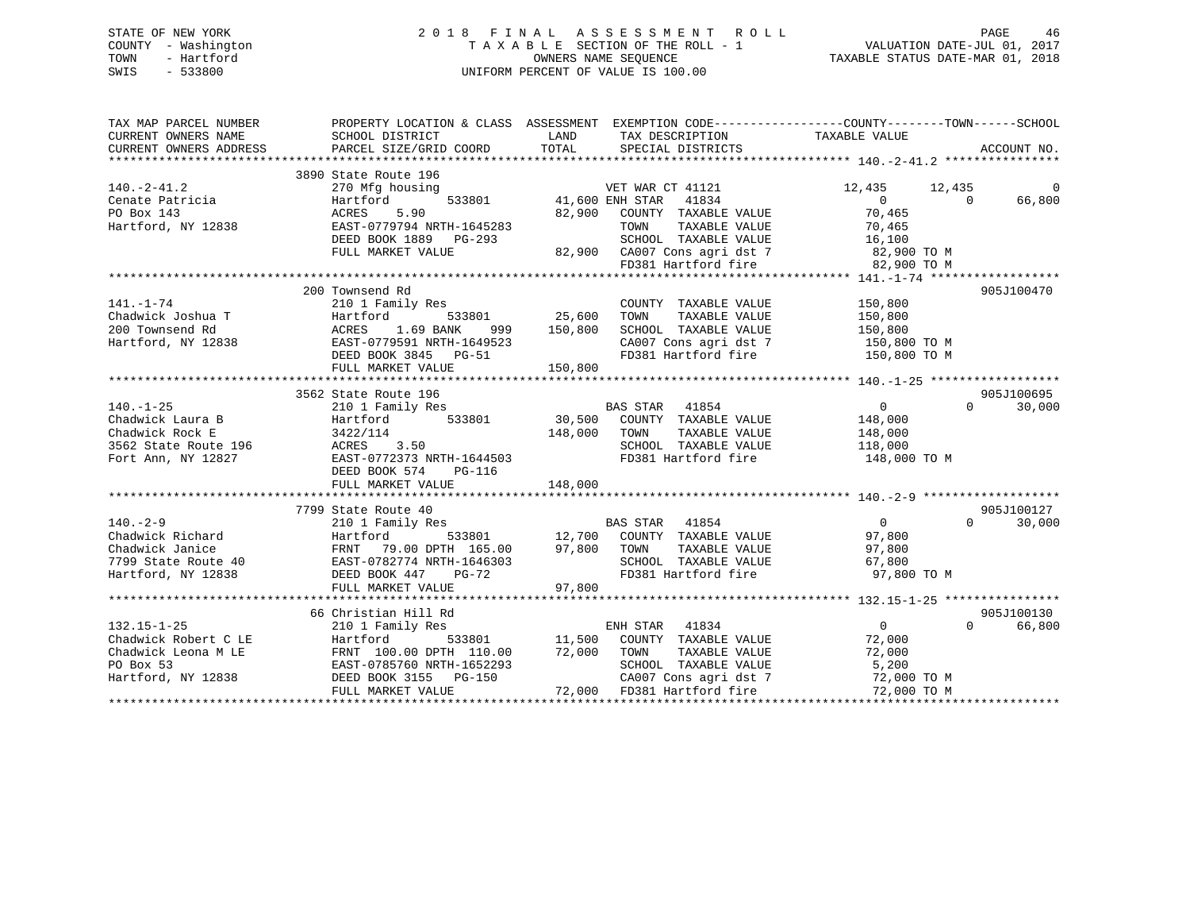### STATE OF NEW YORK 2 0 1 8 F I N A L A S S E S S M E N T R O L L PAGE 46 COUNTY - Washington T A X A B L E SECTION OF THE ROLL - 1 VALUATION DATE-JUL 01, 2017 TOWN - Hartford **TAXABLE STATUS DATE-MAR 01, 2018** OWNERS NAME SEQUENCE TAXABLE STATUS DATE-MAR 01, 2018 SWIS - 533800 UNIFORM PERCENT OF VALUE IS 100.00

| TAX MAP PARCEL NUMBER<br>CURRENT OWNERS NAME<br>CURRENT OWNERS ADDRESS                                                                                                | SCHOOL DISTRICT<br>PARCEL SIZE/GRID COORD TOTAL                                                                                                                                      | TAX DESCRIPTION TAXABLE VALUE<br>LAND<br>SPECIAL DISTRICTS                                                                                                                                    | PROPERTY LOCATION & CLASS ASSESSMENT EXEMPTION CODE-----------------COUNTY--------TOWN------SCHOOL<br>ACCOUNT NO.         |
|-----------------------------------------------------------------------------------------------------------------------------------------------------------------------|--------------------------------------------------------------------------------------------------------------------------------------------------------------------------------------|-----------------------------------------------------------------------------------------------------------------------------------------------------------------------------------------------|---------------------------------------------------------------------------------------------------------------------------|
| $140. -2 - 41.2$<br>Cenate Patricia<br>PO Box 143<br>Hartford, NY 12838                                                                                               | 3890 State Route 196<br>270 Mfg housing<br>Hartford<br>5.90<br>ACRES<br>EAST-0779794 NRTH-1645283<br>DEED BOOK 1889 PG-293<br>FULL MARKET VALUE                                      | VET WAR CT 41121<br>533801 41,600 ENH STAR<br>41834<br>82,900<br>COUNTY TAXABLE VALUE<br>TAXABLE VALUE<br>TOWN<br>SCHOOL TAXABLE VALUE<br>82,900 CA007 Cons agri dst 7<br>FD381 Hartford fire | 12,435<br>12,435<br>0<br>$\overline{0}$<br>66,800<br>$\Omega$<br>70,465<br>70,465<br>16,100<br>82,900 TO M<br>82,900 TO M |
| $141. - 1 - 74$<br>Chadwick Joshua T<br>200 Townsend Rd<br>Hartford, NY 12838                                                                                         | 200 Townsend Rd<br>210 1 Family Res<br>533801<br>Hartford<br>ACRES 1.69 BANK<br>999<br>EAST-0779591 NRTH-1649523<br>DEED BOOK 3845 PG-51<br>FULL MARKET VALUE                        | COUNTY TAXABLE VALUE<br>COUNTY<br>25,600      TOWN<br>TAXABLE VALUE<br>150,800<br>SCHOOL TAXABLE VALUE<br>CA007 Cons agri dst 7<br>FD381 Hartford fire<br>150,800                             | 905J100470<br>150,800<br>150,800<br>150,800<br>$150,800$ TO M<br>150,800 TO M                                             |
| $140. - 1 - 25$<br>Chadwick Laura B<br>Chadwick Rock E<br>3562 State Route 196 MCRES 3.50<br>Fort Ann, NY 12827                                                       | 3562 State Route 196<br>210 1 Family Res<br>Hartford<br>533801<br>3422/114<br>د . د . د . د . د . د . د . د . EAST-0772373 NRTH-1644503<br>DEED BOOK 574 PG-116<br>FULL MARKET VALUE | <b>BAS STAR</b><br>41854<br>30,500 COUNTY TAXABLE VALUE<br>148,000<br>TOWN<br>TAXABLE VALUE<br>SCHOOL TAXABLE VALUE<br>FD381 Hartford fire<br>148,000                                         | 905J100695<br>$\Omega$<br>$\Omega$<br>30,000<br>148,000<br>148,000<br>118,000<br>148,000 TO M                             |
|                                                                                                                                                                       |                                                                                                                                                                                      |                                                                                                                                                                                               |                                                                                                                           |
| $140. - 2 - 9$<br>Chadwick Richard<br>Chadwick Janice<br>7799 State Route 40<br>Hartford, NY 12838<br>Hartford, NY 12838<br>DEED BOOK 447 PG-72<br>Hartford, NY 12838 | 7799 State Route 40<br>210 1 Family Res<br>Hartford<br>DEED BOOK 447<br>$PG-72$<br>FULL MARKET VALUE                                                                                 | 97,800 TOWN<br>TAXABLE VALUE<br>SCHOOL TAXABLE VALUE<br>FD381 Hartford fire<br>97,800                                                                                                         | 905J100127<br>$\overline{0}$<br>$\Omega$<br>30,000<br>97,800<br>97,800<br>67,800<br>97,800 TO M                           |
|                                                                                                                                                                       |                                                                                                                                                                                      |                                                                                                                                                                                               |                                                                                                                           |
| $132.15 - 1 - 25$<br>Chadwick Robert C LE<br>Chadwick Leona M LE<br>PO Box 53<br>Hartford, NY 12838                                                                   | 66 Christian Hill Rd<br>210 1 Family Res<br>Hartford<br>FRNT 100.00 DPTH 110.00<br>EAST-0785760 NRTH-1652293<br>DEED BOOK 3155 PG-150<br>FULL MARKET VALUE                           | ENH STAR 41834<br>533801 11,500 COUNTY TAXABLE VALUE<br>72,000 TOWN<br>TAXABLE VALUE<br>SCHOOL TAXABLE VALUE<br>CA007 Cons agri dst 7<br>72,000 FD381 Hartford fire                           | 905J100130<br>$\overline{0}$<br>$\Omega$<br>66,800<br>72,000<br>72,000<br>5,200<br>72,000 TO M<br>72,000 TO M             |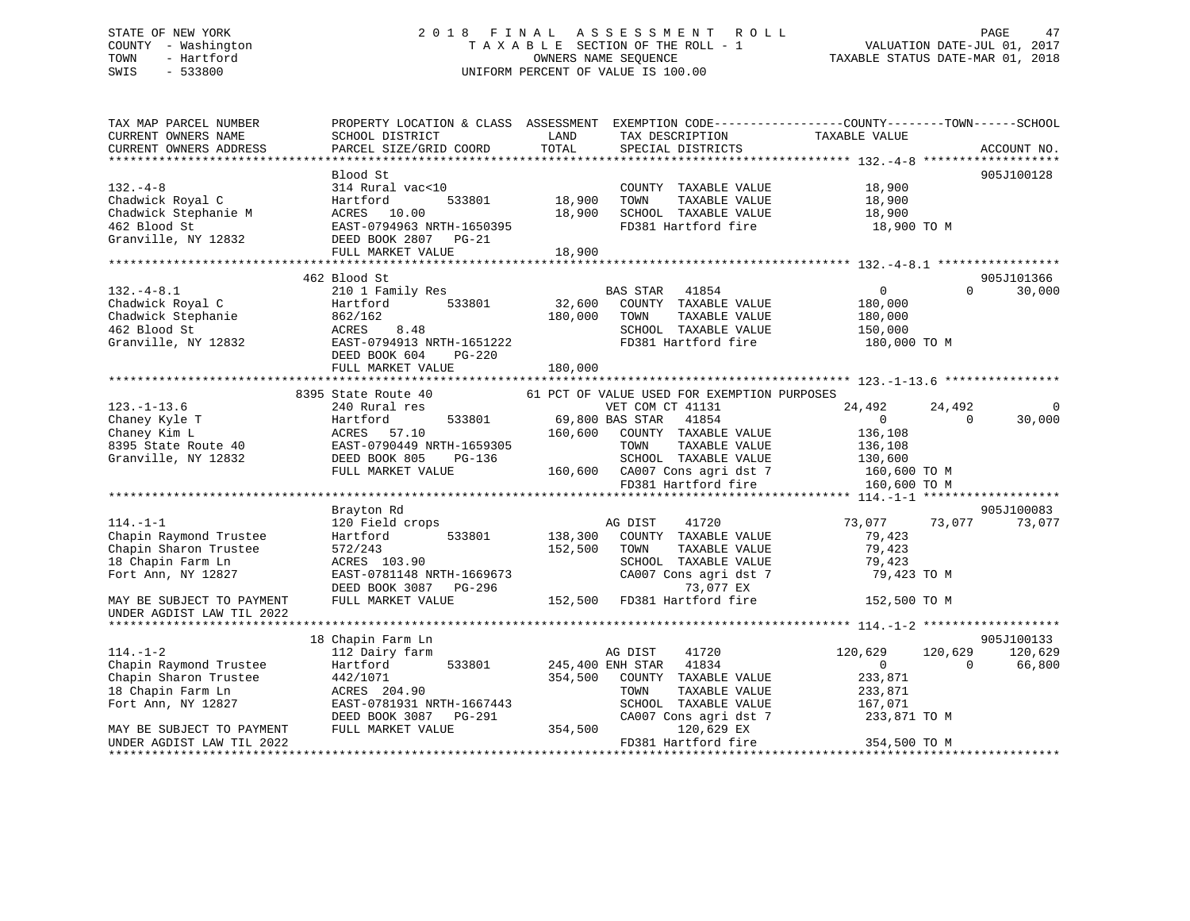### STATE OF NEW YORK 2 0 1 8 F I N A L A S S E S S M E N T R O L L PAGE 47 COUNTY - Washington T A X A B L E SECTION OF THE ROLL - 1 VALUATION DATE-JUL 01, 2017 TOWN - Hartford **TAXABLE STATUS DATE-MAR 01, 2018** OWNERS NAME SEQUENCE TAXABLE STATUS DATE-MAR 01, 2018 SWIS - 533800 UNIFORM PERCENT OF VALUE IS 100.00

| TAX MAP PARCEL NUMBER<br>CURRENT OWNERS NAME<br>CURRENT OWNERS ADDRESS                                       | SCHOOL DISTRICT<br>PARCEL SIZE/GRID COORD                                                                                                                 | LAND<br>TOTAL              | TAX DESCRIPTION<br>SPECIAL DISTRICTS                                                                                                                                                                                         | PROPERTY LOCATION & CLASS ASSESSMENT EXEMPTION CODE----------------COUNTY-------TOWN------SCHOOL<br>TAXABLE VALUE | ACCOUNT NO.                     |
|--------------------------------------------------------------------------------------------------------------|-----------------------------------------------------------------------------------------------------------------------------------------------------------|----------------------------|------------------------------------------------------------------------------------------------------------------------------------------------------------------------------------------------------------------------------|-------------------------------------------------------------------------------------------------------------------|---------------------------------|
|                                                                                                              | Blood St                                                                                                                                                  |                            |                                                                                                                                                                                                                              |                                                                                                                   | 905J100128                      |
| $132 - 4 - 8$<br>Chadwick Royal C<br>Chadwick Stephanie M<br>462 Blood St<br>Granville, NY 12832             | 314 Rural vac<10<br>533801<br>Hartford<br>ACRES<br>10.00<br>EAST-0794963 NRTH-1650395<br>DEED BOOK 2807<br>PG-21<br>FULL MARKET VALUE                     | 18,900<br>18,900<br>18,900 | COUNTY TAXABLE VALUE<br>TOWN<br>TAXABLE VALUE<br>SCHOOL TAXABLE VALUE<br>FD381 Hartford fire                                                                                                                                 | 18,900<br>18,900<br>18,900<br>18,900 TO M                                                                         |                                 |
|                                                                                                              |                                                                                                                                                           |                            |                                                                                                                                                                                                                              |                                                                                                                   |                                 |
| $132. -4 - 8.1$<br>Chadwick Royal C<br>Chadwick Stephanie<br>462 Blood St<br>Granville, NY 12832             | 462 Blood St<br>210 1 Family Res<br>533801<br>Hartford<br>862/162<br>8.48<br>ACRES<br>EAST-0794913 NRTH-1651222                                           | 32,600<br>180,000          | BAS STAR<br>41854<br>COUNTY TAXABLE VALUE<br>TAXABLE VALUE<br>TOWN<br>SCHOOL TAXABLE VALUE<br>FD381 Hartford fire                                                                                                            | $\overline{0}$<br>$\Omega$<br>180,000<br>180,000<br>150,000<br>180,000 TO M                                       | 905J101366<br>30,000            |
|                                                                                                              | DEED BOOK 604<br>$PG-220$<br>FULL MARKET VALUE                                                                                                            | 180,000                    |                                                                                                                                                                                                                              |                                                                                                                   |                                 |
|                                                                                                              |                                                                                                                                                           |                            |                                                                                                                                                                                                                              |                                                                                                                   |                                 |
| $123. - 1 - 13.6$<br>Chaney Kyle T<br>Chaney Kim L<br>8395 State Route 40<br>Granville, NY 12832             | 8395 State Route 40<br>240 Rural res<br>533801<br>Hartford<br>ACRES<br>57.10<br>EAST-0790449 NRTH-1659305<br>DEED BOOK 805<br>PG-136<br>FULL MARKET VALUE | 160,600                    | 61 PCT OF VALUE USED FOR EXEMPTION PURPOSES<br>VET COM CT 41131<br>69,800 BAS STAR<br>41854<br>COUNTY TAXABLE VALUE<br>TAXABLE VALUE<br>TOWN<br>SCHOOL TAXABLE VALUE<br>160,600 CA007 Cons agri dst 7<br>FD381 Hartford fire | 24,492<br>24,492<br>$\Omega$<br>$\Omega$<br>136,108<br>136,108<br>130,600<br>160,600 TO M<br>160,600 TO M         | $\Omega$<br>30,000              |
|                                                                                                              |                                                                                                                                                           |                            |                                                                                                                                                                                                                              |                                                                                                                   |                                 |
| $114. - 1 - 1$<br>Chapin Raymond Trustee<br>Chapin Sharon Trustee<br>18 Chapin Farm Ln<br>Fort Ann, NY 12827 | Brayton Rd<br>120 Field crops<br>533801<br>Hartford<br>572/243<br>ACRES 103.90<br>EAST-0781148 NRTH-1669673<br>DEED BOOK 3087<br>PG-296                   | 138,300<br>152,500         | AG DIST<br>41720<br>COUNTY TAXABLE VALUE<br>TOWN<br>TAXABLE VALUE<br>SCHOOL TAXABLE VALUE<br>CA007 Cons agri dst 7<br>73,077 EX                                                                                              | 73,077<br>73,077<br>79,423<br>79,423<br>79,423<br>79,423 TO M                                                     | 905J100083<br>73,077            |
| MAY BE SUBJECT TO PAYMENT<br>UNDER AGDIST LAW TIL 2022                                                       | FULL MARKET VALUE                                                                                                                                         | 152,500                    | FD381 Hartford fire                                                                                                                                                                                                          | 152,500 TO M                                                                                                      |                                 |
|                                                                                                              |                                                                                                                                                           |                            |                                                                                                                                                                                                                              |                                                                                                                   |                                 |
| $114. - 1 - 2$<br>Chapin Raymond Trustee<br>Chapin Sharon Trustee<br>18 Chapin Farm Ln<br>Fort Ann, NY 12827 | 18 Chapin Farm Ln<br>112 Dairy farm<br>Hartford<br>533801<br>442/1071<br>ACRES 204.90<br>EAST-0781931 NRTH-1667443<br>PG-291<br>DEED BOOK 3087            | 354,500                    | AG DIST<br>41720<br>245,400 ENH STAR<br>41834<br>COUNTY TAXABLE VALUE<br>TAXABLE VALUE<br>TOWN<br>SCHOOL TAXABLE VALUE<br>CA007 Cons agri dst 7                                                                              | 120,629<br>120,629<br>$\mathbf{0}$<br>$\Omega$<br>233,871<br>233,871<br>167,071<br>233,871 TO M                   | 905J100133<br>120,629<br>66,800 |
| MAY BE SUBJECT TO PAYMENT<br>UNDER AGDIST LAW TIL 2022                                                       | FULL MARKET VALUE                                                                                                                                         | 354,500                    | 120,629 EX<br>FD381 Hartford fire                                                                                                                                                                                            | 354,500 TO M                                                                                                      |                                 |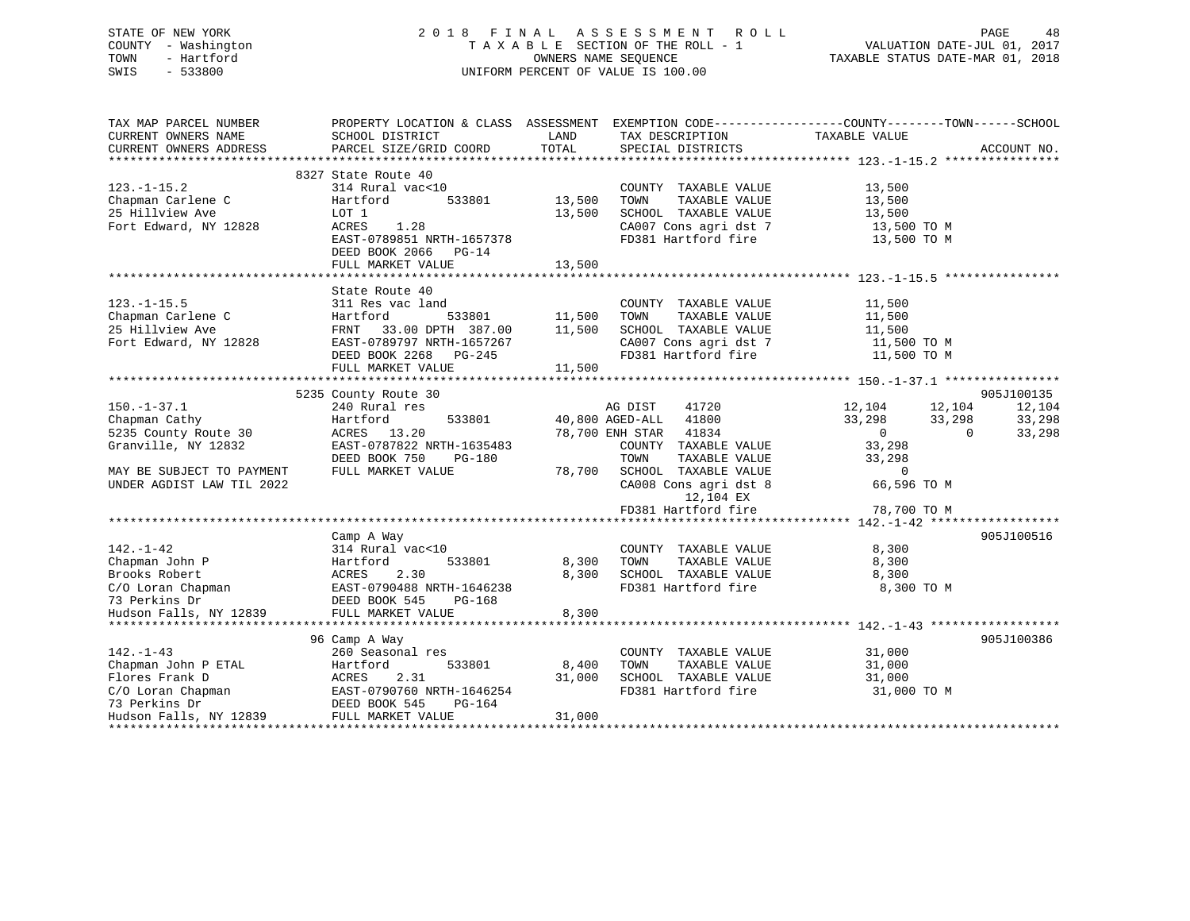### STATE OF NEW YORK 2 0 1 8 F I N A L A S S E S S M E N T R O L L PAGE 48 COUNTY - Washington T A X A B L E SECTION OF THE ROLL - 1 VALUATION DATE-JUL 01, 2017 TOWN - Hartford **TAXABLE STATUS DATE-MAR 01, 2018** OWNERS NAME SEQUENCE TAXABLE STATUS DATE-MAR 01, 2018 SWIS - 533800 UNIFORM PERCENT OF VALUE IS 100.00

| TAX MAP PARCEL NUMBER<br>CURRENT OWNERS NAME<br>CURRENT OWNERS ADDRESS                                                                                                     | PROPERTY LOCATION & CLASS ASSESSMENT EXEMPTION CODE---------------COUNTY-------TOWN-----SCHOOL<br>SCHOOL DISTRICT<br>PARCEL SIZE/GRID COORD                | LAND<br>TOTAL                      | TAX DESCRIPTION<br>SPECIAL DISTRICTS                                                                                                                                                                                                                                                            | TAXABLE VALUE                                                                                                                       | ACCOUNT NO.                              |
|----------------------------------------------------------------------------------------------------------------------------------------------------------------------------|------------------------------------------------------------------------------------------------------------------------------------------------------------|------------------------------------|-------------------------------------------------------------------------------------------------------------------------------------------------------------------------------------------------------------------------------------------------------------------------------------------------|-------------------------------------------------------------------------------------------------------------------------------------|------------------------------------------|
|                                                                                                                                                                            |                                                                                                                                                            |                                    |                                                                                                                                                                                                                                                                                                 |                                                                                                                                     |                                          |
| $123. - 1 - 15.2$<br>Chapman Carlene C<br>25 Hillview Ave<br>Fort Edward, NY 12828                                                                                         | 8327 State Route 40<br>314 Rural vac<10<br>533801<br>Hartford<br>LOT 1<br>ACRES<br>1.28<br>EAST-0789851 NRTH-1657378<br>DEED BOOK 2066 PG-14               | 13,500<br>13,500                   | COUNTY TAXABLE VALUE<br>TOWN<br>TAXABLE VALUE<br>SCHOOL TAXABLE VALUE<br>CA007 Cons agri dst 7<br>FD381 Hartford fire 13,500 TO M                                                                                                                                                               | 13,500<br>13,500<br>$\frac{13}{12}$ , 500<br>13,500 TO M                                                                            |                                          |
|                                                                                                                                                                            | FULL MARKET VALUE                                                                                                                                          | 13,500                             |                                                                                                                                                                                                                                                                                                 |                                                                                                                                     |                                          |
| $123. - 1 - 15.5$<br>Chapman Carlene C<br>25 Hillview Ave<br>Fort Edward, NY 12828                                                                                         | State Route 40<br>311 Res vac land<br>Hartford<br>FRNT 33.00 DPTH 387.00 11,500<br>EASI-U769797 NRTH-1657267<br>DEED BOOK 2268 PG-245<br>FULL MARKET VALUE | <sup>533801</sup> 11,500<br>11,500 | COUNTY TAXABLE VALUE<br>TOWN<br>TAXABLE VALUE<br>SCHOOL TAXABLE VALUE<br>$\begin{array}{lll} \texttt{CA007} \texttt{ Cons} \texttt{agri} \texttt{dst} \texttt{7} & \texttt{11,500} \texttt{TO M} \\ \texttt{FD381} \texttt{Hartford} \texttt{fire} & \texttt{11,500} \texttt{TO M} \end{array}$ | 11,500<br>11,500<br>11,500<br>11,500 TO M                                                                                           |                                          |
|                                                                                                                                                                            |                                                                                                                                                            |                                    |                                                                                                                                                                                                                                                                                                 |                                                                                                                                     |                                          |
| $150. - 1 - 37.1$<br>Chapman Cathy<br>5235 County Route 30<br>Granville, NY 12832<br>MAY BE SUBJECT TO PAYMENT<br>UNDER AGDIST LAW TIL 2022                                | 5235 County Route 30<br>240 Rural res<br>Hartford<br>ACRES 13.20<br>EAST-0787822 NRTH-1635483<br>DEED BOOK 750<br>PG-180<br>FULL MARKET VALUE              | 533801 40,800 AGED-ALL<br>78,700   | AG DIST<br>41720<br>41800<br>78,700 ENH STAR 41834<br>COUNTY TAXABLE VALUE<br>TOWN<br>TAXABLE VALUE<br>SCHOOL TAXABLE VALUE<br>CA008 Cons agri dst 8<br>12,104 EX<br>FD381 Hartford fire                                                                                                        | 12,104 12,104<br>33,298<br>33,298<br>$\overline{0}$<br>$\overline{0}$<br>33,298<br>33,298<br>$\Omega$<br>66,596 TO M<br>78,700 TO M | 905J100135<br>12,104<br>33,298<br>33,298 |
|                                                                                                                                                                            |                                                                                                                                                            |                                    |                                                                                                                                                                                                                                                                                                 |                                                                                                                                     |                                          |
| $142. - 1 - 42$<br>Chapman John P<br>Brooks Robert (1997)<br>C/O Loran Chapman (1997)<br>T3 Perkins Dr (1990)<br>Hudson Falls, NY 12839 (1998)<br>FULL MARKET VALUE (1998) | Camp A Way<br>314 Rural vac<10<br>533801<br>Hartford                                                                                                       | 8,300<br>8,300                     | COUNTY TAXABLE VALUE<br>TAXABLE VALUE<br>TOWN<br>SCHOOL TAXABLE VALUE<br>FD381 Hartford fire                                                                                                                                                                                                    | 8,300<br>8,300<br>8,300<br>8,300 TO M                                                                                               | 905J100516                               |
|                                                                                                                                                                            |                                                                                                                                                            | 8,300                              |                                                                                                                                                                                                                                                                                                 |                                                                                                                                     |                                          |
| $142. - 1 - 43$<br>Chapman John P ETAL<br>Flores Frank D<br>C/O Loran Chapman<br>73 Perkins Dr<br>Hudson Falls, NY 12839                                                   | 96 Camp A Way<br>260 Seasonal res<br>533801<br>Hartford<br>ACRES<br>2.31<br>EAST-0790760 NRTH-1646254<br>DEED BOOK 545<br>PG-164<br>FULL MARKET VALUE      | 8,400<br>31,000<br>31,000          | COUNTY TAXABLE VALUE<br>TAXABLE VALUE<br>TOWN<br>SCHOOL TAXABLE VALUE<br>FD381 Hartford fire                                                                                                                                                                                                    | 31,000<br>31,000<br>31,000<br>31,000 TO M                                                                                           | 905J100386                               |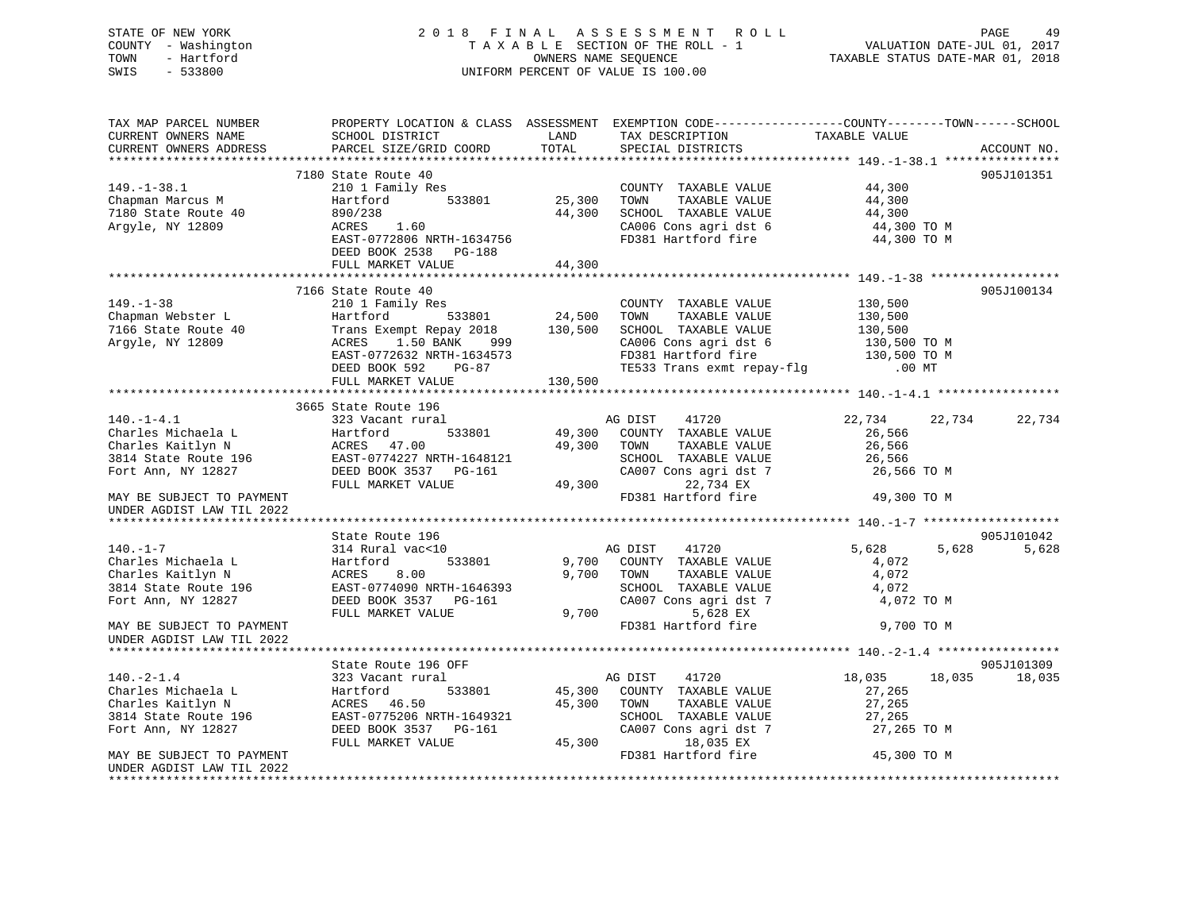### STATE OF NEW YORK 2 0 1 8 F I N A L A S S E S S M E N T R O L L PAGE 49 COUNTY - Washington T A X A B L E SECTION OF THE ROLL - 1 VALUATION DATE-JUL 01, 2017 TOWN - Hartford OWNERS NAME SEQUENCE TAXABLE STATUS DATE-MAR 01, 2018 SWIS - 533800 UNIFORM PERCENT OF VALUE IS 100.00

| TAX MAP PARCEL NUMBER<br>CURRENT OWNERS NAME<br>CURRENT OWNERS ADDRESS | PROPERTY LOCATION & CLASS ASSESSMENT<br>SCHOOL DISTRICT<br>PARCEL SIZE/GRID COORD | LAND<br>TOTAL | TAX DESCRIPTION<br>SPECIAL DISTRICTS              | EXEMPTION CODE-----------------COUNTY-------TOWN------SCHOOL<br>TAXABLE VALUE | ACCOUNT NO. |
|------------------------------------------------------------------------|-----------------------------------------------------------------------------------|---------------|---------------------------------------------------|-------------------------------------------------------------------------------|-------------|
|                                                                        |                                                                                   |               |                                                   |                                                                               |             |
|                                                                        | 7180 State Route 40                                                               |               |                                                   |                                                                               | 905J101351  |
| $149. - 1 - 38.1$                                                      | 210 1 Family Res                                                                  |               | COUNTY TAXABLE VALUE                              | 44,300                                                                        |             |
| Chapman Marcus M                                                       | 533801<br>Hartford                                                                | 25,300        | TOWN<br>TAXABLE VALUE                             | 44,300                                                                        |             |
| 7180 State Route 40                                                    | 890/238                                                                           | 44,300        | SCHOOL TAXABLE VALUE                              | 44,300                                                                        |             |
| Argyle, NY 12809                                                       | 1.60<br>ACRES                                                                     |               | CA006 Cons agri dst 6                             | 44,300 TO M                                                                   |             |
|                                                                        | EAST-0772806 NRTH-1634756                                                         |               | FD381 Hartford fire                               | 44,300 TO M                                                                   |             |
|                                                                        | DEED BOOK 2538 PG-188                                                             |               |                                                   |                                                                               |             |
|                                                                        | FULL MARKET VALUE                                                                 | 44,300        |                                                   |                                                                               |             |
|                                                                        |                                                                                   |               |                                                   |                                                                               |             |
|                                                                        | 7166 State Route 40                                                               |               |                                                   |                                                                               | 905J100134  |
| $149. - 1 - 38$                                                        | 210 1 Family Res                                                                  |               | COUNTY TAXABLE VALUE                              | 130,500                                                                       |             |
| Chapman Webster L                                                      | Hartford<br>533801                                                                | 24,500        | TOWN<br>TAXABLE VALUE                             | 130,500                                                                       |             |
| 7166 State Route 40                                                    | Trans Exempt Repay 2018                                                           | 130,500       | SCHOOL TAXABLE VALUE                              | 130,500                                                                       |             |
| Argyle, NY 12809                                                       | 1.50 BANK<br>999<br>ACRES                                                         |               | CA006 Cons agri dst 6                             | 130,500 TO M                                                                  |             |
|                                                                        | EAST-0772632 NRTH-1634573                                                         |               | FD381 Hartford fire                               | 130,500 TO M                                                                  |             |
|                                                                        | DEED BOOK 592<br>PG-87                                                            |               | rbsol Hartford Tire<br>TE533 Trans exmt repay-flg | $.00$ MT                                                                      |             |
|                                                                        | FULL MARKET VALUE                                                                 | 130,500       |                                                   |                                                                               |             |
|                                                                        |                                                                                   |               |                                                   |                                                                               |             |
|                                                                        | 3665 State Route 196                                                              |               |                                                   |                                                                               |             |
| $140. - 1 - 4.1$                                                       | 323 Vacant rural                                                                  |               | 41720<br>AG DIST                                  | 22,734<br>22,734                                                              | 22,734      |
| Charles Michaela L                                                     | 533801<br>Hartford                                                                | 49,300        | COUNTY TAXABLE VALUE                              | 26,566                                                                        |             |
| Charles Kaitlyn N                                                      | ACRES 47.00                                                                       | 49,300        | TOWN<br>TAXABLE VALUE                             | 26,566                                                                        |             |
| 3814 State Route 196                                                   | EAST-0774227 NRTH-1648121                                                         |               | SCHOOL TAXABLE VALUE                              | 26,566                                                                        |             |
| Fort Ann, NY 12827                                                     | DEED BOOK 3537 PG-161                                                             |               | CA007 Cons agri dst 7                             | 26,566 TO M                                                                   |             |
|                                                                        | FULL MARKET VALUE                                                                 | 49,300        | 22,734 EX                                         |                                                                               |             |
| MAY BE SUBJECT TO PAYMENT                                              |                                                                                   |               | FD381 Hartford fire                               | 49,300 TO M                                                                   |             |
| UNDER AGDIST LAW TIL 2022                                              |                                                                                   |               |                                                   |                                                                               |             |
|                                                                        |                                                                                   |               |                                                   |                                                                               |             |
|                                                                        | State Route 196                                                                   |               |                                                   |                                                                               | 905J101042  |
| $140. - 1 - 7$                                                         | 314 Rural vac<10                                                                  |               | AG DIST<br>41720                                  | 5,628<br>5,628                                                                | 5,628       |
| Charles Michaela L                                                     | 533801<br>Hartford                                                                | 9,700         | COUNTY TAXABLE VALUE                              | 4,072                                                                         |             |
| Charles Kaitlyn N                                                      | ACRES<br>8.00                                                                     | 9,700         | TOWN<br>TAXABLE VALUE                             | 4,072                                                                         |             |
| 3814 State Route 196                                                   | EAST-0774090 NRTH-1646393                                                         |               | SCHOOL TAXABLE VALUE                              | 4,072                                                                         |             |
| Fort Ann, NY 12827                                                     | DEED BOOK 3537 PG-161                                                             |               | CA007 Cons agri dst 7                             | 4,072 TO M                                                                    |             |
|                                                                        | FULL MARKET VALUE                                                                 | 9,700         | 5,628 EX                                          |                                                                               |             |
| MAY BE SUBJECT TO PAYMENT<br>UNDER AGDIST LAW TIL 2022                 |                                                                                   |               | FD381 Hartford fire                               | 9,700 TO M                                                                    |             |
|                                                                        |                                                                                   |               |                                                   |                                                                               |             |
|                                                                        | State Route 196 OFF                                                               |               |                                                   |                                                                               | 905J101309  |
| $140. -2 - 1.4$                                                        | 323 Vacant rural                                                                  |               | AG DIST<br>41720                                  | 18,035<br>18,035                                                              | 18,035      |
| Charles Michaela L                                                     | 533801<br>Hartford                                                                | 45,300        | COUNTY TAXABLE VALUE                              | 27,265                                                                        |             |
| Charles Kaitlyn N                                                      | ACRES 46.50                                                                       | 45,300        | TOWN<br>TAXABLE VALUE                             | 27,265                                                                        |             |
| 3814 State Route 196                                                   | EAST-0775206 NRTH-1649321                                                         |               | SCHOOL TAXABLE VALUE                              | 27,265                                                                        |             |
| Fort Ann, NY 12827                                                     | DEED BOOK 3537 PG-161                                                             |               | CA007 Cons agri dst 7                             | 27,265 TO M                                                                   |             |
|                                                                        | FULL MARKET VALUE                                                                 | 45,300        | 18,035 EX                                         |                                                                               |             |
| MAY BE SUBJECT TO PAYMENT                                              |                                                                                   |               | FD381 Hartford fire                               | 45,300 TO M                                                                   |             |
| UNDER AGDIST LAW TIL 2022                                              |                                                                                   |               |                                                   |                                                                               |             |
|                                                                        |                                                                                   |               |                                                   |                                                                               |             |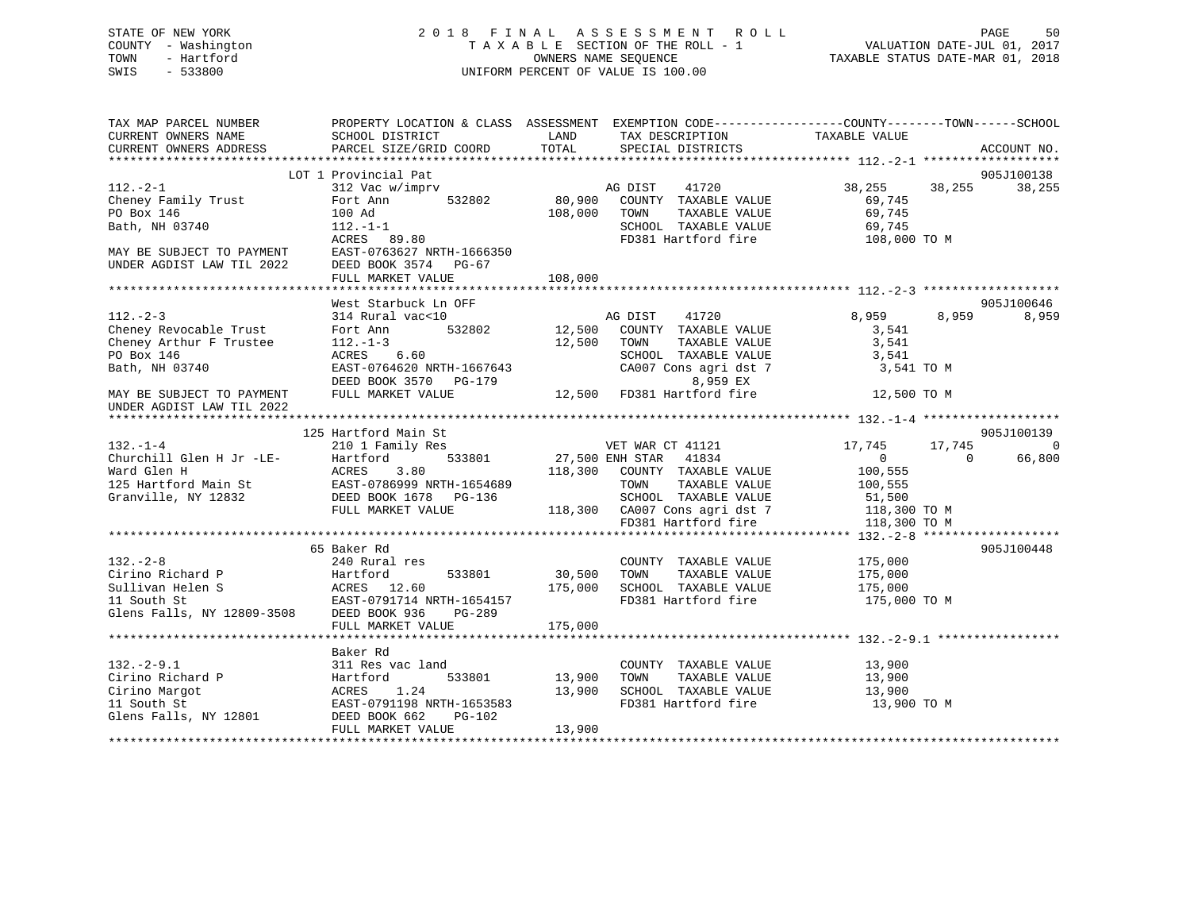### STATE OF NEW YORK 2 0 1 8 F I N A L A S S E S S M E N T R O L L PAGE 50 COUNTY - Washington T A X A B L E SECTION OF THE ROLL - 1 VALUATION DATE-JUL 01, 2017 TOWN - Hartford **TAXABLE STATUS DATE-MAR 01, 2018** OWNERS NAME SEQUENCE TAXABLE STATUS DATE-MAR 01, 2018 SWIS - 533800 UNIFORM PERCENT OF VALUE IS 100.00

| TAX MAP PARCEL NUMBER<br>CURRENT OWNERS NAME<br>CURRENT OWNERS ADDRESS                                                                                                                                                                                                   | PROPERTY LOCATION & CLASS ASSESSMENT EXEMPTION CODE---------------COUNTY-------TOWN------SCHOOL<br>SCHOOL DISTRICT<br><b>EXAMPLE SERVICE SERVICE SERVICE SERVICE SERVICE SERVICE SERVICE SERVICE SERVICE SERVICE SERVICE SERVICE SERVICE</b><br>PARCEL SIZE/GRID COORD | TOTAL        | IAX DESCRIPTION TAXABLE VALUE SPECIAL DISTRICTS                                                     |                                     | ACCOUNT NO.          |
|--------------------------------------------------------------------------------------------------------------------------------------------------------------------------------------------------------------------------------------------------------------------------|------------------------------------------------------------------------------------------------------------------------------------------------------------------------------------------------------------------------------------------------------------------------|--------------|-----------------------------------------------------------------------------------------------------|-------------------------------------|----------------------|
|                                                                                                                                                                                                                                                                          |                                                                                                                                                                                                                                                                        |              |                                                                                                     |                                     |                      |
| $112. -2 - 1$<br>Cheney Family Trust<br>PO Box 146<br>Bath, NH 03740                                                                                                                                                                                                     | LOT 1 Provincial Pat<br>312 Vac w/imprv AG DIST<br>Fort Ann                                                                                                                                                                                                            | 108,000 TOWN | 41720<br>532802 80,900 COUNTY TAXABLE VALUE<br>TAXABLE VALUE                                        | 38, 255 38, 255<br>69,745<br>69,745 | 905J100138<br>38,255 |
| MAY BE SUBJECT TO PAYMENT EAST-0763627 NRTH-1666350<br>UNDER AGDIST LAW TIL 2022 DEED BOOK 3574 PG-67                                                                                                                                                                    | 100 Ad<br>112.-1-1<br>ACRES 89.80<br>FULL MARKET VALUE                                                                                                                                                                                                                 | 108,000      | SCHOOL TAXABLE VALUE 69,745<br>FD381 Hartford fire 108,000 TO M                                     |                                     |                      |
|                                                                                                                                                                                                                                                                          |                                                                                                                                                                                                                                                                        |              |                                                                                                     |                                     |                      |
| $112. - 2 - 3$                                                                                                                                                                                                                                                           | West Starbuck Ln OFF<br>314 Rural vac<10                                                                                                                                                                                                                               |              | AG DIST 41720<br>12,500 COUNTY TAXABLE VALUE                                                        | 8,959<br>8,959                      | 905J100646<br>8,959  |
| The. 273<br>Cheney Revocable Trust<br>Cheney Arthur F Trustee $112.-1-3$<br>PO Box 146<br>Bath, NH 03740                                                                                                                                                                 | 532802<br>Fort Ann<br>$ACRES$ 6.60<br>EAST-0764620 NRTH-1667643                                                                                                                                                                                                        | 12,500 TOWN  | TAXABLE VALUE<br>SCHOOL TAXABLE VALUE<br>CA007 Cons agri dst 7 3,541 TO M                           | 3,541<br>3,541<br>3,541             |                      |
| MAY BE SUBJECT TO PAYMENT<br>UNDER AGDIST LAW TIL 2022                                                                                                                                                                                                                   | DEED BOOK 3570 PG-179<br>FULL MARKET VALUE                                                                                                                                                                                                                             |              | 8,959 EX<br>8,959 EX<br>12,500 FD381 Hartford fire 12,500 TO M                                      |                                     |                      |
|                                                                                                                                                                                                                                                                          |                                                                                                                                                                                                                                                                        |              |                                                                                                     |                                     |                      |
|                                                                                                                                                                                                                                                                          | 125 Hartford Main St<br>Hartford Main St<br>210 1 Family Res<br>Hartford 533801 27,500 ENH STAR 41834<br>118,300 COUNTY TAXABLE                                                                                                                                        |              |                                                                                                     |                                     | 905J100139           |
| $132. - 1 - 4$                                                                                                                                                                                                                                                           |                                                                                                                                                                                                                                                                        |              |                                                                                                     | 17,745<br>17,745                    | $\overline{0}$       |
| Churchill Glen H Jr -LE-<br>Ward Glen H ACRES 3.80 118<br>125 Hartford Main St EAST-0786999 NRTH-1654689<br>Granville, NY 12832 DEED BOOK 1678 PG-136<br>FULL MARKET VALUE 118                                                                                           |                                                                                                                                                                                                                                                                        |              |                                                                                                     | $\sim$ 0<br>$\overline{0}$          | 66,800               |
|                                                                                                                                                                                                                                                                          |                                                                                                                                                                                                                                                                        |              | COUNTY TAXABLE VALUE                                                                                | 100,555                             |                      |
|                                                                                                                                                                                                                                                                          | EAST-0786999 NRTH-1654689 TOWN TAXABLE VALUE 100,555<br>DEED BOOK 1678 PG-136 SCHOOL TAXABLE VALUE 51,500<br>FULL MARKET VALUE 118,300 CA007 Cons agri dst 7 118,300 TO M<br>FD381 Hartford fire 118,300 TO M                                                          |              |                                                                                                     |                                     |                      |
|                                                                                                                                                                                                                                                                          |                                                                                                                                                                                                                                                                        |              |                                                                                                     |                                     |                      |
|                                                                                                                                                                                                                                                                          |                                                                                                                                                                                                                                                                        |              |                                                                                                     |                                     |                      |
|                                                                                                                                                                                                                                                                          |                                                                                                                                                                                                                                                                        |              |                                                                                                     |                                     |                      |
|                                                                                                                                                                                                                                                                          | 65 Baker Rd                                                                                                                                                                                                                                                            |              |                                                                                                     |                                     | 905J100448           |
| $132 - 2 - 8$                                                                                                                                                                                                                                                            | 240 Rural res                                                                                                                                                                                                                                                          | 30,500 TOWN  | COUNTY TAXABLE VALUE 175,000<br>TAXABLE VALUE                                                       | 175,000                             |                      |
| 132.-2-8<br>Cirino Richard P<br>Sullivan Helen S<br>Sullivan Helen S<br>175,000<br>175,000<br>175,000<br>175,000<br>175,000<br>175,000<br>175,000<br>175,000<br>175,000<br>175,000<br>175,000<br>175,000<br>175,000<br>175,000<br>175,000<br>175,000<br>175,000<br>175,0 |                                                                                                                                                                                                                                                                        |              | 175,000 SCHOOL TAXABLE VALUE 175,000<br>FD381 Hartford fire                                         | 175,000 TO M                        |                      |
|                                                                                                                                                                                                                                                                          |                                                                                                                                                                                                                                                                        |              |                                                                                                     |                                     |                      |
|                                                                                                                                                                                                                                                                          | Baker Rd                                                                                                                                                                                                                                                               |              |                                                                                                     |                                     |                      |
| 132.-2-9.1 311 Res vac la<br>Cirino Richard P Hartford<br>Cirino Margot ACRES 1.24<br>11 South St EAST-0791198 N<br>Glens Falls, NY 12801 DEED BOOK 662                                                                                                                  | 311 Res vac land<br>Hartford 533801 13,900<br>ACRES 1.24 13,900<br>EAST-0791198 NRTH-1653583<br>PG-102                                                                                                                                                                 |              | COUNTY TAXABLE VALUE<br>TAXABLE VALUE<br>TOWN<br>SCHOOL TAXABLE VALUE 13,900<br>FD381 Hartford fire | 13,900<br>13,900<br>13,900 TO M     |                      |
|                                                                                                                                                                                                                                                                          | FULL MARKET VALUE                                                                                                                                                                                                                                                      | 13,900       |                                                                                                     |                                     |                      |
|                                                                                                                                                                                                                                                                          |                                                                                                                                                                                                                                                                        |              |                                                                                                     |                                     |                      |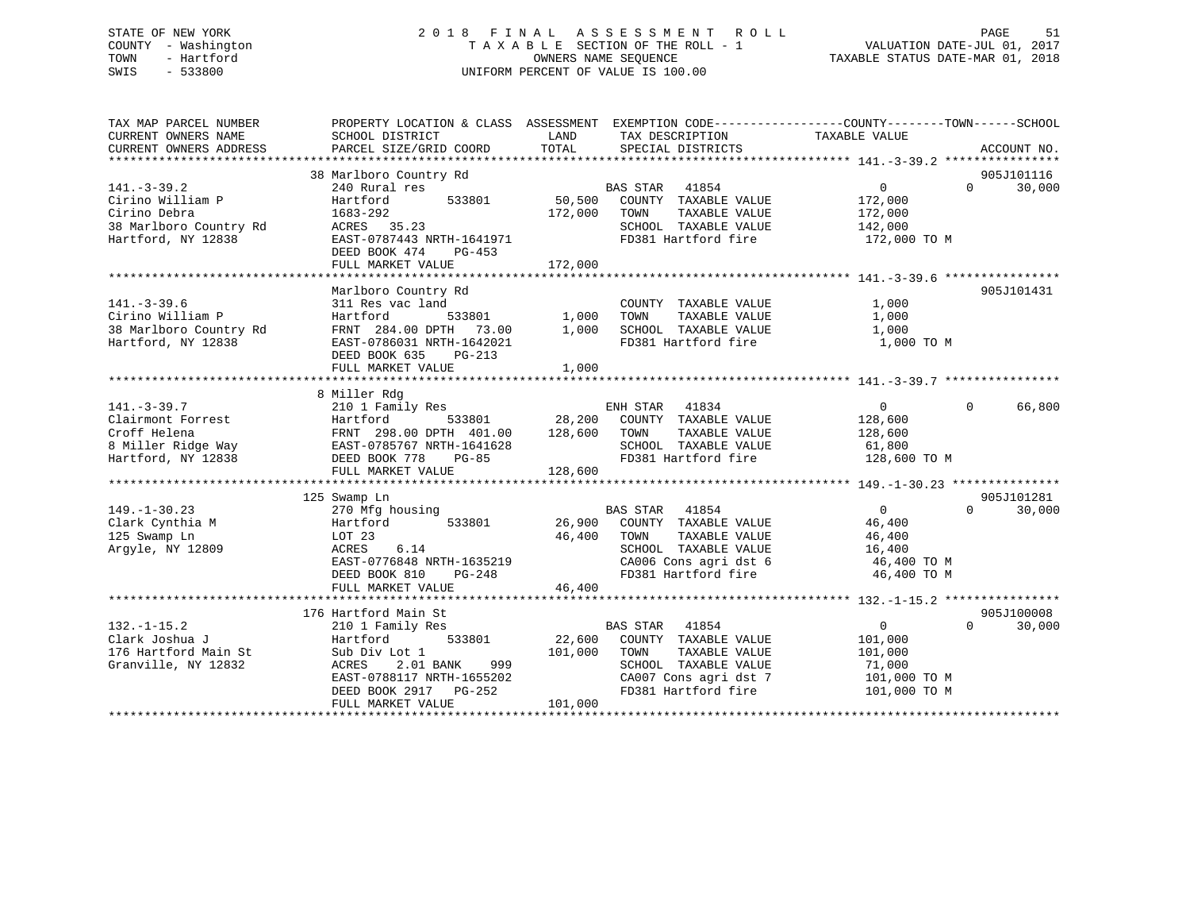### STATE OF NEW YORK 2 0 1 8 F I N A L A S S E S S M E N T R O L L PAGE 51 COUNTY - Washington T A X A B L E SECTION OF THE ROLL - 1 VALUATION DATE-JUL 01, 2017 TOWN - Hartford **TAXABLE STATUS DATE-MAR 01, 2018** OWNERS NAME SEQUENCE TAXABLE STATUS DATE-MAR 01, 2018 SWIS - 533800 UNIFORM PERCENT OF VALUE IS 100.00

| TAX MAP PARCEL NUMBER<br>CURRENT OWNERS NAME | PROPERTY LOCATION & CLASS ASSESSMENT EXEMPTION CODE---------------COUNTY-------TOWN------SCHOOL<br>SCHOOL DISTRICT | LAND              | TAX DESCRIPTION                               | TAXABLE VALUE                |             |
|----------------------------------------------|--------------------------------------------------------------------------------------------------------------------|-------------------|-----------------------------------------------|------------------------------|-------------|
| CURRENT OWNERS ADDRESS                       | PARCEL SIZE/GRID COORD                                                                                             | TOTAL             | SPECIAL DISTRICTS                             |                              | ACCOUNT NO. |
|                                              | 38 Marlboro Country Rd                                                                                             |                   |                                               |                              | 905J101116  |
| $141. - 3 - 39.2$                            | 240 Rural res                                                                                                      |                   | <b>BAS STAR</b><br>41854                      | $\overline{0}$<br>$\Omega$   | 30,000      |
| Cirino William P<br>Cirino Debra             | 533801<br>Hartford<br>1683-292                                                                                     | 50,500<br>172,000 | COUNTY TAXABLE VALUE<br>TOWN<br>TAXABLE VALUE | 172,000<br>172,000           |             |
| 38 Marlboro Country Rd                       | ACRES 35.23                                                                                                        |                   | SCHOOL TAXABLE VALUE                          | 142,000                      |             |
| Hartford, NY 12838                           | EAST-0787443 NRTH-1641971<br>DEED BOOK 474<br>PG-453                                                               |                   | FD381 Hartford fire                           | 172,000 TO M                 |             |
|                                              |                                                                                                                    |                   |                                               |                              |             |
|                                              | Marlboro Country Rd                                                                                                |                   |                                               |                              | 905J101431  |
| $141. - 3 - 39.6$<br>Cirino William P        | 311 Res vac land<br>Hartford                                                                                       | $533801$ 1,000    | COUNTY TAXABLE VALUE<br>TOWN<br>TAXABLE VALUE | 1,000<br>1,000               |             |
| 38 Marlboro Country Rd<br>Hartford, NY 12838 | FRNT 284.00 DPTH 73.00<br>EAST-0786031 NRTH-1642021                                                                | 1,000             | SCHOOL TAXABLE VALUE<br>FD381 Hartford fire   | 1,000<br>1,000 TO M          |             |
|                                              | DEED BOOK 635<br>PG-213<br>FULL MARKET VALUE                                                                       | 1,000             |                                               |                              |             |
|                                              |                                                                                                                    |                   |                                               |                              |             |
|                                              | 8 Miller Rdg                                                                                                       |                   |                                               |                              |             |
| $141. - 3 - 39.7$                            | 210 1 Family Res                                                                                                   |                   | ENH STAR<br>41834                             | $\overline{0}$<br>$\Omega$   | 66,800      |
| Clairmont Forrest                            | Hartford<br>533801                                                                                                 |                   | 28,200 COUNTY TAXABLE VALUE                   | 128,600                      |             |
| Croff Helena                                 | FRNT 298.00 DPTH 401.00                                                                                            | 128,600           | TOWN<br>TAXABLE VALUE                         | 128,600                      |             |
| 8 Miller Ridge Way                           | EAST-0785767 NRTH-1641628                                                                                          |                   | SCHOOL TAXABLE VALUE                          | 61,800                       |             |
| Hartford, NY 12838                           | DEED BOOK 778<br><b>PG-85</b>                                                                                      |                   | FD381 Hartford fire                           | 128,600 TO M                 |             |
|                                              | FULL MARKET VALUE                                                                                                  | 128,600           |                                               |                              |             |
|                                              | 125 Swamp Ln                                                                                                       |                   |                                               |                              | 905J101281  |
| $149. - 1 - 30.23$                           | 270 Mfg housing                                                                                                    |                   | <b>BAS STAR</b> 41854                         | $\Omega$<br>$\Omega$         | 30,000      |
| Clark Cynthia M                              | 533801<br>Hartford                                                                                                 |                   | 26,900 COUNTY TAXABLE VALUE                   | 46,400                       |             |
| 125 Swamp Ln                                 | LOT 23                                                                                                             | 46,400 TOWN       | TAXABLE VALUE                                 | 46,400                       |             |
| Argyle, NY 12809                             | 6.14<br>ACRES                                                                                                      |                   | SCHOOL TAXABLE VALUE                          | 16,400                       |             |
|                                              | EAST-0776848 NRTH-1635219                                                                                          |                   | CA006 Cons agri dst 6                         | 46,400 TO M                  |             |
|                                              | DEED BOOK 810<br>$PG-248$                                                                                          |                   | FD381 Hartford fire                           | 46,400 TO M                  |             |
|                                              | FULL MARKET VALUE                                                                                                  | 46,400            |                                               |                              |             |
|                                              |                                                                                                                    |                   |                                               |                              |             |
|                                              | 176 Hartford Main St                                                                                               |                   |                                               |                              | 905J100008  |
| $132. - 1 - 15.2$                            | 210 1 Family Res                                                                                                   |                   | <b>BAS STAR</b><br>41854                      | $\mathbf 0$<br>$\Omega$      | 30,000      |
| Clark Joshua J                               | Hartford<br>533801                                                                                                 |                   | 22,600 COUNTY TAXABLE VALUE                   | 101,000                      |             |
| 176 Hartford Main St                         | Sub Div Lot 1                                                                                                      | 101,000           | TAXABLE VALUE<br>TOWN                         | 101,000                      |             |
| Granville, NY 12832                          | ACRES<br>2.01 BANK<br>999                                                                                          |                   | SCHOOL TAXABLE VALUE                          | 71,000                       |             |
|                                              | EAST-0788117 NRTH-1655202<br>DEED BOOK 2917 PG-252                                                                 |                   | CA007 Cons agri dst 7<br>FD381 Hartford fire  | 101,000 TO M<br>101,000 TO M |             |
|                                              | FULL MARKET VALUE                                                                                                  | 101,000           |                                               |                              |             |
|                                              |                                                                                                                    |                   |                                               |                              |             |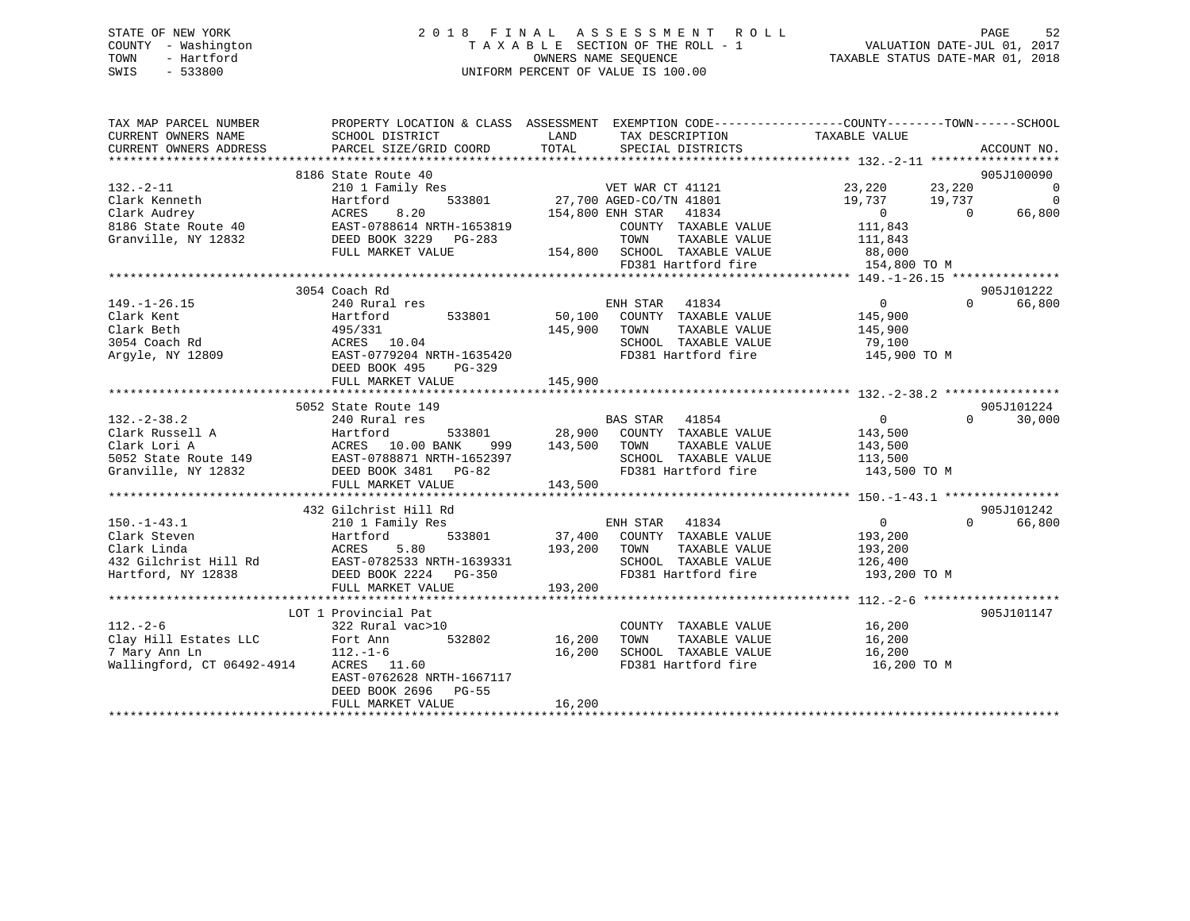### STATE OF NEW YORK 2 0 1 8 F I N A L A S S E S S M E N T R O L L PAGE 52 COUNTY - Washington T A X A B L E SECTION OF THE ROLL - 1 VALUATION DATE-JUL 01, 2017 TOWN - Hartford OWNERS NAME SEQUENCE TAXABLE STATUS DATE-MAR 01, 2018 SWIS - 533800 UNIFORM PERCENT OF VALUE IS 100.00

| TAX MAP PARCEL NUMBER<br>CURRENT OWNERS NAME<br>CURRENT OWNERS ADDRESS                                                 | PROPERTY LOCATION & CLASS ASSESSMENT EXEMPTION CODE----------------COUNTY-------TOWN------SCHOOL<br>SCHOOL DISTRICT<br>PARCEL SIZE/GRID COORD | LAND<br>TOTAL | TAX DESCRIPTION TAXABLE VALUE<br>SPECIAL DISTRICTS                                      |                   | ACCOUNT NO.                      |
|------------------------------------------------------------------------------------------------------------------------|-----------------------------------------------------------------------------------------------------------------------------------------------|---------------|-----------------------------------------------------------------------------------------|-------------------|----------------------------------|
|                                                                                                                        |                                                                                                                                               |               |                                                                                         |                   |                                  |
|                                                                                                                        | 8186 State Route 40                                                                                                                           |               |                                                                                         |                   | 905J100090                       |
|                                                                                                                        |                                                                                                                                               |               | S<br>533801 77,700 AGED-CO/TN 41801<br>154,800 ENH STAR 41834<br>154,800 ENH STAR 41834 | 23,220<br>23,220  | $\Omega$                         |
|                                                                                                                        |                                                                                                                                               |               |                                                                                         | 19,737<br>19,737  | $\Omega$                         |
|                                                                                                                        |                                                                                                                                               |               | 41834                                                                                   | $\overline{0}$    | $\Omega$<br>66,800               |
|                                                                                                                        |                                                                                                                                               |               | COUNTY TAXABLE VALUE                                                                    | 111,843           |                                  |
|                                                                                                                        |                                                                                                                                               |               | TOWN<br>TAXABLE VALUE                                                                   | 111,843           |                                  |
|                                                                                                                        |                                                                                                                                               |               | 154,800 SCHOOL TAXABLE VALUE                                                            |                   |                                  |
|                                                                                                                        |                                                                                                                                               |               | SURVUL TAXABLE VALUE 88,000<br>FD381 Hartford fire 154 000                              | 154,800 TO M      |                                  |
|                                                                                                                        |                                                                                                                                               |               |                                                                                         |                   |                                  |
|                                                                                                                        | 3054 Coach Rd                                                                                                                                 |               |                                                                                         |                   | 905J101222                       |
| $149. - 1 - 26.15$                                                                                                     | 240 Rural res                                                                                                                                 |               | ENH STAR<br>41834                                                                       | 0                 | $0 \qquad \qquad$<br>66,800      |
| Clark Kent                                                                                                             | Hartford<br>533801                                                                                                                            |               | 50,100 COUNTY TAXABLE VALUE                                                             | 145,900           |                                  |
| Clark Beth                                                                                                             | Hartford<br>495/331                                                                                                                           | 145,900       | TOWN<br>TAXABLE VALUE                                                                   | 145,900           |                                  |
|                                                                                                                        |                                                                                                                                               |               | SCHOOL TAXABLE VALUE 79,100                                                             |                   |                                  |
|                                                                                                                        |                                                                                                                                               |               | FD381 Hartford fire                                                                     | 145,900 TO M      |                                  |
|                                                                                                                        | DEED BOOK 495<br>PG-329                                                                                                                       |               |                                                                                         |                   |                                  |
|                                                                                                                        | FULL MARKET VALUE                                                                                                                             | 145,900       |                                                                                         |                   |                                  |
|                                                                                                                        |                                                                                                                                               |               |                                                                                         |                   |                                  |
|                                                                                                                        | 5052 State Route 149                                                                                                                          |               |                                                                                         |                   | 905J101224                       |
| $132 - 2 - 38.2$                                                                                                       | 240 Rural res                                                                                                                                 |               | BAS STAR 41854                                                                          | $\overline{0}$    | $\Omega$<br>30,000               |
| Clark Russell A Fartford 533801<br>Clark Lori A ACRES 10.00 BANK 999<br>5052 State Route 149 EAST-0788871 NRTH-1652397 | 533801 28,900                                                                                                                                 |               | COUNTY TAXABLE VALUE                                                                    | 143,500           |                                  |
|                                                                                                                        |                                                                                                                                               | 999 143,500   | TAXABLE VALUE<br>TOWN                                                                   | 143,500           |                                  |
|                                                                                                                        |                                                                                                                                               |               | SCHOOL TAXABLE VALUE                                                                    | 113,500           |                                  |
| Granville, NY 12832 DEED BOOK 3481 PG-82                                                                               |                                                                                                                                               |               | FD381 Hartford fire                                                                     | 143,500 TO M      |                                  |
|                                                                                                                        | FULL MARKET VALUE                                                                                                                             | 143,500       |                                                                                         |                   |                                  |
|                                                                                                                        |                                                                                                                                               |               |                                                                                         |                   |                                  |
| $150. - 1 - 43.1$                                                                                                      | 432 Gilchrist Hill Rd                                                                                                                         |               | ENH STAR<br>41834                                                                       | $0 \qquad \qquad$ | 905J101242<br>$\Omega$<br>66,800 |
| Clark Steven                                                                                                           | 210 1 Family Res<br>533801<br>Hartford                                                                                                        |               | 37,400 COUNTY TAXABLE VALUE                                                             | 193,200           |                                  |
| Clark Linda                                                                                                            | ACRES<br>5.80                                                                                                                                 | 193,200       | TOWN<br>TAXABLE VALUE                                                                   | 193,200           |                                  |
|                                                                                                                        |                                                                                                                                               |               | SCHOOL TAXABLE VALUE                                                                    | 126,400           |                                  |
| 432 Gilchrist Hill Rd<br>Hartford, NY 12838 DEED BOOK 2224 PG-350                                                      |                                                                                                                                               |               | FD381 Hartford fire                                                                     | 193,200 TO M      |                                  |
|                                                                                                                        | FULL MARKET VALUE                                                                                                                             | 193,200       |                                                                                         |                   |                                  |
|                                                                                                                        |                                                                                                                                               |               |                                                                                         |                   |                                  |
|                                                                                                                        | LOT 1 Provincial Pat                                                                                                                          |               |                                                                                         |                   | 905J101147                       |
| $112. - 2 - 6$                                                                                                         | 322 Rural vac>10                                                                                                                              |               | COUNTY TAXABLE VALUE                                                                    |                   |                                  |
| Clay Hill Estates LLC                                                                                                  | Fort Ann<br>532802                                                                                                                            | 16,200        | TOWN<br>TAXABLE VALUE                                                                   | 16,200<br>16,200  |                                  |
| 7 Mary Ann Ln                                                                                                          | $112.-1-6$                                                                                                                                    | 16,200        | SCHOOL TAXABLE VALUE 16,200                                                             |                   |                                  |
| Wallingford, CT 06492-4914                                                                                             | ACRES 11.60                                                                                                                                   |               | FD381 Hartford fire                                                                     | 16,200 TO M       |                                  |
|                                                                                                                        | EAST-0762628 NRTH-1667117                                                                                                                     |               |                                                                                         |                   |                                  |
|                                                                                                                        | DEED BOOK 2696 PG-55                                                                                                                          |               |                                                                                         |                   |                                  |
|                                                                                                                        | FULL MARKET VALUE                                                                                                                             | 16,200        |                                                                                         |                   |                                  |
|                                                                                                                        |                                                                                                                                               |               |                                                                                         |                   |                                  |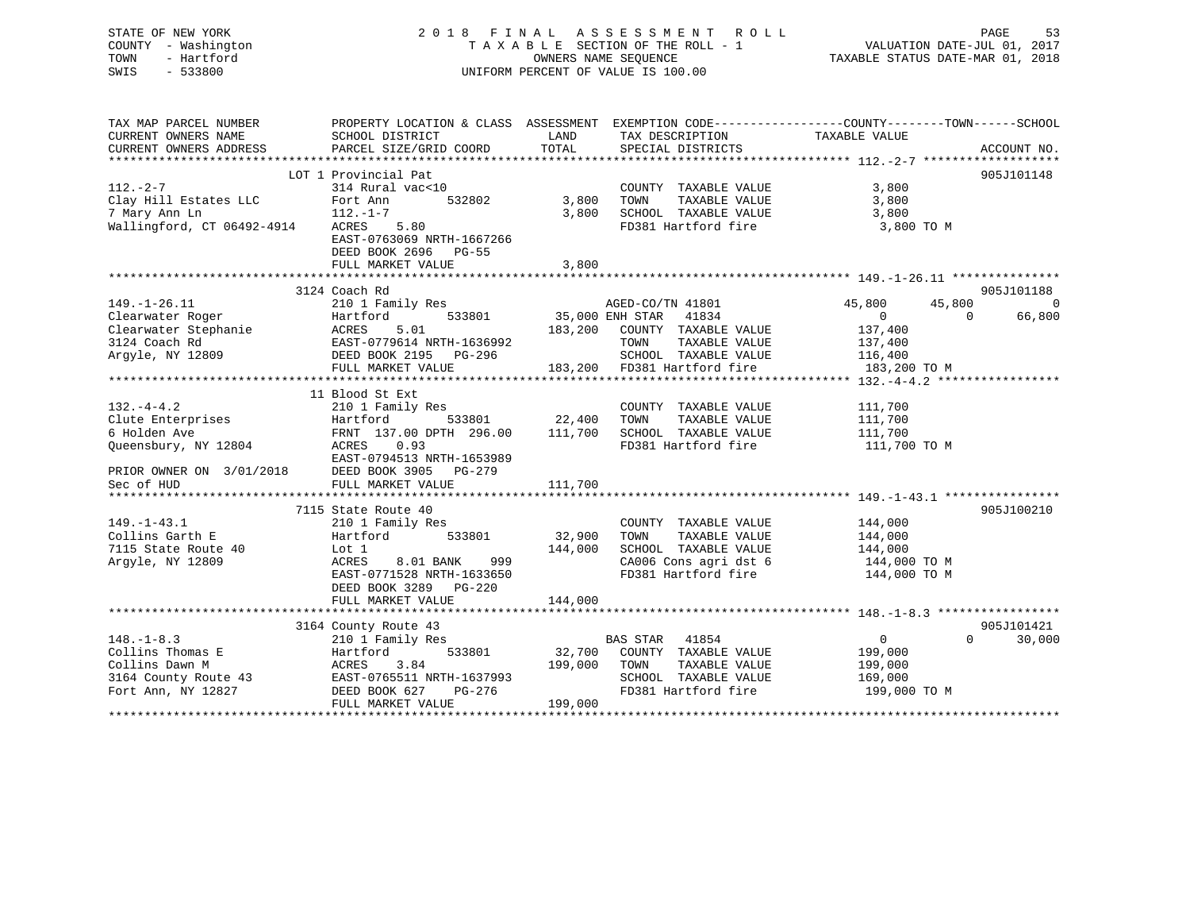| STATE OF NEW YORK                              |                                                                                                  |                    | 2018 FINAL ASSESSMENT ROLL                                                      |                                  | PAGE<br>53               |
|------------------------------------------------|--------------------------------------------------------------------------------------------------|--------------------|---------------------------------------------------------------------------------|----------------------------------|--------------------------|
| COUNTY - Washington                            |                                                                                                  |                    | TAXABLE SECTION OF THE ROLL - 1                                                 | VALUATION DATE-JUL 01, 2017      |                          |
| TOWN<br>- Hartford                             |                                                                                                  |                    | OWNERS NAME SEOUENCE                                                            | TAXABLE STATUS DATE-MAR 01, 2018 |                          |
| $-533800$<br>SWIS                              |                                                                                                  |                    | UNIFORM PERCENT OF VALUE IS 100.00                                              |                                  |                          |
|                                                |                                                                                                  |                    |                                                                                 |                                  |                          |
|                                                |                                                                                                  |                    |                                                                                 |                                  |                          |
|                                                |                                                                                                  |                    |                                                                                 |                                  |                          |
| TAX MAP PARCEL NUMBER                          | PROPERTY LOCATION & CLASS ASSESSMENT EXEMPTION CODE----------------COUNTY-------TOWN------SCHOOL |                    |                                                                                 |                                  |                          |
| CURRENT OWNERS NAME                            | SCHOOL DISTRICT                                                                                  | LAND               | TAX DESCRIPTION TAXABLE VALUE                                                   |                                  |                          |
| CURRENT OWNERS ADDRESS                         | PARCEL SIZE/GRID COORD                                                                           | TOTAL              | SPECIAL DISTRICTS                                                               |                                  | ACCOUNT NO.              |
|                                                |                                                                                                  |                    |                                                                                 |                                  |                          |
|                                                | LOT 1 Provincial Pat                                                                             |                    |                                                                                 |                                  | 905J101148               |
| $112. -2 - 7$                                  |                                                                                                  |                    |                                                                                 |                                  |                          |
|                                                | 314 Rural vac<10                                                                                 |                    | COUNTY TAXABLE VALUE                                                            | 3,800                            |                          |
| Clay Hill Estates LLC<br>es LLC                | 532802<br>Fort Ann                                                                               | 3,800              | TOWN<br>TAXABLE VALUE                                                           | 3,800                            |                          |
| 7 Mary Ann Ln                                  | $112. - 1 - 7$                                                                                   | 3,800              | SCHOOL TAXABLE VALUE                                                            | 3,800                            |                          |
| Wallingford, CT 06492-4914                     | 5.80<br>ACRES                                                                                    |                    | FD381 Hartford fire                                                             | 3,800 TO M                       |                          |
|                                                | EAST-0763069 NRTH-1667266                                                                        |                    |                                                                                 |                                  |                          |
|                                                | DEED BOOK 2696<br>PG-55                                                                          |                    |                                                                                 |                                  |                          |
|                                                | FULL MARKET VALUE                                                                                | 3,800              |                                                                                 |                                  |                          |
|                                                |                                                                                                  |                    |                                                                                 |                                  |                          |
|                                                | 3124 Coach Rd                                                                                    |                    |                                                                                 |                                  | 905J101188               |
| $149. - 1 - 26.11$                             | 210 1 Family Res                                                                                 |                    | AGED-CO/TN 41801                                                                | 45,800                           | 45,800<br>$\overline{0}$ |
| Clearwater Roger                               | Hartford                                                                                         |                    | 533801 35,000 ENH STAR 41834                                                    | $\overline{0}$                   | 66,800<br>$\Omega$       |
|                                                | 5.01<br>ACRES                                                                                    |                    | 183,200 COUNTY TAXABLE VALUE 137,400                                            |                                  |                          |
| Clearwater Stephanie<br>3124 Coach Rd          | EAST-0779614 NRTH-1636992                                                                        |                    | TOWN<br>TAXABLE VALUE                                                           | 137,400                          |                          |
| Argyle, NY 12809                               |                                                                                                  |                    | SCHOOL TAXABLE VALUE                                                            | 116,400                          |                          |
|                                                | FULL MARKET VALUE                                                                                |                    | 183,200 FD381 Hartford fire                                                     | 183,200 TO M                     |                          |
|                                                |                                                                                                  |                    |                                                                                 |                                  |                          |
|                                                | 11 Blood St Ext                                                                                  |                    |                                                                                 |                                  |                          |
| $132 - 4 - 4.2$                                |                                                                                                  |                    |                                                                                 |                                  |                          |
|                                                | 210 1 Family Res                                                                                 |                    | COUNTY TAXABLE VALUE                                                            | 111,700                          |                          |
| Clute Enterprises                              | Hartford                                                                                         | 533801 22,400 TOWN | TAXABLE VALUE                                                                   | 111,700                          |                          |
| 6 Holden Ave                                   | FRNT 137.00 DPTH 296.00 111,700                                                                  |                    | SCHOOL TAXABLE VALUE                                                            | 111,700                          |                          |
| Oueensbury, NY 12804                           | ACRES 0.93                                                                                       |                    | FD381 Hartford fire                                                             | 111,700 TO M                     |                          |
|                                                | EAST-0794513 NRTH-1653989                                                                        |                    |                                                                                 |                                  |                          |
| PRIOR OWNER ON 3/01/2018 DEED BOOK 3905 PG-279 |                                                                                                  |                    |                                                                                 |                                  |                          |
| Sec of HUD                                     | FULL MARKET VALUE                                                                                | 111,700            |                                                                                 |                                  |                          |
|                                                |                                                                                                  |                    |                                                                                 |                                  |                          |
|                                                | 7115 State Route 40                                                                              |                    |                                                                                 |                                  | 905J100210               |
| $149. - 1 - 43.1$                              | 210 1 Family Res                                                                                 |                    | COUNTY TAXABLE VALUE                                                            | 144,000                          |                          |
| Collins Garth E                                | Hartford<br>533801                                                                               | 32,900             | TOWN<br>TAXABLE VALUE                                                           | 144,000                          |                          |
| $7115.0 + 1.5.7 + 10.0$                        | the company of the company of the company of the company of the company of the company of        |                    | $1.4.000$ $0.01000$ $0.00000$ $0.00000$ $0.00000$ $0.00000$ $0.00000$ $0.00000$ | 111000                           |                          |

| 7115 State Route 40  | Lot 1                     | 144,000<br>SCHOOL TAXABLE VALUE   | 144,000      |
|----------------------|---------------------------|-----------------------------------|--------------|
| Argyle, NY 12809     | 999<br>ACRES<br>8.01 BANK | CA006 Cons agri dst 6             | 144,000 TO M |
|                      | EAST-0771528 NRTH-1633650 | FD381 Hartford fire               | 144,000 TO M |
|                      | DEED BOOK 3289 PG-220     |                                   |              |
|                      | FULL MARKET VALUE         | 144,000                           |              |
|                      |                           |                                   |              |
|                      | 3164 County Route 43      |                                   | 905J101421   |
| $148. - 1 - 8.3$     | 210 1 Family Res          | 41854<br>BAS STAR                 | 30,000       |
| Collins Thomas E     | 533801<br>Hartford        | 32,700<br>COUNTY<br>TAXABLE VALUE | 199,000      |
| Collins Dawn M       | 3.84<br>ACRES             | 199,000<br>TAXABLE VALUE<br>TOWN  | 199,000      |
| 3164 County Route 43 | EAST-0765511 NRTH-1637993 | TAXABLE VALUE<br>SCHOOL           | 169,000      |
| Fort Ann, NY 12827   | DEED BOOK 627<br>PG-276   | FD381 Hartford fire               | 199,000 TO M |
|                      | FULL MARKET VALUE         | 199,000                           |              |
|                      |                           |                                   |              |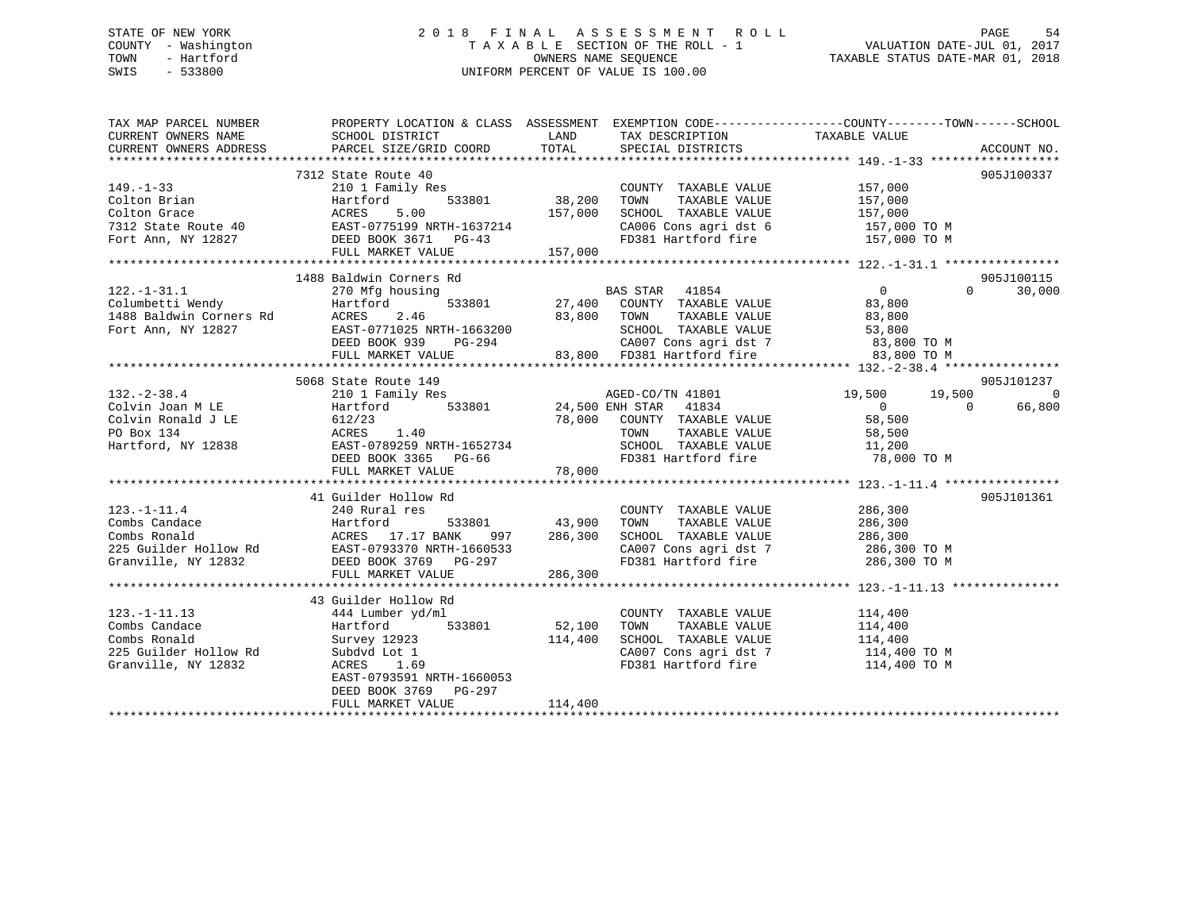### STATE OF NEW YORK 2 0 1 8 F I N A L A S S E S S M E N T R O L L PAGE 54 COUNTY - Washington T A X A B L E SECTION OF THE ROLL - 1 VALUATION DATE-JUL 01, 2017 TOWN - Hartford **TAXABLE STATUS DATE-MAR 01, 2018** OWNERS NAME SEQUENCE TAXABLE STATUS DATE-MAR 01, 2018 SWIS - 533800 UNIFORM PERCENT OF VALUE IS 100.00

| TAX MAP PARCEL NUMBER<br>CURRENT OWNERS NAME | SCHOOL DISTRICT                                                                                                                                                                                                                                    | LAND<br>TAX DESCRIPTION                                                     | PROPERTY LOCATION & CLASS ASSESSMENT EXEMPTION CODE---------------COUNTY-------TOWN-----SCHOOL<br>TAXABLE VALUE |
|----------------------------------------------|----------------------------------------------------------------------------------------------------------------------------------------------------------------------------------------------------------------------------------------------------|-----------------------------------------------------------------------------|-----------------------------------------------------------------------------------------------------------------|
| CURRENT OWNERS ADDRESS                       | PARCEL SIZE/GRID COORD                                                                                                                                                                                                                             | TOTAL<br>SPECIAL DISTRICTS                                                  | ACCOUNT NO.                                                                                                     |
|                                              |                                                                                                                                                                                                                                                    |                                                                             |                                                                                                                 |
|                                              | 7312 State Route 40                                                                                                                                                                                                                                |                                                                             | 905J100337                                                                                                      |
| $149. - 1 - 33$                              | 210 1 Family Res                                                                                                                                                                                                                                   | $33801$ $38,200$                                                            |                                                                                                                 |
|                                              | 533801                                                                                                                                                                                                                                             |                                                                             | COUNTY TAXABLE VALUE 157,000<br>TOWN TAXABLE VALUE 157,000                                                      |
|                                              |                                                                                                                                                                                                                                                    | 157,000<br>SCHOOL TAXABLE VALUE                                             |                                                                                                                 |
|                                              | Colton Brian Martford 533801 38<br>Colton Grace ACRES 5.00 157<br>7312 State Route 40 EAST-0775199 NRTH-1637214<br>Fort Ann, NY 12827 DEED BOOK 3671 PG-43                                                                                         |                                                                             | 157,000<br>157,000 TO M                                                                                         |
|                                              |                                                                                                                                                                                                                                                    | $2+4$                                                                       | CA006 Cons agri dst 6 157,000 TO M<br>FD381 Hartford fire 157,000 TO M                                          |
|                                              | FULL MARKET VALUE                                                                                                                                                                                                                                  | 157,000                                                                     |                                                                                                                 |
|                                              |                                                                                                                                                                                                                                                    |                                                                             |                                                                                                                 |
|                                              | 1488 Baldwin Corners Rd                                                                                                                                                                                                                            |                                                                             | 905J100115                                                                                                      |
| $122. - 1 - 31.1$                            | 270 Mfg housing                                                                                                                                                                                                                                    | BAS STAR 41854                                                              | $\overline{0}$<br>$\Omega$<br>30,000                                                                            |
|                                              |                                                                                                                                                                                                                                                    | 533801 27,400 COUNTY TAXABLE VALUE                                          |                                                                                                                 |
|                                              | Columbetti Wendy<br>1488 Baldwin Corners Rd<br>Fort Ann, NY 12827<br>Fort Ann, NY 12827<br>EAST-0771025 NRTH-1663200                                                                                                                               | TAXABLE VALUE<br>83,800 TOWN                                                | 83,800                                                                                                          |
|                                              |                                                                                                                                                                                                                                                    |                                                                             | 83,800                                                                                                          |
|                                              |                                                                                                                                                                                                                                                    | SCHOOL TAXABLE VALUE                                                        | 53,800                                                                                                          |
|                                              | DEED BOOK 939<br>PG-294                                                                                                                                                                                                                            | 83,800                                                                      | CA007 Cons agri dst 7 83,800 TO M<br>83,800 FD381 Hartford fire 83,800 TO M                                     |
|                                              | FULL MARKET VALUE                                                                                                                                                                                                                                  |                                                                             |                                                                                                                 |
|                                              | *****<br>32.-2-38.4<br>Olvin Joan M LE<br>Colvin Ronald J LE<br>PO Box 134<br>NY 12838<br>PO BOX 1365<br>PG-66<br>FULL MARKET VALUE<br>TULL MARKET VALUE<br>THE MARKET VALUE                                                                       |                                                                             |                                                                                                                 |
|                                              |                                                                                                                                                                                                                                                    |                                                                             | 905J101237                                                                                                      |
|                                              |                                                                                                                                                                                                                                                    | AGED-CO/TN 41801 19,500                                                     | 19,500<br>$\overline{0}$                                                                                        |
|                                              |                                                                                                                                                                                                                                                    | Hartford 533801 24,500 ENH STAR 41834<br>612/23 78,000 COUNTY TAXABLE VALUE | 66,800<br>$\begin{array}{c}\n 0 \\  58\n \end{array}$<br>$\Omega$                                               |
|                                              |                                                                                                                                                                                                                                                    |                                                                             |                                                                                                                 |
|                                              |                                                                                                                                                                                                                                                    | TOWN                                                                        | TAXABLE VALUE<br>58,500<br>11,200                                                                               |
|                                              |                                                                                                                                                                                                                                                    |                                                                             |                                                                                                                 |
|                                              |                                                                                                                                                                                                                                                    |                                                                             | SCHOOL TAXABLE VALUE 11,200<br>FD381 Hartford fire 78,000 TO M                                                  |
|                                              |                                                                                                                                                                                                                                                    | 78,000                                                                      |                                                                                                                 |
|                                              |                                                                                                                                                                                                                                                    |                                                                             |                                                                                                                 |
|                                              | 41 Guilder Hollow Rd                                                                                                                                                                                                                               |                                                                             | 905J101361                                                                                                      |
| $123. - 1 - 11.4$                            | 240 Rural res                                                                                                                                                                                                                                      |                                                                             | COUNTY TAXABLE VALUE 286,300                                                                                    |
|                                              |                                                                                                                                                                                                                                                    | TAXABLE VALUE<br>TOWN                                                       | 286,300                                                                                                         |
|                                              |                                                                                                                                                                                                                                                    | SCHOOL TAXABLE VALUE                                                        | 286,300                                                                                                         |
|                                              |                                                                                                                                                                                                                                                    |                                                                             | CA007 Cons agri dst 7 286,300 TO M                                                                              |
|                                              | 123.-1-11.4<br>Combs Conald<br>Combs Ronald<br>225 Guilder Hollow Rd<br>225 Guilder Hollow Rd<br>225 Guilder Hollow Rd<br>225 Guilder Hollow Rd<br>225 Guilder Hollow Rd<br>225 Guilder Hollow Rd<br>225 Guilder Hollow Rd<br>225 Guilder Hollow R |                                                                             | FD381 Hartford fire 286,300 TO M                                                                                |
|                                              | FULL MARKET VALUE                                                                                                                                                                                                                                  | 286,300                                                                     |                                                                                                                 |
|                                              |                                                                                                                                                                                                                                                    |                                                                             |                                                                                                                 |
|                                              | 43 Guilder Hollow Rd                                                                                                                                                                                                                               |                                                                             |                                                                                                                 |
| $123. - 1 - 11.13$                           | 444 Lumber yd/ml                                                                                                                                                                                                                                   | COUNTY TAXABLE VALUE                                                        | 114,400                                                                                                         |
| Combs Candace                                | Hartford<br>533801                                                                                                                                                                                                                                 | 52,100<br>TOWN<br>TAXABLE VALUE                                             |                                                                                                                 |
| Combs Ronald                                 | Survey 12923                                                                                                                                                                                                                                       | 114,400<br>SCHOOL TAXABLE VALUE                                             | 114,400<br>114,400                                                                                              |
| 225 Guilder Hollow Rd                        | Subdvd Lot 1                                                                                                                                                                                                                                       |                                                                             |                                                                                                                 |
|                                              |                                                                                                                                                                                                                                                    | FD381 Hartford fire                                                         | CA007 Cons agri dst 7 114,400 TO M                                                                              |
| Granville, NY 12832                          | ACRES 1.69                                                                                                                                                                                                                                         |                                                                             | 114,400 TO M                                                                                                    |
|                                              | EAST-0793591 NRTH-1660053                                                                                                                                                                                                                          |                                                                             |                                                                                                                 |
|                                              | DEED BOOK 3769 PG-297                                                                                                                                                                                                                              |                                                                             |                                                                                                                 |
|                                              | FULL MARKET VALUE                                                                                                                                                                                                                                  | 114,400                                                                     |                                                                                                                 |
|                                              |                                                                                                                                                                                                                                                    |                                                                             |                                                                                                                 |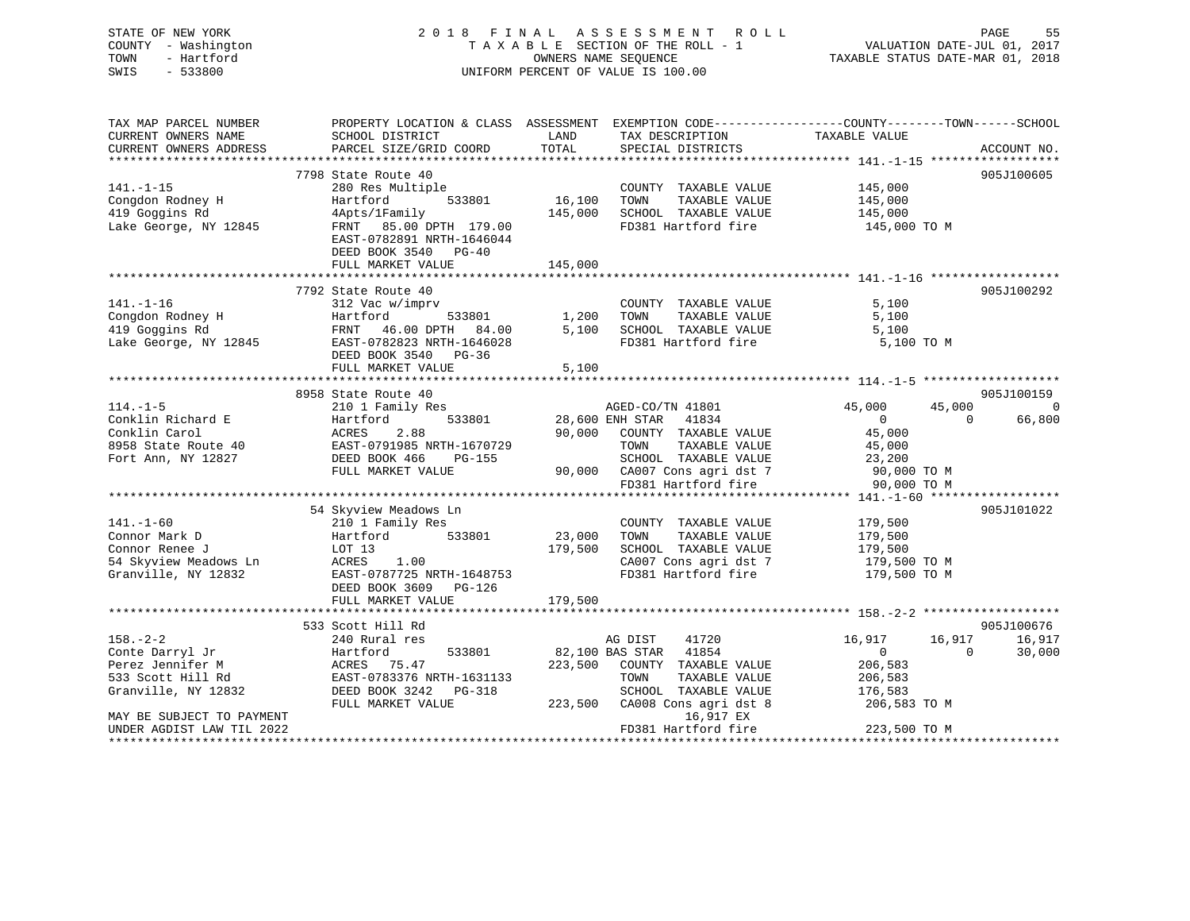| STATE OF NEW YORK<br>COUNTY - Washington<br>TOWN<br>- Hartford<br>SWIS<br>$-533800$                | 2018 FINAL                                                                                                                                                                         |                              | ASSESSMENT<br><b>ROLL</b><br>TAXABLE SECTION OF THE ROLL - 1<br>OWNERS NAME SEQUENCE<br>UNIFORM PERCENT OF VALUE IS 100.00                            | VALUATION DATE-JUL 01, 2017<br>TAXABLE STATUS DATE-MAR 01, 2018                        | PAGE<br>55                     |
|----------------------------------------------------------------------------------------------------|------------------------------------------------------------------------------------------------------------------------------------------------------------------------------------|------------------------------|-------------------------------------------------------------------------------------------------------------------------------------------------------|----------------------------------------------------------------------------------------|--------------------------------|
| TAX MAP PARCEL NUMBER<br>CURRENT OWNERS NAME<br>CURRENT OWNERS ADDRESS                             | PROPERTY LOCATION & CLASS ASSESSMENT EXEMPTION CODE---------------COUNTY-------TOWN------SCHOOL<br>SCHOOL DISTRICT<br>PARCEL SIZE/GRID COORD                                       | LAND<br>TOTAL                | TAX DESCRIPTION<br>SPECIAL DISTRICTS                                                                                                                  | TAXABLE VALUE                                                                          | ACCOUNT NO.                    |
| $141. - 1 - 15$<br>Congdon Rodney H<br>419 Goggins Rd<br>Lake George, NY 12845                     | 7798 State Route 40<br>280 Res Multiple<br>533801<br>Hartford<br>4Apts/1Family<br>FRNT 85.00 DPTH 179.00<br>EAST-0782891 NRTH-1646044<br>DEED BOOK 3540 PG-40<br>FULL MARKET VALUE | 16,100<br>145,000<br>145,000 | COUNTY TAXABLE VALUE<br>TOWN<br>TAXABLE VALUE<br>SCHOOL TAXABLE VALUE<br>FD381 Hartford fire                                                          | 145,000<br>145,000<br>145,000<br>145,000 TO M                                          | 905J100605                     |
| $141. - 1 - 16$<br>Congdon Rodney H<br>419 Goggins Rd<br>Lake George, NY 12845                     | 7792 State Route 40<br>312 Vac w/imprv<br>Hartford<br>533801<br>FRNT<br>46.00 DPTH 84.00<br>EAST-0782823 NRTH-1646028<br>DEED BOOK 3540 PG-36<br>FULL MARKET VALUE                 | 1,200<br>5,100<br>5,100      | COUNTY TAXABLE VALUE<br>TAXABLE VALUE<br>TOWN<br>SCHOOL TAXABLE VALUE<br>FD381 Hartford fire                                                          | 5,100<br>5,100<br>5,100<br>5,100 TO M                                                  | 905J100292                     |
|                                                                                                    |                                                                                                                                                                                    |                              |                                                                                                                                                       |                                                                                        |                                |
| $114. -1 - 5$                                                                                      | 8958 State Route 40<br>210 1 Family Res                                                                                                                                            |                              | AGED-CO/TN 41801                                                                                                                                      | 45,000<br>45,000                                                                       | 905J100159<br>$\bigcirc$       |
| Conklin Richard E<br>Conklin Carol<br>8958 State Route 40<br>Fort Ann, NY 12827                    | Hartford<br>533801<br>ACRES<br>2.88<br>EAST-0791985 NRTH-1670729<br>DEED BOOK 466<br><b>PG-155</b><br>FULL MARKET VALUE                                                            | 90,000                       | 28,600 ENH STAR 41834<br>COUNTY TAXABLE VALUE<br>TOWN<br>TAXABLE VALUE<br>SCHOOL TAXABLE VALUE<br>90,000 CA007 Cons agri dst 7<br>FD381 Hartford fire | $\overline{0}$<br>$\Omega$<br>45,000<br>45,000<br>23,200<br>90,000 TO M<br>90,000 TO M | 66,800                         |
|                                                                                                    |                                                                                                                                                                                    |                              |                                                                                                                                                       |                                                                                        |                                |
| $141. - 1 - 60$<br>Connor Mark D<br>Connor Renee J<br>54 Skyview Meadows Ln<br>Granville, NY 12832 | 54 Skyview Meadows Ln<br>210 1 Family Res<br>Hartford<br>533801<br>LOT 13<br>ACRES<br>1.00<br>EAST-0787725 NRTH-1648753<br>DEED BOOK 3609 PG-126                                   | 23,000<br>179,500            | COUNTY TAXABLE VALUE<br>TOWN<br>TAXABLE VALUE<br>SCHOOL TAXABLE VALUE<br>CA007 Cons agri dst 7<br>FD381 Hartford fire                                 | 179,500<br>179,500<br>179,500<br>179,500 TO M<br>179,500 TO M                          | 905J101022                     |
|                                                                                                    | FULL MARKET VALUE                                                                                                                                                                  | 179,500                      |                                                                                                                                                       |                                                                                        |                                |
| $158. - 2 - 2$<br>Conte Darryl Jr<br>Perez Jennifer M<br>533 Scott Hill Rd                         | 533 Scott Hill Rd<br>240 Rural res<br>Hartford<br>533801<br>ACRES<br>75.47<br>EAST-0783376 NRTH-1631133                                                                            | 82,100 BAS STAR<br>223,500   | AG DIST<br>41720<br>41854<br>COUNTY TAXABLE VALUE<br>TOWN<br>TAXABLE VALUE                                                                            | 16,917<br>16,917<br>$\mathbf{0}$<br>$\Omega$<br>206,583<br>206,583                     | 905J100676<br>16,917<br>30,000 |

| Granville, NY 12832       | DEED BOOK 3242 PG-318 | SCHOOL TAXABLE VALUE          | 176,583      |
|---------------------------|-----------------------|-------------------------------|--------------|
|                           | FULL MARKET VALUE     | 223,500 CA008 Cons agri dst 8 | 206,583 TO M |
| MAY BE SUBJECT TO PAYMENT |                       | 16,917 EX                     |              |
| UNDER AGDIST LAW TIL 2022 |                       | FD381 Hartford fire           | 223,500 TO M |
|                           |                       |                               |              |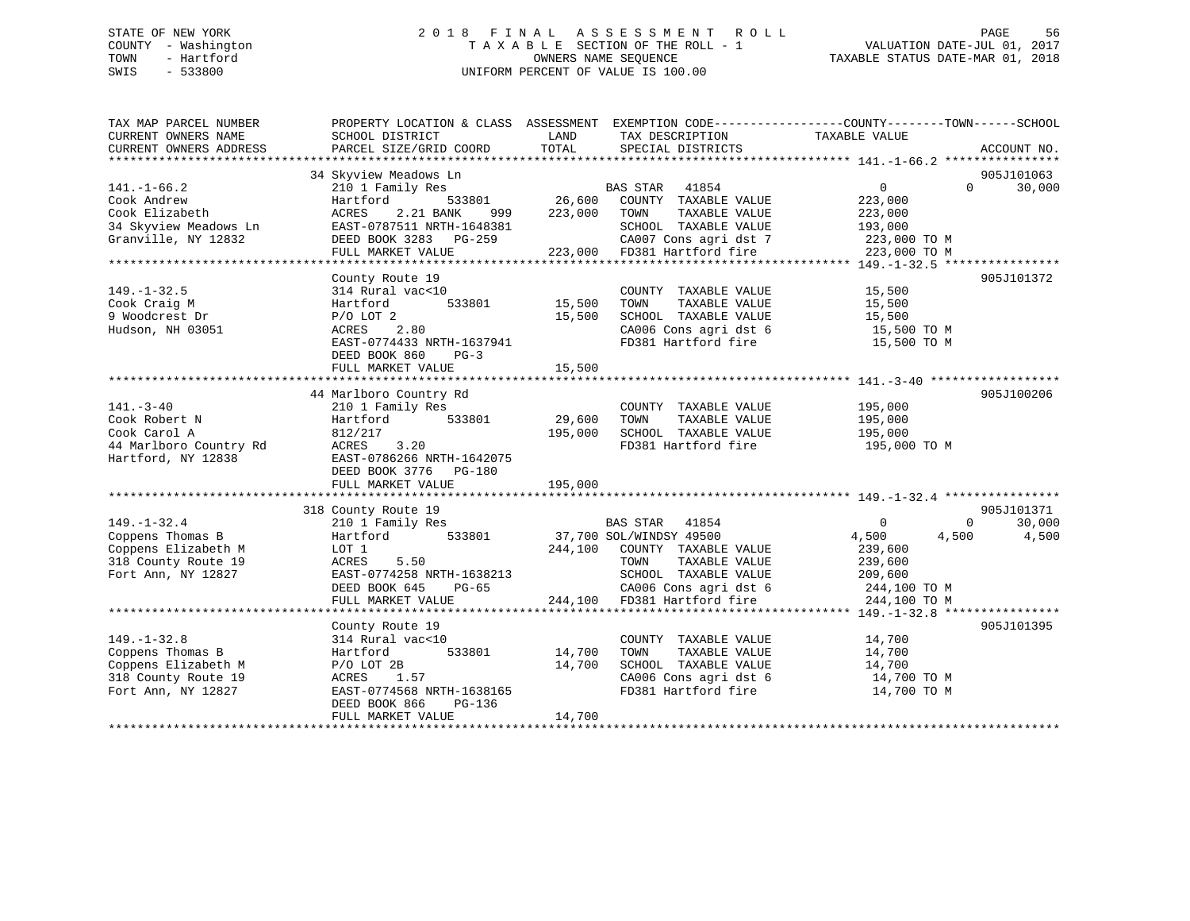### STATE OF NEW YORK 2 0 1 8 F I N A L A S S E S S M E N T R O L L PAGE 56 COUNTY - Washington T A X A B L E SECTION OF THE ROLL - 1 VALUATION DATE-JUL 01, 2017 TOWN - Hartford OWNERS NAME SEQUENCE TAXABLE STATUS DATE-MAR 01, 2018 SWIS - 533800 UNIFORM PERCENT OF VALUE IS 100.00

| TAX MAP PARCEL NUMBER  | PROPERTY LOCATION & CLASS ASSESSMENT |         |                             | EXEMPTION CODE-----------------COUNTY-------TOWN------SCHOOL |             |
|------------------------|--------------------------------------|---------|-----------------------------|--------------------------------------------------------------|-------------|
| CURRENT OWNERS NAME    | SCHOOL DISTRICT                      | LAND    | TAX DESCRIPTION             | TAXABLE VALUE                                                |             |
| CURRENT OWNERS ADDRESS | PARCEL SIZE/GRID COORD               | TOTAL   | SPECIAL DISTRICTS           |                                                              | ACCOUNT NO. |
|                        |                                      |         |                             |                                                              |             |
|                        | 34 Skyview Meadows Ln                |         |                             |                                                              | 905J101063  |
| $141. - 1 - 66.2$      | 210 1 Family Res                     |         | <b>BAS STAR</b><br>41854    | $\overline{0}$<br>$\Omega$                                   | 30,000      |
| Cook Andrew            | 533801<br>Hartford                   | 26,600  | COUNTY TAXABLE VALUE        | 223,000                                                      |             |
| Cook Elizabeth         | 2.21 BANK<br>ACRES<br>999            | 223,000 | TAXABLE VALUE<br>TOWN       | 223,000                                                      |             |
| 34 Skyview Meadows Ln  | EAST-0787511 NRTH-1648381            |         | SCHOOL TAXABLE VALUE        | 193,000                                                      |             |
| Granville, NY 12832    | DEED BOOK 3283 PG-259                |         | CA007 Cons agri dst 7       | 223,000 TO M                                                 |             |
|                        | FULL MARKET VALUE                    |         | 223,000 FD381 Hartford fire | 223,000 TO M                                                 |             |
|                        |                                      |         |                             |                                                              |             |
|                        | County Route 19                      |         |                             |                                                              | 905J101372  |
| $149. - 1 - 32.5$      | 314 Rural vac<10                     |         | COUNTY TAXABLE VALUE        | 15,500                                                       |             |
| Cook Craig M           | 533801<br>Hartford                   | 15,500  | TAXABLE VALUE<br>TOWN       | 15,500                                                       |             |
| 9 Woodcrest Dr         | $P/O$ LOT 2                          | 15,500  | SCHOOL TAXABLE VALUE        | 15,500                                                       |             |
| Hudson, NH 03051       | 2.80<br>ACRES                        |         | CA006 Cons agri dst 6       | 15,500 TO M                                                  |             |
|                        | EAST-0774433 NRTH-1637941            |         | FD381 Hartford fire         | 15,500 TO M                                                  |             |
|                        | DEED BOOK 860<br>$PG-3$              |         |                             |                                                              |             |
|                        | FULL MARKET VALUE                    | 15,500  |                             |                                                              |             |
|                        |                                      |         |                             |                                                              |             |
|                        |                                      |         |                             |                                                              |             |
|                        | 44 Marlboro Country Rd               |         |                             |                                                              | 905J100206  |
| $141. - 3 - 40$        | 210 1 Family Res                     |         | COUNTY TAXABLE VALUE        | 195,000                                                      |             |
| Cook Robert N          | 533801<br>Hartford                   | 29,600  | TOWN<br>TAXABLE VALUE       | 195,000                                                      |             |
| Cook Carol A           | 812/217                              | 195,000 | SCHOOL TAXABLE VALUE        | 195,000                                                      |             |
| 44 Marlboro Country Rd | ACRES<br>3.20                        |         | FD381 Hartford fire         | 195,000 TO M                                                 |             |
| Hartford, NY 12838     | EAST-0786266 NRTH-1642075            |         |                             |                                                              |             |
|                        | DEED BOOK 3776 PG-180                |         |                             |                                                              |             |
|                        | FULL MARKET VALUE                    | 195,000 |                             |                                                              |             |
|                        |                                      |         |                             |                                                              |             |
|                        | 318 County Route 19                  |         |                             |                                                              | 905J101371  |
| $149. - 1 - 32.4$      | 210 1 Family Res                     |         | BAS STAR<br>41854           | $\mathbf 0$<br>$\Omega$                                      | 30,000      |
| Coppens Thomas B       | 533801<br>Hartford                   |         | 37,700 SOL/WINDSY 49500     | 4,500<br>4,500                                               | 4,500       |
| Coppens Elizabeth M    | LOT 1                                | 244,100 | COUNTY TAXABLE VALUE        | 239,600                                                      |             |
| 318 County Route 19    | ACRES<br>5.50                        |         | TOWN<br>TAXABLE VALUE       | 239,600                                                      |             |
| Fort Ann, NY 12827     | EAST-0774258 NRTH-1638213            |         | SCHOOL TAXABLE VALUE        | 209,600                                                      |             |
|                        | DEED BOOK 645<br>PG-65               |         | CA006 Cons agri dst 6       | 244,100 TO M                                                 |             |
|                        | FULL MARKET VALUE                    |         | 244,100 FD381 Hartford fire | 244,100 TO M                                                 |             |
|                        |                                      |         |                             |                                                              |             |
|                        |                                      |         |                             |                                                              |             |
|                        | County Route 19                      |         |                             |                                                              | 905J101395  |
| $149. - 1 - 32.8$      | 314 Rural vac<10                     |         | COUNTY TAXABLE VALUE        | 14,700                                                       |             |
| Coppens Thomas B       | 533801<br>Hartford                   | 14,700  | TOWN<br>TAXABLE VALUE       | 14,700                                                       |             |
| Coppens Elizabeth M    | $P/O$ LOT 2B                         | 14,700  | SCHOOL TAXABLE VALUE        | 14,700                                                       |             |
| 318 County Route 19    | ACRES<br>1.57                        |         | CA006 Cons agri dst 6       | 14,700 TO M                                                  |             |
| Fort Ann, NY 12827     | EAST-0774568 NRTH-1638165            |         | FD381 Hartford fire         | 14,700 TO M                                                  |             |
|                        | DEED BOOK 866<br>PG-136              |         |                             |                                                              |             |
|                        | FULL MARKET VALUE                    | 14,700  |                             |                                                              |             |
|                        |                                      |         |                             |                                                              |             |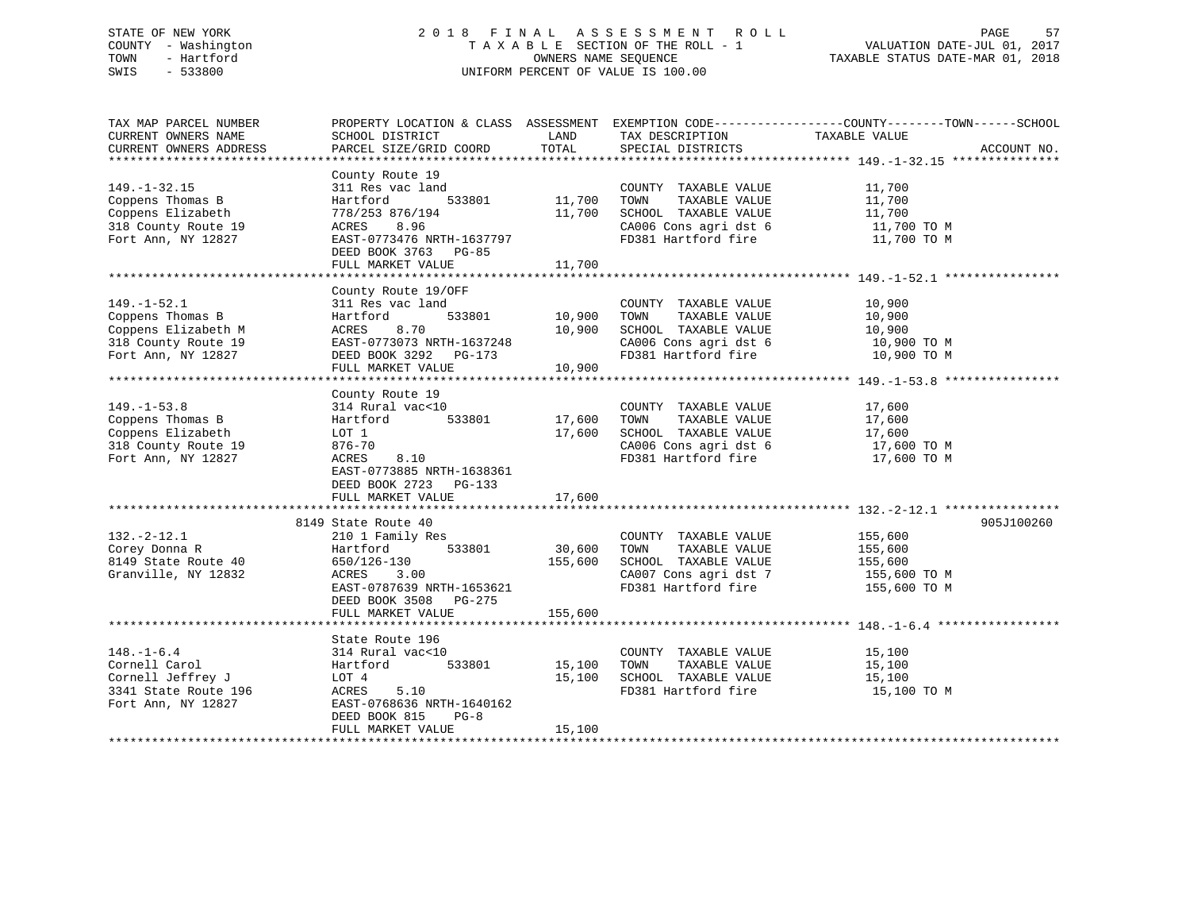### STATE OF NEW YORK 2 0 1 8 F I N A L A S S E S S M E N T R O L L PAGE 57 COUNTY - Washington T A X A B L E SECTION OF THE ROLL - 1 VALUATION DATE-JUL 01, 2017 TOWN - Hartford **TAXABLE STATUS DATE-MAR 01, 2018** OWNERS NAME SEQUENCE TAXABLE STATUS DATE-MAR 01, 2018 SWIS - 533800 UNIFORM PERCENT OF VALUE IS 100.00

| TAX MAP PARCEL NUMBER<br>CURRENT OWNERS NAME<br>CURRENT OWNERS ADDRESS                                    | SCHOOL DISTRICT<br>PARCEL SIZE/GRID COORD                                                                                                                               | LAND<br>TOTAL              | TAX DESCRIPTION<br>SPECIAL DISTRICTS                                                                                  | PROPERTY LOCATION & CLASS ASSESSMENT EXEMPTION CODE----------------COUNTY-------TOWN------SCHOOL<br>TAXABLE VALUE<br>ACCOUNT NO. |
|-----------------------------------------------------------------------------------------------------------|-------------------------------------------------------------------------------------------------------------------------------------------------------------------------|----------------------------|-----------------------------------------------------------------------------------------------------------------------|----------------------------------------------------------------------------------------------------------------------------------|
|                                                                                                           |                                                                                                                                                                         |                            |                                                                                                                       |                                                                                                                                  |
| $149. - 1 - 32.15$<br>Coppens Thomas B<br>Coppens Elizabeth<br>318 County Route 19<br>Fort Ann, NY 12827  | County Route 19<br>311 Res vac land<br>Hartford<br>533801<br>778/253 876/194<br>8.96<br>ACRES<br>EAST-0773476 NRTH-1637797<br>DEED BOOK 3763 PG-85<br>FULL MARKET VALUE | 11,700<br>11,700<br>11,700 | COUNTY TAXABLE VALUE<br>TOWN<br>TAXABLE VALUE<br>SCHOOL TAXABLE VALUE<br>CA006 Cons agri dst 6<br>FD381 Hartford fire | 11,700<br>11,700<br>11,700<br>11,700 TO M<br>11,700 TO M                                                                         |
|                                                                                                           |                                                                                                                                                                         |                            |                                                                                                                       |                                                                                                                                  |
| $149. - 1 - 52.1$<br>Coppens Thomas B<br>Coppens Elizabeth M<br>318 County Route 19<br>Fort Ann, NY 12827 | County Route 19/OFF<br>311 Res vac land<br>533801<br>Hartford<br>8.70<br>ACRES<br>EAST-0773073 NRTH-1637248<br>DEED BOOK 3292 PG-173<br>FULL MARKET VALUE               | 10,900<br>10,900<br>10,900 | COUNTY TAXABLE VALUE<br>TOWN TAXABLE VALUE<br>SCHOOL TAXABLE VALUE<br>CA006 Cons agri dst 6<br>FD381 Hartford fire    | 10,900<br>10,900<br>10,900<br>10,900 TO M<br>10,900 TO M                                                                         |
|                                                                                                           |                                                                                                                                                                         |                            |                                                                                                                       |                                                                                                                                  |
| $149. - 1 - 53.8$<br>Coppens Thomas B<br>Coppens Elizabeth<br>318 County Route 19<br>Fort Ann, NY 12827   | County Route 19<br>314 Rural vac<10<br>533801<br>Hartford<br>LOT 1<br>876-70<br>8.10<br>ACRES<br>EAST-0773885 NRTH-1638361<br>DEED BOOK 2723 PG-133                     | 17,600<br>17,600           | COUNTY TAXABLE VALUE<br>TAXABLE VALUE<br>TOWN<br>SCHOOL TAXABLE VALUE<br>CA006 Cons agri dst 6<br>FD381 Hartford fire | 17,600<br>17,600<br>17,600<br>17,600 TO M<br>17,600 TO M                                                                         |
|                                                                                                           | FULL MARKET VALUE                                                                                                                                                       | 17,600                     |                                                                                                                       |                                                                                                                                  |
| $132 - 2 - 12.1$<br>Corey Donna R<br>8149 State Route 40<br>Granville, NY 12832                           | 8149 State Route 40<br>210 1 Family Res<br>533801<br>Hartford<br>650/126-130<br>ACRES 3.00<br>EAST-0787639 NRTH-1653621<br>DEED BOOK 3508 PG-275                        | 30,600<br>155,600          | COUNTY TAXABLE VALUE<br>TOWN<br>TAXABLE VALUE<br>SCHOOL TAXABLE VALUE<br>CA007 Cons agri dst 7<br>FD381 Hartford fire | 905J100260<br>155,600<br>155,600<br>155,600<br>155,600 TO M<br>155,600 TO M                                                      |
|                                                                                                           | FULL MARKET VALUE                                                                                                                                                       | 155,600                    |                                                                                                                       |                                                                                                                                  |
|                                                                                                           |                                                                                                                                                                         |                            |                                                                                                                       |                                                                                                                                  |
| $148. - 1 - 6.4$<br>Cornell Carol<br>Cornell Jeffrey J<br>3341 State Route 196<br>Fort Ann, NY 12827      | State Route 196<br>314 Rural vac<10<br>533801<br>Hartford<br>LOT 4<br>5.10<br>ACRES<br>EAST-0768636 NRTH-1640162<br>DEED BOOK 815<br>$PG-8$                             | 15,100<br>15,100           | COUNTY TAXABLE VALUE<br>TOWN<br>TAXABLE VALUE<br>SCHOOL TAXABLE VALUE<br>FD381 Hartford fire                          | 15,100<br>15,100<br>15,100<br>15,100 TO M                                                                                        |
|                                                                                                           | FULL MARKET VALUE                                                                                                                                                       | 15,100                     |                                                                                                                       |                                                                                                                                  |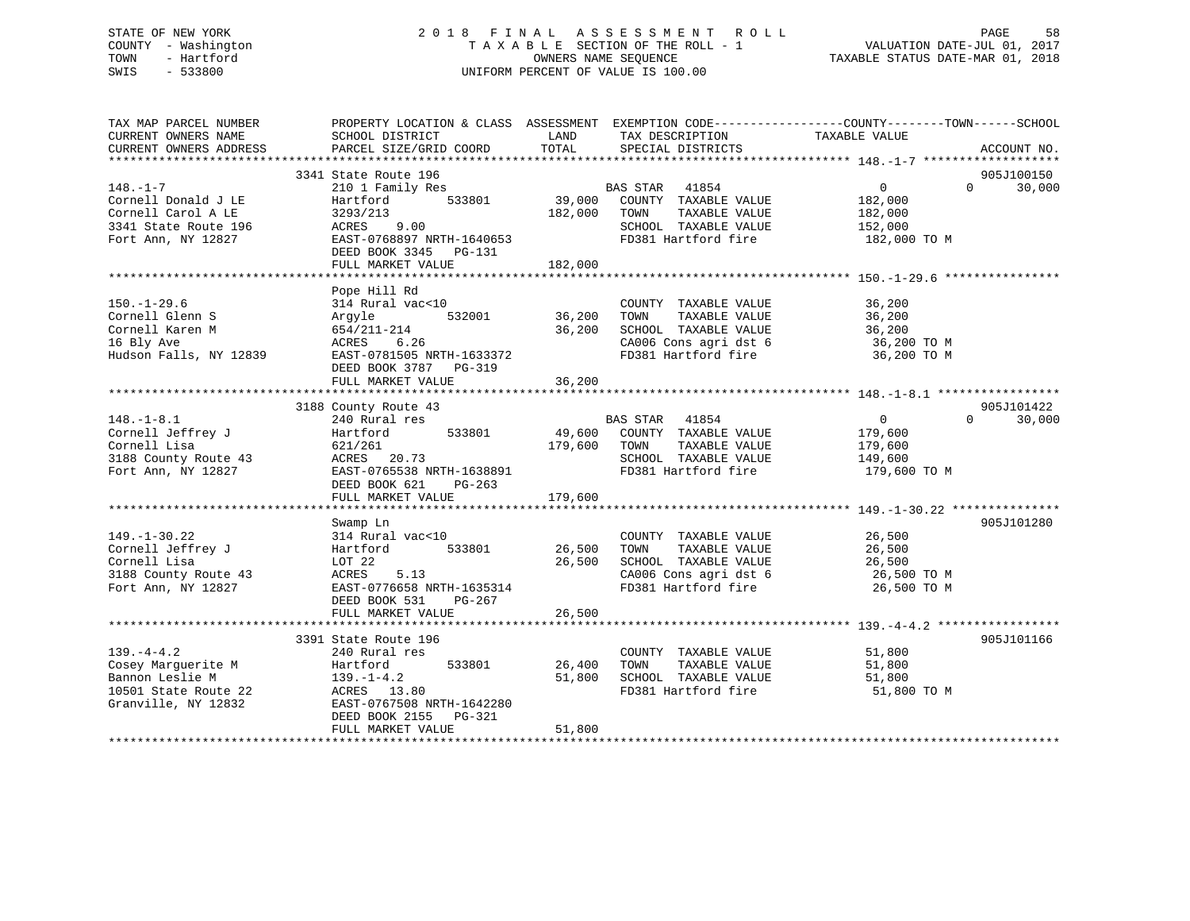### STATE OF NEW YORK 2 0 1 8 F I N A L A S S E S S M E N T R O L L PAGE 58 COUNTY - Washington T A X A B L E SECTION OF THE ROLL - 1 VALUATION DATE-JUL 01, 2017 TOWN - Hartford **TAXABLE STATUS DATE-MAR 01, 2018** OWNERS NAME SEQUENCE TAXABLE STATUS DATE-MAR 01, 2018 SWIS - 533800 UNIFORM PERCENT OF VALUE IS 100.00

| TAX MAP PARCEL NUMBER<br>CURRENT OWNERS NAME<br>CURRENT OWNERS ADDRESS                                    | PROPERTY LOCATION & CLASS ASSESSMENT<br>SCHOOL DISTRICT<br>PARCEL SIZE/GRID COORD                                                                                      | LAND<br>TOTAL                     | EXEMPTION CODE-----------------COUNTY-------TOWN------SCHOOL<br>TAX DESCRIPTION<br>SPECIAL DISTRICTS                                                 | TAXABLE VALUE                                                   | ACCOUNT NO.                      |
|-----------------------------------------------------------------------------------------------------------|------------------------------------------------------------------------------------------------------------------------------------------------------------------------|-----------------------------------|------------------------------------------------------------------------------------------------------------------------------------------------------|-----------------------------------------------------------------|----------------------------------|
| $148. - 1 - 7$<br>Cornell Donald J LE<br>Cornell Carol A LE<br>3341 State Route 196<br>Fort Ann, NY 12827 | 3341 State Route 196<br>210 1 Family Res<br>533801<br>Hartford<br>3293/213<br>9.00<br>ACRES<br>EAST-0768897 NRTH-1640653<br>DEED BOOK 3345 PG-131<br>FULL MARKET VALUE | 39,000<br>182,000 TOWN<br>182,000 | BAS STAR 41854<br>COUNTY TAXABLE VALUE<br>TAXABLE VALUE<br>SCHOOL TAXABLE VALUE<br>FD381 Hartford fire                                               | $\Omega$<br>182,000<br>182,000<br>152,000<br>182,000 TO M       | 905J100150<br>$\Omega$<br>30,000 |
| $150. - 1 - 29.6$<br>Cornell Glenn S<br>Cornell Karen M<br>16 Bly Ave<br>Hudson Falls, NY 12839           | Pope Hill Rd<br>314 Rural vac<10<br>532001<br>Argyle<br>654/211-214<br>ACRES<br>6.26<br>EAST-0781505 NRTH-1633372<br>DEED BOOK 3787 PG-319<br>FULL MARKET VALUE        | 36,200<br>36,200<br>36,200        | COUNTY TAXABLE VALUE<br>TAXABLE VALUE<br>TOWN<br>SCHOOL TAXABLE VALUE<br>CA006 Cons agri dst 6<br>FD381 Hartford fire                                | 36,200<br>36,200<br>36,200<br>36,200 TO M<br>36,200 TO M        |                                  |
|                                                                                                           | 3188 County Route 43                                                                                                                                                   |                                   |                                                                                                                                                      |                                                                 | 905J101422                       |
| $148. - 1 - 8.1$<br>Cornell Jeffrey J<br>Cornell Lisa<br>3188 County Route 43<br>Fort Ann, NY 12827       | 240 Rural res<br>533801<br>Hartford<br>621/261<br>ACRES 20.73<br>EAST-0765538 NRTH-1638891<br>DEED BOOK 621<br>PG-263                                                  | 179,600                           | BAS STAR 41854<br>49,600 COUNTY TAXABLE VALUE<br>TAXABLE VALUE<br>TOWN<br>SCHOOL TAXABLE VALUE<br>FD381 Hartford fire                                | $\overline{0}$<br>179,600<br>179,600<br>149,600<br>179,600 TO M | 30,000<br>$\Omega$               |
|                                                                                                           | FULL MARKET VALUE                                                                                                                                                      | 179,600                           |                                                                                                                                                      |                                                                 |                                  |
| $149. - 1 - 30.22$<br>Cornell Jeffrey J<br>Cornell Lisa<br>3188 County Route 43<br>Fort Ann, NY 12827     | Swamp Ln<br>314 Rural vac<10<br>533801<br>Hartford<br>LOT 22<br>ACRES<br>5.13<br>EAST-0776658 NRTH-1635314<br>DEED BOOK 531<br>PG-267                                  | 26,500<br>26,500                  | COUNTY TAXABLE VALUE<br>TAXABLE VALUE<br>TOWN<br>SCHOOL TAXABLE VALUE<br>CA006 Cons agri dst 6<br>FD381 Herts Cons agri dst 6<br>FD381 Hartford fire | 26,500<br>26,500<br>26,500<br>26,500 TO M<br>26,500 TO M        | 905J101280                       |
|                                                                                                           | FULL MARKET VALUE                                                                                                                                                      | 26,500                            |                                                                                                                                                      |                                                                 |                                  |
| $139. -4 - 4.2$<br>Cosey Marquerite M<br>Bannon Leslie M<br>10501 State Route 22<br>Granville, NY 12832   | 3391 State Route 196<br>240 Rural res<br>533801<br>Hartford<br>139.-1-4.2<br>ACRES 13.80<br>EAST-0767508 NRTH-1642280<br>DEED BOOK 2155<br>PG-321<br>FULL MARKET VALUE | 26,400<br>51,800<br>51,800        | COUNTY TAXABLE VALUE<br>TAXABLE VALUE<br>TOWN<br>SCHOOL TAXABLE VALUE<br>FD381 Hartford fire                                                         | 51,800<br>51,800<br>51,800<br>51,800 TO M                       | 905J101166                       |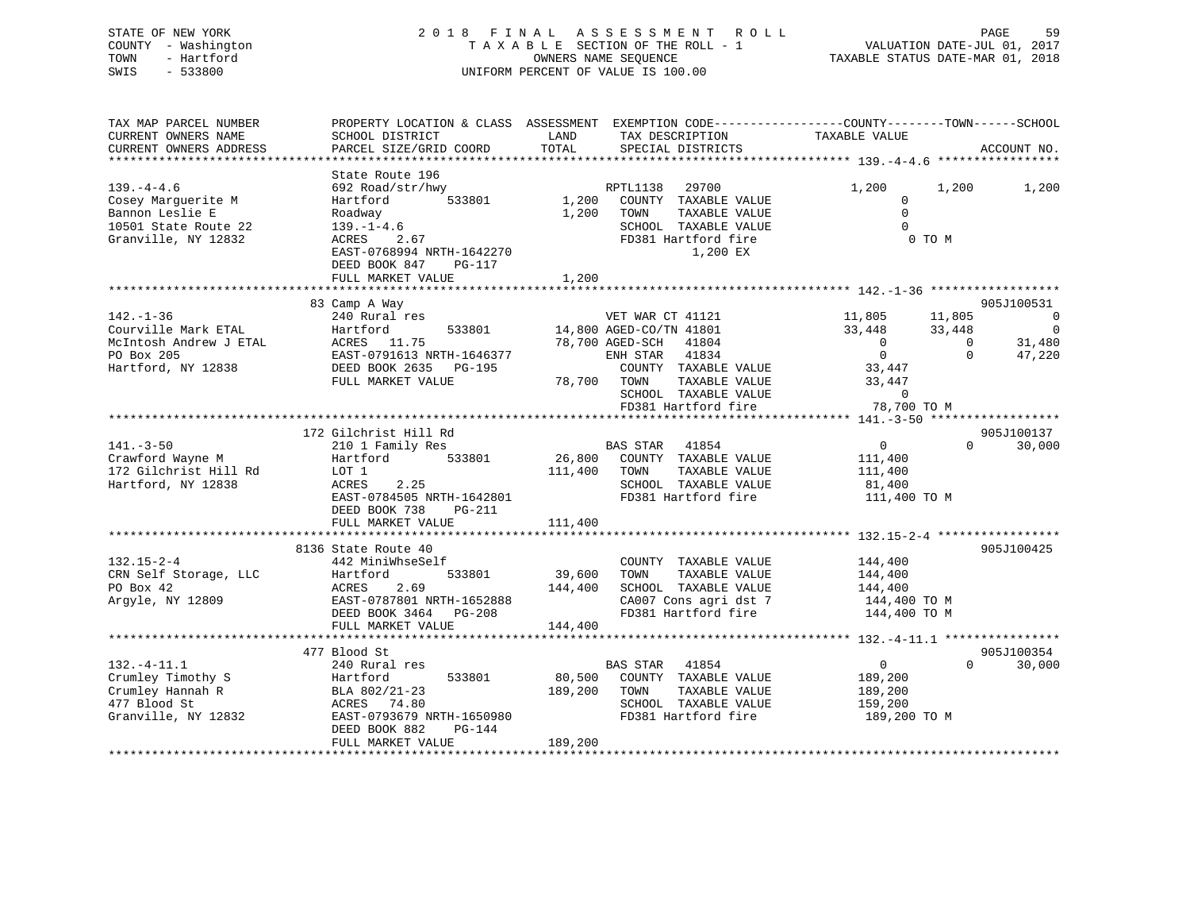### STATE OF NEW YORK 2 0 1 8 F I N A L A S S E S S M E N T R O L L PAGE 59 COUNTY - Washington T A X A B L E SECTION OF THE ROLL - 1 VALUATION DATE-JUL 01, 2017 TOWN - Hartford **TAXABLE STATUS DATE-MAR 01, 2018** OWNERS NAME SEQUENCE TAXABLE STATUS DATE-MAR 01, 2018 SWIS - 533800 UNIFORM PERCENT OF VALUE IS 100.00

| PROPERTY LOCATION & CLASS ASSESSMENT EXEMPTION CODE----------------COUNTY-------TOWN-----SCHOOL<br>ACCOUNT NO. |
|----------------------------------------------------------------------------------------------------------------|
| 1,200                                                                                                          |
|                                                                                                                |
| 905J100531<br>$\overline{0}$<br>$\Omega$<br>31,480<br>47,220                                                   |
|                                                                                                                |
| 905J100137<br>30,000                                                                                           |
|                                                                                                                |
| 905J100425                                                                                                     |
|                                                                                                                |
| 905J100354<br>30,000                                                                                           |
|                                                                                                                |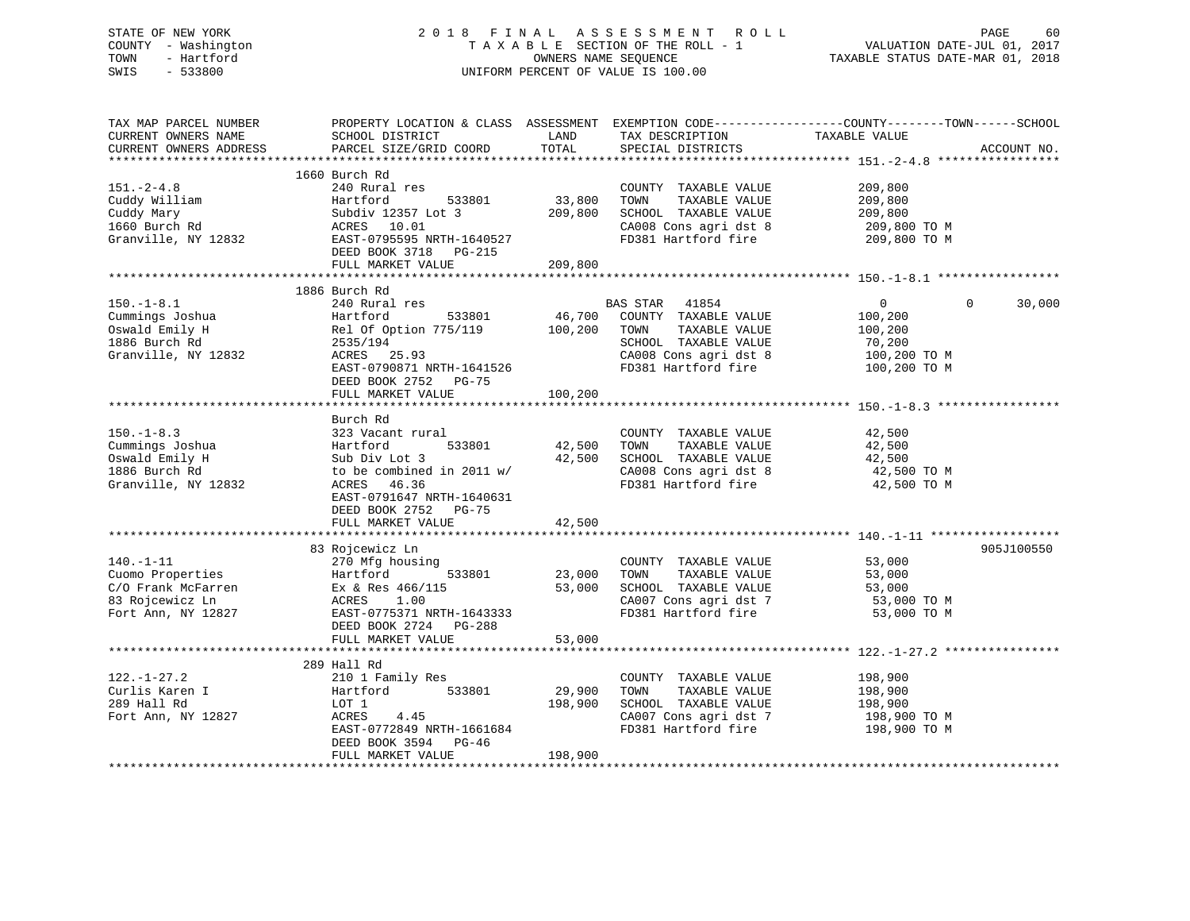| STATE OF NEW YORK<br>COUNTY - Washington<br>TOWN<br>- Hartford<br>SWIS<br>$-533800$                                                                                                                                                                                   |                                                                                                                                                                                                                                                        | OWNERS NAME SEOUENCE         | 2018 FINAL ASSESSMENT ROLL<br>TAXABLE SECTION OF THE ROLL - 1<br>UNIFORM PERCENT OF VALUE IS 100.00                   | PAGE<br>60<br>VALUATION DATE-JUL 01, 2017<br>TAXABLE STATUS DATE-MAR 01, 2018                                   |
|-----------------------------------------------------------------------------------------------------------------------------------------------------------------------------------------------------------------------------------------------------------------------|--------------------------------------------------------------------------------------------------------------------------------------------------------------------------------------------------------------------------------------------------------|------------------------------|-----------------------------------------------------------------------------------------------------------------------|-----------------------------------------------------------------------------------------------------------------|
| TAX MAP PARCEL NUMBER<br>CURRENT OWNERS NAME<br>CURRENT OWNERS ADDRESS                                                                                                                                                                                                |                                                                                                                                                                                                                                                        |                              | TAX DESCRIPTION TAXABLE VALUE SPECIAL DISTRICTS<br>SPECIAL DISTRICTS                                                  | PROPERTY LOCATION & CLASS ASSESSMENT EXEMPTION CODE----------------COUNTY-------TOWN------SCHOOL<br>ACCOUNT NO. |
| $151. - 2 - 4.8$<br>Cuddy William<br>Cuddy Mary<br>$1660$ Burch Rd<br>Granville, NY 12832                                                                                                                                                                             | 1660 Burch Rd<br>240 Rural res<br>Hartford 533801<br>Hartford 533801<br>Subdiv 12357 Lot 3<br>ACRES 10.01<br>EAST-0795595 NRTH-1640527<br>Subdiv 12357 Lot 3<br>ACRES 10.01 209,800 SCHOOL TAXABLE VALUE<br>DEED BOOK 3718 PG-215<br>FULL MARKET VALUE | 33,800<br>209,800            | COUNTY TAXABLE VALUE<br>TOWN<br>TAXABLE VALUE<br>CA008 Cons agri dst 8<br>FD381 Hartford fire                         | 209,800<br>209,800<br>209,800<br>209,800 TO M<br>209,800 TO M                                                   |
|                                                                                                                                                                                                                                                                       |                                                                                                                                                                                                                                                        |                              |                                                                                                                       |                                                                                                                 |
| $150. - 1 - 8.1$<br>Cummings Joshua<br>Oswald Emily H<br>1886 Burch Rd<br>Granville, NY 12832                                                                                                                                                                         | 1886 Burch Rd<br>240 Rural res<br>EAS SIAR 41094<br>Hartford 533801 46,700 COUNTY TAXABLE VALUE<br>Hartford 533801 46,700 COUNTY<br>Rel Of Option 775/119 100,200 TONN<br>2535/194<br>ACRES 25.93<br>EAST-0790871 NRTH-1641526<br>DEED BOOK 2752 PG-75 |                              | BAS STAR 41854<br>TAXABLE VALUE<br>SCHOOL TAXABLE VALUE<br>CA008 Cons agri dst 8<br>FD381 Hartford fire               | $\Omega$<br>30,000<br>$\overline{0}$<br>100,200<br>100,200<br>70,200<br>100,200 TO M<br>100,200 TO M            |
|                                                                                                                                                                                                                                                                       | FULL MARKET VALUE                                                                                                                                                                                                                                      | 100,200                      |                                                                                                                       |                                                                                                                 |
| $150. - 1 - 8.3$<br>Cummings Joshua<br>Oswald Emily H<br>Oswald Emily H<br>1886 Burch Rd<br>Granville, NY 12832                                                                                                                                                       | Burch Rd<br>323 Vacant rural<br>Hartford 533801<br>Sub Div Lot 3<br>to be combined in 2011 w/<br>ACRES 46.36<br>EAST-0791647 NRTH-1640631<br>DEED BOOK 2752 PG-75<br>FULL MARKET VALUE                                                                 | 42,500 TOWN<br>42,500        | COUNTY TAXABLE VALUE<br>TAXABLE VALUE<br>42,500 SCHOOL TAXABLE VALUE<br>CA008 Cons agri dst 8<br>FD381 Hartford fire  | 42,500<br>42,500<br>42,500<br>42,500 TO M<br>42,500 TO M                                                        |
|                                                                                                                                                                                                                                                                       | 83 Rojcewicz Ln                                                                                                                                                                                                                                        |                              |                                                                                                                       | 905J100550                                                                                                      |
| $140. - 1 - 11$<br>Cuomo Properties<br>Como Properties<br>C/O Frank McFarren<br>Ex & Res 466/115<br>Ex & Res 466/115<br>B3 Rojcewicz Ln<br>Rort Ann, NY 12827<br>EAST-0775371 NRTH-1643333<br>EAST-0775371 NRTH-1643333<br>PD381 Hartford fire<br>FD381 Hartford fire | 270 Mfg housing                                                                                                                                                                                                                                        | COUNTY<br>23,000 TOWN        | COUNTY TAXABLE VALUE 53,000                                                                                           | 53,000<br>53,000<br>53,000 TO M<br>53,000 TO M                                                                  |
|                                                                                                                                                                                                                                                                       | FULL MARKET VALUE                                                                                                                                                                                                                                      | 53,000                       |                                                                                                                       |                                                                                                                 |
|                                                                                                                                                                                                                                                                       |                                                                                                                                                                                                                                                        |                              |                                                                                                                       |                                                                                                                 |
| $122. - 1 - 27.2$<br>Curlis Karen I<br>289 Hall Rd<br>Fort Ann, NY 12827                                                                                                                                                                                              | 289 Hall Rd<br>210 1 Family Res<br>Hartford 533801<br>LOT 1<br>4.45<br>ACRES<br>EAST-0772849 NRTH-1661684<br>DEED BOOK 3594 PG-46<br>FULL MARKET VALUE                                                                                                 | 29,900<br>198,900<br>198,900 | COUNTY TAXABLE VALUE<br>TAXABLE VALUE<br>TOWN<br>SCHOOL TAXABLE VALUE<br>CA007 Cons agri dst 7<br>FD381 Hartford fire | 198,900<br>198,900<br>198,900<br>198,900 TO M<br>198,900 ТО М                                                   |

\*\*\*\*\*\*\*\*\*\*\*\*\*\*\*\*\*\*\*\*\*\*\*\*\*\*\*\*\*\*\*\*\*\*\*\*\*\*\*\*\*\*\*\*\*\*\*\*\*\*\*\*\*\*\*\*\*\*\*\*\*\*\*\*\*\*\*\*\*\*\*\*\*\*\*\*\*\*\*\*\*\*\*\*\*\*\*\*\*\*\*\*\*\*\*\*\*\*\*\*\*\*\*\*\*\*\*\*\*\*\*\*\*\*\*\*\*\*\*\*\*\*\*\*\*\*\*\*\*\*\*\*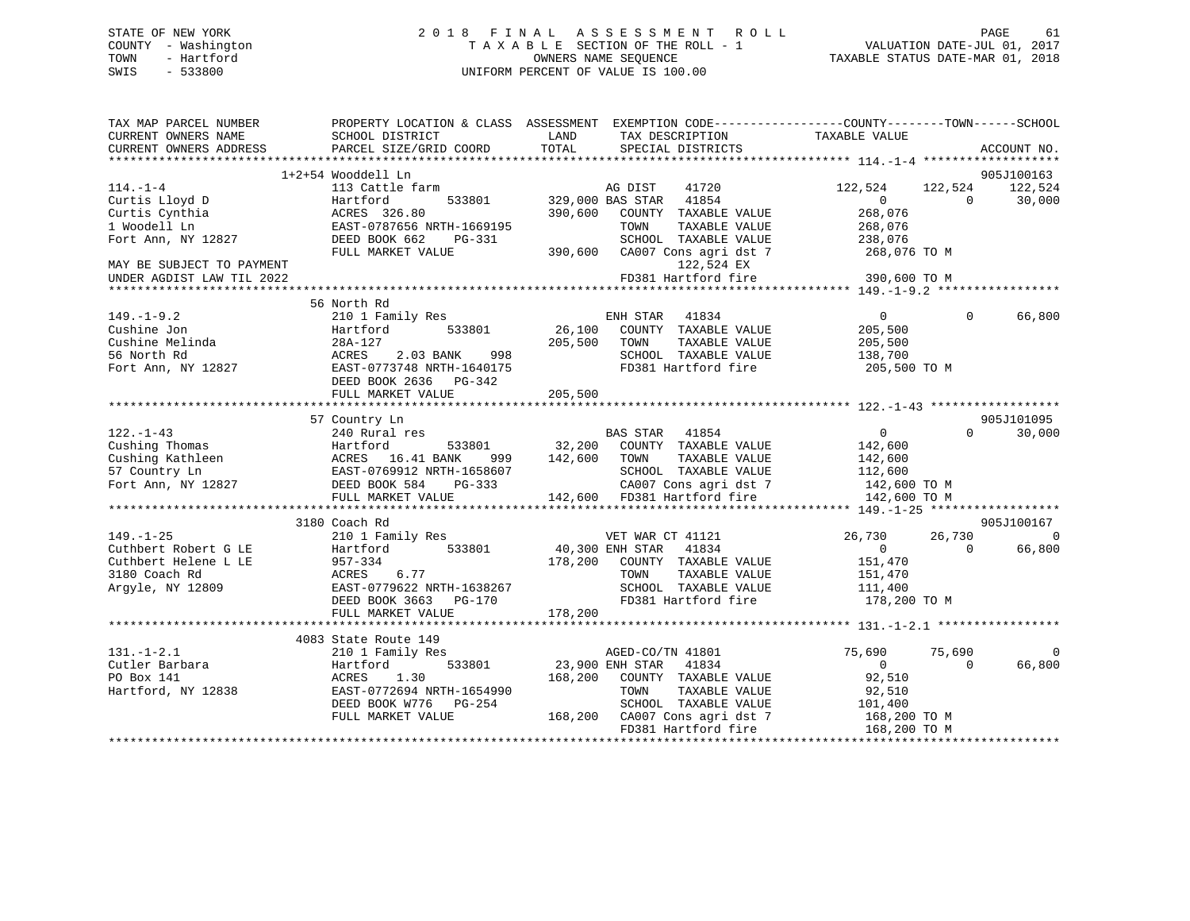### STATE OF NEW YORK 2 0 1 8 F I N A L A S S E S S M E N T R O L L PAGE 61 COUNTY - Washington T A X A B L E SECTION OF THE ROLL - 1 VALUATION DATE-JUL 01, 2017 TOWN - Hartford OWNERS NAME SEQUENCE TAXABLE STATUS DATE-MAR 01, 2018 SWIS - 533800 UNIFORM PERCENT OF VALUE IS 100.00

| TAX MAP PARCEL NUMBER<br>CURRENT OWNERS NAME | PROPERTY LOCATION & CLASS ASSESSMENT EXEMPTION CODE---------------COUNTY-------TOWN-----SCHOOL<br>SCHOOL DISTRICT | LAND    | TAX DESCRIPTION                                                               | TAXABLE VALUE  |                          |
|----------------------------------------------|-------------------------------------------------------------------------------------------------------------------|---------|-------------------------------------------------------------------------------|----------------|--------------------------|
| CURRENT OWNERS ADDRESS                       | PARCEL SIZE/GRID COORD                                                                                            | TOTAL   | SPECIAL DISTRICTS                                                             |                | ACCOUNT NO.              |
|                                              | 1+2+54 Wooddell Ln                                                                                                |         |                                                                               |                | 905J100163               |
| $114. - 1 - 4$                               | 113 Cattle farm                                                                                                   |         | AG DIST<br>41720                                                              | 122,524        | 122,524 122,524          |
| Curtis Lloyd D                               | 533801<br>Hartford                                                                                                |         | 329,000 BAS STAR 41854                                                        | $\Omega$       | $\Omega$<br>30,000       |
| Curtis Cynthia                               | ACRES 326.80                                                                                                      | 390,600 | COUNTY TAXABLE VALUE                                                          | 268,076        |                          |
| 1 Woodell Ln                                 | EAST-0787656 NRTH-1669195                                                                                         |         | TOWN<br>TAXABLE VALUE                                                         | 268,076        |                          |
| Fort Ann, NY 12827                           | DEED BOOK 662<br>PG-331                                                                                           |         | SCHOOL TAXABLE VALUE                                                          | 238,076        |                          |
|                                              | FULL MARKET VALUE                                                                                                 | 390,600 | CA007 Cons agri dst 7                                                         | 268,076 TO M   |                          |
| MAY BE SUBJECT TO PAYMENT                    |                                                                                                                   |         | 122,524 EX                                                                    |                |                          |
| UNDER AGDIST LAW TIL 2022                    |                                                                                                                   |         | FD381 Hartford fire                                                           | 390,600 TO M   |                          |
|                                              |                                                                                                                   |         |                                                                               |                |                          |
|                                              | 56 North Rd                                                                                                       |         |                                                                               |                |                          |
| $149. - 1 - 9.2$                             | 210 1 Family Res                                                                                                  |         | ENH STAR 41834                                                                | $\overline{0}$ | $\Omega$<br>66,800       |
| Cushine Jon                                  | 533801<br>Hartford                                                                                                | 26,100  | COUNTY TAXABLE VALUE                                                          | 205,500        |                          |
| Cushine Melinda                              | 28A-127                                                                                                           | 205,500 | TOWN<br>TAXABLE VALUE                                                         | 205,500        |                          |
| 56 North Rd                                  | ACRES<br>2.03 BANK 998                                                                                            |         | SCHOOL TAXABLE VALUE                                                          | 138,700        |                          |
| Fort Ann, NY 12827                           | EAST-0773748 NRTH-1640175                                                                                         |         | FD381 Hartford fire                                                           | 205,500 TO M   |                          |
|                                              | DEED BOOK 2636 PG-342                                                                                             |         |                                                                               |                |                          |
|                                              | FULL MARKET VALUE                                                                                                 | 205,500 |                                                                               |                |                          |
|                                              |                                                                                                                   |         |                                                                               |                |                          |
|                                              | 57 Country Ln                                                                                                     |         |                                                                               |                | 905J101095               |
| $122. - 1 - 43$                              | 240 Rural res                                                                                                     |         | BAS STAR 41854                                                                | $\overline{0}$ | $\Omega$<br>30,000       |
| Cushing Thomas                               | 533801<br>Hartford                                                                                                | 32,200  | COUNTY TAXABLE VALUE                                                          | 142,600        |                          |
| Cushing Kathleen                             |                                                                                                                   | 142,600 | TAXABLE VALUE<br>TOWN                                                         | 142,600        |                          |
| 57 Country Ln                                | ACRES 16.41 BANK 999<br>EAST-0769912 NRTH-1658607                                                                 |         | SCHOOL TAXABLE VALUE                                                          | 112,600        |                          |
| Fort Ann, NY 12827                           | DEED BOOK 584<br>PG-333                                                                                           |         |                                                                               | 142,600 TO M   |                          |
|                                              | FULL MARKET VALUE                                                                                                 |         | CA007 Cons agri dst 7<br>CA007 Cons agri dst 7<br>142,600 FD381 Hartford fire | 142,600 TO M   |                          |
|                                              |                                                                                                                   |         |                                                                               |                |                          |
|                                              | 3180 Coach Rd                                                                                                     |         |                                                                               |                | 905J100167               |
| $149. - 1 - 25$                              | 210 1 Family Res                                                                                                  |         | VET WAR CT 41121                                                              | 26,730         | 26,730<br>$\overline{0}$ |
| Cuthbert Robert G LE                         | Hartford 533801                                                                                                   |         | 40,300 ENH STAR 41834                                                         | $\overline{0}$ | 66,800<br>$\Omega$       |
| Cuthbert Helene L LE                         | 957-334                                                                                                           | 178,200 | COUNTY TAXABLE VALUE                                                          | 151,470        |                          |
| 3180 Coach Rd                                | ACRES<br>6.77                                                                                                     |         | TAXABLE VALUE<br>TOWN                                                         | 151,470        |                          |
| Argyle, NY 12809                             | EAST-0779622 NRTH-1638267                                                                                         |         | SCHOOL TAXABLE VALUE                                                          | 111,400        |                          |
|                                              | DEED BOOK 3663 PG-170                                                                                             |         | FD381 Hartford fire                                                           | 178,200 TO M   |                          |
|                                              | FULL MARKET VALUE                                                                                                 | 178,200 |                                                                               |                |                          |
|                                              |                                                                                                                   |         |                                                                               |                |                          |
|                                              | 4083 State Route 149                                                                                              |         |                                                                               |                |                          |
| $131. - 1 - 2.1$                             | 210 1 Family Res                                                                                                  |         | AGED-CO/TN 41801                                                              | 75,690         | $\mathbf 0$<br>75,690    |
| Cutler Barbara                               | Hartford<br>533801                                                                                                |         | 23,900 ENH STAR 41834                                                         | $\sim$ 0       | 66,800<br>$\Omega$       |
| PO Box 141                                   | ACRES<br>1.30                                                                                                     | 168,200 | COUNTY TAXABLE VALUE                                                          | 92,510         |                          |
| Hartford, NY 12838                           | EAST-0772694 NRTH-1654990                                                                                         |         | TOWN<br>TAXABLE VALUE                                                         | 92,510         |                          |
|                                              | DEED BOOK W776 PG-254                                                                                             |         | SCHOOL TAXABLE VALUE                                                          | 101,400        |                          |
|                                              | FULL MARKET VALUE                                                                                                 | 168,200 | CA007 Cons agri dst 7                                                         | 168,200 TO M   |                          |
|                                              |                                                                                                                   |         | FD381 Hartford fire                                                           | 168,200 TO M   |                          |
|                                              |                                                                                                                   |         |                                                                               |                |                          |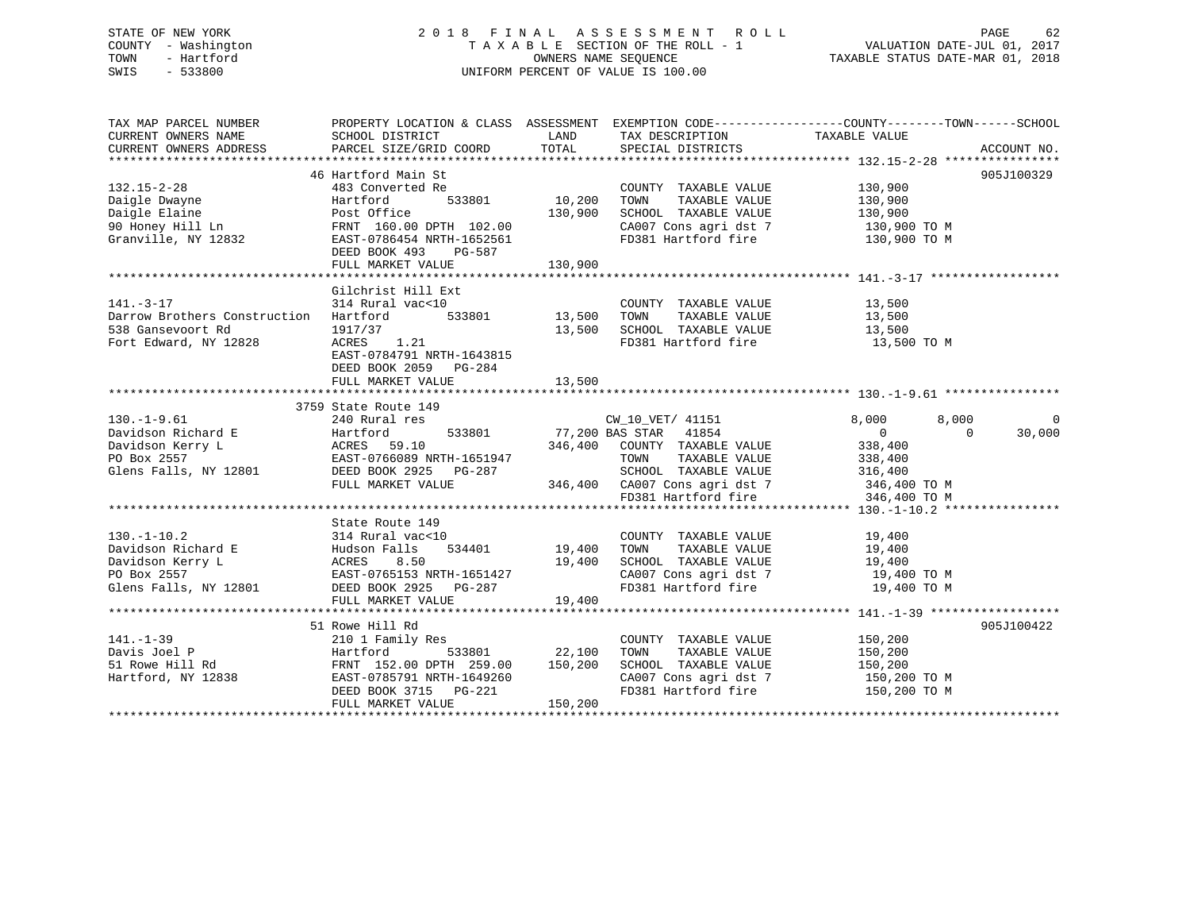### STATE OF NEW YORK 2 0 1 8 F I N A L A S S E S S M E N T R O L L PAGE 62 COUNTY - Washington T A X A B L E SECTION OF THE ROLL - 1 VALUATION DATE-JUL 01, 2017 TOWN - Hartford **TAXABLE STATUS DATE-MAR 01, 2018** OWNERS NAME SEQUENCE TAXABLE STATUS DATE-MAR 01, 2018 SWIS - 533800 UNIFORM PERCENT OF VALUE IS 100.00

| TAX MAP PARCEL NUMBER                                                                                                                                                                                                                                                                                                                                                                                                                                          |                           |                    |                                                                                   | PROPERTY LOCATION & CLASS ASSESSMENT EXEMPTION CODE---------------COUNTY-------TOWN-----SCHOOL |            |
|----------------------------------------------------------------------------------------------------------------------------------------------------------------------------------------------------------------------------------------------------------------------------------------------------------------------------------------------------------------------------------------------------------------------------------------------------------------|---------------------------|--------------------|-----------------------------------------------------------------------------------|------------------------------------------------------------------------------------------------|------------|
| CURRENT OWNERS NAME                                                                                                                                                                                                                                                                                                                                                                                                                                            | SCHOOL DISTRICT           | LAND               | TAX DESCRIPTION                                                                   | TAXABLE VALUE                                                                                  |            |
| $\begin{array}{c}\n\text{CUTENIN} \quad \text{CUTNIN} \quad \text{CUTNIN} \quad \text{CUTNIN} \quad \text{CUTNIN} \quad \text{CUTNIN} \quad \text{CUTNIN} \quad \text{CUTNIN} \quad \text{CUTNIN} \quad \text{CUTNIN} \quad \text{CUTNIN} \quad \text{CUTNIN} \quad \text{CUTNIN} \quad \text{CUTNIN} \quad \text{CUTNIN} \quad \text{CUTNIN} \quad \text{CUTNIN} \quad \text{CUTNIN} \quad \text{CUTNIN} \quad \text{CUTNIN} \quad \text{CUTNIN} \quad \text$ |                           |                    |                                                                                   |                                                                                                |            |
|                                                                                                                                                                                                                                                                                                                                                                                                                                                                |                           |                    |                                                                                   |                                                                                                |            |
|                                                                                                                                                                                                                                                                                                                                                                                                                                                                | 46 Hartford Main St       |                    |                                                                                   |                                                                                                | 905J100329 |
| 132.15-2-28                                                                                                                                                                                                                                                                                                                                                                                                                                                    | 483 Converted Re          |                    | COUNTY TAXABLE VALUE 130,900                                                      |                                                                                                |            |
|                                                                                                                                                                                                                                                                                                                                                                                                                                                                |                           | 533801 10,200      |                                                                                   |                                                                                                |            |
|                                                                                                                                                                                                                                                                                                                                                                                                                                                                |                           | 130,900            |                                                                                   |                                                                                                |            |
|                                                                                                                                                                                                                                                                                                                                                                                                                                                                |                           |                    | CA007 Cons agri dst 7 130,900 TO M                                                |                                                                                                |            |
| Daigle Dwayne<br>Daigle Elaine<br>90 Honey Hill Ln<br>90 Honey Hill Ln<br>Granville, NY 12832<br>DEED BOOK 493 PG-587<br>PG-587                                                                                                                                                                                                                                                                                                                                |                           |                    | FD381 Hartford fire                                                               | 130,900 TO M                                                                                   |            |
|                                                                                                                                                                                                                                                                                                                                                                                                                                                                |                           |                    |                                                                                   |                                                                                                |            |
|                                                                                                                                                                                                                                                                                                                                                                                                                                                                |                           |                    |                                                                                   |                                                                                                |            |
|                                                                                                                                                                                                                                                                                                                                                                                                                                                                | FULL MARKET VALUE         | 130,900            |                                                                                   |                                                                                                |            |
|                                                                                                                                                                                                                                                                                                                                                                                                                                                                |                           |                    |                                                                                   |                                                                                                |            |
| $141. - 3 - 17$                                                                                                                                                                                                                                                                                                                                                                                                                                                | Gilchrist Hill Ext        |                    |                                                                                   |                                                                                                |            |
|                                                                                                                                                                                                                                                                                                                                                                                                                                                                | 314 Rural vac<10          |                    | COUNTY TAXABLE VALUE                                                              | 13,500<br>13,500                                                                               |            |
| Darrow Brothers Construction Hartford                                                                                                                                                                                                                                                                                                                                                                                                                          |                           | 533801 13,500 TOWN | TAXABLE VALUE                                                                     |                                                                                                |            |
| 538 Gansevoort Rd                                                                                                                                                                                                                                                                                                                                                                                                                                              | 1917/37                   |                    | 13,500 SCHOOL TAXABLE VALUE 13,500                                                |                                                                                                |            |
| Fort Edward, NY 12828                                                                                                                                                                                                                                                                                                                                                                                                                                          | ACRES 1.21                |                    | FD381 Hartford fire                                                               | 13,500 TO M                                                                                    |            |
|                                                                                                                                                                                                                                                                                                                                                                                                                                                                | EAST-0784791 NRTH-1643815 |                    |                                                                                   |                                                                                                |            |
|                                                                                                                                                                                                                                                                                                                                                                                                                                                                | DEED BOOK 2059 PG-284     |                    |                                                                                   |                                                                                                |            |
|                                                                                                                                                                                                                                                                                                                                                                                                                                                                |                           |                    |                                                                                   |                                                                                                |            |
|                                                                                                                                                                                                                                                                                                                                                                                                                                                                |                           |                    |                                                                                   |                                                                                                |            |
|                                                                                                                                                                                                                                                                                                                                                                                                                                                                | 3759 State Route 149      |                    |                                                                                   |                                                                                                |            |
| $130. - 1 - 9.61$                                                                                                                                                                                                                                                                                                                                                                                                                                              | 240 Rural res             |                    | CW_10_VET/ 41151                                                                  | 8,000<br>8,000                                                                                 | 0          |
| Pavidson Richard E<br>Davidson Richard E<br>Davidson Kerry L<br>PO Box 2557<br>Season Based Based Based States 10<br>PO Box 2557<br>Season Based Based Based States 246,400<br>PO Box 2557<br>Season Based Based States 246,400<br>ERED BOOK 292                                                                                                                                                                                                               |                           |                    | 533801 77,200 BAS STAR 41854                                                      | $\overline{0}$<br>$\bigcap$                                                                    | 30,000     |
|                                                                                                                                                                                                                                                                                                                                                                                                                                                                |                           |                    | 346,400 COUNTY TAXABLE VALUE                                                      | 338,400                                                                                        |            |
|                                                                                                                                                                                                                                                                                                                                                                                                                                                                |                           |                    | TOWN                                                                              | TAXABLE VALUE 338,400                                                                          |            |
|                                                                                                                                                                                                                                                                                                                                                                                                                                                                |                           |                    |                                                                                   |                                                                                                |            |
|                                                                                                                                                                                                                                                                                                                                                                                                                                                                | FULL MARKET VALUE         |                    | 99-287 SCHOOL TAXABLE VALUE 316,400<br>346,400 CA007 Cons agri dst 7 346,400 TO M |                                                                                                |            |
|                                                                                                                                                                                                                                                                                                                                                                                                                                                                |                           |                    | FD381 Hartford fire                                                               | 346,400 TO M                                                                                   |            |
|                                                                                                                                                                                                                                                                                                                                                                                                                                                                |                           |                    |                                                                                   |                                                                                                |            |
|                                                                                                                                                                                                                                                                                                                                                                                                                                                                | State Route 149           |                    |                                                                                   |                                                                                                |            |
|                                                                                                                                                                                                                                                                                                                                                                                                                                                                |                           |                    |                                                                                   |                                                                                                |            |
|                                                                                                                                                                                                                                                                                                                                                                                                                                                                |                           |                    | COUNTY TAXABLE VALUE 19,400<br>TOWN TAXABLE VALUE 19,400                          |                                                                                                |            |
|                                                                                                                                                                                                                                                                                                                                                                                                                                                                |                           |                    |                                                                                   |                                                                                                |            |
|                                                                                                                                                                                                                                                                                                                                                                                                                                                                |                           |                    | SCHOOL TAXABLE VALUE 19,400<br>CA007 Cons agri dst 7 19,400 TO M                  |                                                                                                |            |
| 130.-1-10.2<br>2 314 Rural vac<10 COUNTY<br>Davidson Richard E Hudson Falls 534401 19,400 TOWN<br>Davidson Kerry L ACRES 8.50 19,400 SCHOOL<br>PO Box 2557 EAST-0765153 NRTH-1651427 CA007 C<br>Glens Falls, NY 12801 DEED BOOK 2925 PG-                                                                                                                                                                                                                       |                           |                    | CA007 Cons agri dst 7 19,400 TO M<br>FD381 Hartford fire 19,400 TO M              |                                                                                                |            |
|                                                                                                                                                                                                                                                                                                                                                                                                                                                                |                           |                    |                                                                                   |                                                                                                |            |
|                                                                                                                                                                                                                                                                                                                                                                                                                                                                | FULL MARKET VALUE         | 19,400             |                                                                                   |                                                                                                |            |
|                                                                                                                                                                                                                                                                                                                                                                                                                                                                |                           |                    |                                                                                   |                                                                                                |            |
|                                                                                                                                                                                                                                                                                                                                                                                                                                                                | 51 Rowe Hill Rd           |                    |                                                                                   |                                                                                                | 905J100422 |
|                                                                                                                                                                                                                                                                                                                                                                                                                                                                |                           |                    | COUNTY TAXABLE VALUE 150,200                                                      |                                                                                                |            |
|                                                                                                                                                                                                                                                                                                                                                                                                                                                                |                           |                    | TOWN                                                                              | TAXABLE VALUE 150,200                                                                          |            |
|                                                                                                                                                                                                                                                                                                                                                                                                                                                                |                           |                    | SCHOOL TAXABLE VALUE 150,200                                                      |                                                                                                |            |
|                                                                                                                                                                                                                                                                                                                                                                                                                                                                |                           |                    | CA007 Cons agri dst 7 150,200 TO M<br>FD381 Hartford fire 150,200 TO M            |                                                                                                |            |
|                                                                                                                                                                                                                                                                                                                                                                                                                                                                |                           |                    |                                                                                   |                                                                                                |            |
|                                                                                                                                                                                                                                                                                                                                                                                                                                                                |                           |                    |                                                                                   |                                                                                                |            |
|                                                                                                                                                                                                                                                                                                                                                                                                                                                                |                           |                    |                                                                                   |                                                                                                |            |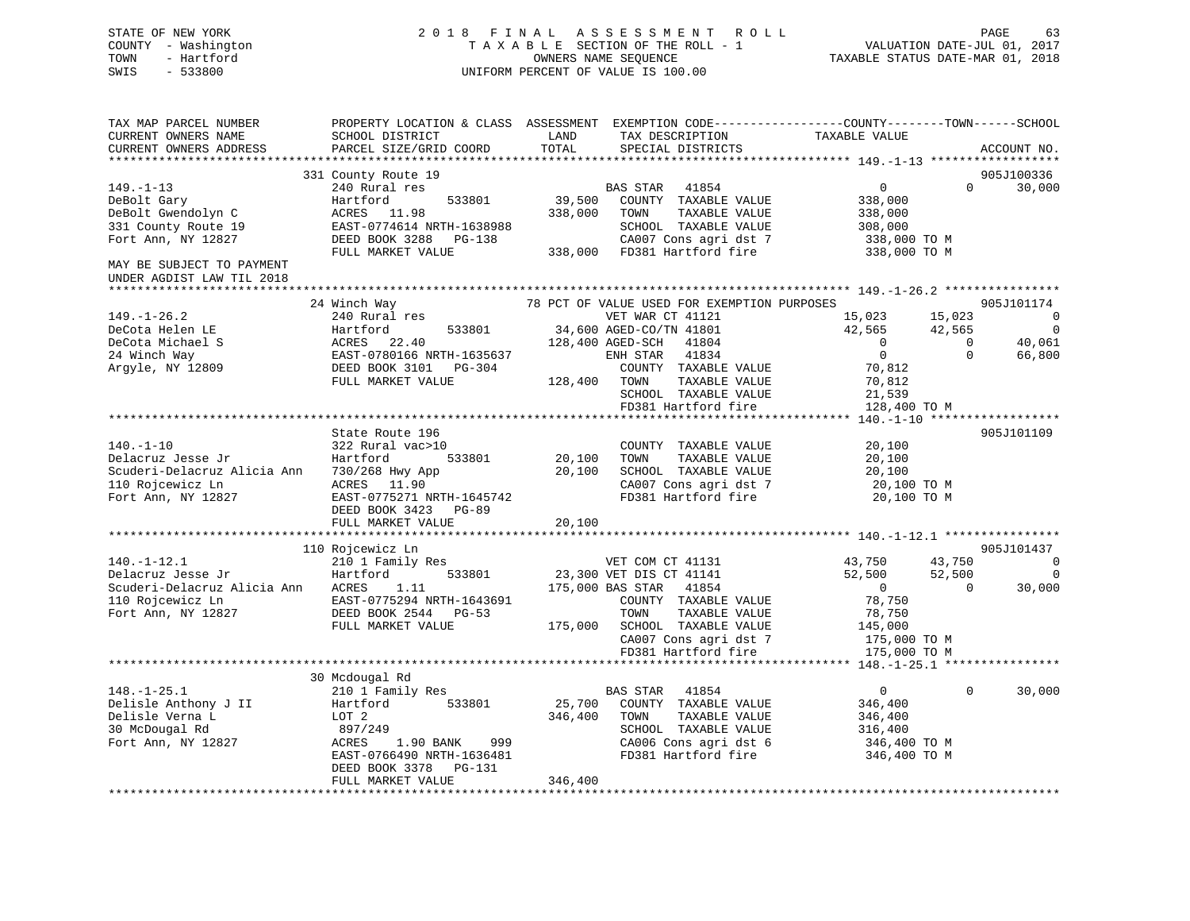### STATE OF NEW YORK 2 0 1 8 F I N A L A S S E S S M E N T R O L L PAGE 63 COUNTY - Washington T A X A B L E SECTION OF THE ROLL - 1 VALUATION DATE-JUL 01, 2017 TOWN - Hartford OWNERS NAME SEQUENCE TAXABLE STATUS DATE-MAR 01, 2018 SWIS - 533800 UNIFORM PERCENT OF VALUE IS 100.00

TAX MAP PARCEL NUMBER PROPERTY LOCATION & CLASS ASSESSMENT EXEMPTION CODE------------------COUNTY--------TOWN------SCHOOL

CURRENT OWNERS NAME SCHOOL DISTRICT LAND TAX DESCRIPTION TAXABLE VALUE

CURRENT OWNERS ADDRESS PARCEL SIZE/GRID COORD TOTAL SPECIAL DISTRICTS ACCOUNT NO. \*\*\*\*\*\*\*\*\*\*\*\*\*\*\*\*\*\*\*\*\*\*\*\*\*\*\*\*\*\*\*\*\*\*\*\*\*\*\*\*\*\*\*\*\*\*\*\*\*\*\*\*\*\*\*\*\*\*\*\*\*\*\*\*\*\*\*\*\*\*\*\*\*\*\*\*\*\*\*\*\*\*\*\*\*\*\*\*\*\*\*\*\*\*\*\*\*\*\*\*\*\*\* 149.-1-13 \*\*\*\*\*\*\*\*\*\*\*\*\*\*\*\*\*\*905J100336 331 County Route 19 905J100336 149.-1-13 240 Rural res BAS STAR 41854 0 0 30,000 DeBolt Gary Hartford 533801 39,500 COUNTY TAXABLE VALUE 338,000 DeBolt Gwendolyn C ACRES 11.98 338,000 TOWN TAXABLE VALUE 338,000 331 County Route 19 EAST-0774614 NRTH-1638988 SCHOOL TAXABLE VALUE 308,000 Fort Ann, NY 12827 DEED BOOK 3288 PG-138 CA007 Cons agri dst 7 338,000 TO M FULL MARKET VALUE 338,000 FD381 Hartford fire 338,000 TO M MAY BE SUBJECT TO PAYMENTUNDER AGDIST LAW TIL 2018 \*\*\*\*\*\*\*\*\*\*\*\*\*\*\*\*\*\*\*\*\*\*\*\*\*\*\*\*\*\*\*\*\*\*\*\*\*\*\*\*\*\*\*\*\*\*\*\*\*\*\*\*\*\*\*\*\*\*\*\*\*\*\*\*\*\*\*\*\*\*\*\*\*\*\*\*\*\*\*\*\*\*\*\*\*\*\*\*\*\*\*\*\*\*\*\*\*\*\*\*\*\*\* 149.-1-26.2 \*\*\*\*\*\*\*\*\*\*\*\*\*\*\*\*24 Winch Way 78 PCT OF VALUE USED FOR EXEMPTION PURPOSES 905J101174 149.-1-26.2 240 Rural res VET WAR CT 41121 15,023 15,023 0 DeCota Helen LE Hartford 533801 34,600 AGED-CO/TN 41801 42,565 42,565 0 DeCota Michael S ACRES 22.40 128,400 AGED-SCH 41804 0 0 40,061 24 Winch Way EAST-0780166 NRTH-1635637 ENH STAR 41834 0 0 66,800 Argyle, NY 12809 DEED BOOK 3101 PG-304 COUNTY TAXABLE VALUE 70,812 FULL MARKET VALUE 128,400 TOWN TAXABLE VALUE 70,812 SCHOOL TAXABLE VALUE 21,539 EXAMPLE VALUE 121,539<br>
FD381 Hartford fire 128,400 TO M<br>
FD381 Hartford fire 128,400 TO M \*\*\*\*\*\*\*\*\*\*\*\*\*\*\*\*\*\*\*\*\*\*\*\*\*\*\*\*\*\*\*\*\*\*\*\*\*\*\*\*\*\*\*\*\*\*\*\*\*\*\*\*\*\*\*\*\*\*\*\*\*\*\*\*\*\*\*\*\*\*\*\*\*\*\*\*\*\*\*\*\*\*\*\*\*\*\*\*\*\*\*\*\*\*\*\*\*\*\*\*\*\*\* 140.-1-10 \*\*\*\*\*\*\*\*\*\*\*\*\*\*\*\*\*\* State Route 196 905J101109140.-1-10 322 Rural vac>10 COUNTY TAXABLE VALUE 20,100 Delacruz Jesse Jr Hartford 533801 20,100 TOWN TAXABLE VALUE 20,100 Scuderi-Delacruz Alicia Ann 730/268 Hwy App 20,100 SCHOOL TAXABLE VALUE 20,100 110 Rojcewicz Ln ACRES 11.90 CA007 Cons agri dst 7 20,100 TO M Fort Ann, NY 12827 EAST-0775271 NRTH-1645742 FD381 Hartford fire 20,100 TO M DEED BOOK 3423 PG-89 FULL MARKET VALUE 20,100 \*\*\*\*\*\*\*\*\*\*\*\*\*\*\*\*\*\*\*\*\*\*\*\*\*\*\*\*\*\*\*\*\*\*\*\*\*\*\*\*\*\*\*\*\*\*\*\*\*\*\*\*\*\*\*\*\*\*\*\*\*\*\*\*\*\*\*\*\*\*\*\*\*\*\*\*\*\*\*\*\*\*\*\*\*\*\*\*\*\*\*\*\*\*\*\*\*\*\*\*\*\*\* 140.-1-12.1 \*\*\*\*\*\*\*\*\*\*\*\*\*\*\*\*905J101437 110 Rojcewicz Ln 905J101437 140.-1-12.1 210 1 Family Res VET COM CT 41131 43,750 43,750 0 Delacruz Jesse Jr Hartford 533801 23,300 VET DIS CT 41141 52,500 52,500 0 Scuderi-Delacruz Alicia Ann ACRES 1.11 175,000 BAS STAR 41854 0 0 30,000 110 Rojcewicz Ln EAST-0775294 NRTH-1643691 COUNTY TAXABLE VALUE 78,750 Fort Ann, NY 12827 DEED BOOK 2544 PG-53 TOWN TAXABLE VALUE 78,750 FULL MARKET VALUE 175,000 SCHOOL TAXABLE VALUE 145,000 CA007 Cons agri dst 7 175,000 TO M FD381 Hartford fire 175,000 TO M \*\*\*\*\*\*\*\*\*\*\*\*\*\*\*\*\*\*\*\*\*\*\*\*\*\*\*\*\*\*\*\*\*\*\*\*\*\*\*\*\*\*\*\*\*\*\*\*\*\*\*\*\*\*\*\*\*\*\*\*\*\*\*\*\*\*\*\*\*\*\*\*\*\*\*\*\*\*\*\*\*\*\*\*\*\*\*\*\*\*\*\*\*\*\*\*\*\*\*\*\*\*\* 148.-1-25.1 \*\*\*\*\*\*\*\*\*\*\*\*\*\*\*\* 30 Mcdougal Rd 148.-1-25.1 210 1 Family Res BAS STAR 41854 0 0 30,000 Delisle Anthony J II Hartford 533801 25,700 COUNTY TAXABLE VALUE 346,400 Delisle Verna L LOT 2 346,400 TOWN TAXABLE VALUE 346,400 30 McDougal Rd 897/249 SCHOOL TAXABLE VALUE 316,400 Fort Ann, NY 12827 ACRES 1.90 BANK 999 CA006 Cons agri dst 6 346,400 TO M EAST-0766490 NRTH-1636481 FD381 Hartford fire 346,400 TO M DEED BOOK 3378 PG-131 FULL MARKET VALUE 346,400 \*\*\*\*\*\*\*\*\*\*\*\*\*\*\*\*\*\*\*\*\*\*\*\*\*\*\*\*\*\*\*\*\*\*\*\*\*\*\*\*\*\*\*\*\*\*\*\*\*\*\*\*\*\*\*\*\*\*\*\*\*\*\*\*\*\*\*\*\*\*\*\*\*\*\*\*\*\*\*\*\*\*\*\*\*\*\*\*\*\*\*\*\*\*\*\*\*\*\*\*\*\*\*\*\*\*\*\*\*\*\*\*\*\*\*\*\*\*\*\*\*\*\*\*\*\*\*\*\*\*\*\*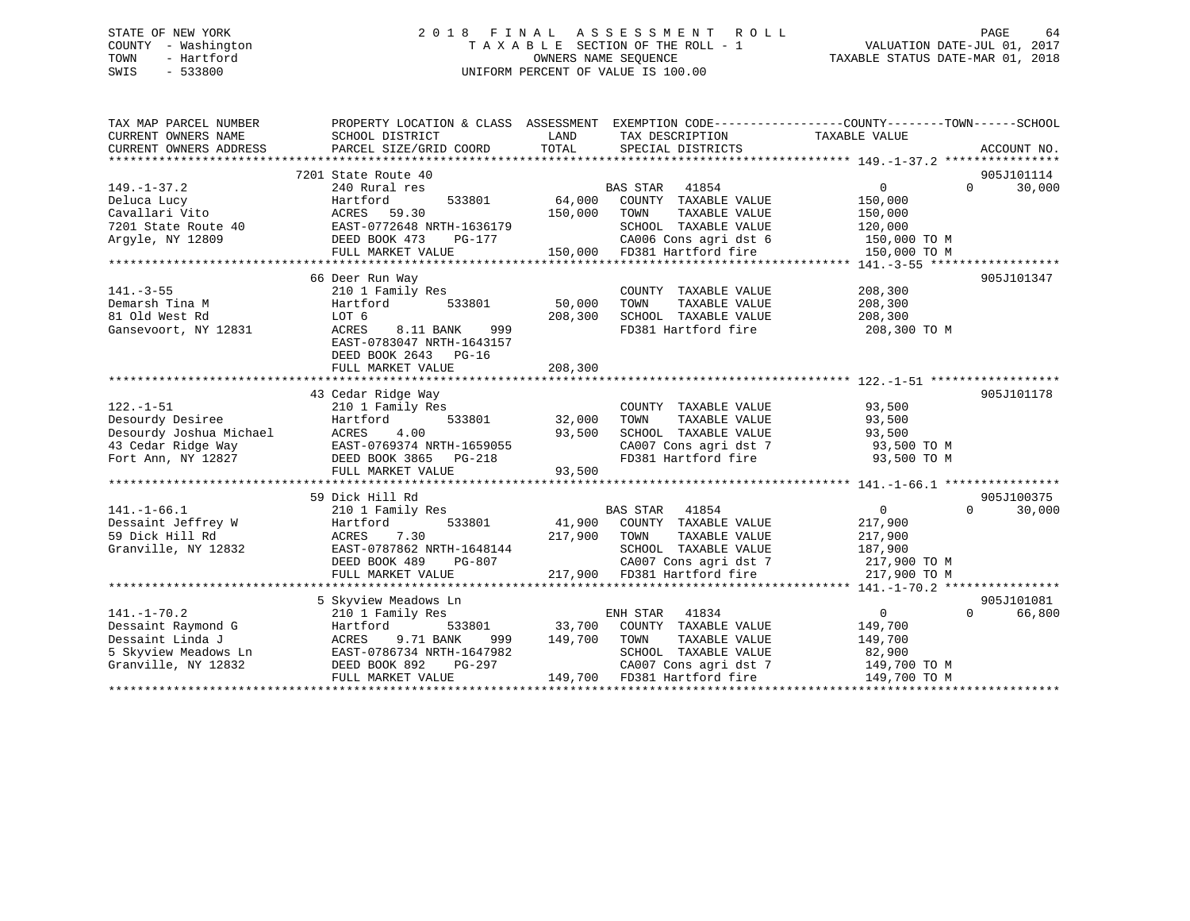### STATE OF NEW YORK 2 0 1 8 F I N A L A S S E S S M E N T R O L L PAGE 64 COUNTY - Washington T A X A B L E SECTION OF THE ROLL - 1 VALUATION DATE-JUL 01, 2017 TOWN - Hartford **TAXABLE STATUS DATE-MAR 01, 2018** OWNERS NAME SEQUENCE TAXABLE STATUS DATE-MAR 01, 2018 SWIS - 533800 UNIFORM PERCENT OF VALUE IS 100.00

| TAX MAP PARCEL NUMBER                                                              | PROPERTY LOCATION & CLASS ASSESSMENT EXEMPTION CODE---------------COUNTY-------TOWN-----SCHOOL |               |                                                                               |                                |                                  |  |
|------------------------------------------------------------------------------------|------------------------------------------------------------------------------------------------|---------------|-------------------------------------------------------------------------------|--------------------------------|----------------------------------|--|
| CURRENT OWNERS NAME                                                                | SCHOOL DISTRICT                                                                                | LAND          | TAX DESCRIPTION                                                               | TAXABLE VALUE                  |                                  |  |
| CURRENT OWNERS ADDRESS                                                             | PARCEL SIZE/GRID COORD                                                                         | TOTAL         | SPECIAL DISTRICTS                                                             |                                | ACCOUNT NO.                      |  |
|                                                                                    |                                                                                                |               |                                                                               |                                |                                  |  |
|                                                                                    | 7201 State Route 40                                                                            |               |                                                                               |                                | 905J101114                       |  |
| $149. - 1 - 37.2$                                                                  | 240 Rural res                                                                                  |               | <b>BAS STAR</b><br>41854                                                      | $\overline{0}$                 | $\Omega$<br>30,000               |  |
| Deluca Lucy                                                                        | Hartford<br>533801                                                                             | 64,000        | COUNTY TAXABLE VALUE                                                          | 150,000                        |                                  |  |
| Cavallari Vito                                                                     | ACRES<br>59.30                                                                                 | 150,000       | TAXABLE VALUE<br>TOWN                                                         | 150,000                        |                                  |  |
| 7201 State Route 40                                                                | 10<br>EAST-0772648 NRTH-1636179<br>DEED BOOK 473 PG-177                                        |               | SCHOOL TAXABLE VALUE                                                          | 120,000                        |                                  |  |
| Argyle, NY 12809                                                                   |                                                                                                |               | CA006 Cons agri dst 6<br>CA006 Cons agri dst 6<br>150,000 FD381 Hartford fire | 150,000 TO M                   |                                  |  |
|                                                                                    | FULL MARKET VALUE                                                                              |               |                                                                               | 150,000 TO M                   |                                  |  |
|                                                                                    |                                                                                                |               |                                                                               |                                |                                  |  |
|                                                                                    | 66 Deer Run Way                                                                                |               |                                                                               |                                | 905J101347                       |  |
| $141. - 3 - 55$                                                                    | 210 1 Family Res                                                                               |               | COUNTY TAXABLE VALUE                                                          | 208,300                        |                                  |  |
| Demarsh Tina M                                                                     | Hartford<br>533801                                                                             | 50,000        | TOWN<br>TAXABLE VALUE                                                         | 208,300                        |                                  |  |
| 81 Old West Rd                                                                     | LOT 6                                                                                          | 208,300       | SCHOOL TAXABLE VALUE                                                          | 208,300                        |                                  |  |
| Gansevoort, NY 12831                                                               | ACRES<br>8.11 BANK<br>999                                                                      |               | FD381 Hartford fire                                                           | 208,300 TO M                   |                                  |  |
|                                                                                    | EAST-0783047 NRTH-1643157                                                                      |               |                                                                               |                                |                                  |  |
|                                                                                    | DEED BOOK 2643 PG-16                                                                           |               |                                                                               |                                |                                  |  |
|                                                                                    | FULL MARKET VALUE                                                                              | 208,300       |                                                                               |                                |                                  |  |
|                                                                                    |                                                                                                |               |                                                                               |                                |                                  |  |
|                                                                                    | 43 Cedar Ridge Way                                                                             |               |                                                                               |                                | 905J101178                       |  |
| $122. - 1 - 51$                                                                    | 210 1 Family Res                                                                               | 533801 32,000 | COUNTY TAXABLE VALUE                                                          | 93,500                         |                                  |  |
| Desourdy Desiree                                                                   | Hartford                                                                                       |               | TOWN<br>TAXABLE VALUE                                                         | 93,500                         |                                  |  |
| Desourdy Joshua Michael ACRES 4.00<br>43 Cedar Ridge Way 885T-0769374 NRTH-1659055 |                                                                                                | 93,500        | SCHOOL TAXABLE VALUE 93,500<br>CA007 Cons agri dst 7 93,500 TO M              |                                |                                  |  |
|                                                                                    |                                                                                                |               |                                                                               |                                |                                  |  |
| Fort Ann, NY 12827                                                                 | DEED BOOK 3865 PG-218                                                                          |               | FD381 Hartford fire                                                           | 93,500 TO M                    |                                  |  |
|                                                                                    | FULL MARKET VALUE                                                                              | 93,500        |                                                                               |                                |                                  |  |
|                                                                                    |                                                                                                |               |                                                                               |                                |                                  |  |
|                                                                                    | 59 Dick Hill Rd                                                                                |               |                                                                               | $0 \qquad \qquad$              | 905J100375<br>30,000<br>$\Omega$ |  |
| $141. - 1 - 66.1$                                                                  | 210 1 Family Res                                                                               |               | BAS STAR 41854<br>41,900 COUNTY TAXABLE VALUE                                 |                                |                                  |  |
| Dessaint Jeffrey W<br>59 Dick Hill Rd                                              | 533801<br>Hartford<br>7.30<br>ACRES                                                            | 217,900 TOWN  | TAXABLE VALUE                                                                 | 217,900                        |                                  |  |
| Granville, NY 12832                                                                | EAST-0787862 NRTH-1648144                                                                      |               | SCHOOL TAXABLE VALUE                                                          | 217,900<br>187,900             |                                  |  |
|                                                                                    | <b>PG-807</b>                                                                                  |               | CA007 Cons agri dst 7                                                         | 217,900 TO M                   |                                  |  |
|                                                                                    | DEED BOOK 489<br>FULL MARKET VALUE                                                             |               | 217,900 FD381 Hartford fire                                                   | 217,900 TO M                   |                                  |  |
|                                                                                    |                                                                                                |               |                                                                               |                                |                                  |  |
|                                                                                    |                                                                                                |               |                                                                               |                                | 905J101081                       |  |
|                                                                                    | 5 Skyview Meadows Ln                                                                           |               |                                                                               |                                | $\Omega$                         |  |
| $141. - 1 - 70.2$                                                                  | 210 1 Family Res                                                                               |               | ENH STAR<br>41834                                                             | $\overline{0}$                 | 66,800                           |  |
| Dessaint Raymond G                                                                 | Hartford<br>533801<br>9.71 BANK                                                                |               | 33,700 COUNTY TAXABLE VALUE<br>149,700 TOWN TAXABLE VALUE                     | 149,700                        |                                  |  |
| Dessaint Linda J<br>5 Skyview Meadows Ln                                           | ACRES<br>999                                                                                   |               | TAXABLE VALUE                                                                 | 149,700                        |                                  |  |
|                                                                                    | EAST-0786734 NRTH-1647982                                                                      |               | SCHOOL TAXABLE VALUE                                                          | 82,900                         |                                  |  |
| Granville, NY 12832                                                                | DEED BOOK 892<br>PG-297<br>FULL MARKET VALUE                                                   |               | CA007 Cons agri dst 7<br>149,700 FD381 Hartford fire                          | $149,700$ TO M<br>149,700 TO M |                                  |  |
|                                                                                    |                                                                                                |               |                                                                               |                                |                                  |  |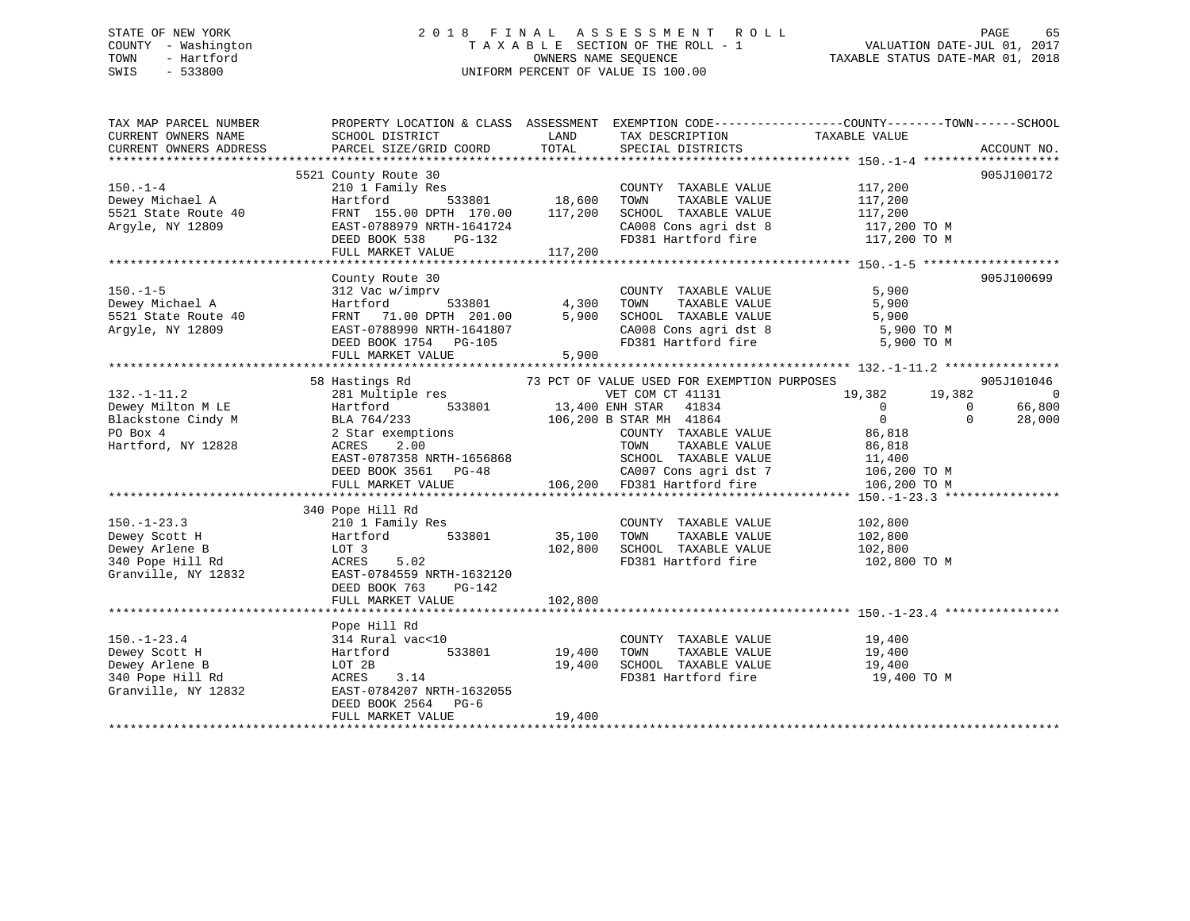### STATE OF NEW YORK 2 0 1 8 F I N A L A S S E S S M E N T R O L L PAGE 65 COUNTY - Washington T A X A B L E SECTION OF THE ROLL - 1 VALUATION DATE-JUL 01, 2017 TOWN - Hartford OWNERS NAME SEQUENCE TAXABLE STATUS DATE-MAR 01, 2018 SWIS - 533800 UNIFORM PERCENT OF VALUE IS 100.00

| TAX MAP PARCEL NUMBER<br>CURRENT OWNERS NAME<br>CURRENT OWNERS ADDRESS                                                           | SCHOOL DISTRICT<br>PARCEL SIZE/GRID COORD                                                                                                                                                                                                                                                                                                                                                                                             | LAND<br>TOTAL                | TAX DESCRIPTION<br>SPECIAL DISTRICTS                                                            | PROPERTY LOCATION & CLASS ASSESSMENT EXEMPTION CODE---------------COUNTY-------TOWN------SCHOOL<br>TAXABLE VALUE<br>ACCOUNT NO.                                                                                                   |
|----------------------------------------------------------------------------------------------------------------------------------|---------------------------------------------------------------------------------------------------------------------------------------------------------------------------------------------------------------------------------------------------------------------------------------------------------------------------------------------------------------------------------------------------------------------------------------|------------------------------|-------------------------------------------------------------------------------------------------|-----------------------------------------------------------------------------------------------------------------------------------------------------------------------------------------------------------------------------------|
| $150. - 1 - 4$<br>150.-1-4<br>Dewey Michael A<br>5521 State Route 40<br>------- NV 12809<br>Argyle, NY 12809                     | 5521 County Route 30<br>210 1 Family Res<br>Hartford<br>FRNT 155.00 DPTH 170.00 117,200<br>EAST-0788979 NRTH-1641724<br>DEED BOOK 538 PG-132<br>FULL MARKET VALUE 117,200                                                                                                                                                                                                                                                             | 533801 18,600                | COUNTY TAXABLE VALUE 117,200<br>TOWN<br>TAXABLE VALUE                                           | 905J100172<br>117,200<br>$\begin{tabular}{lllllllllll} \texttt{SCHOOL} & \texttt{TAXABLE VALUE} & & & & 117,200 \\ \texttt{CA008 Cons agri dst 8} & & & 117,200\texttt{\ TO M} \end{tabular}$<br>FD381 Hartford fire 117,200 TO M |
| $150. - 1 - 5$<br>Dewey Michael A<br>5521 State Route 40<br>Argyle, NY 12809                                                     | County Route 30<br>312 Vac w/imprv<br>Hartford 533801 4,300<br>FRNT 71.00 DPTH 201.00 5,900<br>EAST-0788990 NRTH-1641807<br>DEED BOOK 1754 PG-105<br>FULL MARKET VALUE                                                                                                                                                                                                                                                                | 5,900                        | COUNTY TAXABLE VALUE                                                                            | 905J100699<br>5,900<br>5,900<br>5,900<br>CA008 Cons agri dst 8 5,900 TO M<br>FD381 Hartford fire 5,900 TO M                                                                                                                       |
| $132. - 1 - 11.2$<br>Dewey Milton M LE Martford<br>Blackstone Cindy M BLA 764/233<br>PO Box 4 2 Star exemp<br>Hartford, NY 12828 | 58 Hastings Rd<br>281 Multiple res<br>$\begin{tabular}{lllllllllllll} \texttt{BLA} & 764/233 & & & & & 106,200 & \texttt{B} & \texttt{STAR} & \texttt{MH} & 41864 \\ 2 & \texttt{Star} & \texttt{exemptions} & & & & \texttt{COUNTY} & \texttt{TAXABLE} \\ \texttt{ACRES} & 2.00 & & & \texttt{TOWN} & \texttt{TAXABLE} \\ \texttt{EAST-0787358} & \texttt{NRTH-1656868} & & & & \texttt{SCHOOL} & \texttt{TAXABLE} \\ \end{tabular}$ |                              | 73 PCT OF VALUE USED FOR EXEMPTION PURPOSES<br>VET COM CT 41131<br>533801 13,400 ENH STAR 41834 | 905J101046<br>19,382 19,382<br>$\sim$ 0<br>$\overline{0}$<br>$\overline{0}$<br>66,800<br>$\overline{0}$<br>$\Omega$<br>28,000                                                                                                     |
| $150. - 1 - 23.3$<br>Dewey Scott H<br>Dewey Arlene B<br>340 Pope Hill Rd<br>Granville, NY 12832                                  | 340 Pope Hill Rd<br>$210 1 Family ResHartford 5LOT 3$<br>533801<br>ACRES 5.02<br>EAST-0784559 NRTH-1632120<br>DEED BOOK 763<br>PG-142<br>FULL MARKET VALUE                                                                                                                                                                                                                                                                            | 35,100<br>102,800<br>102,800 | COUNTY TAXABLE VALUE<br>TOWN<br>TAXABLE VALUE<br>SCHOOL TAXABLE VALUE                           | 102,800<br>102,800<br>102,800<br>FD381 Hartford fire 102,800 TO M                                                                                                                                                                 |
| $150. - 1 - 23.4$<br>Dewey Scott H<br>Dewey Arlene B<br>340 Pope Hill Rd<br>Granville, NY 12832                                  | Pope Hill Rd<br>314 Rural vac<10<br>533801<br>Hartford<br>LOT 2B<br>ACRES 3.14<br>EAST-0784207 NRTH-1632055<br>DEED BOOK 2564 PG-6<br>FULL MARKET VALUE                                                                                                                                                                                                                                                                               | 19,400<br>19,400<br>19,400   | COUNTY TAXABLE VALUE 19,400<br>TOWN      TAXABLE VALUE<br>SCHOOL   TAXABLE VALUE                | 19,400<br>19,400<br>FD381 Hartford fire 19,400 TO M                                                                                                                                                                               |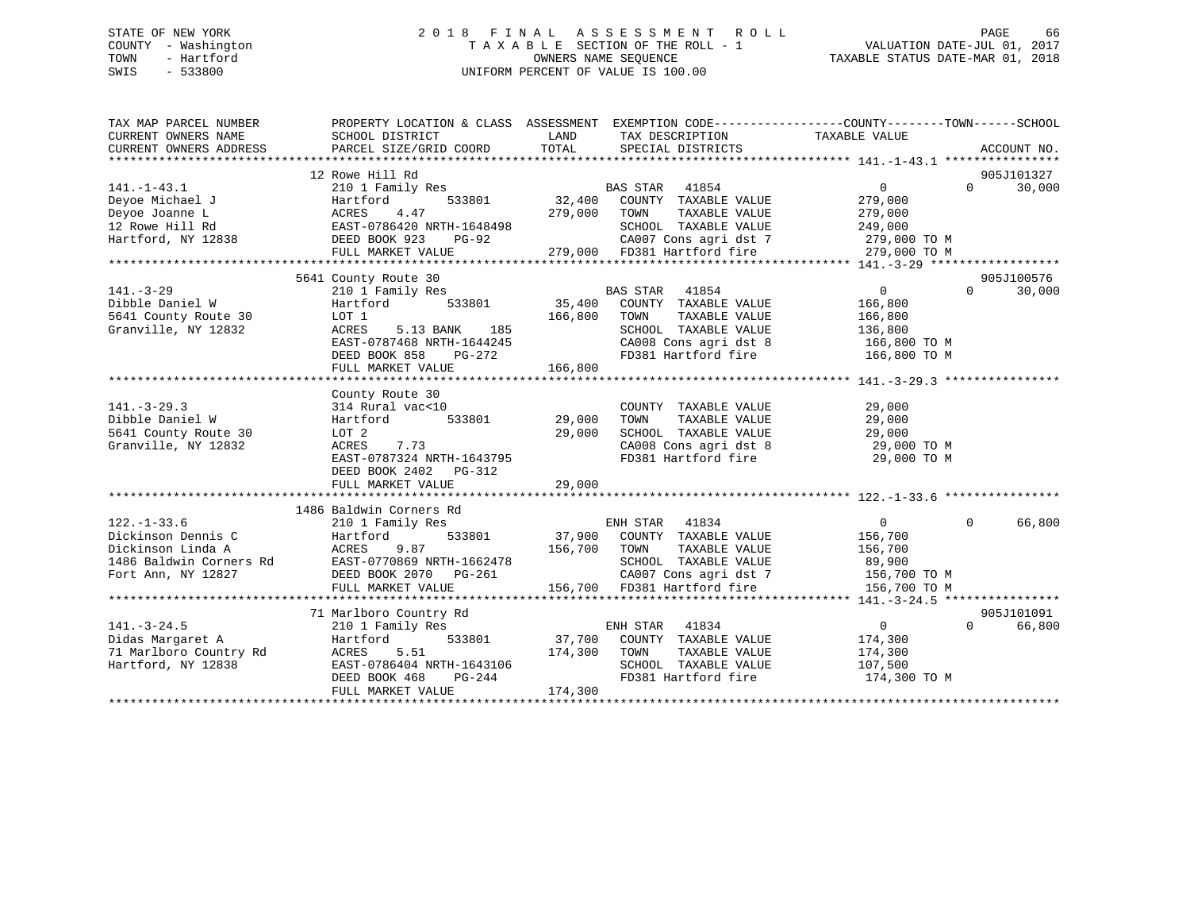### STATE OF NEW YORK 2 0 1 8 F I N A L A S S E S S M E N T R O L L PAGE 66 COUNTY - Washington T A X A B L E SECTION OF THE ROLL - 1 VALUATION DATE-JUL 01, 2017 TOWN - Hartford **TAXABLE STATUS DATE-MAR 01, 2018** OWNERS NAME SEQUENCE TAXABLE STATUS DATE-MAR 01, 2018 SWIS - 533800 UNIFORM PERCENT OF VALUE IS 100.00

| TAX MAP PARCEL NUMBER<br>CURRENT OWNERS NAME<br>CURRENT OWNERS ADDRESS | PROPERTY LOCATION & CLASS ASSESSMENT EXEMPTION CODE---------------COUNTY-------TOWN-----SCHOOL<br>SCHOOL DISTRICT<br>PARCEL SIZE/GRID COORD | LAND<br>TOTAL | TAX DESCRIPTION<br>SPECIAL DISTRICTS                                           | TAXABLE VALUE                      |          | ACCOUNT NO. |
|------------------------------------------------------------------------|---------------------------------------------------------------------------------------------------------------------------------------------|---------------|--------------------------------------------------------------------------------|------------------------------------|----------|-------------|
|                                                                        |                                                                                                                                             |               |                                                                                |                                    |          |             |
|                                                                        | 12 Rowe Hill Rd                                                                                                                             |               |                                                                                |                                    |          | 905J101327  |
| $141. - 1 - 43.1$                                                      | 210 1 Family Res                                                                                                                            |               | BAS STAR 41854                                                                 | $\Omega$                           | $\Omega$ | 30,000      |
| Deyoe Michael J                                                        | 533801<br>Hartford                                                                                                                          | 32,400        | COUNTY TAXABLE VALUE                                                           | 279,000                            |          |             |
| Deyoe Joanne L                                                         | 4.47<br>ACRES                                                                                                                               | 279,000       | TOWN<br>TAXABLE VALUE                                                          | 279,000                            |          |             |
| 12 Rowe Hill Rd                                                        | EAST-0786420 NRTH-1648498                                                                                                                   |               | SCHOOL TAXABLE VALUE                                                           | 249,000                            |          |             |
| Hartford, NY 12838                                                     | DEED BOOK 923<br>PG-92                                                                                                                      |               |                                                                                |                                    |          |             |
|                                                                        | FULL MARKET VALUE                                                                                                                           |               | CA007 Cons agri dst 7 279,000 TO M<br>279,000 FD381 Hartford fire 279,000 TO M |                                    |          |             |
|                                                                        |                                                                                                                                             |               |                                                                                |                                    |          |             |
|                                                                        | 5641 County Route 30                                                                                                                        |               |                                                                                |                                    |          | 905J100576  |
| $141. - 3 - 29$                                                        | 210 1 Family Res                                                                                                                            |               | 41854<br><b>BAS STAR</b>                                                       | $\overline{0}$                     | $\Omega$ | 30,000      |
| Dibble Daniel W                                                        | 533801<br>Hartford                                                                                                                          |               | 35,400 COUNTY TAXABLE VALUE                                                    | 166,800                            |          |             |
| 5641 County Route 30                                                   | LOT 1                                                                                                                                       | 166,800       | TAXABLE VALUE<br>TOWN                                                          | 166,800                            |          |             |
| Granville, NY 12832                                                    | 185<br>ACRES<br>5.13 BANK                                                                                                                   |               | SCHOOL TAXABLE VALUE                                                           | 136,800                            |          |             |
|                                                                        | EAST-0787468 NRTH-1644245                                                                                                                   |               | CA008 Cons agri dst 8<br>CA008 Cons agri dst 8<br>FD381 Hartford fire          | 166,800 TO M                       |          |             |
|                                                                        | DEED BOOK 858<br>PG-272                                                                                                                     |               |                                                                                | 166,800 ТО М                       |          |             |
|                                                                        | FULL MARKET VALUE                                                                                                                           | 166,800       |                                                                                |                                    |          |             |
|                                                                        |                                                                                                                                             |               |                                                                                |                                    |          |             |
|                                                                        | County Route 30                                                                                                                             |               |                                                                                |                                    |          |             |
| $141. - 3 - 29.3$                                                      | 314 Rural vac<10                                                                                                                            |               | COUNTY TAXABLE VALUE                                                           | 29,000                             |          |             |
| Dibble Daniel W                                                        | 533801<br>Hartford                                                                                                                          | 29,000        | TAXABLE VALUE<br>TOWN                                                          | 29,000                             |          |             |
| 5641 County Route 30                                                   | LOT 2                                                                                                                                       | 29,000        | SCHOOL TAXABLE VALUE                                                           | 29,000                             |          |             |
| Granville, NY 12832                                                    | ACRES<br>7.73                                                                                                                               |               | CA008 Cons agri dst 8                                                          | 29,000 TO M                        |          |             |
|                                                                        | EAST-0787324 NRTH-1643795                                                                                                                   |               | FD381 Hartford fire                                                            | 29,000 TO M                        |          |             |
|                                                                        | DEED BOOK 2402 PG-312                                                                                                                       |               |                                                                                |                                    |          |             |
|                                                                        | FULL MARKET VALUE                                                                                                                           | 29,000        |                                                                                |                                    |          |             |
|                                                                        | 1486 Baldwin Corners Rd                                                                                                                     |               |                                                                                |                                    |          |             |
| $122. - 1 - 33.6$                                                      | 210 1 Family Res                                                                                                                            |               | 41834<br>ENH STAR                                                              | $\overline{0}$                     | $\Omega$ | 66,800      |
| Dickinson Dennis C                                                     | Hartford<br>533801                                                                                                                          |               | 37,900 COUNTY TAXABLE VALUE                                                    | 156,700                            |          |             |
| Dickinson Linda A                                                      | ACRES<br>9.87                                                                                                                               | 156,700       | TOWN<br>TAXABLE VALUE                                                          | 156,700                            |          |             |
| 1486 Baldwin Corners Rd                                                | EAST-0770869 NRTH-1662478                                                                                                                   |               | SCHOOL TAXABLE VALUE                                                           | 89,900                             |          |             |
| Fort Ann, NY 12827                                                     | DEED BOOK 2070    PG-261                                                                                                                    |               |                                                                                | CA007 Cons agri dst 7 156,700 TO M |          |             |
|                                                                        | FULL MARKET VALUE                                                                                                                           |               | 156,700 FD381 Hartford fire                                                    | 156,700 TO M                       |          |             |
|                                                                        |                                                                                                                                             |               |                                                                                |                                    |          |             |
|                                                                        | 71 Marlboro Country Rd                                                                                                                      |               |                                                                                |                                    |          | 905J101091  |
| $141. - 3 - 24.5$                                                      | 210 1 Family Res                                                                                                                            |               | ENH STAR 41834                                                                 | $\overline{0}$                     | $\Omega$ | 66,800      |
| Didas Margaret A                                                       | 533801<br>Hartford                                                                                                                          |               | 37,700 COUNTY TAXABLE VALUE                                                    | 174,300                            |          |             |
| 71 Marlboro Country Rd                                                 | 5.51<br>ACRES                                                                                                                               | 174,300       | TOWN<br>TAXABLE VALUE                                                          | 174,300                            |          |             |
| Hartford, NY 12838                                                     | EAST-0786404 NRTH-1643106                                                                                                                   |               | SCHOOL TAXABLE VALUE                                                           | 107,500                            |          |             |
|                                                                        | PG-244<br>DEED BOOK 468                                                                                                                     |               | FD381 Hartford fire                                                            | 174,300 TO M                       |          |             |
|                                                                        | FULL MARKET VALUE                                                                                                                           | 174,300       |                                                                                |                                    |          |             |
|                                                                        |                                                                                                                                             |               |                                                                                |                                    |          |             |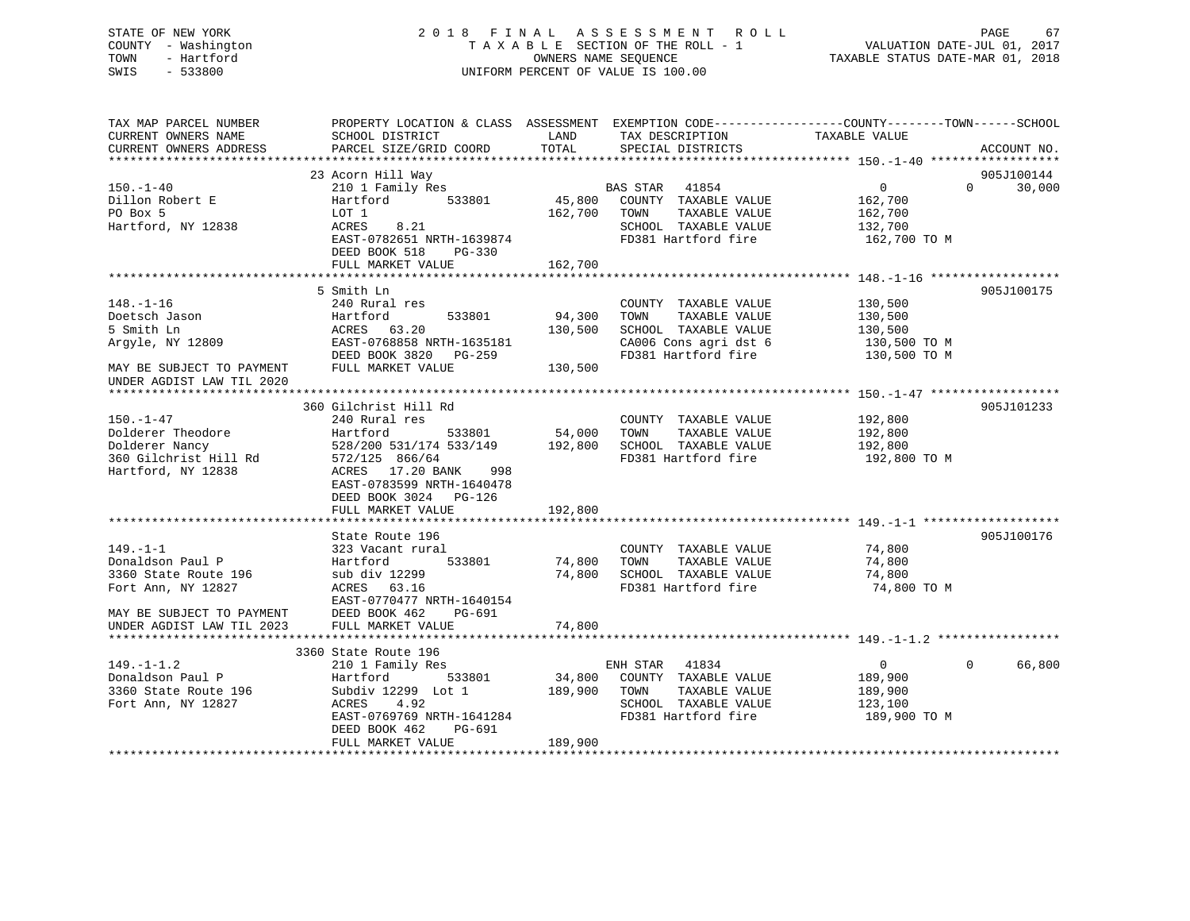# COUNTY - Washington  $T A X A B L E$  SECTION OF THE ROLL - 1<br>TOWN - Hartford SWIS - 533800 UNIFORM PERCENT OF VALUE IS 100.00

TAXABLE STATUS DATE-MAR 01, 2018

| TAX MAP PARCEL NUMBER                                  | PROPERTY LOCATION & CLASS ASSESSMENT EXEMPTION CODE----------------COUNTY-------TOWN-----SCHOOL |         |                                               |                               |             |
|--------------------------------------------------------|-------------------------------------------------------------------------------------------------|---------|-----------------------------------------------|-------------------------------|-------------|
| CURRENT OWNERS NAME                                    | SCHOOL DISTRICT                                                                                 | LAND    | TAX DESCRIPTION                               | TAXABLE VALUE                 |             |
| CURRENT OWNERS ADDRESS                                 | PARCEL SIZE/GRID COORD                                                                          | TOTAL   | SPECIAL DISTRICTS                             |                               | ACCOUNT NO. |
|                                                        |                                                                                                 |         |                                               |                               |             |
|                                                        | 23 Acorn Hill Way                                                                               |         |                                               |                               | 905J100144  |
| $150. - 1 - 40$                                        | 210 1 Family Res                                                                                |         |                                               | $0 \qquad \qquad$<br>$\Omega$ | 30,000      |
| Dillon Robert E                                        | Hartford 533801                                                                                 |         | BAS STAR 41854<br>45,800 COUNTY TAXABLE VALUE | 162,700                       |             |
| PO Box 5                                               | LOT 1                                                                                           | 162,700 | TAXABLE VALUE<br>TOWN                         | 162,700<br>132,700            |             |
| Hartford, NY 12838                                     | ACRES 8.21                                                                                      |         | SCHOOL TAXABLE VALUE                          |                               |             |
|                                                        | EAST-0782651 NRTH-1639874                                                                       |         | FD381 Hartford fire 162,700 TO M              |                               |             |
|                                                        | DEED BOOK 518 PG-330                                                                            |         |                                               |                               |             |
|                                                        | FULL MARKET VALUE                                                                               | 162,700 |                                               |                               |             |
|                                                        |                                                                                                 |         |                                               |                               |             |
|                                                        | 5 Smith Ln                                                                                      |         |                                               |                               | 905J100175  |
| $148. - 1 - 16$                                        | 240 Rural res                                                                                   |         | COUNTY TAXABLE VALUE                          | 130,500                       |             |
| Doetsch Jason                                          | 533801 94,300                                                                                   |         | TOWN<br>TAXABLE VALUE                         | 130,500                       |             |
| 5 Smith Ln                                             | Hartford          !<br>ACRES    63.20                                                           | 130,500 | SCHOOL TAXABLE VALUE                          | 130,500                       |             |
| Argyle, NY 12809                                       | EAST-0768858 NRTH-1635181                                                                       |         | CA006 Cons agri dst 6 130,500 TO M            |                               |             |
|                                                        | DEED BOOK 3820 PG-259                                                                           |         | FD381 Hartford fire                           | 130,500 TO M                  |             |
|                                                        |                                                                                                 | 130,500 |                                               |                               |             |
| MAY BE SUBJECT TO PAYMENT FULL MARKET VALUE            |                                                                                                 |         |                                               |                               |             |
| UNDER AGDIST LAW TIL 2020                              |                                                                                                 |         |                                               |                               |             |
|                                                        |                                                                                                 |         |                                               |                               |             |
|                                                        | 360 Gilchrist Hill Rd                                                                           |         |                                               |                               | 905J101233  |
| $150. - 1 - 47$                                        | 240 Rural res                                                                                   |         | COUNTY TAXABLE VALUE                          | 192,800                       |             |
| Dolderer Theodore                                      | Hartford<br>533801                                                                              | 54,000  | TAXABLE VALUE<br>TOWN                         | 192,800                       |             |
| Dolderer Nancy                                         | 528/200 531/174 533/149 192,800                                                                 |         | SCHOOL TAXABLE VALUE                          | 192,800                       |             |
| 360 Gilchrist Hill Rd<br>Hartford, NY 12838            | 572/125 866/64                                                                                  |         | FD381 Hartford fire                           | 192,800 TO M                  |             |
| Hartford, NY 12838                                     | ACRES 17.20 BANK<br>998                                                                         |         |                                               |                               |             |
|                                                        | EAST-0783599 NRTH-1640478                                                                       |         |                                               |                               |             |
|                                                        | DEED BOOK 3024 PG-126                                                                           |         |                                               |                               |             |
|                                                        | FULL MARKET VALUE                                                                               | 192,800 |                                               |                               |             |
|                                                        |                                                                                                 |         |                                               |                               |             |
|                                                        | State Route 196                                                                                 |         |                                               |                               | 905J100176  |
| $149. - 1 - 1$                                         | 323 Vacant rural                                                                                |         | COUNTY TAXABLE VALUE                          | 74,800                        |             |
| Donaldson Paul P                                       | Hartford 533801                                                                                 |         | 74,800 TOWN TAXABLE VALUE                     | 74,800                        |             |
| 3360 State Route 196                                   | sub div 12299                                                                                   | 74,800  | SCHOOL TAXABLE VALUE                          | 74,800                        |             |
| Fort Ann, NY 12827                                     | ACRES 63.16                                                                                     |         | FD381 Hartford fire                           | 74,800 TO M                   |             |
|                                                        | EAST-0770477 NRTH-1640154                                                                       |         |                                               |                               |             |
|                                                        | DEED BOOK 462<br>PG-691                                                                         |         |                                               |                               |             |
| MAY BE SUBJECT TO PAYMENT<br>UNDER AGDIST LAW TIL 2023 | FULL MARKET VALUE                                                                               | 74,800  |                                               |                               |             |
|                                                        |                                                                                                 |         |                                               |                               |             |
|                                                        | 3360 State Route 196                                                                            |         |                                               |                               |             |
| $149. - 1 - 1.2$                                       | 210 1 Family Res                                                                                |         | ENH STAR 41834                                | $\overline{0}$<br>$\Omega$    | 66,800      |
| Donaldson Paul P                                       | 533801<br>Hartford                                                                              |         | 34,800 COUNTY TAXABLE VALUE                   | 189,900                       |             |
| 3360 State Route 196                                   | Subdiv 12299 Lot 1 189,900 TOWN                                                                 |         | TAXABLE VALUE                                 | 189,900                       |             |
| Fort Ann, NY 12827                                     | 4.92<br>ACRES                                                                                   |         | SCHOOL TAXABLE VALUE                          | 123,100                       |             |
|                                                        | EAST-0769769 NRTH-1641284                                                                       |         | FD381 Hartford fire                           | 189,900 TO M                  |             |
|                                                        | PG-691<br>DEED BOOK 462                                                                         |         |                                               |                               |             |
|                                                        | FULL MARKET VALUE                                                                               | 189,900 |                                               |                               |             |
|                                                        |                                                                                                 |         |                                               |                               |             |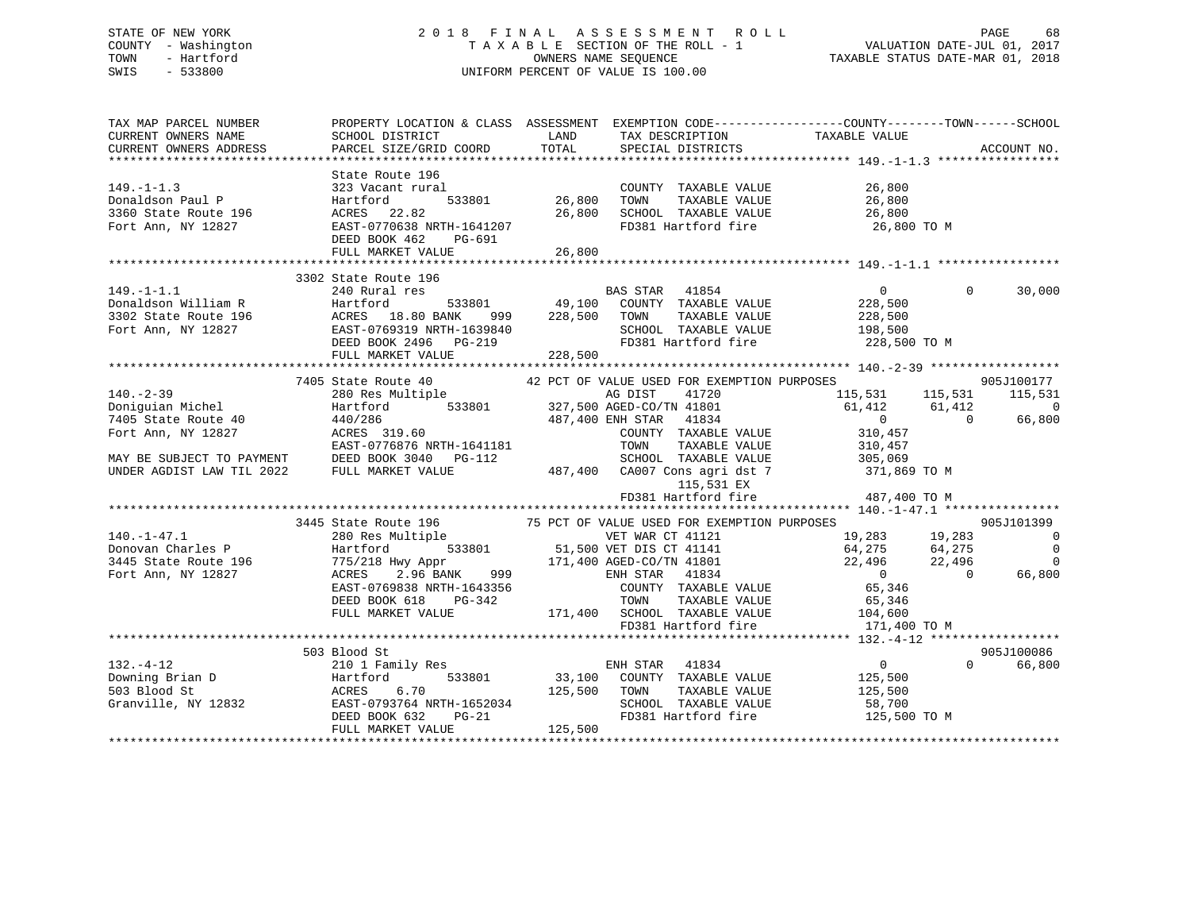### STATE OF NEW YORK 2 0 1 8 F I N A L A S S E S S M E N T R O L L PAGE 68 COUNTY - Washington T A X A B L E SECTION OF THE ROLL - 1 VALUATION DATE-JUL 01, 2017 TOWN - Hartford **TAXABLE STATUS DATE-MAR 01, 2018** OWNERS NAME SEQUENCE TAXABLE STATUS DATE-MAR 01, 2018 SWIS - 533800 UNIFORM PERCENT OF VALUE IS 100.00

| TAX MAP PARCEL NUMBER<br>CURRENT OWNERS NAME | PROPERTY LOCATION & CLASS ASSESSMENT EXEMPTION CODE---------------COUNTY-------TOWN-----SCHOOL<br>SCHOOL DISTRICT LAND                                                                                                                                                                                                                                                                                                                                                                                                                                                   |        | TAX DESCRIPTION                                                 | TAXABLE VALUE                                                        |                |                                     |
|----------------------------------------------|--------------------------------------------------------------------------------------------------------------------------------------------------------------------------------------------------------------------------------------------------------------------------------------------------------------------------------------------------------------------------------------------------------------------------------------------------------------------------------------------------------------------------------------------------------------------------|--------|-----------------------------------------------------------------|----------------------------------------------------------------------|----------------|-------------------------------------|
| CURRENT OWNERS ADDRESS                       | PARCEL SIZE/GRID COORD                                                                                                                                                                                                                                                                                                                                                                                                                                                                                                                                                   | TOTAL  | SPECIAL DISTRICTS                                               |                                                                      |                | ACCOUNT NO.                         |
|                                              | State Route 196                                                                                                                                                                                                                                                                                                                                                                                                                                                                                                                                                          |        |                                                                 |                                                                      |                |                                     |
| $149. -1 - 1.3$                              | 323 Vacant rural                                                                                                                                                                                                                                                                                                                                                                                                                                                                                                                                                         |        | COUNTY TAXABLE VALUE 26,800                                     |                                                                      |                |                                     |
|                                              | DEED BOOK 462 PG-691<br>FULL MARKET VALUE                                                                                                                                                                                                                                                                                                                                                                                                                                                                                                                                | 26,800 |                                                                 |                                                                      |                |                                     |
|                                              |                                                                                                                                                                                                                                                                                                                                                                                                                                                                                                                                                                          |        |                                                                 |                                                                      |                |                                     |
|                                              | 3302 State Route 196<br>3302 State Route 196<br>240 Rural res<br>240 Rural res<br>240 Rural res<br>240 Rural res<br>240 Rural res<br>23801<br>298,500 TOWN TAXABLE VALUE<br>228,500<br>228,500 TOWN TAXABLE VALUE<br>228,500<br>228,500 SCHOOL TAXABLE VALUE<br>228,500 TOWN T                                                                                                                                                                                                                                                                                           |        |                                                                 |                                                                      |                | $\Omega$<br>30,000                  |
|                                              |                                                                                                                                                                                                                                                                                                                                                                                                                                                                                                                                                                          |        |                                                                 |                                                                      |                | 905J100177                          |
|                                              |                                                                                                                                                                                                                                                                                                                                                                                                                                                                                                                                                                          |        |                                                                 | 115,531 115,531<br>$61,412$ $61,412$                                 | $\overline{0}$ | 115,531<br>$\overline{0}$<br>66,800 |
|                                              |                                                                                                                                                                                                                                                                                                                                                                                                                                                                                                                                                                          |        | 115,531 EX<br>FD381 Hartford fire 487,400 TO M                  |                                                                      |                |                                     |
|                                              |                                                                                                                                                                                                                                                                                                                                                                                                                                                                                                                                                                          |        |                                                                 |                                                                      |                |                                     |
|                                              | 3445 State Route 196 75 PCT OF VALUE USED FOR EXEMPTION PURPOSES<br>280 Res Multiple VET WAR CT 41121 19,283 19,283<br>Hartford 533801 51,500 VET DIS CT 41141 64,275 64,275<br>$\begin{tabular}{lllllllllllll} 140.-1-47.1 & 3445\,\,\mathrm{5}\,\mathrm{2}\,\mathrm{80}\,\mathrm{R}\,\mathrm{cm} & 140\,\mathrm{m} & 140\,\mathrm{m} & 140\,\mathrm{m} & 140\,\mathrm{m} & 140\,\mathrm{m} & 140\,\mathrm{m} & 140\,\mathrm{m} & 140\,\mathrm{m} & 140\,\mathrm{m} & 140\,\mathrm{m} & 140\,\mathrm{m} & 140\,\mathrm{m} & 140\,\mathrm{m} & 140\,\mathrm{m} & 140\,\$ |        |                                                                 |                                                                      |                | 905J101399                          |
|                                              |                                                                                                                                                                                                                                                                                                                                                                                                                                                                                                                                                                          |        |                                                                 |                                                                      |                |                                     |
|                                              |                                                                                                                                                                                                                                                                                                                                                                                                                                                                                                                                                                          |        |                                                                 |                                                                      |                |                                     |
|                                              | 503 Blood St<br>132.-4-12<br>Downing Brian D<br>ENH STAR 41834<br>Downing Brian D<br>Hartford 533801 33,100 COUNTY TAXABLE VALUE<br>503 Blood St<br>Granville, NY 12832 EAST-0793764 NRTH-1652034 SCHOOL TAXABLE VALUE<br>DEED BOOK 632 PG-21 FD381 Hartford                                                                                                                                                                                                                                                                                                             |        | SCHOOL TAXABLE VALUE 58,700<br>FD381 Hartford fire 125,500 TO M | $\begin{array}{c} 0 \\ 125,500 \end{array}$<br>TAXABLE VALUE 125,500 | $\Omega$       | 905J100086<br>66,800                |
|                                              |                                                                                                                                                                                                                                                                                                                                                                                                                                                                                                                                                                          |        |                                                                 |                                                                      |                |                                     |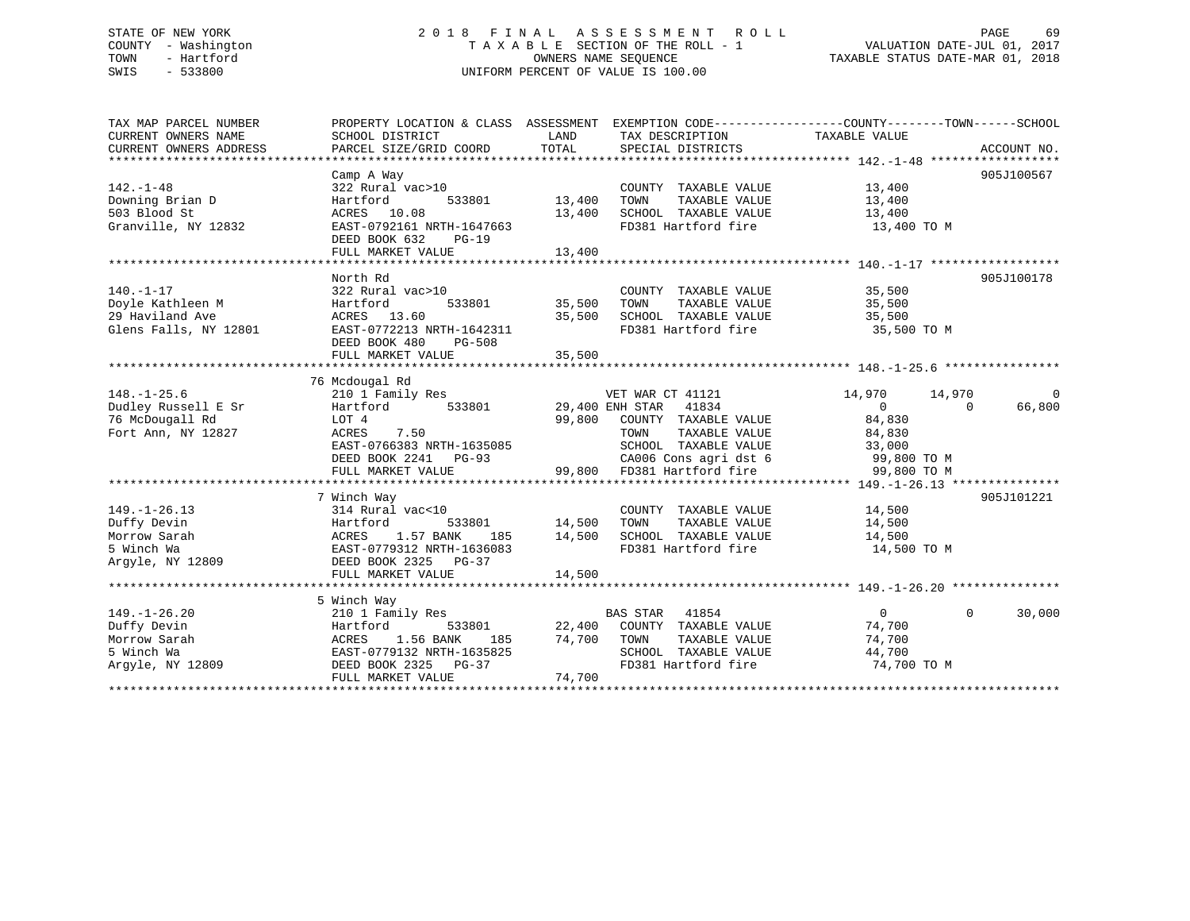### STATE OF NEW YORK 2 0 1 8 F I N A L A S S E S S M E N T R O L L PAGE 69 COUNTY - Washington T A X A B L E SECTION OF THE ROLL - 1 VALUATION DATE-JUL 01, 2017 TOWN - Hartford **TAXABLE STATUS DATE-MAR 01, 2018** OWNERS NAME SEQUENCE TAXABLE STATUS DATE-MAR 01, 2018 SWIS - 533800 UNIFORM PERCENT OF VALUE IS 100.00

| TAX MAP PARCEL NUMBER  | PROPERTY LOCATION & CLASS ASSESSMENT EXEMPTION CODE---------------COUNTY-------TOWN-----SCHOOL |               |                                                    |                     |                    |
|------------------------|------------------------------------------------------------------------------------------------|---------------|----------------------------------------------------|---------------------|--------------------|
| CURRENT OWNERS NAME    | SCHOOL DISTRICT                                                                                | LAND          | TAX DESCRIPTION                                    | TAXABLE VALUE       |                    |
| CURRENT OWNERS ADDRESS | PARCEL SIZE/GRID COORD                                                                         | TOTAL         | SPECIAL DISTRICTS                                  |                     | ACCOUNT NO.        |
|                        |                                                                                                |               |                                                    |                     |                    |
|                        | Camp A Way                                                                                     |               |                                                    | $\frac{13,400}{12}$ | 905J100567         |
| $142. - 1 - 48$        | 322 Rural vac>10                                                                               | 13,400        | COUNTY TAXABLE VALUE                               |                     |                    |
| Downing Brian D        | Hartford 533801                                                                                |               | TAXABLE VALUE<br>TOWN                              |                     |                    |
| 503 Blood St           | ACRES 10.08                                                                                    |               | 13,400 SCHOOL TAXABLE VALUE                        | 13,400              |                    |
| Granville, NY 12832    | EAST-0792161 NRTH-1647663                                                                      |               | FD381 Hartford fire                                | 13,400 TO M         |                    |
|                        | DEED BOOK 632 PG-19                                                                            |               |                                                    |                     |                    |
|                        | FULL MARKET VALUE                                                                              | 13,400        |                                                    |                     |                    |
|                        |                                                                                                |               |                                                    |                     |                    |
|                        | North Rd                                                                                       |               |                                                    |                     | 905J100178         |
| $140. - 1 - 17$        | 322 Rural vac>10                                                                               |               | COUNTY TAXABLE VALUE                               | 35,500              |                    |
| Doyle Kathleen M       | 533801<br>Hartford                                                                             | 35,500        | TOWN<br>TAXABLE VALUE                              | 35,500              |                    |
| 29 Haviland Ave        | ACRES 13.60                                                                                    |               | 35,500 SCHOOL TAXABLE VALUE<br>FD381 Hartford fire | 35,500              |                    |
| Glens Falls, NY 12801  | EAST-0772213 NRTH-1642311                                                                      |               |                                                    | 35,500 TO M         |                    |
|                        | DEED BOOK 480<br>PG-508                                                                        |               |                                                    |                     |                    |
|                        |                                                                                                |               |                                                    |                     |                    |
|                        | 76 Mcdougal Rd                                                                                 |               |                                                    |                     |                    |
| $148. - 1 - 25.6$      |                                                                                                |               | VET WAR CT 41121                                   | 14,970 14,970       | $\Omega$           |
| Dudley Russell E Sr    | 210 1 Family Res WET WAR CT 41121<br>Hartford 533801 29,400 ENH STAR 41834                     |               |                                                    | $\overline{0}$      | 66,800<br>$\Omega$ |
| 76 McDougall Rd        | LOT 4                                                                                          |               | 99,800 COUNTY TAXABLE VALUE                        | 84,830              |                    |
| Fort Ann, NY 12827     | ACRES<br>7.50                                                                                  |               | TAXABLE VALUE<br>TOWN                              | 84,830              |                    |
|                        | EAST-0766383 NRTH-1635085                                                                      |               | SCHOOL TAXABLE VALUE                               | 33,000              |                    |
|                        | DEED BOOK 2241 PG-93                                                                           |               | CA006 Cons agri dst 6                              | 99,800 TO M         |                    |
|                        | FULL MARKET VALUE                                                                              |               | 99,800 FD381 Hartford fire                         | 99,800 TO M         |                    |
|                        |                                                                                                |               |                                                    |                     |                    |
|                        | 7 Winch Way                                                                                    |               |                                                    |                     | 905J101221         |
| $149. - 1 - 26.13$     | 314 Rural vac<10                                                                               |               | COUNTY TAXABLE VALUE 14,500                        |                     |                    |
| Duffy Devin            | Hartford                                                                                       | 533801 14,500 | TOWN<br>TAXABLE VALUE                              | 14,500              |                    |
| Morrow Sarah           | ACRES 1.57 BANK                                                                                |               | 185 14,500 SCHOOL TAXABLE VALUE                    | 14,500              |                    |
| 5 Winch Wa             | EAST-0779312 NRTH-1636083                                                                      |               | FD381 Hartford fire                                | 14,500 TO M         |                    |
| Argyle, NY 12809       | DEED BOOK 2325 PG-37                                                                           |               |                                                    |                     |                    |
|                        | FULL MARKET VALUE                                                                              | 14,500        |                                                    |                     |                    |
|                        |                                                                                                |               |                                                    |                     |                    |
|                        | 5 Winch Way                                                                                    |               |                                                    |                     |                    |
| $149. - 1 - 26.20$     | 210 1 Family Res                                                                               |               |                                                    | $\overline{0}$      | $\Omega$<br>30,000 |
| Duffy Devin            | Hartford                                                                                       |               |                                                    | 74,700              |                    |
| Morrow Sarah           | ACRES 1.56 BANK                                                                                |               |                                                    | 74,700              |                    |
| 5 Winch Wa             | EAST-0779132 NRTH-1635825                                                                      |               | SCHOOL TAXABLE VALUE                               | 44,700              |                    |
| Argyle, NY 12809       | DEED BOOK 2325 PG-37                                                                           |               | FD381 Hartford fire                                | 74,700 TO M         |                    |
|                        | FULL MARKET VALUE                                                                              | 74,700        |                                                    |                     |                    |
|                        |                                                                                                |               |                                                    |                     |                    |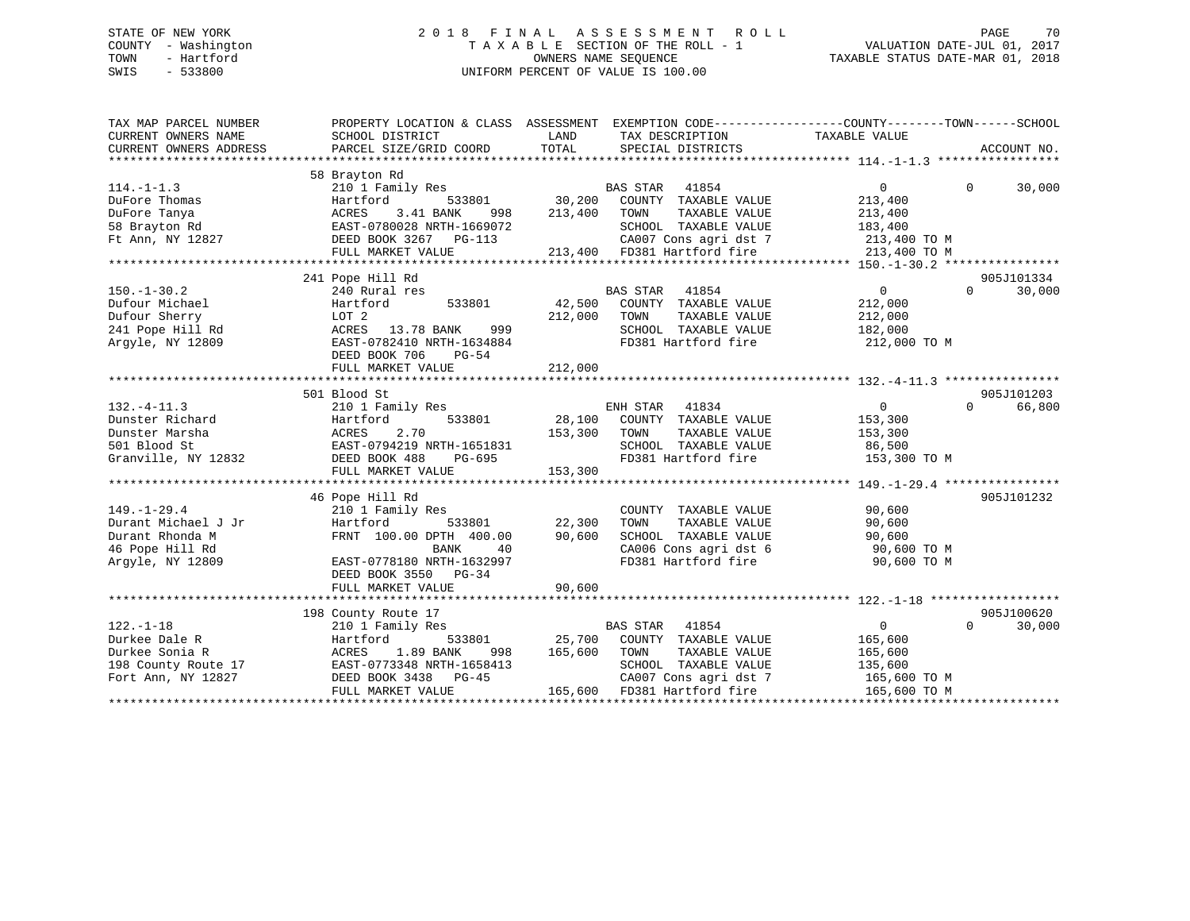#### STATE OF NEW YORK 2 0 1 8 F I N A L A S S E S S M E N T R O L L PAGE 70COUNTY - Washington  $\begin{array}{ccc}\n\text{T A X A B L E} & \text{SECTION OF THE ROLL - 1} \\
\text{TWN} & - \text{ Hartford}\n\end{array}$ OWNERS NAME SEQUENCE TAXABLE STATUS DATE-MAR 01, 2018 SWIS - 533800 UNIFORM PERCENT OF VALUE IS 100.00

| TAX MAP PARCEL NUMBER<br>CURRENT OWNERS ADDRESS     | PROPERTY LOCATION & CLASS ASSESSMENT EXEMPTION CODE----------------COUNTY-------TOWN-----SCHOOL                                                                                          |                  |                                                                                            |                |                        |
|-----------------------------------------------------|------------------------------------------------------------------------------------------------------------------------------------------------------------------------------------------|------------------|--------------------------------------------------------------------------------------------|----------------|------------------------|
|                                                     |                                                                                                                                                                                          |                  |                                                                                            |                |                        |
| $114. - 1 - 1.3$                                    | 58 Brayton Rd<br>210 1 Family Res<br>PULFOTE Thomas<br>DuFore Tanya (Barrier Macris 1.41 BANK 998<br>58 Brayton Rd (BAST-0780028 NRTH-1669072<br>Ft Ann, NY 12827 (BEED BOOK 3267 PG-113 |                  | BAS STAR 41854<br>533801 30,200 COUNTY TAXABLE VALUE<br>ANK 998 213,400 TOWN TAXABLE VALUE | $\mathbf{0}$   | $\Omega$<br>30,000     |
|                                                     |                                                                                                                                                                                          |                  |                                                                                            | 213,400        |                        |
|                                                     |                                                                                                                                                                                          |                  |                                                                                            | 213,400        |                        |
|                                                     |                                                                                                                                                                                          |                  | SCHOOL TAXABLE VALUE                                                                       | 183,400        |                        |
|                                                     |                                                                                                                                                                                          |                  |                                                                                            |                |                        |
|                                                     |                                                                                                                                                                                          |                  | 3 $CA007$ Cons agri dst 7 $213,400$ TO M $213,400$ FD381 Hartford fire $213,400$ TO M      |                |                        |
|                                                     |                                                                                                                                                                                          |                  |                                                                                            |                |                        |
|                                                     | 241 Pope Hill Rd                                                                                                                                                                         |                  |                                                                                            |                | 905J101334             |
| $150. - 1 - 30.2$                                   | 240 Rural res                                                                                                                                                                            |                  | BAS STAR<br>41854                                                                          | $\overline{0}$ | $\Omega$<br>30,000     |
| Dufour Michael                                      | Hartford<br>533801                                                                                                                                                                       |                  | 42,500 COUNTY TAXABLE VALUE                                                                | 212,000        |                        |
| Dufour Sherry                                       | LOT 2                                                                                                                                                                                    | 212,000          | TAXABLE VALUE<br>TOWN                                                                      | 212,000        |                        |
| 241 Pope Hill Rd                                    | 999<br>ACRES 13.78 BANK                                                                                                                                                                  |                  | SCHOOL TAXABLE VALUE                                                                       | 182,000        |                        |
| Argyle, NY 12809                                    | EAST-0782410 NRTH-1634884                                                                                                                                                                |                  | FD381 Hartford fire                                                                        | 212,000 TO M   |                        |
|                                                     | DEED BOOK 706<br>PG-54                                                                                                                                                                   |                  |                                                                                            |                |                        |
|                                                     | FULL MARKET VALUE                                                                                                                                                                        | 212,000          |                                                                                            |                |                        |
|                                                     |                                                                                                                                                                                          |                  |                                                                                            |                |                        |
|                                                     |                                                                                                                                                                                          |                  |                                                                                            |                |                        |
|                                                     | 501 Blood St                                                                                                                                                                             |                  |                                                                                            |                | 905J101203             |
| $132. - 4 - 11.3$                                   | 210 1 Family Res                                                                                                                                                                         |                  | ly Res<br>533801 28,100 COUNTY TAXABLE VALUE                                               | $\overline{0}$ | 66,800<br>$\Omega$     |
|                                                     |                                                                                                                                                                                          |                  |                                                                                            | 153,300        |                        |
|                                                     |                                                                                                                                                                                          | 153,300 TOWN     | TAXABLE VALUE                                                                              | 153,300        |                        |
|                                                     |                                                                                                                                                                                          |                  | SCHOOL TAXABLE VALUE 86,500<br>FD381 Hartford fire 153,300 TO M                            |                |                        |
|                                                     |                                                                                                                                                                                          |                  |                                                                                            |                |                        |
|                                                     | FULL MARKET VALUE                                                                                                                                                                        | 153,300          |                                                                                            |                |                        |
|                                                     |                                                                                                                                                                                          |                  |                                                                                            |                |                        |
|                                                     | 46 Pope Hill Rd                                                                                                                                                                          |                  |                                                                                            |                | 905J101232             |
| $149. - 1 - 29.4$                                   |                                                                                                                                                                                          |                  | COUNTY TAXABLE VALUE                                                                       | 90,600         |                        |
|                                                     | - ----- ru<br>210 1 Family Res<br>Hartford<br>533801                                                                                                                                     | 22,300           | TOWN<br>TAXABLE VALUE                                                                      | 90,600         |                        |
| 149.-1-20<br>Durant Michael J Jr<br>Durant Rhonda M | FRNT 100.00 DPTH 400.00                                                                                                                                                                  | 90,600           | SCHOOL TAXABLE VALUE                                                                       | 90,600         |                        |
| 46 Pope Hill Rd                                     | BANK<br>40                                                                                                                                                                               |                  |                                                                                            | 90,600 TO M    |                        |
| Argyle, NY 12809                                    | EAST-0778180 NRTH-1632997                                                                                                                                                                |                  | CA006 Cons agri dst 6<br>FD381 Hartford fire                                               | 90,600 TO M    |                        |
|                                                     | DEED BOOK 3550 PG-34                                                                                                                                                                     |                  |                                                                                            |                |                        |
|                                                     | FULL MARKET VALUE                                                                                                                                                                        | 90,600           |                                                                                            |                |                        |
|                                                     |                                                                                                                                                                                          |                  |                                                                                            |                |                        |
|                                                     |                                                                                                                                                                                          |                  |                                                                                            |                |                        |
|                                                     | 198 County Route 17                                                                                                                                                                      |                  |                                                                                            | $\overline{0}$ | 905J100620<br>$\Omega$ |
| $122. - 1 - 18$                                     | 210 1 Family Res                                                                                                                                                                         |                  | BAS STAR 41854                                                                             |                | 30,000                 |
| Durkee Dale R                                       | Hartford                                                                                                                                                                                 |                  | 533801 25,700 COUNTY TAXABLE VALUE                                                         | 165,600        |                        |
|                                                     |                                                                                                                                                                                          | 998 165,600 TOWN | TOWN      TAXABLE  VALUE<br>SCHOOL   TAXABLE  VALUE                                        | 165,600        |                        |
|                                                     |                                                                                                                                                                                          |                  |                                                                                            | 135,600        |                        |
| Fort Ann, NY 12827                                  | DEED BOOK 3438 PG-45                                                                                                                                                                     |                  | CA007 Cons agri dst 7 165,600 TO M                                                         |                |                        |
|                                                     | FULL MARKET VALUE                                                                                                                                                                        |                  | 165,600 FD381 Hartford fire                                                                | 165,600 TO M   |                        |
|                                                     |                                                                                                                                                                                          |                  |                                                                                            |                |                        |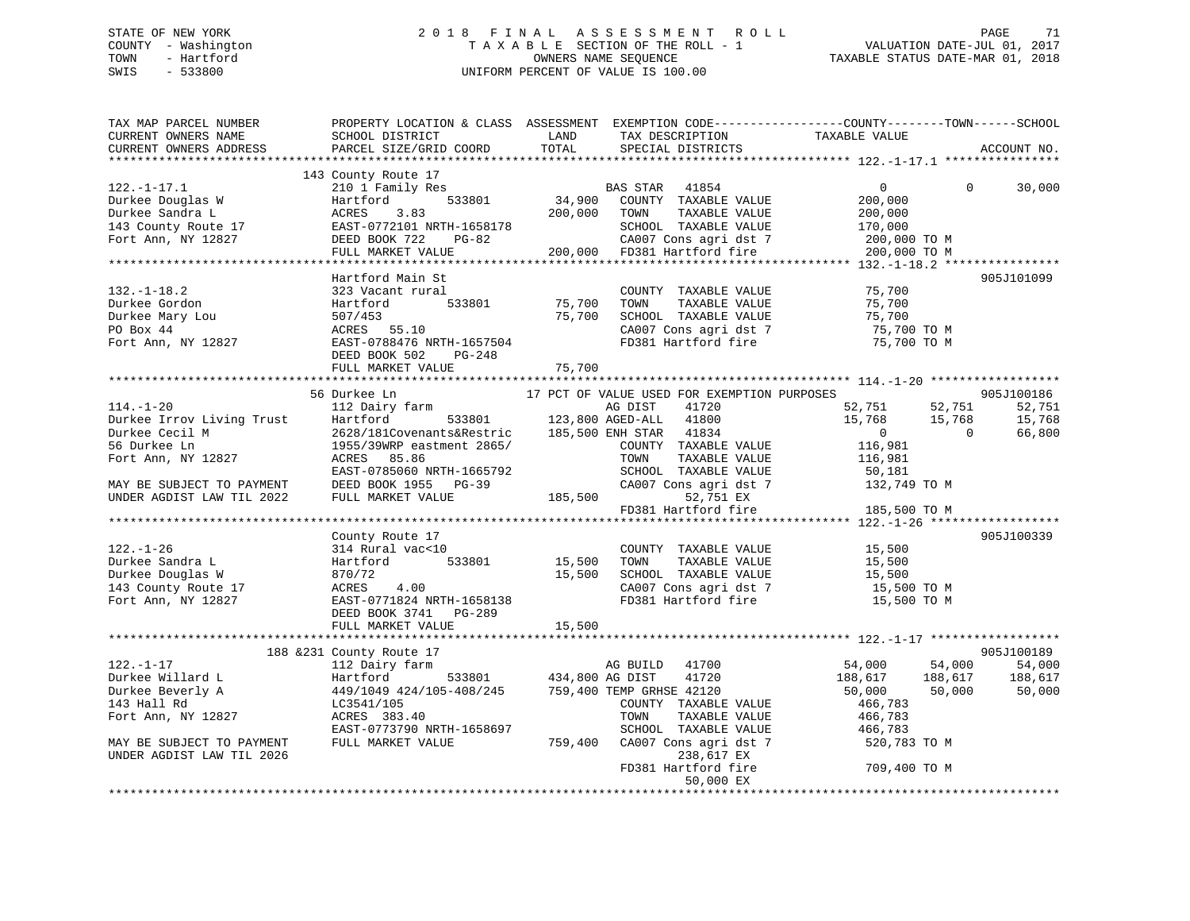### STATE OF NEW YORK 2 0 1 8 F I N A L A S S E S S M E N T R O L L PAGE 71 COUNTY - Washington T A X A B L E SECTION OF THE ROLL - 1 VALUATION DATE-JUL 01, 2017 TOWN - Hartford **TAXABLE STATUS DATE-MAR 01, 2018** OWNERS NAME SEQUENCE TAXABLE STATUS DATE-MAR 01, 2018 SWIS - 533800 UNIFORM PERCENT OF VALUE IS 100.00

| TAX MAP PARCEL NUMBER<br>CURRENT OWNERS NAME<br>CURRENT OWNERS ADDRESS                                          | SCHOOL DISTRICT<br>PARCEL SIZE/GRID COORD                               | LAND<br>TOTAL | TAX DESCRIPTION<br>SPECIAL DISTRICTS                               | PROPERTY LOCATION & CLASS ASSESSMENT EXEMPTION CODE---------------COUNTY-------TOWN-----SCHOOL<br>TAXABLE VALUE | ACCOUNT NO. |
|-----------------------------------------------------------------------------------------------------------------|-------------------------------------------------------------------------|---------------|--------------------------------------------------------------------|-----------------------------------------------------------------------------------------------------------------|-------------|
| $122. - 1 - 17.1$<br>Durkee Douglas W                                                                           | 143 County Route 17<br>210 1 Family Res<br>Hartford                     |               | BAS STAR 41854<br>34,900 COUNTY TAXABLE VALUE                      | $\overline{0}$<br>$\Omega$<br>200,000                                                                           | 30,000      |
| Durkee Sandra L<br>143 County Route 17                                                                          | 533801<br>ACRES 3.05<br>EAST-0772101 NRTH-1658178<br>--- -007 722 PG-82 | 200,000       | TAXABLE VALUE<br>TOWN<br>SCHOOL TAXABLE VALUE                      | 200,000<br>170,000                                                                                              |             |
| Fort Ann, NY 12827                                                                                              | FULL MARKET VALUE                                                       |               | CA007 Cons agri dst 7                                              | 200,000 TO M<br>200,000 TO M                                                                                    |             |
|                                                                                                                 | Hartford Main St                                                        |               |                                                                    |                                                                                                                 | 905J101099  |
| $132. - 1 - 18.2$                                                                                               | 323 Vacant rural                                                        |               | COUNTY TAXABLE VALUE                                               | 75,700                                                                                                          |             |
| Durkee Gordon                                                                                                   | 533801<br>Hartford                                                      | 75,700        | TOWN<br>TAXABLE VALUE                                              | 75,700                                                                                                          |             |
| Durkee Mary Lou                                                                                                 | 507/453                                                                 | 75,700        | SCHOOL TAXABLE VALUE                                               | 75,700                                                                                                          |             |
| PO Box 44                                                                                                       | ACRES 55.10                                                             |               |                                                                    |                                                                                                                 |             |
| Fort Ann, NY 12827                                                                                              | EAST-0788476 NRTH-1657504<br>DEED BOOK 502 PG-248                       |               |                                                                    | CA007 Cons agri dst 7 75,700 TO M<br>FD381 Hartford fire 75,700 TO M                                            |             |
|                                                                                                                 | FULL MARKET VALUE                                                       | 75,700        |                                                                    |                                                                                                                 |             |
|                                                                                                                 |                                                                         |               |                                                                    |                                                                                                                 |             |
|                                                                                                                 | 56 Durkee Ln                                                            |               | 17 PCT OF VALUE USED FOR EXEMPTION PURPOSES                        |                                                                                                                 | 905J100186  |
| $114. - 1 - 20$                                                                                                 | 112 Dairy farm                                                          |               | AG DIST 41720<br>533801 123,800 AGED-ALL 41800                     | 52,751<br>52,751                                                                                                | 52,751      |
|                                                                                                                 |                                                                         |               |                                                                    | 15,768 15,768                                                                                                   | 15,768      |
|                                                                                                                 |                                                                         |               | 185,500 ENH STAR 41834                                             | $\overline{0}$<br>$\Omega$                                                                                      | 66,800      |
| Purkee Irrov Living Trust<br>Durkee Cecil M 2628/181Covenants&Restric<br>56 Durkee Ln 1955/39WRP eastment 2865/ |                                                                         |               | COUNTY TAXABLE VALUE                                               | 116,981                                                                                                         |             |
| Fort Ann, NY 12827                                                                                              | ACRES 85.86                                                             |               | TOWN<br>TAXABLE VALUE                                              | 116,981                                                                                                         |             |
|                                                                                                                 | EAST-0785060 NRTH-1665792                                               |               | SCHOOL TAXABLE VALUE                                               | 50,181                                                                                                          |             |
| MAY BE SUBJECT TO PAYMENT                                                                                       | DEED BOOK 1955 PG-39                                                    |               | CA007 Cons agri dst 7                                              | 132,749 TO M                                                                                                    |             |
| UNDER AGDIST LAW TIL 2022                                                                                       | FULL MARKET VALUE                                                       | 185,500       | 52,751 EX                                                          |                                                                                                                 |             |
|                                                                                                                 |                                                                         |               | FD381 Hartford fire                                                | 185,500 TO M                                                                                                    |             |
|                                                                                                                 |                                                                         |               |                                                                    |                                                                                                                 |             |
|                                                                                                                 | County Route 17                                                         |               |                                                                    |                                                                                                                 | 905J100339  |
| $122. - 1 - 26$                                                                                                 | 314 Rural vac<10                                                        |               | COUNTY TAXABLE VALUE                                               | 15,500                                                                                                          |             |
| Durkee Sandra L                                                                                                 | 533801<br>Hartford                                                      | 15,500        | TAXABLE VALUE<br>TOWN                                              | 15,500                                                                                                          |             |
| Durkee Douglas W                                                                                                | 870/72                                                                  | 15,500        | SCHOOL TAXABLE VALUE                                               | 15,500                                                                                                          |             |
| 143 County Route 17                                                                                             | ACRES<br>4.00                                                           |               | CA007 Cons agri dst 7                                              | 15,500 TO M                                                                                                     |             |
| Fort Ann, NY 12827                                                                                              | EAST-0771824 NRTH-1658138<br>DEED BOOK 3741 PG-289                      |               | FD381 Hartford fire                                                | 15,500 TO M                                                                                                     |             |
|                                                                                                                 | FULL MARKET VALUE                                                       | 15,500        |                                                                    |                                                                                                                 |             |
|                                                                                                                 | 188 & 231 County Route 17                                               |               |                                                                    |                                                                                                                 | 905J100189  |
| $122. - 1 - 17$                                                                                                 | 112 Dairy farm                                                          |               | 41700<br>AG BUILD                                                  | 54,000<br>54,000                                                                                                | 54,000      |
| Durkee Willard L                                                                                                | Hartford                                                                |               | 41720                                                              | 188,617<br>188,617                                                                                              | 188,617     |
| Durkee Beverly A                                                                                                | 449/1049 424/105-408/245                                                |               | 533801 434,800 AG DIST 41720<br>5-408/245 759,400 TEMP GRHSE 42120 | 50,000<br>50,000                                                                                                | 50,000      |
| 143 Hall Rd                                                                                                     | LC3541/105                                                              |               | COUNTY TAXABLE VALUE                                               | 466,783                                                                                                         |             |
| Fort Ann, NY 12827                                                                                              | ACRES 383.40                                                            |               | TOWN<br>TAXABLE VALUE                                              | 466,783                                                                                                         |             |
|                                                                                                                 | EAST-0773790 NRTH-1658697                                               |               | SCHOOL TAXABLE VALUE                                               | 466,783                                                                                                         |             |
| MAY BE SUBJECT TO PAYMENT                                                                                       | FULL MARKET VALUE                                                       | 759,400       | CA007 Cons agri dst 7                                              | 520,783 TO M                                                                                                    |             |
| UNDER AGDIST LAW TIL 2026                                                                                       |                                                                         |               | 238,617 EX                                                         |                                                                                                                 |             |
|                                                                                                                 |                                                                         |               | FD381 Hartford fire                                                | 709,400 TO M                                                                                                    |             |
|                                                                                                                 |                                                                         |               | 50,000 EX                                                          |                                                                                                                 |             |
|                                                                                                                 |                                                                         |               |                                                                    |                                                                                                                 |             |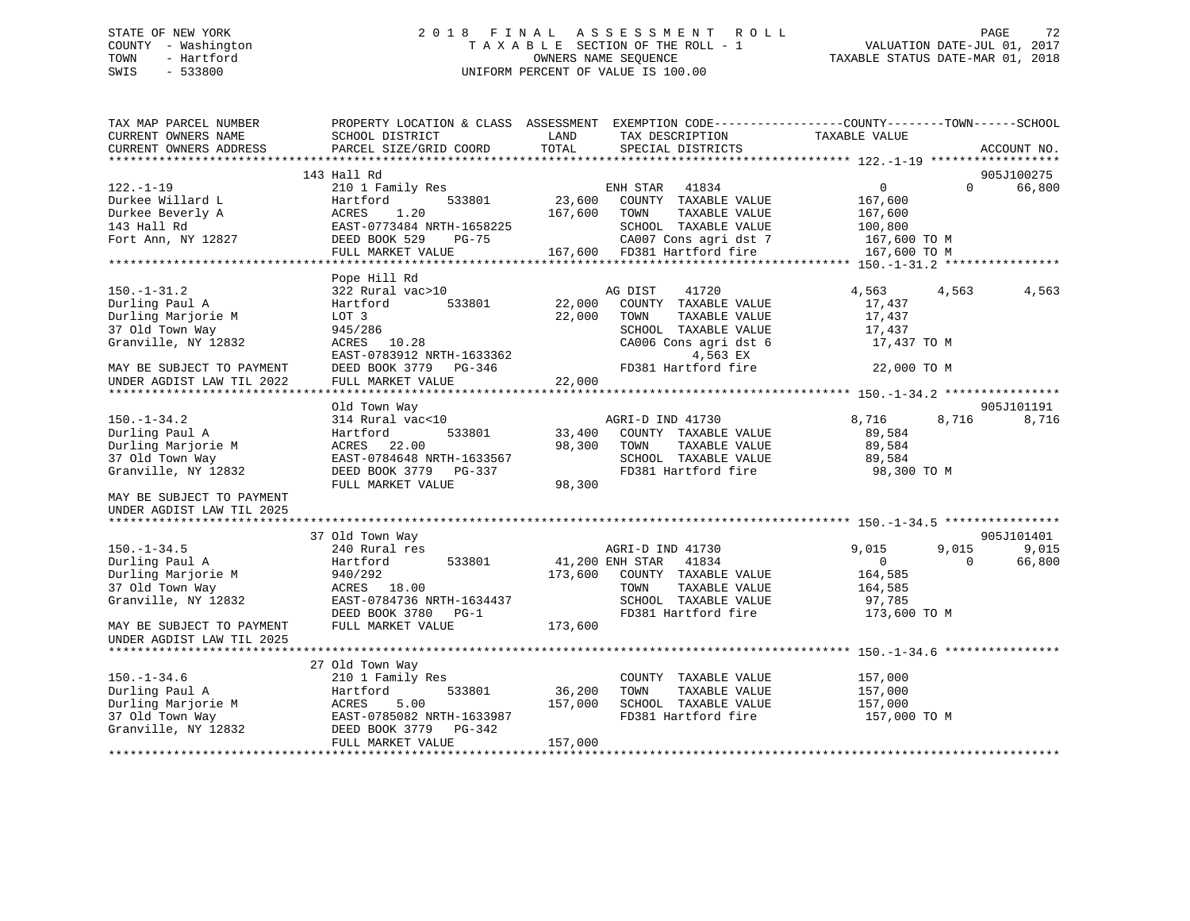### STATE OF NEW YORK 2 0 1 8 F I N A L A S S E S S M E N T R O L L PAGE 72 COUNTY - Washington T A X A B L E SECTION OF THE ROLL - 1 VALUATION DATE-JUL 01, 2017 TOWN - Hartford **TAXABLE STATUS DATE-MAR 01, 2018** OWNERS NAME SEQUENCE TAXABLE STATUS DATE-MAR 01, 2018 SWIS - 533800 UNIFORM PERCENT OF VALUE IS 100.00

| TAX MAP PARCEL NUMBER<br>CURRENT OWNERS NAME           | PROPERTY LOCATION & CLASS ASSESSMENT EXEMPTION CODE---------------COUNTY-------TOWN-----SCHOOL<br>SCHOOL DISTRICT | LAND          | TAX DESCRIPTION                             | TAXABLE VALUE  |          |             |
|--------------------------------------------------------|-------------------------------------------------------------------------------------------------------------------|---------------|---------------------------------------------|----------------|----------|-------------|
| CURRENT OWNERS ADDRESS                                 | PARCEL SIZE/GRID COORD                                                                                            | TOTAL         | SPECIAL DISTRICTS                           |                |          | ACCOUNT NO. |
|                                                        | 143 Hall Rd                                                                                                       |               |                                             |                |          | 905J100275  |
| $122. - 1 - 19$                                        | 210 1 Family Res                                                                                                  |               | ENH STAR 41834                              | $\overline{0}$ | $\Omega$ | 66,800      |
| Durkee Willard L                                       | 533801<br>Hartford                                                                                                |               | 23,600 COUNTY TAXABLE VALUE                 | 167,600        |          |             |
| Durkee Beverly A                                       | ACRES<br>1.20                                                                                                     |               | 167,600 TOWN<br>TAXABLE VALUE               | 167,600        |          |             |
| 143 Hall Rd                                            | EAST-0773484 NRTH-1658225                                                                                         |               | SCHOOL TAXABLE VALUE                        | 100,800        |          |             |
| Fort Ann, NY 12827                                     | DEED BOOK 529 PG-75                                                                                               |               | CA007 Cons agri dst 7                       | 167,600 TO M   |          |             |
|                                                        | FULL MARKET VALUE                                                                                                 |               | 167,600 FD381 Hartford fire                 | 167,600 TO M   |          |             |
|                                                        |                                                                                                                   |               |                                             |                |          |             |
|                                                        | Pope Hill Rd                                                                                                      |               |                                             |                |          |             |
| $150. - 1 - 31.2$                                      | 322 Rural vac>10                                                                                                  |               | AG DIST<br>41720                            | 4,563 4,563    |          | 4,563       |
| Durling Paul A                                         | 533801<br>Hartford                                                                                                | 22,000        | COUNTY TAXABLE VALUE                        | 17,437         |          |             |
| Durling Marjorie M                                     | LOT 3                                                                                                             | 22,000        | TOWN<br>TAXABLE VALUE                       | 17,437         |          |             |
| 37 Old Town Way                                        | 945/286<br>ACRES 10.28                                                                                            |               | SCHOOL TAXABLE VALUE                        | 17,437         |          |             |
| Granville, NY 12832                                    |                                                                                                                   |               | CA006 Cons agri dst 6                       | $17,437$ TO M  |          |             |
|                                                        | EAST-0783912 NRTH-1633362                                                                                         |               | 4,563 EX                                    |                |          |             |
| MAY BE SUBJECT TO PAYMENT                              | DEED BOOK 3779 PG-346                                                                                             | 22,000        | FD381 Hartford fire                         | 22,000 TO M    |          |             |
| UNDER AGDIST LAW TIL 2022                              | FULL MARKET VALUE                                                                                                 |               |                                             |                |          |             |
|                                                        | Old Town Way                                                                                                      |               |                                             |                |          | 905J101191  |
| $150. - 1 - 34.2$                                      | 314 Rural vac<10                                                                                                  |               | AGRI-D IND 41730                            | 8,716          | 8,716    | 8,716       |
| Durling Paul A                                         | 533801<br>Hartford                                                                                                |               | 33,400 COUNTY TAXABLE VALUE                 | 89,584         |          |             |
| Durling Marjorie M                                     | ACRES 22.00                                                                                                       |               | 98,300 TOWN<br>TAXABLE VALUE                | 89,584         |          |             |
| 37 Old Town Way                                        | EAST-0784648 NRTH-1633567                                                                                         |               | SCHOOL TAXABLE VALUE 89,584                 |                |          |             |
| Granville, NY 12832                                    | DEED BOOK 3779 PG-337                                                                                             |               | FD381 Hartford fire                         | 98,300 TO M    |          |             |
|                                                        | FULL MARKET VALUE                                                                                                 | 98,300        |                                             |                |          |             |
| MAY BE SUBJECT TO PAYMENT<br>UNDER AGDIST LAW TIL 2025 |                                                                                                                   |               |                                             |                |          |             |
|                                                        |                                                                                                                   |               |                                             |                |          |             |
|                                                        | 37 Old Town Way                                                                                                   |               |                                             |                |          | 905J101401  |
| $150. - 1 - 34.5$                                      | 240 Rural res                                                                                                     |               | AGRI-D IND 41730                            | 9.015          | 9,015    | 9,015       |
| Durling Paul A                                         | Hartford<br>533801                                                                                                |               | 41,200 ENH STAR 41834                       | $\overline{0}$ | $\Omega$ | 66,800      |
| Durling Marjorie M                                     | 940/292                                                                                                           |               | 173,600 COUNTY TAXABLE VALUE                | 164,585        |          |             |
| 37 Old Town Way                                        | ACRES 18.00                                                                                                       |               | TAXABLE VALUE<br>TOWN                       | 164,585        |          |             |
| Granville, NY 12832                                    | EAST-0784736 NRTH-1634437                                                                                         |               | SCHOOL TAXABLE VALUE                        | 97,785         |          |             |
|                                                        | DEED BOOK 3780 PG-1                                                                                               |               | FD381 Hartford fire                         | 173,600 TO M   |          |             |
| MAY BE SUBJECT TO PAYMENT                              | FULL MARKET VALUE                                                                                                 | 173,600       |                                             |                |          |             |
| UNDER AGDIST LAW TIL 2025                              |                                                                                                                   |               |                                             |                |          |             |
|                                                        |                                                                                                                   |               |                                             |                |          |             |
|                                                        | 27 Old Town Way                                                                                                   |               |                                             |                |          |             |
| $150. - 1 - 34.6$                                      | 210 1 Family Res                                                                                                  |               | COUNTY TAXABLE VALUE                        | 157,000        |          |             |
| Durling Paul A                                         | Hartford                                                                                                          | 533801 36,200 | TOWN<br>TAXABLE VALUE                       | 157,000        |          |             |
| Durling Marjorie M                                     | 5.00<br>ACRES                                                                                                     | 157,000       | SCHOOL TAXABLE VALUE<br>FD381 Hartford fire | 157,000        |          |             |
| 37 Old Town Way<br>Granville, NY 12832                 | EAST-0785082 NRTH-1633987<br>DEED BOOK 3779 PG-342                                                                |               |                                             | 157,000 TO M   |          |             |
|                                                        | FULL MARKET VALUE                                                                                                 | 157,000       |                                             |                |          |             |
|                                                        |                                                                                                                   |               |                                             |                |          |             |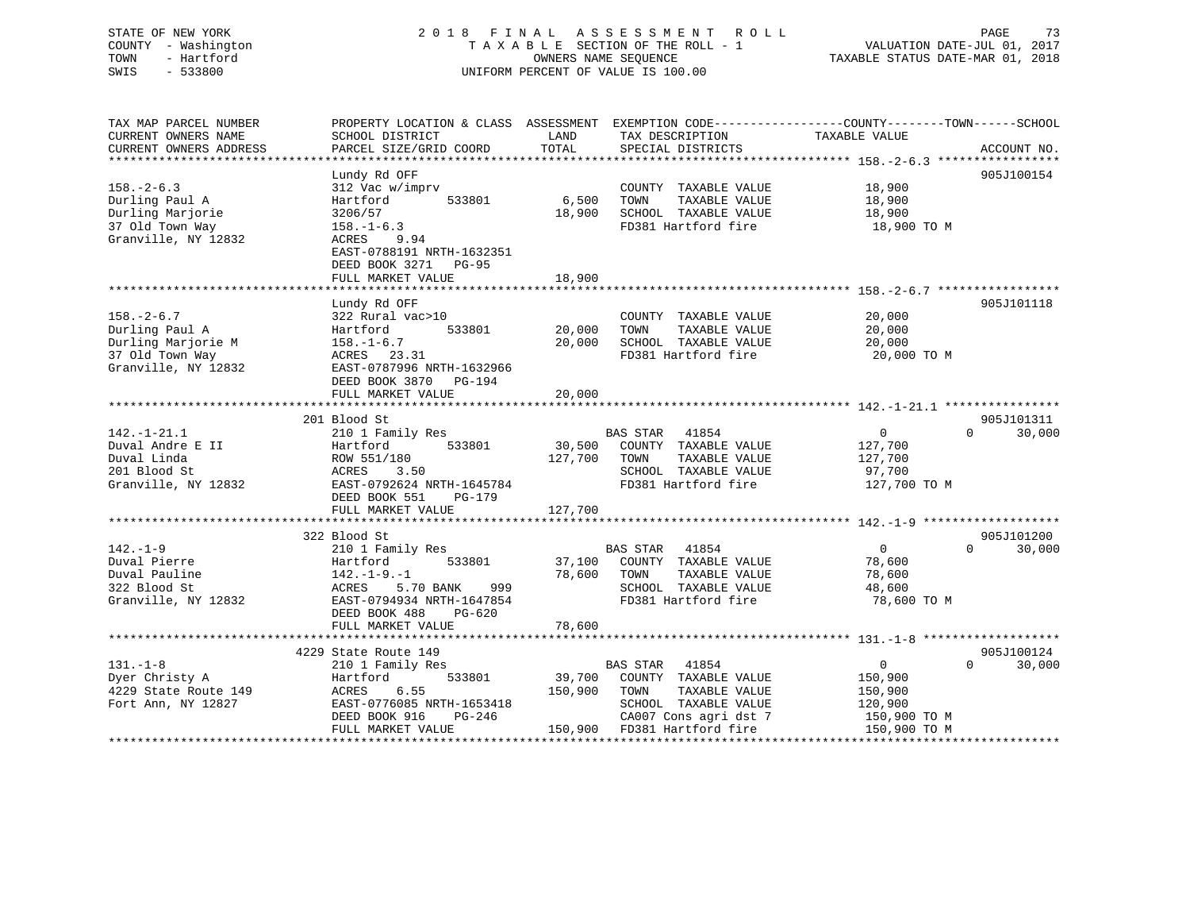|      | STATE OF NEW YORK   | 2018 FINAL ASSESSMENT ROLL         |                                  | PAGE | 73 |
|------|---------------------|------------------------------------|----------------------------------|------|----|
|      | COUNTY - Washington | TAXABLE SECTION OF THE ROLL - 1    | VALUATION DATE-JUL 01, 2017      |      |    |
| TOWN | - Hartford          | OWNERS NAME SEOUENCE               | TAXABLE STATUS DATE-MAR 01, 2018 |      |    |
| SWIS | $-533800$           | UNIFORM PERCENT OF VALUE IS 100.00 |                                  |      |    |
|      |                     |                                    |                                  |      |    |
|      |                     |                                    |                                  |      |    |

| TAX MAP PARCEL NUMBER  |                           |              | PROPERTY LOCATION & CLASS ASSESSMENT EXEMPTION CODE-----------------COUNTY-------TOWN------SCHOOL |                |                             |
|------------------------|---------------------------|--------------|---------------------------------------------------------------------------------------------------|----------------|-----------------------------|
| CURRENT OWNERS NAME    | SCHOOL DISTRICT           | LAND         | TAX DESCRIPTION                                                                                   | TAXABLE VALUE  |                             |
| CURRENT OWNERS ADDRESS | PARCEL SIZE/GRID COORD    | TOTAL        | SPECIAL DISTRICTS                                                                                 |                | ACCOUNT NO.                 |
|                        |                           |              |                                                                                                   |                |                             |
|                        | Lundy Rd OFF              |              |                                                                                                   |                | 905J100154                  |
|                        |                           |              |                                                                                                   |                |                             |
| $158. - 2 - 6.3$       | 312 Vac w/imprv           |              | COUNTY TAXABLE VALUE                                                                              | 18,900         |                             |
| Durling Paul A         | 533801<br>Hartford        | 6,500        | TOWN<br>TAXABLE VALUE                                                                             | 18,900         |                             |
| Durling Marjorie       | 3206/57                   | 18,900       | SCHOOL TAXABLE VALUE                                                                              | 18,900         |                             |
| 37 Old Town Way        | $158. - 1 - 6.3$          |              | FD381 Hartford fire                                                                               | 18,900 TO M    |                             |
| Granville, NY 12832    | ACRES 9.94                |              |                                                                                                   |                |                             |
|                        | EAST-0788191 NRTH-1632351 |              |                                                                                                   |                |                             |
|                        | DEED BOOK 3271 PG-95      |              |                                                                                                   |                |                             |
|                        |                           |              |                                                                                                   |                |                             |
|                        | FULL MARKET VALUE         | 18,900       |                                                                                                   |                |                             |
|                        |                           |              |                                                                                                   |                |                             |
|                        | Lundy Rd OFF              |              |                                                                                                   |                | 905J101118                  |
| $158. - 2 - 6.7$       | 322 Rural vac>10          |              | COUNTY TAXABLE VALUE                                                                              | 20,000         |                             |
| Durling Paul A         | Hartford<br>533801        | 20,000       | TAXABLE VALUE<br>TOWN                                                                             | 20,000         |                             |
| Durling Marjorie M     | $158. - 1 - 6.7$          | 20,000       | SCHOOL TAXABLE VALUE                                                                              | 20,000         |                             |
| 37 Old Town Way        | ACRES 23.31               |              | FD381 Hartford fire                                                                               | 20,000 TO M    |                             |
| Granville, NY 12832    | EAST-0787996 NRTH-1632966 |              |                                                                                                   |                |                             |
|                        |                           |              |                                                                                                   |                |                             |
|                        | DEED BOOK 3870 PG-194     |              |                                                                                                   |                |                             |
|                        | FULL MARKET VALUE         | 20,000       |                                                                                                   |                |                             |
|                        |                           |              |                                                                                                   |                |                             |
|                        | 201 Blood St              |              |                                                                                                   |                | 905J101311                  |
| $142. - 1 - 21.1$      | 210 1 Family Res          |              | <b>BAS STAR</b><br>41854                                                                          | $\mathbf{0}$   | $0 \qquad \qquad$<br>30,000 |
| Duval Andre E II       | 533801<br>Hartford        |              | 30,500 COUNTY TAXABLE VALUE                                                                       | 127,700        |                             |
| Duval Linda            | ROW 551/180               | 127,700 TOWN | TAXABLE VALUE                                                                                     | 127,700        |                             |
| 201 Blood St           | 3.50<br>ACRES             |              | SCHOOL TAXABLE VALUE                                                                              | 97,700         |                             |
|                        |                           |              | FD381 Hartford fire                                                                               |                |                             |
| Granville, NY 12832    | EAST-0792624 NRTH-1645784 |              |                                                                                                   | 127,700 TO M   |                             |
|                        | DEED BOOK 551<br>PG-179   |              |                                                                                                   |                |                             |
|                        | FULL MARKET VALUE         | 127,700      |                                                                                                   |                |                             |
|                        |                           |              |                                                                                                   |                |                             |
|                        | 322 Blood St              |              |                                                                                                   |                | 905J101200                  |
| $142. - 1 - 9$         | 210 1 Family Res          |              | <b>BAS STAR</b><br>41854                                                                          | $\overline{0}$ | $\Omega$<br>30,000          |
| Duval Pierre           | 533801<br>Hartford        |              | 37,100 COUNTY TAXABLE VALUE                                                                       | 78,600         |                             |
| Duval Pauline          | $142. - 1 - 9. - 1$       | 78,600 TOWN  | TAXABLE VALUE                                                                                     | 78,600         |                             |
| 322 Blood St           | ACRES 5.70 BANK<br>999    |              | SCHOOL TAXABLE VALUE                                                                              | 48,600         |                             |
|                        |                           |              |                                                                                                   |                |                             |
| Granville, NY 12832    | EAST-0794934 NRTH-1647854 |              | FD381 Hartford fire                                                                               | 78,600 TO M    |                             |
|                        | DEED BOOK 488<br>PG-620   |              |                                                                                                   |                |                             |
|                        | FULL MARKET VALUE         | 78,600       |                                                                                                   |                |                             |
|                        |                           |              |                                                                                                   |                |                             |
|                        | 4229 State Route 149      |              |                                                                                                   |                | 905J100124                  |
| $131. - 1 - 8$         | 210 1 Family Res          |              | BAS STAR<br>41854                                                                                 | $\overline{0}$ | $\Omega$<br>30,000          |
| Dyer Christy A         | 533801<br>Hartford        |              | 39,700 COUNTY TAXABLE VALUE                                                                       | 150,900        |                             |
| 4229 State Route 149   | 6.55<br>ACRES             | 150,900      | TOWN<br>TAXABLE VALUE                                                                             | 150,900        |                             |
|                        |                           |              |                                                                                                   |                |                             |
| Fort Ann, NY 12827     | EAST-0776085 NRTH-1653418 |              | SCHOOL TAXABLE VALUE                                                                              | 120,900        |                             |
|                        | DEED BOOK 916<br>PG-246   |              | CA007 Cons agri dst 7                                                                             | 150,900 TO M   |                             |
|                        | FULL MARKET VALUE         |              | 150,900 FD381 Hartford fire                                                                       | 150,900 TO M   |                             |
|                        |                           |              |                                                                                                   |                |                             |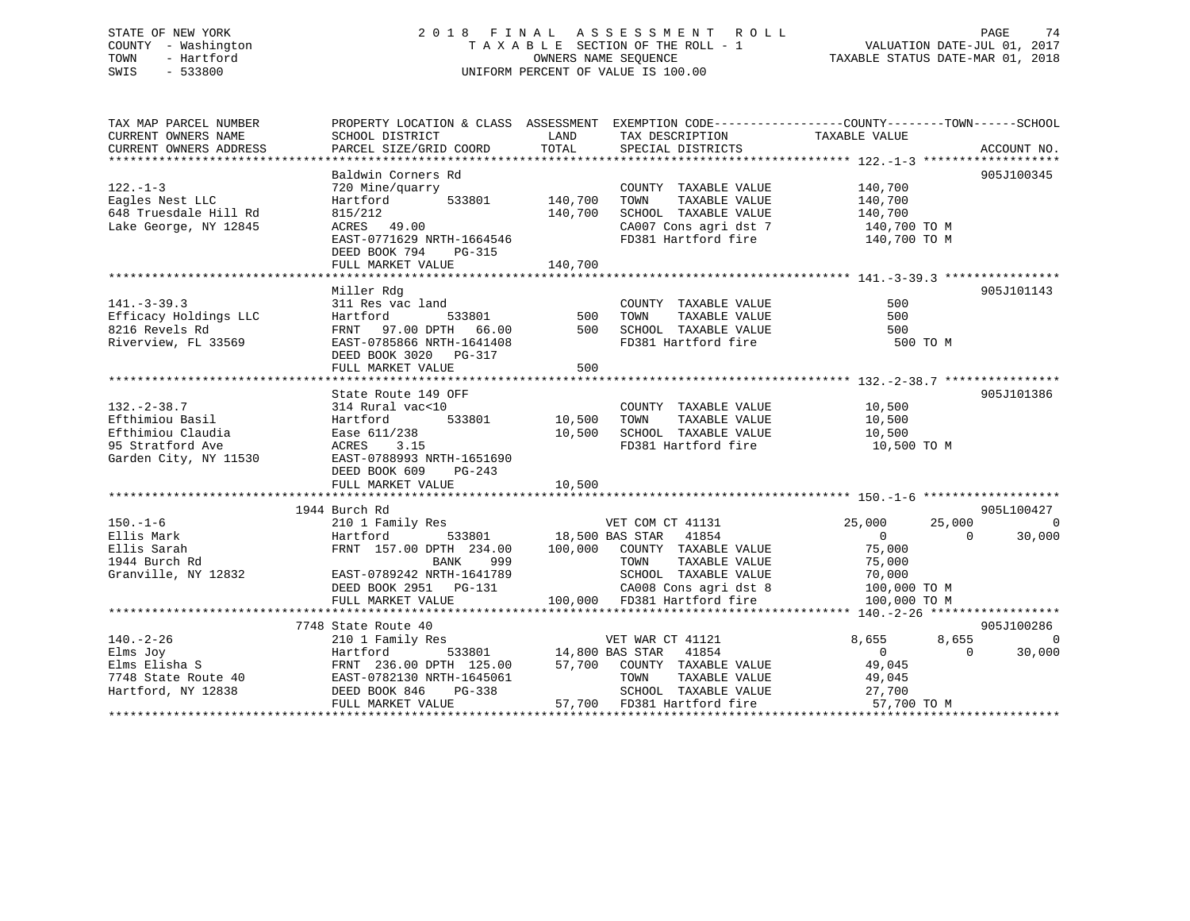### STATE OF NEW YORK 2 0 1 8 F I N A L A S S E S S M E N T R O L L PAGE 74 COUNTY - Washington T A X A B L E SECTION OF THE ROLL - 1 VALUATION DATE-JUL 01, 2017 TOWN - Hartford OWNERS NAME SEQUENCE TAXABLE STATUS DATE-MAR 01, 2018 SWIS - 533800 UNIFORM PERCENT OF VALUE IS 100.00

| TAX MAP PARCEL NUMBER                                                                                                                                                                                                                   | PROPERTY LOCATION & CLASS ASSESSMENT EXEMPTION CODE---------------COUNTY-------TOWN------SCHOOL |         |                                                                                       |                      |                             |
|-----------------------------------------------------------------------------------------------------------------------------------------------------------------------------------------------------------------------------------------|-------------------------------------------------------------------------------------------------|---------|---------------------------------------------------------------------------------------|----------------------|-----------------------------|
| CURRENT OWNERS NAME                                                                                                                                                                                                                     | SCHOOL DISTRICT                                                                                 | LAND    | TAX DESCRIPTION                                                                       | TAXABLE VALUE        |                             |
| CURRENT OWNERS ADDRESS                                                                                                                                                                                                                  | PARCEL SIZE/GRID COORD                                                                          | TOTAL   | SPECIAL DISTRICTS                                                                     |                      | ACCOUNT NO.                 |
|                                                                                                                                                                                                                                         |                                                                                                 |         |                                                                                       |                      |                             |
|                                                                                                                                                                                                                                         | Baldwin Corners Rd                                                                              |         |                                                                                       |                      | 905J100345                  |
| $122. - 1 - 3$                                                                                                                                                                                                                          | 720 Mine/quarry<br>Hartford 533801 140,700                                                      |         | COUNTY TAXABLE VALUE 140,700                                                          |                      |                             |
| Eagles Nest LLC                                                                                                                                                                                                                         |                                                                                                 |         | TOWN<br>TAXABLE VALUE                                                                 | 140,700              |                             |
| 648 Truesdale Hill Rd                                                                                                                                                                                                                   | 815/212<br>ACRES 49.00                                                                          | 140,700 | SCHOOL TAXABLE VALUE 140,700<br>CA007 Cons agri dst 7 140,700                         |                      |                             |
| Lake George, NY 12845                                                                                                                                                                                                                   |                                                                                                 |         |                                                                                       | 140,700 TO M         |                             |
|                                                                                                                                                                                                                                         | EAST-0771629 NRTH-1664546                                                                       |         | FD381 Hartford fire 140,700 TO M                                                      |                      |                             |
|                                                                                                                                                                                                                                         | DEED BOOK 794 PG-315                                                                            |         |                                                                                       |                      |                             |
|                                                                                                                                                                                                                                         | FULL MARKET VALUE                                                                               | 140,700 |                                                                                       |                      |                             |
|                                                                                                                                                                                                                                         |                                                                                                 |         |                                                                                       |                      |                             |
|                                                                                                                                                                                                                                         | Miller Rdg                                                                                      |         |                                                                                       |                      | 905J101143                  |
| $141. - 3 - 39.3$                                                                                                                                                                                                                       |                                                                                                 |         | COUNTY TAXABLE VALUE                                                                  | 500                  |                             |
|                                                                                                                                                                                                                                         |                                                                                                 |         | TAXABLE VALUE<br>TOWN                                                                 | 500                  |                             |
| Efficacy Holdings LLC<br>8216 Revels Rd                                                                                                                                                                                                 |                                                                                                 |         | SCHOOL TAXABLE VALUE                                                                  | 500                  |                             |
| Riverview, FL 33569                                                                                                                                                                                                                     | EAST-0785866 NRTH-1641408                                                                       |         | FD381 Hartford fire                                                                   | 500 TO M             |                             |
|                                                                                                                                                                                                                                         | DEED BOOK 3020 PG-317                                                                           |         |                                                                                       |                      |                             |
|                                                                                                                                                                                                                                         | FULL MARKET VALUE                                                                               | 500     |                                                                                       |                      |                             |
|                                                                                                                                                                                                                                         |                                                                                                 |         |                                                                                       |                      |                             |
|                                                                                                                                                                                                                                         | State Route 149 OFF                                                                             |         |                                                                                       |                      | 905J101386                  |
| $132 - 2 - 38.7$                                                                                                                                                                                                                        |                                                                                                 |         | COUNTY TAXABLE VALUE                                                                  | 10,500               |                             |
| Efthimiou Basil                                                                                                                                                                                                                         |                                                                                                 |         | TAXABLE VALUE<br>TOWN                                                                 | 10,500               |                             |
|                                                                                                                                                                                                                                         |                                                                                                 | 10,500  | SCHOOL TAXABLE VALUE 10,500                                                           |                      |                             |
|                                                                                                                                                                                                                                         |                                                                                                 |         | FD381 Hartford fire                                                                   | 10,500 TO M          |                             |
|                                                                                                                                                                                                                                         |                                                                                                 |         |                                                                                       |                      |                             |
|                                                                                                                                                                                                                                         | DEED BOOK 609<br>PG-243                                                                         |         |                                                                                       |                      |                             |
|                                                                                                                                                                                                                                         | FULL MARKET VALUE                                                                               | 10,500  |                                                                                       |                      |                             |
|                                                                                                                                                                                                                                         |                                                                                                 |         |                                                                                       |                      |                             |
|                                                                                                                                                                                                                                         | 1944 Burch Rd                                                                                   |         |                                                                                       |                      | 905L100427                  |
| $150. - 1 - 6$                                                                                                                                                                                                                          | 210 1 Family Res 6.000 VET COM CT 41131 25,000                                                  |         |                                                                                       |                      | 25,000 0                    |
| Ellis Mark                                                                                                                                                                                                                              | Hartford 533801 18,500 BAS STAR 41854<br>FRNT 157.00 DPTH 234.00 100,000 COUNTY TAXABLE VALUE   |         |                                                                                       | $\overline{0}$       | 30,000<br>$\overline{0}$    |
| Ellis Sarah                                                                                                                                                                                                                             |                                                                                                 |         |                                                                                       | 75,000               |                             |
| 1944 Burch Rd                                                                                                                                                                                                                           | BANK<br>999                                                                                     |         | TOWN                                                                                  | TAXABLE VALUE 75,000 |                             |
| Granville, NY 12832                                                                                                                                                                                                                     | EAST-0789242 NRTH-1641789                                                                       |         |                                                                                       |                      |                             |
|                                                                                                                                                                                                                                         | DEED BOOK 2951    PG-131                                                                        |         | SCHOOL TAXABLE VALUE 70,000<br>CA008 Cons agri dst 8 100,000 TO M                     |                      |                             |
|                                                                                                                                                                                                                                         | FULL MARKET VALUE                                                                               |         | 100,000 FD381 Hartford fire                                                           | 100,000 TO M         |                             |
|                                                                                                                                                                                                                                         |                                                                                                 |         |                                                                                       |                      |                             |
|                                                                                                                                                                                                                                         | 7748 State Route 40                                                                             |         |                                                                                       |                      | 905J100286                  |
| $140. - 2 - 26$                                                                                                                                                                                                                         | 210 1 Family Res                                                                                |         | VET WAR CT 41121                                                                      | 8,655                | 8,655<br>$\overline{0}$     |
|                                                                                                                                                                                                                                         |                                                                                                 |         | 533801 14,800 BAS STAR 41854                                                          | $\overline{0}$       | $0 \qquad \qquad$<br>30,000 |
|                                                                                                                                                                                                                                         |                                                                                                 |         |                                                                                       |                      |                             |
|                                                                                                                                                                                                                                         |                                                                                                 |         |                                                                                       | 49,045<br>49,045     |                             |
| Elms Joy<br>Elms Elisha S<br>The Hartford 533801<br>The Blisha S<br>The FRNT 236.00 DPTH 125.00<br>THE 125.00<br>Hartford, NY 12838<br>DEED DOOK 846<br>DEED THE TAIRMENT TO THE 1645061<br>THE TAIRMENT TO THE TAIRMENT TO THE TRAFFIC | $PG-338$                                                                                        |         |                                                                                       |                      |                             |
|                                                                                                                                                                                                                                         | FULL MARKET VALUE                                                                               |         | SCHOOL TAXABLE VALUE<br>FD381 Hartford fire 57,700 TO M<br>57,700 FD381 Hartford fire |                      |                             |
|                                                                                                                                                                                                                                         |                                                                                                 |         |                                                                                       |                      |                             |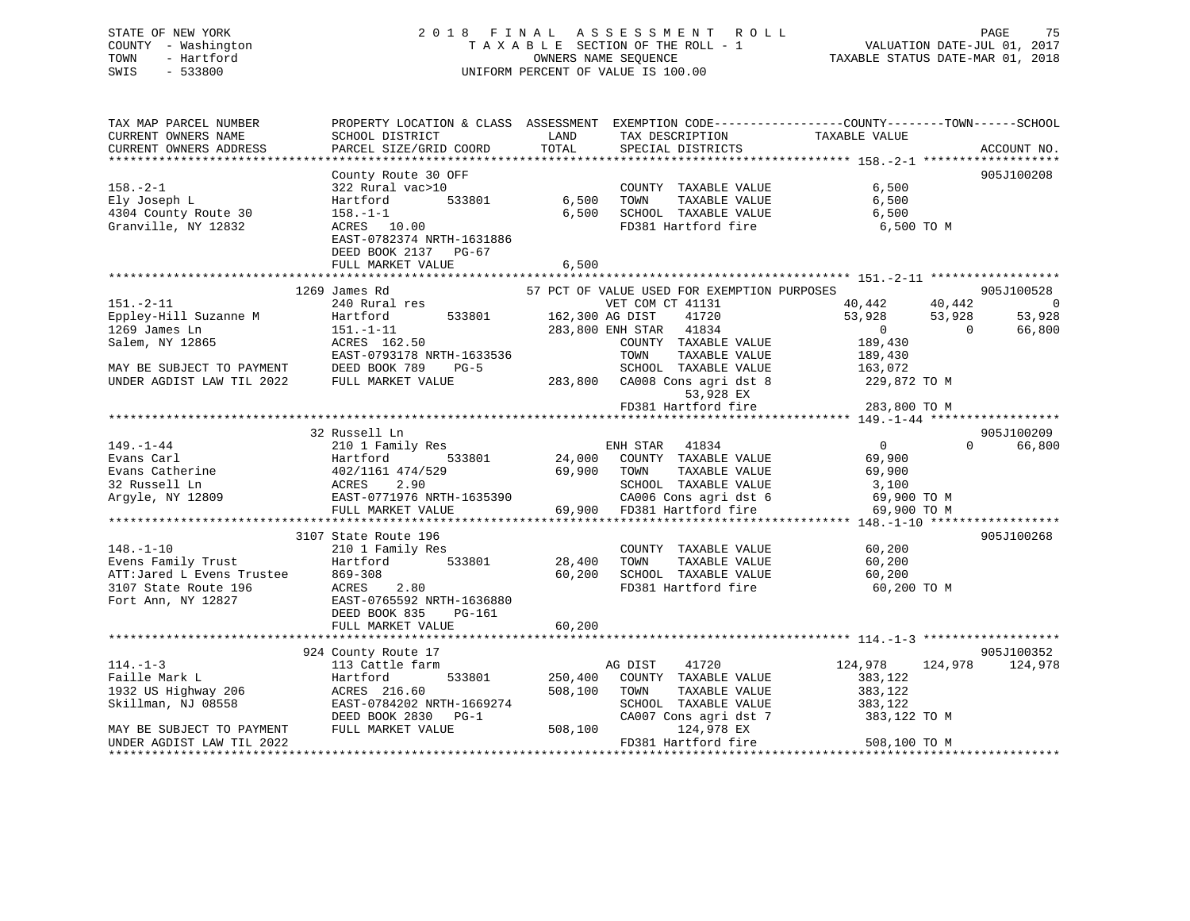# STATE OF NEW YORK 2 0 1 8 F I N A L A S S E S S M E N T R O L L PAGE 75COUNTY - Washington  $T A X A B L E$  SECTION OF THE ROLL - 1<br>TOWN - Hartford SWIS - 533800 UNIFORM PERCENT OF VALUE IS 100.00

TAXABLE STATUS DATE-MAR 01, 2018

| TAX MAP PARCEL NUMBER                                           |                                                           |                                                                            | PROPERTY LOCATION & CLASS ASSESSMENT EXEMPTION CODE----------------COUNTY-------TOWN------SCHOOL |
|-----------------------------------------------------------------|-----------------------------------------------------------|----------------------------------------------------------------------------|--------------------------------------------------------------------------------------------------|
| CURRENT OWNERS NAME                                             | SCHOOL DISTRICT                                           | LAND<br>TAX DESCRIPTION                                                    | TAXABLE VALUE                                                                                    |
| CURRENT OWNERS ADDRESS                                          | PARCEL SIZE/GRID COORD                                    | TOTAL<br>SPECIAL DISTRICTS                                                 | ACCOUNT NO.                                                                                      |
|                                                                 |                                                           |                                                                            |                                                                                                  |
|                                                                 | County Route 30 OFF                                       |                                                                            | 905J100208                                                                                       |
| $158. - 2 - 1$                                                  | 322 Rural vac>10                                          | COUNTY TAXABLE VALUE                                                       | 6,500                                                                                            |
| Ely Joseph L                                                    |                                                           | 533801 6,500<br>TOWN                                                       | TAXABLE VALUE<br>6,500                                                                           |
|                                                                 | Hartford                                                  |                                                                            |                                                                                                  |
| 4304 County Route 30                                            | $158. - 1 - 1$                                            | 6,500<br>SCHOOL TAXABLE VALUE                                              | 6,500                                                                                            |
| Granville, NY 12832                                             | ACRES 10.00                                               |                                                                            | FD381 Hartford fire 6,500 TO M                                                                   |
|                                                                 | EAST-0782374 NRTH-1631886                                 |                                                                            |                                                                                                  |
|                                                                 | DEED BOOK 2137 PG-67                                      |                                                                            |                                                                                                  |
|                                                                 | FULL MARKET VALUE                                         | 6,500                                                                      |                                                                                                  |
|                                                                 |                                                           |                                                                            |                                                                                                  |
|                                                                 | 1269 James Rd                                             | 57 PCT OF VALUE USED FOR EXEMPTION PURPOSES                                | 905J100528                                                                                       |
| $151. - 2 - 11$                                                 | 240 Rural res                                             | VET COM CT 41131                                                           | 40,442 40,442<br>- 0                                                                             |
| Eppley-Hill Suzanne M                                           | Hartford                                                  | 533801 162,300 AG DIST<br>41720                                            | 53,928<br>53,928<br>53,928                                                                       |
|                                                                 |                                                           | 283,800 ENH STAR 41834                                                     | $\overline{0}$<br>$\Omega$                                                                       |
| 1269 James Ln                                                   | $151. - 1 - 11$                                           |                                                                            | 66,800                                                                                           |
| Salem, NY 12865                                                 | ACRES 162.50<br>ACRES 162.50<br>EAST-0793178 NRTH-1633536 | COUNTY TAXABLE VALUE                                                       | 189,430                                                                                          |
|                                                                 |                                                           | TAXABLE VALUE<br>TOWN                                                      | 189,430                                                                                          |
| MAY BE SUBJECT TO PAYMENT                                       | DEED BOOK 789<br>$PG-5$                                   |                                                                            |                                                                                                  |
| UNDER AGDIST LAW TIL 2022                                       | FULL MARKET VALUE                                         | SCHOOL TAXABLE VALUE 163,072<br>283,800 CA008 Cons agri dst 8 229,872 TO M |                                                                                                  |
|                                                                 |                                                           | 53,928 EX                                                                  |                                                                                                  |
|                                                                 |                                                           | FD381 Hartford fire                                                        | 283,800 TO M                                                                                     |
|                                                                 |                                                           |                                                                            |                                                                                                  |
|                                                                 | 32 Russell Ln                                             |                                                                            | 905J100209                                                                                       |
| $149. - 1 - 44$                                                 | 210 1 Family Res                                          |                                                                            | $\Omega$<br>66,800                                                                               |
|                                                                 |                                                           |                                                                            |                                                                                                  |
| Evans Carl                                                      | Hartford                                                  |                                                                            |                                                                                                  |
| Evans Catherine<br>32 Russell Ln                                | 402/11<br>ACRES                                           | TOWN       TAXABLE  VALUE<br>SCHOOL    TAXABLE  VALUE                      | 69,900                                                                                           |
| 32 Russell Ln                                                   |                                                           |                                                                            | 3,100                                                                                            |
| Argyle, NY 12809                                                |                                                           |                                                                            |                                                                                                  |
|                                                                 |                                                           | 69,900 FD381 Hartford fire                                                 | CA006 Cons agri dst 6 69,900 TO M<br>FD381 Hartford fire 69,900 TO M                             |
|                                                                 |                                                           |                                                                            |                                                                                                  |
|                                                                 | 3107 State Route 196                                      |                                                                            | 905J100268                                                                                       |
| $148. - 1 - 10$                                                 |                                                           | COUNTY TAXABLE VALUE                                                       | 60,200                                                                                           |
| Evens Family Trust                                              |                                                           | TAXABLE VALUE                                                              | 60,200                                                                                           |
|                                                                 |                                                           |                                                                            |                                                                                                  |
| ATT:Jared L Evens Trustee 869-308<br>3107 State Route 196 ACRES |                                                           | 60,200<br>SCHOOL TAXABLE VALUE                                             | 60,200                                                                                           |
|                                                                 | ACRES 2.80                                                | FD381 Hartford fire                                                        | 60,200 TO M                                                                                      |
| Fort Ann, NY 12827                                              | EAST-0765592 NRTH-1636880                                 |                                                                            |                                                                                                  |
|                                                                 | DEED BOOK 835 PG-161                                      |                                                                            |                                                                                                  |
|                                                                 |                                                           |                                                                            |                                                                                                  |
|                                                                 |                                                           |                                                                            |                                                                                                  |
|                                                                 | 924 County Route 17                                       |                                                                            | 905J100352                                                                                       |
| $114. - 1 - 3$                                                  | 113 Cattle farm                                           | AG DIST<br>41720                                                           | 124,978<br>124,978 124,978                                                                       |
| Faille Mark L                                                   | Hartford                                                  | 533801 250,400 COUNTY TAXABLE VALUE                                        | 383,122                                                                                          |
|                                                                 |                                                           |                                                                            |                                                                                                  |
| 1932 US Highway 206                                             | ACRES 216.60                                              | 508,100 TOWN<br>TAXABLE VALUE                                              | 383,122                                                                                          |
| Skillman, NJ 08558                                              | EAST-0784202 NRTH-1669274                                 | SCHOOL TAXABLE VALUE 383,122                                               |                                                                                                  |
|                                                                 | DEED BOOK 2830 PG-1                                       | CA007 Cons agri dst 7                                                      | 383,122 TO M                                                                                     |
| MAY BE SUBJECT TO PAYMENT                                       | FULL MARKET VALUE                                         | 508,100<br>124,978 EX                                                      |                                                                                                  |
| UNDER AGDIST LAW TIL 2022                                       |                                                           | FD381 Hartford fire                                                        | 508,100 TO M                                                                                     |
|                                                                 |                                                           |                                                                            |                                                                                                  |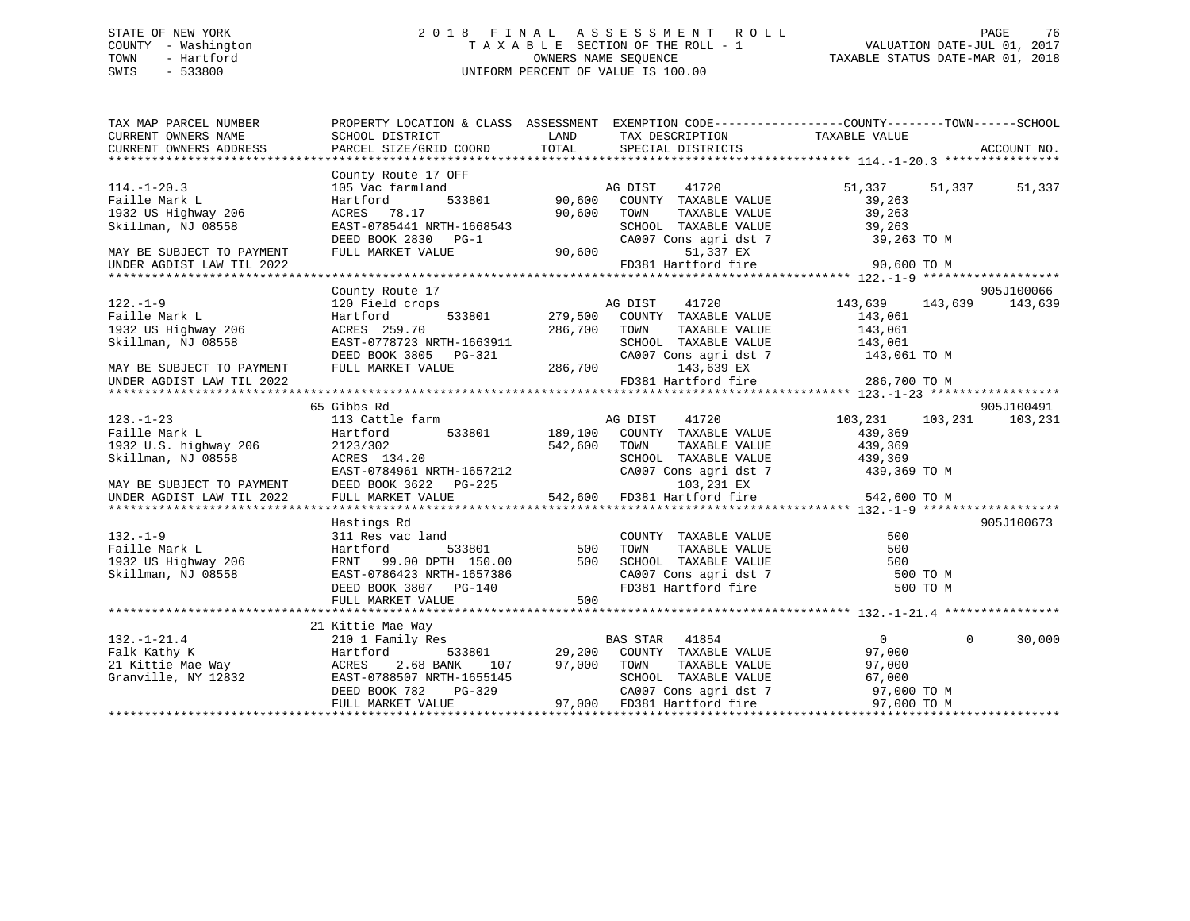### STATE OF NEW YORK 2 0 1 8 F I N A L A S S E S S M E N T R O L L PAGE 76 COUNTY - Washington T A X A B L E SECTION OF THE ROLL - 1 VALUATION DATE-JUL 01, 2017 TOWN - Hartford **TAXABLE STATUS DATE-MAR 01, 2018** OWNERS NAME SEQUENCE TAXABLE STATUS DATE-MAR 01, 2018 SWIS - 533800 UNIFORM PERCENT OF VALUE IS 100.00

| $[14.1-120.3 \t\t\t 2000] \t\t\t 20000 \t\t 20000 \t\t 20000 \t\t 20000 \t\t 20000 \t\t 20000 \t\t 20000 \t\t 20000 \t\t 20000 \t\t 20000 \t\t 20000 \t\t 20000 \t\t 20000 \t\t 20000 \t\t 20000 \t\t 20000 \t\t 20000 \t\t 20000 \t\t 20000 \t\t 20000 \t\t 20000 \t\t 20000$<br>905J100066<br>County Route 17<br>143,639 143,639 143,639<br>$122. - 1 - 9$<br>120 Field crops<br>AG DIST<br>41720<br>$279,500$ COUNTY TAXABLE VALUE<br>Faille Mark L<br>Hartford<br>143,061<br>1932 US Highway 206<br>ACRES 259.70<br>286,700 TOWN<br>TAXABLE VALUE<br>143,061<br>SCHOOL TAXABLE VALUE 143,061<br>Skillman, NJ 08558<br>EAST-0778723 NRTH-1663911<br>EAST-0778723 NRTH-1663911 SCHOO:<br>DEED BOOK 3805 PG-321 CA007<br>FULL MARKET VALUE 286,700<br>CA007 Cons agri dst 7 143,061 TO M<br>143,639 EX<br>MAY BE SUBJECT TO PAYMENT<br>FD381 Hartford fire<br>286,700 TO M<br>UNDER AGDIST LAW TIL 2022<br>905J100491<br>65 Gibbs Rd<br>113 Cattle farm<br>$103, 231$ $103, 231$<br>103,231<br>$123. - 1 - 23$<br>Faille Mark L<br>439,369<br>Hartford<br>railic nann -<br>1932 U.S. highway 206<br>skillman. NJ 08558<br>542,600 TOWN<br>TOWN TAXABLE VALUE 439,369<br>SCHOOL TAXABLE VALUE 439,369<br>$\frac{2123}{302}$<br>ACRES 134.20<br>EAST-0784961 NRTH-1657212<br>DEED BOOK 3622 PG-225<br>FULL MARKET VALUE 542,600 FD381 Hartford fire 542,600 TO M<br>MAY BE SUBJECT TO PAYMENT<br>UNDER AGDIST LAW TIL 2022<br>905J100673<br>Hastings Rd<br>311 Res vac land COUNTY<br>Hartford 533801 500 TOWN<br>500<br>$132. - 1 - 9$<br>COUNTY TAXABLE VALUE<br>Hartford 533801 500 TOWN TAXABLE VALUE 500<br>FRNT 99.00 DPTH 150.00 500 SCHOOL TAXABLE VALUE 500<br>Faille Mark L<br>1932 US Highway 206<br>CA007 Cons agri dst 7<br>FD381 Hartford fire<br>Skillman, NJ 08558<br>EAST-0786423 NRTH-1657386<br>DEED BOOK 3807 PG-140<br>500 TO M<br>500 TO M<br>500<br>FULL MARKET VALUE<br>s<br>BAS STAR 41854<br>533801 29,200 COUNTY TAXABLE VALUE<br>21 Kittie Mae Way<br>$\overline{0}$<br>$\Omega$<br>30,000<br>132.-1-21.4<br>Falk Kathy K<br>210 1 Family Kes<br>29,200 COUNTY TAXABLE VALUE<br>29,200 COUNTY TAXABLE VALUE<br>21 Kittie Mae Way<br>21 Kittie Mae Way<br>21 Kittie Mae Way<br>21 Kittie Mae Way<br>29,200 COUNTY TAXABLE VALUE<br>29,200 COUNTY<br>97,000<br>97,000<br>EAST-0788507 NRTH-1655145<br>DEED BOOK 782 PG-329 97,000 FD381 Hartford fire 97,000 TO M<br>FULL MARKET VALUE 97,000 FD381 Hartford fire 97,000 TO M | TAX MAP PARCEL NUMBER<br>CURRENT OWNERS NAME<br>CURRENT OWNERS ADDRESS | PROPERTY LOCATION & CLASS ASSESSMENT EXEMPTION CODE----------------COUNTY-------TOWN------SCHOOL<br>SCHOOL DISTRICT<br>PARCEL SIZE/GRID COORD TOTAL | <b>EXAMPLE THE STATE OF STATE OF STATE OF STATE OF STATE OF STATE OF STATE OF STATE</b> | TAX DESCRIPTION TAXABLE VALUE<br>SPECIAL DISTRICTS | ACCOUNT NO. |
|--------------------------------------------------------------------------------------------------------------------------------------------------------------------------------------------------------------------------------------------------------------------------------------------------------------------------------------------------------------------------------------------------------------------------------------------------------------------------------------------------------------------------------------------------------------------------------------------------------------------------------------------------------------------------------------------------------------------------------------------------------------------------------------------------------------------------------------------------------------------------------------------------------------------------------------------------------------------------------------------------------------------------------------------------------------------------------------------------------------------------------------------------------------------------------------------------------------------------------------------------------------------------------------------------------------------------------------------------------------------------------------------------------------------------------------------------------------------------------------------------------------------------------------------------------------------------------------------------------------------------------------------------------------------------------------------------------------------------------------------------------------------------------------------------------------------------------------------------------------------------------------------------------------------------------------------------------------------------------------------------------------------------------------------------------------------------------------------------------------------------------------------------------------------------------------------------------------------------------------------------------------------------------------------------------------------------------------------------------------------------------------------------------------------------------------------------------|------------------------------------------------------------------------|-----------------------------------------------------------------------------------------------------------------------------------------------------|-----------------------------------------------------------------------------------------|----------------------------------------------------|-------------|
|                                                                                                                                                                                                                                                                                                                                                                                                                                                                                                                                                                                                                                                                                                                                                                                                                                                                                                                                                                                                                                                                                                                                                                                                                                                                                                                                                                                                                                                                                                                                                                                                                                                                                                                                                                                                                                                                                                                                                                                                                                                                                                                                                                                                                                                                                                                                                                                                                                                        |                                                                        |                                                                                                                                                     |                                                                                         |                                                    |             |
|                                                                                                                                                                                                                                                                                                                                                                                                                                                                                                                                                                                                                                                                                                                                                                                                                                                                                                                                                                                                                                                                                                                                                                                                                                                                                                                                                                                                                                                                                                                                                                                                                                                                                                                                                                                                                                                                                                                                                                                                                                                                                                                                                                                                                                                                                                                                                                                                                                                        |                                                                        |                                                                                                                                                     |                                                                                         |                                                    |             |
|                                                                                                                                                                                                                                                                                                                                                                                                                                                                                                                                                                                                                                                                                                                                                                                                                                                                                                                                                                                                                                                                                                                                                                                                                                                                                                                                                                                                                                                                                                                                                                                                                                                                                                                                                                                                                                                                                                                                                                                                                                                                                                                                                                                                                                                                                                                                                                                                                                                        |                                                                        |                                                                                                                                                     |                                                                                         |                                                    |             |
|                                                                                                                                                                                                                                                                                                                                                                                                                                                                                                                                                                                                                                                                                                                                                                                                                                                                                                                                                                                                                                                                                                                                                                                                                                                                                                                                                                                                                                                                                                                                                                                                                                                                                                                                                                                                                                                                                                                                                                                                                                                                                                                                                                                                                                                                                                                                                                                                                                                        |                                                                        |                                                                                                                                                     |                                                                                         |                                                    |             |
|                                                                                                                                                                                                                                                                                                                                                                                                                                                                                                                                                                                                                                                                                                                                                                                                                                                                                                                                                                                                                                                                                                                                                                                                                                                                                                                                                                                                                                                                                                                                                                                                                                                                                                                                                                                                                                                                                                                                                                                                                                                                                                                                                                                                                                                                                                                                                                                                                                                        |                                                                        |                                                                                                                                                     |                                                                                         |                                                    |             |
|                                                                                                                                                                                                                                                                                                                                                                                                                                                                                                                                                                                                                                                                                                                                                                                                                                                                                                                                                                                                                                                                                                                                                                                                                                                                                                                                                                                                                                                                                                                                                                                                                                                                                                                                                                                                                                                                                                                                                                                                                                                                                                                                                                                                                                                                                                                                                                                                                                                        |                                                                        |                                                                                                                                                     |                                                                                         |                                                    |             |
|                                                                                                                                                                                                                                                                                                                                                                                                                                                                                                                                                                                                                                                                                                                                                                                                                                                                                                                                                                                                                                                                                                                                                                                                                                                                                                                                                                                                                                                                                                                                                                                                                                                                                                                                                                                                                                                                                                                                                                                                                                                                                                                                                                                                                                                                                                                                                                                                                                                        |                                                                        |                                                                                                                                                     |                                                                                         |                                                    |             |
|                                                                                                                                                                                                                                                                                                                                                                                                                                                                                                                                                                                                                                                                                                                                                                                                                                                                                                                                                                                                                                                                                                                                                                                                                                                                                                                                                                                                                                                                                                                                                                                                                                                                                                                                                                                                                                                                                                                                                                                                                                                                                                                                                                                                                                                                                                                                                                                                                                                        |                                                                        |                                                                                                                                                     |                                                                                         |                                                    |             |
|                                                                                                                                                                                                                                                                                                                                                                                                                                                                                                                                                                                                                                                                                                                                                                                                                                                                                                                                                                                                                                                                                                                                                                                                                                                                                                                                                                                                                                                                                                                                                                                                                                                                                                                                                                                                                                                                                                                                                                                                                                                                                                                                                                                                                                                                                                                                                                                                                                                        |                                                                        |                                                                                                                                                     |                                                                                         |                                                    |             |
|                                                                                                                                                                                                                                                                                                                                                                                                                                                                                                                                                                                                                                                                                                                                                                                                                                                                                                                                                                                                                                                                                                                                                                                                                                                                                                                                                                                                                                                                                                                                                                                                                                                                                                                                                                                                                                                                                                                                                                                                                                                                                                                                                                                                                                                                                                                                                                                                                                                        |                                                                        |                                                                                                                                                     |                                                                                         |                                                    |             |
|                                                                                                                                                                                                                                                                                                                                                                                                                                                                                                                                                                                                                                                                                                                                                                                                                                                                                                                                                                                                                                                                                                                                                                                                                                                                                                                                                                                                                                                                                                                                                                                                                                                                                                                                                                                                                                                                                                                                                                                                                                                                                                                                                                                                                                                                                                                                                                                                                                                        |                                                                        |                                                                                                                                                     |                                                                                         |                                                    |             |
|                                                                                                                                                                                                                                                                                                                                                                                                                                                                                                                                                                                                                                                                                                                                                                                                                                                                                                                                                                                                                                                                                                                                                                                                                                                                                                                                                                                                                                                                                                                                                                                                                                                                                                                                                                                                                                                                                                                                                                                                                                                                                                                                                                                                                                                                                                                                                                                                                                                        |                                                                        |                                                                                                                                                     |                                                                                         |                                                    |             |
|                                                                                                                                                                                                                                                                                                                                                                                                                                                                                                                                                                                                                                                                                                                                                                                                                                                                                                                                                                                                                                                                                                                                                                                                                                                                                                                                                                                                                                                                                                                                                                                                                                                                                                                                                                                                                                                                                                                                                                                                                                                                                                                                                                                                                                                                                                                                                                                                                                                        |                                                                        |                                                                                                                                                     |                                                                                         |                                                    |             |
|                                                                                                                                                                                                                                                                                                                                                                                                                                                                                                                                                                                                                                                                                                                                                                                                                                                                                                                                                                                                                                                                                                                                                                                                                                                                                                                                                                                                                                                                                                                                                                                                                                                                                                                                                                                                                                                                                                                                                                                                                                                                                                                                                                                                                                                                                                                                                                                                                                                        |                                                                        |                                                                                                                                                     |                                                                                         |                                                    |             |
|                                                                                                                                                                                                                                                                                                                                                                                                                                                                                                                                                                                                                                                                                                                                                                                                                                                                                                                                                                                                                                                                                                                                                                                                                                                                                                                                                                                                                                                                                                                                                                                                                                                                                                                                                                                                                                                                                                                                                                                                                                                                                                                                                                                                                                                                                                                                                                                                                                                        |                                                                        |                                                                                                                                                     |                                                                                         |                                                    |             |
|                                                                                                                                                                                                                                                                                                                                                                                                                                                                                                                                                                                                                                                                                                                                                                                                                                                                                                                                                                                                                                                                                                                                                                                                                                                                                                                                                                                                                                                                                                                                                                                                                                                                                                                                                                                                                                                                                                                                                                                                                                                                                                                                                                                                                                                                                                                                                                                                                                                        |                                                                        |                                                                                                                                                     |                                                                                         |                                                    |             |
|                                                                                                                                                                                                                                                                                                                                                                                                                                                                                                                                                                                                                                                                                                                                                                                                                                                                                                                                                                                                                                                                                                                                                                                                                                                                                                                                                                                                                                                                                                                                                                                                                                                                                                                                                                                                                                                                                                                                                                                                                                                                                                                                                                                                                                                                                                                                                                                                                                                        |                                                                        |                                                                                                                                                     |                                                                                         |                                                    |             |
|                                                                                                                                                                                                                                                                                                                                                                                                                                                                                                                                                                                                                                                                                                                                                                                                                                                                                                                                                                                                                                                                                                                                                                                                                                                                                                                                                                                                                                                                                                                                                                                                                                                                                                                                                                                                                                                                                                                                                                                                                                                                                                                                                                                                                                                                                                                                                                                                                                                        |                                                                        |                                                                                                                                                     |                                                                                         |                                                    |             |
|                                                                                                                                                                                                                                                                                                                                                                                                                                                                                                                                                                                                                                                                                                                                                                                                                                                                                                                                                                                                                                                                                                                                                                                                                                                                                                                                                                                                                                                                                                                                                                                                                                                                                                                                                                                                                                                                                                                                                                                                                                                                                                                                                                                                                                                                                                                                                                                                                                                        |                                                                        |                                                                                                                                                     |                                                                                         |                                                    |             |
|                                                                                                                                                                                                                                                                                                                                                                                                                                                                                                                                                                                                                                                                                                                                                                                                                                                                                                                                                                                                                                                                                                                                                                                                                                                                                                                                                                                                                                                                                                                                                                                                                                                                                                                                                                                                                                                                                                                                                                                                                                                                                                                                                                                                                                                                                                                                                                                                                                                        |                                                                        |                                                                                                                                                     |                                                                                         |                                                    |             |
|                                                                                                                                                                                                                                                                                                                                                                                                                                                                                                                                                                                                                                                                                                                                                                                                                                                                                                                                                                                                                                                                                                                                                                                                                                                                                                                                                                                                                                                                                                                                                                                                                                                                                                                                                                                                                                                                                                                                                                                                                                                                                                                                                                                                                                                                                                                                                                                                                                                        |                                                                        |                                                                                                                                                     |                                                                                         |                                                    |             |
|                                                                                                                                                                                                                                                                                                                                                                                                                                                                                                                                                                                                                                                                                                                                                                                                                                                                                                                                                                                                                                                                                                                                                                                                                                                                                                                                                                                                                                                                                                                                                                                                                                                                                                                                                                                                                                                                                                                                                                                                                                                                                                                                                                                                                                                                                                                                                                                                                                                        |                                                                        |                                                                                                                                                     |                                                                                         |                                                    |             |
|                                                                                                                                                                                                                                                                                                                                                                                                                                                                                                                                                                                                                                                                                                                                                                                                                                                                                                                                                                                                                                                                                                                                                                                                                                                                                                                                                                                                                                                                                                                                                                                                                                                                                                                                                                                                                                                                                                                                                                                                                                                                                                                                                                                                                                                                                                                                                                                                                                                        |                                                                        |                                                                                                                                                     |                                                                                         |                                                    |             |
|                                                                                                                                                                                                                                                                                                                                                                                                                                                                                                                                                                                                                                                                                                                                                                                                                                                                                                                                                                                                                                                                                                                                                                                                                                                                                                                                                                                                                                                                                                                                                                                                                                                                                                                                                                                                                                                                                                                                                                                                                                                                                                                                                                                                                                                                                                                                                                                                                                                        |                                                                        |                                                                                                                                                     |                                                                                         |                                                    |             |
|                                                                                                                                                                                                                                                                                                                                                                                                                                                                                                                                                                                                                                                                                                                                                                                                                                                                                                                                                                                                                                                                                                                                                                                                                                                                                                                                                                                                                                                                                                                                                                                                                                                                                                                                                                                                                                                                                                                                                                                                                                                                                                                                                                                                                                                                                                                                                                                                                                                        |                                                                        |                                                                                                                                                     |                                                                                         |                                                    |             |
|                                                                                                                                                                                                                                                                                                                                                                                                                                                                                                                                                                                                                                                                                                                                                                                                                                                                                                                                                                                                                                                                                                                                                                                                                                                                                                                                                                                                                                                                                                                                                                                                                                                                                                                                                                                                                                                                                                                                                                                                                                                                                                                                                                                                                                                                                                                                                                                                                                                        |                                                                        |                                                                                                                                                     |                                                                                         |                                                    |             |
|                                                                                                                                                                                                                                                                                                                                                                                                                                                                                                                                                                                                                                                                                                                                                                                                                                                                                                                                                                                                                                                                                                                                                                                                                                                                                                                                                                                                                                                                                                                                                                                                                                                                                                                                                                                                                                                                                                                                                                                                                                                                                                                                                                                                                                                                                                                                                                                                                                                        |                                                                        |                                                                                                                                                     |                                                                                         |                                                    |             |
|                                                                                                                                                                                                                                                                                                                                                                                                                                                                                                                                                                                                                                                                                                                                                                                                                                                                                                                                                                                                                                                                                                                                                                                                                                                                                                                                                                                                                                                                                                                                                                                                                                                                                                                                                                                                                                                                                                                                                                                                                                                                                                                                                                                                                                                                                                                                                                                                                                                        |                                                                        |                                                                                                                                                     |                                                                                         |                                                    |             |
|                                                                                                                                                                                                                                                                                                                                                                                                                                                                                                                                                                                                                                                                                                                                                                                                                                                                                                                                                                                                                                                                                                                                                                                                                                                                                                                                                                                                                                                                                                                                                                                                                                                                                                                                                                                                                                                                                                                                                                                                                                                                                                                                                                                                                                                                                                                                                                                                                                                        |                                                                        |                                                                                                                                                     |                                                                                         |                                                    |             |
|                                                                                                                                                                                                                                                                                                                                                                                                                                                                                                                                                                                                                                                                                                                                                                                                                                                                                                                                                                                                                                                                                                                                                                                                                                                                                                                                                                                                                                                                                                                                                                                                                                                                                                                                                                                                                                                                                                                                                                                                                                                                                                                                                                                                                                                                                                                                                                                                                                                        |                                                                        |                                                                                                                                                     |                                                                                         |                                                    |             |
|                                                                                                                                                                                                                                                                                                                                                                                                                                                                                                                                                                                                                                                                                                                                                                                                                                                                                                                                                                                                                                                                                                                                                                                                                                                                                                                                                                                                                                                                                                                                                                                                                                                                                                                                                                                                                                                                                                                                                                                                                                                                                                                                                                                                                                                                                                                                                                                                                                                        |                                                                        |                                                                                                                                                     |                                                                                         |                                                    |             |
|                                                                                                                                                                                                                                                                                                                                                                                                                                                                                                                                                                                                                                                                                                                                                                                                                                                                                                                                                                                                                                                                                                                                                                                                                                                                                                                                                                                                                                                                                                                                                                                                                                                                                                                                                                                                                                                                                                                                                                                                                                                                                                                                                                                                                                                                                                                                                                                                                                                        |                                                                        |                                                                                                                                                     |                                                                                         |                                                    |             |
|                                                                                                                                                                                                                                                                                                                                                                                                                                                                                                                                                                                                                                                                                                                                                                                                                                                                                                                                                                                                                                                                                                                                                                                                                                                                                                                                                                                                                                                                                                                                                                                                                                                                                                                                                                                                                                                                                                                                                                                                                                                                                                                                                                                                                                                                                                                                                                                                                                                        |                                                                        |                                                                                                                                                     |                                                                                         |                                                    |             |
|                                                                                                                                                                                                                                                                                                                                                                                                                                                                                                                                                                                                                                                                                                                                                                                                                                                                                                                                                                                                                                                                                                                                                                                                                                                                                                                                                                                                                                                                                                                                                                                                                                                                                                                                                                                                                                                                                                                                                                                                                                                                                                                                                                                                                                                                                                                                                                                                                                                        |                                                                        |                                                                                                                                                     |                                                                                         |                                                    |             |
|                                                                                                                                                                                                                                                                                                                                                                                                                                                                                                                                                                                                                                                                                                                                                                                                                                                                                                                                                                                                                                                                                                                                                                                                                                                                                                                                                                                                                                                                                                                                                                                                                                                                                                                                                                                                                                                                                                                                                                                                                                                                                                                                                                                                                                                                                                                                                                                                                                                        |                                                                        |                                                                                                                                                     |                                                                                         |                                                    |             |
|                                                                                                                                                                                                                                                                                                                                                                                                                                                                                                                                                                                                                                                                                                                                                                                                                                                                                                                                                                                                                                                                                                                                                                                                                                                                                                                                                                                                                                                                                                                                                                                                                                                                                                                                                                                                                                                                                                                                                                                                                                                                                                                                                                                                                                                                                                                                                                                                                                                        |                                                                        |                                                                                                                                                     |                                                                                         |                                                    |             |
|                                                                                                                                                                                                                                                                                                                                                                                                                                                                                                                                                                                                                                                                                                                                                                                                                                                                                                                                                                                                                                                                                                                                                                                                                                                                                                                                                                                                                                                                                                                                                                                                                                                                                                                                                                                                                                                                                                                                                                                                                                                                                                                                                                                                                                                                                                                                                                                                                                                        |                                                                        |                                                                                                                                                     |                                                                                         |                                                    |             |
|                                                                                                                                                                                                                                                                                                                                                                                                                                                                                                                                                                                                                                                                                                                                                                                                                                                                                                                                                                                                                                                                                                                                                                                                                                                                                                                                                                                                                                                                                                                                                                                                                                                                                                                                                                                                                                                                                                                                                                                                                                                                                                                                                                                                                                                                                                                                                                                                                                                        |                                                                        |                                                                                                                                                     |                                                                                         |                                                    |             |
|                                                                                                                                                                                                                                                                                                                                                                                                                                                                                                                                                                                                                                                                                                                                                                                                                                                                                                                                                                                                                                                                                                                                                                                                                                                                                                                                                                                                                                                                                                                                                                                                                                                                                                                                                                                                                                                                                                                                                                                                                                                                                                                                                                                                                                                                                                                                                                                                                                                        |                                                                        |                                                                                                                                                     |                                                                                         |                                                    |             |
|                                                                                                                                                                                                                                                                                                                                                                                                                                                                                                                                                                                                                                                                                                                                                                                                                                                                                                                                                                                                                                                                                                                                                                                                                                                                                                                                                                                                                                                                                                                                                                                                                                                                                                                                                                                                                                                                                                                                                                                                                                                                                                                                                                                                                                                                                                                                                                                                                                                        |                                                                        |                                                                                                                                                     |                                                                                         |                                                    |             |
|                                                                                                                                                                                                                                                                                                                                                                                                                                                                                                                                                                                                                                                                                                                                                                                                                                                                                                                                                                                                                                                                                                                                                                                                                                                                                                                                                                                                                                                                                                                                                                                                                                                                                                                                                                                                                                                                                                                                                                                                                                                                                                                                                                                                                                                                                                                                                                                                                                                        |                                                                        |                                                                                                                                                     |                                                                                         |                                                    |             |
|                                                                                                                                                                                                                                                                                                                                                                                                                                                                                                                                                                                                                                                                                                                                                                                                                                                                                                                                                                                                                                                                                                                                                                                                                                                                                                                                                                                                                                                                                                                                                                                                                                                                                                                                                                                                                                                                                                                                                                                                                                                                                                                                                                                                                                                                                                                                                                                                                                                        |                                                                        |                                                                                                                                                     |                                                                                         |                                                    |             |
|                                                                                                                                                                                                                                                                                                                                                                                                                                                                                                                                                                                                                                                                                                                                                                                                                                                                                                                                                                                                                                                                                                                                                                                                                                                                                                                                                                                                                                                                                                                                                                                                                                                                                                                                                                                                                                                                                                                                                                                                                                                                                                                                                                                                                                                                                                                                                                                                                                                        |                                                                        |                                                                                                                                                     |                                                                                         |                                                    |             |
|                                                                                                                                                                                                                                                                                                                                                                                                                                                                                                                                                                                                                                                                                                                                                                                                                                                                                                                                                                                                                                                                                                                                                                                                                                                                                                                                                                                                                                                                                                                                                                                                                                                                                                                                                                                                                                                                                                                                                                                                                                                                                                                                                                                                                                                                                                                                                                                                                                                        |                                                                        |                                                                                                                                                     |                                                                                         |                                                    |             |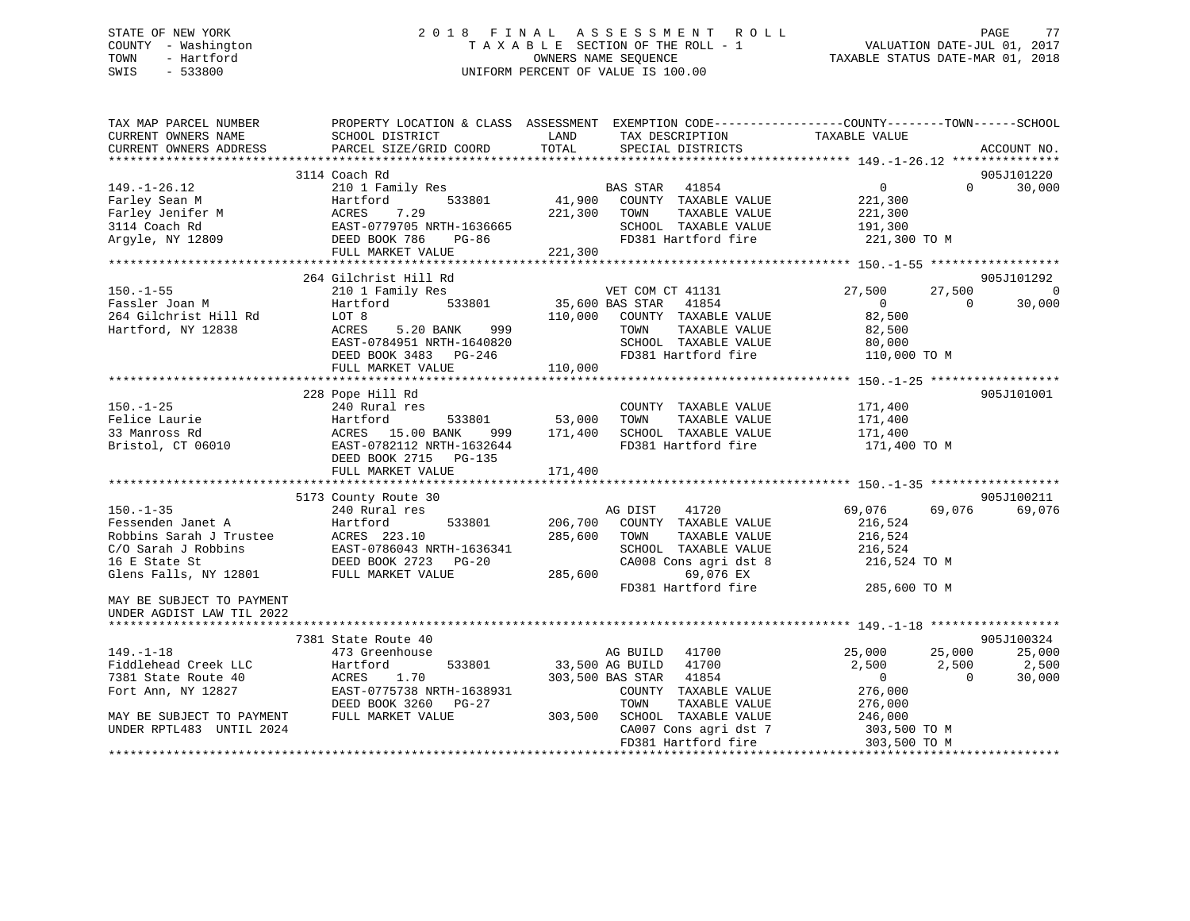### STATE OF NEW YORK 2 0 1 8 F I N A L A S S E S S M E N T R O L L PAGE 77 COUNTY - Washington T A X A B L E SECTION OF THE ROLL - 1 VALUATION DATE-JUL 01, 2017 TOWN - Hartford OWNERS NAME SEQUENCE TAXABLE STATUS DATE-MAR 01, 2018 SWIS - 533800 UNIFORM PERCENT OF VALUE IS 100.00

| TAX MAP PARCEL NUMBER<br>CURRENT OWNERS NAME<br>CURRENT OWNERS ADDRESS                                                                                        | PROPERTY LOCATION & CLASS ASSESSMENT<br>SCHOOL DISTRICT<br>PARCEL SIZE/GRID COORD                                                                           | LAND<br>TOTAL                 | EXEMPTION CODE----------------COUNTY-------TOWN------SCHOOL<br>TAX DESCRIPTION<br>SPECIAL DISTRICTS                                                    | TAXABLE VALUE                                                           |                             | ACCOUNT NO.                            |
|---------------------------------------------------------------------------------------------------------------------------------------------------------------|-------------------------------------------------------------------------------------------------------------------------------------------------------------|-------------------------------|--------------------------------------------------------------------------------------------------------------------------------------------------------|-------------------------------------------------------------------------|-----------------------------|----------------------------------------|
|                                                                                                                                                               |                                                                                                                                                             |                               |                                                                                                                                                        |                                                                         |                             |                                        |
|                                                                                                                                                               | 3114 Coach Rd                                                                                                                                               |                               |                                                                                                                                                        |                                                                         |                             | 905J101220                             |
| $149. - 1 - 26.12$<br>Farley Sean M<br>Farley Jenifer M<br>3114 Coach Rd<br>Arqyle, NY 12809                                                                  | 210 1 Family Res<br>533801<br>Hartford<br>7.29<br>ACRES<br>EAST-0779705 NRTH-1636665<br>DEED BOOK 786<br>$PG-86$<br>FULL MARKET VALUE                       | 41,900<br>221,300<br>221,300  | BAS STAR 41854<br>COUNTY TAXABLE VALUE<br>TOWN<br>TAXABLE VALUE<br>SCHOOL TAXABLE VALUE<br>FD381 Hartford fire                                         | $\overline{0}$<br>221,300<br>221,300<br>191,300<br>221,300 TO M         | $\Omega$                    | 30,000                                 |
|                                                                                                                                                               |                                                                                                                                                             |                               |                                                                                                                                                        |                                                                         |                             |                                        |
| $150. - 1 - 55$<br>Fassler Joan M<br>264 Gilchrist Hill Rd<br>Hartford, NY 12838                                                                              | 264 Gilchrist Hill Rd<br>210 1 Family Res<br>533801<br>Hartford<br>LOT 8<br>5.20 BANK<br>999<br>ACRES<br>EAST-0784951 NRTH-1640820<br>DEED BOOK 3483 PG-246 | 35,600 BAS STAR<br>110,000    | VET COM CT 41131<br>41854<br>COUNTY TAXABLE VALUE<br>TAXABLE VALUE<br>TOWN<br>SCHOOL TAXABLE VALUE<br>FD381 Hartford fire                              | 27,500<br>$\Omega$<br>82,500<br>82,500<br>80,000<br>110,000 TO M        | 27,500<br>$\Omega$          | 905J101292<br>$\overline{0}$<br>30,000 |
|                                                                                                                                                               | FULL MARKET VALUE                                                                                                                                           | 110,000                       |                                                                                                                                                        |                                                                         |                             |                                        |
|                                                                                                                                                               | 228 Pope Hill Rd                                                                                                                                            |                               |                                                                                                                                                        |                                                                         |                             | 905J101001                             |
| $150. - 1 - 25$<br>Felice Laurie<br>33 Manross Rd<br>Bristol, CT 06010                                                                                        | 240 Rural res<br>Hartford<br>533801<br>ACRES 15.00 BANK<br>999<br>EAST-0782112 NRTH-1632644<br>DEED BOOK 2715<br>PG-135<br>FULL MARKET VALUE                | 53,000<br>171,400<br>171,400  | COUNTY TAXABLE VALUE<br>TOWN<br>TAXABLE VALUE<br>SCHOOL TAXABLE VALUE<br>FD381 Hartford fire                                                           | 171,400<br>171,400<br>171,400<br>171,400 TO M                           |                             |                                        |
|                                                                                                                                                               |                                                                                                                                                             |                               |                                                                                                                                                        |                                                                         |                             |                                        |
| $150. - 1 - 35$<br>Fessenden Janet A<br>Robbins Sarah J Trustee<br>C/O Sarah J Robbins<br>16 E State St<br>Glens Falls, NY 12801<br>MAY BE SUBJECT TO PAYMENT | 5173 County Route 30<br>240 Rural res<br>Hartford<br>533801<br>ACRES 223.10<br>EAST-0786043 NRTH-1636341<br>DEED BOOK 2723 PG-20<br>FULL MARKET VALUE       | 206,700<br>285,600<br>285,600 | AG DIST<br>41720<br>COUNTY TAXABLE VALUE<br>TOWN<br>TAXABLE VALUE<br>SCHOOL TAXABLE VALUE<br>CA008 Cons agri dst 8<br>69,076 EX<br>FD381 Hartford fire | 69,076<br>216,524<br>216,524<br>216,524<br>216,524 TO M<br>285,600 TO M | 69,076                      | 905J100211<br>69,076                   |
| UNDER AGDIST LAW TIL 2022                                                                                                                                     |                                                                                                                                                             |                               |                                                                                                                                                        |                                                                         |                             |                                        |
|                                                                                                                                                               | 7381 State Route 40                                                                                                                                         |                               |                                                                                                                                                        |                                                                         |                             | 905J100324                             |
| $149. - 1 - 18$<br>Fiddlehead Creek LLC<br>7381 State Route 40<br>Fort Ann, NY 12827                                                                          | 473 Greenhouse<br>533801<br>Hartford<br>ACRES<br>1.70<br>EAST-0775738 NRTH-1638931<br>DEED BOOK 3260<br>$PG-27$                                             | 33,500 AG BUILD               | AG BUILD<br>41700<br>41700<br>303,500 BAS STAR<br>41854<br>COUNTY TAXABLE VALUE<br>TAXABLE VALUE<br>TOWN                                               | 25,000<br>2,500<br>$\overline{0}$<br>276,000<br>276,000                 | 25,000<br>2,500<br>$\Omega$ | 25,000<br>2,500<br>30,000              |
| MAY BE SUBJECT TO PAYMENT<br>UNDER RPTL483 UNTIL 2024                                                                                                         | FULL MARKET VALUE                                                                                                                                           | 303,500                       | SCHOOL TAXABLE VALUE<br>CA007 Cons agri dst 7<br>FD381 Hartford fire                                                                                   | 246,000<br>303,500 TO M<br>303,500 TO M                                 |                             |                                        |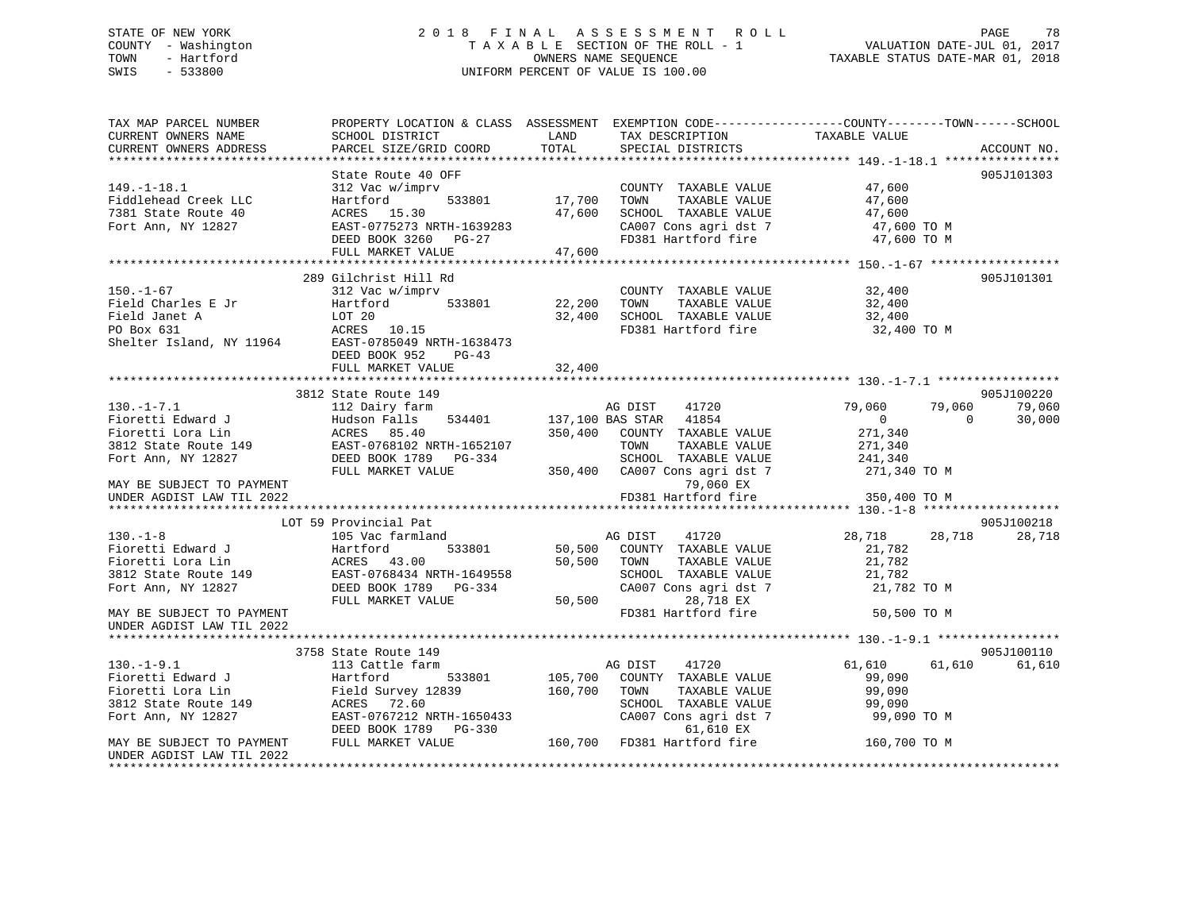# STATE OF NEW YORK 2018 FINAL ASSESSMENT ROLL PAGE 78 COUNTY - Washington  $T A X A B L E$  SECTION OF THE ROLL - 1<br>TOWN - Hartford SWIS - 533800 UNIFORM PERCENT OF VALUE IS 100.00

TAXABLE STATUS DATE-MAR 01, 2018

| TAX MAP PARCEL NUMBER                                                                                                                                                                                                                                                    | PROPERTY LOCATION & CLASS ASSESSMENT EXEMPTION CODE---------------COUNTY-------TOWN------SCHOOL  |             |                                                                                                                                                 |                            |             |
|--------------------------------------------------------------------------------------------------------------------------------------------------------------------------------------------------------------------------------------------------------------------------|--------------------------------------------------------------------------------------------------|-------------|-------------------------------------------------------------------------------------------------------------------------------------------------|----------------------------|-------------|
| CURRENT OWNERS NAME                                                                                                                                                                                                                                                      | SCHOOL DISTRICT                                                                                  | LAND        | TAX DESCRIPTION                                                                                                                                 | TAXABLE VALUE              |             |
| CURRENT OWNERS ADDRESS                                                                                                                                                                                                                                                   | PARCEL SIZE/GRID COORD                                                                           | TOTAL       | SPECIAL DISTRICTS                                                                                                                               |                            | ACCOUNT NO. |
|                                                                                                                                                                                                                                                                          |                                                                                                  |             |                                                                                                                                                 |                            |             |
|                                                                                                                                                                                                                                                                          | State Route 40 OFF                                                                               |             |                                                                                                                                                 |                            | 905J101303  |
| $149. - 1 - 18.1$                                                                                                                                                                                                                                                        | 312 Vac w/imprv                                                                                  |             | COUNTY TAXABLE VALUE                                                                                                                            | 47,600                     |             |
| Fiddlehead Creek LLC                                                                                                                                                                                                                                                     | $\frac{1}{2}$ 533801 17,700<br>Hartford                                                          |             | TOWN<br>TAXABLE VALUE                                                                                                                           | 47,600<br>47,600           |             |
| 7381 State Route 40                                                                                                                                                                                                                                                      | ACRES 15.30                                                                                      | 47,600      | SCHOOL TAXABLE VALUE                                                                                                                            |                            |             |
| Fort Ann, NY 12827                                                                                                                                                                                                                                                       |                                                                                                  |             | CA007 Cons agri dst 7                                                                                                                           | 47,600 TO M<br>47,600 TO M |             |
|                                                                                                                                                                                                                                                                          | ACRES 15.50<br>EAST-0775273 NRTH-1639283                                                         |             | FD381 Hartford fire                                                                                                                             |                            |             |
|                                                                                                                                                                                                                                                                          | FULL MARKET VALUE                                                                                | 47,600      |                                                                                                                                                 |                            |             |
|                                                                                                                                                                                                                                                                          |                                                                                                  |             |                                                                                                                                                 |                            |             |
|                                                                                                                                                                                                                                                                          | 289 Gilchrist Hill Rd                                                                            |             |                                                                                                                                                 |                            | 905J101301  |
| $150. - 1 - 67$                                                                                                                                                                                                                                                          | 312 Vac w/imprv                                                                                  |             | COUNTY TAXABLE VALUE 32,400                                                                                                                     |                            |             |
| Field Charles E Jr                                                                                                                                                                                                                                                       |                                                                                                  |             | $533801 \qquad \qquad 22,200 \qquad \text{TOWN} \qquad \text{TAXABLE VALUE} \\ \qquad 32,400 \qquad \text{SCH OOL} \qquad \text{TAXABLE VALUE}$ |                            |             |
|                                                                                                                                                                                                                                                                          |                                                                                                  |             |                                                                                                                                                 | 32,400<br>32,400           |             |
|                                                                                                                                                                                                                                                                          |                                                                                                  |             | FD381 Hartford fire                                                                                                                             | 32,400 TO M                |             |
|                                                                                                                                                                                                                                                                          |                                                                                                  |             |                                                                                                                                                 |                            |             |
|                                                                                                                                                                                                                                                                          | DEED BOOK 952<br>$PG-43$                                                                         |             |                                                                                                                                                 |                            |             |
|                                                                                                                                                                                                                                                                          | FULL MARKET VALUE                                                                                | 32,400      |                                                                                                                                                 |                            |             |
|                                                                                                                                                                                                                                                                          |                                                                                                  |             |                                                                                                                                                 |                            |             |
|                                                                                                                                                                                                                                                                          | 3812 State Route 149                                                                             |             |                                                                                                                                                 |                            | 905J100220  |
| $130. - 1 - 7.1$                                                                                                                                                                                                                                                         | 112 Dairy farm                                                                                   |             | AG DIST<br>41720                                                                                                                                | 79,060<br>79,060           | 79,060      |
| Fioretti Edward J                                                                                                                                                                                                                                                        |                                                                                                  |             |                                                                                                                                                 | $\overline{0}$<br>$\Omega$ | 30,000      |
| Fioretti Lora Lin                                                                                                                                                                                                                                                        |                                                                                                  |             | 350,400 COUNTY TAXABLE VALUE                                                                                                                    | 271,340                    |             |
|                                                                                                                                                                                                                                                                          | 19812 State Route 149<br>RAST-0768102 NRTH-1652107<br>Fort Ann NY 12827<br>DEED BOOK 1789 PG-334 |             | TOWN<br>TAXABLE VALUE                                                                                                                           | 271,340                    |             |
|                                                                                                                                                                                                                                                                          | DEED BOOK 1789 PG-334                                                                            |             | SCHOOL TAXABLE VALUE                                                                                                                            | 241,340                    |             |
|                                                                                                                                                                                                                                                                          | FULL MARKET VALUE                                                                                |             | 350,400 CA007 Cons agri dst 7 271,340 TO M                                                                                                      |                            |             |
| MAY BE SUBJECT TO PAYMENT                                                                                                                                                                                                                                                |                                                                                                  |             | 79,060 EX                                                                                                                                       |                            |             |
| UNDER AGDIST LAW TIL 2022                                                                                                                                                                                                                                                |                                                                                                  |             | FD381 Hartford fire                                                                                                                             | 350,400 TO M               |             |
|                                                                                                                                                                                                                                                                          |                                                                                                  |             |                                                                                                                                                 |                            |             |
|                                                                                                                                                                                                                                                                          | LOT 59 Provincial Pat                                                                            |             |                                                                                                                                                 |                            | 905J100218  |
| $130. - 1 - 8$                                                                                                                                                                                                                                                           | 105 Vac farmland                                                                                 |             | AG DIST<br>41720                                                                                                                                | 28,718<br>28,718           | 28,718      |
|                                                                                                                                                                                                                                                                          |                                                                                                  |             | 533801 50,500 COUNTY TAXABLE VALUE                                                                                                              |                            |             |
| Fioretti Edward J<br>$\begin{tabular}{ll} \bf \texttt{Hartford} \\ \hline \end{tabular} \begin{tabular}{ll} \bf \texttt{Hartford} \\ \bf \texttt{ACRES} \\ \end{tabular} \begin{tabular}{ll} \bf \texttt{Hartford} \\ \bf \texttt{ACRES} \\ \end{tabular} \end{tabular}$ |                                                                                                  | 50,500 TOWN | TAXABLE VALUE                                                                                                                                   | 21,782<br>21,782           |             |
|                                                                                                                                                                                                                                                                          | EAST-0768434 NRTH-1649558                                                                        |             |                                                                                                                                                 |                            |             |
| $3812$ State Route 149<br>Fort Ann, NY 12827                                                                                                                                                                                                                             | DEED BOOK 1789 PG-334                                                                            |             | SCHOOL TAXABLE VALUE 21,782<br>CA007 Cons agri dst 7 21,782 TO M                                                                                |                            |             |
|                                                                                                                                                                                                                                                                          | FULL MARKET VALUE                                                                                | 50,500      | 28,718 EX                                                                                                                                       |                            |             |
|                                                                                                                                                                                                                                                                          |                                                                                                  |             | FD381 Hartford fire                                                                                                                             |                            |             |
| MAY BE SUBJECT TO PAYMENT                                                                                                                                                                                                                                                |                                                                                                  |             |                                                                                                                                                 | 50,500 TO M                |             |
| UNDER AGDIST LAW TIL 2022                                                                                                                                                                                                                                                |                                                                                                  |             |                                                                                                                                                 |                            |             |
|                                                                                                                                                                                                                                                                          |                                                                                                  |             |                                                                                                                                                 |                            | 905J100110  |
| $130.-1-9.1$                                                                                                                                                                                                                                                             | 3758 State Route 149                                                                             |             |                                                                                                                                                 |                            |             |
|                                                                                                                                                                                                                                                                          | 113 Cattle farm                                                                                  |             | 41720<br>AG DIST                                                                                                                                | 61,610<br>61,610           | 61,610      |
| Fioretti Edward J<br>Fioretti Lora Lin                                                                                                                                                                                                                                   | Hartford 533801 105,700 COUNTY TAXABLE VALUE<br>Field Survey 12839 160,700 TOWN TAXABLE VALUE    |             |                                                                                                                                                 | 99,090                     |             |
|                                                                                                                                                                                                                                                                          |                                                                                                  |             |                                                                                                                                                 | 99,090                     |             |
| 3812 State Route 149                                                                                                                                                                                                                                                     | ACRES 72.60                                                                                      |             | SCHOOL TAXABLE VALUE<br>SCHOOL TAXABLE VALUE 99,090<br>CA007 Cons agri dst 7 99,090 TO M                                                        | 99,090                     |             |
| Fort Ann, NY 12827                                                                                                                                                                                                                                                       | EAST-0767212 NRTH-1650433                                                                        |             |                                                                                                                                                 |                            |             |
|                                                                                                                                                                                                                                                                          | DEED BOOK 1789 PG-330                                                                            |             | 5-330 61,610 EX<br>160,700 FD381 Hartford fire                                                                                                  |                            |             |
| MAY BE SUBJECT TO PAYMENT                                                                                                                                                                                                                                                | FULL MARKET VALUE                                                                                |             |                                                                                                                                                 | 160,700 TO M               |             |
| UNDER AGDIST LAW TIL 2022                                                                                                                                                                                                                                                |                                                                                                  |             |                                                                                                                                                 |                            |             |
|                                                                                                                                                                                                                                                                          |                                                                                                  |             |                                                                                                                                                 |                            |             |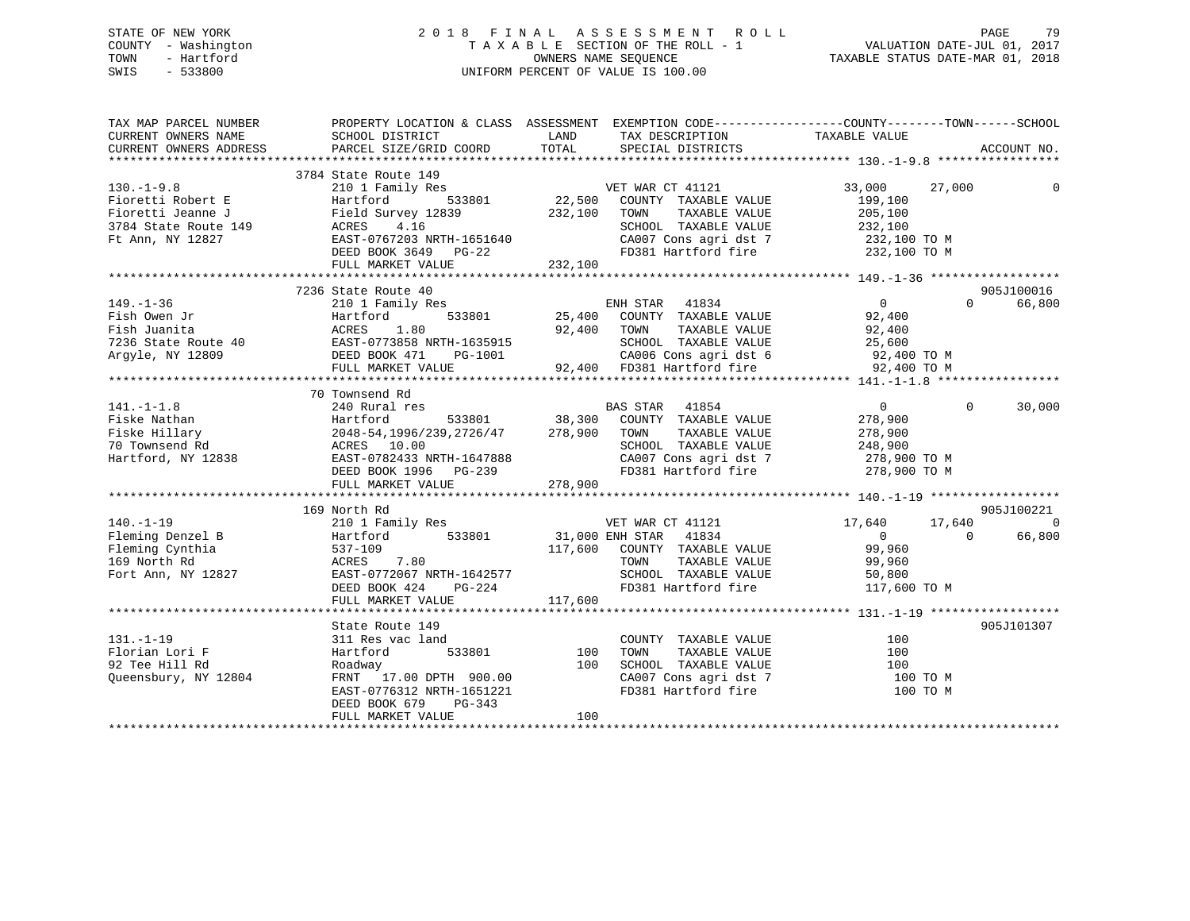### STATE OF NEW YORK 2 0 1 8 F I N A L A S S E S S M E N T R O L L PAGE 79 COUNTY - Washington T A X A B L E SECTION OF THE ROLL - 1 VALUATION DATE-JUL 01, 2017 TOWN - Hartford **TAXABLE STATUS DATE-MAR 01, 2018** OWNERS NAME SEQUENCE TAXABLE STATUS DATE-MAR 01, 2018 SWIS - 533800 UNIFORM PERCENT OF VALUE IS 100.00

| TAX MAP PARCEL NUMBER                                                                         |                                                                                                                                                                                                        |                                                                                                                                                                                                                                                                                                                                                                                                                                                                     | ACCOUNT NO.                                 |
|-----------------------------------------------------------------------------------------------|--------------------------------------------------------------------------------------------------------------------------------------------------------------------------------------------------------|---------------------------------------------------------------------------------------------------------------------------------------------------------------------------------------------------------------------------------------------------------------------------------------------------------------------------------------------------------------------------------------------------------------------------------------------------------------------|---------------------------------------------|
|                                                                                               |                                                                                                                                                                                                        |                                                                                                                                                                                                                                                                                                                                                                                                                                                                     |                                             |
| $130. -1 - 9.8$<br>Fioretti Robert E                                                          | 3784 State Route 149<br>210 1 Family Res<br>Hartford<br>FULL MARKET VALUE                                                                                                                              | e 149<br>1121 NET WAR CT 41121<br>533801 22,500 COUNTY TAXABLE VALUE<br>Fioretti Robert E<br>Fioretti Jeanne J<br>Field Survey 12839 232,100 TOWN TAXABLE VALUE<br>3784 State Route 149 ACRES 4.16 SCHOOL TAXABLE VALUE<br>Ft Ann, NY 12827 EAST-0767203 NRTH-1651640 CA007 Cons agri dst 7<br>DEED BOOK 3649 PG<br>TOWN TAXABLE VALUE 205,100<br>SCHOOL TAXABLE VALUE 232,100<br>CA007 Cons agri dst 7 232,100 TO M<br>FD381 Hartford fire 232,100 TO M<br>232,100 | 33,000 27,000<br>199,100                    |
|                                                                                               |                                                                                                                                                                                                        |                                                                                                                                                                                                                                                                                                                                                                                                                                                                     |                                             |
|                                                                                               |                                                                                                                                                                                                        |                                                                                                                                                                                                                                                                                                                                                                                                                                                                     |                                             |
|                                                                                               |                                                                                                                                                                                                        |                                                                                                                                                                                                                                                                                                                                                                                                                                                                     |                                             |
| $141. - 1 - 1.8$                                                                              | 70 Townsend Rd<br>240 Rural res                                                                                                                                                                        | BAS STAR 41854<br>141.-1-1.8 240 Rural res<br>Fiske Nihlary 278,900<br>Fiske Hillary 2048-54,1996/239,2726/47 278,900<br>To Townsend Rd ACRES 10.00<br>Hartford, NY 12838 EAST-0782433 NRTH-1647888 CA00T TAXABLE VALUE 278,900<br>Hartford, NY 12838 EAST                                                                                                                                                                                                          | $\overline{0}$<br>$\mathbf{0}$<br>30,000    |
|                                                                                               |                                                                                                                                                                                                        |                                                                                                                                                                                                                                                                                                                                                                                                                                                                     |                                             |
|                                                                                               | 169 North Rd                                                                                                                                                                                           | 210 1 Family Res<br>Hartford 533801 31,000 ENH STAR 41834<br>537-109 117 600 COUNTY TARTER<br>VET WAR CT 41121 17,640 17,640                                                                                                                                                                                                                                                                                                                                        | 905J100221                                  |
|                                                                                               |                                                                                                                                                                                                        |                                                                                                                                                                                                                                                                                                                                                                                                                                                                     |                                             |
| $131. - 1 - 19$<br>Florian Lori F<br>02 The Will Pd<br>92 Tee Hill Rd<br>Queensbury, NY 12804 | State Route 149<br>c land<br>533801 100<br>311 Res vac land<br>Hartford<br>Roadway<br>FRNT <sup>1</sup> 17.00 DPTH 900.00<br>EAST-0776312 NRTH-1651221<br>DEED BOOK 679<br>PG-343<br>FULL MARKET VALUE | COUNTY TAXABLE VALUE<br>100<br>CA007 Cons agri dst 7 100 TO M<br>FD381 Hartford fire<br>100                                                                                                                                                                                                                                                                                                                                                                         | 905J101307<br>100<br>100<br>100<br>100 TO M |
|                                                                                               |                                                                                                                                                                                                        |                                                                                                                                                                                                                                                                                                                                                                                                                                                                     |                                             |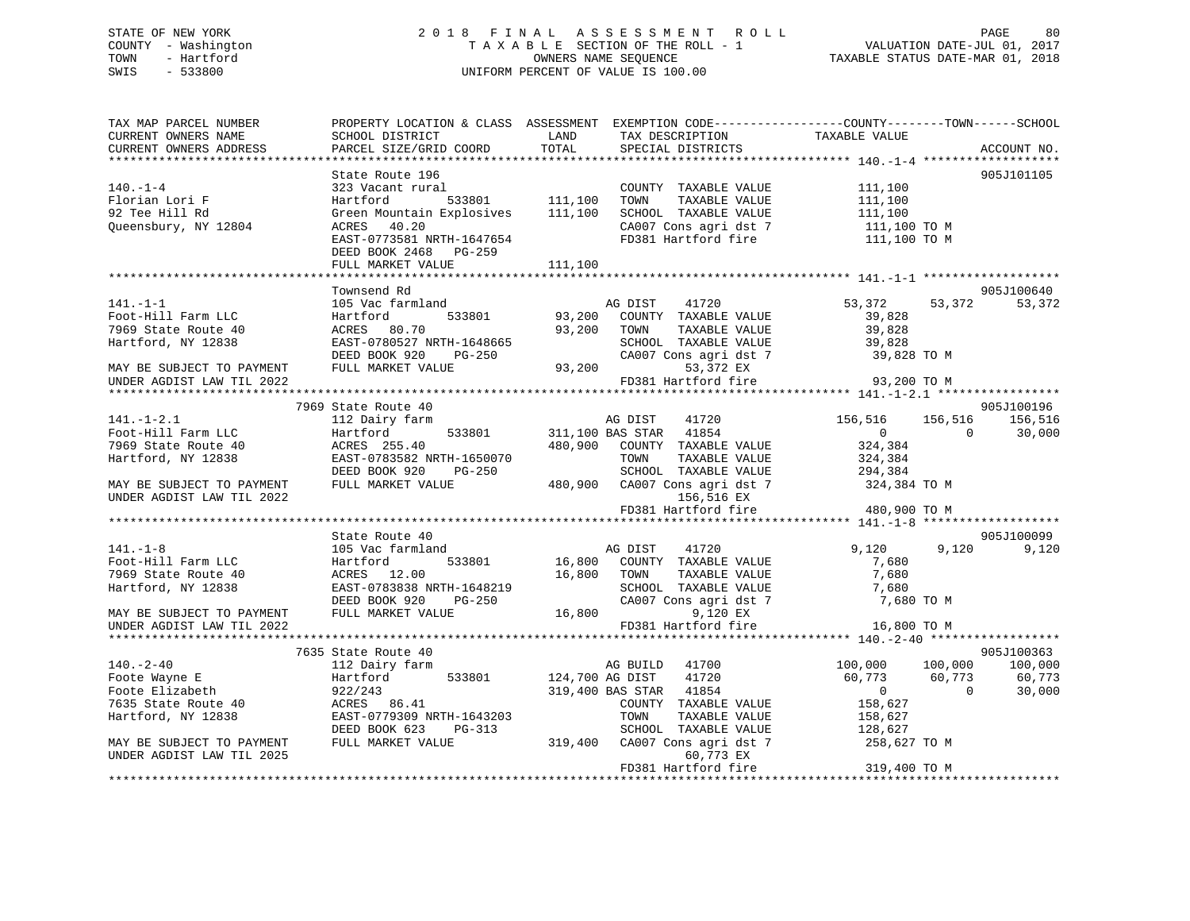### STATE OF NEW YORK 2 0 1 8 F I N A L A S S E S S M E N T R O L L PAGE 80 COUNTY - Washington T A X A B L E SECTION OF THE ROLL - 1 VALUATION DATE-JUL 01, 2017 TOWN - Hartford OWNERS NAME SEQUENCE TAXABLE STATUS DATE-MAR 01, 2018 SWIS - 533800 UNIFORM PERCENT OF VALUE IS 100.00

| TAX MAP PARCEL NUMBER<br>CURRENT OWNERS NAME | SCHOOL DISTRICT<br>PARCEL SIZE/GRID COORD | LAND<br>TOTAL   | TAX DESCRIPTION        | PROPERTY LOCATION & CLASS ASSESSMENT EXEMPTION CODE----------------COUNTY-------TOWN-----SCHOOL<br>TAXABLE VALUE | ACCOUNT NO. |
|----------------------------------------------|-------------------------------------------|-----------------|------------------------|------------------------------------------------------------------------------------------------------------------|-------------|
| CURRENT OWNERS ADDRESS                       |                                           |                 | SPECIAL DISTRICTS      |                                                                                                                  |             |
|                                              | State Route 196                           |                 |                        |                                                                                                                  | 905J101105  |
| $140. - 1 - 4$                               | 323 Vacant rural                          |                 | COUNTY TAXABLE VALUE   | 111,100                                                                                                          |             |
| Florian Lori F                               | Hartford                                  | 533801 111,100  | TOWN<br>TAXABLE VALUE  | 111,100                                                                                                          |             |
| 92 Tee Hill Rd                               | Green Mountain Explosives                 | 111,100         | SCHOOL TAXABLE VALUE   | 111,100                                                                                                          |             |
| Queensbury, NY 12804                         | ACRES 40.20                               |                 | CA007 Cons agri dst 7  | 111,100 TO M                                                                                                     |             |
|                                              | EAST-0773581 NRTH-1647654                 |                 | FD381 Hartford fire    | 111,100 TO M                                                                                                     |             |
|                                              | DEED BOOK 2468 PG-259                     |                 |                        |                                                                                                                  |             |
|                                              | FULL MARKET VALUE                         | 111,100         |                        |                                                                                                                  |             |
|                                              |                                           |                 |                        |                                                                                                                  |             |
|                                              | Townsend Rd                               |                 |                        |                                                                                                                  | 905J100640  |
| $141. - 1 - 1$                               | 105 Vac farmland                          |                 | AG DIST<br>41720       | 53,372<br>53,372                                                                                                 | 53,372      |
| Foot-Hill Farm LLC                           | 533801<br>Hartford                        | 93,200          | COUNTY TAXABLE VALUE   | 39,828                                                                                                           |             |
| 7969 State Route 40                          | ACRES 80.70                               | 93,200          | TOWN<br>TAXABLE VALUE  | 39,828                                                                                                           |             |
| Hartford, NY 12838                           | EAST-0780527 NRTH-1648665                 |                 | SCHOOL TAXABLE VALUE   | 39,828                                                                                                           |             |
|                                              | DEED BOOK 920<br>PG-250                   |                 | CA007 Cons agri dst 7  | 39,828 TO M                                                                                                      |             |
| MAY BE SUBJECT TO PAYMENT                    | FULL MARKET VALUE                         | 93,200          | 53,372 EX              |                                                                                                                  |             |
| UNDER AGDIST LAW TIL 2022                    |                                           |                 | FD381 Hartford fire    | 93,200 TO M                                                                                                      |             |
|                                              |                                           |                 |                        |                                                                                                                  |             |
|                                              | 7969 State Route 40                       |                 |                        |                                                                                                                  | 905J100196  |
| $141. - 1 - 2.1$                             | 112 Dairy farm                            |                 | 41720<br>AG DIST       | 156,516<br>156,516                                                                                               | 156,516     |
| Foot-Hill Farm LLC                           | 533801<br>Hartford                        |                 | 311,100 BAS STAR 41854 | $\overline{0}$<br>$\Omega$                                                                                       | 30,000      |
| 7969 State Route 40                          | ACRES 255.40                              | 480,900         | COUNTY TAXABLE VALUE   | 324,384                                                                                                          |             |
| Hartford, NY 12838                           | EAST-0783582 NRTH-1650070                 |                 | TOWN<br>TAXABLE VALUE  | 324,384                                                                                                          |             |
|                                              | DEED BOOK 920<br>PG-250                   |                 | SCHOOL TAXABLE VALUE   | 294,384                                                                                                          |             |
| MAY BE SUBJECT TO PAYMENT                    | FULL MARKET VALUE                         | 480,900         | CA007 Cons agri dst 7  | 324,384 TO M                                                                                                     |             |
| UNDER AGDIST LAW TIL 2022                    |                                           |                 | 156,516 EX             |                                                                                                                  |             |
|                                              |                                           |                 | FD381 Hartford fire    | 480,900 TO M                                                                                                     |             |
|                                              |                                           |                 |                        |                                                                                                                  |             |
|                                              | State Route 40                            |                 |                        |                                                                                                                  | 905J100099  |
| $141. - 1 - 8$                               | 105 Vac farmland                          |                 | 41720<br>AG DIST       | 9,120<br>9,120                                                                                                   | 9,120       |
| Foot-Hill Farm LLC                           | Hartford<br>533801                        | 16,800          | COUNTY TAXABLE VALUE   | 7,680                                                                                                            |             |
| 7969 State Route 40                          | ACRES 12.00                               | 16,800          | TOWN<br>TAXABLE VALUE  | 7,680                                                                                                            |             |
| Hartford, NY 12838                           | EAST-0783838 NRTH-1648219                 |                 | SCHOOL TAXABLE VALUE   | 7,680                                                                                                            |             |
|                                              | DEED BOOK 920<br>$PG-250$                 |                 | CA007 Cons agri dst 7  | 7,680 TO M                                                                                                       |             |
| MAY BE SUBJECT TO PAYMENT                    | FULL MARKET VALUE                         | 16,800          | 9,120 EX               |                                                                                                                  |             |
| UNDER AGDIST LAW TIL 2022                    |                                           |                 | FD381 Hartford fire    | 16,800 TO M                                                                                                      |             |
|                                              |                                           |                 |                        |                                                                                                                  |             |
|                                              | 7635 State Route 40                       |                 |                        |                                                                                                                  | 905J100363  |
| $140. - 2 - 40$                              | 112 Dairy farm                            |                 | AG BUILD 41700         | 100,000<br>100,000                                                                                               | 100,000     |
| Foote Wayne E                                | Hartford<br>533801                        | 124,700 AG DIST | 41720                  | 60,773<br>60,773                                                                                                 | 60,773      |
| Foote Elizabeth                              | 922/243                                   |                 | 319,400 BAS STAR 41854 | $\overline{0}$<br>$\Omega$                                                                                       | 30,000      |
| 7635 State Route 40                          | ACRES 86.41                               |                 | COUNTY TAXABLE VALUE   | 158,627                                                                                                          |             |
| Hartford, NY 12838                           | EAST-0779309 NRTH-1643203                 |                 | TOWN<br>TAXABLE VALUE  | 158,627                                                                                                          |             |
|                                              | DEED BOOK 623<br>$PG-313$                 |                 | SCHOOL TAXABLE VALUE   | 128,627                                                                                                          |             |
| MAY BE SUBJECT TO PAYMENT                    | FULL MARKET VALUE                         | 319,400         | CA007 Cons agri dst 7  | 258,627 TO M                                                                                                     |             |
| UNDER AGDIST LAW TIL 2025                    |                                           |                 | 60,773 EX              |                                                                                                                  |             |
|                                              |                                           |                 | FD381 Hartford fire    | 319,400 TO M                                                                                                     |             |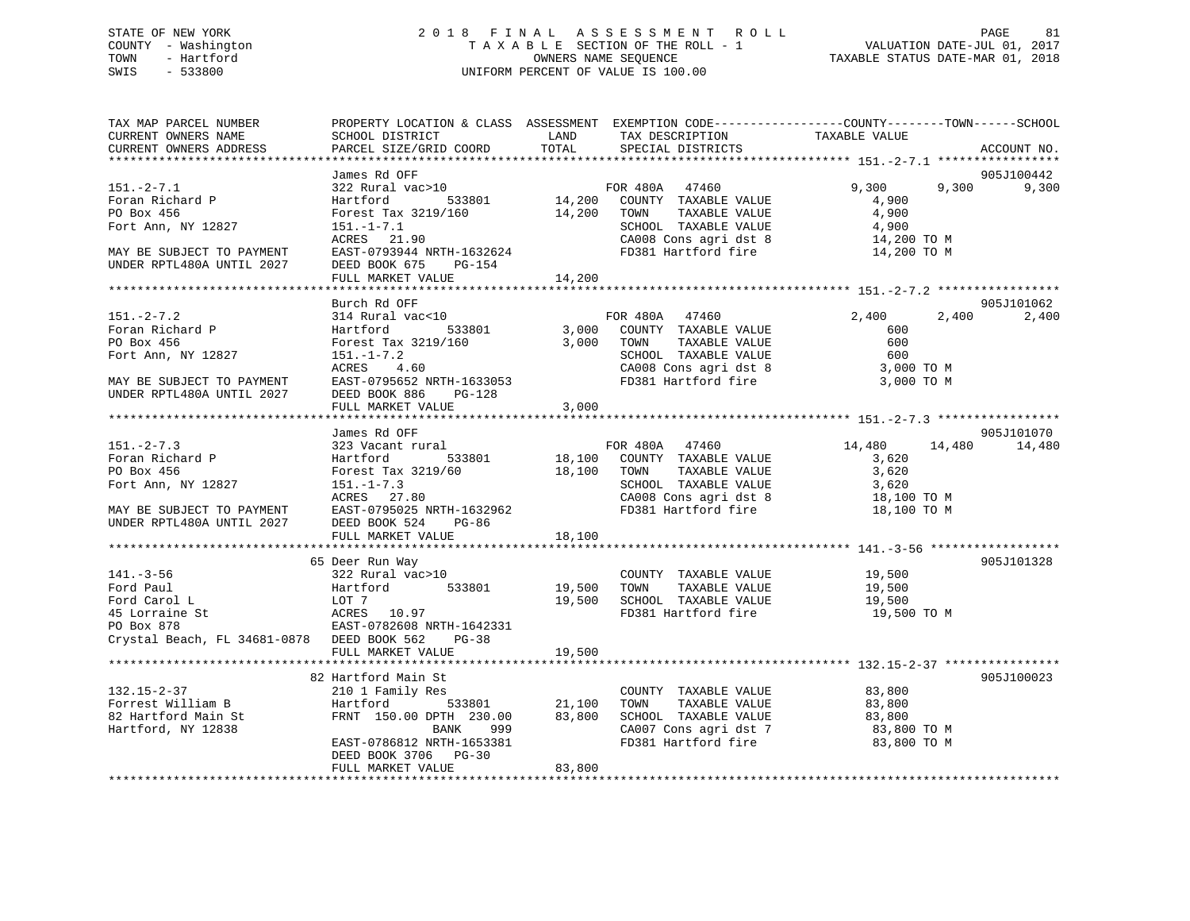### STATE OF NEW YORK 2 0 1 8 F I N A L A S S E S S M E N T R O L L PAGE 81 COUNTY - Washington T A X A B L E SECTION OF THE ROLL - 1 VALUATION DATE-JUL 01, 2017 TOWN - Hartford **TAXABLE STATUS DATE-MAR 01, 2018** OWNERS NAME SEQUENCE TAXABLE STATUS DATE-MAR 01, 2018 SWIS - 533800 UNIFORM PERCENT OF VALUE IS 100.00

| TAX MAP PARCEL NUMBER<br>CURRENT OWNERS NAME<br>CURRENT OWNERS ADDRESS | PROPERTY LOCATION & CLASS ASSESSMENT EXEMPTION CODE----------------COUNTY-------TOWN-----SCHOOL<br>SCHOOL DISTRICT<br>PARCEL SIZE/GRID COORD | LAND<br>TOTAL | TAX DESCRIPTION<br>SPECIAL DISTRICTS                         | TAXABLE VALUE              | ACCOUNT NO.         |
|------------------------------------------------------------------------|----------------------------------------------------------------------------------------------------------------------------------------------|---------------|--------------------------------------------------------------|----------------------------|---------------------|
|                                                                        |                                                                                                                                              |               |                                                              |                            |                     |
| $151 - 2 - 7.1$                                                        | James Rd OFF<br>322 Rural vac>10<br>Hartford 533801 14,200 COUNTY TAXABLE VALUE                                                              |               |                                                              | 9,300<br>9,300             | 905J100442<br>9,300 |
| Foran Richard P<br>PO Box 456                                          | Forest Tax 3219/160 14,200 TOWN                                                                                                              |               | TAXABLE VALUE                                                | 4,900<br>4,900             |                     |
| Fort Ann, NY 12827                                                     | $151. - 1 - 7.1$                                                                                                                             |               | SCHOOL TAXABLE VALUE                                         | 4,900                      |                     |
|                                                                        | ACRES 21.90                                                                                                                                  |               | CA008 Cons agri dst 8                                        | 14,200 TO M<br>14,200 TO M |                     |
| MAY BE SUBJECT TO PAYMENT<br>UNDER RPTL480A UNTIL 2027                 | EAST-0793944 NRTH-1632624<br>DEED BOOK 675 PG-154                                                                                            |               | FD381 Hartford fire                                          |                            |                     |
|                                                                        | FULL MARKET VALUE                                                                                                                            | 14,200        |                                                              |                            |                     |
|                                                                        | Burch Rd OFF                                                                                                                                 |               |                                                              |                            | 905J101062          |
| $151 - 2 - 7.2$                                                        | 314 Rural vac<10                                                                                                                             |               | FOR 480A 47460                                               | 2,400                      | 2,400<br>2,400      |
| Foran Richard P                                                        | Hartford 533801                                                                                                                              |               | 3,000 COUNTY TAXABLE VALUE                                   | 600                        |                     |
| PO Box 456                                                             | Forest Tax 3219/160                                                                                                                          |               | 3,000 TOWN<br>TAXABLE VALUE                                  | 600                        |                     |
| Fort Ann, NY 12827                                                     | 151.-1-7.2<br>ACRES 4.60                                                                                                                     |               | SCHOOL TAXABLE VALUE 600<br>CA008 Cons agri dst 8 3,000 TO M |                            |                     |
|                                                                        |                                                                                                                                              |               |                                                              |                            |                     |
| MAY BE SUBJECT TO PAYMENT<br>INDER RPTL480A UNTIL 2027                 | EAST-0795652 NRTH-1633053                                                                                                                    |               | FD381 Hartford fire                                          | 3,000 TO M                 |                     |
|                                                                        | DEED BOOK 886<br>$PG-128$                                                                                                                    |               |                                                              |                            |                     |
|                                                                        | FULL MARKET VALUE                                                                                                                            | 3,000         |                                                              |                            |                     |
|                                                                        |                                                                                                                                              |               |                                                              |                            | 905J101070          |
| $151 - 2 - 7.3$                                                        | James Rd OFF<br>323 Vacant rural                                                                                                             |               |                                                              | 14,480                     | 14,480<br>14,480    |
| Foran Richard P                                                        | 533801<br>Hartford                                                                                                                           |               | FOR 480A 47460<br>18,100 COUNTY TAXABLE VALUE                | 3,620                      |                     |
| PO Box 456                                                             | Forest Tax 3219/60 18,100 TOWN                                                                                                               |               | TAXABLE VALUE                                                | 3,620                      |                     |
| Fort Ann, NY 12827                                                     | $151. - 1 - 7.3$                                                                                                                             |               | SCHOOL TAXABLE VALUE                                         | 3,620                      |                     |
|                                                                        | ACRES 27.80                                                                                                                                  |               |                                                              | 18,100 TO M                |                     |
| MAY BE SUBJECT TO PAYMENT EAST-0795025 NRTH-1632962                    |                                                                                                                                              |               | CA008 Cons agri dst 8<br>FD381 Hartford fire                 | 18,100 TO M                |                     |
| UNDER RPTL480A UNTIL 2027                                              | DEED BOOK 524<br>PG-86<br>FULL MARKET VALUE                                                                                                  | 18,100        |                                                              |                            |                     |
|                                                                        |                                                                                                                                              |               |                                                              |                            |                     |
|                                                                        | 65 Deer Run Way                                                                                                                              |               |                                                              |                            | 905J101328          |
| $141. - 3 - 56$                                                        | 322 Rural vac>10                                                                                                                             |               | COUNTY TAXABLE VALUE 19,500                                  |                            |                     |
| Ford Paul                                                              | 533801                                                                                                                                       | 19,500 TOWN   | TAXABLE VALUE                                                | 19,500                     |                     |
| Ford Carol L                                                           |                                                                                                                                              |               | 19,500 SCHOOL TAXABLE VALUE                                  | 19,500                     |                     |
| 45 Lorraine St                                                         |                                                                                                                                              |               | FD381 Hartford fire                                          | 19,500 TO M                |                     |
| PO Box 878                                                             | EAST-0782608 NRTH-1642331                                                                                                                    |               |                                                              |                            |                     |
| Crystal Beach, FL 34681-0878 DEED BOOK 562                             | PG-38                                                                                                                                        |               |                                                              |                            |                     |
|                                                                        | FULL MARKET VALUE                                                                                                                            | 19,500        |                                                              |                            |                     |
|                                                                        |                                                                                                                                              |               |                                                              |                            |                     |
|                                                                        | 82 Hartford Main St                                                                                                                          |               |                                                              |                            | 905J100023          |
| 132.15-2-37                                                            | 210 1 Family Res                                                                                                                             |               | COUNTY TAXABLE VALUE 83,800                                  |                            |                     |
| Forrest William B<br>82 Hartford Main St                               | Hartford 533801 21,100<br>FRNT 150.00 DPTH 230.00 83,800                                                                                     |               | TOWN TAXABLE VALUE                                           | 83,800<br>83,800           |                     |
|                                                                        |                                                                                                                                              |               | 83,800 SCHOOL TAXABLE VALUE                                  |                            |                     |
| Hartford, NY 12838                                                     | BANK<br>999<br>EAST-0786812 NRTH-1653381                                                                                                     |               | CA007 Cons agri dst 7<br>FD381 Hartford fire                 | 83,800 TO M<br>83,800 TO M |                     |
|                                                                        | DEED BOOK 3706 PG-30                                                                                                                         |               |                                                              |                            |                     |
|                                                                        | FULL MARKET VALUE                                                                                                                            | 83,800        |                                                              |                            |                     |
|                                                                        |                                                                                                                                              |               |                                                              |                            |                     |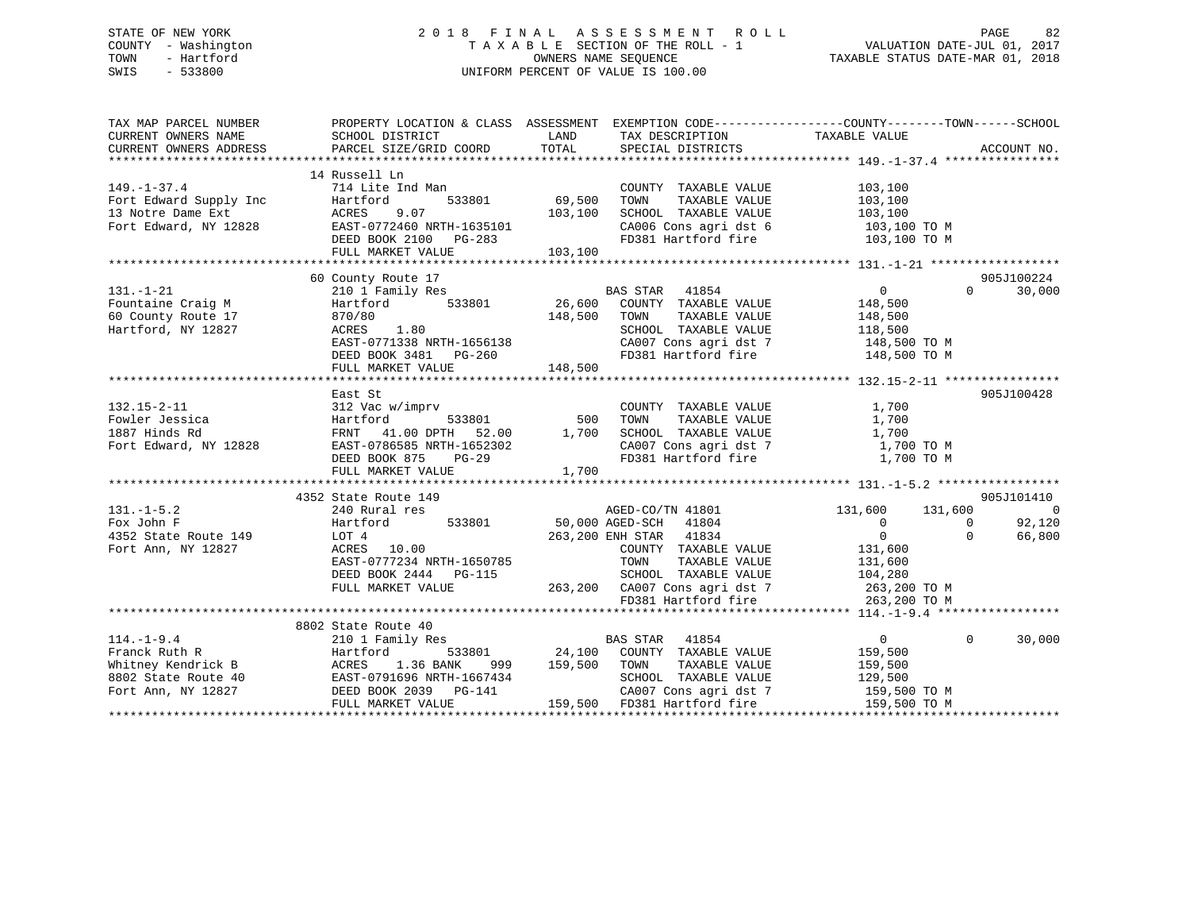### STATE OF NEW YORK 2 0 1 8 F I N A L A S S E S S M E N T R O L L PAGE 82 COUNTY - Washington T A X A B L E SECTION OF THE ROLL - 1 VALUATION DATE-JUL 01, 2017 TOWN - Hartford **TAXABLE STATUS DATE-MAR 01, 2018** OWNERS NAME SEQUENCE TAXABLE STATUS DATE-MAR 01, 2018 SWIS - 533800 UNIFORM PERCENT OF VALUE IS 100.00

| TAX MAP PARCEL NUMBER                                                | PROPERTY LOCATION & CLASS ASSESSMENT EXEMPTION CODE---------------COUNTY-------TOWN-----SCHOOL |                  |                                                                                                                                                                                |                                    |                |
|----------------------------------------------------------------------|------------------------------------------------------------------------------------------------|------------------|--------------------------------------------------------------------------------------------------------------------------------------------------------------------------------|------------------------------------|----------------|
| CURRENT OWNERS NAME                                                  | SCHOOL DISTRICT                                                                                | LAND             |                                                                                                                                                                                |                                    |                |
| CURRENT OWNERS ADDRESS                                               | PARCEL SIZE/GRID COORD                                                                         | TOTAL            | TAX DESCRIPTION TAXABLE VALUE SPECIAL DISTRICTS                                                                                                                                |                                    | ACCOUNT NO.    |
|                                                                      |                                                                                                |                  |                                                                                                                                                                                |                                    |                |
|                                                                      | 14 Russell Ln                                                                                  |                  |                                                                                                                                                                                |                                    |                |
| $149. - 1 - 37.4$                                                    | 714 Lite Ind Man                                                                               |                  | COUNTY TAXABLE VALUE                                                                                                                                                           | 103,100                            |                |
|                                                                      | Hartford<br>533801                                                                             | 69,500           | TAXABLE VALUE<br>TOWN                                                                                                                                                          | 103,100                            |                |
| Fort Edward Supply Inc<br>13 Notre Dame Ext<br>Fort Edward, NY 12828 | 9.07<br>ACRES                                                                                  | 103,100          | SCHOOL TAXABLE VALUE                                                                                                                                                           | 103,100                            |                |
|                                                                      |                                                                                                |                  |                                                                                                                                                                                |                                    |                |
|                                                                      | EAST-0772460 NRTH-1635101<br>DEED BOOK 2100 PG-283                                             |                  | CA006 Cons agri dst 6 103,100 TO M<br>FD381 Hartford fire 103,100 TO M                                                                                                         |                                    |                |
|                                                                      | FULL MARKET VALUE                                                                              | 103,100          |                                                                                                                                                                                |                                    |                |
|                                                                      |                                                                                                |                  |                                                                                                                                                                                |                                    |                |
|                                                                      | 60 County Route 17                                                                             |                  |                                                                                                                                                                                |                                    | 905J100224     |
| $131. - 1 - 21$                                                      |                                                                                                |                  | BAS STAR 41854                                                                                                                                                                 | $\overline{0}$<br>$\Omega$         | 30,000         |
| Fountaine Craig M                                                    | 210 1 Family Res BA<br>Hartford 533801 26,600                                                  |                  | COUNTY TAXABLE VALUE                                                                                                                                                           | 148,500                            |                |
| 60 County Route 17                                                   | 870/80                                                                                         | 148,500          | TOWN<br>TAXABLE VALUE                                                                                                                                                          |                                    |                |
| Hartford, NY 12827                                                   | ACRES 1.80                                                                                     |                  | SCHOOL TAXABLE VALUE                                                                                                                                                           | 148,500<br>118,500                 |                |
|                                                                      |                                                                                                |                  | CA007 Cons agri dst 7 148,500 TO M                                                                                                                                             |                                    |                |
|                                                                      | EAST-0771338 NRTH-1656138<br>DEED BOOK 3481 PG-260                                             |                  | FD381 Hartford fire                                                                                                                                                            | 148,500 TO M                       |                |
|                                                                      | FULL MARKET VALUE                                                                              | 148,500          |                                                                                                                                                                                |                                    |                |
|                                                                      |                                                                                                |                  |                                                                                                                                                                                |                                    |                |
|                                                                      |                                                                                                |                  |                                                                                                                                                                                |                                    | 905J100428     |
|                                                                      | East St                                                                                        |                  |                                                                                                                                                                                |                                    |                |
| $132.15 - 2 - 11$                                                    | nprv<br>533801 500                                                                             |                  | COUNTY TAXABLE VALUE 1,700                                                                                                                                                     |                                    |                |
| Fowler Jessica                                                       | 312 Vac w/imprv<br>Hartford 533801 500<br>FRNT 41.00 DPTH 52.00 1,700                          |                  | $\begin{tabular}{lllllllllll} \textsc{Tom} & \textsc{taxABLE} & \textsc{VALUE} & & & 1,700 \\ \textsc{SCHODL} & \textsc{TXABLE} & \textsc{VALUE} & & & 1,700 \\ \end{tabular}$ |                                    |                |
| 1887 Hinds Rd                                                        |                                                                                                |                  |                                                                                                                                                                                |                                    |                |
| Fort Edward, NY 12828                                                | EAST-0786585 NRTH-1652302                                                                      |                  | CA007 Cons agri dst 7<br>FD381 Hartford fire                                                                                                                                   | 1,700 TO M                         |                |
|                                                                      | DEED BOOK 875<br>PG-29                                                                         |                  |                                                                                                                                                                                | 1,700 TO M                         |                |
|                                                                      | FULL MARKET VALUE                                                                              | 1,700            |                                                                                                                                                                                |                                    |                |
|                                                                      |                                                                                                |                  |                                                                                                                                                                                |                                    |                |
|                                                                      | 4352 State Route 149                                                                           |                  |                                                                                                                                                                                |                                    | 905J101410     |
| $131. -1 - 5.2$                                                      | 240 Rural res                                                                                  |                  | AGED-CO/TN 41801                                                                                                                                                               | 131,600 131,600                    | $\overline{0}$ |
| Fox John F                                                           | Hartford                                                                                       |                  | 533801 50,000 AGED-SCH 41804                                                                                                                                                   | $\overline{0}$<br>$\Omega$         | 92,120         |
| 4352 State Route 149                                                 | LOT 4                                                                                          |                  | 263,200 ENH STAR 41834                                                                                                                                                         | $\overline{0}$<br>$\Omega$         | 66,800         |
| Fort Ann, NY 12827                                                   | ACRES 10.00                                                                                    |                  | COUNTY TAXABLE VALUE                                                                                                                                                           | 131,600                            |                |
|                                                                      | EAST-0777234 NRTH-1650785                                                                      |                  | TOWN<br>TAXABLE VALUE                                                                                                                                                          | 131,600                            |                |
|                                                                      | DEED BOOK 2444 PG-115                                                                          |                  | SCHOOL TAXABLE VALUE                                                                                                                                                           | 104,280                            |                |
|                                                                      | FULL MARKET VALUE                                                                              |                  | 263,200 CA007 Cons agri dst 7 263,200 TO M                                                                                                                                     |                                    |                |
|                                                                      |                                                                                                |                  | FD381 Hartford fire                                                                                                                                                            | 263,200 TO M                       |                |
|                                                                      |                                                                                                |                  |                                                                                                                                                                                |                                    |                |
|                                                                      | 8802 State Route 40                                                                            |                  |                                                                                                                                                                                |                                    |                |
| $114.-1-9.4$                                                         | 210 1 Family Res                                                                               |                  | <b>BAS STAR</b> 41854                                                                                                                                                          | $\overline{0}$<br>$\Omega$         | 30,000         |
|                                                                      |                                                                                                |                  | 533801 24,100 COUNTY TAXABLE VALUE                                                                                                                                             | 159,500                            |                |
|                                                                      |                                                                                                | 999 159,500 TOWN | TAXABLE VALUE                                                                                                                                                                  | 159,500                            |                |
|                                                                      |                                                                                                |                  | SCHOOL TAXABLE VALUE                                                                                                                                                           | 129,500                            |                |
| Fort Ann, NY 12827                                                   | DEED BOOK 2039 PG-141                                                                          |                  |                                                                                                                                                                                | CA007 Cons agri dst 7 159,500 TO M |                |
|                                                                      | FULL MARKET VALUE                                                                              |                  | 159,500 FD381 Hartford fire                                                                                                                                                    | 159,500 TO M                       |                |
|                                                                      |                                                                                                |                  |                                                                                                                                                                                |                                    |                |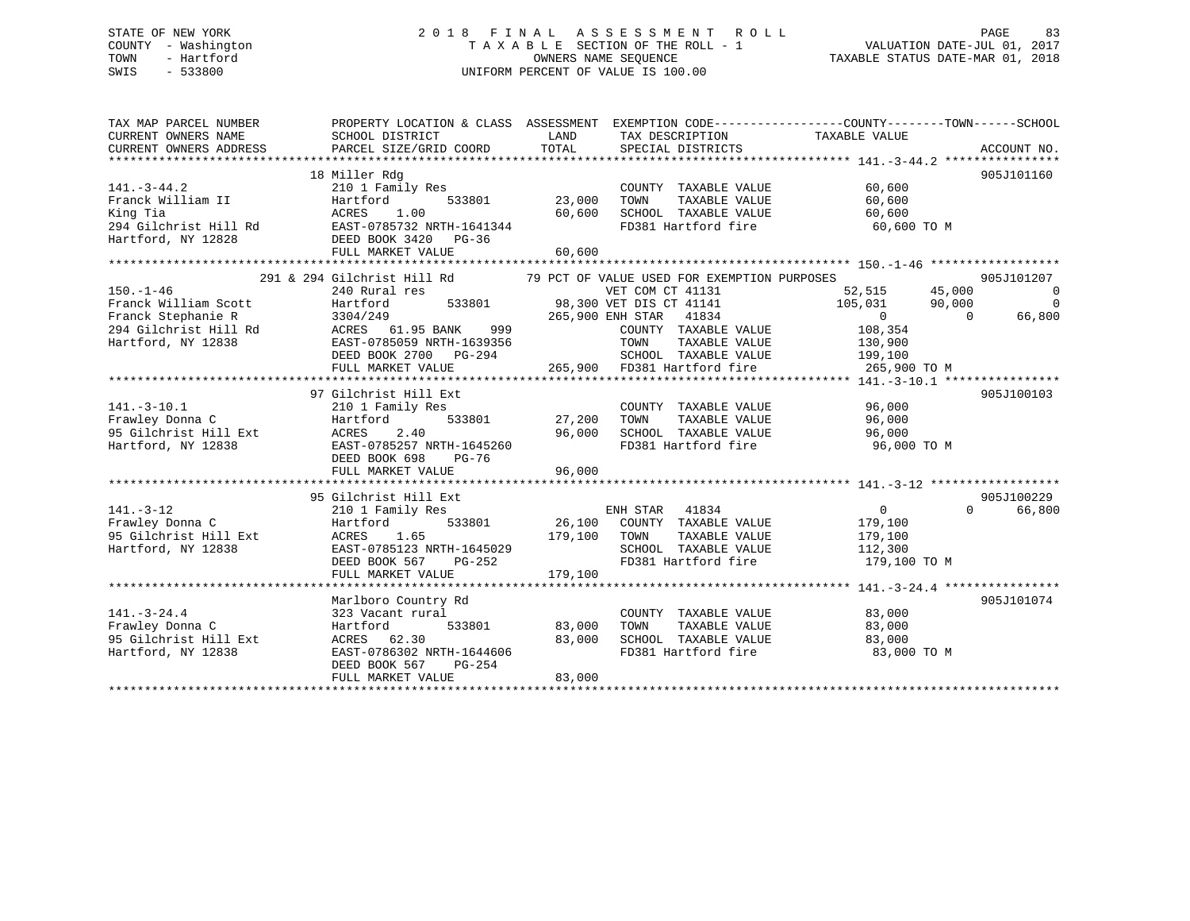### STATE OF NEW YORK 2 0 1 8 F I N A L A S S E S S M E N T R O L L PAGE 83 COUNTY - Washington T A X A B L E SECTION OF THE ROLL - 1 VALUATION DATE-JUL 01, 2017 TOWN - Hartford **TAXABLE STATUS DATE-MAR 01, 2018** OWNERS NAME SEQUENCE TAXABLE STATUS DATE-MAR 01, 2018 SWIS - 533800 UNIFORM PERCENT OF VALUE IS 100.00

| TAX MAP PARCEL NUMBER<br>CURRENT OWNERS NAME<br>CURRENT OWNERS ADDRESS                                                                                   | PROPERTY LOCATION & CLASS ASSESSMENT EXEMPTION CODE---------------COUNTY-------TOWN-----SCHOOL<br>SCHOOL DISTRICT<br>PARCEL SIZE/GRID COORD | LAND<br>TOTAL | TAX DESCRIPTION TAXABLE VALUE<br>SPECIAL DISTRICTS                             |                       | ACCOUNT NO.        |
|----------------------------------------------------------------------------------------------------------------------------------------------------------|---------------------------------------------------------------------------------------------------------------------------------------------|---------------|--------------------------------------------------------------------------------|-----------------------|--------------------|
|                                                                                                                                                          | 18 Miller Rdg                                                                                                                               |               |                                                                                |                       | 905J101160         |
| $141. - 3 - 44.2$                                                                                                                                        | 210 1 Family Res                                                                                                                            |               | COUNTY TAXABLE VALUE                                                           | 60,600                |                    |
| Franck William II                                                                                                                                        | Hartford                                                                                                                                    | 533801 23,000 | TAXABLE VALUE<br>TOWN                                                          | 60,600                |                    |
| King Tia<br>294 Gilchrist Hill Rd                                                                                                                        | ACRES<br>1.00<br>EAST-0785732 NRTH-1641344                                                                                                  | 60,600        | SCHOOL TAXABLE VALUE<br>FD381 Hartford fire                                    | 60,600<br>60,600 TO M |                    |
|                                                                                                                                                          |                                                                                                                                             |               |                                                                                |                       |                    |
| Hartford, NY 12828                                                                                                                                       | DEED BOOK 3420 PG-36                                                                                                                        |               |                                                                                |                       |                    |
|                                                                                                                                                          | FULL MARKET VALUE                                                                                                                           | 60,600        |                                                                                |                       |                    |
|                                                                                                                                                          | 291 & 294 Gilchrist Hill Rd 79 PCT OF VALUE USED FOR EXEMPTION PURPOSES                                                                     |               |                                                                                |                       | 905J101207         |
| $150. - 1 - 46$                                                                                                                                          | 240 Rural res                                                                                                                               |               | VET COM CT 41131                                                               | 52,515 45,000         | $\overline{0}$     |
| Franck William Scott                                                                                                                                     | Hartford                                                                                                                                    |               | 533801 98,300 VET DIS CT 41141                                                 | 105,031 90,000        | $\mathbf 0$        |
| Franck William Scott<br>Franck Stephanie R 3304/249<br>294 Gilchrist Hill Rd ACRES 61.95 BANK 999<br>19838 EAST-0785059 NRTH-1639356<br>2007 2700 PG-294 |                                                                                                                                             |               | 265,900 ENH STAR 41834                                                         | $\overline{0}$        | 66,800<br>$\Omega$ |
|                                                                                                                                                          |                                                                                                                                             |               | COUNTY TAXABLE VALUE                                                           | 108,354               |                    |
|                                                                                                                                                          |                                                                                                                                             |               |                                                                                |                       |                    |
|                                                                                                                                                          |                                                                                                                                             |               | TOWN<br>TAXABLE VALUE                                                          | 130,900               |                    |
|                                                                                                                                                          | DEED BOOK 2700 PG-294                                                                                                                       |               | SCHOOL TAXABLE VALUE                                                           | 199,100               |                    |
|                                                                                                                                                          | FULL MARKET VALUE                                                                                                                           |               |                                                                                | 265,900 TO M          |                    |
|                                                                                                                                                          |                                                                                                                                             |               |                                                                                |                       |                    |
|                                                                                                                                                          | 97 Gilchrist Hill Ext                                                                                                                       |               |                                                                                |                       | 905J100103         |
| $141. - 3 - 10.1$                                                                                                                                        | 210 1 Family Res<br>533801                                                                                                                  |               | COUNTY TAXABLE VALUE                                                           | 96,000                |                    |
| Frawley Donna C                                                                                                                                          | Hartford                                                                                                                                    | 27,200        | TOWN<br>TAXABLE VALUE                                                          | 96,000                |                    |
| 95 Gilchrist Hill Ext<br>Hartford NY 12838                                                                                                               | 2.40<br>ACRES                                                                                                                               | 96,000        | SCHOOL TAXABLE VALUE                                                           | 96,000                |                    |
| Hartford, NY 12838                                                                                                                                       | EAST-0785257 NRTH-1645260                                                                                                                   |               | FD381 Hartford fire                                                            | 96,000 TO M           |                    |
|                                                                                                                                                          | DEED BOOK 698<br>PG-76                                                                                                                      |               |                                                                                |                       |                    |
|                                                                                                                                                          | FULL MARKET VALUE                                                                                                                           | 96,000        |                                                                                |                       |                    |
|                                                                                                                                                          |                                                                                                                                             |               |                                                                                |                       |                    |
|                                                                                                                                                          | 95 Gilchrist Hill Ext                                                                                                                       |               |                                                                                |                       | 905J100229         |
| $141. - 3 - 12$                                                                                                                                          | 210 1 Family Res                                                                                                                            |               | ENH STAR 41834                                                                 | $\Omega$              | 66,800<br>$\Omega$ |
| Frawley Donna C                                                                                                                                          | 533801<br>Hartford                                                                                                                          |               | 26,100 COUNTY TAXABLE VALUE                                                    | 179,100               |                    |
| 95 Gilchrist Hill Ext                                                                                                                                    | ACRES<br>1.65                                                                                                                               | 179,100 TOWN  | TAXABLE VALUE                                                                  | 179,100               |                    |
| Hartford, NY 12838                                                                                                                                       | EAST-0785123 NRTH-1645029                                                                                                                   |               | SCHOOL TAXABLE VALUE                                                           | 112,300               |                    |
|                                                                                                                                                          | DEED BOOK 567 PG-252                                                                                                                        |               | FD381 Hartford fire                                                            | 179,100 TO M          |                    |
|                                                                                                                                                          | FULL MARKET VALUE                                                                                                                           | 179,100       |                                                                                |                       |                    |
|                                                                                                                                                          |                                                                                                                                             |               |                                                                                |                       |                    |
|                                                                                                                                                          | Marlboro Country Rd                                                                                                                         |               |                                                                                |                       | 905J101074         |
| $141. - 3 - 24.4$                                                                                                                                        | 323 Vacant rural                                                                                                                            |               | COUNTY TAXABLE VALUE                                                           | 83,000                |                    |
| Frawley Donna C                                                                                                                                          | 533801<br>Hartford                                                                                                                          | 83,000        | TOWN<br>TAXABLE VALUE<br>TOWN       TAXABLE  VALUE<br>SCHOOL    TAXABLE  VALUE | 83,000                |                    |
| 95 Gilchrist Hill Ext                                                                                                                                    | ACRES 62.30                                                                                                                                 | 83,000        |                                                                                | 83,000                |                    |
| Hartford, NY 12838                                                                                                                                       | EAST-0786302 NRTH-1644606                                                                                                                   |               | FD381 Hartford fire                                                            | 83,000 TO M           |                    |
|                                                                                                                                                          | DEED BOOK 567<br>PG-254                                                                                                                     |               |                                                                                |                       |                    |
|                                                                                                                                                          | FULL MARKET VALUE                                                                                                                           | 83,000        |                                                                                |                       |                    |
|                                                                                                                                                          |                                                                                                                                             |               |                                                                                |                       |                    |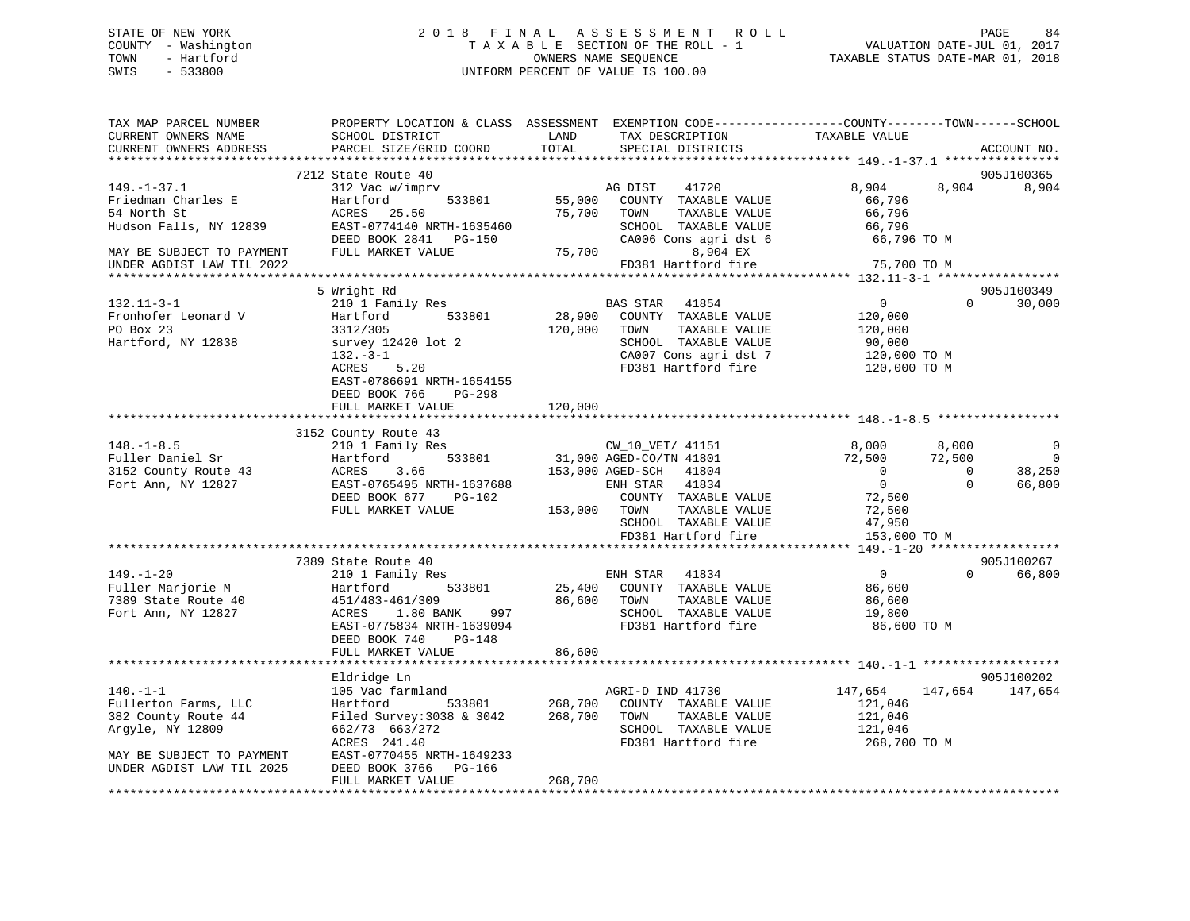### STATE OF NEW YORK 2 0 1 8 F I N A L A S S E S S M E N T R O L L PAGE 84 COUNTY - Washington T A X A B L E SECTION OF THE ROLL - 1 VALUATION DATE-JUL 01, 2017 TOWN - Hartford **TAXABLE STATUS DATE-MAR 01, 2018** OWNERS NAME SEQUENCE TAXABLE STATUS DATE-MAR 01, 2018 SWIS - 533800 UNIFORM PERCENT OF VALUE IS 100.00

| TAX MAP PARCEL NUMBER<br>CURRENT OWNERS NAME<br>CURRENT OWNERS ADDRESS                                        | SCHOOL DISTRICT<br>PARCEL SIZE/GRID COORD                                                                                                                          | LAND<br>TAX DESCRIPTION<br>TOTAL<br>SPECIAL DISTRICTS                                                                                                                                                               | PROPERTY LOCATION & CLASS ASSESSMENT EXEMPTION CODE---------------COUNTY-------TOWN-----SCHOOL<br>TAXABLE VALUE<br>ACCOUNT NO.                                                                             |
|---------------------------------------------------------------------------------------------------------------|--------------------------------------------------------------------------------------------------------------------------------------------------------------------|---------------------------------------------------------------------------------------------------------------------------------------------------------------------------------------------------------------------|------------------------------------------------------------------------------------------------------------------------------------------------------------------------------------------------------------|
|                                                                                                               |                                                                                                                                                                    |                                                                                                                                                                                                                     |                                                                                                                                                                                                            |
| $149. - 1 - 37.1$<br>Friedman Charles E<br>54 North St<br>Hudson Falls, NY 12839<br>MAY BE SUBJECT TO PAYMENT | 7212 State Route 40<br>312 Vac w/imprv<br>533801<br>Hartford<br>ACRES 25.50<br>EAST-0774140 NRTH-1635460<br>DEED BOOK 2841 PG-150<br>FULL MARKET VALUE             | 41720<br>AG DIST<br>55,000<br>COUNTY TAXABLE VALUE<br>75,700<br>TAXABLE VALUE<br>TOWN<br>SCHOOL TAXABLE VALUE<br>CA006 Cons agri dst 6<br>8,904 EX<br>FD381 Hartford fire<br>75,700                                 | 905J100365<br>8,904<br>8,904<br>8,904<br>66,796<br>66,796<br>66,796<br>66,796 TO M                                                                                                                         |
| UNDER AGDIST LAW TIL 2022                                                                                     |                                                                                                                                                                    |                                                                                                                                                                                                                     | 75,700 TO M                                                                                                                                                                                                |
|                                                                                                               | 5 Wright Rd                                                                                                                                                        |                                                                                                                                                                                                                     | 905J100349                                                                                                                                                                                                 |
| $132.11 - 3 - 1$<br>Fronhofer Leonard V<br>PO Box 23<br>Hartford, NY 12838                                    | 210 1 Family Res<br>533801<br>Hartford<br>3312/305<br>survey 12420 lot 2<br>$132 - 3 - 1$<br>5.20<br>ACRES<br>EAST-0786691 NRTH-1654155<br>DEED BOOK 766<br>PG-298 | BAS STAR 41854<br>28,900<br>COUNTY TAXABLE VALUE<br>120,000<br>TOWN<br>TAXABLE VALUE<br>SCHOOL TAXABLE VALUE<br>CA007 Cons agri dst 7<br>FD381 Hartford fire                                                        | $\overline{0}$<br>$\Omega$<br>30,000<br>120,000<br>120,000<br>90,000<br>120,000 TO M<br>120,000 TO M                                                                                                       |
|                                                                                                               | FULL MARKET VALUE                                                                                                                                                  | 120,000                                                                                                                                                                                                             |                                                                                                                                                                                                            |
|                                                                                                               | 3152 County Route 43                                                                                                                                               |                                                                                                                                                                                                                     |                                                                                                                                                                                                            |
| $148. - 1 - 8.5$<br>Fuller Daniel Sr<br>3152 County Route 43<br>Fort Ann, NY 12827                            | County Route 15<br>210 1 Family Res<br>Hartford 533801<br>ACRES<br>3.66<br>EAST-0765495 NRTH-1637688<br>DEED BOOK 677<br>PG-102<br>FULL MARKET VALUE               | CW_10_VET/ 41151<br>31,000 AGED-CO/TN 41801<br>CW_10_VET/ 41151<br>153,000 AGED-SCH 41804<br>ENH STAR 41834<br>COUNTY TAXABLE VALUE<br>153,000 TOWN<br>TAXABLE VALUE<br>SCHOOL TAXABLE VALUE<br>FD381 Hartford fire | 8,000<br>8,000<br>$\overline{0}$<br>$\overline{0}$<br>72,500<br>72,500<br>$\overline{0}$<br>38,250<br>$\overline{0}$<br>$\overline{0}$<br>$\Omega$<br>66,800<br>72,500<br>72,500<br>47,950<br>153,000 TO M |
|                                                                                                               |                                                                                                                                                                    |                                                                                                                                                                                                                     |                                                                                                                                                                                                            |
| $149. - 1 - 20$<br>Fuller Marjorie M<br>7389 State Route 40<br>Fort Ann, NY 12827                             | 7389 State Route 40<br>210 1 Family Res<br>Hartford 533801<br>451/483-461/309 86,600<br>ACRES 1.80 BANK 997<br>- 2775034 NRTH-1639094<br>DEED BOOK 740<br>PG-148   | ENH STAR 41834<br>25,400 COUNTY TAXABLE VALUE<br>86,600 TOWN<br>TAXABLE VALUE<br>SCHOOL TAXABLE VALUE<br>FD381 Hartford fire                                                                                        | 905J100267<br>$\overline{0}$<br>$\Omega$<br>66,800<br>86,600<br>86,600<br>19,800<br>86,600 TO M                                                                                                            |
|                                                                                                               | FULL MARKET VALUE                                                                                                                                                  | 86,600                                                                                                                                                                                                              |                                                                                                                                                                                                            |
| $140. - 1 - 1$<br>Fullerton Farms, LLC                                                                        | *************************<br>Eldridge Ln<br>105 Vac farmland<br>Hartford                                                                                           | AGRI-D IND 41730<br>533801 268,700<br>COUNTY TAXABLE VALUE                                                                                                                                                          | 905J100202<br>147,654<br>147,654<br>147,654<br>121,046                                                                                                                                                     |
| 382 County Route 44<br>Argyle, NY 12809<br>MAY BE SUBJECT TO PAYMENT                                          | Filed Survey: 3038 & 3042<br>662/73 663/272<br>ACRES 241.40<br>EAST-0770455 NRTH-1649233                                                                           | 268,700<br>TAXABLE VALUE<br>TOWN<br>SCHOOL TAXABLE VALUE<br>FD381 Hartford fire                                                                                                                                     | 121,046<br>121,046<br>268,700 TO M                                                                                                                                                                         |
| UNDER AGDIST LAW TIL 2025                                                                                     | DEED BOOK 3766<br>PG-166<br>FULL MARKET VALUE                                                                                                                      | 268,700                                                                                                                                                                                                             |                                                                                                                                                                                                            |
|                                                                                                               | **************************************                                                                                                                             |                                                                                                                                                                                                                     |                                                                                                                                                                                                            |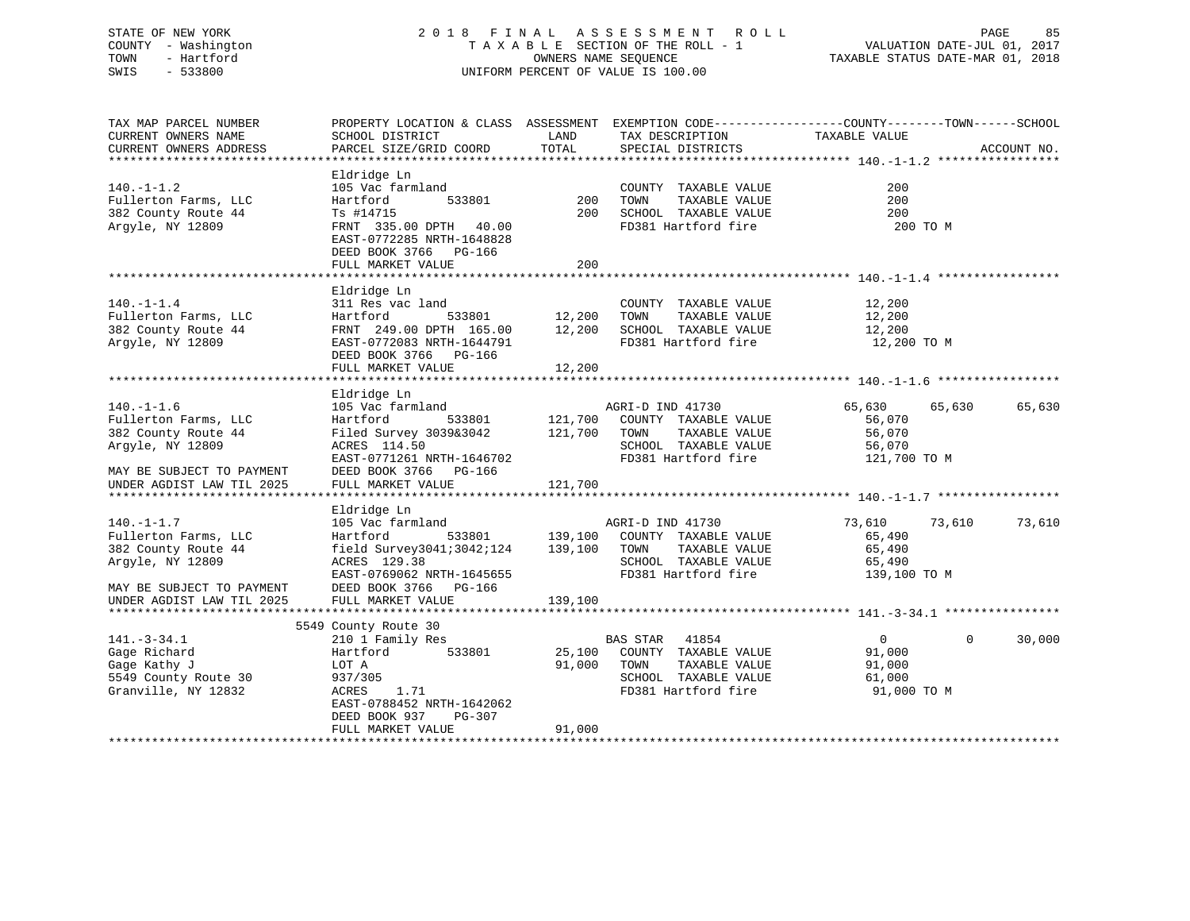### STATE OF NEW YORK 2 0 1 8 F I N A L A S S E S S M E N T R O L L PAGE 85 COUNTY - Washington T A X A B L E SECTION OF THE ROLL - 1 VALUATION DATE-JUL 01, 2017 TOWN - Hartford OWNERS NAME SEQUENCE TAXABLE STATUS DATE-MAR 01, 2018 SWIS - 533800 UNIFORM PERCENT OF VALUE IS 100.00

TAX MAP PARCEL NUMBER PROPERTY LOCATION & CLASS ASSESSMENT EXEMPTION CODE------------------COUNTY--------TOWN------SCHOOL CURRENT OWNERS NAME SCHOOL DISTRICT LAND TAX DESCRIPTION TAXABLE VALUE CURRENT OWNERS ADDRESS PARCEL SIZE/GRID COORD TOTAL SPECIAL DISTRICTS ACCOUNT NO. \*\*\*\*\*\*\*\*\*\*\*\*\*\*\*\*\*\*\*\*\*\*\*\*\*\*\*\*\*\*\*\*\*\*\*\*\*\*\*\*\*\*\*\*\*\*\*\*\*\*\*\*\*\*\*\*\*\*\*\*\*\*\*\*\*\*\*\*\*\*\*\*\*\*\*\*\*\*\*\*\*\*\*\*\*\*\*\*\*\*\*\*\*\*\*\*\*\*\*\*\*\*\* 140.-1-1.2 \*\*\*\*\*\*\*\*\*\*\*\*\*\*\*\*\* Eldridge Ln 140.-1-1.2 105 Vac farmland COUNTY TAXABLE VALUE 200Fullerton Farms, LLC Hartford 533801 200 TOWN TAXABLE VALUE 200 382 County Route 44 Ts #14715 200 SCHOOL TAXABLE VALUE 200 Argyle, NY 12809 FRNT 335.00 DPTH 40.00 FD381 Hartford fire 200 TO M EAST-0772285 NRTH-1648828 DEED BOOK 3766 PG-166 FULL MARKET VALUE 200 \*\*\*\*\*\*\*\*\*\*\*\*\*\*\*\*\*\*\*\*\*\*\*\*\*\*\*\*\*\*\*\*\*\*\*\*\*\*\*\*\*\*\*\*\*\*\*\*\*\*\*\*\*\*\*\*\*\*\*\*\*\*\*\*\*\*\*\*\*\*\*\*\*\*\*\*\*\*\*\*\*\*\*\*\*\*\*\*\*\*\*\*\*\*\*\*\*\*\*\*\*\*\* 140.-1-1.4 \*\*\*\*\*\*\*\*\*\*\*\*\*\*\*\*\* Eldridge Ln 140.-1-1.4 311 Res vac land COUNTY TAXABLE VALUE 12,200 Fullerton Farms, LLC Hartford 533801 12,200 TOWN TAXABLE VALUE 12,200 382 County Route 44 FRNT 249.00 DPTH 165.00 12,200 SCHOOL TAXABLE VALUE 12,200 Argyle, NY 12809 EAST-0772083 NRTH-1644791 FD381 Hartford fire 12,200 TO M DEED BOOK 3766 PG-166 FULL MARKET VALUE 12,200 \*\*\*\*\*\*\*\*\*\*\*\*\*\*\*\*\*\*\*\*\*\*\*\*\*\*\*\*\*\*\*\*\*\*\*\*\*\*\*\*\*\*\*\*\*\*\*\*\*\*\*\*\*\*\*\*\*\*\*\*\*\*\*\*\*\*\*\*\*\*\*\*\*\*\*\*\*\*\*\*\*\*\*\*\*\*\*\*\*\*\*\*\*\*\*\*\*\*\*\*\*\*\* 140.-1-1.6 \*\*\*\*\*\*\*\*\*\*\*\*\*\*\*\*\* Eldridge Ln 140.-1-1.6 105 Vac farmland AGRI-D IND 41730 65,630 65,630 65,630 Fullerton Farms, LLC Hartford 533801 121,700 COUNTY TAXABLE VALUE 56,070 382 County Route 44 Filed Survey 3039&3042 121,700 TOWN TAXABLE VALUE 56,070 Argyle, NY 12809 ACRES 114.50 SCHOOL TAXABLE VALUE 56,070 EAST-0771261 NRTH-1646702 FD381 Hartford fire 121,700 TO M MAY BE SUBJECT TO PAYMENT FULL MARKET VALUE UNDER AGDIST LAW TIL 2025 FULL MARKET VALUE 121,700 \*\*\*\*\*\*\*\*\*\*\*\*\*\*\*\*\*\*\*\*\*\*\*\*\*\*\*\*\*\*\*\*\*\*\*\*\*\*\*\*\*\*\*\*\*\*\*\*\*\*\*\*\*\*\*\*\*\*\*\*\*\*\*\*\*\*\*\*\*\*\*\*\*\*\*\*\*\*\*\*\*\*\*\*\*\*\*\*\*\*\*\*\*\*\*\*\*\*\*\*\*\*\* 140.-1-1.7 \*\*\*\*\*\*\*\*\*\*\*\*\*\*\*\*\* Eldridge Ln 140.-1-1.7 105 Vac farmland AGRI-D IND 41730 73,610 73,610 73,610 Fullerton Farms, LLC Hartford 533801 139,100 COUNTY TAXABLE VALUE 65,490 382 County Route 44 field Survey3041;3042;124 139,100 TOWN TAXABLE VALUE 65,490 Argyle, NY 12809 ACRES 129.38 SCHOOL TAXABLE VALUE 65,490 EAST-0769062 NRTH-1645655 FD381 Hartford fire 139,100 TO M MAY BE SUBJECT TO PAYMENT DEED BOOK 3766 PG-166UNDER AGDIST LAW TIL 2025 FULL MARKET VALUE 139,100 \*\*\*\*\*\*\*\*\*\*\*\*\*\*\*\*\*\*\*\*\*\*\*\*\*\*\*\*\*\*\*\*\*\*\*\*\*\*\*\*\*\*\*\*\*\*\*\*\*\*\*\*\*\*\*\*\*\*\*\*\*\*\*\*\*\*\*\*\*\*\*\*\*\*\*\*\*\*\*\*\*\*\*\*\*\*\*\*\*\*\*\*\*\*\*\*\*\*\*\*\*\*\* 141.-3-34.1 \*\*\*\*\*\*\*\*\*\*\*\*\*\*\*\* 5549 County Route 30 141.-3-34.1 210 1 Family Res BAS STAR 41854 0 0 30,000 Gage Richard Hartford 533801 25,100 COUNTY TAXABLE VALUE 91,000 Gage Kathy J LOT A 91,000 TOWN TAXABLE VALUE 91,000 5549 County Route 30 937/305 SCHOOL TAXABLE VALUE 61,000 ACRES 1.71 FD381 Hartford fire 91,000 TO M EAST-0788452 NRTH-1642062 DEED BOOK 937 PG-307 FULL MARKET VALUE 91,000 \*\*\*\*\*\*\*\*\*\*\*\*\*\*\*\*\*\*\*\*\*\*\*\*\*\*\*\*\*\*\*\*\*\*\*\*\*\*\*\*\*\*\*\*\*\*\*\*\*\*\*\*\*\*\*\*\*\*\*\*\*\*\*\*\*\*\*\*\*\*\*\*\*\*\*\*\*\*\*\*\*\*\*\*\*\*\*\*\*\*\*\*\*\*\*\*\*\*\*\*\*\*\*\*\*\*\*\*\*\*\*\*\*\*\*\*\*\*\*\*\*\*\*\*\*\*\*\*\*\*\*\*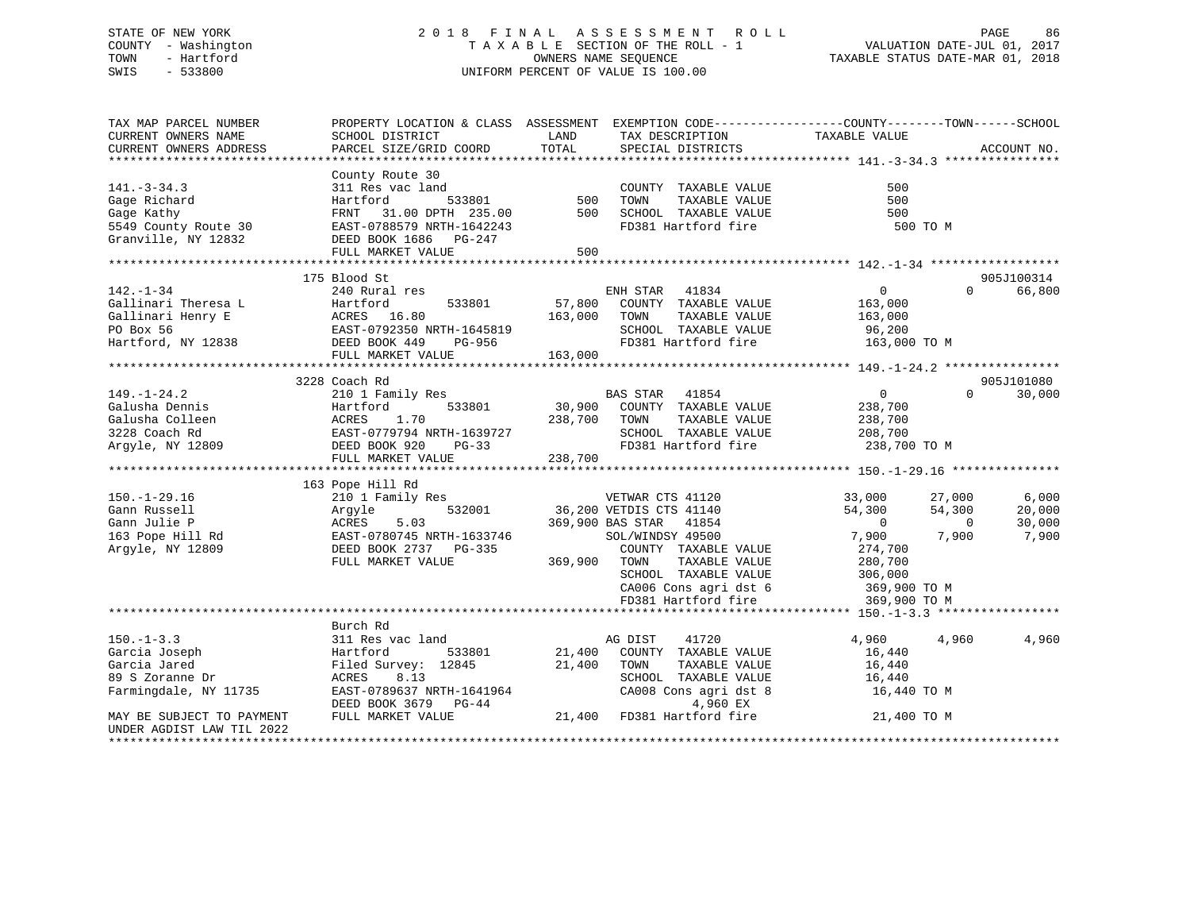### STATE OF NEW YORK 2 0 1 8 F I N A L A S S E S S M E N T R O L L PAGE 86 COUNTY - Washington T A X A B L E SECTION OF THE ROLL - 1 VALUATION DATE-JUL 01, 2017 TOWN - Hartford OWNERS NAME SEQUENCE TAXABLE STATUS DATE-MAR 01, 2018 SWIS - 533800 UNIFORM PERCENT OF VALUE IS 100.00

| TAX MAP PARCEL NUMBER                                                                                                                                                                                                                                                                                                                                                                                                    |                                                                                                                                                                       |         |                                                                                                                                                                                                                                                                                                              | PROPERTY LOCATION & CLASS ASSESSMENT EXEMPTION CODE----------------COUNTY-------TOWN------SCHOOL |                    |
|--------------------------------------------------------------------------------------------------------------------------------------------------------------------------------------------------------------------------------------------------------------------------------------------------------------------------------------------------------------------------------------------------------------------------|-----------------------------------------------------------------------------------------------------------------------------------------------------------------------|---------|--------------------------------------------------------------------------------------------------------------------------------------------------------------------------------------------------------------------------------------------------------------------------------------------------------------|--------------------------------------------------------------------------------------------------|--------------------|
| CURRENT OWNERS NAME                                                                                                                                                                                                                                                                                                                                                                                                      | SCHOOL DISTRICT                                                                                                                                                       | LAND    | TAX DESCRIPTION                                                                                                                                                                                                                                                                                              | TAXABLE VALUE                                                                                    |                    |
|                                                                                                                                                                                                                                                                                                                                                                                                                          |                                                                                                                                                                       |         |                                                                                                                                                                                                                                                                                                              |                                                                                                  |                    |
|                                                                                                                                                                                                                                                                                                                                                                                                                          |                                                                                                                                                                       |         |                                                                                                                                                                                                                                                                                                              |                                                                                                  |                    |
|                                                                                                                                                                                                                                                                                                                                                                                                                          | County Route 30                                                                                                                                                       |         |                                                                                                                                                                                                                                                                                                              |                                                                                                  |                    |
|                                                                                                                                                                                                                                                                                                                                                                                                                          |                                                                                                                                                                       |         |                                                                                                                                                                                                                                                                                                              |                                                                                                  |                    |
|                                                                                                                                                                                                                                                                                                                                                                                                                          |                                                                                                                                                                       |         |                                                                                                                                                                                                                                                                                                              |                                                                                                  |                    |
|                                                                                                                                                                                                                                                                                                                                                                                                                          |                                                                                                                                                                       |         |                                                                                                                                                                                                                                                                                                              |                                                                                                  |                    |
|                                                                                                                                                                                                                                                                                                                                                                                                                          |                                                                                                                                                                       |         |                                                                                                                                                                                                                                                                                                              | 500 TO M                                                                                         |                    |
|                                                                                                                                                                                                                                                                                                                                                                                                                          |                                                                                                                                                                       |         |                                                                                                                                                                                                                                                                                                              |                                                                                                  |                    |
|                                                                                                                                                                                                                                                                                                                                                                                                                          | FULL MARKET VALUE                                                                                                                                                     | 500     |                                                                                                                                                                                                                                                                                                              |                                                                                                  |                    |
|                                                                                                                                                                                                                                                                                                                                                                                                                          |                                                                                                                                                                       |         |                                                                                                                                                                                                                                                                                                              |                                                                                                  |                    |
|                                                                                                                                                                                                                                                                                                                                                                                                                          | 175 Blood St                                                                                                                                                          |         |                                                                                                                                                                                                                                                                                                              |                                                                                                  | 905J100314         |
| $142. - 1 - 34$                                                                                                                                                                                                                                                                                                                                                                                                          | 240 Rural res                                                                                                                                                         |         | ENH STAR 41834                                                                                                                                                                                                                                                                                               | $\sim$ 0                                                                                         | $\Omega$<br>66,800 |
|                                                                                                                                                                                                                                                                                                                                                                                                                          |                                                                                                                                                                       |         | 533801 57,800 COUNTY TAXABLE VALUE 163,000<br>5.80 163,000 TOWN TAXABLE VALUE 163,000                                                                                                                                                                                                                        |                                                                                                  |                    |
|                                                                                                                                                                                                                                                                                                                                                                                                                          |                                                                                                                                                                       |         |                                                                                                                                                                                                                                                                                                              |                                                                                                  |                    |
|                                                                                                                                                                                                                                                                                                                                                                                                                          |                                                                                                                                                                       |         |                                                                                                                                                                                                                                                                                                              | SCHOOL TAXABLE VALUE 96,200<br>FD381 Hartford fire 163,000 TO M                                  |                    |
| Gallinari Theresa L<br>Gallinari Henry E<br>Martford 533801 57,800<br>PO Box 56 EAST-0792350 NRTH-1645819<br>Hartford, NY 12838 DEED BOOK 449 PG-956                                                                                                                                                                                                                                                                     |                                                                                                                                                                       |         | FD381 Hartford fire                                                                                                                                                                                                                                                                                          |                                                                                                  |                    |
|                                                                                                                                                                                                                                                                                                                                                                                                                          | FULL MARKET VALUE                                                                                                                                                     | 163,000 |                                                                                                                                                                                                                                                                                                              |                                                                                                  |                    |
|                                                                                                                                                                                                                                                                                                                                                                                                                          |                                                                                                                                                                       |         |                                                                                                                                                                                                                                                                                                              |                                                                                                  |                    |
|                                                                                                                                                                                                                                                                                                                                                                                                                          | 3228 Coach Rd                                                                                                                                                         |         |                                                                                                                                                                                                                                                                                                              |                                                                                                  | 905J101080         |
| $149. - 1 - 24.2$                                                                                                                                                                                                                                                                                                                                                                                                        | 210 1 Family Res                                                                                                                                                      |         | BAS STAR 41854                                                                                                                                                                                                                                                                                               | $\overline{0}$                                                                                   | $\Omega$<br>30,000 |
|                                                                                                                                                                                                                                                                                                                                                                                                                          |                                                                                                                                                                       |         | $533801$ 30,900 COUNTY TAXABLE VALUE                                                                                                                                                                                                                                                                         | 238,700                                                                                          |                    |
|                                                                                                                                                                                                                                                                                                                                                                                                                          |                                                                                                                                                                       |         |                                                                                                                                                                                                                                                                                                              |                                                                                                  |                    |
|                                                                                                                                                                                                                                                                                                                                                                                                                          |                                                                                                                                                                       |         | TOWN TAXABLE VALUE 238,700<br>SCHOOL TAXABLE VALUE 208,700                                                                                                                                                                                                                                                   |                                                                                                  |                    |
|                                                                                                                                                                                                                                                                                                                                                                                                                          |                                                                                                                                                                       |         |                                                                                                                                                                                                                                                                                                              | FD381 Hartford fire 238,700 TO M                                                                 |                    |
| $\begin{tabular}{lllllllllllllllllllll} \multicolumn{3}{l}{{\small 149.-1-24.2}} & & & & & & & & & \\ \multicolumn{3}{l}{{\small 149.-1-24.2}} & & & & & & & & \\ \multicolumn{3}{l}{{\small 1491-24.2}} & & & & & & & \\ \multicolumn{3}{l}{{\small 1491-24.2}} & & & & & & & \\ \multicolumn{3}{l}{{\small 1491-24.2}} & & & & & & & \\ \multicolumn{3}{l}{{\small 1401}} & & & & & & & \\ \multicolumn{3}{l}{{\small$ |                                                                                                                                                                       |         |                                                                                                                                                                                                                                                                                                              |                                                                                                  |                    |
|                                                                                                                                                                                                                                                                                                                                                                                                                          | Pope Hill Rd<br>210 1 Family Res<br>Argyle 532001 36,200 VETDIS CTS 41140<br>369,900 BAS STAR 41854<br>SOL/WINDSY 49500<br>369,900 BAS STAR 41854<br>SOL/WINDSY 49500 |         |                                                                                                                                                                                                                                                                                                              |                                                                                                  |                    |
|                                                                                                                                                                                                                                                                                                                                                                                                                          | 163 Pope Hill Rd                                                                                                                                                      |         |                                                                                                                                                                                                                                                                                                              |                                                                                                  |                    |
|                                                                                                                                                                                                                                                                                                                                                                                                                          |                                                                                                                                                                       |         |                                                                                                                                                                                                                                                                                                              | 33,000<br>27,000                                                                                 | 6,000              |
|                                                                                                                                                                                                                                                                                                                                                                                                                          |                                                                                                                                                                       |         |                                                                                                                                                                                                                                                                                                              | 54,300<br>54,300                                                                                 | 20,000             |
|                                                                                                                                                                                                                                                                                                                                                                                                                          |                                                                                                                                                                       |         |                                                                                                                                                                                                                                                                                                              | $\overline{0}$<br>$\overline{0}$                                                                 | 30,000             |
|                                                                                                                                                                                                                                                                                                                                                                                                                          |                                                                                                                                                                       |         |                                                                                                                                                                                                                                                                                                              | 7,900<br>7,900                                                                                   | 7,900              |
|                                                                                                                                                                                                                                                                                                                                                                                                                          |                                                                                                                                                                       |         |                                                                                                                                                                                                                                                                                                              |                                                                                                  |                    |
|                                                                                                                                                                                                                                                                                                                                                                                                                          | FULL MARKET VALUE                                                                                                                                                     |         |                                                                                                                                                                                                                                                                                                              |                                                                                                  |                    |
|                                                                                                                                                                                                                                                                                                                                                                                                                          |                                                                                                                                                                       |         | $\begin{tabular}{lllllllllll} \multicolumn{4}{c}{\text{COUNTY}} & \text{TAXABLE} & \text{VALUE} & \text{274,700} \\ \multicolumn{4}{c}{\text{TOWN}} & \text{TAXABLE} & \text{VALUE} & \text{280,700} \\ \multicolumn{4}{c}{\text{SCHOOL}} & \text{TAXABLE} & \text{VALUE} & \text{306,000} \\ \end{tabular}$ |                                                                                                  |                    |
|                                                                                                                                                                                                                                                                                                                                                                                                                          |                                                                                                                                                                       |         | $CAO06$ Cons agri dst $6$                                                                                                                                                                                                                                                                                    | 369,900 TO M                                                                                     |                    |
|                                                                                                                                                                                                                                                                                                                                                                                                                          |                                                                                                                                                                       |         | FD381 Hartford fire                                                                                                                                                                                                                                                                                          | 369,900 TO M                                                                                     |                    |
|                                                                                                                                                                                                                                                                                                                                                                                                                          |                                                                                                                                                                       |         |                                                                                                                                                                                                                                                                                                              |                                                                                                  |                    |
|                                                                                                                                                                                                                                                                                                                                                                                                                          | Burch Rd                                                                                                                                                              |         |                                                                                                                                                                                                                                                                                                              |                                                                                                  |                    |
| $150. - 1 - 3.3$                                                                                                                                                                                                                                                                                                                                                                                                         | 311 Res vac land                                                                                                                                                      |         | AG DIST 41720<br>21,400 COUNTY TAXABLE VALUE                                                                                                                                                                                                                                                                 | 4,960<br>4,960                                                                                   | 4,960              |
| Garcia Joseph                                                                                                                                                                                                                                                                                                                                                                                                            | 533801                                                                                                                                                                |         |                                                                                                                                                                                                                                                                                                              | 16,440                                                                                           |                    |
| Garcia Jared                                                                                                                                                                                                                                                                                                                                                                                                             | 311 Res v<br>Hartford<br>Filed Sur<br>ACRES<br>Filed Survey: 12845 21,400                                                                                             |         | TOWN<br>TAXABLE VALUE                                                                                                                                                                                                                                                                                        | 16,440                                                                                           |                    |
| 89 S Zoranne Dr                                                                                                                                                                                                                                                                                                                                                                                                          | ACRES 8.13                                                                                                                                                            |         |                                                                                                                                                                                                                                                                                                              |                                                                                                  |                    |
| Farmingdale, NY 11735                                                                                                                                                                                                                                                                                                                                                                                                    |                                                                                                                                                                       |         |                                                                                                                                                                                                                                                                                                              | SCHOOL TAXABLE VALUE 16,440<br>CA008 Cons agri dst 8 16,440 TO M                                 |                    |
|                                                                                                                                                                                                                                                                                                                                                                                                                          | EAST-0789637 NRTH-1641964<br>DEED BOOK 3679 PG-44 21,400 FD381 Hartford fire 21,400 TO M<br>FULL MARKET VALUE 21,400 FD381 Hartford fire 21,400 TO M                  |         |                                                                                                                                                                                                                                                                                                              |                                                                                                  |                    |
| MAY BE SUBJECT TO PAYMENT                                                                                                                                                                                                                                                                                                                                                                                                |                                                                                                                                                                       |         |                                                                                                                                                                                                                                                                                                              |                                                                                                  |                    |
| UNDER AGDIST LAW TIL 2022                                                                                                                                                                                                                                                                                                                                                                                                |                                                                                                                                                                       |         |                                                                                                                                                                                                                                                                                                              |                                                                                                  |                    |
| **********************                                                                                                                                                                                                                                                                                                                                                                                                   |                                                                                                                                                                       |         |                                                                                                                                                                                                                                                                                                              |                                                                                                  |                    |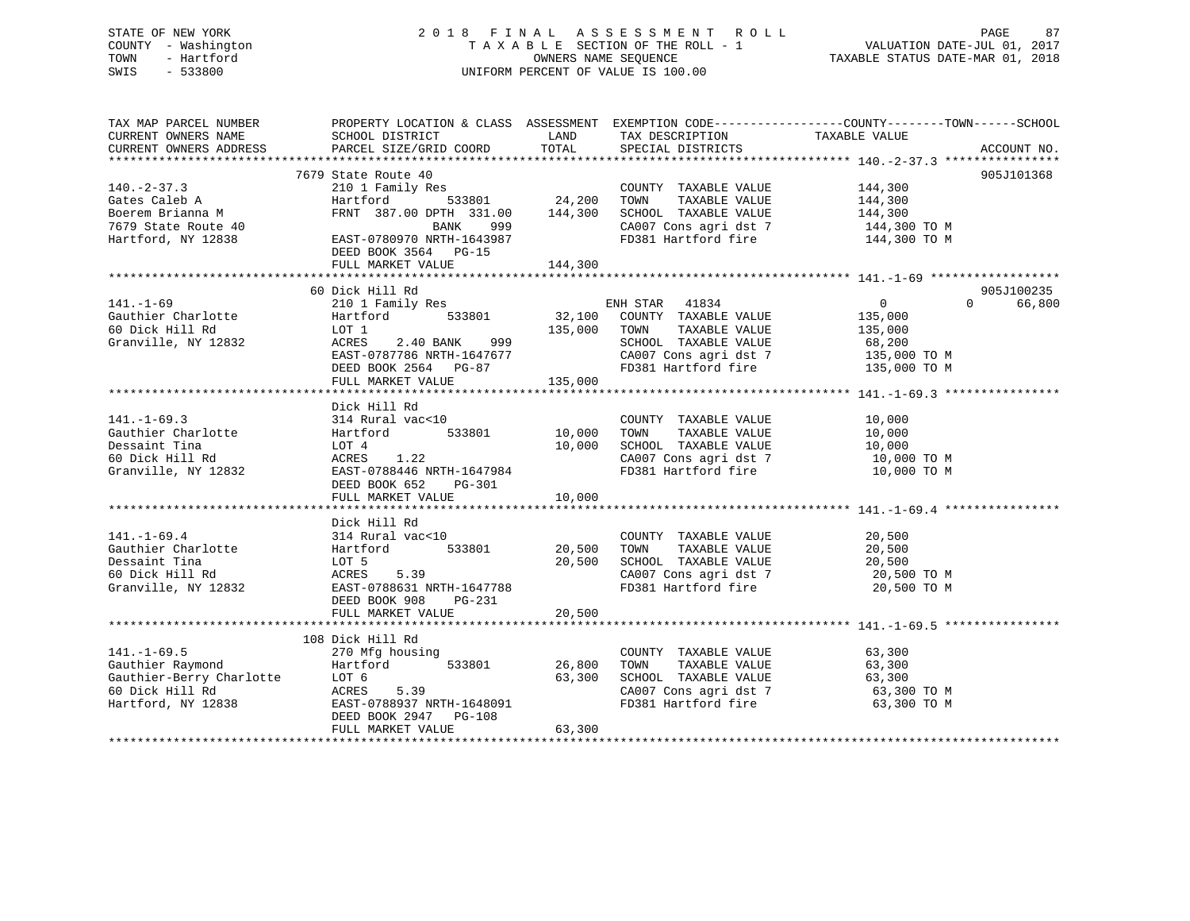### STATE OF NEW YORK 2 0 1 8 F I N A L A S S E S S M E N T R O L L PAGE 87 COUNTY - Washington T A X A B L E SECTION OF THE ROLL - 1 VALUATION DATE-JUL 01, 2017 TOWN - Hartford **TAXABLE STATUS DATE-MAR 01, 2018** OWNERS NAME SEQUENCE TAXABLE STATUS DATE-MAR 01, 2018 SWIS - 533800 UNIFORM PERCENT OF VALUE IS 100.00

| TAX MAP PARCEL NUMBER<br>CURRENT OWNERS NAME<br>CURRENT OWNERS ADDRESS                                     | PROPERTY LOCATION & CLASS ASSESSMENT EXEMPTION CODE----------------COUNTY-------TOWN------SCHOOL<br>SCHOOL DISTRICT<br>PARCEL SIZE/GRID COORD                                             | LAND<br>TOTAL                | TAX DESCRIPTION TAXABLE VALUE<br>SPECIAL DISTRICTS                                                                                      |                                                                                | ACCOUNT NO.                      |
|------------------------------------------------------------------------------------------------------------|-------------------------------------------------------------------------------------------------------------------------------------------------------------------------------------------|------------------------------|-----------------------------------------------------------------------------------------------------------------------------------------|--------------------------------------------------------------------------------|----------------------------------|
| $140. - 2 - 37.3$<br>Gates Caleb A<br>Boerem Brianna M<br>7679 State Route 40<br>Hartford, NY 12838        | 7679 State Route 40<br>210 1 Family Res<br>Hartford<br>533801<br>FRNT 387.00 DPTH 331.00 144,300<br>999<br>BANK<br>EAST-0780970 NRTH-1643987<br>DEED BOOK 3564 PG-15<br>FULL MARKET VALUE | 24,200<br>144,300            | COUNTY TAXABLE VALUE<br>TOWN<br>TAXABLE VALUE<br>SCHOOL TAXABLE VALUE<br>CA007 Cons agri dst 7<br>FD381 Hartford fire                   | 144,300<br>144,300<br>144,300<br>144,300 TO M<br>144,300 TO M                  | 905J101368                       |
| $141. - 1 - 69$<br>Gauthier Charlotte<br>60 Dick Hill Rd<br>Granville, NY 12832                            | 60 Dick Hill Rd<br>210 1 Family Res<br>533801<br>Hartford<br>LOT 1<br>ACRES<br>2.40 BANK<br>999<br>EAST-0787786 NRTH-1647677<br>DEED BOOK 2564 PG-87<br>FULL MARKET VALUE                 | 32,100<br>135,000<br>135,000 | ENH STAR 41834<br>COUNTY TAXABLE VALUE<br>TAXABLE VALUE<br>TOWN<br>SCHOOL TAXABLE VALUE<br>CA007 Cons agri dst 7<br>FD381 Hartford fire | $\overline{0}$<br>135,000<br>135,000<br>68,200<br>135,000 TO M<br>135,000 TO M | 905J100235<br>$\Omega$<br>66,800 |
| $141. - 1 - 69.3$<br>Gauthier Charlotte<br>Dessaint Tina<br>60 Dick Hill Rd<br>Granville, NY 12832         | Dick Hill Rd<br>314 Rural vac<10<br>533801<br>Hartford<br>LOT 4<br>ACRES<br>1.22<br>EAST-0788446 NRTH-1647984<br>DEED BOOK 652<br>PG-301<br>FULL MARKET VALUE                             | 10,000<br>10,000<br>10,000   | COUNTY TAXABLE VALUE<br>TOWN<br>TAXABLE VALUE<br>SCHOOL TAXABLE VALUE<br>CA007 Cons agri dst 7<br>FD381 Hartford fire                   | 10,000<br>10,000<br>10,000<br>10,000 TO M<br>10,000 TO M                       |                                  |
| $141. - 1 - 69.4$<br>Gauthier Charlotte<br>Dessaint Tina<br>60 Dick Hill Rd<br>Granville, NY 12832         | Dick Hill Rd<br>314 Rural vac<10<br>533801<br>Hartford<br>LOT 5<br>5.39<br>ACRES<br>EAST-0788631 NRTH-1647788<br>PG-231<br>DEED BOOK 908<br>FULL MARKET VALUE                             | 20,500<br>20,500<br>20,500   | COUNTY TAXABLE VALUE<br>TAXABLE VALUE<br>TOWN<br>CA007 Cons agri dst 7<br>FD381 Hartford of<br>FD381 Hartford fire                      | 20,500<br>20,500<br>20,500<br>20,500 TO M<br>20,500 TO M                       |                                  |
| $141. - 1 - 69.5$<br>Gauthier Raymond<br>Gauthier-Berry Charlotte<br>60 Dick Hill Rd<br>Hartford, NY 12838 | 108 Dick Hill Rd<br>270 Mfg housing<br>533801<br>Hartford<br>LOT 6<br>ACRES<br>5.39<br>EAST-0788937 NRTH-1648091<br>DEED BOOK 2947<br>$PG-108$<br>FULL MARKET VALUE                       | 26,800<br>63,300<br>63,300   | COUNTY TAXABLE VALUE<br>TAXABLE VALUE<br>TOWN<br>SCHOOL TAXABLE VALUE<br>CA007 Cons agri dst 7<br>FD381 Hartford fire                   | 63,300<br>63,300<br>63,300<br>63,300 ТО М<br>63,300 TO M                       |                                  |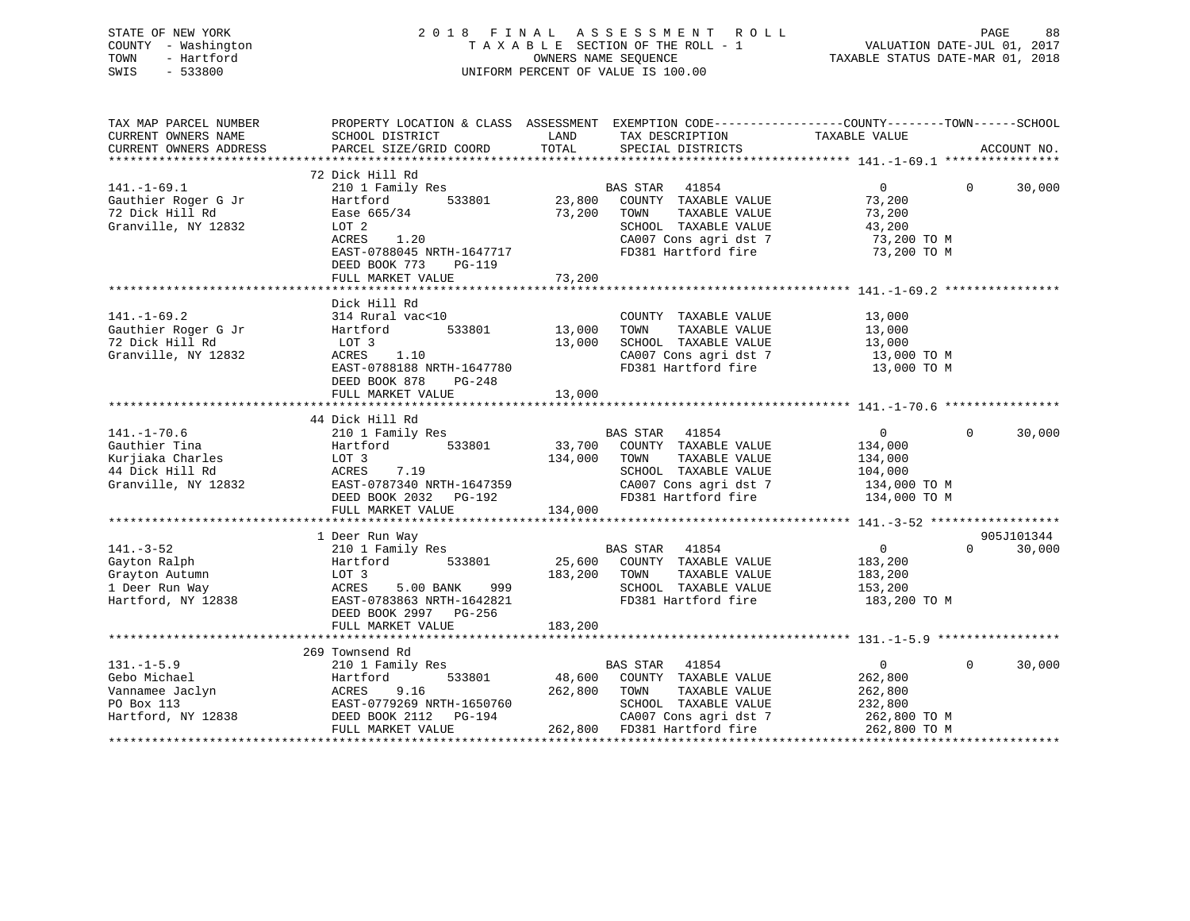| STATE OF NEW YORK   | 2018 FINAL ASSESSMENT ROLL         | 88<br>PAGE                       |
|---------------------|------------------------------------|----------------------------------|
| COUNTY - Washington | TAXABLE SECTION OF THE ROLL - 1    | VALUATION DATE-JUL 01, 2017      |
| TOWN<br>- Hartford  | OWNERS NAME SEOUENCE               | TAXABLE STATUS DATE-MAR 01, 2018 |
| SWIS<br>- 533800    | UNIFORM PERCENT OF VALUE IS 100.00 |                                  |
|                     |                                    |                                  |
|                     |                                    |                                  |

| TAX MAP PARCEL NUMBER  | PROPERTY LOCATION & CLASS ASSESSMENT EXEMPTION CODE---------------COUNTY-------TOWN------SCHOOL |         |                                               |                |             |             |
|------------------------|-------------------------------------------------------------------------------------------------|---------|-----------------------------------------------|----------------|-------------|-------------|
| CURRENT OWNERS NAME    | SCHOOL DISTRICT                                                                                 | LAND    | TAX DESCRIPTION TAXABLE VALUE                 |                |             |             |
| CURRENT OWNERS ADDRESS | PARCEL SIZE/GRID COORD                                                                          | TOTAL   | SPECIAL DISTRICTS                             |                |             | ACCOUNT NO. |
|                        |                                                                                                 |         |                                               |                |             |             |
|                        | 72 Dick Hill Rd                                                                                 |         |                                               |                |             |             |
| $141. - 1 - 69.1$      | 210 1 Family Res                                                                                |         | BAS STAR<br>41854                             | $\Omega$       | $\Omega$    | 30,000      |
| Gauthier Roger G Jr    | Hartford<br>533801                                                                              | 23,800  | COUNTY TAXABLE VALUE                          | 73,200         |             |             |
| 72 Dick Hill Rd        | Ease 665/34                                                                                     | 73,200  | TOWN<br>TAXABLE VALUE                         | 73,200         |             |             |
| Granville, NY 12832    | LOT 2                                                                                           |         | SCHOOL TAXABLE VALUE                          | 43,200         |             |             |
|                        | 1.20<br>ACRES                                                                                   |         | CA007 Cons agri dst 7                         | 73,200 TO M    |             |             |
|                        | EAST-0788045 NRTH-1647717                                                                       |         | FD381 Hartford fire                           | 73,200 TO M    |             |             |
|                        | DEED BOOK 773<br>PG-119                                                                         |         |                                               |                |             |             |
|                        | FULL MARKET VALUE                                                                               | 73,200  |                                               |                |             |             |
|                        |                                                                                                 |         |                                               |                |             |             |
|                        | Dick Hill Rd                                                                                    |         |                                               |                |             |             |
| $141. - 1 - 69.2$      | 314 Rural vac<10                                                                                |         | COUNTY TAXABLE VALUE                          | 13,000         |             |             |
| Gauthier Roger G Jr    | 533801<br>Hartford                                                                              | 13,000  | TOWN<br>TAXABLE VALUE                         | 13,000         |             |             |
| 72 Dick Hill Rd        | LOT 3                                                                                           | 13,000  | SCHOOL TAXABLE VALUE                          | 13,000         |             |             |
| Granville, NY 12832    | ACRES<br>1.10                                                                                   |         | CA007 Cons agri dst 7                         | 13,000 TO M    |             |             |
|                        | EAST-0788188 NRTH-1647780                                                                       |         | FD381 Hartford fire                           | 13,000 TO M    |             |             |
|                        | DEED BOOK 878<br>PG-248                                                                         |         |                                               |                |             |             |
|                        | FULL MARKET VALUE                                                                               | 13,000  |                                               |                |             |             |
|                        |                                                                                                 |         |                                               |                |             |             |
|                        | 44 Dick Hill Rd                                                                                 |         |                                               |                |             |             |
| $141. - 1 - 70.6$      | 210 1 Family Res                                                                                |         |                                               | $\overline{0}$ | $\Omega$    | 30,000      |
| Gauthier Tina          | 533801<br>Hartford                                                                              |         | BAS STAR 41854<br>33,700 COUNTY TAXABLE VALUE | 134,000        |             |             |
| Kurjiaka Charles       | LOT 3                                                                                           | 134,000 | TAXABLE VALUE<br>TOWN                         | 134,000        |             |             |
| 44 Dick Hill Rd        | 7.19<br>ACRES                                                                                   |         | SCHOOL TAXABLE VALUE                          | 104,000        |             |             |
| Granville, NY 12832    | EAST-0787340 NRTH-1647359                                                                       |         | CA007 Cons agri dst 7 134,000 TO M            |                |             |             |
|                        | DEED BOOK 2032    PG-192                                                                        |         | FD381 Hartford fire                           | 134,000 TO M   |             |             |
|                        |                                                                                                 |         |                                               |                |             |             |
|                        | FULL MARKET VALUE                                                                               | 134,000 |                                               |                |             |             |
|                        |                                                                                                 |         |                                               |                |             |             |
|                        | 1 Deer Run Way                                                                                  |         |                                               |                | $\Omega$    | 905J101344  |
| $141. - 3 - 52$        | 210 1 Family Res                                                                                |         | BAS STAR 41854                                | $\overline{0}$ |             | 30,000      |
| Gayton Ralph           | 533801<br>Hartford                                                                              | 25,600  | COUNTY TAXABLE VALUE                          | 183,200        |             |             |
| Grayton Autumn         | LOT 3                                                                                           | 183,200 | TOWN<br>TAXABLE VALUE                         | 183,200        |             |             |
| 1 Deer Run Way         | ACRES<br>5.00 BANK 999                                                                          |         | SCHOOL TAXABLE VALUE                          | 153,200        |             |             |
| Hartford, NY 12838     | EAST-0783863 NRTH-1642821                                                                       |         | FD381 Hartford fire                           | 183,200 TO M   |             |             |
|                        | DEED BOOK 2997 PG-256                                                                           |         |                                               |                |             |             |
|                        | FULL MARKET VALUE                                                                               | 183,200 |                                               |                |             |             |
|                        |                                                                                                 |         |                                               |                |             |             |
|                        | 269 Townsend Rd                                                                                 |         |                                               |                |             |             |
| $131. -1 - 5.9$        | 210 1 Family Res                                                                                |         | BAS STAR 41854                                | $\overline{0}$ | $\mathbf 0$ | 30,000      |
| Gebo Michael           | 533801<br>Hartford                                                                              | 48,600  | COUNTY TAXABLE VALUE                          | 262,800        |             |             |
| Vannamee Jaclyn        | ACRES<br>9.16                                                                                   | 262,800 | TOWN<br>TAXABLE VALUE                         | 262,800        |             |             |
| PO Box 113             | EAST-0779269 NRTH-1650760                                                                       |         | SCHOOL TAXABLE VALUE                          | 232,800        |             |             |
| Hartford, NY 12838     | DEED BOOK 2112 PG-194                                                                           |         | CA007 Cons agri dst 7                         | 262,800 TO M   |             |             |
|                        | FULL MARKET VALUE                                                                               |         | 262,800 FD381 Hartford fire                   | 262,800 TO M   |             |             |
|                        |                                                                                                 |         |                                               |                |             |             |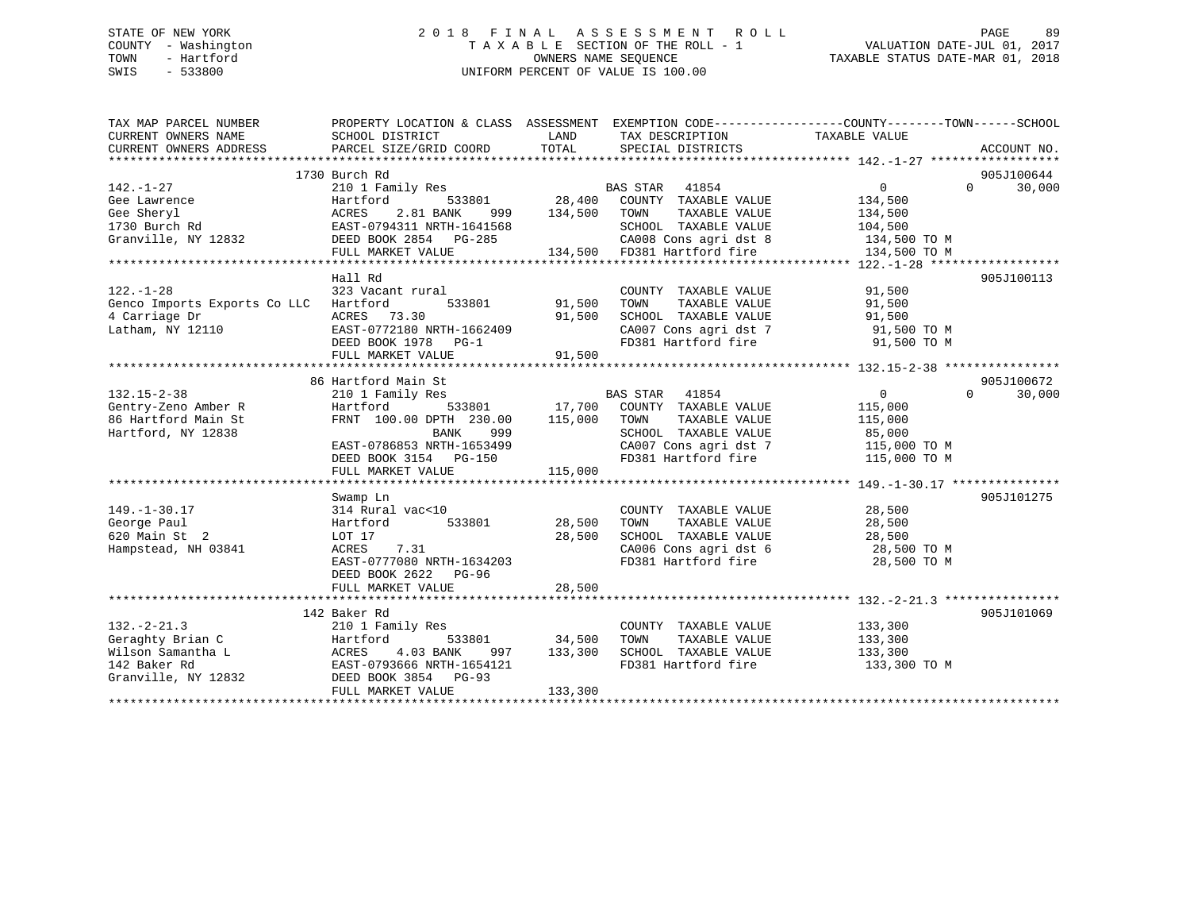# STATE OF NEW YORK 2 0 1 8 F I N A L A S S E S S M E N T R O L L PAGE 89COUNTY - Washington  $\begin{array}{ccc} 1 & 0 & 0 \\ -1 & 0 & 0 \end{array}$  T A X A B L E SECTION OF THE ROLL - 1 SWIS - 533800 UNIFORM PERCENT OF VALUE IS 100.00

TAXABLE STATUS DATE-MAR 01, 2018

| TAX MAP PARCEL NUMBER<br>CURRENT OWNERS NAME | PROPERTY LOCATION & CLASS ASSESSMENT EXEMPTION CODE---------------COUNTY-------TOWN------SCHOOL<br>SCHOOL DISTRICT | LAND    | TAX DESCRIPTION                                      | TAXABLE VALUE                 |                    |
|----------------------------------------------|--------------------------------------------------------------------------------------------------------------------|---------|------------------------------------------------------|-------------------------------|--------------------|
| CURRENT OWNERS ADDRESS                       | PARCEL SIZE/GRID COORD                                                                                             | TOTAL   | SPECIAL DISTRICTS                                    |                               | ACCOUNT NO.        |
|                                              |                                                                                                                    |         |                                                      |                               |                    |
|                                              | 1730 Burch Rd                                                                                                      |         |                                                      |                               | 905J100644         |
| $142. - 1 - 27$                              | 210 1 Family Res                                                                                                   |         | <b>BAS STAR</b><br>41854                             | $\Omega$                      | $\Omega$<br>30,000 |
| Gee Lawrence                                 | Hartford<br>533801                                                                                                 |         | 28,400 COUNTY TAXABLE VALUE                          | 134,500                       |                    |
| Gee Sheryl                                   | ACRES<br>2.81 BANK<br>999                                                                                          | 134,500 | TOWN<br>TAXABLE VALUE                                | 134,500                       |                    |
| 1730 Burch Rd                                | EAST-0794311 NRTH-1641568                                                                                          |         | SCHOOL TAXABLE VALUE                                 | 104,500                       |                    |
| Granville, NY 12832                          | DEED BOOK 2854 PG-285                                                                                              |         | CA008 Cons agri dst 8<br>134,500 FD381 Hartford fire | 134,500 TO M                  |                    |
|                                              | FULL MARKET VALUE                                                                                                  |         |                                                      | 134,500 TO M                  |                    |
|                                              |                                                                                                                    |         |                                                      |                               |                    |
|                                              | Hall Rd                                                                                                            |         |                                                      |                               | 905J100113         |
| $122. - 1 - 28$                              | 323 Vacant rural                                                                                                   |         | COUNTY TAXABLE VALUE                                 | 91,500                        |                    |
| Genco Imports Exports Co LLC Hartford        | 533801                                                                                                             | 91,500  | TOWN<br>TAXABLE VALUE                                | 91,500                        |                    |
| 4 Carriage Dr                                | ACRES 73.30                                                                                                        | 91,500  | SCHOOL TAXABLE VALUE                                 | 91,500                        |                    |
| Latham, NY 12110                             | EAST-0772180 NRTH-1662409                                                                                          |         | CA007 Cons agri dst 7 91,500 TO M                    |                               |                    |
|                                              | DEED BOOK 1978 PG-1                                                                                                |         | FD381 Hartford fire                                  | 91,500 TO M                   |                    |
|                                              | FULL MARKET VALUE                                                                                                  | 91,500  |                                                      |                               |                    |
|                                              |                                                                                                                    |         |                                                      |                               |                    |
|                                              | 86 Hartford Main St                                                                                                |         |                                                      |                               | 905J100672         |
| $132.15 - 2 - 38$                            | 210 1 Family Res                                                                                                   |         | BAS STAR<br>41854                                    | $\overline{0}$                | $\Omega$<br>30,000 |
| Gentry-Zeno Amber R                          | 533801 17,700<br>Hartford                                                                                          |         | COUNTY TAXABLE VALUE                                 | 115,000                       |                    |
| 86 Hartford Main St                          | FRNT 100.00 DPTH 230.00                                                                                            | 115,000 | TOWN<br>TAXABLE VALUE                                | 115,000                       |                    |
| Hartford, NY 12838                           | BANK<br>999                                                                                                        |         | SCHOOL TAXABLE VALUE                                 | 85,000                        |                    |
|                                              | EAST-0786853 NRTH-1653499                                                                                          |         | CA007 Cons agri dst 7                                | 115,000 TO M                  |                    |
|                                              | DEED BOOK 3154 PG-150                                                                                              |         | FD381 Hartford fire                                  | 115,000 TO M                  |                    |
|                                              | FULL MARKET VALUE                                                                                                  | 115,000 |                                                      |                               |                    |
|                                              |                                                                                                                    |         |                                                      |                               | 905J101275         |
|                                              | Swamp Ln<br>314 Rural vac<10                                                                                       |         | COUNTY TAXABLE VALUE                                 | 28,500                        |                    |
| $149. - 1 - 30.17$<br>George Paul            | 533801<br>Hartford                                                                                                 | 28,500  | TOWN<br>TAXABLE VALUE                                | 28,500                        |                    |
| 620 Main St 2                                | LOT 17                                                                                                             | 28,500  | SCHOOL TAXABLE VALUE                                 | 28,500                        |                    |
| Hampstead, NH 03841                          | ACRES<br>7.31                                                                                                      |         |                                                      | 28,500 TO M                   |                    |
|                                              | EAST-0777080 NRTH-1634203                                                                                          |         | CA006 Cons agri dst 6<br>FD381 Hartford fire         | 28,500 TO M                   |                    |
|                                              | DEED BOOK 2622 PG-96                                                                                               |         |                                                      |                               |                    |
|                                              | FULL MARKET VALUE                                                                                                  | 28,500  |                                                      |                               |                    |
|                                              |                                                                                                                    |         |                                                      |                               |                    |
|                                              | 142 Baker Rd                                                                                                       |         |                                                      |                               | 905J101069         |
| $132. - 2 - 21.3$                            | 210 1 Family Res                                                                                                   |         | COUNTY TAXABLE VALUE                                 |                               |                    |
| Geraghty Brian C                             | 533801<br>Hartford                                                                                                 | 34,500  | TOWN<br>TAXABLE VALUE                                | 133,300<br>133.300<br>133,300 |                    |
| Wilson Samantha L                            | 4.03 BANK<br>ACRES<br>997                                                                                          | 133,300 | SCHOOL TAXABLE VALUE                                 | 133,300                       |                    |
| 142 Baker Rd                                 | EAST-0793666 NRTH-1654121                                                                                          |         | FD381 Hartford fire                                  | 133,300 TO M                  |                    |
| Granville, NY 12832                          | DEED BOOK 3854 PG-93                                                                                               |         |                                                      |                               |                    |
|                                              | FULL MARKET VALUE                                                                                                  | 133,300 |                                                      |                               |                    |
|                                              |                                                                                                                    |         |                                                      |                               |                    |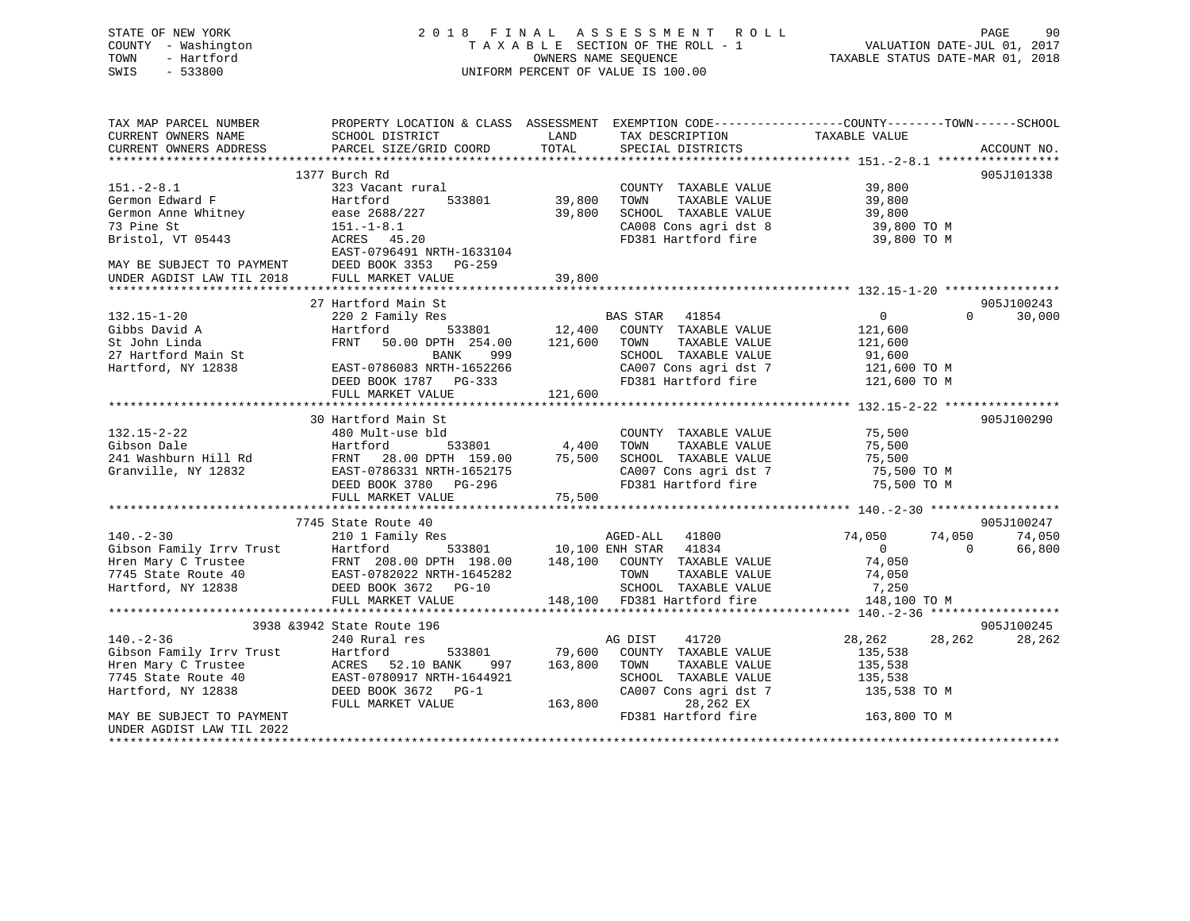| STATE OF NEW YORK<br>COUNTY - Washington<br>- Hartford<br>TOWN<br>SWIS<br>$-533800$ | 2018                                                                                                                                                                                        |             | FINAL ASSESSMENT ROLL<br>UNIFORM PERCENT OF VALUE IS 100.00                                                                        |                                                                                | PAGE<br>-90          |
|-------------------------------------------------------------------------------------|---------------------------------------------------------------------------------------------------------------------------------------------------------------------------------------------|-------------|------------------------------------------------------------------------------------------------------------------------------------|--------------------------------------------------------------------------------|----------------------|
| TAX MAP PARCEL NUMBER<br>CURRENT OWNERS NAME                                        | PROPERTY LOCATION & CLASS ASSESSMENT EXEMPTION CODE----------------COUNTY-------TOWN------SCHOOL<br>SCHOOL DISTRICT                                                                         | LAND        | TAX DESCRIPTION                                                                                                                    | TAXABLE VALUE                                                                  |                      |
| CURRENT OWNERS ADDRESS                                                              | PARCEL SIZE/GRID COORD                                                                                                                                                                      | TOTAL       | SPECIAL DISTRICTS                                                                                                                  |                                                                                | ACCOUNT NO.          |
|                                                                                     |                                                                                                                                                                                             |             |                                                                                                                                    |                                                                                |                      |
| $151. - 2 - 8.1$                                                                    | 1377 Burch Rd                                                                                                                                                                               |             |                                                                                                                                    |                                                                                | 905J101338           |
| Germon Edward F                                                                     | 323 Vacant rural<br>Hartford<br>533801                                                                                                                                                      | 39,800 TOWN | COUNTY TAXABLE VALUE                                                                                                               | TAXABLE VALUE 39,800<br>TAXABLE VALUE 39,800<br>TAXABLE VALUE 39,800<br>29,800 |                      |
| Germon Anne Whitney                                                                 | ease 2688/227                                                                                                                                                                               |             | 39,800 SCHOOL TAXABLE VALUE                                                                                                        |                                                                                |                      |
| 73 Pine St                                                                          | $151.-1-8.1$                                                                                                                                                                                |             |                                                                                                                                    |                                                                                |                      |
| Bristol, VT 05443                                                                   | ACRES 45.20<br>EAST-0796491 NRTH-1633104                                                                                                                                                    |             | CA008 Cons agri dst 8 39,800 TO M<br>FD381 Hartford fire 39,800 TO M                                                               |                                                                                |                      |
| MAY BE SUBJECT TO PAYMENT<br>UNDER AGDIST LAW TIL 2018                              | DEED BOOK 3353 PG-259<br>FULL MARKET VALUE                                                                                                                                                  | 39,800      |                                                                                                                                    |                                                                                |                      |
|                                                                                     |                                                                                                                                                                                             |             |                                                                                                                                    |                                                                                |                      |
|                                                                                     | 27 Hartford Main St                                                                                                                                                                         |             |                                                                                                                                    |                                                                                | 905J100243           |
| $132.15 - 1 - 20$                                                                   | 220 2 Family Res                                                                                                                                                                            |             | <b>BAS STAR</b> 41854                                                                                                              | $\overline{0}$                                                                 | $\Omega$<br>30,000   |
| Gibbs David A                                                                       | Hartford                                                                                                                                                                                    |             | $\mathtt{533801} \qquad \qquad \mathtt{12,400} \qquad \mathtt{COUNTY} \quad \mathtt{TXABLE\ VALUE} \qquad \qquad \mathtt{121,600}$ |                                                                                |                      |
| St John Linda<br>27 Hartford Main St<br>Hartford, NY 12838                          | FRNT 50.00 DPTH 254.00 121,600 TOWN<br>999<br>BANK                                                                                                                                          |             |                                                                                                                                    |                                                                                |                      |
|                                                                                     | EAST-0786083 NRTH-1652266                                                                                                                                                                   |             |                                                                                                                                    |                                                                                |                      |
|                                                                                     | DEED BOOK 1787 PG-333                                                                                                                                                                       |             | CA007 Cons agri dst 7 121,600 TO M<br>FD381 Hartford fire 121,600 TO M                                                             |                                                                                |                      |
|                                                                                     | FULL MARKET VALUE                                                                                                                                                                           | 121,600     |                                                                                                                                    |                                                                                |                      |
|                                                                                     |                                                                                                                                                                                             |             |                                                                                                                                    |                                                                                |                      |
|                                                                                     | 30 Hartford Main St                                                                                                                                                                         |             | COUNTY TAXABLE VALUE 75,500                                                                                                        |                                                                                | 905J100290           |
| $132.15 - 2 - 22$                                                                   | 480 Mult-use bld                                                                                                                                                                            |             |                                                                                                                                    |                                                                                |                      |
|                                                                                     | 241 Washburn Hill Rd<br>241 Washburn Hill Rd<br>31801 241 Washburn Hill Rd<br>31801 241 Washburn Hill Rd<br>32 3.00 DPTH 159.00 75,500 SCHOOL TAXABLE VALUE<br>375,500 70 M<br>375,500 70 M |             |                                                                                                                                    |                                                                                |                      |
|                                                                                     |                                                                                                                                                                                             |             |                                                                                                                                    |                                                                                |                      |
|                                                                                     |                                                                                                                                                                                             |             |                                                                                                                                    |                                                                                |                      |
|                                                                                     |                                                                                                                                                                                             |             |                                                                                                                                    |                                                                                |                      |
|                                                                                     |                                                                                                                                                                                             |             |                                                                                                                                    |                                                                                |                      |
|                                                                                     | 7745 State Route 40                                                                                                                                                                         |             |                                                                                                                                    | 74,050<br>74,050                                                               | 905J100247<br>74,050 |
|                                                                                     |                                                                                                                                                                                             |             |                                                                                                                                    | $\overline{0}$                                                                 | $\Omega$<br>66,800   |
|                                                                                     |                                                                                                                                                                                             |             |                                                                                                                                    | 74,050                                                                         |                      |
|                                                                                     |                                                                                                                                                                                             |             |                                                                                                                                    | 74,050                                                                         |                      |
|                                                                                     |                                                                                                                                                                                             |             |                                                                                                                                    | 7,250                                                                          |                      |
|                                                                                     | FULL MARKET VALUE                                                                                                                                                                           |             | 148,100 FD381 Hartford fire                                                                                                        | 148,100 TO M                                                                   |                      |
|                                                                                     |                                                                                                                                                                                             |             |                                                                                                                                    |                                                                                |                      |
| $140. - 2 - 36$                                                                     | 3938 & 3942 State Route 196<br>240 Rural res                                                                                                                                                |             | AG DIST<br>41720                                                                                                                   | 28,262<br>28,262                                                               | 905J100245<br>28,262 |
|                                                                                     |                                                                                                                                                                                             |             |                                                                                                                                    |                                                                                |                      |

Gibson Family Irrv Trust Hartford 533801 79,600 COUNTY TAXABLE VALUE 135,538 ACRES 52.10 BANK 997 163,800 TOWN TAXABLE VALUE 7745 State Route 40 EAST-0780917 NRTH-1644921 SCHOOL TAXABLE VALUE 135,538 Hartford, NY 12838 DEED BOOK 3672 PG-1 CA007 Cons agri dst 7 135,538 TO M<br>FULL MARKET VALUE 163,800 28,262 EX FULL MARKET VALUE MAY BE SUBJECT TO PAYMENT **FLUIT CONSUMING THE SUBJECT TO PAYMENT** FLUIT CONSUMING THE FOSS OF A SET OF A SET OF M UNDER AGDIST LAW TIL 2022\*\*\*\*\*\*\*\*\*\*\*\*\*\*\*\*\*\*\*\*\*\*\*\*\*\*\*\*\*\*\*\*\*\*\*\*\*\*\*\*\*\*\*\*\*\*\*\*\*\*\*\*\*\*\*\*\*\*\*\*\*\*\*\*\*\*\*\*\*\*\*\*\*\*\*\*\*\*\*\*\*\*\*\*\*\*\*\*\*\*\*\*\*\*\*\*\*\*\*\*\*\*\*\*\*\*\*\*\*\*\*\*\*\*\*\*\*\*\*\*\*\*\*\*\*\*\*\*\*\*\*\*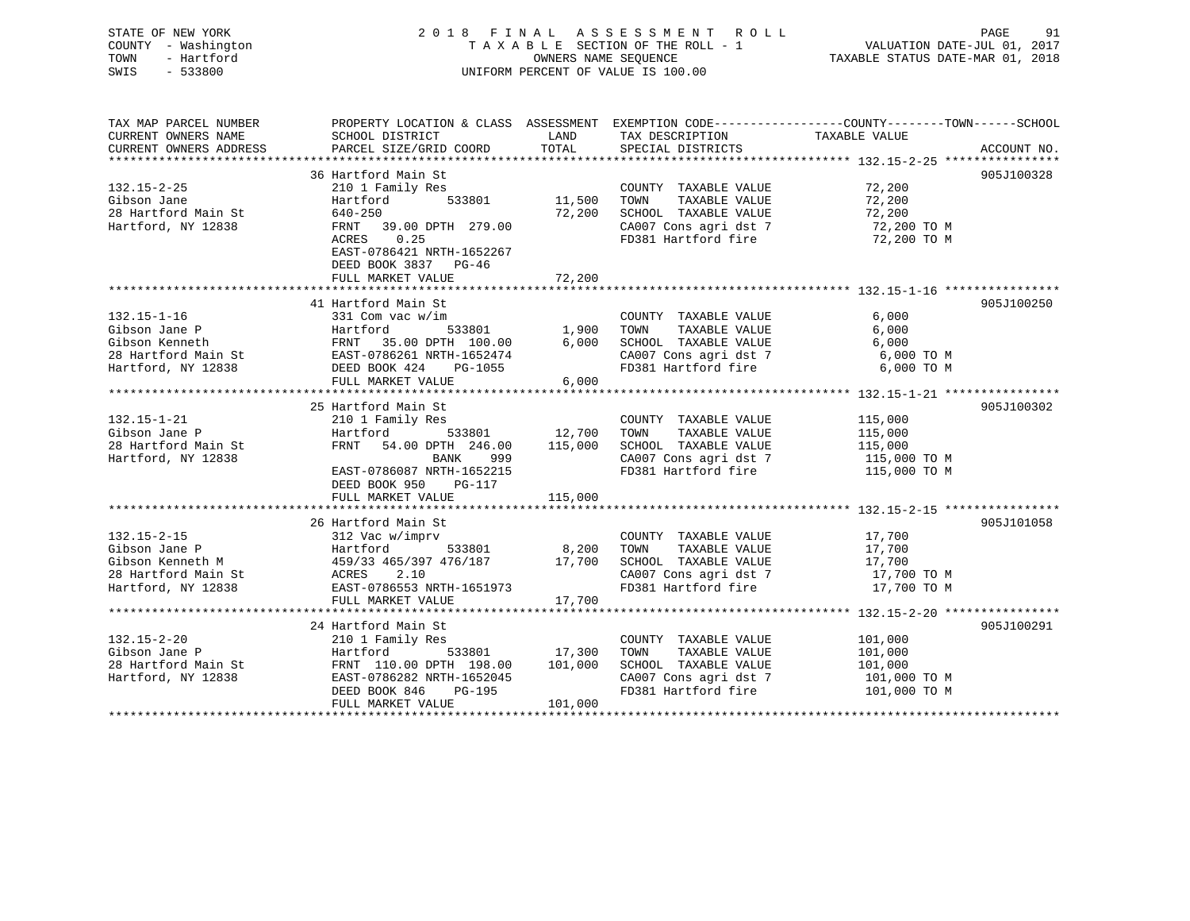| STATE OF NEW YORK   | 2018 FINAL ASSESSMENT ROLL         | - 91<br>PAGE                     |
|---------------------|------------------------------------|----------------------------------|
| COUNTY - Washington | TAXABLE SECTION OF THE ROLL - 1    | VALUATION DATE-JUL 01, 2017      |
| - Hartford<br>TOWN  | OWNERS NAME SEOUENCE               | TAXABLE STATUS DATE-MAR 01, 2018 |
| $-533800$<br>SWIS   | UNIFORM PERCENT OF VALUE IS 100.00 |                                  |
|                     |                                    |                                  |
|                     |                                    |                                  |
|                     |                                    |                                  |

| TAX MAP PARCEL NUMBER<br>CURRENT OWNERS NAME<br>CURRENT OWNERS ADDRESS                                                                                                                                                                                                            | PROPERTY LOCATION & CLASS ASSESSMENT EXEMPTION CODE---------------COUNTY-------TOWN------SCHOOL<br>SCHOOL DISTRICT<br>PARCEL SIZE/GRID COORD                                                      | LAND<br>TOTAL    | TAX DESCRIPTION<br>SPECIAL DISTRICTS                                                                                                                                   | TAXABLE VALUE                                                     | ACCOUNT NO. |
|-----------------------------------------------------------------------------------------------------------------------------------------------------------------------------------------------------------------------------------------------------------------------------------|---------------------------------------------------------------------------------------------------------------------------------------------------------------------------------------------------|------------------|------------------------------------------------------------------------------------------------------------------------------------------------------------------------|-------------------------------------------------------------------|-------------|
| $132.15 - 2 - 25$<br>Gibson Jane<br>28 Hartford Main St<br>Hartford, NY 12838                                                                                                                                                                                                     | 36 Hartford Main St<br>210 1 Family Res<br>533801 11,500<br>Hartford<br>640-250<br>FRNT 39.00 DPTH 279.00<br>ACRES 0.25<br>EAST-0786421 NRTH-1652267<br>DEED BOOK 3837 PG-46<br>FULL MARKET VALUE | 72,200<br>72,200 | COUNTY TAXABLE VALUE<br>CA007 Cons agri dst 7 72,200 TO M<br>FD381 Hartford fire                                                                                       | 72,200<br>72,200 TO M                                             | 905J100328  |
| $132.15 - 1 - 16$<br>Gibson Jane P<br>Gibson Kenneth<br>28 Hartford Main St<br>Hartford, NY 12838<br>EXST-0786261 NRTH-1652474<br>EXST-0786261 NRTH-1652474<br>EXST-0786261 NRTH-1652474<br>CA007 Cons agri dst 7<br>FD381 Hartford fire<br>FD381 Hartford fire<br>FD38           | 41 Hartford Main St<br>331 Com vac w/im<br>FULL MARKET VALUE                                                                                                                                      | 6,000            | COUNTY TAXABLE VALUE<br>CA007 Cons agri dst 7 6,000 TO M                                                                                                               | 6,000<br>6,000<br>6,000<br>6,000 TO M                             | 905J100250  |
| $132.15 - 1 - 21$<br>Gibson Jane P<br>28 Hartford Main St<br>Hartford, NY 12838                                                                                                                                                                                                   | 25 Hartford Main St<br>210 1 Family Res<br>533801 12,700<br>Hartford<br>FRNT 54.00 DPTH 246.00 115,000<br>BANK 999<br>EAST-0786087 NRTH-1652215<br>DEED BOOK 950 PG-117<br>FULL MARKET VALUE      | 115,000          | COUNTY TAXABLE VALUE<br>TAXABLE VALUE<br>TOWN<br>SCHOOL TAXABLE VALUE<br>CA007 Cons agri dst 7 115,000 TO M<br>FD381 Hartford fire 115,000 TO M<br>FD381 Hartford fire | 115,000<br>115,000<br>115,000                                     | 905J100302  |
| $132.15 - 2 - 15$<br>132.15-2-15<br>Gibson Jane P<br>Gibson Kenneth M<br>28 Hartford Main St<br>Hartford, NY 12838<br>2.0<br>Hartford, NY 12838<br>2.0<br>EAST-0786553 NRTH-1651973                                                                                               | 26 Hartford Main St<br>312 Vac w/imprv<br>$533801$ 8,200<br>FULL MARKET VALUE                                                                                                                     | 17,700           | COUNTY TAXABLE VALUE 17,700<br>TOWN<br>SCHOOL TAXABLE VALUE 17,700<br>CA007 Cons agri dst 7 17,700 TO M<br>FD381 Hartford fire 17,700 TO M                             | TAXABLE VALUE 17,700                                              | 905J101058  |
| $132.15 - 2 - 20$<br>Cibson Jane P<br>28 Hartford Main St<br>28 Hartford Main St<br>31 Hartford Main St<br>32.15-2-20<br>27 Hartford Main St<br>32.15-2-20<br>31 Hartford Main St<br>32.15-2-20<br>32.101,000<br>32.101,000<br>32.101,000<br>32.2020<br>32.2020<br>32.2020<br>32. | 24 Hartford Main St<br>210 1 Family Res<br>DEED BOOK 846<br>PG-195<br>FULL MARKET VALUE                                                                                                           | 101,000          | COUNTY TAXABLE VALUE<br>TAXABLE VALUE<br>TOWN<br>SCHOOL TAXABLE VALUE<br>CA007 Cons agri dst 7<br>FD381 Hartford fire 101,000 TO M                                     | 101,000<br>101,000<br>101,000<br>$101,000$ TO M<br>$101,000$ TO M | 905J100291  |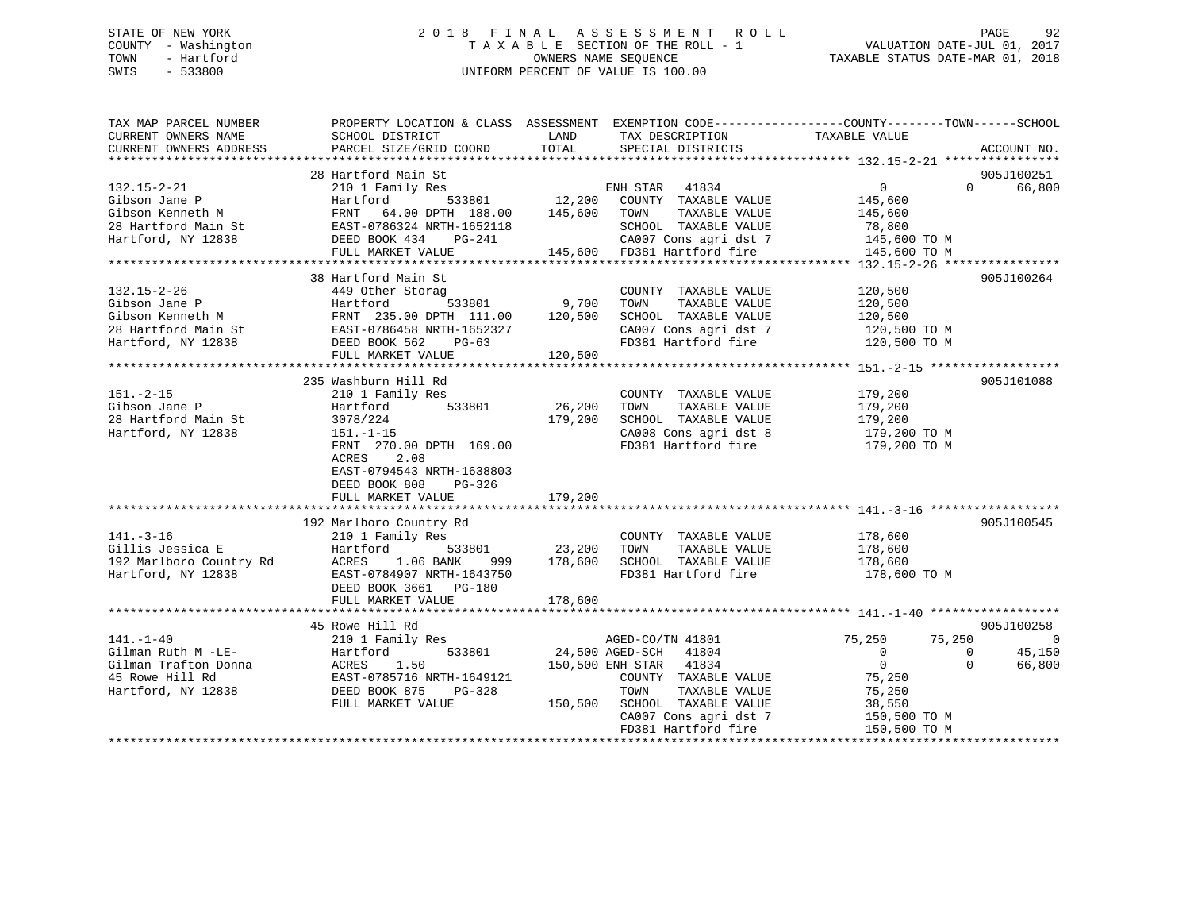### STATE OF NEW YORK 2 0 1 8 F I N A L A S S E S S M E N T R O L L PAGE 92 COUNTY - Washington T A X A B L E SECTION OF THE ROLL - 1 VALUATION DATE-JUL 01, 2017 TOWN - Hartford **TAXABLE STATUS DATE-MAR 01, 2018** OWNERS NAME SEQUENCE TAXABLE STATUS DATE-MAR 01, 2018 SWIS - 533800 UNIFORM PERCENT OF VALUE IS 100.00

| TAX MAP PARCEL NUMBER<br>CURRENT OWNERS NAME<br>CURRENT OWNERS ADDRESS                                                                                                                                                                                                  | PROPERTY LOCATION & CLASS ASSESSMENT EXEMPTION CODE---------------COUNTY-------TOWN------SCHOOL<br>SCHOOL DISTRICT<br>PARCEL SIZE/GRID COORD                                                   | LAND<br>TOTAL                       | TAX DESCRIPTION<br>SPECIAL DISTRICTS                                                                                                                                                                 | TAXABLE VALUE                                                                                                      | ACCOUNT NO.                                                         |
|-------------------------------------------------------------------------------------------------------------------------------------------------------------------------------------------------------------------------------------------------------------------------|------------------------------------------------------------------------------------------------------------------------------------------------------------------------------------------------|-------------------------------------|------------------------------------------------------------------------------------------------------------------------------------------------------------------------------------------------------|--------------------------------------------------------------------------------------------------------------------|---------------------------------------------------------------------|
| $132.15 - 2 - 21$                                                                                                                                                                                                                                                       | 28 Hartford Main St<br>210 1 Family Res<br>FRNT 64.00 DPTH 188.00 145,600 TOWN                                                                                                                 |                                     | ENH STAR 41834<br>533801 12,200 COUNTY TAXABLE VALUE<br>TAXABLE VALUE                                                                                                                                | 0<br>145,600<br>145,600                                                                                            | 905J100251<br>66,800<br>$\Omega$                                    |
|                                                                                                                                                                                                                                                                         |                                                                                                                                                                                                |                                     | SCHOOL TAXABLE VALUE<br>CA007 Cons agri dst 7<br>CAUU7 Cons agri dst 7<br>145,600   FD381 Hartford fire                                                                                              | 78,800<br>145,600 TO M<br>145,600 TO M                                                                             |                                                                     |
| $132.15 - 2 - 26$<br>Gibson Jane P<br>Gibson Kenneth M<br>28 Hartford Main St<br>28 Hartford, NY 12838<br>28 Hartford, NY 12838<br>28 Hartford, NY 12838<br>28 Hartford, NY 12838<br>28 Hartford, NY 12838<br>20 Hartford, NY 12838<br>20 Hartford, NY 12838<br>20 Hart | 38 Hartford Main St<br>449 Other Storag<br>FULL MARKET VALUE                                                                                                                                   | <sup>533801</sup> 9,700<br>120,500  | COUNTY TAXABLE VALUE<br>TAXABLE VALUE<br>TOWN<br>SCHOOL TAXABLE VALUE<br>CA007 Cons agri dst 7                                                                                                       | 120,500<br>120,500<br>120,500<br>120,500 TO M<br>FD381 Hartford fire 120,500 TO M                                  | 905J100264                                                          |
| $151. - 2 - 15$<br>Gibson Jane P<br>28 Hartford Main St<br>Hartford, NY 12838                                                                                                                                                                                           | 235 Washburn Hill Rd<br>210 1 Family Res<br>Hartford<br>533801<br>3078/224<br>$151. - 1 - 15$<br>FRNT 270.00 DPTH 169.00<br>ACRES 2.08<br>EAST-0794543 NRTH-1638803<br>DEED BOOK 808<br>PG-326 | 26,200<br>179,200                   | COUNTY TAXABLE VALUE<br>TAXABLE VALUE<br>TOWN<br>SCHOOL TAXABLE VALUE<br>CA008 Cons agri dst 8<br>FD381 Hartford fire                                                                                | 179,200<br>179,200<br>179,200<br>179,200 TO M<br>179,200 TO M                                                      | 905J101088                                                          |
|                                                                                                                                                                                                                                                                         | FULL MARKET VALUE                                                                                                                                                                              | 179,200                             |                                                                                                                                                                                                      |                                                                                                                    |                                                                     |
| $141. - 3 - 16$<br>Gillis Jessica E<br>192 Marlboro Country Rd<br>Hartford, NY 12838                                                                                                                                                                                    | 192 Marlboro Country Rd<br>210 1 Family Res<br>Hartford<br>ACRES 1.06 BANK<br>999 —<br>EAST-0784907 NRTH-1643750<br>DEED BOOK 3661 PG-180<br>FULL MARKET VALUE                                 | 533801 23,200<br>178,600<br>178,600 | COUNTY TAXABLE VALUE<br>TAXABLE VALUE<br>TOWN<br>SCHOOL TAXABLE VALUE<br>FD381 Hartford fire                                                                                                         | 178,600<br>178,600<br>178,600<br>178,600 ТО М                                                                      | 905J100545                                                          |
|                                                                                                                                                                                                                                                                         |                                                                                                                                                                                                |                                     |                                                                                                                                                                                                      |                                                                                                                    |                                                                     |
| $141. - 1 - 40$<br>Gilman Ruth M -LE-<br>Gilman Trafton Donna<br>45 Rowe Hill Rd<br>Hartford, NY 12838                                                                                                                                                                  | 45 Rowe Hill Rd<br>210 1 Family Res<br>Hartford<br>533801<br>ACRES 1.50<br>EAST-0785716 NRTH-1649121<br>DEED BOOK 875<br>$PG-328$<br>FULL MARKET VALUE                                         |                                     | AGED-CO/TN 41801<br>24,500 AGED-SCH 41804<br>150,500 ENH STAR 41834<br>COUNTY TAXABLE VALUE<br>TOWN<br>TAXABLE VALUE<br>150,500 SCHOOL TAXABLE VALUE<br>CA007 Cons agri dst 7<br>FD381 Hartford fire | 75,250<br>75,250<br>$\overline{0}$<br>$\overline{0}$<br>75,250<br>75,250<br>38,550<br>150,500 TO M<br>150,500 TO M | 905J100258<br>- 0<br>45,150<br>$\overline{0}$<br>$\Omega$<br>66,800 |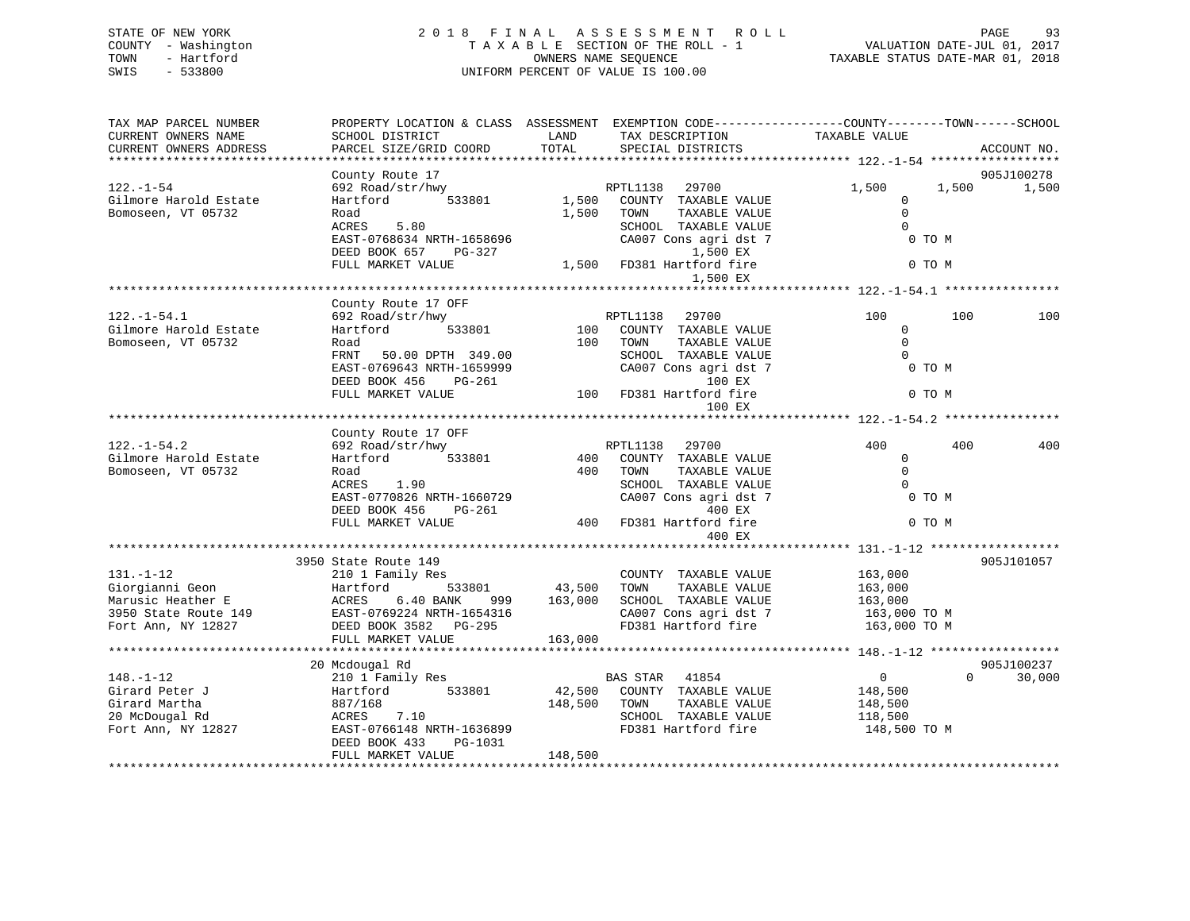### STATE OF NEW YORK 2 0 1 8 F I N A L A S S E S S M E N T R O L L PAGE 93 COUNTY - Washington T A X A B L E SECTION OF THE ROLL - 1 VALUATION DATE-JUL 01, 2017 TOWN - Hartford **TAXABLE STATUS DATE-MAR 01, 2018** OWNERS NAME SEQUENCE TAXABLE STATUS DATE-MAR 01, 2018 SWIS - 533800 UNIFORM PERCENT OF VALUE IS 100.00

| TAX MAP PARCEL NUMBER<br>CURRENT OWNERS NAME<br>CURRENT OWNERS ADDRESS                                | PROPERTY LOCATION & CLASS ASSESSMENT EXEMPTION CODE----------------COUNTY-------TOWN------SCHOOL<br>SCHOOL DISTRICT<br>PARCEL SIZE/GRID COORD                                   | LAND<br>TOTAL                | TAX DESCRIPTION<br>SPECIAL DISTRICTS                                                                                                                           | TAXABLE VALUE                                                               | ACCOUNT NO.         |
|-------------------------------------------------------------------------------------------------------|---------------------------------------------------------------------------------------------------------------------------------------------------------------------------------|------------------------------|----------------------------------------------------------------------------------------------------------------------------------------------------------------|-----------------------------------------------------------------------------|---------------------|
|                                                                                                       |                                                                                                                                                                                 |                              |                                                                                                                                                                |                                                                             |                     |
| $122. - 1 - 54$<br>Gilmore Harold Estate<br>Bomoseen, VT 05732                                        | County Route 17<br>692 Road/str/hwy<br>533801<br>Hartford<br>Road<br>ACRES<br>5.80<br>EAST-0768634 NRTH-1658696<br>DEED BOOK 657 PG-327<br>FULL MARKET VALUE                    | 1,500<br>1,500               | RPTL1138<br>29700<br>COUNTY TAXABLE VALUE<br>TAXABLE VALUE<br>TOWN<br>SCHOOL TAXABLE VALUE<br>CA007 Cons agri dst 7<br>1,500 EX<br>1,500 FD381 Hartford fire   | 1,500<br>1,500<br>$\Omega$<br>$\mathbf 0$<br>$\Omega$<br>0 TO M<br>0 TO M   | 905J100278<br>1,500 |
|                                                                                                       |                                                                                                                                                                                 |                              | 1,500 EX                                                                                                                                                       |                                                                             |                     |
|                                                                                                       |                                                                                                                                                                                 |                              |                                                                                                                                                                |                                                                             |                     |
| $122. - 1 - 54.1$<br>Gilmore Harold Estate<br>Bomoseen, VT 05732                                      | County Route 17 OFF<br>692 Road/str/hwy<br>Hartford<br>533801<br>Road<br>FRNT<br>50.00 DPTH 349.00<br>EAST-0769643 NRTH-1659999<br>DEED BOOK 456<br>PG-261<br>FULL MARKET VALUE | 100<br>100                   | RPTL1138 29700<br>COUNTY TAXABLE VALUE<br>TOWN<br>TAXABLE VALUE<br>SCHOOL TAXABLE VALUE<br>CA007 Cons agri dst 7<br>100 EX<br>100 FD381 Hartford fire          | 100<br>100<br>$\mathbf{0}$<br>$\Omega$<br>$\Omega$<br>0 TO M<br>0 TO M      | 100                 |
|                                                                                                       |                                                                                                                                                                                 |                              | 100 EX                                                                                                                                                         |                                                                             |                     |
|                                                                                                       | County Route 17 OFF                                                                                                                                                             |                              |                                                                                                                                                                |                                                                             |                     |
| $122. - 1 - 54.2$<br>Gilmore Harold Estate<br>Bomoseen, VT 05732                                      | 692 Road/str/hwy<br>Hartford<br>533801<br>Road<br>ACRES<br>1.90<br>EAST-0770826 NRTH-1660729<br>DEED BOOK 456<br>PG-261<br>FULL MARKET VALUE                                    | 400<br>400<br>400            | 29700<br>RPTL1138<br>COUNTY TAXABLE VALUE<br>TOWN<br>TAXABLE VALUE<br>SCHOOL TAXABLE VALUE<br>CA007 Cons agri dst 7<br>400 EX<br>FD381 Hartford fire<br>400 EX | 400<br>400<br>$\mathbf 0$<br>$\Omega$<br>$\Omega$<br>0 TO M<br>0 TO M       | 400                 |
|                                                                                                       |                                                                                                                                                                                 |                              |                                                                                                                                                                |                                                                             |                     |
| $131. - 1 - 12$<br>Giorgianni Geon<br>Marusic Heather E<br>3950 State Route 149<br>Fort Ann, NY 12827 | 3950 State Route 149<br>210 1 Family Res<br>Hartford<br>533801<br>ACRES<br>6.40 BANK<br>999<br>EAST-0769224 NRTH-1654316<br>DEED BOOK 3582 PG-295<br>FULL MARKET VALUE          | 43,500<br>163,000<br>163,000 | COUNTY TAXABLE VALUE<br>TOWN<br>TAXABLE VALUE<br>SCHOOL TAXABLE VALUE<br>CA007 Cons agri dst 7<br>FD381 Hartford fire                                          | 163,000<br>163,000<br>163,000<br>163,000 TO M<br>163,000 TO M               | 905J101057          |
|                                                                                                       | 20 Mcdougal Rd                                                                                                                                                                  |                              |                                                                                                                                                                |                                                                             | 905J100237          |
| $148. - 1 - 12$<br>Girard Peter J<br>Girard Martha<br>20 McDougal Rd<br>Fort Ann, NY 12827            | 210 1 Family Res<br>533801<br>Hartford<br>887/168<br>ACRES<br>7.10<br>EAST-0766148 NRTH-1636899<br>DEED BOOK 433<br>PG-1031<br>FULL MARKET VALUE                                | 42,500<br>148,500<br>148,500 | BAS STAR<br>41854<br>COUNTY TAXABLE VALUE<br>TAXABLE VALUE<br>TOWN<br>SCHOOL TAXABLE VALUE<br>FD381 Hartford fire                                              | $\overline{0}$<br>$\Omega$<br>148,500<br>148,500<br>118,500<br>148,500 TO M | 30,000              |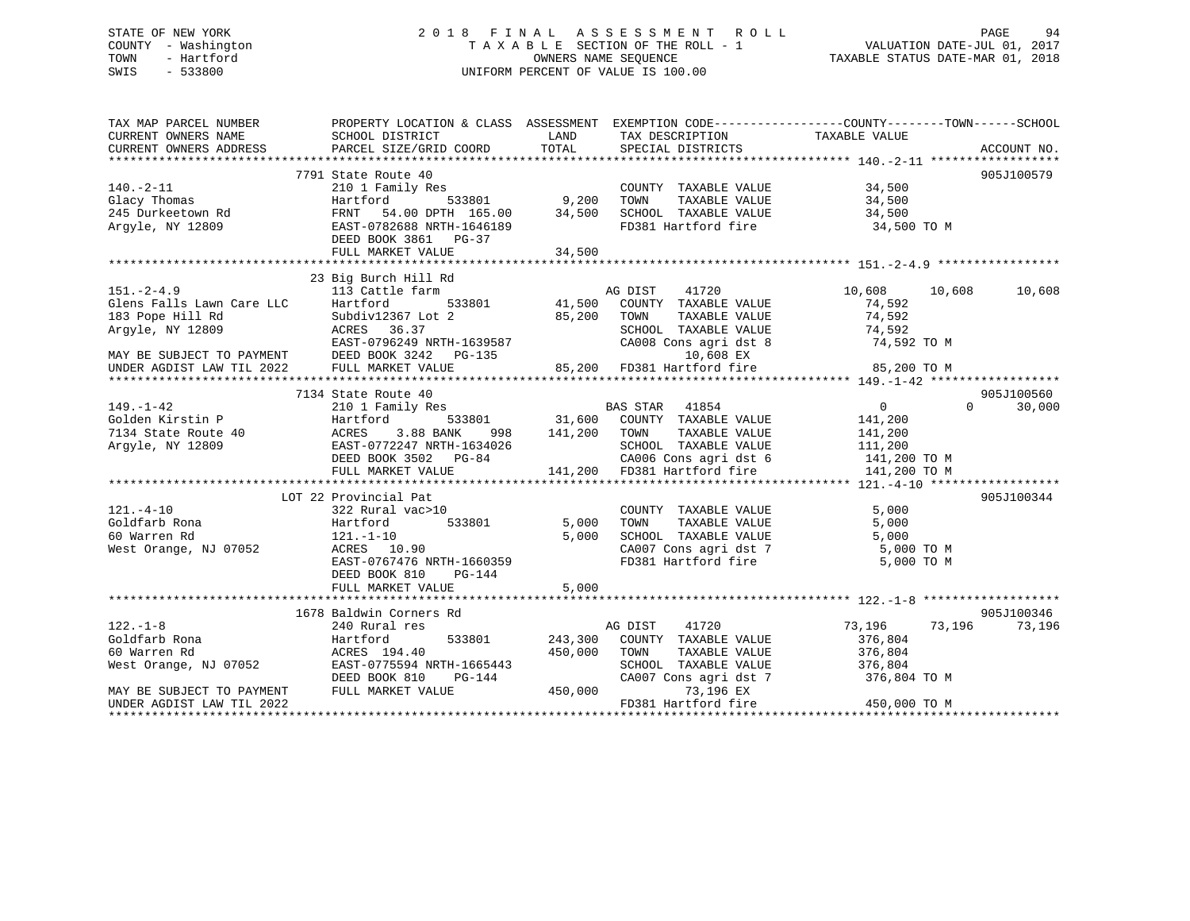### STATE OF NEW YORK 2 0 1 8 F I N A L A S S E S S M E N T R O L L PAGE 94 COUNTY - Washington T A X A B L E SECTION OF THE ROLL - 1 VALUATION DATE-JUL 01, 2017 TOWN - Hartford **TAXABLE STATUS DATE-MAR 01, 2018** OWNERS NAME SEQUENCE TAXABLE STATUS DATE-MAR 01, 2018 SWIS - 533800 UNIFORM PERCENT OF VALUE IS 100.00

| CURRENT OWNERS NAME<br>SCHOOL DISTRICT<br>LAND<br>TAX DESCRIPTION<br>TAXABLE VALUE<br>PARCEL SIZE/GRID COORD<br>TOTAL<br>CURRENT OWNERS ADDRESS<br>SPECIAL DISTRICTS<br>ACCOUNT NO.<br>7791 State Route 40<br>905J100579<br>$140. -2 - 11$<br>210 1 Family Res<br>34,500<br>COUNTY TAXABLE VALUE<br>34,500<br>533801 9,200<br>Glacy Thomas<br>TAXABLE VALUE<br>Hartford<br>TOWN<br>245 Durkeetown Rd<br>Argyle, NY 12809<br>SCHOOL TAXABLE VALUE 34,500<br>FRNT 54.00 DPTH 165.00 34,500<br>EAST-0782688 NRTH-1646189<br>FD381 Hartford fire<br>34,500 TO M<br>DEED BOOK 3861 PG-37<br>FULL MARKET VALUE<br>34,500<br>23 Big Burch Hill Rd<br>113 Cattle farm<br>AG DIST<br>10,608<br>41720<br>10,608<br>10,608<br>533801 41,500 COUNTY TAXABLE VALUE<br>Hartford<br>74,592<br>85,200 TOWN<br>TAXABLE VALUE<br>74,592<br>Subdiv12367 Lot 2<br>74,592<br>SCHOOL TAXABLE VALUE<br>ACRES 36.37<br>EAST-0796249 NRTH-1639587<br>CA008 Cons agri dst 8<br>74,592 TO M<br>MAY BE SUBJECT TO PAYMENT<br>UNDER AGDIST LAW TIL 2022 FULL MARKET VALUE<br>10,608 EX<br>85,200 FD381 Hartford fire<br>85,200 TO M<br>905J100560<br>7134 State Route 40<br>$\begin{tabular}{lllllllllll} \texttt{BAS STAR} & 41854 \\ \texttt{533801} & 31,600 & \texttt{COUNTY} & \texttt{TAXABLE VALUE} \end{tabular}$<br>$\overline{0}$<br>$\Omega$<br>30,000<br>$149. - 1 - 42$<br>210 1 Family Res<br>141,200<br>Golden Kirstin P<br>7134 State Route 40<br>Hartford<br>141,200 TOWN<br>ACRES<br>3.88 BANK<br>TAXABLE VALUE<br>141,200<br>998<br>Argyle, NY 12809<br>EAST-0772247 NRTH-1634026<br>SCHOOL TAXABLE VALUE<br>111,200<br>CA006 Cons agri dst 6 141,200 TO M<br>DEED BOOK 3502 PG-84<br>141,200 FD381 Hartford fire<br>FULL MARKET VALUE<br>141,200 TO M<br>LOT 22 Provincial Pat<br>905J100344<br>$121. - 4 - 10$<br>5,000<br>322 Rural vac>10<br>COUNTY TAXABLE VALUE<br>Hartford<br>5,000<br>Goldfarb Rona<br>533801<br>TOWN<br>TAXABLE VALUE<br>5,000<br>60 Warren Rd<br>5,000<br>5,000<br>121.-1-10<br>CONCOR THAABLE VALUE<br>CA007 Cons agri dst 7<br>FD381 Foutf 1<br>West Orange, NJ 07052<br>ACRES 10.90<br>5,000 TO M<br>FD381 Hartford fire 5,000 TO M<br>EAST-0767476 NRTH-1660359<br>DEED BOOK 810<br>PG-144<br>5,000<br>FULL MARKET VALUE<br>905J100346<br>1678 Baldwin Corners Rd<br>$122. - 1 - 8$<br>73,196<br>240 Rural res<br>AG DIST<br>41720<br>73,196<br>73,196<br>Goldfarb Rona<br>Hartford<br>533801<br>243,300 COUNTY TAXABLE VALUE<br>376,804<br>60 Warren Rd<br>ACRES 194.40<br>450,000<br>376,804<br>TOWN<br>TAXABLE VALUE<br>West Orange, NJ 07052<br>EAST-0775594 NRTH-1665443<br>SCHOOL TAXABLE VALUE 376,804<br>CA007 Cons agri dst 7 376,804<br>376,804 TO M<br>DEED BOOK 810<br>PG-144<br>450,000<br>MAY BE SUBJECT TO PAYMENT<br>FULL MARKET VALUE<br>73,196 EX<br>FD381 Hartford fire<br>450,000 TO M<br>UNDER AGDIST LAW TIL 2022 | TAX MAP PARCEL NUMBER     | PROPERTY LOCATION & CLASS ASSESSMENT EXEMPTION CODE---------------COUNTY-------TOWN-----SCHOOL |  |  |
|-------------------------------------------------------------------------------------------------------------------------------------------------------------------------------------------------------------------------------------------------------------------------------------------------------------------------------------------------------------------------------------------------------------------------------------------------------------------------------------------------------------------------------------------------------------------------------------------------------------------------------------------------------------------------------------------------------------------------------------------------------------------------------------------------------------------------------------------------------------------------------------------------------------------------------------------------------------------------------------------------------------------------------------------------------------------------------------------------------------------------------------------------------------------------------------------------------------------------------------------------------------------------------------------------------------------------------------------------------------------------------------------------------------------------------------------------------------------------------------------------------------------------------------------------------------------------------------------------------------------------------------------------------------------------------------------------------------------------------------------------------------------------------------------------------------------------------------------------------------------------------------------------------------------------------------------------------------------------------------------------------------------------------------------------------------------------------------------------------------------------------------------------------------------------------------------------------------------------------------------------------------------------------------------------------------------------------------------------------------------------------------------------------------------------------------------------------------------------------------------------------------------------------------------------------------------------------------------------------------------------------------------------------------------------------------------------------------------------------------------------------------------------------------------------------------------------------------------------------------|---------------------------|------------------------------------------------------------------------------------------------|--|--|
|                                                                                                                                                                                                                                                                                                                                                                                                                                                                                                                                                                                                                                                                                                                                                                                                                                                                                                                                                                                                                                                                                                                                                                                                                                                                                                                                                                                                                                                                                                                                                                                                                                                                                                                                                                                                                                                                                                                                                                                                                                                                                                                                                                                                                                                                                                                                                                                                                                                                                                                                                                                                                                                                                                                                                                                                                                                             |                           |                                                                                                |  |  |
|                                                                                                                                                                                                                                                                                                                                                                                                                                                                                                                                                                                                                                                                                                                                                                                                                                                                                                                                                                                                                                                                                                                                                                                                                                                                                                                                                                                                                                                                                                                                                                                                                                                                                                                                                                                                                                                                                                                                                                                                                                                                                                                                                                                                                                                                                                                                                                                                                                                                                                                                                                                                                                                                                                                                                                                                                                                             |                           |                                                                                                |  |  |
|                                                                                                                                                                                                                                                                                                                                                                                                                                                                                                                                                                                                                                                                                                                                                                                                                                                                                                                                                                                                                                                                                                                                                                                                                                                                                                                                                                                                                                                                                                                                                                                                                                                                                                                                                                                                                                                                                                                                                                                                                                                                                                                                                                                                                                                                                                                                                                                                                                                                                                                                                                                                                                                                                                                                                                                                                                                             |                           |                                                                                                |  |  |
|                                                                                                                                                                                                                                                                                                                                                                                                                                                                                                                                                                                                                                                                                                                                                                                                                                                                                                                                                                                                                                                                                                                                                                                                                                                                                                                                                                                                                                                                                                                                                                                                                                                                                                                                                                                                                                                                                                                                                                                                                                                                                                                                                                                                                                                                                                                                                                                                                                                                                                                                                                                                                                                                                                                                                                                                                                                             |                           |                                                                                                |  |  |
|                                                                                                                                                                                                                                                                                                                                                                                                                                                                                                                                                                                                                                                                                                                                                                                                                                                                                                                                                                                                                                                                                                                                                                                                                                                                                                                                                                                                                                                                                                                                                                                                                                                                                                                                                                                                                                                                                                                                                                                                                                                                                                                                                                                                                                                                                                                                                                                                                                                                                                                                                                                                                                                                                                                                                                                                                                                             |                           |                                                                                                |  |  |
|                                                                                                                                                                                                                                                                                                                                                                                                                                                                                                                                                                                                                                                                                                                                                                                                                                                                                                                                                                                                                                                                                                                                                                                                                                                                                                                                                                                                                                                                                                                                                                                                                                                                                                                                                                                                                                                                                                                                                                                                                                                                                                                                                                                                                                                                                                                                                                                                                                                                                                                                                                                                                                                                                                                                                                                                                                                             |                           |                                                                                                |  |  |
|                                                                                                                                                                                                                                                                                                                                                                                                                                                                                                                                                                                                                                                                                                                                                                                                                                                                                                                                                                                                                                                                                                                                                                                                                                                                                                                                                                                                                                                                                                                                                                                                                                                                                                                                                                                                                                                                                                                                                                                                                                                                                                                                                                                                                                                                                                                                                                                                                                                                                                                                                                                                                                                                                                                                                                                                                                                             |                           |                                                                                                |  |  |
|                                                                                                                                                                                                                                                                                                                                                                                                                                                                                                                                                                                                                                                                                                                                                                                                                                                                                                                                                                                                                                                                                                                                                                                                                                                                                                                                                                                                                                                                                                                                                                                                                                                                                                                                                                                                                                                                                                                                                                                                                                                                                                                                                                                                                                                                                                                                                                                                                                                                                                                                                                                                                                                                                                                                                                                                                                                             | Argyle, NY 12809          |                                                                                                |  |  |
|                                                                                                                                                                                                                                                                                                                                                                                                                                                                                                                                                                                                                                                                                                                                                                                                                                                                                                                                                                                                                                                                                                                                                                                                                                                                                                                                                                                                                                                                                                                                                                                                                                                                                                                                                                                                                                                                                                                                                                                                                                                                                                                                                                                                                                                                                                                                                                                                                                                                                                                                                                                                                                                                                                                                                                                                                                                             |                           |                                                                                                |  |  |
|                                                                                                                                                                                                                                                                                                                                                                                                                                                                                                                                                                                                                                                                                                                                                                                                                                                                                                                                                                                                                                                                                                                                                                                                                                                                                                                                                                                                                                                                                                                                                                                                                                                                                                                                                                                                                                                                                                                                                                                                                                                                                                                                                                                                                                                                                                                                                                                                                                                                                                                                                                                                                                                                                                                                                                                                                                                             |                           |                                                                                                |  |  |
|                                                                                                                                                                                                                                                                                                                                                                                                                                                                                                                                                                                                                                                                                                                                                                                                                                                                                                                                                                                                                                                                                                                                                                                                                                                                                                                                                                                                                                                                                                                                                                                                                                                                                                                                                                                                                                                                                                                                                                                                                                                                                                                                                                                                                                                                                                                                                                                                                                                                                                                                                                                                                                                                                                                                                                                                                                                             |                           |                                                                                                |  |  |
|                                                                                                                                                                                                                                                                                                                                                                                                                                                                                                                                                                                                                                                                                                                                                                                                                                                                                                                                                                                                                                                                                                                                                                                                                                                                                                                                                                                                                                                                                                                                                                                                                                                                                                                                                                                                                                                                                                                                                                                                                                                                                                                                                                                                                                                                                                                                                                                                                                                                                                                                                                                                                                                                                                                                                                                                                                                             |                           |                                                                                                |  |  |
|                                                                                                                                                                                                                                                                                                                                                                                                                                                                                                                                                                                                                                                                                                                                                                                                                                                                                                                                                                                                                                                                                                                                                                                                                                                                                                                                                                                                                                                                                                                                                                                                                                                                                                                                                                                                                                                                                                                                                                                                                                                                                                                                                                                                                                                                                                                                                                                                                                                                                                                                                                                                                                                                                                                                                                                                                                                             | $151. - 2 - 4.9$          |                                                                                                |  |  |
|                                                                                                                                                                                                                                                                                                                                                                                                                                                                                                                                                                                                                                                                                                                                                                                                                                                                                                                                                                                                                                                                                                                                                                                                                                                                                                                                                                                                                                                                                                                                                                                                                                                                                                                                                                                                                                                                                                                                                                                                                                                                                                                                                                                                                                                                                                                                                                                                                                                                                                                                                                                                                                                                                                                                                                                                                                                             | Glens Falls Lawn Care LLC |                                                                                                |  |  |
|                                                                                                                                                                                                                                                                                                                                                                                                                                                                                                                                                                                                                                                                                                                                                                                                                                                                                                                                                                                                                                                                                                                                                                                                                                                                                                                                                                                                                                                                                                                                                                                                                                                                                                                                                                                                                                                                                                                                                                                                                                                                                                                                                                                                                                                                                                                                                                                                                                                                                                                                                                                                                                                                                                                                                                                                                                                             | 183 Pope Hill Rd          |                                                                                                |  |  |
|                                                                                                                                                                                                                                                                                                                                                                                                                                                                                                                                                                                                                                                                                                                                                                                                                                                                                                                                                                                                                                                                                                                                                                                                                                                                                                                                                                                                                                                                                                                                                                                                                                                                                                                                                                                                                                                                                                                                                                                                                                                                                                                                                                                                                                                                                                                                                                                                                                                                                                                                                                                                                                                                                                                                                                                                                                                             | Arqyle, NY 12809          |                                                                                                |  |  |
|                                                                                                                                                                                                                                                                                                                                                                                                                                                                                                                                                                                                                                                                                                                                                                                                                                                                                                                                                                                                                                                                                                                                                                                                                                                                                                                                                                                                                                                                                                                                                                                                                                                                                                                                                                                                                                                                                                                                                                                                                                                                                                                                                                                                                                                                                                                                                                                                                                                                                                                                                                                                                                                                                                                                                                                                                                                             |                           |                                                                                                |  |  |
|                                                                                                                                                                                                                                                                                                                                                                                                                                                                                                                                                                                                                                                                                                                                                                                                                                                                                                                                                                                                                                                                                                                                                                                                                                                                                                                                                                                                                                                                                                                                                                                                                                                                                                                                                                                                                                                                                                                                                                                                                                                                                                                                                                                                                                                                                                                                                                                                                                                                                                                                                                                                                                                                                                                                                                                                                                                             |                           |                                                                                                |  |  |
|                                                                                                                                                                                                                                                                                                                                                                                                                                                                                                                                                                                                                                                                                                                                                                                                                                                                                                                                                                                                                                                                                                                                                                                                                                                                                                                                                                                                                                                                                                                                                                                                                                                                                                                                                                                                                                                                                                                                                                                                                                                                                                                                                                                                                                                                                                                                                                                                                                                                                                                                                                                                                                                                                                                                                                                                                                                             |                           |                                                                                                |  |  |
|                                                                                                                                                                                                                                                                                                                                                                                                                                                                                                                                                                                                                                                                                                                                                                                                                                                                                                                                                                                                                                                                                                                                                                                                                                                                                                                                                                                                                                                                                                                                                                                                                                                                                                                                                                                                                                                                                                                                                                                                                                                                                                                                                                                                                                                                                                                                                                                                                                                                                                                                                                                                                                                                                                                                                                                                                                                             |                           |                                                                                                |  |  |
|                                                                                                                                                                                                                                                                                                                                                                                                                                                                                                                                                                                                                                                                                                                                                                                                                                                                                                                                                                                                                                                                                                                                                                                                                                                                                                                                                                                                                                                                                                                                                                                                                                                                                                                                                                                                                                                                                                                                                                                                                                                                                                                                                                                                                                                                                                                                                                                                                                                                                                                                                                                                                                                                                                                                                                                                                                                             |                           |                                                                                                |  |  |
|                                                                                                                                                                                                                                                                                                                                                                                                                                                                                                                                                                                                                                                                                                                                                                                                                                                                                                                                                                                                                                                                                                                                                                                                                                                                                                                                                                                                                                                                                                                                                                                                                                                                                                                                                                                                                                                                                                                                                                                                                                                                                                                                                                                                                                                                                                                                                                                                                                                                                                                                                                                                                                                                                                                                                                                                                                                             |                           |                                                                                                |  |  |
|                                                                                                                                                                                                                                                                                                                                                                                                                                                                                                                                                                                                                                                                                                                                                                                                                                                                                                                                                                                                                                                                                                                                                                                                                                                                                                                                                                                                                                                                                                                                                                                                                                                                                                                                                                                                                                                                                                                                                                                                                                                                                                                                                                                                                                                                                                                                                                                                                                                                                                                                                                                                                                                                                                                                                                                                                                                             |                           |                                                                                                |  |  |
|                                                                                                                                                                                                                                                                                                                                                                                                                                                                                                                                                                                                                                                                                                                                                                                                                                                                                                                                                                                                                                                                                                                                                                                                                                                                                                                                                                                                                                                                                                                                                                                                                                                                                                                                                                                                                                                                                                                                                                                                                                                                                                                                                                                                                                                                                                                                                                                                                                                                                                                                                                                                                                                                                                                                                                                                                                                             |                           |                                                                                                |  |  |
|                                                                                                                                                                                                                                                                                                                                                                                                                                                                                                                                                                                                                                                                                                                                                                                                                                                                                                                                                                                                                                                                                                                                                                                                                                                                                                                                                                                                                                                                                                                                                                                                                                                                                                                                                                                                                                                                                                                                                                                                                                                                                                                                                                                                                                                                                                                                                                                                                                                                                                                                                                                                                                                                                                                                                                                                                                                             |                           |                                                                                                |  |  |
|                                                                                                                                                                                                                                                                                                                                                                                                                                                                                                                                                                                                                                                                                                                                                                                                                                                                                                                                                                                                                                                                                                                                                                                                                                                                                                                                                                                                                                                                                                                                                                                                                                                                                                                                                                                                                                                                                                                                                                                                                                                                                                                                                                                                                                                                                                                                                                                                                                                                                                                                                                                                                                                                                                                                                                                                                                                             |                           |                                                                                                |  |  |
|                                                                                                                                                                                                                                                                                                                                                                                                                                                                                                                                                                                                                                                                                                                                                                                                                                                                                                                                                                                                                                                                                                                                                                                                                                                                                                                                                                                                                                                                                                                                                                                                                                                                                                                                                                                                                                                                                                                                                                                                                                                                                                                                                                                                                                                                                                                                                                                                                                                                                                                                                                                                                                                                                                                                                                                                                                                             |                           |                                                                                                |  |  |
|                                                                                                                                                                                                                                                                                                                                                                                                                                                                                                                                                                                                                                                                                                                                                                                                                                                                                                                                                                                                                                                                                                                                                                                                                                                                                                                                                                                                                                                                                                                                                                                                                                                                                                                                                                                                                                                                                                                                                                                                                                                                                                                                                                                                                                                                                                                                                                                                                                                                                                                                                                                                                                                                                                                                                                                                                                                             |                           |                                                                                                |  |  |
|                                                                                                                                                                                                                                                                                                                                                                                                                                                                                                                                                                                                                                                                                                                                                                                                                                                                                                                                                                                                                                                                                                                                                                                                                                                                                                                                                                                                                                                                                                                                                                                                                                                                                                                                                                                                                                                                                                                                                                                                                                                                                                                                                                                                                                                                                                                                                                                                                                                                                                                                                                                                                                                                                                                                                                                                                                                             |                           |                                                                                                |  |  |
|                                                                                                                                                                                                                                                                                                                                                                                                                                                                                                                                                                                                                                                                                                                                                                                                                                                                                                                                                                                                                                                                                                                                                                                                                                                                                                                                                                                                                                                                                                                                                                                                                                                                                                                                                                                                                                                                                                                                                                                                                                                                                                                                                                                                                                                                                                                                                                                                                                                                                                                                                                                                                                                                                                                                                                                                                                                             |                           |                                                                                                |  |  |
|                                                                                                                                                                                                                                                                                                                                                                                                                                                                                                                                                                                                                                                                                                                                                                                                                                                                                                                                                                                                                                                                                                                                                                                                                                                                                                                                                                                                                                                                                                                                                                                                                                                                                                                                                                                                                                                                                                                                                                                                                                                                                                                                                                                                                                                                                                                                                                                                                                                                                                                                                                                                                                                                                                                                                                                                                                                             |                           |                                                                                                |  |  |
|                                                                                                                                                                                                                                                                                                                                                                                                                                                                                                                                                                                                                                                                                                                                                                                                                                                                                                                                                                                                                                                                                                                                                                                                                                                                                                                                                                                                                                                                                                                                                                                                                                                                                                                                                                                                                                                                                                                                                                                                                                                                                                                                                                                                                                                                                                                                                                                                                                                                                                                                                                                                                                                                                                                                                                                                                                                             |                           |                                                                                                |  |  |
|                                                                                                                                                                                                                                                                                                                                                                                                                                                                                                                                                                                                                                                                                                                                                                                                                                                                                                                                                                                                                                                                                                                                                                                                                                                                                                                                                                                                                                                                                                                                                                                                                                                                                                                                                                                                                                                                                                                                                                                                                                                                                                                                                                                                                                                                                                                                                                                                                                                                                                                                                                                                                                                                                                                                                                                                                                                             |                           |                                                                                                |  |  |
|                                                                                                                                                                                                                                                                                                                                                                                                                                                                                                                                                                                                                                                                                                                                                                                                                                                                                                                                                                                                                                                                                                                                                                                                                                                                                                                                                                                                                                                                                                                                                                                                                                                                                                                                                                                                                                                                                                                                                                                                                                                                                                                                                                                                                                                                                                                                                                                                                                                                                                                                                                                                                                                                                                                                                                                                                                                             |                           |                                                                                                |  |  |
|                                                                                                                                                                                                                                                                                                                                                                                                                                                                                                                                                                                                                                                                                                                                                                                                                                                                                                                                                                                                                                                                                                                                                                                                                                                                                                                                                                                                                                                                                                                                                                                                                                                                                                                                                                                                                                                                                                                                                                                                                                                                                                                                                                                                                                                                                                                                                                                                                                                                                                                                                                                                                                                                                                                                                                                                                                                             |                           |                                                                                                |  |  |
|                                                                                                                                                                                                                                                                                                                                                                                                                                                                                                                                                                                                                                                                                                                                                                                                                                                                                                                                                                                                                                                                                                                                                                                                                                                                                                                                                                                                                                                                                                                                                                                                                                                                                                                                                                                                                                                                                                                                                                                                                                                                                                                                                                                                                                                                                                                                                                                                                                                                                                                                                                                                                                                                                                                                                                                                                                                             |                           |                                                                                                |  |  |
|                                                                                                                                                                                                                                                                                                                                                                                                                                                                                                                                                                                                                                                                                                                                                                                                                                                                                                                                                                                                                                                                                                                                                                                                                                                                                                                                                                                                                                                                                                                                                                                                                                                                                                                                                                                                                                                                                                                                                                                                                                                                                                                                                                                                                                                                                                                                                                                                                                                                                                                                                                                                                                                                                                                                                                                                                                                             |                           |                                                                                                |  |  |
|                                                                                                                                                                                                                                                                                                                                                                                                                                                                                                                                                                                                                                                                                                                                                                                                                                                                                                                                                                                                                                                                                                                                                                                                                                                                                                                                                                                                                                                                                                                                                                                                                                                                                                                                                                                                                                                                                                                                                                                                                                                                                                                                                                                                                                                                                                                                                                                                                                                                                                                                                                                                                                                                                                                                                                                                                                                             |                           |                                                                                                |  |  |
|                                                                                                                                                                                                                                                                                                                                                                                                                                                                                                                                                                                                                                                                                                                                                                                                                                                                                                                                                                                                                                                                                                                                                                                                                                                                                                                                                                                                                                                                                                                                                                                                                                                                                                                                                                                                                                                                                                                                                                                                                                                                                                                                                                                                                                                                                                                                                                                                                                                                                                                                                                                                                                                                                                                                                                                                                                                             |                           |                                                                                                |  |  |
|                                                                                                                                                                                                                                                                                                                                                                                                                                                                                                                                                                                                                                                                                                                                                                                                                                                                                                                                                                                                                                                                                                                                                                                                                                                                                                                                                                                                                                                                                                                                                                                                                                                                                                                                                                                                                                                                                                                                                                                                                                                                                                                                                                                                                                                                                                                                                                                                                                                                                                                                                                                                                                                                                                                                                                                                                                                             |                           |                                                                                                |  |  |
|                                                                                                                                                                                                                                                                                                                                                                                                                                                                                                                                                                                                                                                                                                                                                                                                                                                                                                                                                                                                                                                                                                                                                                                                                                                                                                                                                                                                                                                                                                                                                                                                                                                                                                                                                                                                                                                                                                                                                                                                                                                                                                                                                                                                                                                                                                                                                                                                                                                                                                                                                                                                                                                                                                                                                                                                                                                             |                           |                                                                                                |  |  |
|                                                                                                                                                                                                                                                                                                                                                                                                                                                                                                                                                                                                                                                                                                                                                                                                                                                                                                                                                                                                                                                                                                                                                                                                                                                                                                                                                                                                                                                                                                                                                                                                                                                                                                                                                                                                                                                                                                                                                                                                                                                                                                                                                                                                                                                                                                                                                                                                                                                                                                                                                                                                                                                                                                                                                                                                                                                             |                           |                                                                                                |  |  |
|                                                                                                                                                                                                                                                                                                                                                                                                                                                                                                                                                                                                                                                                                                                                                                                                                                                                                                                                                                                                                                                                                                                                                                                                                                                                                                                                                                                                                                                                                                                                                                                                                                                                                                                                                                                                                                                                                                                                                                                                                                                                                                                                                                                                                                                                                                                                                                                                                                                                                                                                                                                                                                                                                                                                                                                                                                                             |                           |                                                                                                |  |  |
|                                                                                                                                                                                                                                                                                                                                                                                                                                                                                                                                                                                                                                                                                                                                                                                                                                                                                                                                                                                                                                                                                                                                                                                                                                                                                                                                                                                                                                                                                                                                                                                                                                                                                                                                                                                                                                                                                                                                                                                                                                                                                                                                                                                                                                                                                                                                                                                                                                                                                                                                                                                                                                                                                                                                                                                                                                                             |                           |                                                                                                |  |  |
|                                                                                                                                                                                                                                                                                                                                                                                                                                                                                                                                                                                                                                                                                                                                                                                                                                                                                                                                                                                                                                                                                                                                                                                                                                                                                                                                                                                                                                                                                                                                                                                                                                                                                                                                                                                                                                                                                                                                                                                                                                                                                                                                                                                                                                                                                                                                                                                                                                                                                                                                                                                                                                                                                                                                                                                                                                                             |                           |                                                                                                |  |  |
|                                                                                                                                                                                                                                                                                                                                                                                                                                                                                                                                                                                                                                                                                                                                                                                                                                                                                                                                                                                                                                                                                                                                                                                                                                                                                                                                                                                                                                                                                                                                                                                                                                                                                                                                                                                                                                                                                                                                                                                                                                                                                                                                                                                                                                                                                                                                                                                                                                                                                                                                                                                                                                                                                                                                                                                                                                                             |                           |                                                                                                |  |  |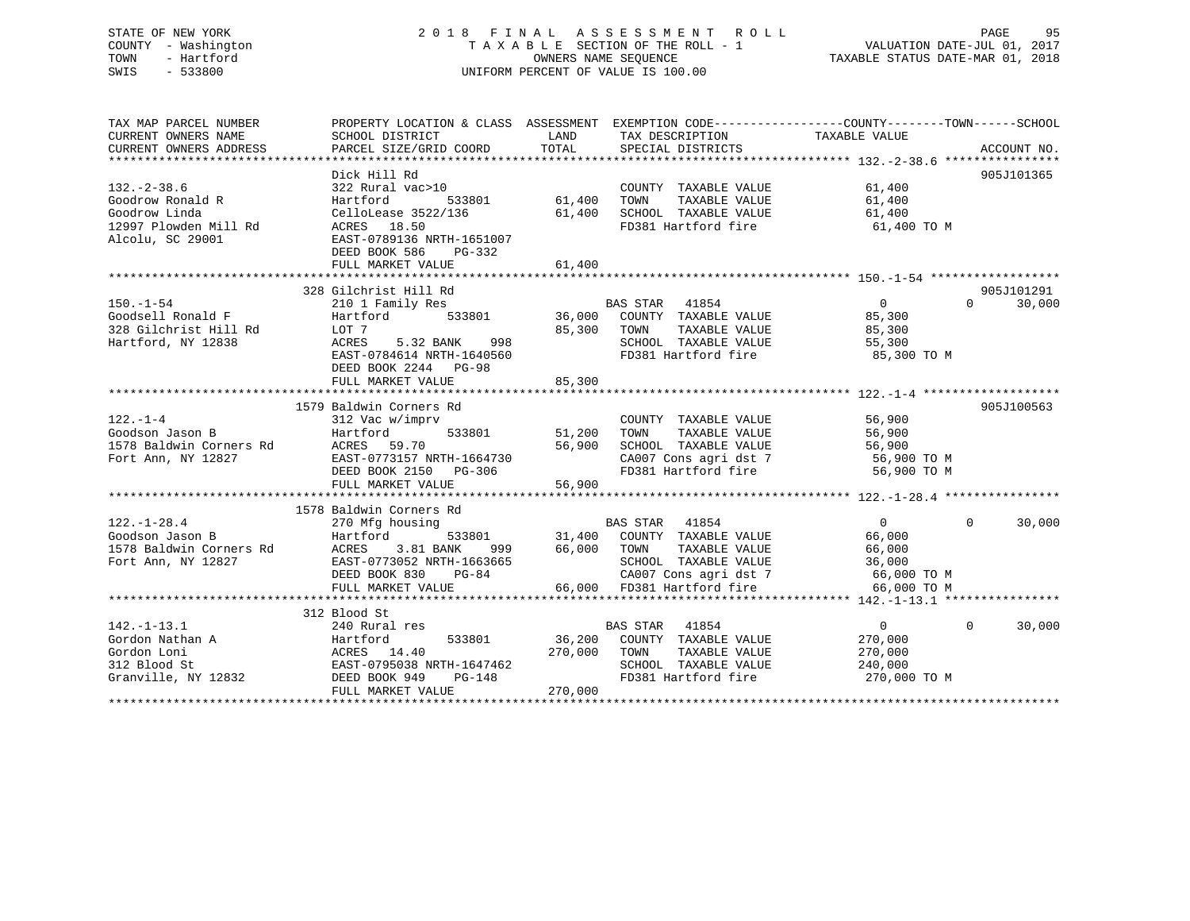### STATE OF NEW YORK 2 0 1 8 F I N A L A S S E S S M E N T R O L L PAGE 95 COUNTY - Washington T A X A B L E SECTION OF THE ROLL - 1 VALUATION DATE-JUL 01, 2017 TOWN - Hartford **TAXABLE STATUS DATE-MAR 01, 2018** OWNERS NAME SEQUENCE TAXABLE STATUS DATE-MAR 01, 2018 SWIS - 533800 UNIFORM PERCENT OF VALUE IS 100.00

| TAX MAP PARCEL NUMBER                         | PROPERTY LOCATION & CLASS ASSESSMENT EXEMPTION CODE---------------COUNTY-------TOWN------SCHOOL                                                              |                         |                                                                                                                                                                                                                                                                                                                                                                                                                                                                                    |                                |                                 |
|-----------------------------------------------|--------------------------------------------------------------------------------------------------------------------------------------------------------------|-------------------------|------------------------------------------------------------------------------------------------------------------------------------------------------------------------------------------------------------------------------------------------------------------------------------------------------------------------------------------------------------------------------------------------------------------------------------------------------------------------------------|--------------------------------|---------------------------------|
| CURRENT OWNERS NAME                           | SCHOOL DISTRICT                                                                                                                                              |                         | LAND TAX DESCRIPTION TAXABLE VALUE                                                                                                                                                                                                                                                                                                                                                                                                                                                 |                                |                                 |
|                                               |                                                                                                                                                              |                         |                                                                                                                                                                                                                                                                                                                                                                                                                                                                                    |                                |                                 |
|                                               |                                                                                                                                                              |                         |                                                                                                                                                                                                                                                                                                                                                                                                                                                                                    |                                |                                 |
|                                               | Dick Hill Rd                                                                                                                                                 |                         |                                                                                                                                                                                                                                                                                                                                                                                                                                                                                    |                                | 905J101365                      |
| $132. - 2 - 38.6$                             | 322 Rural vac>10                                                                                                                                             | 0<br>533801 61,400 TOWN | $\begin{tabular}{lllllllll} \multicolumn{2}{c}{\textbf{COUNTY}} & \textbf{TXABLE VALUE} & & \multicolumn{2}{c}{\textbf{G1,400}} \\ \multicolumn{2}{c}{\textbf{TONN}} & \textbf{TXABLE VALUE} & & \multicolumn{2}{c}{\textbf{G1,400}} \\ \multicolumn{2}{c}{\textbf{TONN}} & \multicolumn{2}{c}{\textbf{TXABLE VALUE}} & & \multicolumn{2}{c}{\textbf{G2,400}} \\ \multicolumn{2}{c}{\textbf{TONN}} & \multicolumn{2}{c}{\textbf{TXABLE VALUE}} & & \multicolumn{2}{c}{\textbf{G3,$ |                                |                                 |
| Goodrow Ronald R                              | Hartford                                                                                                                                                     |                         |                                                                                                                                                                                                                                                                                                                                                                                                                                                                                    |                                |                                 |
| Goodrow Linda                                 |                                                                                                                                                              |                         |                                                                                                                                                                                                                                                                                                                                                                                                                                                                                    |                                |                                 |
| 12997 Plowden Mill Rd<br>- 1 - 1 - 2000 20001 |                                                                                                                                                              |                         |                                                                                                                                                                                                                                                                                                                                                                                                                                                                                    | 61,400 TO M                    |                                 |
| Alcolu, SC 29001                              | CelloLease 3522/136 61,400 SCHOOL TAXABLE VALUE 61,400<br>11 Rd ACRES 18.50 FD381 Hartford fire 61,400<br>EAST-0789136 NRTH-1651007                          |                         |                                                                                                                                                                                                                                                                                                                                                                                                                                                                                    |                                |                                 |
|                                               | DEED BOOK 586<br>PG-332                                                                                                                                      |                         |                                                                                                                                                                                                                                                                                                                                                                                                                                                                                    |                                |                                 |
|                                               | FULL MARKET VALUE 61,400                                                                                                                                     |                         |                                                                                                                                                                                                                                                                                                                                                                                                                                                                                    |                                |                                 |
|                                               |                                                                                                                                                              |                         |                                                                                                                                                                                                                                                                                                                                                                                                                                                                                    |                                |                                 |
|                                               | 328 Gilchrist Hill Rd                                                                                                                                        |                         |                                                                                                                                                                                                                                                                                                                                                                                                                                                                                    |                                | 905J101291                      |
| $150. - 1 - 54$                               |                                                                                                                                                              |                         |                                                                                                                                                                                                                                                                                                                                                                                                                                                                                    |                                | $\Omega$ and $\Omega$<br>30,000 |
| Goodsell Ronald F                             |                                                                                                                                                              |                         |                                                                                                                                                                                                                                                                                                                                                                                                                                                                                    |                                |                                 |
| 328 Gilchrist Hill Rd<br>Hartford. NY 12838   | LOT 7                                                                                                                                                        |                         | 85,300 TOWN                                                                                                                                                                                                                                                                                                                                                                                                                                                                        |                                |                                 |
| Hartford, NY 12838                            | ACRES 5.32 BANK 998                                                                                                                                          |                         | TOWN      TAXABLE  VALUE<br>SCHOOL   TAXABLE  VALUE                                                                                                                                                                                                                                                                                                                                                                                                                                | 300 , د ت<br>85 , 300<br>55 می |                                 |
|                                               | EAST-0784614 NRTH-1640560                                                                                                                                    |                         | FD381 Hartford fire 35,300 TO M                                                                                                                                                                                                                                                                                                                                                                                                                                                    |                                |                                 |
|                                               | DEED BOOK 2244 PG-98                                                                                                                                         |                         |                                                                                                                                                                                                                                                                                                                                                                                                                                                                                    |                                |                                 |
|                                               | FULL MARKET VALUE                                                                                                                                            | 85,300                  |                                                                                                                                                                                                                                                                                                                                                                                                                                                                                    |                                |                                 |
|                                               |                                                                                                                                                              |                         |                                                                                                                                                                                                                                                                                                                                                                                                                                                                                    |                                |                                 |
|                                               | 1579 Baldwin Corners Rd                                                                                                                                      |                         |                                                                                                                                                                                                                                                                                                                                                                                                                                                                                    |                                | 905J100563                      |
|                                               |                                                                                                                                                              |                         |                                                                                                                                                                                                                                                                                                                                                                                                                                                                                    |                                |                                 |
|                                               |                                                                                                                                                              |                         |                                                                                                                                                                                                                                                                                                                                                                                                                                                                                    |                                |                                 |
|                                               |                                                                                                                                                              |                         |                                                                                                                                                                                                                                                                                                                                                                                                                                                                                    |                                |                                 |
|                                               |                                                                                                                                                              |                         |                                                                                                                                                                                                                                                                                                                                                                                                                                                                                    |                                |                                 |
|                                               |                                                                                                                                                              |                         |                                                                                                                                                                                                                                                                                                                                                                                                                                                                                    |                                |                                 |
|                                               |                                                                                                                                                              |                         |                                                                                                                                                                                                                                                                                                                                                                                                                                                                                    |                                |                                 |
|                                               |                                                                                                                                                              |                         |                                                                                                                                                                                                                                                                                                                                                                                                                                                                                    |                                |                                 |
|                                               |                                                                                                                                                              |                         |                                                                                                                                                                                                                                                                                                                                                                                                                                                                                    |                                |                                 |
|                                               |                                                                                                                                                              |                         |                                                                                                                                                                                                                                                                                                                                                                                                                                                                                    |                                | $\overline{0}$<br>30,000        |
|                                               |                                                                                                                                                              |                         |                                                                                                                                                                                                                                                                                                                                                                                                                                                                                    |                                |                                 |
|                                               |                                                                                                                                                              |                         |                                                                                                                                                                                                                                                                                                                                                                                                                                                                                    |                                |                                 |
|                                               |                                                                                                                                                              |                         |                                                                                                                                                                                                                                                                                                                                                                                                                                                                                    |                                |                                 |
|                                               |                                                                                                                                                              |                         |                                                                                                                                                                                                                                                                                                                                                                                                                                                                                    |                                |                                 |
|                                               |                                                                                                                                                              |                         |                                                                                                                                                                                                                                                                                                                                                                                                                                                                                    |                                |                                 |
|                                               |                                                                                                                                                              |                         |                                                                                                                                                                                                                                                                                                                                                                                                                                                                                    |                                |                                 |
|                                               |                                                                                                                                                              |                         |                                                                                                                                                                                                                                                                                                                                                                                                                                                                                    |                                |                                 |
| $142. - 1 - 13.1$                             | 240 Rural res                                                                                                                                                |                         | BAS STAR 41854                                                                                                                                                                                                                                                                                                                                                                                                                                                                     | $\overline{0}$                 | $0 \qquad \qquad$<br>30,000     |
| Gordon Nathan A                               | Hartford                                                                                                                                                     |                         | 533801 36,200 COUNTY TAXABLE VALUE                                                                                                                                                                                                                                                                                                                                                                                                                                                 | 270,000                        |                                 |
| Gordon Loni                                   |                                                                                                                                                              |                         |                                                                                                                                                                                                                                                                                                                                                                                                                                                                                    |                                |                                 |
| 312 Blood St                                  |                                                                                                                                                              |                         |                                                                                                                                                                                                                                                                                                                                                                                                                                                                                    |                                |                                 |
| Granville, NY 12832 DEED BOOK 949             | ACRES 14.40 270,000 TOWN TAXABLE VALUE 270,000<br>EAST-0795038 NRTH-1647462 SCHOOL TAXABLE VALUE 240,000<br>DEED BOOK 949 PG-148 FD381 Hartford fire 270,000 |                         | FD381 Hartford fire 270,000 TO M                                                                                                                                                                                                                                                                                                                                                                                                                                                   |                                |                                 |
|                                               | FULL MARKET VALUE                                                                                                                                            | 270,000                 |                                                                                                                                                                                                                                                                                                                                                                                                                                                                                    |                                |                                 |
|                                               |                                                                                                                                                              |                         |                                                                                                                                                                                                                                                                                                                                                                                                                                                                                    |                                |                                 |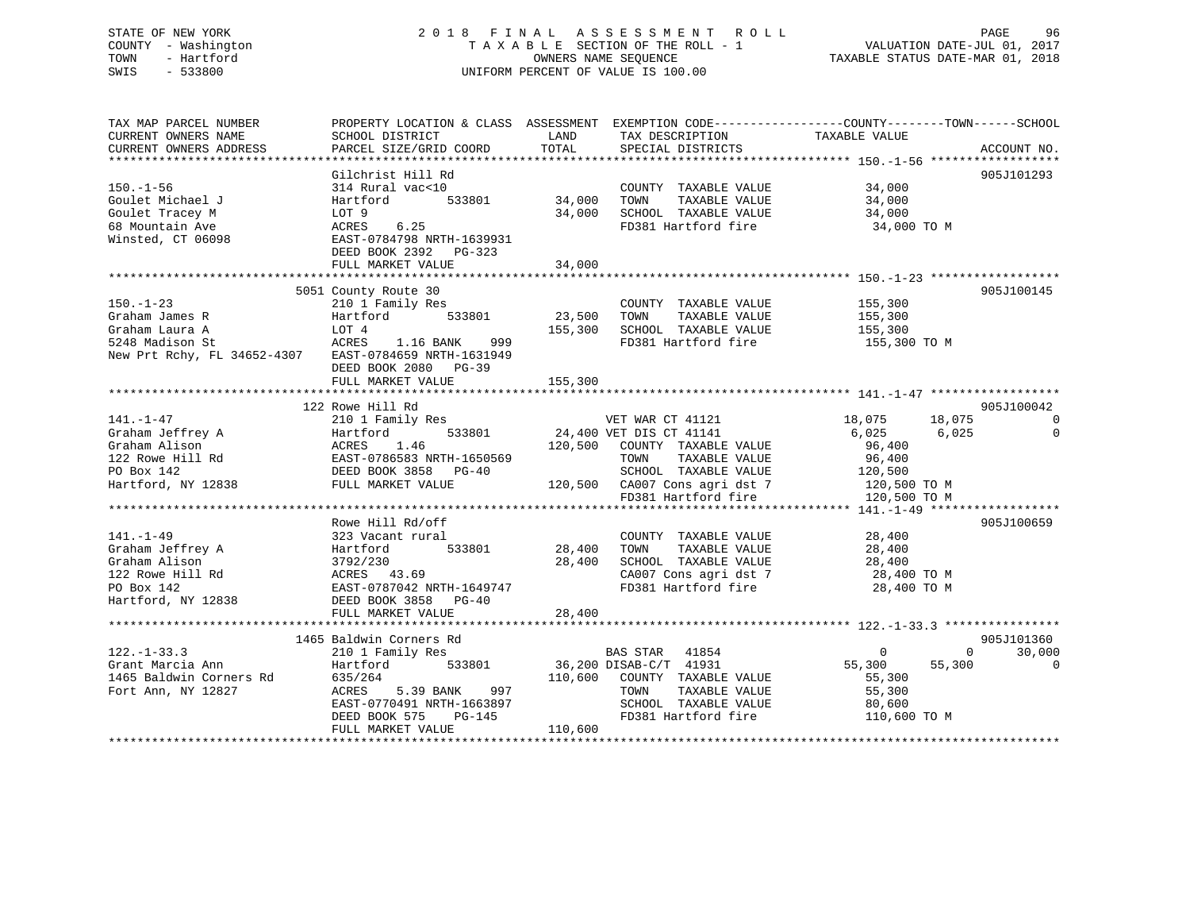### STATE OF NEW YORK 2 0 1 8 F I N A L A S S E S S M E N T R O L L PAGE 96 COUNTY - Washington T A X A B L E SECTION OF THE ROLL - 1 VALUATION DATE-JUL 01, 2017 TOWN - Hartford OWNERS NAME SEQUENCE TAXABLE STATUS DATE-MAR 01, 2018 SWIS - 533800 UNIFORM PERCENT OF VALUE IS 100.00

| TAX MAP PARCEL NUMBER<br>CURRENT OWNERS NAME<br>CURRENT OWNERS ADDRESS                                                                                                                                                                                               | PROPERTY LOCATION & CLASS ASSESSMENT EXEMPTION CODE---------------COUNTY-------TOWN------SCHOOL<br>SCHOOL DISTRICT<br>PARCEL SIZE/GRID COORD | <b>LAND</b><br>TOTAL | TAX DESCRIPTION TAXABLE VALUE SPECIAL DISTRICTS                                                                                          |                      | ACCOUNT NO.        |
|----------------------------------------------------------------------------------------------------------------------------------------------------------------------------------------------------------------------------------------------------------------------|----------------------------------------------------------------------------------------------------------------------------------------------|----------------------|------------------------------------------------------------------------------------------------------------------------------------------|----------------------|--------------------|
| COUNTY<br>Goulet Michael J<br>Goulet Tracey M<br>Goulet Tracey M<br>EAST-0784798 NRTH-1639931<br>Minsted, CT 06098<br>DEED BOOK 2392<br>PG-222<br>PG-222<br>PG-222<br>PG-222<br>PG-222<br>PG-222<br>PG-222<br>PG-222<br>PG-222<br>PG-222<br>PG-222<br>PG-222<br>PG-2 |                                                                                                                                              |                      | COUNTY TAXABLE VALUE 34,000<br>34,000 TOWN TAXABLE VALUE 34,000<br>34,000 SCHOOL TAXABLE VALUE 34,000<br>FD381 Hartford fire 34,000 TO M |                      | 905J101293         |
|                                                                                                                                                                                                                                                                      | FULL MARKET VALUE                                                                                                                            | 34,000               |                                                                                                                                          |                      |                    |
|                                                                                                                                                                                                                                                                      |                                                                                                                                              |                      |                                                                                                                                          |                      |                    |
| New Prt Rchy, FL 34652-4307 EAST-0784659 NRTH-1631949                                                                                                                                                                                                                | DEED BOOK 2080 PG-39                                                                                                                         |                      | FD381 Hartford fire 155,300 TO M                                                                                                         |                      | 905J100145         |
|                                                                                                                                                                                                                                                                      | FULL MARKET VALUE                                                                                                                            | 155,300              |                                                                                                                                          |                      |                    |
|                                                                                                                                                                                                                                                                      |                                                                                                                                              |                      |                                                                                                                                          |                      |                    |
|                                                                                                                                                                                                                                                                      | 122 Rowe Hill Rd                                                                                                                             |                      |                                                                                                                                          |                      | 905J100042         |
| $[141. -1-47$ 210 1 Family Res<br>Graham Jeffrey A<br>Graham Alison (120 Rowe Hill Rd Family Res<br>Graham Alison (120 Rowe Hill Rd FAST-0786583 NRTH-1650569 120,500 COUNTY TAXABLE VALUE<br>PO Box 142<br>Hartford, NY 12838 FULL MARK                             |                                                                                                                                              |                      |                                                                                                                                          |                      |                    |
|                                                                                                                                                                                                                                                                      |                                                                                                                                              |                      |                                                                                                                                          |                      |                    |
|                                                                                                                                                                                                                                                                      |                                                                                                                                              |                      |                                                                                                                                          |                      |                    |
|                                                                                                                                                                                                                                                                      |                                                                                                                                              |                      |                                                                                                                                          |                      |                    |
|                                                                                                                                                                                                                                                                      |                                                                                                                                              |                      |                                                                                                                                          |                      |                    |
|                                                                                                                                                                                                                                                                      |                                                                                                                                              |                      |                                                                                                                                          |                      |                    |
|                                                                                                                                                                                                                                                                      |                                                                                                                                              |                      |                                                                                                                                          |                      |                    |
|                                                                                                                                                                                                                                                                      | Rowe Hill Rd/off                                                                                                                             |                      |                                                                                                                                          |                      | 905J100659         |
|                                                                                                                                                                                                                                                                      |                                                                                                                                              |                      |                                                                                                                                          |                      |                    |
|                                                                                                                                                                                                                                                                      |                                                                                                                                              |                      |                                                                                                                                          |                      |                    |
|                                                                                                                                                                                                                                                                      |                                                                                                                                              |                      |                                                                                                                                          |                      |                    |
|                                                                                                                                                                                                                                                                      |                                                                                                                                              |                      |                                                                                                                                          |                      |                    |
|                                                                                                                                                                                                                                                                      |                                                                                                                                              |                      |                                                                                                                                          |                      |                    |
|                                                                                                                                                                                                                                                                      | FULL MARKET VALUE                                                                                                                            | 28,400               |                                                                                                                                          |                      |                    |
|                                                                                                                                                                                                                                                                      |                                                                                                                                              |                      |                                                                                                                                          |                      |                    |
|                                                                                                                                                                                                                                                                      | 1465 Baldwin Corners Rd                                                                                                                      |                      |                                                                                                                                          |                      | 905J101360         |
| $122. - 1 - 33.3$                                                                                                                                                                                                                                                    | 210 1 Family Res                                                                                                                             |                      | BAS STAR 41854                                                                                                                           | $\overline{0}$       | 30,000<br>$\Omega$ |
| Grant Marcia Ann                                                                                                                                                                                                                                                     | Hartford 533801 36,200 DISAB-C/T 41931                                                                                                       |                      |                                                                                                                                          | 55,300 55,300        | $\mathbf 0$        |
| 1465 Baldwin Corners Rd<br>Fort Ann, NY 12827                                                                                                                                                                                                                        |                                                                                                                                              |                      |                                                                                                                                          | 55,300               |                    |
|                                                                                                                                                                                                                                                                      |                                                                                                                                              |                      |                                                                                                                                          | TAXABLE VALUE 55,300 |                    |
|                                                                                                                                                                                                                                                                      |                                                                                                                                              |                      |                                                                                                                                          |                      |                    |
|                                                                                                                                                                                                                                                                      |                                                                                                                                              |                      |                                                                                                                                          |                      |                    |
|                                                                                                                                                                                                                                                                      |                                                                                                                                              |                      |                                                                                                                                          |                      |                    |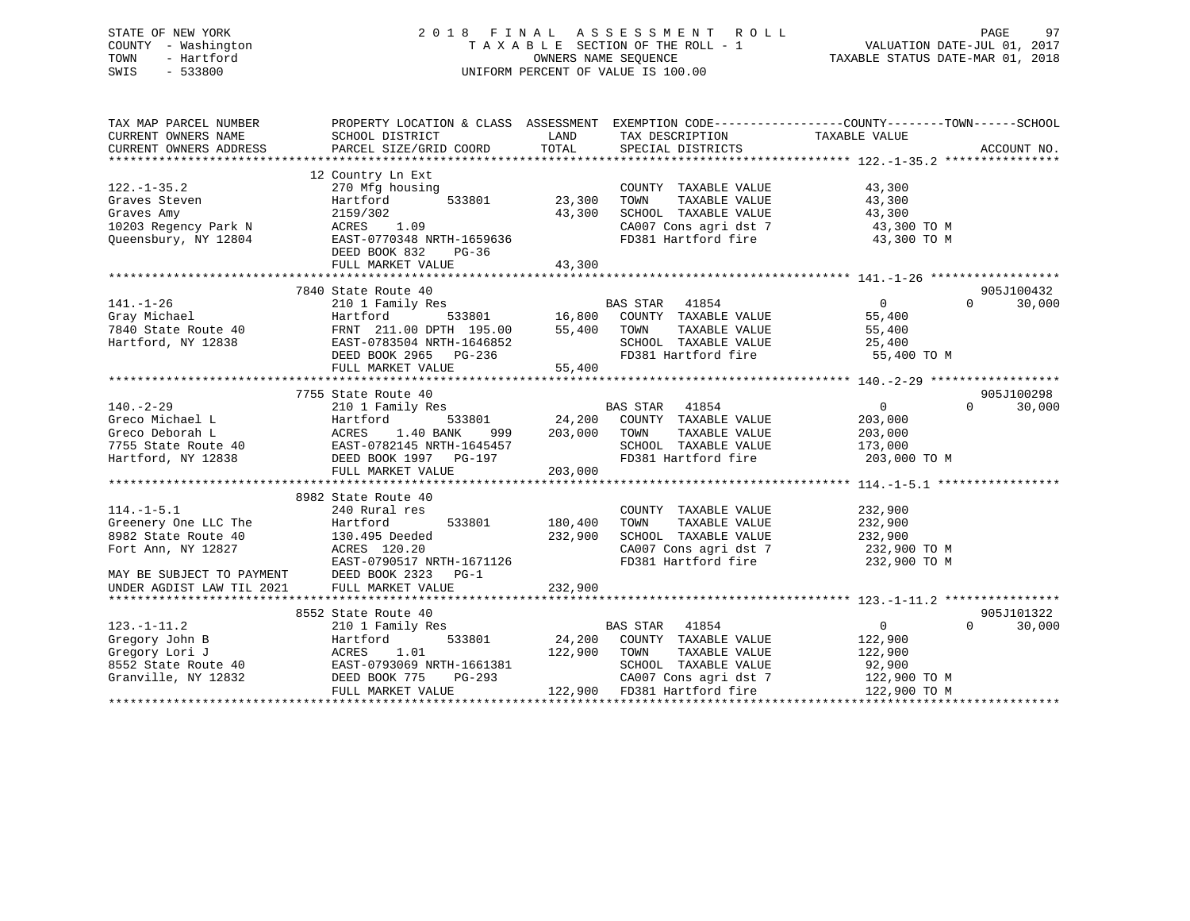### STATE OF NEW YORK 2 0 1 8 F I N A L A S S E S S M E N T R O L L PAGE 97 COUNTY - Washington T A X A B L E SECTION OF THE ROLL - 1 VALUATION DATE-JUL 01, 2017 TOWN - Hartford **TAXABLE STATUS DATE-MAR 01, 2018** OWNERS NAME SEQUENCE TAXABLE STATUS DATE-MAR 01, 2018 SWIS - 533800 UNIFORM PERCENT OF VALUE IS 100.00

| TAX MAP PARCEL NUMBER                                                | PROPERTY LOCATION & CLASS ASSESSMENT EXEMPTION CODE---------------COUNTY-------TOWN-----SCHOOL                                                                                                                                     |                |                                                                                                                                               |                                                      |                    |
|----------------------------------------------------------------------|------------------------------------------------------------------------------------------------------------------------------------------------------------------------------------------------------------------------------------|----------------|-----------------------------------------------------------------------------------------------------------------------------------------------|------------------------------------------------------|--------------------|
| $122. - 1 - 35.2$                                                    | 12 Country Ln Ext<br>270 Mfg housing                                                                                                                                                                                               |                | COUNTY TAXABLE VALUE                                                                                                                          | 43,300                                               |                    |
| Graves Steven                                                        | Hartford                                                                                                                                                                                                                           | 533801 23,300  | TOWN<br>TAXABLE VALUE                                                                                                                         | 43,300                                               |                    |
| Graves Amy                                                           | 2159/302                                                                                                                                                                                                                           | 43,300         | SCHOOL TAXABLE VALUE                                                                                                                          | 43,300                                               |                    |
| 10203 Regency Park N ACRES 1.09                                      |                                                                                                                                                                                                                                    |                | CA007 Cons agri dst 7 43,300 TO M                                                                                                             |                                                      |                    |
| Queensbury, NY 12804                                                 | ACRES 1.09<br>EAST-0770348 NRTH-1659636<br>DEED BOOK 832<br>PG-36                                                                                                                                                                  |                | FD381 Hartford fire                                                                                                                           | 43,300 TO M                                          |                    |
|                                                                      | FULL MARKET VALUE                                                                                                                                                                                                                  | 43,300         |                                                                                                                                               |                                                      |                    |
|                                                                      |                                                                                                                                                                                                                                    |                |                                                                                                                                               |                                                      |                    |
|                                                                      | 7840 State Route 40                                                                                                                                                                                                                |                |                                                                                                                                               |                                                      | 905J100432         |
| $141. - 1 - 26$                                                      | 210 1 Family Res                                                                                                                                                                                                                   |                | $\begin{tabular}{lllllllllll} \texttt{BAS STAR} & 41854 \\ \texttt{533801} & 16,800 & \texttt{COUNTY} & \texttt{TAXABLE VALUE} \end{tabular}$ | $\overline{0}$                                       | 30,000<br>$\Omega$ |
|                                                                      | 141.-1-26 210 1 Family Res<br>Gray Michael Hartford 533801 16,800<br>7840 State Route 40 FRNT 211.00 DPTH 195.00 55,400<br>Hartford, NY 12838 EAST-0783504 NRTH-1646852<br>REST-0783504 NRTH-1646852                               |                |                                                                                                                                               | 55,400                                               |                    |
|                                                                      |                                                                                                                                                                                                                                    |                | TOWN<br>TAXABLE VALUE                                                                                                                         | 55,400                                               |                    |
|                                                                      | EAST-0783504 NRTH-1646852<br>DEED BOOK 2965 PG-236                                                                                                                                                                                 |                | SCHOOL TAXABLE VALUE 25,400<br>FD381 Hartford fire 55,400 TO M                                                                                |                                                      |                    |
|                                                                      |                                                                                                                                                                                                                                    |                |                                                                                                                                               |                                                      |                    |
|                                                                      | FULL MARKET VALUE                                                                                                                                                                                                                  | 55,400         |                                                                                                                                               |                                                      |                    |
|                                                                      |                                                                                                                                                                                                                                    |                |                                                                                                                                               |                                                      |                    |
|                                                                      | 7755 State Route 40                                                                                                                                                                                                                |                |                                                                                                                                               |                                                      | 905J100298         |
| $140. -2 - 29$                                                       |                                                                                                                                                                                                                                    |                |                                                                                                                                               | $\overline{0}$                                       | $\Omega$<br>30,000 |
|                                                                      |                                                                                                                                                                                                                                    | 999 203,000    |                                                                                                                                               | 203,000                                              |                    |
|                                                                      |                                                                                                                                                                                                                                    |                | TOWN<br>TAXABLE VALUE                                                                                                                         | 203,000                                              |                    |
|                                                                      |                                                                                                                                                                                                                                    |                | SCHOOL TAXABLE VALUE                                                                                                                          | 173,000                                              |                    |
|                                                                      | Greco Michael L (Greco Deborah L (Greco Deborah L (Greco Deborah L (Greco Deborah L (Greco Deborah L (Greco 1.40 BANK 999 203,000 24,200<br>7755 State Route 40 EAST-0782145 NRTH-1645457<br>Hartford, NY 12838 DEED BOOK 1997 PG- |                | FD381 Hartford fire                                                                                                                           | 203,000 TO M                                         |                    |
|                                                                      | FULL MARKET VALUE                                                                                                                                                                                                                  | 203,000        |                                                                                                                                               |                                                      |                    |
|                                                                      | 8982 State Route 40                                                                                                                                                                                                                |                |                                                                                                                                               |                                                      |                    |
| $114. -1 - 5.1$                                                      | 240 Rural res                                                                                                                                                                                                                      |                | COUNTY TAXABLE VALUE                                                                                                                          | 232,900                                              |                    |
|                                                                      |                                                                                                                                                                                                                                    | 533801 180,400 | TAXABLE VALUE<br>TOWN                                                                                                                         | 232,900                                              |                    |
| Greenery One LLC The Flartford<br>8982 State Route 40 130.495 Deeded |                                                                                                                                                                                                                                    | 232,900        | SCHOOL TAXABLE VALUE 232,900                                                                                                                  |                                                      |                    |
|                                                                      |                                                                                                                                                                                                                                    |                |                                                                                                                                               |                                                      |                    |
|                                                                      | Fort Ann, NY 12827<br>EAST-0790517 NRTH-1671126                                                                                                                                                                                    |                | FD381 Hartford fire                                                                                                                           | CA007 Cons agri dst 7 $232,900$ TO M<br>232,900 TO M |                    |
| MAY BE SUBJECT TO PAYMENT DEED BOOK 2323 PG-1                        |                                                                                                                                                                                                                                    |                |                                                                                                                                               |                                                      |                    |
| UNDER AGDIST LAW TIL 2021                                            | FULL MARKET VALUE                                                                                                                                                                                                                  | 232,900        |                                                                                                                                               |                                                      |                    |
|                                                                      |                                                                                                                                                                                                                                    |                |                                                                                                                                               |                                                      |                    |
|                                                                      | 8552 State Route 40                                                                                                                                                                                                                |                |                                                                                                                                               |                                                      | 905J101322         |
| $123. - 1 - 11.2$                                                    | 210 1 Family Res                                                                                                                                                                                                                   |                | <b>BAS STAR</b> 41854                                                                                                                         | $0 \qquad \qquad$                                    | $\Omega$<br>30,000 |
| Gregory John B                                                       | Hartford                                                                                                                                                                                                                           |                | 533801 24,200 COUNTY TAXABLE VALUE                                                                                                            | 122,900                                              |                    |
|                                                                      | Gregory Journ Department of MCRES 1.01<br>8552 State Route 40<br>Granville, NY 12832<br>Granville, NY 12832<br>CHEED BOOK 775 PG-293                                                                                               |                | 122,900 TOWN TAXABLE VALUE                                                                                                                    | 122,900                                              |                    |
|                                                                      |                                                                                                                                                                                                                                    |                | SCHOOL TAXABLE VALUE                                                                                                                          | 92,900                                               |                    |
|                                                                      | $PG-293$                                                                                                                                                                                                                           |                |                                                                                                                                               | CA007 Cons agri dst 7 122,900 TO M                   |                    |
|                                                                      | FULL MARKET VALUE                                                                                                                                                                                                                  |                | 122,900 FD381 Hartford fire                                                                                                                   | 122,900 TO M                                         |                    |
|                                                                      |                                                                                                                                                                                                                                    |                |                                                                                                                                               |                                                      |                    |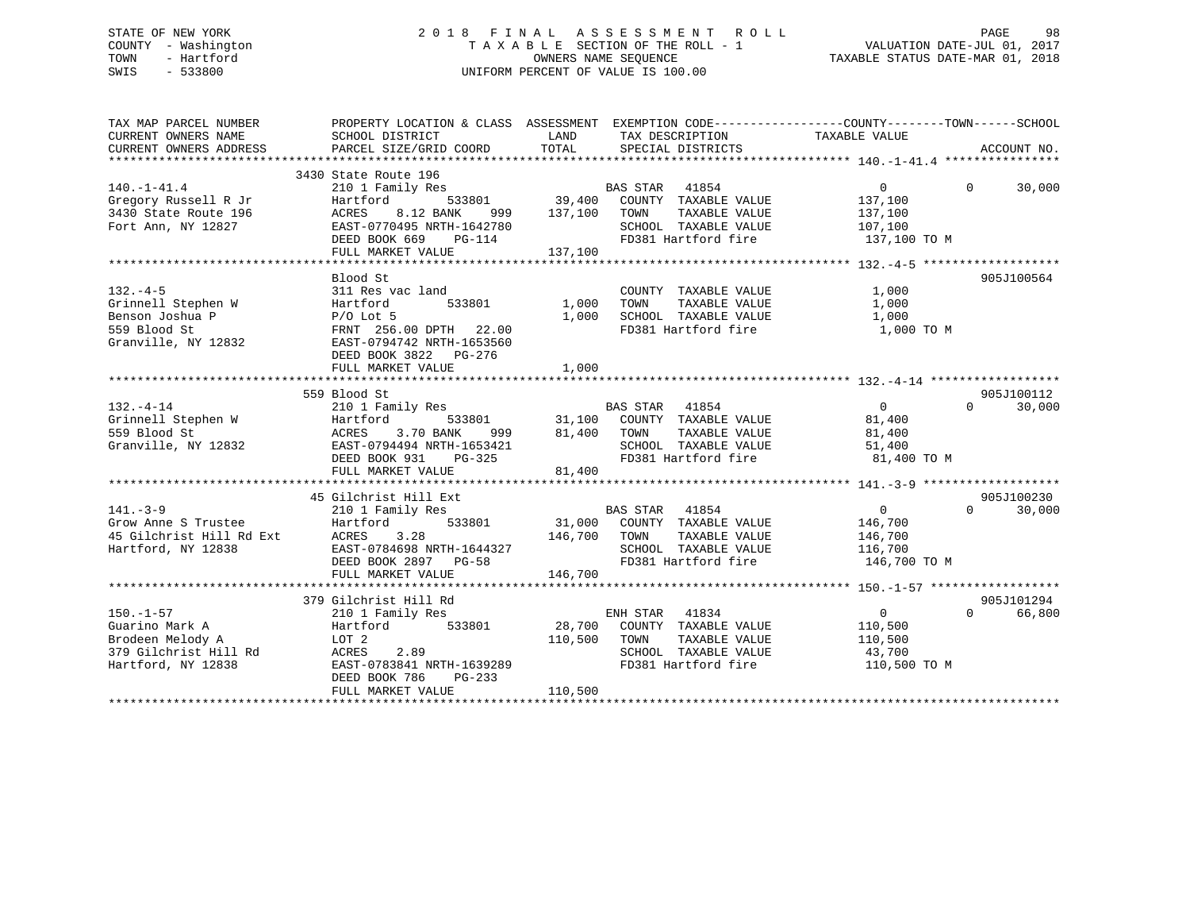### STATE OF NEW YORK 2 0 1 8 F I N A L A S S E S S M E N T R O L L PAGE 98 COUNTY - Washington T A X A B L E SECTION OF THE ROLL - 1 VALUATION DATE-JUL 01, 2017 TOWN - Hartford **TAXABLE STATUS DATE-MAR 01, 2018** OWNERS NAME SEQUENCE TAXABLE STATUS DATE-MAR 01, 2018 SWIS - 533800 UNIFORM PERCENT OF VALUE IS 100.00

| TAX MAP PARCEL NUMBER                                                                                           | PROPERTY LOCATION & CLASS ASSESSMENT EXEMPTION CODE---------------COUNTY-------TOWN------SCHOOL                                                                          |                         |                                                                                                                              |                                                                |                                  |
|-----------------------------------------------------------------------------------------------------------------|--------------------------------------------------------------------------------------------------------------------------------------------------------------------------|-------------------------|------------------------------------------------------------------------------------------------------------------------------|----------------------------------------------------------------|----------------------------------|
| $140. - 1 - 41.4$<br>Gregory Russell R Jr<br>3430 State Route 196<br>Fort Ann, NY 12827                         | 3430 State Route 196<br>210 1 Family Res<br>Hartford<br>8.12 BANK<br>ACRES<br>EAST-0770495 NRTH-1642780<br>DEED BOOK 669<br>PG-114<br>FULL MARKET VALUE                  | 137,100                 | BAS STAR 41854<br>SCHOOL TAXABLE VALUE<br>FD381 Hartford fire                                                                | $\Omega$<br>137,100<br>137,100<br>107,100<br>137,100 TO M      | $\Omega$<br>30,000               |
| $132. -4-5$<br>Grinnell Stephen W<br>Benson Joshua P<br>559 Blood St<br>Granville, NY 12832                     | Blood St<br>311 Res vac land<br>Hartford 533801<br>P/O Lot 5<br>FRNT 256.00 DPTH 22.00<br>EAST-0794742 NRTH-1653560<br>DEED BOOK 3822 PG-276<br>FULL MARKET VALUE        | 1,000<br>1,000<br>1,000 | COUNTY TAXABLE VALUE<br>TOWN<br>TAXABLE VALUE                                                                                | 1,000<br>1,000                                                 | 905J100564                       |
| $132. -4 - 14$<br>Carinnell Stephen W<br>Stephen W Hartform<br>S59 Blood St ACRES<br>Granville, NY 12832 EAST-0 | 559 Blood St<br>210 1 Family Res<br>Hartford<br>999<br>3.70 BANK<br>EAST-0794494 NRTH-1653421<br>DEED BOOK 931 PG-325<br>FULL MARKET VALUE                               | 81,400 TOWN<br>81,400   | EXECUTE SAS STAR 41854<br>533801 31,100 COUNTY TAXABLE VALUE<br>TAXABLE VALUE<br>SCHOOL TAXABLE VALUE<br>FD381 Hartford fire | $\overline{0}$<br>81,400<br>81,400<br>51,400<br>81,400 TO M    | 905J100112<br>$\Omega$<br>30,000 |
| $141. - 3 - 9$<br>Grow Anne S Trustee<br>45 Gilchrist Hill Rd Ext<br>Hartford, NY 12838 EAST-0                  | 45 Gilchrist Hill Ext<br>210 1 Family Res<br>Hartford<br>533801<br>3.28<br>EAST-0784698 NRTH-1644327<br>DEED BOOK 2897 PG-58<br>FULL MARKET VALUE                        | 146,700                 | BAS STAR 41854<br>31,000 COUNTY TAXABLE VALUE<br>SCHOOL TAXABLE VALUE<br>SCHOOL TAXABLE VALUE<br>FD381 Hartford fire         | 0<br>146,700<br>146,700<br>116,700<br>146,700 TO M             | 905J100230<br>$\Omega$<br>30,000 |
| $150. - 1 - 57$<br>Guarino Mark A<br>Brodeen Melody A<br>379 Gilchrist Hill Rd<br>Hartford, NY 12838            | 379 Gilchrist Hill Rd<br>210 1 Family Res<br>Hartford<br>533801<br>LOT 2<br>ACRES<br>2.89<br>EAST-0783841 NRTH-1639289<br>DEED BOOK 786<br>$PG-233$<br>FULL MARKET VALUE | 110,500<br>110,500      | ENH STAR<br>41834<br>28,700 COUNTY TAXABLE VALUE<br>TOWN<br>TAXABLE VALUE<br>SCHOOL TAXABLE VALUE<br>FD381 Hartford fire     | $\overline{0}$<br>110,500<br>110,500<br>43,700<br>110,500 TO M | 905J101294<br>$\Omega$<br>66,800 |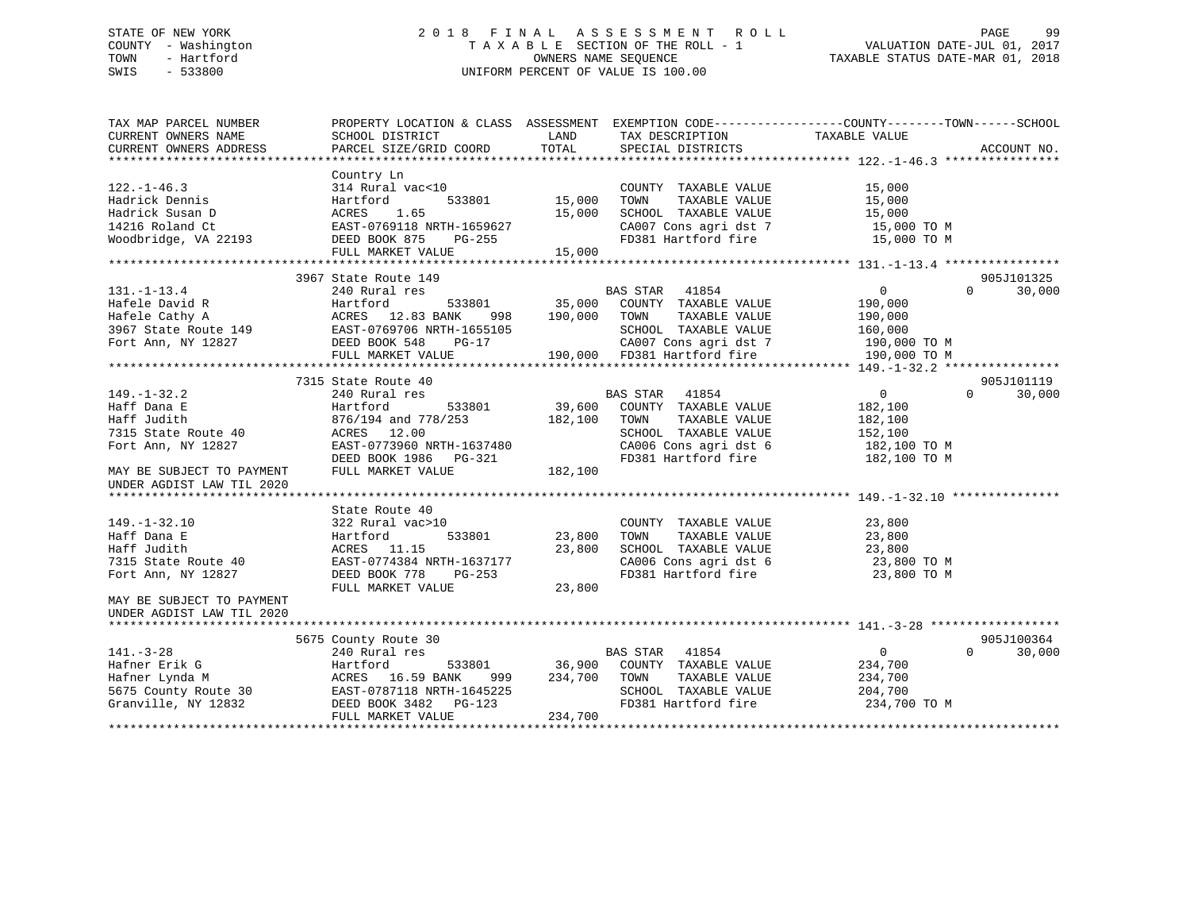### STATE OF NEW YORK 2 0 1 8 F I N A L A S S E S S M E N T R O L L PAGE 99 COUNTY - Washington T A X A B L E SECTION OF THE ROLL - 1 VALUATION DATE-JUL 01, 2017 TOWN - Hartford **TAXABLE STATUS DATE-MAR 01, 2018** OWNERS NAME SEQUENCE TAXABLE STATUS DATE-MAR 01, 2018 SWIS - 533800 UNIFORM PERCENT OF VALUE IS 100.00

| TAX MAP PARCEL NUMBER     |                           | PROPERTY LOCATION & CLASS ASSESSMENT EXEMPTION CODE---------------COUNTY-------TOWN-----SCHOOL |                                      |
|---------------------------|---------------------------|------------------------------------------------------------------------------------------------|--------------------------------------|
| CURRENT OWNERS NAME       | SCHOOL DISTRICT           | LAND<br>TAX DESCRIPTION                                                                        | TAXABLE VALUE                        |
| CURRENT OWNERS ADDRESS    | PARCEL SIZE/GRID COORD    | TOTAL<br>SPECIAL DISTRICTS                                                                     | ACCOUNT NO.                          |
|                           |                           |                                                                                                |                                      |
|                           | Country Ln                |                                                                                                |                                      |
| $122. - 1 - 46.3$         | 314 Rural vac<10          | COUNTY TAXABLE VALUE                                                                           | 15,000                               |
| Hadrick Dennis            | Hartford<br>533801        | 15,000<br>TAXABLE VALUE<br>TOWN                                                                | 15,000                               |
| Hadrick Susan D           | 1.65<br>ACRES             | 15,000<br>SCHOOL TAXABLE VALUE                                                                 | 15,000                               |
| 14216 Roland Ct           | EAST-0769118 NRTH-1659627 | CA007 Cons agri dst 7                                                                          | 15,000 TO M                          |
| Woodbridge, VA 22193      | DEED BOOK 875<br>PG-255   | FD381 Hartford fire                                                                            | 15,000 TO M                          |
|                           | FULL MARKET VALUE         | 15,000                                                                                         |                                      |
|                           |                           |                                                                                                |                                      |
|                           |                           |                                                                                                |                                      |
|                           | 3967 State Route 149      |                                                                                                | 905J101325                           |
| $131. - 1 - 13.4$         | 240 Rural res             | BAS STAR 41854                                                                                 | $\mathbf{0}$<br>30,000<br>$\Omega$   |
| Hafele David R            | 533801<br>Hartford        | 35,000<br>COUNTY TAXABLE VALUE                                                                 | 190,000                              |
| Hafele Cathy A            | ACRES 12.83 BANK<br>998   | 190,000<br>TOWN<br>TAXABLE VALUE                                                               | 190,000                              |
| 3967 State Route 149      | EAST-0769706 NRTH-1655105 | SCHOOL TAXABLE VALUE                                                                           | 160,000                              |
| Fort Ann, NY 12827        | DEED BOOK 548<br>PG-17    | CA007 Cons agri dst 7                                                                          | 190,000 TO M                         |
|                           | FULL MARKET VALUE         | 190,000 FD381 Hartford fire                                                                    | 190,000 TO M                         |
|                           |                           |                                                                                                |                                      |
|                           | 7315 State Route 40       |                                                                                                | 905J101119                           |
| $149. - 1 - 32.2$         | 240 Rural res             | <b>BAS STAR</b><br>41854                                                                       | $\overline{0}$<br>$\Omega$<br>30,000 |
| Haff Dana E               | 533801<br>Hartford        | 39,600<br>COUNTY TAXABLE VALUE                                                                 | 182,100                              |
| Haff Judith               | 876/194 and 778/253       | TAXABLE VALUE<br>182,100<br>TOWN                                                               | 182,100                              |
| 7315 State Route 40       | ACRES 12.00               | SCHOOL TAXABLE VALUE                                                                           | 152,100                              |
| Fort Ann, NY 12827        | EAST-0773960 NRTH-1637480 | CA006 Cons agri dst 6                                                                          | 182,100 TO M                         |
|                           | DEED BOOK 1986 PG-321     | FD381 Hartford fire                                                                            | 182,100 TO M                         |
| MAY BE SUBJECT TO PAYMENT | FULL MARKET VALUE         | 182,100                                                                                        |                                      |
| UNDER AGDIST LAW TIL 2020 |                           |                                                                                                |                                      |
|                           |                           |                                                                                                |                                      |
|                           |                           |                                                                                                |                                      |
|                           | State Route 40            |                                                                                                |                                      |
| $149. - 1 - 32.10$        | 322 Rural vac>10          | COUNTY TAXABLE VALUE                                                                           | 23,800                               |
| Haff Dana E               | 533801<br>Hartford        | 23,800<br>TAXABLE VALUE<br>TOWN                                                                | 23,800                               |
| Haff Judith               | ACRES<br>11.15            | 23,800<br>SCHOOL TAXABLE VALUE                                                                 | 23,800                               |
| 7315 State Route 40       | EAST-0774384 NRTH-1637177 | CA006 Cons agri dst 6                                                                          | 23,800 TO M                          |
| Fort Ann, NY 12827        | DEED BOOK 778<br>PG-253   | FD381 Hartford fire                                                                            | 23,800 TO M                          |
|                           | FULL MARKET VALUE         | 23,800                                                                                         |                                      |
| MAY BE SUBJECT TO PAYMENT |                           |                                                                                                |                                      |
| UNDER AGDIST LAW TIL 2020 |                           |                                                                                                |                                      |
|                           |                           |                                                                                                |                                      |
|                           | 5675 County Route 30      |                                                                                                | 905J100364                           |
| $141. - 3 - 28$           | 240 Rural res             | <b>BAS STAR</b><br>41854                                                                       | $\overline{0}$<br>$\Omega$<br>30,000 |
| Hafner Erik G             | 533801<br>Hartford        | 36,900<br>COUNTY TAXABLE VALUE                                                                 | 234,700                              |
| Hafner Lynda M            | ACRES 16.59 BANK<br>999   | 234,700<br>TAXABLE VALUE<br>TOWN                                                               | 234,700                              |
| 5675 County Route 30      | EAST-0787118 NRTH-1645225 | SCHOOL TAXABLE VALUE                                                                           | 204,700                              |
| Granville, NY 12832       | DEED BOOK 3482<br>PG-123  | FD381 Hartford fire                                                                            | 234,700 TO M                         |
|                           | FULL MARKET VALUE         | 234,700                                                                                        |                                      |
|                           |                           |                                                                                                |                                      |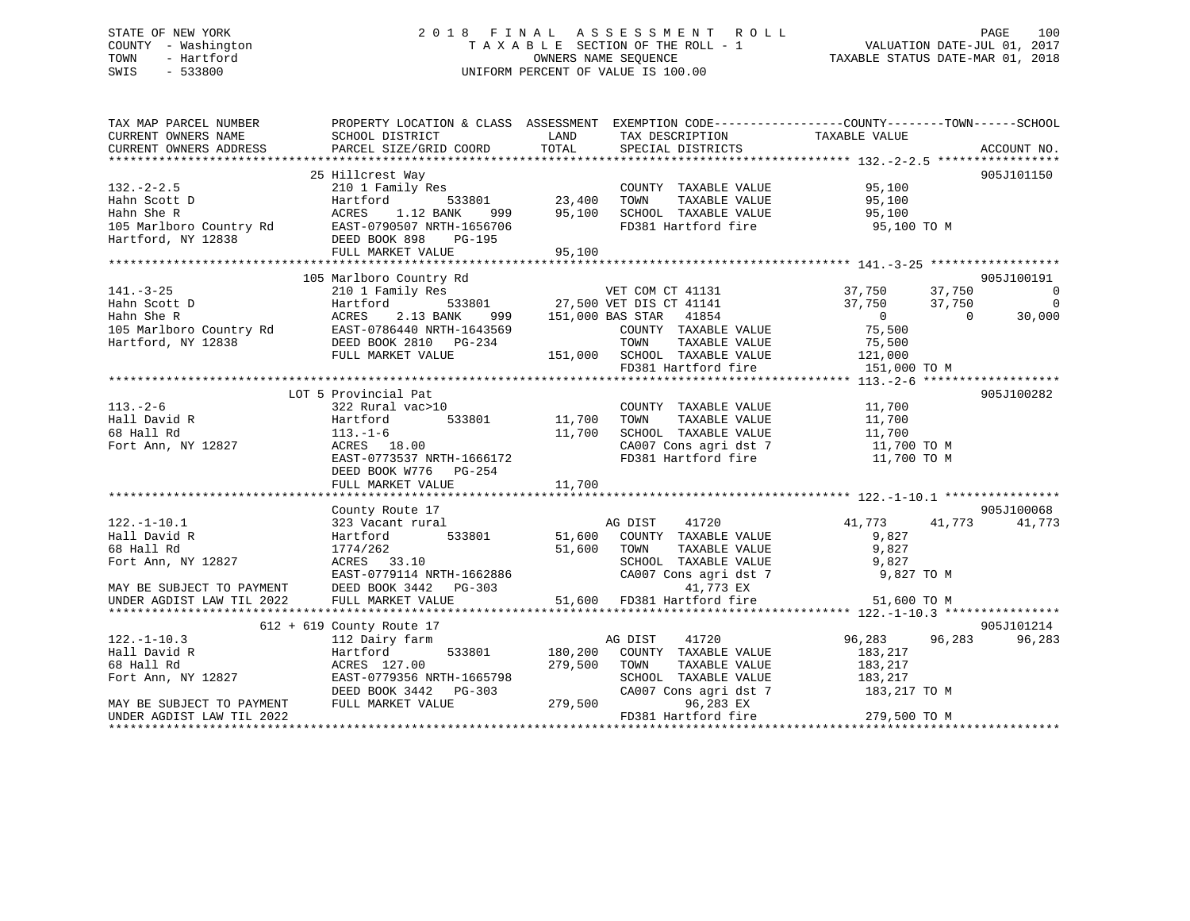### STATE OF NEW YORK 2 0 1 8 F I N A L A S S E S S M E N T R O L L PAGE 100 COUNTY - Washington T A X A B L E SECTION OF THE ROLL - 1 VALUATION DATE-JUL 01, 2017 TOWN - Hartford **TAXABLE STATUS DATE-MAR 01, 2018** OWNERS NAME SEQUENCE TAXABLE STATUS DATE-MAR 01, 2018 SWIS - 533800 UNIFORM PERCENT OF VALUE IS 100.00

| 25 Hillcrest Way<br>905J101150<br>$132 - 2 - 2.5$<br>210 1 Family Res<br>COUNTY TAXABLE VALUE<br>95,100<br>533801<br>23,400<br>95,100<br>Hahn Scott D<br>Hartford<br>TOWN<br>TAXABLE VALUE<br>95,100<br>SCHOOL TAXABLE VALUE<br>Hahn She R<br>ACRES<br>1.12 BANK<br>95,100<br>999<br>nami she k<br>105 Marlboro Country Rd<br>EAST-0790507 NRTH-1656706<br>Hartford, NY 12838<br>DEED BOOK 898 PG-195<br>FD381 Hartford fire<br>95,100 TO M<br>FULL MARKET VALUE<br>95,100<br>105 Marlboro Country Rd<br>905J100191<br>7<br>533801 27,500 VET DIS CT 41131<br>ANK 999 151,000 BAS STAR 41854<br>37,750<br>210 1 Family Res<br>37,750<br>$\overline{\phantom{0}}$<br>Hahn Scott D<br>Hahn She R<br>Hartford<br>37,750<br>37,750<br>$\Omega$<br>ACRES<br>2.13 BANK<br>$\overline{0}$<br>$\overline{0}$<br>30,000<br>105 Marlboro Country Rd EAST-0786440 NRTH-1643569<br>Hartford, NY 12838 DEED BOOK 2810 PG-234<br>75,500<br>COUNTY TAXABLE VALUE<br>TOWN<br>TAXABLE VALUE<br>75,500<br>151,000 SCHOOL TAXABLE VALUE 121,000<br>FULL MARKET VALUE<br>FD381 Hartford fire<br>151,000 TO M<br>LOT 5 Provincial Pat<br>905J100282<br>$113. - 2 - 6$<br>COUNTY TAXABLE VALUE<br>11,700<br>322 Rural vac>10<br>533801 11,700<br>Hall David R<br>TAXABLE VALUE<br>Hartford<br>TOWN<br>11,700<br>68 Hall Rd<br>$113. - 1 - 6$<br>11,700<br>SCHOOL TAXABLE VALUE<br>11,700<br>11,700 TO M<br>Fort Ann, NY 12827<br>CA007 Cons agri dst 7<br>ACRES 18.00<br>EAST-0773537 NRTH-1666172<br>FD381 Hartford fire<br>11,700 TO M<br>DEED BOOK W776 PG-254<br>11,700<br>FULL MARKET VALUE<br>905J100068<br>County Route 17<br>41720<br>41,773<br>41,773<br>323 Vacant rural<br>AG DIST<br>41,773<br>51,600<br>533801<br>COUNTY TAXABLE VALUE<br>Hartford<br>9,827<br>9,827<br>68 Hall Rd<br>1774/262<br>51,600<br>TOWN<br>TAXABLE VALUE<br>Fort Ann, NY 12827<br>SCHOOL TAXABLE VALUE<br>9,827<br>ACRES 33.10<br>EAST-0779114 NRTH-1662886<br>DEED BOOK 3442 PG-303<br>FULL MARKET VALUE 51,600 FD381 Hartford fire<br>FULL MARKET VALUE 51,600 FD381 Hartford fire<br>CA007 Cons agri dst 7<br>9,827 TO M<br>MAY BE SUBJECT TO PAYMENT<br>51,600 TO M<br>UNDER AGDIST LAW TIL 2022<br>905J101214<br>$612 + 619$ County Route 17<br>$122. - 1 - 10.3$<br>96,283<br>41720<br>96,283<br>96,283<br>112 Dairy farm<br>AG DIST<br>Hall David R<br>Hartford<br>533801 180,200<br>COUNTY TAXABLE VALUE<br>183,217<br>68 Hall Rd<br>ACRES 127.00<br>279,500<br>TOWN<br>TAXABLE VALUE<br>183,217<br>183,217<br>Fort Ann, NY 12827<br>EAST-0779356 NRTH-1665798<br>SCHOOL TAXABLE VALUE<br>DEED BOOK 3442 PG-303<br>CA007 Cons agri dst 7<br>183,217 TO M<br>279,500<br>FULL MARKET VALUE<br>96,283 EX<br>MAY BE SUBJECT TO PAYMENT<br>279,500 TO M<br>FD381 Hartford fire<br>UNDER AGDIST LAW TIL 2022 | TAX MAP PARCEL NUMBER<br>CURRENT OWNERS NAME | SCHOOL DISTRICT        | PROPERTY LOCATION & CLASS ASSESSMENT EXEMPTION CODE-----------------COUNTY--------TOWN------SCHOOL<br>LAND<br>TAX DESCRIPTION | TAXABLE VALUE |
|--------------------------------------------------------------------------------------------------------------------------------------------------------------------------------------------------------------------------------------------------------------------------------------------------------------------------------------------------------------------------------------------------------------------------------------------------------------------------------------------------------------------------------------------------------------------------------------------------------------------------------------------------------------------------------------------------------------------------------------------------------------------------------------------------------------------------------------------------------------------------------------------------------------------------------------------------------------------------------------------------------------------------------------------------------------------------------------------------------------------------------------------------------------------------------------------------------------------------------------------------------------------------------------------------------------------------------------------------------------------------------------------------------------------------------------------------------------------------------------------------------------------------------------------------------------------------------------------------------------------------------------------------------------------------------------------------------------------------------------------------------------------------------------------------------------------------------------------------------------------------------------------------------------------------------------------------------------------------------------------------------------------------------------------------------------------------------------------------------------------------------------------------------------------------------------------------------------------------------------------------------------------------------------------------------------------------------------------------------------------------------------------------------------------------------------------------------------------------------------------------------------------------------------------------------------------------------------------------------------------------------------------------------------------------------------------------------------------------------------------------------------------------------|----------------------------------------------|------------------------|-------------------------------------------------------------------------------------------------------------------------------|---------------|
|                                                                                                                                                                                                                                                                                                                                                                                                                                                                                                                                                                                                                                                                                                                                                                                                                                                                                                                                                                                                                                                                                                                                                                                                                                                                                                                                                                                                                                                                                                                                                                                                                                                                                                                                                                                                                                                                                                                                                                                                                                                                                                                                                                                                                                                                                                                                                                                                                                                                                                                                                                                                                                                                                                                                                                                | CURRENT OWNERS ADDRESS                       | PARCEL SIZE/GRID COORD | TOTAL<br>SPECIAL DISTRICTS                                                                                                    | ACCOUNT NO.   |
|                                                                                                                                                                                                                                                                                                                                                                                                                                                                                                                                                                                                                                                                                                                                                                                                                                                                                                                                                                                                                                                                                                                                                                                                                                                                                                                                                                                                                                                                                                                                                                                                                                                                                                                                                                                                                                                                                                                                                                                                                                                                                                                                                                                                                                                                                                                                                                                                                                                                                                                                                                                                                                                                                                                                                                                |                                              |                        |                                                                                                                               |               |
|                                                                                                                                                                                                                                                                                                                                                                                                                                                                                                                                                                                                                                                                                                                                                                                                                                                                                                                                                                                                                                                                                                                                                                                                                                                                                                                                                                                                                                                                                                                                                                                                                                                                                                                                                                                                                                                                                                                                                                                                                                                                                                                                                                                                                                                                                                                                                                                                                                                                                                                                                                                                                                                                                                                                                                                |                                              |                        |                                                                                                                               |               |
|                                                                                                                                                                                                                                                                                                                                                                                                                                                                                                                                                                                                                                                                                                                                                                                                                                                                                                                                                                                                                                                                                                                                                                                                                                                                                                                                                                                                                                                                                                                                                                                                                                                                                                                                                                                                                                                                                                                                                                                                                                                                                                                                                                                                                                                                                                                                                                                                                                                                                                                                                                                                                                                                                                                                                                                |                                              |                        |                                                                                                                               |               |
|                                                                                                                                                                                                                                                                                                                                                                                                                                                                                                                                                                                                                                                                                                                                                                                                                                                                                                                                                                                                                                                                                                                                                                                                                                                                                                                                                                                                                                                                                                                                                                                                                                                                                                                                                                                                                                                                                                                                                                                                                                                                                                                                                                                                                                                                                                                                                                                                                                                                                                                                                                                                                                                                                                                                                                                |                                              |                        |                                                                                                                               |               |
|                                                                                                                                                                                                                                                                                                                                                                                                                                                                                                                                                                                                                                                                                                                                                                                                                                                                                                                                                                                                                                                                                                                                                                                                                                                                                                                                                                                                                                                                                                                                                                                                                                                                                                                                                                                                                                                                                                                                                                                                                                                                                                                                                                                                                                                                                                                                                                                                                                                                                                                                                                                                                                                                                                                                                                                |                                              |                        |                                                                                                                               |               |
|                                                                                                                                                                                                                                                                                                                                                                                                                                                                                                                                                                                                                                                                                                                                                                                                                                                                                                                                                                                                                                                                                                                                                                                                                                                                                                                                                                                                                                                                                                                                                                                                                                                                                                                                                                                                                                                                                                                                                                                                                                                                                                                                                                                                                                                                                                                                                                                                                                                                                                                                                                                                                                                                                                                                                                                |                                              |                        |                                                                                                                               |               |
|                                                                                                                                                                                                                                                                                                                                                                                                                                                                                                                                                                                                                                                                                                                                                                                                                                                                                                                                                                                                                                                                                                                                                                                                                                                                                                                                                                                                                                                                                                                                                                                                                                                                                                                                                                                                                                                                                                                                                                                                                                                                                                                                                                                                                                                                                                                                                                                                                                                                                                                                                                                                                                                                                                                                                                                |                                              |                        |                                                                                                                               |               |
|                                                                                                                                                                                                                                                                                                                                                                                                                                                                                                                                                                                                                                                                                                                                                                                                                                                                                                                                                                                                                                                                                                                                                                                                                                                                                                                                                                                                                                                                                                                                                                                                                                                                                                                                                                                                                                                                                                                                                                                                                                                                                                                                                                                                                                                                                                                                                                                                                                                                                                                                                                                                                                                                                                                                                                                |                                              |                        |                                                                                                                               |               |
|                                                                                                                                                                                                                                                                                                                                                                                                                                                                                                                                                                                                                                                                                                                                                                                                                                                                                                                                                                                                                                                                                                                                                                                                                                                                                                                                                                                                                                                                                                                                                                                                                                                                                                                                                                                                                                                                                                                                                                                                                                                                                                                                                                                                                                                                                                                                                                                                                                                                                                                                                                                                                                                                                                                                                                                |                                              |                        |                                                                                                                               |               |
|                                                                                                                                                                                                                                                                                                                                                                                                                                                                                                                                                                                                                                                                                                                                                                                                                                                                                                                                                                                                                                                                                                                                                                                                                                                                                                                                                                                                                                                                                                                                                                                                                                                                                                                                                                                                                                                                                                                                                                                                                                                                                                                                                                                                                                                                                                                                                                                                                                                                                                                                                                                                                                                                                                                                                                                |                                              |                        |                                                                                                                               |               |
|                                                                                                                                                                                                                                                                                                                                                                                                                                                                                                                                                                                                                                                                                                                                                                                                                                                                                                                                                                                                                                                                                                                                                                                                                                                                                                                                                                                                                                                                                                                                                                                                                                                                                                                                                                                                                                                                                                                                                                                                                                                                                                                                                                                                                                                                                                                                                                                                                                                                                                                                                                                                                                                                                                                                                                                | $141. - 3 - 25$                              |                        |                                                                                                                               |               |
|                                                                                                                                                                                                                                                                                                                                                                                                                                                                                                                                                                                                                                                                                                                                                                                                                                                                                                                                                                                                                                                                                                                                                                                                                                                                                                                                                                                                                                                                                                                                                                                                                                                                                                                                                                                                                                                                                                                                                                                                                                                                                                                                                                                                                                                                                                                                                                                                                                                                                                                                                                                                                                                                                                                                                                                |                                              |                        |                                                                                                                               |               |
|                                                                                                                                                                                                                                                                                                                                                                                                                                                                                                                                                                                                                                                                                                                                                                                                                                                                                                                                                                                                                                                                                                                                                                                                                                                                                                                                                                                                                                                                                                                                                                                                                                                                                                                                                                                                                                                                                                                                                                                                                                                                                                                                                                                                                                                                                                                                                                                                                                                                                                                                                                                                                                                                                                                                                                                |                                              |                        |                                                                                                                               |               |
|                                                                                                                                                                                                                                                                                                                                                                                                                                                                                                                                                                                                                                                                                                                                                                                                                                                                                                                                                                                                                                                                                                                                                                                                                                                                                                                                                                                                                                                                                                                                                                                                                                                                                                                                                                                                                                                                                                                                                                                                                                                                                                                                                                                                                                                                                                                                                                                                                                                                                                                                                                                                                                                                                                                                                                                |                                              |                        |                                                                                                                               |               |
|                                                                                                                                                                                                                                                                                                                                                                                                                                                                                                                                                                                                                                                                                                                                                                                                                                                                                                                                                                                                                                                                                                                                                                                                                                                                                                                                                                                                                                                                                                                                                                                                                                                                                                                                                                                                                                                                                                                                                                                                                                                                                                                                                                                                                                                                                                                                                                                                                                                                                                                                                                                                                                                                                                                                                                                |                                              |                        |                                                                                                                               |               |
|                                                                                                                                                                                                                                                                                                                                                                                                                                                                                                                                                                                                                                                                                                                                                                                                                                                                                                                                                                                                                                                                                                                                                                                                                                                                                                                                                                                                                                                                                                                                                                                                                                                                                                                                                                                                                                                                                                                                                                                                                                                                                                                                                                                                                                                                                                                                                                                                                                                                                                                                                                                                                                                                                                                                                                                |                                              |                        |                                                                                                                               |               |
|                                                                                                                                                                                                                                                                                                                                                                                                                                                                                                                                                                                                                                                                                                                                                                                                                                                                                                                                                                                                                                                                                                                                                                                                                                                                                                                                                                                                                                                                                                                                                                                                                                                                                                                                                                                                                                                                                                                                                                                                                                                                                                                                                                                                                                                                                                                                                                                                                                                                                                                                                                                                                                                                                                                                                                                |                                              |                        |                                                                                                                               |               |
|                                                                                                                                                                                                                                                                                                                                                                                                                                                                                                                                                                                                                                                                                                                                                                                                                                                                                                                                                                                                                                                                                                                                                                                                                                                                                                                                                                                                                                                                                                                                                                                                                                                                                                                                                                                                                                                                                                                                                                                                                                                                                                                                                                                                                                                                                                                                                                                                                                                                                                                                                                                                                                                                                                                                                                                |                                              |                        |                                                                                                                               |               |
|                                                                                                                                                                                                                                                                                                                                                                                                                                                                                                                                                                                                                                                                                                                                                                                                                                                                                                                                                                                                                                                                                                                                                                                                                                                                                                                                                                                                                                                                                                                                                                                                                                                                                                                                                                                                                                                                                                                                                                                                                                                                                                                                                                                                                                                                                                                                                                                                                                                                                                                                                                                                                                                                                                                                                                                |                                              |                        |                                                                                                                               |               |
|                                                                                                                                                                                                                                                                                                                                                                                                                                                                                                                                                                                                                                                                                                                                                                                                                                                                                                                                                                                                                                                                                                                                                                                                                                                                                                                                                                                                                                                                                                                                                                                                                                                                                                                                                                                                                                                                                                                                                                                                                                                                                                                                                                                                                                                                                                                                                                                                                                                                                                                                                                                                                                                                                                                                                                                |                                              |                        |                                                                                                                               |               |
|                                                                                                                                                                                                                                                                                                                                                                                                                                                                                                                                                                                                                                                                                                                                                                                                                                                                                                                                                                                                                                                                                                                                                                                                                                                                                                                                                                                                                                                                                                                                                                                                                                                                                                                                                                                                                                                                                                                                                                                                                                                                                                                                                                                                                                                                                                                                                                                                                                                                                                                                                                                                                                                                                                                                                                                |                                              |                        |                                                                                                                               |               |
|                                                                                                                                                                                                                                                                                                                                                                                                                                                                                                                                                                                                                                                                                                                                                                                                                                                                                                                                                                                                                                                                                                                                                                                                                                                                                                                                                                                                                                                                                                                                                                                                                                                                                                                                                                                                                                                                                                                                                                                                                                                                                                                                                                                                                                                                                                                                                                                                                                                                                                                                                                                                                                                                                                                                                                                |                                              |                        |                                                                                                                               |               |
|                                                                                                                                                                                                                                                                                                                                                                                                                                                                                                                                                                                                                                                                                                                                                                                                                                                                                                                                                                                                                                                                                                                                                                                                                                                                                                                                                                                                                                                                                                                                                                                                                                                                                                                                                                                                                                                                                                                                                                                                                                                                                                                                                                                                                                                                                                                                                                                                                                                                                                                                                                                                                                                                                                                                                                                |                                              |                        |                                                                                                                               |               |
|                                                                                                                                                                                                                                                                                                                                                                                                                                                                                                                                                                                                                                                                                                                                                                                                                                                                                                                                                                                                                                                                                                                                                                                                                                                                                                                                                                                                                                                                                                                                                                                                                                                                                                                                                                                                                                                                                                                                                                                                                                                                                                                                                                                                                                                                                                                                                                                                                                                                                                                                                                                                                                                                                                                                                                                |                                              |                        |                                                                                                                               |               |
|                                                                                                                                                                                                                                                                                                                                                                                                                                                                                                                                                                                                                                                                                                                                                                                                                                                                                                                                                                                                                                                                                                                                                                                                                                                                                                                                                                                                                                                                                                                                                                                                                                                                                                                                                                                                                                                                                                                                                                                                                                                                                                                                                                                                                                                                                                                                                                                                                                                                                                                                                                                                                                                                                                                                                                                |                                              |                        |                                                                                                                               |               |
|                                                                                                                                                                                                                                                                                                                                                                                                                                                                                                                                                                                                                                                                                                                                                                                                                                                                                                                                                                                                                                                                                                                                                                                                                                                                                                                                                                                                                                                                                                                                                                                                                                                                                                                                                                                                                                                                                                                                                                                                                                                                                                                                                                                                                                                                                                                                                                                                                                                                                                                                                                                                                                                                                                                                                                                |                                              |                        |                                                                                                                               |               |
|                                                                                                                                                                                                                                                                                                                                                                                                                                                                                                                                                                                                                                                                                                                                                                                                                                                                                                                                                                                                                                                                                                                                                                                                                                                                                                                                                                                                                                                                                                                                                                                                                                                                                                                                                                                                                                                                                                                                                                                                                                                                                                                                                                                                                                                                                                                                                                                                                                                                                                                                                                                                                                                                                                                                                                                |                                              |                        |                                                                                                                               |               |
|                                                                                                                                                                                                                                                                                                                                                                                                                                                                                                                                                                                                                                                                                                                                                                                                                                                                                                                                                                                                                                                                                                                                                                                                                                                                                                                                                                                                                                                                                                                                                                                                                                                                                                                                                                                                                                                                                                                                                                                                                                                                                                                                                                                                                                                                                                                                                                                                                                                                                                                                                                                                                                                                                                                                                                                |                                              |                        |                                                                                                                               |               |
|                                                                                                                                                                                                                                                                                                                                                                                                                                                                                                                                                                                                                                                                                                                                                                                                                                                                                                                                                                                                                                                                                                                                                                                                                                                                                                                                                                                                                                                                                                                                                                                                                                                                                                                                                                                                                                                                                                                                                                                                                                                                                                                                                                                                                                                                                                                                                                                                                                                                                                                                                                                                                                                                                                                                                                                |                                              |                        |                                                                                                                               |               |
|                                                                                                                                                                                                                                                                                                                                                                                                                                                                                                                                                                                                                                                                                                                                                                                                                                                                                                                                                                                                                                                                                                                                                                                                                                                                                                                                                                                                                                                                                                                                                                                                                                                                                                                                                                                                                                                                                                                                                                                                                                                                                                                                                                                                                                                                                                                                                                                                                                                                                                                                                                                                                                                                                                                                                                                | $122. - 1 - 10.1$                            |                        |                                                                                                                               |               |
|                                                                                                                                                                                                                                                                                                                                                                                                                                                                                                                                                                                                                                                                                                                                                                                                                                                                                                                                                                                                                                                                                                                                                                                                                                                                                                                                                                                                                                                                                                                                                                                                                                                                                                                                                                                                                                                                                                                                                                                                                                                                                                                                                                                                                                                                                                                                                                                                                                                                                                                                                                                                                                                                                                                                                                                | Hall David R                                 |                        |                                                                                                                               |               |
|                                                                                                                                                                                                                                                                                                                                                                                                                                                                                                                                                                                                                                                                                                                                                                                                                                                                                                                                                                                                                                                                                                                                                                                                                                                                                                                                                                                                                                                                                                                                                                                                                                                                                                                                                                                                                                                                                                                                                                                                                                                                                                                                                                                                                                                                                                                                                                                                                                                                                                                                                                                                                                                                                                                                                                                |                                              |                        |                                                                                                                               |               |
|                                                                                                                                                                                                                                                                                                                                                                                                                                                                                                                                                                                                                                                                                                                                                                                                                                                                                                                                                                                                                                                                                                                                                                                                                                                                                                                                                                                                                                                                                                                                                                                                                                                                                                                                                                                                                                                                                                                                                                                                                                                                                                                                                                                                                                                                                                                                                                                                                                                                                                                                                                                                                                                                                                                                                                                |                                              |                        |                                                                                                                               |               |
|                                                                                                                                                                                                                                                                                                                                                                                                                                                                                                                                                                                                                                                                                                                                                                                                                                                                                                                                                                                                                                                                                                                                                                                                                                                                                                                                                                                                                                                                                                                                                                                                                                                                                                                                                                                                                                                                                                                                                                                                                                                                                                                                                                                                                                                                                                                                                                                                                                                                                                                                                                                                                                                                                                                                                                                |                                              |                        |                                                                                                                               |               |
|                                                                                                                                                                                                                                                                                                                                                                                                                                                                                                                                                                                                                                                                                                                                                                                                                                                                                                                                                                                                                                                                                                                                                                                                                                                                                                                                                                                                                                                                                                                                                                                                                                                                                                                                                                                                                                                                                                                                                                                                                                                                                                                                                                                                                                                                                                                                                                                                                                                                                                                                                                                                                                                                                                                                                                                |                                              |                        |                                                                                                                               |               |
|                                                                                                                                                                                                                                                                                                                                                                                                                                                                                                                                                                                                                                                                                                                                                                                                                                                                                                                                                                                                                                                                                                                                                                                                                                                                                                                                                                                                                                                                                                                                                                                                                                                                                                                                                                                                                                                                                                                                                                                                                                                                                                                                                                                                                                                                                                                                                                                                                                                                                                                                                                                                                                                                                                                                                                                |                                              |                        |                                                                                                                               |               |
|                                                                                                                                                                                                                                                                                                                                                                                                                                                                                                                                                                                                                                                                                                                                                                                                                                                                                                                                                                                                                                                                                                                                                                                                                                                                                                                                                                                                                                                                                                                                                                                                                                                                                                                                                                                                                                                                                                                                                                                                                                                                                                                                                                                                                                                                                                                                                                                                                                                                                                                                                                                                                                                                                                                                                                                |                                              |                        |                                                                                                                               |               |
|                                                                                                                                                                                                                                                                                                                                                                                                                                                                                                                                                                                                                                                                                                                                                                                                                                                                                                                                                                                                                                                                                                                                                                                                                                                                                                                                                                                                                                                                                                                                                                                                                                                                                                                                                                                                                                                                                                                                                                                                                                                                                                                                                                                                                                                                                                                                                                                                                                                                                                                                                                                                                                                                                                                                                                                |                                              |                        |                                                                                                                               |               |
|                                                                                                                                                                                                                                                                                                                                                                                                                                                                                                                                                                                                                                                                                                                                                                                                                                                                                                                                                                                                                                                                                                                                                                                                                                                                                                                                                                                                                                                                                                                                                                                                                                                                                                                                                                                                                                                                                                                                                                                                                                                                                                                                                                                                                                                                                                                                                                                                                                                                                                                                                                                                                                                                                                                                                                                |                                              |                        |                                                                                                                               |               |
|                                                                                                                                                                                                                                                                                                                                                                                                                                                                                                                                                                                                                                                                                                                                                                                                                                                                                                                                                                                                                                                                                                                                                                                                                                                                                                                                                                                                                                                                                                                                                                                                                                                                                                                                                                                                                                                                                                                                                                                                                                                                                                                                                                                                                                                                                                                                                                                                                                                                                                                                                                                                                                                                                                                                                                                |                                              |                        |                                                                                                                               |               |
|                                                                                                                                                                                                                                                                                                                                                                                                                                                                                                                                                                                                                                                                                                                                                                                                                                                                                                                                                                                                                                                                                                                                                                                                                                                                                                                                                                                                                                                                                                                                                                                                                                                                                                                                                                                                                                                                                                                                                                                                                                                                                                                                                                                                                                                                                                                                                                                                                                                                                                                                                                                                                                                                                                                                                                                |                                              |                        |                                                                                                                               |               |
|                                                                                                                                                                                                                                                                                                                                                                                                                                                                                                                                                                                                                                                                                                                                                                                                                                                                                                                                                                                                                                                                                                                                                                                                                                                                                                                                                                                                                                                                                                                                                                                                                                                                                                                                                                                                                                                                                                                                                                                                                                                                                                                                                                                                                                                                                                                                                                                                                                                                                                                                                                                                                                                                                                                                                                                |                                              |                        |                                                                                                                               |               |
|                                                                                                                                                                                                                                                                                                                                                                                                                                                                                                                                                                                                                                                                                                                                                                                                                                                                                                                                                                                                                                                                                                                                                                                                                                                                                                                                                                                                                                                                                                                                                                                                                                                                                                                                                                                                                                                                                                                                                                                                                                                                                                                                                                                                                                                                                                                                                                                                                                                                                                                                                                                                                                                                                                                                                                                |                                              |                        |                                                                                                                               |               |
|                                                                                                                                                                                                                                                                                                                                                                                                                                                                                                                                                                                                                                                                                                                                                                                                                                                                                                                                                                                                                                                                                                                                                                                                                                                                                                                                                                                                                                                                                                                                                                                                                                                                                                                                                                                                                                                                                                                                                                                                                                                                                                                                                                                                                                                                                                                                                                                                                                                                                                                                                                                                                                                                                                                                                                                |                                              |                        |                                                                                                                               |               |
|                                                                                                                                                                                                                                                                                                                                                                                                                                                                                                                                                                                                                                                                                                                                                                                                                                                                                                                                                                                                                                                                                                                                                                                                                                                                                                                                                                                                                                                                                                                                                                                                                                                                                                                                                                                                                                                                                                                                                                                                                                                                                                                                                                                                                                                                                                                                                                                                                                                                                                                                                                                                                                                                                                                                                                                |                                              |                        |                                                                                                                               |               |
|                                                                                                                                                                                                                                                                                                                                                                                                                                                                                                                                                                                                                                                                                                                                                                                                                                                                                                                                                                                                                                                                                                                                                                                                                                                                                                                                                                                                                                                                                                                                                                                                                                                                                                                                                                                                                                                                                                                                                                                                                                                                                                                                                                                                                                                                                                                                                                                                                                                                                                                                                                                                                                                                                                                                                                                |                                              |                        |                                                                                                                               |               |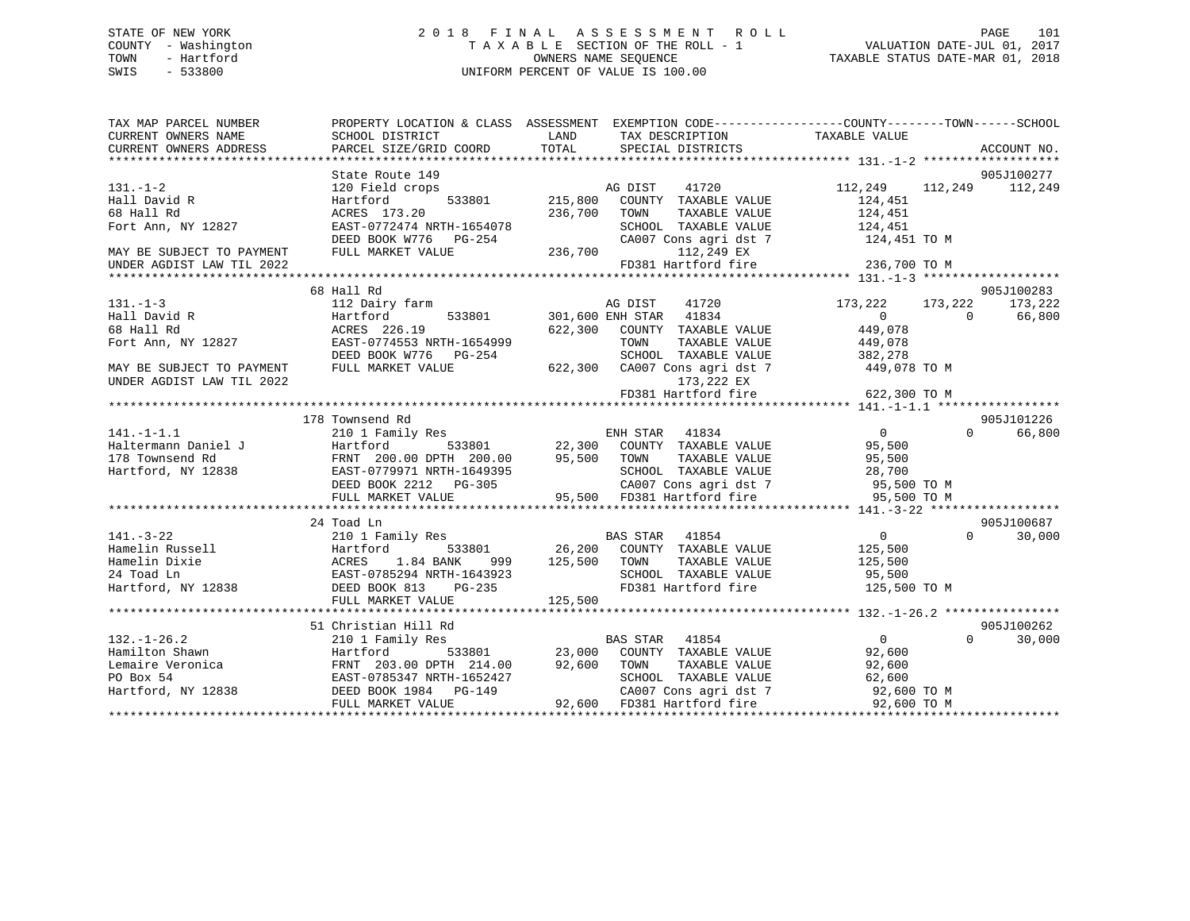### STATE OF NEW YORK 2 0 1 8 F I N A L A S S E S S M E N T R O L L PAGE 101 COUNTY - Washington T A X A B L E SECTION OF THE ROLL - 1 VALUATION DATE-JUL 01, 2017 TOWN - Hartford **TAXABLE STATUS DATE-MAR 01, 2018** OWNERS NAME SEQUENCE TAXABLE STATUS DATE-MAR 01, 2018 SWIS - 533800 UNIFORM PERCENT OF VALUE IS 100.00

| TAX MAP PARCEL NUMBER     | PROPERTY LOCATION & CLASS ASSESSMENT EXEMPTION CODE----------------COUNTY-------TOWN------SCHOOL |               |                                    |                                    |                    |
|---------------------------|--------------------------------------------------------------------------------------------------|---------------|------------------------------------|------------------------------------|--------------------|
| CURRENT OWNERS NAME       | SCHOOL DISTRICT                                                                                  | LAND<br>TOTAL | TAX DESCRIPTION                    | TAXABLE VALUE                      |                    |
| CURRENT OWNERS ADDRESS    | PARCEL SIZE/GRID COORD                                                                           |               | SPECIAL DISTRICTS                  |                                    | ACCOUNT NO.        |
|                           |                                                                                                  |               |                                    |                                    |                    |
| $131. -1 - 2$             | State Route 149                                                                                  |               | AG DIST<br>41720                   | 112,249 112,249 112,249            | 905J100277         |
|                           | 120 Field crops                                                                                  |               |                                    |                                    |                    |
| Hall David R              | 533801<br>Hartford                                                                               | 215,800       | COUNTY TAXABLE VALUE               | 124,451                            |                    |
| 68 Hall Rd                | ACRES 173.20                                                                                     | 236,700       | TAXABLE VALUE<br>TOWN              | 124,451                            |                    |
| Fort Ann, NY 12827        | EAST-0772474 NRTH-1654078                                                                        |               | SCHOOL TAXABLE VALUE               | 124,451                            |                    |
|                           | DEED BOOK W776 PG-254                                                                            |               |                                    | CA007 Cons agri dst 7 124,451 TO M |                    |
| MAY BE SUBJECT TO PAYMENT | FULL MARKET VALUE                                                                                | 236,700       | 112,249 EX                         |                                    |                    |
| UNDER AGDIST LAW TIL 2022 |                                                                                                  |               | FD381 Hartford fire                | 236,700 TO M                       |                    |
|                           |                                                                                                  |               |                                    |                                    |                    |
|                           | 68 Hall Rd                                                                                       |               |                                    |                                    | 905J100283         |
| $131. - 1 - 3$            | 112 Dairy farm                                                                                   |               | 41720<br>AG DIST                   | 173,222<br>173,222                 | 173,222            |
| Hall David R              | 533801<br>Hartford                                                                               |               | 301,600 ENH STAR 41834             | $\overline{0}$                     | $\Omega$<br>66,800 |
| 68 Hall Rd                | ACRES 226.19                                                                                     | 622,300       | COUNTY TAXABLE VALUE               | 449,078                            |                    |
| Fort Ann, NY 12827        | EAST-0774553 NRTH-1654999                                                                        |               | TOWN<br>TAXABLE VALUE              | 449,078                            |                    |
|                           | DEED BOOK W776 PG-254                                                                            |               | SCHOOL TAXABLE VALUE               | 382,278                            |                    |
| MAY BE SUBJECT TO PAYMENT | FULL MARKET VALUE                                                                                | 622,300       |                                    | CA007 Cons agri dst 7 449,078 TO M |                    |
| UNDER AGDIST LAW TIL 2022 |                                                                                                  |               | 173,222 EX                         |                                    |                    |
|                           |                                                                                                  |               | FD381 Hartford fire                | 622,300 TO M                       |                    |
|                           |                                                                                                  |               |                                    |                                    |                    |
|                           | 178 Townsend Rd                                                                                  |               |                                    |                                    | 905J101226         |
| $141. - 1 - 1.1$          | 210 1 Family Res                                                                                 |               | ENH STAR<br>41834                  | 0                                  | $\Omega$<br>66,800 |
| Haltermann Daniel J       | Hartford                                                                                         |               | 533801 22,300 COUNTY TAXABLE VALUE | 95,500                             |                    |
| 178 Townsend Rd           | FRNT 200.00 DPTH 200.00                                                                          | 95,500        | TOWN<br>TAXABLE VALUE              | 95,500                             |                    |
| Hartford, NY 12838        |                                                                                                  |               | SCHOOL TAXABLE VALUE               | 28,700                             |                    |
|                           | $EAST-0779971$ NRTH-1649395<br>$EAST-0779971$ NRTH-1649395                                       |               | CA007 Cons agri dst 7              |                                    |                    |
|                           | DEED BOOK 2212 PG-305                                                                            |               | 95,500 FD381 Hartford fire         | 95,500 TO M                        |                    |
|                           | FULL MARKET VALUE                                                                                |               |                                    | 95,500 TO M                        |                    |
|                           |                                                                                                  |               |                                    |                                    |                    |
|                           | 24 Toad Ln                                                                                       |               |                                    |                                    | 905J100687         |
| $141. - 3 - 22$           | 210 1 Family Res                                                                                 |               | <b>BAS STAR</b><br>41854           | $0 \qquad \qquad$                  | $\Omega$<br>30,000 |
| Hamelin Russell           | Hartford<br>533801                                                                               | 26,200        | COUNTY TAXABLE VALUE               | 125,500                            |                    |
| Hamelin Dixie             | ACRES<br>1.84 BANK<br>999                                                                        | 125,500       | TOWN<br>TAXABLE VALUE              | 125,500                            |                    |
| 24 Toad Ln                | EAST-0785294 NRTH-1643923                                                                        |               | SCHOOL TAXABLE VALUE               | 95,500                             |                    |
| Hartford, NY 12838        | DEED BOOK 813<br>PG-235                                                                          |               | FD381 Hartford fire                | 125,500 TO M                       |                    |
|                           | FULL MARKET VALUE                                                                                | 125,500       |                                    |                                    |                    |
|                           |                                                                                                  |               |                                    |                                    |                    |
|                           | 51 Christian Hill Rd                                                                             |               |                                    |                                    | 905J100262         |
| $132. - 1 - 26.2$         | 210 1 Family Res                                                                                 |               | BAS STAR 41854                     | $\Omega$                           | $\Omega$<br>30,000 |
| Hamilton Shawn            | Hartford                                                                                         | 533801 23,000 | COUNTY TAXABLE VALUE               | 92,600                             |                    |
| Lemaire Veronica          | FRNT 203.00 DPTH 214.00 92,600                                                                   |               | TOWN<br>TAXABLE VALUE              | 92,600                             |                    |
| PO Box 54                 | EAST-0785347 NRTH-1652427                                                                        |               | SCHOOL TAXABLE VALUE               | 62,600                             |                    |
| Hartford, NY 12838        | DEED BOOK 1984 PG-149                                                                            |               | CA007 Cons agri dst 7              | 92,600 TO M                        |                    |
|                           | FULL MARKET VALUE                                                                                | 92,600        | FD381 Hartford fire                | 92,600 TO M                        |                    |
|                           |                                                                                                  |               |                                    |                                    |                    |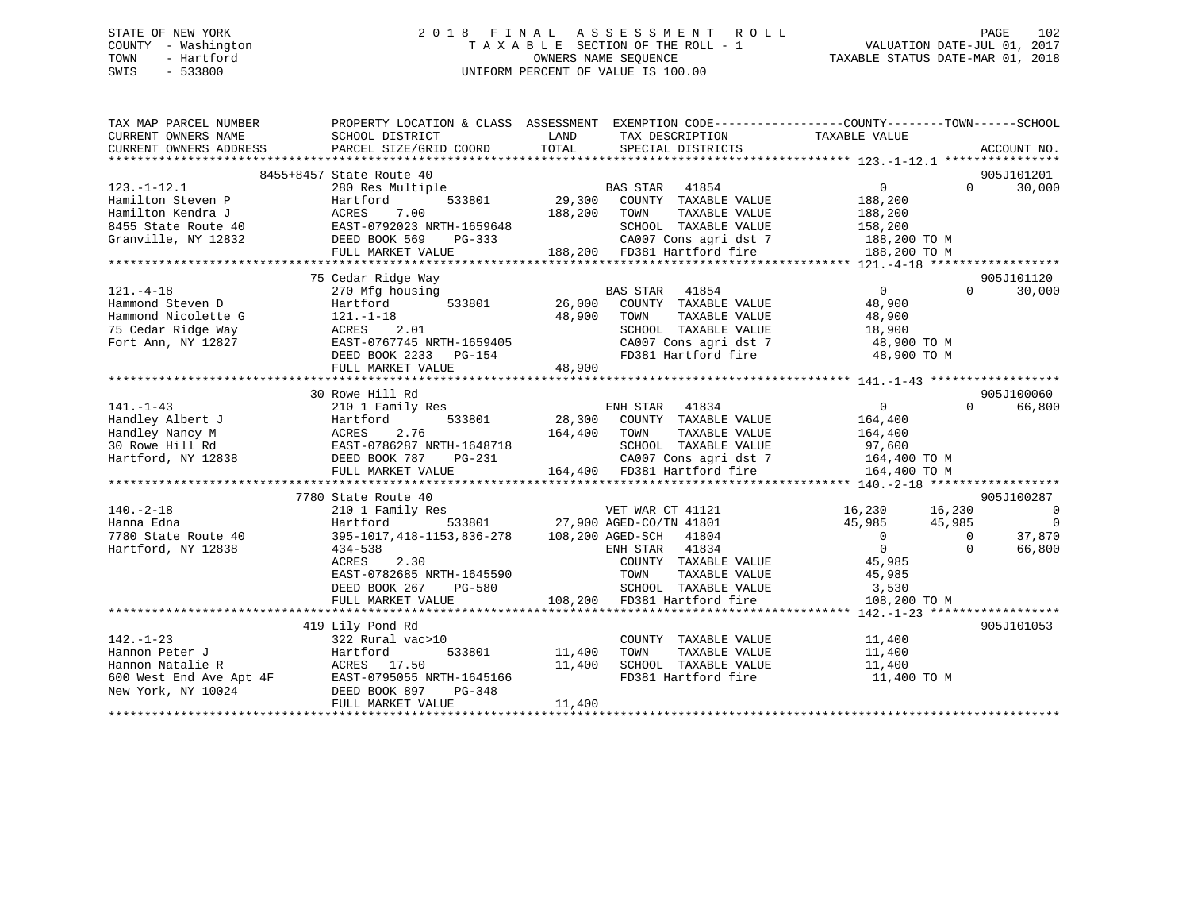### STATE OF NEW YORK 2 0 1 8 F I N A L A S S E S S M E N T R O L L PAGE 102 COUNTY - Washington T A X A B L E SECTION OF THE ROLL - 1 VALUATION DATE-JUL 01, 2017 TOWN - Hartford **TAXABLE STATUS DATE-MAR 01, 2018** OWNERS NAME SEQUENCE TAXABLE STATUS DATE-MAR 01, 2018 SWIS - 533800 UNIFORM PERCENT OF VALUE IS 100.00

| 8455+8457 State Route 40<br>905J101201<br>$\overline{0}$<br>$\Omega$<br>30,000<br>$123. - 1 - 12.1$<br>280 Res Multiple<br>123.-1-12.1 280 Res Multiple<br>Hamilton Steven P Hartford 533801 29,<br>Hamilton Kendra J ACRES 7.00 188,<br>8455 State Route 40 EAST-0792023 NRTH-1659648<br>Granville, NY 12832 DEED BOOK 569 PG-333<br>188,200<br>188,200 TOWN<br>188,200<br>TAXABLE VALUE<br>SCHOOL TAXABLE VALUE 158,200<br>CA007 Cons agri dst 7 188,200 TO M<br>188,200 FD381 Hartford fire<br>FULL MARKET VALUE<br>188,200 TO M<br>905J101120<br>75 Cedar Ridge Way<br>$121. - 4 - 18$<br>270 Mfg housing<br>$\overline{0}$<br>$\Omega$<br>30,000<br>Hammond Steven D<br>Hartford<br>48,900<br>48,900<br>TOWN<br>TAXABLE VALUE<br>48,900<br>18,900<br>SCHOOL TAXABLE VALUE<br>CA007 Cons agri dst 7 48,900 TO M<br>FD381 Hartford fire<br>DEED BOOK 2233 PG-154<br>48,900 TO M<br>48,900<br>FULL MARKET VALUE<br>30 Rowe Hill Rd<br>905J100060<br>$141. - 1 - 43$<br>$\overline{0}$<br>210 1 Family Res<br>ENH STAR<br>41834<br>$\Omega$<br>66,800<br>28,300 COUNTY TAXABLE VALUE<br>Handley Albert J<br>Handley Nancy M<br>30 Rowe Hill Rd<br>Hartford, NY 12838<br>Hartford, NY 12838<br>FULL MARKET VALUE<br>164,400<br>TAXABLE VALUE 164,400<br>164,400 TOWN<br>SCHOOL TAXABLE VALUE 97,600<br>CA007 Cons agri dst 7 164,400 TO M<br>$8 - 1$<br>164,400 FD381 Hartford fire<br>FULL MARKET VALUE<br>164,400 TO M<br>7780 State Route 40<br>905J100287<br>s<br>VET WAR CT 41121<br>533801 27,900 AGED-CO/TN 41801<br>$16,230$ $16,230$<br>$140. - 2 - 18$<br>$\overline{\phantom{0}}$<br>210 1 Family Res<br>$\Omega$<br>Hanna Edna<br>Hartford<br>45,985 45,985<br>$\overline{0}$<br>395-1017, 418-1153, 836-278 108, 200 AGED-SCH 41804<br>37,870<br>7780 State Route 40<br>$\overline{0}$<br>$\overline{0}$<br>$ENHSTAR$ 41834<br>$\Omega$<br>66,800<br>Hartford, NY 12838<br>434-538<br>COUNTY TAXABLE VALUE 45,985<br>2.30<br>ACRES<br>EAST-0782685 NRTH-1645590<br>SUHUU<br>L<br>TOWN TAXABLE VALUE 45,985<br>SCHOOL TAXABLE VALUE 3,530<br>DEED BOOK 267<br>PG-580<br>108,200 FD381 Hartford fire<br>FULL MARKET VALUE<br>108,200 TO M<br>419 Lily Pond Rd<br>905J101053<br>$142. - 1 - 23$<br>11,400<br>322 Rural vac>10<br>COUNTY TAXABLE VALUE<br>11,400<br>TAXABLE VALUE<br>533801 11,400<br>Hannon Peter J<br>Hartford<br>TOWN<br>Hannon Natalie R<br>600 West End Ave Apt 4F<br>New York, NY 10024<br>New York, NY 10024<br>DEED BOOK 897 PG-348<br>11,400<br>SCHOOL TAXABLE VALUE 11,400<br>FD381 Hartford fire<br>11,400 TO M<br>11,400<br>FULL MARKET VALUE | TAX MAP PARCEL NUMBER<br>CURRENT OWNERS NAME<br>CURRENT OWNERS ADDRESS | PROPERTY LOCATION & CLASS ASSESSMENT EXEMPTION CODE---------------COUNTY-------TOWN-----SCHOOL<br>SCHOOL DISTRICT<br>PARCEL SIZE/GRID COORD | LAND<br>TOTAL | TAX DESCRIPTION TAXABLE VALUE<br>SERCIAL DISTRICTS<br>SPECIAL DISTRICTS |  | ACCOUNT NO. |
|------------------------------------------------------------------------------------------------------------------------------------------------------------------------------------------------------------------------------------------------------------------------------------------------------------------------------------------------------------------------------------------------------------------------------------------------------------------------------------------------------------------------------------------------------------------------------------------------------------------------------------------------------------------------------------------------------------------------------------------------------------------------------------------------------------------------------------------------------------------------------------------------------------------------------------------------------------------------------------------------------------------------------------------------------------------------------------------------------------------------------------------------------------------------------------------------------------------------------------------------------------------------------------------------------------------------------------------------------------------------------------------------------------------------------------------------------------------------------------------------------------------------------------------------------------------------------------------------------------------------------------------------------------------------------------------------------------------------------------------------------------------------------------------------------------------------------------------------------------------------------------------------------------------------------------------------------------------------------------------------------------------------------------------------------------------------------------------------------------------------------------------------------------------------------------------------------------------------------------------------------------------------------------------------------------------------------------------------------------------------------------------------------------------------------------------------------------------------------------------------------------------------------------------------------------------------------------|------------------------------------------------------------------------|---------------------------------------------------------------------------------------------------------------------------------------------|---------------|-------------------------------------------------------------------------|--|-------------|
|                                                                                                                                                                                                                                                                                                                                                                                                                                                                                                                                                                                                                                                                                                                                                                                                                                                                                                                                                                                                                                                                                                                                                                                                                                                                                                                                                                                                                                                                                                                                                                                                                                                                                                                                                                                                                                                                                                                                                                                                                                                                                                                                                                                                                                                                                                                                                                                                                                                                                                                                                                                    |                                                                        |                                                                                                                                             |               |                                                                         |  |             |
|                                                                                                                                                                                                                                                                                                                                                                                                                                                                                                                                                                                                                                                                                                                                                                                                                                                                                                                                                                                                                                                                                                                                                                                                                                                                                                                                                                                                                                                                                                                                                                                                                                                                                                                                                                                                                                                                                                                                                                                                                                                                                                                                                                                                                                                                                                                                                                                                                                                                                                                                                                                    |                                                                        |                                                                                                                                             |               |                                                                         |  |             |
|                                                                                                                                                                                                                                                                                                                                                                                                                                                                                                                                                                                                                                                                                                                                                                                                                                                                                                                                                                                                                                                                                                                                                                                                                                                                                                                                                                                                                                                                                                                                                                                                                                                                                                                                                                                                                                                                                                                                                                                                                                                                                                                                                                                                                                                                                                                                                                                                                                                                                                                                                                                    |                                                                        |                                                                                                                                             |               |                                                                         |  |             |
|                                                                                                                                                                                                                                                                                                                                                                                                                                                                                                                                                                                                                                                                                                                                                                                                                                                                                                                                                                                                                                                                                                                                                                                                                                                                                                                                                                                                                                                                                                                                                                                                                                                                                                                                                                                                                                                                                                                                                                                                                                                                                                                                                                                                                                                                                                                                                                                                                                                                                                                                                                                    |                                                                        |                                                                                                                                             |               |                                                                         |  |             |
|                                                                                                                                                                                                                                                                                                                                                                                                                                                                                                                                                                                                                                                                                                                                                                                                                                                                                                                                                                                                                                                                                                                                                                                                                                                                                                                                                                                                                                                                                                                                                                                                                                                                                                                                                                                                                                                                                                                                                                                                                                                                                                                                                                                                                                                                                                                                                                                                                                                                                                                                                                                    |                                                                        |                                                                                                                                             |               |                                                                         |  |             |
|                                                                                                                                                                                                                                                                                                                                                                                                                                                                                                                                                                                                                                                                                                                                                                                                                                                                                                                                                                                                                                                                                                                                                                                                                                                                                                                                                                                                                                                                                                                                                                                                                                                                                                                                                                                                                                                                                                                                                                                                                                                                                                                                                                                                                                                                                                                                                                                                                                                                                                                                                                                    |                                                                        |                                                                                                                                             |               |                                                                         |  |             |
|                                                                                                                                                                                                                                                                                                                                                                                                                                                                                                                                                                                                                                                                                                                                                                                                                                                                                                                                                                                                                                                                                                                                                                                                                                                                                                                                                                                                                                                                                                                                                                                                                                                                                                                                                                                                                                                                                                                                                                                                                                                                                                                                                                                                                                                                                                                                                                                                                                                                                                                                                                                    |                                                                        |                                                                                                                                             |               |                                                                         |  |             |
|                                                                                                                                                                                                                                                                                                                                                                                                                                                                                                                                                                                                                                                                                                                                                                                                                                                                                                                                                                                                                                                                                                                                                                                                                                                                                                                                                                                                                                                                                                                                                                                                                                                                                                                                                                                                                                                                                                                                                                                                                                                                                                                                                                                                                                                                                                                                                                                                                                                                                                                                                                                    |                                                                        |                                                                                                                                             |               |                                                                         |  |             |
|                                                                                                                                                                                                                                                                                                                                                                                                                                                                                                                                                                                                                                                                                                                                                                                                                                                                                                                                                                                                                                                                                                                                                                                                                                                                                                                                                                                                                                                                                                                                                                                                                                                                                                                                                                                                                                                                                                                                                                                                                                                                                                                                                                                                                                                                                                                                                                                                                                                                                                                                                                                    |                                                                        |                                                                                                                                             |               |                                                                         |  |             |
|                                                                                                                                                                                                                                                                                                                                                                                                                                                                                                                                                                                                                                                                                                                                                                                                                                                                                                                                                                                                                                                                                                                                                                                                                                                                                                                                                                                                                                                                                                                                                                                                                                                                                                                                                                                                                                                                                                                                                                                                                                                                                                                                                                                                                                                                                                                                                                                                                                                                                                                                                                                    |                                                                        |                                                                                                                                             |               |                                                                         |  |             |
|                                                                                                                                                                                                                                                                                                                                                                                                                                                                                                                                                                                                                                                                                                                                                                                                                                                                                                                                                                                                                                                                                                                                                                                                                                                                                                                                                                                                                                                                                                                                                                                                                                                                                                                                                                                                                                                                                                                                                                                                                                                                                                                                                                                                                                                                                                                                                                                                                                                                                                                                                                                    |                                                                        |                                                                                                                                             |               |                                                                         |  |             |
|                                                                                                                                                                                                                                                                                                                                                                                                                                                                                                                                                                                                                                                                                                                                                                                                                                                                                                                                                                                                                                                                                                                                                                                                                                                                                                                                                                                                                                                                                                                                                                                                                                                                                                                                                                                                                                                                                                                                                                                                                                                                                                                                                                                                                                                                                                                                                                                                                                                                                                                                                                                    |                                                                        |                                                                                                                                             |               |                                                                         |  |             |
|                                                                                                                                                                                                                                                                                                                                                                                                                                                                                                                                                                                                                                                                                                                                                                                                                                                                                                                                                                                                                                                                                                                                                                                                                                                                                                                                                                                                                                                                                                                                                                                                                                                                                                                                                                                                                                                                                                                                                                                                                                                                                                                                                                                                                                                                                                                                                                                                                                                                                                                                                                                    |                                                                        |                                                                                                                                             |               |                                                                         |  |             |
|                                                                                                                                                                                                                                                                                                                                                                                                                                                                                                                                                                                                                                                                                                                                                                                                                                                                                                                                                                                                                                                                                                                                                                                                                                                                                                                                                                                                                                                                                                                                                                                                                                                                                                                                                                                                                                                                                                                                                                                                                                                                                                                                                                                                                                                                                                                                                                                                                                                                                                                                                                                    |                                                                        |                                                                                                                                             |               |                                                                         |  |             |
|                                                                                                                                                                                                                                                                                                                                                                                                                                                                                                                                                                                                                                                                                                                                                                                                                                                                                                                                                                                                                                                                                                                                                                                                                                                                                                                                                                                                                                                                                                                                                                                                                                                                                                                                                                                                                                                                                                                                                                                                                                                                                                                                                                                                                                                                                                                                                                                                                                                                                                                                                                                    |                                                                        |                                                                                                                                             |               |                                                                         |  |             |
|                                                                                                                                                                                                                                                                                                                                                                                                                                                                                                                                                                                                                                                                                                                                                                                                                                                                                                                                                                                                                                                                                                                                                                                                                                                                                                                                                                                                                                                                                                                                                                                                                                                                                                                                                                                                                                                                                                                                                                                                                                                                                                                                                                                                                                                                                                                                                                                                                                                                                                                                                                                    |                                                                        |                                                                                                                                             |               |                                                                         |  |             |
|                                                                                                                                                                                                                                                                                                                                                                                                                                                                                                                                                                                                                                                                                                                                                                                                                                                                                                                                                                                                                                                                                                                                                                                                                                                                                                                                                                                                                                                                                                                                                                                                                                                                                                                                                                                                                                                                                                                                                                                                                                                                                                                                                                                                                                                                                                                                                                                                                                                                                                                                                                                    |                                                                        |                                                                                                                                             |               |                                                                         |  |             |
|                                                                                                                                                                                                                                                                                                                                                                                                                                                                                                                                                                                                                                                                                                                                                                                                                                                                                                                                                                                                                                                                                                                                                                                                                                                                                                                                                                                                                                                                                                                                                                                                                                                                                                                                                                                                                                                                                                                                                                                                                                                                                                                                                                                                                                                                                                                                                                                                                                                                                                                                                                                    |                                                                        |                                                                                                                                             |               |                                                                         |  |             |
|                                                                                                                                                                                                                                                                                                                                                                                                                                                                                                                                                                                                                                                                                                                                                                                                                                                                                                                                                                                                                                                                                                                                                                                                                                                                                                                                                                                                                                                                                                                                                                                                                                                                                                                                                                                                                                                                                                                                                                                                                                                                                                                                                                                                                                                                                                                                                                                                                                                                                                                                                                                    |                                                                        |                                                                                                                                             |               |                                                                         |  |             |
|                                                                                                                                                                                                                                                                                                                                                                                                                                                                                                                                                                                                                                                                                                                                                                                                                                                                                                                                                                                                                                                                                                                                                                                                                                                                                                                                                                                                                                                                                                                                                                                                                                                                                                                                                                                                                                                                                                                                                                                                                                                                                                                                                                                                                                                                                                                                                                                                                                                                                                                                                                                    |                                                                        |                                                                                                                                             |               |                                                                         |  |             |
|                                                                                                                                                                                                                                                                                                                                                                                                                                                                                                                                                                                                                                                                                                                                                                                                                                                                                                                                                                                                                                                                                                                                                                                                                                                                                                                                                                                                                                                                                                                                                                                                                                                                                                                                                                                                                                                                                                                                                                                                                                                                                                                                                                                                                                                                                                                                                                                                                                                                                                                                                                                    |                                                                        |                                                                                                                                             |               |                                                                         |  |             |
|                                                                                                                                                                                                                                                                                                                                                                                                                                                                                                                                                                                                                                                                                                                                                                                                                                                                                                                                                                                                                                                                                                                                                                                                                                                                                                                                                                                                                                                                                                                                                                                                                                                                                                                                                                                                                                                                                                                                                                                                                                                                                                                                                                                                                                                                                                                                                                                                                                                                                                                                                                                    |                                                                        |                                                                                                                                             |               |                                                                         |  |             |
|                                                                                                                                                                                                                                                                                                                                                                                                                                                                                                                                                                                                                                                                                                                                                                                                                                                                                                                                                                                                                                                                                                                                                                                                                                                                                                                                                                                                                                                                                                                                                                                                                                                                                                                                                                                                                                                                                                                                                                                                                                                                                                                                                                                                                                                                                                                                                                                                                                                                                                                                                                                    |                                                                        |                                                                                                                                             |               |                                                                         |  |             |
|                                                                                                                                                                                                                                                                                                                                                                                                                                                                                                                                                                                                                                                                                                                                                                                                                                                                                                                                                                                                                                                                                                                                                                                                                                                                                                                                                                                                                                                                                                                                                                                                                                                                                                                                                                                                                                                                                                                                                                                                                                                                                                                                                                                                                                                                                                                                                                                                                                                                                                                                                                                    |                                                                        |                                                                                                                                             |               |                                                                         |  |             |
|                                                                                                                                                                                                                                                                                                                                                                                                                                                                                                                                                                                                                                                                                                                                                                                                                                                                                                                                                                                                                                                                                                                                                                                                                                                                                                                                                                                                                                                                                                                                                                                                                                                                                                                                                                                                                                                                                                                                                                                                                                                                                                                                                                                                                                                                                                                                                                                                                                                                                                                                                                                    |                                                                        |                                                                                                                                             |               |                                                                         |  |             |
|                                                                                                                                                                                                                                                                                                                                                                                                                                                                                                                                                                                                                                                                                                                                                                                                                                                                                                                                                                                                                                                                                                                                                                                                                                                                                                                                                                                                                                                                                                                                                                                                                                                                                                                                                                                                                                                                                                                                                                                                                                                                                                                                                                                                                                                                                                                                                                                                                                                                                                                                                                                    |                                                                        |                                                                                                                                             |               |                                                                         |  |             |
|                                                                                                                                                                                                                                                                                                                                                                                                                                                                                                                                                                                                                                                                                                                                                                                                                                                                                                                                                                                                                                                                                                                                                                                                                                                                                                                                                                                                                                                                                                                                                                                                                                                                                                                                                                                                                                                                                                                                                                                                                                                                                                                                                                                                                                                                                                                                                                                                                                                                                                                                                                                    |                                                                        |                                                                                                                                             |               |                                                                         |  |             |
|                                                                                                                                                                                                                                                                                                                                                                                                                                                                                                                                                                                                                                                                                                                                                                                                                                                                                                                                                                                                                                                                                                                                                                                                                                                                                                                                                                                                                                                                                                                                                                                                                                                                                                                                                                                                                                                                                                                                                                                                                                                                                                                                                                                                                                                                                                                                                                                                                                                                                                                                                                                    |                                                                        |                                                                                                                                             |               |                                                                         |  |             |
|                                                                                                                                                                                                                                                                                                                                                                                                                                                                                                                                                                                                                                                                                                                                                                                                                                                                                                                                                                                                                                                                                                                                                                                                                                                                                                                                                                                                                                                                                                                                                                                                                                                                                                                                                                                                                                                                                                                                                                                                                                                                                                                                                                                                                                                                                                                                                                                                                                                                                                                                                                                    |                                                                        |                                                                                                                                             |               |                                                                         |  |             |
|                                                                                                                                                                                                                                                                                                                                                                                                                                                                                                                                                                                                                                                                                                                                                                                                                                                                                                                                                                                                                                                                                                                                                                                                                                                                                                                                                                                                                                                                                                                                                                                                                                                                                                                                                                                                                                                                                                                                                                                                                                                                                                                                                                                                                                                                                                                                                                                                                                                                                                                                                                                    |                                                                        |                                                                                                                                             |               |                                                                         |  |             |
|                                                                                                                                                                                                                                                                                                                                                                                                                                                                                                                                                                                                                                                                                                                                                                                                                                                                                                                                                                                                                                                                                                                                                                                                                                                                                                                                                                                                                                                                                                                                                                                                                                                                                                                                                                                                                                                                                                                                                                                                                                                                                                                                                                                                                                                                                                                                                                                                                                                                                                                                                                                    |                                                                        |                                                                                                                                             |               |                                                                         |  |             |
|                                                                                                                                                                                                                                                                                                                                                                                                                                                                                                                                                                                                                                                                                                                                                                                                                                                                                                                                                                                                                                                                                                                                                                                                                                                                                                                                                                                                                                                                                                                                                                                                                                                                                                                                                                                                                                                                                                                                                                                                                                                                                                                                                                                                                                                                                                                                                                                                                                                                                                                                                                                    |                                                                        |                                                                                                                                             |               |                                                                         |  |             |
|                                                                                                                                                                                                                                                                                                                                                                                                                                                                                                                                                                                                                                                                                                                                                                                                                                                                                                                                                                                                                                                                                                                                                                                                                                                                                                                                                                                                                                                                                                                                                                                                                                                                                                                                                                                                                                                                                                                                                                                                                                                                                                                                                                                                                                                                                                                                                                                                                                                                                                                                                                                    |                                                                        |                                                                                                                                             |               |                                                                         |  |             |
|                                                                                                                                                                                                                                                                                                                                                                                                                                                                                                                                                                                                                                                                                                                                                                                                                                                                                                                                                                                                                                                                                                                                                                                                                                                                                                                                                                                                                                                                                                                                                                                                                                                                                                                                                                                                                                                                                                                                                                                                                                                                                                                                                                                                                                                                                                                                                                                                                                                                                                                                                                                    |                                                                        |                                                                                                                                             |               |                                                                         |  |             |
|                                                                                                                                                                                                                                                                                                                                                                                                                                                                                                                                                                                                                                                                                                                                                                                                                                                                                                                                                                                                                                                                                                                                                                                                                                                                                                                                                                                                                                                                                                                                                                                                                                                                                                                                                                                                                                                                                                                                                                                                                                                                                                                                                                                                                                                                                                                                                                                                                                                                                                                                                                                    |                                                                        |                                                                                                                                             |               |                                                                         |  |             |
|                                                                                                                                                                                                                                                                                                                                                                                                                                                                                                                                                                                                                                                                                                                                                                                                                                                                                                                                                                                                                                                                                                                                                                                                                                                                                                                                                                                                                                                                                                                                                                                                                                                                                                                                                                                                                                                                                                                                                                                                                                                                                                                                                                                                                                                                                                                                                                                                                                                                                                                                                                                    |                                                                        |                                                                                                                                             |               |                                                                         |  |             |
|                                                                                                                                                                                                                                                                                                                                                                                                                                                                                                                                                                                                                                                                                                                                                                                                                                                                                                                                                                                                                                                                                                                                                                                                                                                                                                                                                                                                                                                                                                                                                                                                                                                                                                                                                                                                                                                                                                                                                                                                                                                                                                                                                                                                                                                                                                                                                                                                                                                                                                                                                                                    |                                                                        |                                                                                                                                             |               |                                                                         |  |             |
|                                                                                                                                                                                                                                                                                                                                                                                                                                                                                                                                                                                                                                                                                                                                                                                                                                                                                                                                                                                                                                                                                                                                                                                                                                                                                                                                                                                                                                                                                                                                                                                                                                                                                                                                                                                                                                                                                                                                                                                                                                                                                                                                                                                                                                                                                                                                                                                                                                                                                                                                                                                    |                                                                        |                                                                                                                                             |               |                                                                         |  |             |
|                                                                                                                                                                                                                                                                                                                                                                                                                                                                                                                                                                                                                                                                                                                                                                                                                                                                                                                                                                                                                                                                                                                                                                                                                                                                                                                                                                                                                                                                                                                                                                                                                                                                                                                                                                                                                                                                                                                                                                                                                                                                                                                                                                                                                                                                                                                                                                                                                                                                                                                                                                                    |                                                                        |                                                                                                                                             |               |                                                                         |  |             |
|                                                                                                                                                                                                                                                                                                                                                                                                                                                                                                                                                                                                                                                                                                                                                                                                                                                                                                                                                                                                                                                                                                                                                                                                                                                                                                                                                                                                                                                                                                                                                                                                                                                                                                                                                                                                                                                                                                                                                                                                                                                                                                                                                                                                                                                                                                                                                                                                                                                                                                                                                                                    |                                                                        |                                                                                                                                             |               |                                                                         |  |             |
|                                                                                                                                                                                                                                                                                                                                                                                                                                                                                                                                                                                                                                                                                                                                                                                                                                                                                                                                                                                                                                                                                                                                                                                                                                                                                                                                                                                                                                                                                                                                                                                                                                                                                                                                                                                                                                                                                                                                                                                                                                                                                                                                                                                                                                                                                                                                                                                                                                                                                                                                                                                    |                                                                        |                                                                                                                                             |               |                                                                         |  |             |
|                                                                                                                                                                                                                                                                                                                                                                                                                                                                                                                                                                                                                                                                                                                                                                                                                                                                                                                                                                                                                                                                                                                                                                                                                                                                                                                                                                                                                                                                                                                                                                                                                                                                                                                                                                                                                                                                                                                                                                                                                                                                                                                                                                                                                                                                                                                                                                                                                                                                                                                                                                                    |                                                                        |                                                                                                                                             |               |                                                                         |  |             |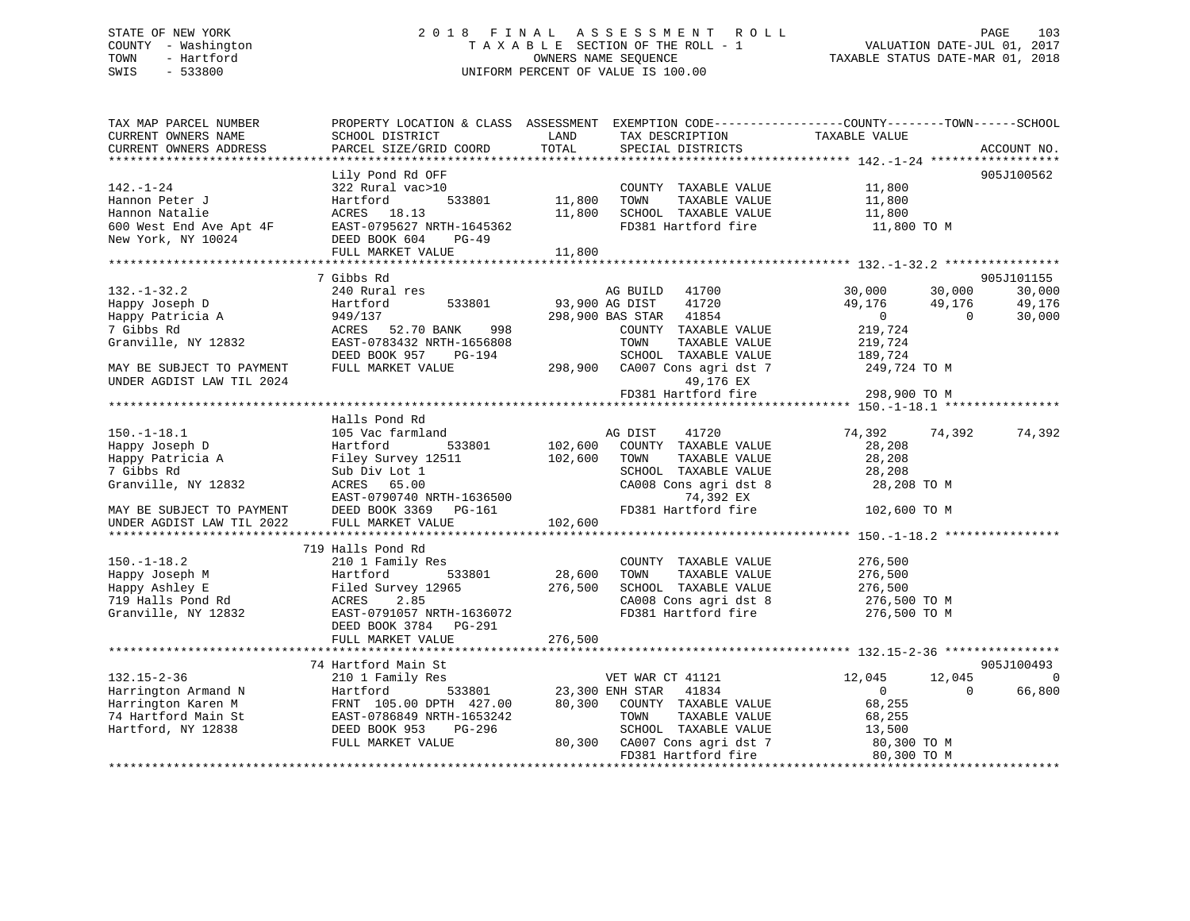### STATE OF NEW YORK 2 0 1 8 F I N A L A S S E S S M E N T R O L L PAGE 103 COUNTY - Washington T A X A B L E SECTION OF THE ROLL - 1 VALUATION DATE-JUL 01, 2017 TOWN - Hartford **TAXABLE STATUS DATE-MAR 01, 2018** OWNERS NAME SEQUENCE TAXABLE STATUS DATE-MAR 01, 2018 SWIS - 533800 UNIFORM PERCENT OF VALUE IS 100.00

| TAX MAP PARCEL NUMBER<br>CURRENT OWNERS NAME                                         | SCHOOL DISTRICT                                                         | LAND          | TAX DESCRIPTION                               | PROPERTY LOCATION & CLASS ASSESSMENT EXEMPTION CODE----------------COUNTY-------TOWN------SCHOOL<br>TAXABLE VALUE |             |
|--------------------------------------------------------------------------------------|-------------------------------------------------------------------------|---------------|-----------------------------------------------|-------------------------------------------------------------------------------------------------------------------|-------------|
| CURRENT OWNERS ADDRESS                                                               | PARCEL SIZE/GRID COORD                                                  | TOTAL         | SPECIAL DISTRICTS                             |                                                                                                                   | ACCOUNT NO. |
|                                                                                      |                                                                         |               |                                               |                                                                                                                   |             |
| 142.-1-24                                                                            | Lily Pond Rd OFF<br>322 Rural vac>10                                    |               | COUNTY TAXABLE VALUE 11,800                   |                                                                                                                   | 905J100562  |
| Hannon Peter J                                                                       | Hartford                                                                | 533801 11,800 | TOWN<br>TAXABLE VALUE                         | 11,800                                                                                                            |             |
| Hannon Natalie                                                                       | ACRES 18.13                                                             | 11,800        | SCHOOL TAXABLE VALUE                          | 11,800                                                                                                            |             |
| 600 West End Ave Apt 4F                                                              | EAST-0795627 NRTH-1645362                                               |               | FD381 Hartford fire                           | 11,800 TO M                                                                                                       |             |
| New York, NY 10024                                                                   | DEED BOOK 604<br>$PG-49$                                                |               |                                               |                                                                                                                   |             |
|                                                                                      | FULL MARKET VALUE                                                       | 11,800        |                                               |                                                                                                                   |             |
|                                                                                      |                                                                         |               |                                               |                                                                                                                   |             |
|                                                                                      | 7 Gibbs Rd                                                              |               |                                               |                                                                                                                   | 905J101155  |
| $132. - 1 - 32.2$                                                                    | 240 Rural res                                                           |               | AG BUILD 41700                                | 30,000<br>30,000                                                                                                  | 30,000      |
| Happy Joseph D                                                                       | 533801<br>Hartford                                                      |               | 93,900 AG DIST<br>41720                       | 49,176<br>49,176                                                                                                  | 49,176      |
| Happy Joseph D<br>Happy Patricia A                                                   | 949/137                                                                 |               | 298,900 BAS STAR 41854                        | 49,176<br>0<br>$\overline{0}$                                                                                     | 30,000      |
| 7 Gibbs Rd                                                                           | ACRES 52.70 BANK 998                                                    |               | COUNTY TAXABLE VALUE                          | 219,724                                                                                                           |             |
| Granville, NY 12832                                                                  | EAST-0783432 NRTH-1656808                                               |               | TOWN<br>TAXABLE VALUE                         | 219,724                                                                                                           |             |
|                                                                                      | DEED BOOK 957<br>PG-194                                                 |               | SCHOOL TAXABLE VALUE                          | 189,724                                                                                                           |             |
| MAY BE SUBJECT TO PAYMENT                                                            | FULL MARKET VALUE                                                       |               | 298,900 CA007 Cons agri dst 7                 | 249,724 TO M                                                                                                      |             |
| UNDER AGDIST LAW TIL 2024                                                            |                                                                         |               | 49,176 EX                                     |                                                                                                                   |             |
|                                                                                      |                                                                         |               | FD381 Hartford fire                           | 298,900 TO M                                                                                                      |             |
|                                                                                      |                                                                         |               |                                               |                                                                                                                   |             |
|                                                                                      | Halls Pond Rd                                                           |               |                                               |                                                                                                                   |             |
| $150. - 1 - 18.1$                                                                    | 105 Vac farmland                                                        |               | 41720<br>AG DIST                              | 74,392 74,392                                                                                                     | 74,392      |
| Happy Joseph D                                                                       | Hartford<br>533801                                                      |               | 102,600 COUNTY TAXABLE VALUE                  | 28,208                                                                                                            |             |
| Happy Patricia A Filey Survey 12511                                                  |                                                                         | 102,600       | TOWN<br>TAXABLE VALUE                         | 28,208                                                                                                            |             |
| 7 Gibbs Rd                                                                           | Sub Div Lot 1                                                           |               | SCHOOL TAXABLE VALUE                          | 28,208                                                                                                            |             |
| Granville, NY 12832                                                                  | ACRES 65.00                                                             |               | CA008 Cons agri dst 8                         | 28,208 TO M                                                                                                       |             |
|                                                                                      |                                                                         |               | 74,392 EX                                     |                                                                                                                   |             |
| MAY BE SUBJECT TO PAYMENT DEED BOOK 3369 INDER AGDIST LAW TIL 2022 FULL MARKET VALUE |                                                                         |               |                                               | FD381 Hartford fire 102,600 TO M                                                                                  |             |
|                                                                                      |                                                                         |               |                                               |                                                                                                                   |             |
|                                                                                      |                                                                         |               |                                               |                                                                                                                   |             |
|                                                                                      | 719 Halls Pond Rd                                                       |               |                                               |                                                                                                                   |             |
| $150. - 1 - 18.2$                                                                    | 210 1 Family Res                                                        |               | COUNTY TAXABLE VALUE                          | 276,500                                                                                                           |             |
| Happy Joseph M                                                                       | Hartford<br>533801                                                      | 28,600        | TOWN<br>TAXABLE VALUE                         | 276,500                                                                                                           |             |
| Happy Ashley E<br>719 Halls Pond Rd                                                  | Filed Survey 12965<br>Filed<br>ACRES                                    | 276,500       | SCHOOL TAXABLE VALUE<br>CA008 Cons agri dst 8 | 276,500                                                                                                           |             |
| Granville, NY 12832                                                                  | 2.85                                                                    |               | FD381 Hartford fire                           | 276,500 TO M                                                                                                      |             |
|                                                                                      | EAST-0791057 NRTH-1636072<br>DEED BOOK 3784<br>PG-291                   |               |                                               | 276,500 TO M                                                                                                      |             |
|                                                                                      | FULL MARKET VALUE                                                       | 276,500       |                                               |                                                                                                                   |             |
|                                                                                      |                                                                         |               |                                               |                                                                                                                   |             |
|                                                                                      | 74 Hartford Main St                                                     |               |                                               |                                                                                                                   | 905J100493  |
| $132.15 - 2 - 36$                                                                    | 210 1 Family Res                                                        |               | VET WAR CT 41121 12,045                       | 12,045                                                                                                            | $\Omega$    |
| Harrington Armand N                                                                  |                                                                         |               |                                               | 0<br>$\Omega$                                                                                                     | 66,800      |
| Harrington Karen M                                                                   | Hartford 533801<br>FRNT 105.00 DPTH 427.00<br>EAST-0786849 NRTH-1653242 | 80,300        | COUNTY TAXABLE VALUE                          | 68,255                                                                                                            |             |
| 74 Hartford Main St                                                                  |                                                                         |               | TAXABLE VALUE<br>TOWN                         | 68,255                                                                                                            |             |
| Hartford, NY 12838                                                                   | DEED BOOK 953<br>PG-296                                                 |               | SCHOOL TAXABLE VALUE                          |                                                                                                                   |             |
|                                                                                      | FULL MARKET VALUE                                                       | 80,300        | CA007 Cons agri dst 7                         | $13,500$ TO M<br>$80,300$ TO M                                                                                    |             |
|                                                                                      |                                                                         |               | FD381 Hartford fire                           | 80,300 TO M                                                                                                       |             |
|                                                                                      |                                                                         |               |                                               |                                                                                                                   |             |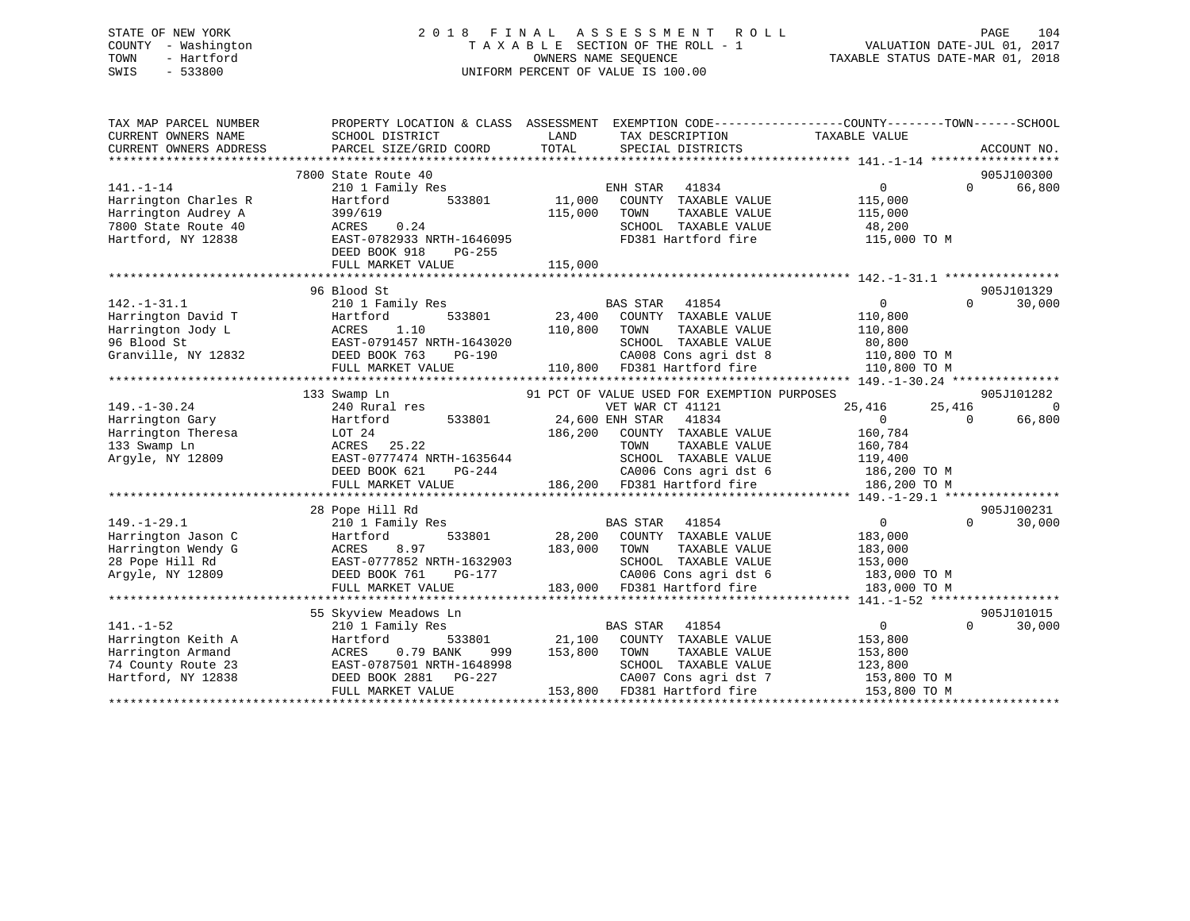### STATE OF NEW YORK 2 0 1 8 F I N A L A S S E S S M E N T R O L L PAGE 104 COUNTY - Washington T A X A B L E SECTION OF THE ROLL - 1 VALUATION DATE-JUL 01, 2017 TOWN - Hartford **TAXABLE STATUS DATE-MAR 01, 2018** OWNERS NAME SEQUENCE TAXABLE STATUS DATE-MAR 01, 2018 SWIS - 533800 UNIFORM PERCENT OF VALUE IS 100.00

| 905J100300<br>7800 State Route 40<br>$141. - 1 - 14$<br>ENH STAR<br>66,800<br>210 1 Family Res<br>41834<br>0<br>$\Omega$<br>Harrington Charles R<br>11,000<br>Hartford<br>533801<br>COUNTY TAXABLE VALUE<br>115,000<br>115,000<br>TAXABLE VALUE<br>115,000<br>Harrington Audrey A<br>399/619<br>TOWN<br>7800 State Route 40<br>ACRES<br>0.24<br>SCHOOL TAXABLE VALUE<br>48,200<br>Hartford, NY 12838<br>EAST-0782933 NRTH-1646095<br>FD381 Hartford fire<br>115,000 TO M<br>DEED BOOK 918<br>PG-255<br>115,000<br>FULL MARKET VALUE<br>905J101329<br>96 Blood St<br>$142. - 1 - 31.1$<br>210 1 Family Res<br>$\Omega$<br>$\Omega$<br>30,000<br>BAS STAR<br>41854<br>23,400<br>Harrington David T<br>533801<br>COUNTY TAXABLE VALUE<br>110,800<br>Hartford<br>Harrington Jody L<br>ACRES<br>1.10<br>110,800<br>TOWN<br>TAXABLE VALUE<br>110,800<br>SCHOOL TAXABLE VALUE<br>96 Blood St<br>EAST-0791457 NRTH-1643020<br>80,800<br>Granville, NY 12832<br>DEED BOOK 763<br>$PG-190$<br>CA008 Cons agri dst 8<br>110,800 TO M<br>110,800<br>FD381 Hartford fire<br>FULL MARKET VALUE<br>110,800 TO M<br>****************************<br>133 Swamp Ln<br>91 PCT OF VALUE USED FOR EXEMPTION PURPOSES<br>905J101282<br>$149. - 1 - 30.24$<br>VET WAR CT 41121<br>25,416<br>25,416<br>240 Rural res<br>$\Omega$<br>533801<br>24,600 ENH STAR<br>41834<br>$\Omega$<br>66,800<br>Hartford<br>$\Omega$<br>186,200<br>COUNTY TAXABLE VALUE<br>LOT 24<br>160,784<br>ACRES<br>25.22<br>TOWN<br>TAXABLE VALUE<br>160,784<br>EAST-0777474 NRTH-1635644<br>SCHOOL TAXABLE VALUE<br>119,400<br>CA006 Cons agri dst 6<br>DEED BOOK 621<br>PG-244<br>186,200 TO M<br>186,200 FD381 Hartford fire<br>FULL MARKET VALUE<br>186,200 TO M<br>28 Pope Hill Rd<br>905J100231<br>30,000<br>210 1 Family Res<br>BAS STAR<br>41854<br>$\overline{0}$<br>$\Omega$<br>28,200<br>Hartford<br>533801<br>COUNTY TAXABLE VALUE<br>183,000<br>Harrington Wendy G<br>8.97<br>183,000<br>TAXABLE VALUE<br>ACRES<br>TOWN<br>183,000<br>EAST-0777852 NRTH-1632903<br>SCHOOL TAXABLE VALUE<br>28 Pope Hill Rd<br>153,000<br>CA006 Cons agri dst 6<br>Argyle, NY 12809<br>DEED BOOK 761<br>PG-177<br>183,000 TO M<br>183,000 FD381 Hartford fire<br>FULL MARKET VALUE<br>183,000 TO M<br>905J101015<br>55 Skyview Meadows Ln<br>$141. - 1 - 52$<br><b>BAS STAR</b><br>41854<br>$\overline{0}$<br>30,000<br>210 1 Family Res<br>$\Omega$<br>21,100<br>COUNTY TAXABLE VALUE<br>Harrington Keith A<br>Hartford<br>533801<br>153,800<br>Harrington Armand<br>0.79 BANK<br>153,800<br>TOWN<br>TAXABLE VALUE<br>153,800<br>ACRES<br>999<br>74 County Route 23<br>EAST-0787501 NRTH-1648998<br>SCHOOL TAXABLE VALUE<br>123,800<br>Hartford, NY 12838<br>DEED BOOK 2881<br>PG-227<br>CA007 Cons agri dst 7<br>153,800 TO M<br>FULL MARKET VALUE<br>153,800 FD381 Hartford fire<br>153,800 TO M | TAX MAP PARCEL NUMBER<br>CURRENT OWNERS NAME<br>CURRENT OWNERS ADDRESS | PROPERTY LOCATION & CLASS ASSESSMENT<br>SCHOOL DISTRICT<br>PARCEL SIZE/GRID COORD | LAND<br>TOTAL | TAX DESCRIPTION<br>SPECIAL DISTRICTS | EXEMPTION CODE----------------COUNTY-------TOWN------SCHOOL<br>TAXABLE VALUE | ACCOUNT NO. |  |
|-----------------------------------------------------------------------------------------------------------------------------------------------------------------------------------------------------------------------------------------------------------------------------------------------------------------------------------------------------------------------------------------------------------------------------------------------------------------------------------------------------------------------------------------------------------------------------------------------------------------------------------------------------------------------------------------------------------------------------------------------------------------------------------------------------------------------------------------------------------------------------------------------------------------------------------------------------------------------------------------------------------------------------------------------------------------------------------------------------------------------------------------------------------------------------------------------------------------------------------------------------------------------------------------------------------------------------------------------------------------------------------------------------------------------------------------------------------------------------------------------------------------------------------------------------------------------------------------------------------------------------------------------------------------------------------------------------------------------------------------------------------------------------------------------------------------------------------------------------------------------------------------------------------------------------------------------------------------------------------------------------------------------------------------------------------------------------------------------------------------------------------------------------------------------------------------------------------------------------------------------------------------------------------------------------------------------------------------------------------------------------------------------------------------------------------------------------------------------------------------------------------------------------------------------------------------------------------------------------------------------------------------------------------------------------------------------------------------------------------------------------------------------------------------------------------------------------------------------|------------------------------------------------------------------------|-----------------------------------------------------------------------------------|---------------|--------------------------------------|------------------------------------------------------------------------------|-------------|--|
|                                                                                                                                                                                                                                                                                                                                                                                                                                                                                                                                                                                                                                                                                                                                                                                                                                                                                                                                                                                                                                                                                                                                                                                                                                                                                                                                                                                                                                                                                                                                                                                                                                                                                                                                                                                                                                                                                                                                                                                                                                                                                                                                                                                                                                                                                                                                                                                                                                                                                                                                                                                                                                                                                                                                                                                                                                               |                                                                        |                                                                                   |               |                                      |                                                                              |             |  |
|                                                                                                                                                                                                                                                                                                                                                                                                                                                                                                                                                                                                                                                                                                                                                                                                                                                                                                                                                                                                                                                                                                                                                                                                                                                                                                                                                                                                                                                                                                                                                                                                                                                                                                                                                                                                                                                                                                                                                                                                                                                                                                                                                                                                                                                                                                                                                                                                                                                                                                                                                                                                                                                                                                                                                                                                                                               |                                                                        |                                                                                   |               |                                      |                                                                              |             |  |
|                                                                                                                                                                                                                                                                                                                                                                                                                                                                                                                                                                                                                                                                                                                                                                                                                                                                                                                                                                                                                                                                                                                                                                                                                                                                                                                                                                                                                                                                                                                                                                                                                                                                                                                                                                                                                                                                                                                                                                                                                                                                                                                                                                                                                                                                                                                                                                                                                                                                                                                                                                                                                                                                                                                                                                                                                                               |                                                                        |                                                                                   |               |                                      |                                                                              |             |  |
|                                                                                                                                                                                                                                                                                                                                                                                                                                                                                                                                                                                                                                                                                                                                                                                                                                                                                                                                                                                                                                                                                                                                                                                                                                                                                                                                                                                                                                                                                                                                                                                                                                                                                                                                                                                                                                                                                                                                                                                                                                                                                                                                                                                                                                                                                                                                                                                                                                                                                                                                                                                                                                                                                                                                                                                                                                               |                                                                        |                                                                                   |               |                                      |                                                                              |             |  |
|                                                                                                                                                                                                                                                                                                                                                                                                                                                                                                                                                                                                                                                                                                                                                                                                                                                                                                                                                                                                                                                                                                                                                                                                                                                                                                                                                                                                                                                                                                                                                                                                                                                                                                                                                                                                                                                                                                                                                                                                                                                                                                                                                                                                                                                                                                                                                                                                                                                                                                                                                                                                                                                                                                                                                                                                                                               |                                                                        |                                                                                   |               |                                      |                                                                              |             |  |
|                                                                                                                                                                                                                                                                                                                                                                                                                                                                                                                                                                                                                                                                                                                                                                                                                                                                                                                                                                                                                                                                                                                                                                                                                                                                                                                                                                                                                                                                                                                                                                                                                                                                                                                                                                                                                                                                                                                                                                                                                                                                                                                                                                                                                                                                                                                                                                                                                                                                                                                                                                                                                                                                                                                                                                                                                                               |                                                                        |                                                                                   |               |                                      |                                                                              |             |  |
|                                                                                                                                                                                                                                                                                                                                                                                                                                                                                                                                                                                                                                                                                                                                                                                                                                                                                                                                                                                                                                                                                                                                                                                                                                                                                                                                                                                                                                                                                                                                                                                                                                                                                                                                                                                                                                                                                                                                                                                                                                                                                                                                                                                                                                                                                                                                                                                                                                                                                                                                                                                                                                                                                                                                                                                                                                               |                                                                        |                                                                                   |               |                                      |                                                                              |             |  |
|                                                                                                                                                                                                                                                                                                                                                                                                                                                                                                                                                                                                                                                                                                                                                                                                                                                                                                                                                                                                                                                                                                                                                                                                                                                                                                                                                                                                                                                                                                                                                                                                                                                                                                                                                                                                                                                                                                                                                                                                                                                                                                                                                                                                                                                                                                                                                                                                                                                                                                                                                                                                                                                                                                                                                                                                                                               |                                                                        |                                                                                   |               |                                      |                                                                              |             |  |
|                                                                                                                                                                                                                                                                                                                                                                                                                                                                                                                                                                                                                                                                                                                                                                                                                                                                                                                                                                                                                                                                                                                                                                                                                                                                                                                                                                                                                                                                                                                                                                                                                                                                                                                                                                                                                                                                                                                                                                                                                                                                                                                                                                                                                                                                                                                                                                                                                                                                                                                                                                                                                                                                                                                                                                                                                                               |                                                                        |                                                                                   |               |                                      |                                                                              |             |  |
|                                                                                                                                                                                                                                                                                                                                                                                                                                                                                                                                                                                                                                                                                                                                                                                                                                                                                                                                                                                                                                                                                                                                                                                                                                                                                                                                                                                                                                                                                                                                                                                                                                                                                                                                                                                                                                                                                                                                                                                                                                                                                                                                                                                                                                                                                                                                                                                                                                                                                                                                                                                                                                                                                                                                                                                                                                               |                                                                        |                                                                                   |               |                                      |                                                                              |             |  |
|                                                                                                                                                                                                                                                                                                                                                                                                                                                                                                                                                                                                                                                                                                                                                                                                                                                                                                                                                                                                                                                                                                                                                                                                                                                                                                                                                                                                                                                                                                                                                                                                                                                                                                                                                                                                                                                                                                                                                                                                                                                                                                                                                                                                                                                                                                                                                                                                                                                                                                                                                                                                                                                                                                                                                                                                                                               |                                                                        |                                                                                   |               |                                      |                                                                              |             |  |
|                                                                                                                                                                                                                                                                                                                                                                                                                                                                                                                                                                                                                                                                                                                                                                                                                                                                                                                                                                                                                                                                                                                                                                                                                                                                                                                                                                                                                                                                                                                                                                                                                                                                                                                                                                                                                                                                                                                                                                                                                                                                                                                                                                                                                                                                                                                                                                                                                                                                                                                                                                                                                                                                                                                                                                                                                                               |                                                                        |                                                                                   |               |                                      |                                                                              |             |  |
|                                                                                                                                                                                                                                                                                                                                                                                                                                                                                                                                                                                                                                                                                                                                                                                                                                                                                                                                                                                                                                                                                                                                                                                                                                                                                                                                                                                                                                                                                                                                                                                                                                                                                                                                                                                                                                                                                                                                                                                                                                                                                                                                                                                                                                                                                                                                                                                                                                                                                                                                                                                                                                                                                                                                                                                                                                               |                                                                        |                                                                                   |               |                                      |                                                                              |             |  |
|                                                                                                                                                                                                                                                                                                                                                                                                                                                                                                                                                                                                                                                                                                                                                                                                                                                                                                                                                                                                                                                                                                                                                                                                                                                                                                                                                                                                                                                                                                                                                                                                                                                                                                                                                                                                                                                                                                                                                                                                                                                                                                                                                                                                                                                                                                                                                                                                                                                                                                                                                                                                                                                                                                                                                                                                                                               |                                                                        |                                                                                   |               |                                      |                                                                              |             |  |
|                                                                                                                                                                                                                                                                                                                                                                                                                                                                                                                                                                                                                                                                                                                                                                                                                                                                                                                                                                                                                                                                                                                                                                                                                                                                                                                                                                                                                                                                                                                                                                                                                                                                                                                                                                                                                                                                                                                                                                                                                                                                                                                                                                                                                                                                                                                                                                                                                                                                                                                                                                                                                                                                                                                                                                                                                                               |                                                                        |                                                                                   |               |                                      |                                                                              |             |  |
|                                                                                                                                                                                                                                                                                                                                                                                                                                                                                                                                                                                                                                                                                                                                                                                                                                                                                                                                                                                                                                                                                                                                                                                                                                                                                                                                                                                                                                                                                                                                                                                                                                                                                                                                                                                                                                                                                                                                                                                                                                                                                                                                                                                                                                                                                                                                                                                                                                                                                                                                                                                                                                                                                                                                                                                                                                               |                                                                        |                                                                                   |               |                                      |                                                                              |             |  |
|                                                                                                                                                                                                                                                                                                                                                                                                                                                                                                                                                                                                                                                                                                                                                                                                                                                                                                                                                                                                                                                                                                                                                                                                                                                                                                                                                                                                                                                                                                                                                                                                                                                                                                                                                                                                                                                                                                                                                                                                                                                                                                                                                                                                                                                                                                                                                                                                                                                                                                                                                                                                                                                                                                                                                                                                                                               |                                                                        |                                                                                   |               |                                      |                                                                              |             |  |
|                                                                                                                                                                                                                                                                                                                                                                                                                                                                                                                                                                                                                                                                                                                                                                                                                                                                                                                                                                                                                                                                                                                                                                                                                                                                                                                                                                                                                                                                                                                                                                                                                                                                                                                                                                                                                                                                                                                                                                                                                                                                                                                                                                                                                                                                                                                                                                                                                                                                                                                                                                                                                                                                                                                                                                                                                                               |                                                                        |                                                                                   |               |                                      |                                                                              |             |  |
|                                                                                                                                                                                                                                                                                                                                                                                                                                                                                                                                                                                                                                                                                                                                                                                                                                                                                                                                                                                                                                                                                                                                                                                                                                                                                                                                                                                                                                                                                                                                                                                                                                                                                                                                                                                                                                                                                                                                                                                                                                                                                                                                                                                                                                                                                                                                                                                                                                                                                                                                                                                                                                                                                                                                                                                                                                               | Harrington Gary                                                        |                                                                                   |               |                                      |                                                                              |             |  |
|                                                                                                                                                                                                                                                                                                                                                                                                                                                                                                                                                                                                                                                                                                                                                                                                                                                                                                                                                                                                                                                                                                                                                                                                                                                                                                                                                                                                                                                                                                                                                                                                                                                                                                                                                                                                                                                                                                                                                                                                                                                                                                                                                                                                                                                                                                                                                                                                                                                                                                                                                                                                                                                                                                                                                                                                                                               | Harrington Theresa                                                     |                                                                                   |               |                                      |                                                                              |             |  |
|                                                                                                                                                                                                                                                                                                                                                                                                                                                                                                                                                                                                                                                                                                                                                                                                                                                                                                                                                                                                                                                                                                                                                                                                                                                                                                                                                                                                                                                                                                                                                                                                                                                                                                                                                                                                                                                                                                                                                                                                                                                                                                                                                                                                                                                                                                                                                                                                                                                                                                                                                                                                                                                                                                                                                                                                                                               | 133 Swamp Ln                                                           |                                                                                   |               |                                      |                                                                              |             |  |
|                                                                                                                                                                                                                                                                                                                                                                                                                                                                                                                                                                                                                                                                                                                                                                                                                                                                                                                                                                                                                                                                                                                                                                                                                                                                                                                                                                                                                                                                                                                                                                                                                                                                                                                                                                                                                                                                                                                                                                                                                                                                                                                                                                                                                                                                                                                                                                                                                                                                                                                                                                                                                                                                                                                                                                                                                                               | Argyle, NY 12809                                                       |                                                                                   |               |                                      |                                                                              |             |  |
|                                                                                                                                                                                                                                                                                                                                                                                                                                                                                                                                                                                                                                                                                                                                                                                                                                                                                                                                                                                                                                                                                                                                                                                                                                                                                                                                                                                                                                                                                                                                                                                                                                                                                                                                                                                                                                                                                                                                                                                                                                                                                                                                                                                                                                                                                                                                                                                                                                                                                                                                                                                                                                                                                                                                                                                                                                               |                                                                        |                                                                                   |               |                                      |                                                                              |             |  |
|                                                                                                                                                                                                                                                                                                                                                                                                                                                                                                                                                                                                                                                                                                                                                                                                                                                                                                                                                                                                                                                                                                                                                                                                                                                                                                                                                                                                                                                                                                                                                                                                                                                                                                                                                                                                                                                                                                                                                                                                                                                                                                                                                                                                                                                                                                                                                                                                                                                                                                                                                                                                                                                                                                                                                                                                                                               |                                                                        |                                                                                   |               |                                      |                                                                              |             |  |
|                                                                                                                                                                                                                                                                                                                                                                                                                                                                                                                                                                                                                                                                                                                                                                                                                                                                                                                                                                                                                                                                                                                                                                                                                                                                                                                                                                                                                                                                                                                                                                                                                                                                                                                                                                                                                                                                                                                                                                                                                                                                                                                                                                                                                                                                                                                                                                                                                                                                                                                                                                                                                                                                                                                                                                                                                                               |                                                                        |                                                                                   |               |                                      |                                                                              |             |  |
|                                                                                                                                                                                                                                                                                                                                                                                                                                                                                                                                                                                                                                                                                                                                                                                                                                                                                                                                                                                                                                                                                                                                                                                                                                                                                                                                                                                                                                                                                                                                                                                                                                                                                                                                                                                                                                                                                                                                                                                                                                                                                                                                                                                                                                                                                                                                                                                                                                                                                                                                                                                                                                                                                                                                                                                                                                               |                                                                        |                                                                                   |               |                                      |                                                                              |             |  |
|                                                                                                                                                                                                                                                                                                                                                                                                                                                                                                                                                                                                                                                                                                                                                                                                                                                                                                                                                                                                                                                                                                                                                                                                                                                                                                                                                                                                                                                                                                                                                                                                                                                                                                                                                                                                                                                                                                                                                                                                                                                                                                                                                                                                                                                                                                                                                                                                                                                                                                                                                                                                                                                                                                                                                                                                                                               | $149. - 1 - 29.1$                                                      |                                                                                   |               |                                      |                                                                              |             |  |
|                                                                                                                                                                                                                                                                                                                                                                                                                                                                                                                                                                                                                                                                                                                                                                                                                                                                                                                                                                                                                                                                                                                                                                                                                                                                                                                                                                                                                                                                                                                                                                                                                                                                                                                                                                                                                                                                                                                                                                                                                                                                                                                                                                                                                                                                                                                                                                                                                                                                                                                                                                                                                                                                                                                                                                                                                                               | Harrington Jason C                                                     |                                                                                   |               |                                      |                                                                              |             |  |
|                                                                                                                                                                                                                                                                                                                                                                                                                                                                                                                                                                                                                                                                                                                                                                                                                                                                                                                                                                                                                                                                                                                                                                                                                                                                                                                                                                                                                                                                                                                                                                                                                                                                                                                                                                                                                                                                                                                                                                                                                                                                                                                                                                                                                                                                                                                                                                                                                                                                                                                                                                                                                                                                                                                                                                                                                                               |                                                                        |                                                                                   |               |                                      |                                                                              |             |  |
|                                                                                                                                                                                                                                                                                                                                                                                                                                                                                                                                                                                                                                                                                                                                                                                                                                                                                                                                                                                                                                                                                                                                                                                                                                                                                                                                                                                                                                                                                                                                                                                                                                                                                                                                                                                                                                                                                                                                                                                                                                                                                                                                                                                                                                                                                                                                                                                                                                                                                                                                                                                                                                                                                                                                                                                                                                               |                                                                        |                                                                                   |               |                                      |                                                                              |             |  |
|                                                                                                                                                                                                                                                                                                                                                                                                                                                                                                                                                                                                                                                                                                                                                                                                                                                                                                                                                                                                                                                                                                                                                                                                                                                                                                                                                                                                                                                                                                                                                                                                                                                                                                                                                                                                                                                                                                                                                                                                                                                                                                                                                                                                                                                                                                                                                                                                                                                                                                                                                                                                                                                                                                                                                                                                                                               |                                                                        |                                                                                   |               |                                      |                                                                              |             |  |
|                                                                                                                                                                                                                                                                                                                                                                                                                                                                                                                                                                                                                                                                                                                                                                                                                                                                                                                                                                                                                                                                                                                                                                                                                                                                                                                                                                                                                                                                                                                                                                                                                                                                                                                                                                                                                                                                                                                                                                                                                                                                                                                                                                                                                                                                                                                                                                                                                                                                                                                                                                                                                                                                                                                                                                                                                                               |                                                                        |                                                                                   |               |                                      |                                                                              |             |  |
|                                                                                                                                                                                                                                                                                                                                                                                                                                                                                                                                                                                                                                                                                                                                                                                                                                                                                                                                                                                                                                                                                                                                                                                                                                                                                                                                                                                                                                                                                                                                                                                                                                                                                                                                                                                                                                                                                                                                                                                                                                                                                                                                                                                                                                                                                                                                                                                                                                                                                                                                                                                                                                                                                                                                                                                                                                               |                                                                        |                                                                                   |               |                                      |                                                                              |             |  |
|                                                                                                                                                                                                                                                                                                                                                                                                                                                                                                                                                                                                                                                                                                                                                                                                                                                                                                                                                                                                                                                                                                                                                                                                                                                                                                                                                                                                                                                                                                                                                                                                                                                                                                                                                                                                                                                                                                                                                                                                                                                                                                                                                                                                                                                                                                                                                                                                                                                                                                                                                                                                                                                                                                                                                                                                                                               |                                                                        |                                                                                   |               |                                      |                                                                              |             |  |
|                                                                                                                                                                                                                                                                                                                                                                                                                                                                                                                                                                                                                                                                                                                                                                                                                                                                                                                                                                                                                                                                                                                                                                                                                                                                                                                                                                                                                                                                                                                                                                                                                                                                                                                                                                                                                                                                                                                                                                                                                                                                                                                                                                                                                                                                                                                                                                                                                                                                                                                                                                                                                                                                                                                                                                                                                                               |                                                                        |                                                                                   |               |                                      |                                                                              |             |  |
|                                                                                                                                                                                                                                                                                                                                                                                                                                                                                                                                                                                                                                                                                                                                                                                                                                                                                                                                                                                                                                                                                                                                                                                                                                                                                                                                                                                                                                                                                                                                                                                                                                                                                                                                                                                                                                                                                                                                                                                                                                                                                                                                                                                                                                                                                                                                                                                                                                                                                                                                                                                                                                                                                                                                                                                                                                               |                                                                        |                                                                                   |               |                                      |                                                                              |             |  |
|                                                                                                                                                                                                                                                                                                                                                                                                                                                                                                                                                                                                                                                                                                                                                                                                                                                                                                                                                                                                                                                                                                                                                                                                                                                                                                                                                                                                                                                                                                                                                                                                                                                                                                                                                                                                                                                                                                                                                                                                                                                                                                                                                                                                                                                                                                                                                                                                                                                                                                                                                                                                                                                                                                                                                                                                                                               |                                                                        |                                                                                   |               |                                      |                                                                              |             |  |
|                                                                                                                                                                                                                                                                                                                                                                                                                                                                                                                                                                                                                                                                                                                                                                                                                                                                                                                                                                                                                                                                                                                                                                                                                                                                                                                                                                                                                                                                                                                                                                                                                                                                                                                                                                                                                                                                                                                                                                                                                                                                                                                                                                                                                                                                                                                                                                                                                                                                                                                                                                                                                                                                                                                                                                                                                                               |                                                                        |                                                                                   |               |                                      |                                                                              |             |  |
|                                                                                                                                                                                                                                                                                                                                                                                                                                                                                                                                                                                                                                                                                                                                                                                                                                                                                                                                                                                                                                                                                                                                                                                                                                                                                                                                                                                                                                                                                                                                                                                                                                                                                                                                                                                                                                                                                                                                                                                                                                                                                                                                                                                                                                                                                                                                                                                                                                                                                                                                                                                                                                                                                                                                                                                                                                               |                                                                        |                                                                                   |               |                                      |                                                                              |             |  |
|                                                                                                                                                                                                                                                                                                                                                                                                                                                                                                                                                                                                                                                                                                                                                                                                                                                                                                                                                                                                                                                                                                                                                                                                                                                                                                                                                                                                                                                                                                                                                                                                                                                                                                                                                                                                                                                                                                                                                                                                                                                                                                                                                                                                                                                                                                                                                                                                                                                                                                                                                                                                                                                                                                                                                                                                                                               |                                                                        |                                                                                   |               |                                      |                                                                              |             |  |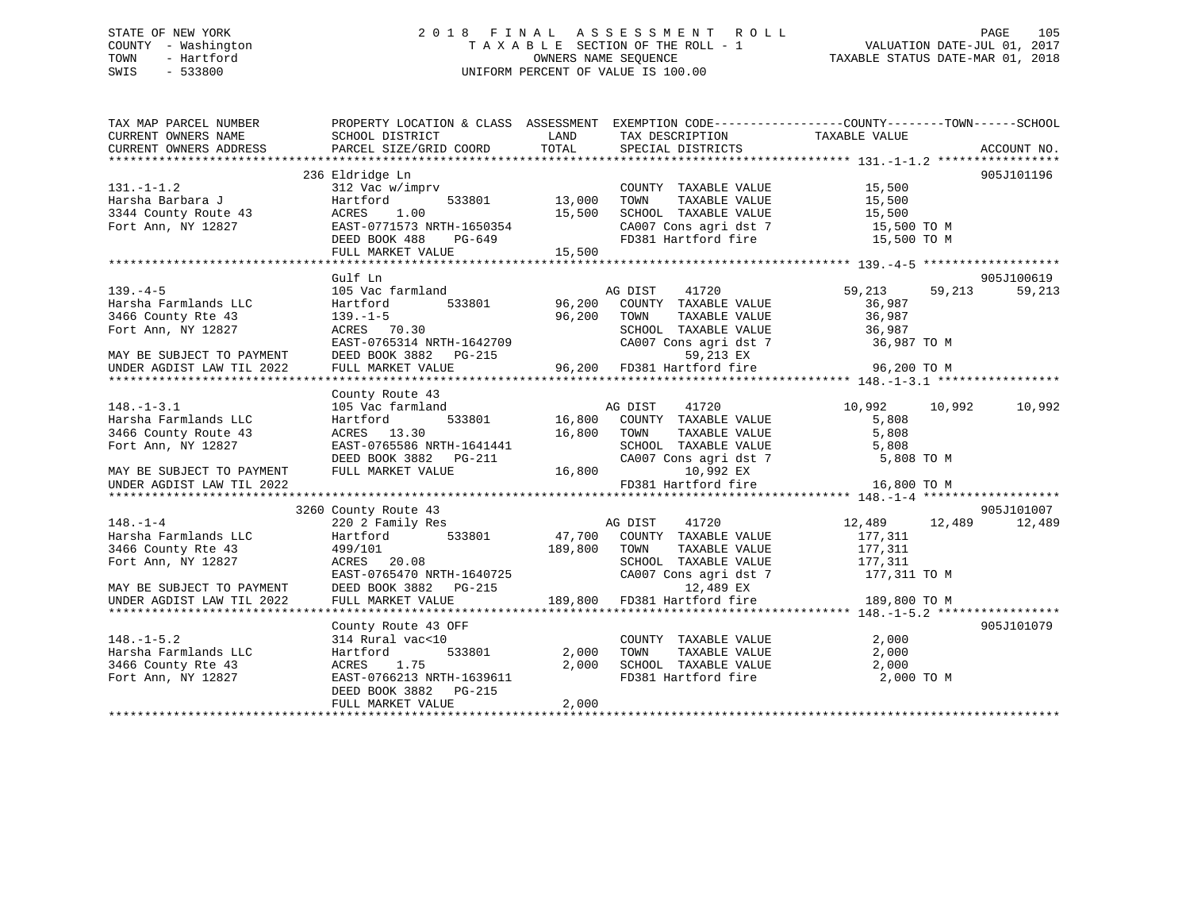### STATE OF NEW YORK 2 0 1 8 F I N A L A S S E S S M E N T R O L L PAGE 105 COUNTY - Washington T A X A B L E SECTION OF THE ROLL - 1 VALUATION DATE-JUL 01, 2017 TOWN - Hartford **TAXABLE STATUS DATE-MAR 01, 2018** OWNERS NAME SEQUENCE TAXABLE STATUS DATE-MAR 01, 2018 SWIS - 533800 UNIFORM PERCENT OF VALUE IS 100.00

| TAX MAP PARCEL NUMBER<br>CURRENT OWNERS NAME                                 | PROPERTY LOCATION & CLASS ASSESSMENT EXEMPTION CODE----------------COUNTY-------TOWN-----SCHOOL<br>SCHOOL DISTRICT                                                         | <b>LAND</b>                     | TAX DESCRIPTION                                                                                                              | TAXABLE VALUE |                  |
|------------------------------------------------------------------------------|----------------------------------------------------------------------------------------------------------------------------------------------------------------------------|---------------------------------|------------------------------------------------------------------------------------------------------------------------------|---------------|------------------|
| CURRENT OWNERS ADDRESS                                                       | PARCEL SIZE/GRID COORD                                                                                                                                                     | TOTAL                           | SPECIAL DISTRICTS                                                                                                            |               | ACCOUNT NO.      |
|                                                                              |                                                                                                                                                                            |                                 |                                                                                                                              |               |                  |
|                                                                              | 236 Eldridge Ln                                                                                                                                                            |                                 |                                                                                                                              |               | 905J101196       |
| 131.-1-1.2<br>Harsha Barbara J<br>3344 County Route 43<br>All Almar NY 12827 | 312 Vac w/imprv<br>Hartford 533801 13,000                                                                                                                                  |                                 | COUNTY TAXABLE VALUE 15,500<br>TOWN TAXABLE VALUE 15,500<br>SCHOOL TAXABLE VALUE 15,500<br>CA007 Cons agri dst 7 15,500 TO M |               |                  |
|                                                                              |                                                                                                                                                                            |                                 |                                                                                                                              |               |                  |
|                                                                              |                                                                                                                                                                            |                                 |                                                                                                                              |               |                  |
|                                                                              |                                                                                                                                                                            |                                 |                                                                                                                              |               |                  |
|                                                                              | ACRES 1.00 15,500<br>EAST-0771573 NRTH-1650354 15,500<br>DEED BOOK 488 PG-649                                                                                              |                                 | CA007 Cons agri dst 7 15,500 TO M<br>FD381 Hartford fire 15,500 TO M                                                         |               |                  |
|                                                                              | FULL MARKET VALUE 15,500                                                                                                                                                   |                                 |                                                                                                                              |               |                  |
|                                                                              |                                                                                                                                                                            |                                 |                                                                                                                              |               |                  |
|                                                                              | Gulf Ln                                                                                                                                                                    |                                 |                                                                                                                              |               | 905J100619       |
| $139. -4-5$                                                                  |                                                                                                                                                                            |                                 |                                                                                                                              | 59,213        | 59,213<br>59,213 |
| Harsha Farmlands LLC                                                         |                                                                                                                                                                            |                                 |                                                                                                                              | 36,987        |                  |
| 3466 County Rte 43                                                           | $139. - 1 - 5$                                                                                                                                                             | $96,200$ TOWN<br>$\overline{)}$ | TOWN       TAXABLE  VALUE<br>SCHOOL    TAXABLE  VALUE                                                                        | 36,987        |                  |
| Fort Ann, NY 12827                                                           | $ACRES$ 70.30                                                                                                                                                              |                                 |                                                                                                                              | 36,987        |                  |
|                                                                              |                                                                                                                                                                            |                                 |                                                                                                                              |               |                  |
| MAY BE SUBJECT TO PAYMENT                                                    |                                                                                                                                                                            |                                 |                                                                                                                              |               |                  |
| UNDER AGDIST LAW TIL 2022                                                    | EAST-0765314 NRTH-1642709<br>DEED BOOK 3882 PG-215<br>FULL MARKET VALUE 96,200 FD381 Hartford fire 96,200 TO M<br>PULL MARKET VALUE 96,200 FD381 Hartford fire 96,200 TO M |                                 |                                                                                                                              |               |                  |
|                                                                              |                                                                                                                                                                            |                                 |                                                                                                                              |               |                  |
|                                                                              | County Route 43                                                                                                                                                            |                                 |                                                                                                                              |               |                  |
| $148. - 1 - 3.1$                                                             |                                                                                                                                                                            |                                 |                                                                                                                              | 10,992 10,992 | 10,992           |
| Harsha Farmlands LLC                                                         |                                                                                                                                                                            |                                 |                                                                                                                              | 5,808         |                  |
| 3466 County Route 43                                                         | ACRES 13.30                                                                                                                                                                | 16,800 TOWN                     | TAXABLE VALUE                                                                                                                | 5,808         |                  |
| Fort Ann, NY 12827                                                           |                                                                                                                                                                            |                                 |                                                                                                                              | 5,808         |                  |
|                                                                              |                                                                                                                                                                            |                                 | SCHOOL TAXABLE VALUE<br>CA007 Cons agri dst 7                                                                                | 5,808 TO M    |                  |
| MAY BE SUBJECT TO PAYMENT                                                    | EAST-0765586 NRTH-1641441<br>DEED BOOK 3882 PG-211 CA007 Cons agri dst 7<br>FULL MARKET VALUE 16,800 10,992 EX                                                             |                                 |                                                                                                                              |               |                  |
| UNDER AGDIST LAW TIL 2022                                                    |                                                                                                                                                                            |                                 | FD381 Hartford fire                                                                                                          | 16,800 TO M   |                  |
|                                                                              |                                                                                                                                                                            |                                 |                                                                                                                              |               |                  |
|                                                                              | 3260 County Route 43                                                                                                                                                       |                                 |                                                                                                                              |               | 905J101007       |
| $148. - 1 - 4$                                                               | 220 2 Family Res                                                                                                                                                           |                                 | AG DIST 41720                                                                                                                | 12,489 12,489 | 12,489           |
| Harsha Farmlands LLC                                                         | Hartford 533801                                                                                                                                                            |                                 | 47,700 COUNTY TAXABLE VALUE                                                                                                  | 177,311       |                  |
| 3466 County Rte 43                                                           | 499/101                                                                                                                                                                    | 189,800 TOWN                    | TAXABLE VALUE                                                                                                                | 177,311       |                  |
| Fort Ann, NY 12827                                                           | ACRES 20.08                                                                                                                                                                |                                 | SCHOOL TAXABLE VALUE 177,311                                                                                                 |               |                  |
|                                                                              | EAST-0765470 NRTH-1640725<br>DEED BOOK 3882 PG-215                                                                                                                         |                                 | CA007 Cons agri dst 7 177,311 TO M                                                                                           |               |                  |
| MAY BE SUBJECT TO PAYMENT                                                    |                                                                                                                                                                            |                                 | 12,489 EX                                                                                                                    |               |                  |
| UNDER AGDIST LAW TIL 2022                                                    | FULL MARKET VALUE                                                                                                                                                          |                                 | 189,800 FD381 Hartford fire                                                                                                  | 189,800 TO M  |                  |
|                                                                              |                                                                                                                                                                            |                                 |                                                                                                                              |               |                  |
|                                                                              | County Route 43 OFF                                                                                                                                                        |                                 |                                                                                                                              |               | 905J101079       |
| $148. - 1 - 5.2$                                                             | 314 Rural vac<10                                                                                                                                                           |                                 | COUNTY TAXABLE VALUE 2,000                                                                                                   |               |                  |
| Harsha Farmlands LLC                                                         | Hartford                                                                                                                                                                   | 533801 2,000                    | TAXABLE VALUE<br>TOWN                                                                                                        | 2,000         |                  |
| 3466 County Rte 43                                                           |                                                                                                                                                                            | 2,000                           | SCHOOL TAXABLE VALUE                                                                                                         | 2,000         |                  |
| Fort Ann, NY 12827                                                           | ACRES 1.75<br>EAST-0766213 NRTH-1639611                                                                                                                                    |                                 | FD381 Hartford fire                                                                                                          | 2,000 TO M    |                  |
|                                                                              | DEED BOOK 3882 PG-215                                                                                                                                                      |                                 |                                                                                                                              |               |                  |
|                                                                              | FULL MARKET VALUE                                                                                                                                                          | 2,000                           |                                                                                                                              |               |                  |
|                                                                              |                                                                                                                                                                            |                                 |                                                                                                                              |               |                  |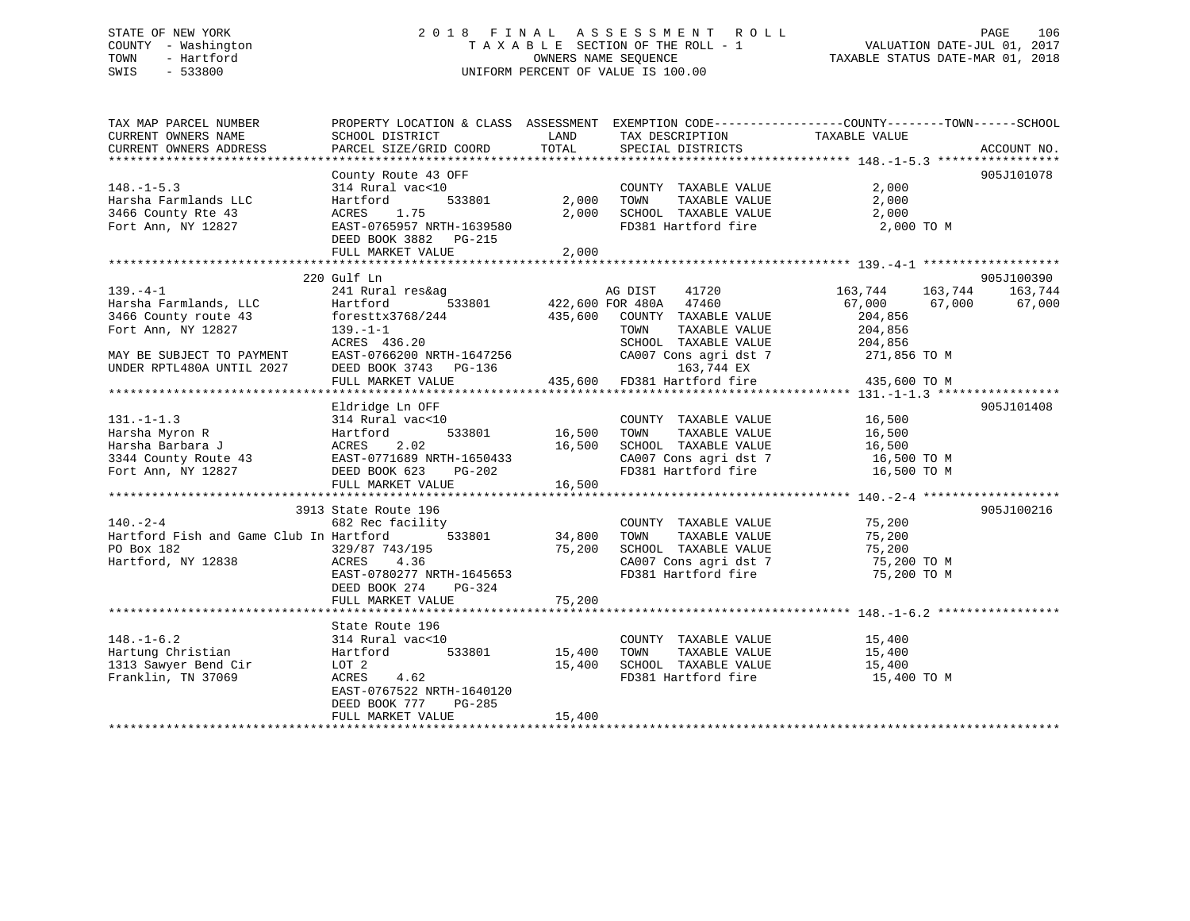### STATE OF NEW YORK 2 0 1 8 F I N A L A S S E S S M E N T R O L L PAGE 106 COUNTY - Washington T A X A B L E SECTION OF THE ROLL - 1 VALUATION DATE-JUL 01, 2017 TOWN - Hartford OWNERS NAME SEQUENCE TAXABLE STATUS DATE-MAR 01, 2018 SWIS - 533800 UNIFORM PERCENT OF VALUE IS 100.00

TAX MAP PARCEL NUMBER PROPERTY LOCATION & CLASS ASSESSMENT EXEMPTION CODE------------------COUNTY--------TOWN------SCHOOL

CURRENT OWNERS NAME SCHOOL DISTRICT THE LAND TAX DESCRIPTION TAXABLE VALUE CURRENT OWNERS ADDRESS PARCEL SIZE/GRID COORD TOTAL SPECIAL DISTRICTS ACCOUNT NO. \*\*\*\*\*\*\*\*\*\*\*\*\*\*\*\*\*\*\*\*\*\*\*\*\*\*\*\*\*\*\*\*\*\*\*\*\*\*\*\*\*\*\*\*\*\*\*\*\*\*\*\*\*\*\*\*\*\*\*\*\*\*\*\*\*\*\*\*\*\*\*\*\*\*\*\*\*\*\*\*\*\*\*\*\*\*\*\*\*\*\*\*\*\*\*\*\*\*\*\*\*\*\* 148.-1-5.3 \*\*\*\*\*\*\*\*\*\*\*\*\*\*\*\*\* County Route 43 OFF 905J101078 148.-1-5.3 314 Rural vac<10 COUNTY TAXABLE VALUE 2,000 Harsha Farmlands LLC Hartford 533801 2,000 TOWN TAXABLE VALUE 2,000 3466 County Rte 43 ACRES 1.75 2,000 SCHOOL TAXABLE VALUE 2,000 Fort Ann, NY 12827 EAST-0765957 NRTH-1639580 FD381 Hartford fire 2,000 TO M DEED BOOK 3882 PG-215 FULL MARKET VALUE 2,000 \*\*\*\*\*\*\*\*\*\*\*\*\*\*\*\*\*\*\*\*\*\*\*\*\*\*\*\*\*\*\*\*\*\*\*\*\*\*\*\*\*\*\*\*\*\*\*\*\*\*\*\*\*\*\*\*\*\*\*\*\*\*\*\*\*\*\*\*\*\*\*\*\*\*\*\*\*\*\*\*\*\*\*\*\*\*\*\*\*\*\*\*\*\*\*\*\*\*\*\*\*\*\* 139.-4-1 \*\*\*\*\*\*\*\*\*\*\*\*\*\*\*\*\*\*\* 220 Gulf Ln 905J100390 139.-4-1 241 Rural res&ag AG DIST 41720 163,744 163,744 163,744 Harsha Farmlands, LLC Hartford 533801 422,600 FOR 480A 47460 67,000 67,000 67,000 3466 County route 43 foresttx3768/244 435,600 COUNTY TAXABLE VALUE 204,856 Fort Ann, NY 12827 139.-1-1 TOWN TAXABLE VALUE 204,856 ACRES 436.20 SCHOOL TAXABLE VALUE 204,856 MAY BE SUBJECT TO PAYMENT EAST-0766200 NRTH-1647256 CA007 Cons agri dst 7 271,856 TO M UNDER RPTL480A UNTIL 2027 DEED BOOK 3743 PG-136 163,744 EX FULL MARKET VALUE 435,600 FD381 Hartford fire 435,600 TO M \*\*\*\*\*\*\*\*\*\*\*\*\*\*\*\*\*\*\*\*\*\*\*\*\*\*\*\*\*\*\*\*\*\*\*\*\*\*\*\*\*\*\*\*\*\*\*\*\*\*\*\*\*\*\*\*\*\*\*\*\*\*\*\*\*\*\*\*\*\*\*\*\*\*\*\*\*\*\*\*\*\*\*\*\*\*\*\*\*\*\*\*\*\*\*\*\*\*\*\*\*\*\* 131.-1-1.3 \*\*\*\*\*\*\*\*\*\*\*\*\*\*\*\*\* Eldridge Ln OFF 905J101408 131.-1-1.3 314 Rural vac<10 COUNTY TAXABLE VALUE 16,500 Harsha Myron R Hartford 533801 16,500 TOWN TAXABLE VALUE 16,500 Harsha Barbara J ACRES 2.02 16,500 SCHOOL TAXABLE VALUE 16,500 3344 County Route 43 EAST-0771689 NRTH-1650433 CA007 Cons agri dst 7 16,500 TO M Fort Ann, NY 12827 DEED BOOK 623 PG-202 FD381 Hartford fire 16,500 TO M DEED BOOK 623 PG-202<br>FULL MARKET VALUE 16,500 \*\*\*\*\*\*\*\*\*\*\*\*\*\*\*\*\*\*\*\*\*\*\*\*\*\*\*\*\*\*\*\*\*\*\*\*\*\*\*\*\*\*\*\*\*\*\*\*\*\*\*\*\*\*\*\*\*\*\*\*\*\*\*\*\*\*\*\*\*\*\*\*\*\*\*\*\*\*\*\*\*\*\*\*\*\*\*\*\*\*\*\*\*\*\*\*\*\*\*\*\*\*\* 140.-2-4 \*\*\*\*\*\*\*\*\*\*\*\*\*\*\*\*\*\*\* 3913 State Route 196 905J100216140.-2-4 682 Rec facility COUNTY TAXABLE VALUE 75,200 Hartford Fish and Game Club In Hartford 533801 34,800 TOWN TAXABLE VALUE 75,200 PO Box 182 329/87 743/195 75,200 SCHOOL TAXABLE VALUE 75,200 Hartford, NY 12838 ACRES 4.36 CA007 Cons agri dst 7 75,200 TO M EAST-0780277 NRTH-1645653 FD381 Hartford fire 75,200 TO M DEED BOOK 274 PG-324 FULL MARKET VALUE 75,200 \*\*\*\*\*\*\*\*\*\*\*\*\*\*\*\*\*\*\*\*\*\*\*\*\*\*\*\*\*\*\*\*\*\*\*\*\*\*\*\*\*\*\*\*\*\*\*\*\*\*\*\*\*\*\*\*\*\*\*\*\*\*\*\*\*\*\*\*\*\*\*\*\*\*\*\*\*\*\*\*\*\*\*\*\*\*\*\*\*\*\*\*\*\*\*\*\*\*\*\*\*\*\* 148.-1-6.2 \*\*\*\*\*\*\*\*\*\*\*\*\*\*\*\*\* State Route 196314 Rural vac<10 148.-1-6.2 314 Rural vac<10 COUNTY TAXABLE VALUE 15,400 Hartung Christian Hartford 533801 15,400 TOWN TAXABLE VALUE 15,400 1313 Sawyer Bend Cir LOT 2 15,400 SCHOOL TAXABLE VALUE 15,400 Franklin, TN 37069 ACRES 4.62 FD381 Hartford fire 15,400 TO M EAST-0767522 NRTH-1640120 DEED BOOK 777 PG-285FULL MARKET VALUE 15,400

\*\*\*\*\*\*\*\*\*\*\*\*\*\*\*\*\*\*\*\*\*\*\*\*\*\*\*\*\*\*\*\*\*\*\*\*\*\*\*\*\*\*\*\*\*\*\*\*\*\*\*\*\*\*\*\*\*\*\*\*\*\*\*\*\*\*\*\*\*\*\*\*\*\*\*\*\*\*\*\*\*\*\*\*\*\*\*\*\*\*\*\*\*\*\*\*\*\*\*\*\*\*\*\*\*\*\*\*\*\*\*\*\*\*\*\*\*\*\*\*\*\*\*\*\*\*\*\*\*\*\*\*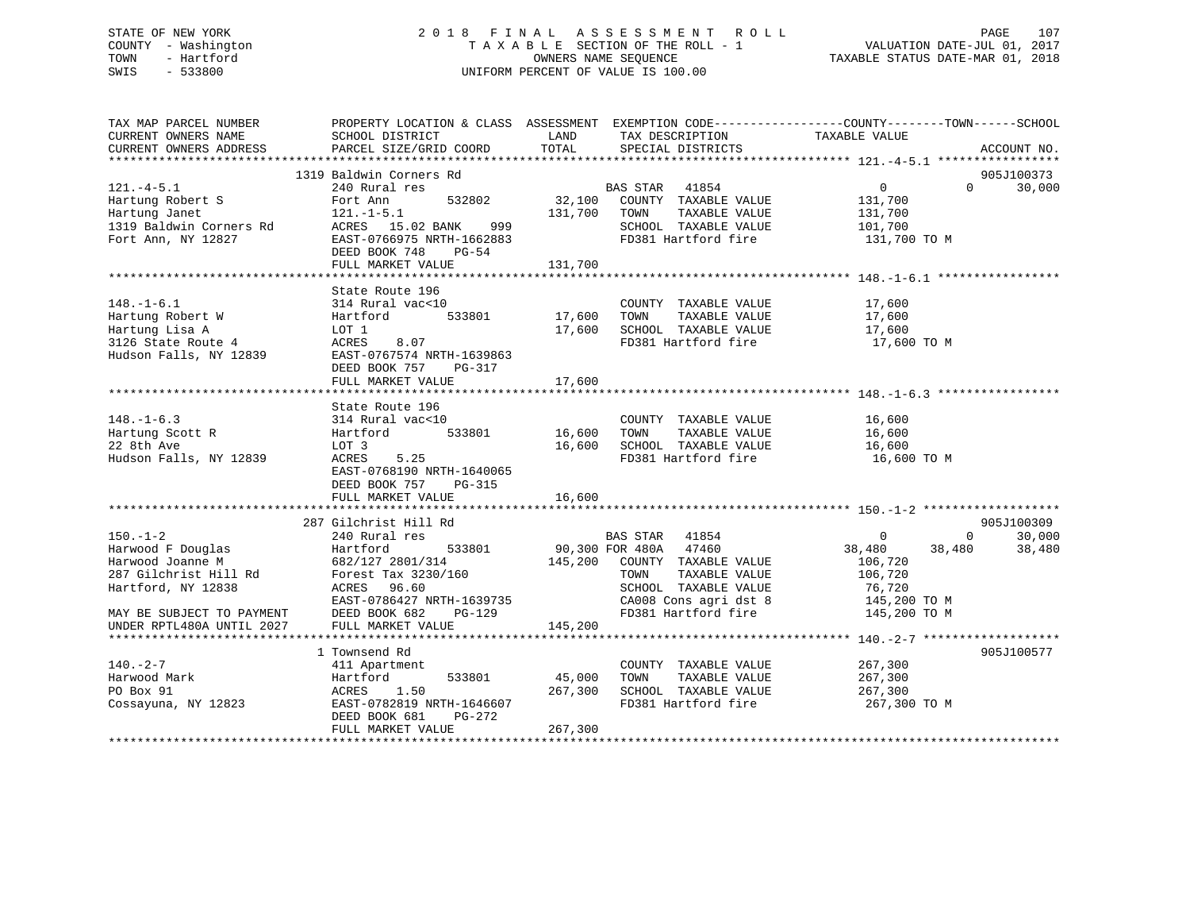### STATE OF NEW YORK 2 0 1 8 F I N A L A S S E S S M E N T R O L L PAGE 107 COUNTY - Washington T A X A B L E SECTION OF THE ROLL - 1 VALUATION DATE-JUL 01, 2017 TOWN - Hartford **TAXABLE STATUS DATE-MAR 01, 2018** OWNERS NAME SEQUENCE TAXABLE STATUS DATE-MAR 01, 2018 SWIS - 533800 UNIFORM PERCENT OF VALUE IS 100.00

| TAX MAP PARCEL NUMBER                                                               | PROPERTY LOCATION & CLASS ASSESSMENT EXEMPTION CODE----------------COUNTY-------TOWN------SCHOOL                                                                                                                                        |              |                                                             |                    |                |             |
|-------------------------------------------------------------------------------------|-----------------------------------------------------------------------------------------------------------------------------------------------------------------------------------------------------------------------------------------|--------------|-------------------------------------------------------------|--------------------|----------------|-------------|
| CURRENT OWNERS NAME                                                                 | SCHOOL DISTRICT                                                                                                                                                                                                                         | LAND         | TAX DESCRIPTION                                             | TAXABLE VALUE      |                |             |
| CURRENT OWNERS ADDRESS                                                              | PARCEL SIZE/GRID COORD                                                                                                                                                                                                                  | TOTAL        | SPECIAL DISTRICTS                                           |                    |                | ACCOUNT NO. |
|                                                                                     |                                                                                                                                                                                                                                         |              |                                                             |                    |                |             |
|                                                                                     | 1319 Baldwin Corners Rd                                                                                                                                                                                                                 |              | BAS STAR 41854                                              |                    | $\Omega$       | 905J100373  |
| $121. -4 - 5.1$                                                                     | 240 Rural res                                                                                                                                                                                                                           |              | res<br>Fas STAR 41854<br>532802 32,100 COUNTY TAXABLE VALUE | $\overline{0}$     |                | 30,000      |
| Hartung Robert S                                                                    | Fort Ann<br>121.-1-5.1                                                                                                                                                                                                                  | 131,700 TOWN |                                                             | 131,700<br>131,700 |                |             |
| Hartung Janet                                                                       |                                                                                                                                                                                                                                         |              | TAXABLE VALUE                                               |                    |                |             |
|                                                                                     |                                                                                                                                                                                                                                         |              | SCHOOL TAXABLE VALUE 101,700<br>FD381 Hartford fire         |                    |                |             |
|                                                                                     | Hartung Janet<br>1319 Baldwin Corners Rd ACRES 15.02 BANK 999<br>Fort Ann, NY 12827 EAST-0766975 NRTH-1662883<br>DEED BOOK 748 PG-54                                                                                                    |              |                                                             | 131,700 TO M       |                |             |
|                                                                                     | FULL MARKET VALUE                                                                                                                                                                                                                       | 131,700      |                                                             |                    |                |             |
|                                                                                     |                                                                                                                                                                                                                                         |              |                                                             |                    |                |             |
|                                                                                     | State Route 196                                                                                                                                                                                                                         |              |                                                             |                    |                |             |
|                                                                                     | 148.-1-6.1<br>Harting Robert W and Martior and Martion and Marting Lisa A and LOT 1<br>Hartford 533801 17,600 TOWN TAXABLE VALUE<br>Hartford 533801 17,600 TOWN TAXABLE VALUE<br>17,600 SCHOOL TAXABLE VALUE<br>17,600 SCHOOL TAXABLE V |              | COUNTY TAXABLE VALUE 17,600                                 |                    |                |             |
|                                                                                     |                                                                                                                                                                                                                                         |              |                                                             | 17,600             |                |             |
|                                                                                     |                                                                                                                                                                                                                                         |              | 17,600 SCHOOL TAXABLE VALUE 17,600                          |                    |                |             |
|                                                                                     |                                                                                                                                                                                                                                         |              | FD381 Hartford fire                                         | 17,600 TO M        |                |             |
|                                                                                     |                                                                                                                                                                                                                                         |              |                                                             |                    |                |             |
|                                                                                     | DEED BOOK 757<br>PG-317                                                                                                                                                                                                                 |              |                                                             |                    |                |             |
|                                                                                     | FULL MARKET VALUE                                                                                                                                                                                                                       | 17,600       |                                                             |                    |                |             |
|                                                                                     |                                                                                                                                                                                                                                         |              |                                                             |                    |                |             |
|                                                                                     |                                                                                                                                                                                                                                         |              |                                                             |                    |                |             |
| $148. - 1 - 6.3$                                                                    |                                                                                                                                                                                                                                         |              |                                                             |                    |                |             |
| Hartung Scott R                                                                     |                                                                                                                                                                                                                                         |              | COUNTY TAXABLE VALUE 16,600<br>TOWN TAXABLE VALUE 16,600    |                    |                |             |
| 22 8th Ave                                                                          |                                                                                                                                                                                                                                         |              |                                                             |                    |                |             |
| Hudson Falls, NY 12839                                                              | 2000 ACTE 196<br>314 Rural vac<10<br>Hartford 533801 16,600 TOWN TAXABLE VALUE<br>LOT 3<br>ACRES 5.25<br>16,600 SCHOOL TAXABLE VALUE                                                                                                    |              | 16,600 SCHOOL TAXABLE VALUE 16,600                          | 16,600 TO M        |                |             |
|                                                                                     | EAST-0768190 NRTH-1640065                                                                                                                                                                                                               |              |                                                             |                    |                |             |
|                                                                                     | DEED BOOK 757 PG-315                                                                                                                                                                                                                    |              |                                                             |                    |                |             |
|                                                                                     | FULL MARKET VALUE                                                                                                                                                                                                                       | 16,600       |                                                             |                    |                |             |
|                                                                                     |                                                                                                                                                                                                                                         |              |                                                             |                    |                |             |
|                                                                                     | 287 Gilchrist Hill Rd                                                                                                                                                                                                                   |              |                                                             |                    |                | 905J100309  |
| $150. - 1 - 2$                                                                      |                                                                                                                                                                                                                                         |              |                                                             | $\sim$ 0           | $\overline{0}$ | 30,000      |
|                                                                                     |                                                                                                                                                                                                                                         |              | BAS STAR 41854<br>90,300 FOR 480A 47460                     | 38,480 38,480      |                | 38,480      |
|                                                                                     |                                                                                                                                                                                                                                         |              |                                                             |                    |                |             |
|                                                                                     |                                                                                                                                                                                                                                         |              |                                                             | 106,720<br>106,720 |                |             |
|                                                                                     |                                                                                                                                                                                                                                         |              |                                                             |                    |                |             |
|                                                                                     | ACRES 96.60<br>EAST-0786427 I                                                                                                                                                                                                           |              |                                                             |                    |                |             |
|                                                                                     | EAST-0786427 NRTH-1639735<br>DEED BOOK 682 PG-129<br>FIILL MARKET VALUE                                                                                                                                                                 |              |                                                             |                    |                |             |
| MAY BE SUBJECT TO PAYMENT DEED BOOK 682 INDER RPTL480A UNTIL 2027 FULL MARKET VALUE |                                                                                                                                                                                                                                         | 145,200      |                                                             |                    |                |             |
|                                                                                     |                                                                                                                                                                                                                                         |              |                                                             |                    |                |             |
|                                                                                     | 1 Townsend Rd                                                                                                                                                                                                                           |              |                                                             |                    |                | 905J100577  |
| $140. -2 - 7$                                                                       | 411 Apartment                                                                                                                                                                                                                           |              | COUNTY TAXABLE VALUE 267,300                                |                    |                |             |
| Harwood Mark                                                                        |                                                                                                                                                                                                                                         |              | TOWN<br>TAXABLE VALUE                                       | 267,300            |                |             |
| PO Box 91                                                                           | Hartford<br>ACRES 1.50                                                                                                                                                                                                                  |              | SCHOOL TAXABLE VALUE 267,300                                |                    |                |             |
| Cossayuna, NY 12823                                                                 | 411 Apartment<br>Hartford 533801 45,000<br>ACRES 1.50 267,300<br>EAST-0782819 NRTH-1646607                                                                                                                                              |              | FD381 Hartford fire                                         | 267,300 TO M       |                |             |
|                                                                                     | DEED BOOK 681<br>PG-272                                                                                                                                                                                                                 |              |                                                             |                    |                |             |
|                                                                                     | FULL MARKET VALUE                                                                                                                                                                                                                       | 267,300      |                                                             |                    |                |             |
|                                                                                     |                                                                                                                                                                                                                                         |              |                                                             |                    |                |             |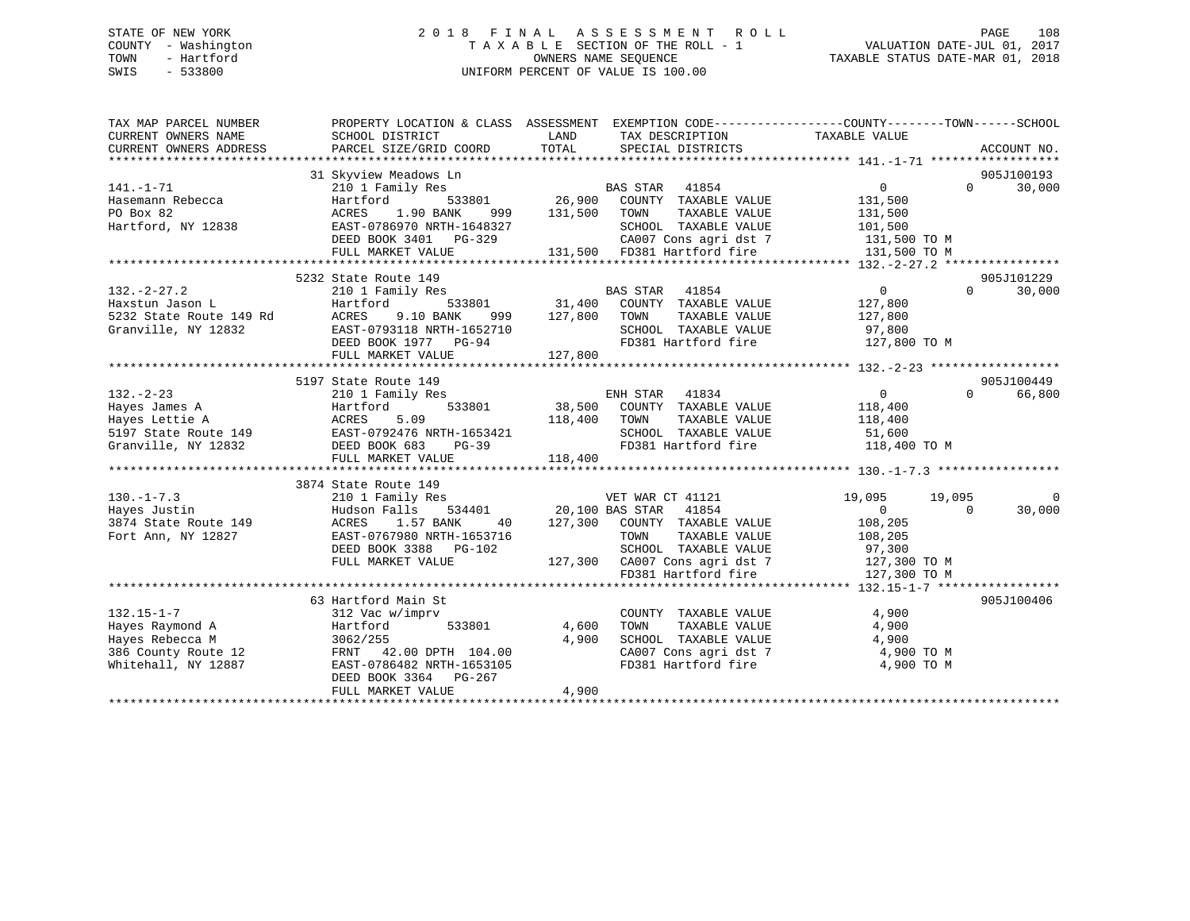### STATE OF NEW YORK 2 0 1 8 F I N A L A S S E S S M E N T R O L L PAGE 108 COUNTY - Washington T A X A B L E SECTION OF THE ROLL - 1 VALUATION DATE-JUL 01, 2017 TOWN - Hartford **TAXABLE STATUS DATE-MAR 01, 2018** OWNERS NAME SEQUENCE TAXABLE STATUS DATE-MAR 01, 2018 SWIS - 533800 UNIFORM PERCENT OF VALUE IS 100.00

| TAX MAP PARCEL NUMBER<br>CURRENT OWNERS NAME<br>CURRENT OWNERS ADDRESS | PROPERTY LOCATION & CLASS ASSESSMENT EXEMPTION CODE---------------COUNTY-------TOWN------SCHOOL<br>SCHOOL DISTRICT<br>PARCEL SIZE/GRID COORD | LAND<br>TOTAL | TAX DESCRIPTION TAXABLE VALUE<br>SPECIAL DISTRICTS                                        |                            | ACCOUNT NO.                      |
|------------------------------------------------------------------------|----------------------------------------------------------------------------------------------------------------------------------------------|---------------|-------------------------------------------------------------------------------------------|----------------------------|----------------------------------|
|                                                                        |                                                                                                                                              |               |                                                                                           |                            |                                  |
| $141. - 1 - 71$                                                        | 31 Skyview Meadows Ln                                                                                                                        |               |                                                                                           | $\overline{0}$             | 905J100193<br>$\Omega$<br>30,000 |
| Hasemann Rebecca                                                       | 210 1 Family Res<br>Hartford                                                                                                                 |               | BAS STAR<br>41854                                                                         | 131,500                    |                                  |
| PO Box 82                                                              | ACRES<br>1.90 BANK<br>999                                                                                                                    | 131,500       | 533801 26,900 COUNTY TAXABLE VALUE<br>TAXABLE VALUE<br>TOWN                               | 131,500                    |                                  |
| Hartford, NY 12838                                                     | EAST-0786970 NRTH-1648327                                                                                                                    |               | SCHOOL TAXABLE VALUE                                                                      | 101,500                    |                                  |
|                                                                        | DEED BOOK 3401 PG-329                                                                                                                        |               |                                                                                           | 131,500 TO M               |                                  |
|                                                                        | FULL MARKET VALUE                                                                                                                            |               | CA007 Cons agri dst 7<br>131,500 FD381 Hartford fire                                      | 131,500 TO M               |                                  |
|                                                                        |                                                                                                                                              |               |                                                                                           |                            |                                  |
|                                                                        | 5232 State Route 149                                                                                                                         |               |                                                                                           |                            | 905J101229                       |
| $132. - 2 - 27.2$                                                      | 210 1 Family Res                                                                                                                             |               | <b>BAS STAR</b><br>41854                                                                  | $\overline{0}$<br>$\Omega$ | 30,000                           |
| Haxstun Jason L                                                        | Hartford                                                                                                                                     |               |                                                                                           | 127,800                    |                                  |
| 5232 State Route 149 Rd                                                | ACRES 9.10 BANK                                                                                                                              |               | 533801 31,400 COUNTY TAXABLE VALUE<br>ANK 999 127,800 TOWN TAXABLE VALUE<br>TAXABLE VALUE | 127,800                    |                                  |
| Granville, NY 12832                                                    | EAST-0793118 NRTH-1652710                                                                                                                    |               | SCHOOL TAXABLE VALUE                                                                      | 97,800                     |                                  |
|                                                                        | DEED BOOK 1977 PG-94                                                                                                                         |               | FD381 Hartford fire 127,800 TO M                                                          |                            |                                  |
|                                                                        | FULL MARKET VALUE                                                                                                                            | 127,800       |                                                                                           |                            |                                  |
|                                                                        |                                                                                                                                              |               |                                                                                           |                            |                                  |
|                                                                        | 5197 State Route 149                                                                                                                         |               |                                                                                           |                            | 905J100449                       |
| $132 - 2 - 23$                                                         | 210 1 Family Res                                                                                                                             |               | ENH STAR<br>41834                                                                         | $\overline{0}$             | $\Omega$<br>66,800               |
| Hayes James A                                                          | Hartford                                                                                                                                     |               | 533801 38,500 COUNTY TAXABLE VALUE                                                        | 118,400                    |                                  |
| Hayes Lettie A                                                         | 5.09<br>ACRES                                                                                                                                | 118,400       | TAXABLE VALUE<br>TOWN                                                                     | 118,400                    |                                  |
| 5197 State Route 149                                                   | EAST-0792476 NRTH-1653421                                                                                                                    |               | SCHOOL TAXABLE VALUE                                                                      | 51,600                     |                                  |
| Granville, NY 12832                                                    | DEED BOOK 683<br>PG-39                                                                                                                       |               | FD381 Hartford fire                                                                       | 118,400 TO M               |                                  |
|                                                                        | FULL MARKET VALUE                                                                                                                            | 118,400       |                                                                                           |                            |                                  |
|                                                                        |                                                                                                                                              |               |                                                                                           |                            |                                  |
|                                                                        | 3874 State Route 149                                                                                                                         |               |                                                                                           |                            |                                  |
| $130. - 1 - 7.3$                                                       | 210 1 Family Res                                                                                                                             |               | VET WAR CT 41121                                                                          | 19,095<br>19,095           |                                  |
| Hayes Justin                                                           | Hudson Falls                                                                                                                                 |               | 534401 20,100 BAS STAR 41854<br>ANK 40 127,300 COUNTY TAXABLE VALUE                       | $\overline{0}$<br>$\Omega$ | 30,000                           |
| 3874 State Route 149                                                   | ACRES<br>1.57 BANK                                                                                                                           |               |                                                                                           | 108,205                    |                                  |
| Fort Ann, NY 12827                                                     | EAST-0767980 NRTH-1653716                                                                                                                    |               | TOWN<br>TAXABLE VALUE                                                                     | 108,205                    |                                  |
|                                                                        | DEED BOOK 3388 PG-102                                                                                                                        |               | SCHOOL TAXABLE VALUE                                                                      | 97,300                     |                                  |
|                                                                        | FULL MARKET VALUE                                                                                                                            |               |                                                                                           |                            |                                  |
|                                                                        |                                                                                                                                              |               | FD381 Hartford fire                                                                       | 127,300 TO M               |                                  |
|                                                                        |                                                                                                                                              |               |                                                                                           |                            |                                  |
|                                                                        | 63 Hartford Main St                                                                                                                          |               |                                                                                           |                            | 905J100406                       |
| $132.15 - 1 - 7$                                                       | 312 Vac w/imprv                                                                                                                              |               | COUNTY TAXABLE VALUE                                                                      | 4,900                      |                                  |
| Hayes Raymond A                                                        | Hartford<br>533801                                                                                                                           | 4,600         | TAXABLE VALUE<br>TOWN                                                                     | 4,900                      |                                  |
| Hayes Rebecca M                                                        | 3062/255                                                                                                                                     | 4,900         | SCHOOL TAXABLE VALUE                                                                      | 4,900                      |                                  |
| 386 County Route 12                                                    | FRNT 42.00 DPTH 104.00                                                                                                                       |               | CA007 Cons agri dst 7                                                                     | 4,900 TO M                 |                                  |
| Whitehall, NY 12887                                                    | EAST-0786482 NRTH-1653105                                                                                                                    |               | FD381 Hartford fire                                                                       | 4,900 TO M                 |                                  |
|                                                                        | DEED BOOK 3364<br>PG-267                                                                                                                     |               |                                                                                           |                            |                                  |
|                                                                        | FULL MARKET VALUE                                                                                                                            | 4,900         |                                                                                           |                            |                                  |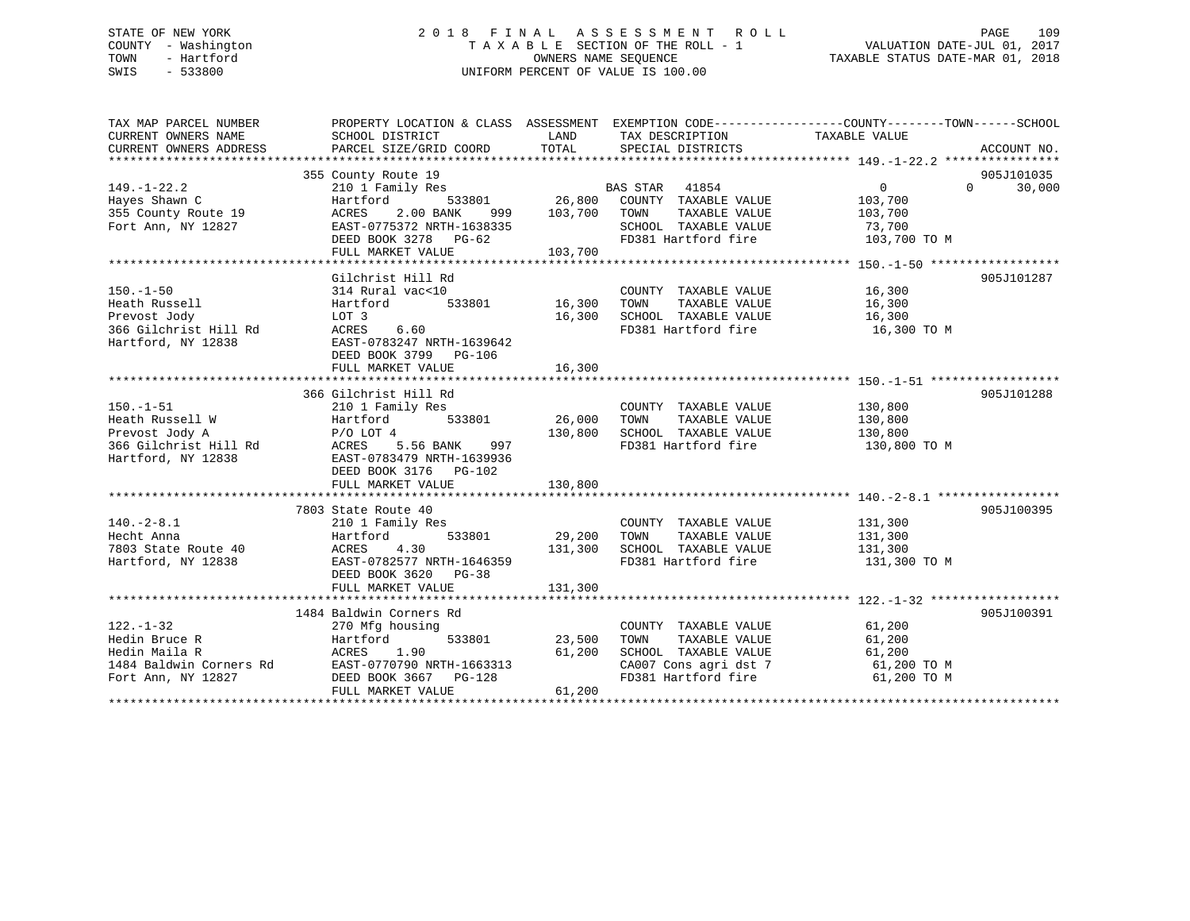## STATE OF NEW YORK 2 0 1 8 F I N A L A S S E S S M E N T R O L L PAGE 109 COUNTY - Washington T A X A B L E SECTION OF THE ROLL - 1 VALUATION DATE-JUL 01, 2017 TOWN - Hartford OWNERS NAME SEQUENCE TAXABLE STATUS DATE-MAR 01, 2018 SWIS - 533800 UNIFORM PERCENT OF VALUE IS 100.00

| CURRENT OWNERS NAME<br>SCHOOL DISTRICT<br>LAND<br>TAX DESCRIPTION<br>TAXABLE VALUE<br>TOTAL<br>PARCEL SIZE/GRID COORD<br>SPECIAL DISTRICTS<br>ACCOUNT NO.<br>355 County Route 19<br>905J101035<br>BAS STAR 41854<br>33801 26,800 COUNTY TAXABLE VALUE<br>$\overline{0}$<br>30,000<br>$149. - 1 - 22.2$<br>$\Omega$<br>210 1 Family Res<br>533801<br>Hayes Shawn C<br>103,700<br>Hartford<br>103,700 TOWN<br>355 County Route 19<br>2.00 BANK<br>TAXABLE VALUE<br>ACRES<br>999<br>103,700<br>Fort Ann, NY 12827<br>EAST-0775372 NRTH-1638335<br>SCHOOL TAXABLE VALUE<br>73,700<br>FD381 Hartford fire<br>DEED BOOK 3278 PG-62<br>103,700 TO M<br>FULL MARKET VALUE<br>103,700<br>905J101287<br>Gilchrist Hill Rd<br>COUNTY TAXABLE VALUE 16,300<br>$150 - 1 - 50$<br>314 Rural vac<10<br>533801<br>16,300<br>Heath Russell<br>Hartford<br>TOWN      TAXABLE VALUE<br>SCHOOL   TAXABLE VALUE<br>16,300<br>16,300<br>Prevost Jody<br>16,300<br>LOT 3<br>FD381 Hartford fire 16,300 TO M<br>366 Gilchrist Hill Rd<br>6.60<br>ACRES<br>Hartford, NY 12838<br>EAST-0783247 NRTH-1639642<br>DEED BOOK 3799 PG-106<br>16,300<br>FULL MARKET VALUE<br>905J101288<br>366 Gilchrist Hill Rd<br>$150. - 1 - 51$<br>COUNTY TAXABLE VALUE<br>130,800<br>210 1 Family Res<br>26,000<br>Heath Russell W<br>533801<br>TAXABLE VALUE<br>130,800<br>Hartford<br>TOWN<br>SCHOOL TAXABLE VALUE 130,800<br>130,800<br>Prevost Jody A<br>$P/O$ LOT 4<br>366 Gilchrist Hill Rd<br>Hartford, NY 12838<br>FD381 Hartford fire<br>ACRES 5.56 BANK 997<br>130,800 TO M<br>Hartford, NY 12838<br>EAST-0783479 NRTH-1639936<br>DEED BOOK 3176 PG-102<br>130,800<br>FULL MARKET VALUE<br>7803 State Route 40<br>905J100395<br>$140.-2-8.1$<br>210 1 Family Res<br>131,300<br>COUNTY TAXABLE VALUE<br>533801 29,200<br>131,300<br>Hecht Anna<br>TOWN<br>TAXABLE VALUE<br>Hartford<br>7803 State Route 40<br>Hartford. NY 12838<br>4.30<br>131,300<br>SCHOOL TAXABLE VALUE<br>ACRES<br>131,300<br>FD381 Hartford fire<br>Hartford, NY 12838<br>EAST-0782577 NRTH-1646359<br>131,300 TO M<br>DEED BOOK 3620 PG-38<br>131,300<br>FULL MARKET VALUE<br>905J100391<br>1484 Baldwin Corners Rd<br>61,200<br>$122. - 1 - 32$<br>270 Mfg housing<br>COUNTY TAXABLE VALUE<br>533801<br>Hedin Bruce R<br>Hartford<br>23,500<br>TOWN<br>TAXABLE VALUE<br>61,200<br>ACRES 1.90<br>ners Rd EAST-0770790 NRTH-1663313<br>27 DEED BOOK 3667 PG-128<br>27 DEED COOK 3667 PG-128<br>61,200<br>SCHOOL TAXABLE VALUE<br>Hedin Maila R<br>61,200<br>CA007 Cons agri dst 7<br>61,200 TO M<br>1484 Baldwin Corners Rd<br>FD381 Hartford fire<br>Fort Ann, NY 12827<br>61,200 TO M<br>61,200 | TAX MAP PARCEL NUMBER  | PROPERTY LOCATION & CLASS ASSESSMENT EXEMPTION CODE----------------COUNTY-------TOWN------SCHOOL |  |  |
|---------------------------------------------------------------------------------------------------------------------------------------------------------------------------------------------------------------------------------------------------------------------------------------------------------------------------------------------------------------------------------------------------------------------------------------------------------------------------------------------------------------------------------------------------------------------------------------------------------------------------------------------------------------------------------------------------------------------------------------------------------------------------------------------------------------------------------------------------------------------------------------------------------------------------------------------------------------------------------------------------------------------------------------------------------------------------------------------------------------------------------------------------------------------------------------------------------------------------------------------------------------------------------------------------------------------------------------------------------------------------------------------------------------------------------------------------------------------------------------------------------------------------------------------------------------------------------------------------------------------------------------------------------------------------------------------------------------------------------------------------------------------------------------------------------------------------------------------------------------------------------------------------------------------------------------------------------------------------------------------------------------------------------------------------------------------------------------------------------------------------------------------------------------------------------------------------------------------------------------------------------------------------------------------------------------------------------------------------------------------------------------------------------------------------------------------------------------------------------------------------------------------------------------------------------------------------------------------------------------------------------------|------------------------|--------------------------------------------------------------------------------------------------|--|--|
|                                                                                                                                                                                                                                                                                                                                                                                                                                                                                                                                                                                                                                                                                                                                                                                                                                                                                                                                                                                                                                                                                                                                                                                                                                                                                                                                                                                                                                                                                                                                                                                                                                                                                                                                                                                                                                                                                                                                                                                                                                                                                                                                                                                                                                                                                                                                                                                                                                                                                                                                                                                                                                       |                        |                                                                                                  |  |  |
|                                                                                                                                                                                                                                                                                                                                                                                                                                                                                                                                                                                                                                                                                                                                                                                                                                                                                                                                                                                                                                                                                                                                                                                                                                                                                                                                                                                                                                                                                                                                                                                                                                                                                                                                                                                                                                                                                                                                                                                                                                                                                                                                                                                                                                                                                                                                                                                                                                                                                                                                                                                                                                       | CURRENT OWNERS ADDRESS |                                                                                                  |  |  |
|                                                                                                                                                                                                                                                                                                                                                                                                                                                                                                                                                                                                                                                                                                                                                                                                                                                                                                                                                                                                                                                                                                                                                                                                                                                                                                                                                                                                                                                                                                                                                                                                                                                                                                                                                                                                                                                                                                                                                                                                                                                                                                                                                                                                                                                                                                                                                                                                                                                                                                                                                                                                                                       |                        |                                                                                                  |  |  |
|                                                                                                                                                                                                                                                                                                                                                                                                                                                                                                                                                                                                                                                                                                                                                                                                                                                                                                                                                                                                                                                                                                                                                                                                                                                                                                                                                                                                                                                                                                                                                                                                                                                                                                                                                                                                                                                                                                                                                                                                                                                                                                                                                                                                                                                                                                                                                                                                                                                                                                                                                                                                                                       |                        |                                                                                                  |  |  |
|                                                                                                                                                                                                                                                                                                                                                                                                                                                                                                                                                                                                                                                                                                                                                                                                                                                                                                                                                                                                                                                                                                                                                                                                                                                                                                                                                                                                                                                                                                                                                                                                                                                                                                                                                                                                                                                                                                                                                                                                                                                                                                                                                                                                                                                                                                                                                                                                                                                                                                                                                                                                                                       |                        |                                                                                                  |  |  |
|                                                                                                                                                                                                                                                                                                                                                                                                                                                                                                                                                                                                                                                                                                                                                                                                                                                                                                                                                                                                                                                                                                                                                                                                                                                                                                                                                                                                                                                                                                                                                                                                                                                                                                                                                                                                                                                                                                                                                                                                                                                                                                                                                                                                                                                                                                                                                                                                                                                                                                                                                                                                                                       |                        |                                                                                                  |  |  |
|                                                                                                                                                                                                                                                                                                                                                                                                                                                                                                                                                                                                                                                                                                                                                                                                                                                                                                                                                                                                                                                                                                                                                                                                                                                                                                                                                                                                                                                                                                                                                                                                                                                                                                                                                                                                                                                                                                                                                                                                                                                                                                                                                                                                                                                                                                                                                                                                                                                                                                                                                                                                                                       |                        |                                                                                                  |  |  |
|                                                                                                                                                                                                                                                                                                                                                                                                                                                                                                                                                                                                                                                                                                                                                                                                                                                                                                                                                                                                                                                                                                                                                                                                                                                                                                                                                                                                                                                                                                                                                                                                                                                                                                                                                                                                                                                                                                                                                                                                                                                                                                                                                                                                                                                                                                                                                                                                                                                                                                                                                                                                                                       |                        |                                                                                                  |  |  |
|                                                                                                                                                                                                                                                                                                                                                                                                                                                                                                                                                                                                                                                                                                                                                                                                                                                                                                                                                                                                                                                                                                                                                                                                                                                                                                                                                                                                                                                                                                                                                                                                                                                                                                                                                                                                                                                                                                                                                                                                                                                                                                                                                                                                                                                                                                                                                                                                                                                                                                                                                                                                                                       |                        |                                                                                                  |  |  |
|                                                                                                                                                                                                                                                                                                                                                                                                                                                                                                                                                                                                                                                                                                                                                                                                                                                                                                                                                                                                                                                                                                                                                                                                                                                                                                                                                                                                                                                                                                                                                                                                                                                                                                                                                                                                                                                                                                                                                                                                                                                                                                                                                                                                                                                                                                                                                                                                                                                                                                                                                                                                                                       |                        |                                                                                                  |  |  |
|                                                                                                                                                                                                                                                                                                                                                                                                                                                                                                                                                                                                                                                                                                                                                                                                                                                                                                                                                                                                                                                                                                                                                                                                                                                                                                                                                                                                                                                                                                                                                                                                                                                                                                                                                                                                                                                                                                                                                                                                                                                                                                                                                                                                                                                                                                                                                                                                                                                                                                                                                                                                                                       |                        |                                                                                                  |  |  |
|                                                                                                                                                                                                                                                                                                                                                                                                                                                                                                                                                                                                                                                                                                                                                                                                                                                                                                                                                                                                                                                                                                                                                                                                                                                                                                                                                                                                                                                                                                                                                                                                                                                                                                                                                                                                                                                                                                                                                                                                                                                                                                                                                                                                                                                                                                                                                                                                                                                                                                                                                                                                                                       |                        |                                                                                                  |  |  |
|                                                                                                                                                                                                                                                                                                                                                                                                                                                                                                                                                                                                                                                                                                                                                                                                                                                                                                                                                                                                                                                                                                                                                                                                                                                                                                                                                                                                                                                                                                                                                                                                                                                                                                                                                                                                                                                                                                                                                                                                                                                                                                                                                                                                                                                                                                                                                                                                                                                                                                                                                                                                                                       |                        |                                                                                                  |  |  |
|                                                                                                                                                                                                                                                                                                                                                                                                                                                                                                                                                                                                                                                                                                                                                                                                                                                                                                                                                                                                                                                                                                                                                                                                                                                                                                                                                                                                                                                                                                                                                                                                                                                                                                                                                                                                                                                                                                                                                                                                                                                                                                                                                                                                                                                                                                                                                                                                                                                                                                                                                                                                                                       |                        |                                                                                                  |  |  |
|                                                                                                                                                                                                                                                                                                                                                                                                                                                                                                                                                                                                                                                                                                                                                                                                                                                                                                                                                                                                                                                                                                                                                                                                                                                                                                                                                                                                                                                                                                                                                                                                                                                                                                                                                                                                                                                                                                                                                                                                                                                                                                                                                                                                                                                                                                                                                                                                                                                                                                                                                                                                                                       |                        |                                                                                                  |  |  |
|                                                                                                                                                                                                                                                                                                                                                                                                                                                                                                                                                                                                                                                                                                                                                                                                                                                                                                                                                                                                                                                                                                                                                                                                                                                                                                                                                                                                                                                                                                                                                                                                                                                                                                                                                                                                                                                                                                                                                                                                                                                                                                                                                                                                                                                                                                                                                                                                                                                                                                                                                                                                                                       |                        |                                                                                                  |  |  |
|                                                                                                                                                                                                                                                                                                                                                                                                                                                                                                                                                                                                                                                                                                                                                                                                                                                                                                                                                                                                                                                                                                                                                                                                                                                                                                                                                                                                                                                                                                                                                                                                                                                                                                                                                                                                                                                                                                                                                                                                                                                                                                                                                                                                                                                                                                                                                                                                                                                                                                                                                                                                                                       |                        |                                                                                                  |  |  |
|                                                                                                                                                                                                                                                                                                                                                                                                                                                                                                                                                                                                                                                                                                                                                                                                                                                                                                                                                                                                                                                                                                                                                                                                                                                                                                                                                                                                                                                                                                                                                                                                                                                                                                                                                                                                                                                                                                                                                                                                                                                                                                                                                                                                                                                                                                                                                                                                                                                                                                                                                                                                                                       |                        |                                                                                                  |  |  |
|                                                                                                                                                                                                                                                                                                                                                                                                                                                                                                                                                                                                                                                                                                                                                                                                                                                                                                                                                                                                                                                                                                                                                                                                                                                                                                                                                                                                                                                                                                                                                                                                                                                                                                                                                                                                                                                                                                                                                                                                                                                                                                                                                                                                                                                                                                                                                                                                                                                                                                                                                                                                                                       |                        |                                                                                                  |  |  |
|                                                                                                                                                                                                                                                                                                                                                                                                                                                                                                                                                                                                                                                                                                                                                                                                                                                                                                                                                                                                                                                                                                                                                                                                                                                                                                                                                                                                                                                                                                                                                                                                                                                                                                                                                                                                                                                                                                                                                                                                                                                                                                                                                                                                                                                                                                                                                                                                                                                                                                                                                                                                                                       |                        |                                                                                                  |  |  |
|                                                                                                                                                                                                                                                                                                                                                                                                                                                                                                                                                                                                                                                                                                                                                                                                                                                                                                                                                                                                                                                                                                                                                                                                                                                                                                                                                                                                                                                                                                                                                                                                                                                                                                                                                                                                                                                                                                                                                                                                                                                                                                                                                                                                                                                                                                                                                                                                                                                                                                                                                                                                                                       |                        |                                                                                                  |  |  |
|                                                                                                                                                                                                                                                                                                                                                                                                                                                                                                                                                                                                                                                                                                                                                                                                                                                                                                                                                                                                                                                                                                                                                                                                                                                                                                                                                                                                                                                                                                                                                                                                                                                                                                                                                                                                                                                                                                                                                                                                                                                                                                                                                                                                                                                                                                                                                                                                                                                                                                                                                                                                                                       |                        |                                                                                                  |  |  |
|                                                                                                                                                                                                                                                                                                                                                                                                                                                                                                                                                                                                                                                                                                                                                                                                                                                                                                                                                                                                                                                                                                                                                                                                                                                                                                                                                                                                                                                                                                                                                                                                                                                                                                                                                                                                                                                                                                                                                                                                                                                                                                                                                                                                                                                                                                                                                                                                                                                                                                                                                                                                                                       |                        |                                                                                                  |  |  |
|                                                                                                                                                                                                                                                                                                                                                                                                                                                                                                                                                                                                                                                                                                                                                                                                                                                                                                                                                                                                                                                                                                                                                                                                                                                                                                                                                                                                                                                                                                                                                                                                                                                                                                                                                                                                                                                                                                                                                                                                                                                                                                                                                                                                                                                                                                                                                                                                                                                                                                                                                                                                                                       |                        |                                                                                                  |  |  |
|                                                                                                                                                                                                                                                                                                                                                                                                                                                                                                                                                                                                                                                                                                                                                                                                                                                                                                                                                                                                                                                                                                                                                                                                                                                                                                                                                                                                                                                                                                                                                                                                                                                                                                                                                                                                                                                                                                                                                                                                                                                                                                                                                                                                                                                                                                                                                                                                                                                                                                                                                                                                                                       |                        |                                                                                                  |  |  |
|                                                                                                                                                                                                                                                                                                                                                                                                                                                                                                                                                                                                                                                                                                                                                                                                                                                                                                                                                                                                                                                                                                                                                                                                                                                                                                                                                                                                                                                                                                                                                                                                                                                                                                                                                                                                                                                                                                                                                                                                                                                                                                                                                                                                                                                                                                                                                                                                                                                                                                                                                                                                                                       |                        |                                                                                                  |  |  |
|                                                                                                                                                                                                                                                                                                                                                                                                                                                                                                                                                                                                                                                                                                                                                                                                                                                                                                                                                                                                                                                                                                                                                                                                                                                                                                                                                                                                                                                                                                                                                                                                                                                                                                                                                                                                                                                                                                                                                                                                                                                                                                                                                                                                                                                                                                                                                                                                                                                                                                                                                                                                                                       |                        |                                                                                                  |  |  |
|                                                                                                                                                                                                                                                                                                                                                                                                                                                                                                                                                                                                                                                                                                                                                                                                                                                                                                                                                                                                                                                                                                                                                                                                                                                                                                                                                                                                                                                                                                                                                                                                                                                                                                                                                                                                                                                                                                                                                                                                                                                                                                                                                                                                                                                                                                                                                                                                                                                                                                                                                                                                                                       |                        |                                                                                                  |  |  |
|                                                                                                                                                                                                                                                                                                                                                                                                                                                                                                                                                                                                                                                                                                                                                                                                                                                                                                                                                                                                                                                                                                                                                                                                                                                                                                                                                                                                                                                                                                                                                                                                                                                                                                                                                                                                                                                                                                                                                                                                                                                                                                                                                                                                                                                                                                                                                                                                                                                                                                                                                                                                                                       |                        |                                                                                                  |  |  |
|                                                                                                                                                                                                                                                                                                                                                                                                                                                                                                                                                                                                                                                                                                                                                                                                                                                                                                                                                                                                                                                                                                                                                                                                                                                                                                                                                                                                                                                                                                                                                                                                                                                                                                                                                                                                                                                                                                                                                                                                                                                                                                                                                                                                                                                                                                                                                                                                                                                                                                                                                                                                                                       |                        |                                                                                                  |  |  |
|                                                                                                                                                                                                                                                                                                                                                                                                                                                                                                                                                                                                                                                                                                                                                                                                                                                                                                                                                                                                                                                                                                                                                                                                                                                                                                                                                                                                                                                                                                                                                                                                                                                                                                                                                                                                                                                                                                                                                                                                                                                                                                                                                                                                                                                                                                                                                                                                                                                                                                                                                                                                                                       |                        |                                                                                                  |  |  |
|                                                                                                                                                                                                                                                                                                                                                                                                                                                                                                                                                                                                                                                                                                                                                                                                                                                                                                                                                                                                                                                                                                                                                                                                                                                                                                                                                                                                                                                                                                                                                                                                                                                                                                                                                                                                                                                                                                                                                                                                                                                                                                                                                                                                                                                                                                                                                                                                                                                                                                                                                                                                                                       |                        |                                                                                                  |  |  |
|                                                                                                                                                                                                                                                                                                                                                                                                                                                                                                                                                                                                                                                                                                                                                                                                                                                                                                                                                                                                                                                                                                                                                                                                                                                                                                                                                                                                                                                                                                                                                                                                                                                                                                                                                                                                                                                                                                                                                                                                                                                                                                                                                                                                                                                                                                                                                                                                                                                                                                                                                                                                                                       |                        |                                                                                                  |  |  |
|                                                                                                                                                                                                                                                                                                                                                                                                                                                                                                                                                                                                                                                                                                                                                                                                                                                                                                                                                                                                                                                                                                                                                                                                                                                                                                                                                                                                                                                                                                                                                                                                                                                                                                                                                                                                                                                                                                                                                                                                                                                                                                                                                                                                                                                                                                                                                                                                                                                                                                                                                                                                                                       |                        |                                                                                                  |  |  |
|                                                                                                                                                                                                                                                                                                                                                                                                                                                                                                                                                                                                                                                                                                                                                                                                                                                                                                                                                                                                                                                                                                                                                                                                                                                                                                                                                                                                                                                                                                                                                                                                                                                                                                                                                                                                                                                                                                                                                                                                                                                                                                                                                                                                                                                                                                                                                                                                                                                                                                                                                                                                                                       |                        |                                                                                                  |  |  |
|                                                                                                                                                                                                                                                                                                                                                                                                                                                                                                                                                                                                                                                                                                                                                                                                                                                                                                                                                                                                                                                                                                                                                                                                                                                                                                                                                                                                                                                                                                                                                                                                                                                                                                                                                                                                                                                                                                                                                                                                                                                                                                                                                                                                                                                                                                                                                                                                                                                                                                                                                                                                                                       |                        |                                                                                                  |  |  |
|                                                                                                                                                                                                                                                                                                                                                                                                                                                                                                                                                                                                                                                                                                                                                                                                                                                                                                                                                                                                                                                                                                                                                                                                                                                                                                                                                                                                                                                                                                                                                                                                                                                                                                                                                                                                                                                                                                                                                                                                                                                                                                                                                                                                                                                                                                                                                                                                                                                                                                                                                                                                                                       |                        |                                                                                                  |  |  |
|                                                                                                                                                                                                                                                                                                                                                                                                                                                                                                                                                                                                                                                                                                                                                                                                                                                                                                                                                                                                                                                                                                                                                                                                                                                                                                                                                                                                                                                                                                                                                                                                                                                                                                                                                                                                                                                                                                                                                                                                                                                                                                                                                                                                                                                                                                                                                                                                                                                                                                                                                                                                                                       |                        |                                                                                                  |  |  |
|                                                                                                                                                                                                                                                                                                                                                                                                                                                                                                                                                                                                                                                                                                                                                                                                                                                                                                                                                                                                                                                                                                                                                                                                                                                                                                                                                                                                                                                                                                                                                                                                                                                                                                                                                                                                                                                                                                                                                                                                                                                                                                                                                                                                                                                                                                                                                                                                                                                                                                                                                                                                                                       |                        |                                                                                                  |  |  |
|                                                                                                                                                                                                                                                                                                                                                                                                                                                                                                                                                                                                                                                                                                                                                                                                                                                                                                                                                                                                                                                                                                                                                                                                                                                                                                                                                                                                                                                                                                                                                                                                                                                                                                                                                                                                                                                                                                                                                                                                                                                                                                                                                                                                                                                                                                                                                                                                                                                                                                                                                                                                                                       |                        |                                                                                                  |  |  |
|                                                                                                                                                                                                                                                                                                                                                                                                                                                                                                                                                                                                                                                                                                                                                                                                                                                                                                                                                                                                                                                                                                                                                                                                                                                                                                                                                                                                                                                                                                                                                                                                                                                                                                                                                                                                                                                                                                                                                                                                                                                                                                                                                                                                                                                                                                                                                                                                                                                                                                                                                                                                                                       |                        |                                                                                                  |  |  |
|                                                                                                                                                                                                                                                                                                                                                                                                                                                                                                                                                                                                                                                                                                                                                                                                                                                                                                                                                                                                                                                                                                                                                                                                                                                                                                                                                                                                                                                                                                                                                                                                                                                                                                                                                                                                                                                                                                                                                                                                                                                                                                                                                                                                                                                                                                                                                                                                                                                                                                                                                                                                                                       |                        |                                                                                                  |  |  |
|                                                                                                                                                                                                                                                                                                                                                                                                                                                                                                                                                                                                                                                                                                                                                                                                                                                                                                                                                                                                                                                                                                                                                                                                                                                                                                                                                                                                                                                                                                                                                                                                                                                                                                                                                                                                                                                                                                                                                                                                                                                                                                                                                                                                                                                                                                                                                                                                                                                                                                                                                                                                                                       |                        |                                                                                                  |  |  |
|                                                                                                                                                                                                                                                                                                                                                                                                                                                                                                                                                                                                                                                                                                                                                                                                                                                                                                                                                                                                                                                                                                                                                                                                                                                                                                                                                                                                                                                                                                                                                                                                                                                                                                                                                                                                                                                                                                                                                                                                                                                                                                                                                                                                                                                                                                                                                                                                                                                                                                                                                                                                                                       |                        |                                                                                                  |  |  |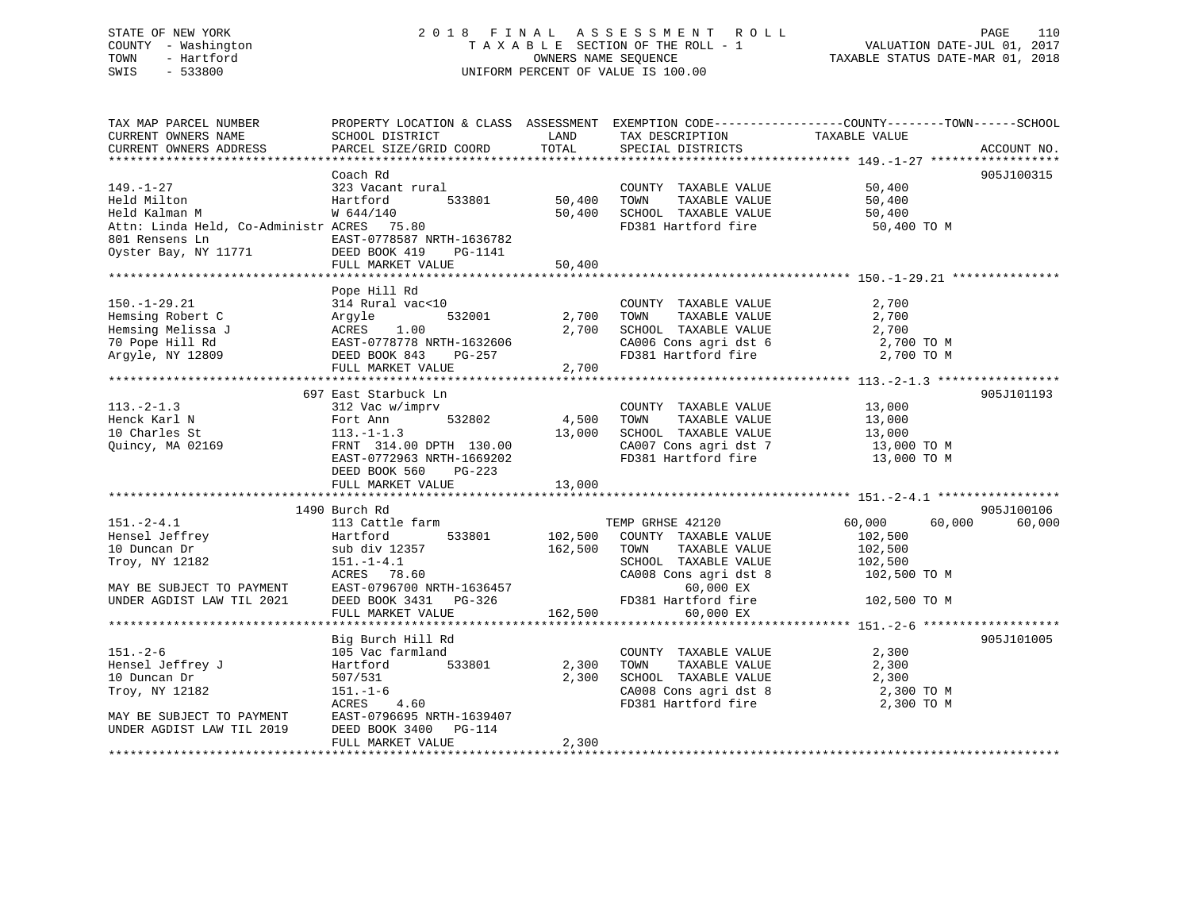|      | STATE OF NEW YORK   | 2018 FINAL ASSESSMENT ROLL         |                                  | PAGE | 110 |
|------|---------------------|------------------------------------|----------------------------------|------|-----|
|      | COUNTY - Washington | TAXABLE SECTION OF THE ROLL - 1    | VALUATION DATE-JUL 01, 2017      |      |     |
| TOWN | - Hartford          | OWNERS NAME SEOUENCE               | TAXABLE STATUS DATE-MAR 01, 2018 |      |     |
| SWIS | - 533800            | UNIFORM PERCENT OF VALUE IS 100.00 |                                  |      |     |
|      |                     |                                    |                                  |      |     |
|      |                     |                                    |                                  |      |     |

| TAX MAP PARCEL NUMBER                            | PROPERTY LOCATION & CLASS ASSESSMENT EXEMPTION CODE----------------COUNTY-------TOWN------SCHOOL                    |               |                                                                                                                                                                                                    |                  |                      |
|--------------------------------------------------|---------------------------------------------------------------------------------------------------------------------|---------------|----------------------------------------------------------------------------------------------------------------------------------------------------------------------------------------------------|------------------|----------------------|
| CURRENT OWNERS NAME<br>CURRENT OWNERS ADDRESS    | SCHOOL DISTRICT<br>PARCEL SIZE/GRID COORD                                                                           | LAND<br>TOTAL | TAX DESCRIPTION<br>SPECIAL DISTRICTS                                                                                                                                                               | TAXABLE VALUE    | ACCOUNT NO.          |
|                                                  |                                                                                                                     |               |                                                                                                                                                                                                    |                  |                      |
|                                                  | Coach Rd                                                                                                            |               |                                                                                                                                                                                                    |                  | 905J100315           |
| $149. - 1 - 27$                                  | 323 Vacant rural                                                                                                    |               | COUNTY TAXABLE VALUE 50,400                                                                                                                                                                        |                  |                      |
| Held Milton                                      | Hartford<br>533801                                                                                                  | 50,400        | TOWN<br>TAXABLE VALUE                                                                                                                                                                              | 50,400           |                      |
| Held Kalman M                                    | W 644/140                                                                                                           |               | 50,400 SCHOOL TAXABLE VALUE                                                                                                                                                                        | 50,400           |                      |
| Attn: Linda Held, Co-Administr ACRES 75.80       |                                                                                                                     |               | FD381 Hartford fire                                                                                                                                                                                | 50,400 TO M      |                      |
|                                                  |                                                                                                                     |               |                                                                                                                                                                                                    |                  |                      |
|                                                  |                                                                                                                     |               |                                                                                                                                                                                                    |                  |                      |
|                                                  | FULL MARKET VALUE                                                                                                   | 50,400        |                                                                                                                                                                                                    |                  |                      |
|                                                  |                                                                                                                     |               |                                                                                                                                                                                                    |                  |                      |
|                                                  | 314 Rural vac<10<br>314 Rural vac<10<br>332001<br>J ACRES 1.00<br>EAST-0778778 NRTH-1632606<br>DEED BOOK 843 PG-257 |               |                                                                                                                                                                                                    |                  |                      |
| $150. - 1 - 29.21$                               |                                                                                                                     |               | COUNTY TAXABLE VALUE<br>TOWN       TAXABLE  VALUE                                                                                                                                                  | 2,700            |                      |
| Hemsing Robert C                                 |                                                                                                                     | 2,700         |                                                                                                                                                                                                    | 2,700            |                      |
| Hemsing Melissa J                                |                                                                                                                     | 2,700         | SCHOOL TAXABLE VALUE                                                                                                                                                                               | 2,700            |                      |
| 70 Pope Hill Rd                                  |                                                                                                                     |               | $C A 0 0 6$ Cons agri dst 6 2,700 TO M                                                                                                                                                             |                  |                      |
| Argyle, NY 12809                                 |                                                                                                                     |               | FD381 Hartford fire                                                                                                                                                                                | 2,700 TO M       |                      |
|                                                  | FULL MARKET VALUE                                                                                                   | 2,700         |                                                                                                                                                                                                    |                  |                      |
|                                                  |                                                                                                                     |               |                                                                                                                                                                                                    |                  |                      |
|                                                  | 697 East Starbuck Ln                                                                                                |               |                                                                                                                                                                                                    |                  | 905J101193           |
| $113.-2-1.3$                                     | 312 Vac w/imprv                                                                                                     | 532802 4,500  | $\begin{tabular}{lllllllllllll} \multicolumn{2}{c}{\text{COUNTY}} & \text{TAXABLE VALUE} & & & 13\, ,000 \\ \multicolumn{2}{c}{\text{TOWN}} & \text{TAXABLE VALUE} & & 13\, ,000 \\ \end{tabular}$ |                  |                      |
| Henck Karl N                                     |                                                                                                                     |               |                                                                                                                                                                                                    |                  |                      |
| 10 Charles St                                    | Fort Ann 532802 4,500<br>113.-1-1.3 13,000<br>FRNT 314.00 DPTH 130.00 13,000                                        |               | SCHOOL TAXABLE VALUE 13,000<br>CA007 Cons agri dst 7 13,000 TO M                                                                                                                                   |                  |                      |
| Quincy, MA 02169                                 |                                                                                                                     |               |                                                                                                                                                                                                    |                  |                      |
|                                                  | EAST-0772963 NRTH-1669202                                                                                           |               | FD381 Hartford fire                                                                                                                                                                                | 13,000 TO M      |                      |
|                                                  | DEED BOOK 560 PG-223                                                                                                |               |                                                                                                                                                                                                    |                  |                      |
|                                                  | FULL MARKET VALUE 13,000                                                                                            |               |                                                                                                                                                                                                    |                  |                      |
|                                                  |                                                                                                                     |               |                                                                                                                                                                                                    |                  |                      |
| $151. - 2 - 4.1$                                 | 1490 Burch Rd<br>113 Cattle farm                                                                                    |               | TEMP GRHSE 42120                                                                                                                                                                                   | 60,000<br>60,000 | 905J100106<br>60,000 |
| Hensel Jeffrey                                   | 533801<br>Hartford                                                                                                  |               | 102,500 COUNTY TAXABLE VALUE                                                                                                                                                                       | 102,500          |                      |
| 10 Duncan Dr                                     | sub div 12357                                                                                                       | 162,500 TOWN  | TAXABLE VALUE                                                                                                                                                                                      | 102,500          |                      |
| Troy, NY 12182                                   | $151. - 1 - 4.1$                                                                                                    |               |                                                                                                                                                                                                    |                  |                      |
|                                                  | ACRES 78.60                                                                                                         |               | SCHOOL TAXABLE VALUE 102,500<br>CA008 Cons agri dst 8 102,500 TO M                                                                                                                                 |                  |                      |
| MAY BE SUBJECT TO PAYMENT                        | EAST-0796700 NRTH-1636457                                                                                           |               | 60,000 EX                                                                                                                                                                                          |                  |                      |
| UNDER AGDIST LAW TIL 2021                        | DEED BOOK 3431 PG-326                                                                                               |               | FD381 Hartford fire                                                                                                                                                                                | 102,500 TO M     |                      |
|                                                  | FULL MARKET VALUE                                                                                                   |               | 162,500<br>60,000 EX                                                                                                                                                                               |                  |                      |
|                                                  |                                                                                                                     |               |                                                                                                                                                                                                    |                  |                      |
|                                                  | Big Burch Hill Rd                                                                                                   |               |                                                                                                                                                                                                    |                  | 905J101005           |
| $151. - 2 - 6$                                   | 105 Vac farmland                                                                                                    |               | COUNTY TAXABLE VALUE                                                                                                                                                                               | 2,300            |                      |
|                                                  | 533801<br>Hartford                                                                                                  | 2,300         | TAXABLE VALUE<br>TOWN                                                                                                                                                                              | 2,300            |                      |
| Hensel Jeffrey J<br>10 Duncan Dr<br>10 Duncan Dr | 507/531                                                                                                             | 2,300         | SCHOOL TAXABLE VALUE 2,300                                                                                                                                                                         |                  |                      |
| Troy, NY 12182                                   | $151. - 1 - 6$                                                                                                      |               |                                                                                                                                                                                                    | 2,300 TO M       |                      |
|                                                  | ACRES<br>4.60                                                                                                       |               | CA008 Cons agri dst 8<br>FD381 Hartford fire                                                                                                                                                       | 2,300 TO M       |                      |
| MAY BE SUBJECT TO PAYMENT                        | EAST-0796695 NRTH-1639407                                                                                           |               |                                                                                                                                                                                                    |                  |                      |
| UNDER AGDIST LAW TIL 2019                        | DEED BOOK 3400 PG-114                                                                                               |               |                                                                                                                                                                                                    |                  |                      |
|                                                  | FULL MARKET VALUE                                                                                                   | 2,300         |                                                                                                                                                                                                    |                  |                      |
|                                                  |                                                                                                                     |               |                                                                                                                                                                                                    |                  |                      |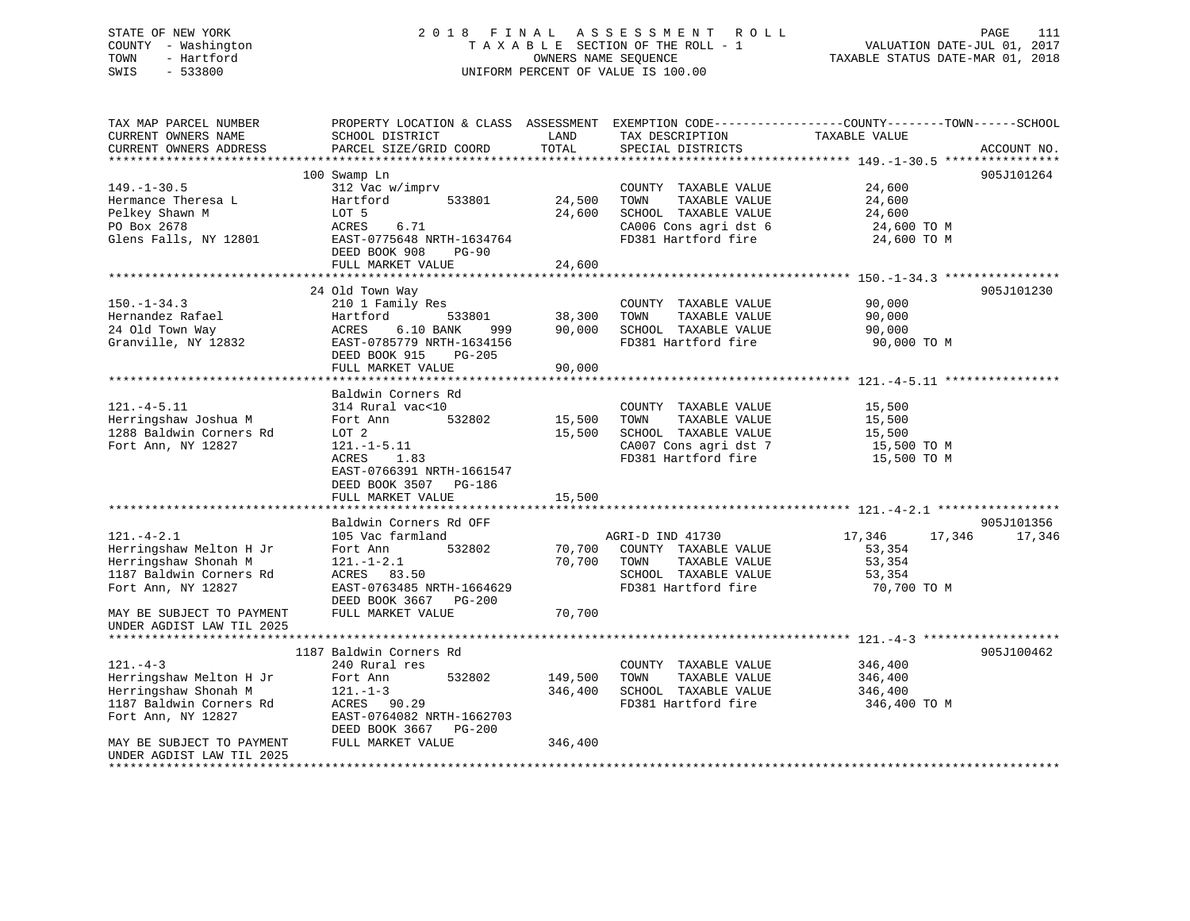## STATE OF NEW YORK 2 0 1 8 F I N A L A S S E S S M E N T R O L L PAGE 111 COUNTY - Washington T A X A B L E SECTION OF THE ROLL - 1 VALUATION DATE-JUL 01, 2017 TOWN - Hartford **TAXABLE STATUS DATE-MAR 01, 2018** OWNERS NAME SEQUENCE TAXABLE STATUS DATE-MAR 01, 2018 SWIS - 533800 UNIFORM PERCENT OF VALUE IS 100.00

| TAX MAP PARCEL NUMBER     | PROPERTY LOCATION & CLASS ASSESSMENT EXEMPTION CODE----------------COUNTY-------TOWN------SCHOOL |            |                       |               |               |
|---------------------------|--------------------------------------------------------------------------------------------------|------------|-----------------------|---------------|---------------|
| CURRENT OWNERS NAME       | SCHOOL DISTRICT                                                                                  | LAND       | TAX DESCRIPTION       | TAXABLE VALUE |               |
| CURRENT OWNERS ADDRESS    | PARCEL SIZE/GRID COORD                                                                           | TOTAL      | SPECIAL DISTRICTS     |               | ACCOUNT NO.   |
|                           |                                                                                                  |            |                       |               |               |
|                           | 100 Swamp Ln                                                                                     |            |                       |               | 905J101264    |
| $149. - 1 - 30.5$         | 312 Vac w/imprv                                                                                  |            | COUNTY TAXABLE VALUE  | 24,600        |               |
| Hermance Theresa L        | Hartford<br>533801                                                                               | 24,500     | TAXABLE VALUE<br>TOWN | 24,600        |               |
| Pelkey Shawn M            | LOT 5                                                                                            | 24,600     | SCHOOL TAXABLE VALUE  | 24,600        |               |
| PO Box 2678               | 6.71<br>ACRES                                                                                    |            | CA006 Cons agri dst 6 | 24,600 TO M   |               |
| Glens Falls, NY 12801     | EAST-0775648 NRTH-1634764                                                                        |            | FD381 Hartford fire   | 24,600 TO M   |               |
|                           | DEED BOOK 908<br><b>PG-90</b>                                                                    |            |                       |               |               |
|                           | FULL MARKET VALUE                                                                                | 24,600     |                       |               |               |
|                           |                                                                                                  |            |                       |               |               |
|                           | 24 Old Town Way                                                                                  |            |                       |               | 905J101230    |
| $150. - 1 - 34.3$         | 210 1 Family Res                                                                                 |            | COUNTY TAXABLE VALUE  | 90,000        |               |
| Hernandez Rafael          | Hartford<br>533801                                                                               | 38,300     | TOWN<br>TAXABLE VALUE | 90,000        |               |
| 24 Old Town Way           | ACRES<br>6.10 BANK                                                                               | 999 90,000 | SCHOOL TAXABLE VALUE  | 90,000        |               |
| Granville, NY 12832       | EAST-0785779 NRTH-1634156                                                                        |            | FD381 Hartford fire   | 90,000 TO M   |               |
|                           | DEED BOOK 915<br>PG-205                                                                          |            |                       |               |               |
|                           | FULL MARKET VALUE                                                                                | 90,000     |                       |               |               |
|                           |                                                                                                  |            |                       |               |               |
|                           | Baldwin Corners Rd                                                                               |            |                       |               |               |
| $121. -4 - 5.11$          | 314 Rural vac<10                                                                                 |            | COUNTY TAXABLE VALUE  | 15,500        |               |
| Herringshaw Joshua M      | Fort Ann<br>532802                                                                               | 15,500     | TAXABLE VALUE<br>TOWN | 15,500        |               |
| 1288 Baldwin Corners Rd   | LOT 2                                                                                            | 15,500     | SCHOOL TAXABLE VALUE  | 15,500        |               |
| Fort Ann, NY 12827        | $121.-1-5.11$                                                                                    |            | CA007 Cons agri dst 7 | 15,500 TO M   |               |
|                           | ACRES<br>1.83                                                                                    |            | FD381 Hartford fire   | 15,500 TO M   |               |
|                           | EAST-0766391 NRTH-1661547                                                                        |            |                       |               |               |
|                           | DEED BOOK 3507 PG-186                                                                            |            |                       |               |               |
|                           | FULL MARKET VALUE                                                                                | 15,500     |                       |               |               |
|                           |                                                                                                  |            |                       |               |               |
|                           | Baldwin Corners Rd OFF                                                                           |            |                       |               | 905J101356    |
| $121. - 4 - 2.1$          | 105 Vac farmland                                                                                 |            | AGRI-D IND 41730      | 17,346        | 17,346 17,346 |
| Herringshaw Melton H Jr   | 532802<br>Fort Ann                                                                               | 70,700     | COUNTY TAXABLE VALUE  | 53,354        |               |
| Herringshaw Shonah M      | $121. - 1 - 2.1$                                                                                 | 70,700     | TOWN<br>TAXABLE VALUE | 53,354        |               |
| 1187 Baldwin Corners Rd   | ACRES 83.50                                                                                      |            | SCHOOL TAXABLE VALUE  | 53,354        |               |
| Fort Ann, NY 12827        | EAST-0763485 NRTH-1664629                                                                        |            | FD381 Hartford fire   | 70,700 TO M   |               |
|                           | DEED BOOK 3667 PG-200                                                                            |            |                       |               |               |
| MAY BE SUBJECT TO PAYMENT | FULL MARKET VALUE                                                                                | 70,700     |                       |               |               |
| UNDER AGDIST LAW TIL 2025 |                                                                                                  |            |                       |               |               |
|                           |                                                                                                  |            |                       |               |               |
|                           | 1187 Baldwin Corners Rd                                                                          |            |                       |               | 905J100462    |
| $121 - 4 - 3$             | 240 Rural res                                                                                    |            | COUNTY TAXABLE VALUE  | 346,400       |               |
| Herringshaw Melton H Jr   | 532802<br>Fort Ann                                                                               | 149,500    | TOWN<br>TAXABLE VALUE | 346,400       |               |
| Herringshaw Shonah M      | $121. - 1 - 3$                                                                                   | 346,400    | SCHOOL TAXABLE VALUE  | 346,400       |               |
| 1187 Baldwin Corners Rd   | ACRES 90.29                                                                                      |            | FD381 Hartford fire   | 346,400 TO M  |               |
| Fort Ann, NY 12827        | EAST-0764082 NRTH-1662703                                                                        |            |                       |               |               |
|                           | DEED BOOK 3667 PG-200                                                                            |            |                       |               |               |
| MAY BE SUBJECT TO PAYMENT | FULL MARKET VALUE                                                                                | 346,400    |                       |               |               |
| UNDER AGDIST LAW TIL 2025 |                                                                                                  |            |                       |               |               |
| **********************    |                                                                                                  |            |                       |               |               |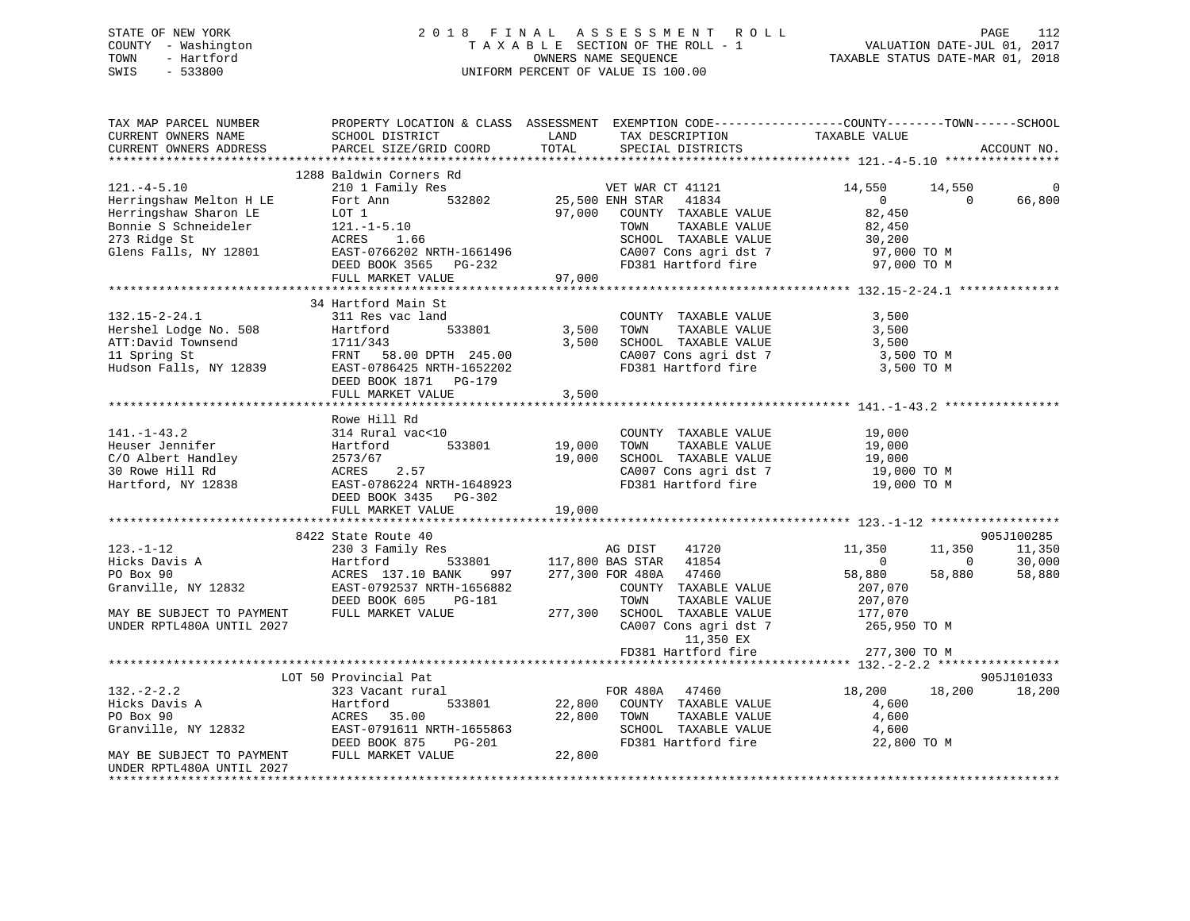## STATE OF NEW YORK 2 0 1 8 F I N A L A S S E S S M E N T R O L L PAGE 112 COUNTY - Washington T A X A B L E SECTION OF THE ROLL - 1 VALUATION DATE-JUL 01, 2017 TOWN - Hartford **TAXABLE STATUS DATE-MAR 01, 2018** OWNERS NAME SEQUENCE TAXABLE STATUS DATE-MAR 01, 2018 SWIS - 533800 UNIFORM PERCENT OF VALUE IS 100.00

| TAX MAP PARCEL NUMBER<br>CURRENT OWNERS NAME<br>CURRENT OWNERS ADDRESS | PROPERTY LOCATION & CLASS ASSESSMENT EXEMPTION CODE---------------COUNTY-------TOWN------SCHOOL<br>SCHOOL DISTRICT<br>PARCEL SIZE/GRID COORD | LAND<br>TOTAL | TAX DESCRIPTION<br>SPECIAL DISTRICTS             | TAXABLE VALUE                | ACCOUNT NO.                     |
|------------------------------------------------------------------------|----------------------------------------------------------------------------------------------------------------------------------------------|---------------|--------------------------------------------------|------------------------------|---------------------------------|
|                                                                        |                                                                                                                                              |               |                                                  |                              |                                 |
| $121. -4 - 5.10$                                                       | 1288 Baldwin Corners Rd<br>210 1 Family Res                                                                                                  |               | VET WAR CT 41121                                 | 14,550<br>14,550             | 0                               |
| Herringshaw Melton H LE<br>Herringshaw Sharon LE                       | 532802<br>Fort Ann<br>LOT 1                                                                                                                  | 97,000        | 25,500 ENH STAR<br>41834<br>COUNTY TAXABLE VALUE | $\overline{0}$<br>82,450     | 66,800<br>$\Omega$              |
| Bonnie S Schneideler                                                   | $121. - 1 - 5.10$                                                                                                                            |               | TAXABLE VALUE<br>TOWN                            | 82,450                       |                                 |
| 273 Ridge St                                                           | ACRES<br>1.66                                                                                                                                |               | SCHOOL TAXABLE VALUE                             | 30,200                       |                                 |
| Glens Falls, NY 12801                                                  | EAST-0766202 NRTH-1661496                                                                                                                    |               | CA007 Cons agri dst 7<br>FD381 Hartford fire     | 97,000 TO M                  |                                 |
|                                                                        | DEED BOOK 3565 PG-232<br>FULL MARKET VALUE                                                                                                   | 97,000        |                                                  | 97,000 TO M                  |                                 |
|                                                                        |                                                                                                                                              |               |                                                  |                              |                                 |
|                                                                        | 34 Hartford Main St                                                                                                                          |               |                                                  |                              |                                 |
| $132.15 - 2 - 24.1$                                                    | 311 Res vac land                                                                                                                             |               | COUNTY TAXABLE VALUE                             | 3,500                        |                                 |
| Hershel Lodge No. 508                                                  | Hartford<br>533801                                                                                                                           | 3,500         | TOWN<br>TAXABLE VALUE                            | 3,500                        |                                 |
| ATT:David Townsend                                                     | 1711/343                                                                                                                                     | 3,500         | SCHOOL TAXABLE VALUE                             | 3,500                        |                                 |
| 11 Spring St                                                           | FRNT 58.00 DPTH 245.00                                                                                                                       |               | CA007 Cons agri dst 7                            | 3,500 TO M                   |                                 |
| Hudson Falls, NY 12839                                                 | EAST-0786425 NRTH-1652202                                                                                                                    |               | FD381 Hartford fire                              | 3,500 TO M                   |                                 |
|                                                                        | DEED BOOK 1871 PG-179                                                                                                                        |               |                                                  |                              |                                 |
|                                                                        | FULL MARKET VALUE                                                                                                                            | 3,500         |                                                  |                              |                                 |
|                                                                        |                                                                                                                                              |               |                                                  |                              |                                 |
|                                                                        | Rowe Hill Rd                                                                                                                                 |               |                                                  |                              |                                 |
| $141. - 1 - 43.2$                                                      | 314 Rural vac<10                                                                                                                             |               | COUNTY TAXABLE VALUE                             | 19,000                       |                                 |
| Heuser Jennifer                                                        | Hartford<br>533801                                                                                                                           | 19,000        | TOWN<br>TAXABLE VALUE                            | 19,000                       |                                 |
| C/O Albert Handley                                                     | 2573/67                                                                                                                                      | 19,000        | SCHOOL TAXABLE VALUE                             | 19,000                       |                                 |
| 30 Rowe Hill Rd                                                        | ACRES<br>2.57                                                                                                                                |               | CA007 Cons agri dst 7                            | 19,000 TO M                  |                                 |
| Hartford, NY 12838                                                     | EAST-0786224 NRTH-1648923                                                                                                                    |               | FD381 Hartford fire                              | 19,000 TO M                  |                                 |
|                                                                        | DEED BOOK 3435 PG-302                                                                                                                        |               |                                                  |                              |                                 |
|                                                                        | FULL MARKET VALUE                                                                                                                            | 19,000        |                                                  |                              |                                 |
|                                                                        |                                                                                                                                              |               |                                                  |                              |                                 |
|                                                                        | 8422 State Route 40                                                                                                                          |               |                                                  |                              | 905J100285                      |
| $123. - 1 - 12$<br>Hicks Davis A                                       | 230 3 Family Res<br>Hartford<br>533801                                                                                                       |               | AG DIST<br>41720<br>41854<br>117,800 BAS STAR    | 11,350<br>11,350<br>$\Omega$ | 11,350<br>$\mathbf 0$<br>30,000 |
| PO Box 90                                                              | ACRES 137.10 BANK<br>997                                                                                                                     |               | 47460<br>277,300 FOR 480A                        | 58,880<br>58,880             | 58,880                          |
| Granville, NY 12832                                                    | EAST-0792537 NRTH-1656882                                                                                                                    |               | COUNTY TAXABLE VALUE                             | 207,070                      |                                 |
|                                                                        | DEED BOOK 605<br>PG-181                                                                                                                      |               | TOWN<br>TAXABLE VALUE                            | 207,070                      |                                 |
| MAY BE SUBJECT TO PAYMENT                                              | FULL MARKET VALUE                                                                                                                            | 277,300       | SCHOOL TAXABLE VALUE                             | 177,070                      |                                 |
| UNDER RPTL480A UNTIL 2027                                              |                                                                                                                                              |               | CA007 Cons agri dst 7                            | 265,950 TO M                 |                                 |
|                                                                        |                                                                                                                                              |               | 11,350 EX                                        |                              |                                 |
|                                                                        |                                                                                                                                              |               | FD381 Hartford fire                              | 277,300 TO M                 |                                 |
|                                                                        |                                                                                                                                              |               |                                                  |                              |                                 |
|                                                                        | LOT 50 Provincial Pat                                                                                                                        |               |                                                  |                              | 905J101033                      |
| $132 - 2 - 2.2$                                                        | 323 Vacant rural                                                                                                                             |               | FOR 480A 47460                                   | 18,200<br>18,200             | 18,200                          |
| Hicks Davis A                                                          | Hartford<br>533801                                                                                                                           | 22,800        | COUNTY TAXABLE VALUE                             | 4,600                        |                                 |
| PO Box 90                                                              | 35.00<br>ACRES                                                                                                                               | 22,800        | TAXABLE VALUE<br>TOWN                            | 4,600                        |                                 |
| Granville, NY 12832                                                    | EAST-0791611 NRTH-1655863                                                                                                                    |               | SCHOOL TAXABLE VALUE                             | 4,600                        |                                 |
|                                                                        | DEED BOOK 875<br>PG-201                                                                                                                      |               | FD381 Hartford fire                              | 22,800 TO M                  |                                 |
| MAY BE SUBJECT TO PAYMENT                                              | FULL MARKET VALUE                                                                                                                            | 22,800        |                                                  |                              |                                 |
| UNDER RPTL480A UNTIL 2027                                              |                                                                                                                                              |               |                                                  |                              |                                 |
|                                                                        |                                                                                                                                              |               |                                                  |                              |                                 |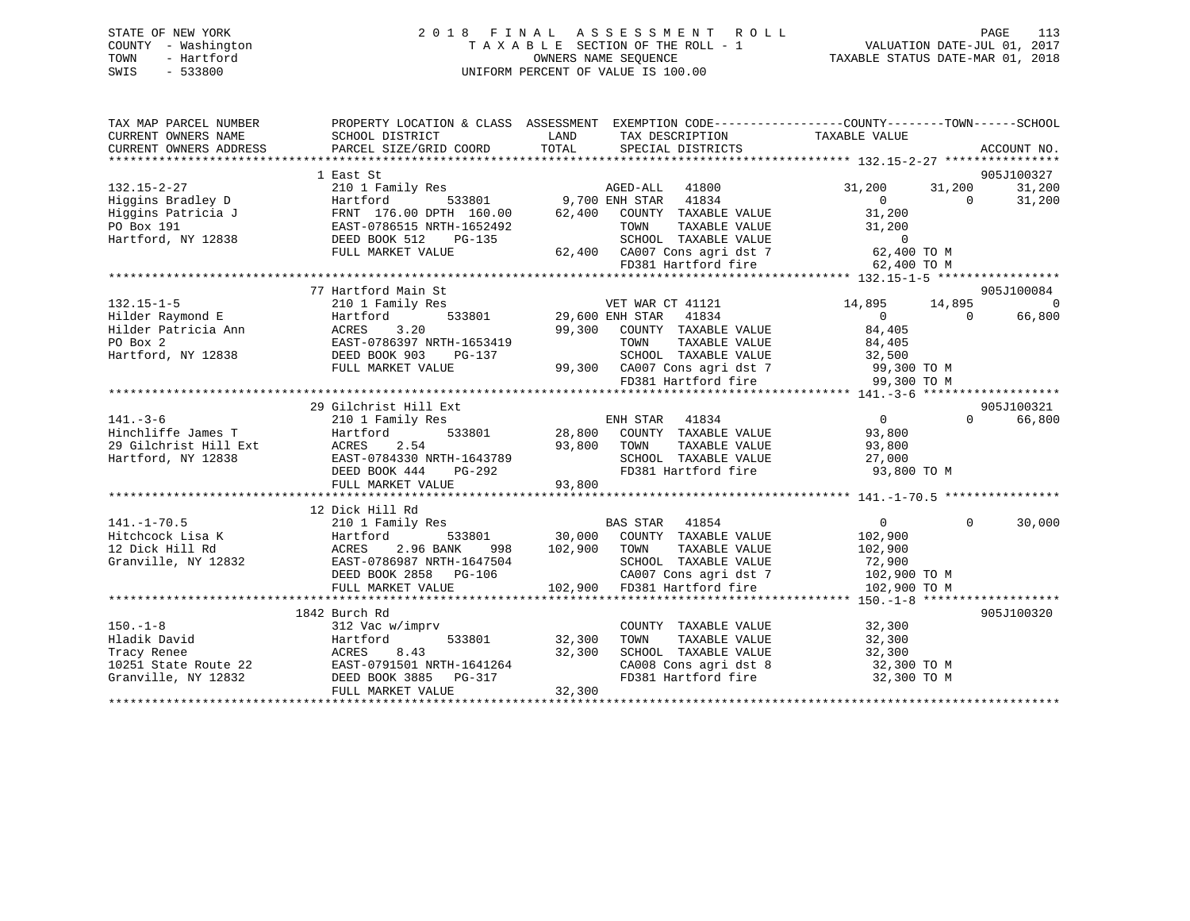# STATE OF NEW YORK 2018 FINAL ASSESSMENT ROLL PAGE 113 COUNTY - Washington  $T A X A B L E$  SECTION OF THE ROLL - 1<br>TOWN - Hartford SWIS - 533800 UNIFORM PERCENT OF VALUE IS 100.00

VALUATION DATE-JUL 01, 2017

TAXABLE STATUS DATE-MAR 01, 2018

| TAX MAP PARCEL NUMBER  |                                                                                                                                                                    | PROPERTY LOCATION & CLASS ASSESSMENT EXEMPTION CODE---------------COUNTY-------TOWN------SCHOOL                                                                                                                                                                                                  |                                            |
|------------------------|--------------------------------------------------------------------------------------------------------------------------------------------------------------------|--------------------------------------------------------------------------------------------------------------------------------------------------------------------------------------------------------------------------------------------------------------------------------------------------|--------------------------------------------|
| CURRENT OWNERS NAME    | SCHOOL DISTRICT                                                                                                                                                    | <b>LAND</b><br>TAX DESCRIPTION                                                                                                                                                                                                                                                                   | TAXABLE VALUE                              |
| CURRENT OWNERS ADDRESS |                                                                                                                                                                    | PARCEL SIZE/GRID COORD TOTAL SPECIAL DISTRICTS                                                                                                                                                                                                                                                   | ACCOUNT NO.                                |
|                        |                                                                                                                                                                    |                                                                                                                                                                                                                                                                                                  |                                            |
|                        | 1 East St                                                                                                                                                          |                                                                                                                                                                                                                                                                                                  | 905J100327                                 |
| $132.15 - 2 - 27$      | 210 1 Family Res                                                                                                                                                   | illy Res<br>533801 533801 9,700 ENH STAR 41834                                                                                                                                                                                                                                                   | 31,200<br>31,200 31,200                    |
| Higgins Bradley D      |                                                                                                                                                                    |                                                                                                                                                                                                                                                                                                  | 31,200                                     |
| Higgins Patricia J     |                                                                                                                                                                    |                                                                                                                                                                                                                                                                                                  |                                            |
| PO Box 191             |                                                                                                                                                                    |                                                                                                                                                                                                                                                                                                  |                                            |
| Hartford, NY 12838     |                                                                                                                                                                    | marticle by the 160.00 state of the 176.00 DPTH 160.00 62,400 COUNTY TAXABLE VALUE 31,200 0<br>EAST-0786515 NRTH-1652492 TOWN TAXABLE VALUE 31,200<br>DEED BOOK 512 PG-135 SCHOOL TOWN TAXABLE VALUE 31,200<br>652492 TOWN TAXABLE VALUE 31,200<br>-135 62,400 CA007 Cons agri dst 7 62,400 TO M |                                            |
|                        | FULL MARKET VALUE                                                                                                                                                  |                                                                                                                                                                                                                                                                                                  |                                            |
|                        |                                                                                                                                                                    |                                                                                                                                                                                                                                                                                                  |                                            |
|                        |                                                                                                                                                                    |                                                                                                                                                                                                                                                                                                  |                                            |
|                        | 77 Hartford Main St                                                                                                                                                |                                                                                                                                                                                                                                                                                                  | 905J100084                                 |
| $132.15 - 1 - 5$       | 210 1 Family Res                                                                                                                                                   | VET WAR CT 41121<br>533801 29,600 ENH STAR 41834<br>VET WAR CT 41121                                                                                                                                                                                                                             | $\Omega$<br>14,895 14,895                  |
| Hilder Raymond E       | Hartford                                                                                                                                                           |                                                                                                                                                                                                                                                                                                  | 66,800<br>$\overline{0}$<br>$\overline{0}$ |
|                        |                                                                                                                                                                    | 99,300 COUNTY TAXABLE VALUE                                                                                                                                                                                                                                                                      | 84,405<br>84,405                           |
|                        |                                                                                                                                                                    | TAXABLE VALUE                                                                                                                                                                                                                                                                                    |                                            |
|                        |                                                                                                                                                                    |                                                                                                                                                                                                                                                                                                  |                                            |
|                        | FULL MARKET VALUE                                                                                                                                                  |                                                                                                                                                                                                                                                                                                  |                                            |
|                        |                                                                                                                                                                    |                                                                                                                                                                                                                                                                                                  |                                            |
|                        |                                                                                                                                                                    | RTH-1653419<br>PG-137<br>99,300 CA007 Cons agri dst 7 99,300 TO M<br>FD381 Hartford fire 99,300 TO M<br>PD381 Hartford fire 99,300 TO M<br>PD381 Hartford fire 99,300 TO M                                                                                                                       |                                            |
|                        | 29 Gilchrist Hill Ext                                                                                                                                              |                                                                                                                                                                                                                                                                                                  | 905J100321                                 |
| $141. - 3 - 6$         | 210 1 Family Res                                                                                                                                                   | ENH STAR 41834<br>533801 28,800 COUNTY TAXABLE VALUE<br>2006 TOUR TAXABLE VALUE                                                                                                                                                                                                                  | $\overline{0}$<br>$\Omega$<br>66,800       |
|                        |                                                                                                                                                                    |                                                                                                                                                                                                                                                                                                  |                                            |
|                        |                                                                                                                                                                    |                                                                                                                                                                                                                                                                                                  |                                            |
|                        |                                                                                                                                                                    | 141.-5-0<br>Hinchiffe James T<br>29 Gilchrist Hill Ext ACRES 2.54 93,800 COUNTY TAXABLE VALUE 93,800<br>Hartford, NY 12838 EAST-0784330 NRTH-1643789 SCHOOL TAXABLE VALUE 93,800<br>TEED BOOK 444 PG-292 PD381 Hartford fire 93,800 TO                                                           |                                            |
|                        |                                                                                                                                                                    |                                                                                                                                                                                                                                                                                                  |                                            |
|                        |                                                                                                                                                                    |                                                                                                                                                                                                                                                                                                  |                                            |
|                        |                                                                                                                                                                    |                                                                                                                                                                                                                                                                                                  |                                            |
|                        | 12 Dick Hill Rd                                                                                                                                                    |                                                                                                                                                                                                                                                                                                  |                                            |
| $141. - 1 - 70.5$      | 210 1 Family Res                                                                                                                                                   |                                                                                                                                                                                                                                                                                                  | $\Omega$<br>30,000                         |
|                        |                                                                                                                                                                    |                                                                                                                                                                                                                                                                                                  |                                            |
|                        | 141.-1-70.5<br>Hitchcock Lisa K<br>12 Dick Hill Rd<br>Granville, NY 12832<br>ERS EAST-0786987 NRTH-1647504<br>DEED BOOK 2858<br>PG-106<br>DEED BOOK 2858<br>PG-106 | 998 102,900 TOWN                                                                                                                                                                                                                                                                                 | TAXABLE VALUE 102,900                      |
|                        |                                                                                                                                                                    |                                                                                                                                                                                                                                                                                                  | 72,900                                     |
|                        |                                                                                                                                                                    |                                                                                                                                                                                                                                                                                                  |                                            |
|                        |                                                                                                                                                                    |                                                                                                                                                                                                                                                                                                  |                                            |
|                        |                                                                                                                                                                    |                                                                                                                                                                                                                                                                                                  |                                            |
|                        | 1842 Burch Rd                                                                                                                                                      |                                                                                                                                                                                                                                                                                                  | 905J100320                                 |
| $150. - 1 - 8$         | 312 Vac w/imprv                                                                                                                                                    | COUNTY TAXABLE VALUE                                                                                                                                                                                                                                                                             | 32,300<br>32,300                           |
| Hladik David           | Hartford                                                                                                                                                           | 533801 32,300<br>TAXABLE VALUE<br>TOWN                                                                                                                                                                                                                                                           | 32,300                                     |
|                        |                                                                                                                                                                    | SCHOOL TAXABLE VALUE                                                                                                                                                                                                                                                                             | 32,300                                     |
|                        |                                                                                                                                                                    | CA008 Cons agri dst 8<br>FD381 Hartford fire                                                                                                                                                                                                                                                     | 32,300 TO M                                |
|                        | Tracy Renee<br>Tracy Renee<br>10251 State Route 22<br>Granville, NY 12832<br>CRED BOOK 3885 PG-317                                                                 |                                                                                                                                                                                                                                                                                                  | 32,300 TO M                                |
|                        | FULL MARKET VALUE                                                                                                                                                  | 32,300                                                                                                                                                                                                                                                                                           |                                            |
|                        |                                                                                                                                                                    |                                                                                                                                                                                                                                                                                                  |                                            |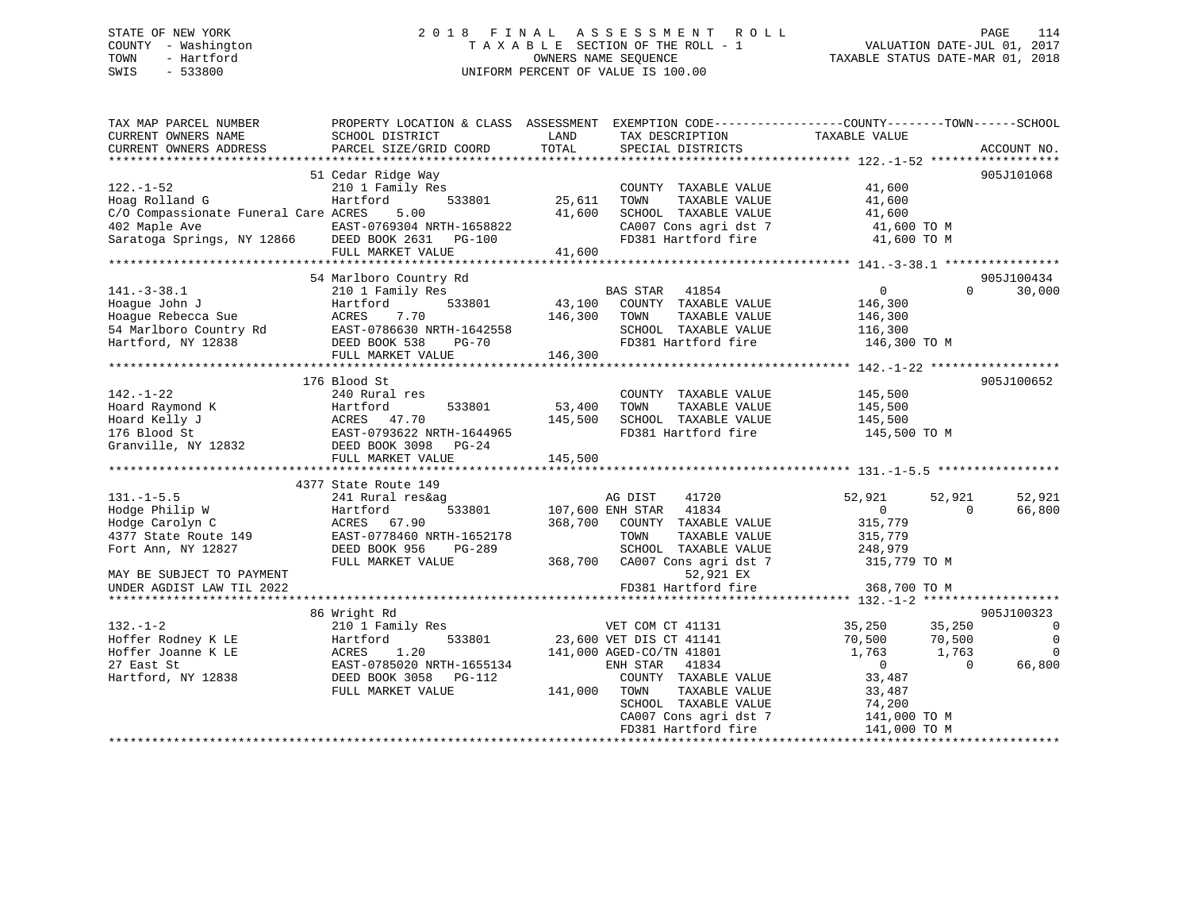## STATE OF NEW YORK 2 0 1 8 F I N A L A S S E S S M E N T R O L L PAGE 114 COUNTY - Washington T A X A B L E SECTION OF THE ROLL - 1 VALUATION DATE-JUL 01, 2017 TOWN - Hartford **TAXABLE STATUS DATE-MAR 01, 2018** OWNERS NAME SEQUENCE TAXABLE STATUS DATE-MAR 01, 2018 SWIS - 533800 UNIFORM PERCENT OF VALUE IS 100.00

| TAX MAP PARCEL NUMBER<br>CURRENT OWNERS NAME<br>CURRENT OWNERS ADDRESS                                                                                                                                                                                                             | PROPERTY LOCATION & CLASS ASSESSMENT EXEMPTION CODE----------------COUNTY-------TOWN-----SCHOOL<br>SCHOOL DISTRICT<br>PARCEL SIZE/GRID COORD | <b>LAND</b><br>TOTAL | TAX DESCRIPTION TAXABLE VALUE<br>SERCIAL DISTRICTS<br>SPECIAL DISTRICTS                                         |                                                                                                                                                              | ACCOUNT NO.                                                        |
|------------------------------------------------------------------------------------------------------------------------------------------------------------------------------------------------------------------------------------------------------------------------------------|----------------------------------------------------------------------------------------------------------------------------------------------|----------------------|-----------------------------------------------------------------------------------------------------------------|--------------------------------------------------------------------------------------------------------------------------------------------------------------|--------------------------------------------------------------------|
| $122. - 1 - 52$<br>Hoag Rolland G<br>C/O Compassionate Funeral Care ACRES 5.00<br>41,600 SCHOOL TAXABLE VALUE<br>41,600 SCHOOL TAXABLE VALUE<br>41,600 SCHOOL TAXABLE VALUE<br>41,600 SCHOOL TAXABLE VALUE<br>41,600 TO M<br>FULL MARKET VALUE<br>FULL MARKET VALUE<br>41,600 TO M | 51 Cedar Ridge Way<br>COUNT<br>210 1 Family Res<br>Hartford 533801 25,611 TOWN                                                               |                      | COUNTY TAXABLE VALUE 41,600                                                                                     | TAXABLE VALUE 41,600                                                                                                                                         | 905J101068                                                         |
|                                                                                                                                                                                                                                                                                    |                                                                                                                                              |                      |                                                                                                                 |                                                                                                                                                              | 905J100434                                                         |
|                                                                                                                                                                                                                                                                                    |                                                                                                                                              |                      |                                                                                                                 |                                                                                                                                                              | $\Omega$<br>30,000                                                 |
|                                                                                                                                                                                                                                                                                    | 176 Blood St                                                                                                                                 |                      |                                                                                                                 |                                                                                                                                                              | 905J100652                                                         |
|                                                                                                                                                                                                                                                                                    | FULL MARKET VALUE 145,500                                                                                                                    |                      | COUNTY TAXABLE VALUE<br>TAXABLE VALUE<br>SCHOOL TAXABLE VALUE 145,500<br>FD381 Hartford fire                    | 145,500<br>145,500<br>145,500 TO M                                                                                                                           |                                                                    |
|                                                                                                                                                                                                                                                                                    | 4377 State Route 149                                                                                                                         |                      |                                                                                                                 |                                                                                                                                                              |                                                                    |
| 131.-1-5.5<br>Hodge Philip W<br>Index Carolyn C<br>1992 ULIVE 1994 - 1994 - 1995<br>Fort Ann. NY 12827 - 1995 - 1996 DEED BOOK 956 - 1996 - 1999<br>Fort Ann. NY 12827 - 1996 DEED BOOK 956 - 196-289<br>Fort Ann, NY 12827                                                        | 241 Rural res&ag<br>Hartford<br>ACRES 67.90<br>DEED BOOK 956 PG-289                                                                          |                      | 41720<br>AG DIST<br>533801 107,600 ENH STAR 41834<br>368,700 COUNTY TAXABLE VALUE                               | 52,921<br>52,921<br>0<br>315,779                                                                                                                             | 52,921<br>66,800<br>$\Omega$                                       |
| MAY BE SUBJECT TO PAYMENT<br>UNDER AGDIST LAW TIL 2022                                                                                                                                                                                                                             |                                                                                                                                              |                      | 52,921 EX<br>FD381 Hartford fire                                                                                | 368,700 TO M                                                                                                                                                 |                                                                    |
|                                                                                                                                                                                                                                                                                    |                                                                                                                                              |                      |                                                                                                                 |                                                                                                                                                              |                                                                    |
|                                                                                                                                                                                                                                                                                    | 86 Wright Rd                                                                                                                                 |                      |                                                                                                                 |                                                                                                                                                              | 905J100323                                                         |
| $132. - 1 - 2$<br>Hoffer Rodney K LE<br>Hoffer Joanne K LE<br>23,600<br>27 East St<br>241,000<br>27 East St<br>241,000<br>27 East St<br>24 EAST -0785020<br>27 East St<br>241,000<br>27 East St<br>Hartford, NY 12838                                                              | 210 1 Family Res<br>DEED BOOK 3058 PG-112<br>FULL MARKET VALUE                                                                               | 141,000 TOWN         | 141,000 AGED-CO/TN 41801<br>141,000 AGED-CO/TN 41801<br>PNU CTAR 41834<br>COUNTY TAXABLE VALUE<br>TAXABLE VALUE | VET COM CT 41131 35,250 35,250<br>533801 23,600 VET DIS CT 41141 70,500 70,500<br>141,000 AGED-CO/TN 41801 1,763 1,763<br>$\overline{0}$<br>33,487<br>33,487 | $\overline{0}$<br>$\overline{0}$<br>$\Omega$<br>66,800<br>$\Omega$ |
|                                                                                                                                                                                                                                                                                    |                                                                                                                                              |                      | SCHOOL TAXABLE VALUE<br>CA007 Cons agri dst 7<br>FD381 Hartford fire                                            | 74,200<br>141,000 TO M<br>141,000 TO M                                                                                                                       |                                                                    |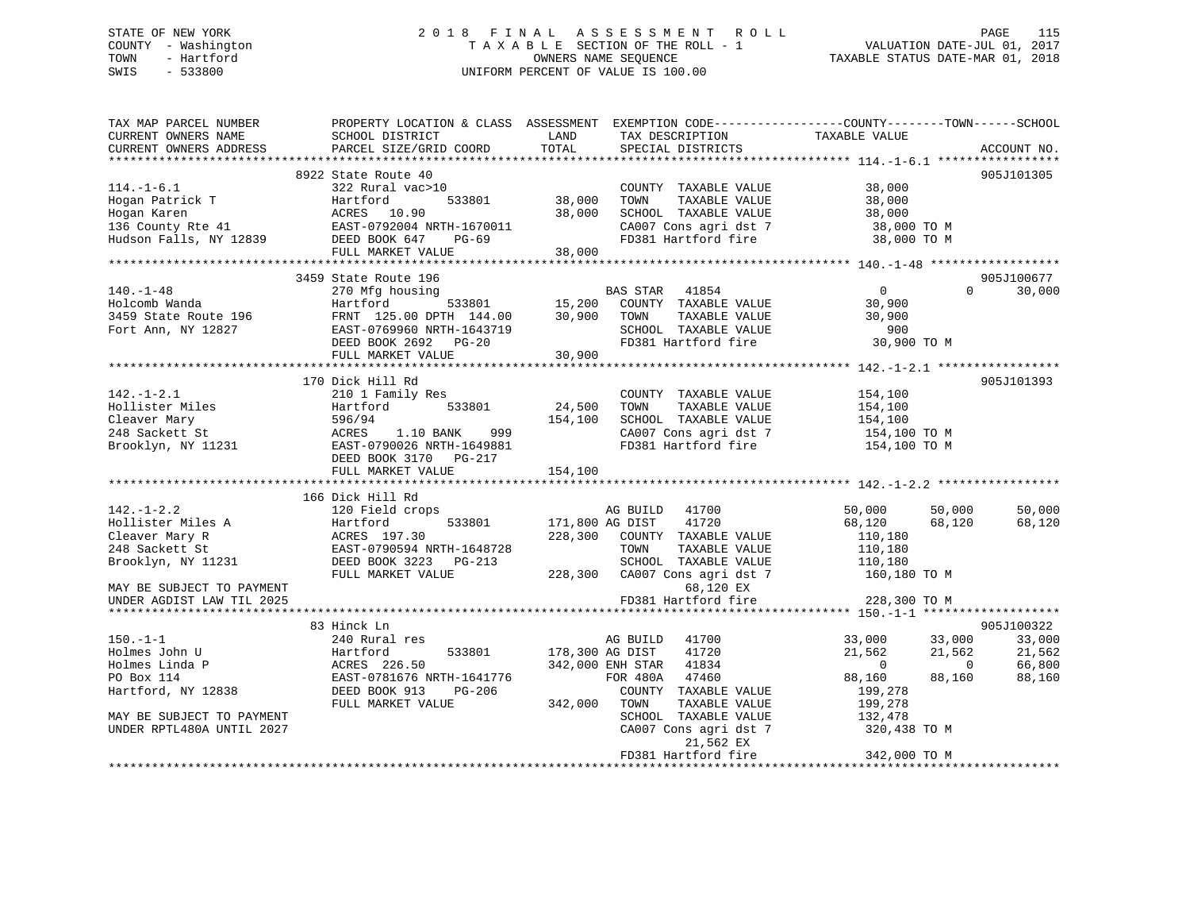## STATE OF NEW YORK 2 0 1 8 F I N A L A S S E S S M E N T R O L L PAGE 115 COUNTY - Washington T A X A B L E SECTION OF THE ROLL - 1 VALUATION DATE-JUL 01, 2017 TOWN - Hartford **TAXABLE STATUS DATE-MAR 01, 2018** OWNERS NAME SEQUENCE TAXABLE STATUS DATE-MAR 01, 2018 SWIS - 533800 UNIFORM PERCENT OF VALUE IS 100.00

| TAX MAP PARCEL NUMBER<br>CURRENT OWNERS NAME                                                    | PROPERTY LOCATION & CLASS ASSESSMENT EXEMPTION CODE----------------COUNTY-------TOWN------SCHOOL<br>SCHOOL DISTRICT                                     | LAND                             | TAX DESCRIPTION                                                                                                            | TAXABLE VALUE                                                                                                      |                                                    |
|-------------------------------------------------------------------------------------------------|---------------------------------------------------------------------------------------------------------------------------------------------------------|----------------------------------|----------------------------------------------------------------------------------------------------------------------------|--------------------------------------------------------------------------------------------------------------------|----------------------------------------------------|
| CURRENT OWNERS ADDRESS                                                                          | PARCEL SIZE/GRID COORD                                                                                                                                  | TOTAL                            | SPECIAL DISTRICTS                                                                                                          |                                                                                                                    | ACCOUNT NO.                                        |
|                                                                                                 |                                                                                                                                                         |                                  |                                                                                                                            |                                                                                                                    |                                                    |
| $114. - 1 - 6.1$<br>Hogan Patrick T<br>Hogan Karen<br>136 County Rte 41                         | 8922 State Route 40<br>322 Rural vac>10<br>533801<br>Hartford<br>ACRES<br>10.90<br>EAST-0792004 NRTH-1670011                                            | 38,000<br>38,000                 | COUNTY TAXABLE VALUE<br>TOWN<br>TAXABLE VALUE<br>SCHOOL TAXABLE VALUE<br>CA007 Cons agri dst 7                             | 38,000<br>38,000<br>38,000<br>38,000 TO M                                                                          | 905J101305                                         |
| Hudson Falls, NY 12839                                                                          | DEED BOOK 647<br>$PG-69$                                                                                                                                |                                  | FD381 Hartford fire                                                                                                        | 38,000 TO M                                                                                                        |                                                    |
|                                                                                                 | FULL MARKET VALUE                                                                                                                                       | 38,000                           |                                                                                                                            |                                                                                                                    |                                                    |
|                                                                                                 | 3459 State Route 196                                                                                                                                    |                                  |                                                                                                                            |                                                                                                                    | 905J100677                                         |
| $140. - 1 - 48$<br>Holcomb Wanda<br>3459 State Route 196<br>Fort Ann, NY 12827                  | 270 Mfg housing<br>Hartford<br>533801<br>FRNT 125.00 DPTH 144.00<br>EAST-0769960 NRTH-1643719<br>DEED BOOK 2692 PG-20<br>FULL MARKET VALUE              | BZ<br>15,200<br>30,900<br>30,900 | <b>BAS STAR</b><br>41854<br>COUNTY TAXABLE VALUE<br>TAXABLE VALUE<br>TOWN<br>SCHOOL TAXABLE VALUE<br>FD381 Hartford fire   | $\overline{0}$<br>$\Omega$<br>30,900<br>30,900<br>900<br>30,900 TO M                                               | 30,000                                             |
|                                                                                                 |                                                                                                                                                         |                                  |                                                                                                                            |                                                                                                                    |                                                    |
| $142. - 1 - 2.1$<br>Hollister Miles<br>Cleaver Mary<br>248 Sackett St<br>Brooklyn, NY 11231     | 170 Dick Hill Rd<br>210 1 Family Res<br>533801<br>Hartford<br>596/94<br>ACRES<br>1.10 BANK<br>999<br>EAST-0790026 NRTH-1649881<br>DEED BOOK 3170 PG-217 | 24,500<br>154,100                | COUNTY TAXABLE VALUE<br>TAXABLE VALUE<br>TOWN<br>SCHOOL TAXABLE VALUE<br>CA007 Cons agri dst 7<br>FD381 Hartford fire      | 154,100<br>154,100<br>154,100<br>154,100 TO M<br>154,100 TO M                                                      | 905J101393                                         |
|                                                                                                 | FULL MARKET VALUE                                                                                                                                       | 154,100                          |                                                                                                                            |                                                                                                                    |                                                    |
|                                                                                                 |                                                                                                                                                         |                                  |                                                                                                                            |                                                                                                                    |                                                    |
| $142. - 1 - 2.2$<br>Hollister Miles A<br>Cleaver Mary R<br>248 Sackett St<br>Brooklyn, NY 11231 | 166 Dick Hill Rd<br>120 Field crops<br>533801<br>Hartford<br>ACRES 197.30<br>EAST-0790594 NRTH-1648728<br>DEED BOOK 3223 PG-213                         | 171,800 AG DIST                  | AG BUILD<br>41700<br>41720<br>228,300 COUNTY TAXABLE VALUE<br>TOWN<br>TAXABLE VALUE<br>SCHOOL TAXABLE VALUE                | 50,000<br>50,000<br>68,120<br>68,120<br>110,180<br>110,180<br>110,180                                              | 50,000<br>68,120                                   |
| MAY BE SUBJECT TO PAYMENT<br>UNDER AGDIST LAW TIL 2025                                          | FULL MARKET VALUE                                                                                                                                       | 228,300                          | CA007 Cons agri dst 7<br>68,120 EX<br>FD381 Hartford fire                                                                  | 160,180 TO M<br>228,300 TO M                                                                                       |                                                    |
|                                                                                                 |                                                                                                                                                         |                                  |                                                                                                                            |                                                                                                                    |                                                    |
| $150. - 1 - 1$<br>Holmes John U<br>Holmes Linda P<br>PO Box 114<br>Hartford, NY 12838           | 83 Hinck Ln<br>240 Rural res<br>533801<br>Hartford<br>ACRES 226.50<br>EAST-0781676 NRTH-1641776<br>DEED BOOK 913<br>PG-206<br>FULL MARKET VALUE         | 178,300 AG DIST<br>342,000       | AG BUILD<br>41700<br>41720<br>342,000 ENH STAR 41834<br>FOR 480A<br>47460<br>COUNTY TAXABLE VALUE<br>TOWN<br>TAXABLE VALUE | 33,000<br>33,000<br>21,562<br>21,562<br>$\overline{0}$<br>$\overline{0}$<br>88,160<br>88,160<br>199,278<br>199,278 | 905J100322<br>33,000<br>21,562<br>66,800<br>88,160 |
| MAY BE SUBJECT TO PAYMENT<br>UNDER RPTL480A UNTIL 2027                                          |                                                                                                                                                         |                                  | SCHOOL TAXABLE VALUE<br>CA007 Cons agri dst 7<br>21,562 EX<br>FD381 Hartford fire                                          | 132,478<br>320,438 TO M<br>342,000 TO M                                                                            |                                                    |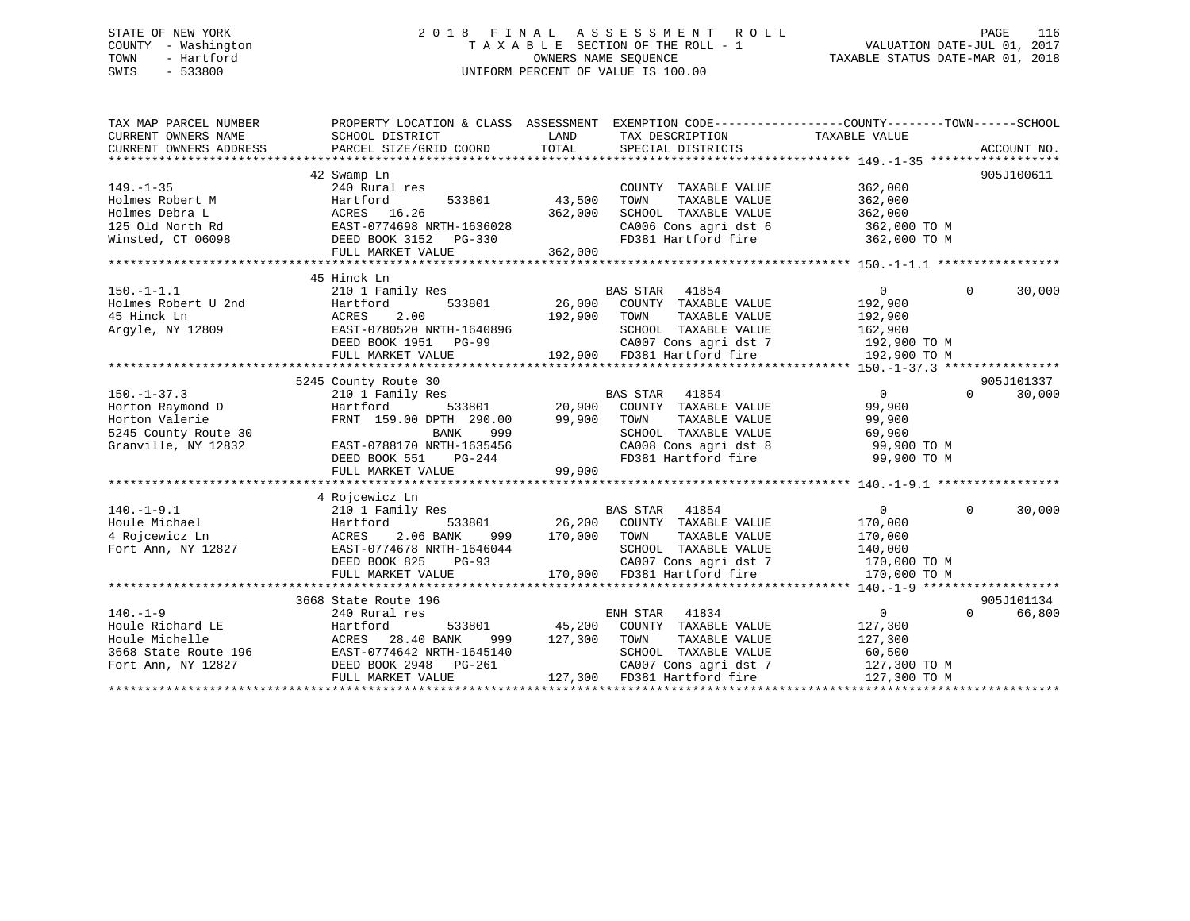## STATE OF NEW YORK 2 0 1 8 F I N A L A S S E S S M E N T R O L L PAGE 116 COUNTY - Washington T A X A B L E SECTION OF THE ROLL - 1 VALUATION DATE-JUL 01, 2017 TOWN - Hartford **TAXABLE STATUS DATE-MAR 01, 2018** OWNERS NAME SEQUENCE TAXABLE STATUS DATE-MAR 01, 2018 SWIS - 533800 UNIFORM PERCENT OF VALUE IS 100.00

| TAX MAP PARCEL NUMBER                                                                                                                                                                                    | PROPERTY LOCATION & CLASS ASSESSMENT                                                                                                                                                                                                     |         | EXEMPTION CODE-----------------COUNTY-------TOWN------SCHOOL                                                                                                                   |                       |                    |
|----------------------------------------------------------------------------------------------------------------------------------------------------------------------------------------------------------|------------------------------------------------------------------------------------------------------------------------------------------------------------------------------------------------------------------------------------------|---------|--------------------------------------------------------------------------------------------------------------------------------------------------------------------------------|-----------------------|--------------------|
|                                                                                                                                                                                                          | 42 Swamp Ln                                                                                                                                                                                                                              |         |                                                                                                                                                                                |                       | 905J100611         |
| $149. - 1 - 35$                                                                                                                                                                                          | 240 Rural res                                                                                                                                                                                                                            |         | COUNTY TAXABLE VALUE                                                                                                                                                           | 362,000               |                    |
|                                                                                                                                                                                                          | 533801 43,500                                                                                                                                                                                                                            |         | TOWN<br>TAXABLE VALUE                                                                                                                                                          | 362,000               |                    |
|                                                                                                                                                                                                          |                                                                                                                                                                                                                                          | 362,000 | SCHOOL TAXABLE VALUE                                                                                                                                                           | 362,000               |                    |
|                                                                                                                                                                                                          |                                                                                                                                                                                                                                          |         |                                                                                                                                                                                |                       |                    |
| Folmes Robert M<br>Hartford 533801<br>Holmes Debra L<br>125 Old North Rd<br>Winsted, CT 06098<br>PEED BOOK 3152 PG-330                                                                                   |                                                                                                                                                                                                                                          |         | SCHOOL TAXABLE VALUE 362,000<br>CA006 Cons agri dst 6 362,000 TO M<br>FD381 Hartford fire 362,000 TO M                                                                         |                       |                    |
|                                                                                                                                                                                                          | FULL MARKET VALUE                                                                                                                                                                                                                        | 362,000 |                                                                                                                                                                                |                       |                    |
|                                                                                                                                                                                                          |                                                                                                                                                                                                                                          |         |                                                                                                                                                                                |                       |                    |
|                                                                                                                                                                                                          | 45 Hinck Ln                                                                                                                                                                                                                              |         |                                                                                                                                                                                |                       |                    |
| $150. - 1 - 1.1$                                                                                                                                                                                         | 210 1 Family Res<br>Hartford 533801 26,000 COUNTY TAXABLE VALUE                                                                                                                                                                          |         |                                                                                                                                                                                | $0 \qquad \qquad$     | $\Omega$<br>30,000 |
| Holmes Robert U 2nd<br>45 Hinck Ln                                                                                                                                                                       | Hartford                                                                                                                                                                                                                                 |         |                                                                                                                                                                                | 192,900               |                    |
|                                                                                                                                                                                                          | 192,900 TOWN<br>ACRES<br>2.00                                                                                                                                                                                                            |         | TAXABLE VALUE                                                                                                                                                                  | 192,900               |                    |
| Argyle, NY 12809                                                                                                                                                                                         | EAST-0780520 NRTH-1640896                                                                                                                                                                                                                |         |                                                                                                                                                                                |                       |                    |
|                                                                                                                                                                                                          | rasi-u780520 NRTH-1640896<br>DEED BOOK 1951 PG-99                                                                                                                                                                                        |         | SCHOOL TAXABLE VALUE 162,900<br>CA007 Cons agri dst 7 192,900 TO M                                                                                                             |                       |                    |
|                                                                                                                                                                                                          | FULL MARKET VALUE                                                                                                                                                                                                                        |         | 192,900 FD381 Hartford fire                                                                                                                                                    | 192,900 TO M          |                    |
|                                                                                                                                                                                                          |                                                                                                                                                                                                                                          |         |                                                                                                                                                                                |                       |                    |
|                                                                                                                                                                                                          | 5245 County Route 30                                                                                                                                                                                                                     |         |                                                                                                                                                                                |                       | 905J101337         |
| $150. - 1 - 37.3$                                                                                                                                                                                        | UOULLY NORTHOUS 210 1 Family Res<br>210 1 Family Res<br>FRNT 159.00 DPTH 290.00 20,900 COUNTY TAXABLE VALUE<br>FRNT 159.00 DPTH 290.00 99,900 TOWN TAXABLE VALUE<br>BANK 999 SCHOOL TAXABLE VALUE<br>EAST-0788170 NRTH-1635456 CA008 Con |         |                                                                                                                                                                                | $\overline{0}$        | $\Omega$<br>30,000 |
| Horton Raymond D                                                                                                                                                                                         |                                                                                                                                                                                                                                          |         |                                                                                                                                                                                | 99,900                |                    |
| Horton Valerie                                                                                                                                                                                           |                                                                                                                                                                                                                                          |         | TAXABLE VALUE                                                                                                                                                                  | 99,900                |                    |
| 5245 County Route 30                                                                                                                                                                                     |                                                                                                                                                                                                                                          |         |                                                                                                                                                                                |                       |                    |
| Granville, NY 12832                                                                                                                                                                                      |                                                                                                                                                                                                                                          |         |                                                                                                                                                                                | 69,900<br>99,900 то м |                    |
|                                                                                                                                                                                                          |                                                                                                                                                                                                                                          |         | CA008 Cons agri dst 8<br>FD381 Hartford fire                                                                                                                                   | 99,900 TO M           |                    |
|                                                                                                                                                                                                          | FULL MARKET VALUE                                                                                                                                                                                                                        | 99,900  |                                                                                                                                                                                |                       |                    |
|                                                                                                                                                                                                          |                                                                                                                                                                                                                                          |         |                                                                                                                                                                                |                       |                    |
|                                                                                                                                                                                                          | 4 Rojcewicz Ln                                                                                                                                                                                                                           |         |                                                                                                                                                                                |                       |                    |
| $140. -1 - 9.1$                                                                                                                                                                                          | Rojcewicz Ln<br>210 1 Family Res                                                                                                                                                                                                         |         | BAS STAR 41854                                                                                                                                                                 | $\overline{0}$        | 30,000<br>$\Omega$ |
| Houle Michael                                                                                                                                                                                            | Hartford                                                                                                                                                                                                                                 |         |                                                                                                                                                                                | 170,000               |                    |
| 4 Rojcewicz Ln                                                                                                                                                                                           | ACRES 2.06 BANK                                                                                                                                                                                                                          |         | $533801 \qquad 26,200 \qquad \text{COUNTY} \quad \text{TAXABLE VALUE}$ $\text{BANK} \qquad 999 \qquad 170,000 \qquad \text{TOWN} \qquad \text{TAXABLE VALUE}$<br>TAXABLE VALUE | 170,000               |                    |
| Fort Ann, NY 12827                                                                                                                                                                                       | EAST-0774678 NRTH-1646044                                                                                                                                                                                                                |         | SCHOOL TAXABLE VALUE                                                                                                                                                           | 140,000               |                    |
|                                                                                                                                                                                                          | DEED BOOK 825 PG-93                                                                                                                                                                                                                      |         |                                                                                                                                                                                | 170,000 TO M          |                    |
|                                                                                                                                                                                                          | FULL MARKET VALUE                                                                                                                                                                                                                        |         | CA007 Cons agri dst 7<br>170,000 FD381 Hartford fire                                                                                                                           | 170,000 TO M          |                    |
|                                                                                                                                                                                                          |                                                                                                                                                                                                                                          |         |                                                                                                                                                                                |                       |                    |
|                                                                                                                                                                                                          | 3668 State Route 196                                                                                                                                                                                                                     |         |                                                                                                                                                                                |                       | 905J101134         |
| $140. - 1 - 9$                                                                                                                                                                                           | 240 Rural res                                                                                                                                                                                                                            |         | ENH STAR 41834                                                                                                                                                                 | $\overline{0}$        | $\Omega$<br>66,800 |
|                                                                                                                                                                                                          |                                                                                                                                                                                                                                          |         |                                                                                                                                                                                | 127,300               |                    |
| Houle Richard LE Martford 533801<br>Houle Michelle ACRES 28.40 BANK 999<br>3668 State Route 196 EAST-0774642 NRTH-1645140                                                                                |                                                                                                                                                                                                                                          |         | 533801 45,200 COUNTY TAXABLE VALUE<br>ANK 999 127,300 TOWN TAXABLE VALUE<br>TAXABLE VALUE                                                                                      | 127,300               |                    |
|                                                                                                                                                                                                          |                                                                                                                                                                                                                                          |         | SCHOOL TAXABLE VALUE 60,500                                                                                                                                                    |                       |                    |
|                                                                                                                                                                                                          |                                                                                                                                                                                                                                          |         | CA007 Cons agri dst 7 127,300 TO M                                                                                                                                             |                       |                    |
| BOULE WICHELLE<br>3668 State Route 196 EAST-0774642 NRTH-1645140 SCHOOL TAXABLE VALUE<br>Fort Ann, NY 12827 DEED BOOK 2948 PG-261 CA007 Cons agri dst 7<br>FULL MARKET VALUE 127,300 FD381 Hartford fire |                                                                                                                                                                                                                                          |         |                                                                                                                                                                                | 127,300 TO M          |                    |
|                                                                                                                                                                                                          |                                                                                                                                                                                                                                          |         |                                                                                                                                                                                |                       |                    |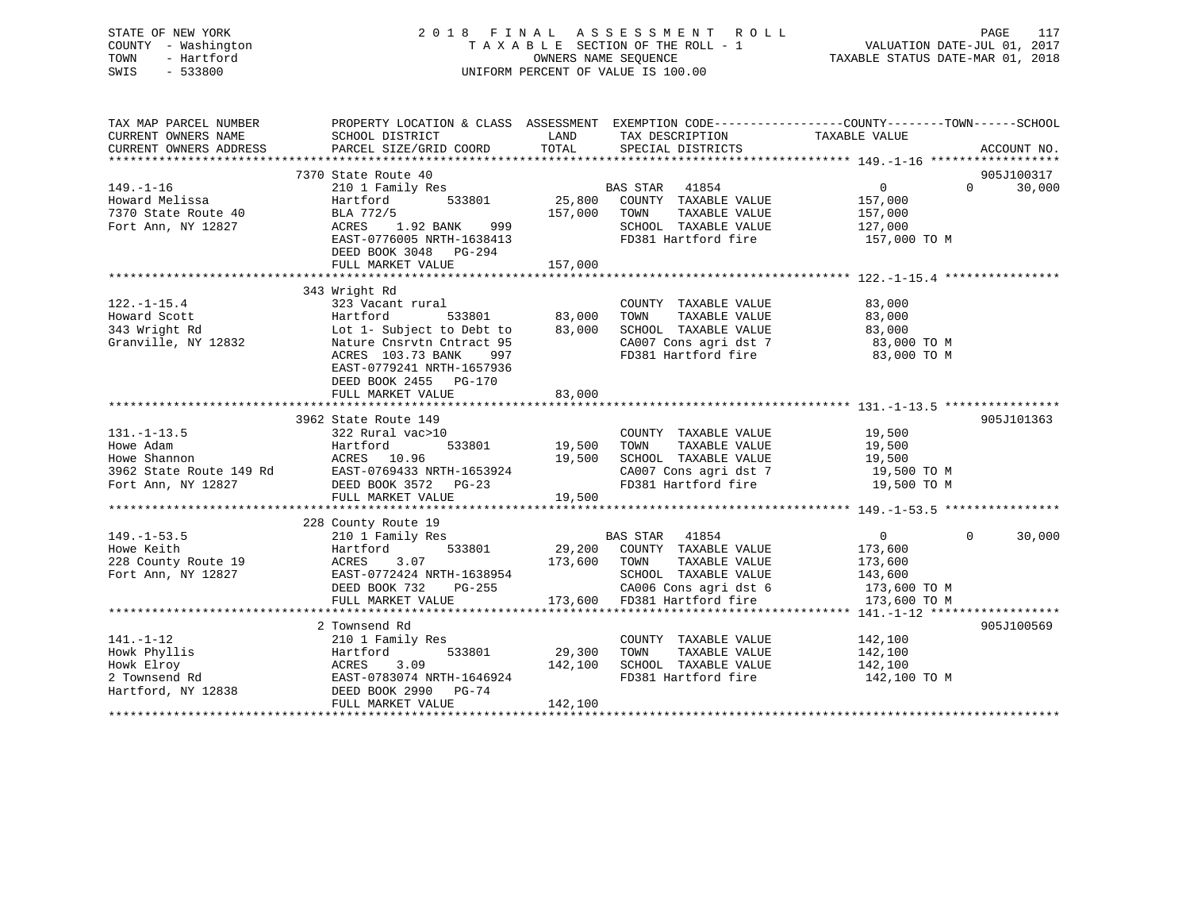STATE OF NEW YORK 2 0 1 8 F I N A L A S S E S S M E N T R O L L PAGE 117 COUNTY - Washington T A X A B L E SECTION OF THE ROLL - 1 VALUATION DATE-JUL 01, 2017 TOWN - Hartford OWNERS NAME SEQUENCE TAXABLE STATUS DATE-MAR 01, 2018 SWIS - 533800 UNIFORM PERCENT OF VALUE IS 100.00

| TAX MAP PARCEL NUMBER<br>CURRENT OWNERS NAME<br>CURRENT OWNERS ADDRESS | PROPERTY LOCATION & CLASS ASSESSMENT EXEMPTION CODE---------------COUNTY-------TOWN-----SCHOOL<br>SCHOOL DISTRICT<br>PARCEL SIZE/GRID COORD | LAND<br>TOTAL      | TAX DESCRIPTION TAXABLE VALUE<br>SPECIAL DISTRICTS |                | ACCOUNT NO.        |
|------------------------------------------------------------------------|---------------------------------------------------------------------------------------------------------------------------------------------|--------------------|----------------------------------------------------|----------------|--------------------|
|                                                                        |                                                                                                                                             |                    |                                                    |                |                    |
|                                                                        | 7370 State Route 40                                                                                                                         |                    |                                                    |                | 905J100317         |
| $149. - 1 - 16$                                                        | 210 1 Family Res                                                                                                                            |                    |                                                    | $\overline{0}$ | $\Omega$<br>30,000 |
| Howard Melissa                                                         | 533801<br>Hartford                                                                                                                          |                    | BAS STAR 41854<br>3801 25,800 COUNTY TAXABLE VALUE | 157,000        |                    |
| 7370 State Route 40                                                    | BLA 772/5                                                                                                                                   | 157,000 TOWN       | TAXABLE VALUE                                      | 157,000        |                    |
| Fort Ann, NY 12827                                                     | ACRES 1.92 BANK 999                                                                                                                         |                    |                                                    |                |                    |
|                                                                        | EAST-0776005 NRTH-1638413                                                                                                                   |                    |                                                    |                |                    |
|                                                                        | DEED BOOK 3048 PG-294                                                                                                                       |                    |                                                    |                |                    |
|                                                                        |                                                                                                                                             |                    |                                                    |                |                    |
|                                                                        |                                                                                                                                             |                    |                                                    |                |                    |
|                                                                        | 343 Wright Rd                                                                                                                               |                    |                                                    |                |                    |
| $122. - 1 - 15.4$                                                      | 323 Vacant rural                                                                                                                            |                    | COUNTY TAXABLE VALUE                               | 83,000         |                    |
| Howard Scott                                                           | Hartford                                                                                                                                    |                    | TAXABLE VALUE<br>TOWN                              | 83,000         |                    |
| 343 Wright Rd                                                          | 533801 83,000<br>ect to Debt to 83,000<br>Lot 1- Subject to Debt to                                                                         |                    | SCHOOL TAXABLE VALUE                               | 83,000         |                    |
| Granville, NY 12832                                                    | Nature Cnsrvtn Cntract 95                                                                                                                   |                    | CA007 Cons agri dst 7                              | 83,000 TO M    |                    |
|                                                                        | ACRES 103.73 BANK<br>997                                                                                                                    |                    | FD381 Hartford fire                                | 83,000 TO M    |                    |
|                                                                        | EAST-0779241 NRTH-1657936                                                                                                                   |                    |                                                    |                |                    |
|                                                                        | DEED BOOK 2455 PG-170                                                                                                                       |                    |                                                    |                |                    |
|                                                                        | FULL MARKET VALUE                                                                                                                           | 83,000             |                                                    |                |                    |
|                                                                        |                                                                                                                                             |                    |                                                    |                |                    |
|                                                                        |                                                                                                                                             |                    |                                                    |                |                    |
|                                                                        | 3962 State Route 149                                                                                                                        |                    |                                                    |                | 905J101363         |
| $131. - 1 - 13.5$                                                      | 322 Rural vac>10                                                                                                                            | 533801 19,500 TOWN | COUNTY TAXABLE VALUE                               | 19,500         |                    |
| Howe Adam                                                              | Hartford                                                                                                                                    |                    | TAXABLE VALUE                                      | 19,500         |                    |
| Howe Shannon                                                           | ACRES 10.96                                                                                                                                 | 19,500             | SCHOOL TAXABLE VALUE                               | 19,500         |                    |
| 3962 State Route 149 Rd                                                | EAST-0769433 NRTH-1653924                                                                                                                   |                    | CA007 Cons agri dst 7<br>FD381 Hartford fire       | 19,500 TO M    |                    |
| Fort Ann, NY 12827                                                     | DEED BOOK 3572 PG-23                                                                                                                        |                    |                                                    | 19,500 TO M    |                    |
|                                                                        | FULL MARKET VALUE                                                                                                                           | 19,500             |                                                    |                |                    |
|                                                                        |                                                                                                                                             |                    |                                                    |                |                    |
|                                                                        | 228 County Route 19                                                                                                                         |                    |                                                    |                |                    |
| $149. - 1 - 53.5$                                                      | 210 1 Family Res                                                                                                                            |                    | BAS STAR 41854                                     | $\overline{0}$ | $\Omega$<br>30,000 |
| Howe Keith                                                             | Hartford                                                                                                                                    |                    | 533801 29,200 COUNTY TAXABLE VALUE                 | 173,600        |                    |
| 228 County Route 19                                                    | ACRES<br>3.07                                                                                                                               | 173,600 TOWN       | TAXABLE VALUE                                      | 173,600        |                    |
| Fort Ann, NY 12827                                                     | EAST-0772424 NRTH-1638954                                                                                                                   |                    | SCHOOL TAXABLE VALUE                               | 143,600        |                    |
|                                                                        | DEED BOOK 732<br>PG-255                                                                                                                     |                    | CA006 Cons agri dst 6                              | 173,600 TO M   |                    |
|                                                                        | FULL MARKET VALUE                                                                                                                           |                    | 173,600 FD381 Hartford fire                        | 173,600 TO M   |                    |
|                                                                        |                                                                                                                                             |                    |                                                    |                |                    |
|                                                                        | 2 Townsend Rd                                                                                                                               |                    |                                                    |                | 905J100569         |
| $141. - 1 - 12$                                                        | 210 1 Family Res                                                                                                                            |                    | COUNTY TAXABLE VALUE                               | 142,100        |                    |
| Howk Phyllis                                                           | 533801<br>Hartford                                                                                                                          | 29,300             | TOWN<br>TAXABLE VALUE                              | 142,100        |                    |
| Howk Elroy                                                             | 3.09<br>ACRES                                                                                                                               | 142,100            | SCHOOL TAXABLE VALUE                               | 142,100        |                    |
| 2 Townsend Rd                                                          | EAST-0783074 NRTH-1646924                                                                                                                   |                    | FD381 Hartford fire 142,100 TO M                   |                |                    |
| Hartford, NY 12838                                                     | DEED BOOK 2990 PG-74                                                                                                                        |                    |                                                    |                |                    |
|                                                                        | FULL MARKET VALUE                                                                                                                           | 142,100            |                                                    |                |                    |
|                                                                        |                                                                                                                                             |                    |                                                    |                |                    |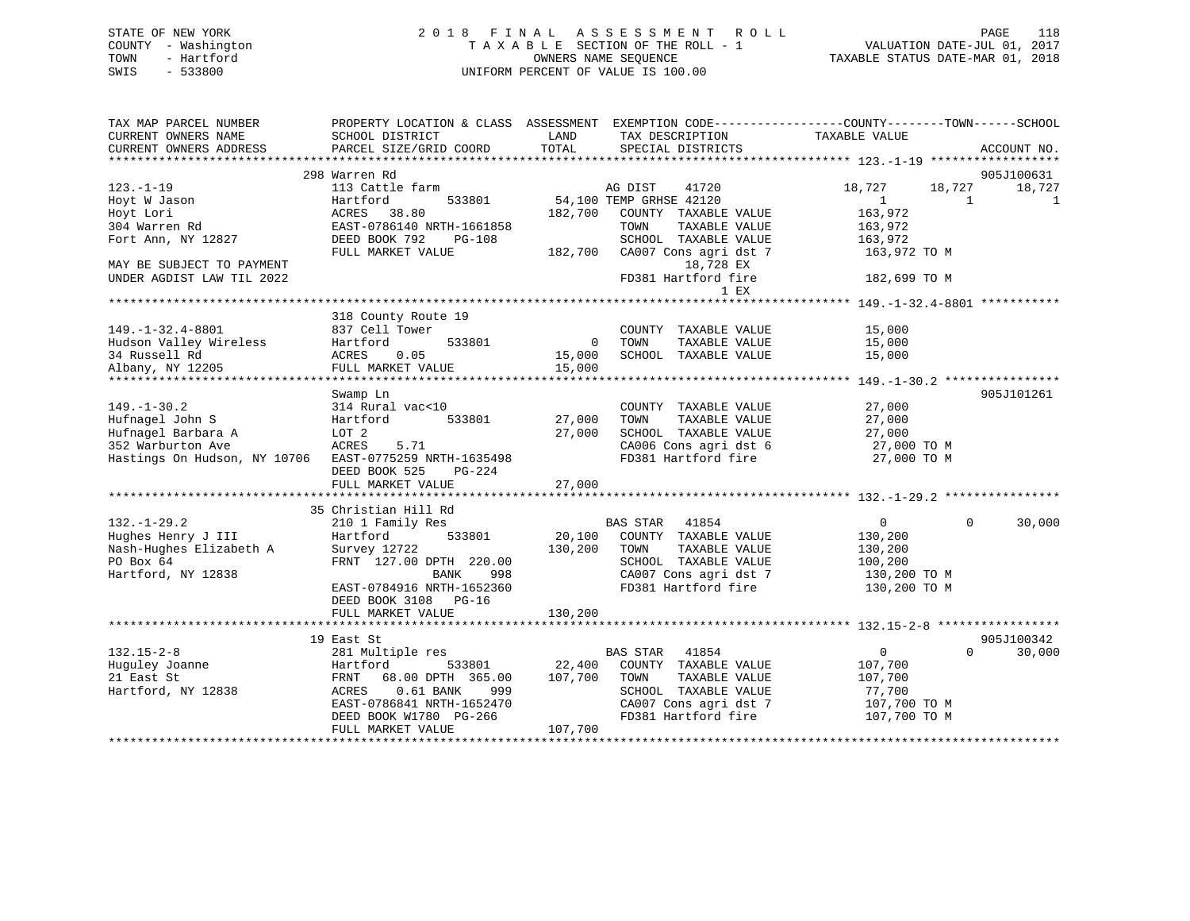## STATE OF NEW YORK 2 0 1 8 F I N A L A S S E S S M E N T R O L L PAGE 118 COUNTY - Washington T A X A B L E SECTION OF THE ROLL - 1 VALUATION DATE-JUL 01, 2017 TOWN - Hartford **TAXABLE STATUS DATE-MAR 01, 2018** OWNERS NAME SEQUENCE TAXABLE STATUS DATE-MAR 01, 2018 SWIS - 533800 UNIFORM PERCENT OF VALUE IS 100.00

| TAX MAP PARCEL NUMBER                         | PROPERTY LOCATION & CLASS ASSESSMENT EXEMPTION CODE----------------COUNTY-------TOWN------SCHOOL |               |                                           |                    |                                  |
|-----------------------------------------------|--------------------------------------------------------------------------------------------------|---------------|-------------------------------------------|--------------------|----------------------------------|
| CURRENT OWNERS NAME<br>CURRENT OWNERS ADDRESS | SCHOOL DISTRICT<br>PARCEL SIZE/GRID COORD                                                        | LAND<br>TOTAL | TAX DESCRIPTION<br>SPECIAL DISTRICTS      | TAXABLE VALUE      | ACCOUNT NO.                      |
|                                               |                                                                                                  |               |                                           |                    |                                  |
|                                               | 298 Warren Rd                                                                                    |               |                                           |                    | 905J100631                       |
| $123. - 1 - 19$                               | 113 Cattle farm                                                                                  |               | 41720<br>AG DIST                          | 18,727<br>18,727   | 18,727                           |
| Hoyt W Jason                                  | Hartford<br>533801                                                                               |               | 54,100 TEMP GRHSE 42120                   | 1                  | 1<br>1                           |
| Hoyt Lori                                     | 38.80<br>ACRES                                                                                   | 182,700       | COUNTY TAXABLE VALUE                      | 163,972            |                                  |
| 304 Warren Rd                                 | EAST-0786140 NRTH-1661858                                                                        |               | TAXABLE VALUE<br>TOWN                     | 163,972            |                                  |
| Fort Ann, NY 12827                            | DEED BOOK 792<br>$PG-108$                                                                        |               | SCHOOL TAXABLE VALUE                      | 163,972            |                                  |
|                                               | FULL MARKET VALUE                                                                                | 182,700       | CA007 Cons agri dst 7                     | 163,972 TO M       |                                  |
| MAY BE SUBJECT TO PAYMENT                     |                                                                                                  |               | 18,728 EX                                 |                    |                                  |
| UNDER AGDIST LAW TIL 2022                     |                                                                                                  |               | FD381 Hartford fire                       | 182,699 TO M       |                                  |
|                                               |                                                                                                  |               | 1 EX                                      |                    |                                  |
|                                               |                                                                                                  |               |                                           |                    |                                  |
|                                               | 318 County Route 19                                                                              |               |                                           |                    |                                  |
| $149. - 1 - 32.4 - 8801$                      | 837 Cell Tower                                                                                   |               | COUNTY TAXABLE VALUE                      | 15,000             |                                  |
| Hudson Valley Wireless                        | 533801<br>Hartford                                                                               | $\mathbf{0}$  | TOWN<br>TAXABLE VALUE                     | 15,000             |                                  |
| 34 Russell Rd                                 | 0.05<br>ACRES                                                                                    | 15,000        | SCHOOL TAXABLE VALUE                      | 15,000             |                                  |
| Albany, NY 12205                              | FULL MARKET VALUE                                                                                | 15,000        |                                           |                    |                                  |
|                                               |                                                                                                  |               |                                           |                    |                                  |
|                                               | Swamp Ln                                                                                         |               |                                           |                    | 905J101261                       |
| $149. - 1 - 30.2$                             | 314 Rural vac<10                                                                                 |               | COUNTY TAXABLE VALUE                      | 27,000             |                                  |
| Hufnagel John S                               | 533801<br>Hartford                                                                               | 27,000        | TOWN<br>TAXABLE VALUE                     | 27,000             |                                  |
| Hufnagel Barbara A                            | LOT 2                                                                                            | 27,000        | SCHOOL TAXABLE VALUE                      | 27,000             |                                  |
| 352 Warburton Ave                             | ACRES<br>5.71                                                                                    |               | CA006 Cons agri dst 6                     | 27,000 TO M        |                                  |
| Hastings On Hudson, NY 10706                  | EAST-0775259 NRTH-1635498                                                                        |               | FD381 Hartford fire                       | 27,000 TO M        |                                  |
|                                               | DEED BOOK 525<br>$PG-224$                                                                        |               |                                           |                    |                                  |
|                                               | FULL MARKET VALUE                                                                                | 27,000        |                                           |                    |                                  |
|                                               |                                                                                                  |               |                                           |                    |                                  |
|                                               | 35 Christian Hill Rd                                                                             |               |                                           |                    |                                  |
| $132. - 1 - 29.2$                             | 210 1 Family Res                                                                                 |               | <b>BAS STAR</b><br>41854                  | $\overline{0}$     | 30,000<br>$\Omega$               |
| Hughes Henry J III                            | 533801<br>Hartford                                                                               | 20,100        | COUNTY TAXABLE VALUE                      | 130,200            |                                  |
| Nash-Hughes Elizabeth A                       | Survey 12722                                                                                     | 130,200       | TAXABLE VALUE<br>TOWN                     | 130,200            |                                  |
| PO Box 64                                     | FRNT 127.00 DPTH 220.00                                                                          |               | SCHOOL TAXABLE VALUE                      | 100,200            |                                  |
| Hartford, NY 12838                            | <b>BANK</b><br>998                                                                               |               | CA007 Cons agri dst 7                     | 130,200 TO M       |                                  |
|                                               | EAST-0784916 NRTH-1652360                                                                        |               | FD381 Hartford fire                       | 130,200 TO M       |                                  |
|                                               | DEED BOOK 3108 PG-16                                                                             |               |                                           |                    |                                  |
|                                               | FULL MARKET VALUE                                                                                | 130,200       |                                           |                    |                                  |
|                                               |                                                                                                  |               |                                           |                    |                                  |
| $132.15 - 2 - 8$                              | 19 East St                                                                                       |               |                                           | $\mathbf{0}$       | 905J100342<br>$\Omega$<br>30,000 |
| Huguley Joanne                                | 281 Multiple res<br>Hartford                                                                     | 22,400        | BAS STAR<br>41854<br>COUNTY TAXABLE VALUE |                    |                                  |
| 21 East St                                    | 533801                                                                                           |               | TOWN<br>TAXABLE VALUE                     | 107,700<br>107,700 |                                  |
|                                               | FRNT<br>68.00 DPTH 365.00<br>$0.61$ BANK<br>999<br>ACRES                                         | 107,700       | SCHOOL TAXABLE VALUE                      |                    |                                  |
| Hartford, NY 12838                            |                                                                                                  |               | CA007 Cons agri dst 7                     | 77,700             |                                  |
|                                               | EAST-0786841 NRTH-1652470                                                                        |               | FD381 Hartford fire                       | 107,700 TO M       |                                  |
|                                               | DEED BOOK W1780 PG-266                                                                           |               |                                           | 107,700 TO M       |                                  |
|                                               | FULL MARKET VALUE                                                                                | 107,700       |                                           |                    |                                  |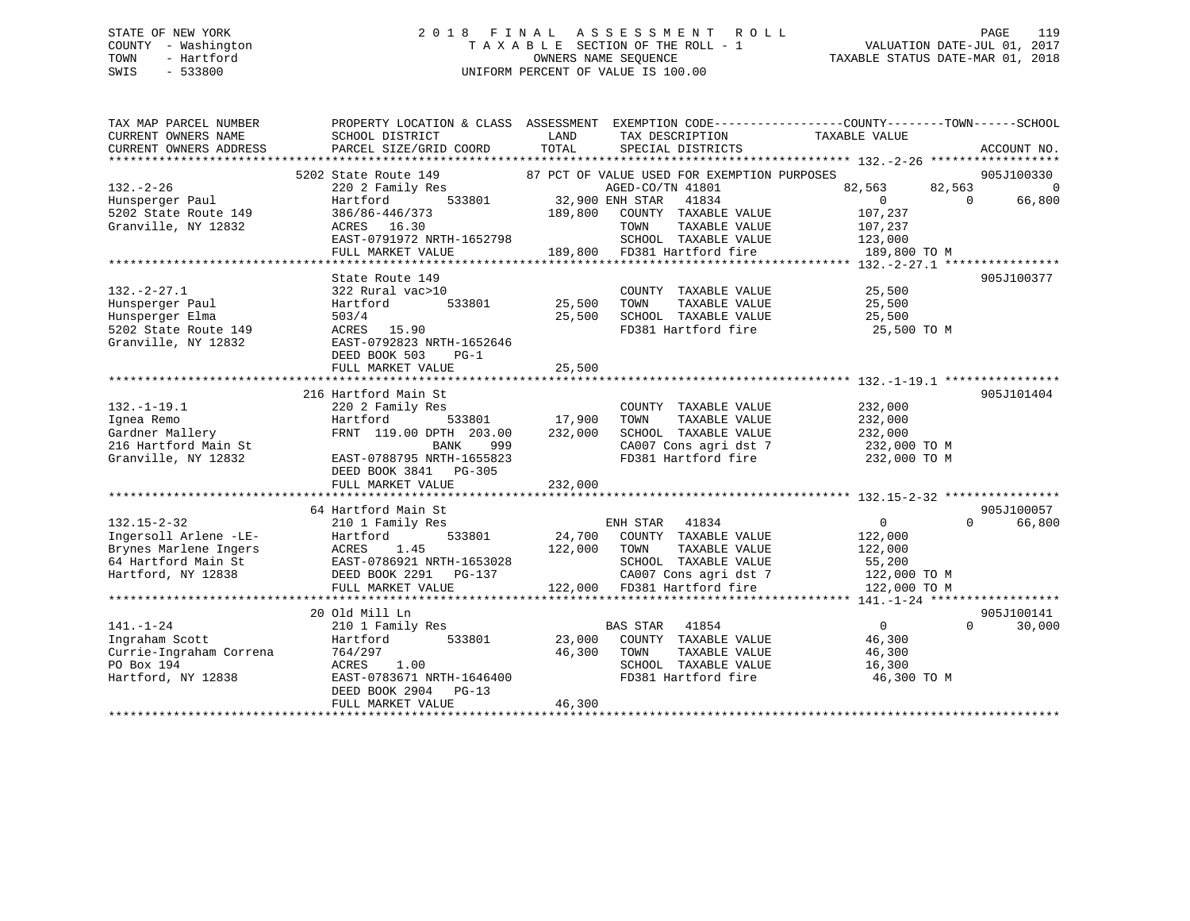## STATE OF NEW YORK 2 0 1 8 F I N A L A S S E S S M E N T R O L L PAGE 119 COUNTY - Washington T A X A B L E SECTION OF THE ROLL - 1 VALUATION DATE-JUL 01, 2017 TOWN - Hartford **TAXABLE STATUS DATE-MAR 01, 2018** OWNERS NAME SEQUENCE TAXABLE STATUS DATE-MAR 01, 2018 SWIS - 533800 UNIFORM PERCENT OF VALUE IS 100.00

| TAX MAP PARCEL NUMBER   | PROPERTY LOCATION & CLASS ASSESSMENT EXEMPTION CODE---------------COUNTY-------TOWN------SCHOOL |                 |                                             |                   |                          |
|-------------------------|-------------------------------------------------------------------------------------------------|-----------------|---------------------------------------------|-------------------|--------------------------|
| CURRENT OWNERS NAME     | SCHOOL DISTRICT                                                                                 | LAND            | TAX DESCRIPTION                             | TAXABLE VALUE     |                          |
| CURRENT OWNERS ADDRESS  | PARCEL SIZE/GRID COORD                                                                          | TOTAL           | SPECIAL DISTRICTS                           |                   | ACCOUNT NO.              |
|                         |                                                                                                 |                 |                                             |                   |                          |
|                         | 5202 State Route 149                                                                            |                 | 87 PCT OF VALUE USED FOR EXEMPTION PURPOSES |                   | 905J100330               |
| $132. - 2 - 26$         | 220 2 Family Res                                                                                |                 | AGED-CO/TN 41801                            | 82,563            | 82,563<br>$\overline{0}$ |
| Hunsperger Paul         | 533801<br>Hartford                                                                              | 32,900 ENH STAR | 41834                                       | 0                 | $\Omega$<br>66,800       |
| 5202 State Route 149    | 386/86-446/373                                                                                  | 189,800         | COUNTY TAXABLE VALUE                        | 107,237           |                          |
| Granville, NY 12832     | ACRES 16.30                                                                                     |                 | TOWN<br>TAXABLE VALUE                       | 107,237           |                          |
|                         | EAST-0791972 NRTH-1652798                                                                       |                 | SCHOOL TAXABLE VALUE                        | 123,000           |                          |
|                         | FULL MARKET VALUE                                                                               |                 | 189,800 FD381 Hartford fire                 | 189,800 TO M      |                          |
|                         |                                                                                                 |                 |                                             |                   |                          |
|                         | State Route 149                                                                                 |                 |                                             |                   | 905J100377               |
| $132. - 2 - 27.1$       | 322 Rural vac>10                                                                                |                 | COUNTY TAXABLE VALUE                        | 25,500            |                          |
| Hunsperger Paul         | 533801<br>Hartford                                                                              | 25,500          | TOWN<br>TAXABLE VALUE                       | 25,500            |                          |
| Hunsperger Elma         | 503/4                                                                                           | 25,500          | SCHOOL TAXABLE VALUE                        | 25,500            |                          |
| 5202 State Route 149    | ACRES 15.90                                                                                     |                 | FD381 Hartford fire                         | 25,500 TO M       |                          |
| Granville, NY 12832     | EAST-0792823 NRTH-1652646                                                                       |                 |                                             |                   |                          |
|                         | DEED BOOK 503<br>$PG-1$                                                                         |                 |                                             |                   |                          |
|                         | FULL MARKET VALUE                                                                               | 25,500          |                                             |                   |                          |
|                         |                                                                                                 |                 |                                             |                   |                          |
|                         | 216 Hartford Main St                                                                            |                 |                                             |                   | 905J101404               |
| $132. - 1 - 19.1$       | 220 2 Family Res                                                                                |                 | COUNTY TAXABLE VALUE                        | 232,000           |                          |
| Ignea Remo              | 533801<br>Hartford                                                                              | 17,900          | TAXABLE VALUE<br>TOWN                       | 232,000           |                          |
| Gardner Mallery         | FRNT 119.00 DPTH 203.00                                                                         | 232,000         | SCHOOL TAXABLE VALUE                        | 232,000           |                          |
| 216 Hartford Main St    | BANK<br>999                                                                                     |                 | CA007 Cons agri dst 7                       | 232,000 TO M      |                          |
| Granville, NY 12832     | EAST-0788795 NRTH-1655823                                                                       |                 | FD381 Hartford fire                         | 232,000 TO M      |                          |
|                         | DEED BOOK 3841<br>PG-305                                                                        |                 |                                             |                   |                          |
|                         | FULL MARKET VALUE                                                                               | 232,000         |                                             |                   |                          |
|                         |                                                                                                 |                 |                                             |                   |                          |
|                         | 64 Hartford Main St                                                                             |                 |                                             |                   | 905J100057               |
| $132.15 - 2 - 32$       | 210 1 Family Res                                                                                |                 | ENH STAR<br>41834                           | $\overline{0}$    | $\Omega$<br>66,800       |
| Ingersoll Arlene -LE-   | 533801<br>Hartford                                                                              | 24,700          | COUNTY TAXABLE VALUE                        | 122,000           |                          |
| Brynes Marlene Ingers   | ACRES<br>1.45                                                                                   | 122,000         | TOWN<br>TAXABLE VALUE                       | 122,000           |                          |
| 64 Hartford Main St     | EAST-0786921 NRTH-1653028                                                                       |                 | SCHOOL TAXABLE VALUE                        | 55,200            |                          |
| Hartford, NY 12838      | DEED BOOK 2291 PG-137                                                                           |                 | CA007 Cons agri dst 7                       | 122,000 TO M      |                          |
|                         | FULL MARKET VALUE                                                                               |                 | 122,000 FD381 Hartford fire                 | 122,000 TO M      |                          |
|                         |                                                                                                 |                 |                                             |                   |                          |
|                         | 20 Old Mill Ln                                                                                  |                 |                                             |                   | 905J100141               |
| $141. - 1 - 24$         | 210 1 Family Res                                                                                |                 | BAS STAR 41854                              | $0 \qquad \qquad$ | $\Omega$<br>30,000       |
| Ingraham Scott          | 533801<br>Hartford                                                                              | 23,000          | COUNTY TAXABLE VALUE                        | 46,300            |                          |
| Currie-Ingraham Correna | 764/297                                                                                         | 46,300          | TAXABLE VALUE<br>TOWN                       | 46,300            |                          |
| PO Box 194              | ACRES<br>1.00                                                                                   |                 | SCHOOL TAXABLE VALUE                        | 16,300            |                          |
| Hartford, NY 12838      | EAST-0783671 NRTH-1646400                                                                       |                 | FD381 Hartford fire                         | 46,300 TO M       |                          |
|                         | DEED BOOK 2904<br>$PG-13$                                                                       |                 |                                             |                   |                          |
|                         | FULL MARKET VALUE                                                                               | 46,300          |                                             |                   |                          |
|                         |                                                                                                 |                 |                                             |                   |                          |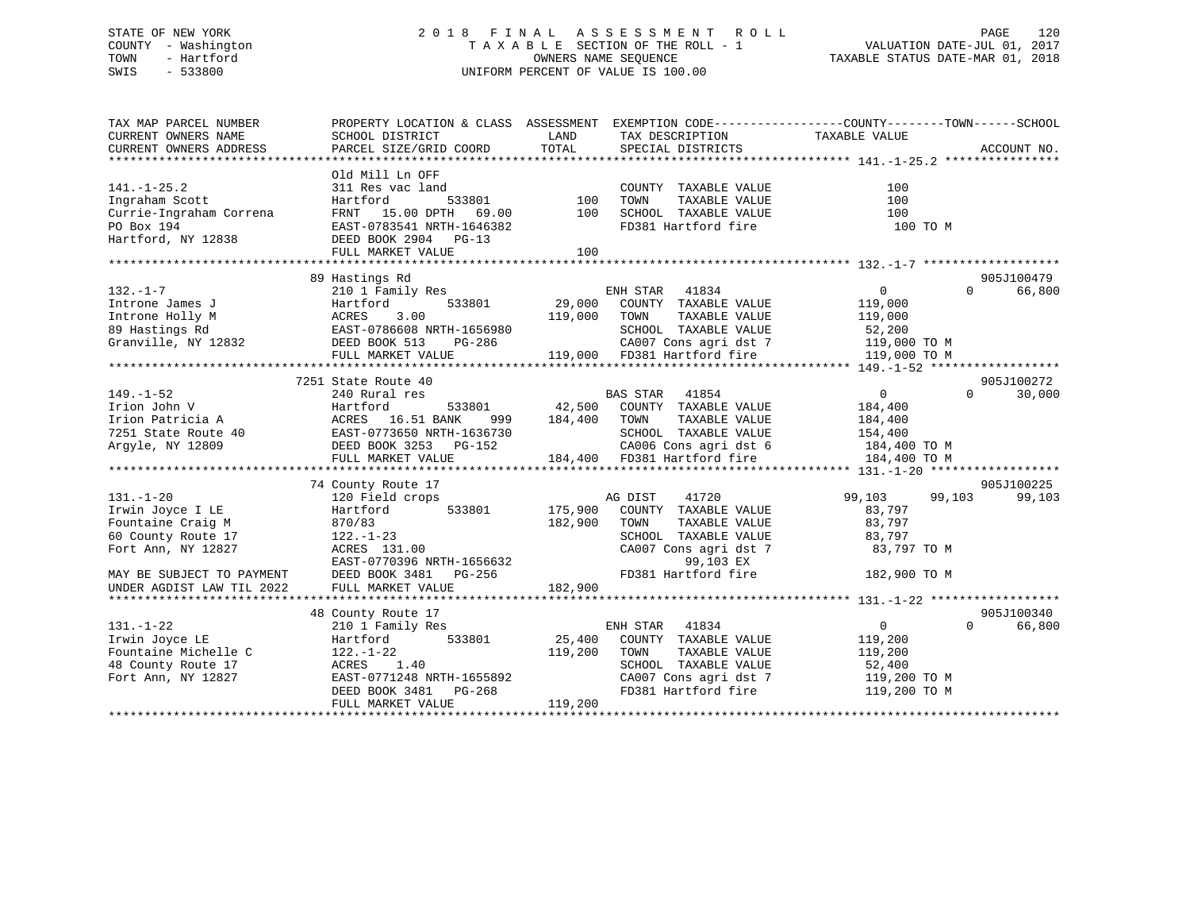## STATE OF NEW YORK 2 0 1 8 F I N A L A S S E S S M E N T R O L L PAGE 120 COUNTY - Washington T A X A B L E SECTION OF THE ROLL - 1 VALUATION DATE-JUL 01, 2017 TOWN - Hartford **TAXABLE STATUS DATE-MAR 01, 2018** OWNERS NAME SEQUENCE TAXABLE STATUS DATE-MAR 01, 2018 SWIS - 533800 UNIFORM PERCENT OF VALUE IS 100.00

| TAX MAP PARCEL NUMBER<br>CURRENT OWNERS NAME | PROPERTY LOCATION & CLASS ASSESSMENT<br>SCHOOL DISTRICT | LAND         | TAX DESCRIPTION             | EXEMPTION CODE-----------------COUNTY-------TOWN------SCHOOL<br>TAXABLE VALUE |                    |
|----------------------------------------------|---------------------------------------------------------|--------------|-----------------------------|-------------------------------------------------------------------------------|--------------------|
| CURRENT OWNERS ADDRESS                       | PARCEL SIZE/GRID COORD                                  | TOTAL        | SPECIAL DISTRICTS           |                                                                               | ACCOUNT NO.        |
|                                              |                                                         |              |                             |                                                                               |                    |
|                                              | Old Mill Ln OFF                                         |              |                             |                                                                               |                    |
| $141. - 1 - 25.2$                            | 311 Res vac land                                        |              | COUNTY TAXABLE VALUE        | 100                                                                           |                    |
| Ingraham Scott                               | 533801<br>Hartford                                      | 100          | TAXABLE VALUE<br>TOWN       | 100                                                                           |                    |
| Currie-Ingraham Correna                      | FRNT 15.00 DPTH 69.00                                   | 100          | SCHOOL TAXABLE VALUE        | 100                                                                           |                    |
| PO Box 194                                   | EAST-0783541 NRTH-1646382                               |              | FD381 Hartford fire         | 100 TO M                                                                      |                    |
| Hartford, NY 12838                           | DEED BOOK 2904 PG-13                                    |              |                             |                                                                               |                    |
|                                              | FULL MARKET VALUE                                       | 100          |                             |                                                                               |                    |
|                                              |                                                         |              |                             |                                                                               |                    |
|                                              | 89 Hastings Rd                                          |              |                             |                                                                               | 905J100479         |
| $132. - 1 - 7$                               | 210 1 Family Res                                        |              | ENH STAR 41834              | $\overline{0}$                                                                | $\Omega$<br>66,800 |
| Introne James J                              | 533801<br>Hartford                                      | 29,000       | COUNTY TAXABLE VALUE        | 119,000                                                                       |                    |
| Introne Holly M                              | 3.00<br>ACRES                                           | 119,000      | TOWN<br>TAXABLE VALUE       | 119,000                                                                       |                    |
| 89 Hastings Rd                               | ACKES<br>EAST-0786608 NRTH-1656980                      |              | SCHOOL TAXABLE VALUE        | 52,200                                                                        |                    |
| Granville, NY 12832                          | PG-286<br>DEED BOOK 513                                 |              | CA007 Cons agri dst 7       | 119,000 TO M                                                                  |                    |
|                                              | FULL MARKET VALUE                                       |              | 119,000 FD381 Hartford fire | 119,000 TO M                                                                  |                    |
|                                              |                                                         |              |                             |                                                                               |                    |
|                                              | 7251 State Route 40                                     |              |                             |                                                                               | 905J100272         |
| $149. - 1 - 52$                              | 240 Rural res                                           |              | 41854<br>BAS STAR           | $\overline{0}$                                                                | $\Omega$<br>30,000 |
| Irion John V                                 | Hartford<br>533801                                      |              | 42,500 COUNTY TAXABLE VALUE | 184,400                                                                       |                    |
| Irion Patricia A                             | ACRES 16.51 BANK<br>999                                 | 184,400 TOWN | TAXABLE VALUE               | 184,400                                                                       |                    |
| 7251 State Route 40                          | EAST-0773650 NRTH-1636730                               |              | SCHOOL TAXABLE VALUE        | 154,400                                                                       |                    |
| Arqyle, NY 12809                             | DEED BOOK 3253 PG-152                                   |              | CA006 Cons agri dst 6       | 184,400 TO M                                                                  |                    |
|                                              | FULL MARKET VALUE                                       |              | 184,400 FD381 Hartford fire | 184,400 TO M                                                                  |                    |
|                                              |                                                         |              |                             |                                                                               |                    |
|                                              | 74 County Route 17                                      |              |                             |                                                                               | 905J100225         |
| $131. - 1 - 20$                              | 120 Field crops                                         |              | 41720<br>AG DIST            | 99,103<br>99,103                                                              | 99,103             |
| Irwin Joyce I LE                             | Hartford<br>533801                                      | 175,900      | COUNTY TAXABLE VALUE        | 83,797                                                                        |                    |
| Fountaine Craig M                            | 870/83                                                  | 182,900      | TOWN<br>TAXABLE VALUE       | 83,797                                                                        |                    |
| 60 County Route 17                           | $122. - 1 - 23$                                         |              | SCHOOL TAXABLE VALUE        | 83,797                                                                        |                    |
| Fort Ann, NY 12827                           | ACRES 131.00                                            |              | CA007 Cons agri dst 7       | 83,797 TO M                                                                   |                    |
|                                              | EAST-0770396 NRTH-1656632                               |              | 99,103 EX                   |                                                                               |                    |
| MAY BE SUBJECT TO PAYMENT                    | DEED BOOK 3481 PG-256                                   |              | FD381 Hartford fire         | 182,900 TO M                                                                  |                    |
| UNDER AGDIST LAW TIL 2022                    | FULL MARKET VALUE                                       | 182,900      |                             |                                                                               |                    |
|                                              |                                                         |              |                             |                                                                               |                    |
|                                              | 48 County Route 17                                      |              |                             |                                                                               | 905J100340         |
| $131. - 1 - 22$                              | 210 1 Family Res                                        |              | ENH STAR<br>41834           | $\mathsf{O}$                                                                  | $\Omega$<br>66,800 |
| Irwin Joyce LE                               | 533801<br>Hartford                                      | 25,400       | COUNTY TAXABLE VALUE        | 119,200                                                                       |                    |
| Fountaine Michelle C                         | 122.-1-22                                               | 119,200      | TOWN<br>TAXABLE VALUE       | 119,200                                                                       |                    |
| 48 County Route 17                           | ACRES 1.40                                              |              | SCHOOL TAXABLE VALUE        | 52,400                                                                        |                    |
| Fort Ann, NY 12827                           | EAST-0771248 NRTH-1655892                               |              | CA007 Cons agri dst 7       | 119,200 TO M                                                                  |                    |
|                                              | DEED BOOK 3481<br>PG-268                                |              | FD381 Hartford fire         | 119,200 TO M                                                                  |                    |
|                                              | FULL MARKET VALUE                                       | 119,200      |                             |                                                                               |                    |
|                                              |                                                         |              |                             |                                                                               |                    |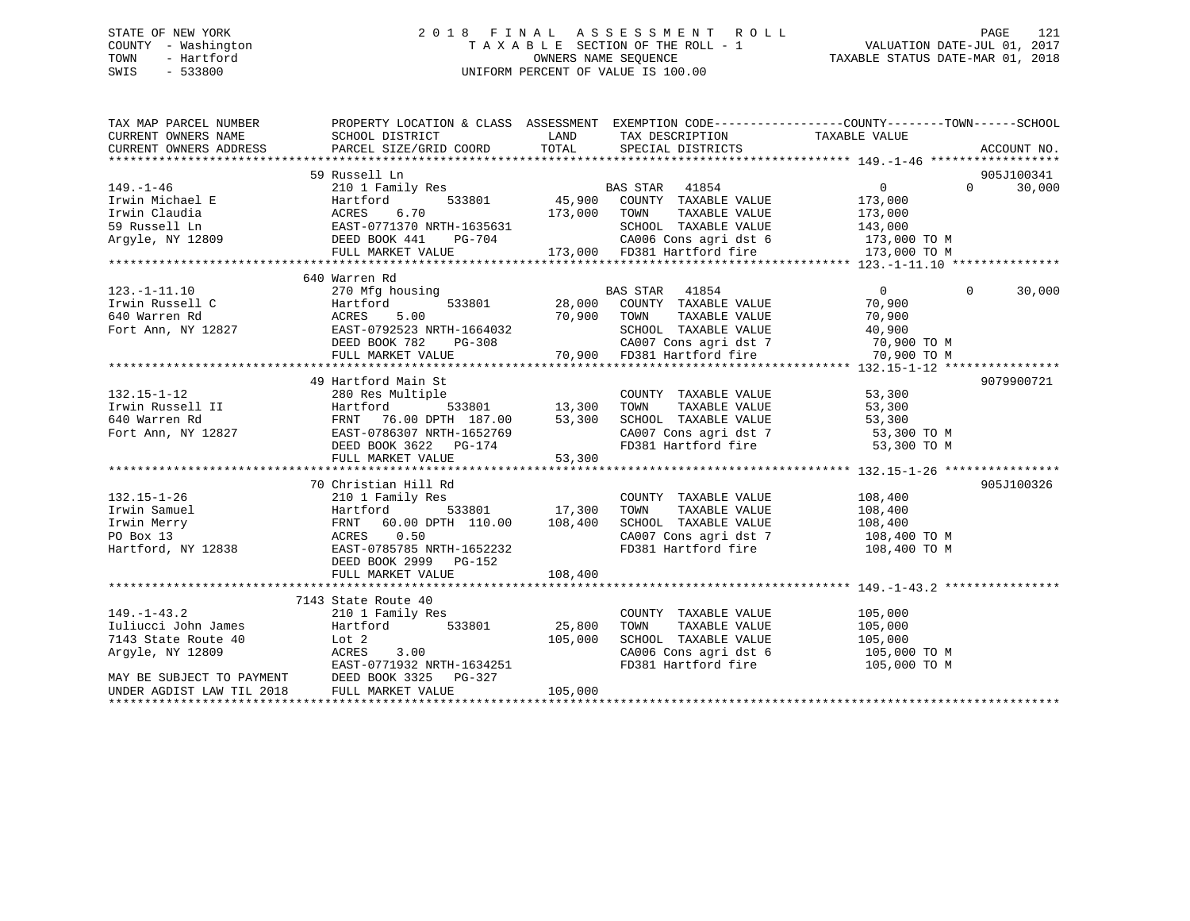## STATE OF NEW YORK 2 0 1 8 F I N A L A S S E S S M E N T R O L L PAGE 121 COUNTY - Washington T A X A B L E SECTION OF THE ROLL - 1 VALUATION DATE-JUL 01, 2017 TOWN - Hartford **TAXABLE STATUS DATE-MAR 01, 2018** OWNERS NAME SEQUENCE TAXABLE STATUS DATE-MAR 01, 2018 SWIS - 533800 UNIFORM PERCENT OF VALUE IS 100.00

| TAX MAP PARCEL NUMBER                                                                                                                                                                                                                      | PROPERTY LOCATION & CLASS ASSESSMENT EXEMPTION CODE---------------COUNTY-------TOWN------SCHOOL |               |                                                                                       |                                                                  |                    |
|--------------------------------------------------------------------------------------------------------------------------------------------------------------------------------------------------------------------------------------------|-------------------------------------------------------------------------------------------------|---------------|---------------------------------------------------------------------------------------|------------------------------------------------------------------|--------------------|
|                                                                                                                                                                                                                                            |                                                                                                 |               |                                                                                       |                                                                  |                    |
|                                                                                                                                                                                                                                            |                                                                                                 |               |                                                                                       |                                                                  |                    |
|                                                                                                                                                                                                                                            | 59 Russell Ln                                                                                   |               |                                                                                       |                                                                  | 905J100341         |
| $149. - 1 - 46$                                                                                                                                                                                                                            |                                                                                                 |               |                                                                                       | $\overline{0}$                                                   | $\Omega$<br>30,000 |
| Fractional Execution of the Hartford 533801<br>Irwin Claudia (ACRES 6.70<br>S9 Russell Ln EAST-0771370 NRTH-1635631<br>Argyle, NY 12809 (DEED BOOK 441 PG-704                                                                              |                                                                                                 |               |                                                                                       |                                                                  |                    |
|                                                                                                                                                                                                                                            |                                                                                                 | 173,000 TOWN  |                                                                                       | TAXABLE VALUE 173,000<br>TAXABLE VALUE 173,000                   |                    |
|                                                                                                                                                                                                                                            |                                                                                                 |               | SCHOOL TAXABLE VALUE 143,000                                                          |                                                                  |                    |
|                                                                                                                                                                                                                                            | IRTH-1635631<br>PG-704                                                                          |               |                                                                                       |                                                                  |                    |
|                                                                                                                                                                                                                                            | FULL MARKET VALUE                                                                               |               | VG-704 CA006 Cons agri dst 6 173,000 TO M<br>173,000 FD381 Hartford fire 173,000 TO M |                                                                  |                    |
|                                                                                                                                                                                                                                            |                                                                                                 |               |                                                                                       |                                                                  |                    |
|                                                                                                                                                                                                                                            | 640 Warren Rd                                                                                   |               |                                                                                       |                                                                  |                    |
| $123. -1 - 11.10$                                                                                                                                                                                                                          | 270 Mfg housing                                                                                 |               | BAS STAR 41854                                                                        | $\overline{0}$                                                   | $\Omega$<br>30,000 |
| Irwin Russell C<br>640 Warren Rd                                                                                                                                                                                                           | Hartford                                                                                        |               | 533801 28,000 COUNTY TAXABLE VALUE<br>70,900 TOWN TAXABLE VALUE                       | 70,900<br>70.900                                                 |                    |
|                                                                                                                                                                                                                                            | ACRES<br>5.00                                                                                   |               |                                                                                       | 70,900                                                           |                    |
| Fort Ann, NY 12827                                                                                                                                                                                                                         |                                                                                                 |               |                                                                                       |                                                                  |                    |
|                                                                                                                                                                                                                                            |                                                                                                 |               |                                                                                       | SCHOOL TAXABLE VALUE 40,900<br>CA001 TAXABLE VALUE 40,900 TO M   |                    |
|                                                                                                                                                                                                                                            |                                                                                                 |               |                                                                                       |                                                                  |                    |
| Fort Ann, NY 12827<br>Fort Ann, NY 12827 EAST-0792523 NRTH-1664032<br>EED BOOK 782 PG-308 CA007 Cons agri dst 7 70,900 TO M<br>FULL MARKET VALUE 70,900 FD381 Hartford fire 70,900 TO M<br>FULL MARKET VALUE 70,900 FD381 Hartford fire 70 |                                                                                                 |               |                                                                                       |                                                                  |                    |
|                                                                                                                                                                                                                                            | 49 Hartford Main St                                                                             |               |                                                                                       |                                                                  | 9079900721         |
| $132.15 - 1 - 12$                                                                                                                                                                                                                          | 280 Res Multiple                                                                                |               | COUNTY TAXABLE VALUE                                                                  | 53,300                                                           |                    |
|                                                                                                                                                                                                                                            | 533801 13,300                                                                                   |               | TOWN<br>TAXABLE VALUE                                                                 | 53,300                                                           |                    |
| Trwin Russell II and Hartford 533801<br>Family 187.00<br>Fort Ann, NY 12827 EAST-0786307 NRTH-1652769                                                                                                                                      |                                                                                                 | 53,300        |                                                                                       | SCHOOL TAXABLE VALUE 53,300<br>CA007 Cons agri dst 7 53,300 TO M |                    |
|                                                                                                                                                                                                                                            |                                                                                                 |               |                                                                                       |                                                                  |                    |
|                                                                                                                                                                                                                                            | DEED BOOK 3622 PG-174                                                                           |               | FD381 Hartford fire                                                                   | 53,300 TO M                                                      |                    |
|                                                                                                                                                                                                                                            | FULL MARKET VALUE                                                                               | 53,300        |                                                                                       |                                                                  |                    |
|                                                                                                                                                                                                                                            |                                                                                                 |               |                                                                                       |                                                                  |                    |
|                                                                                                                                                                                                                                            | 70 Christian Hill Rd                                                                            |               |                                                                                       |                                                                  | 905J100326         |
| $132.15 - 1 - 26$                                                                                                                                                                                                                          | 210 1 Family Res                                                                                |               | COUNTY TAXABLE VALUE 108,400                                                          |                                                                  |                    |
| Irwin Samuel                                                                                                                                                                                                                               | Hartford                                                                                        | 533801 17,300 | TOWN                                                                                  | TAXABLE VALUE 108,400                                            |                    |
| Irwin Merry                                                                                                                                                                                                                                | FRNT 60.00 DPTH 110.00 108,400                                                                  |               | SCHOOL TAXABLE VALUE                                                                  | 108,400                                                          |                    |
| PO Box 13                                                                                                                                                                                                                                  | ACRES 0.50                                                                                      |               |                                                                                       | CA007 Cons agri dst 7 108,400 TO M                               |                    |
| Hartford, NY 12838                                                                                                                                                                                                                         | EAST-0785785 NRTH-1652232                                                                       |               | FD381 Hartford fire                                                                   | 108,400 TO M                                                     |                    |
|                                                                                                                                                                                                                                            | DEED BOOK 2999 PG-152                                                                           |               |                                                                                       |                                                                  |                    |
|                                                                                                                                                                                                                                            | FULL MARKET VALUE                                                                               | 108,400       |                                                                                       |                                                                  |                    |
|                                                                                                                                                                                                                                            |                                                                                                 |               |                                                                                       |                                                                  |                    |
|                                                                                                                                                                                                                                            | 7143 State Route 40                                                                             |               |                                                                                       |                                                                  |                    |
| $149. - 1 - 43.2$                                                                                                                                                                                                                          | 210 1 Family Res                                                                                |               | COUNTY TAXABLE VALUE                                                                  | 105,000                                                          |                    |
| Iuliucci John James                                                                                                                                                                                                                        | 533801<br>Hartford                                                                              | 25,800        | TOWN<br>TAXABLE VALUE                                                                 | 105,000<br>105,000<br>105,000                                    |                    |
| 7143 State Route 40                                                                                                                                                                                                                        | Lot 2                                                                                           | 105,000       | SCHOOL TAXABLE VALUE                                                                  |                                                                  |                    |
| Argyle, NY 12809                                                                                                                                                                                                                           | ACRES<br>3.00                                                                                   |               |                                                                                       | CA006 Cons agri dst 6 105,000 TO M                               |                    |
|                                                                                                                                                                                                                                            | EAST-0771932 NRTH-1634251                                                                       |               | FD381 Hartford fire                                                                   | 105,000 TO M                                                     |                    |
| MAY BE SUBJECT TO PAYMENT                                                                                                                                                                                                                  | DEED BOOK 3325 PG-327                                                                           |               |                                                                                       |                                                                  |                    |
| UNDER AGDIST LAW TIL 2018                                                                                                                                                                                                                  | FULL MARKET VALUE                                                                               | 105,000       |                                                                                       |                                                                  |                    |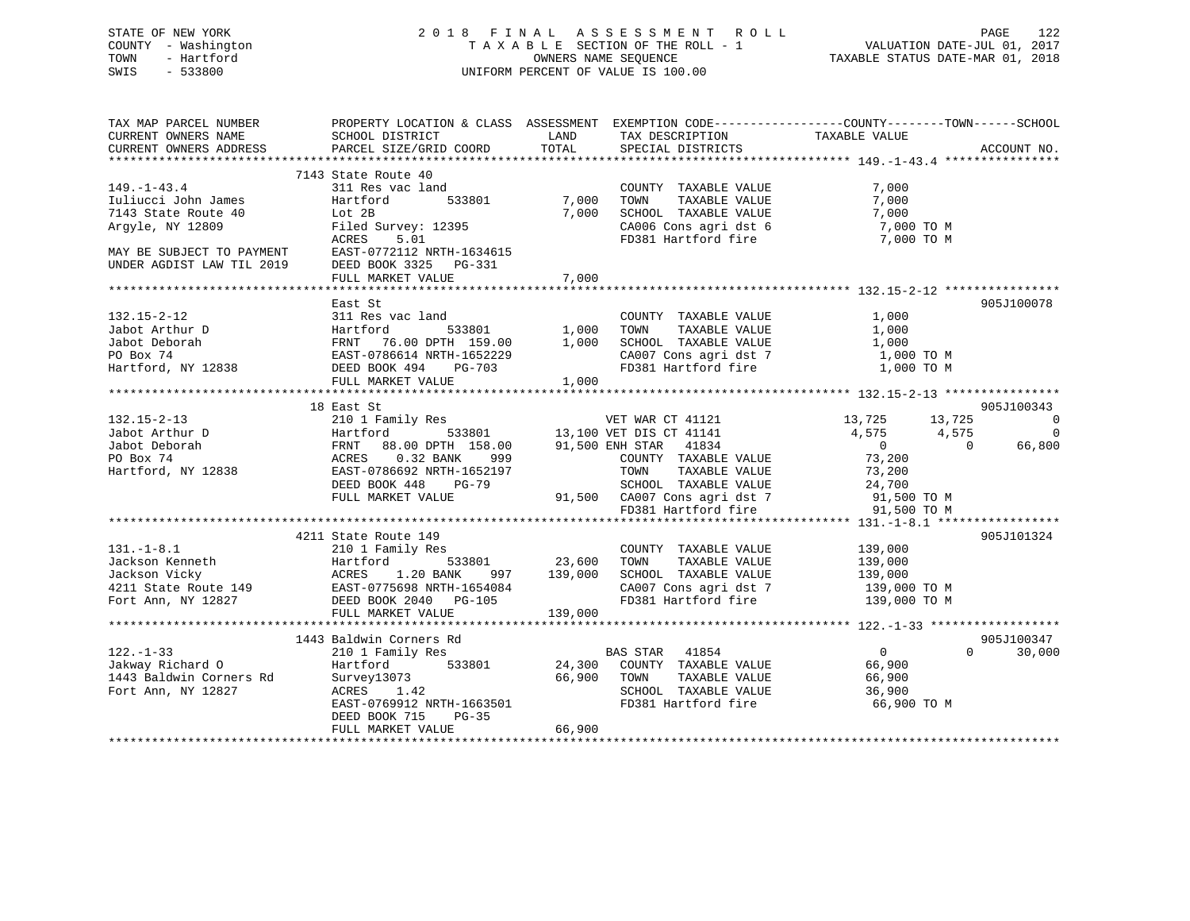STATE OF NEW YORK 2 0 1 8 F I N A L A S S E S S M E N T R O L L PAGE 122 COUNTY - Washington T A X A B L E SECTION OF THE ROLL - 1 VALUATION DATE-JUL 01, 2017 TOWN - Hartford **TAXABLE STATUS DATE-MAR 01, 2018** OWNERS NAME SEQUENCE TAXABLE STATUS DATE-MAR 01, 2018 SWIS - 533800 UNIFORM PERCENT OF VALUE IS 100.00

| TAX MAP PARCEL NUMBER<br>CURRENT OWNERS NAME<br>CURRENT OWNERS ADDRESS                                                                                                                                                                   | SCHOOL DISTRICT<br>PARCEL SIZE/GRID COORD TOTAL                                    |              | TAX DESCRIPTION TAXABLE VALUE SPECIAL DISTRICTS<br>LAND TAX DESCRIPTION                     | PROPERTY LOCATION & CLASS ASSESSMENT EXEMPTION CODE----------------COUNTY-------TOWN-----SCHOOL | ACCOUNT NO.        |
|------------------------------------------------------------------------------------------------------------------------------------------------------------------------------------------------------------------------------------------|------------------------------------------------------------------------------------|--------------|---------------------------------------------------------------------------------------------|-------------------------------------------------------------------------------------------------|--------------------|
|                                                                                                                                                                                                                                          |                                                                                    |              |                                                                                             |                                                                                                 |                    |
|                                                                                                                                                                                                                                          | 7143 State Route 40                                                                |              |                                                                                             |                                                                                                 |                    |
| $149. - 1 - 43.4$                                                                                                                                                                                                                        | 311 Res vac land                                                                   |              | COUNTY TAXABLE VALUE                                                                        | 7,000                                                                                           |                    |
| Tuliucci John James<br>7143 State Route 40<br>Argyle, NY 12809                                                                                                                                                                           | Hartford                                                                           | 533801 7,000 | TAXABLE VALUE<br>TOWN                                                                       | 7,000                                                                                           |                    |
|                                                                                                                                                                                                                                          | Lot 2B                                                                             |              |                                                                                             |                                                                                                 |                    |
|                                                                                                                                                                                                                                          |                                                                                    |              | 7,000 SCHOOL TAXABLE VALUE 7,000<br>CA006 Cons agri dst 6 7,000 TO M                        |                                                                                                 |                    |
|                                                                                                                                                                                                                                          | Filed Survey: 12395<br>ACRES 5.01<br>ACRES 5.01                                    |              | FD381 Hartford fire                                                                         | 7,000 TO M                                                                                      |                    |
| MAY BE SUBJECT TO PAYMENT EAST-0772112 NRTH-1634615                                                                                                                                                                                      |                                                                                    |              |                                                                                             |                                                                                                 |                    |
| UNDER AGDIST LAW TIL 2019                                                                                                                                                                                                                | DEED BOOK 3325 PG-331                                                              |              |                                                                                             |                                                                                                 |                    |
|                                                                                                                                                                                                                                          | FULL MARKET VALUE                                                                  | 7,000        |                                                                                             |                                                                                                 |                    |
|                                                                                                                                                                                                                                          |                                                                                    |              |                                                                                             |                                                                                                 |                    |
|                                                                                                                                                                                                                                          | East St                                                                            |              |                                                                                             |                                                                                                 | 905J100078         |
|                                                                                                                                                                                                                                          |                                                                                    |              |                                                                                             |                                                                                                 |                    |
|                                                                                                                                                                                                                                          |                                                                                    |              |                                                                                             |                                                                                                 |                    |
|                                                                                                                                                                                                                                          |                                                                                    |              |                                                                                             |                                                                                                 |                    |
|                                                                                                                                                                                                                                          |                                                                                    |              |                                                                                             |                                                                                                 |                    |
|                                                                                                                                                                                                                                          |                                                                                    |              |                                                                                             |                                                                                                 |                    |
|                                                                                                                                                                                                                                          |                                                                                    |              |                                                                                             |                                                                                                 |                    |
|                                                                                                                                                                                                                                          |                                                                                    |              |                                                                                             |                                                                                                 |                    |
|                                                                                                                                                                                                                                          | 18 East St                                                                         |              |                                                                                             |                                                                                                 | 905J100343         |
|                                                                                                                                                                                                                                          |                                                                                    |              |                                                                                             |                                                                                                 | $\overline{a}$     |
|                                                                                                                                                                                                                                          |                                                                                    |              |                                                                                             |                                                                                                 | $\overline{0}$     |
|                                                                                                                                                                                                                                          |                                                                                    |              |                                                                                             |                                                                                                 | 66,800             |
|                                                                                                                                                                                                                                          |                                                                                    |              |                                                                                             |                                                                                                 |                    |
|                                                                                                                                                                                                                                          |                                                                                    |              |                                                                                             |                                                                                                 |                    |
|                                                                                                                                                                                                                                          |                                                                                    |              |                                                                                             |                                                                                                 |                    |
|                                                                                                                                                                                                                                          |                                                                                    |              |                                                                                             |                                                                                                 |                    |
|                                                                                                                                                                                                                                          |                                                                                    |              |                                                                                             |                                                                                                 |                    |
|                                                                                                                                                                                                                                          |                                                                                    |              |                                                                                             |                                                                                                 |                    |
|                                                                                                                                                                                                                                          | 4211 State Route 149                                                               |              |                                                                                             |                                                                                                 | 905J101324         |
|                                                                                                                                                                                                                                          |                                                                                    |              | COUNTY TAXABLE VALUE 139,000                                                                |                                                                                                 |                    |
|                                                                                                                                                                                                                                          |                                                                                    |              |                                                                                             |                                                                                                 |                    |
|                                                                                                                                                                                                                                          |                                                                                    |              | -1,<br>1y Res 533801 23,600 TOWN TAXABLE VALUE<br>20 BANK 997 139,000 SCHOOL TAXABLE VALUE. | TAXABLE VALUE 139,000<br>TAXABLE VALUE 139,000                                                  |                    |
|                                                                                                                                                                                                                                          |                                                                                    |              | CA007 Cons agri dst 7 139,000 TO M                                                          |                                                                                                 |                    |
| 131.-1-8.1 210 1 Family Res<br>Jackson Kenneth Hartford 533801 23,600<br>Jackson Vicky ACRES 1.20 BANK 997 139,000<br>4211 State Route 149 EAST-0775698 NRTH-1654084<br>FOrt Ann, NY 12827 DEED BOOK 2040 PG-105<br>FULL MARKET VALUE 13 |                                                                                    |              | FD381 Hartford fire                                                                         | 139,000 TO M                                                                                    |                    |
|                                                                                                                                                                                                                                          | FULL MARKET VALUE                                                                  | 139,000      |                                                                                             |                                                                                                 |                    |
|                                                                                                                                                                                                                                          |                                                                                    |              |                                                                                             |                                                                                                 |                    |
|                                                                                                                                                                                                                                          | 1443 Baldwin Corners Rd                                                            |              |                                                                                             |                                                                                                 | 905J100347         |
|                                                                                                                                                                                                                                          |                                                                                    |              |                                                                                             | $\overline{0}$                                                                                  | $\Omega$<br>30,000 |
|                                                                                                                                                                                                                                          |                                                                                    |              |                                                                                             |                                                                                                 |                    |
| 122.-1-33 210 1 Family Res BAS STAR 41854 0<br>310 1 Family Res BAS STAR 41854 24,300 COUNTY TAXABLE VALUE 66,900<br>36,900 1443 Baldwin Corners Rd Survey13073 66,900 TOWN TAXABLE VALUE 66,900<br>86,900 TOWN TAXABLE VALUE 66,900     |                                                                                    |              |                                                                                             |                                                                                                 |                    |
|                                                                                                                                                                                                                                          |                                                                                    |              |                                                                                             |                                                                                                 |                    |
|                                                                                                                                                                                                                                          | Survey13073 66,900 TOWN<br>ACRES 1.42 SCHOOL<br>EAST-0769912 NRTH-1663501 FD381 Hz |              | FD381 Hartford fire                                                                         | 66,900 TO M                                                                                     |                    |
|                                                                                                                                                                                                                                          | DEED BOOK 715 PG-35                                                                |              |                                                                                             |                                                                                                 |                    |
|                                                                                                                                                                                                                                          | FULL MARKET VALUE                                                                  | 66,900       |                                                                                             |                                                                                                 |                    |
|                                                                                                                                                                                                                                          |                                                                                    |              |                                                                                             |                                                                                                 |                    |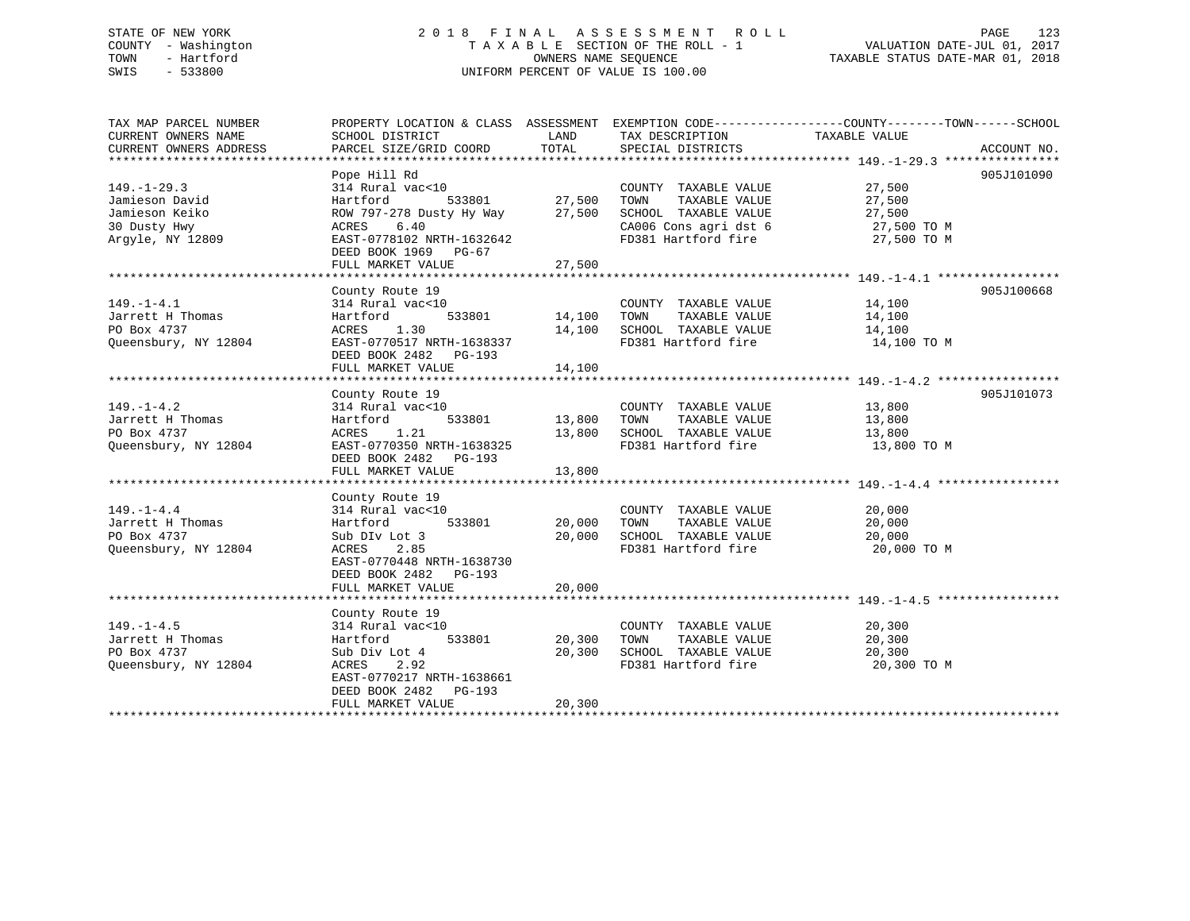## STATE OF NEW YORK 2 0 1 8 F I N A L A S S E S S M E N T R O L L PAGE 123 COUNTY - Washington T A X A B L E SECTION OF THE ROLL - 1 VALUATION DATE-JUL 01, 2017 TOWN - Hartford **TAXABLE STATUS DATE-MAR 01, 2018** OWNERS NAME SEQUENCE TAXABLE STATUS DATE-MAR 01, 2018 SWIS - 533800 UNIFORM PERCENT OF VALUE IS 100.00

| TAX MAP PARCEL NUMBER<br>CURRENT OWNERS NAME | PROPERTY LOCATION & CLASS ASSESSMENT EXEMPTION CODE----------------COUNTY-------TOWN------SCHOOL<br>SCHOOL DISTRICT | LAND               | TAX DESCRIPTION                                    | TAXABLE VALUE    |             |
|----------------------------------------------|---------------------------------------------------------------------------------------------------------------------|--------------------|----------------------------------------------------|------------------|-------------|
| CURRENT OWNERS ADDRESS                       | PARCEL SIZE/GRID COORD TOTAL                                                                                        |                    | SPECIAL DISTRICTS                                  |                  | ACCOUNT NO. |
|                                              | Pope Hill Rd                                                                                                        |                    |                                                    |                  | 905J101090  |
| $149. - 1 - 29.3$<br>Jamieson David          | 314 Rural vac<10<br>vac<10<br>533801 27,500<br>Hartford                                                             |                    | COUNTY TAXABLE VALUE<br>TAXABLE VALUE<br>TOWN      | 27,500<br>27,500 |             |
| Jamieson Keiko                               | ROW 797-278 Dusty Hy Way 27,500 SCHOOL TAXABLE VALUE                                                                |                    |                                                    | 27,500           |             |
| 30 Dusty Hwy                                 | ACRES<br>6.40                                                                                                       |                    | CA006 Cons agri dst 6 $27,500$ TO M                |                  |             |
| Argyle, NY 12809                             | EAST-0778102 NRTH-1632642                                                                                           |                    | FD381 Hartford fire                                | 27,500 TO M      |             |
|                                              | DEED BOOK 1969 PG-67                                                                                                |                    |                                                    |                  |             |
|                                              | FULL MARKET VALUE                                                                                                   | 27,500             |                                                    |                  |             |
|                                              | County Route 19                                                                                                     |                    |                                                    |                  | 905J100668  |
| $149. - 1 - 4.1$                             | 314 Rural vac<10                                                                                                    |                    | COUNTY TAXABLE VALUE 14,100                        |                  |             |
| Jarrett H Thomas                             | Hartford                                                                                                            | 533801 14,100 TOWN | TAXABLE VALUE                                      | 14,100           |             |
| PO Box 4737                                  | ACRES 1.30 14,100 SCHOOL TAXABLE VALUE<br>EAST-0770517 NRTH-1638337 FD381 Hartford fire                             |                    |                                                    | 14,100           |             |
| Queensbury, NY 12804                         |                                                                                                                     |                    | FD381 Hartford fire                                | 14,100 TO M      |             |
|                                              | DEED BOOK 2482    PG-193<br>FULL MARKET VALUE                                                                       | 14,100             |                                                    |                  |             |
|                                              |                                                                                                                     |                    |                                                    |                  |             |
|                                              | County Route 19                                                                                                     |                    |                                                    |                  | 905J101073  |
| $149. - 1 - 4.2$                             | 314 Rural vac<10                                                                                                    |                    | COUNTY TAXABLE VALUE                               | 13,800           |             |
| Jarrett H Thomas                             | 533801 13,800 TOWN<br>Hartford                                                                                      |                    | TAXABLE VALUE                                      | 13,800           |             |
| PO Box 4737                                  | ACRES 1.21                                                                                                          |                    | 13,800 SCHOOL TAXABLE VALUE                        | 13,800           |             |
| Oueensbury, NY 12804                         | EAST-0770350 NRTH-1638325                                                                                           |                    | FD381 Hartford fire 13,800 TO M                    |                  |             |
|                                              | DEED BOOK 2482    PG-193<br>FULL MARKET VALUE                                                                       | 13,800             |                                                    |                  |             |
|                                              |                                                                                                                     |                    |                                                    |                  |             |
|                                              | County Route 19                                                                                                     |                    |                                                    |                  |             |
| $149. - 1 - 4.4$                             | 314 Rural vac<10                                                                                                    |                    | COUNTY TAXABLE VALUE                               | 20,000           |             |
| Jarrett H Thomas                             | 533801<br>Hartford                                                                                                  |                    | 20,000 TOWN<br>TAXABLE VALUE                       | 20,000           |             |
| PO Box 4737                                  | Sub DIv Lot 3                                                                                                       |                    | 20,000 SCHOOL TAXABLE VALUE                        | 20,000           |             |
| Oueensbury, NY 12804                         | ACRES 2.85<br>EAST-0770448 NRTH-1638730                                                                             |                    | FD381 Hartford fire                                | 20,000 TO M      |             |
|                                              | DEED BOOK 2482 PG-193                                                                                               |                    |                                                    |                  |             |
|                                              | FULL MARKET VALUE                                                                                                   | 20,000             |                                                    |                  |             |
|                                              |                                                                                                                     |                    |                                                    |                  |             |
|                                              | County Route 19                                                                                                     |                    |                                                    |                  |             |
| $149. - 1 - 4.5$                             | 314 Rural vac<10                                                                                                    |                    | COUNTY TAXABLE VALUE                               | 20,300           |             |
| Jarrett H Thomas                             | Hartford                                                                                                            | 533801 20,300 TOWN | TAXABLE VALUE                                      | 20,300<br>20,300 |             |
| PO Box 4737<br>Oueensbury, NY 12804          | Sub Div Lot 4<br>2.92<br>ACRES                                                                                      |                    | 20,300 SCHOOL TAXABLE VALUE<br>FD381 Hartford fire | 20,300 TO M      |             |
|                                              | EAST-0770217 NRTH-1638661                                                                                           |                    |                                                    |                  |             |
|                                              | DEED BOOK 2482 PG-193                                                                                               |                    |                                                    |                  |             |
|                                              | FULL MARKET VALUE                                                                                                   | 20,300             |                                                    |                  |             |
|                                              |                                                                                                                     |                    |                                                    |                  |             |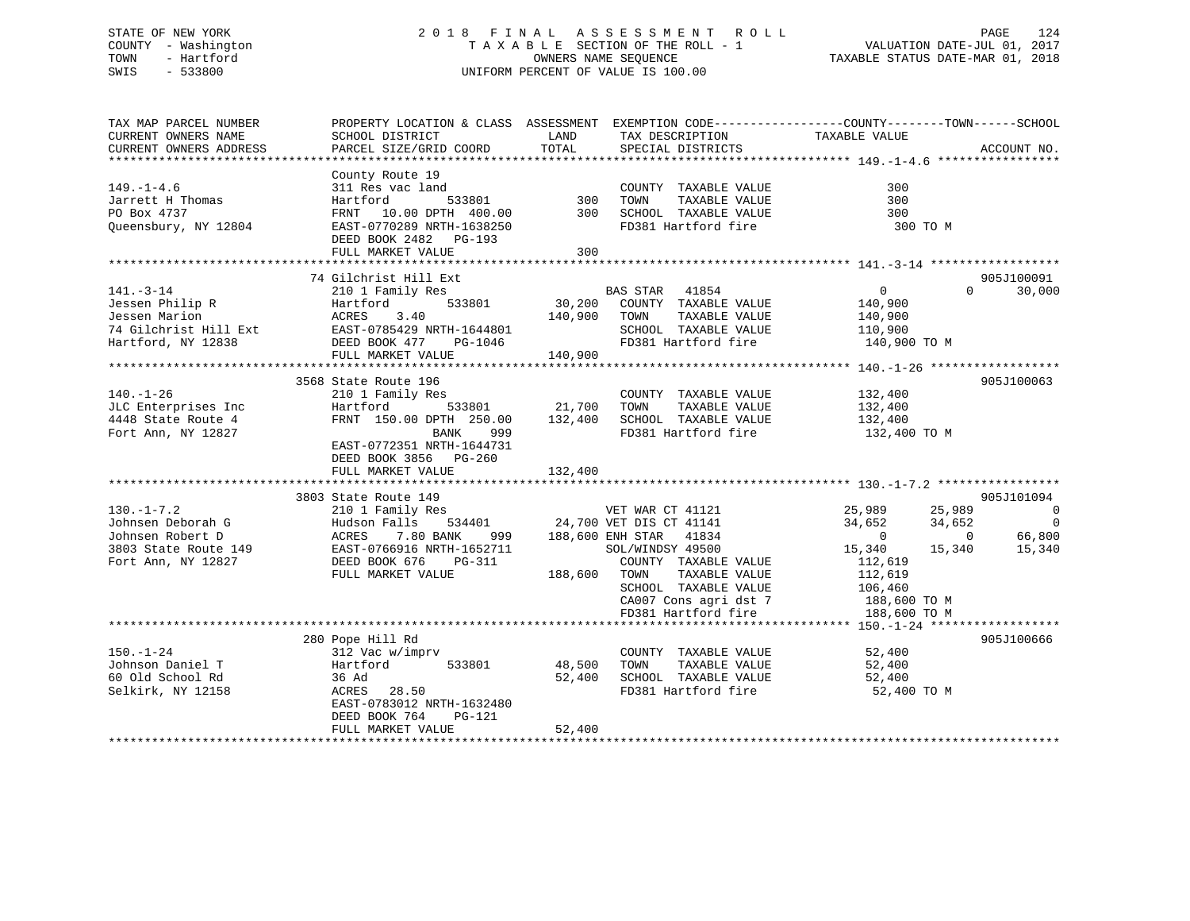## STATE OF NEW YORK 2 0 1 8 F I N A L A S S E S S M E N T R O L L PAGE 124 COUNTY - Washington T A X A B L E SECTION OF THE ROLL - 1 VALUATION DATE-JUL 01, 2017 TOWN - Hartford **TAXABLE STATUS DATE-MAR 01, 2018** OWNERS NAME SEQUENCE TAXABLE STATUS DATE-MAR 01, 2018 SWIS - 533800 UNIFORM PERCENT OF VALUE IS 100.00

| TAX MAP PARCEL NUMBER<br>CURRENT OWNERS NAME<br>CURRENT OWNERS ADDRESS                                                                                 | SCHOOL DISTRICT<br>PARCEL SIZE/GRID COORD                                                                                                                                              | LAND<br>TOTAL               | TAX DESCRIPTION<br>SPECIAL DISTRICTS                              | PROPERTY LOCATION & CLASS ASSESSMENT EXEMPTION CODE----------------COUNTY-------TOWN-----SCHOOL<br>TAXABLE VALUE | ACCOUNT NO.    |
|--------------------------------------------------------------------------------------------------------------------------------------------------------|----------------------------------------------------------------------------------------------------------------------------------------------------------------------------------------|-----------------------------|-------------------------------------------------------------------|------------------------------------------------------------------------------------------------------------------|----------------|
|                                                                                                                                                        |                                                                                                                                                                                        |                             |                                                                   |                                                                                                                  |                |
|                                                                                                                                                        | County Route 19                                                                                                                                                                        |                             |                                                                   |                                                                                                                  |                |
| $149. - 1 - 4.6$                                                                                                                                       | COUNTY TAXABLE VALUE<br>311 Res vac land<br>Hartford 533801 300 TOWN TAXABLE VALUE<br>FRNT 10.00 DPTH 400.00 300 SCHOOL TAXABLE VALUE<br>EAST-0770289 NRTH-1638250 FD381 Hartford fire |                             |                                                                   | 300                                                                                                              |                |
| Jarrett H Thomas                                                                                                                                       |                                                                                                                                                                                        |                             |                                                                   | 300                                                                                                              |                |
| PO Box 4737                                                                                                                                            |                                                                                                                                                                                        |                             |                                                                   | 300                                                                                                              |                |
| Oueensbury, NY 12804                                                                                                                                   |                                                                                                                                                                                        |                             |                                                                   | 300 TO M                                                                                                         |                |
|                                                                                                                                                        | DEED BOOK 2482    PG-193                                                                                                                                                               |                             |                                                                   |                                                                                                                  |                |
|                                                                                                                                                        | FULL MARKET VALUE                                                                                                                                                                      | 300                         |                                                                   |                                                                                                                  |                |
|                                                                                                                                                        |                                                                                                                                                                                        |                             |                                                                   |                                                                                                                  |                |
|                                                                                                                                                        | 74 Gilchrist Hill Ext                                                                                                                                                                  |                             | Ext<br>30,200 COUNTY TAXABLE VALUE<br>30,200 COUNTY TAXABLE VALUE |                                                                                                                  | 905J100091     |
| 141.-3-14                                                                                                                                              | 210 1 Family Res                                                                                                                                                                       |                             |                                                                   | $0 \qquad \qquad$<br>$\Omega$                                                                                    | 30,000         |
| Jessen Philip R<br>Jessen Marion Martford 533801<br>74 Gilchrist Hill Ext EAST-0785429 NRTH-1644801<br>74 Gilchrist Hill Ext EAST-0785429 NRTH-1644801 |                                                                                                                                                                                        |                             |                                                                   | 140,900                                                                                                          |                |
|                                                                                                                                                        |                                                                                                                                                                                        |                             | 140,900 TOWN TAXABLE VALUE                                        | 140,900                                                                                                          |                |
|                                                                                                                                                        |                                                                                                                                                                                        |                             |                                                                   | 110,900                                                                                                          |                |
| Hartford, NY 12838 DEED BOOK 477 PG-1046                                                                                                               |                                                                                                                                                                                        |                             | SCHOOL TAXABLE VALUE 110,900<br>FD381 Hartford fire 140,900 TO M  |                                                                                                                  |                |
|                                                                                                                                                        | FULL MARKET VALUE 140,900                                                                                                                                                              |                             |                                                                   |                                                                                                                  |                |
|                                                                                                                                                        |                                                                                                                                                                                        |                             |                                                                   |                                                                                                                  |                |
|                                                                                                                                                        | 3568 State Route 196                                                                                                                                                                   |                             |                                                                   |                                                                                                                  | 905J100063     |
| $140. - 1 - 26$                                                                                                                                        | 210 1 Family Res                                                                                                                                                                       | s<br>533801   21,700   TOWN | COUNTY TAXABLE VALUE                                              | 132,400<br>132,400                                                                                               |                |
| JLC Enterprises Inc                                                                                                                                    | Hartford                                                                                                                                                                               |                             | TAXABLE VALUE                                                     |                                                                                                                  |                |
| 4448 State Route 4                                                                                                                                     | FRNT 150.00 DPTH 250.00 132,400                                                                                                                                                        |                             | SCHOOL TAXABLE VALUE                                              | 132,400                                                                                                          |                |
| Fort Ann, NY 12827                                                                                                                                     | BANK 999                                                                                                                                                                               |                             | FD381 Hartford fire                                               | 132,400 TO M                                                                                                     |                |
|                                                                                                                                                        | EAST-0772351 NRTH-1644731                                                                                                                                                              |                             |                                                                   |                                                                                                                  |                |
|                                                                                                                                                        | DEED BOOK 3856 PG-260                                                                                                                                                                  |                             |                                                                   |                                                                                                                  |                |
|                                                                                                                                                        | FULL MARKET VALUE                                                                                                                                                                      | 132,400                     |                                                                   |                                                                                                                  |                |
|                                                                                                                                                        |                                                                                                                                                                                        |                             |                                                                   |                                                                                                                  |                |
|                                                                                                                                                        | 3803 State Route 149                                                                                                                                                                   |                             |                                                                   |                                                                                                                  | 905J101094     |
| $130. -1 - 7.2$                                                                                                                                        | 210 1 Family Res                                                                                                                                                                       |                             | VET WAR CT 41121                                                  | 25,989<br>25,989                                                                                                 | $\overline{0}$ |
|                                                                                                                                                        |                                                                                                                                                                                        |                             |                                                                   | 34,652<br>34,652                                                                                                 | $\overline{0}$ |
|                                                                                                                                                        |                                                                                                                                                                                        |                             | 534401 24,700 VET DIS CT 41141                                    | $\overline{0}$<br>$\overline{0}$                                                                                 | 66,800         |
| Fohnsen Deborah G<br>Tohnsen Deborah G<br>Tohnsen Robert D<br>3803 State Route 149<br>BAST-0766916 NRTH-1652711                                        |                                                                                                                                                                                        |                             | SOL/WINDSY 49500                                                  | 15,340<br>15,340                                                                                                 | 15,340         |
| Fort Ann, NY 12827                                                                                                                                     | DEED BOOK 676<br>PG-311                                                                                                                                                                |                             | COUNTY TAXABLE VALUE                                              | 112,619                                                                                                          |                |
|                                                                                                                                                        | FULL MARKET VALUE                                                                                                                                                                      | 188,600 TOWN                | TAXABLE VALUE                                                     | 112,619                                                                                                          |                |
|                                                                                                                                                        |                                                                                                                                                                                        |                             | SCHOOL TAXABLE VALUE                                              |                                                                                                                  |                |
|                                                                                                                                                        |                                                                                                                                                                                        |                             | CA007 Cons agri dst 7                                             | 106,460<br>188,600 TO M                                                                                          |                |
|                                                                                                                                                        |                                                                                                                                                                                        |                             | FD381 Hartford fire                                               | 188,600 TO M                                                                                                     |                |
|                                                                                                                                                        |                                                                                                                                                                                        |                             |                                                                   |                                                                                                                  |                |
|                                                                                                                                                        | 280 Pope Hill Rd                                                                                                                                                                       |                             |                                                                   |                                                                                                                  | 905J100666     |
| $150. - 1 - 24$                                                                                                                                        | 312 Vac w/imprv                                                                                                                                                                        |                             | COUNTY TAXABLE VALUE                                              | 52,400                                                                                                           |                |
| Johnson Daniel T                                                                                                                                       | Hartford<br>533801                                                                                                                                                                     | 48,500                      | TOWN<br>TAXABLE VALUE                                             | 52,400                                                                                                           |                |
| 60 Old School Rd                                                                                                                                       | 36 Ad                                                                                                                                                                                  | 52,400                      | SCHOOL TAXABLE VALUE                                              | 52,400                                                                                                           |                |
| Selkirk, NY 12158                                                                                                                                      | ACRES<br>28.50                                                                                                                                                                         |                             | FD381 Hartford fire                                               | 52,400 TO M                                                                                                      |                |
|                                                                                                                                                        | EAST-0783012 NRTH-1632480                                                                                                                                                              |                             |                                                                   |                                                                                                                  |                |
|                                                                                                                                                        | DEED BOOK 764<br>PG-121                                                                                                                                                                |                             |                                                                   |                                                                                                                  |                |
|                                                                                                                                                        | FULL MARKET VALUE                                                                                                                                                                      | 52,400                      |                                                                   |                                                                                                                  |                |
|                                                                                                                                                        |                                                                                                                                                                                        |                             |                                                                   |                                                                                                                  |                |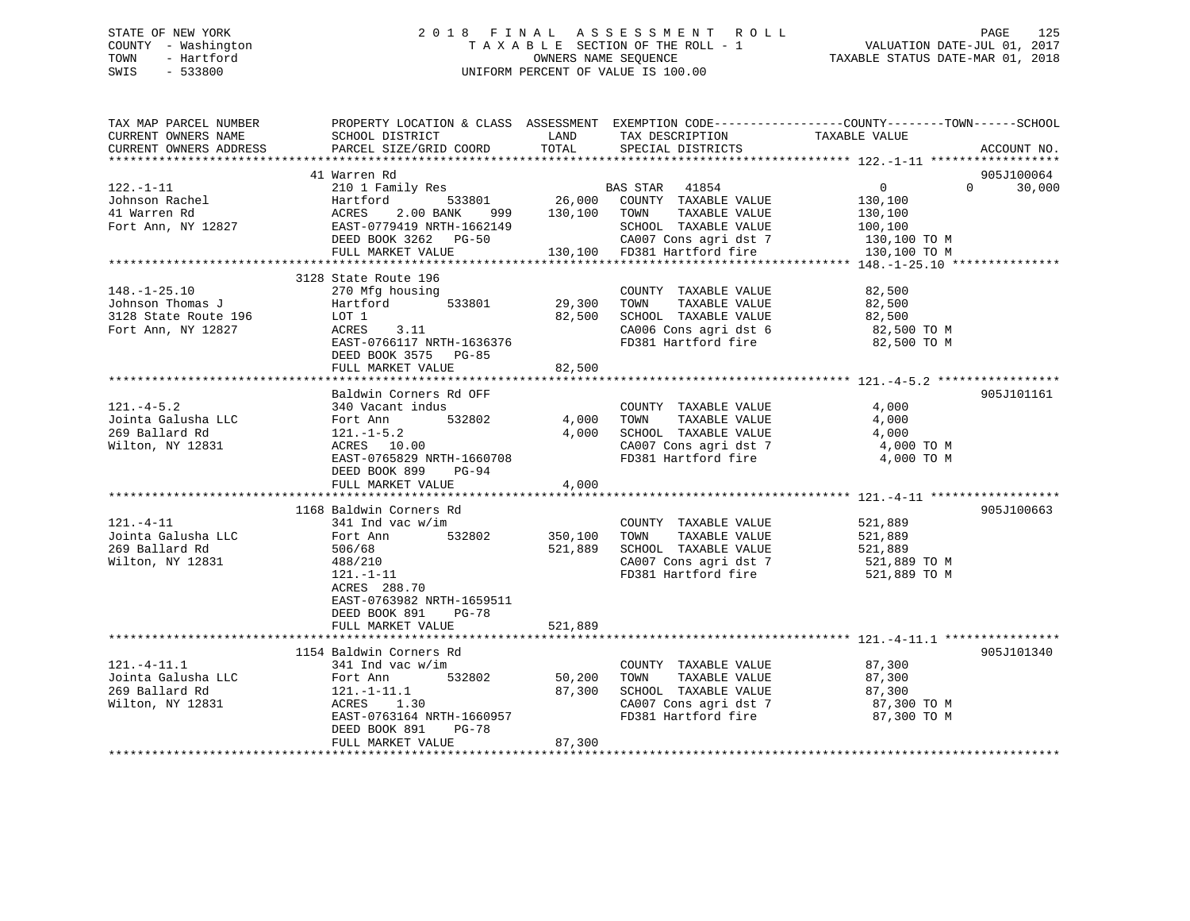## STATE OF NEW YORK 2 0 1 8 F I N A L A S S E S S M E N T R O L L PAGE 125 COUNTY - Washington T A X A B L E SECTION OF THE ROLL - 1 VALUATION DATE-JUL 01, 2017 TOWN - Hartford **TAXABLE STATUS DATE-MAR 01, 2018** OWNERS NAME SEQUENCE TAXABLE STATUS DATE-MAR 01, 2018 SWIS - 533800 UNIFORM PERCENT OF VALUE IS 100.00

| TAX MAP PARCEL NUMBER<br>CURRENT OWNERS NAME | PROPERTY LOCATION & CLASS ASSESSMENT EXEMPTION CODE----------------COUNTY-------TOWN------SCHOOL<br>SCHOOL DISTRICT | LAND         | TAX DESCRIPTION                                      | TAXABLE VALUE      |                        |
|----------------------------------------------|---------------------------------------------------------------------------------------------------------------------|--------------|------------------------------------------------------|--------------------|------------------------|
| CURRENT OWNERS ADDRESS                       | PARCEL SIZE/GRID COORD                                                                                              | TOTAL        | SPECIAL DISTRICTS                                    |                    | ACCOUNT NO.            |
|                                              |                                                                                                                     |              |                                                      |                    |                        |
|                                              | 41 Warren Rd                                                                                                        |              |                                                      |                    | 905J100064<br>$\Omega$ |
| $122. - 1 - 11$<br>Johnson Rachel            | 210 1 Family Res<br>Hartford                                                                                        |              | BAS STAR 41854<br>533801 26,000 COUNTY TAXABLE VALUE | $\overline{0}$     | 30,000                 |
| 41 Warren Rd                                 | ACRES<br>2.00 BANK 999                                                                                              | 130,100 TOWN | TAXABLE VALUE                                        | 130,100<br>130,100 |                        |
| Fort Ann, NY 12827                           | EAST-0779419 NRTH-1662149                                                                                           |              | SCHOOL TAXABLE VALUE                                 | 100,100            |                        |
|                                              | DEED BOOK 3262 PG-50                                                                                                |              | CA007 Cons agri dst 7                                | 130,100 TO M       |                        |
|                                              | FULL MARKET VALUE                                                                                                   |              | 130,100 FD381 Hartford fire                          | 130,100 TO M       |                        |
|                                              |                                                                                                                     |              |                                                      |                    |                        |
|                                              | 3128 State Route 196                                                                                                |              |                                                      |                    |                        |
| $148. - 1 - 25.10$                           | 270 Mfg housing                                                                                                     |              | COUNTY TAXABLE VALUE                                 | 82,500             |                        |
| Johnson Thomas J                             | 533801<br>Hartford                                                                                                  | 29,300       | TAXABLE VALUE<br>TOWN                                | 82,500             |                        |
| 3128 State Route 196                         | LOT 1                                                                                                               | 82,500       | SCHOOL TAXABLE VALUE                                 | 82,500             |                        |
| Fort Ann, NY 12827                           | ACRES<br>3.11                                                                                                       |              | CA006 Cons agri dst 6                                | 82,500 TO M        |                        |
|                                              | EAST-0766117 NRTH-1636376                                                                                           |              | FD381 Hartford fire                                  | 82,500 TO M        |                        |
|                                              | DEED BOOK 3575 PG-85                                                                                                |              |                                                      |                    |                        |
|                                              | FULL MARKET VALUE                                                                                                   | 82,500       |                                                      |                    |                        |
|                                              |                                                                                                                     |              |                                                      |                    |                        |
|                                              | Baldwin Corners Rd OFF                                                                                              |              |                                                      |                    | 905J101161             |
| $121. -4 - 5.2$                              | 340 Vacant indus                                                                                                    |              | COUNTY TAXABLE VALUE                                 | 4,000              |                        |
| Jointa Galusha LLC                           | 532802<br>Fort Ann                                                                                                  | 4,000        | TAXABLE VALUE<br>TOWN                                | 4,000              |                        |
| 269 Ballard Rd                               | $121. - 1 - 5.2$                                                                                                    | 4,000        | SCHOOL TAXABLE VALUE                                 | 4,000              |                        |
| Wilton, NY 12831                             | ACRES 10.00                                                                                                         |              | CA007 Cons agri dst 7                                | 4,000 TO M         |                        |
|                                              | EAST-0765829 NRTH-1660708                                                                                           |              | FD381 Hartford fire                                  | 4,000 TO M         |                        |
|                                              | DEED BOOK 899 PG-94                                                                                                 |              |                                                      |                    |                        |
|                                              | FULL MARKET VALUE                                                                                                   | 4,000        |                                                      |                    |                        |
|                                              | 1168 Baldwin Corners Rd                                                                                             |              |                                                      |                    | 905J100663             |
| $121. - 4 - 11$                              | $341$ Ind vac w/im                                                                                                  |              | COUNTY TAXABLE VALUE                                 | 521,889            |                        |
| Jointa Galusha LLC                           | 532802<br>Fort Ann                                                                                                  | 350,100      | TOWN<br>TAXABLE VALUE                                | 521,889            |                        |
| 269 Ballard Rd                               | 506/68                                                                                                              | 521,889      | SCHOOL TAXABLE VALUE                                 | 521,889            |                        |
| Wilton, NY 12831                             | 488/210                                                                                                             |              | CA007 Cons agri dst 7                                | 521,889 TO M       |                        |
|                                              | $121. - 1 - 11$                                                                                                     |              | FD381 Hartford fire                                  | 521,889 TO M       |                        |
|                                              | ACRES 288.70                                                                                                        |              |                                                      |                    |                        |
|                                              | EAST-0763982 NRTH-1659511                                                                                           |              |                                                      |                    |                        |
|                                              | DEED BOOK 891<br>PG-78                                                                                              |              |                                                      |                    |                        |
|                                              | FULL MARKET VALUE                                                                                                   | 521,889      |                                                      |                    |                        |
|                                              |                                                                                                                     |              |                                                      |                    |                        |
|                                              | 1154 Baldwin Corners Rd                                                                                             |              |                                                      |                    | 905J101340             |
| $121.-4-11.1$                                | 341 Ind vac w/im                                                                                                    |              | COUNTY TAXABLE VALUE                                 | 87,300             |                        |
| Jointa Galusha LLC                           | 532802<br>Fort Ann                                                                                                  | 50,200       | TOWN<br>TAXABLE VALUE                                | 87,300             |                        |
| 269 Ballard Rd                               | 121.-1-11.1                                                                                                         | 87,300       | SCHOOL TAXABLE VALUE                                 | 87,300             |                        |
| Wilton, NY 12831                             | ACRES 1.30                                                                                                          |              | CA007 Cons agri dst 7                                | 87,300 TO M        |                        |
|                                              | EAST-0763164 NRTH-1660957                                                                                           |              | FD381 Hartford fire                                  | 87,300 TO M        |                        |
|                                              | DEED BOOK 891<br>PG-78                                                                                              |              |                                                      |                    |                        |
|                                              | FULL MARKET VALUE                                                                                                   | 87,300       |                                                      |                    |                        |
|                                              |                                                                                                                     |              |                                                      |                    |                        |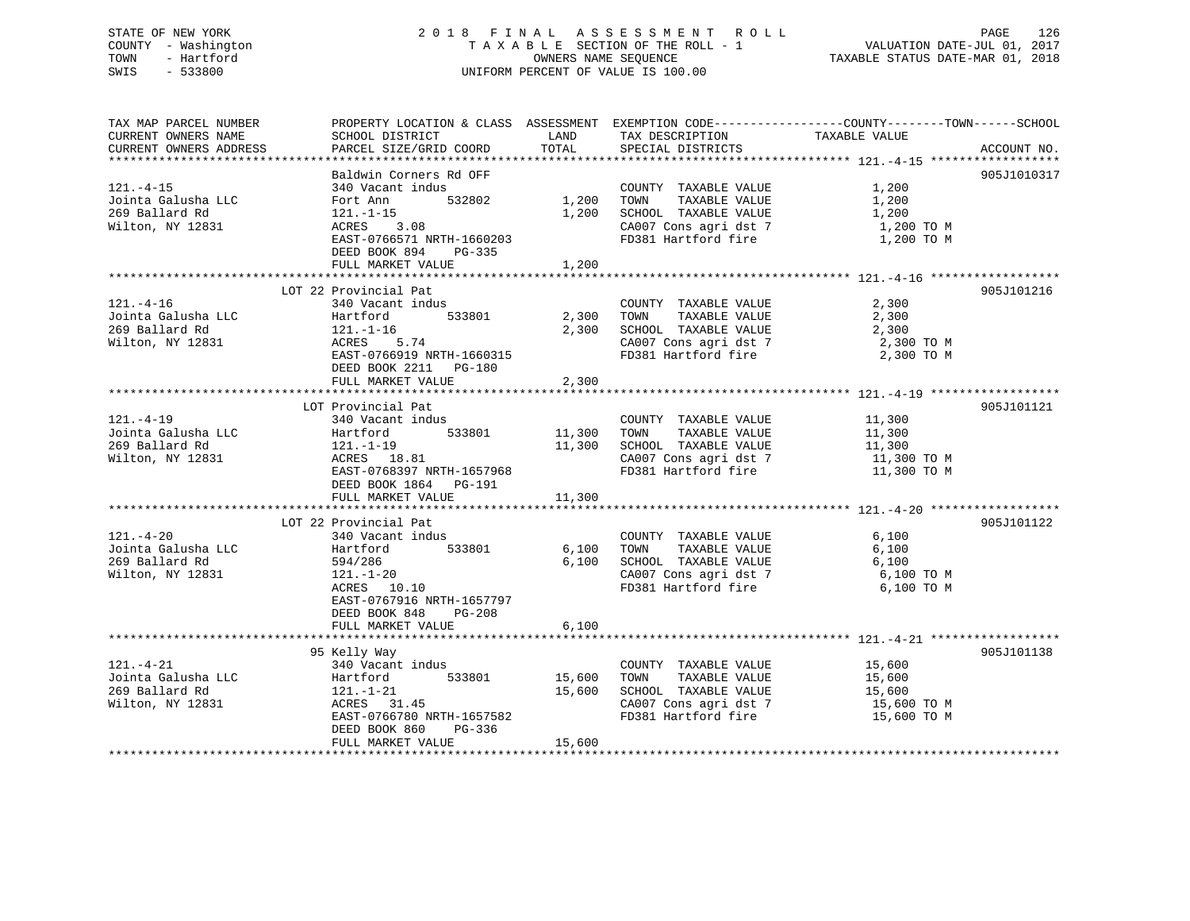## STATE OF NEW YORK 2 0 1 8 F I N A L A S S E S S M E N T R O L L PAGE 126 COUNTY - Washington T A X A B L E SECTION OF THE ROLL - 1 VALUATION DATE-JUL 01, 2017 TOWN - Hartford OWNERS NAME SEQUENCE TAXABLE STATUS DATE-MAR 01, 2018 SWIS - 533800 UNIFORM PERCENT OF VALUE IS 100.00

| TAX MAP PARCEL NUMBER                | PROPERTY LOCATION & CLASS ASSESSMENT EXEMPTION CODE----------------COUNTY-------TOWN------SCHOOL |                    |                                                                                                                                                                                                                                                                      |                            |             |
|--------------------------------------|--------------------------------------------------------------------------------------------------|--------------------|----------------------------------------------------------------------------------------------------------------------------------------------------------------------------------------------------------------------------------------------------------------------|----------------------------|-------------|
| CURRENT OWNERS NAME                  | SCHOOL DISTRICT                                                                                  | LAND               | TAX DESCRIPTION                                                                                                                                                                                                                                                      | TAXABLE VALUE              |             |
| CURRENT OWNERS ADDRESS               | PARCEL SIZE/GRID COORD                                                                           | TOTAL              | SPECIAL DISTRICTS                                                                                                                                                                                                                                                    |                            | ACCOUNT NO. |
|                                      |                                                                                                  |                    |                                                                                                                                                                                                                                                                      |                            |             |
|                                      | Baldwin Corners Rd OFF                                                                           |                    |                                                                                                                                                                                                                                                                      |                            | 905J1010317 |
| $121. - 4 - 15$                      | 340 Vacant indus                                                                                 |                    | COUNTY TAXABLE VALUE                                                                                                                                                                                                                                                 | 1,200                      |             |
| Jointa Galusha LLC                   | Fort Ann                                                                                         | 532802 1,200 TOWN  | TAXABLE VALUE                                                                                                                                                                                                                                                        | 1,200                      |             |
|                                      |                                                                                                  |                    |                                                                                                                                                                                                                                                                      |                            |             |
| 269 Ballard Rd                       | 121.-1-15<br>ACRES 3.08                                                                          | 1,200              | SCHOOL TAXABLE VALUE                                                                                                                                                                                                                                                 | 1,200                      |             |
| Wilton, NY 12831                     |                                                                                                  |                    | CA007 Cons agri dst 7 1,200 TO M                                                                                                                                                                                                                                     |                            |             |
|                                      | EAST-0766571 NRTH-1660203                                                                        |                    | FD381 Hartford fire                                                                                                                                                                                                                                                  | 1,200 TO M                 |             |
|                                      | DEED BOOK 894 PG-335                                                                             |                    |                                                                                                                                                                                                                                                                      |                            |             |
|                                      | FULL MARKET VALUE                                                                                | 1,200              |                                                                                                                                                                                                                                                                      |                            |             |
|                                      |                                                                                                  |                    |                                                                                                                                                                                                                                                                      |                            |             |
|                                      | LOT 22 Provincial Pat                                                                            |                    |                                                                                                                                                                                                                                                                      |                            | 905J101216  |
| $121. - 4 - 16$                      | 340 Vacant indus                                                                                 |                    | COUNTY TAXABLE VALUE                                                                                                                                                                                                                                                 | 2,300                      |             |
|                                      | Hartford<br>533801 2,300 TOWN                                                                    |                    | TAXABLE VALUE                                                                                                                                                                                                                                                        | 2,300                      |             |
| Jointa Galusha LLC<br>269 Ballard Rd |                                                                                                  |                    | 2,300 SCHOOL TAXABLE VALUE 2,300                                                                                                                                                                                                                                     |                            |             |
| Wilton, NY 12831                     | 121.-1-16<br>ACRES 5.74                                                                          |                    |                                                                                                                                                                                                                                                                      |                            |             |
|                                      |                                                                                                  |                    | $\begin{array}{lllllll} \texttt{CA007} & \texttt{Cons}\ \texttt{agri}\ \texttt{dst}\ \texttt{7} & \texttt{2,300}\ \texttt{T0}\ \texttt{M} & \texttt{300} & \texttt{TO} \ \texttt{M} & \texttt{300} & \texttt{TO} \ \texttt{M} & \texttt{M} & \texttt{M} \end{array}$ |                            |             |
|                                      | EAST-0766919 NRTH-1660315                                                                        |                    |                                                                                                                                                                                                                                                                      |                            |             |
|                                      | DEED BOOK 2211 PG-180                                                                            |                    |                                                                                                                                                                                                                                                                      |                            |             |
|                                      | FULL MARKET VALUE                                                                                | 2,300              |                                                                                                                                                                                                                                                                      |                            |             |
|                                      |                                                                                                  |                    |                                                                                                                                                                                                                                                                      |                            |             |
|                                      | LOT Provincial Pat                                                                               |                    |                                                                                                                                                                                                                                                                      |                            | 905J101121  |
| $121. - 4 - 19$                      | 340 Vacant indus                                                                                 |                    |                                                                                                                                                                                                                                                                      |                            |             |
| Jointa Galusha LLC                   | Hartford                                                                                         | 533801 11,300 TOWN |                                                                                                                                                                                                                                                                      |                            |             |
| 269 Ballard Rd                       | 121.-1-19                                                                                        |                    | COUNTY TAXABLE VALUE 11,300<br>11,300 TOWN TAXABLE VALUE 11,300<br>11,300 SCHOOL TAXABLE VALUE 11,300<br>CA007 Cons agri dst 7 11,300 TO M                                                                                                                           |                            |             |
| Wilton, NY 12831                     | ACRES 18.81                                                                                      |                    |                                                                                                                                                                                                                                                                      |                            |             |
|                                      | EAST-0768397 NRTH-1657968                                                                        |                    | FD381 Hartford fire 11,300 TO M                                                                                                                                                                                                                                      |                            |             |
|                                      | DEED BOOK 1864 PG-191                                                                            |                    |                                                                                                                                                                                                                                                                      |                            |             |
|                                      |                                                                                                  |                    |                                                                                                                                                                                                                                                                      |                            |             |
|                                      | FULL MARKET VALUE                                                                                | 11,300             |                                                                                                                                                                                                                                                                      |                            |             |
|                                      |                                                                                                  |                    |                                                                                                                                                                                                                                                                      |                            |             |
|                                      | LOT 22 Provincial Pat                                                                            |                    |                                                                                                                                                                                                                                                                      |                            | 905J101122  |
| $121. - 4 - 20$                      | 340 Vacant indus                                                                                 |                    | COUNTY TAXABLE VALUE 6,100                                                                                                                                                                                                                                           |                            |             |
| Jointa Galusha LLC<br>269 Ballard Rd | Hartford 533801                                                                                  |                    | 6,100 TOWN<br>TAXABLE VALUE                                                                                                                                                                                                                                          | 6,100                      |             |
| 269 Ballard Rd                       | 594/286                                                                                          |                    | $5,100$ SCHOOL TAXABLE VALUE $6,100$                                                                                                                                                                                                                                 |                            |             |
| Wilton, NY 12831                     | 121.-1-20                                                                                        |                    |                                                                                                                                                                                                                                                                      | 6,100 TO M                 |             |
|                                      | ACRES 10.10                                                                                      |                    | CA007 Cons agri dst 7                                                                                                                                                                                                                                                | 6,100 TO M                 |             |
|                                      | EAST-0767916 NRTH-1657797                                                                        |                    |                                                                                                                                                                                                                                                                      |                            |             |
|                                      | DEED BOOK 848 PG-208                                                                             |                    |                                                                                                                                                                                                                                                                      |                            |             |
|                                      | FULL MARKET VALUE                                                                                | 6,100              |                                                                                                                                                                                                                                                                      |                            |             |
|                                      |                                                                                                  |                    |                                                                                                                                                                                                                                                                      |                            |             |
|                                      | 95 Kelly Way                                                                                     |                    |                                                                                                                                                                                                                                                                      |                            | 905J101138  |
| $121. - 4 - 21$                      | 340 Vacant indus                                                                                 |                    | COUNTY TAXABLE VALUE 15,600                                                                                                                                                                                                                                          |                            |             |
|                                      |                                                                                                  |                    |                                                                                                                                                                                                                                                                      |                            |             |
| Jointa Galusha LLC                   | Hartford<br>533801                                                                               | 15,600 TOWN        | TAXABLE VALUE                                                                                                                                                                                                                                                        | 15,600<br>15,600<br>15,600 |             |
| 269 Ballard Rd                       | 121.-1-21                                                                                        | 15,600             | SCHOOL TAXABLE VALUE                                                                                                                                                                                                                                                 |                            |             |
| Wilton, NY 12831                     | ACRES 31.45                                                                                      |                    | CA007 Cons agri dst 7                                                                                                                                                                                                                                                | 15,600 TO M                |             |
|                                      | EAST-0766780 NRTH-1657582                                                                        |                    | FD381 Hartford fire                                                                                                                                                                                                                                                  | 15,600 TO M                |             |
|                                      | DEED BOOK 860<br>PG-336                                                                          |                    |                                                                                                                                                                                                                                                                      |                            |             |
|                                      | FULL MARKET VALUE                                                                                | 15,600             |                                                                                                                                                                                                                                                                      |                            |             |
|                                      |                                                                                                  |                    |                                                                                                                                                                                                                                                                      |                            |             |
|                                      |                                                                                                  |                    |                                                                                                                                                                                                                                                                      |                            |             |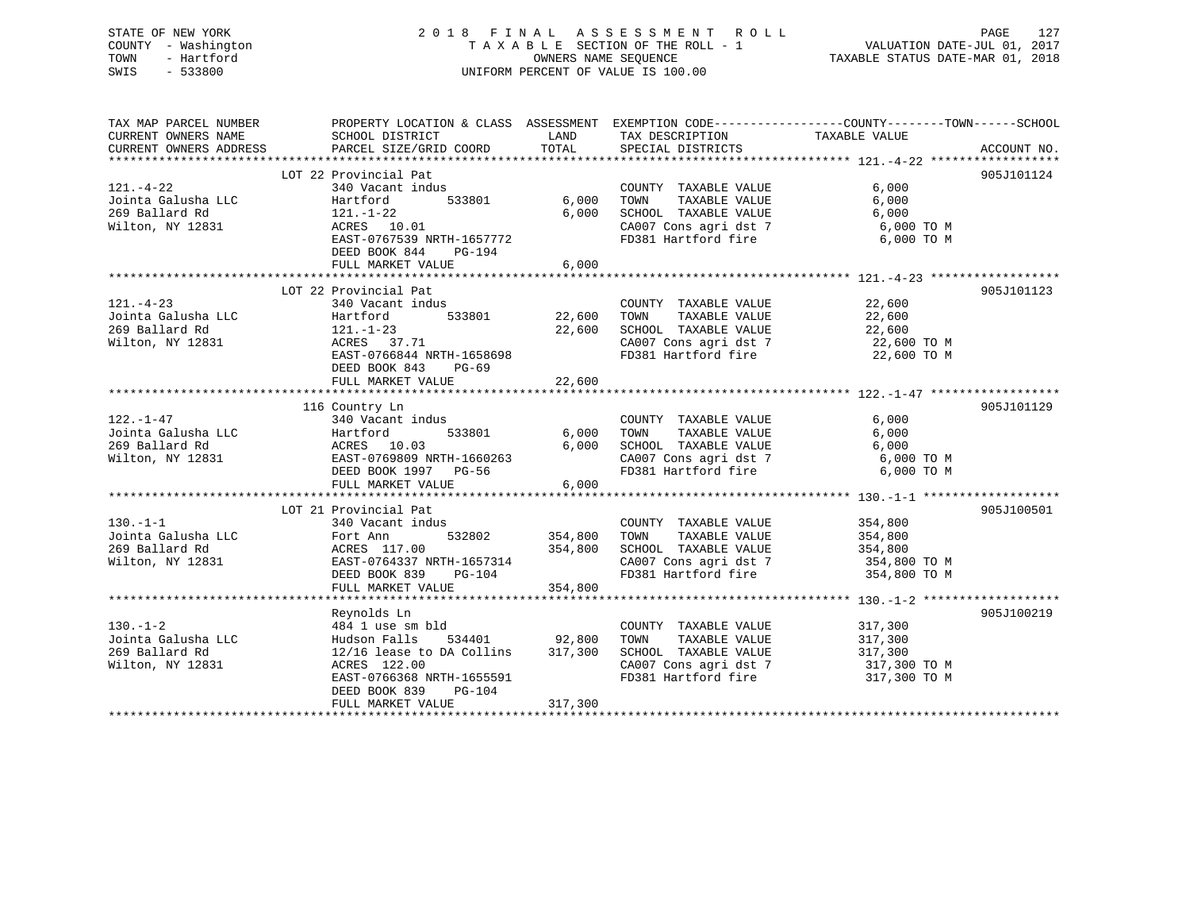## STATE OF NEW YORK 2 0 1 8 F I N A L A S S E S S M E N T R O L L PAGE 127 COUNTY - Washington T A X A B L E SECTION OF THE ROLL - 1 VALUATION DATE-JUL 01, 2017 TOWN - Hartford **TAXABLE STATUS DATE-MAR 01, 2018** OWNERS NAME SEQUENCE TAXABLE STATUS DATE-MAR 01, 2018 SWIS - 533800 UNIFORM PERCENT OF VALUE IS 100.00

| TAX MAP PARCEL NUMBER                                                                       |                                       |               |                                              | PROPERTY LOCATION & CLASS ASSESSMENT EXEMPTION CODE----------------COUNTY-------TOWN------SCHOOL |             |
|---------------------------------------------------------------------------------------------|---------------------------------------|---------------|----------------------------------------------|--------------------------------------------------------------------------------------------------|-------------|
| CURRENT OWNERS NAME                                                                         | SCHOOL DISTRICT                       | LAND          | TAX DESCRIPTION                              | TAXABLE VALUE                                                                                    |             |
| CURRENT OWNERS ADDRESS                                                                      | PARCEL SIZE/GRID COORD                | TOTAL         | SPECIAL DISTRICTS                            |                                                                                                  | ACCOUNT NO. |
|                                                                                             | LOT 22 Provincial Pat                 |               |                                              |                                                                                                  | 905J101124  |
| $121. - 4 - 22$                                                                             | 340 Vacant indus                      |               | COUNTY TAXABLE VALUE                         | 6,000                                                                                            |             |
| Jointa Galusha LLC                                                                          | 533801<br>Hartford                    | 6,000         | TOWN<br>TAXABLE VALUE                        | 6,000                                                                                            |             |
| 269 Ballard Rd                                                                              |                                       | 6,000         | SCHOOL TAXABLE VALUE                         |                                                                                                  |             |
| Wilton, NY 12831                                                                            | 121.-1-22<br>ACRES 10.01              |               | CA007 Cons agri dst 7                        | $6,000$ TO M<br>$6,000$ TO M                                                                     |             |
|                                                                                             | EAST-0767539 NRTH-1657772             |               |                                              | FD381 Hartford fire 6,000 TO M                                                                   |             |
|                                                                                             | DEED BOOK 844<br>PG-194               |               |                                              |                                                                                                  |             |
|                                                                                             | FULL MARKET VALUE                     | 6,000         |                                              |                                                                                                  |             |
|                                                                                             |                                       |               |                                              |                                                                                                  |             |
|                                                                                             | LOT 22 Provincial Pat                 |               |                                              |                                                                                                  | 905J101123  |
| $121. - 4 - 23$                                                                             | 340 Vacant indus                      |               | COUNTY TAXABLE VALUE                         | 22,600                                                                                           |             |
| Jointa Galusha LLC                                                                          | 533801<br>Hartford                    | 22,600        | TOWN<br>TAXABLE VALUE                        | 22,600                                                                                           |             |
| 269 Ballard Rd                                                                              | $121. - 1 - 23$                       | 22,600        | SCHOOL TAXABLE VALUE 22,600                  |                                                                                                  |             |
| Wilton, NY 12831                                                                            | ACRES 37.71                           |               |                                              |                                                                                                  |             |
|                                                                                             | EAST-0766844 NRTH-1658698             |               | CA007 Cons agri dst 7<br>FD381 Hartford fire | 22,600 ТО М<br>22,600 ТО М                                                                       |             |
|                                                                                             | DEED BOOK 843<br>PG-69                |               |                                              |                                                                                                  |             |
|                                                                                             |                                       |               |                                              |                                                                                                  |             |
|                                                                                             |                                       |               |                                              |                                                                                                  |             |
|                                                                                             | 116 Country Ln                        |               |                                              |                                                                                                  | 905J101129  |
| $122. - 1 - 47$                                                                             | 340 Vacant indus                      |               | COUNTY TAXABLE VALUE                         | 6,000                                                                                            |             |
|                                                                                             | 533801                                | 6,000         | TAXABLE VALUE<br>TOWN                        | 6,000                                                                                            |             |
|                                                                                             |                                       | 6,000         | SCHOOL TAXABLE VALUE                         | 6,000                                                                                            |             |
| Wilton, NY 12831                                                                            | EAST-0769809 NRTH-1660263             |               |                                              | CA007 Cons agri dst 7 6,000 TO M                                                                 |             |
|                                                                                             | DEED BOOK 1997 PG-56                  |               | FD381 Hartford fire                          | 6,000 TO M                                                                                       |             |
|                                                                                             | FULL MARKET VALUE                     | 6,000         |                                              |                                                                                                  |             |
|                                                                                             |                                       |               |                                              |                                                                                                  |             |
|                                                                                             | LOT 21 Provincial Pat                 |               |                                              |                                                                                                  | 905J100501  |
| $130. - 1 - 1$                                                                              | 340 Vacant indus                      | 354,800       | COUNTY TAXABLE VALUE                         | 354,800                                                                                          |             |
|                                                                                             | 532802                                |               | TOWN<br>TAXABLE VALUE                        | 354,800                                                                                          |             |
|                                                                                             |                                       | 354,800       | SCHOOL TAXABLE VALUE 354,800                 |                                                                                                  |             |
| 130.-1-1<br>Jointa Galusha LLC<br>269 Ballard Rd<br>2711-00 NY 12831<br>2831 EAST-0764337 P | EAST-0764337 NRTH-1657314             |               | CA007 Cons agri dst 7<br>FD381 Hartford fire | 354,800 TO M                                                                                     |             |
|                                                                                             | DEED BOOK 839<br>PG-104               |               |                                              | 354,800 TO M                                                                                     |             |
|                                                                                             | FULL MARKET VALUE                     | 354,800       |                                              |                                                                                                  |             |
|                                                                                             | Reynolds Ln                           |               |                                              |                                                                                                  | 905J100219  |
| $130. - 1 - 2$                                                                              | 484 1 use sm bld                      |               | COUNTY TAXABLE VALUE                         | 317,300                                                                                          |             |
| Jointa Galusha LLC Mudson Falls                                                             |                                       | 534401 92,800 | TOWN<br>TAXABLE VALUE                        | 317,300                                                                                          |             |
| 269 Ballard Rd                                                                              | $12/16$ lease to DA Collins $317,300$ |               | SCHOOL TAXABLE VALUE                         | 317,300                                                                                          |             |
| Wilton, NY 12831                                                                            | ACRES 122.00                          |               | CA007 Cons agri dst 7                        |                                                                                                  |             |
|                                                                                             | EAST-0766368 NRTH-1655591             |               | FD381 Hartford fire                          | 317,300 TO M<br>317,300 TO M                                                                     |             |
|                                                                                             | DEED BOOK 839<br>PG-104               |               |                                              |                                                                                                  |             |
|                                                                                             | FULL MARKET VALUE                     | 317,300       |                                              |                                                                                                  |             |
|                                                                                             |                                       |               |                                              |                                                                                                  |             |
|                                                                                             |                                       |               |                                              |                                                                                                  |             |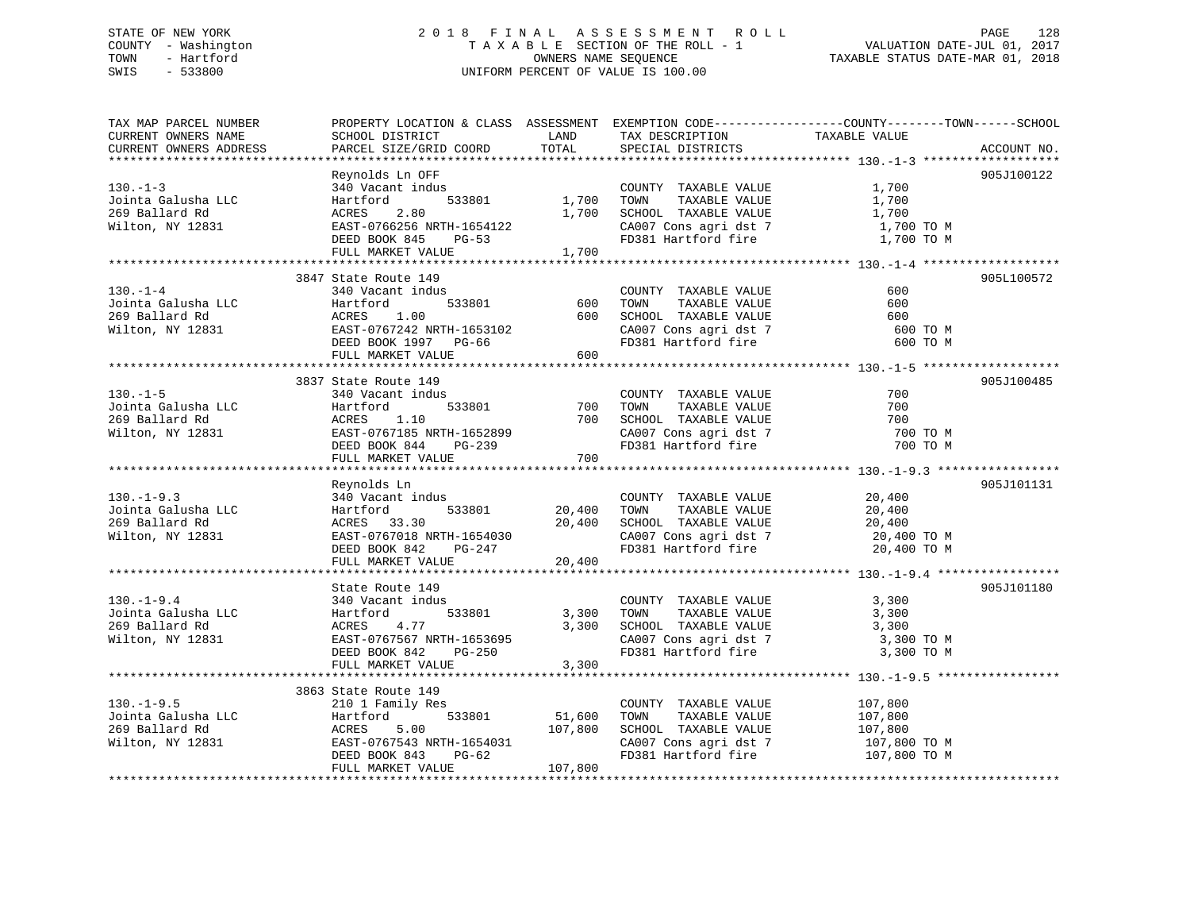## STATE OF NEW YORK 2 0 1 8 F I N A L A S S E S S M E N T R O L L PAGE 128 COUNTY - Washington T A X A B L E SECTION OF THE ROLL - 1 VALUATION DATE-JUL 01, 2017 TOWN - Hartford **TAXABLE STATUS DATE-MAR 01, 2018** OWNERS NAME SEQUENCE TAXABLE STATUS DATE-MAR 01, 2018 SWIS - 533800 UNIFORM PERCENT OF VALUE IS 100.00

| TAX MAP PARCEL NUMBER                                                                                                                                                                                                                      |                                                                                                                                                                   |                                    |                                                                                                                                                       | PROPERTY LOCATION & CLASS ASSESSMENT EXEMPTION CODE----------------COUNTY-------TOWN------SCHOOL |
|--------------------------------------------------------------------------------------------------------------------------------------------------------------------------------------------------------------------------------------------|-------------------------------------------------------------------------------------------------------------------------------------------------------------------|------------------------------------|-------------------------------------------------------------------------------------------------------------------------------------------------------|--------------------------------------------------------------------------------------------------|
| CURRENT OWNERS NAME                                                                                                                                                                                                                        | SCHOOL DISTRICT                                                                                                                                                   | LAND                               | TAX DESCRIPTION TAXABLE VALUE                                                                                                                         |                                                                                                  |
| CURRENT OWNERS ADDRESS                                                                                                                                                                                                                     | PARCEL SIZE/GRID COORD                                                                                                                                            | TOTAL                              | SPECIAL DISTRICTS                                                                                                                                     | ACCOUNT NO.                                                                                      |
|                                                                                                                                                                                                                                            |                                                                                                                                                                   |                                    |                                                                                                                                                       |                                                                                                  |
|                                                                                                                                                                                                                                            | Reynolds Ln OFF                                                                                                                                                   |                                    |                                                                                                                                                       | 905J100122                                                                                       |
|                                                                                                                                                                                                                                            | 340 Vacant indus                                                                                                                                                  |                                    | COUNTY TAXABLE VALUE<br>TAAADLE VALUE<br>TAXABLE VALUE<br>maxxxx                                                                                      | 1,700                                                                                            |
|                                                                                                                                                                                                                                            |                                                                                                                                                                   |                                    |                                                                                                                                                       | 1,700                                                                                            |
|                                                                                                                                                                                                                                            |                                                                                                                                                                   |                                    | 1,700 SCHOOL TAXABLE VALUE                                                                                                                            | 1,700                                                                                            |
|                                                                                                                                                                                                                                            |                                                                                                                                                                   |                                    |                                                                                                                                                       | CA007 Cons agri dst 7 1,700 TO M                                                                 |
|                                                                                                                                                                                                                                            |                                                                                                                                                                   |                                    | FD381 Hartford fire                                                                                                                                   | 1,700 TO M                                                                                       |
|                                                                                                                                                                                                                                            |                                                                                                                                                                   |                                    |                                                                                                                                                       |                                                                                                  |
|                                                                                                                                                                                                                                            |                                                                                                                                                                   |                                    |                                                                                                                                                       |                                                                                                  |
|                                                                                                                                                                                                                                            | 3847 State Route 149                                                                                                                                              |                                    |                                                                                                                                                       | 905L100572                                                                                       |
|                                                                                                                                                                                                                                            |                                                                                                                                                                   |                                    | COUNTY TAXABLE VALUE                                                                                                                                  | 600                                                                                              |
|                                                                                                                                                                                                                                            |                                                                                                                                                                   |                                    | TOWN<br>TAXABLE VALUE                                                                                                                                 | 600                                                                                              |
|                                                                                                                                                                                                                                            |                                                                                                                                                                   |                                    | SCHOOL TAXABLE VALUE                                                                                                                                  | 600                                                                                              |
|                                                                                                                                                                                                                                            |                                                                                                                                                                   |                                    |                                                                                                                                                       | 600 TO M                                                                                         |
|                                                                                                                                                                                                                                            |                                                                                                                                                                   |                                    | CA007 Cons agri dst 7<br>FD381 Hartford fire                                                                                                          | 600 TO M                                                                                         |
| 130.-1-4<br>Jointa Galusha LLC Hartford 533801 over<br>269 Ballard Rd ACRES 1.00 600<br>Wilton, NY 12831 EAST-0767242 NRTH-1653102<br>DEED BOOK 1997 PG-66 600<br>FIIT.T, MARKET VALUE                                                     |                                                                                                                                                                   |                                    |                                                                                                                                                       |                                                                                                  |
|                                                                                                                                                                                                                                            |                                                                                                                                                                   |                                    |                                                                                                                                                       |                                                                                                  |
|                                                                                                                                                                                                                                            | 3837 State Route 149                                                                                                                                              |                                    |                                                                                                                                                       | 905J100485                                                                                       |
| $130. - 1 - 5$                                                                                                                                                                                                                             | 340 Vacant indus                                                                                                                                                  |                                    | COUNTY TAXABLE VALUE                                                                                                                                  | $\frac{700}{100}$                                                                                |
| Vointa Galusha LLC<br>269 Ballard Rd<br>269 Ballard Rd<br>269 Ballard Rd<br>269 Ballard Rd<br>269 Ballard Rd<br>2700 BAST-0767185 NRTH-1652899<br>288T-0767185 NRTH-1652899<br>288T-0767185 NRTH-1652899                                   |                                                                                                                                                                   | 3<br>533801 700 TOWN<br>700 SCHOOL | TAXABLE VALUE                                                                                                                                         | 700                                                                                              |
|                                                                                                                                                                                                                                            |                                                                                                                                                                   |                                    | 700 SCHOOL TAXABLE VALUE                                                                                                                              | 700                                                                                              |
|                                                                                                                                                                                                                                            |                                                                                                                                                                   |                                    | CA007 Cons agri dst 7                                                                                                                                 | 700 TO M                                                                                         |
|                                                                                                                                                                                                                                            |                                                                                                                                                                   |                                    | FD381 Hartford fire                                                                                                                                   | 700 TO M                                                                                         |
|                                                                                                                                                                                                                                            | FULL MARKET VALUE                                                                                                                                                 | 700                                |                                                                                                                                                       |                                                                                                  |
|                                                                                                                                                                                                                                            |                                                                                                                                                                   |                                    |                                                                                                                                                       |                                                                                                  |
|                                                                                                                                                                                                                                            | Reynolds Ln                                                                                                                                                       |                                    |                                                                                                                                                       | 905J101131                                                                                       |
| $130. - 1 - 9.3$                                                                                                                                                                                                                           | 340 Vacant indus                                                                                                                                                  |                                    | COUNTY TAXABLE VALUE 20,400                                                                                                                           |                                                                                                  |
| Fointa Galusha LLC<br>269 Ballard Rd<br>269 Ballard Rd<br>269 Ballard Rd<br>269 Ballard Rd<br>269 Ballard Rd<br>269 Ballard Rd<br>269 Ballard Rd<br>269 Ballard Rd<br>269 Ballard Rd<br>269 Ballard Rd<br>269 Ballard Rd<br>269 Ballard Rd |                                                                                                                                                                   |                                    |                                                                                                                                                       | $20,400$<br>$20,400$                                                                             |
|                                                                                                                                                                                                                                            |                                                                                                                                                                   |                                    | $533801 \qquad \qquad 20,400 \qquad \text{TOWN} \qquad \text{TAXABLE VALUE} \\ \qquad \qquad 20,400 \qquad \text{SCHOOL} \qquad \text{TAXABLE VALUE}$ |                                                                                                  |
|                                                                                                                                                                                                                                            | $\begin{array}{ccc}\n\text{RTH-1654030} & & \text{1525} \\ \text{PG-247} & & \text{1566} \\ \text{I.} & & \text{II.} \\ \end{array}$<br>EAST-0767018 NRTH-1654030 |                                    |                                                                                                                                                       |                                                                                                  |
|                                                                                                                                                                                                                                            | DEED BOOK 842                                                                                                                                                     |                                    |                                                                                                                                                       | $CA007$ Cons agri dst 7 $20,400$ TO M<br>FD381 Hartford fire $20,400$ TO M                       |
|                                                                                                                                                                                                                                            | FULL MARKET VALUE                                                                                                                                                 | 20,400                             |                                                                                                                                                       |                                                                                                  |
|                                                                                                                                                                                                                                            |                                                                                                                                                                   |                                    |                                                                                                                                                       |                                                                                                  |
|                                                                                                                                                                                                                                            |                                                                                                                                                                   |                                    |                                                                                                                                                       | 905J101180                                                                                       |
|                                                                                                                                                                                                                                            |                                                                                                                                                                   |                                    |                                                                                                                                                       | 3,300                                                                                            |
|                                                                                                                                                                                                                                            |                                                                                                                                                                   |                                    | COUNTY TAXABLE VALUE<br>TOWN      TAXABLE VALUE                                                                                                       | 3,300                                                                                            |
|                                                                                                                                                                                                                                            |                                                                                                                                                                   |                                    | SCHOOL TAXABLE VALUE                                                                                                                                  | 3,300                                                                                            |
|                                                                                                                                                                                                                                            |                                                                                                                                                                   |                                    | CA007 Cons agri dst 7                                                                                                                                 | 3,300 TO M                                                                                       |
|                                                                                                                                                                                                                                            |                                                                                                                                                                   |                                    | FD381 Hartford fire                                                                                                                                   | 3,300 TO M                                                                                       |
|                                                                                                                                                                                                                                            | an Salaman (1989)<br>1900 - Johann Barnett, prima politik (1989)<br>1900 - Johann Barnett, prima politik (1989)<br>FULL MARKET VALUE                              | 3,300                              |                                                                                                                                                       |                                                                                                  |
|                                                                                                                                                                                                                                            |                                                                                                                                                                   |                                    |                                                                                                                                                       |                                                                                                  |
|                                                                                                                                                                                                                                            |                                                                                                                                                                   |                                    |                                                                                                                                                       |                                                                                                  |
|                                                                                                                                                                                                                                            |                                                                                                                                                                   |                                    | COUNTY TAXABLE VALUE 107,800                                                                                                                          |                                                                                                  |
|                                                                                                                                                                                                                                            |                                                                                                                                                                   |                                    | TOWN<br>TAXABLE VALUE                                                                                                                                 |                                                                                                  |
|                                                                                                                                                                                                                                            |                                                                                                                                                                   |                                    | SCHOOL TAXABLE VALUE                                                                                                                                  | 107,800<br>107,800                                                                               |
|                                                                                                                                                                                                                                            |                                                                                                                                                                   |                                    |                                                                                                                                                       |                                                                                                  |
|                                                                                                                                                                                                                                            |                                                                                                                                                                   |                                    |                                                                                                                                                       | CA007 Cons agri dst 7 107,800 TO M<br>FD381 Hartford fire 107,800 TO M                           |
| 3863 State Route 112<br>130.-1-9.5 210 1 Family Res<br>Jointa Galusha LLC Hartford 533801 51,600<br>269 Ballard Rd ACRES 5.00 107,800<br>Wilton, NY 12831 EAST-0767543 NRTH-1654031<br>DEED BOOK 843 PG-62<br>FULL MARKET VALUE            |                                                                                                                                                                   |                                    |                                                                                                                                                       |                                                                                                  |
|                                                                                                                                                                                                                                            |                                                                                                                                                                   |                                    |                                                                                                                                                       |                                                                                                  |
|                                                                                                                                                                                                                                            |                                                                                                                                                                   |                                    |                                                                                                                                                       |                                                                                                  |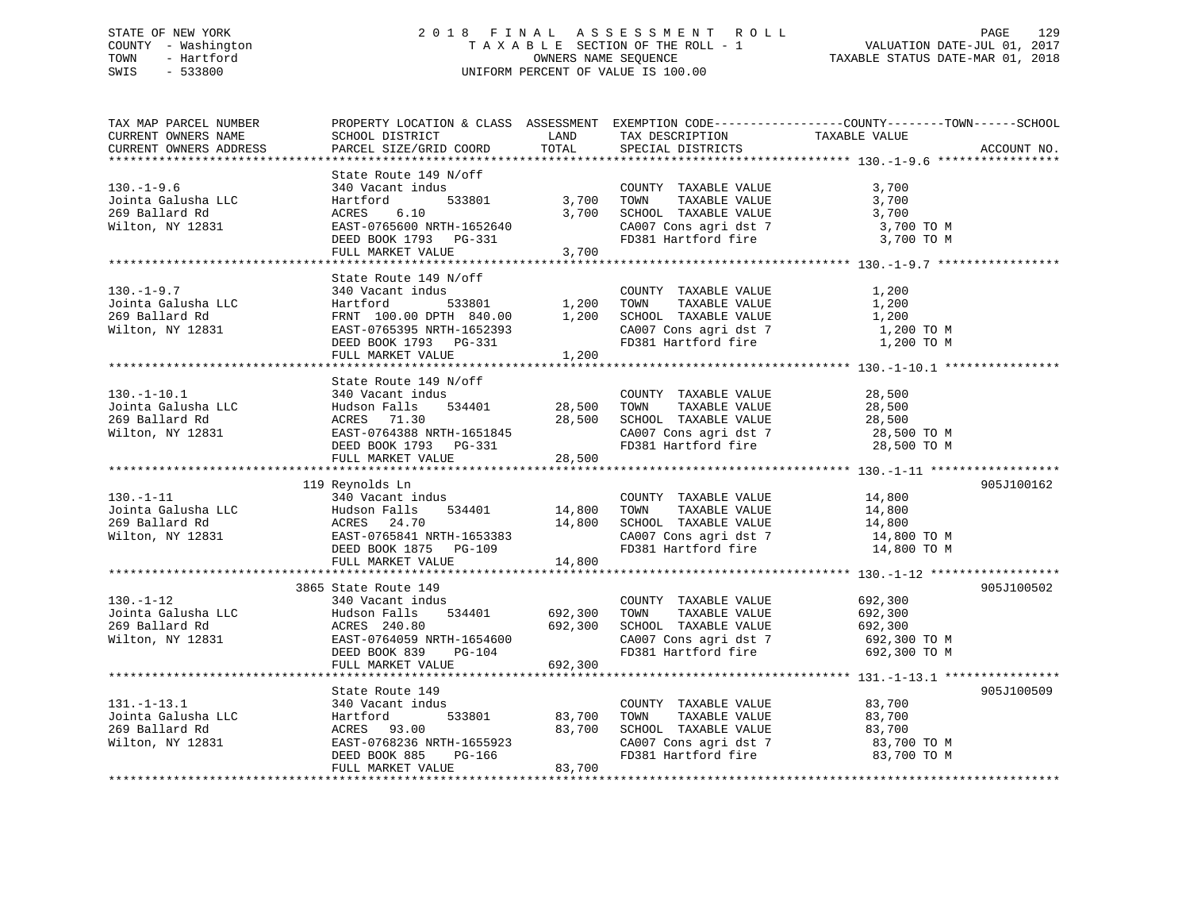## STATE OF NEW YORK 2 0 1 8 F I N A L A S S E S S M E N T R O L L PAGE 129 COUNTY - Washington T A X A B L E SECTION OF THE ROLL - 1 VALUATION DATE-JUL 01, 2017 TOWN - Hartford **TAXABLE STATUS DATE-MAR 01, 2018** OWNERS NAME SEQUENCE TAXABLE STATUS DATE-MAR 01, 2018 SWIS - 533800 UNIFORM PERCENT OF VALUE IS 100.00

| TAX MAP PARCEL NUMBER<br>CURRENT OWNERS NAME<br>CURRENT OWNERS ADDRESS        | PROPERTY LOCATION & CLASS ASSESSMENT EXEMPTION CODE----------------COUNTY-------TOWN------SCHOOL<br>SCHOOL DISTRICT<br>PARCEL SIZE/GRID COORD                         | LAND<br>TOTAL                 | TAX DESCRIPTION<br>SPECIAL DISTRICTS                                                                                                         | TAXABLE VALUE                                                 | ACCOUNT NO. |
|-------------------------------------------------------------------------------|-----------------------------------------------------------------------------------------------------------------------------------------------------------------------|-------------------------------|----------------------------------------------------------------------------------------------------------------------------------------------|---------------------------------------------------------------|-------------|
|                                                                               |                                                                                                                                                                       |                               |                                                                                                                                              |                                                               |             |
| $130. - 1 - 9.6$<br>Jointa Galusha LLC<br>269 Ballard Rd<br>Wilton, NY 12831  | State Route 149 N/off<br>340 Vacant indus<br>。<br>533801<br>Hartford<br>ACRES<br>6.10<br>EAST-0765600 NRTH-1652640<br>DEED BOOK 1793 PG-331<br>FULL MARKET VALUE      | 3,700<br>3,700<br>3,700       | COUNTY TAXABLE VALUE<br>TOWN<br>TAXABLE VALUE<br>SCHOOL TAXABLE VALUE<br>CA007 Cons agri dst 7<br>FD381 Hartford fire                        | 3,700<br>3,700<br>3,700<br>3,700 TO M<br>3,700 TO M           |             |
|                                                                               |                                                                                                                                                                       |                               |                                                                                                                                              |                                                               |             |
| $130. - 1 - 9.7$<br>Jointa Galusha LLC<br>269 Ballard Rd<br>Wilton, NY 12831  | State Route 149 N/off<br>340 Vacant indus<br>533801<br>Hartford<br>FRNT 100.00 DPTH 840.00<br>EAST-0765395 NRTH-1652393<br>DEED BOOK 1793 PG-331<br>FULL MARKET VALUE | 1,200<br>1,200<br>1,200       | COUNTY TAXABLE VALUE<br>TAXABLE VALUE<br>TOWN<br>SCHOOL TAXABLE VALUE<br>CA007 Cons agri dst 7<br>FR301 Usytford fire<br>FD381 Hartford fire | 1,200<br>1,200<br>1,200<br>1,200 TO M<br>1,200 TO M           |             |
|                                                                               | State Route 149 N/off                                                                                                                                                 |                               |                                                                                                                                              |                                                               |             |
| $130. - 1 - 10.1$<br>Jointa Galusha LLC<br>269 Ballard Rd<br>Wilton, NY 12831 | 340 Vacant indus<br>Hudson Falls<br>534401<br>ACRES 71.30<br>EAST-0764388 NRTH-1651845<br>DEED BOOK 1793 PG-331                                                       | 28,500<br>28,500              | COUNTY TAXABLE VALUE<br>TOWN<br>TAXABLE VALUE<br>SCHOOL TAXABLE VALUE<br>CA007 Cons agri dst 7<br>FD381 Hartford fire                        | 28,500<br>28,500<br>28,500<br>28,500 TO M<br>28,500 TO M      |             |
|                                                                               | FULL MARKET VALUE                                                                                                                                                     | 28,500                        |                                                                                                                                              |                                                               |             |
| $130. - 1 - 11$<br>Jointa Galusha LLC<br>269 Ballard Rd<br>Wilton, NY 12831   | 119 Reynolds Ln<br>340 Vacant indus<br>Hudson Falls<br>534401<br>ACRES 24.70<br>EAST-0765841 NRTH-1653383<br>DEED BOOK 1875 PG-109<br>FULL MARKET VALUE               | 14,800<br>14,800<br>14,800    | COUNTY TAXABLE VALUE<br>TOWN<br>TAXABLE VALUE<br>SCHOOL TAXABLE VALUE<br>CA007 Cons agri dst 7<br>FD381 Hartford fire                        | 14,800<br>14,800<br>14,800<br>14,800 TO M<br>14,800 TO M      | 905J100162  |
|                                                                               |                                                                                                                                                                       |                               |                                                                                                                                              |                                                               |             |
| $130. - 1 - 12$<br>Jointa Galusha LLC<br>269 Ballard Rd<br>Wilton, NY 12831   | 3865 State Route 149<br>340 Vacant indus<br>Hudson Falls<br>534401<br>ACRES 240.80<br>EAST-0764059 NRTH-1654600<br>PG-104<br>DEED BOOK 839<br>FULL MARKET VALUE       | 692,300<br>692,300<br>692,300 | COUNTY TAXABLE VALUE<br>TAXABLE VALUE<br>TOWN<br>SCHOOL TAXABLE VALUE<br>CA007 Cons agri dst 7<br>FD381 Hartford fire                        | 692,300<br>692,300<br>692,300<br>692,300 ТО М<br>692,300 TO M | 905J100502  |
|                                                                               |                                                                                                                                                                       |                               |                                                                                                                                              |                                                               |             |
| $131. - 1 - 13.1$<br>Jointa Galusha LLC<br>269 Ballard Rd<br>Wilton, NY 12831 | State Route 149<br>340 Vacant indus<br>533801<br>Hartford<br>ACRES 93.00<br>EAST-0768236 NRTH-1655923<br>PG-166<br>DEED BOOK 885<br>FULL MARKET VALUE                 | 83,700<br>83,700<br>83,700    | COUNTY TAXABLE VALUE<br>TOWN<br>TAXABLE VALUE<br>SCHOOL TAXABLE VALUE<br>CA007 Cons agri dst 7<br>FD381 Hartford fire                        | 83,700<br>83,700<br>83,700<br>83,700 TO M<br>83,700 TO M      | 905J100509  |
|                                                                               |                                                                                                                                                                       |                               |                                                                                                                                              |                                                               |             |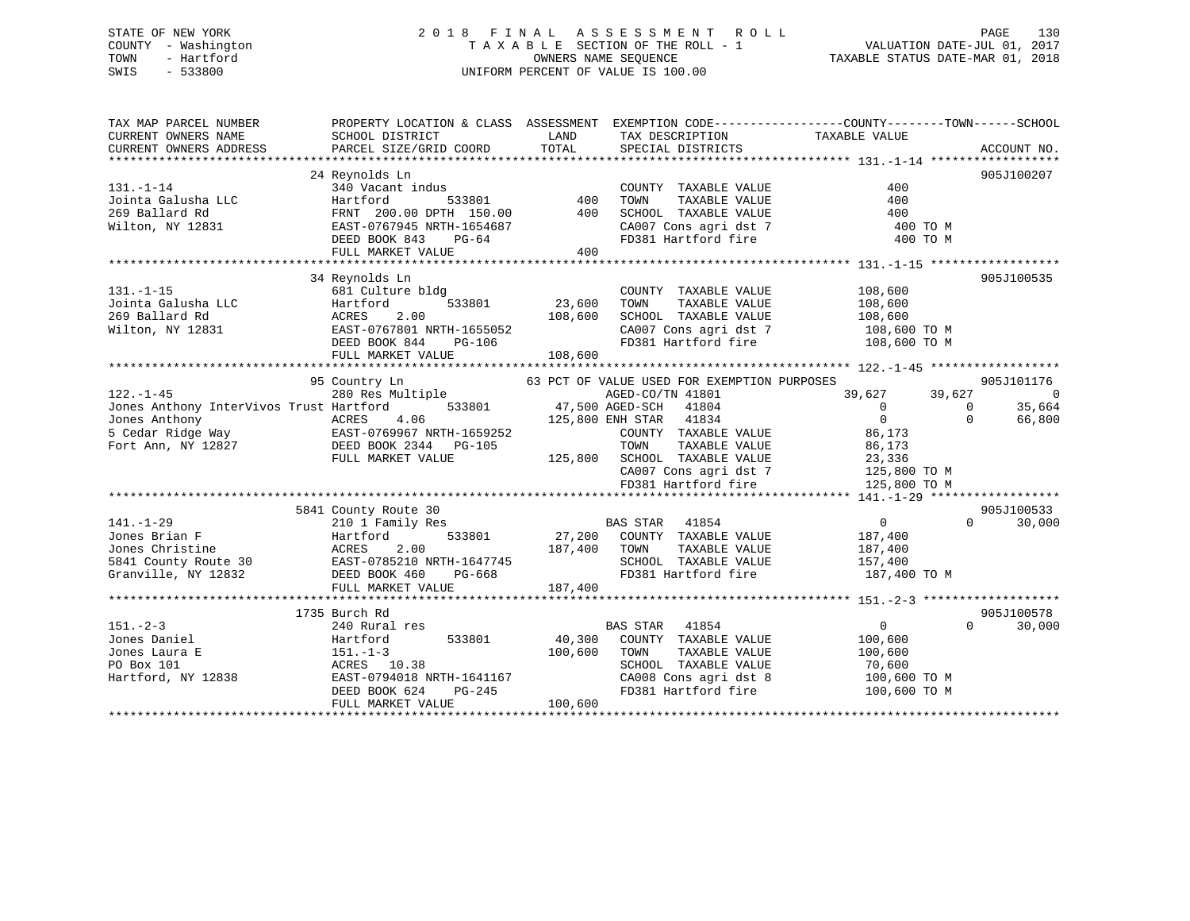## STATE OF NEW YORK 2 0 1 8 F I N A L A S S E S S M E N T R O L L PAGE 130 COUNTY - Washington T A X A B L E SECTION OF THE ROLL - 1 VALUATION DATE-JUL 01, 2017 TOWN - Hartford **TAXABLE STATUS DATE-MAR 01, 2018** OWNERS NAME SEQUENCE TAXABLE STATUS DATE-MAR 01, 2018 SWIS - 533800 UNIFORM PERCENT OF VALUE IS 100.00

| 24 Reynolds Ln<br>905J100207<br>$131. - 1 - 14$<br>340 Vacant indus<br>COUNTY TAXABLE VALUE<br>400<br>400<br>Jointa Galusha LLC<br>Hartford<br>533801<br>TOWN<br>TAXABLE VALUE<br>400<br>400<br>269 Ballard Rd<br>FRNT 200.00 DPTH 150.00<br>SCHOOL TAXABLE VALUE<br>400<br>CA007 Cons agri dst 7<br>The 101 Hartford fire<br>Wilton, NY 12831<br>$\text{FAST-0767945}$ NRTH-1654687<br>$\text{FAST-0767945}$ NRTH-1654687<br>400 TO M<br>400 TO M<br>400<br>FULL MARKET VALUE<br>905J100535<br>34 Reynolds Ln<br>$131. - 1 - 15$<br>681 Culture bldg<br>COUNTY TAXABLE VALUE<br>108,600<br>23,600<br>Hartford<br>533801<br>TAXABLE VALUE<br>108,600<br>Jointa Galusha LLC<br>TOWN<br>269 Ballard Rd<br>ACRES<br>2.00<br>108,600<br>SCHOOL TAXABLE VALUE<br>108,600<br>108,600 TO M<br>CA007 Cons agri dst 7<br>Wilton, NY 12831<br>EAST-0767801 NRTH-1655052<br>FD381 Hartford fire 108,600 TO M<br>$PG-106$<br>DEED BOOK 844<br>FULL MARKET VALUE<br>108,600<br>95 Country Ln<br>63 PCT OF VALUE USED FOR EXEMPTION PURPOSES<br>905J101176<br>Country Ln 63 PCT<br>280 Res Multiple 63 PCT<br>$122. - 1 - 45$<br>AGED-CO/TN 41801<br>39,627 39,627<br>$\overline{0}$<br>533801 47,500 AGED-SCH<br>$\overline{0}$<br>35,664<br>Jones Anthony InterVivos Trust Hartford<br>41804<br>$\Omega$<br>$\overline{0}$<br>66,800<br>$125,800$ ENH STAR 2<br>41834<br>$\Omega$<br>86,173<br>COUNTY TAXABLE VALUE<br>Fort Ann, NY 12827 DEED BOOK 2344 PG-105<br>TOWN<br>TAXABLE VALUE<br>86,173<br>125,800 SCHOOL TAXABLE VALUE<br>FULL MARKET VALUE<br>23,336<br>CA007 Cons agri dst 7<br>125,800 TO M<br>FD381 Hartford fire<br>125,800 TO M<br>5841 County Route 30<br>905J100533<br><b>BAS STAR</b> 41854<br>$\overline{0}$<br>$141. - 1 - 29$<br>210 1 Family Res<br>$\Omega$<br>30,000<br>533801 27,200 COUNTY TAXABLE VALUE<br>Jones Brian F<br>Hartford<br>187,400<br>9 Jones Christine<br>5841 County Route 30<br>5841 County Route 30<br>5841 County Route 30<br>5841 County Route 30<br>57,400<br>57,400<br>57,400<br>57,400<br>57,400<br>57,400<br>57,400<br>57,400<br>57,400<br>57,400<br>57,400<br>57,400<br>57,400<br>57,400<br>5<br>FD381 Hartford fire 187,400 TO M<br>FULL MARKET VALUE<br>187,400<br>1735 Burch Rd<br>905J100578<br>$151 - 2 - 3$<br>240 Rural res<br><b>BAS STAR</b><br>41854<br>$\overline{0}$<br>$\Omega$<br>30,000<br>533801<br>40,300<br>Jones Daniel<br>COUNTY TAXABLE VALUE<br>100,600<br>Hartford<br>Jones Laura E<br>$151. - 1 - 3$<br>100,600<br>TOWN<br>TAXABLE VALUE<br>100,600<br>PO Box 101<br>ACRES 10.38<br>SCHOOL TAXABLE VALUE<br>70,600<br>CA008 Cons agri dst 8<br>Hartford, NY 12838<br>EAST-0794018 NRTH-1641167<br>100,600 TO M<br>CAUU8 CONS agri dst 8<br>FD381 Hartford fire<br>$PG-245$<br>DEED BOOK 624<br>100,600 TO M<br>100,600<br>FULL MARKET VALUE | TAX MAP PARCEL NUMBER<br>CURRENT OWNERS NAME<br>CURRENT OWNERS ADDRESS | PROPERTY LOCATION & CLASS ASSESSMENT EXEMPTION CODE---------------COUNTY-------TOWN------SCHOOL<br>SCHOOL DISTRICT<br>PARCEL SIZE/GRID COORD | LAND<br>TOTAL | TAX DESCRIPTION<br>SPECIAL DISTRICTS | TAXABLE VALUE | ACCOUNT NO. |
|---------------------------------------------------------------------------------------------------------------------------------------------------------------------------------------------------------------------------------------------------------------------------------------------------------------------------------------------------------------------------------------------------------------------------------------------------------------------------------------------------------------------------------------------------------------------------------------------------------------------------------------------------------------------------------------------------------------------------------------------------------------------------------------------------------------------------------------------------------------------------------------------------------------------------------------------------------------------------------------------------------------------------------------------------------------------------------------------------------------------------------------------------------------------------------------------------------------------------------------------------------------------------------------------------------------------------------------------------------------------------------------------------------------------------------------------------------------------------------------------------------------------------------------------------------------------------------------------------------------------------------------------------------------------------------------------------------------------------------------------------------------------------------------------------------------------------------------------------------------------------------------------------------------------------------------------------------------------------------------------------------------------------------------------------------------------------------------------------------------------------------------------------------------------------------------------------------------------------------------------------------------------------------------------------------------------------------------------------------------------------------------------------------------------------------------------------------------------------------------------------------------------------------------------------------------------------------------------------------------------------------------------------------------------------------------------------------------------------------------------------------------------------------------------------------------|------------------------------------------------------------------------|----------------------------------------------------------------------------------------------------------------------------------------------|---------------|--------------------------------------|---------------|-------------|
|                                                                                                                                                                                                                                                                                                                                                                                                                                                                                                                                                                                                                                                                                                                                                                                                                                                                                                                                                                                                                                                                                                                                                                                                                                                                                                                                                                                                                                                                                                                                                                                                                                                                                                                                                                                                                                                                                                                                                                                                                                                                                                                                                                                                                                                                                                                                                                                                                                                                                                                                                                                                                                                                                                                                                                                                               |                                                                        |                                                                                                                                              |               |                                      |               |             |
|                                                                                                                                                                                                                                                                                                                                                                                                                                                                                                                                                                                                                                                                                                                                                                                                                                                                                                                                                                                                                                                                                                                                                                                                                                                                                                                                                                                                                                                                                                                                                                                                                                                                                                                                                                                                                                                                                                                                                                                                                                                                                                                                                                                                                                                                                                                                                                                                                                                                                                                                                                                                                                                                                                                                                                                                               |                                                                        |                                                                                                                                              |               |                                      |               |             |
|                                                                                                                                                                                                                                                                                                                                                                                                                                                                                                                                                                                                                                                                                                                                                                                                                                                                                                                                                                                                                                                                                                                                                                                                                                                                                                                                                                                                                                                                                                                                                                                                                                                                                                                                                                                                                                                                                                                                                                                                                                                                                                                                                                                                                                                                                                                                                                                                                                                                                                                                                                                                                                                                                                                                                                                                               |                                                                        |                                                                                                                                              |               |                                      |               |             |
|                                                                                                                                                                                                                                                                                                                                                                                                                                                                                                                                                                                                                                                                                                                                                                                                                                                                                                                                                                                                                                                                                                                                                                                                                                                                                                                                                                                                                                                                                                                                                                                                                                                                                                                                                                                                                                                                                                                                                                                                                                                                                                                                                                                                                                                                                                                                                                                                                                                                                                                                                                                                                                                                                                                                                                                                               |                                                                        |                                                                                                                                              |               |                                      |               |             |
|                                                                                                                                                                                                                                                                                                                                                                                                                                                                                                                                                                                                                                                                                                                                                                                                                                                                                                                                                                                                                                                                                                                                                                                                                                                                                                                                                                                                                                                                                                                                                                                                                                                                                                                                                                                                                                                                                                                                                                                                                                                                                                                                                                                                                                                                                                                                                                                                                                                                                                                                                                                                                                                                                                                                                                                                               |                                                                        |                                                                                                                                              |               |                                      |               |             |
|                                                                                                                                                                                                                                                                                                                                                                                                                                                                                                                                                                                                                                                                                                                                                                                                                                                                                                                                                                                                                                                                                                                                                                                                                                                                                                                                                                                                                                                                                                                                                                                                                                                                                                                                                                                                                                                                                                                                                                                                                                                                                                                                                                                                                                                                                                                                                                                                                                                                                                                                                                                                                                                                                                                                                                                                               |                                                                        |                                                                                                                                              |               |                                      |               |             |
|                                                                                                                                                                                                                                                                                                                                                                                                                                                                                                                                                                                                                                                                                                                                                                                                                                                                                                                                                                                                                                                                                                                                                                                                                                                                                                                                                                                                                                                                                                                                                                                                                                                                                                                                                                                                                                                                                                                                                                                                                                                                                                                                                                                                                                                                                                                                                                                                                                                                                                                                                                                                                                                                                                                                                                                                               |                                                                        |                                                                                                                                              |               |                                      |               |             |
|                                                                                                                                                                                                                                                                                                                                                                                                                                                                                                                                                                                                                                                                                                                                                                                                                                                                                                                                                                                                                                                                                                                                                                                                                                                                                                                                                                                                                                                                                                                                                                                                                                                                                                                                                                                                                                                                                                                                                                                                                                                                                                                                                                                                                                                                                                                                                                                                                                                                                                                                                                                                                                                                                                                                                                                                               |                                                                        |                                                                                                                                              |               |                                      |               |             |
|                                                                                                                                                                                                                                                                                                                                                                                                                                                                                                                                                                                                                                                                                                                                                                                                                                                                                                                                                                                                                                                                                                                                                                                                                                                                                                                                                                                                                                                                                                                                                                                                                                                                                                                                                                                                                                                                                                                                                                                                                                                                                                                                                                                                                                                                                                                                                                                                                                                                                                                                                                                                                                                                                                                                                                                                               |                                                                        |                                                                                                                                              |               |                                      |               |             |
|                                                                                                                                                                                                                                                                                                                                                                                                                                                                                                                                                                                                                                                                                                                                                                                                                                                                                                                                                                                                                                                                                                                                                                                                                                                                                                                                                                                                                                                                                                                                                                                                                                                                                                                                                                                                                                                                                                                                                                                                                                                                                                                                                                                                                                                                                                                                                                                                                                                                                                                                                                                                                                                                                                                                                                                                               |                                                                        |                                                                                                                                              |               |                                      |               |             |
|                                                                                                                                                                                                                                                                                                                                                                                                                                                                                                                                                                                                                                                                                                                                                                                                                                                                                                                                                                                                                                                                                                                                                                                                                                                                                                                                                                                                                                                                                                                                                                                                                                                                                                                                                                                                                                                                                                                                                                                                                                                                                                                                                                                                                                                                                                                                                                                                                                                                                                                                                                                                                                                                                                                                                                                                               |                                                                        |                                                                                                                                              |               |                                      |               |             |
|                                                                                                                                                                                                                                                                                                                                                                                                                                                                                                                                                                                                                                                                                                                                                                                                                                                                                                                                                                                                                                                                                                                                                                                                                                                                                                                                                                                                                                                                                                                                                                                                                                                                                                                                                                                                                                                                                                                                                                                                                                                                                                                                                                                                                                                                                                                                                                                                                                                                                                                                                                                                                                                                                                                                                                                                               |                                                                        |                                                                                                                                              |               |                                      |               |             |
|                                                                                                                                                                                                                                                                                                                                                                                                                                                                                                                                                                                                                                                                                                                                                                                                                                                                                                                                                                                                                                                                                                                                                                                                                                                                                                                                                                                                                                                                                                                                                                                                                                                                                                                                                                                                                                                                                                                                                                                                                                                                                                                                                                                                                                                                                                                                                                                                                                                                                                                                                                                                                                                                                                                                                                                                               |                                                                        |                                                                                                                                              |               |                                      |               |             |
|                                                                                                                                                                                                                                                                                                                                                                                                                                                                                                                                                                                                                                                                                                                                                                                                                                                                                                                                                                                                                                                                                                                                                                                                                                                                                                                                                                                                                                                                                                                                                                                                                                                                                                                                                                                                                                                                                                                                                                                                                                                                                                                                                                                                                                                                                                                                                                                                                                                                                                                                                                                                                                                                                                                                                                                                               |                                                                        |                                                                                                                                              |               |                                      |               |             |
|                                                                                                                                                                                                                                                                                                                                                                                                                                                                                                                                                                                                                                                                                                                                                                                                                                                                                                                                                                                                                                                                                                                                                                                                                                                                                                                                                                                                                                                                                                                                                                                                                                                                                                                                                                                                                                                                                                                                                                                                                                                                                                                                                                                                                                                                                                                                                                                                                                                                                                                                                                                                                                                                                                                                                                                                               |                                                                        |                                                                                                                                              |               |                                      |               |             |
|                                                                                                                                                                                                                                                                                                                                                                                                                                                                                                                                                                                                                                                                                                                                                                                                                                                                                                                                                                                                                                                                                                                                                                                                                                                                                                                                                                                                                                                                                                                                                                                                                                                                                                                                                                                                                                                                                                                                                                                                                                                                                                                                                                                                                                                                                                                                                                                                                                                                                                                                                                                                                                                                                                                                                                                                               |                                                                        |                                                                                                                                              |               |                                      |               |             |
|                                                                                                                                                                                                                                                                                                                                                                                                                                                                                                                                                                                                                                                                                                                                                                                                                                                                                                                                                                                                                                                                                                                                                                                                                                                                                                                                                                                                                                                                                                                                                                                                                                                                                                                                                                                                                                                                                                                                                                                                                                                                                                                                                                                                                                                                                                                                                                                                                                                                                                                                                                                                                                                                                                                                                                                                               |                                                                        |                                                                                                                                              |               |                                      |               |             |
|                                                                                                                                                                                                                                                                                                                                                                                                                                                                                                                                                                                                                                                                                                                                                                                                                                                                                                                                                                                                                                                                                                                                                                                                                                                                                                                                                                                                                                                                                                                                                                                                                                                                                                                                                                                                                                                                                                                                                                                                                                                                                                                                                                                                                                                                                                                                                                                                                                                                                                                                                                                                                                                                                                                                                                                                               |                                                                        |                                                                                                                                              |               |                                      |               |             |
|                                                                                                                                                                                                                                                                                                                                                                                                                                                                                                                                                                                                                                                                                                                                                                                                                                                                                                                                                                                                                                                                                                                                                                                                                                                                                                                                                                                                                                                                                                                                                                                                                                                                                                                                                                                                                                                                                                                                                                                                                                                                                                                                                                                                                                                                                                                                                                                                                                                                                                                                                                                                                                                                                                                                                                                                               |                                                                        |                                                                                                                                              |               |                                      |               |             |
|                                                                                                                                                                                                                                                                                                                                                                                                                                                                                                                                                                                                                                                                                                                                                                                                                                                                                                                                                                                                                                                                                                                                                                                                                                                                                                                                                                                                                                                                                                                                                                                                                                                                                                                                                                                                                                                                                                                                                                                                                                                                                                                                                                                                                                                                                                                                                                                                                                                                                                                                                                                                                                                                                                                                                                                                               |                                                                        |                                                                                                                                              |               |                                      |               |             |
|                                                                                                                                                                                                                                                                                                                                                                                                                                                                                                                                                                                                                                                                                                                                                                                                                                                                                                                                                                                                                                                                                                                                                                                                                                                                                                                                                                                                                                                                                                                                                                                                                                                                                                                                                                                                                                                                                                                                                                                                                                                                                                                                                                                                                                                                                                                                                                                                                                                                                                                                                                                                                                                                                                                                                                                                               |                                                                        |                                                                                                                                              |               |                                      |               |             |
|                                                                                                                                                                                                                                                                                                                                                                                                                                                                                                                                                                                                                                                                                                                                                                                                                                                                                                                                                                                                                                                                                                                                                                                                                                                                                                                                                                                                                                                                                                                                                                                                                                                                                                                                                                                                                                                                                                                                                                                                                                                                                                                                                                                                                                                                                                                                                                                                                                                                                                                                                                                                                                                                                                                                                                                                               |                                                                        |                                                                                                                                              |               |                                      |               |             |
|                                                                                                                                                                                                                                                                                                                                                                                                                                                                                                                                                                                                                                                                                                                                                                                                                                                                                                                                                                                                                                                                                                                                                                                                                                                                                                                                                                                                                                                                                                                                                                                                                                                                                                                                                                                                                                                                                                                                                                                                                                                                                                                                                                                                                                                                                                                                                                                                                                                                                                                                                                                                                                                                                                                                                                                                               |                                                                        |                                                                                                                                              |               |                                      |               |             |
|                                                                                                                                                                                                                                                                                                                                                                                                                                                                                                                                                                                                                                                                                                                                                                                                                                                                                                                                                                                                                                                                                                                                                                                                                                                                                                                                                                                                                                                                                                                                                                                                                                                                                                                                                                                                                                                                                                                                                                                                                                                                                                                                                                                                                                                                                                                                                                                                                                                                                                                                                                                                                                                                                                                                                                                                               |                                                                        |                                                                                                                                              |               |                                      |               |             |
|                                                                                                                                                                                                                                                                                                                                                                                                                                                                                                                                                                                                                                                                                                                                                                                                                                                                                                                                                                                                                                                                                                                                                                                                                                                                                                                                                                                                                                                                                                                                                                                                                                                                                                                                                                                                                                                                                                                                                                                                                                                                                                                                                                                                                                                                                                                                                                                                                                                                                                                                                                                                                                                                                                                                                                                                               |                                                                        |                                                                                                                                              |               |                                      |               |             |
|                                                                                                                                                                                                                                                                                                                                                                                                                                                                                                                                                                                                                                                                                                                                                                                                                                                                                                                                                                                                                                                                                                                                                                                                                                                                                                                                                                                                                                                                                                                                                                                                                                                                                                                                                                                                                                                                                                                                                                                                                                                                                                                                                                                                                                                                                                                                                                                                                                                                                                                                                                                                                                                                                                                                                                                                               |                                                                        |                                                                                                                                              |               |                                      |               |             |
|                                                                                                                                                                                                                                                                                                                                                                                                                                                                                                                                                                                                                                                                                                                                                                                                                                                                                                                                                                                                                                                                                                                                                                                                                                                                                                                                                                                                                                                                                                                                                                                                                                                                                                                                                                                                                                                                                                                                                                                                                                                                                                                                                                                                                                                                                                                                                                                                                                                                                                                                                                                                                                                                                                                                                                                                               |                                                                        |                                                                                                                                              |               |                                      |               |             |
|                                                                                                                                                                                                                                                                                                                                                                                                                                                                                                                                                                                                                                                                                                                                                                                                                                                                                                                                                                                                                                                                                                                                                                                                                                                                                                                                                                                                                                                                                                                                                                                                                                                                                                                                                                                                                                                                                                                                                                                                                                                                                                                                                                                                                                                                                                                                                                                                                                                                                                                                                                                                                                                                                                                                                                                                               |                                                                        |                                                                                                                                              |               |                                      |               |             |
|                                                                                                                                                                                                                                                                                                                                                                                                                                                                                                                                                                                                                                                                                                                                                                                                                                                                                                                                                                                                                                                                                                                                                                                                                                                                                                                                                                                                                                                                                                                                                                                                                                                                                                                                                                                                                                                                                                                                                                                                                                                                                                                                                                                                                                                                                                                                                                                                                                                                                                                                                                                                                                                                                                                                                                                                               |                                                                        |                                                                                                                                              |               |                                      |               |             |
|                                                                                                                                                                                                                                                                                                                                                                                                                                                                                                                                                                                                                                                                                                                                                                                                                                                                                                                                                                                                                                                                                                                                                                                                                                                                                                                                                                                                                                                                                                                                                                                                                                                                                                                                                                                                                                                                                                                                                                                                                                                                                                                                                                                                                                                                                                                                                                                                                                                                                                                                                                                                                                                                                                                                                                                                               |                                                                        |                                                                                                                                              |               |                                      |               |             |
|                                                                                                                                                                                                                                                                                                                                                                                                                                                                                                                                                                                                                                                                                                                                                                                                                                                                                                                                                                                                                                                                                                                                                                                                                                                                                                                                                                                                                                                                                                                                                                                                                                                                                                                                                                                                                                                                                                                                                                                                                                                                                                                                                                                                                                                                                                                                                                                                                                                                                                                                                                                                                                                                                                                                                                                                               |                                                                        |                                                                                                                                              |               |                                      |               |             |
|                                                                                                                                                                                                                                                                                                                                                                                                                                                                                                                                                                                                                                                                                                                                                                                                                                                                                                                                                                                                                                                                                                                                                                                                                                                                                                                                                                                                                                                                                                                                                                                                                                                                                                                                                                                                                                                                                                                                                                                                                                                                                                                                                                                                                                                                                                                                                                                                                                                                                                                                                                                                                                                                                                                                                                                                               |                                                                        |                                                                                                                                              |               |                                      |               |             |
|                                                                                                                                                                                                                                                                                                                                                                                                                                                                                                                                                                                                                                                                                                                                                                                                                                                                                                                                                                                                                                                                                                                                                                                                                                                                                                                                                                                                                                                                                                                                                                                                                                                                                                                                                                                                                                                                                                                                                                                                                                                                                                                                                                                                                                                                                                                                                                                                                                                                                                                                                                                                                                                                                                                                                                                                               |                                                                        |                                                                                                                                              |               |                                      |               |             |
|                                                                                                                                                                                                                                                                                                                                                                                                                                                                                                                                                                                                                                                                                                                                                                                                                                                                                                                                                                                                                                                                                                                                                                                                                                                                                                                                                                                                                                                                                                                                                                                                                                                                                                                                                                                                                                                                                                                                                                                                                                                                                                                                                                                                                                                                                                                                                                                                                                                                                                                                                                                                                                                                                                                                                                                                               |                                                                        |                                                                                                                                              |               |                                      |               |             |
|                                                                                                                                                                                                                                                                                                                                                                                                                                                                                                                                                                                                                                                                                                                                                                                                                                                                                                                                                                                                                                                                                                                                                                                                                                                                                                                                                                                                                                                                                                                                                                                                                                                                                                                                                                                                                                                                                                                                                                                                                                                                                                                                                                                                                                                                                                                                                                                                                                                                                                                                                                                                                                                                                                                                                                                                               |                                                                        |                                                                                                                                              |               |                                      |               |             |
|                                                                                                                                                                                                                                                                                                                                                                                                                                                                                                                                                                                                                                                                                                                                                                                                                                                                                                                                                                                                                                                                                                                                                                                                                                                                                                                                                                                                                                                                                                                                                                                                                                                                                                                                                                                                                                                                                                                                                                                                                                                                                                                                                                                                                                                                                                                                                                                                                                                                                                                                                                                                                                                                                                                                                                                                               |                                                                        |                                                                                                                                              |               |                                      |               |             |
|                                                                                                                                                                                                                                                                                                                                                                                                                                                                                                                                                                                                                                                                                                                                                                                                                                                                                                                                                                                                                                                                                                                                                                                                                                                                                                                                                                                                                                                                                                                                                                                                                                                                                                                                                                                                                                                                                                                                                                                                                                                                                                                                                                                                                                                                                                                                                                                                                                                                                                                                                                                                                                                                                                                                                                                                               |                                                                        |                                                                                                                                              |               |                                      |               |             |
|                                                                                                                                                                                                                                                                                                                                                                                                                                                                                                                                                                                                                                                                                                                                                                                                                                                                                                                                                                                                                                                                                                                                                                                                                                                                                                                                                                                                                                                                                                                                                                                                                                                                                                                                                                                                                                                                                                                                                                                                                                                                                                                                                                                                                                                                                                                                                                                                                                                                                                                                                                                                                                                                                                                                                                                                               |                                                                        |                                                                                                                                              |               |                                      |               |             |
|                                                                                                                                                                                                                                                                                                                                                                                                                                                                                                                                                                                                                                                                                                                                                                                                                                                                                                                                                                                                                                                                                                                                                                                                                                                                                                                                                                                                                                                                                                                                                                                                                                                                                                                                                                                                                                                                                                                                                                                                                                                                                                                                                                                                                                                                                                                                                                                                                                                                                                                                                                                                                                                                                                                                                                                                               |                                                                        |                                                                                                                                              |               |                                      |               |             |
|                                                                                                                                                                                                                                                                                                                                                                                                                                                                                                                                                                                                                                                                                                                                                                                                                                                                                                                                                                                                                                                                                                                                                                                                                                                                                                                                                                                                                                                                                                                                                                                                                                                                                                                                                                                                                                                                                                                                                                                                                                                                                                                                                                                                                                                                                                                                                                                                                                                                                                                                                                                                                                                                                                                                                                                                               |                                                                        |                                                                                                                                              |               |                                      |               |             |
|                                                                                                                                                                                                                                                                                                                                                                                                                                                                                                                                                                                                                                                                                                                                                                                                                                                                                                                                                                                                                                                                                                                                                                                                                                                                                                                                                                                                                                                                                                                                                                                                                                                                                                                                                                                                                                                                                                                                                                                                                                                                                                                                                                                                                                                                                                                                                                                                                                                                                                                                                                                                                                                                                                                                                                                                               |                                                                        |                                                                                                                                              |               |                                      |               |             |
|                                                                                                                                                                                                                                                                                                                                                                                                                                                                                                                                                                                                                                                                                                                                                                                                                                                                                                                                                                                                                                                                                                                                                                                                                                                                                                                                                                                                                                                                                                                                                                                                                                                                                                                                                                                                                                                                                                                                                                                                                                                                                                                                                                                                                                                                                                                                                                                                                                                                                                                                                                                                                                                                                                                                                                                                               |                                                                        |                                                                                                                                              |               |                                      |               |             |
|                                                                                                                                                                                                                                                                                                                                                                                                                                                                                                                                                                                                                                                                                                                                                                                                                                                                                                                                                                                                                                                                                                                                                                                                                                                                                                                                                                                                                                                                                                                                                                                                                                                                                                                                                                                                                                                                                                                                                                                                                                                                                                                                                                                                                                                                                                                                                                                                                                                                                                                                                                                                                                                                                                                                                                                                               |                                                                        |                                                                                                                                              |               |                                      |               |             |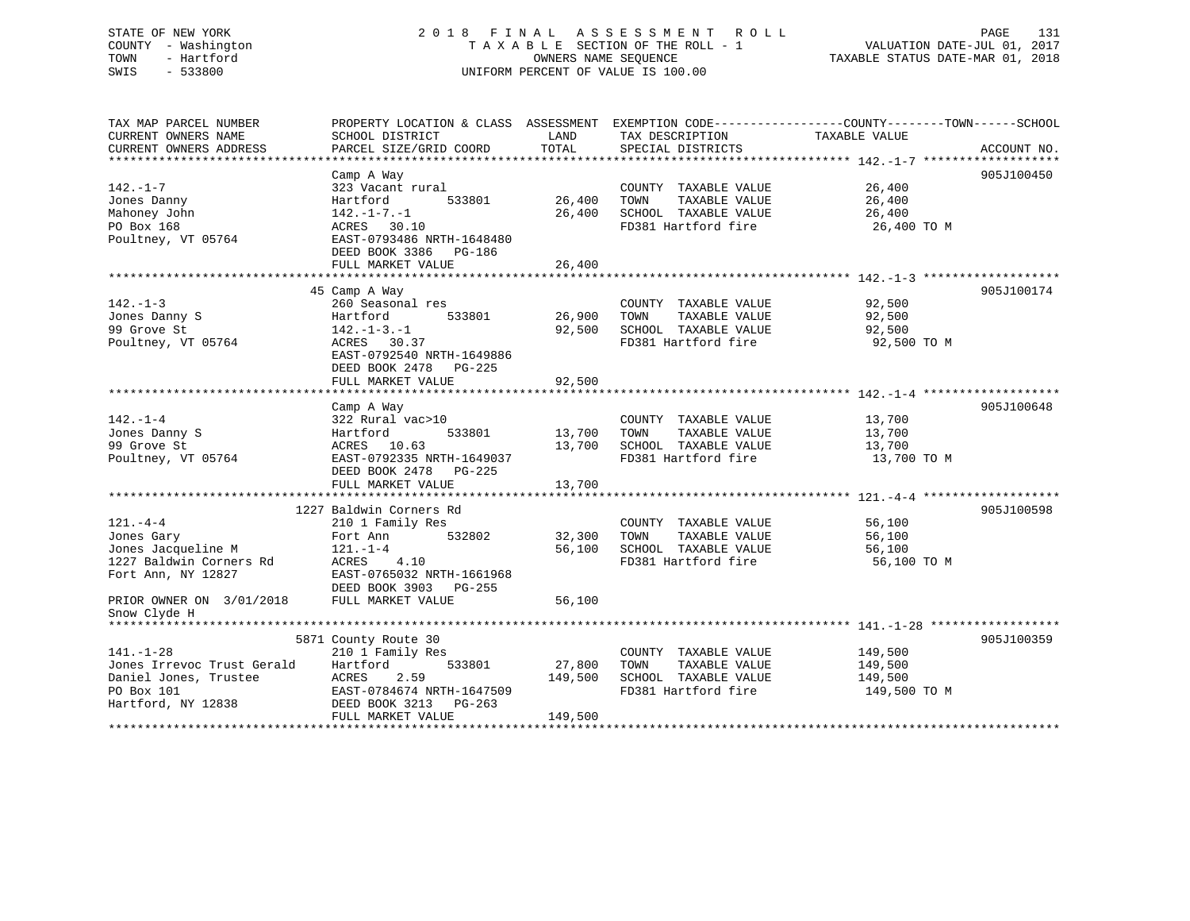## STATE OF NEW YORK 2 0 1 8 F I N A L A S S E S S M E N T R O L L PAGE 131 COUNTY - Washington T A X A B L E SECTION OF THE ROLL - 1 VALUATION DATE-JUL 01, 2017 TOWN - Hartford **TAXABLE STATUS DATE-MAR 01, 2018** OWNERS NAME SEQUENCE TAXABLE STATUS DATE-MAR 01, 2018 SWIS - 533800 UNIFORM PERCENT OF VALUE IS 100.00

| PARCEL SIZE/GRID COORD                                                                                                                                                | TOTAL                                                                                                                             | SPECIAL DISTRICTS                                                                            |                                               | ACCOUNT NO.                                                                                                                                                                                                                            |
|-----------------------------------------------------------------------------------------------------------------------------------------------------------------------|-----------------------------------------------------------------------------------------------------------------------------------|----------------------------------------------------------------------------------------------|-----------------------------------------------|----------------------------------------------------------------------------------------------------------------------------------------------------------------------------------------------------------------------------------------|
|                                                                                                                                                                       |                                                                                                                                   |                                                                                              |                                               |                                                                                                                                                                                                                                        |
| Camp A Way<br>323 Vacant rural<br>533801<br>Hartford<br>$142. - 1 - 7. - 1$<br>ACRES 30.10<br>EAST-0793486 NRTH-1648480<br>DEED BOOK 3386 PG-186<br>FULL MARKET VALUE | 26,400<br>26,400<br>26,400                                                                                                        | TOWN<br>TAXABLE VALUE                                                                        | 26,400<br>26,400<br>26,400<br>26,400 TO M     | 905J100450                                                                                                                                                                                                                             |
|                                                                                                                                                                       |                                                                                                                                   |                                                                                              |                                               | 905J100174                                                                                                                                                                                                                             |
| 260 Seasonal res<br>Hartford<br>142.-1-3.-1<br>ACRES 30.37<br>EAST-0792540 NRTH-1649886<br>DEED BOOK 2478 PG-225                                                      | 92,500                                                                                                                            | COUNTY TAXABLE VALUE<br>TOWN<br>TAXABLE VALUE                                                | 92,500<br>92,500<br>92,500<br>92,500 TO M     |                                                                                                                                                                                                                                        |
|                                                                                                                                                                       |                                                                                                                                   |                                                                                              |                                               |                                                                                                                                                                                                                                        |
| Camp A Way<br>322 Rural vac>10<br>Hartford<br>533801<br>ACRES 10.63<br>EAST-0792335 NRTH-1649037<br>DEED BOOK 2478 PG-225<br>FULL MARKET VALUE                        | 13,700<br>13,700<br>13,700                                                                                                        | COUNTY TAXABLE VALUE<br>TOWN<br>TAXABLE VALUE<br>SCHOOL TAXABLE VALUE<br>FD381 Hartford fire | 13,700<br>13,700<br>13,700<br>13,700 TO M     | 905J100648                                                                                                                                                                                                                             |
|                                                                                                                                                                       |                                                                                                                                   |                                                                                              |                                               | 905J100598                                                                                                                                                                                                                             |
| 210 1 Family Res<br>532802<br>Fort Ann<br>$121. - 1 - 4$<br>ACRES 4.10<br>EAST-0765032 NRTH-1661968                                                                   | 32,300<br>56,100                                                                                                                  | COUNTY TAXABLE VALUE<br>TOWN<br>TAXABLE VALUE<br>SCHOOL TAXABLE VALUE<br>FD381 Hartford fire | 56,100<br>56,100<br>56,100<br>56,100 TO M     |                                                                                                                                                                                                                                        |
| FULL MARKET VALUE                                                                                                                                                     | 56,100                                                                                                                            |                                                                                              |                                               |                                                                                                                                                                                                                                        |
|                                                                                                                                                                       |                                                                                                                                   |                                                                                              |                                               | 905J100359                                                                                                                                                                                                                             |
| 210 1 Family Res<br>Hartford<br>533801<br>2.59<br>ACRES<br>EAST-0784674 NRTH-1647509<br>Hartford, NY 12838 DEED BOOK 3213<br>PG-263<br>FULL MARKET VALUE              | 27,800<br>149,500<br>149,500                                                                                                      | COUNTY TAXABLE VALUE<br>TOWN<br>TAXABLE VALUE<br>SCHOOL TAXABLE VALUE<br>FD381 Hartford fire | 149,500<br>149,500<br>149,500<br>149,500 TO M |                                                                                                                                                                                                                                        |
|                                                                                                                                                                       | SCHOOL DISTRICT<br>45 Camp A Way<br>FULL MARKET VALUE<br>1227 Baldwin Corners Rd<br>DEED BOOK 3903 PG-255<br>5871 County Route 30 | LAND<br>533801<br>92,500                                                                     | TAX DESCRIPTION<br>26,900                     | PROPERTY LOCATION & CLASS ASSESSMENT EXEMPTION CODE----------------COUNTY-------TOWN-----SCHOOL<br>TAXABLE VALUE<br>COUNTY TAXABLE VALUE<br>SCHOOL TAXABLE VALUE<br>FD381 Hartford fire<br>SCHOOL TAXABLE VALUE<br>FD381 Hartford fire |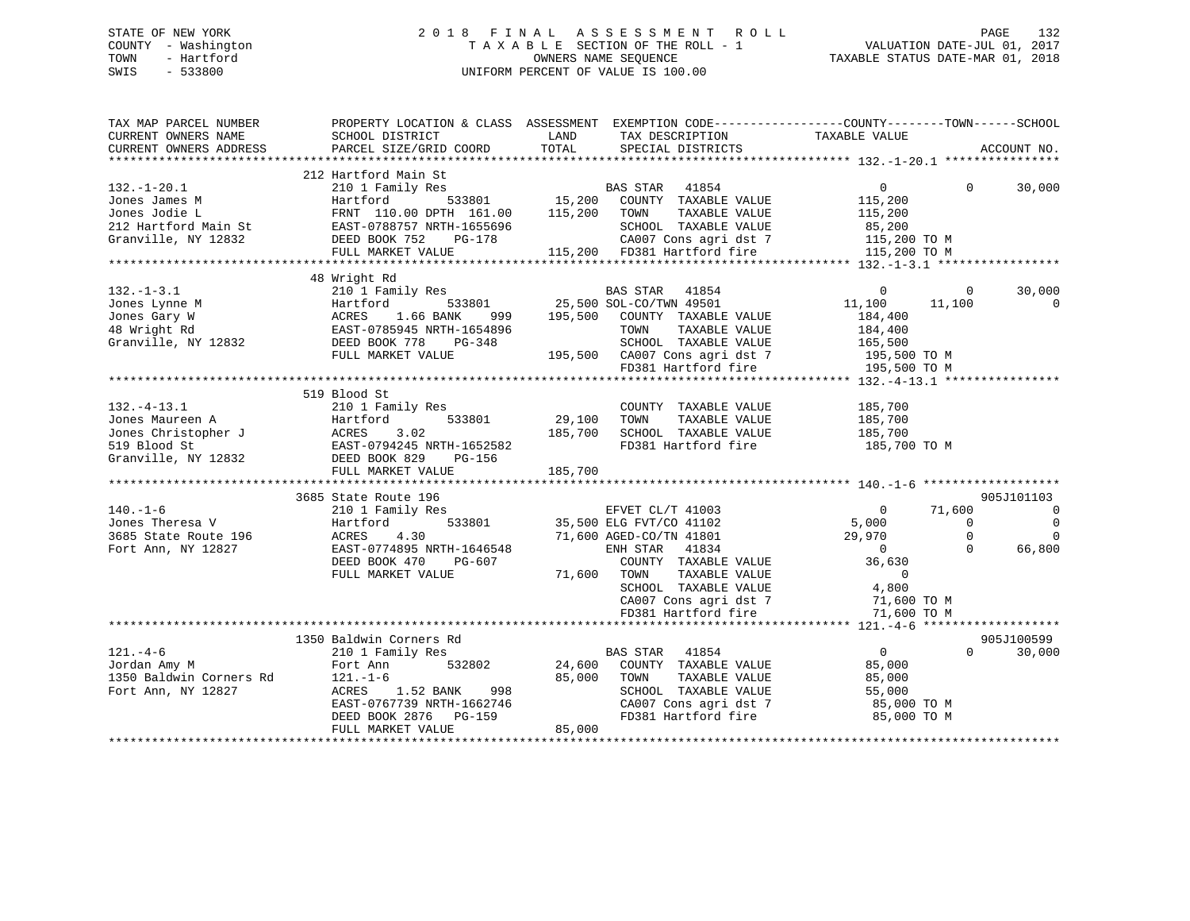## STATE OF NEW YORK 2 0 1 8 F I N A L A S S E S S M E N T R O L L PAGE 132 COUNTY - Washington T A X A B L E SECTION OF THE ROLL - 1 VALUATION DATE-JUL 01, 2017 TOWN - Hartford **TAXABLE STATUS DATE-MAR 01, 2018** OWNERS NAME SEQUENCE TAXABLE STATUS DATE-MAR 01, 2018 SWIS - 533800 UNIFORM PERCENT OF VALUE IS 100.00

| TAX MAP PARCEL NUMBER<br>CURRENT OWNERS NAME<br>CURRENT OWNERS ADDRESS                                                                                                                                                                                | PROPERTY LOCATION & CLASS ASSESSMENT EXEMPTION CODE---------------COUNTY-------TOWN------SCHOOL<br>SCHOOL DISTRICT<br><b>EXAMPLE STATE</b><br>PARCEL SIZE/GRID COORD                     | TOTAL                        | TAX DESCRIPTION TAXABLE VALUE SPECIAL DISTRICTS                                                                                                                                                                                          |                                                                                                                        |                                            | ACCOUNT NO.                                      |
|-------------------------------------------------------------------------------------------------------------------------------------------------------------------------------------------------------------------------------------------------------|------------------------------------------------------------------------------------------------------------------------------------------------------------------------------------------|------------------------------|------------------------------------------------------------------------------------------------------------------------------------------------------------------------------------------------------------------------------------------|------------------------------------------------------------------------------------------------------------------------|--------------------------------------------|--------------------------------------------------|
| $132.-1-20.1$<br>132.-1-20.1<br>Jones James M (15,200 Hartford 533801 15,200 COUNIL IGNAMELE VALUE<br>212 Hartford Main St EAST-0788757 NRTH-1655696 SCHOOL TAXABLE VALUE 115,200 TOWN (1787)<br>212 Hartford Main St EAST-0788757 NRTH-1655696 SCHOO | 212 Hartford Main St<br>210 1 Family Res                                                                                                                                                 |                              |                                                                                                                                                                                                                                          | $\overline{0}$                                                                                                         | $\Omega$                                   | 30,000                                           |
|                                                                                                                                                                                                                                                       | 48 Wright Rd                                                                                                                                                                             |                              |                                                                                                                                                                                                                                          |                                                                                                                        |                                            |                                                  |
| $132. - 1 - 3.1$<br>Form of the Martford 533801<br>Jones Lynne M<br>166 BANK 999<br>48 Wright Rd EAST-0785945 NRTH-1654896<br>Granville, NY 12832<br>DEED BOOK 778 PG-348                                                                             | 210 1 Family Res<br>FULL MARKET VALUE                                                                                                                                                    |                              | Example 1854<br>1853801 25,500 SOL-CO/TWN 49501<br>999 195,500 COUNTY TAXABLE VALUE<br>TOWN<br>TAXABLE VALUE                                                                                                                             | $\overline{0}$<br>11,100<br>184,400<br>184,400                                                                         | $\mathbf 0$<br>11,100                      | 30,000<br>$\mathbf 0$                            |
|                                                                                                                                                                                                                                                       | 519 Blood St                                                                                                                                                                             |                              |                                                                                                                                                                                                                                          |                                                                                                                        |                                            |                                                  |
| $132. - 4 - 13.1$<br>Form of Mauren A and Hartford 533801<br>Jones Mauren A Hartford 533801<br>519 Blood St EAST-0794245 NRTH-1652582<br>Granville, NY 12832 DEED BOOK 829 PG-156<br>FILI MARKET VALUE                                                | 210 1 Family Res<br>FULL MARKET VALUE                                                                                                                                                    | 29,100<br>185,700<br>185,700 | COUNTY TAXABLE VALUE<br>TOWN<br>TAXABLE VALUE<br>SCHOOL TAXABLE VALUE<br>FD381 Hartford fire                                                                                                                                             | 185,700<br>185,700<br>185,700<br>185,700 TO M                                                                          |                                            |                                                  |
|                                                                                                                                                                                                                                                       | 3685 State Route 196                                                                                                                                                                     |                              |                                                                                                                                                                                                                                          |                                                                                                                        |                                            | 905J101103                                       |
| $140. - 1 - 6$<br>Jones Theresa V<br>3685 State Route 196<br>Fort Ann, NY 12827                                                                                                                                                                       | 210 1 Family Res<br>Hartford<br>4.30<br>ACRES<br>EAST-0774895 NRTH-1646548<br>DEED BOOK 470<br>PG-607<br>FULL MARKET VALUE                                                               | 71,600 TOWN                  | E EVET CL/T 41003<br>533801 35,500 ELG FVT/CO 41102<br>71,600 AGED-CO/TN 41801<br>ENH STAR 41834<br>COUNTY TAXABLE VALUE<br>TAXABLE VALUE<br>SCHOOL TAXABLE VALUE<br>CA007 Cons agri dst 7<br>FD381 Hartford fire<br>FD381 Hartford fire | $\overline{0}$<br>5,000<br>29,970<br>$\overline{0}$<br>36,630<br>$\overline{0}$<br>4,800<br>71,600 TO M<br>71,600 TO M | 71,600<br>$\Omega$<br>$\Omega$<br>$\Omega$ | $\overline{0}$<br>$\Omega$<br>$\Omega$<br>66,800 |
|                                                                                                                                                                                                                                                       |                                                                                                                                                                                          |                              |                                                                                                                                                                                                                                          |                                                                                                                        |                                            | 905J100599                                       |
| $121. -4 - 6$<br>Jordan Amy M<br>1350 Baldwin Corners Rd<br>Fort Ann, NY 12827                                                                                                                                                                        | 1350 Baldwin Corners Rd<br>210 1 Family Res<br>532802<br>Fort Ann<br>121.-1-6<br>ACRES<br>ACRES 1.52 BANK 998<br>EAST-0767739 NRTH-1662746<br>DEED BOOK 2876 PG-159<br>FULL MARKET VALUE | 24,600<br>85,000<br>85,000   | BAS STAR<br>41854<br>COUNTY TAXABLE VALUE<br>TAXABLE VALUE<br>TOWN<br>SCHOOL TAXABLE VALUE<br>CA007 Cons agri dst 7<br>FD381 Hartford fire                                                                                               | $\overline{0}$<br>85,000<br>85,000<br>55,000<br>85,000 TO M<br>85,000 TO M                                             | $\Omega$                                   | 30,000                                           |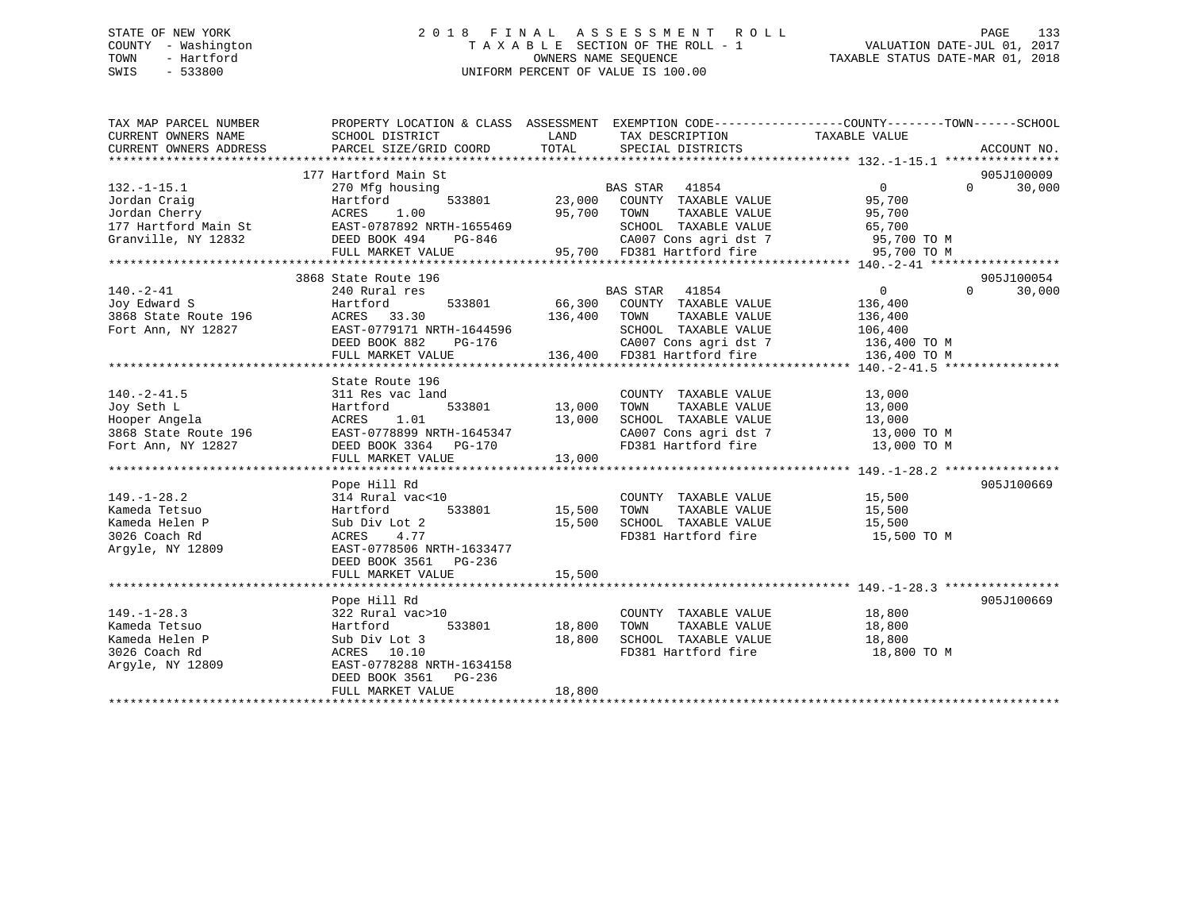## STATE OF NEW YORK 2 0 1 8 F I N A L A S S E S S M E N T R O L L PAGE 133 COUNTY - Washington T A X A B L E SECTION OF THE ROLL - 1 VALUATION DATE-JUL 01, 2017 TOWN - Hartford **TAXABLE STATUS DATE-MAR 01, 2018** OWNERS NAME SEQUENCE TAXABLE STATUS DATE-MAR 01, 2018 SWIS - 533800 UNIFORM PERCENT OF VALUE IS 100.00

| TAX MAP PARCEL NUMBER<br>CURRENT OWNERS NAME   | PROPERTY LOCATION & CLASS ASSESSMENT EXEMPTION CODE----------------COUNTY-------TOWN------SCHOOL<br>SCHOOL DISTRICT | LAND          | TAX DESCRIPTION                                                                   | TAXABLE VALUE                     |                    |
|------------------------------------------------|---------------------------------------------------------------------------------------------------------------------|---------------|-----------------------------------------------------------------------------------|-----------------------------------|--------------------|
| CURRENT OWNERS ADDRESS                         | PARCEL SIZE/GRID COORD                                                                                              | TOTAL         | SPECIAL DISTRICTS                                                                 |                                   | ACCOUNT NO.        |
|                                                |                                                                                                                     |               |                                                                                   |                                   | 905J100009         |
| $132. - 1 - 15.1$                              | 177 Hartford Main St<br>270 Mfg housing                                                                             |               | <b>BAS STAR</b><br>41854                                                          | $\Omega$                          | $\Omega$<br>30,000 |
| Jordan Craig                                   | 533801<br>Hartford                                                                                                  | 23,000        | COUNTY TAXABLE VALUE                                                              | 95,700                            |                    |
| Jordan Cherry                                  | ACRES<br>1.00                                                                                                       | 95,700        | TOWN<br>TAXABLE VALUE                                                             | 95,700                            |                    |
| 177 Hartford Main St EAST-0787892 NRTH-1655469 |                                                                                                                     |               | SCHOOL TAXABLE VALUE                                                              | 65,700                            |                    |
| Granville, NY 12832                            | DEED BOOK 494<br>PG-846                                                                                             |               | CA007 Cons agri dst 7                                                             | 95,700 TO M                       |                    |
|                                                | FULL MARKET VALUE                                                                                                   |               | 95,700 FD381 Hartford fire                                                        | 95,700 TO M                       |                    |
|                                                |                                                                                                                     |               |                                                                                   |                                   |                    |
|                                                | 3868 State Route 196                                                                                                |               |                                                                                   |                                   | 905J100054         |
| $140. - 2 - 41$                                | 240 Rural res                                                                                                       |               | BAS STAR<br>41854                                                                 | $\overline{0}$<br>$\Omega$        | 30,000             |
| Joy Edward S                                   | Hartford<br>533801                                                                                                  |               | 66,300 COUNTY TAXABLE VALUE                                                       | 136,400                           |                    |
| 3868 State Route 196                           | ACRES 33.30                                                                                                         | 136,400       | TAXABLE VALUE<br>TOWN                                                             | 136,400                           |                    |
| Fort Ann, NY 12827                             | EAST-0779171 NRTH-1644596                                                                                           |               | SCHOOL TAXABLE VALUE                                                              | 106,400                           |                    |
|                                                | DEED BOOK 882<br>PG-176                                                                                             |               |                                                                                   |                                   |                    |
|                                                | FULL MARKET VALUE                                                                                                   |               | 76 CA007 Cons agri dst 7 136,400 TO M<br>136,400 FD381 Hartford fire 136,400 TO M |                                   |                    |
|                                                |                                                                                                                     |               |                                                                                   |                                   |                    |
|                                                | State Route 196                                                                                                     |               |                                                                                   |                                   |                    |
| $140. -2 - 41.5$                               | 311 Res vac land                                                                                                    |               | COUNTY TAXABLE VALUE                                                              | 13,000                            |                    |
| Joy Seth L                                     | Hartford                                                                                                            | 533801 13,000 | TAXABLE VALUE<br>TOWN                                                             | 13,000                            |                    |
| Hooper Angela                                  | 1.01<br>ACRES                                                                                                       | 13,000        | SCHOOL TAXABLE VALUE                                                              | 13,000                            |                    |
| 3868 State Route 196                           | EAST-0778899 NRTH-1645347                                                                                           |               |                                                                                   | CA007 Cons agri dst 7 13,000 TO M |                    |
| Fort Ann, NY 12827                             | DEED BOOK 3364 PG-170                                                                                               |               | FD381 Hartford fire                                                               | 13,000 TO M                       |                    |
|                                                | FULL MARKET VALUE                                                                                                   | 13,000        |                                                                                   |                                   |                    |
|                                                |                                                                                                                     |               |                                                                                   |                                   |                    |
|                                                | Pope Hill Rd                                                                                                        |               |                                                                                   |                                   | 905J100669         |
| $149. - 1 - 28.2$                              | 314 Rural vac<10                                                                                                    |               | COUNTY TAXABLE VALUE 15,500                                                       |                                   |                    |
| Kameda Tetsuo                                  | 533801<br>Hartford                                                                                                  | 15,500        | TAXABLE VALUE<br>TOWN                                                             | 15,500                            |                    |
| Kameda Helen P                                 | Sub Div Lot 2                                                                                                       | 15,500        | SCHOOL TAXABLE VALUE                                                              | 15,500                            |                    |
| 3026 Coach Rd                                  | 4.77<br>ACRES                                                                                                       |               | FD381 Hartford fire                                                               | 15,500 TO M                       |                    |
| Argyle, NY 12809                               | EAST-0778506 NRTH-1633477                                                                                           |               |                                                                                   |                                   |                    |
|                                                | DEED BOOK 3561 PG-236                                                                                               |               |                                                                                   |                                   |                    |
|                                                | FULL MARKET VALUE                                                                                                   | 15,500        |                                                                                   |                                   |                    |
|                                                |                                                                                                                     |               |                                                                                   |                                   |                    |
|                                                | Pope Hill Rd                                                                                                        |               |                                                                                   |                                   | 905J100669         |
| $149. - 1 - 28.3$                              | 322 Rural vac>10                                                                                                    |               | COUNTY TAXABLE VALUE                                                              | 18,800                            |                    |
| Kameda Tetsuo                                  | Hartford<br>533801                                                                                                  | 18,800        | TAXABLE VALUE<br>TOWN                                                             | 18,800                            |                    |
| Kameda Helen P                                 | Sub Div Lot 3                                                                                                       | 18,800        | SCHOOL TAXABLE VALUE                                                              | 18,800                            |                    |
| 3026 Coach Rd                                  | ACRES 10.10                                                                                                         |               | FD381 Hartford fire                                                               | 18,800 TO M                       |                    |
| Arqyle, NY 12809                               | EAST-0778288 NRTH-1634158                                                                                           |               |                                                                                   |                                   |                    |
|                                                | DEED BOOK 3561<br>$PG-236$                                                                                          | 18,800        |                                                                                   |                                   |                    |
|                                                | FULL MARKET VALUE                                                                                                   |               |                                                                                   |                                   |                    |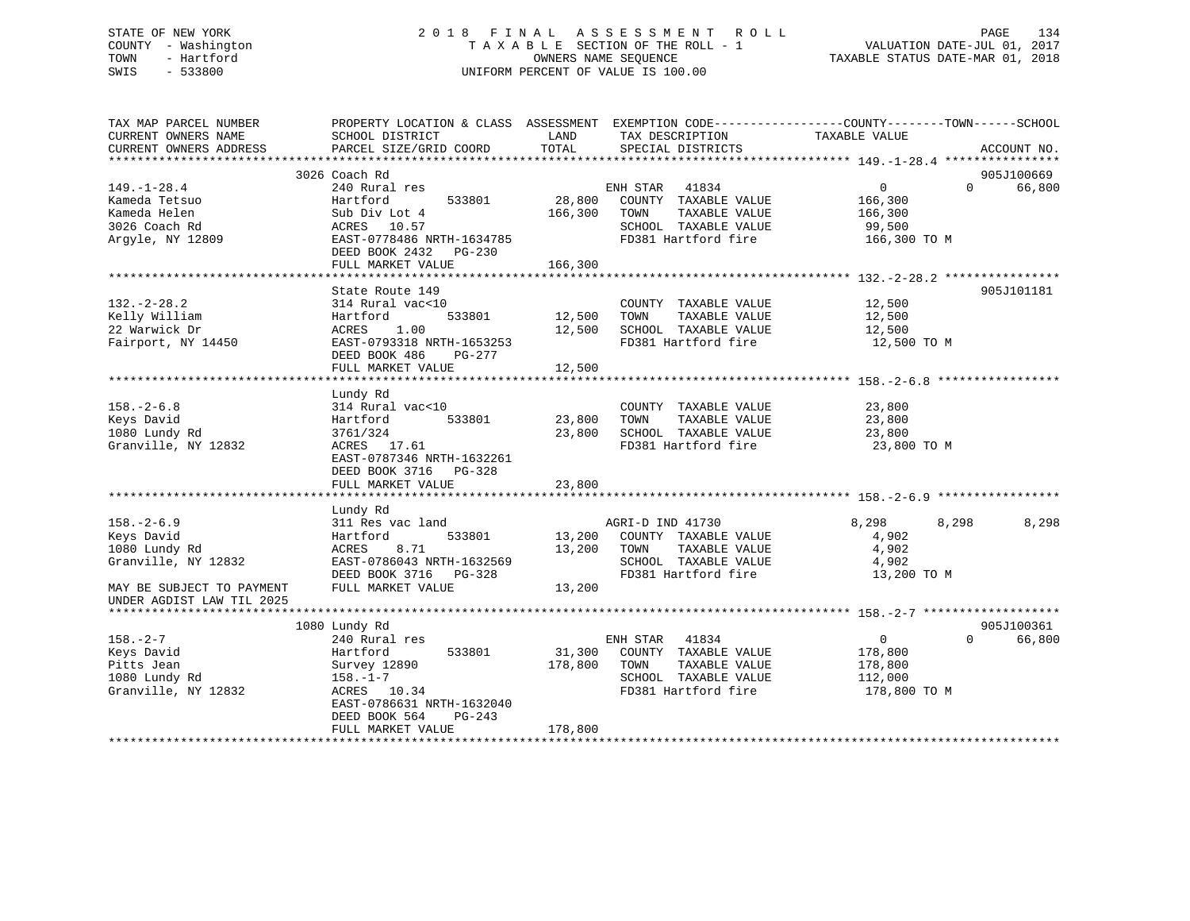## STATE OF NEW YORK 2 0 1 8 F I N A L A S S E S S M E N T R O L L PAGE 134 COUNTY - Washington T A X A B L E SECTION OF THE ROLL - 1 VALUATION DATE-JUL 01, 2017 TOWN - Hartford **TAXABLE STATUS DATE-MAR 01, 2018** OWNERS NAME SEQUENCE TAXABLE STATUS DATE-MAR 01, 2018 SWIS - 533800 UNIFORM PERCENT OF VALUE IS 100.00

| TAX MAP PARCEL NUMBER<br>CURRENT OWNERS NAME<br>CURRENT OWNERS ADDRESS | PROPERTY LOCATION & CLASS ASSESSMENT<br>SCHOOL DISTRICT<br>PARCEL SIZE/GRID COORD | LAND<br>TOTAL             | TAX DESCRIPTION<br>SPECIAL DISTRICTS | EXEMPTION CODE-----------------COUNTY-------TOWN------SCHOOL<br>TAXABLE VALUE | ACCOUNT NO. |
|------------------------------------------------------------------------|-----------------------------------------------------------------------------------|---------------------------|--------------------------------------|-------------------------------------------------------------------------------|-------------|
|                                                                        |                                                                                   |                           |                                      |                                                                               |             |
|                                                                        | 3026 Coach Rd                                                                     |                           |                                      |                                                                               | 905J100669  |
| $149. - 1 - 28.4$                                                      | 240 Rural res                                                                     |                           | ENH STAR<br>41834                    | $\mathbf{0}$<br>$\Omega$                                                      | 66,800      |
| Kameda Tetsuo                                                          | 533801<br>Hartford                                                                | 28,800                    | COUNTY TAXABLE VALUE                 | 166,300                                                                       |             |
| Kameda Helen                                                           | Sub Div Lot 4                                                                     | 166,300                   | TOWN<br>TAXABLE VALUE                | 166,300                                                                       |             |
| 3026 Coach Rd                                                          | ACRES 10.57                                                                       |                           | SCHOOL TAXABLE VALUE                 | 99,500                                                                        |             |
| Arqyle, NY 12809                                                       | EAST-0778486 NRTH-1634785                                                         |                           | FD381 Hartford fire                  | 166,300 TO M                                                                  |             |
|                                                                        | DEED BOOK 2432<br>$PG-230$                                                        |                           |                                      |                                                                               |             |
|                                                                        | FULL MARKET VALUE                                                                 | 166,300                   |                                      |                                                                               |             |
|                                                                        |                                                                                   |                           |                                      |                                                                               |             |
|                                                                        | State Route 149                                                                   |                           |                                      |                                                                               | 905J101181  |
| $132 - 2 - 28.2$                                                       | 314 Rural vac<10                                                                  |                           | COUNTY TAXABLE VALUE                 | 12,500                                                                        |             |
| Kelly William                                                          | 533801<br>Hartford                                                                | 12,500                    | TOWN<br>TAXABLE VALUE                | 12,500                                                                        |             |
| 22 Warwick Dr                                                          | ACRES<br>1.00                                                                     | 12,500                    | SCHOOL TAXABLE VALUE                 | 12,500                                                                        |             |
| Fairport, NY 14450                                                     | EAST-0793318 NRTH-1653253                                                         |                           | FD381 Hartford fire                  | 12,500 TO M                                                                   |             |
|                                                                        | DEED BOOK 486<br>PG-277                                                           |                           |                                      |                                                                               |             |
|                                                                        | FULL MARKET VALUE                                                                 | 12,500                    |                                      |                                                                               |             |
|                                                                        |                                                                                   |                           |                                      |                                                                               |             |
|                                                                        | Lundy Rd                                                                          |                           |                                      |                                                                               |             |
| $158. - 2 - 6.8$                                                       | 314 Rural vac<10                                                                  |                           | COUNTY TAXABLE VALUE                 | 23,800                                                                        |             |
| Keys David                                                             | 533801<br>Hartford                                                                | 23,800                    | TOWN<br>TAXABLE VALUE                | 23,800                                                                        |             |
| 1080 Lundy Rd                                                          | 3761/324                                                                          | 23,800                    | SCHOOL TAXABLE VALUE                 | 23,800                                                                        |             |
| Granville, NY 12832                                                    | ACRES 17.61                                                                       |                           | FD381 Hartford fire                  | 23,800 TO M                                                                   |             |
|                                                                        | EAST-0787346 NRTH-1632261                                                         |                           |                                      |                                                                               |             |
|                                                                        | DEED BOOK 3716 PG-328                                                             |                           |                                      |                                                                               |             |
|                                                                        | FULL MARKET VALUE                                                                 | 23,800                    |                                      |                                                                               |             |
|                                                                        | *********************                                                             | * * * * * * * * * * * * * |                                      | ******************************* 158. -2-6. 9. **********                      |             |
|                                                                        | Lundy Rd                                                                          |                           |                                      |                                                                               |             |
| $158. - 2 - 6.9$                                                       | 311 Res vac land                                                                  |                           | AGRI-D IND 41730                     | 8,298<br>8,298                                                                | 8,298       |
| Keys David                                                             | Hartford<br>533801                                                                | 13,200                    | COUNTY TAXABLE VALUE                 | 4,902                                                                         |             |
|                                                                        | 8.71<br>ACRES                                                                     | 13,200                    | TAXABLE VALUE<br>TOWN                | 4,902                                                                         |             |
| 1080 Lundy Rd                                                          |                                                                                   |                           |                                      |                                                                               |             |
| Granville, NY 12832                                                    | EAST-0786043 NRTH-1632569                                                         |                           | SCHOOL TAXABLE VALUE                 | 4,902                                                                         |             |
|                                                                        | DEED BOOK 3716<br>PG-328                                                          |                           | FD381 Hartford fire                  | 13,200 TO M                                                                   |             |
| MAY BE SUBJECT TO PAYMENT                                              | FULL MARKET VALUE                                                                 | 13,200                    |                                      |                                                                               |             |
| UNDER AGDIST LAW TIL 2025                                              |                                                                                   |                           |                                      |                                                                               |             |
|                                                                        |                                                                                   |                           |                                      |                                                                               |             |
|                                                                        | 1080 Lundy Rd                                                                     |                           |                                      |                                                                               | 905J100361  |
| $158. - 2 - 7$                                                         | 240 Rural res                                                                     |                           | ENH STAR<br>41834                    | $\mathbf{0}$<br>$\Omega$                                                      | 66,800      |
| Keys David                                                             | Hartford<br>533801                                                                | 31,300                    | COUNTY TAXABLE VALUE                 | 178,800                                                                       |             |
| Pitts Jean                                                             | Survey 12890                                                                      | 178,800                   | TAXABLE VALUE<br>TOWN                | 178,800                                                                       |             |
| 1080 Lundy Rd                                                          | $158. - 1 - 7$                                                                    |                           | SCHOOL TAXABLE VALUE                 | 112,000                                                                       |             |
| Granville, NY 12832                                                    | ACRES 10.34                                                                       |                           | FD381 Hartford fire                  | 178,800 TO M                                                                  |             |
|                                                                        | EAST-0786631 NRTH-1632040                                                         |                           |                                      |                                                                               |             |
|                                                                        | DEED BOOK 564<br>$PG-243$                                                         |                           |                                      |                                                                               |             |
|                                                                        | FULL MARKET VALUE                                                                 | 178,800                   |                                      |                                                                               |             |
|                                                                        |                                                                                   |                           |                                      |                                                                               |             |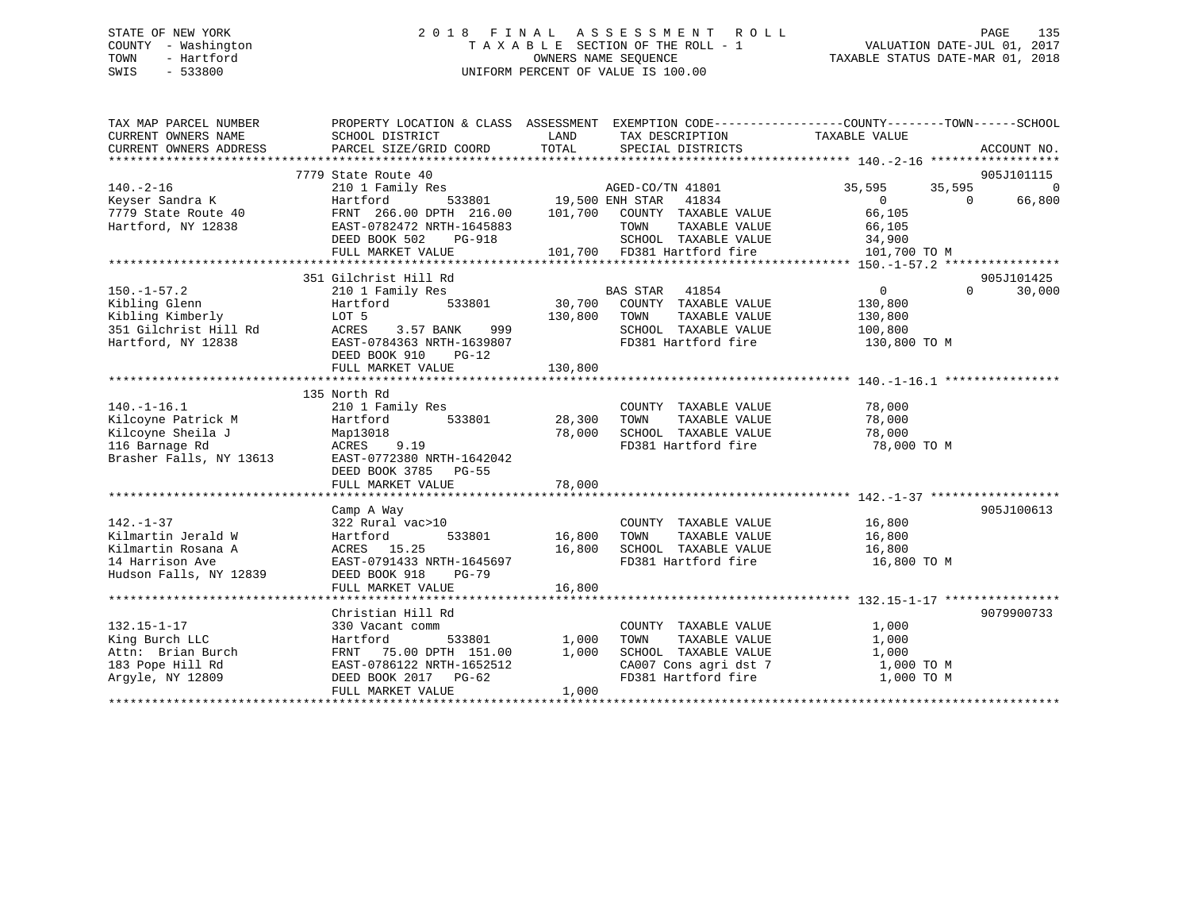## STATE OF NEW YORK 2 0 1 8 F I N A L A S S E S S M E N T R O L L PAGE 135 COUNTY - Washington T A X A B L E SECTION OF THE ROLL - 1 VALUATION DATE-JUL 01, 2017 TOWN - Hartford **TAXABLE STATUS DATE-MAR 01, 2018** OWNERS NAME SEQUENCE TAXABLE STATUS DATE-MAR 01, 2018 SWIS - 533800 UNIFORM PERCENT OF VALUE IS 100.00

| TAX MAP PARCEL NUMBER<br>CURRENT OWNERS NAME | PROPERTY LOCATION & CLASS ASSESSMENT EXEMPTION CODE---------------COUNTY-------TOWN-----SCHOOL<br>SCHOOL DISTRICT | LAND    | TAX DESCRIPTION                                  | TAXABLE VALUE            |          |             |
|----------------------------------------------|-------------------------------------------------------------------------------------------------------------------|---------|--------------------------------------------------|--------------------------|----------|-------------|
| CURRENT OWNERS ADDRESS                       | PARCEL SIZE/GRID COORD                                                                                            | TOTAL   | SPECIAL DISTRICTS                                |                          |          | ACCOUNT NO. |
|                                              |                                                                                                                   |         |                                                  |                          |          |             |
|                                              | 7779 State Route 40                                                                                               |         |                                                  |                          |          | 905J101115  |
| $140. -2 - 16$                               | 210 1 Family Res                                                                                                  |         | AGED-CO/TN 41801<br>533801 19,500 ENH STAR 41834 | 35,595                   | 35,595   | $\Omega$    |
| Keyser Sandra K                              | Hartford                                                                                                          | 101,700 |                                                  | $\overline{0}$<br>66,105 | $\Omega$ | 66,800      |
| 7779 State Route 40<br>Hartford, NY 12838    | FRNT 266.00 DPTH 216.00<br>EAST-0782472 NRTH-1645883                                                              |         | COUNTY TAXABLE VALUE<br>TOWN<br>TAXABLE VALUE    | 66,105                   |          |             |
|                                              | DEED BOOK 502<br>PG-918                                                                                           |         | SCHOOL TAXABLE VALUE                             | 34,900                   |          |             |
|                                              |                                                                                                                   |         | 101,700 FD381 Hartford fire                      | 101,700 TO M             |          |             |
|                                              | FULL MARKET VALUE                                                                                                 |         |                                                  |                          |          |             |
|                                              | 351 Gilchrist Hill Rd                                                                                             |         |                                                  |                          |          | 905J101425  |
| $150. - 1 - 57.2$                            | 210 1 Family Res                                                                                                  |         | BAS STAR<br>41854                                | $\overline{0}$           | $\Omega$ | 30,000      |
| Kibling Glenn                                | 533801<br>Hartford                                                                                                |         | 30,700 COUNTY TAXABLE VALUE                      | 130,800                  |          |             |
| Kibling Kimberly                             | LOT 5                                                                                                             | 130,800 | TAXABLE VALUE<br>TOWN                            | 130,800                  |          |             |
| 351 Gilchrist Hill Rd                        | ACRES<br>3.57 BANK<br>999                                                                                         |         | SCHOOL TAXABLE VALUE                             | 100,800                  |          |             |
| Hartford, NY 12838                           | EAST-0784363 NRTH-1639807                                                                                         |         | FD381 Hartford fire                              | 130,800 TO M             |          |             |
|                                              | DEED BOOK 910<br>$PG-12$                                                                                          |         |                                                  |                          |          |             |
|                                              | FULL MARKET VALUE                                                                                                 | 130,800 |                                                  |                          |          |             |
|                                              |                                                                                                                   |         |                                                  |                          |          |             |
|                                              | 135 North Rd                                                                                                      |         |                                                  |                          |          |             |
| $140. - 1 - 16.1$                            | 210 1 Family Res                                                                                                  |         | COUNTY TAXABLE VALUE                             | 78,000                   |          |             |
| Kilcoyne Patrick M                           | Hartford<br>533801                                                                                                | 28,300  | TAXABLE VALUE<br>TOWN                            | 78,000                   |          |             |
| Kilcoyne Sheila J                            | Map13018                                                                                                          | 78,000  | SCHOOL TAXABLE VALUE                             | 78,000                   |          |             |
| 116 Barnage Rd                               | ACRES 9.19                                                                                                        |         | FD381 Hartford fire                              | 78,000 TO M              |          |             |
| Brasher Falls, NY 13613                      | EAST-0772380 NRTH-1642042                                                                                         |         |                                                  |                          |          |             |
|                                              | DEED BOOK 3785 PG-55                                                                                              |         |                                                  |                          |          |             |
|                                              | FULL MARKET VALUE                                                                                                 | 78,000  |                                                  |                          |          |             |
|                                              |                                                                                                                   |         |                                                  |                          |          |             |
|                                              | Camp A Way                                                                                                        |         |                                                  |                          |          | 905J100613  |
| $142. - 1 - 37$                              | 322 Rural vac>10                                                                                                  |         | COUNTY TAXABLE VALUE                             | 16,800                   |          |             |
| Kilmartin Jerald W                           | Hartford<br>533801                                                                                                | 16,800  | TOWN<br>TAXABLE VALUE                            | 16,800                   |          |             |
| Kilmartin Rosana A                           | ACRES 15.25                                                                                                       | 16,800  | SCHOOL TAXABLE VALUE                             | 16,800                   |          |             |
| 14 Harrison Ave                              | EAST-0791433 NRTH-1645697                                                                                         |         | FD381 Hartford fire                              | 16,800 TO M              |          |             |
| Hudson Falls, NY 12839                       | DEED BOOK 918<br>$PG-79$                                                                                          |         |                                                  |                          |          |             |
|                                              | FULL MARKET VALUE                                                                                                 | 16,800  |                                                  |                          |          |             |
|                                              |                                                                                                                   |         |                                                  |                          |          |             |
|                                              | Christian Hill Rd                                                                                                 |         |                                                  |                          |          | 9079900733  |
| $132.15 - 1 - 17$                            | 330 Vacant comm                                                                                                   |         | COUNTY TAXABLE VALUE                             | 1,000                    |          |             |
| King Burch LLC                               | 533801<br>Hartford                                                                                                | 1,000   | TAXABLE VALUE<br>TOWN                            | 1,000                    |          |             |
| Attn: Brian Burch                            | 75.00 DPTH 151.00<br>FRNT                                                                                         | 1,000   | SCHOOL TAXABLE VALUE                             | 1,000                    |          |             |
| 183 Pope Hill Rd                             | EAST-0786122 NRTH-1652512                                                                                         |         | CA007 Cons agri dst 7<br>----- International     | 1,000 TO M               |          |             |
| Arqyle, NY 12809                             | DEED BOOK 2017 PG-62                                                                                              |         | FD381 Hartford fire                              | 1,000 TO M               |          |             |
|                                              | FULL MARKET VALUE                                                                                                 | 1,000   |                                                  |                          |          |             |
|                                              |                                                                                                                   |         |                                                  |                          |          |             |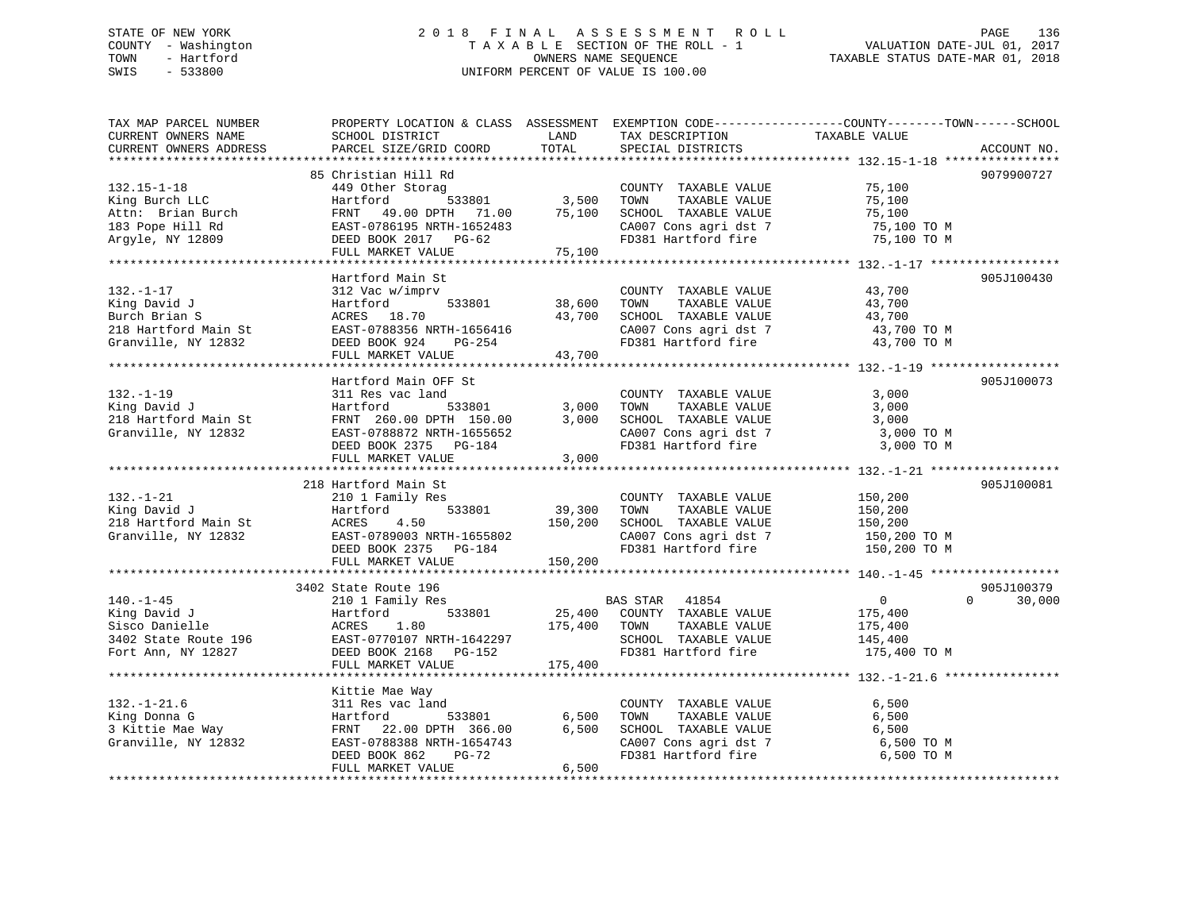## STATE OF NEW YORK 2 0 1 8 F I N A L A S S E S S M E N T R O L L PAGE 136 COUNTY - Washington T A X A B L E SECTION OF THE ROLL - 1 VALUATION DATE-JUL 01, 2017 TOWN - Hartford **TAXABLE STATUS DATE-MAR 01, 2018** OWNERS NAME SEQUENCE TAXABLE STATUS DATE-MAR 01, 2018 SWIS - 533800 UNIFORM PERCENT OF VALUE IS 100.00

| TAX MAP PARCEL NUMBER                                                                                                                                | PROPERTY LOCATION & CLASS ASSESSMENT EXEMPTION CODE---------------COUNTY-------TOWN-----SCHOOL |                         |                                                                                           |                              |                    |
|------------------------------------------------------------------------------------------------------------------------------------------------------|------------------------------------------------------------------------------------------------|-------------------------|-------------------------------------------------------------------------------------------|------------------------------|--------------------|
| CURRENT OWNERS NAME                                                                                                                                  | SCHOOL DISTRICT                                                                                | LAND                    | TAX DESCRIPTION                                                                           | TAXABLE VALUE                |                    |
| CURRENT OWNERS ADDRESS                                                                                                                               | PARCEL SIZE/GRID COORD                                                                         | TOTAL                   | SPECIAL DISTRICTS                                                                         |                              | ACCOUNT NO.        |
|                                                                                                                                                      |                                                                                                |                         |                                                                                           |                              |                    |
|                                                                                                                                                      | 85 Christian Hill Rd                                                                           |                         |                                                                                           |                              | 9079900727         |
| $132.15 - 1 - 18$                                                                                                                                    | 449 Other Storag                                                                               |                         | COUNTY TAXABLE VALUE                                                                      | 75,100                       |                    |
| King Burch LLC                                                                                                                                       | Hartford                                                                                       | ,<br>533801      3 ,500 | TOWN<br>TAXABLE VALUE                                                                     | 75,100                       |                    |
| Attn: Brian Burch                                                                                                                                    | FRNT 49.00 DPTH 71.00                                                                          | 75,100                  | SCHOOL TAXABLE VALUE                                                                      | 75,100                       |                    |
| 183 Pope Hill Rd                                                                                                                                     | EAST-0786195 NRTH-1652483                                                                      |                         | CA007 Cons agri dst 7                                                                     | 75,100 TO M                  |                    |
| Argyle, NY 12809                                                                                                                                     | DEED BOOK 2017 PG-62                                                                           |                         | FD381 Hartford fire                                                                       | 75,100 TO M                  |                    |
|                                                                                                                                                      | FULL MARKET VALUE                                                                              | 75,100                  |                                                                                           |                              |                    |
|                                                                                                                                                      |                                                                                                |                         |                                                                                           |                              |                    |
|                                                                                                                                                      | Hartford Main St                                                                               |                         |                                                                                           |                              | 905J100430         |
| $132. - 1 - 17$                                                                                                                                      | 312 Vac w/imprv                                                                                |                         | COUNTY TAXABLE VALUE                                                                      | 43,700                       |                    |
| King David J                                                                                                                                         | 533801<br>Hartford                                                                             | 38,600                  | TAXABLE VALUE<br>TOWN                                                                     | 43,700                       |                    |
| Burch Brian S                                                                                                                                        | ACRES 18.70                                                                                    | 43,700                  | SCHOOL TAXABLE VALUE                                                                      | 43,700                       |                    |
|                                                                                                                                                      | EAST-0788356 NRTH-1656416                                                                      |                         |                                                                                           | 43,700 TO M                  |                    |
| 218 Hartford Main St<br>Granville, NY 12832                                                                                                          | DEED BOOK 924 PG-254                                                                           |                         | CA007 Cons agri dst 7<br>FD381 Hartford fire                                              | 43,700 TO M                  |                    |
|                                                                                                                                                      | FULL MARKET VALUE                                                                              | 43,700                  |                                                                                           |                              |                    |
|                                                                                                                                                      |                                                                                                |                         |                                                                                           |                              |                    |
|                                                                                                                                                      | Hartford Main OFF St                                                                           |                         |                                                                                           |                              | 905J100073         |
| $132. - 1 - 19$                                                                                                                                      | 311 Res vac land                                                                               |                         | COUNTY TAXABLE VALUE                                                                      | 3,000                        |                    |
| King David J                                                                                                                                         | 533801<br>Hartford                                                                             | 3,000                   | TAXABLE VALUE<br>TOWN                                                                     | 3,000                        |                    |
| 218 Hartford Main St                                                                                                                                 |                                                                                                | 3,000                   | SCHOOL TAXABLE VALUE                                                                      | 3,000                        |                    |
| Granville, NY 12832                                                                                                                                  | FRNT 260.00 DPTH 150.00<br>EAST-0788872 NRTH-1655652                                           |                         |                                                                                           | 3,000 TO M                   |                    |
|                                                                                                                                                      | DEED BOOK 2375 PG-184                                                                          |                         | CANOUL IAXABLE VALUE<br>CA007 Cons agri dst 7<br>FD381 Hartford of<br>FD381 Hartford fire | 3,000 TO M                   |                    |
|                                                                                                                                                      | FULL MARKET VALUE                                                                              | 3,000                   |                                                                                           |                              |                    |
|                                                                                                                                                      |                                                                                                |                         |                                                                                           |                              |                    |
|                                                                                                                                                      | 218 Hartford Main St                                                                           |                         |                                                                                           |                              | 905J100081         |
| $132. - 1 - 21$                                                                                                                                      | 210 1 Family Res                                                                               |                         | COUNTY TAXABLE VALUE                                                                      | 150,200                      |                    |
| King David J                                                                                                                                         |                                                                                                | 39,300                  | TOWN<br>TAXABLE VALUE                                                                     |                              |                    |
|                                                                                                                                                      | 533801<br>Hartford                                                                             |                         |                                                                                           | 150,200                      |                    |
| 218 Hartford Main St                                                                                                                                 | 4.50<br>ACRES                                                                                  | 150,200                 | SCHOOL TAXABLE VALUE                                                                      | 150,200                      |                    |
| Granville, NY 12832                                                                                                                                  | EAST-0789003 NRTH-1655802                                                                      |                         | CA007 Cons agri dst 7<br>FD381 Hartford fire                                              | 150,200 TO M<br>150,200 TO M |                    |
|                                                                                                                                                      | DEED BOOK 2375 PG-184                                                                          |                         | FD381 Hartford fire                                                                       |                              |                    |
|                                                                                                                                                      | FULL MARKET VALUE                                                                              | 150,200                 |                                                                                           |                              |                    |
|                                                                                                                                                      |                                                                                                |                         |                                                                                           |                              |                    |
|                                                                                                                                                      | 3402 State Route 196                                                                           |                         |                                                                                           |                              | 905J100379         |
| $140. - 1 - 45$                                                                                                                                      | 210 1 Family Res                                                                               |                         | BAS STAR 41854<br>25,400 COUNTY TAXABLE VALUE                                             | $\overline{0}$               | $\Omega$<br>30,000 |
|                                                                                                                                                      |                                                                                                |                         |                                                                                           | 175,400                      |                    |
|                                                                                                                                                      |                                                                                                | 175,400 TOWN            | TAXABLE VALUE                                                                             | 175,400                      |                    |
|                                                                                                                                                      |                                                                                                |                         | SCHOOL TAXABLE VALUE                                                                      | 145,400                      |                    |
| King David J<br>Sisco Danielle<br>3402 State Route 196<br>Fort Ann, NY 12827<br>Fort Ann, NY 12827<br>Fort Ann, NY 12827<br>SEED BOOK 2168<br>PG-152 |                                                                                                |                         | FD381 Hartford fire                                                                       | 175,400 TO M                 |                    |
|                                                                                                                                                      | FULL MARKET VALUE                                                                              | 175,400                 |                                                                                           |                              |                    |
|                                                                                                                                                      |                                                                                                |                         |                                                                                           |                              |                    |
|                                                                                                                                                      | Kittie Mae Way                                                                                 |                         |                                                                                           |                              |                    |
| $132. - 1 - 21.6$                                                                                                                                    | 311 Res vac land                                                                               |                         | COUNTY TAXABLE VALUE                                                                      | 6,500                        |                    |
| King Donna G                                                                                                                                         | 533801<br>Hartford                                                                             | 6,500                   | TAXABLE VALUE<br>TOWN                                                                     | 6,500                        |                    |
| 3 Kittie Mae Way                                                                                                                                     | FRNT 22.00 DPTH 366.00                                                                         | 6,500                   | SCHOOL TAXABLE VALUE                                                                      | 6,500                        |                    |
| Granville, NY 12832                                                                                                                                  | EAST-0788388 NRTH-1654743                                                                      |                         | CA007 Cons agri dst 7                                                                     | 6,500 TO M                   |                    |
|                                                                                                                                                      | DEED BOOK 862<br>PG-72                                                                         |                         | FD381 Hartford fire                                                                       | 6,500 TO M                   |                    |
|                                                                                                                                                      | FULL MARKET VALUE                                                                              | 6,500                   |                                                                                           |                              |                    |
|                                                                                                                                                      |                                                                                                |                         |                                                                                           |                              |                    |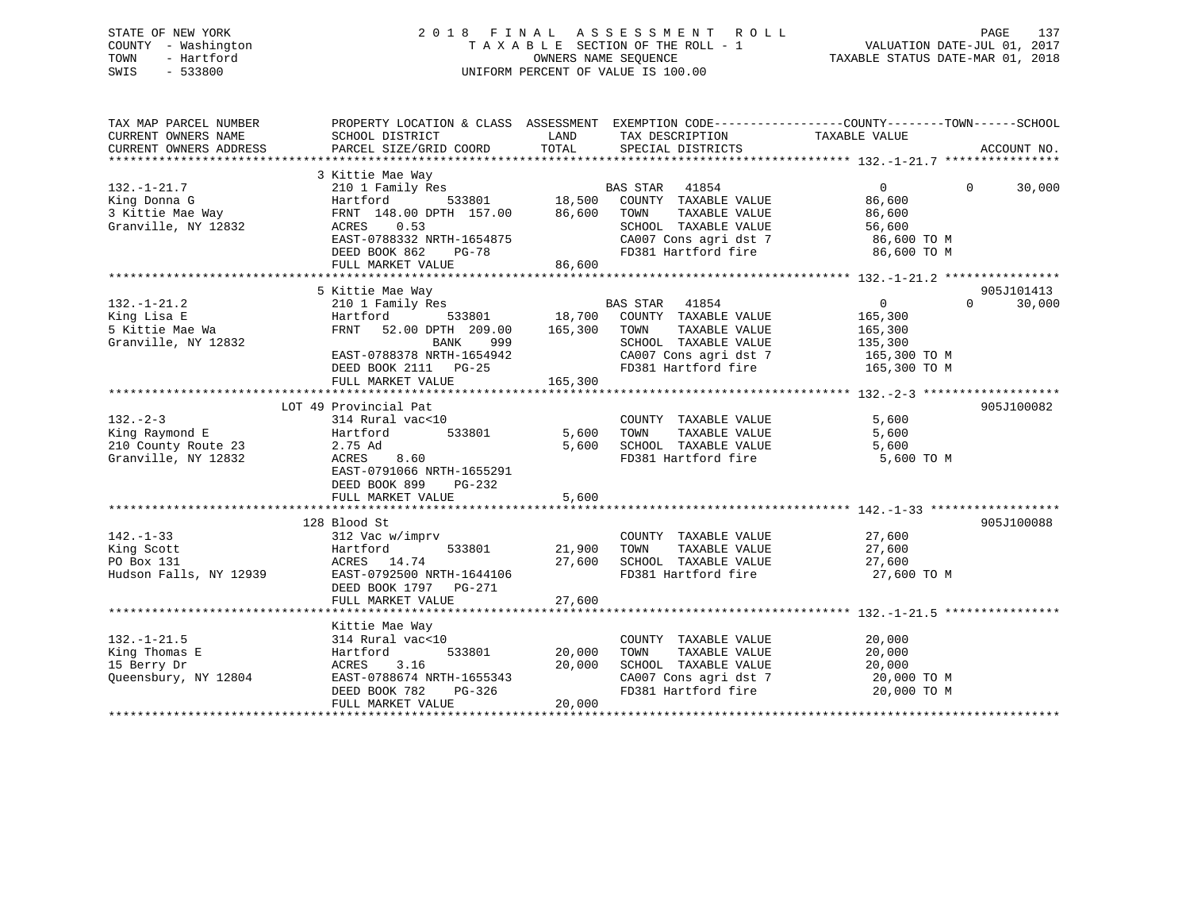## STATE OF NEW YORK 2 0 1 8 F I N A L A S S E S S M E N T R O L L PAGE 137 COUNTY - Washington T A X A B L E SECTION OF THE ROLL - 1 VALUATION DATE-JUL 01, 2017 TOWN - Hartford OWNERS NAME SEQUENCE TAXABLE STATUS DATE-MAR 01, 2018 SWIS - 533800 UNIFORM PERCENT OF VALUE IS 100.00

| TAX MAP PARCEL NUMBER<br>CURRENT OWNERS NAME<br>CURRENT OWNERS ADDRESS        | PROPERTY LOCATION & CLASS ASSESSMENT EXEMPTION CODE----------------COUNTY-------TOWN------SCHOOL<br>SCHOOL DISTRICT<br>PARCEL SIZE/GRID COORD                                        | LAND<br>TOTAL                                      | TAX DESCRIPTION<br>SPECIAL DISTRICTS                                                                                                              | TAXABLE VALUE                                                                   | ACCOUNT NO.                      |
|-------------------------------------------------------------------------------|--------------------------------------------------------------------------------------------------------------------------------------------------------------------------------------|----------------------------------------------------|---------------------------------------------------------------------------------------------------------------------------------------------------|---------------------------------------------------------------------------------|----------------------------------|
| $132. - 1 - 21.7$<br>King Donna G<br>3 Kittie Mae Way<br>Granville, NY 12832  | 3 Kittie Mae Way<br>210 1 Family Res<br>Hartford<br>533801<br>FRNT 148.00 DPTH 157.00<br>0.53<br>ACRES<br>EAST-0788332 NRTH-1654875<br>DEED BOOK 862<br>$PG-78$<br>FULL MARKET VALUE | 18,500<br>86,600<br>86,600                         | <b>BAS STAR</b><br>41854<br>COUNTY TAXABLE VALUE<br>TAXABLE VALUE<br>TOWN<br>SCHOOL TAXABLE VALUE<br>CA007 Cons agri dst 7<br>FD381 Hartford fire | $\overline{0}$<br>86,600<br>86,600<br>56,600<br>86,600 TO M<br>86,600 TO M      | $\Omega$<br>30,000               |
|                                                                               |                                                                                                                                                                                      |                                                    |                                                                                                                                                   |                                                                                 |                                  |
| $132. - 1 - 21.2$<br>King Lisa E<br>5 Kittie Mae Wa<br>Granville, NY 12832    | 5 Kittie Mae Way<br>210 1 Family Res<br>533801<br>Hartford<br>FRNT<br>52.00 DPTH 209.00<br>BANK<br>999<br>EAST-0788378 NRTH-1654942<br>DEED BOOK 2111 PG-25<br>FULL MARKET VALUE     | 18,700<br>165,300<br>165,300                       | 41854<br>BAS STAR<br>COUNTY TAXABLE VALUE<br>TOWN<br>TAXABLE VALUE<br>SCHOOL TAXABLE VALUE<br>CA007 Cons agri dst 7<br>FD381 Hartford fire        | $\overline{0}$<br>165,300<br>165,300<br>135,300<br>165,300 TO M<br>165,300 TO M | 905J101413<br>$\Omega$<br>30,000 |
|                                                                               | LOT 49 Provincial Pat                                                                                                                                                                |                                                    |                                                                                                                                                   |                                                                                 | 905J100082                       |
| $132 - 2 - 3$<br>King Raymond E<br>210 County Route 23<br>Granville, NY 12832 | 314 Rural vac<10<br>533801<br>Hartford<br>2.75 Ad<br>ACRES<br>8.60<br>EAST-0791066 NRTH-1655291<br>DEED BOOK 899<br>PG-232<br>FULL MARKET VALUE                                      | 5,600<br>5,600<br>5,600<br>* * * * * * * * * * * * | COUNTY TAXABLE VALUE<br>TAXABLE VALUE<br>TOWN<br>SCHOOL TAXABLE VALUE<br>FD381 Hartford fire                                                      | 5,600<br>5,600<br>5,600<br>5,600 TO M                                           |                                  |
|                                                                               | 128 Blood St                                                                                                                                                                         |                                                    |                                                                                                                                                   |                                                                                 | 905J100088                       |
| $142. - 1 - 33$<br>King Scott<br>PO Box 131<br>Hudson Falls, NY 12939         | 312 Vac w/imprv<br>533801<br>Hartford<br>ACRES 14.74<br>EAST-0792500 NRTH-1644106<br>DEED BOOK 1797 PG-271<br>FULL MARKET VALUE                                                      | 21,900<br>27,600<br>27,600                         | COUNTY TAXABLE VALUE<br>TOWN<br>TAXABLE VALUE<br>SCHOOL TAXABLE VALUE<br>FD381 Hartford fire                                                      | 27,600<br>27,600<br>27,600<br>27,600 TO M                                       |                                  |
|                                                                               |                                                                                                                                                                                      |                                                    |                                                                                                                                                   |                                                                                 |                                  |
| $132. - 1 - 21.5$<br>King Thomas E<br>15 Berry Dr<br>Queensbury, NY 12804     | Kittie Mae Way<br>314 Rural vac<10<br>Hartford<br>533801<br>3.16<br>ACRES<br>EAST-0788674 NRTH-1655343<br>DEED BOOK 782<br>PG-326<br>FULL MARKET VALUE                               | 20,000<br>20,000<br>20,000                         | COUNTY TAXABLE VALUE<br>TAXABLE VALUE<br>TOWN<br>SCHOOL TAXABLE VALUE<br>CA007 Cons agri dst 7<br>FD381 Hartford fire                             | 20,000<br>20,000<br>20,000<br>20,000 TO M<br>20,000 TO M                        |                                  |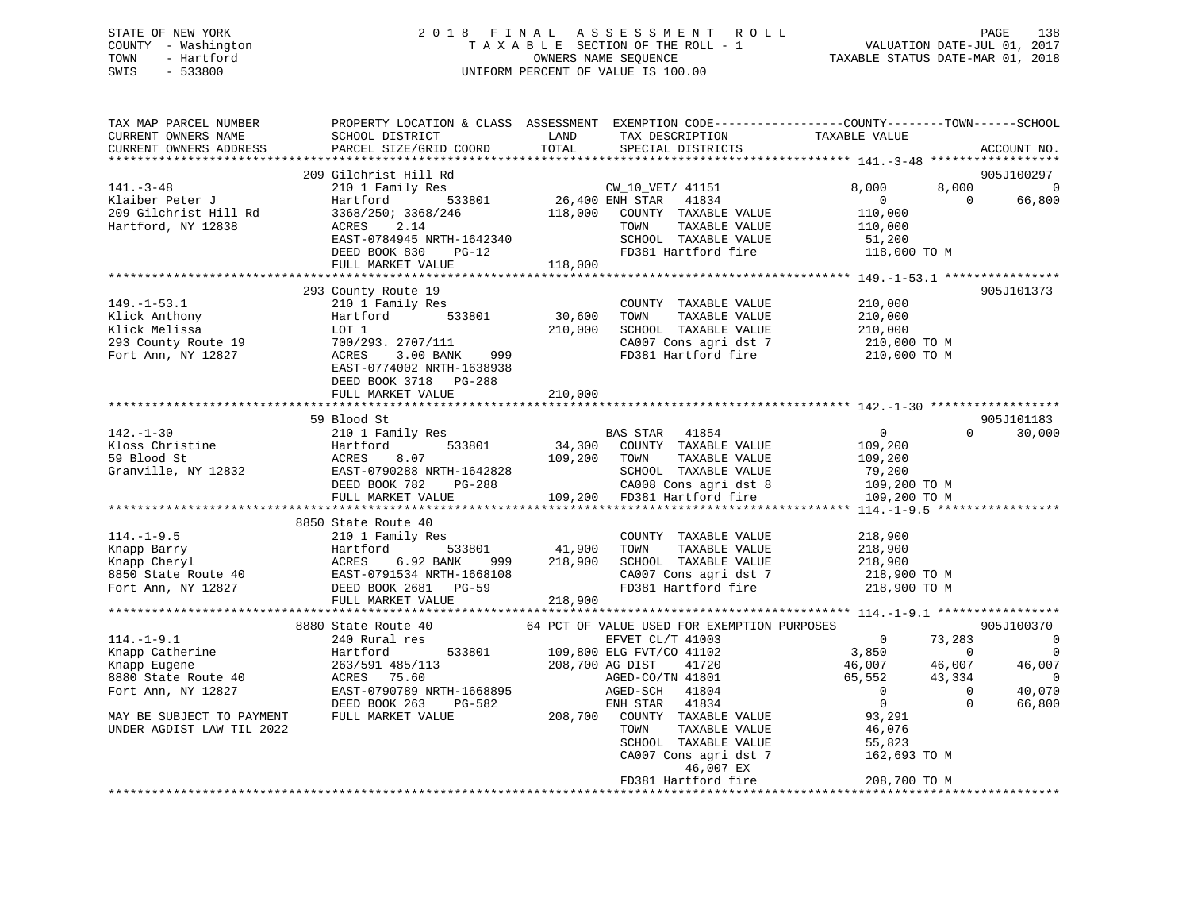## STATE OF NEW YORK 2 0 1 8 F I N A L A S S E S S M E N T R O L L PAGE 138 COUNTY - Washington T A X A B L E SECTION OF THE ROLL - 1 VALUATION DATE-JUL 01, 2017 TOWN - Hartford **TAXABLE STATUS DATE-MAR 01, 2018** OWNERS NAME SEQUENCE TAXABLE STATUS DATE-MAR 01, 2018 SWIS - 533800 UNIFORM PERCENT OF VALUE IS 100.00

| TAX MAP PARCEL NUMBER<br>CURRENT OWNERS NAME<br>CURRENT OWNERS ADDRESS                                    | SCHOOL DISTRICT<br>PARCEL SIZE/GRID COORD                                                                                                                                                                                                                                                                                                                                                                         | LAND<br>TOTAL | TAX DESCRIPTION<br>SPECIAL DISTRICTS                         | PROPERTY LOCATION & CLASS ASSESSMENT EXEMPTION CODE---------------COUNTY-------TOWN-----SCHOOL<br>TAXABLE VALUE                                                                | ACCOUNT NO.                                                                              |
|-----------------------------------------------------------------------------------------------------------|-------------------------------------------------------------------------------------------------------------------------------------------------------------------------------------------------------------------------------------------------------------------------------------------------------------------------------------------------------------------------------------------------------------------|---------------|--------------------------------------------------------------|--------------------------------------------------------------------------------------------------------------------------------------------------------------------------------|------------------------------------------------------------------------------------------|
| 141.–3–48<br>Klaiber Peter J<br>141.-3-48<br>Klaiber Peter J<br>209 Gilchrist Hill Rd<br>209 Martin 19838 | 209 Gilchrist Hill Rd<br>G11christ H111 kd<br>210 1 Family Res<br>Hartford 533801 26,400 ENH STAR 41834 0<br>3368/250; 3368/246 118,000 COUNTY TAXABLE VALUE 110,000<br>ACRES 2.14 TOWN TAXABLE VALUE 110,000<br>ACRES 2.14 TOWN TAXABLE VALUE 110,000<br>EAST-0784945 NRTH-1642340 SCHOOL TAXABLE VALUE 51,200<br>DEED BOOK 830 PG-12 PD381 Hartford fire 118,000 TO M<br>FULL MARKET VALUE 118,000              |               |                                                              | $\overline{0}$                                                                                                                                                                 | 905J100297<br>8,000<br>$\mathbf 0$<br>66,800                                             |
| $149. - 1 - 53.1$                                                                                         | 293 County Route 19<br>COUNTY<br>210 1 Family Res<br>Hartford 533801 30,600 TOWN<br>Xick Anthony<br>Kick Anthony<br>Kick Melissa LOT 1<br>293 County Route 19<br>700/293. 2707/111<br>293 County Route 19<br>700/293. 2707/111<br>299 CROOL TAXABLE VALUE<br>210,000 SCHOOL TAXABLE VALUE<br>CA007 Cons agri dst 7<br>Fort Ann, NY 128<br>EAST-0774002 NRTH-1638938<br>DEED BOOK 3718 PG-288<br>FULL MARKET VALUE | 210,000       | COUNTY TAXABLE VALUE                                         | 210,000<br>TAXABLE VALUE 210,000<br>TAXABLE VALUE 210,000<br>210,000<br>SCHOOL TAXABLE VALUE 210,000<br>CA007 Cons agri dst 7 210,000 TO M<br>FD381 Hartford fire 210,000 TO M | 905J101373                                                                               |
|                                                                                                           | 59 Blood St<br>142.-1-30<br>EXERED BAS STAR 41854<br>EXERED BAS STAR 41854<br>EXERED BAS STAR 41854<br>EXERED BAS STAR 41854<br>200 COUNTY TAXABLE VALUE<br>200 COUNTY TAXABLE VALUE<br>200 COUNTY TAXABLE VALUE<br>200 COUNTY TAXABLE VALUE<br>200 COUNTY TAXA<br>FULL MARKET VALUE                                                                                                                              |               | 109,200 FD381 Hartford fire                                  | $\overline{0}$<br>SCHOOL TAXABLE VALUE 79,200<br>CA008 Cons agri dst 8 109,200 TO M<br>109,200 TO M                                                                            | 905J101183<br>$0 \t30,000$                                                               |
|                                                                                                           | 8850 State Route 40<br>2000 2000 2000 2000 2000 2000 2010<br>Hartford 533801 41,900 TOWN<br>114.-1-9.5<br>Xnapp Barry<br>Xnapp Cheryl<br>Xnapp Cheryl<br>Xnapp Cheryl<br>Xnapp Cheryl<br>Xnapp Cheryl<br>Xnapp Cheryl<br>Xnapp Cheryl<br>Xnapp Cheryl<br>Xnapp Cheryl<br>Xnapp Cheryl<br>Xnapp Cheryl<br>Xnapp Cheryl<br>Xnapp Cheryl<br>Xnapp Cheryl<br>X<br>FULL MARKET VALUE                                   | 218,900       | COUNTY TAXABLE VALUE<br>TAXABLE VALUE<br>FD381 Hartford fire | 218,900<br>218,900<br>SCHOOL TAXABLE VALUE 218,900<br>CA007 Cons agri dst 7 218,900 TO M<br>218,900 TO M                                                                       |                                                                                          |
| UNDER AGDIST LAW TIL 2022                                                                                 | 8880 State Route 40 64 PCT OF VALUE USED FOR EXEMPTION PURPOSES<br>240 Rural res 64 PCT OF VALUE USED FOR EXEMPTION PURPOSES<br>114.-1-9.1<br>MAP BE SUBJECT TO PAYMENT TO PATMENT FULL MARKET VALUE (1995)<br>MAY BE SUBJECT TO PAYMENT FULL MARKET VALUE (1998)<br>MAY BE SUBJECT TO PAYMENT FULL MARKET VALUE<br>TINDER AGED BOOK 263 PG-582<br>FULL MARKET VALUE 2                                            |               | 46,007 EX<br>FD381 Hartford fire                             | TOWN TAXABLE VALUE 95, 291<br>SCHOOL TAXABLE VALUE 46, 076<br>CA007 Cons agri dst 7 162, 693 TO M<br>46 007 EY<br>208,700 TO M                                                 | 905J100370<br>$\overline{0}$<br>$\Omega$<br>46,007<br>$\overline{0}$<br>40,070<br>66,800 |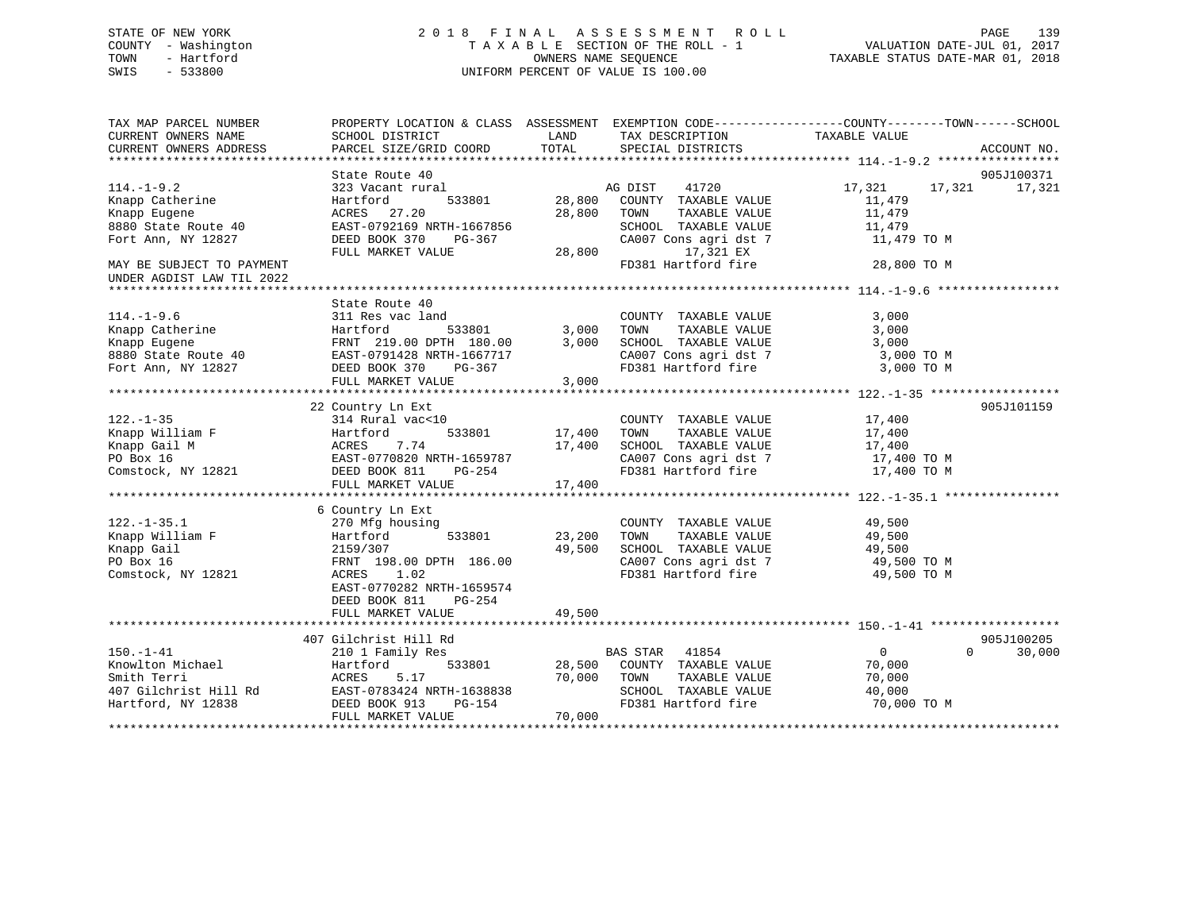## STATE OF NEW YORK 2 0 1 8 F I N A L A S S E S S M E N T R O L L PAGE 139 COUNTY - Washington T A X A B L E SECTION OF THE ROLL - 1 VALUATION DATE-JUL 01, 2017 TOWN - Hartford **TAXABLE STATUS DATE-MAR 01, 2018** OWNERS NAME SEQUENCE TAXABLE STATUS DATE-MAR 01, 2018 SWIS - 533800 UNIFORM PERCENT OF VALUE IS 100.00

| TAX MAP PARCEL NUMBER                                  |                                                                                            |                                                       | PROPERTY LOCATION & CLASS ASSESSMENT EXEMPTION CODE----------------COUNTY-------TOWN------SCHOOL |
|--------------------------------------------------------|--------------------------------------------------------------------------------------------|-------------------------------------------------------|--------------------------------------------------------------------------------------------------|
| CURRENT OWNERS NAME<br>CURRENT OWNERS ADDRESS          | SCHOOL DISTRICT<br>PARCEL SIZE/GRID COORD                                                  | LAND<br>TAX DESCRIPTION<br>TOTAL<br>SPECIAL DISTRICTS | TAXABLE VALUE<br>ACCOUNT NO.                                                                     |
|                                                        |                                                                                            |                                                       |                                                                                                  |
|                                                        | State Route 40                                                                             |                                                       | 905J100371                                                                                       |
| $114. - 1 - 9.2$                                       | 323 Vacant rural                                                                           | AG DIST<br>41720                                      | 17,321<br>17,321<br>17,321                                                                       |
| Knapp Catherine                                        | 533801<br>Hartford                                                                         | 28,800<br>COUNTY TAXABLE VALUE                        | 11,479                                                                                           |
| Knapp Eugene                                           | ACRES 27.20                                                                                | 28,800<br>TOWN<br>TAXABLE VALUE                       | 11,479                                                                                           |
| 8880 State Route 40                                    | EAST-0792169 NRTH-1667856                                                                  | SCHOOL TAXABLE VALUE                                  | 11,479                                                                                           |
| Fort Ann, NY 12827                                     | DEED BOOK 370<br>PG-367                                                                    | CA007 Cons agri dst 7                                 | 11,479 TO M                                                                                      |
|                                                        | FULL MARKET VALUE                                                                          | 28,800<br>17,321 EX                                   |                                                                                                  |
| MAY BE SUBJECT TO PAYMENT<br>UNDER AGDIST LAW TIL 2022 |                                                                                            | FD381 Hartford fire                                   | 28,800 TO M                                                                                      |
|                                                        |                                                                                            |                                                       |                                                                                                  |
|                                                        | State Route 40                                                                             |                                                       |                                                                                                  |
| $114.-1-9.6$                                           | 311 Res vac land                                                                           | COUNTY TAXABLE VALUE                                  | 3,000                                                                                            |
| Knapp Catherine                                        | Hartford<br>533801                                                                         | 3,000<br>TAXABLE VALUE<br>TOWN                        | 3,000                                                                                            |
|                                                        |                                                                                            | 3,000<br>SCHOOL TAXABLE VALUE                         | 3,000                                                                                            |
|                                                        | Example Eugene 10 ERNT 219.00 DPTH 180.00<br>8880 State Route 40 EAST-0791428 NRTH-1667717 | CA007 Cons agri dst 7                                 | 3,000 TO M                                                                                       |
| Fort Ann, NY 12827                                     | DEED BOOK 370<br>PG-367                                                                    | FD381 Hartford fire                                   | 3,000 TO M                                                                                       |
|                                                        | FULL MARKET VALUE                                                                          | 3,000                                                 |                                                                                                  |
|                                                        |                                                                                            |                                                       |                                                                                                  |
|                                                        | 22 Country Ln Ext                                                                          |                                                       | 905J101159                                                                                       |
| $122. - 1 - 35$                                        | 314 Rural vac<10                                                                           | COUNTY TAXABLE VALUE                                  | 17,400                                                                                           |
|                                                        | Hartford<br>533801                                                                         | 17,400<br>TAXABLE VALUE<br>TOWN                       | 17,400                                                                                           |
| Knapp William F<br>Knapp Gail M                        | 7.74<br>ACRES                                                                              | 17,400<br>SCHOOL TAXABLE VALUE                        | 17,400                                                                                           |
|                                                        | EAST-0770820 NRTH-1659787                                                                  |                                                       | 17,400 TO M                                                                                      |
| PO Box 16<br>Comstock, NY 12821<br>DEED BOOK 811       | PG-254                                                                                     | CA007 Cons agri dst 7<br>FD381 Hartford fire          | 17,400 TO M                                                                                      |
|                                                        | FULL MARKET VALUE                                                                          | 17,400                                                |                                                                                                  |
|                                                        |                                                                                            |                                                       |                                                                                                  |
|                                                        | 6 Country Ln Ext                                                                           |                                                       |                                                                                                  |
| $122. - 1 - 35.1$                                      | 270 Mfg housing                                                                            | COUNTY TAXABLE VALUE                                  | 49,500                                                                                           |
| Knapp William F                                        | 533801<br>Hartford                                                                         | 23,200<br>TOWN<br>TAXABLE VALUE                       | 49,500                                                                                           |
| Knapp Gail                                             | 2159/307                                                                                   | 49,500<br>SCHOOL TAXABLE VALUE                        | 49,500                                                                                           |
| PO Box 16                                              | FRNT 198.00 DPTH 186.00                                                                    | CA007 Cons agri dst 7                                 | 49,500 TO M                                                                                      |
| Comstock, NY 12821                                     | ACRES 1.02                                                                                 | FD381 Hartford fire                                   | 49,500 TO M                                                                                      |
|                                                        | EAST-0770282 NRTH-1659574                                                                  |                                                       |                                                                                                  |
|                                                        | DEED BOOK 811<br>PG-254                                                                    |                                                       |                                                                                                  |
|                                                        | FULL MARKET VALUE                                                                          | 49,500                                                |                                                                                                  |
|                                                        |                                                                                            |                                                       |                                                                                                  |
|                                                        | 407 Gilchrist Hill Rd                                                                      |                                                       | 905J100205                                                                                       |
| $150. - 1 - 41$                                        | 210 1 Family Res                                                                           | <b>BAS STAR</b><br>41854                              | $\overline{0}$<br>$\Omega$<br>30,000                                                             |
| Knowlton Michael                                       | 533801<br>Hartford                                                                         | 28,500<br>COUNTY TAXABLE VALUE                        | 70,000                                                                                           |
| Smith Terri                                            | 5.17<br>ACRES                                                                              | 70,000<br>TOWN<br>TAXABLE VALUE                       | 70,000                                                                                           |
| 407 Gilchrist Hill Rd                                  | EAST-0783424 NRTH-1638838                                                                  | SCHOOL TAXABLE VALUE                                  | 40,000                                                                                           |
| Hartford, NY 12838                                     | DEED BOOK 913<br>PG-154                                                                    | FD381 Hartford fire                                   | 70,000 TO M                                                                                      |
|                                                        | FULL MARKET VALUE                                                                          | 70,000                                                |                                                                                                  |
|                                                        |                                                                                            |                                                       |                                                                                                  |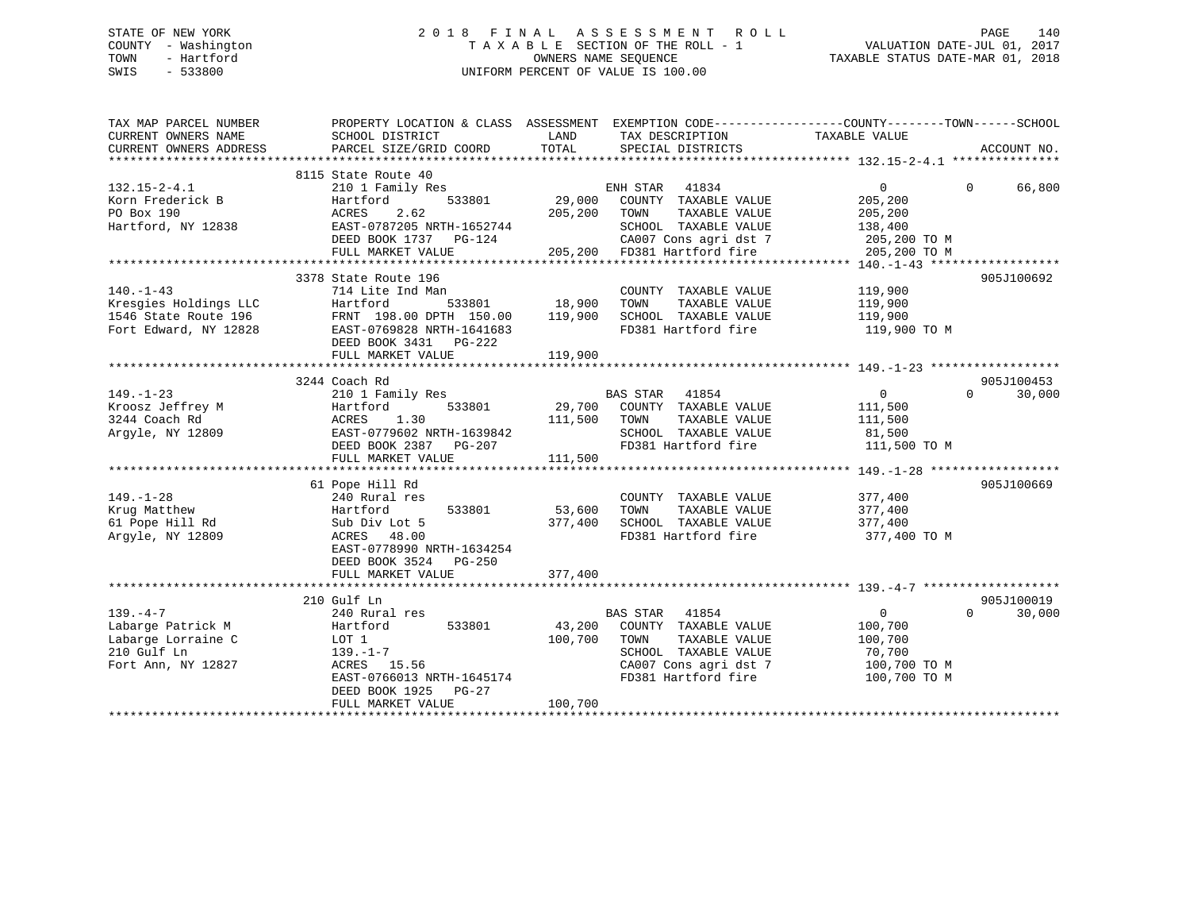## STATE OF NEW YORK 2 0 1 8 F I N A L A S S E S S M E N T R O L L PAGE 140 COUNTY - Washington T A X A B L E SECTION OF THE ROLL - 1 VALUATION DATE-JUL 01, 2017 TOWN - Hartford **TAXABLE STATUS DATE-MAR 01, 2018** OWNERS NAME SEQUENCE TAXABLE STATUS DATE-MAR 01, 2018 SWIS - 533800 UNIFORM PERCENT OF VALUE IS 100.00

| TAX MAP PARCEL NUMBER<br>CURRENT OWNERS NAME<br>CURRENT OWNERS ADDRESS | PROPERTY LOCATION & CLASS ASSESSMENT<br>SCHOOL DISTRICT<br>PARCEL SIZE/GRID COORD | LAND<br>TOTAL | TAX DESCRIPTION<br>SPECIAL DISTRICTS | EXEMPTION CODE-----------------COUNTY-------TOWN------SCHOOL<br>TAXABLE VALUE | ACCOUNT NO.        |
|------------------------------------------------------------------------|-----------------------------------------------------------------------------------|---------------|--------------------------------------|-------------------------------------------------------------------------------|--------------------|
|                                                                        | 8115 State Route 40                                                               |               |                                      |                                                                               |                    |
| $132.15 - 2 - 4.1$                                                     | 210 1 Family Res                                                                  |               | ENH STAR<br>41834                    | $\overline{0}$                                                                | $\Omega$<br>66,800 |
| Korn Frederick B                                                       | Hartford<br>533801                                                                | 29,000        | COUNTY TAXABLE VALUE                 | 205,200                                                                       |                    |
| PO Box 190                                                             | 2.62<br>ACRES                                                                     | 205,200       | TOWN<br>TAXABLE VALUE                | 205,200                                                                       |                    |
| Hartford, NY 12838                                                     | EAST-0787205 NRTH-1652744                                                         |               | SCHOOL TAXABLE VALUE                 | 138,400                                                                       |                    |
|                                                                        | DEED BOOK 1737 PG-124                                                             |               | CA007 Cons agri dst 7                | 205,200 TO M                                                                  |                    |
|                                                                        | FULL MARKET VALUE                                                                 |               | 205,200 FD381 Hartford fire          | 205,200 TO M                                                                  |                    |
|                                                                        |                                                                                   |               |                                      |                                                                               |                    |
|                                                                        | 3378 State Route 196                                                              |               |                                      |                                                                               | 905J100692         |
| $140. - 1 - 43$                                                        | 714 Lite Ind Man                                                                  |               | COUNTY TAXABLE VALUE                 | 119,900                                                                       |                    |
| Kresgies Holdings LLC                                                  | 533801<br>Hartford                                                                | 18,900        | TAXABLE VALUE<br>TOWN                | 119,900                                                                       |                    |
| 1546 State Route 196                                                   | FRNT 198.00 DPTH 150.00                                                           | 119,900       | SCHOOL TAXABLE VALUE                 | 119,900                                                                       |                    |
| Fort Edward, NY 12828                                                  | EAST-0769828 NRTH-1641683                                                         |               | FD381 Hartford fire                  | 119,900 TO M                                                                  |                    |
|                                                                        | DEED BOOK 3431 PG-222                                                             |               |                                      |                                                                               |                    |
|                                                                        | FULL MARKET VALUE                                                                 | 119,900       |                                      |                                                                               |                    |
|                                                                        |                                                                                   |               |                                      |                                                                               |                    |
|                                                                        | 3244 Coach Rd                                                                     |               |                                      |                                                                               | 905J100453         |
| $149. - 1 - 23$                                                        | 210 1 Family Res                                                                  |               | BAS STAR 41854                       | $\overline{0}$                                                                | $\Omega$<br>30,000 |
| Kroosz Jeffrey M                                                       | 533801<br>Hartford                                                                |               | 29,700 COUNTY TAXABLE VALUE          | 111,500                                                                       |                    |
| 3244 Coach Rd                                                          | ACRES<br>1.30                                                                     | 111,500 TOWN  | TAXABLE VALUE                        | 111,500                                                                       |                    |
| Argyle, NY 12809                                                       | EAST-0779602 NRTH-1639842                                                         |               | SCHOOL TAXABLE VALUE                 | 81,500                                                                        |                    |
|                                                                        | DEED BOOK 2387 PG-207                                                             |               | FD381 Hartford fire                  | 111,500 TO M                                                                  |                    |
|                                                                        | FULL MARKET VALUE                                                                 | 111,500       |                                      |                                                                               |                    |
|                                                                        |                                                                                   |               |                                      |                                                                               |                    |
|                                                                        |                                                                                   |               |                                      |                                                                               |                    |
|                                                                        | 61 Pope Hill Rd                                                                   |               |                                      |                                                                               | 905J100669         |
| $149. - 1 - 28$                                                        | 240 Rural res                                                                     |               | COUNTY TAXABLE VALUE                 | 377,400                                                                       |                    |
| Krug Matthew                                                           | Hartford<br>533801                                                                | 53,600        | TOWN<br>TAXABLE VALUE                | 377,400                                                                       |                    |
| 61 Pope Hill Rd                                                        | Sub Div Lot 5                                                                     | 377,400       | SCHOOL TAXABLE VALUE                 | 377,400                                                                       |                    |
| Argyle, NY 12809                                                       | ACRES 48.00                                                                       |               | FD381 Hartford fire                  | 377,400 TO M                                                                  |                    |
|                                                                        | EAST-0778990 NRTH-1634254                                                         |               |                                      |                                                                               |                    |
|                                                                        | DEED BOOK 3524 PG-250                                                             |               |                                      |                                                                               |                    |
|                                                                        | FULL MARKET VALUE                                                                 | 377,400       |                                      |                                                                               |                    |
|                                                                        |                                                                                   |               |                                      |                                                                               |                    |
|                                                                        | 210 Gulf Ln                                                                       |               |                                      |                                                                               | 905J100019         |
| $139. -4 -7$                                                           | 240 Rural res                                                                     |               | BAS STAR 41854                       | $\overline{0}$                                                                | $\Omega$<br>30,000 |
| Labarge Patrick M                                                      | 533801<br>Hartford                                                                | 43,200        | COUNTY TAXABLE VALUE                 | 100,700                                                                       |                    |
| Labarge Lorraine C                                                     | LOT 1                                                                             | 100,700       | TOWN<br>TAXABLE VALUE                | 100,700                                                                       |                    |
| 210 Gulf Ln                                                            | $139. - 1 - 7$                                                                    |               | SCHOOL TAXABLE VALUE                 | 70,700                                                                        |                    |
| Fort Ann, NY 12827                                                     | ACRES 15.56                                                                       |               | CA007 Cons agri dst 7                | 100,700 TO M                                                                  |                    |
|                                                                        | EAST-0766013 NRTH-1645174                                                         |               | FD381 Hartford fire                  | 100,700 TO M                                                                  |                    |
|                                                                        | DEED BOOK 1925<br>PG-27                                                           |               |                                      |                                                                               |                    |
|                                                                        | FULL MARKET VALUE                                                                 | 100,700       |                                      |                                                                               |                    |
|                                                                        |                                                                                   |               |                                      |                                                                               |                    |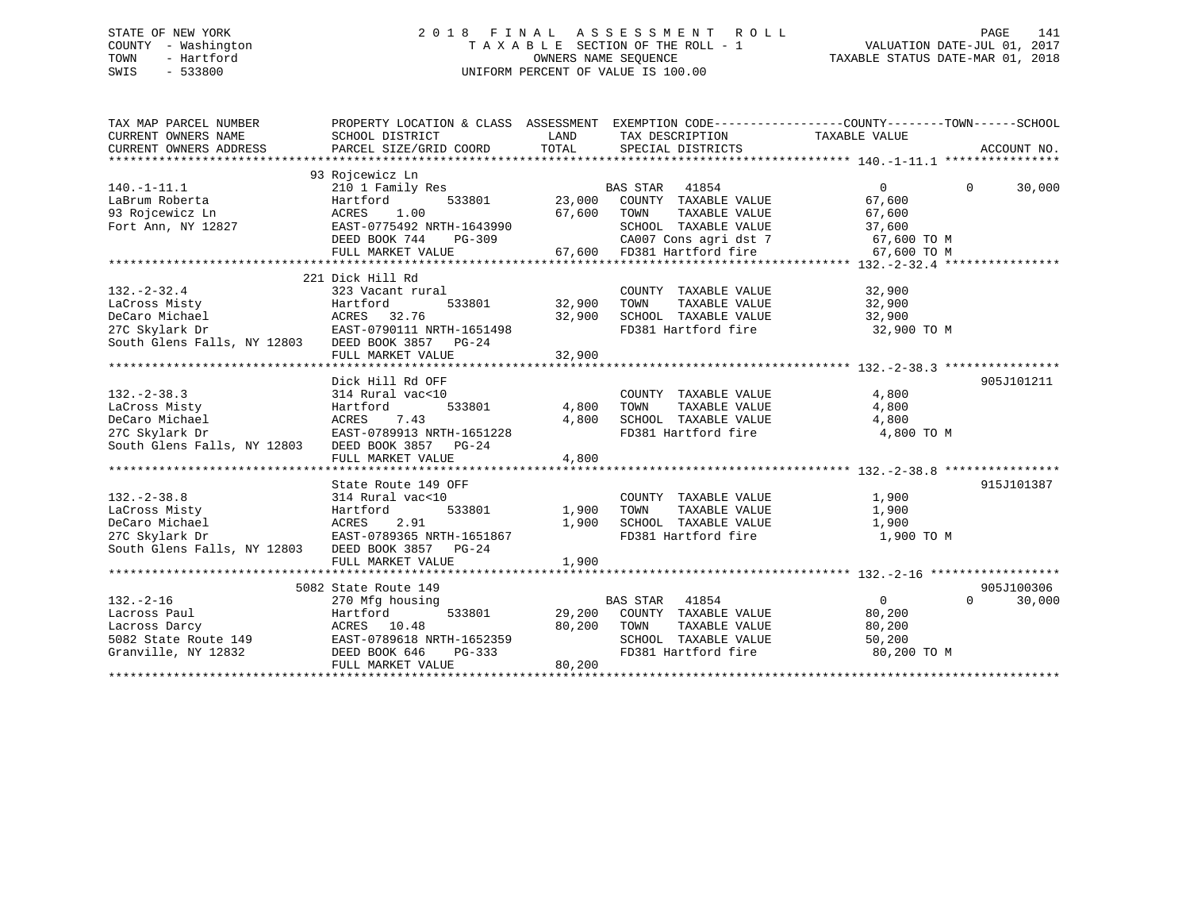## STATE OF NEW YORK 2 0 1 8 F I N A L A S S E S S M E N T R O L L PAGE 141 COUNTY - Washington T A X A B L E SECTION OF THE ROLL - 1 VALUATION DATE-JUL 01, 2017 TOWN - Hartford **TAXABLE STATUS DATE-MAR 01, 2018** OWNERS NAME SEQUENCE TAXABLE STATUS DATE-MAR 01, 2018 SWIS - 533800 UNIFORM PERCENT OF VALUE IS 100.00

| TAX MAP PARCEL NUMBER<br>CURRENT OWNERS NAME<br>CURRENT OWNERS ADDRESS                                                    | PROPERTY LOCATION & CLASS ASSESSMENT EXEMPTION CODE----------------COUNTY-------TOWN------SCHOOL<br>SCHOOL DISTRICT<br>PARCEL SIZE/GRID COORD | LAND<br>TOTAL     | TAX DESCRIPTION TAXABLE VALUE<br>SPECIAL DISTRICTS   |                | ACCOUNT NO.        |
|---------------------------------------------------------------------------------------------------------------------------|-----------------------------------------------------------------------------------------------------------------------------------------------|-------------------|------------------------------------------------------|----------------|--------------------|
|                                                                                                                           | 93 Rojcewicz Ln                                                                                                                               |                   |                                                      |                |                    |
| $140.-1-11.1$                                                                                                             | 210 1 Family Res                                                                                                                              |                   | BAS STAR 41854<br>533801 23,000 COUNTY TAXABLE VALUE | $\Omega$       | $\Omega$<br>30,000 |
|                                                                                                                           | Hartford                                                                                                                                      |                   |                                                      | 67,600         |                    |
|                                                                                                                           | 1.00                                                                                                                                          |                   | 67,600 TOWN<br>TAXABLE VALUE                         | 67,600         |                    |
|                                                                                                                           | EAST-0775492 NRTH-1643990                                                                                                                     |                   | SCHOOL TAXABLE VALUE                                 | 37,600         |                    |
|                                                                                                                           | DEED BOOK 744                                                                                                                                 |                   | CA007 Cons agri dst 7 67,600 TO M                    |                |                    |
|                                                                                                                           | FULL MARKET VALUE                                                                                                                             |                   | PG-309<br>E 67,600 FD381 Hartford fire               | 67,600 TO M    |                    |
|                                                                                                                           |                                                                                                                                               |                   |                                                      |                |                    |
|                                                                                                                           | 221 Dick Hill Rd                                                                                                                              |                   |                                                      |                |                    |
| $132. - 2 - 32.4$                                                                                                         | 323 Vacant rural                                                                                                                              |                   | COUNTY TAXABLE VALUE                                 | 32,900         |                    |
| LaCross Misty                                                                                                             | Hartford                                                                                                                                      | 533801 32,900     |                                                      |                |                    |
| DeCaro Michael                                                                                                            |                                                                                                                                               | 32,900            |                                                      |                |                    |
| 27C Skylark Dr                                                                                                            | EAST-0790111 NRTH-1651498                                                                                                                     |                   | FD381 Hartford fire 32,900 TO M                      |                |                    |
| South Glens Falls, NY 12803 DEED BOOK 3857 PG-24                                                                          |                                                                                                                                               |                   |                                                      |                |                    |
|                                                                                                                           | FULL MARKET VALUE                                                                                                                             | 32,900            |                                                      |                |                    |
|                                                                                                                           |                                                                                                                                               |                   |                                                      |                |                    |
|                                                                                                                           | Dick Hill Rd OFF                                                                                                                              |                   |                                                      |                | 905J101211         |
| $132 - 2 - 38.3$                                                                                                          | 314 Rural vac<10                                                                                                                              |                   | COUNTY TAXABLE VALUE                                 | 4,800          |                    |
|                                                                                                                           |                                                                                                                                               | 533801 4,800 TOWN | TAXABLE VALUE                                        | 4,800          |                    |
|                                                                                                                           |                                                                                                                                               | 4,800             | SCHOOL TAXABLE VALUE                                 | 4,800          |                    |
|                                                                                                                           |                                                                                                                                               |                   | FD381 Hartford fire                                  | 4,800 TO M     |                    |
| DeCaro Michael MCRES 7.43<br>27C Skylark Dr EAST-0789913 NRTH-1651228<br>South Glens Falls, NY 12803 DEED BOOK 3857 PG-24 |                                                                                                                                               |                   |                                                      |                |                    |
|                                                                                                                           | FULL MARKET VALUE                                                                                                                             | 4,800             |                                                      |                |                    |
|                                                                                                                           |                                                                                                                                               |                   |                                                      |                |                    |
|                                                                                                                           |                                                                                                                                               |                   |                                                      |                |                    |
|                                                                                                                           | State Route 149 OFF                                                                                                                           |                   |                                                      |                | 915J101387         |
| $132. - 2 - 38.8$                                                                                                         | 314 Rural vac<10                                                                                                                              |                   | COUNTY TAXABLE VALUE                                 | 1,900          |                    |
| LaCross Misty                                                                                                             |                                                                                                                                               | 533801 1,900 TOWN | TAXABLE VALUE                                        | 1,900          |                    |
| DeCaro Michael                                                                                                            | Hartford 533801<br>ACRES 2.91<br>EAST-0789365 NRTH-1651867                                                                                    |                   | 1,900 SCHOOL TAXABLE VALUE<br>FD381 Hartford fire    | 1,900          |                    |
| 27C Skylark Dr                                                                                                            |                                                                                                                                               |                   |                                                      | 1,900 TO M     |                    |
| South Glens Falls, NY 12803 DEED BOOK 3857 PG-24                                                                          |                                                                                                                                               |                   |                                                      |                |                    |
|                                                                                                                           | FULL MARKET VALUE                                                                                                                             | 1,900             |                                                      |                |                    |
|                                                                                                                           |                                                                                                                                               |                   |                                                      |                |                    |
|                                                                                                                           | 5082 State Route 149                                                                                                                          |                   |                                                      |                | 905J100306         |
| $132. - 2 - 16$                                                                                                           | 270 Mfg housing                                                                                                                               |                   |                                                      | $\overline{0}$ | $\Omega$<br>30,000 |
| Lacross Paul                                                                                                              | 533801<br>Hartford<br>ACRES 10.48                                                                                                             |                   | BAS STAR 41854<br>29,200 COUNTY TAXABLE VALUE        | 80,200         |                    |
| Lacross Darcy                                                                                                             |                                                                                                                                               |                   | TAXABLE VALUE<br>80,200 TOWN                         | 80,200         |                    |
|                                                                                                                           |                                                                                                                                               |                   | SCHOOL TAXABLE VALUE                                 | 50,200         |                    |
| Exercise Party<br>5082 State Route 149<br>Granville, NY 12832<br>CHERE BOOK 646 PG-333<br>PEED BOOK 646 PG-333            |                                                                                                                                               |                   | FD381 Hartford fire                                  | 80,200 TO M    |                    |
|                                                                                                                           | FULL MARKET VALUE                                                                                                                             | 80,200            |                                                      |                |                    |
|                                                                                                                           |                                                                                                                                               |                   |                                                      |                |                    |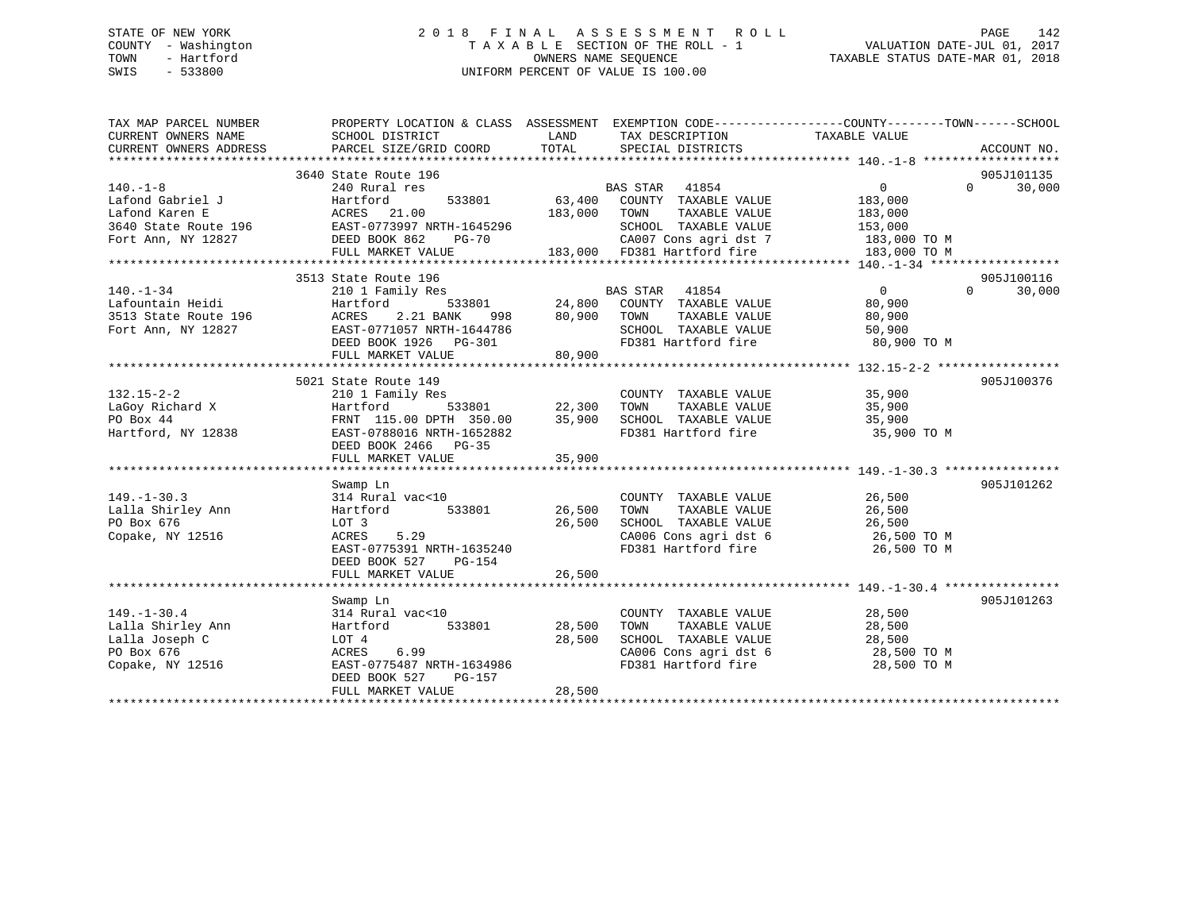## STATE OF NEW YORK 2 0 1 8 F I N A L A S S E S S M E N T R O L L PAGE 142 COUNTY - Washington T A X A B L E SECTION OF THE ROLL - 1 VALUATION DATE-JUL 01, 2017 TOWN - Hartford **TAXABLE STATUS DATE-MAR 01, 2018** OWNERS NAME SEQUENCE TAXABLE STATUS DATE-MAR 01, 2018 SWIS - 533800 UNIFORM PERCENT OF VALUE IS 100.00

| TAX MAP PARCEL NUMBER<br>CURRENT OWNERS NAME<br>CURRENT OWNERS ADDRESS                   | PROPERTY LOCATION & CLASS ASSESSMENT EXEMPTION CODE---------------COUNTY-------TOWN------SCHOOL<br>SCHOOL DISTRICT<br>PARCEL SIZE/GRID COORD | LAND<br>TOTAL | TAX DESCRIPTION<br>SPECIAL DISTRICTS                     | TAXABLE VALUE                                                    | ACCOUNT NO.                     |
|------------------------------------------------------------------------------------------|----------------------------------------------------------------------------------------------------------------------------------------------|---------------|----------------------------------------------------------|------------------------------------------------------------------|---------------------------------|
|                                                                                          |                                                                                                                                              |               |                                                          |                                                                  |                                 |
|                                                                                          | 3640 State Route 196                                                                                                                         |               | BAS STAR 41854                                           | 0                                                                | 905J101135<br>$0 \qquad \qquad$ |
| $140. - 1 - 8$                                                                           | 240 Rural res<br>Hartford<br>533801                                                                                                          |               | 63,400 COUNTY TAXABLE VALUE                              | 183,000                                                          | 30,000                          |
| Lafond Gabriel J<br>Lafond Karen E<br>Lafond Karen E                                     | ACRES 21.00                                                                                                                                  | 183,000       | TAXABLE VALUE<br>TOWN                                    | 183,000                                                          |                                 |
|                                                                                          |                                                                                                                                              |               | SCHOOL TAXABLE VALUE                                     | 153,000                                                          |                                 |
| 3640 State Route 196 EAST-0773997 NRTH-1645296<br>Fort Ann, NY 12827 DEED BOOK 862 PG-70 |                                                                                                                                              |               |                                                          | 183,000 TO M                                                     |                                 |
|                                                                                          | FULL MARKET VALUE                                                                                                                            |               | -70 CA007 Cons agri dst 7<br>183,000 FD381 Hartford fire | 183,000 TO M                                                     |                                 |
|                                                                                          |                                                                                                                                              |               |                                                          |                                                                  |                                 |
|                                                                                          | 3513 State Route 196                                                                                                                         |               |                                                          |                                                                  | 905J100116                      |
| $140. - 1 - 34$                                                                          | 210 1 Family Res                                                                                                                             |               | BAS STAR 41854                                           | $\overline{0}$                                                   | $\Omega$<br>30,000              |
|                                                                                          | Hartford                                                                                                                                     |               |                                                          | 80,900                                                           |                                 |
| Lafountain Heidi<br>3513 State Route 196                                                 | ACRES 2.21 BANK                                                                                                                              |               |                                                          | 80,900                                                           |                                 |
| Fort Ann, NY 12827                                                                       | EAST-0771057 NRTH-1644786                                                                                                                    |               | SCHOOL TAXABLE VALUE                                     | 50,900                                                           |                                 |
|                                                                                          | DEED BOOK 1926    PG-301                                                                                                                     | 80,900        |                                                          | FD381 Hartford fire 30,900 TO M                                  |                                 |
|                                                                                          | FULL MARKET VALUE                                                                                                                            |               |                                                          |                                                                  |                                 |
|                                                                                          |                                                                                                                                              |               |                                                          |                                                                  |                                 |
|                                                                                          | 5021 State Route 149                                                                                                                         |               |                                                          |                                                                  | 905J100376                      |
| $132.15 - 2 - 2$                                                                         | 210 1 Family Res                                                                                                                             |               | COUNTY TAXABLE VALUE                                     | 35,900                                                           |                                 |
| LaGoy Richard X                                                                          | Hartford                                                                                                                                     | 533801 22,300 | TOWN                                                     | TAXABLE VALUE 35,900                                             |                                 |
| PO Box 44                                                                                | FRNT 115.00 DPTH 350.00                                                                                                                      | 35,900        | SCHOOL TAXABLE VALUE                                     | 35,900                                                           |                                 |
| PO Box 44<br>Hartford, NY 12838                                                          | EAST-0788016 NRTH-1652882                                                                                                                    |               |                                                          | FD381 Hartford fire 35,900 TO M                                  |                                 |
|                                                                                          | DEED BOOK 2466 PG-35                                                                                                                         |               |                                                          |                                                                  |                                 |
|                                                                                          | FULL MARKET VALUE                                                                                                                            | 35,900        |                                                          |                                                                  |                                 |
|                                                                                          |                                                                                                                                              |               |                                                          |                                                                  |                                 |
|                                                                                          | Swamp Ln                                                                                                                                     |               |                                                          |                                                                  | 905J101262                      |
| $149. - 1 - 30.3$                                                                        | 314 Rural vac<10                                                                                                                             |               | COUNTY TAXABLE VALUE 26,500                              |                                                                  |                                 |
| Lalla Shirley Ann                                                                        | Hartford                                                                                                                                     | 533801 26,500 | TAXABLE VALUE<br>TOWN                                    | 26,500                                                           |                                 |
| PO Box 676                                                                               | LOT 3                                                                                                                                        | 26,500        |                                                          | SCHOOL TAXABLE VALUE 26,500<br>CA006 Cons agri dst 6 26,500 TO M |                                 |
| Copake, NY 12516                                                                         | 5.29<br>ACRES                                                                                                                                |               |                                                          |                                                                  |                                 |
|                                                                                          | EAST-0775391 NRTH-1635240                                                                                                                    |               | FD381 Hartford fire                                      | 26,500 TO M                                                      |                                 |
|                                                                                          | DEED BOOK 527<br>PG-154                                                                                                                      |               |                                                          |                                                                  |                                 |
|                                                                                          | FULL MARKET VALUE                                                                                                                            | 26,500        |                                                          |                                                                  |                                 |
|                                                                                          |                                                                                                                                              |               |                                                          |                                                                  |                                 |
|                                                                                          | Swamp Ln                                                                                                                                     |               |                                                          |                                                                  | 905J101263                      |
| $149. - 1 - 30.4$                                                                        | 314 Rural vac<10                                                                                                                             |               | COUNTY TAXABLE VALUE                                     | 28,500                                                           |                                 |
| Lalla Shirley Ann<br>Lalla Joseph C                                                      | 533801<br>Hartford                                                                                                                           | 28,500        | TAXABLE VALUE<br>TOWN                                    | 28,500                                                           |                                 |
|                                                                                          | LOT 4                                                                                                                                        | 28,500        | SCHOOL TAXABLE VALUE                                     | 28,500                                                           |                                 |
| PO Box 676                                                                               | ACRES<br>6.99                                                                                                                                |               | CA006 Cons agri dst 6                                    | 28,500 TO M                                                      |                                 |
| Copake, NY 12516                                                                         | EAST-0775487 NRTH-1634986                                                                                                                    |               | FD381 Hartford fire                                      | 28,500 TO M                                                      |                                 |
|                                                                                          | DEED BOOK 527<br>PG-157                                                                                                                      |               |                                                          |                                                                  |                                 |
|                                                                                          | FULL MARKET VALUE                                                                                                                            | 28,500        |                                                          |                                                                  |                                 |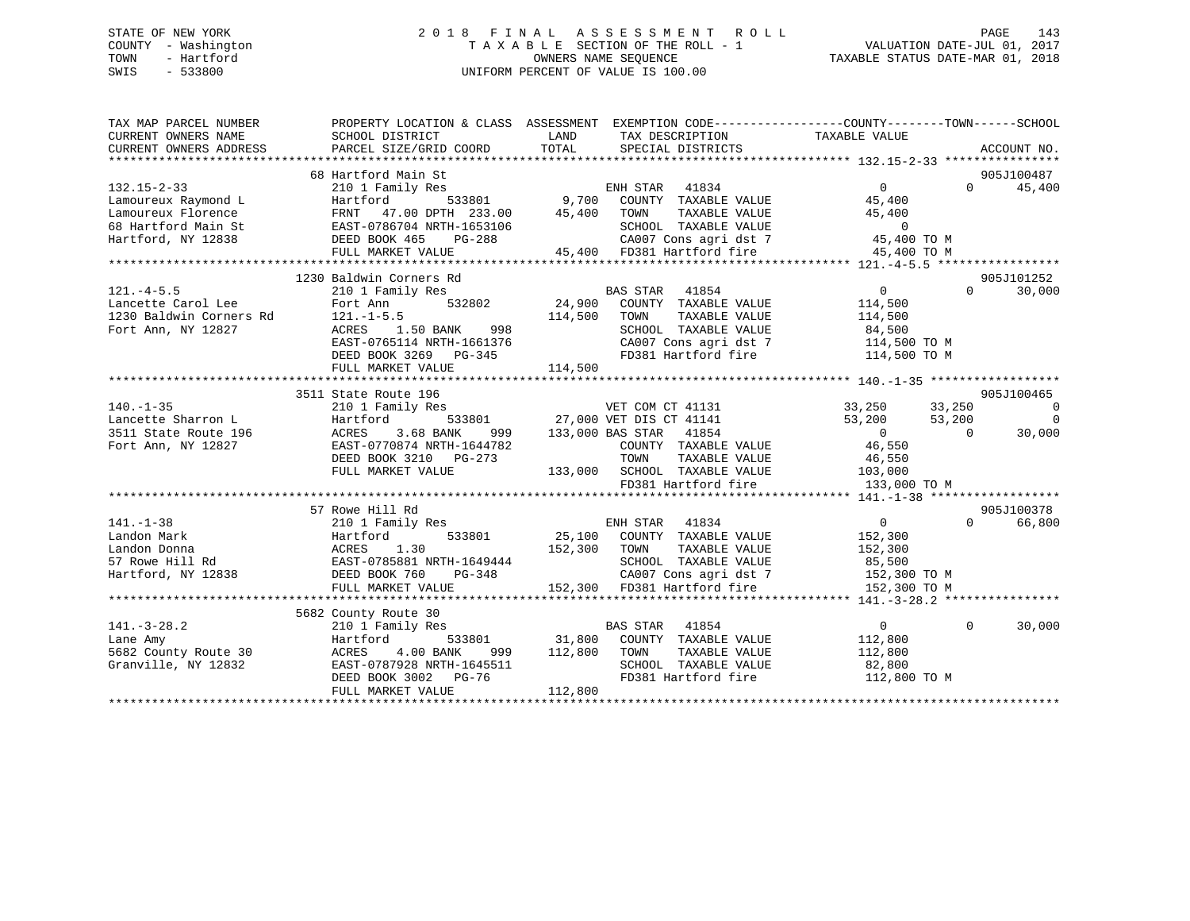## STATE OF NEW YORK 2 0 1 8 F I N A L A S S E S S M E N T R O L L PAGE 143 COUNTY - Washington T A X A B L E SECTION OF THE ROLL - 1 VALUATION DATE-JUL 01, 2017 TOWN - Hartford **TAXABLE STATUS DATE-MAR 01, 2018** OWNERS NAME SEQUENCE TAXABLE STATUS DATE-MAR 01, 2018 SWIS - 533800 UNIFORM PERCENT OF VALUE IS 100.00

| TAX MAP PARCEL NUMBER<br>CURRENT OWNERS NAME                                            | SCHOOL DISTRICT                                                                                                                                                                                                                          | PROPERTY LOCATION & CLASS ASSESSMENT EXEMPTION CODE---------------COUNTY-------TOWN-----SCHOOL<br>LAND<br>TAX DESCRIPTION |                                        |                                    |
|-----------------------------------------------------------------------------------------|------------------------------------------------------------------------------------------------------------------------------------------------------------------------------------------------------------------------------------------|---------------------------------------------------------------------------------------------------------------------------|----------------------------------------|------------------------------------|
| CURRENT OWNERS ADDRESS                                                                  | PARCEL SIZE/GRID COORD                                                                                                                                                                                                                   | TOTAL<br>SPECIAL DISTRICTS                                                                                                | TAXABLE VALUE                          | ACCOUNT NO.                        |
|                                                                                         |                                                                                                                                                                                                                                          |                                                                                                                           |                                        |                                    |
|                                                                                         | 68 Hartford Main St                                                                                                                                                                                                                      |                                                                                                                           |                                        | 905J100487                         |
| $132.15 - 2 - 33$                                                                       | 310 1 Family Res<br>210 1 Family Res<br>Hartford 533801 9,700 COUNTY TAXABLE VALUE<br>FRNT 47.00 DPTH 233.00 45,400 TOWN TAXABLE VALUE<br>EAST-0786704 NRTH-1653106 5CHOOL TAXABLE VALUE<br>DEED BOOK 465 PG-288 CA007 Cons agridst 7 45 |                                                                                                                           |                                        | 45,400<br>$\Omega$                 |
| Lamoureux Raymond L                                                                     |                                                                                                                                                                                                                                          |                                                                                                                           |                                        |                                    |
| Lamoureux Florence                                                                      |                                                                                                                                                                                                                                          |                                                                                                                           |                                        |                                    |
| 68 Hartford Main St                                                                     |                                                                                                                                                                                                                                          |                                                                                                                           |                                        |                                    |
| Hartford, NY 12838                                                                      |                                                                                                                                                                                                                                          |                                                                                                                           |                                        |                                    |
|                                                                                         |                                                                                                                                                                                                                                          |                                                                                                                           |                                        |                                    |
|                                                                                         |                                                                                                                                                                                                                                          |                                                                                                                           |                                        |                                    |
|                                                                                         | 1230 Baldwin Corners Rd                                                                                                                                                                                                                  |                                                                                                                           |                                        | 905J101252                         |
| $121. - 4 - 5.5$                                                                        |                                                                                                                                                                                                                                          | 210 1 Family Res<br>Fort Ann 532802 24,900 COUNTY TAXABLE VALUE<br>121 -1-5 5                                             | $\overline{0}$                         | $\Omega$<br>30,000                 |
| Lancette Carol Lee<br>Lancette Carol Lee Fort Ann<br>1230 Baldwin Corners Rd 121.-1-5.5 |                                                                                                                                                                                                                                          |                                                                                                                           | 114,500                                |                                    |
|                                                                                         |                                                                                                                                                                                                                                          | 114,500<br>TOWN<br>TAXABLE VALUE                                                                                          | 114,500                                |                                    |
| Fort Ann, NY 12827                                                                      | ACRES<br>1.50 BANK<br>998                                                                                                                                                                                                                | SCHOOL TAXABLE VALUE                                                                                                      |                                        |                                    |
|                                                                                         | EAST-0765114 NRTH-1661376                                                                                                                                                                                                                | CA007 Cons agri dst 7<br>FD381 Hartford fire                                                                              | 84,500<br>114,500 TO M<br>114,500 TO M |                                    |
|                                                                                         | DEED BOOK 3269 PG-345                                                                                                                                                                                                                    |                                                                                                                           |                                        |                                    |
|                                                                                         | FULL MARKET VALUE                                                                                                                                                                                                                        | 114,500                                                                                                                   |                                        |                                    |
|                                                                                         |                                                                                                                                                                                                                                          |                                                                                                                           |                                        |                                    |
|                                                                                         | 3511 State Route 196                                                                                                                                                                                                                     |                                                                                                                           |                                        | 905J100465                         |
| $140. - 1 - 35$                                                                         | 210 1 Family Res                                                                                                                                                                                                                         | 3<br>S33801 27,000 VET DIS CT 41141                                                                                       | 33,250                                 | 33,250<br>$\overline{\phantom{0}}$ |
| Lancette Sharron L                                                                      | Hartford                                                                                                                                                                                                                                 |                                                                                                                           | 53,200                                 | $\Omega$<br>53,200                 |
| 3511 State Route 196                                                                    | 3.68 BANK<br>ACRES<br>999                                                                                                                                                                                                                | 133,000 BAS STAR 41854                                                                                                    | $\overline{0}$                         | 30,000<br>$\Omega$                 |
| Fort Ann, NY 12827                                                                      | EAST-0770874 NRTH-1644782                                                                                                                                                                                                                | COUNTY TAXABLE VALUE<br>TOWN     TAXABLE VALUE                                                                            | 46,550                                 |                                    |
|                                                                                         | DEED BOOK 3210 PG-273                                                                                                                                                                                                                    |                                                                                                                           | 46,550                                 |                                    |
|                                                                                         | FULL MARKET VALUE                                                                                                                                                                                                                        | 133,000 SCHOOL TAXABLE VALUE 103,000<br>FD381 Hartford fire 133,000 133,000                                               |                                        |                                    |
|                                                                                         |                                                                                                                                                                                                                                          |                                                                                                                           | 133,000 TO M                           |                                    |
|                                                                                         |                                                                                                                                                                                                                                          |                                                                                                                           |                                        |                                    |
|                                                                                         | 57 Rowe Hill Rd                                                                                                                                                                                                                          |                                                                                                                           |                                        | 905J100378                         |
| $141. - 1 - 38$                                                                         | 210 1 Family Res                                                                                                                                                                                                                         | ENH STAR 41834                                                                                                            | $0 \qquad \qquad$                      | $\Omega$<br>66,800                 |
| Landon Mark                                                                             | Hartford                                                                                                                                                                                                                                 | 533801 25,100 COUNTY TAXABLE VALUE                                                                                        | 152,300                                |                                    |
| Landon Donna                                                                            | ACRES 1.30<br>EAST-0785881 NRTH-1649444                                                                                                                                                                                                  | 152,300 TOWN<br>TAXABLE VALUE                                                                                             | 152,300                                |                                    |
| 57 Rowe Hill Rd                                                                         |                                                                                                                                                                                                                                          | SCHOOL TAXABLE VALUE<br>H-1649444<br>PG-348                                                                               | 85,500                                 |                                    |
| Hartford, NY 12838                                                                      | DEED BOOK 760                                                                                                                                                                                                                            |                                                                                                                           | CA007 Cons agri dst 7 152,300 TO M     |                                    |
|                                                                                         | FULL MARKET VALUE                                                                                                                                                                                                                        | 152,300 FD381 Hartford fire 152,300 TO M                                                                                  |                                        |                                    |
|                                                                                         |                                                                                                                                                                                                                                          |                                                                                                                           |                                        |                                    |
|                                                                                         | 5682 County Route 30                                                                                                                                                                                                                     |                                                                                                                           |                                        |                                    |
| $141. - 3 - 28.2$                                                                       | 210 1 Family Res                                                                                                                                                                                                                         | BAS STAR 41854<br>533801 31,800 COUNTY TAXABLE VALUE                                                                      | 0                                      | $\Omega$<br>30,000                 |
| Lane Amy                                                                                | Hartford                                                                                                                                                                                                                                 |                                                                                                                           | 112,800                                |                                    |
| 5682 County Route 30                                                                    | 4.00 BANK<br>ACRES                                                                                                                                                                                                                       | 999 112,800<br>TOWN<br>TAXABLE VALUE                                                                                      | 112,800                                |                                    |
| Granville, NY 12832                                                                     | EAST-0787928 NRTH-1645511                                                                                                                                                                                                                | SCHOOL TAXABLE VALUE                                                                                                      | 82,800                                 |                                    |
|                                                                                         | DEED BOOK 3002 PG-76<br>FULL MARKET VALUE                                                                                                                                                                                                | FD381 Hartford fire<br>112,800                                                                                            | 112,800 TO M                           |                                    |
|                                                                                         |                                                                                                                                                                                                                                          |                                                                                                                           |                                        |                                    |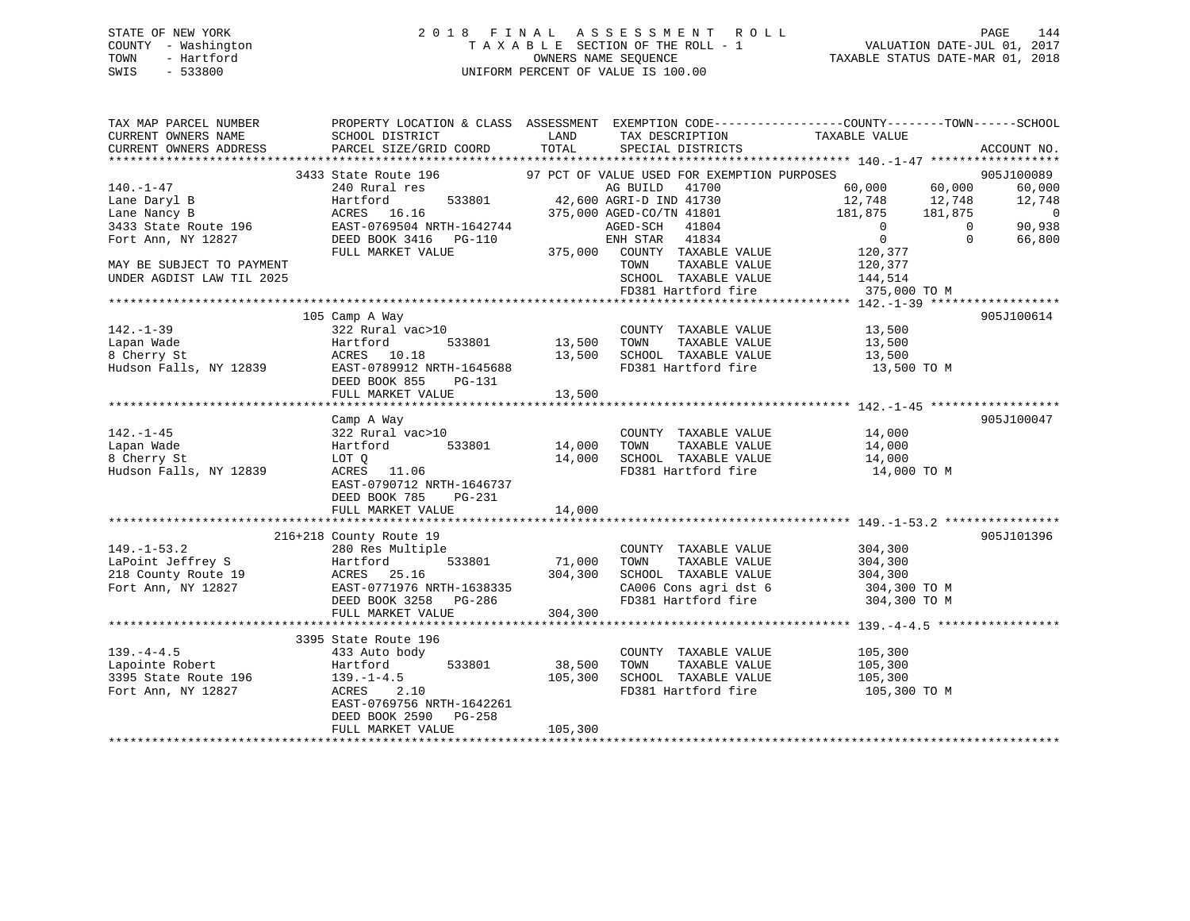## STATE OF NEW YORK 2 0 1 8 F I N A L A S S E S S M E N T R O L L PAGE 144 COUNTY - Washington T A X A B L E SECTION OF THE ROLL - 1 VALUATION DATE-JUL 01, 2017 TOWN - Hartford OWNERS NAME SEQUENCE TAXABLE STATUS DATE-MAR 01, 2018 SWIS - 533800 UNIFORM PERCENT OF VALUE IS 100.00

TAX MAP PARCEL NUMBER PROPERTY LOCATION & CLASS ASSESSMENT EXEMPTION CODE------------------COUNTY--------TOWN------SCHOOL CURRENT OWNERS NAME SCHOOL DISTRICT THE LAND TAX DESCRIPTION TAXABLE VALUE CURRENT OWNERS ADDRESS PARCEL SIZE/GRID COORD TOTAL SPECIAL DISTRICTS ACCOUNT NO. \*\*\*\*\*\*\*\*\*\*\*\*\*\*\*\*\*\*\*\*\*\*\*\*\*\*\*\*\*\*\*\*\*\*\*\*\*\*\*\*\*\*\*\*\*\*\*\*\*\*\*\*\*\*\*\*\*\*\*\*\*\*\*\*\*\*\*\*\*\*\*\*\*\*\*\*\*\*\*\*\*\*\*\*\*\*\*\*\*\*\*\*\*\*\*\*\*\*\*\*\*\*\* 140.-1-47 \*\*\*\*\*\*\*\*\*\*\*\*\*\*\*\*\*\* 3433 State Route 196 97 PCT OF VALUE USED FOR EXEMPTION PURPOSES 905J100089140.-1-47 240 Rural res AG BUILD 41700 60,000 60,000 60,000 Lane Daryl B Hartford 533801 42,600 AGRI-D IND 41730 12,748 12,748 12,748 Lane Nancy B ACRES 16.16 375,000 AGED-CO/TN 41801 181,875 181,875 0 3433 State Route 196 EAST-0769504 NRTH-1642744 AGED-SCH 41804 0 0 90,938 Fort Ann, NY 12827 DEED BOOK 3416 PG-110 ENH STAR 41834 0 0 66,800 FULL MARKET VALUE 375,000 COUNTY TAXABLE VALUE 120,377 MAY BE SUBJECT TO PAYMENT NOTICLE TO A SAME TOWN TAXABLE VALUE TOWN TAXABLE TO PAY TOWN UNDER AGDIST LAW TIL 2025 SCHOOL TAXABLE VALUE 144,514 FORM TAXABLE VALUE 124,514<br>SCHOOL TAXABLE VALUE 144,514<br>FD381 Hartford fire 375,000 TO M \*\*\*\*\*\*\*\*\*\*\*\*\*\*\*\*\*\*\*\*\*\*\*\*\*\*\*\*\*\*\*\*\*\*\*\*\*\*\*\*\*\*\*\*\*\*\*\*\*\*\*\*\*\*\*\*\*\*\*\*\*\*\*\*\*\*\*\*\*\*\*\*\*\*\*\*\*\*\*\*\*\*\*\*\*\*\*\*\*\*\*\*\*\*\*\*\*\*\*\*\*\*\* 142.-1-39 \*\*\*\*\*\*\*\*\*\*\*\*\*\*\*\*\*\*105 Camp A Way 905J100614<br>322 Rural vac>10 COUNTY TAXABLE VALUE 13,500<br>322 Rural vac>10 COUNTY TAXABLE VALUE 13.500 142.-1-39 322 Rural vac>10 COUNTY TAXABLE VALUE 13,500 Lapan Wade Hartford 533801 13,500 TOWN TAXABLE VALUE 13,500 8 Cherry St ACRES 10.18 13,500 SCHOOL TAXABLE VALUE 13,500 Hudson Falls, NY 12839 EAST-0789912 NRTH-1645688 FD381 Hartford fire 13,500 TO M DEED BOOK 855 PG-131 FULL MARKET VALUE 13,500 \*\*\*\*\*\*\*\*\*\*\*\*\*\*\*\*\*\*\*\*\*\*\*\*\*\*\*\*\*\*\*\*\*\*\*\*\*\*\*\*\*\*\*\*\*\*\*\*\*\*\*\*\*\*\*\*\*\*\*\*\*\*\*\*\*\*\*\*\*\*\*\*\*\*\*\*\*\*\*\*\*\*\*\*\*\*\*\*\*\*\*\*\*\*\*\*\*\*\*\*\*\*\* 142.-1-45 \*\*\*\*\*\*\*\*\*\*\*\*\*\*\*\*\*\* Camp A Way 905J100047 142.-1-45 322 Rural vac>10 COUNTY TAXABLE VALUE 14,000 Lapan Wade Hartford 533801 14,000 TOWN TAXABLE VALUE 14,000 8 Cherry St LOT Q 14,000 SCHOOL TAXABLE VALUE 14,000 Hudson Falls, NY 12839 ACRES 11.06 FD381 Hartford fire 14,000 TO M EAST-0790712 NRTH-1646737 DEED BOOK 785 PG-231FULL MARKET VALUE 14,000 \*\*\*\*\*\*\*\*\*\*\*\*\*\*\*\*\*\*\*\*\*\*\*\*\*\*\*\*\*\*\*\*\*\*\*\*\*\*\*\*\*\*\*\*\*\*\*\*\*\*\*\*\*\*\*\*\*\*\*\*\*\*\*\*\*\*\*\*\*\*\*\*\*\*\*\*\*\*\*\*\*\*\*\*\*\*\*\*\*\*\*\*\*\*\*\*\*\*\*\*\*\*\* 149.-1-53.2 \*\*\*\*\*\*\*\*\*\*\*\*\*\*\*\* 216+218 County Route 19 905J101396 149.-1-53.2 280 Res Multiple COUNTY TAXABLE VALUE 304,300 LaPoint Jeffrey S Hartford 533801 71,000 TOWN TAXABLE VALUE 304,300 218 County Route 19 ACRES 25.16 304,300 SCHOOL TAXABLE VALUE 304,300 Fort Ann, NY 12827 EAST-0771976 NRTH-1638335 CA006 Cons agri dst 6 304,300 TO M<br>DEED BOOK 3258 PG-286 FD381 Hartford fire 304.300 TO M DEED BOOK 3258 PG-286 FRD381 Hartford fire 304,300 TO M FULL MARKET VALUE 304,300

|                      | TULL MARRIEL VALUE        | -------- |                         |              |
|----------------------|---------------------------|----------|-------------------------|--------------|
|                      |                           |          |                         |              |
|                      | 3395 State Route 196      |          |                         |              |
| $139. - 4 - 4.5$     | 433 Auto body             |          | TAXABLE VALUE<br>COUNTY | 105,300      |
| Lapointe Robert      | 533801<br>Hartford        | 38,500   | TAXABLE VALUE<br>TOWN   | 105,300      |
| 3395 State Route 196 | $139. - 1 - 4.5$          | 105,300  | SCHOOL<br>TAXABLE VALUE | 105,300      |
| Fort Ann, NY 12827   | 2.10<br>ACRES             |          | FD381 Hartford fire     | 105,300 TO M |
|                      | EAST-0769756 NRTH-1642261 |          |                         |              |
|                      | DEED BOOK 2590 PG-258     |          |                         |              |
|                      | FULL MARKET VALUE         | 105,300  |                         |              |
|                      |                           |          |                         |              |
|                      |                           |          |                         |              |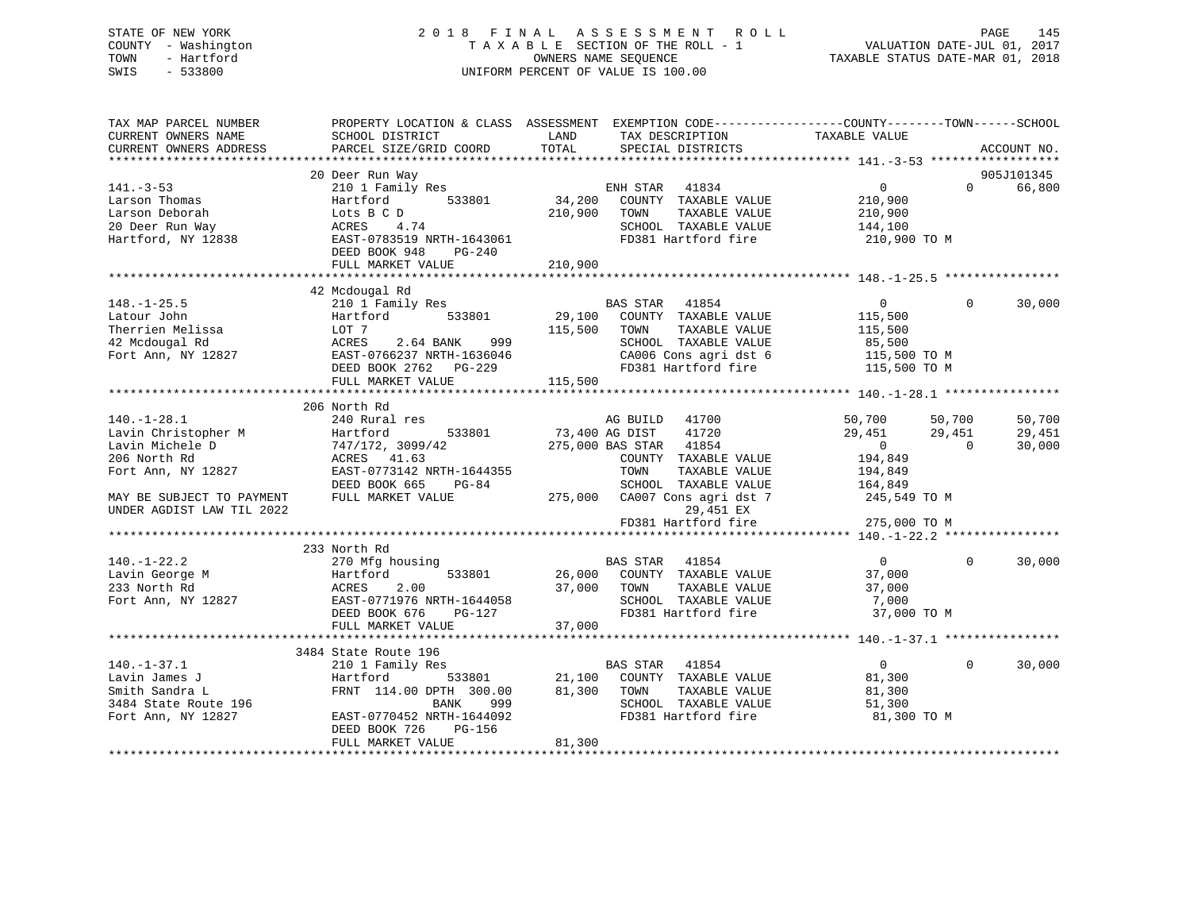# STATE OF NEW YORK 2 0 1 8 F I N A L A S S E S S M E N T R O L L PAGE 145 COUNTY - Washington T A X A B L E SECTION OF THE ROLL - 1 VALUATION DATE-JUL 01, 2017 TOWN - Hartford **TAXABLE STATUS DATE-MAR 01, 2018** OWNERS NAME SEQUENCE TAXABLE STATUS DATE-MAR 01, 2018 SWIS - 533800 UNIFORM PERCENT OF VALUE IS 100.00

| TAX MAP PARCEL NUMBER<br>CURRENT OWNERS NAME<br>CURRENT OWNERS ADDRESS | PROPERTY LOCATION & CLASS ASSESSMENT EXEMPTION CODE----------------COUNTY-------TOWN------SCHOOL<br>SCHOOL DISTRICT<br>PARCEL SIZE/GRID COORD | LAND<br>TOTAL  | TAX DESCRIPTION<br>SPECIAL DISTRICTS | TAXABLE VALUE  |              | ACCOUNT NO. |
|------------------------------------------------------------------------|-----------------------------------------------------------------------------------------------------------------------------------------------|----------------|--------------------------------------|----------------|--------------|-------------|
|                                                                        |                                                                                                                                               |                |                                      |                |              |             |
|                                                                        | 20 Deer Run Way                                                                                                                               |                |                                      |                |              | 905J101345  |
| $141. - 3 - 53$                                                        | 210 1 Family Res                                                                                                                              |                | ENH STAR 41834                       | $\overline{0}$ | $\Omega$     | 66,800      |
| Larson Thomas                                                          | 533801<br>Hartford                                                                                                                            | 34,200         | COUNTY TAXABLE VALUE                 | 210,900        |              |             |
| Larson Deborah                                                         | Lots B C D                                                                                                                                    | 210,900        | TAXABLE VALUE<br>TOWN                | 210,900        |              |             |
| 20 Deer Run Way                                                        | ACRES<br>4.74                                                                                                                                 |                | SCHOOL TAXABLE VALUE                 | 144,100        |              |             |
| Hartford, NY 12838                                                     | EAST-0783519 NRTH-1643061                                                                                                                     |                | FD381 Hartford fire                  | 210,900 TO M   |              |             |
|                                                                        | DEED BOOK 948<br>PG-240                                                                                                                       |                |                                      |                |              |             |
|                                                                        | FULL MARKET VALUE                                                                                                                             | 210,900        |                                      |                |              |             |
|                                                                        |                                                                                                                                               |                |                                      |                |              |             |
|                                                                        | 42 Mcdougal Rd                                                                                                                                |                |                                      |                |              |             |
| $148. - 1 - 25.5$                                                      | 210 1 Family Res                                                                                                                              |                | BAS STAR<br>41854                    | $\overline{0}$ | $\Omega$     | 30,000      |
| Latour John                                                            | 533801<br>Hartford                                                                                                                            |                | 29,100 COUNTY TAXABLE VALUE          | 115,500        |              |             |
| Therrien Melissa                                                       | LOT 7                                                                                                                                         | 115,500        | TAXABLE VALUE<br>TOWN                | 115,500        |              |             |
| 42 Mcdougal Rd                                                         | ACRES<br>2.64 BANK 999                                                                                                                        |                | SCHOOL TAXABLE VALUE                 | 85,500         |              |             |
| Fort Ann, NY 12827                                                     | EAST-0766237 NRTH-1636046                                                                                                                     |                | CA006 Cons agri dst 6                | 115,500 TO M   |              |             |
|                                                                        | DEED BOOK 2762 PG-229                                                                                                                         |                | FD381 Hartford fire                  | 115,500 TO M   |              |             |
|                                                                        | FULL MARKET VALUE                                                                                                                             | 115,500        |                                      |                |              |             |
|                                                                        |                                                                                                                                               |                |                                      |                |              |             |
|                                                                        | 206 North Rd                                                                                                                                  |                |                                      |                |              |             |
| $140.-1-28.1$                                                          | 240 Rural res                                                                                                                                 |                | AG BUILD 41700                       | 50,700         | 50,700       | 50,700      |
| Lavin Christopher M                                                    | 533801<br>Hartford                                                                                                                            | 73,400 AG DIST | 41720                                | 29,451         | 29,451       | 29,451      |
| Lavin Michele D                                                        | 747/172, 3099/42                                                                                                                              |                | 275,000 BAS STAR 41854               | $\overline{0}$ | $\Omega$     | 30,000      |
| 206 North Rd                                                           | ACRES 41.63                                                                                                                                   |                | COUNTY TAXABLE VALUE                 | 194,849        |              |             |
| Fort Ann, NY 12827                                                     | EAST-0773142 NRTH-1644355                                                                                                                     |                | TOWN<br>TAXABLE VALUE                | 194,849        |              |             |
|                                                                        | DEED BOOK 665<br>PG-84                                                                                                                        |                | SCHOOL TAXABLE VALUE                 | 164,849        |              |             |
| MAY BE SUBJECT TO PAYMENT                                              | FULL MARKET VALUE                                                                                                                             |                | 275,000 CA007 Cons agri dst 7        | 245,549 TO M   |              |             |
| UNDER AGDIST LAW TIL 2022                                              |                                                                                                                                               |                | 29,451 EX                            |                |              |             |
|                                                                        |                                                                                                                                               |                | FD381 Hartford fire                  | 275,000 TO M   |              |             |
|                                                                        |                                                                                                                                               |                |                                      |                |              |             |
|                                                                        | 233 North Rd                                                                                                                                  |                |                                      |                |              |             |
| $140. - 1 - 22.2$                                                      | 270 Mfg housing                                                                                                                               |                | BAS STAR 41854                       | $\overline{0}$ | $\Omega$     | 30,000      |
| Lavin George M                                                         | Hartford<br>533801                                                                                                                            |                | 26,000 COUNTY TAXABLE VALUE          | 37,000         |              |             |
| 233 North Rd                                                           | 2.00<br>ACRES                                                                                                                                 | 37,000         | TAXABLE VALUE<br>TOWN                | 37,000         |              |             |
| Fort Ann, NY 12827                                                     | EAST-0771976 NRTH-1644058                                                                                                                     |                | SCHOOL TAXABLE VALUE                 | 7,000          |              |             |
|                                                                        | PG-127<br>DEED BOOK 676                                                                                                                       |                | FD381 Hartford fire                  | 37,000 TO M    |              |             |
|                                                                        | FULL MARKET VALUE                                                                                                                             | 37,000         |                                      |                |              |             |
|                                                                        |                                                                                                                                               |                |                                      |                |              |             |
|                                                                        | 3484 State Route 196                                                                                                                          |                |                                      |                |              |             |
| $140. - 1 - 37.1$                                                      | 210 1 Family Res                                                                                                                              |                | BAS STAR<br>41854                    | $\overline{0}$ | $\mathbf{0}$ | 30,000      |
| Lavin James J                                                          | 533801<br>Hartford                                                                                                                            | 21,100         | COUNTY TAXABLE VALUE                 | 81,300         |              |             |
| Smith Sandra L                                                         | FRNT 114.00 DPTH 300.00                                                                                                                       | 81,300         | TOWN<br>TAXABLE VALUE                | 81,300         |              |             |
| 3484 State Route 196                                                   | BANK<br>999                                                                                                                                   |                | SCHOOL TAXABLE VALUE                 | 51,300         |              |             |
| Fort Ann, NY 12827                                                     | EAST-0770452 NRTH-1644092                                                                                                                     |                | FD381 Hartford fire                  | 81,300 TO M    |              |             |
|                                                                        | DEED BOOK 726<br>PG-156                                                                                                                       |                |                                      |                |              |             |
|                                                                        | FULL MARKET VALUE                                                                                                                             | 81,300         |                                      |                |              |             |
|                                                                        |                                                                                                                                               |                |                                      |                |              |             |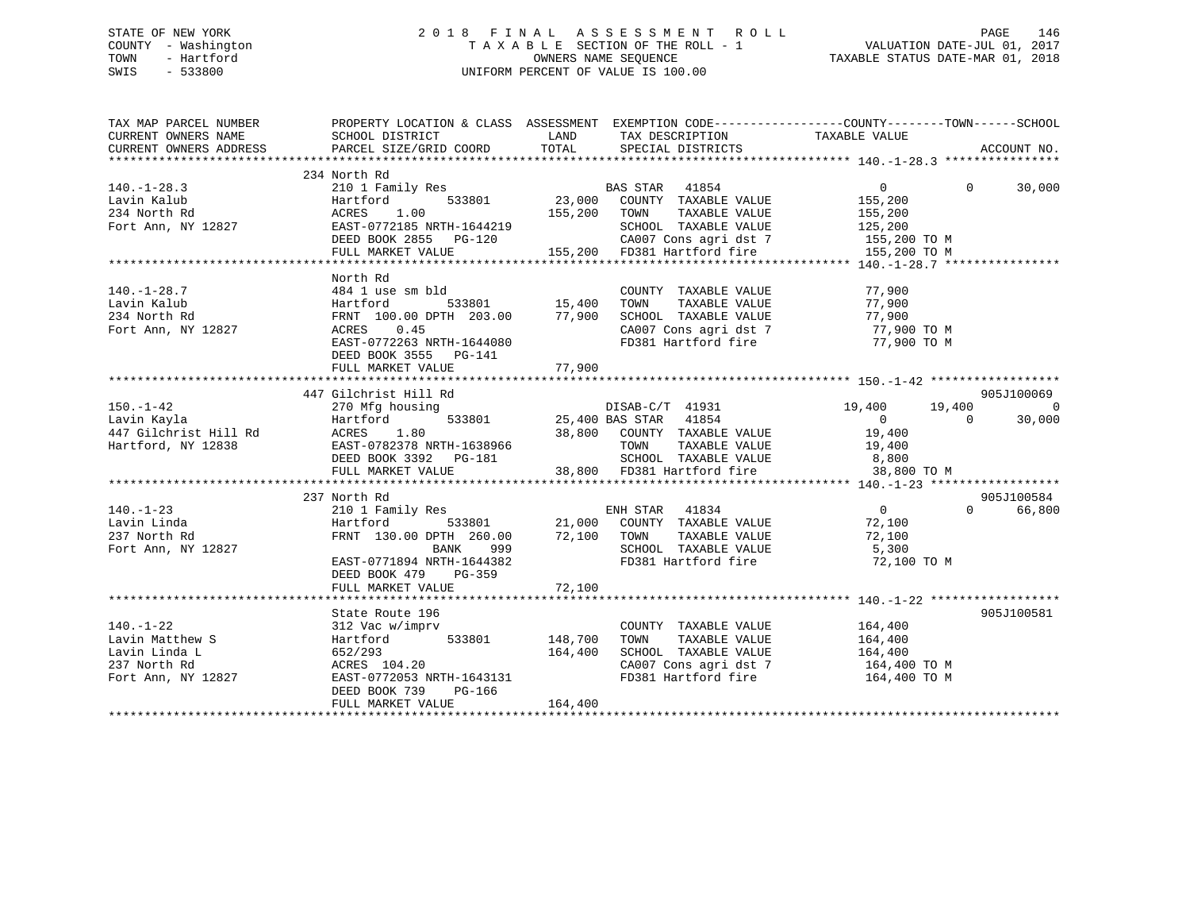# STATE OF NEW YORK 2 0 1 8 F I N A L A S S E S S M E N T R O L L PAGE 146 COUNTY - Washington T A X A B L E SECTION OF THE ROLL - 1 VALUATION DATE-JUL 01, 2017 TOWN - Hartford **TAXABLE STATUS DATE-MAR 01, 2018** OWNERS NAME SEQUENCE TAXABLE STATUS DATE-MAR 01, 2018 SWIS - 533800 UNIFORM PERCENT OF VALUE IS 100.00

| TAX MAP PARCEL NUMBER                                                                     | PROPERTY LOCATION & CLASS ASSESSMENT EXEMPTION CODE---------------COUNTY-------TOWN-----SCHOOL                                                                                                                                                           |         |                                                                        |                    |                    |
|-------------------------------------------------------------------------------------------|----------------------------------------------------------------------------------------------------------------------------------------------------------------------------------------------------------------------------------------------------------|---------|------------------------------------------------------------------------|--------------------|--------------------|
| CURRENT OWNERS NAME                                                                       | SCHOOL DISTRICT                                                                                                                                                                                                                                          |         |                                                                        |                    |                    |
| CURRENT OWNERS ADDRESS                                                                    |                                                                                                                                                                                                                                                          |         |                                                                        |                    | ACCOUNT NO.        |
|                                                                                           |                                                                                                                                                                                                                                                          |         |                                                                        |                    |                    |
|                                                                                           | 234 North Rd<br>North Rd<br>210 1 Family Res<br>Hartford 533801 23,000 COUNTY TAXABLE VALUE 155,200<br>ACRES 1.00 155,200 TOWN TAXABLE VALUE 155,200<br>FAST-0772185 NRTH-1644219 SCHOOL TAXABLE VALUE 125,200<br>FAST-0772185 NRTH-1644219 SCHOOL TAXAB |         |                                                                        | $\overline{0}$     |                    |
| $140. - 1 - 28.3$                                                                         |                                                                                                                                                                                                                                                          |         |                                                                        |                    | $\Omega$<br>30,000 |
|                                                                                           |                                                                                                                                                                                                                                                          |         |                                                                        |                    |                    |
|                                                                                           |                                                                                                                                                                                                                                                          |         |                                                                        |                    |                    |
|                                                                                           |                                                                                                                                                                                                                                                          |         |                                                                        |                    |                    |
|                                                                                           |                                                                                                                                                                                                                                                          |         |                                                                        |                    |                    |
|                                                                                           |                                                                                                                                                                                                                                                          |         |                                                                        |                    |                    |
|                                                                                           |                                                                                                                                                                                                                                                          |         |                                                                        |                    |                    |
|                                                                                           | North Rd                                                                                                                                                                                                                                                 |         |                                                                        |                    |                    |
| $140.-1-28.7$                                                                             | 484 1 use sm bld<br>sm bld COUNT<br>533801 15,400 TOWN                                                                                                                                                                                                   |         | COUNTY TAXABLE VALUE                                                   | 77,900             |                    |
|                                                                                           |                                                                                                                                                                                                                                                          |         |                                                                        |                    |                    |
| Article 1984<br>Lavin Kalub Hartford<br>234 North Rd FRNT 100<br>Fort Ann, NY 12827 ACRES |                                                                                                                                                                                                                                                          |         |                                                                        |                    |                    |
|                                                                                           |                                                                                                                                                                                                                                                          |         |                                                                        |                    |                    |
|                                                                                           | EAST-0772263 NRTH-1644080                                                                                                                                                                                                                                |         | FD381 Hartford fire 77,900 TO M                                        |                    |                    |
|                                                                                           | DEED BOOK 3555 PG-141                                                                                                                                                                                                                                    |         |                                                                        |                    |                    |
|                                                                                           | FULL MARKET VALUE                                                                                                                                                                                                                                        | 77,900  |                                                                        |                    |                    |
|                                                                                           |                                                                                                                                                                                                                                                          |         |                                                                        |                    |                    |
|                                                                                           | 447 Gilchrist Hill Rd                                                                                                                                                                                                                                    |         |                                                                        |                    | 905J100069         |
| 150.-1-42<br>Lavin Kavla                                                                  |                                                                                                                                                                                                                                                          |         |                                                                        |                    | $\overline{0}$     |
|                                                                                           |                                                                                                                                                                                                                                                          |         |                                                                        |                    | 30,000             |
|                                                                                           |                                                                                                                                                                                                                                                          |         |                                                                        |                    |                    |
|                                                                                           |                                                                                                                                                                                                                                                          |         |                                                                        |                    |                    |
|                                                                                           |                                                                                                                                                                                                                                                          |         |                                                                        |                    |                    |
|                                                                                           |                                                                                                                                                                                                                                                          |         |                                                                        |                    |                    |
|                                                                                           |                                                                                                                                                                                                                                                          |         |                                                                        |                    |                    |
|                                                                                           | 237 North Rd<br>North Rd<br>210 1 Family Res<br>Hartford 533801 21,000 COUNTY TAXABLE VALUE 72,100<br>FRNT 130.00 DPTH 260.00 72,100 TOWN TAXABLE VALUE 72,100<br>BANK 999 SCHOOL TAXABLE VALUE 5,300<br>FAST-0771894 NRTH-1644382 FD381 Hartford fire 7 |         |                                                                        |                    | 905J100584         |
| $140. - 1 - 23$                                                                           |                                                                                                                                                                                                                                                          |         |                                                                        |                    | 66,800<br>$\Omega$ |
| Lavin Linda                                                                               |                                                                                                                                                                                                                                                          |         |                                                                        |                    |                    |
| 237 North Rd                                                                              |                                                                                                                                                                                                                                                          |         |                                                                        |                    |                    |
| Fort Ann, NY 12827                                                                        |                                                                                                                                                                                                                                                          |         |                                                                        |                    |                    |
|                                                                                           |                                                                                                                                                                                                                                                          |         |                                                                        |                    |                    |
|                                                                                           | DEED BOOK 479 PG-359                                                                                                                                                                                                                                     |         |                                                                        |                    |                    |
|                                                                                           | FULL MARKET VALUE                                                                                                                                                                                                                                        | 72,100  |                                                                        |                    |                    |
|                                                                                           |                                                                                                                                                                                                                                                          |         |                                                                        |                    |                    |
|                                                                                           | State Route 196                                                                                                                                                                                                                                          |         |                                                                        |                    | 905J100581         |
|                                                                                           |                                                                                                                                                                                                                                                          |         | COUNTY TAXABLE VALUE                                                   |                    |                    |
|                                                                                           |                                                                                                                                                                                                                                                          |         | TAXABLE VALUE<br>TOWN                                                  | 164,400<br>164,400 |                    |
|                                                                                           |                                                                                                                                                                                                                                                          |         | SCHOOL TAXABLE VALUE 164,400                                           |                    |                    |
|                                                                                           | 140.-1-22<br>Lavin Matthew S<br>Lavin Linda L<br>237 North Rd<br>Fort Ann, NY 12827<br>237 North Rd<br>237 North Rd<br>237 North Rd<br>237 North Rd<br>237 North Rd<br>237 EAST-0772053 NRTH-1643131                                                     |         |                                                                        |                    |                    |
|                                                                                           |                                                                                                                                                                                                                                                          |         | CA007 Cons agri dst 7 164,400 TO M<br>FD381 Hartford fire 164,400 TO M |                    |                    |
| 237 North Rd<br>Fort Ann, NY 12827                                                        |                                                                                                                                                                                                                                                          |         |                                                                        |                    |                    |
|                                                                                           | DEED BOOK 739<br>PG-166                                                                                                                                                                                                                                  |         |                                                                        |                    |                    |
|                                                                                           | FULL MARKET VALUE                                                                                                                                                                                                                                        | 164,400 |                                                                        |                    |                    |
|                                                                                           |                                                                                                                                                                                                                                                          |         |                                                                        |                    |                    |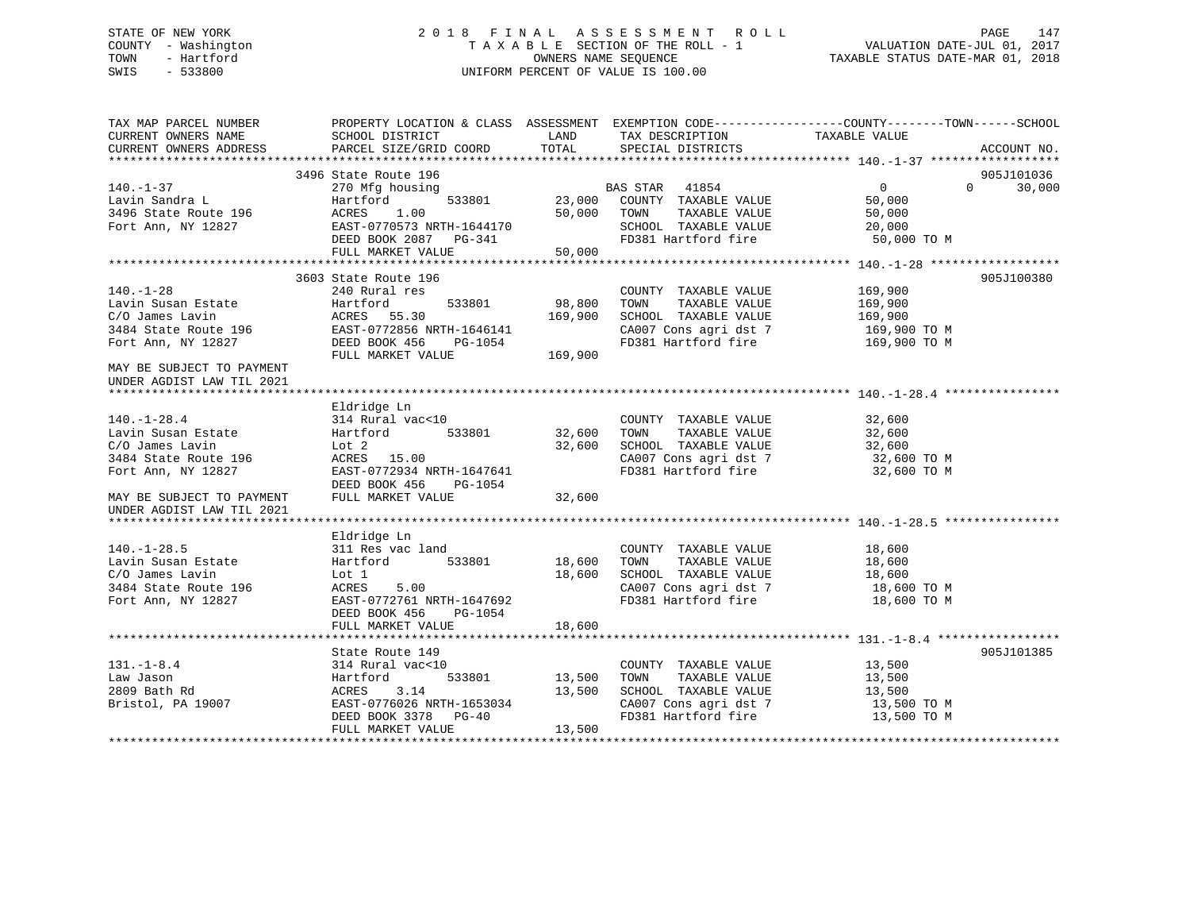# STATE OF NEW YORK 2 0 1 8 F I N A L A S S E S S M E N T R O L L PAGE 147 COUNTY - Washington T A X A B L E SECTION OF THE ROLL - 1 VALUATION DATE-JUL 01, 2017 TOWN - Hartford **TAXABLE STATUS DATE-MAR 01, 2018** OWNERS NAME SEQUENCE TAXABLE STATUS DATE-MAR 01, 2018 SWIS - 533800 UNIFORM PERCENT OF VALUE IS 100.00

| TAX MAP PARCEL NUMBER<br>CURRENT OWNERS NAME           | SCHOOL DISTRICT<br>PARCEL SIZE/GRID COORD | LAND<br>TOTAL | TAX DESCRIPTION<br>SPECIAL DISTRICTS | PROPERTY LOCATION & CLASS ASSESSMENT EXEMPTION CODE---------------COUNTY-------TOWN------SCHOOL<br>TAXABLE VALUE |
|--------------------------------------------------------|-------------------------------------------|---------------|--------------------------------------|------------------------------------------------------------------------------------------------------------------|
| CURRENT OWNERS ADDRESS                                 |                                           |               |                                      | ACCOUNT NO.                                                                                                      |
|                                                        | 3496 State Route 196                      |               |                                      | 905J101036                                                                                                       |
| $140. - 1 - 37$                                        | 270 Mfg housing                           |               | BAS STAR 41854                       | $\overline{0}$<br>$\Omega$<br>30,000                                                                             |
| Lavin Sandra L                                         | Hartford                                  | 533801 23,000 | COUNTY TAXABLE VALUE                 | 50,000                                                                                                           |
| 3496 State Route 196                                   | ACRES<br>1.00                             | 50,000        | TOWN<br>TAXABLE VALUE                | 50,000                                                                                                           |
| Fort Ann, NY 12827                                     | EAST-0770573 NRTH-1644170                 |               | SCHOOL TAXABLE VALUE                 | 20,000                                                                                                           |
|                                                        | DEED BOOK 2087 PG-341                     |               | FD381 Hartford fire                  | 50,000 TO M                                                                                                      |
|                                                        | FULL MARKET VALUE                         | 50,000        |                                      |                                                                                                                  |
|                                                        |                                           |               |                                      |                                                                                                                  |
|                                                        | 3603 State Route 196                      |               |                                      | 905J100380                                                                                                       |
| $140. - 1 - 28$                                        | 240 Rural res                             |               | COUNTY TAXABLE VALUE                 | 169,900                                                                                                          |
| Lavin Susan Estate                                     | 533801<br>Hartford                        | 98,800        | TAXABLE VALUE<br>TOWN                | 169,900                                                                                                          |
| C/O James Lavin                                        | ACRES 55.30                               | 169,900       | SCHOOL TAXABLE VALUE                 | 169,900                                                                                                          |
| 3484 State Route 196                                   | EAST-0772856 NRTH-1646141                 |               | CA007 Cons agri dst 7                | 169,900 ТО М                                                                                                     |
| Fort Ann, NY 12827                                     | DEED BOOK 456<br>PG-1054                  |               | FD381 Hartford fire                  | 169,900 TO M                                                                                                     |
|                                                        | FULL MARKET VALUE                         | 169,900       |                                      |                                                                                                                  |
| MAY BE SUBJECT TO PAYMENT<br>UNDER AGDIST LAW TIL 2021 |                                           |               |                                      |                                                                                                                  |
|                                                        |                                           |               |                                      |                                                                                                                  |
|                                                        | Eldridge Ln                               |               |                                      |                                                                                                                  |
| $140. - 1 - 28.4$                                      | 314 Rural vac<10                          |               | COUNTY TAXABLE VALUE                 | 32,600                                                                                                           |
| Lavin Susan Estate                                     | Hartford 533801                           | 32,600        | TOWN<br>TAXABLE VALUE                | 32,600                                                                                                           |
| C/O James Lavin                                        | Lot 2                                     | 32,600        | SCHOOL TAXABLE VALUE                 | 32,600                                                                                                           |
| 3484 State Route 196                                   | ACRES 15.00                               |               | CA007 Cons agri dst 7                | 32,600 TO M                                                                                                      |
| Fort Ann, NY 12827                                     | EAST-0772934 NRTH-1647641                 |               | FD381 Hartford fire                  | 32,600 TO M                                                                                                      |
|                                                        | DEED BOOK 456<br>PG-1054                  |               |                                      |                                                                                                                  |
| MAY BE SUBJECT TO PAYMENT                              | FULL MARKET VALUE                         | 32,600        |                                      |                                                                                                                  |
| UNDER AGDIST LAW TIL 2021                              |                                           |               |                                      |                                                                                                                  |
|                                                        |                                           |               |                                      |                                                                                                                  |
|                                                        | Eldridge Ln                               |               |                                      |                                                                                                                  |
| $140. - 1 - 28.5$                                      | 311 Res vac land                          |               | COUNTY TAXABLE VALUE                 | 18,600                                                                                                           |
| Lavin Susan Estate                                     | 533801<br>Hartford                        | 18,600        | TAXABLE VALUE<br>TOWN                | 18,600                                                                                                           |
| C/O James Lavin                                        | Lot 1                                     | 18,600        | SCHOOL TAXABLE VALUE                 | 18,600                                                                                                           |
| 3484 State Route 196                                   | ACRES<br>5.00                             |               | CA007 Cons agri dst 7                | 18,600 TO M                                                                                                      |
| Fort Ann, NY 12827                                     | EAST-0772761 NRTH-1647692                 |               | FD381 Hartford fire                  | 18,600 TO M                                                                                                      |
|                                                        | DEED BOOK 456<br>PG-1054                  |               |                                      |                                                                                                                  |
|                                                        | FULL MARKET VALUE                         | 18,600        |                                      |                                                                                                                  |
|                                                        |                                           |               |                                      |                                                                                                                  |
|                                                        | State Route 149                           |               |                                      | 905J101385                                                                                                       |
| $131. - 1 - 8.4$                                       | 314 Rural vac<10                          |               | COUNTY TAXABLE VALUE                 | 13,500                                                                                                           |
| Law Jason                                              | Hartford                                  | 533801 13,500 | TAXABLE VALUE<br>TOWN                | 13,500                                                                                                           |
| 2809 Bath Rd                                           | ACRES<br>3.14                             | 13,500        | SCHOOL TAXABLE VALUE                 | 13,500                                                                                                           |
| Bristol, PA 19007                                      | EAST-0776026 NRTH-1653034                 |               | CA007 Cons agri dst 7                | 13,500 TO M                                                                                                      |
|                                                        | DEED BOOK 3378 PG-40                      |               | FD381 Hartford fire                  | 13,500 TO M                                                                                                      |
|                                                        | FULL MARKET VALUE                         | 13,500        |                                      |                                                                                                                  |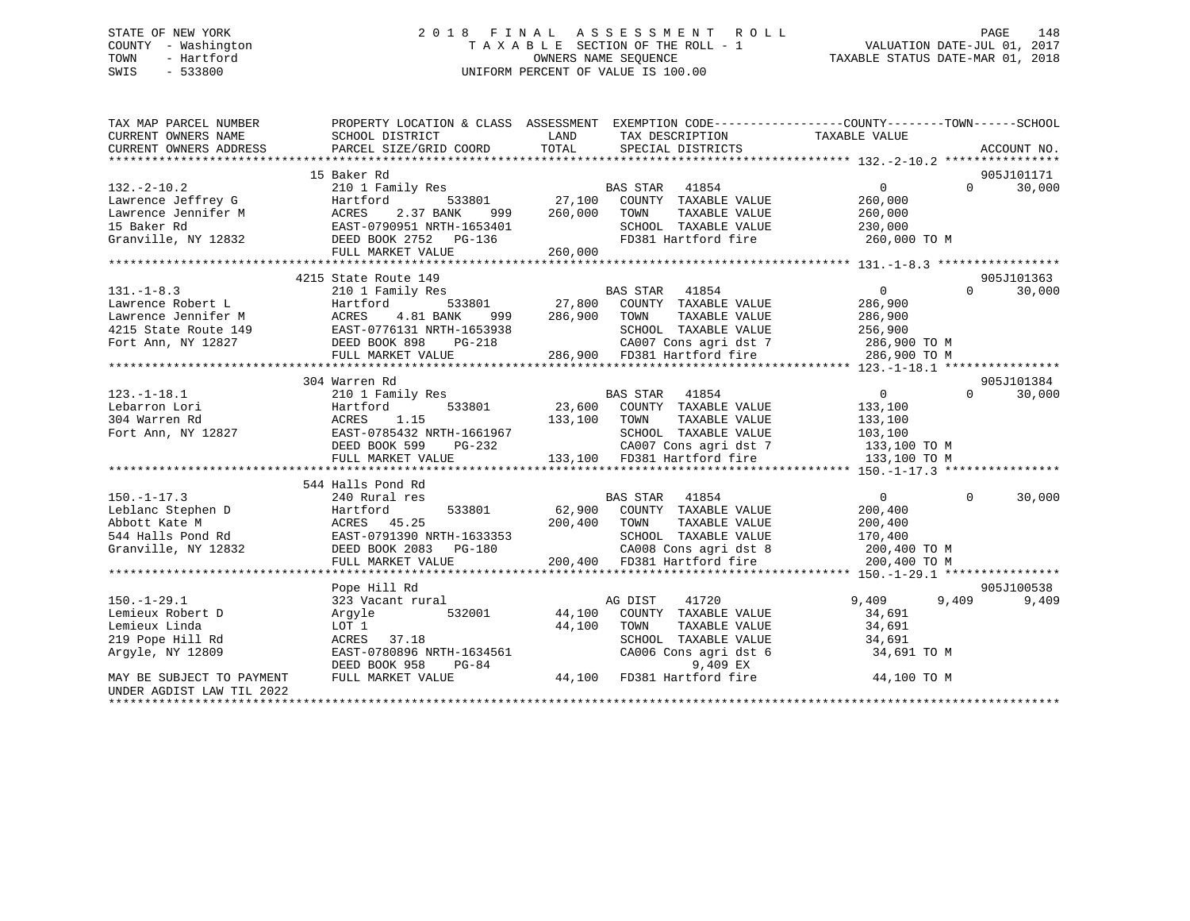# STATE OF NEW YORK 2 0 1 8 F I N A L A S S E S S M E N T R O L L PAGE 148 COUNTY - Washington T A X A B L E SECTION OF THE ROLL - 1 VALUATION DATE-JUL 01, 2017 TOWN - Hartford **TAXABLE STATUS DATE-MAR 01, 2018** OWNERS NAME SEQUENCE TAXABLE STATUS DATE-MAR 01, 2018 SWIS - 533800 UNIFORM PERCENT OF VALUE IS 100.00

| TAX MAP PARCEL NUMBER     |                                                                                                                                                                                                          | PROPERTY LOCATION & CLASS ASSESSMENT EXEMPTION CODE---------------COUNTY-------TOWN------SCHOOL                                                                  |                                      |
|---------------------------|----------------------------------------------------------------------------------------------------------------------------------------------------------------------------------------------------------|------------------------------------------------------------------------------------------------------------------------------------------------------------------|--------------------------------------|
| CURRENT OWNERS NAME       | SCHOOL DISTRICT                                                                                                                                                                                          | LAND<br>TAX DESCRIPTION                                                                                                                                          | TAXABLE VALUE                        |
|                           |                                                                                                                                                                                                          |                                                                                                                                                                  |                                      |
|                           |                                                                                                                                                                                                          |                                                                                                                                                                  |                                      |
|                           | 15 Baker Rd                                                                                                                                                                                              |                                                                                                                                                                  | 905J101171                           |
| $132. - 2 - 10.2$         |                                                                                                                                                                                                          |                                                                                                                                                                  | $\overline{0}$<br>$\Omega$<br>30,000 |
|                           | Exercise Jeffrey G<br>Lawrence Jeffrey G<br>Lawrence Jeffrey G<br>Lawrence Jeffrey G<br>Lawrence Jeffrey G<br>ACRES 2.37 BANK 999 260,000<br>15 Baker Rd<br>Granville, NY 12832<br>DEED BOOK 2752 PG-136 |                                                                                                                                                                  | 260,000                              |
|                           |                                                                                                                                                                                                          | 999 260,000 TOWN<br>TAXABLE VALUE                                                                                                                                | 260,000                              |
|                           |                                                                                                                                                                                                          | SCHOOL TAXABLE VALUE 230,000<br>FD381 Hartford fire 260,000                                                                                                      |                                      |
|                           |                                                                                                                                                                                                          |                                                                                                                                                                  | 260,000 TO M                         |
|                           | FULL MARKET VALUE                                                                                                                                                                                        | 260,000                                                                                                                                                          |                                      |
|                           |                                                                                                                                                                                                          |                                                                                                                                                                  |                                      |
|                           | 4215 State Route 149                                                                                                                                                                                     |                                                                                                                                                                  | 905J101363                           |
| $131. -1 - 8.3$           |                                                                                                                                                                                                          |                                                                                                                                                                  | 0<br>286,900<br>$\Omega$<br>30,000   |
|                           |                                                                                                                                                                                                          |                                                                                                                                                                  |                                      |
|                           |                                                                                                                                                                                                          |                                                                                                                                                                  |                                      |
|                           |                                                                                                                                                                                                          |                                                                                                                                                                  |                                      |
|                           |                                                                                                                                                                                                          |                                                                                                                                                                  |                                      |
|                           |                                                                                                                                                                                                          |                                                                                                                                                                  |                                      |
|                           |                                                                                                                                                                                                          |                                                                                                                                                                  |                                      |
|                           | 304 Warren Rd                                                                                                                                                                                            |                                                                                                                                                                  | 905J101384                           |
| $123. - 1 - 18.1$         | 210 1 Family Res                                                                                                                                                                                         | <b>BAS STAR</b><br>41854                                                                                                                                         | $\overline{0}$<br>$\Omega$<br>30,000 |
|                           |                                                                                                                                                                                                          | 533801 23,600 COUNTY TAXABLE VALUE<br>15 133,100 TOWN TAXABLE VALUE                                                                                              | 133,100<br>133,100                   |
|                           |                                                                                                                                                                                                          |                                                                                                                                                                  |                                      |
|                           |                                                                                                                                                                                                          | SCHOOL TAXABLE VALUE 103,100<br>H-1661967<br>PG-232                                                                                                              |                                      |
|                           | DEED BOOK 599                                                                                                                                                                                            | CA007 Cons agri dst 7 133,100 TO M<br>133,100 FD381 Hartford fire 133,100 TO M                                                                                   |                                      |
|                           | FULL MARKET VALUE                                                                                                                                                                                        |                                                                                                                                                                  |                                      |
|                           |                                                                                                                                                                                                          |                                                                                                                                                                  |                                      |
|                           | 544 Halls Pond Rd                                                                                                                                                                                        |                                                                                                                                                                  |                                      |
| $150. - 1 - 17.3$         | 240 Rural res                                                                                                                                                                                            | BAS STAR 41854                                                                                                                                                   | 30,000<br>$\Omega$<br>$\overline{0}$ |
|                           |                                                                                                                                                                                                          |                                                                                                                                                                  |                                      |
|                           |                                                                                                                                                                                                          |                                                                                                                                                                  |                                      |
|                           |                                                                                                                                                                                                          |                                                                                                                                                                  |                                      |
|                           |                                                                                                                                                                                                          |                                                                                                                                                                  |                                      |
|                           |                                                                                                                                                                                                          |                                                                                                                                                                  |                                      |
|                           |                                                                                                                                                                                                          |                                                                                                                                                                  |                                      |
|                           | Pope Hill Rd                                                                                                                                                                                             |                                                                                                                                                                  | 905J100538                           |
| $150. - 1 - 29.1$         | 323 Vacant rural                                                                                                                                                                                         | 1 MAG DIST 41720<br>532001 44,100 COUNTY TAXABLE VALUE                                                                                                           | 9,409<br>9,409<br>9,409              |
| Lemieux Robert D          | Argyle                                                                                                                                                                                                   |                                                                                                                                                                  | 34,691                               |
| Lemieux Linda             | LOT 1                                                                                                                                                                                                    | 44,100<br>TOWN<br>TAXABLE VALUE                                                                                                                                  | 34,691                               |
| 219 Pope Hill Rd          | ACRES 37.18                                                                                                                                                                                              | SCHOOL TAXABLE VALUE                                                                                                                                             | 34,691                               |
| Argyle, NY 12809          |                                                                                                                                                                                                          | ACRES 37.18<br>EAST-0780896 NRTH-1634561 CA006 Cons agri dst 6<br>DEED BOOK 958 PG-84 94,100 FD381 Hartford fire<br>FULL MARKET VALUE 44,100 FD381 Hartford fire | 34,691 TO M                          |
|                           |                                                                                                                                                                                                          |                                                                                                                                                                  |                                      |
| MAY BE SUBJECT TO PAYMENT |                                                                                                                                                                                                          |                                                                                                                                                                  | 44,100 TO M                          |
| UNDER AGDIST LAW TIL 2022 |                                                                                                                                                                                                          |                                                                                                                                                                  |                                      |
|                           |                                                                                                                                                                                                          |                                                                                                                                                                  |                                      |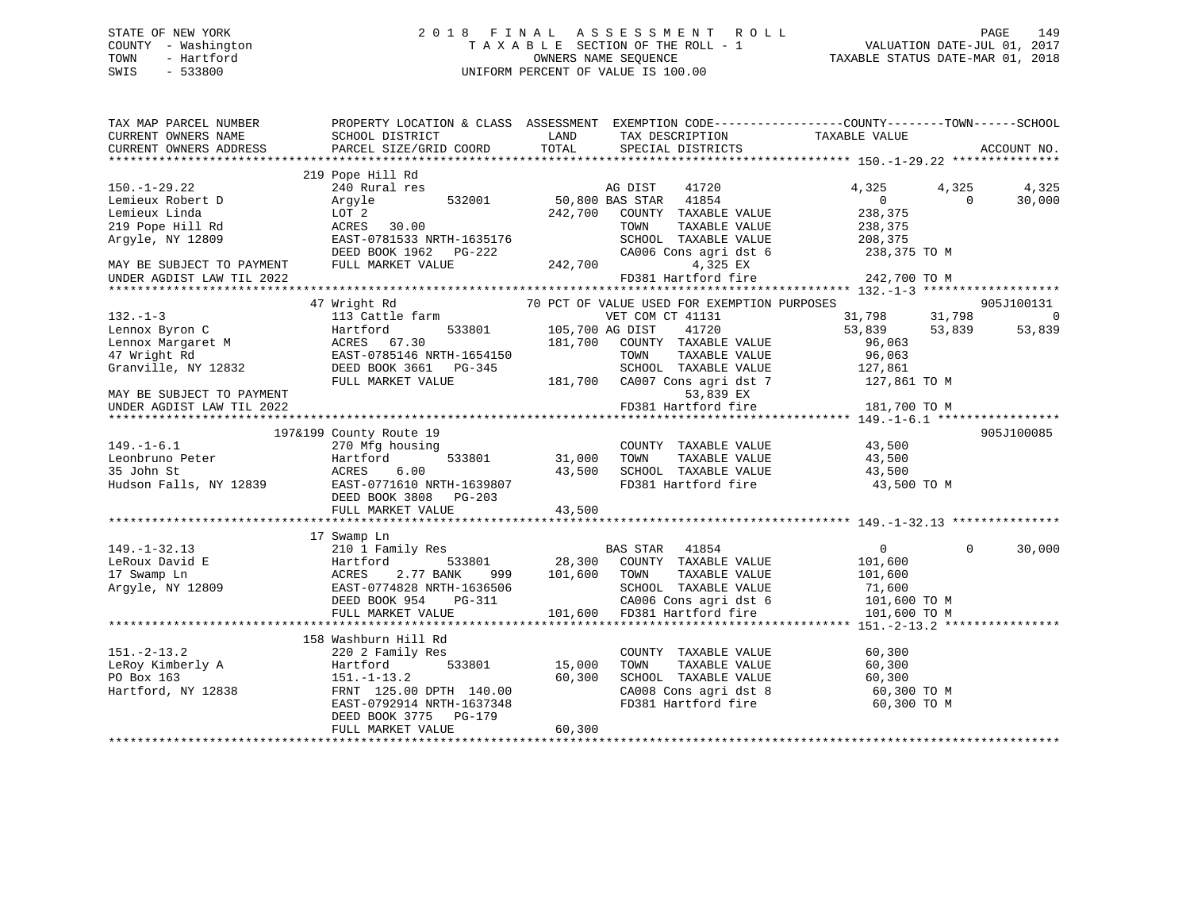# STATE OF NEW YORK 2 0 1 8 F I N A L A S S E S S M E N T R O L L PAGE 149 COUNTY - Washington T A X A B L E SECTION OF THE ROLL - 1 VALUATION DATE-JUL 01, 2017 TOWN - Hartford **TAXABLE STATUS DATE-MAR 01, 2018** OWNERS NAME SEQUENCE TAXABLE STATUS DATE-MAR 01, 2018 SWIS - 533800 UNIFORM PERCENT OF VALUE IS 100.00

| TAX MAP PARCEL NUMBER<br>CURRENT OWNERS NAME | SCHOOL DISTRICT                                                                                                                                                     | LAND          | TAX DESCRIPTION                                                                          | PROPERTY LOCATION & CLASS ASSESSMENT EXEMPTION CODE---------------COUNTY-------TOWN-----SCHOOL<br>TAXABLE VALUE |             |
|----------------------------------------------|---------------------------------------------------------------------------------------------------------------------------------------------------------------------|---------------|------------------------------------------------------------------------------------------|-----------------------------------------------------------------------------------------------------------------|-------------|
| CURRENT OWNERS ADDRESS                       | PARCEL SIZE/GRID COORD                                                                                                                                              | TOTAL         | SPECIAL DISTRICTS                                                                        |                                                                                                                 | ACCOUNT NO. |
|                                              |                                                                                                                                                                     |               |                                                                                          |                                                                                                                 |             |
| $150. - 1 - 29.22$                           | 219 Pope Hill Rd<br>240 Rural res                                                                                                                                   |               | AG DIST<br>41720                                                                         | 4,325<br>4,325                                                                                                  | 4,325       |
| Lemieux Robert D                             | 532001<br>Argyle                                                                                                                                                    |               | 50,800 BAS STAR 41854                                                                    | $\overline{0}$<br>$\Omega$                                                                                      | 30,000      |
| Lemieux Linda                                | LOT 2                                                                                                                                                               |               | 242,700 COUNTY TAXABLE VALUE                                                             | 238,375                                                                                                         |             |
| 219 Pope Hill Rd                             | ACRES 30.00                                                                                                                                                         |               | TOWN<br>TAXABLE VALUE                                                                    | 238,375                                                                                                         |             |
| Argyle, NY 12809                             | EAST-0781533 NRTH-1635176                                                                                                                                           |               | SCHOOL TAXABLE VALUE                                                                     | 208,375                                                                                                         |             |
|                                              | DEED BOOK 1962    PG-222                                                                                                                                            |               | CA006 Cons agri dst 6                                                                    | 238,375 TO M                                                                                                    |             |
| MAY BE SUBJECT TO PAYMENT                    | FULL MARKET VALUE                                                                                                                                                   | 242,700       | 4,325 EX                                                                                 |                                                                                                                 |             |
| UNDER AGDIST LAW TIL 2022                    |                                                                                                                                                                     |               | FD381 Hartford fire                                                                      | 242,700 TO M                                                                                                    |             |
|                                              |                                                                                                                                                                     |               |                                                                                          |                                                                                                                 |             |
|                                              | 47 Wright Rd                                                                                                                                                        |               | 70 PCT OF VALUE USED FOR EXEMPTION PURPOSES                                              |                                                                                                                 | 905J100131  |
| $132. - 1 - 3$                               | 113 Cattle farm                                                                                                                                                     |               | VET COM CT 41131                                                                         |                                                                                                                 | $\Omega$    |
| Lennox Byron C                               | Hartford                                                                                                                                                            |               | 41720                                                                                    | 31,798 31,798<br>53,839 53,839<br>53,839                                                                        | 53,839      |
|                                              |                                                                                                                                                                     |               | 181,700 COUNTY TAXABLE VALUE                                                             | 96,063                                                                                                          |             |
|                                              | Lennox Margaret n<br>47 Wright Rd<br>Granville, NY 12832 DEED BOOK 3661 PG-345 SCHOOL TAXABLE VALUE<br>FULL MARKET VALUE 181,700 CA007 Cons agri dst 7<br>53,839 EX |               |                                                                                          | 96,063                                                                                                          |             |
|                                              |                                                                                                                                                                     |               | SCHOOL TAXABLE VALUE 127,861                                                             |                                                                                                                 |             |
|                                              |                                                                                                                                                                     |               |                                                                                          | 127,861 TO M                                                                                                    |             |
|                                              |                                                                                                                                                                     |               |                                                                                          |                                                                                                                 |             |
|                                              |                                                                                                                                                                     |               |                                                                                          |                                                                                                                 |             |
|                                              |                                                                                                                                                                     |               |                                                                                          |                                                                                                                 |             |
|                                              | 197&199 County Route 19                                                                                                                                             |               |                                                                                          |                                                                                                                 | 905J100085  |
| $149. - 1 - 6.1$                             | 270 Mfg housing                                                                                                                                                     |               | COUNTY TAXABLE VALUE 43,500                                                              |                                                                                                                 |             |
|                                              | 533801<br>Hartford                                                                                                                                                  | 31,000        |                                                                                          | 43,500                                                                                                          |             |
| Leonbruno Peter<br>35 John St<br>35 John St  | ACRES<br>6.00                                                                                                                                                       | 43,500        | TOWN      TAXABLE VALUE<br>SCHOOL   TAXABLE VALUE                                        | 43,500                                                                                                          |             |
| Hudson Falls, NY 12839                       | EAST-0771610 NRTH-1639807                                                                                                                                           |               | FD381 Hartford fire                                                                      | 43,500 TO M                                                                                                     |             |
|                                              | DEED BOOK 3808 PG-203                                                                                                                                               |               |                                                                                          |                                                                                                                 |             |
|                                              | FULL MARKET VALUE                                                                                                                                                   | 43,500        |                                                                                          |                                                                                                                 |             |
|                                              |                                                                                                                                                                     |               |                                                                                          |                                                                                                                 |             |
|                                              | 17 Swamp Ln                                                                                                                                                         |               |                                                                                          |                                                                                                                 |             |
| $149. - 1 - 32.13$                           | 210 1 Family Res                                                                                                                                                    |               | BAS STAR 41854                                                                           | $\Omega$<br>$\overline{0}$                                                                                      | 30,000      |
| LeRoux David E<br>17 Second Lu               | Hartford                                                                                                                                                            |               |                                                                                          | 101,600                                                                                                         |             |
| 17 Swamp Ln                                  | Hartfo<br>ACRES<br>2.77 BANK                                                                                                                                        |               | 533801 28,300 COUNTY TAXABLE VALUE<br>NK 999 101,600 TOWN TAXABLE VALUE<br>TAXABLE VALUE | 101,600                                                                                                         |             |
|                                              | Argyle, NY 12809 EAST-0774828 NRTH-1636506                                                                                                                          |               | SCHOOL TAXABLE VALUE                                                                     | 71,600                                                                                                          |             |
|                                              | DEED BOOK 954<br>PG-311                                                                                                                                             |               |                                                                                          | 101,600 TO M                                                                                                    |             |
|                                              | FULL MARKET VALUE                                                                                                                                                   |               | CA006 Cons agri dst 6<br>101,600 FD381 Hartford fire                                     | 101,600 TO M                                                                                                    |             |
|                                              |                                                                                                                                                                     |               |                                                                                          |                                                                                                                 |             |
|                                              | 158 Washburn Hill Rd                                                                                                                                                |               |                                                                                          |                                                                                                                 |             |
| $151 - 2 - 13.2$                             | 220 2 Family Res                                                                                                                                                    |               | COUNTY TAXABLE VALUE                                                                     | 60,300                                                                                                          |             |
|                                              | LeRoy Kimberly A<br>Po Box 163<br>Hartford, NY 12838<br>Hartford, NY 12838<br>Hartford, NY 12838<br>PRNT 125.00 DPTH 140.00                                         | 533801 15,000 | TAXABLE VALUE<br>TOWN                                                                    | 60,300                                                                                                          |             |
|                                              |                                                                                                                                                                     | 60,300        |                                                                                          |                                                                                                                 |             |
|                                              |                                                                                                                                                                     |               | SCHOOL TAXABLE VALUE 60,300<br>CA008 Cons agri dst 8 60,300 TO M                         |                                                                                                                 |             |
|                                              | EAST-0792914 NRTH-1637348                                                                                                                                           |               | FD381 Hartford fire                                                                      | 60,300 TO M                                                                                                     |             |
|                                              | DEED BOOK 3775 PG-179                                                                                                                                               |               |                                                                                          |                                                                                                                 |             |
|                                              | FULL MARKET VALUE                                                                                                                                                   | 60,300        |                                                                                          |                                                                                                                 |             |
|                                              |                                                                                                                                                                     |               |                                                                                          |                                                                                                                 |             |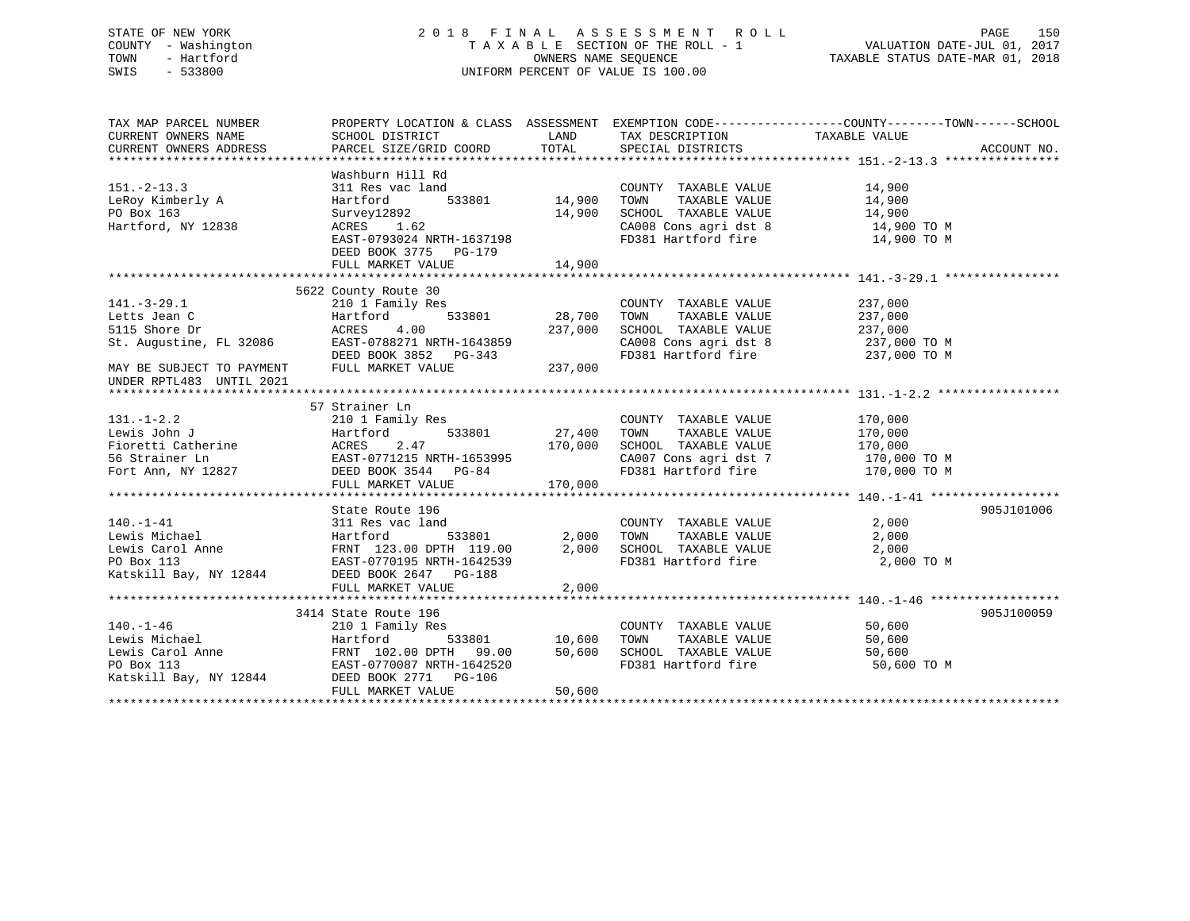# STATE OF NEW YORK 2 0 1 8 F I N A L A S S E S S M E N T R O L L PAGE 150 COUNTY - Washington T A X A B L E SECTION OF THE ROLL - 1 VALUATION DATE-JUL 01, 2017 TOWN - Hartford OWNERS NAME SEQUENCE TAXABLE STATUS DATE-MAR 01, 2018 SWIS - 533800 UNIFORM PERCENT OF VALUE IS 100.00

| TAX MAP PARCEL NUMBER               | PROPERTY LOCATION & CLASS ASSESSMENT EXEMPTION CODE----------------COUNTY-------TOWN-----SCHOOL                                                                                                                                                                                                                                                                                                                                                                          |        |                                                                                                                                                                              |                       |            |
|-------------------------------------|--------------------------------------------------------------------------------------------------------------------------------------------------------------------------------------------------------------------------------------------------------------------------------------------------------------------------------------------------------------------------------------------------------------------------------------------------------------------------|--------|------------------------------------------------------------------------------------------------------------------------------------------------------------------------------|-----------------------|------------|
| CURRENT OWNERS NAME SCHOOL DISTRICT |                                                                                                                                                                                                                                                                                                                                                                                                                                                                          | LAND   | TAX DESCRIPTION TAXABLE VALUE                                                                                                                                                |                       |            |
|                                     |                                                                                                                                                                                                                                                                                                                                                                                                                                                                          |        |                                                                                                                                                                              |                       |            |
|                                     |                                                                                                                                                                                                                                                                                                                                                                                                                                                                          |        |                                                                                                                                                                              |                       |            |
|                                     | Washburn Hill Rd                                                                                                                                                                                                                                                                                                                                                                                                                                                         |        |                                                                                                                                                                              |                       |            |
| $151. - 2 - 13.3$                   | ac land<br>ac land<br>533801 14,900 TOWN<br>311 Res vac land                                                                                                                                                                                                                                                                                                                                                                                                             |        |                                                                                                                                                                              |                       |            |
| LeRoy Kimberly A                    | Hartford                                                                                                                                                                                                                                                                                                                                                                                                                                                                 |        | $\begin{tabular}{lllllllllll} \multicolumn{2}{c}{\text{COUNTY}} & \text{TAXABLE VALUE} & & & 14\,,900 \\ \text{TOWN} & \text{TAXABLE VALUE} & & & 14\,,900 \\ \end{tabular}$ |                       |            |
| PO Box 163                          |                                                                                                                                                                                                                                                                                                                                                                                                                                                                          |        |                                                                                                                                                                              |                       |            |
| Hartford, NY 12838                  | Survey12892<br>ACRES       1.62                                                                                                                                                                                                                                                                                                                                                                                                                                          |        |                                                                                                                                                                              |                       |            |
|                                     | EAST-0793024 NRTH-1637198                                                                                                                                                                                                                                                                                                                                                                                                                                                |        | 14,900 SCHOOL TAXABLE VALUE 14,900<br>CA008 Cons agri dst 8 14,900 TO M<br>FD381 Hartford fire 14,900 TO M                                                                   |                       |            |
|                                     | DEED BOOK 3775 PG-179                                                                                                                                                                                                                                                                                                                                                                                                                                                    |        |                                                                                                                                                                              |                       |            |
|                                     |                                                                                                                                                                                                                                                                                                                                                                                                                                                                          |        |                                                                                                                                                                              |                       |            |
|                                     |                                                                                                                                                                                                                                                                                                                                                                                                                                                                          |        |                                                                                                                                                                              |                       |            |
|                                     | 5622 County Route 30                                                                                                                                                                                                                                                                                                                                                                                                                                                     |        |                                                                                                                                                                              |                       |            |
|                                     |                                                                                                                                                                                                                                                                                                                                                                                                                                                                          |        | COUNTY TAXABLE VALUE                                                                                                                                                         | 237,000               |            |
|                                     |                                                                                                                                                                                                                                                                                                                                                                                                                                                                          |        | TOWN                                                                                                                                                                         | TAXABLE VALUE 237,000 |            |
|                                     |                                                                                                                                                                                                                                                                                                                                                                                                                                                                          |        |                                                                                                                                                                              |                       |            |
|                                     |                                                                                                                                                                                                                                                                                                                                                                                                                                                                          |        | SCHOOL TAXABLE VALUE 237,000<br>CA008 Cons agri dst 8 237,000 TO M<br>FD381 Hartford fire 237,000 TO M                                                                       |                       |            |
|                                     |                                                                                                                                                                                                                                                                                                                                                                                                                                                                          |        |                                                                                                                                                                              |                       |            |
|                                     |                                                                                                                                                                                                                                                                                                                                                                                                                                                                          |        |                                                                                                                                                                              |                       |            |
| UNDER RPTL483 UNTIL 2021            | 141.-3-29.1 2011 Family Res<br>Letts Jean C<br>5115 Shore Dr ACRES 4.00 237,000<br>St. Augustine, FL 32086 EAST-0788271 NRTH-1643859<br>MAY BE SUBJECT TO PAYMENT FULL MARKET VALUE<br>TINDER BOTT.483 INTTI, 2021 FULL MARKET VALUE 237                                                                                                                                                                                                                                 |        |                                                                                                                                                                              |                       |            |
|                                     |                                                                                                                                                                                                                                                                                                                                                                                                                                                                          |        |                                                                                                                                                                              |                       |            |
|                                     | 57 Strainer Ln                                                                                                                                                                                                                                                                                                                                                                                                                                                           |        |                                                                                                                                                                              |                       |            |
| $131. - 1 - 2.2$                    | 210 1 Family Res                                                                                                                                                                                                                                                                                                                                                                                                                                                         |        | COUNTY TAXABLE VALUE 170,000                                                                                                                                                 |                       |            |
|                                     |                                                                                                                                                                                                                                                                                                                                                                                                                                                                          |        |                                                                                                                                                                              |                       |            |
|                                     |                                                                                                                                                                                                                                                                                                                                                                                                                                                                          |        |                                                                                                                                                                              |                       |            |
|                                     |                                                                                                                                                                                                                                                                                                                                                                                                                                                                          |        |                                                                                                                                                                              |                       |            |
|                                     |                                                                                                                                                                                                                                                                                                                                                                                                                                                                          |        |                                                                                                                                                                              |                       |            |
|                                     |                                                                                                                                                                                                                                                                                                                                                                                                                                                                          |        |                                                                                                                                                                              |                       |            |
|                                     | 131.-1-2.2<br>Id 1 Falling Res 2.47<br>Fioretti Catherine ACRES 2.47<br>Fort Ann, NY 12827<br>Fort Ann, NY 12827<br>FULL MARKET VALUE 170,000<br>TULL MARKET VALUE 170,000<br>TULL MARKET VALUE 170,000<br>TULL MARKET VALUE 170,000<br>TULL MAR                                                                                                                                                                                                                         |        |                                                                                                                                                                              |                       |            |
|                                     | State Route 196                                                                                                                                                                                                                                                                                                                                                                                                                                                          |        |                                                                                                                                                                              |                       | 905J101006 |
|                                     |                                                                                                                                                                                                                                                                                                                                                                                                                                                                          |        |                                                                                                                                                                              |                       |            |
|                                     | c land<br>533801 2,000 TOWN                                                                                                                                                                                                                                                                                                                                                                                                                                              |        |                                                                                                                                                                              |                       |            |
|                                     |                                                                                                                                                                                                                                                                                                                                                                                                                                                                          |        |                                                                                                                                                                              |                       |            |
|                                     |                                                                                                                                                                                                                                                                                                                                                                                                                                                                          |        |                                                                                                                                                                              | 2,000 TO M            |            |
|                                     | 140.-1-41 2,000<br>140.-1-41 311 Res vac land<br>140.-1-41 2,000<br>16 Hartford 533801 2,000 TOWN TAXABLE VALUE 2,000<br>16 Hartford 533801 2,000 TOWN TAXABLE VALUE 2,000<br>16 Hartford 533801 2,000 TOWN TAXABLE VALUE 2,000<br>17 HAXA                                                                                                                                                                                                                               |        |                                                                                                                                                                              |                       |            |
|                                     |                                                                                                                                                                                                                                                                                                                                                                                                                                                                          | 2,000  |                                                                                                                                                                              |                       |            |
|                                     | FULL MARKET VALUE                                                                                                                                                                                                                                                                                                                                                                                                                                                        |        |                                                                                                                                                                              |                       |            |
|                                     | $3414 \text{ State Route 196} \qquad \qquad 3414 \text{ State Route 196} \qquad \qquad 3414 \text{ State Route 196} \qquad \qquad 3414 \text{ State Route 196} \qquad \qquad 3414 \text{ State Route 196} \qquad \qquad 3414 \text{ State Route 196} \qquad \qquad 3414 \text{ State Route 196} \qquad \qquad 3414 \text{ State Route 196} \qquad \qquad 3414 \text{ State Route 196} \qquad \qquad 3414 \text{ State Route 196} \qquad \qquad 3414 \text{ State Route $ |        |                                                                                                                                                                              |                       | 905J100059 |
| $140. - 1 - 46$                     |                                                                                                                                                                                                                                                                                                                                                                                                                                                                          |        |                                                                                                                                                                              |                       |            |
|                                     |                                                                                                                                                                                                                                                                                                                                                                                                                                                                          |        |                                                                                                                                                                              |                       |            |
|                                     |                                                                                                                                                                                                                                                                                                                                                                                                                                                                          |        |                                                                                                                                                                              |                       |            |
|                                     |                                                                                                                                                                                                                                                                                                                                                                                                                                                                          |        |                                                                                                                                                                              |                       |            |
|                                     | 140.-1-46 210 1 Family Res<br>Lewis Michael Hartford 533801 10,600 TOWN TAXABLE VALUE 50,600<br>Lewis Carol Anne FRNT 102.00 DPTH 99.00 50,600 SCHOOL TAXABLE VALUE 50,600<br>PO Box 113 EAST-0770087 NRTH-1642520 FD381 Hartford fi                                                                                                                                                                                                                                     |        |                                                                                                                                                                              | 50,600 TO M           |            |
|                                     | FULL MARKET VALUE                                                                                                                                                                                                                                                                                                                                                                                                                                                        | 50,600 |                                                                                                                                                                              |                       |            |
|                                     |                                                                                                                                                                                                                                                                                                                                                                                                                                                                          |        |                                                                                                                                                                              |                       |            |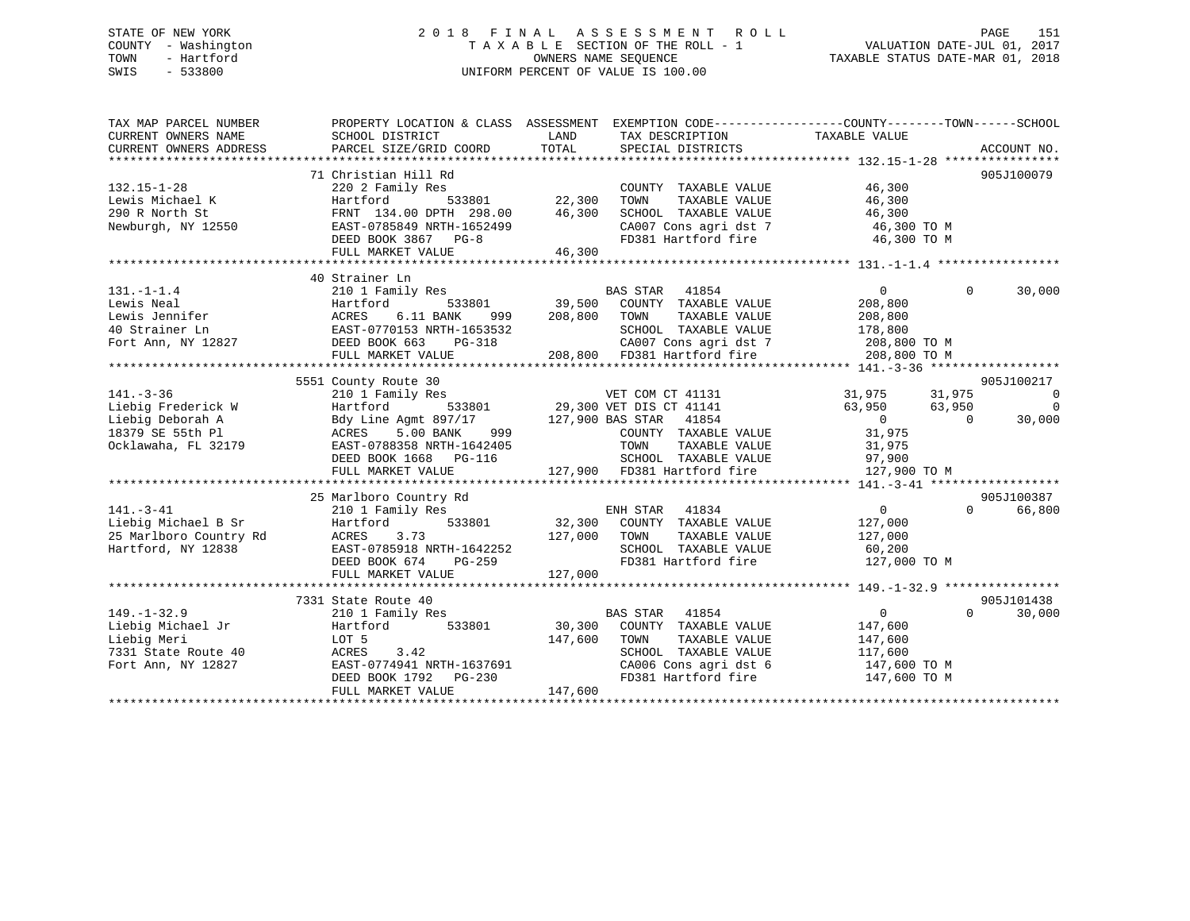# STATE OF NEW YORK 2 0 1 8 F I N A L A S S E S S M E N T R O L L PAGE 151 COUNTY - Washington T A X A B L E SECTION OF THE ROLL - 1 VALUATION DATE-JUL 01, 2017 TOWN - Hartford **TAXABLE STATUS DATE-MAR 01, 2018** OWNERS NAME SEQUENCE TAXABLE STATUS DATE-MAR 01, 2018 SWIS - 533800 UNIFORM PERCENT OF VALUE IS 100.00

| TAX MAP PARCEL NUMBER                                                                                                                                                                                  | PROPERTY LOCATION & CLASS ASSESSMENT EXEMPTION CODE---------------COUNTY-------TOWN-----SCHOOL                                                                                                                                                                  |                  |                                                                                                                                    |                                  |          |                          |
|--------------------------------------------------------------------------------------------------------------------------------------------------------------------------------------------------------|-----------------------------------------------------------------------------------------------------------------------------------------------------------------------------------------------------------------------------------------------------------------|------------------|------------------------------------------------------------------------------------------------------------------------------------|----------------------------------|----------|--------------------------|
| CURRENT OWNERS NAME                                                                                                                                                                                    | SCHOOL DISTRICT                                                                                                                                                                                                                                                 | LAND             | TAX DESCRIPTION                                                                                                                    | TAXABLE VALUE                    |          |                          |
| CURRENT OWNERS ADDRESS                                                                                                                                                                                 | PARCEL SIZE/GRID COORD                                                                                                                                                                                                                                          | TOTAL            | SPECIAL DISTRICTS                                                                                                                  |                                  |          | ACCOUNT NO.              |
|                                                                                                                                                                                                        |                                                                                                                                                                                                                                                                 |                  |                                                                                                                                    |                                  |          |                          |
|                                                                                                                                                                                                        | 71 Christian Hill Rd                                                                                                                                                                                                                                            |                  |                                                                                                                                    |                                  |          | 905J100079               |
| $132.15 - 1 - 28$                                                                                                                                                                                      | ily Res<br>533801 22,300<br>220 2 Family Res                                                                                                                                                                                                                    |                  | COUNTY TAXABLE VALUE                                                                                                               | 46,300                           |          |                          |
| Lewis Michael K                                                                                                                                                                                        | Hartford                                                                                                                                                                                                                                                        |                  | TAXABLE VALUE<br>TOWN                                                                                                              | 46,300                           |          |                          |
| 290 R North St                                                                                                                                                                                         | FRNT 134.00 DPTH 298.00 46,300                                                                                                                                                                                                                                  |                  | SCHOOL TAXABLE VALUE                                                                                                               | 46,300                           |          |                          |
| Newburgh, NY 12550                                                                                                                                                                                     |                                                                                                                                                                                                                                                                 |                  | CA007 Cons agri dst 7 46,300 TO M<br>FD381 Hartford fire 46,300 TO M                                                               |                                  |          |                          |
|                                                                                                                                                                                                        |                                                                                                                                                                                                                                                                 |                  |                                                                                                                                    |                                  |          |                          |
|                                                                                                                                                                                                        |                                                                                                                                                                                                                                                                 |                  |                                                                                                                                    |                                  |          |                          |
|                                                                                                                                                                                                        |                                                                                                                                                                                                                                                                 |                  |                                                                                                                                    |                                  |          |                          |
|                                                                                                                                                                                                        | 40 Strainer Ln                                                                                                                                                                                                                                                  |                  |                                                                                                                                    |                                  |          |                          |
| $131. - 1 - 1.4$                                                                                                                                                                                       | 210 1 Family Res                                                                                                                                                                                                                                                |                  | EAS STAR 41854<br>533801 39,500 COUNTY TAXABLE VALUE                                                                               | $\overline{0}$                   | $\Omega$ | 30,000                   |
|                                                                                                                                                                                                        |                                                                                                                                                                                                                                                                 |                  |                                                                                                                                    | 208,800                          |          |                          |
|                                                                                                                                                                                                        |                                                                                                                                                                                                                                                                 | 999 208,800 TOWN |                                                                                                                                    | TAXABLE VALUE 208,800            |          |                          |
|                                                                                                                                                                                                        |                                                                                                                                                                                                                                                                 |                  |                                                                                                                                    |                                  |          |                          |
|                                                                                                                                                                                                        |                                                                                                                                                                                                                                                                 |                  | 553532 SCHOOL TAXABLE VALUE 178,800<br>-318 208,800 CA007 Cons agri dst 7 208,800 TO M<br>208,800 FD381 Hartford fire 208,800 TO M |                                  |          |                          |
|                                                                                                                                                                                                        | FULL MARKET VALUE                                                                                                                                                                                                                                               |                  |                                                                                                                                    |                                  |          |                          |
|                                                                                                                                                                                                        |                                                                                                                                                                                                                                                                 |                  |                                                                                                                                    |                                  |          |                          |
|                                                                                                                                                                                                        | 31,975<br>210 1 Family Res<br>29,300 VET COM CT 41131<br>29,300 VET DIS CT 41141<br>29,300 VET DIS CT 41141<br>31,975<br>31,975<br>31,975<br>83,950<br>83,950<br>29,300 VET DIS CT 41141<br>63,950<br>29,300 VET DIS CT 41141<br>63,950<br>63,950<br>63,950<br> |                  |                                                                                                                                    |                                  |          | 905J100217               |
| $141. - 3 - 36$                                                                                                                                                                                        |                                                                                                                                                                                                                                                                 |                  |                                                                                                                                    |                                  |          | $\overline{\phantom{0}}$ |
| Liebig Frederick W                                                                                                                                                                                     |                                                                                                                                                                                                                                                                 |                  |                                                                                                                                    |                                  |          | $\Omega$                 |
| Liebig Deborah A                                                                                                                                                                                       |                                                                                                                                                                                                                                                                 |                  |                                                                                                                                    |                                  |          | 30,000                   |
| 18379 SE 55th Pl                                                                                                                                                                                       |                                                                                                                                                                                                                                                                 |                  |                                                                                                                                    |                                  |          |                          |
| Ocklawaha, FL 32179                                                                                                                                                                                    |                                                                                                                                                                                                                                                                 |                  | TOWN TAXABLE VALUE 31,975<br>SCHOOL TAXABLE VALUE 97,900                                                                           |                                  |          |                          |
|                                                                                                                                                                                                        | DEED BOOK 1668 PG-116                                                                                                                                                                                                                                           |                  |                                                                                                                                    |                                  |          |                          |
|                                                                                                                                                                                                        |                                                                                                                                                                                                                                                                 |                  |                                                                                                                                    |                                  |          |                          |
|                                                                                                                                                                                                        |                                                                                                                                                                                                                                                                 |                  |                                                                                                                                    |                                  |          |                          |
| Example of the Michael B Sr and Hartford<br>25 Marlboro Country Rd<br>35 Marlboro Country Rd<br>31 Martford, NY 12838<br>12838<br>12839<br>12839<br>12839<br>12839<br>12839<br>12838<br>12838<br>12838 | 25 Marlboro Country Rd                                                                                                                                                                                                                                          |                  |                                                                                                                                    | $\overline{0}$                   | $\Omega$ | 905J100387<br>66,800     |
|                                                                                                                                                                                                        |                                                                                                                                                                                                                                                                 |                  |                                                                                                                                    |                                  |          |                          |
|                                                                                                                                                                                                        |                                                                                                                                                                                                                                                                 | 127,000 TOWN     |                                                                                                                                    | 127,000<br>TAXABLE VALUE 127,000 |          |                          |
|                                                                                                                                                                                                        | 3.73                                                                                                                                                                                                                                                            |                  |                                                                                                                                    |                                  |          |                          |
|                                                                                                                                                                                                        | EAST-0785918 NRTH-1642252<br>DEED BOOK 674 PG-259                                                                                                                                                                                                               |                  | SCHOOL TAXABLE VALUE 60,200<br>FD381 Hartford fire 127,000 TO M                                                                    |                                  |          |                          |
|                                                                                                                                                                                                        |                                                                                                                                                                                                                                                                 | 127,000          |                                                                                                                                    |                                  |          |                          |
|                                                                                                                                                                                                        | FULL MARKET VALUE                                                                                                                                                                                                                                               |                  |                                                                                                                                    |                                  |          |                          |
|                                                                                                                                                                                                        | 7331 State Route 40                                                                                                                                                                                                                                             |                  |                                                                                                                                    |                                  |          | 905J101438               |
| $149. - 1 - 32.9$                                                                                                                                                                                      | 210 1 Family Res                                                                                                                                                                                                                                                |                  | BAS STAR 41854                                                                                                                     | $\overline{0}$                   | $\Omega$ | 30,000                   |
| Liebig Michael Jr                                                                                                                                                                                      | Hartford<br>533801                                                                                                                                                                                                                                              |                  | 30,300 COUNTY TAXABLE VALUE                                                                                                        | 147,600                          |          |                          |
| Liebig Meri                                                                                                                                                                                            | LOT 5                                                                                                                                                                                                                                                           | 147,600          | TOWN                                                                                                                               | TAXABLE VALUE 147,600            |          |                          |
| 7331 State Route 40                                                                                                                                                                                    |                                                                                                                                                                                                                                                                 |                  |                                                                                                                                    |                                  |          |                          |
| Fort Ann, NY 12827                                                                                                                                                                                     | ACRES 3.42<br>EAST-0774941 NRTH-1637691<br>DEED BOOK 1792 PG-230                                                                                                                                                                                                |                  | SCHOOL TAXABLE VALUE 117,600<br>CA006 Cons agri dst 6 147,60                                                                       | 147,600 TO M                     |          |                          |
|                                                                                                                                                                                                        |                                                                                                                                                                                                                                                                 |                  | FD381 Hartford fire 147,600 TO M                                                                                                   |                                  |          |                          |
|                                                                                                                                                                                                        | FULL MARKET VALUE                                                                                                                                                                                                                                               | 147,600          |                                                                                                                                    |                                  |          |                          |
|                                                                                                                                                                                                        |                                                                                                                                                                                                                                                                 |                  |                                                                                                                                    |                                  |          |                          |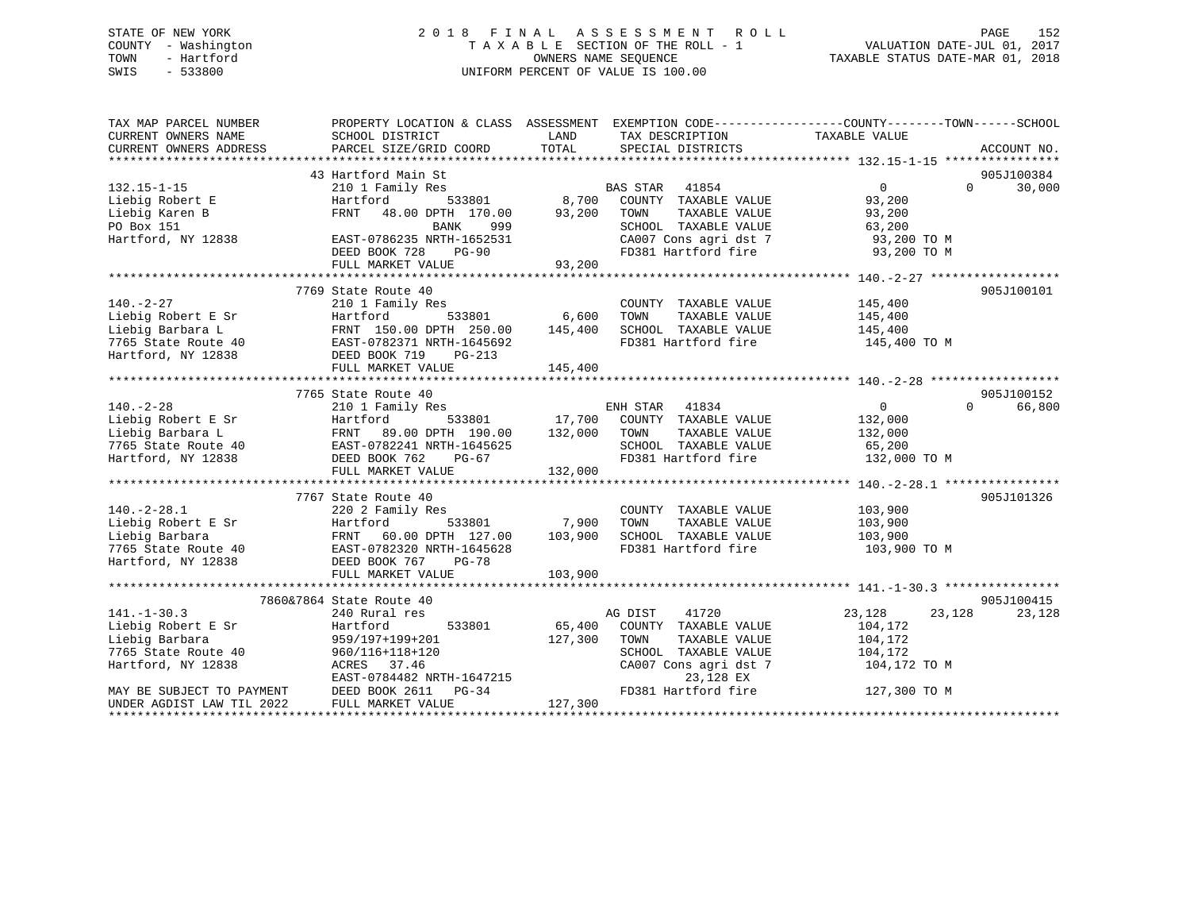# STATE OF NEW YORK 2 0 1 8 F I N A L A S S E S S M E N T R O L L PAGE 152 COUNTY - Washington T A X A B L E SECTION OF THE ROLL - 1 VALUATION DATE-JUL 01, 2017 TOWN - Hartford **TAXABLE STATUS DATE-MAR 01, 2018** OWNERS NAME SEQUENCE TAXABLE STATUS DATE-MAR 01, 2018 SWIS - 533800 UNIFORM PERCENT OF VALUE IS 100.00

| TAX MAP PARCEL NUMBER<br>CURRENT OWNERS NAME<br>CURRENT OWNERS ADDRESS | PROPERTY LOCATION & CLASS ASSESSMENT EXEMPTION CODE---------------COUNTY-------TOWN-----SCHOOL<br>SCHOOL DISTRICT<br>PARCEL SIZE/GRID COORD | LAND<br>TOTAL | TAX DESCRIPTION TAXABLE VALUE<br>SPECIAL DISTRICTS                         |                  | ACCOUNT NO.        |
|------------------------------------------------------------------------|---------------------------------------------------------------------------------------------------------------------------------------------|---------------|----------------------------------------------------------------------------|------------------|--------------------|
|                                                                        | 43 Hartford Main St                                                                                                                         |               |                                                                            |                  | 905J100384         |
| $132.15 - 1 - 15$                                                      | 210 1 Family Res                                                                                                                            |               | <b>BAS STAR</b><br>41854                                                   | $\overline{0}$   | 30,000<br>$\Omega$ |
| Liebig Robert E                                                        | Hartford<br>533801                                                                                                                          | 8,700         | COUNTY TAXABLE VALUE                                                       | 93,200           |                    |
| Liebig Karen B                                                         | FRNT<br>48.00 DPTH 170.00                                                                                                                   | 93,200        | TAXABLE VALUE<br>TOWN                                                      | 93,200           |                    |
| PO Box 151                                                             | BANK<br>999                                                                                                                                 |               |                                                                            | 63,200           |                    |
| Hartford, NY 12838                                                     | EAST-0786235 NRTH-1652531                                                                                                                   |               | VALUE<br>CA007 Cons agri dst 7<br>FD381 Howth                              | 93,200 TO M      |                    |
|                                                                        | DEED BOOK 728<br>$PG-90$                                                                                                                    |               | FD381 Hartford fire 93,200 TO M                                            |                  |                    |
|                                                                        |                                                                                                                                             |               |                                                                            |                  |                    |
|                                                                        |                                                                                                                                             |               |                                                                            |                  |                    |
|                                                                        | 7769 State Route 40                                                                                                                         |               |                                                                            |                  | 905J100101         |
| $140. - 2 - 27$                                                        | 210 1 Family Res                                                                                                                            |               | COUNTY TAXABLE VALUE                                                       | 145,400          |                    |
| Liebig Robert E Sr                                                     | 533801 6,600                                                                                                                                |               | TOWN<br>TAXABLE VALUE                                                      | 145,400          |                    |
| Liebig Barbara L                                                       |                                                                                                                                             | 145,400       | SCHOOL TAXABLE VALUE                                                       | 145,400          |                    |
| 7765 State Route 40                                                    | EAST-0782371 NRTH-1645692                                                                                                                   |               | FD381 Hartford fire                                                        | 145,400 TO M     |                    |
| Hartford, NY 12838                                                     | DEED BOOK 719<br>$PG-213$                                                                                                                   |               |                                                                            |                  |                    |
|                                                                        | FULL MARKET VALUE                                                                                                                           | 145,400       |                                                                            |                  |                    |
|                                                                        |                                                                                                                                             |               |                                                                            |                  |                    |
|                                                                        | 7765 State Route 40                                                                                                                         |               |                                                                            |                  | 905J100152         |
| $140. - 2 - 28$                                                        | 210 1 Family Res                                                                                                                            |               | ENH STAR<br>41834                                                          | $\overline{0}$   | $\Omega$<br>66,800 |
| Liebig Robert E Sr                                                     | Hartford                                                                                                                                    |               |                                                                            | 132,000          |                    |
| Liebig Barbara L                                                       | FRNT 89.00 DPTH 190.00                                                                                                                      |               | 533801 17,700 COUNTY TAXABLE VALUE<br>TH 190.00 132,000 TOWN TAXABLE VALUE | 132,000          |                    |
| 7765 State Route 40<br>EAST-0782241 NRTH-1645625<br>Westford NY 18886  |                                                                                                                                             |               | SCHOOL TAXABLE VALUE                                                       | 65,200           |                    |
| Hartford, NY 12838                                                     | DEED BOOK 762<br>PG-67                                                                                                                      |               | FD381 Hartford fire                                                        | 132,000 TO M     |                    |
|                                                                        | FULL MARKET VALUE                                                                                                                           | 132,000       |                                                                            |                  |                    |
|                                                                        |                                                                                                                                             |               |                                                                            |                  |                    |
|                                                                        | 7767 State Route 40                                                                                                                         |               |                                                                            |                  | 905J101326         |
| $140. -2 - 28.1$                                                       | 220 2 Family Res                                                                                                                            |               | COUNTY TAXABLE VALUE                                                       | 103,900          |                    |
| Liebig Robert E Sr                                                     | Hartford<br>533801                                                                                                                          | 7,900         | TAXABLE VALUE<br>TOWN                                                      | 103,900          |                    |
| Liebig Barbara                                                         | FRNT 60.00 DPTH 127.00                                                                                                                      | 103,900       | SCHOOL TAXABLE VALUE                                                       | 103,900          |                    |
| 7765 State Route 40                                                    | EAST-0782320 NRTH-1645628                                                                                                                   |               | FD381 Hartford fire                                                        | 103,900 TO M     |                    |
| Hartford, NY 12838                                                     | PG-78                                                                                                                                       |               |                                                                            |                  |                    |
|                                                                        | EAST-U/04521<br>DEED BOOK 767<br>TILE MARKET VALU                                                                                           |               |                                                                            |                  |                    |
|                                                                        |                                                                                                                                             |               |                                                                            |                  |                    |
|                                                                        | 7860&7864 State Route 40                                                                                                                    |               |                                                                            |                  | 905J100415         |
| $141. - 1 - 30.3$                                                      | 240 Rural res                                                                                                                               |               | AG DIST<br>41720                                                           | 23,128<br>23,128 | 23,128             |
| Liebig Robert E Sr                                                     | 533801<br>Hartford                                                                                                                          | 65,400        | COUNTY TAXABLE VALUE                                                       | 104,172          |                    |
| Liebig Barbara                                                         | 959/197+199+201                                                                                                                             | 127,300       | TAXABLE VALUE<br>TOWN                                                      | 104,172          |                    |
| 7765 State Route 40                                                    | 960/116+118+120                                                                                                                             |               | SCHOOL TAXABLE VALUE                                                       | 104,172          |                    |
| Hartford, NY 12838                                                     | ACRES 37.46                                                                                                                                 |               | CA007 Cons agri dst 7                                                      | 104,172 TO M     |                    |
|                                                                        | EAST-0784482 NRTH-1647215                                                                                                                   |               | 23,128 EX                                                                  |                  |                    |
| MAY BE SUBJECT TO PAYMENT                                              | DEED BOOK 2611 PG-34                                                                                                                        |               | FD381 Hartford fire 127,300 TO M                                           |                  |                    |
| UNDER AGDIST LAW TIL 2022                                              | FULL MARKET VALUE                                                                                                                           | 127,300       |                                                                            |                  |                    |
|                                                                        |                                                                                                                                             |               |                                                                            |                  |                    |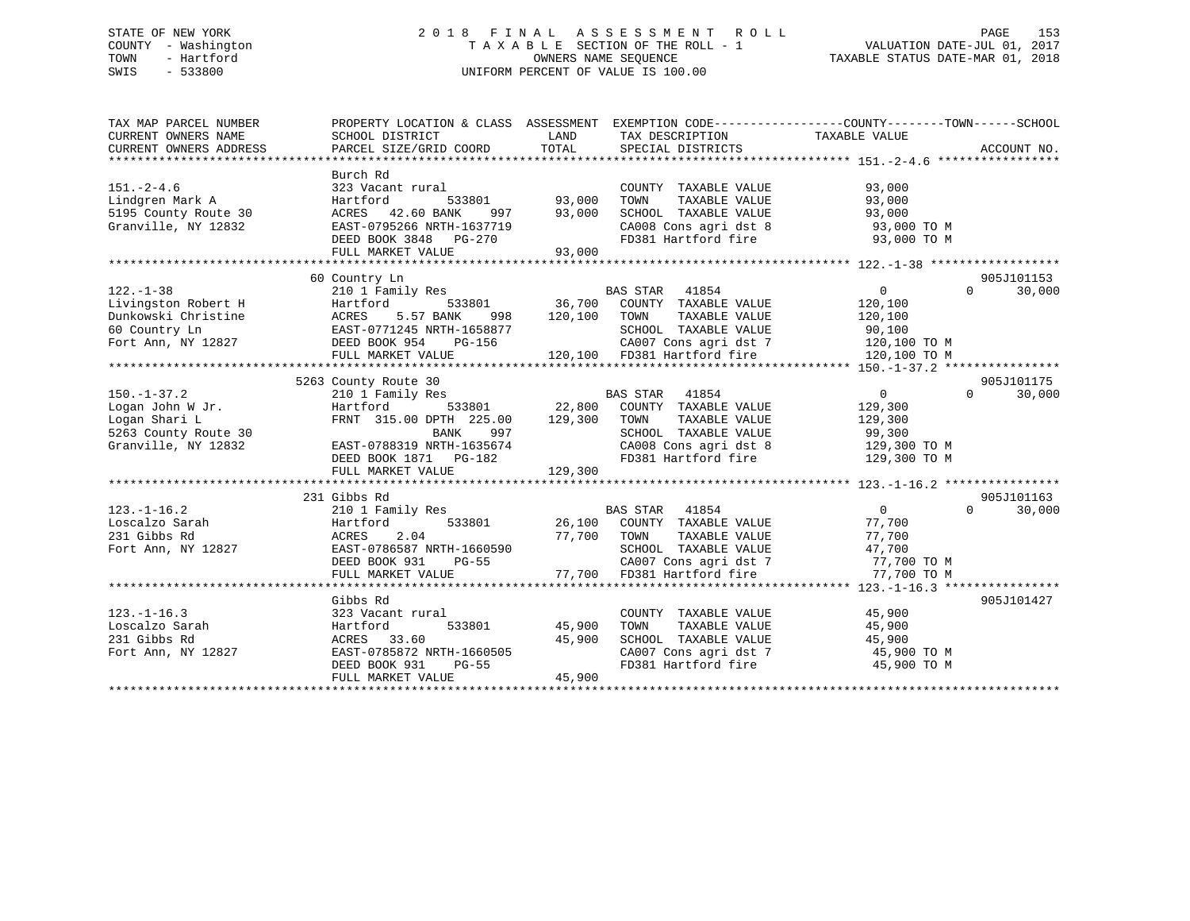# STATE OF NEW YORK 2 0 1 8 F I N A L A S S E S S M E N T R O L L PAGE 153 COUNTY - Washington T A X A B L E SECTION OF THE ROLL - 1 VALUATION DATE-JUL 01, 2017 TOWN - Hartford **TAXABLE STATUS DATE-MAR 01, 2018** OWNERS NAME SEQUENCE TAXABLE STATUS DATE-MAR 01, 2018 SWIS - 533800 UNIFORM PERCENT OF VALUE IS 100.00

| TAX MAP PARCEL NUMBER<br>CURRENT OWNERS NAME<br>CURRENT OWNERS ADDRESS                                | PROPERTY LOCATION & CLASS ASSESSMENT EXEMPTION CODE----------------COUNTY-------TOWN-----SCHOOL<br>SCHOOL DISTRICT<br>PARCEL SIZE/GRID COORD                           | LAND<br>TOTAL              | TAX DESCRIPTION TAXABLE VALUE<br>SPECIAL DISTRICTS                                                                                                              |                                                                                                               | ACCOUNT NO.                      |
|-------------------------------------------------------------------------------------------------------|------------------------------------------------------------------------------------------------------------------------------------------------------------------------|----------------------------|-----------------------------------------------------------------------------------------------------------------------------------------------------------------|---------------------------------------------------------------------------------------------------------------|----------------------------------|
| $151. - 2 - 4.6$<br>Lindgren Mark A<br>5195 County Route 30<br>Granville, NY 12832                    | Burch Rd<br>323 Vacant rural<br>Hartford<br>ACRES 42.60 BANK<br>ACRES 42.60 BANK 997 93,000<br>EAST-0795266 NRTH-1637719<br>DEED BOOK 3848 PG-270<br>FULL MARKET VALUE | 533801 93,000<br>93,000    | COUNTY TAXABLE VALUE<br>TAXABLE VALUE<br>TOWN<br>SCHOOL TAXABLE VALUE<br>FD381 Hartford fire                                                                    | 93,000<br>93,000<br>93,000<br>SCHOOL TAXABLE VALUE 93,000<br>CA008 Cons agri dst 8 93,000 TO M<br>93,000 TO M |                                  |
| $122. - 1 - 38$<br>Livingston Robert H<br>Dunkowski Christine<br>60 Country Ln<br>Fort Ann, NY 12827  | 60 Country Ln<br>210 1 Family Res<br>Hartford<br>5.57 BANK<br>ACRES<br>998<br>EAST-0771245 NRTH-1658877<br>DEED BOOK 954 PG-156<br>FULL MARKET VALUE                   | 120,100 TOWN               | BAS STAR 41854<br>533801 36,700 COUNTY TAXABLE VALUE<br>TAXABLE VALUE<br>SCHOOL TAXABLE VALUE<br>CA007 Cons agri dst 7<br>120,100 FD381 Hartford fire           | $\overline{0}$<br>120,100<br>120,100<br>90,100<br>120,100 TO M<br>120,100 TO M                                | 905J101153<br>$\Omega$<br>30,000 |
|                                                                                                       | 5263 County Route 30                                                                                                                                                   |                            |                                                                                                                                                                 |                                                                                                               | 905J101175                       |
| $150. - 1 - 37.2$<br>Logan John W Jr.<br>Logan Shari L<br>5263 County Route 30<br>Granville, NY 12832 | 210 1 Family Res<br>Hartford<br>FRNT 315.00 DPTH 225.00<br>BANK<br>997<br>EAST-0788319 NRTH-1635674<br>DEED BOOK 1871 PG-182<br>FULL MARKET VALUE                      | 129,300<br>129,300         | <b>BAS STAR</b><br>41854<br>533801 22,800 COUNTY TAXABLE VALUE<br>TOWN<br>TAXABLE VALUE<br>SCHOOL TAXABLE VALUE<br>CA008 Cons agri dst 8<br>FD381 Hartford fire | $\overline{0}$<br>129,300<br>129,300<br>99,300<br>129,300 TO M<br>129,300 TO M                                | $\Omega$<br>30,000               |
|                                                                                                       |                                                                                                                                                                        |                            |                                                                                                                                                                 |                                                                                                               |                                  |
| $123. - 1 - 16.2$<br>Loscalzo Sarah<br>231 Gibbs Rd<br>Fort Ann, NY 12827                             | 231 Gibbs Rd<br>210 1 Family Res<br>Hartford<br>ACRES<br>2.04<br>EAST-0786587 NRTH-1660590<br>DEED BOOK 931<br>PG-55<br>FULL MARKET VALUE                              | 77,700 TOWN<br>77,700      | <b>BAS STAR</b><br>41854<br>533801 $26,100$ COUNTY TAXABLE VALUE<br>TAXABLE VALUE<br>SCHOOL TAXABLE VALUE<br>CA007 Cons agri dst 7<br>En281 Hartford fire       | $\overline{0}$<br>77,700<br>77,700<br>47,700<br>77,700 TO M<br>77,700 TO M                                    | 905J101163<br>$\Omega$<br>30,000 |
|                                                                                                       |                                                                                                                                                                        |                            |                                                                                                                                                                 |                                                                                                               |                                  |
| $123. - 1 - 16.3$<br>Loscalzo Sarah<br>231 Gibbs Rd<br>Fort Ann, NY 12827                             | Gibbs Rd<br>323 Vacant rural<br>533801<br>Hartford<br>ACRES 33.60<br>EAST-0785872 NRTH-1660505<br>DEED BOOK 931<br>PG-55<br>FULL MARKET VALUE                          | 45,900<br>45,900<br>45,900 | COUNTY TAXABLE VALUE<br>TOWN<br>TAXABLE VALUE<br>FD381 Hartford fire                                                                                            | 45,900<br>45,900<br>45,900 TO M                                                                               | 905J101427                       |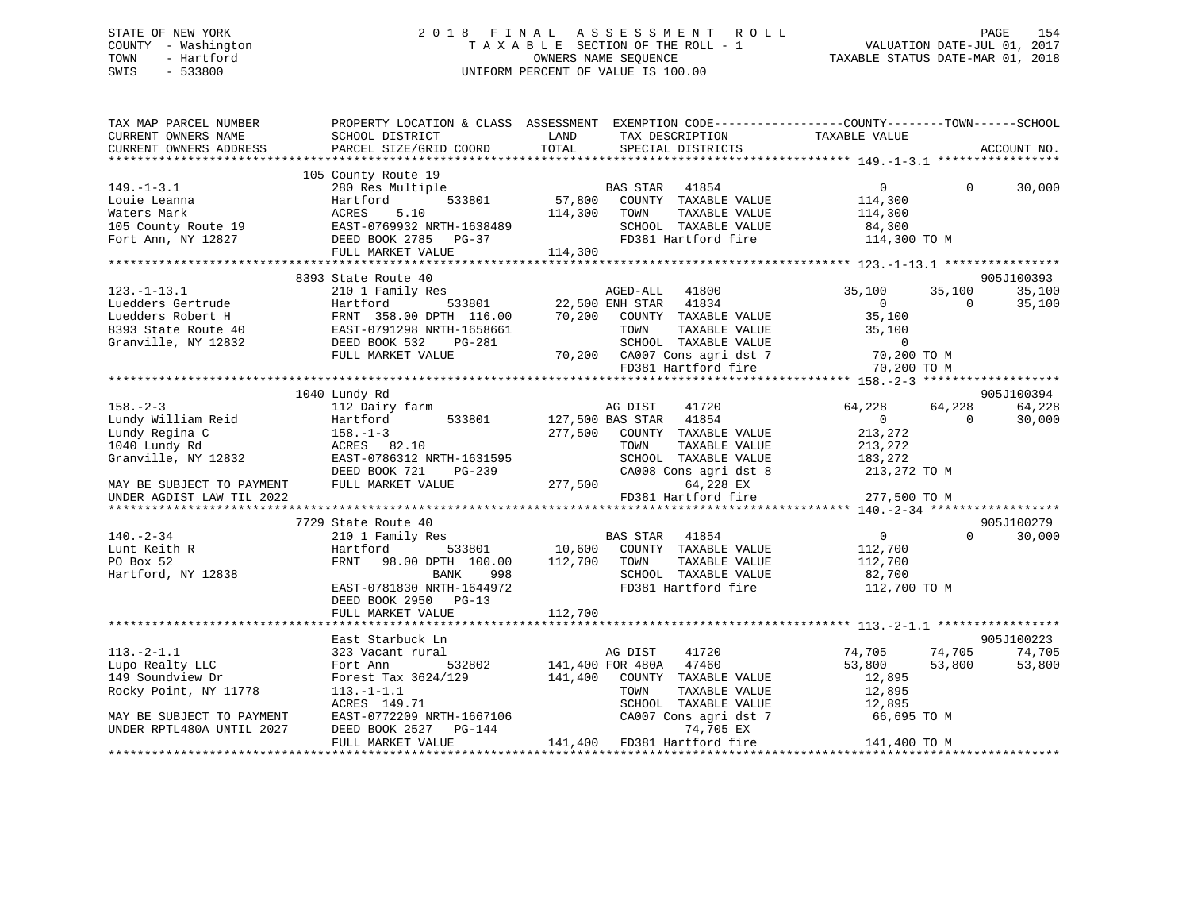# STATE OF NEW YORK 2 0 1 8 F I N A L A S S E S S M E N T R O L L PAGE 154 COUNTY - Washington T A X A B L E SECTION OF THE ROLL - 1 VALUATION DATE-JUL 01, 2017 TOWN - Hartford **TAXABLE STATUS DATE-MAR 01, 2018** OWNERS NAME SEQUENCE TAXABLE STATUS DATE-MAR 01, 2018 SWIS - 533800 UNIFORM PERCENT OF VALUE IS 100.00

| TAX MAP PARCEL NUMBER     | PROPERTY LOCATION & CLASS ASSESSMENT EXEMPTION CODE---------------COUNTY-------TOWN------SCHOOL                                                                                                                                                                                  |          |                                                        |                |          |             |
|---------------------------|----------------------------------------------------------------------------------------------------------------------------------------------------------------------------------------------------------------------------------------------------------------------------------|----------|--------------------------------------------------------|----------------|----------|-------------|
| CURRENT OWNERS NAME       | SCHOOL DISTRICT                                                                                                                                                                                                                                                                  | LAND     | TAX DESCRIPTION                                        | TAXABLE VALUE  |          |             |
| CURRENT OWNERS ADDRESS    | PARCEL SIZE/GRID COORD                                                                                                                                                                                                                                                           | TOTAL    | SPECIAL DISTRICTS                                      |                |          | ACCOUNT NO. |
|                           |                                                                                                                                                                                                                                                                                  |          |                                                        |                |          |             |
|                           | 105 County Route 19                                                                                                                                                                                                                                                              |          |                                                        |                |          |             |
| $149. - 1 - 3.1$          | County kould by<br>280 Res Multiple<br>Hartford 533801 57,800 COUNTY TAXABLE VALUE<br>ACRES 5.10 114,300 TOWN TAXABLE VALUE                                                                                                                                                      |          |                                                        | $\overline{0}$ | $\Omega$ | 30,000      |
|                           |                                                                                                                                                                                                                                                                                  |          |                                                        | 114,300        |          |             |
|                           |                                                                                                                                                                                                                                                                                  |          | TAXABLE VALUE                                          | 114,300        |          |             |
|                           |                                                                                                                                                                                                                                                                                  |          | SCHOOL TAXABLE VALUE                                   | 84,300         |          |             |
|                           |                                                                                                                                                                                                                                                                                  |          | FD381 Hartford fire 114,300 TO M                       |                |          |             |
|                           | FULL MARKET VALUE                                                                                                                                                                                                                                                                | 114,300  |                                                        |                |          |             |
|                           | AGED-ALL 41800<br>41800<br>41800<br>41800<br>41800<br>41800<br>41800<br>41800<br>41800<br>41800<br>41800<br>41800<br>41800<br>41800<br>41800<br>41800<br>41800<br>41800<br>41800<br>41800<br>41800<br>41800<br>41800<br>22,500 ENH STAR 41834<br>70,200 COUNTY TAXABLE VALUE<br> |          |                                                        |                |          |             |
|                           |                                                                                                                                                                                                                                                                                  |          |                                                        |                |          | 905J100393  |
|                           |                                                                                                                                                                                                                                                                                  |          |                                                        | 35,100         | 35,100   | 35,100      |
|                           |                                                                                                                                                                                                                                                                                  |          |                                                        | $\overline{0}$ | $\Omega$ | 35,100      |
|                           |                                                                                                                                                                                                                                                                                  |          |                                                        | 35,100         |          |             |
|                           |                                                                                                                                                                                                                                                                                  |          |                                                        | 35,100         |          |             |
|                           |                                                                                                                                                                                                                                                                                  |          |                                                        | $\sim$ 0       |          |             |
|                           |                                                                                                                                                                                                                                                                                  |          | 70,200 CA007 Cons agri dst 7<br>FD381 Hartford fire    | 70,200 TO M    |          |             |
|                           |                                                                                                                                                                                                                                                                                  |          |                                                        | 70,200 TO M    |          |             |
|                           |                                                                                                                                                                                                                                                                                  |          |                                                        |                |          |             |
|                           | 1040 Lundy Rd                                                                                                                                                                                                                                                                    |          |                                                        |                |          | 905J100394  |
| $158. - 2 - 3$            | 112 Dairy farm                                                                                                                                                                                                                                                                   |          | AG DIST<br>41720                                       | 64,228         | 64,228   | 64,228      |
| Lundy William Reid        | Harting 158.-1-3<br>158.-1-3<br>ACRES 82.10<br>EAST-0786312<br>533801                                                                                                                                                                                                            |          | 127,500 BAS STAR 41854                                 | $\overline{0}$ | $\Omega$ | 30,000      |
| Lundy Regina C            |                                                                                                                                                                                                                                                                                  |          | 277,500 COUNTY TAXABLE VALUE                           | 213,272        |          |             |
| 1040 Lundy Rd             |                                                                                                                                                                                                                                                                                  |          | TOWN<br>TAXABLE VALUE                                  | 213,272        |          |             |
| Granville, NY 12832       | EAST-0786312 NRTH-1631595                                                                                                                                                                                                                                                        | $PG-239$ | SCHOOL TAXABLE VALUE                                   | 183,272        |          |             |
|                           |                                                                                                                                                                                                                                                                                  |          | CA008 Cons agri dst 8                                  | 213,272 TO M   |          |             |
| MAY BE SUBJECT TO PAYMENT | FULL MARKET VALUE                                                                                                                                                                                                                                                                | 277,500  | 64,228 EX<br>FD381 Hartford fire 277,500 TO M          |                |          |             |
| UNDER AGDIST LAW TIL 2022 |                                                                                                                                                                                                                                                                                  |          |                                                        |                |          |             |
|                           | 7729 State Route 40                                                                                                                                                                                                                                                              |          |                                                        |                |          | 905J100279  |
| $140. - 2 - 34$           | 210 1 Family Res                                                                                                                                                                                                                                                                 |          | BAS STAR 41854                                         | $\overline{0}$ | $\Omega$ | 30,000      |
| Lunt Keith R              | Hartford                                                                                                                                                                                                                                                                         |          | 533801 10,600 COUNTY TAXABLE VALUE                     | 112,700        |          |             |
| PO Box 52                 | FRNT 98.00 DPTH 100.00 112,700 TOWN                                                                                                                                                                                                                                              |          | TAXABLE VALUE                                          | 112,700        |          |             |
| Hartford, NY 12838        | BANK<br>998                                                                                                                                                                                                                                                                      |          | SCHOOL TAXABLE VALUE                                   | 82,700         |          |             |
|                           | EAST-0781830 NRTH-1644972                                                                                                                                                                                                                                                        |          | FD381 Hartford fire 112,700 TO M                       |                |          |             |
|                           | DEED BOOK 2950<br>$PG-13$                                                                                                                                                                                                                                                        |          |                                                        |                |          |             |
|                           | FULL MARKET VALUE                                                                                                                                                                                                                                                                | 112,700  |                                                        |                |          |             |
|                           |                                                                                                                                                                                                                                                                                  |          |                                                        |                |          |             |
|                           | East Starbuck Ln                                                                                                                                                                                                                                                                 |          |                                                        |                |          | 905J100223  |
| $113.-2-1.1$              | 323 Vacant rural                                                                                                                                                                                                                                                                 |          | 41720<br>AG DIST                                       | 74,705         | 74,705   | 74,705      |
| Lupo Realty LLC           | Fort Ann 532802                                                                                                                                                                                                                                                                  |          |                                                        | 53,800         | 53,800   | 53,800      |
| 149 Soundview Dr          | Forest Tax 3624/129                                                                                                                                                                                                                                                              |          | 141,400 FOR 480A 47460<br>141,400 COUNTY TAXABLE VALUE | 12,895         |          |             |
| Rocky Point, NY 11778     | $113. - 1 - 1.1$                                                                                                                                                                                                                                                                 |          | TOWN<br>TAXABLE VALUE                                  | 12,895         |          |             |
|                           | ACRES 149.71                                                                                                                                                                                                                                                                     |          | SCHOOL TAXABLE VALUE                                   | 12,895         |          |             |
| MAY BE SUBJECT TO PAYMENT |                                                                                                                                                                                                                                                                                  |          | CA007 Cons agri dst 7                                  | 66,695 TO M    |          |             |
| UNDER RPTL480A UNTIL 2027 | EAST-0772209 NRTH-1667106<br>DEED BOOK 2527<br>PG-144                                                                                                                                                                                                                            |          | 74,705 EX                                              |                |          |             |
|                           | FULL MARKET VALUE                                                                                                                                                                                                                                                                |          | 141,400 FD381 Hartford fire                            | 141,400 TO M   |          |             |
|                           |                                                                                                                                                                                                                                                                                  |          |                                                        |                |          |             |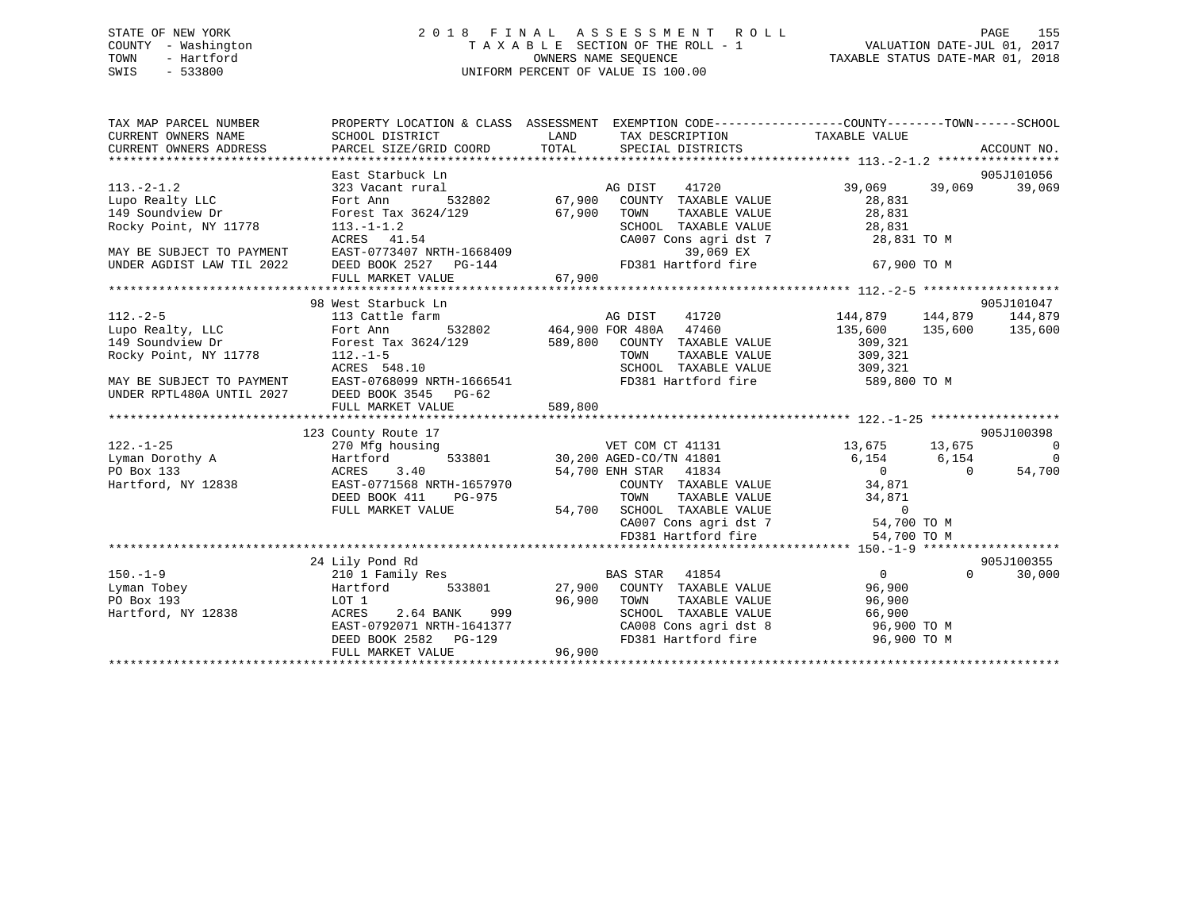# STATE OF NEW YORK 2 0 1 8 F I N A L A S S E S S M E N T R O L L PAGE 155 COUNTY - Washington T A X A B L E SECTION OF THE ROLL - 1 VALUATION DATE-JUL 01, 2017 TOWN - Hartford **TAXABLE STATUS DATE-MAR 01, 2018** OWNERS NAME SEQUENCE TAXABLE STATUS DATE-MAR 01, 2018 SWIS - 533800 UNIFORM PERCENT OF VALUE IS 100.00

| 905J101056<br>East Starbuck Ln<br>39,069<br>1 MAG DIST 41720<br>532802 67,900 COUNTY TAXABLE VALUE<br>39,069 39,069<br>323 Vacant rural<br>Lupo Realty LLC<br>28,831<br>Fort Ann<br>28,831<br>149 Soundview Dr<br>Forest Tax 3624/129<br>67,900 TOWN<br>TAXABLE VALUE<br>Rocky Point, NY 11778<br>SCHOOL TAXABLE VALUE 28,831<br>CA007 Consagri dst 7 28,831<br>$113.-1-1.2$<br>113. 1 1.2<br>ACRES 41.54<br>EAST-0773407 NRTH-1668409<br>28,831 TO M<br>39,069 EX<br>MAY BE SUBJECT TO PAYMENT<br>DEED BOOK 2527 PG-144<br>FD381 Hartford fire<br>67,900 TO M<br>UNDER AGDIST LAW TIL 2022<br>FULL MARKET VALUE<br>67,900<br>98 West Starbuck Ln<br>905J101047<br>$\begin{array}{cccc}\n 464,900 & FOR & 480A & 47460 \\  532802 & 464,900 & FOR & 480A & 47460 \\  664,900 & FOR & 480A & 47460 \\  768,900 & 6313777 & 7311317\n\end{array}$<br>$112. - 2 - 5$<br>144,879 144,879<br>144,879<br>113 Cattle farm<br>Lupo Realty, LLC<br>149 Soundview Dr<br>149 Soundview Dr<br>149 Soundview Dr<br>149 Soundview Dr<br>135,600 135,600<br>135,600<br>589,800 COUNTY TAXABLE VALUE<br>309,321<br>Rocky Point, NY 11778 112.-1-5<br>TAXABLE VALUE 309,321<br>TOWN<br>SCHOOL TAXABLE VALUE 309,321<br>ACRES 548.10<br>MAY BE SUBJECT TO PAYMENT EAST-0768099 NRTH-1666541<br>UNDER RPTL480A UNTIL 2027 DEED BOOK 3545 PG-62<br>FD381 Hartford fire 589,800 TO M<br>589,800<br>FULL MARKET VALUE<br>905J100398<br>123 County Route 17<br>VET COM CT 41131 13,675 13,675<br>30,200 AGED-CO/TN 41801 6,154 6,154 6,154<br>$122. - 1 - 25$<br>$\sim$ 0<br>270 Mfg housing<br>Lyman Dorothy A<br>$\overline{0}$<br>Hartford<br>PO Box 133<br>54,700<br>3.40<br>54,700 ENH STAR 41834<br>$\overline{0}$<br>ACRES<br>Hartford, NY 12838<br>EAST-0771568 NRTH-1657970<br>DEED BOOK 411<br>PG-975<br>FULL MARKET VALUE<br>FD381 Hartford fire<br>54,700 TO M<br>905J100355<br>24 Lily Pond Rd<br>$150. - 1 - 9$<br><b>BAS STAR</b><br>41854<br>$\overline{0}$<br>$\Omega$<br>210 1 Family Res<br>30,000 | TAX MAP PARCEL NUMBER<br>CURRENT OWNERS NAME<br>CURRENT OWNERS ADDRESS<br>CURRENT OWNERS ADDRESS FORCEL SIZE/GRID COORD TOTAL SPECIAL DISTRICTS THE THE RECOUNT NO.<br>TORRENT OWNERS ADDRESS PARCEL SIZE/GRID COORD TOTAL SPECIAL DISTRICTS ACCOUNT NO. | PROPERTY LOCATION & CLASS ASSESSMENT EXEMPTION CODE---------------COUNTY-------TOWN-----SCHOOL<br>SCHOOL DISTRICT | LAND | TAX DESCRIPTION TAXABLE VALUE |  |  |
|------------------------------------------------------------------------------------------------------------------------------------------------------------------------------------------------------------------------------------------------------------------------------------------------------------------------------------------------------------------------------------------------------------------------------------------------------------------------------------------------------------------------------------------------------------------------------------------------------------------------------------------------------------------------------------------------------------------------------------------------------------------------------------------------------------------------------------------------------------------------------------------------------------------------------------------------------------------------------------------------------------------------------------------------------------------------------------------------------------------------------------------------------------------------------------------------------------------------------------------------------------------------------------------------------------------------------------------------------------------------------------------------------------------------------------------------------------------------------------------------------------------------------------------------------------------------------------------------------------------------------------------------------------------------------------------------------------------------------------------------------------------------------------------------------------------------------------------------------------------------------------------------------------------------------------------------------------------------------------------------|----------------------------------------------------------------------------------------------------------------------------------------------------------------------------------------------------------------------------------------------------------|-------------------------------------------------------------------------------------------------------------------|------|-------------------------------|--|--|
|                                                                                                                                                                                                                                                                                                                                                                                                                                                                                                                                                                                                                                                                                                                                                                                                                                                                                                                                                                                                                                                                                                                                                                                                                                                                                                                                                                                                                                                                                                                                                                                                                                                                                                                                                                                                                                                                                                                                                                                                |                                                                                                                                                                                                                                                          |                                                                                                                   |      |                               |  |  |
|                                                                                                                                                                                                                                                                                                                                                                                                                                                                                                                                                                                                                                                                                                                                                                                                                                                                                                                                                                                                                                                                                                                                                                                                                                                                                                                                                                                                                                                                                                                                                                                                                                                                                                                                                                                                                                                                                                                                                                                                | $113. - 2 - 1.2$                                                                                                                                                                                                                                         |                                                                                                                   |      |                               |  |  |
|                                                                                                                                                                                                                                                                                                                                                                                                                                                                                                                                                                                                                                                                                                                                                                                                                                                                                                                                                                                                                                                                                                                                                                                                                                                                                                                                                                                                                                                                                                                                                                                                                                                                                                                                                                                                                                                                                                                                                                                                |                                                                                                                                                                                                                                                          |                                                                                                                   |      |                               |  |  |
|                                                                                                                                                                                                                                                                                                                                                                                                                                                                                                                                                                                                                                                                                                                                                                                                                                                                                                                                                                                                                                                                                                                                                                                                                                                                                                                                                                                                                                                                                                                                                                                                                                                                                                                                                                                                                                                                                                                                                                                                |                                                                                                                                                                                                                                                          |                                                                                                                   |      |                               |  |  |
|                                                                                                                                                                                                                                                                                                                                                                                                                                                                                                                                                                                                                                                                                                                                                                                                                                                                                                                                                                                                                                                                                                                                                                                                                                                                                                                                                                                                                                                                                                                                                                                                                                                                                                                                                                                                                                                                                                                                                                                                |                                                                                                                                                                                                                                                          |                                                                                                                   |      |                               |  |  |
|                                                                                                                                                                                                                                                                                                                                                                                                                                                                                                                                                                                                                                                                                                                                                                                                                                                                                                                                                                                                                                                                                                                                                                                                                                                                                                                                                                                                                                                                                                                                                                                                                                                                                                                                                                                                                                                                                                                                                                                                |                                                                                                                                                                                                                                                          |                                                                                                                   |      |                               |  |  |
|                                                                                                                                                                                                                                                                                                                                                                                                                                                                                                                                                                                                                                                                                                                                                                                                                                                                                                                                                                                                                                                                                                                                                                                                                                                                                                                                                                                                                                                                                                                                                                                                                                                                                                                                                                                                                                                                                                                                                                                                |                                                                                                                                                                                                                                                          |                                                                                                                   |      |                               |  |  |
|                                                                                                                                                                                                                                                                                                                                                                                                                                                                                                                                                                                                                                                                                                                                                                                                                                                                                                                                                                                                                                                                                                                                                                                                                                                                                                                                                                                                                                                                                                                                                                                                                                                                                                                                                                                                                                                                                                                                                                                                |                                                                                                                                                                                                                                                          |                                                                                                                   |      |                               |  |  |
|                                                                                                                                                                                                                                                                                                                                                                                                                                                                                                                                                                                                                                                                                                                                                                                                                                                                                                                                                                                                                                                                                                                                                                                                                                                                                                                                                                                                                                                                                                                                                                                                                                                                                                                                                                                                                                                                                                                                                                                                |                                                                                                                                                                                                                                                          |                                                                                                                   |      |                               |  |  |
|                                                                                                                                                                                                                                                                                                                                                                                                                                                                                                                                                                                                                                                                                                                                                                                                                                                                                                                                                                                                                                                                                                                                                                                                                                                                                                                                                                                                                                                                                                                                                                                                                                                                                                                                                                                                                                                                                                                                                                                                |                                                                                                                                                                                                                                                          |                                                                                                                   |      |                               |  |  |
|                                                                                                                                                                                                                                                                                                                                                                                                                                                                                                                                                                                                                                                                                                                                                                                                                                                                                                                                                                                                                                                                                                                                                                                                                                                                                                                                                                                                                                                                                                                                                                                                                                                                                                                                                                                                                                                                                                                                                                                                |                                                                                                                                                                                                                                                          |                                                                                                                   |      |                               |  |  |
|                                                                                                                                                                                                                                                                                                                                                                                                                                                                                                                                                                                                                                                                                                                                                                                                                                                                                                                                                                                                                                                                                                                                                                                                                                                                                                                                                                                                                                                                                                                                                                                                                                                                                                                                                                                                                                                                                                                                                                                                |                                                                                                                                                                                                                                                          |                                                                                                                   |      |                               |  |  |
|                                                                                                                                                                                                                                                                                                                                                                                                                                                                                                                                                                                                                                                                                                                                                                                                                                                                                                                                                                                                                                                                                                                                                                                                                                                                                                                                                                                                                                                                                                                                                                                                                                                                                                                                                                                                                                                                                                                                                                                                |                                                                                                                                                                                                                                                          |                                                                                                                   |      |                               |  |  |
|                                                                                                                                                                                                                                                                                                                                                                                                                                                                                                                                                                                                                                                                                                                                                                                                                                                                                                                                                                                                                                                                                                                                                                                                                                                                                                                                                                                                                                                                                                                                                                                                                                                                                                                                                                                                                                                                                                                                                                                                |                                                                                                                                                                                                                                                          |                                                                                                                   |      |                               |  |  |
|                                                                                                                                                                                                                                                                                                                                                                                                                                                                                                                                                                                                                                                                                                                                                                                                                                                                                                                                                                                                                                                                                                                                                                                                                                                                                                                                                                                                                                                                                                                                                                                                                                                                                                                                                                                                                                                                                                                                                                                                |                                                                                                                                                                                                                                                          |                                                                                                                   |      |                               |  |  |
|                                                                                                                                                                                                                                                                                                                                                                                                                                                                                                                                                                                                                                                                                                                                                                                                                                                                                                                                                                                                                                                                                                                                                                                                                                                                                                                                                                                                                                                                                                                                                                                                                                                                                                                                                                                                                                                                                                                                                                                                |                                                                                                                                                                                                                                                          |                                                                                                                   |      |                               |  |  |
|                                                                                                                                                                                                                                                                                                                                                                                                                                                                                                                                                                                                                                                                                                                                                                                                                                                                                                                                                                                                                                                                                                                                                                                                                                                                                                                                                                                                                                                                                                                                                                                                                                                                                                                                                                                                                                                                                                                                                                                                |                                                                                                                                                                                                                                                          |                                                                                                                   |      |                               |  |  |
|                                                                                                                                                                                                                                                                                                                                                                                                                                                                                                                                                                                                                                                                                                                                                                                                                                                                                                                                                                                                                                                                                                                                                                                                                                                                                                                                                                                                                                                                                                                                                                                                                                                                                                                                                                                                                                                                                                                                                                                                |                                                                                                                                                                                                                                                          |                                                                                                                   |      |                               |  |  |
|                                                                                                                                                                                                                                                                                                                                                                                                                                                                                                                                                                                                                                                                                                                                                                                                                                                                                                                                                                                                                                                                                                                                                                                                                                                                                                                                                                                                                                                                                                                                                                                                                                                                                                                                                                                                                                                                                                                                                                                                |                                                                                                                                                                                                                                                          |                                                                                                                   |      |                               |  |  |
|                                                                                                                                                                                                                                                                                                                                                                                                                                                                                                                                                                                                                                                                                                                                                                                                                                                                                                                                                                                                                                                                                                                                                                                                                                                                                                                                                                                                                                                                                                                                                                                                                                                                                                                                                                                                                                                                                                                                                                                                |                                                                                                                                                                                                                                                          |                                                                                                                   |      |                               |  |  |
|                                                                                                                                                                                                                                                                                                                                                                                                                                                                                                                                                                                                                                                                                                                                                                                                                                                                                                                                                                                                                                                                                                                                                                                                                                                                                                                                                                                                                                                                                                                                                                                                                                                                                                                                                                                                                                                                                                                                                                                                |                                                                                                                                                                                                                                                          |                                                                                                                   |      |                               |  |  |
|                                                                                                                                                                                                                                                                                                                                                                                                                                                                                                                                                                                                                                                                                                                                                                                                                                                                                                                                                                                                                                                                                                                                                                                                                                                                                                                                                                                                                                                                                                                                                                                                                                                                                                                                                                                                                                                                                                                                                                                                |                                                                                                                                                                                                                                                          |                                                                                                                   |      |                               |  |  |
|                                                                                                                                                                                                                                                                                                                                                                                                                                                                                                                                                                                                                                                                                                                                                                                                                                                                                                                                                                                                                                                                                                                                                                                                                                                                                                                                                                                                                                                                                                                                                                                                                                                                                                                                                                                                                                                                                                                                                                                                |                                                                                                                                                                                                                                                          |                                                                                                                   |      |                               |  |  |
|                                                                                                                                                                                                                                                                                                                                                                                                                                                                                                                                                                                                                                                                                                                                                                                                                                                                                                                                                                                                                                                                                                                                                                                                                                                                                                                                                                                                                                                                                                                                                                                                                                                                                                                                                                                                                                                                                                                                                                                                |                                                                                                                                                                                                                                                          |                                                                                                                   |      |                               |  |  |
|                                                                                                                                                                                                                                                                                                                                                                                                                                                                                                                                                                                                                                                                                                                                                                                                                                                                                                                                                                                                                                                                                                                                                                                                                                                                                                                                                                                                                                                                                                                                                                                                                                                                                                                                                                                                                                                                                                                                                                                                |                                                                                                                                                                                                                                                          |                                                                                                                   |      |                               |  |  |
|                                                                                                                                                                                                                                                                                                                                                                                                                                                                                                                                                                                                                                                                                                                                                                                                                                                                                                                                                                                                                                                                                                                                                                                                                                                                                                                                                                                                                                                                                                                                                                                                                                                                                                                                                                                                                                                                                                                                                                                                |                                                                                                                                                                                                                                                          |                                                                                                                   |      |                               |  |  |
|                                                                                                                                                                                                                                                                                                                                                                                                                                                                                                                                                                                                                                                                                                                                                                                                                                                                                                                                                                                                                                                                                                                                                                                                                                                                                                                                                                                                                                                                                                                                                                                                                                                                                                                                                                                                                                                                                                                                                                                                |                                                                                                                                                                                                                                                          |                                                                                                                   |      |                               |  |  |
|                                                                                                                                                                                                                                                                                                                                                                                                                                                                                                                                                                                                                                                                                                                                                                                                                                                                                                                                                                                                                                                                                                                                                                                                                                                                                                                                                                                                                                                                                                                                                                                                                                                                                                                                                                                                                                                                                                                                                                                                |                                                                                                                                                                                                                                                          |                                                                                                                   |      |                               |  |  |
|                                                                                                                                                                                                                                                                                                                                                                                                                                                                                                                                                                                                                                                                                                                                                                                                                                                                                                                                                                                                                                                                                                                                                                                                                                                                                                                                                                                                                                                                                                                                                                                                                                                                                                                                                                                                                                                                                                                                                                                                |                                                                                                                                                                                                                                                          |                                                                                                                   |      |                               |  |  |
|                                                                                                                                                                                                                                                                                                                                                                                                                                                                                                                                                                                                                                                                                                                                                                                                                                                                                                                                                                                                                                                                                                                                                                                                                                                                                                                                                                                                                                                                                                                                                                                                                                                                                                                                                                                                                                                                                                                                                                                                |                                                                                                                                                                                                                                                          |                                                                                                                   |      |                               |  |  |
|                                                                                                                                                                                                                                                                                                                                                                                                                                                                                                                                                                                                                                                                                                                                                                                                                                                                                                                                                                                                                                                                                                                                                                                                                                                                                                                                                                                                                                                                                                                                                                                                                                                                                                                                                                                                                                                                                                                                                                                                |                                                                                                                                                                                                                                                          |                                                                                                                   |      |                               |  |  |
|                                                                                                                                                                                                                                                                                                                                                                                                                                                                                                                                                                                                                                                                                                                                                                                                                                                                                                                                                                                                                                                                                                                                                                                                                                                                                                                                                                                                                                                                                                                                                                                                                                                                                                                                                                                                                                                                                                                                                                                                |                                                                                                                                                                                                                                                          |                                                                                                                   |      |                               |  |  |
| Hartford<br>533801<br>27,900 COUNTY TAXABLE VALUE<br>96,900 TOWN TAXABLE VALUE<br>96,900                                                                                                                                                                                                                                                                                                                                                                                                                                                                                                                                                                                                                                                                                                                                                                                                                                                                                                                                                                                                                                                                                                                                                                                                                                                                                                                                                                                                                                                                                                                                                                                                                                                                                                                                                                                                                                                                                                       | Lyman Tobey<br>PO Box 193<br>Hartford, NY 12838                                                                                                                                                                                                          |                                                                                                                   |      |                               |  |  |
| 96,900<br>LOT 1                                                                                                                                                                                                                                                                                                                                                                                                                                                                                                                                                                                                                                                                                                                                                                                                                                                                                                                                                                                                                                                                                                                                                                                                                                                                                                                                                                                                                                                                                                                                                                                                                                                                                                                                                                                                                                                                                                                                                                                |                                                                                                                                                                                                                                                          |                                                                                                                   |      |                               |  |  |
| 999<br>66,900<br>ACRES<br>2.64 BANK<br>SCHOOL TAXABLE VALUE                                                                                                                                                                                                                                                                                                                                                                                                                                                                                                                                                                                                                                                                                                                                                                                                                                                                                                                                                                                                                                                                                                                                                                                                                                                                                                                                                                                                                                                                                                                                                                                                                                                                                                                                                                                                                                                                                                                                    |                                                                                                                                                                                                                                                          |                                                                                                                   |      |                               |  |  |
| CA008 Cons agri dst 8 96,900 TO M<br>EAST-0792071 NRTH-1641377<br>DEED BOOK 2582 PG-129                                                                                                                                                                                                                                                                                                                                                                                                                                                                                                                                                                                                                                                                                                                                                                                                                                                                                                                                                                                                                                                                                                                                                                                                                                                                                                                                                                                                                                                                                                                                                                                                                                                                                                                                                                                                                                                                                                        |                                                                                                                                                                                                                                                          |                                                                                                                   |      |                               |  |  |
| FD381 Hartford fire<br>96,900 TO M<br>96,900                                                                                                                                                                                                                                                                                                                                                                                                                                                                                                                                                                                                                                                                                                                                                                                                                                                                                                                                                                                                                                                                                                                                                                                                                                                                                                                                                                                                                                                                                                                                                                                                                                                                                                                                                                                                                                                                                                                                                   |                                                                                                                                                                                                                                                          |                                                                                                                   |      |                               |  |  |
| FULL MARKET VALUE                                                                                                                                                                                                                                                                                                                                                                                                                                                                                                                                                                                                                                                                                                                                                                                                                                                                                                                                                                                                                                                                                                                                                                                                                                                                                                                                                                                                                                                                                                                                                                                                                                                                                                                                                                                                                                                                                                                                                                              |                                                                                                                                                                                                                                                          |                                                                                                                   |      |                               |  |  |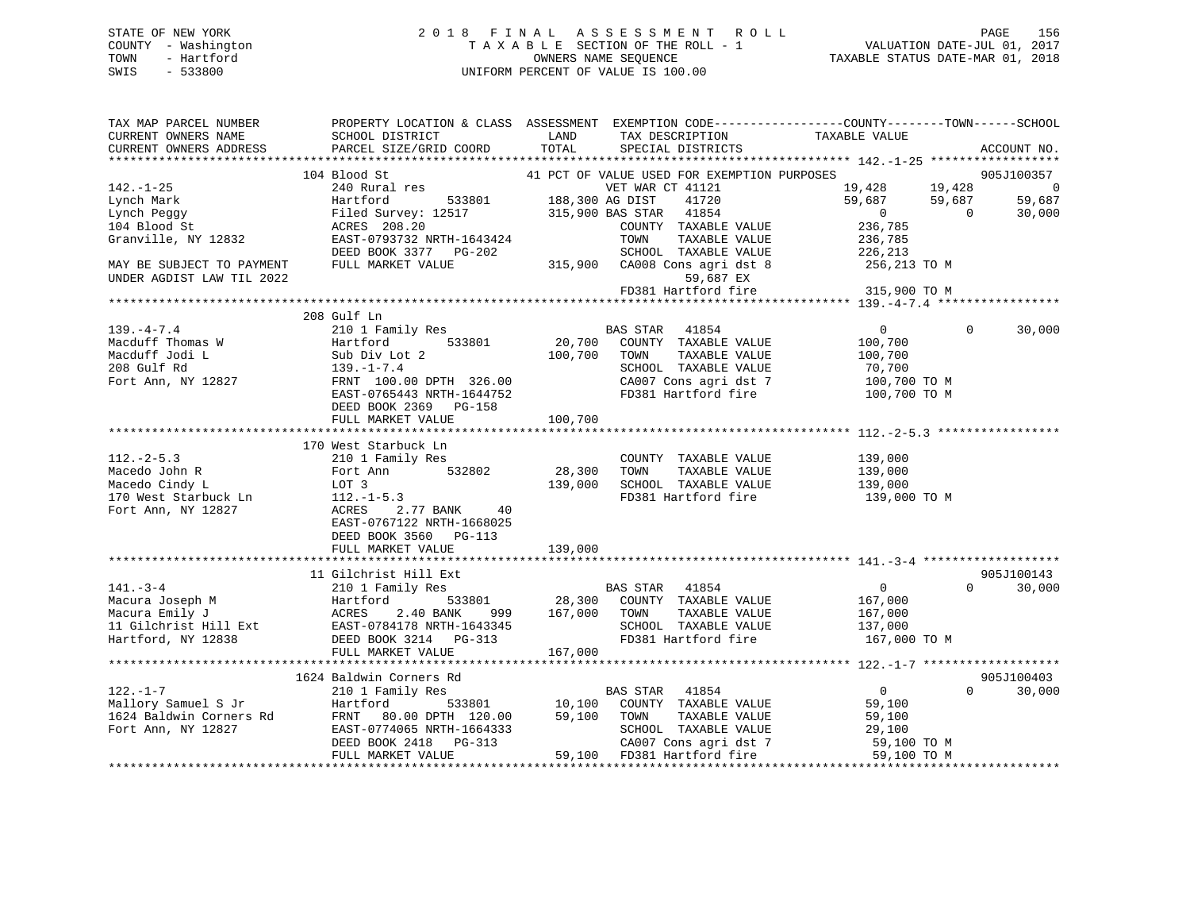# STATE OF NEW YORK 2 0 1 8 F I N A L A S S E S S M E N T R O L L PAGE 156 COUNTY - Washington T A X A B L E SECTION OF THE ROLL - 1 VALUATION DATE-JUL 01, 2017 TOWN - Hartford **TAXABLE STATUS DATE-MAR 01, 2018** OWNERS NAME SEQUENCE TAXABLE STATUS DATE-MAR 01, 2018 SWIS - 533800 UNIFORM PERCENT OF VALUE IS 100.00

| TAX MAP PARCEL NUMBER | PROPERTY LOCATION & CLASS ASSESSMENT EXEMPTION CODE----------------COUNTY-------TOWN-----SCHOOL                                                                                                                                                                                                                                                                                                                                                        |                                                                       |                |             |
|-----------------------|--------------------------------------------------------------------------------------------------------------------------------------------------------------------------------------------------------------------------------------------------------------------------------------------------------------------------------------------------------------------------------------------------------------------------------------------------------|-----------------------------------------------------------------------|----------------|-------------|
|                       |                                                                                                                                                                                                                                                                                                                                                                                                                                                        |                                                                       |                |             |
|                       |                                                                                                                                                                                                                                                                                                                                                                                                                                                        |                                                                       |                | ACCOUNT NO. |
|                       |                                                                                                                                                                                                                                                                                                                                                                                                                                                        |                                                                       |                |             |
|                       | 104 Blood St                                                                                                                                                                                                                                                                                                                                                                                                                                           |                                                                       |                |             |
|                       |                                                                                                                                                                                                                                                                                                                                                                                                                                                        | 41 PCT OF VALUE USED FOR EXEMPTION PURPOSES<br>19,428 19,428 19,428 0 |                |             |
|                       |                                                                                                                                                                                                                                                                                                                                                                                                                                                        |                                                                       |                |             |
|                       |                                                                                                                                                                                                                                                                                                                                                                                                                                                        |                                                                       |                |             |
|                       |                                                                                                                                                                                                                                                                                                                                                                                                                                                        |                                                                       |                |             |
|                       |                                                                                                                                                                                                                                                                                                                                                                                                                                                        |                                                                       |                |             |
|                       |                                                                                                                                                                                                                                                                                                                                                                                                                                                        |                                                                       |                |             |
|                       |                                                                                                                                                                                                                                                                                                                                                                                                                                                        |                                                                       |                |             |
|                       |                                                                                                                                                                                                                                                                                                                                                                                                                                                        |                                                                       |                |             |
|                       |                                                                                                                                                                                                                                                                                                                                                                                                                                                        |                                                                       |                |             |
|                       |                                                                                                                                                                                                                                                                                                                                                                                                                                                        |                                                                       |                |             |
|                       | 208 Gulf Ln                                                                                                                                                                                                                                                                                                                                                                                                                                            |                                                                       |                |             |
|                       |                                                                                                                                                                                                                                                                                                                                                                                                                                                        |                                                                       | $\Omega$       | 30,000      |
|                       |                                                                                                                                                                                                                                                                                                                                                                                                                                                        |                                                                       |                |             |
|                       |                                                                                                                                                                                                                                                                                                                                                                                                                                                        |                                                                       |                |             |
|                       |                                                                                                                                                                                                                                                                                                                                                                                                                                                        |                                                                       |                |             |
|                       |                                                                                                                                                                                                                                                                                                                                                                                                                                                        |                                                                       |                |             |
|                       | 139.-4-7.4<br>Macduff Thomas W 200 ULI Family Res<br>Macduff Thomas W Hartford 533801 20,700 COUNTY TAXABLE VALUE 100,700<br>Macduff Jodi L Sub Div Lot 2 100,700 TOWN TAXABLE VALUE 100,700<br>208 Gulf Rd 139.-1-7.4<br>Fort Ann, NY 1                                                                                                                                                                                                               |                                                                       |                |             |
|                       | DEED BOOK 2369 PG-158                                                                                                                                                                                                                                                                                                                                                                                                                                  |                                                                       |                |             |
|                       |                                                                                                                                                                                                                                                                                                                                                                                                                                                        |                                                                       |                |             |
|                       |                                                                                                                                                                                                                                                                                                                                                                                                                                                        |                                                                       |                |             |
|                       | 170 West Starbuck Ln                                                                                                                                                                                                                                                                                                                                                                                                                                   |                                                                       |                |             |
|                       |                                                                                                                                                                                                                                                                                                                                                                                                                                                        |                                                                       |                |             |
|                       |                                                                                                                                                                                                                                                                                                                                                                                                                                                        |                                                                       |                |             |
|                       |                                                                                                                                                                                                                                                                                                                                                                                                                                                        |                                                                       |                |             |
|                       |                                                                                                                                                                                                                                                                                                                                                                                                                                                        |                                                                       |                |             |
|                       | And COUNTY TAXABLE VALUE<br>Macedo John R Fort Ann 532802<br>Macedo Cindy L LOT 3<br>TO West Starbuck Ln 112.-1-5.3<br>Fort Ann, NY 12827<br>Rort Ann, NY 12827<br>Rort Ann, NY 12827<br>RORES 2.77 BANK 40<br>EAST-0767122 NRTH-1668025<br>DEED                                                                                                                                                                                                       |                                                                       |                |             |
|                       |                                                                                                                                                                                                                                                                                                                                                                                                                                                        |                                                                       |                |             |
|                       | DEED BOOK 3560 PG-113                                                                                                                                                                                                                                                                                                                                                                                                                                  |                                                                       |                |             |
|                       |                                                                                                                                                                                                                                                                                                                                                                                                                                                        |                                                                       |                |             |
|                       |                                                                                                                                                                                                                                                                                                                                                                                                                                                        |                                                                       |                |             |
|                       | 11 Gilchrist Hill Ext                                                                                                                                                                                                                                                                                                                                                                                                                                  |                                                                       |                | 905J100143  |
|                       |                                                                                                                                                                                                                                                                                                                                                                                                                                                        |                                                                       | $\overline{0}$ | 30,000      |
|                       |                                                                                                                                                                                                                                                                                                                                                                                                                                                        |                                                                       |                |             |
|                       |                                                                                                                                                                                                                                                                                                                                                                                                                                                        |                                                                       |                |             |
|                       |                                                                                                                                                                                                                                                                                                                                                                                                                                                        |                                                                       |                |             |
|                       |                                                                                                                                                                                                                                                                                                                                                                                                                                                        |                                                                       |                |             |
|                       |                                                                                                                                                                                                                                                                                                                                                                                                                                                        |                                                                       |                |             |
|                       |                                                                                                                                                                                                                                                                                                                                                                                                                                                        |                                                                       |                |             |
|                       | 1624 Baldwin Corners Rd                                                                                                                                                                                                                                                                                                                                                                                                                                |                                                                       |                | 905J100403  |
|                       |                                                                                                                                                                                                                                                                                                                                                                                                                                                        |                                                                       |                | 30,000      |
|                       |                                                                                                                                                                                                                                                                                                                                                                                                                                                        |                                                                       |                |             |
|                       |                                                                                                                                                                                                                                                                                                                                                                                                                                                        |                                                                       |                |             |
|                       |                                                                                                                                                                                                                                                                                                                                                                                                                                                        |                                                                       |                |             |
|                       |                                                                                                                                                                                                                                                                                                                                                                                                                                                        |                                                                       |                |             |
|                       | $\begin{array}{cccc} & & & 1624 & \text{Baldwin}\ \text{Corner} & \text{Rd} & \\ & & 210 & \text{Family Res} & \\ \text{Mallory Samuel S Jr} & & \text{Hartford} & & \text{D33801} & \\ \text{Mallory Samuel S Jr} & & \text{Hartford} & & \text{D33801} & \\ \text{Mallory Samuel S Jr} & & \text{Hartford} & & \text{D31801} & \\ \text{IC4 Baldwin \hbox{Conners Rd}} & & \text{FRTT} & 80.00 \hbox{ DFTH} & 120.00 & 59,100 & \text{TOMN} & \text$ |                                                                       |                |             |
|                       |                                                                                                                                                                                                                                                                                                                                                                                                                                                        |                                                                       |                |             |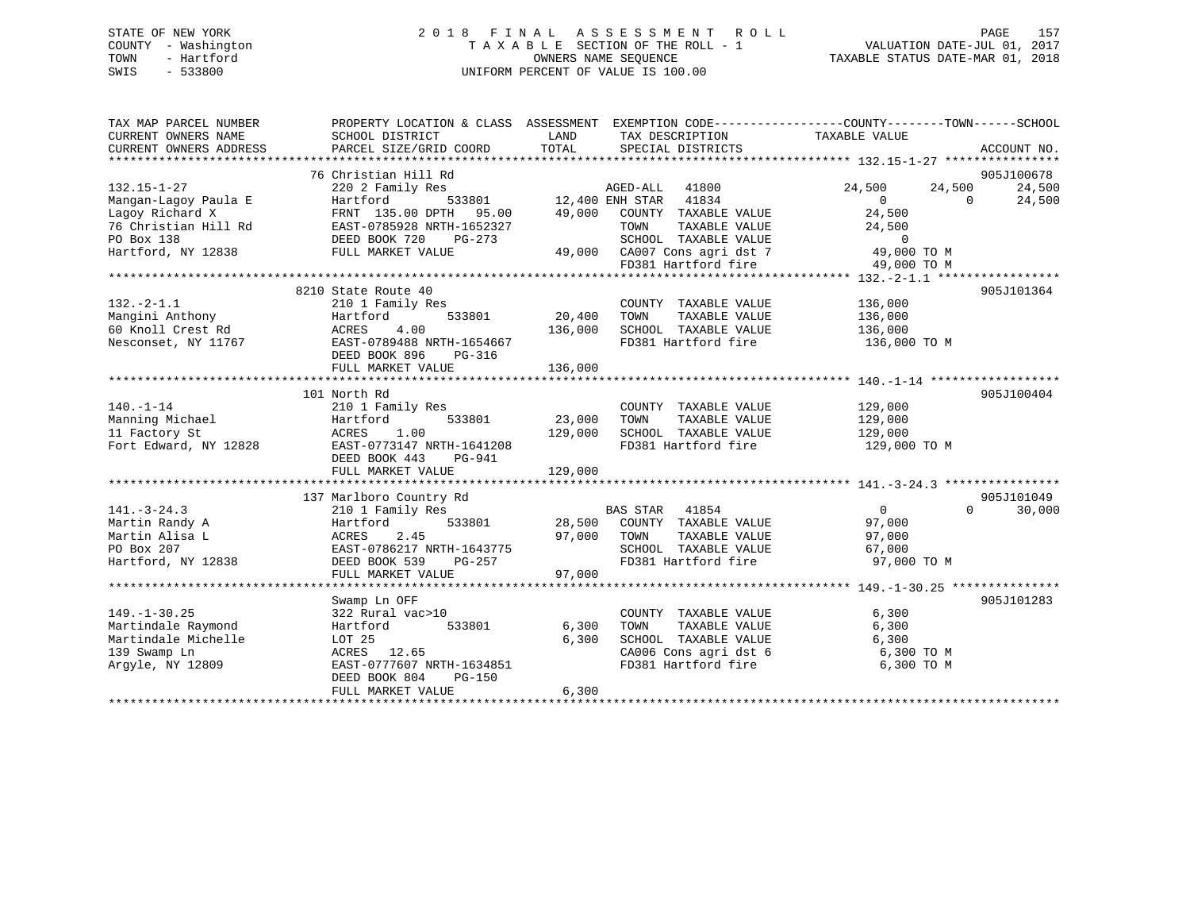# STATE OF NEW YORK 2 0 1 8 F I N A L A S S E S S M E N T R O L L PAGE 157 COUNTY - Washington T A X A B L E SECTION OF THE ROLL - 1 VALUATION DATE-JUL 01, 2017 TOWN - Hartford **TAXABLE STATUS DATE-MAR 01, 2018** OWNERS NAME SEQUENCE TAXABLE STATUS DATE-MAR 01, 2018 SWIS - 533800 UNIFORM PERCENT OF VALUE IS 100.00

| TAX MAP PARCEL NUMBER<br>CURRENT OWNERS NAME<br>CURRENT OWNERS ADDRESS | PROPERTY LOCATION & CLASS ASSESSMENT EXEMPTION CODE----------------COUNTY-------TOWN------SCHOOL<br>SCHOOL DISTRICT<br>PARCEL SIZE/GRID COORD | LAND<br>TOTAL | TAX DESCRIPTION TAXABLE VALUE<br>SPECIAL DISTRICTS                                          |                  | ACCOUNT NO.        |
|------------------------------------------------------------------------|-----------------------------------------------------------------------------------------------------------------------------------------------|---------------|---------------------------------------------------------------------------------------------|------------------|--------------------|
|                                                                        |                                                                                                                                               |               |                                                                                             |                  | 905J100678         |
|                                                                        | 76 Christian Hill Rd                                                                                                                          |               |                                                                                             |                  |                    |
| $132.15 - 1 - 27$                                                      | 220 2 Family Res                                                                                                                              |               | AGED-ALL 41800                                                                              | 24,500<br>24,500 | 24,500             |
| Mangan-Lagoy Paula E                                                   | Hartford                                                                                                                                      |               | 533801 12,400 ENH STAR 41834<br>TH 95.00 49,000 COUNTY TAXABLE                              | $\overline{0}$   | $\Omega$<br>24,500 |
| Lagoy Richard X                                                        | FRNT 135.00 DPTH 95.00                                                                                                                        |               | COUNTY TAXABLE VALUE                                                                        | 24,500           |                    |
| 76 Christian Hill Rd                                                   | EAST-0785928 NRTH-1652327                                                                                                                     |               | TAXABLE VALUE<br>TOWN                                                                       | 24,500           |                    |
| PO Box 138                                                             | DEED BOOK 720<br>PG-273                                                                                                                       |               | SCHOOL TAXABLE VALUE<br>SCHOOL TAXABLE VALUE 0<br>49,000 CA007 Cons agri dst 7 (49,000 TO M |                  |                    |
| Hartford, NY 12838                                                     | FULL MARKET VALUE                                                                                                                             |               |                                                                                             |                  |                    |
|                                                                        |                                                                                                                                               |               | FD381 Hartford fire                                                                         | 49,000 TO M      |                    |
|                                                                        |                                                                                                                                               |               |                                                                                             |                  |                    |
|                                                                        | 8210 State Route 40                                                                                                                           |               |                                                                                             |                  | 905J101364         |
| $132. -2 - 1.1$                                                        | 210 1 Family Res                                                                                                                              |               | COUNTY TAXABLE VALUE                                                                        | 136,000          |                    |
| Mangini Anthony                                                        | 533801<br>Hartford                                                                                                                            | 20, 400       | TOWN<br>TAXABLE VALUE                                                                       | 136,000          |                    |
| 60 Knoll Crest Rd                                                      | ACRES<br>4.00                                                                                                                                 | 136,000       | SCHOOL TAXABLE VALUE                                                                        | 136,000          |                    |
| Nesconset, NY 11767                                                    | EAST-0789488 NRTH-1654667<br>DEED BOOK 896<br>$PG-316$                                                                                        |               | FD381 Hartford fire                                                                         | 136,000 TO M     |                    |
|                                                                        | FULL MARKET VALUE                                                                                                                             | 136,000       |                                                                                             |                  |                    |
|                                                                        |                                                                                                                                               |               |                                                                                             |                  |                    |
|                                                                        | 101 North Rd                                                                                                                                  |               |                                                                                             |                  | 905J100404         |
| $140. - 1 - 14$                                                        | 210 1 Family Res                                                                                                                              |               | COUNTY TAXABLE VALUE                                                                        | 129,000          |                    |
| Manning Michael                                                        | 533801<br>Hartford                                                                                                                            | 23,000        | TAXABLE VALUE<br>TOWN                                                                       | 129,000          |                    |
| 11 Factory St                                                          | 1.00<br>ACRES                                                                                                                                 | 129,000       | SCHOOL TAXABLE VALUE                                                                        | 129,000          |                    |
| Fort Edward, NY 12828                                                  | EAST-0773147 NRTH-1641208                                                                                                                     |               | FD381 Hartford fire                                                                         |                  |                    |
|                                                                        | DEED BOOK 443 PG-941                                                                                                                          |               |                                                                                             | 129,000 TO M     |                    |
|                                                                        | FULL MARKET VALUE                                                                                                                             | 129,000       |                                                                                             |                  |                    |
|                                                                        |                                                                                                                                               |               |                                                                                             |                  |                    |
|                                                                        | 137 Marlboro Country Rd                                                                                                                       |               |                                                                                             |                  | 905J101049         |
|                                                                        |                                                                                                                                               |               |                                                                                             |                  | $\Omega$           |
| $141. - 3 - 24.3$                                                      | 210 1 Family Res                                                                                                                              |               | BAS STAR 41854                                                                              | $\overline{0}$   | 30,000             |
| Martin Randy A                                                         | Hartford<br>533801                                                                                                                            |               | 28,500 COUNTY TAXABLE VALUE                                                                 | 97,000           |                    |
| Martin Alisa L                                                         | ACRES<br>2.45                                                                                                                                 | 97,000        | TAXABLE VALUE<br>TOWN                                                                       | 97,000           |                    |
| PO Box 207                                                             | EAST-0786217 NRTH-1643775                                                                                                                     |               | SCHOOL TAXABLE VALUE<br>SCHOOL TAXABLE VALUE<br>FD381 Hartford fire                         | 67,000           |                    |
| Hartford, NY 12838                                                     | DEED BOOK 539<br>PG-257                                                                                                                       |               |                                                                                             | 97,000 TO M      |                    |
|                                                                        | FULL MARKET VALUE                                                                                                                             | 97,000        |                                                                                             |                  |                    |
|                                                                        |                                                                                                                                               |               |                                                                                             |                  |                    |
|                                                                        | Swamp Ln OFF                                                                                                                                  |               |                                                                                             |                  | 905J101283         |
| $149. - 1 - 30.25$                                                     | 322 Rural vac>10                                                                                                                              |               | COUNTY TAXABLE VALUE                                                                        | 6,300            |                    |
| Martindale Raymond                                                     | 533801<br>Hartford                                                                                                                            | 6,300         | TAXABLE VALUE<br>TOWN                                                                       | 6,300            |                    |
| Martindale Michelle                                                    | LOT 25                                                                                                                                        | 6,300         | SCHOOL TAXABLE VALUE                                                                        | 6,300            |                    |
| 139 Swamp Ln                                                           | ACRES 12.65                                                                                                                                   |               | CA006 Cons agri dst 6                                                                       | 6,300 TO M       |                    |
| Argyle, NY 12809                                                       | EAST-0777607 NRTH-1634851                                                                                                                     |               | FD381 Hartford fire                                                                         | 6,300 TO M       |                    |
|                                                                        | DEED BOOK 804<br>PG-150                                                                                                                       |               |                                                                                             |                  |                    |
|                                                                        | FULL MARKET VALUE                                                                                                                             | 6,300         |                                                                                             |                  |                    |
|                                                                        |                                                                                                                                               |               |                                                                                             |                  |                    |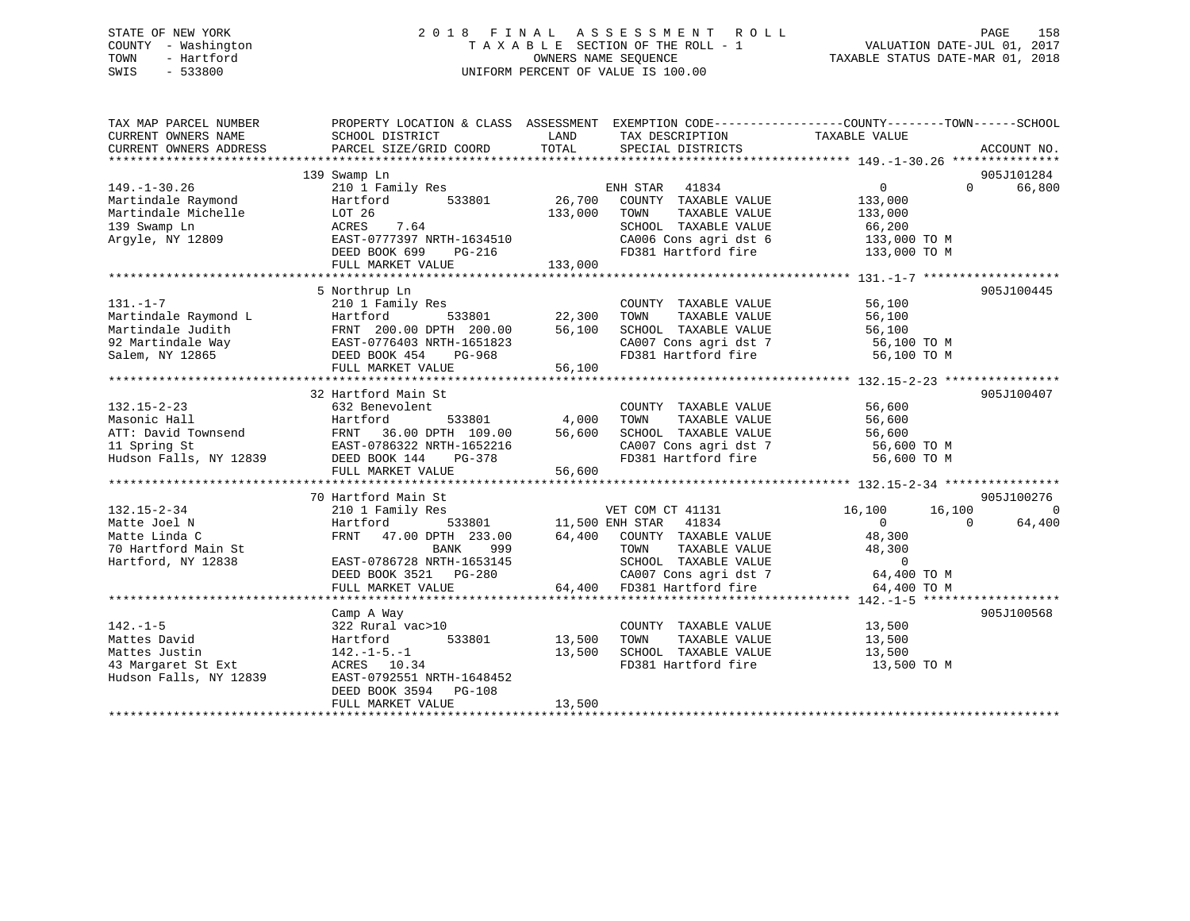# STATE OF NEW YORK 2 0 1 8 F I N A L A S S E S S M E N T R O L L PAGE 158 COUNTY - Washington T A X A B L E SECTION OF THE ROLL - 1 VALUATION DATE-JUL 01, 2017 TOWN - Hartford **TAXABLE STATUS DATE-MAR 01, 2018** OWNERS NAME SEQUENCE TAXABLE STATUS DATE-MAR 01, 2018 SWIS - 533800 UNIFORM PERCENT OF VALUE IS 100.00

| TAX MAP PARCEL NUMBER<br>CURRENT OWNERS NAME                                                                            | PROPERTY LOCATION & CLASS ASSESSMENT EXEMPTION CODE----------------COUNTY-------TOWN------SCHOOL<br>SCHOOL DISTRICT | LAND                   | TAX DESCRIPTION                                                             | TAXABLE VALUE                                    |                |
|-------------------------------------------------------------------------------------------------------------------------|---------------------------------------------------------------------------------------------------------------------|------------------------|-----------------------------------------------------------------------------|--------------------------------------------------|----------------|
| CURRENT OWNERS ADDRESS                                                                                                  | PARCEL SIZE/GRID COORD                                                                                              | TOTAL                  | SPECIAL DISTRICTS                                                           |                                                  | ACCOUNT NO.    |
|                                                                                                                         |                                                                                                                     |                        |                                                                             |                                                  |                |
|                                                                                                                         | 139 Swamp Ln                                                                                                        |                        |                                                                             |                                                  | 905J101284     |
| $149. - 1 - 30.26$                                                                                                      | 210 1 Family Res                                                                                                    |                        | ENH STAR<br>41834                                                           | $0 \qquad \qquad$<br>$\Omega$                    | 66,800         |
| Martindale Raymond                                                                                                      | 533801<br>Hartford                                                                                                  | 26,700                 | COUNTY TAXABLE VALUE                                                        | 133,000                                          |                |
| Martindale Michelle                                                                                                     | LOT 26                                                                                                              | 133,000                | TOWN<br>TAXABLE VALUE                                                       | 133,000                                          |                |
| 139 Swamp Ln                                                                                                            | 7.64<br>ACRES                                                                                                       |                        | SCHOOL TAXABLE VALUE                                                        | 66,200                                           |                |
| Argyle, NY 12809                                                                                                        | EAST-0777397 NRTH-1634510                                                                                           |                        | CA006 Cons agri dst 6 133,000 TO M                                          |                                                  |                |
|                                                                                                                         | DEED BOOK 699 PG-216                                                                                                |                        | FD381 Hartford fire                                                         | 133,000 TO M                                     |                |
|                                                                                                                         | FULL MARKET VALUE                                                                                                   | 133,000                |                                                                             |                                                  |                |
|                                                                                                                         | 5 Northrup Ln                                                                                                       |                        |                                                                             |                                                  | 905J100445     |
| $131. - 1 - 7$                                                                                                          |                                                                                                                     |                        |                                                                             |                                                  |                |
| Martindale Raymond L                                                                                                    | 210 1 Family Res<br>533801                                                                                          | 22,300                 | COUNTY TAXABLE VALUE<br>TAXABLE VALUE<br>TOWN                               | 56,100<br>56,100                                 |                |
|                                                                                                                         | Hartford<br>FRNT 200.00 DPTH 200.00                                                                                 |                        |                                                                             |                                                  |                |
| Martindale Judith                                                                                                       |                                                                                                                     | 56,100                 | SCHOOL TAXABLE VALUE                                                        | 56,100                                           |                |
| 92 Martindale Way                                                                                                       | EAST-0776403 NRTH-1651823<br>DEED BOOK 454 DO 000                                                                   |                        | CA007 Cons agri dst 7<br>FD381 Hartford fire                                | 56,100 TO M                                      |                |
| Salem, NY 12865                                                                                                         |                                                                                                                     | 56,100                 |                                                                             | 56,100 TO M                                      |                |
|                                                                                                                         | FULL MARKET VALUE                                                                                                   |                        |                                                                             |                                                  |                |
|                                                                                                                         | 32 Hartford Main St                                                                                                 |                        |                                                                             |                                                  | 905J100407     |
| $132.15 - 2 - 23$                                                                                                       | 632 Benevolent                                                                                                      |                        | COUNTY TAXABLE VALUE                                                        | 56,600                                           |                |
|                                                                                                                         | 533801                                                                                                              | 4,000                  | TOWN<br>TAXABLE VALUE                                                       | 56,600                                           |                |
|                                                                                                                         |                                                                                                                     | 56,600                 | SCHOOL TAXABLE VALUE                                                        |                                                  |                |
|                                                                                                                         |                                                                                                                     |                        |                                                                             |                                                  |                |
| Masonic Hall<br>ATT: David Townsend<br>EAST-0786322 NRTH-1652216<br>EAST-0786322 NRTH-1652216<br>Hudson Falls, NY 12839 | DEED BOOK 144<br>PG-378                                                                                             |                        | CA007 Cons agri dst 7<br>FD381 Hartford fire                                | 56,600<br>56,600 TO M<br>100 TO M<br>56,600 TO M |                |
|                                                                                                                         | FULL MARKET VALUE                                                                                                   | 56,600                 |                                                                             |                                                  |                |
|                                                                                                                         |                                                                                                                     |                        |                                                                             |                                                  |                |
|                                                                                                                         | 70 Hartford Main St                                                                                                 |                        |                                                                             |                                                  | 905J100276     |
| $132.15 - 2 - 34$                                                                                                       | 210 1 Family Res                                                                                                    |                        | VET COM CT 41131                                                            | 16,100<br>16,100                                 | $\overline{0}$ |
| Matte Joel N                                                                                                            | Hartford                                                                                                            | 533801 11,500 ENH STAR | 41834                                                                       | $\Omega$<br>$\Omega$                             | 64,400         |
| Matte Linda C                                                                                                           | FRNT 47.00 DPTH 233.00                                                                                              |                        | 64,400 COUNTY TAXABLE VALUE                                                 | 48,300                                           |                |
| 70 Hartford Main St                                                                                                     | <b>BANK</b><br>999                                                                                                  |                        | TOWN<br>TAXABLE VALUE                                                       | 48,300                                           |                |
| Hartford, NY 12838                                                                                                      | EAST-0786728 NRTH-1653145                                                                                           |                        | SCHOOL TAXABLE VALUE                                                        | $\Omega$                                         |                |
|                                                                                                                         | DEED BOOK 3521 PG-280                                                                                               |                        |                                                                             | 64,400 TO M                                      |                |
|                                                                                                                         | FULL MARKET VALUE                                                                                                   |                        | SCHOOL TAXABLE VALUE<br>CA007 Cons agri dst 7<br>64,400 FD381 Hartford fire | 64,400 TO M                                      |                |
|                                                                                                                         |                                                                                                                     |                        |                                                                             |                                                  |                |
|                                                                                                                         | Camp A Way                                                                                                          |                        |                                                                             |                                                  | 905J100568     |
| $142. - 1 - 5$                                                                                                          | 322 Rural vac>10                                                                                                    |                        | COUNTY TAXABLE VALUE                                                        | 13,500                                           |                |
| Mattes David                                                                                                            | 533801<br>Hartford                                                                                                  | 13,500                 | TOWN<br>TAXABLE VALUE                                                       | 13,500                                           |                |
| Mattes Justin                                                                                                           | $142. - 1 - 5. - 1$                                                                                                 | 13,500                 | SCHOOL TAXABLE VALUE                                                        | 13,500                                           |                |
| 43 Margaret St Ext                                                                                                      | ACRES 10.34                                                                                                         |                        | FD381 Hartford fire                                                         | 13,500 TO M                                      |                |
| Hudson Falls, NY 12839                                                                                                  | EAST-0792551 NRTH-1648452                                                                                           |                        |                                                                             |                                                  |                |
|                                                                                                                         | DEED BOOK 3594 PG-108                                                                                               |                        |                                                                             |                                                  |                |
|                                                                                                                         | FULL MARKET VALUE                                                                                                   | 13,500                 |                                                                             |                                                  |                |
|                                                                                                                         |                                                                                                                     |                        |                                                                             |                                                  |                |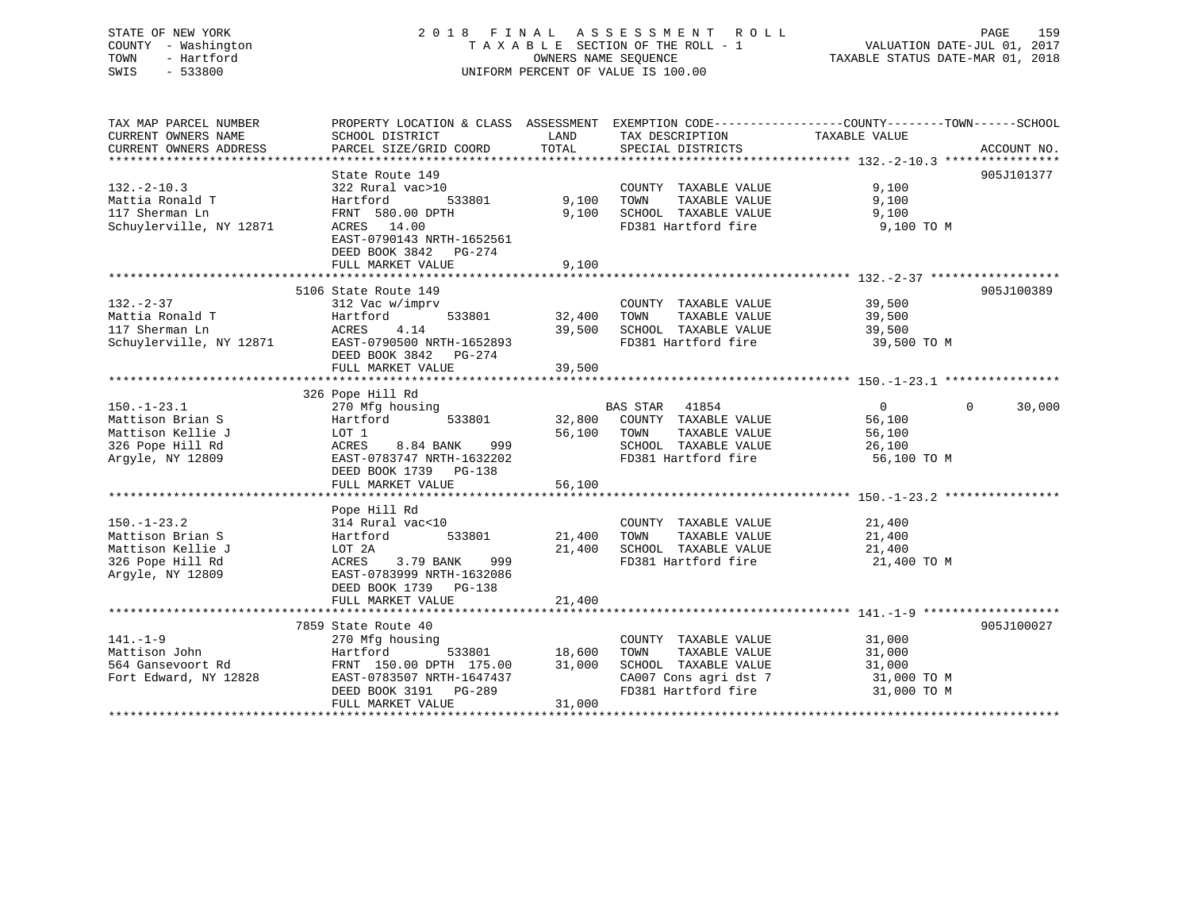# STATE OF NEW YORK 2 0 1 8 F I N A L A S S E S S M E N T R O L L PAGE 159 COUNTY - Washington T A X A B L E SECTION OF THE ROLL - 1 VALUATION DATE-JUL 01, 2017 TOWN - Hartford OWNERS NAME SEQUENCE TAXABLE STATUS DATE-MAR 01, 2018 SWIS - 533800 UNIFORM PERCENT OF VALUE IS 100.00

| TAX MAP PARCEL NUMBER        | PROPERTY LOCATION & CLASS ASSESSMENT EXEMPTION CODE---------------COUNTY-------TOWN-----SCHOOL |               |                                                    |                |                    |
|------------------------------|------------------------------------------------------------------------------------------------|---------------|----------------------------------------------------|----------------|--------------------|
| CURRENT OWNERS NAME          | SCHOOL DISTRICT                                                                                | LAND          | TAX DESCRIPTION                                    | TAXABLE VALUE  |                    |
| CURRENT OWNERS ADDRESS       | PARCEL SIZE/GRID COORD                                                                         | TOTAL         | SPECIAL DISTRICTS                                  |                | ACCOUNT NO.        |
|                              |                                                                                                |               |                                                    |                |                    |
|                              | State Route 149                                                                                |               |                                                    |                | 905J101377         |
| $132. - 2 - 10.3$            | 322 Rural vac>10                                                                               |               | COUNTY TAXABLE VALUE                               | 9,100          |                    |
| Mattia Ronald T              | 533801<br>Hartford                                                                             | 9,100         | TAXABLE VALUE<br>TOWN                              | 9,100          |                    |
| 117 Sherman Ln               | FRNT 580.00 DPTH                                                                               | 9,100         | SCHOOL TAXABLE VALUE 9,100                         |                |                    |
| Schuylerville, NY 12871      | ACRES 14.00                                                                                    |               | FD381 Hartford fire                                | 9,100 TO M     |                    |
|                              | EAST-0790143 NRTH-1652561                                                                      |               |                                                    |                |                    |
|                              | DEED BOOK 3842 PG-274                                                                          |               |                                                    |                |                    |
|                              | FULL MARKET VALUE                                                                              | 9,100         |                                                    |                |                    |
|                              |                                                                                                |               |                                                    |                |                    |
|                              | 5106 State Route 149                                                                           |               |                                                    |                | 905J100389         |
| $132 - 2 - 37$               | 312 Vac w/imprv                                                                                |               | COUNTY TAXABLE VALUE 39,500                        |                |                    |
| 132.-2-37<br>Mattia Ronald T | Hartford<br>533801<br>Hartio<br>ACRES                                                          | 32,400        | TAXABLE VALUE<br>TOWN                              | 39,500         |                    |
|                              | 4.14                                                                                           | 39,500        | SCHOOL TAXABLE VALUE                               | 39,500         |                    |
|                              | Schuylerville, NY 12871 EAST-0790500 NRTH-1652893                                              |               | FD381 Hartford fire 39,500 TO M                    |                |                    |
|                              | DEED BOOK 3842 PG-274                                                                          |               |                                                    |                |                    |
|                              | FULL MARKET VALUE                                                                              | 39,500        |                                                    |                |                    |
|                              |                                                                                                |               |                                                    |                |                    |
|                              | 326 Pope Hill Rd                                                                               |               |                                                    |                |                    |
| $150.-1-23.1$                | 270 Mfg housing                                                                                |               | BAS STAR 41854                                     | $\overline{0}$ | $\Omega$<br>30,000 |
| Mattison Brian S             | Hartford 533801                                                                                |               | 32,800 COUNTY TAXABLE VALUE                        | 56,100         |                    |
| Mattison Kellie J            | LOT 1                                                                                          |               | TAXABLE VALUE<br>56,100 TOWN                       | 56,100         |                    |
| 326 Pope Hill Rd             | 8.84 BANK 999<br>ACRES                                                                         |               | FD381 Hartford fire                                | 26,100         |                    |
| Argyle, NY 12809             | EAST-0783747 NRTH-1632202                                                                      |               |                                                    | 56,100 TO M    |                    |
|                              | DEED BOOK 1739 PG-138                                                                          |               |                                                    |                |                    |
|                              | FULL MARKET VALUE                                                                              | 56,100        |                                                    |                |                    |
|                              |                                                                                                |               |                                                    |                |                    |
|                              | Pope Hill Rd                                                                                   |               |                                                    |                |                    |
| $150. - 1 - 23.2$            | 314 Rural vac<10                                                                               |               | COUNTY TAXABLE VALUE                               | 21,400         |                    |
| Mattison Brian S             | Hartford<br>533801                                                                             | 21,400 TOWN   | TAXABLE VALUE                                      | 21,400         |                    |
| Mattison Kellie J            | LOT 2A                                                                                         |               | 21,400 SCHOOL TAXABLE VALUE<br>FD381 Hartford fire | 21,400         |                    |
| 326 Pope Hill Rd             | ACRES<br>3.79 BANK<br>999                                                                      |               |                                                    | 21,400 TO M    |                    |
| Argyle, NY 12809             | EAST-0783999 NRTH-1632086                                                                      |               |                                                    |                |                    |
|                              | DEED BOOK 1739 PG-138                                                                          |               |                                                    |                |                    |
|                              | FULL MARKET VALUE                                                                              | 21,400        |                                                    |                |                    |
|                              |                                                                                                |               |                                                    |                |                    |
|                              | 7859 State Route 40                                                                            |               |                                                    |                | 905J100027         |
| 141.-1-9                     | 270 Mfg housing                                                                                |               | COUNTY TAXABLE VALUE                               | 31,000         |                    |
| Mattison John                | Hartford                                                                                       | 533801 18,600 | TAXABLE VALUE<br>TOWN                              | 31,000         |                    |
| 564 Gansevoort Rd            | FRNT 150.00 DPTH 175.00                                                                        | 31,000        | SCHOOL TAXABLE VALUE                               | 31,000         |                    |
| Fort Edward, NY 12828        | EAST-0783507 NRTH-1647437                                                                      |               | CA007 Cons agri dst 7<br>FD381 Hartford fire       | 31,000 TO M    |                    |
|                              | DEED BOOK 3191 PG-289                                                                          |               |                                                    | 31,000 TO M    |                    |
|                              | FULL MARKET VALUE                                                                              | 31,000        |                                                    |                |                    |
|                              |                                                                                                |               |                                                    |                |                    |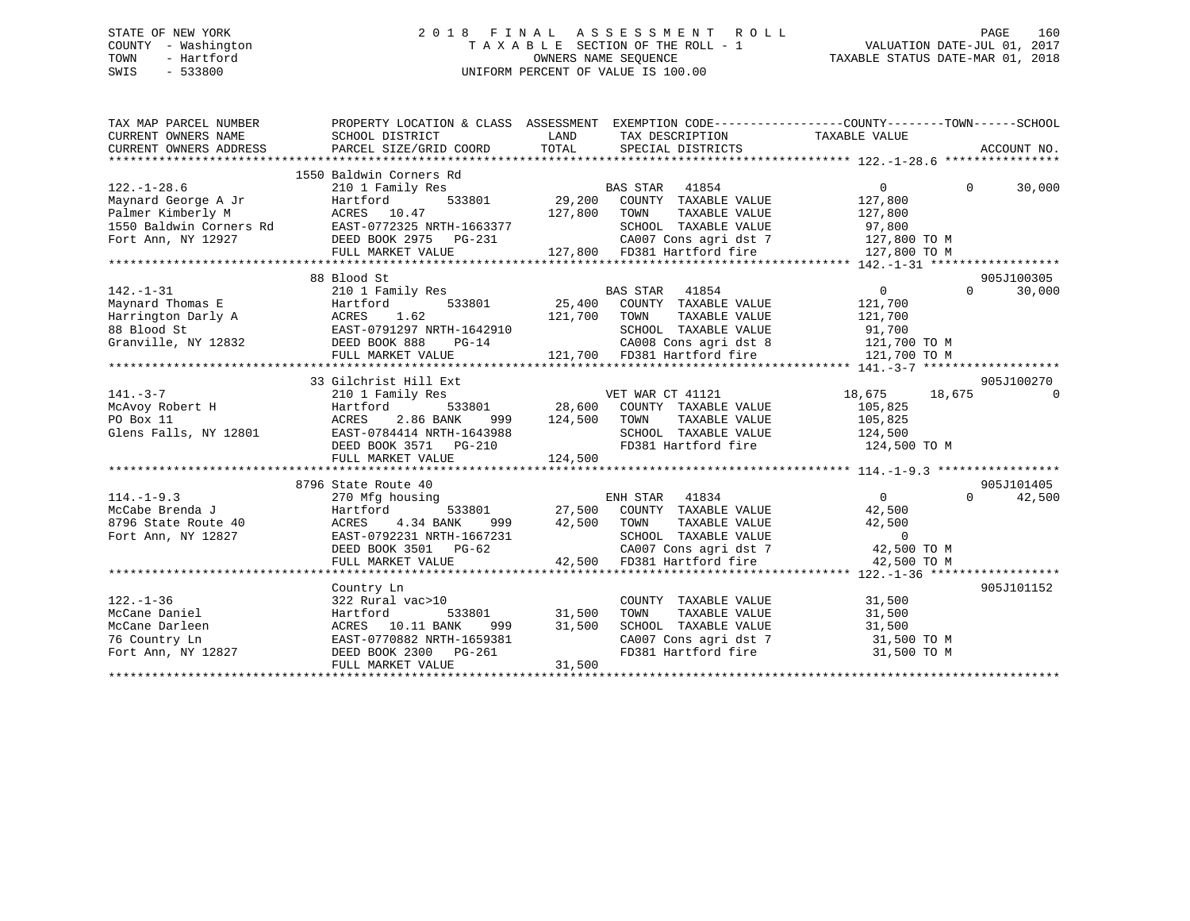# STATE OF NEW YORK 2 0 1 8 F I N A L A S S E S S M E N T R O L L PAGE 160 COUNTY - Washington T A X A B L E SECTION OF THE ROLL - 1 VALUATION DATE-JUL 01, 2017 TOWN - Hartford **TAXABLE STATUS DATE-MAR 01, 2018** OWNERS NAME SEQUENCE TAXABLE STATUS DATE-MAR 01, 2018 SWIS - 533800 UNIFORM PERCENT OF VALUE IS 100.00

| TAX MAP PARCEL NUMBER<br>CURRENT OWNERS NAME<br>CURRENT OWNERS ADDRESS                    | SCHOOL DISTRICT<br>PARCEL SIZE/GRID COORD                                                                                                                                                              | LAND<br>TAX DESCRIPTION TAXABLE VALUE<br>TOTAL<br>SPECIAL DISTRICTS                                                                                                                                             | PROPERTY LOCATION & CLASS ASSESSMENT EXEMPTION CODE----------------COUNTY-------TOWN------SCHOOL<br>ACCOUNT NO. |
|-------------------------------------------------------------------------------------------|--------------------------------------------------------------------------------------------------------------------------------------------------------------------------------------------------------|-----------------------------------------------------------------------------------------------------------------------------------------------------------------------------------------------------------------|-----------------------------------------------------------------------------------------------------------------|
| $122. - 1 - 28.6$<br>Maynard George A Jr                                                  | 1550 Baldwin Corners Rd<br>210 1 Family Res<br>---<br>Hartford<br>Palmer Kimberly M<br>127,800<br>127,800<br>Fort Ann, NY 12927<br>Fort Ann, NY 12927<br>DEED BOOK 2975<br>PG-231<br>FULL MARKET VALUE | BAS STAR 41854<br>$\frac{1000 \text{ rad}}{29,200}$ COUNTY TAXABLE VALUE<br>TOWN<br>TAXABLE VALUE<br>CANOUL TAXABLE VALUE<br>CANO7 Cons agri dst 7<br>$127,800$ FD381 Hartford fire $127,800$ TO M              | $\overline{0}$<br>$\Omega$<br>30,000<br>127,800<br>127,800<br>97,800<br>127,800 TO M                            |
|                                                                                           | 88 Blood St                                                                                                                                                                                            |                                                                                                                                                                                                                 | 905J100305                                                                                                      |
| $142. - 1 - 31$<br>Granville, NY 12832 DEED BOOK 888                                      | 210 1 Family Res<br>$PG-14$<br>FULL MARKET VALUE                                                                                                                                                       | BAS STAR 41854<br>533801 25,400 COUNTY TAXABLE VALUE<br>TAXABLE VALUE<br>121,700<br>TOWN<br>SCHOOL TAXABLE VALUE<br>CA008 Cons agri dst 8 121,700 TO M<br>121,700 FD381 Hartford fire                           | $\overline{0}$<br>$\Omega$<br>30,000<br>121,700<br>121,700<br>91,700<br>121,700 TO M                            |
|                                                                                           |                                                                                                                                                                                                        |                                                                                                                                                                                                                 |                                                                                                                 |
| $141. - 3 - 7$<br>McAvoy Robert H<br>PO Box 11<br>Glens Falls, NY 12801                   | 33 Gilchrist Hill Ext<br>210 1 Family Res<br>Hartford<br>2.86 BANK<br>ACRES<br>EAST-0784414 NRTH-1643988<br>DEED BOOK 3571 PG-210<br>FULL MARKET VALUE                                                 | VET WAR CT 41121<br>533801 28,600 COUNTY TAXABLE VALUE<br>999 124,500<br>TOWN<br>TAXABLE VALUE<br>SCHOOL TAXABLE VALUE 124,500<br>FD381 Hartford fire<br>124,500                                                | 905J100270<br>18,675 18,675<br>$\Omega$<br>105,825<br>105,825<br>124,500 TO M                                   |
|                                                                                           | 8796 State Route 40                                                                                                                                                                                    |                                                                                                                                                                                                                 | 905J101405                                                                                                      |
| $114. -1 - 9.3$<br>McCabe Brenda J<br>8796 State Route 40<br>Fort Ann, NY 12827           | 270 Mfg housing<br>Hartford<br>4.34 BANK<br>ACRES<br>EAST-0792231 NRTH-1667231<br>DEED BOOK 3501 PG-62<br>FULL MARKET VALUE                                                                            | ENH STAR 41834<br>533801 27,500 COUNTY TAXABLE VALUE<br>999 42,500 TOWN<br>TOWN TAXABLE VALUE 42,500<br>SCHOOL TAXABLE VALUE 0<br>CA007 Cons agri dst 7 42,500 TO M<br>42,500 FD381 Hartford fire               | $\overline{0}$<br>42,500<br>$\Omega$<br>42,500<br>42,500 TO M                                                   |
|                                                                                           | Country Ln                                                                                                                                                                                             |                                                                                                                                                                                                                 | 905J101152                                                                                                      |
| $122. - 1 - 36$<br>McCane Daniel<br>McCane Darleen<br>76 Country Ln<br>Fort Ann, NY 12827 | 322 Rural vac>10<br>Hartford<br>ACRES 10.11 BANK<br>EAST-0770882 NRTH-1659381<br>DEED BOOK 2300 PG-261<br>FULL MARKET VALUE                                                                            | COUNTY TAXABLE VALUE<br>533801 31,500<br>NNK 999 31,500<br>TH-1659381<br>TOWN<br>TAXABLE VALUE<br>SCHOOL TAXABLE VALUE 31,500<br>CA007 Cons agri dst 7 31,500 TO M<br>FD381 Hartford fire 31,500 TO M<br>31,500 | 31,500<br>31,500                                                                                                |
|                                                                                           |                                                                                                                                                                                                        |                                                                                                                                                                                                                 |                                                                                                                 |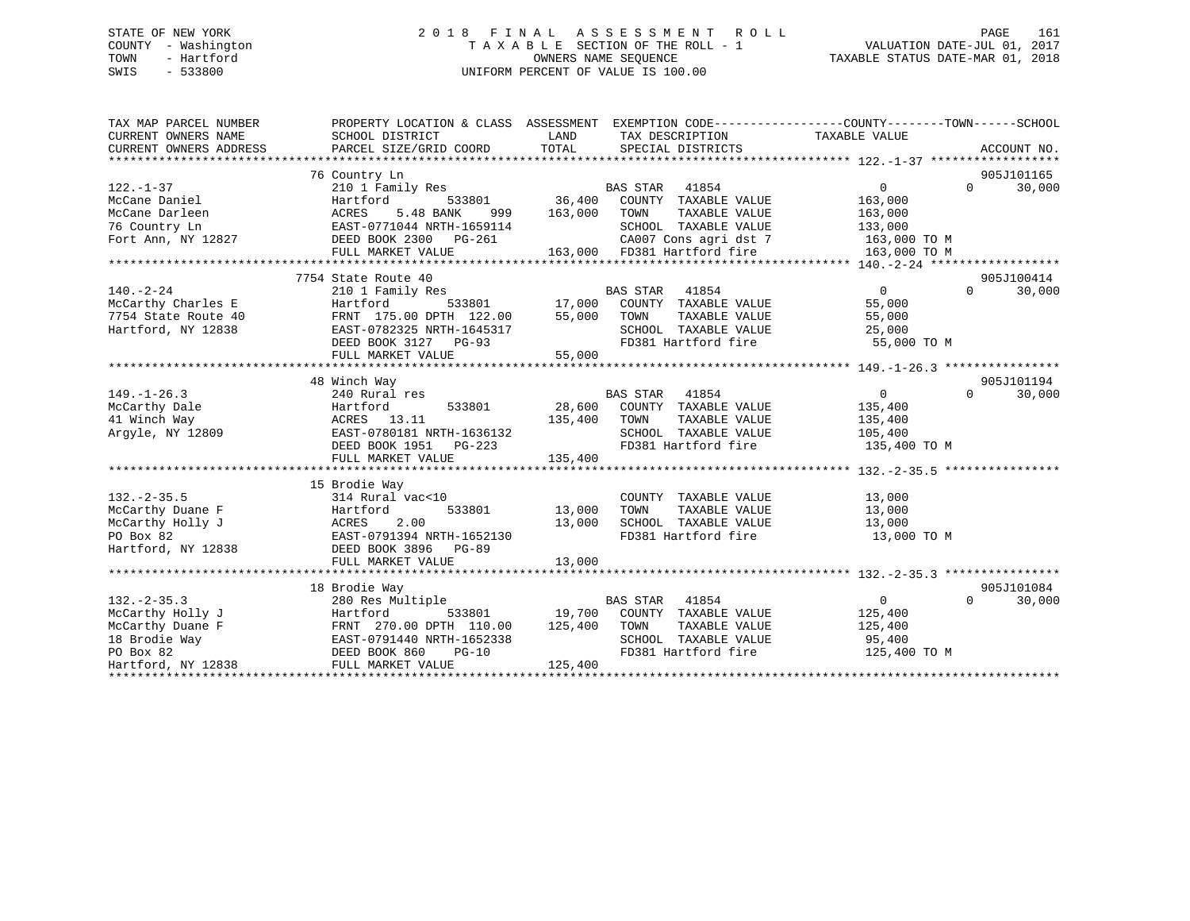# STATE OF NEW YORK 2 0 1 8 F I N A L A S S E S S M E N T R O L L PAGE 161 COUNTY - Washington T A X A B L E SECTION OF THE ROLL - 1 VALUATION DATE-JUL 01, 2017 TOWN - Hartford **TAXABLE STATUS DATE-MAR 01, 2018** OWNERS NAME SEQUENCE TAXABLE STATUS DATE-MAR 01, 2018 SWIS - 533800 UNIFORM PERCENT OF VALUE IS 100.00

| TAX MAP PARCEL NUMBER<br>CURRENT OWNERS NAME<br>CURRENT OWNERS ADDRESS | PROPERTY LOCATION & CLASS ASSESSMENT<br>SCHOOL DISTRICT<br>PARCEL SIZE/GRID COORD | LAND<br>TOTAL     | EXEMPTION CODE-----------------COUNTY-------TOWN------SCHOOL<br>TAX DESCRIPTION<br>SPECIAL DISTRICTS    | TAXABLE VALUE  | ACCOUNT NO.        |
|------------------------------------------------------------------------|-----------------------------------------------------------------------------------|-------------------|---------------------------------------------------------------------------------------------------------|----------------|--------------------|
|                                                                        |                                                                                   |                   |                                                                                                         |                |                    |
|                                                                        | 76 Country Ln                                                                     |                   |                                                                                                         |                | 905J101165         |
| $122. - 1 - 37$                                                        | 210 1 Family Res                                                                  |                   | BAS STAR 41854                                                                                          | $\Omega$       | $\Omega$<br>30,000 |
| McCane Daniel                                                          | Hartford                                                                          | 533801 36,400     | COUNTY TAXABLE VALUE                                                                                    | 163,000        |                    |
| McCane Darleen                                                         | 5.48 BANK<br>ACRES<br>999                                                         | 163,000           | TOWN<br>TAXABLE VALUE                                                                                   | 163,000        |                    |
| 76 Country Ln                                                          | EAST-0771044 NRTH-1659114                                                         |                   | SCHOOL TAXABLE VALUE                                                                                    | 133,000        |                    |
| Fort Ann, NY 12827                                                     | DEED BOOK 2300 PG-261                                                             |                   | CA007 Cons agri dst 7                                                                                   | 163,000 TO M   |                    |
|                                                                        | FULL MARKET VALUE                                                                 |                   | 163,000 FD381 Hartford fire                                                                             | 163,000 TO M   |                    |
|                                                                        |                                                                                   |                   |                                                                                                         |                |                    |
|                                                                        | 7754 State Route 40                                                               |                   |                                                                                                         |                | 905J100414         |
| $140. - 2 - 24$                                                        | 210 1 Family Res                                                                  |                   | <b>BAS STAR</b><br>41854                                                                                | $\Omega$       | $\Omega$<br>30,000 |
| McCarthy Charles E                                                     | Hartford                                                                          | $533801$ $17,000$ | COUNTY TAXABLE VALUE                                                                                    | 55,000         |                    |
| 7754 State Route 40                                                    | FRNT 175.00 DPTH 122.00                                                           | 55,000            | TAXABLE VALUE<br>TOWN                                                                                   | 55,000         |                    |
| Hartford, NY 12838                                                     | EAST-0782325 NRTH-1645317                                                         |                   | SCHOOL TAXABLE VALUE                                                                                    | 25,000         |                    |
|                                                                        | DEED BOOK 3127 PG-93                                                              |                   | FD381 Hartford fire                                                                                     | 55,000 TO M    |                    |
|                                                                        | FULL MARKET VALUE                                                                 | 55,000            |                                                                                                         |                |                    |
|                                                                        |                                                                                   |                   |                                                                                                         |                |                    |
|                                                                        | 48 Winch Way                                                                      |                   |                                                                                                         |                | 905J101194         |
| $149. - 1 - 26.3$                                                      | 240 Rural res                                                                     |                   | BAS STAR 41854                                                                                          | $\overline{0}$ | $\Omega$<br>30,000 |
| McCarthy Dale                                                          | Hartford<br>533801                                                                |                   | 28,600 COUNTY TAXABLE VALUE                                                                             | 135,400        |                    |
| 41 Winch Way                                                           | ACRES 13.11                                                                       | 135,400           | TAXABLE VALUE<br>TOWN                                                                                   | 135,400        |                    |
| Argyle, NY 12809                                                       | EAST-0780181 NRTH-1636132                                                         |                   | SCHOOL TAXABLE VALUE                                                                                    | 105,400        |                    |
|                                                                        | DEED BOOK 1951 PG-223                                                             |                   | FD381 Hartford fire                                                                                     | 135,400 TO M   |                    |
|                                                                        | FULL MARKET VALUE                                                                 | 135,400           |                                                                                                         |                |                    |
|                                                                        |                                                                                   |                   |                                                                                                         |                |                    |
|                                                                        | 15 Brodie Way                                                                     |                   |                                                                                                         |                |                    |
| $132. - 2 - 35.5$                                                      | 314 Rural vac<10                                                                  |                   | COUNTY TAXABLE VALUE                                                                                    | 13,000         |                    |
| McCarthy Duane F                                                       | Hartford<br>533801                                                                | 13,000            | TOWN<br>TAXABLE VALUE                                                                                   | 13,000         |                    |
| McCarthy Holly J                                                       | 2.00<br>ACRES                                                                     | 13,000            | SCHOOL TAXABLE VALUE                                                                                    | 13,000         |                    |
| PO Box 82                                                              | EAST-0791394 NRTH-1652130                                                         |                   | FD381 Hartford fire                                                                                     | 13,000 TO M    |                    |
| Hartford, NY 12838                                                     | DEED BOOK 3896 PG-89                                                              |                   |                                                                                                         |                |                    |
|                                                                        | FULL MARKET VALUE                                                                 | 13,000            |                                                                                                         |                |                    |
|                                                                        |                                                                                   |                   |                                                                                                         |                |                    |
|                                                                        | 18 Brodie Way                                                                     |                   |                                                                                                         |                | 905J101084         |
| $132. - 2 - 35.3$                                                      | 280 Res Multiple                                                                  |                   | <b>BAS STAR</b><br>41854                                                                                | $\overline{0}$ | $\Omega$<br>30,000 |
| McCarthy Holly J                                                       | Hartford                                                                          |                   | ${\tt 533801} \hspace{20pt} {\tt 19,700} \hspace{20pt} {\tt COUNTY} \hspace{20pt} {\tt TAXABLE~ VALUE}$ | 125,400        |                    |
| McCarthy Duane F                                                       | FRNT 270.00 DPTH 110.00                                                           | 125,400           | TOWN<br>TAXABLE VALUE                                                                                   | 125,400        |                    |
| 18 Brodie Way                                                          | EAST-0791440 NRTH-1652338                                                         |                   | SCHOOL TAXABLE VALUE                                                                                    | 95,400         |                    |
| PO Box 82                                                              | DEED BOOK 860<br>$PG-10$                                                          |                   | FD381 Hartford fire                                                                                     | 125,400 TO M   |                    |
| Hartford, NY 12838                                                     | FULL MARKET VALUE                                                                 | 125,400           |                                                                                                         |                |                    |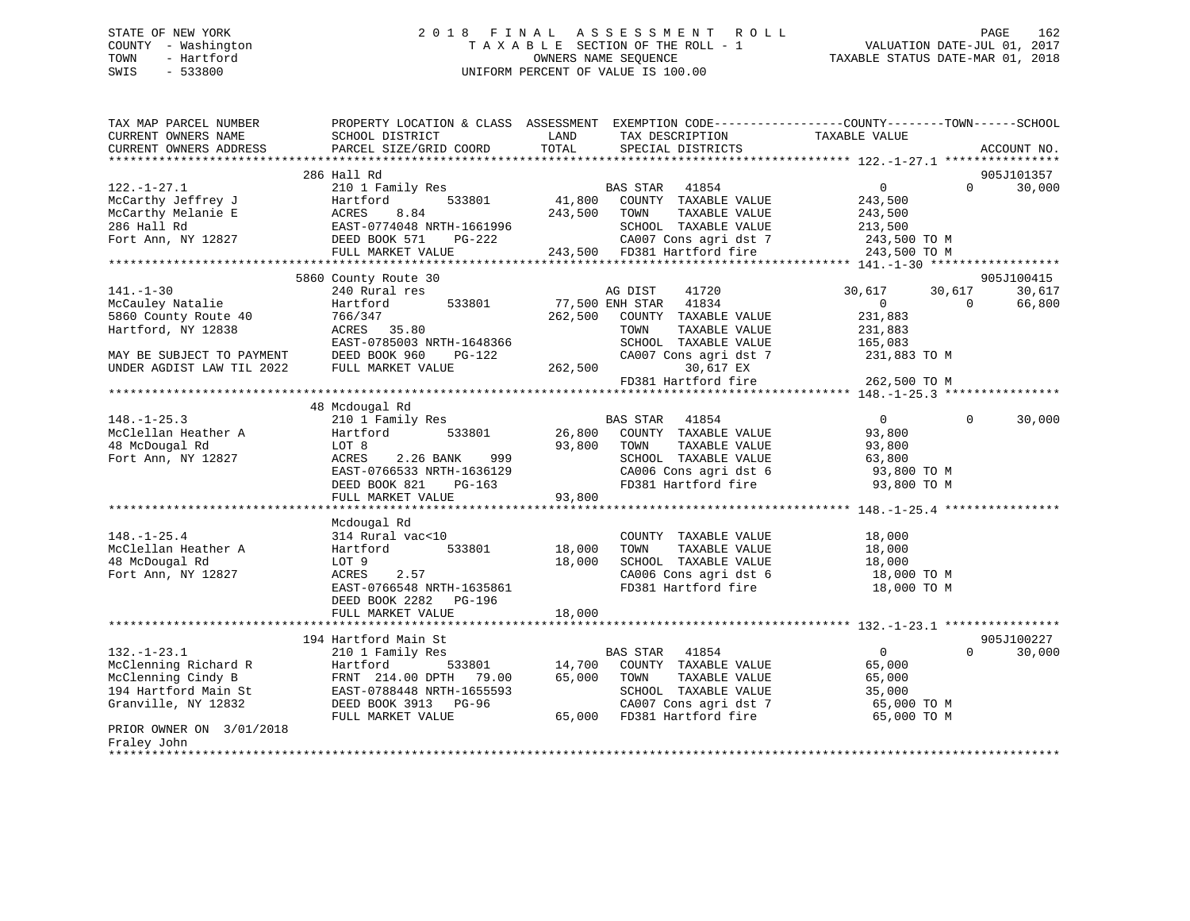# STATE OF NEW YORK 2 0 1 8 F I N A L A S S E S S M E N T R O L L PAGE 162 COUNTY - Washington T A X A B L E SECTION OF THE ROLL - 1 VALUATION DATE-JUL 01, 2017 TOWN - Hartford **TAXABLE STATUS DATE-MAR 01, 2018** OWNERS NAME SEQUENCE TAXABLE STATUS DATE-MAR 01, 2018 SWIS - 533800 UNIFORM PERCENT OF VALUE IS 100.00

| TAX MAP PARCEL NUMBER<br>CURRENT OWNERS NAME<br>CURRENT OWNERS ADDRESS | PROPERTY LOCATION & CLASS ASSESSMENT EXEMPTION CODE---------------COUNTY-------TOWN------SCHOOL<br>SCHOOL DISTRICT<br>PARCEL SIZE/GRID COORD | LAND<br>TOTAL   | TAX DESCRIPTION<br>SPECIAL DISTRICTS                 | TAXABLE VALUE    | ACCOUNT NO.        |
|------------------------------------------------------------------------|----------------------------------------------------------------------------------------------------------------------------------------------|-----------------|------------------------------------------------------|------------------|--------------------|
|                                                                        |                                                                                                                                              |                 |                                                      |                  |                    |
|                                                                        | 286 Hall Rd                                                                                                                                  |                 |                                                      |                  | 905J101357         |
| $122. - 1 - 27.1$                                                      | 210 1 Family Res                                                                                                                             |                 | BAS STAR 41854                                       | $\overline{0}$   | $\Omega$<br>30,000 |
| McCarthy Jeffrey J                                                     | 533801<br>Hartford                                                                                                                           | 41,800          | COUNTY TAXABLE VALUE                                 | 243,500          |                    |
| McCarthy Melanie E                                                     | 8.84<br>ACRES                                                                                                                                | 243,500         | TOWN<br>TAXABLE VALUE                                | 243,500          |                    |
| 286 Hall Rd                                                            | EAST-0774048 NRTH-1661996                                                                                                                    |                 | SCHOOL TAXABLE VALUE                                 | 213,500          |                    |
| Fort Ann, NY 12827                                                     | DEED BOOK 571<br>PG-222                                                                                                                      |                 | CA007 Cons agri dst 7<br>243,500 FD381 Hartford fire | 243,500 TO M     |                    |
|                                                                        | FULL MARKET VALUE                                                                                                                            |                 |                                                      | 243,500 TO M     |                    |
|                                                                        | 5860 County Route 30                                                                                                                         |                 |                                                      |                  | 905J100415         |
| $141. - 1 - 30$                                                        | 240 Rural res                                                                                                                                |                 | AG DIST<br>41720                                     | 30,617<br>30,617 | 30,617             |
| McCauley Natalie                                                       | 533801<br>Hartford                                                                                                                           | 77,500 ENH STAR | 41834                                                | $\overline{0}$   | $\Omega$<br>66,800 |
| 5860 County Route 40                                                   | 766/347                                                                                                                                      | 262,500         | COUNTY TAXABLE VALUE                                 | 231,883          |                    |
| Hartford, NY 12838                                                     | ACRES 35.80                                                                                                                                  |                 | TOWN<br>TAXABLE VALUE                                | 231,883          |                    |
|                                                                        | EAST-0785003 NRTH-1648366                                                                                                                    |                 | SCHOOL TAXABLE VALUE                                 | 165,083          |                    |
| MAY BE SUBJECT TO PAYMENT                                              | DEED BOOK 960<br>PG-122                                                                                                                      |                 | CA007 Cons agri dst 7                                | 231,883 TO M     |                    |
| UNDER AGDIST LAW TIL 2022                                              | FULL MARKET VALUE                                                                                                                            | 262,500         | 30,617 EX                                            |                  |                    |
|                                                                        |                                                                                                                                              |                 | FD381 Hartford fire                                  | 262,500 TO M     |                    |
|                                                                        |                                                                                                                                              |                 |                                                      |                  |                    |
|                                                                        | 48 Mcdougal Rd                                                                                                                               |                 |                                                      |                  |                    |
| $148. - 1 - 25.3$                                                      | 210 1 Family Res                                                                                                                             |                 | BAS STAR 41854                                       | $\Omega$         | $\Omega$<br>30,000 |
| McClellan Heather A                                                    | 533801<br>Hartford                                                                                                                           | 26,800          | COUNTY TAXABLE VALUE                                 | 93,800           |                    |
| 48 McDougal Rd                                                         | LOT 8                                                                                                                                        | 93,800          | TOWN<br>TAXABLE VALUE                                | 93,800           |                    |
| Fort Ann, NY 12827                                                     | 2.26 BANK<br>999<br>ACRES                                                                                                                    |                 | SCHOOL TAXABLE VALUE                                 | 63,800           |                    |
|                                                                        | EAST-0766533 NRTH-1636129                                                                                                                    |                 | CA006 Cons agri dst 6                                | 93,800 TO M      |                    |
|                                                                        | DEED BOOK 821<br>PG-163                                                                                                                      |                 | FD381 Hartford fire                                  | 93,800 TO M      |                    |
|                                                                        | FULL MARKET VALUE                                                                                                                            | 93,800          |                                                      |                  |                    |
|                                                                        |                                                                                                                                              |                 |                                                      |                  |                    |
| $148. - 1 - 25.4$                                                      | Mcdougal Rd                                                                                                                                  |                 |                                                      |                  |                    |
| McClellan Heather A                                                    | 314 Rural vac<10<br>533801<br>Hartford                                                                                                       | 18,000          | COUNTY TAXABLE VALUE<br>TAXABLE VALUE<br>TOWN        | 18,000<br>18,000 |                    |
| 48 McDougal Rd                                                         | LOT 9                                                                                                                                        | 18,000          | SCHOOL TAXABLE VALUE                                 | 18,000           |                    |
| Fort Ann, NY 12827                                                     | 2.57<br>ACRES                                                                                                                                |                 | CA006 Cons agri dst 6                                | 18,000 TO M      |                    |
|                                                                        | EAST-0766548 NRTH-1635861                                                                                                                    |                 | FD381 Hartford fire                                  | 18,000 TO M      |                    |
|                                                                        | DEED BOOK 2282 PG-196                                                                                                                        |                 |                                                      |                  |                    |
|                                                                        | FULL MARKET VALUE                                                                                                                            | 18,000          |                                                      |                  |                    |
|                                                                        |                                                                                                                                              |                 |                                                      |                  |                    |
|                                                                        | 194 Hartford Main St                                                                                                                         |                 |                                                      |                  | 905J100227         |
| $132. - 1 - 23.1$                                                      | 210 1 Family Res                                                                                                                             |                 | BAS STAR 41854                                       | $\overline{0}$   | $\Omega$<br>30,000 |
| McClenning Richard R                                                   | Hartford<br>533801                                                                                                                           | 14,700          | COUNTY TAXABLE VALUE                                 | 65,000           |                    |
| McClenning Cindy B                                                     | FRNT 214.00 DPTH 79.00                                                                                                                       | 65,000          | TOWN<br>TAXABLE VALUE                                | 65,000           |                    |
| 194 Hartford Main St                                                   | EAST-0788448 NRTH-1655593                                                                                                                    |                 | SCHOOL TAXABLE VALUE                                 | 35,000           |                    |
| Granville, NY 12832                                                    | DEED BOOK 3913 PG-96                                                                                                                         |                 | CA007 Cons agri dst 7                                | 65,000 TO M      |                    |
|                                                                        | FULL MARKET VALUE                                                                                                                            |                 | 65,000 FD381 Hartford fire                           | 65,000 TO M      |                    |
| PRIOR OWNER ON 3/01/2018                                               |                                                                                                                                              |                 |                                                      |                  |                    |
| Fraley John                                                            |                                                                                                                                              |                 |                                                      |                  |                    |
|                                                                        |                                                                                                                                              |                 |                                                      |                  |                    |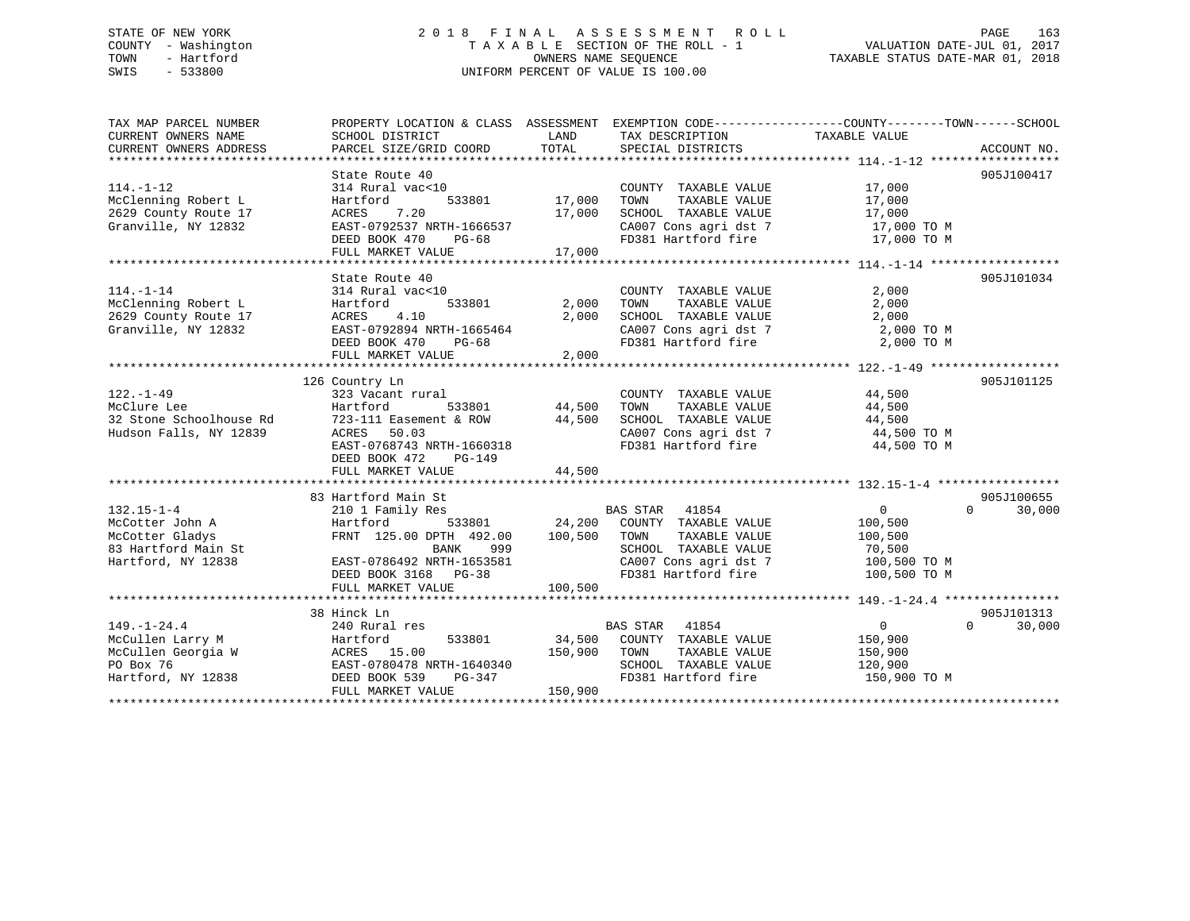# STATE OF NEW YORK 2 0 1 8 F I N A L A S S E S S M E N T R O L L PAGE 163 COUNTY - Washington T A X A B L E SECTION OF THE ROLL - 1 VALUATION DATE-JUL 01, 2017 TOWN - Hartford **TAXABLE STATUS DATE-MAR 01, 2018** OWNERS NAME SEQUENCE TAXABLE STATUS DATE-MAR 01, 2018 SWIS - 533800 UNIFORM PERCENT OF VALUE IS 100.00

| TAX MAP PARCEL NUMBER                       | PROPERTY LOCATION & CLASS ASSESSMENT EXEMPTION CODE---------------COUNTY-------TOWN------SCHOOL |                  |                                                                                                                     |                       |                    |
|---------------------------------------------|-------------------------------------------------------------------------------------------------|------------------|---------------------------------------------------------------------------------------------------------------------|-----------------------|--------------------|
| CURRENT OWNERS NAME                         | SCHOOL DISTRICT                                                                                 | LAND             | TAX DESCRIPTION                                                                                                     | TAXABLE VALUE         |                    |
| CURRENT OWNERS ADDRESS                      | PARCEL SIZE/GRID COORD                                                                          | TOTAL            | SPECIAL DISTRICTS                                                                                                   |                       | ACCOUNT NO.        |
|                                             |                                                                                                 |                  |                                                                                                                     |                       |                    |
|                                             | State Route 40                                                                                  |                  |                                                                                                                     | $\frac{17}{17}$ , 000 | 905J100417         |
| $114. - 1 - 12$                             | 314 Rural vac<10                                                                                | 17,000           | COUNTY TAXABLE VALUE                                                                                                |                       |                    |
| McClenning Robert L                         | 533801<br>Hartford                                                                              |                  | TAXABLE VALUE<br>TOWN                                                                                               |                       |                    |
| 2629 County Route 17                        | 7.20<br>ACRES                                                                                   | 17,000           | SCHOOL TAXABLE VALUE                                                                                                | 17,000                |                    |
| Granville, NY 12832                         | EAST-0792537 NRTH-1666537                                                                       |                  | CA007 Cons agri dst 7<br>FD381 Hartford fire                                                                        | 17,000 TO M           |                    |
|                                             | DEED BOOK 470<br>$PG-68$                                                                        |                  |                                                                                                                     | 17,000 TO M           |                    |
|                                             | FULL MARKET VALUE                                                                               | 17,000           |                                                                                                                     |                       |                    |
|                                             |                                                                                                 |                  |                                                                                                                     |                       |                    |
|                                             | State Route 40                                                                                  |                  |                                                                                                                     |                       | 905J101034         |
| $114. - 1 - 14$                             | 314 Rural vac<10                                                                                |                  | COUNTY TAXABLE VALUE                                                                                                | 2,000                 |                    |
| McClenning Robert L<br>2629 County Route 17 | 533801<br>Hartford                                                                              | 2,000 TOWN       | TAXABLE VALUE                                                                                                       | 2,000                 |                    |
|                                             | 4.10<br>ACRES                                                                                   |                  | 2,000 SCHOOL TAXABLE VALUE                                                                                          | 2,000                 |                    |
| Granville, NY 12832                         | EAST-0792894 NRTH-1665464                                                                       |                  | CA007 Cons agri dst 7                                                                                               | 2,000 TO M            |                    |
|                                             | DEED BOOK 470 PG-68                                                                             |                  | FD381 Hartford fire                                                                                                 | 2,000 TO M            |                    |
|                                             | FULL MARKET VALUE                                                                               | 2,000            |                                                                                                                     |                       |                    |
|                                             |                                                                                                 |                  |                                                                                                                     |                       |                    |
|                                             | 126 Country Ln                                                                                  |                  |                                                                                                                     |                       | 905J101125         |
| $122. - 1 - 49$                             | 323 Vacant rural                                                                                |                  | COUNTY TAXABLE VALUE                                                                                                | 44,500                |                    |
| McClure Lee                                 | Hartford<br>533801                                                                              | 44,500<br>44,500 | TAXABLE VALUE<br>TOWN                                                                                               | 44,500                |                    |
| 32 Stone Schoolhouse Rd                     | 723-111 Easement & ROW                                                                          |                  | SCHOOL TAXABLE VALUE                                                                                                | 44,500                |                    |
| Hudson Falls, NY 12839                      |                                                                                                 |                  | CA007 Cons agri dst 7 44,500 TO M                                                                                   |                       |                    |
|                                             | EAST-0768743 NRTH-1660318<br>EAST-0768743 NRTH-1660318                                          |                  | FD381 Hartford fire                                                                                                 | 44,500 TO M           |                    |
|                                             | DEED BOOK 472 PG-149                                                                            |                  |                                                                                                                     |                       |                    |
|                                             | FULL MARKET VALUE                                                                               | 44,500           |                                                                                                                     |                       |                    |
|                                             | 83 Hartford Main St                                                                             |                  |                                                                                                                     |                       | 905J100655         |
|                                             |                                                                                                 |                  |                                                                                                                     |                       | $\Omega$<br>30,000 |
| $132.15 - 1 - 4$                            | 210 1 Family Res<br>s<br>533801                                                                 |                  | BAS STAR 41854<br>24,200 COUNTY TAXABLE VALUE                                                                       | $\overline{0}$        |                    |
| McCotter John A                             | Hartford                                                                                        | 100,500 TOWN     | TAXABLE VALUE                                                                                                       | 100,500               |                    |
| McCotter Gladys                             | FRNT 125.00 DPTH 492.00<br>BANK<br>999                                                          |                  |                                                                                                                     | 100,500               |                    |
| 83 Hartford Main St                         |                                                                                                 |                  |                                                                                                                     | 70,500                |                    |
| Hartford, NY 12838                          | EAST-0786492 NRTH-1653581                                                                       |                  | CANOUL IAXABLE VALUE<br>CA007 Cons agri dst 7<br>ED201 V<br>FD381 Hartford fire                                     | 100,500 TO M          |                    |
|                                             | DEED BOOK 3168 PG-38                                                                            |                  |                                                                                                                     | 100,500 TO M          |                    |
|                                             | FULL MARKET VALUE                                                                               | 100,500          |                                                                                                                     |                       |                    |
|                                             | 38 Hinck Ln                                                                                     |                  |                                                                                                                     |                       | 905J101313         |
| $149. - 1 - 24.4$                           | 240 Rural res                                                                                   |                  | BAS STAR 41854                                                                                                      | $\overline{0}$        | $\Omega$<br>30,000 |
| McCullen Larry M                            | Hartford                                                                                        |                  | 533801 34,500 COUNTY TAXABLE VALUE                                                                                  | 150,900               |                    |
| McCullen Georgia W                          | ACRES 15.00                                                                                     |                  |                                                                                                                     | 150,900               |                    |
| PO Box 76                                   | EAST-0780478 NRTH-1640340                                                                       |                  | SCHOOL TAXABLE VALUE                                                                                                | 120,900               |                    |
| Hartford, NY 12838                          | DEED BOOK 539                                                                                   |                  | 150,900 TOWN TAXABLE VALUE<br>RTH-1640340 SCHOOL TAXABLE VALUE<br>PG-347 FD381 Hartford fire<br>FD381 Hartford fire | 150,900 TO M          |                    |
|                                             | FULL MARKET VALUE                                                                               | 150,900          |                                                                                                                     |                       |                    |
|                                             |                                                                                                 |                  |                                                                                                                     |                       |                    |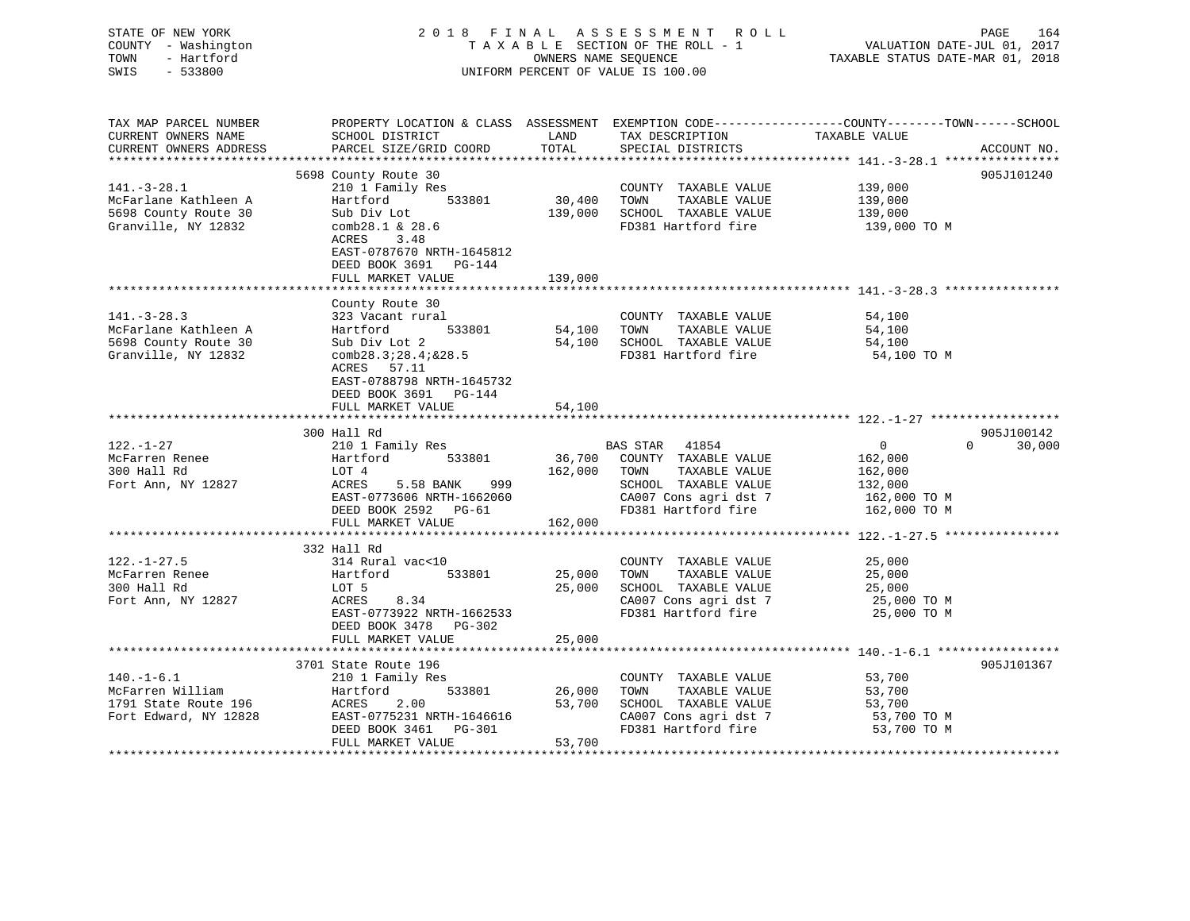| DINID OI NON IONN<br>COUNTY - Washington<br>TOWN<br>- Hartford<br>$-533800$<br>SWIS      |                                                                                                                                                                     |                  | 11 D D B D D 11 B 11 1<br>TAXABLE SECTION OF THE ROLL - 1<br>OWNERS NAME SEQUENCE<br>UNIFORM PERCENT OF VALUE IS 100.00           | VALUATION DATE-JUL 01, 2017<br>VALUATION DAIL-UUL UI, 2017<br>TAXABLE STATUS DATE-MAR 01, 2018                                   |        |
|------------------------------------------------------------------------------------------|---------------------------------------------------------------------------------------------------------------------------------------------------------------------|------------------|-----------------------------------------------------------------------------------------------------------------------------------|----------------------------------------------------------------------------------------------------------------------------------|--------|
| TAX MAP PARCEL NUMBER<br>CURRENT OWNERS NAME<br>CURRENT OWNERS ADDRESS                   | SCHOOL DISTRICT<br>PARCEL SIZE/GRID COORD                                                                                                                           | LAND<br>TOTAL    | TAX DESCRIPTION<br>SPECIAL DISTRICTS                                                                                              | PROPERTY LOCATION & CLASS ASSESSMENT EXEMPTION CODE----------------COUNTY-------TOWN------SCHOOL<br>TAXABLE VALUE<br>ACCOUNT NO. |        |
| ***********************                                                                  |                                                                                                                                                                     |                  |                                                                                                                                   |                                                                                                                                  |        |
| $141.-3-28.1$<br>McFarlane Kathleen A<br>5698 County Route 30<br>Granville, NY 12832     | 5698 County Route 30<br>210 1 Family Res<br>Hartford 533801<br>Sub Div Lot<br>comb28.1 & 28.6<br>3.48<br>ACRES<br>EAST-0787670 NRTH-1645812                         | $30,400$ TOWN    | COUNTY TAXABLE VALUE<br>TAXABLE VALUE<br>139,000 SCHOOL TAXABLE VALUE<br>FD381 Hartford fire                                      | 905J101240<br>139,000<br>139,000<br>139,000<br>139,000 TO M                                                                      |        |
|                                                                                          | DEED BOOK 3691 PG-144                                                                                                                                               |                  |                                                                                                                                   |                                                                                                                                  |        |
|                                                                                          | FULL MARKET VALUE                                                                                                                                                   | 139,000          |                                                                                                                                   |                                                                                                                                  |        |
| $141. - 3 - 28.3$<br>McFarlane Kathleen A<br>5698 County Route 30<br>Granville, NY 12832 | County Route 30<br>323 Vacant rural<br>Hartford 533801<br>Sub Div Lot 2<br>comb28.3128.41828.5<br>ACRES 57.11<br>EAST-0788798 NRTH-1645732<br>DEED BOOK 3691 PG-144 |                  | COUNTY TAXABLE VALUE<br>54,100 TOWN<br>TAXABLE VALUE<br>54,100 SCHOOL TAXABLE VALUE<br>FD381 Hartford fire                        | 54,100<br>54,100<br>54,100<br>54,100 TO M                                                                                        |        |
|                                                                                          | FULL MARKET VALUE                                                                                                                                                   | 54,100           |                                                                                                                                   |                                                                                                                                  |        |
|                                                                                          |                                                                                                                                                                     |                  |                                                                                                                                   |                                                                                                                                  |        |
| $122. - 1 - 27$                                                                          | 300 Hall Rd<br>210 1 Family Res                                                                                                                                     |                  | BAS STAR 41854                                                                                                                    | 905J100142<br>$0 \qquad \qquad$<br>$\Omega$                                                                                      | 30,000 |
| McFarren Renee<br>300 Hall Rd<br>Fort Ann, NY 12827                                      | Hartford 533801<br>LOT 4<br>ACRES 5.58 BANK 999<br>EAST-0773606 NRTH-1662060<br>DEED BOOK 2592 PG-61                                                                |                  | 36,700 COUNTY TAXABLE VALUE<br>162,000 TOWN TAXABLE VALUE<br>SCHOOL TAXABLE VALUE<br>CA007 Cons agri dst 7<br>FD381 Hartford fire | 162,000<br>162,000<br>132,000<br>162,000 ТО М<br>162,000 TO M                                                                    |        |
|                                                                                          | FULL MARKET VALUE                                                                                                                                                   | 162,000          |                                                                                                                                   |                                                                                                                                  |        |
|                                                                                          | 332 Hall Rd                                                                                                                                                         |                  |                                                                                                                                   |                                                                                                                                  |        |
| $122. - 1 - 27.5$<br>McFarren Renee<br>300 Hall Rd<br>Fort Ann, NY 12827                 | 314 Rural vac<10<br>Hartford 533801<br>LOT 5<br>ACRES<br>8.34<br>EAST-0773922 NRTH-1662533<br>DEED BOOK 3478 PG-302                                                 | 25,000<br>25,000 | COUNTY TAXABLE VALUE<br>TOWN<br>TAXABLE VALUE<br>SCHOOL TAXABLE VALUE<br>CA007 Cons agri dst 7<br>FD381 Hartford fire             | 25,000<br>25,000<br>25,000<br>25,000 TO M<br>25,000 TO M                                                                         |        |
|                                                                                          | FULL MARKET VALUE                                                                                                                                                   | 25,000           |                                                                                                                                   |                                                                                                                                  |        |
|                                                                                          | 3701 State Route 196                                                                                                                                                |                  |                                                                                                                                   | 905J101367                                                                                                                       |        |
| $140. - 1 - 6.1$<br>McFarren William<br>1791 State Route 196<br>Fort Edward, NY 12828    | 210 1 Family Res<br>Hartford<br>533801<br>ACRES<br>2.00<br>EAST-0775231 NRTH-1646616<br>DEED BOOK 3461 PG-301                                                       | 26,000<br>53,700 | COUNTY TAXABLE VALUE<br>TAXABLE VALUE<br>TOWN<br>SCHOOL TAXABLE VALUE<br>CA007 Cons agri dst 7<br>FD381 Hartford fire             | 53,700<br>53,700<br>53,700<br>53,700 TO M<br>53,700 TO M                                                                         |        |
|                                                                                          | FULL MARKET VALUE                                                                                                                                                   | 53,700           |                                                                                                                                   |                                                                                                                                  |        |

# STATE OF NEW YORK 2018 FINAL ASSESSMENT ROLL PAGE 164

FULL MARKET VALUE 53,700 \*\*\*\*\*\*\*\*\*\*\*\*\*\*\*\*\*\*\*\*\*\*\*\*\*\*\*\*\*\*\*\*\*\*\*\*\*\*\*\*\*\*\*\*\*\*\*\*\*\*\*\*\*\*\*\*\*\*\*\*\*\*\*\*\*\*\*\*\*\*\*\*\*\*\*\*\*\*\*\*\*\*\*\*\*\*\*\*\*\*\*\*\*\*\*\*\*\*\*\*\*\*\*\*\*\*\*\*\*\*\*\*\*\*\*\*\*\*\*\*\*\*\*\*\*\*\*\*\*\*\*\*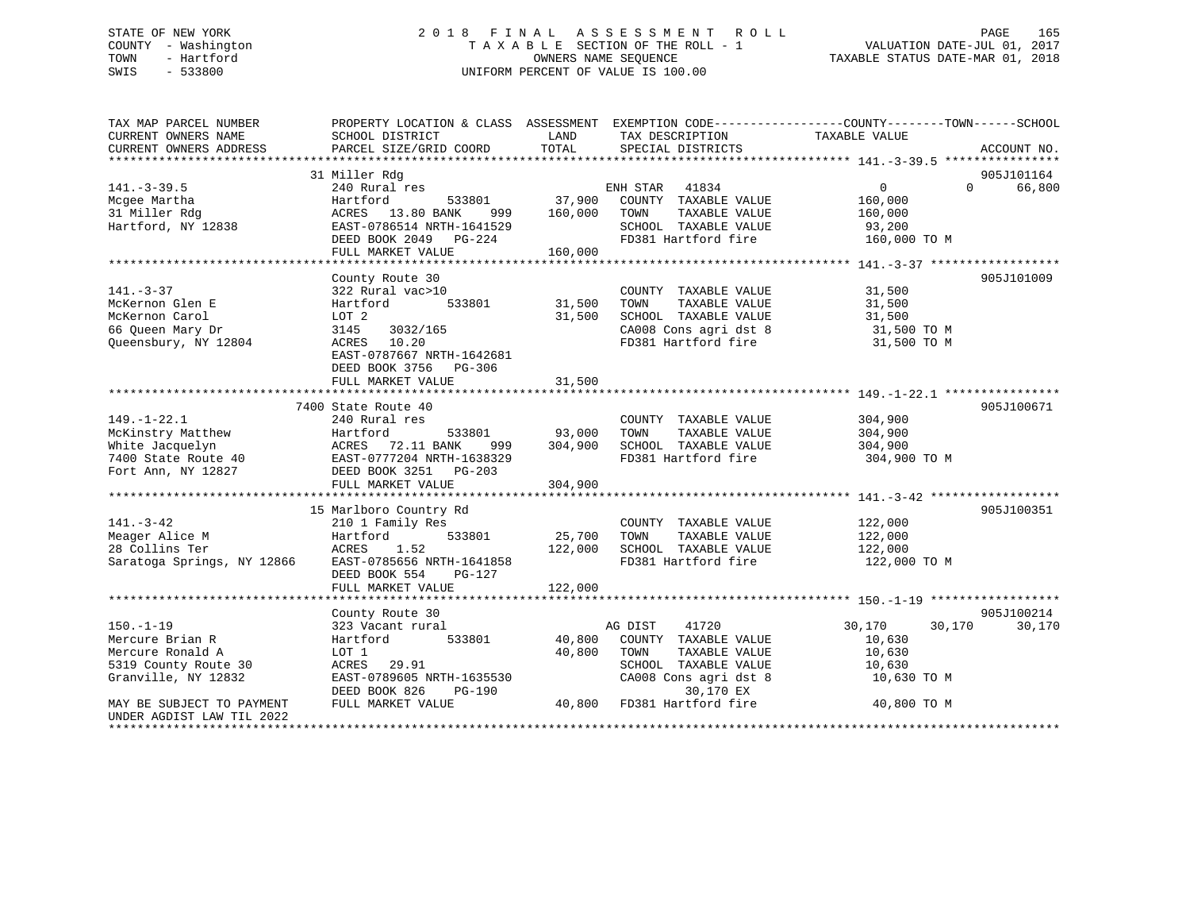# STATE OF NEW YORK 2 0 1 8 F I N A L A S S E S S M E N T R O L L PAGE 165 COUNTY - Washington T A X A B L E SECTION OF THE ROLL - 1 VALUATION DATE-JUL 01, 2017 TOWN - Hartford OWNERS NAME SEQUENCE TAXABLE STATUS DATE-MAR 01, 2018 SWIS - 533800 UNIFORM PERCENT OF VALUE IS 100.00

| 905J101164<br>31 Miller Rdg<br>$\overline{0}$<br>66,800<br>$141. - 3 - 39.5$<br>240 Rural res<br>ENH STAR<br>41834<br>$\Omega$<br>37,900<br>COUNTY TAXABLE VALUE<br>Mcgee Martha<br>Hartford<br>533801<br>160,000<br>31 Miller Rdg<br>ACRES 13.80 BANK<br>160,000<br>TOWN<br>TAXABLE VALUE<br>999<br>160,000<br>SCHOOL TAXABLE VALUE<br>EAST-0786514 NRTH-1641529<br>93,200<br>FD381 Hartford fire<br>DEED BOOK 2049 PG-224<br>160,000 TO M<br>FULL MARKET VALUE<br>160,000<br>County Route 30<br>905J101009<br>$141. - 3 - 37$<br>322 Rural vac>10<br>31,500<br>COUNTY TAXABLE VALUE<br>533801<br>31,500<br>McKernon Glen E<br>Hartford<br>TOWN<br>TAXABLE VALUE<br>31,500<br>McKernon Carol<br>LOT 2<br>31,500<br>SCHOOL TAXABLE VALUE<br>31,500<br>66 Queen Mary Dr<br>3145<br>3032/165<br>CA008 Cons agri dst 8<br>31,500 TO M<br>FD381 Hartford fire<br>Queensbury, NY 12804<br>ACRES 10.20<br>31,500 TO M<br>EAST-0787667 NRTH-1642681<br>DEED BOOK 3756 PG-306<br>31,500<br>FULL MARKET VALUE<br>7400 State Route 40<br>905J100671<br>$149. - 1 - 22.1$<br>240 Rural res<br>COUNTY TAXABLE VALUE<br>304,900<br>533801<br>TAXABLE VALUE<br>McKinstry Matthew<br>Hartford<br>93,000<br>TOWN<br>304,900<br>304,900<br>White Jacquelyn<br>ACRES 72.11 BANK<br>SCHOOL TAXABLE VALUE<br>999<br>304,900<br>FD381 Hartford fire<br>7400 State Route 40<br>EAST-0777204 NRTH-1638329<br>304,900 TO M<br>Fort Ann, NY 12827<br>DEED BOOK 3251 PG-203<br>FULL MARKET VALUE<br>304,900<br>15 Marlboro Country Rd<br>905J100351<br>$141. - 3 - 42$<br>210 1 Family Res<br>COUNTY TAXABLE VALUE<br>122,000<br>Meager Alice M<br>Hartford<br>533801<br>25,700<br>TOWN<br>TAXABLE VALUE<br>122,000<br>28 Collins Ter<br>ACRES<br>1.52<br>122,000<br>SCHOOL TAXABLE VALUE<br>122,000<br>Saratoga Springs, NY 12866<br>EAST-0785656 NRTH-1641858<br>FD381 Hartford fire<br>122,000 TO M<br>DEED BOOK 554<br>PG-127<br>122,000<br>FULL MARKET VALUE<br>905J100214<br>County Route 30<br>$150. - 1 - 19$<br>323 Vacant rural<br>AG DIST<br>41720<br>30,170<br>30,170<br>30,170<br>Mercure Brian R<br>Hartford 533801<br>40,800<br>COUNTY TAXABLE VALUE<br>10,630<br>Mercure Ronald A<br>40,800<br>10,630<br>LOT 1<br>TOWN<br>TAXABLE VALUE<br>5319 County Route 30<br>SCHOOL TAXABLE VALUE<br>ACRES 29.91<br>10,630<br>Granville, NY 12832<br>EAST-0789605 NRTH-1635530<br>CA008 Cons agri dst 8<br>10,630 TO M<br>30,170 EX<br>DEED BOOK 826<br>PG-190<br>40,800<br>FD381 Hartford fire<br>FULL MARKET VALUE<br>40,800 TO M<br>MAY BE SUBJECT TO PAYMENT<br>UNDER AGDIST LAW TIL 2022 | TAX MAP PARCEL NUMBER<br>CURRENT OWNERS NAME | PROPERTY LOCATION & CLASS ASSESSMENT EXEMPTION CODE----------------COUNTY-------TOWN------SCHOOL<br>SCHOOL DISTRICT | LAND  | TAX DESCRIPTION TAXABLE VALUE |             |
|---------------------------------------------------------------------------------------------------------------------------------------------------------------------------------------------------------------------------------------------------------------------------------------------------------------------------------------------------------------------------------------------------------------------------------------------------------------------------------------------------------------------------------------------------------------------------------------------------------------------------------------------------------------------------------------------------------------------------------------------------------------------------------------------------------------------------------------------------------------------------------------------------------------------------------------------------------------------------------------------------------------------------------------------------------------------------------------------------------------------------------------------------------------------------------------------------------------------------------------------------------------------------------------------------------------------------------------------------------------------------------------------------------------------------------------------------------------------------------------------------------------------------------------------------------------------------------------------------------------------------------------------------------------------------------------------------------------------------------------------------------------------------------------------------------------------------------------------------------------------------------------------------------------------------------------------------------------------------------------------------------------------------------------------------------------------------------------------------------------------------------------------------------------------------------------------------------------------------------------------------------------------------------------------------------------------------------------------------------------------------------------------------------------------------------------------------------------------------------------------------------------------------------------------------------------------------|----------------------------------------------|---------------------------------------------------------------------------------------------------------------------|-------|-------------------------------|-------------|
|                                                                                                                                                                                                                                                                                                                                                                                                                                                                                                                                                                                                                                                                                                                                                                                                                                                                                                                                                                                                                                                                                                                                                                                                                                                                                                                                                                                                                                                                                                                                                                                                                                                                                                                                                                                                                                                                                                                                                                                                                                                                                                                                                                                                                                                                                                                                                                                                                                                                                                                                                                           | CURRENT OWNERS ADDRESS                       | PARCEL SIZE/GRID COORD                                                                                              | TOTAL | SPECIAL DISTRICTS             | ACCOUNT NO. |
|                                                                                                                                                                                                                                                                                                                                                                                                                                                                                                                                                                                                                                                                                                                                                                                                                                                                                                                                                                                                                                                                                                                                                                                                                                                                                                                                                                                                                                                                                                                                                                                                                                                                                                                                                                                                                                                                                                                                                                                                                                                                                                                                                                                                                                                                                                                                                                                                                                                                                                                                                                           |                                              |                                                                                                                     |       |                               |             |
|                                                                                                                                                                                                                                                                                                                                                                                                                                                                                                                                                                                                                                                                                                                                                                                                                                                                                                                                                                                                                                                                                                                                                                                                                                                                                                                                                                                                                                                                                                                                                                                                                                                                                                                                                                                                                                                                                                                                                                                                                                                                                                                                                                                                                                                                                                                                                                                                                                                                                                                                                                           |                                              |                                                                                                                     |       |                               |             |
|                                                                                                                                                                                                                                                                                                                                                                                                                                                                                                                                                                                                                                                                                                                                                                                                                                                                                                                                                                                                                                                                                                                                                                                                                                                                                                                                                                                                                                                                                                                                                                                                                                                                                                                                                                                                                                                                                                                                                                                                                                                                                                                                                                                                                                                                                                                                                                                                                                                                                                                                                                           |                                              |                                                                                                                     |       |                               |             |
|                                                                                                                                                                                                                                                                                                                                                                                                                                                                                                                                                                                                                                                                                                                                                                                                                                                                                                                                                                                                                                                                                                                                                                                                                                                                                                                                                                                                                                                                                                                                                                                                                                                                                                                                                                                                                                                                                                                                                                                                                                                                                                                                                                                                                                                                                                                                                                                                                                                                                                                                                                           |                                              |                                                                                                                     |       |                               |             |
|                                                                                                                                                                                                                                                                                                                                                                                                                                                                                                                                                                                                                                                                                                                                                                                                                                                                                                                                                                                                                                                                                                                                                                                                                                                                                                                                                                                                                                                                                                                                                                                                                                                                                                                                                                                                                                                                                                                                                                                                                                                                                                                                                                                                                                                                                                                                                                                                                                                                                                                                                                           |                                              |                                                                                                                     |       |                               |             |
|                                                                                                                                                                                                                                                                                                                                                                                                                                                                                                                                                                                                                                                                                                                                                                                                                                                                                                                                                                                                                                                                                                                                                                                                                                                                                                                                                                                                                                                                                                                                                                                                                                                                                                                                                                                                                                                                                                                                                                                                                                                                                                                                                                                                                                                                                                                                                                                                                                                                                                                                                                           | Hartford, NY 12838                           |                                                                                                                     |       |                               |             |
|                                                                                                                                                                                                                                                                                                                                                                                                                                                                                                                                                                                                                                                                                                                                                                                                                                                                                                                                                                                                                                                                                                                                                                                                                                                                                                                                                                                                                                                                                                                                                                                                                                                                                                                                                                                                                                                                                                                                                                                                                                                                                                                                                                                                                                                                                                                                                                                                                                                                                                                                                                           |                                              |                                                                                                                     |       |                               |             |
|                                                                                                                                                                                                                                                                                                                                                                                                                                                                                                                                                                                                                                                                                                                                                                                                                                                                                                                                                                                                                                                                                                                                                                                                                                                                                                                                                                                                                                                                                                                                                                                                                                                                                                                                                                                                                                                                                                                                                                                                                                                                                                                                                                                                                                                                                                                                                                                                                                                                                                                                                                           |                                              |                                                                                                                     |       |                               |             |
|                                                                                                                                                                                                                                                                                                                                                                                                                                                                                                                                                                                                                                                                                                                                                                                                                                                                                                                                                                                                                                                                                                                                                                                                                                                                                                                                                                                                                                                                                                                                                                                                                                                                                                                                                                                                                                                                                                                                                                                                                                                                                                                                                                                                                                                                                                                                                                                                                                                                                                                                                                           |                                              |                                                                                                                     |       |                               |             |
|                                                                                                                                                                                                                                                                                                                                                                                                                                                                                                                                                                                                                                                                                                                                                                                                                                                                                                                                                                                                                                                                                                                                                                                                                                                                                                                                                                                                                                                                                                                                                                                                                                                                                                                                                                                                                                                                                                                                                                                                                                                                                                                                                                                                                                                                                                                                                                                                                                                                                                                                                                           |                                              |                                                                                                                     |       |                               |             |
|                                                                                                                                                                                                                                                                                                                                                                                                                                                                                                                                                                                                                                                                                                                                                                                                                                                                                                                                                                                                                                                                                                                                                                                                                                                                                                                                                                                                                                                                                                                                                                                                                                                                                                                                                                                                                                                                                                                                                                                                                                                                                                                                                                                                                                                                                                                                                                                                                                                                                                                                                                           |                                              |                                                                                                                     |       |                               |             |
|                                                                                                                                                                                                                                                                                                                                                                                                                                                                                                                                                                                                                                                                                                                                                                                                                                                                                                                                                                                                                                                                                                                                                                                                                                                                                                                                                                                                                                                                                                                                                                                                                                                                                                                                                                                                                                                                                                                                                                                                                                                                                                                                                                                                                                                                                                                                                                                                                                                                                                                                                                           |                                              |                                                                                                                     |       |                               |             |
|                                                                                                                                                                                                                                                                                                                                                                                                                                                                                                                                                                                                                                                                                                                                                                                                                                                                                                                                                                                                                                                                                                                                                                                                                                                                                                                                                                                                                                                                                                                                                                                                                                                                                                                                                                                                                                                                                                                                                                                                                                                                                                                                                                                                                                                                                                                                                                                                                                                                                                                                                                           |                                              |                                                                                                                     |       |                               |             |
|                                                                                                                                                                                                                                                                                                                                                                                                                                                                                                                                                                                                                                                                                                                                                                                                                                                                                                                                                                                                                                                                                                                                                                                                                                                                                                                                                                                                                                                                                                                                                                                                                                                                                                                                                                                                                                                                                                                                                                                                                                                                                                                                                                                                                                                                                                                                                                                                                                                                                                                                                                           |                                              |                                                                                                                     |       |                               |             |
|                                                                                                                                                                                                                                                                                                                                                                                                                                                                                                                                                                                                                                                                                                                                                                                                                                                                                                                                                                                                                                                                                                                                                                                                                                                                                                                                                                                                                                                                                                                                                                                                                                                                                                                                                                                                                                                                                                                                                                                                                                                                                                                                                                                                                                                                                                                                                                                                                                                                                                                                                                           |                                              |                                                                                                                     |       |                               |             |
|                                                                                                                                                                                                                                                                                                                                                                                                                                                                                                                                                                                                                                                                                                                                                                                                                                                                                                                                                                                                                                                                                                                                                                                                                                                                                                                                                                                                                                                                                                                                                                                                                                                                                                                                                                                                                                                                                                                                                                                                                                                                                                                                                                                                                                                                                                                                                                                                                                                                                                                                                                           |                                              |                                                                                                                     |       |                               |             |
|                                                                                                                                                                                                                                                                                                                                                                                                                                                                                                                                                                                                                                                                                                                                                                                                                                                                                                                                                                                                                                                                                                                                                                                                                                                                                                                                                                                                                                                                                                                                                                                                                                                                                                                                                                                                                                                                                                                                                                                                                                                                                                                                                                                                                                                                                                                                                                                                                                                                                                                                                                           |                                              |                                                                                                                     |       |                               |             |
|                                                                                                                                                                                                                                                                                                                                                                                                                                                                                                                                                                                                                                                                                                                                                                                                                                                                                                                                                                                                                                                                                                                                                                                                                                                                                                                                                                                                                                                                                                                                                                                                                                                                                                                                                                                                                                                                                                                                                                                                                                                                                                                                                                                                                                                                                                                                                                                                                                                                                                                                                                           |                                              |                                                                                                                     |       |                               |             |
|                                                                                                                                                                                                                                                                                                                                                                                                                                                                                                                                                                                                                                                                                                                                                                                                                                                                                                                                                                                                                                                                                                                                                                                                                                                                                                                                                                                                                                                                                                                                                                                                                                                                                                                                                                                                                                                                                                                                                                                                                                                                                                                                                                                                                                                                                                                                                                                                                                                                                                                                                                           |                                              |                                                                                                                     |       |                               |             |
|                                                                                                                                                                                                                                                                                                                                                                                                                                                                                                                                                                                                                                                                                                                                                                                                                                                                                                                                                                                                                                                                                                                                                                                                                                                                                                                                                                                                                                                                                                                                                                                                                                                                                                                                                                                                                                                                                                                                                                                                                                                                                                                                                                                                                                                                                                                                                                                                                                                                                                                                                                           |                                              |                                                                                                                     |       |                               |             |
|                                                                                                                                                                                                                                                                                                                                                                                                                                                                                                                                                                                                                                                                                                                                                                                                                                                                                                                                                                                                                                                                                                                                                                                                                                                                                                                                                                                                                                                                                                                                                                                                                                                                                                                                                                                                                                                                                                                                                                                                                                                                                                                                                                                                                                                                                                                                                                                                                                                                                                                                                                           |                                              |                                                                                                                     |       |                               |             |
|                                                                                                                                                                                                                                                                                                                                                                                                                                                                                                                                                                                                                                                                                                                                                                                                                                                                                                                                                                                                                                                                                                                                                                                                                                                                                                                                                                                                                                                                                                                                                                                                                                                                                                                                                                                                                                                                                                                                                                                                                                                                                                                                                                                                                                                                                                                                                                                                                                                                                                                                                                           |                                              |                                                                                                                     |       |                               |             |
|                                                                                                                                                                                                                                                                                                                                                                                                                                                                                                                                                                                                                                                                                                                                                                                                                                                                                                                                                                                                                                                                                                                                                                                                                                                                                                                                                                                                                                                                                                                                                                                                                                                                                                                                                                                                                                                                                                                                                                                                                                                                                                                                                                                                                                                                                                                                                                                                                                                                                                                                                                           |                                              |                                                                                                                     |       |                               |             |
|                                                                                                                                                                                                                                                                                                                                                                                                                                                                                                                                                                                                                                                                                                                                                                                                                                                                                                                                                                                                                                                                                                                                                                                                                                                                                                                                                                                                                                                                                                                                                                                                                                                                                                                                                                                                                                                                                                                                                                                                                                                                                                                                                                                                                                                                                                                                                                                                                                                                                                                                                                           |                                              |                                                                                                                     |       |                               |             |
|                                                                                                                                                                                                                                                                                                                                                                                                                                                                                                                                                                                                                                                                                                                                                                                                                                                                                                                                                                                                                                                                                                                                                                                                                                                                                                                                                                                                                                                                                                                                                                                                                                                                                                                                                                                                                                                                                                                                                                                                                                                                                                                                                                                                                                                                                                                                                                                                                                                                                                                                                                           |                                              |                                                                                                                     |       |                               |             |
|                                                                                                                                                                                                                                                                                                                                                                                                                                                                                                                                                                                                                                                                                                                                                                                                                                                                                                                                                                                                                                                                                                                                                                                                                                                                                                                                                                                                                                                                                                                                                                                                                                                                                                                                                                                                                                                                                                                                                                                                                                                                                                                                                                                                                                                                                                                                                                                                                                                                                                                                                                           |                                              |                                                                                                                     |       |                               |             |
|                                                                                                                                                                                                                                                                                                                                                                                                                                                                                                                                                                                                                                                                                                                                                                                                                                                                                                                                                                                                                                                                                                                                                                                                                                                                                                                                                                                                                                                                                                                                                                                                                                                                                                                                                                                                                                                                                                                                                                                                                                                                                                                                                                                                                                                                                                                                                                                                                                                                                                                                                                           |                                              |                                                                                                                     |       |                               |             |
|                                                                                                                                                                                                                                                                                                                                                                                                                                                                                                                                                                                                                                                                                                                                                                                                                                                                                                                                                                                                                                                                                                                                                                                                                                                                                                                                                                                                                                                                                                                                                                                                                                                                                                                                                                                                                                                                                                                                                                                                                                                                                                                                                                                                                                                                                                                                                                                                                                                                                                                                                                           |                                              |                                                                                                                     |       |                               |             |
|                                                                                                                                                                                                                                                                                                                                                                                                                                                                                                                                                                                                                                                                                                                                                                                                                                                                                                                                                                                                                                                                                                                                                                                                                                                                                                                                                                                                                                                                                                                                                                                                                                                                                                                                                                                                                                                                                                                                                                                                                                                                                                                                                                                                                                                                                                                                                                                                                                                                                                                                                                           |                                              |                                                                                                                     |       |                               |             |
|                                                                                                                                                                                                                                                                                                                                                                                                                                                                                                                                                                                                                                                                                                                                                                                                                                                                                                                                                                                                                                                                                                                                                                                                                                                                                                                                                                                                                                                                                                                                                                                                                                                                                                                                                                                                                                                                                                                                                                                                                                                                                                                                                                                                                                                                                                                                                                                                                                                                                                                                                                           |                                              |                                                                                                                     |       |                               |             |
|                                                                                                                                                                                                                                                                                                                                                                                                                                                                                                                                                                                                                                                                                                                                                                                                                                                                                                                                                                                                                                                                                                                                                                                                                                                                                                                                                                                                                                                                                                                                                                                                                                                                                                                                                                                                                                                                                                                                                                                                                                                                                                                                                                                                                                                                                                                                                                                                                                                                                                                                                                           |                                              |                                                                                                                     |       |                               |             |
|                                                                                                                                                                                                                                                                                                                                                                                                                                                                                                                                                                                                                                                                                                                                                                                                                                                                                                                                                                                                                                                                                                                                                                                                                                                                                                                                                                                                                                                                                                                                                                                                                                                                                                                                                                                                                                                                                                                                                                                                                                                                                                                                                                                                                                                                                                                                                                                                                                                                                                                                                                           |                                              |                                                                                                                     |       |                               |             |
|                                                                                                                                                                                                                                                                                                                                                                                                                                                                                                                                                                                                                                                                                                                                                                                                                                                                                                                                                                                                                                                                                                                                                                                                                                                                                                                                                                                                                                                                                                                                                                                                                                                                                                                                                                                                                                                                                                                                                                                                                                                                                                                                                                                                                                                                                                                                                                                                                                                                                                                                                                           |                                              |                                                                                                                     |       |                               |             |
|                                                                                                                                                                                                                                                                                                                                                                                                                                                                                                                                                                                                                                                                                                                                                                                                                                                                                                                                                                                                                                                                                                                                                                                                                                                                                                                                                                                                                                                                                                                                                                                                                                                                                                                                                                                                                                                                                                                                                                                                                                                                                                                                                                                                                                                                                                                                                                                                                                                                                                                                                                           |                                              |                                                                                                                     |       |                               |             |
|                                                                                                                                                                                                                                                                                                                                                                                                                                                                                                                                                                                                                                                                                                                                                                                                                                                                                                                                                                                                                                                                                                                                                                                                                                                                                                                                                                                                                                                                                                                                                                                                                                                                                                                                                                                                                                                                                                                                                                                                                                                                                                                                                                                                                                                                                                                                                                                                                                                                                                                                                                           |                                              |                                                                                                                     |       |                               |             |
|                                                                                                                                                                                                                                                                                                                                                                                                                                                                                                                                                                                                                                                                                                                                                                                                                                                                                                                                                                                                                                                                                                                                                                                                                                                                                                                                                                                                                                                                                                                                                                                                                                                                                                                                                                                                                                                                                                                                                                                                                                                                                                                                                                                                                                                                                                                                                                                                                                                                                                                                                                           |                                              |                                                                                                                     |       |                               |             |
|                                                                                                                                                                                                                                                                                                                                                                                                                                                                                                                                                                                                                                                                                                                                                                                                                                                                                                                                                                                                                                                                                                                                                                                                                                                                                                                                                                                                                                                                                                                                                                                                                                                                                                                                                                                                                                                                                                                                                                                                                                                                                                                                                                                                                                                                                                                                                                                                                                                                                                                                                                           |                                              |                                                                                                                     |       |                               |             |
|                                                                                                                                                                                                                                                                                                                                                                                                                                                                                                                                                                                                                                                                                                                                                                                                                                                                                                                                                                                                                                                                                                                                                                                                                                                                                                                                                                                                                                                                                                                                                                                                                                                                                                                                                                                                                                                                                                                                                                                                                                                                                                                                                                                                                                                                                                                                                                                                                                                                                                                                                                           |                                              |                                                                                                                     |       |                               |             |
|                                                                                                                                                                                                                                                                                                                                                                                                                                                                                                                                                                                                                                                                                                                                                                                                                                                                                                                                                                                                                                                                                                                                                                                                                                                                                                                                                                                                                                                                                                                                                                                                                                                                                                                                                                                                                                                                                                                                                                                                                                                                                                                                                                                                                                                                                                                                                                                                                                                                                                                                                                           |                                              |                                                                                                                     |       |                               |             |
|                                                                                                                                                                                                                                                                                                                                                                                                                                                                                                                                                                                                                                                                                                                                                                                                                                                                                                                                                                                                                                                                                                                                                                                                                                                                                                                                                                                                                                                                                                                                                                                                                                                                                                                                                                                                                                                                                                                                                                                                                                                                                                                                                                                                                                                                                                                                                                                                                                                                                                                                                                           |                                              |                                                                                                                     |       |                               |             |
|                                                                                                                                                                                                                                                                                                                                                                                                                                                                                                                                                                                                                                                                                                                                                                                                                                                                                                                                                                                                                                                                                                                                                                                                                                                                                                                                                                                                                                                                                                                                                                                                                                                                                                                                                                                                                                                                                                                                                                                                                                                                                                                                                                                                                                                                                                                                                                                                                                                                                                                                                                           |                                              |                                                                                                                     |       |                               |             |
|                                                                                                                                                                                                                                                                                                                                                                                                                                                                                                                                                                                                                                                                                                                                                                                                                                                                                                                                                                                                                                                                                                                                                                                                                                                                                                                                                                                                                                                                                                                                                                                                                                                                                                                                                                                                                                                                                                                                                                                                                                                                                                                                                                                                                                                                                                                                                                                                                                                                                                                                                                           |                                              |                                                                                                                     |       |                               |             |
|                                                                                                                                                                                                                                                                                                                                                                                                                                                                                                                                                                                                                                                                                                                                                                                                                                                                                                                                                                                                                                                                                                                                                                                                                                                                                                                                                                                                                                                                                                                                                                                                                                                                                                                                                                                                                                                                                                                                                                                                                                                                                                                                                                                                                                                                                                                                                                                                                                                                                                                                                                           |                                              |                                                                                                                     |       |                               |             |
|                                                                                                                                                                                                                                                                                                                                                                                                                                                                                                                                                                                                                                                                                                                                                                                                                                                                                                                                                                                                                                                                                                                                                                                                                                                                                                                                                                                                                                                                                                                                                                                                                                                                                                                                                                                                                                                                                                                                                                                                                                                                                                                                                                                                                                                                                                                                                                                                                                                                                                                                                                           |                                              |                                                                                                                     |       |                               |             |
|                                                                                                                                                                                                                                                                                                                                                                                                                                                                                                                                                                                                                                                                                                                                                                                                                                                                                                                                                                                                                                                                                                                                                                                                                                                                                                                                                                                                                                                                                                                                                                                                                                                                                                                                                                                                                                                                                                                                                                                                                                                                                                                                                                                                                                                                                                                                                                                                                                                                                                                                                                           |                                              |                                                                                                                     |       |                               |             |
|                                                                                                                                                                                                                                                                                                                                                                                                                                                                                                                                                                                                                                                                                                                                                                                                                                                                                                                                                                                                                                                                                                                                                                                                                                                                                                                                                                                                                                                                                                                                                                                                                                                                                                                                                                                                                                                                                                                                                                                                                                                                                                                                                                                                                                                                                                                                                                                                                                                                                                                                                                           |                                              |                                                                                                                     |       |                               |             |
|                                                                                                                                                                                                                                                                                                                                                                                                                                                                                                                                                                                                                                                                                                                                                                                                                                                                                                                                                                                                                                                                                                                                                                                                                                                                                                                                                                                                                                                                                                                                                                                                                                                                                                                                                                                                                                                                                                                                                                                                                                                                                                                                                                                                                                                                                                                                                                                                                                                                                                                                                                           |                                              |                                                                                                                     |       |                               |             |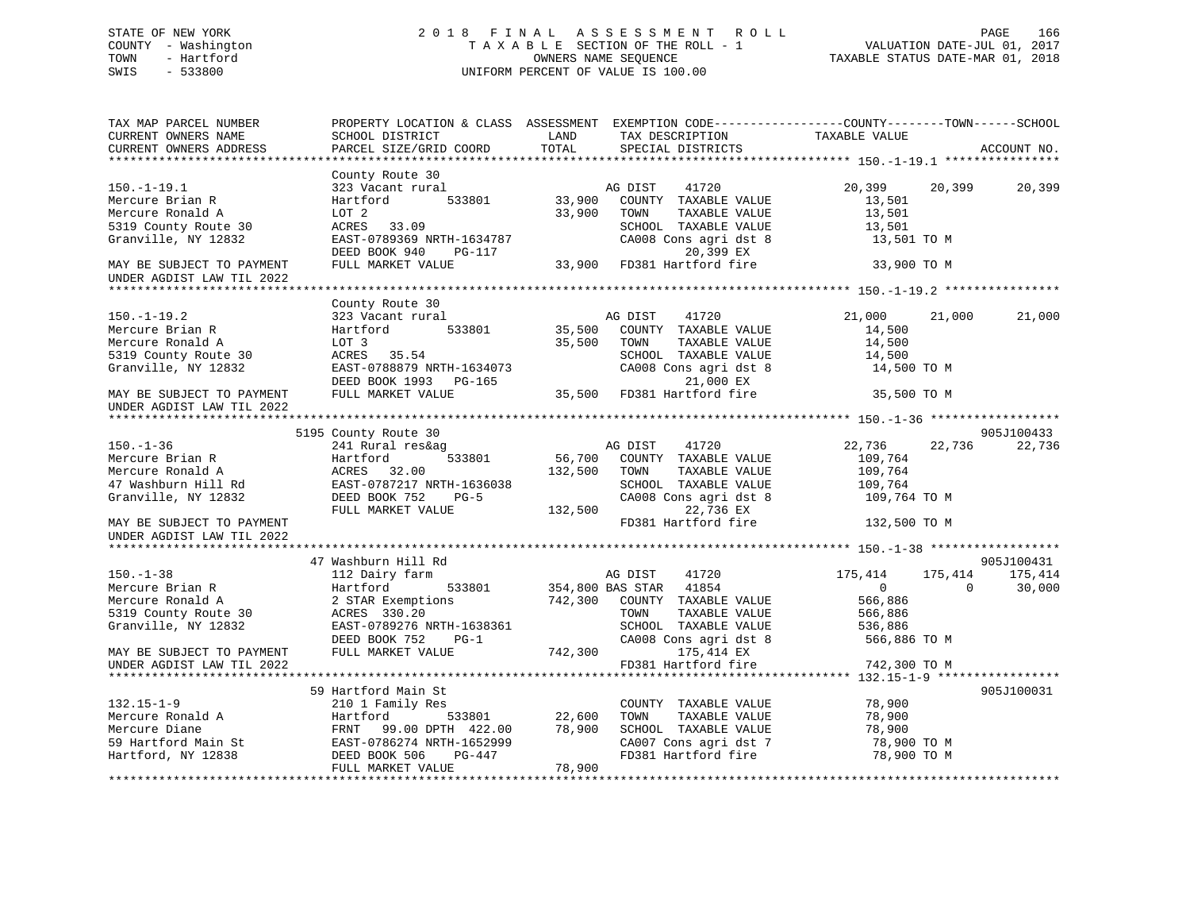# STATE OF NEW YORK 2 0 1 8 F I N A L A S S E S S M E N T R O L L PAGE 166 COUNTY - Washington T A X A B L E SECTION OF THE ROLL - 1 VALUATION DATE-JUL 01, 2017 TOWN - Hartford OWNERS NAME SEQUENCE TAXABLE STATUS DATE-MAR 01, 2018 SWIS - 533800 UNIFORM PERCENT OF VALUE IS 100.00UNIFORM PERCENT OF VALUE IS 100.00

| TAX MAP PARCEL NUMBER<br>CURRENT OWNERS NAME<br>CURRENT OWNERS ADDRESS                                  | PROPERTY LOCATION & CLASS ASSESSMENT EXEMPTION CODE---------------COUNTY-------TOWN------SCHOOL<br>SCHOOL DISTRICT<br>PARCEL SIZE/GRID COORD         | LAND<br>TOTAL      | TAX DESCRIPTION<br>SPECIAL DISTRICTS                                                                                                         | TAXABLE VALUE                                                                  | ACCOUNT NO.                   |
|---------------------------------------------------------------------------------------------------------|------------------------------------------------------------------------------------------------------------------------------------------------------|--------------------|----------------------------------------------------------------------------------------------------------------------------------------------|--------------------------------------------------------------------------------|-------------------------------|
| $150. - 1 - 19.1$<br>Mercure Brian R<br>Mercure Ronald A<br>5319 County Route 30<br>Granville, NY 12832 | County Route 30<br>323 Vacant rural<br>Hartford<br>533801<br>LOT <sub>2</sub><br>ACRES 33.09<br>EAST-0789369 NRTH-1634787<br>DEED BOOK 940<br>PG-117 | 33,900<br>33,900   | AG DIST<br>41720<br>COUNTY TAXABLE VALUE<br>TAXABLE VALUE<br>TOWN<br>SCHOOL TAXABLE VALUE<br>CA008 Cons agri dst 8<br>20,399 EX              | 20,399<br>20,399<br>13,501<br>13,501<br>13,501<br>13,501 TO M                  | 20,399                        |
| MAY BE SUBJECT TO PAYMENT<br>UNDER AGDIST LAW TIL 2022                                                  | FULL MARKET VALUE                                                                                                                                    |                    | 33,900 FD381 Hartford fire                                                                                                                   | 33,900 TO M                                                                    |                               |
|                                                                                                         | County Route 30                                                                                                                                      |                    |                                                                                                                                              |                                                                                |                               |
| $150.-1-19.2$<br>Mercure Brian R<br>Mercure Ronald A<br>5319 County Route 30<br>Granville, NY 12832     | 323 Vacant rural<br>533801<br>Hartford<br>LOT 3<br>ACRES 35.54<br>EAST-0788879 NRTH-1634073<br>DEED BOOK 1993 PG-165                                 | 35,500             | AG DIST<br>41720<br>35,500 COUNTY TAXABLE VALUE<br>TOWN<br>TAXABLE VALUE<br>SCHOOL TAXABLE VALUE<br>CA008 Cons agri dst 8<br>21,000 EX       | 21,000<br>21,000<br>14,500<br>14,500<br>14,500<br>14,500 TO M                  | 21,000                        |
| MAY BE SUBJECT TO PAYMENT<br>UNDER AGDIST LAW TIL 2022                                                  | FULL MARKET VALUE                                                                                                                                    |                    | 21,000 EX<br>35,500 FD381 Hartford fire                                                                                                      | 35,500 TO M                                                                    |                               |
|                                                                                                         |                                                                                                                                                      |                    |                                                                                                                                              |                                                                                |                               |
|                                                                                                         | 5195 County Route 30                                                                                                                                 |                    |                                                                                                                                              |                                                                                | 905J100433                    |
| $150. - 1 - 36$<br>Mercure Brian R<br>Mercure Ronald A<br>47 Washburn Hill Rd<br>Granville, NY 12832    | 241 Rural res&ag<br>Hartford<br>533801<br>ACRES 32.00<br>EAST-0787217 NRTH-1636038<br>DEED BOOK 752<br>$PG-5$<br>FULL MARKET VALUE                   | 132,500<br>132,500 | AG DIST<br>41720<br>56,700 COUNTY TAXABLE VALUE<br>TOWN<br>TAXABLE VALUE<br>SCHOOL TAXABLE VALUE<br>CA008 Cons agri dst 8<br>22,736 EX       | 22,736<br>22,736<br>109,764<br>109,764<br>109,764<br>109,764 TO M              | 22,736                        |
| MAY BE SUBJECT TO PAYMENT<br>UNDER AGDIST LAW TIL 2022                                                  |                                                                                                                                                      |                    | FD381 Hartford fire                                                                                                                          | 132,500 TO M                                                                   |                               |
|                                                                                                         |                                                                                                                                                      |                    |                                                                                                                                              |                                                                                |                               |
|                                                                                                         | 47 Washburn Hill Rd                                                                                                                                  |                    |                                                                                                                                              |                                                                                | 905J100431                    |
| $150. - 1 - 38$<br>Mercure Brian R<br>Mercure Ronald A<br>5319 County Route 30<br>Granville, NY 12832   | 112 Dairy farm<br>Hartford<br>533801<br>2 STAR Exemptions<br>ACRES 330.20<br>EAST-0789276 NRTH-1638361<br>DEED BOOK 752<br>$PG-1$                    | 742,300            | AG DIST<br>41720<br>354,800 BAS STAR 41854<br>COUNTY TAXABLE VALUE<br>TOWN<br>TAXABLE VALUE<br>SCHOOL TAXABLE VALUE<br>CA008 Cons agri dst 8 | 175,414<br>175,414<br>$\circ$<br>566,886<br>566,886<br>536,886<br>566,886 TO M | 175,414<br>30,000<br>$\Omega$ |
| MAY BE SUBJECT TO PAYMENT<br>UNDER AGDIST LAW TIL 2022                                                  | FULL MARKET VALUE                                                                                                                                    | 742,300            | 175,414 EX<br>FD381 Hartford fire                                                                                                            | 742,300 TO M                                                                   |                               |
|                                                                                                         |                                                                                                                                                      |                    |                                                                                                                                              |                                                                                |                               |
| $132.15 - 1 - 9$<br>Mercure Ronald A<br>Mercure Diane<br>59 Hartford Main St<br>Hartford, NY 12838      | 59 Hartford Main St<br>210 1 Family Res<br>533801<br>Hartford<br>FRNT 99.00 DPTH 422.00<br>EAST-0786274 NRTH-1652999<br>DEED BOOK 506<br>PG-447      | 22,600<br>78,900   | COUNTY TAXABLE VALUE<br>TOWN<br>TAXABLE VALUE<br>SCHOOL TAXABLE VALUE<br>CA007 Cons agri dst 7<br>FD381 Hartford fire                        | 78,900<br>78,900<br>78,900<br>78,900 TO M<br>78,900 TO M                       | 905J100031                    |
|                                                                                                         | FULL MARKET VALUE                                                                                                                                    | 78,900             |                                                                                                                                              |                                                                                |                               |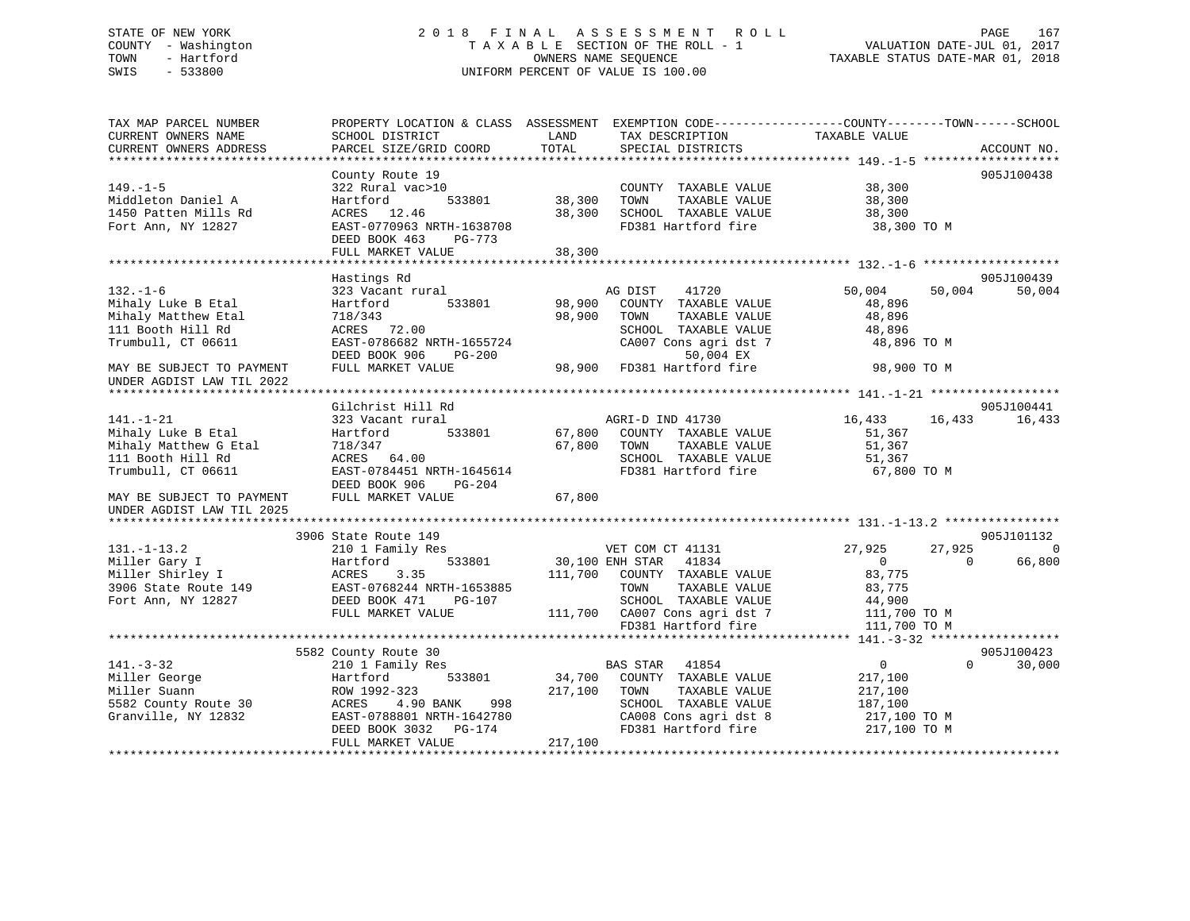# STATE OF NEW YORK 2 0 1 8 F I N A L A S S E S S M E N T R O L L PAGE 167 COUNTY - Washington T A X A B L E SECTION OF THE ROLL - 1 VALUATION DATE-JUL 01, 2017 TOWN - Hartford **TAXABLE STATUS DATE-MAR 01, 2018** OWNERS NAME SEQUENCE TAXABLE STATUS DATE-MAR 01, 2018 SWIS - 533800 UNIFORM PERCENT OF VALUE IS 100.00

| SCHOOL DISTRICT                                                                                                                                                                           | LAND                                                                                     | TAX DESCRIPTION                                                                                                                             | TAXABLE VALUE                                                                                                                                                                   | ACCOUNT NO.                                                                                                                                     |
|-------------------------------------------------------------------------------------------------------------------------------------------------------------------------------------------|------------------------------------------------------------------------------------------|---------------------------------------------------------------------------------------------------------------------------------------------|---------------------------------------------------------------------------------------------------------------------------------------------------------------------------------|-------------------------------------------------------------------------------------------------------------------------------------------------|
|                                                                                                                                                                                           |                                                                                          |                                                                                                                                             |                                                                                                                                                                                 |                                                                                                                                                 |
| County Route 19<br>322 Rural vac>10<br>533801<br>Hartford<br>ACRES 12.46<br>EAST-0770963 NRTH-1638708<br>DEED BOOK 463<br><b>PG-773</b><br>FULL MARKET VALUE                              | 38,300<br>38,300<br>38,300                                                               | COUNTY TAXABLE VALUE<br>TOWN<br>TAXABLE VALUE<br>SCHOOL TAXABLE VALUE<br>FD381 Hartford fire                                                | 38,300<br>38,300<br>38,300<br>38,300 TO M                                                                                                                                       | 905J100438                                                                                                                                      |
|                                                                                                                                                                                           |                                                                                          |                                                                                                                                             |                                                                                                                                                                                 |                                                                                                                                                 |
| 323 Vacant rural<br>533801<br>Hartford<br>718/343<br>ACRES 72.00<br>EAST-0786682 NRTH-1655724<br>DEED BOOK 906<br>PG-200<br>FULL MARKET VALUE                                             | 98,900<br>98,900                                                                         | 41720<br>COUNTY TAXABLE VALUE<br>TAXABLE VALUE<br>TOWN<br>SCHOOL TAXABLE VALUE<br>CA007 Cons agri dst 7<br>50,004 EX<br>FD381 Hartford fire | 50,004<br>48,896<br>48,896<br>48,896<br>48,896 TO M<br>98,900 TO M                                                                                                              | 905J100439<br>50,004                                                                                                                            |
|                                                                                                                                                                                           |                                                                                          |                                                                                                                                             |                                                                                                                                                                                 |                                                                                                                                                 |
| Gilchrist Hill Rd<br>323 Vacant rural<br>533801<br>Hartford<br>718/347<br>ACRES 64.00<br>EAST-0784451 NRTH-1645614                                                                        | 67,800                                                                                   | COUNTY TAXABLE VALUE<br>TOWN<br>TAXABLE VALUE<br>SCHOOL TAXABLE VALUE<br>FD381 Hartford fire                                                | 16,433<br>51,367<br>51,367<br>51,367<br>67,800 TO M                                                                                                                             | 905J100441<br>16,433                                                                                                                            |
| FULL MARKET VALUE                                                                                                                                                                         | 67,800                                                                                   |                                                                                                                                             |                                                                                                                                                                                 |                                                                                                                                                 |
|                                                                                                                                                                                           |                                                                                          |                                                                                                                                             |                                                                                                                                                                                 | 905J101132                                                                                                                                      |
| 210 1 Family Res<br>533801<br>Hartford<br>ACRES<br>3.35<br>EAST-0768244 NRTH-1653885<br>DEED BOOK 471<br>PG-107<br>FULL MARKET VALUE                                                      | 111,700                                                                                  | 41834<br>COUNTY TAXABLE VALUE<br>TAXABLE VALUE<br>TOWN<br>SCHOOL TAXABLE VALUE                                                              | 27,925<br>$\overline{0}$<br>83,775<br>83,775<br>44,900<br>111,700 TO M                                                                                                          | 0<br>66,800<br>$\Omega$                                                                                                                         |
|                                                                                                                                                                                           |                                                                                          |                                                                                                                                             |                                                                                                                                                                                 |                                                                                                                                                 |
| 5582 County Route 30<br>210 1 Family Res<br>Hartford<br>533801<br>ROW 1992-323<br>ACRES<br>4.90 BANK<br>998<br>EAST-0788801 NRTH-1642780<br>DEED BOOK 3032<br>PG-174<br>FULL MARKET VALUE | 34,700<br>217,100<br>217,100                                                             | 41854<br>COUNTY TAXABLE VALUE<br>TOWN<br>TAXABLE VALUE<br>SCHOOL TAXABLE VALUE<br>CA008 Cons agri dst 8<br>FD381 Hartford fire              | $\overline{0}$<br>217,100<br>217,100<br>187,100<br>217,100 TO M<br>217,100 TO M                                                                                                 | 905J100423<br>$\Omega$<br>30,000                                                                                                                |
|                                                                                                                                                                                           | PARCEL SIZE/GRID COORD<br>Hastings Rd<br>DEED BOOK 906<br>PG-204<br>3906 State Route 149 | TOTAL                                                                                                                                       | SPECIAL DISTRICTS<br>AG DIST<br>98,900<br>AGRI-D IND 41730<br>67,800<br>VET COM CT 41131<br>30,100 ENH STAR<br>111,700 CA007 Cons agri dst 7<br>FD381 Hartford fire<br>BAS STAR | PROPERTY LOCATION & CLASS ASSESSMENT EXEMPTION CODE-----------------COUNTY-------TOWN------SCHOOL<br>50,004<br>16,433<br>27,925<br>111,700 TO M |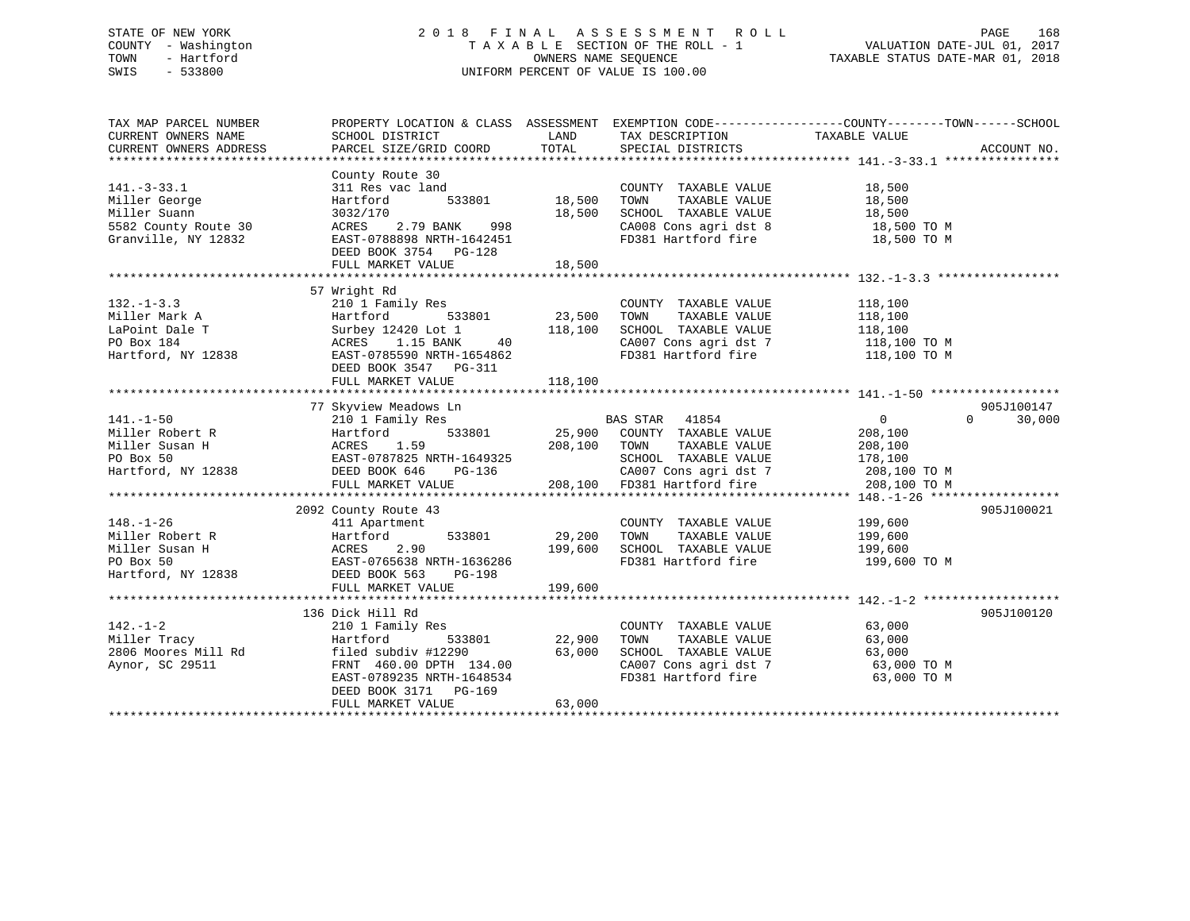# STATE OF NEW YORK 2 0 1 8 F I N A L A S S E S S M E N T R O L L PAGE 168 COUNTY - Washington T A X A B L E SECTION OF THE ROLL - 1 VALUATION DATE-JUL 01, 2017 TOWN - Hartford **TAXABLE STATUS DATE-MAR 01, 2018** OWNERS NAME SEQUENCE TAXABLE STATUS DATE-MAR 01, 2018 SWIS - 533800 UNIFORM PERCENT OF VALUE IS 100.00

| TAX MAP PARCEL NUMBER  |                                                                                                                                                                                                                                                      |        |                                                                                                                                                                                                  | PROPERTY LOCATION & CLASS ASSESSMENT EXEMPTION CODE----------------COUNTY-------TOWN------SCHOOL |             |
|------------------------|------------------------------------------------------------------------------------------------------------------------------------------------------------------------------------------------------------------------------------------------------|--------|--------------------------------------------------------------------------------------------------------------------------------------------------------------------------------------------------|--------------------------------------------------------------------------------------------------|-------------|
| CURRENT OWNERS NAME    | SCHOOL DISTRICT                                                                                                                                                                                                                                      |        | LAND TAX DESCRIPTION TAXABLE VALUE                                                                                                                                                               |                                                                                                  |             |
| CURRENT OWNERS ADDRESS | PARCEL SIZE/GRID COORD                                                                                                                                                                                                                               |        | TOTAL SPECIAL DISTRICTS                                                                                                                                                                          |                                                                                                  | ACCOUNT NO. |
|                        |                                                                                                                                                                                                                                                      |        |                                                                                                                                                                                                  |                                                                                                  |             |
|                        |                                                                                                                                                                                                                                                      |        |                                                                                                                                                                                                  |                                                                                                  |             |
| $141.-3-33.1$          |                                                                                                                                                                                                                                                      |        | COUNTY TAXABLE VALUE 18,500                                                                                                                                                                      |                                                                                                  |             |
|                        |                                                                                                                                                                                                                                                      |        |                                                                                                                                                                                                  |                                                                                                  |             |
|                        |                                                                                                                                                                                                                                                      |        |                                                                                                                                                                                                  |                                                                                                  |             |
|                        | Antibox and the corresponding to the corresponding to the corresponding to the corresponding to the corresponding to the corresponding to the corresponding to the corresponding the corresponding to the corresponding the ca                       |        |                                                                                                                                                                                                  |                                                                                                  |             |
|                        | Granville, NY 12832 EAST-0788898 NRTH-1642451                                                                                                                                                                                                        |        | FD381 Hartford fire 18,500 TO M                                                                                                                                                                  |                                                                                                  |             |
|                        | DEED BOOK 3754 PG-128                                                                                                                                                                                                                                |        |                                                                                                                                                                                                  |                                                                                                  |             |
|                        | FULL MARKET VALUE                                                                                                                                                                                                                                    | 18,500 |                                                                                                                                                                                                  |                                                                                                  |             |
|                        |                                                                                                                                                                                                                                                      |        |                                                                                                                                                                                                  |                                                                                                  |             |
|                        | 57 Wright Rd                                                                                                                                                                                                                                         |        |                                                                                                                                                                                                  |                                                                                                  |             |
|                        |                                                                                                                                                                                                                                                      |        |                                                                                                                                                                                                  |                                                                                                  |             |
|                        |                                                                                                                                                                                                                                                      |        |                                                                                                                                                                                                  |                                                                                                  |             |
|                        |                                                                                                                                                                                                                                                      |        |                                                                                                                                                                                                  |                                                                                                  |             |
|                        |                                                                                                                                                                                                                                                      |        |                                                                                                                                                                                                  |                                                                                                  |             |
|                        | 132.-1-3.3<br>Miller Mark A<br>LaPoint Dale T<br>Miller Mark A<br>LaPoint Dale T<br>Miller Mark A<br>Martford 533801<br>23,500 TOWN TAXABLE VALUE<br>23,500 TOWN TAXABLE VALUE<br>23,500 TOWN TAXABLE VALUE<br>23,500 TOWN TAXABLE VALUE<br>23,500 T |        | CA007 Cons agri dst 7 118,100 TO M<br>FD381 Hartford fire 118,100 TO M                                                                                                                           |                                                                                                  |             |
|                        | DEED BOOK 3547 PG-311                                                                                                                                                                                                                                |        |                                                                                                                                                                                                  |                                                                                                  |             |
|                        |                                                                                                                                                                                                                                                      |        |                                                                                                                                                                                                  |                                                                                                  |             |
|                        |                                                                                                                                                                                                                                                      |        |                                                                                                                                                                                                  |                                                                                                  |             |
|                        | 77 Skyview Meadows Ln                                                                                                                                                                                                                                |        |                                                                                                                                                                                                  |                                                                                                  | 905J100147  |
|                        |                                                                                                                                                                                                                                                      |        | NS LII<br>Res<br>533801 25,900 COUNTY TAXABLE VALUE<br>9 208,100 TOWN TAXABLE VALUE<br>208,100 208,100 TOWN TAXABLE VALUE<br>208,100                                                             | $\Omega$                                                                                         | 30,000      |
|                        |                                                                                                                                                                                                                                                      |        |                                                                                                                                                                                                  |                                                                                                  |             |
|                        |                                                                                                                                                                                                                                                      |        |                                                                                                                                                                                                  |                                                                                                  |             |
|                        |                                                                                                                                                                                                                                                      |        |                                                                                                                                                                                                  |                                                                                                  |             |
|                        |                                                                                                                                                                                                                                                      |        |                                                                                                                                                                                                  |                                                                                                  |             |
|                        |                                                                                                                                                                                                                                                      |        |                                                                                                                                                                                                  |                                                                                                  |             |
|                        | $[141.-1-50$ $[141.-1-50$ $[141.-1-50$ $[1411-50$ $[1411-50$ $[1411-50$ $[1411-50$ $[1411-50$ $[1411-50$ $[1411-50$ $[1411-50$ $[1411-50$ $[1411-50$ $[1411-50$ $[1411-50$ $[1411-50$ $[1411-50$ $[1411-50$ $[141$                                   |        |                                                                                                                                                                                                  |                                                                                                  |             |
|                        |                                                                                                                                                                                                                                                      |        |                                                                                                                                                                                                  |                                                                                                  | 905J100021  |
|                        |                                                                                                                                                                                                                                                      |        | COUNTY TAXABLE VALUE 199,600                                                                                                                                                                     |                                                                                                  |             |
|                        |                                                                                                                                                                                                                                                      |        | COUNTY TAXABLE VALUE<br>533801 29,200 TOWN TAXABLE VALUE                                                                                                                                         | 199,600                                                                                          |             |
|                        |                                                                                                                                                                                                                                                      |        | $199,600$ SCHOOL TAXABLE VALUE 199,600                                                                                                                                                           |                                                                                                  |             |
|                        |                                                                                                                                                                                                                                                      |        | FD381 Hartford fire 199,600 TO M                                                                                                                                                                 |                                                                                                  |             |
|                        |                                                                                                                                                                                                                                                      |        |                                                                                                                                                                                                  |                                                                                                  |             |
|                        |                                                                                                                                                                                                                                                      |        |                                                                                                                                                                                                  |                                                                                                  |             |
|                        | 48.-1-26<br>Miller Robert R<br>Miller Susan H<br>Miller Susan H<br>PO Box 50<br>Hartford, NY 12838<br>Hartford, NY 12838<br>Hartford, NY 12838<br>PO BOX 563<br>FULL MARKET VALUE<br>TULL MARKET VALUE<br>TULL MARKET VALUE                          |        |                                                                                                                                                                                                  |                                                                                                  |             |
|                        | 136 Dick Hill Rd                                                                                                                                                                                                                                     |        |                                                                                                                                                                                                  |                                                                                                  | 905J100120  |
|                        |                                                                                                                                                                                                                                                      |        |                                                                                                                                                                                                  |                                                                                                  |             |
|                        |                                                                                                                                                                                                                                                      |        | $\begin{tabular}{lllllllll} \multicolumn{2}{c}{\text{COUNTY}} & \text{TAXABLE VALUE} & & & & & 63,000 \\ \multicolumn{2}{c}{\text{TOWN}} & \text{TAXABLE VALUE} & & & & 63,000 \\ \end{tabular}$ |                                                                                                  |             |
|                        |                                                                                                                                                                                                                                                      |        |                                                                                                                                                                                                  | 63,000                                                                                           |             |
|                        |                                                                                                                                                                                                                                                      |        |                                                                                                                                                                                                  | 63,000 TO M                                                                                      |             |
|                        |                                                                                                                                                                                                                                                      |        |                                                                                                                                                                                                  | 63,000 TO M                                                                                      |             |
|                        | 142.-1-2<br>Miller Tracy<br>2006 Moores Mill Rd<br>2006 Moores Mill Rd<br>2006 Moores Mill Rd<br>2006 Moores Mill Rd<br>2006 SCHOOL TAXABLE VALUE<br>2006 SCHOOL TAXABLE VALUE<br>2007 Consagri dst 7<br>2007 Consagri dst 7<br>2007 Consagri dst    |        |                                                                                                                                                                                                  |                                                                                                  |             |
|                        | FULL MARKET VALUE                                                                                                                                                                                                                                    | 63,000 |                                                                                                                                                                                                  |                                                                                                  |             |
|                        |                                                                                                                                                                                                                                                      |        |                                                                                                                                                                                                  |                                                                                                  |             |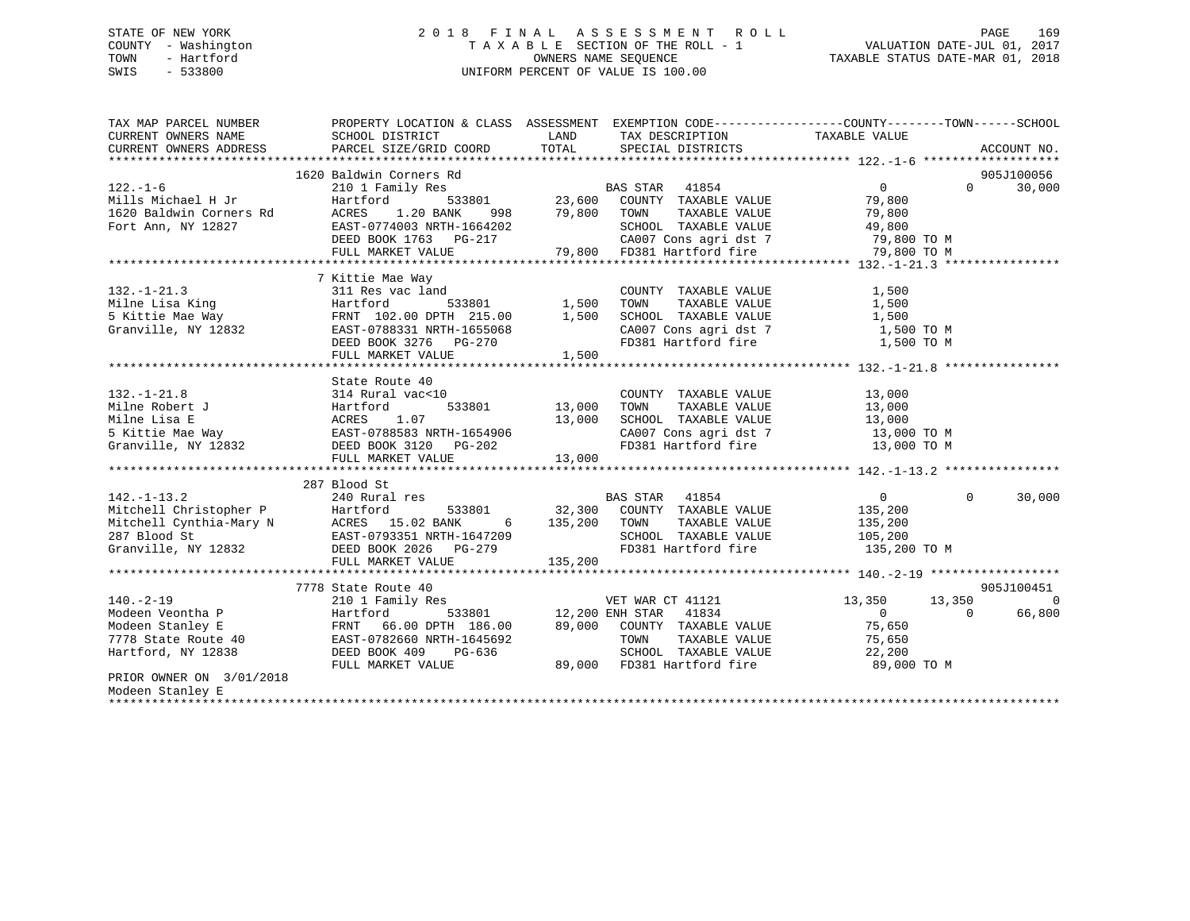# STATE OF NEW YORK 2 0 1 8 F I N A L A S S E S S M E N T R O L L PAGE 169 COUNTY - Washington T A X A B L E SECTION OF THE ROLL - 1 VALUATION DATE-JUL 01, 2017 TOWN - Hartford **TAXABLE STATUS DATE-MAR 01, 2018** OWNERS NAME SEQUENCE TAXABLE STATUS DATE-MAR 01, 2018 SWIS - 533800 UNIFORM PERCENT OF VALUE IS 100.00

| TAX MAP PARCEL NUMBER<br>CURRENT OWNERS NAME<br>CURRENT OWNERS ADDRESS                                                                                                                                                                               | PROPERTY LOCATION & CLASS ASSESSMENT EXEMPTION CODE---------------COUNTY-------TOWN-----SCHOOL<br>SCHOOL DISTRICT<br>PARCEL SIZE/GRID COORD | LAND<br>TOTAL                | TAX DESCRIPTION<br>SPECIAL DISTRICTS                                                                                                                                                                                                               | TAXABLE VALUE                                                            |            | ACCOUNT NO. |
|------------------------------------------------------------------------------------------------------------------------------------------------------------------------------------------------------------------------------------------------------|---------------------------------------------------------------------------------------------------------------------------------------------|------------------------------|----------------------------------------------------------------------------------------------------------------------------------------------------------------------------------------------------------------------------------------------------|--------------------------------------------------------------------------|------------|-------------|
|                                                                                                                                                                                                                                                      |                                                                                                                                             |                              |                                                                                                                                                                                                                                                    |                                                                          |            |             |
|                                                                                                                                                                                                                                                      | 1620 Baldwin Corners Rd                                                                                                                     |                              |                                                                                                                                                                                                                                                    |                                                                          |            | 905J100056  |
| $122. - 1 - 6$                                                                                                                                                                                                                                       | 210 1 Family Res                                                                                                                            |                              | Rd<br>BAS STAR 41854<br>533801 23,600 COUNTY TAXABLE VALUE<br>ANK 998 79,800 TOWN TAXABLE VALUE                                                                                                                                                    | $\begin{array}{c} 0 \\ 79.800 \end{array}$                               | $\Omega$   | 30,000      |
| Mills Michael H Jr                                                                                                                                                                                                                                   | Hartford                                                                                                                                    |                              |                                                                                                                                                                                                                                                    | 79,800                                                                   |            |             |
| 1620 Baldwin Corners Rd                                                                                                                                                                                                                              | 1.20 BANK<br>ACRES                                                                                                                          |                              | TAXABLE VALUE                                                                                                                                                                                                                                      | 79,800                                                                   |            |             |
| Fort Ann, NY 12827                                                                                                                                                                                                                                   |                                                                                                                                             |                              |                                                                                                                                                                                                                                                    |                                                                          |            |             |
|                                                                                                                                                                                                                                                      | EAST-0774003 NRTH-1664202<br>DEED BOOK 1763 PG-217                                                                                          |                              | 664202<br>-217 CA007 Cons agri dst 7 (2007 TO M)<br>79,800 FD381 Hartford fire 79,800 TO M                                                                                                                                                         |                                                                          |            |             |
|                                                                                                                                                                                                                                                      | FULL MARKET VALUE                                                                                                                           |                              |                                                                                                                                                                                                                                                    |                                                                          |            |             |
|                                                                                                                                                                                                                                                      |                                                                                                                                             |                              |                                                                                                                                                                                                                                                    |                                                                          |            |             |
|                                                                                                                                                                                                                                                      | 7 Kittie Mae Way                                                                                                                            |                              |                                                                                                                                                                                                                                                    |                                                                          |            |             |
| $132. - 1 - 21.3$                                                                                                                                                                                                                                    | 311 Res vac land                                                                                                                            |                              | COUNTY TAXABLE VALUE                                                                                                                                                                                                                               | 1,500                                                                    |            |             |
|                                                                                                                                                                                                                                                      |                                                                                                                                             | d COUNT<br>533801 1,500 TOWN |                                                                                                                                                                                                                                                    |                                                                          |            |             |
|                                                                                                                                                                                                                                                      |                                                                                                                                             |                              |                                                                                                                                                                                                                                                    |                                                                          |            |             |
|                                                                                                                                                                                                                                                      |                                                                                                                                             |                              |                                                                                                                                                                                                                                                    |                                                                          |            |             |
|                                                                                                                                                                                                                                                      | DEED BOOK 3276 PG-270                                                                                                                       |                              | $\begin{array}{lllllllllllllllllllll} \texttt{CA007} & \texttt{Cons}\ \texttt{agri}\ \texttt{dst}\ \texttt{7} & & & 1,500\ \texttt{T0}\ \texttt{FD381}\ \texttt{Hartford}\ \texttt{fire} & & & 1,500\ \texttt{T0}\ \texttt{M} & & & & \end{array}$ |                                                                          |            |             |
|                                                                                                                                                                                                                                                      | FULL MARKET VALUE                                                                                                                           | 1,500                        |                                                                                                                                                                                                                                                    |                                                                          |            |             |
|                                                                                                                                                                                                                                                      |                                                                                                                                             |                              |                                                                                                                                                                                                                                                    |                                                                          |            |             |
|                                                                                                                                                                                                                                                      | State Route 40                                                                                                                              |                              |                                                                                                                                                                                                                                                    |                                                                          |            |             |
|                                                                                                                                                                                                                                                      |                                                                                                                                             |                              | COUNTY TAXABLE VALUE                                                                                                                                                                                                                               | 13,000                                                                   |            |             |
|                                                                                                                                                                                                                                                      |                                                                                                                                             |                              | TAXABLE VALUE                                                                                                                                                                                                                                      |                                                                          |            |             |
| 132.-1-21.8<br>Milne Robert J<br>Milne Lisa E<br>5 Kittie Mae Way<br>5 Kittie Mae Way<br>6 Granville, NY 12832<br>7 Granville, NY 12832<br>8 Granville, NY 12832<br>8 Granville, NY 12832<br>8 Granville, NY 12832<br>8 Granville, NY 12832<br>8 Gra |                                                                                                                                             |                              | TOWN      TAXABLE  VALUE<br>SCHOOL   TAXABLE  VALUE                                                                                                                                                                                                | 13,000<br>13,000                                                         |            |             |
|                                                                                                                                                                                                                                                      |                                                                                                                                             |                              | CA007 Cons agri dst 7 13,000 TO M                                                                                                                                                                                                                  |                                                                          |            |             |
|                                                                                                                                                                                                                                                      |                                                                                                                                             |                              | FD381 Hartford fire                                                                                                                                                                                                                                | 13,000 TO M                                                              |            |             |
|                                                                                                                                                                                                                                                      | FULL MARKET VALUE                                                                                                                           | 13,000                       |                                                                                                                                                                                                                                                    |                                                                          |            |             |
|                                                                                                                                                                                                                                                      |                                                                                                                                             |                              |                                                                                                                                                                                                                                                    |                                                                          |            |             |
|                                                                                                                                                                                                                                                      | 287 Blood St                                                                                                                                |                              |                                                                                                                                                                                                                                                    |                                                                          |            |             |
| $142. - 1 - 13.2$                                                                                                                                                                                                                                    | 240 Rural res                                                                                                                               |                              | BAS STAR 41854                                                                                                                                                                                                                                     | $\sim$ 0                                                                 | $\Omega$   | 30,000      |
| Mitchell Christopher P<br>Mitchell Cynthia-Mary N<br>Mitchell Cynthia-Mary N<br>287 Blood St<br>Cranville, NY 12832<br>ERST-0793351 NRTH-1647209<br>DEED BOOK 2026 PG-279<br>FIILL MARKET VALUE<br>287 135,200                                       |                                                                                                                                             |                              | 32,300 COUNTY TAXABLE VALUE<br>5 135,200 TOWN TAXABLE VALUE                                                                                                                                                                                        |                                                                          |            |             |
|                                                                                                                                                                                                                                                      |                                                                                                                                             | $6 \t 135,200 \t 70WN$       |                                                                                                                                                                                                                                                    | 135,200<br>135,200                                                       |            |             |
|                                                                                                                                                                                                                                                      |                                                                                                                                             |                              | SCHOOL TAXABLE VALUE 105,200                                                                                                                                                                                                                       |                                                                          |            |             |
|                                                                                                                                                                                                                                                      |                                                                                                                                             |                              | FD381 Hartford fire                                                                                                                                                                                                                                | 135,200 TO M                                                             |            |             |
|                                                                                                                                                                                                                                                      | FULL MARKET VALUE                                                                                                                           | 135,200                      |                                                                                                                                                                                                                                                    |                                                                          |            |             |
|                                                                                                                                                                                                                                                      |                                                                                                                                             |                              |                                                                                                                                                                                                                                                    |                                                                          |            |             |
|                                                                                                                                                                                                                                                      | 7778 State Route 40                                                                                                                         |                              |                                                                                                                                                                                                                                                    |                                                                          |            | 905J100451  |
| $140. - 2 - 19$                                                                                                                                                                                                                                      | 210 1 Family Res                                                                                                                            |                              | VET WAR CT 41121                                                                                                                                                                                                                                   | 13,350                                                                   | 13,350     | $\Omega$    |
| Modeen Veontha P                                                                                                                                                                                                                                     |                                                                                                                                             |                              |                                                                                                                                                                                                                                                    | $\overline{0}$                                                           | $\bigcirc$ | 66,800      |
| Modeen Stanley E                                                                                                                                                                                                                                     | Hartford 533801 12,200 ENH STAR 41834<br>FRNT 66.00 DPTH 186.00 89,000 COUNTY TAXABLE VALUE                                                 |                              |                                                                                                                                                                                                                                                    | 75,650                                                                   |            |             |
| 7778 State Route 40                                                                                                                                                                                                                                  | EAST-0782660 NRTH-1645692<br>DEED BOOK 409 PG-636                                                                                           |                              | TOWN                                                                                                                                                                                                                                               |                                                                          |            |             |
| Hartford, NY 12838                                                                                                                                                                                                                                   |                                                                                                                                             |                              |                                                                                                                                                                                                                                                    |                                                                          |            |             |
|                                                                                                                                                                                                                                                      | FULL MARKET VALUE                                                                                                                           |                              |                                                                                                                                                                                                                                                    | TAXABLE VALUE 75,650<br>TAXABLE VALUE 22,200<br>artford fire 89,000 TO M |            |             |
| PRIOR OWNER ON 3/01/2018                                                                                                                                                                                                                             |                                                                                                                                             |                              |                                                                                                                                                                                                                                                    |                                                                          |            |             |
| Modeen Stanley E                                                                                                                                                                                                                                     |                                                                                                                                             |                              |                                                                                                                                                                                                                                                    |                                                                          |            |             |
|                                                                                                                                                                                                                                                      |                                                                                                                                             |                              |                                                                                                                                                                                                                                                    |                                                                          |            |             |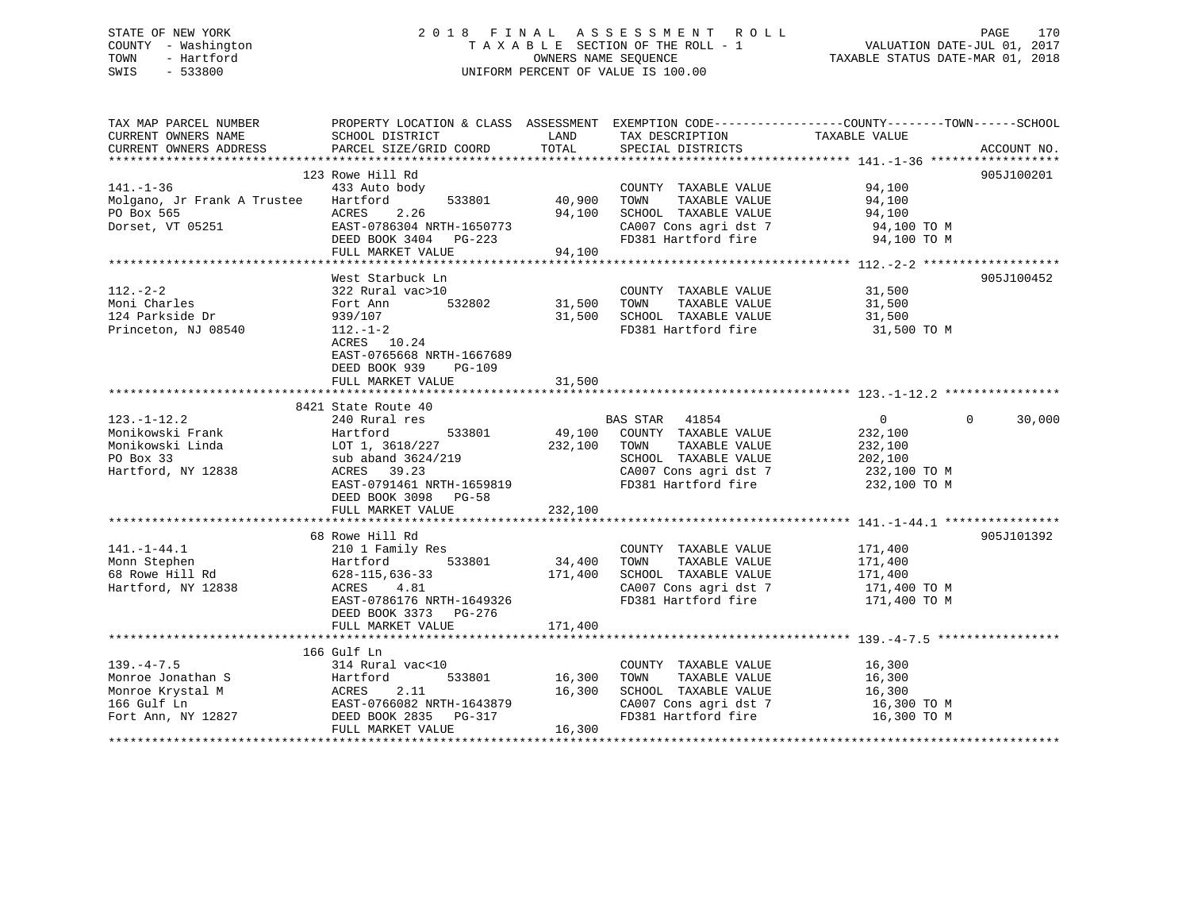# STATE OF NEW YORK 2 0 1 8 F I N A L A S S E S S M E N T R O L L PAGE 170 COUNTY - Washington T A X A B L E SECTION OF THE ROLL - 1 VALUATION DATE-JUL 01, 2017 TOWN - Hartford **TAXABLE STATUS DATE-MAR 01, 2018** OWNERS NAME SEQUENCE TAXABLE STATUS DATE-MAR 01, 2018 SWIS - 533800 UNIFORM PERCENT OF VALUE IS 100.00

| TAX MAP PARCEL NUMBER       |                                                                                              |               |                                    | PROPERTY LOCATION & CLASS ASSESSMENT EXEMPTION CODE----------------COUNTY-------TOWN------SCHOOL |            |
|-----------------------------|----------------------------------------------------------------------------------------------|---------------|------------------------------------|--------------------------------------------------------------------------------------------------|------------|
| CURRENT OWNERS NAME         | SCHOOL DISTRICT                                                                              | LAND          | TAX DESCRIPTION                    | TAXABLE VALUE                                                                                    |            |
|                             |                                                                                              |               |                                    |                                                                                                  |            |
|                             |                                                                                              |               |                                    |                                                                                                  |            |
|                             | 123 Rowe Hill Rd                                                                             |               |                                    |                                                                                                  | 905J100201 |
| $141. - 1 - 36$             | 433 Auto body                                                                                |               | COUNTY TAXABLE VALUE 94,100        |                                                                                                  |            |
| Molgano, Jr Frank A Trustee | 533801<br>Hartford                                                                           | 40,900        | TOWN<br>TAXABLE VALUE              | 94,100                                                                                           |            |
| PO Box 565                  | 2.26<br>ACRES                                                                                | 94,100        | SCHOOL TAXABLE VALUE               | 94,100                                                                                           |            |
| Dorset, VT 05251            | EAST-0786304 NRTH-1650773                                                                    |               | CA007 Cons agri dst 7              | 94,100 TO M                                                                                      |            |
|                             | DEED BOOK 3404 PG-223                                                                        |               | FD381 Hartford fire                | 94,100 TO M                                                                                      |            |
|                             | FULL MARKET VALUE                                                                            | 94,100        |                                    |                                                                                                  |            |
|                             |                                                                                              |               |                                    |                                                                                                  |            |
|                             | West Starbuck Ln                                                                             |               |                                    |                                                                                                  | 905J100452 |
| $112. - 2 - 2$              | 322 Rural vac>10                                                                             |               | COUNTY TAXABLE VALUE               | 31,500                                                                                           |            |
| Moni Charles                | Fort Ann                                                                                     | 532802 31,500 | TOWN<br>TAXABLE VALUE              | 31,500                                                                                           |            |
| 124 Parkside Dr             | 939/107                                                                                      | 31,500        | SCHOOL TAXABLE VALUE               | 31,500                                                                                           |            |
| Princeton, NJ 08540         | 112.-1-2                                                                                     |               | FD381 Hartford fire                | 31,500 TO M                                                                                      |            |
|                             | ACRES 10.24                                                                                  |               |                                    |                                                                                                  |            |
|                             | EAST-0765668 NRTH-1667689                                                                    |               |                                    |                                                                                                  |            |
|                             | DEED BOOK 939<br>PG-109                                                                      |               |                                    |                                                                                                  |            |
|                             | FULL MARKET VALUE                                                                            | 31,500        |                                    |                                                                                                  |            |
|                             |                                                                                              |               |                                    |                                                                                                  |            |
|                             | 8421 State Route 40                                                                          |               |                                    |                                                                                                  |            |
| $123. - 1 - 12.2$           | 240 Rural res                                                                                |               | BAS STAR 41854                     | $\overline{0}$<br>$\Omega$                                                                       | 30,000     |
| Monikowski Frank            | Hartford<br>533801                                                                           |               | 49,100 COUNTY TAXABLE VALUE        | 232,100                                                                                          |            |
| Monikowski Linda            |                                                                                              | 232,100       | TAXABLE VALUE<br>TOWN              |                                                                                                  |            |
|                             | LOT 1, 3618/227<br>sub aband 3624/219                                                        |               |                                    | 232,100                                                                                          |            |
| PO Box 33                   | sub aband 3624/219                                                                           |               | SCHOOL TAXABLE VALUE               | 202,100                                                                                          |            |
| Hartford, NY 12838          | ACRES 39.23                                                                                  |               | CA007 Cons agri dst 7 232,100 TO M |                                                                                                  |            |
|                             | EAST-0791461 NRTH-1659819                                                                    |               | FD381 Hartford fire                | 232,100 TO M                                                                                     |            |
|                             | DEED BOOK 3098 PG-58                                                                         |               |                                    |                                                                                                  |            |
|                             | FULL MARKET VALUE                                                                            | 232,100       |                                    |                                                                                                  |            |
|                             |                                                                                              |               |                                    |                                                                                                  |            |
|                             | 68 Rowe Hill Rd                                                                              |               |                                    |                                                                                                  | 905J101392 |
| $141. - 1 - 44.1$           | 210 1 Family Res                                                                             |               | COUNTY TAXABLE VALUE 171,400       |                                                                                                  |            |
| Monn Stephen                | 533801<br>Hartford                                                                           | 34,400        | TOWN<br>TAXABLE VALUE              | 171,400                                                                                          |            |
| 68 Rowe Hill Rd             | 628-115,636-33<br>ACRES 4.81 171,                                                            | 171,400       | SCHOOL TAXABLE VALUE               | 171,400                                                                                          |            |
| Hartford, NY 12838          |                                                                                              |               | CA007 Cons agri dst 7              | 171,400 TO M                                                                                     |            |
|                             | EAST-0786176 NRTH-1649326                                                                    |               | FD381 Hartford fire                | 171,400 TO M                                                                                     |            |
|                             | DEED BOOK 3373 PG-276                                                                        |               |                                    |                                                                                                  |            |
|                             |                                                                                              |               |                                    |                                                                                                  |            |
|                             |                                                                                              |               |                                    |                                                                                                  |            |
|                             | 166 Gulf Ln                                                                                  |               |                                    |                                                                                                  |            |
| $139. -4 - 7.5$             | 314 Rural vac<10                                                                             |               | COUNTY TAXABLE VALUE               | 16,300                                                                                           |            |
| Monroe Jonathan S           |                                                                                              | 16,300        | TAXABLE VALUE<br>TOWN              | 16,300                                                                                           |            |
| Monroe Krystal M            |                                                                                              | 16,300        | SCHOOL TAXABLE VALUE               | 16,300                                                                                           |            |
| 166 Gulf Ln                 |                                                                                              |               | CA007 Cons agri dst 7              | 16,300 TO M                                                                                      |            |
| Fort Ann, NY 12827          | Hartford 533801 16,30<br>ACRES 2.11 16,30<br>EAST-0766082 NRTH-1643879 DEED BOOK 2835 PG-317 |               | FD381 Hartford fire                | 16,300 TO M                                                                                      |            |
|                             | FULL MARKET VALUE                                                                            | 16,300        |                                    |                                                                                                  |            |
|                             |                                                                                              |               |                                    |                                                                                                  |            |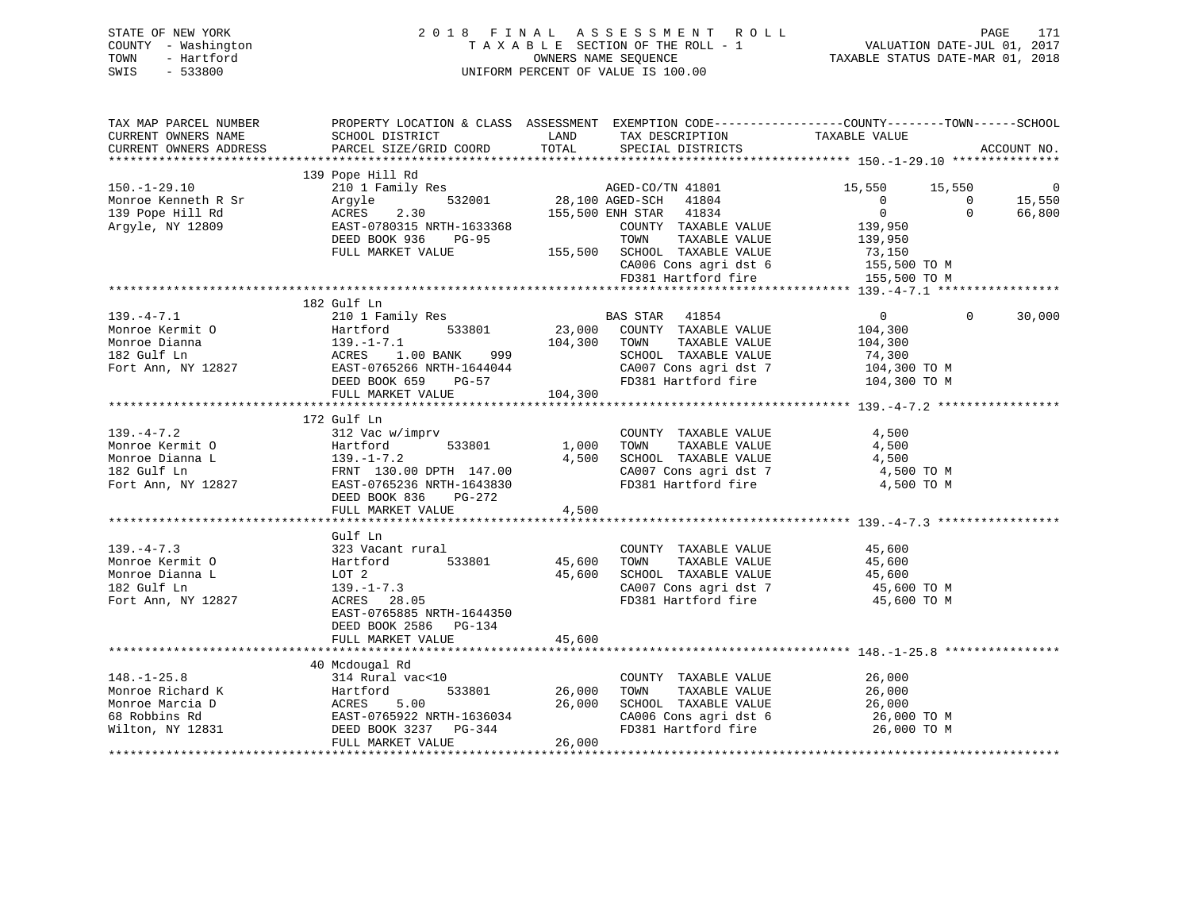| STATE OF NEW YORK   | 2018 FINAL ASSESSMENT ROLL         | 171<br>PAGE                      |
|---------------------|------------------------------------|----------------------------------|
| COUNTY - Washington | TAXABLE SECTION OF THE ROLL - 1    | VALUATION DATE-JUL 01, 2017      |
| - Hartford<br>TOWN  | OWNERS NAME SEOUENCE               | TAXABLE STATUS DATE-MAR 01, 2018 |
| $-533800$<br>SWIS   | UNIFORM PERCENT OF VALUE IS 100.00 |                                  |

| TAX MAP PARCEL NUMBER                                                                                                                                                  |                                                                                                                                            |         |                                                                  | PROPERTY LOCATION & CLASS ASSESSMENT EXEMPTION CODE---------------COUNTY-------TOWN------SCHOOL |                |
|------------------------------------------------------------------------------------------------------------------------------------------------------------------------|--------------------------------------------------------------------------------------------------------------------------------------------|---------|------------------------------------------------------------------|-------------------------------------------------------------------------------------------------|----------------|
| CURRENT OWNERS NAME                                                                                                                                                    | SCHOOL DISTRICT                                                                                                                            | LAND    | TAX DESCRIPTION TAXABLE VALUE                                    |                                                                                                 |                |
|                                                                                                                                                                        |                                                                                                                                            |         |                                                                  |                                                                                                 | ACCOUNT NO.    |
|                                                                                                                                                                        |                                                                                                                                            |         |                                                                  |                                                                                                 |                |
|                                                                                                                                                                        | 139 Pope Hill Rd                                                                                                                           |         |                                                                  | 15,550                                                                                          |                |
| 210 11<br>Monroe Kenneth R Sr Argyle<br>139 Pope Hill Rd ACRES<br>Argyle, NY 12809 EAST-07                                                                             | 210 1 Family Res<br>28,100 AGED-CO/TN 41801<br>28,100 AGED-SCH 41804<br>28,100 AGED-SCH 41804<br>28,550 ENH STAR 41834                     |         |                                                                  |                                                                                                 | $\overline{0}$ |
|                                                                                                                                                                        |                                                                                                                                            |         |                                                                  |                                                                                                 | 15,550         |
|                                                                                                                                                                        |                                                                                                                                            |         |                                                                  | $0 \qquad \qquad$                                                                               | 66,800         |
|                                                                                                                                                                        |                                                                                                                                            |         |                                                                  | 139,950                                                                                         |                |
|                                                                                                                                                                        | EAST-0780315 NRTH-1633368 COUNTY TAXABLE VALUE<br>DEED BOOK 936 PG-95 TOWN TAXABLE VALUE<br>FULL MARKET VALUE 155,500 SCHOOL TAXABLE VALUE |         |                                                                  | TAXABLE VALUE 139,950                                                                           |                |
|                                                                                                                                                                        |                                                                                                                                            |         |                                                                  | 73,150                                                                                          |                |
|                                                                                                                                                                        |                                                                                                                                            |         | CA006 Cons agri dst 6 155,500 TO M                               |                                                                                                 |                |
|                                                                                                                                                                        |                                                                                                                                            |         |                                                                  |                                                                                                 |                |
|                                                                                                                                                                        |                                                                                                                                            |         |                                                                  |                                                                                                 |                |
|                                                                                                                                                                        | 182 Gulf Ln                                                                                                                                |         |                                                                  | $\Omega$                                                                                        |                |
| $139. -4 - 7.1$<br>139.-4-7.1<br>Monroe Kermit O                                                                                                                       | 210 1 Family Res                                                                                                                           |         | BAS STAR 41854                                                   | $0 \qquad \qquad$                                                                               | 30,000         |
|                                                                                                                                                                        |                                                                                                                                            |         | 23,000 COUNTY TAXABLE VALUE<br>104,300 TOWN TAXABLE VALUE        | 104,300                                                                                         |                |
|                                                                                                                                                                        |                                                                                                                                            |         | TAXABLE VALUE                                                    | 104,300                                                                                         |                |
|                                                                                                                                                                        |                                                                                                                                            |         | SCHOOL TAXABLE VALUE<br>CA007 Cons agri dst 7 104,300 TO M       | 74,300                                                                                          |                |
|                                                                                                                                                                        |                                                                                                                                            |         |                                                                  |                                                                                                 |                |
|                                                                                                                                                                        | DEED BOOK 659 PG-57                                                                                                                        | 104,300 | FD381 Hartford fire 104,300 TO M                                 |                                                                                                 |                |
|                                                                                                                                                                        | FULL MARKET VALUE                                                                                                                          |         |                                                                  |                                                                                                 |                |
|                                                                                                                                                                        |                                                                                                                                            |         |                                                                  |                                                                                                 |                |
| $139. -4 - 7.2$                                                                                                                                                        | 172 Gulf Ln<br>312 Vac w/imprv                                                                                                             |         | COUNTY TAXABLE VALUE                                             | 4,500                                                                                           |                |
|                                                                                                                                                                        |                                                                                                                                            |         | TAXABLE VALUE<br>1,000 TOWN                                      | 4,500                                                                                           |                |
|                                                                                                                                                                        |                                                                                                                                            | 4,500   |                                                                  |                                                                                                 |                |
|                                                                                                                                                                        |                                                                                                                                            |         | SCHOOL TAXABLE VALUE 4,500<br>CA007 Cons agri dst 7 (4,500 TO M) |                                                                                                 |                |
|                                                                                                                                                                        |                                                                                                                                            |         | FD381 Hartford fire 4,500 TO M                                   |                                                                                                 |                |
| Monroe Kermit 0<br>Monroe Dianna L<br>139.-1-7.2<br>182 Gulf Ln<br>Fort Ann, NY 12827<br>182 Gulf Ln<br>Fort Ann, NY 12827<br>DEED BOOK 836<br>DEED BOOK 836<br>PG-272 | DEED BOOK 836                                                                                                                              |         |                                                                  |                                                                                                 |                |
|                                                                                                                                                                        | FULL MARKET VALUE                                                                                                                          | 4,500   |                                                                  |                                                                                                 |                |
|                                                                                                                                                                        |                                                                                                                                            |         |                                                                  |                                                                                                 |                |
|                                                                                                                                                                        | Gulf Ln                                                                                                                                    |         |                                                                  |                                                                                                 |                |
| $139. -4 - 7.3$                                                                                                                                                        | 323 Vacant rural                                                                                                                           |         | COUNTY TAXABLE VALUE 45,600                                      |                                                                                                 |                |
| Monroe Kermit O                                                                                                                                                        |                                                                                                                                            |         | 45,600 TOWN TAXABLE VALUE                                        |                                                                                                 |                |
| Monroe Dianna L                                                                                                                                                        |                                                                                                                                            | 45,600  | SCHOOL TAXABLE VALUE                                             | 45,600<br>45,600                                                                                |                |
| 182 Gulf Ln                                                                                                                                                            |                                                                                                                                            |         |                                                                  | 45,600 TO M                                                                                     |                |
| Fort Ann, NY 12827                                                                                                                                                     | Hartford 533801<br>LOT 2<br>139.-1-7.3<br>ACRES 28.05                                                                                      |         | CA007 Cons agri dst 7<br>FD381 Hartford fire                     | 45,600 TO M                                                                                     |                |
|                                                                                                                                                                        | EAST-0765885 NRTH-1644350                                                                                                                  |         |                                                                  |                                                                                                 |                |
|                                                                                                                                                                        | DEED BOOK 2586 PG-134                                                                                                                      |         |                                                                  |                                                                                                 |                |
|                                                                                                                                                                        | FULL MARKET VALUE                                                                                                                          | 45,600  |                                                                  |                                                                                                 |                |
|                                                                                                                                                                        |                                                                                                                                            |         |                                                                  |                                                                                                 |                |
|                                                                                                                                                                        | 40 Mcdougal Rd                                                                                                                             |         |                                                                  |                                                                                                 |                |
| $148. - 1 - 25.8$                                                                                                                                                      |                                                                                                                                            |         | COUNTY TAXABLE VALUE                                             | 26,000                                                                                          |                |
| Monroe Richard K                                                                                                                                                       |                                                                                                                                            |         | TAXABLE VALUE<br>TAXABLE VALUE<br>TOWN                           | 26,000                                                                                          |                |
| Monroe Marcia D                                                                                                                                                        |                                                                                                                                            |         | SCHOOL TAXABLE VALUE                                             | 26,000                                                                                          |                |
| 68 Robbins Rd                                                                                                                                                          |                                                                                                                                            |         | CA006 Cons agri dst 6 26,000 TO M                                |                                                                                                 |                |
| Wilton, NY 12831                                                                                                                                                       | 314 Rural vac<10<br>Hartford 533801 26,000<br>ACRES 5.00 26,000<br>EAST-0765922 NRTH-1636034<br>DEED BOOK 3237 PG-344                      |         | FD381 Hartford fire                                              | 26,000 TO M                                                                                     |                |
|                                                                                                                                                                        | FULL MARKET VALUE                                                                                                                          | 26,000  |                                                                  |                                                                                                 |                |
|                                                                                                                                                                        |                                                                                                                                            |         |                                                                  |                                                                                                 |                |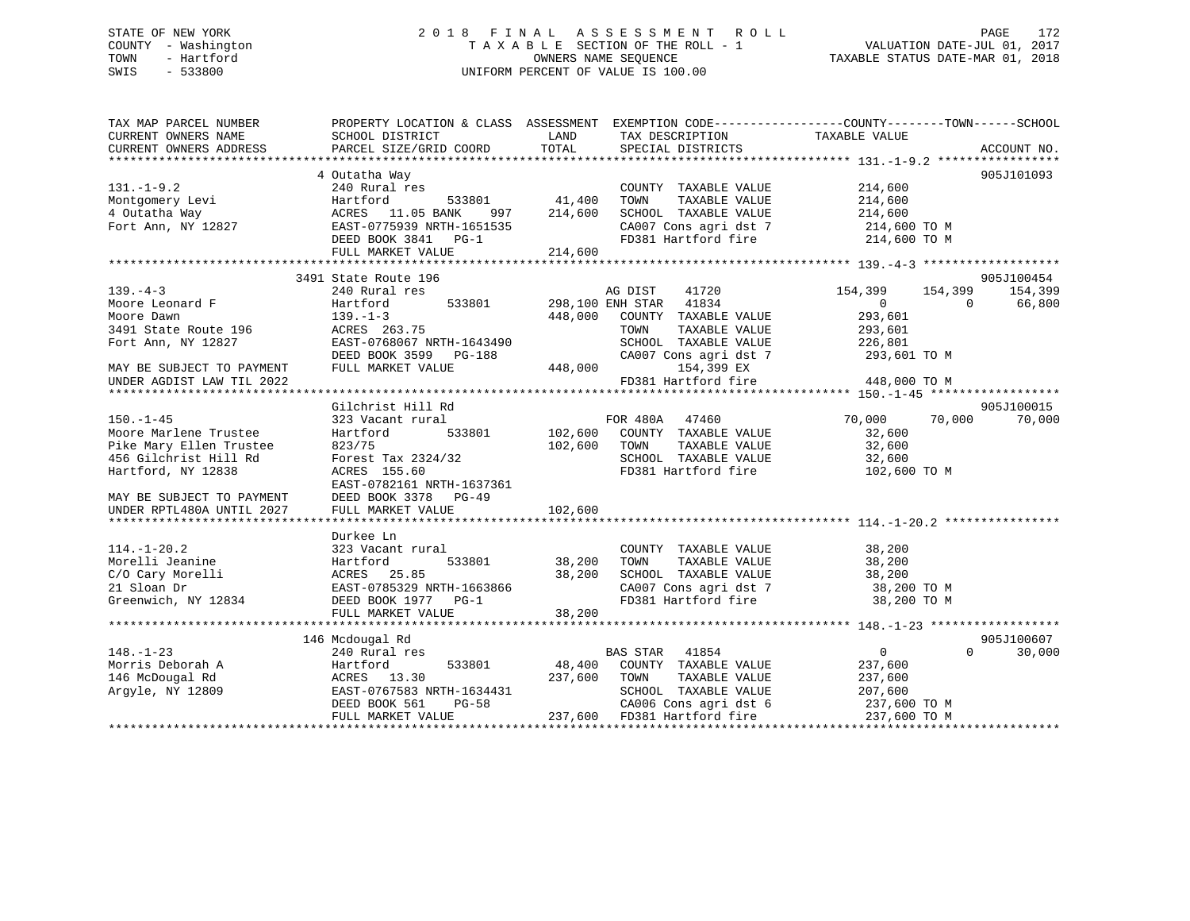# STATE OF NEW YORK 2 0 1 8 F I N A L A S S E S S M E N T R O L L PAGE 172 COUNTY - Washington T A X A B L E SECTION OF THE ROLL - 1 VALUATION DATE-JUL 01, 2017 TOWN - Hartford **TAXABLE STATUS DATE-MAR 01, 2018** OWNERS NAME SEQUENCE TAXABLE STATUS DATE-MAR 01, 2018 SWIS - 533800 UNIFORM PERCENT OF VALUE IS 100.00

| TAX MAP PARCEL NUMBER               | PROPERTY LOCATION & CLASS ASSESSMENT EXEMPTION CODE---------------COUNTY-------TOWN------SCHOOL |         |                               |                               |             |
|-------------------------------------|-------------------------------------------------------------------------------------------------|---------|-------------------------------|-------------------------------|-------------|
| CURRENT OWNERS NAME                 | SCHOOL DISTRICT                                                                                 | LAND    | TAX DESCRIPTION               | TAXABLE VALUE                 |             |
| CURRENT OWNERS ADDRESS              | PARCEL SIZE/GRID COORD                                                                          | TOTAL   | SPECIAL DISTRICTS             |                               | ACCOUNT NO. |
|                                     |                                                                                                 |         |                               |                               |             |
|                                     | 4 Outatha Way                                                                                   |         |                               |                               | 905J101093  |
| $131.-1-9.2$                        | 240 Rural res                                                                                   |         | COUNTY TAXABLE VALUE          | 214,600                       |             |
|                                     | 533801 41,400                                                                                   |         | TOWN<br>TAXABLE VALUE         | 214,600                       |             |
|                                     | 997                                                                                             | 214,600 | SCHOOL TAXABLE VALUE          | 214,600                       |             |
|                                     |                                                                                                 |         | CA007 Cons agri dst 7         | 214,600 TO M                  |             |
|                                     | DEED BOOK 3841 PG-1                                                                             |         | FD381 Hartford fire           | 214,600 TO M                  |             |
|                                     | FULL MARKET VALUE                                                                               | 214,600 |                               |                               |             |
|                                     | 3491 State Route 196                                                                            |         |                               |                               | 905J100454  |
| $139. -4 - 3$                       | 240 Rural res                                                                                   |         | 41720<br>AG DIST              | 154,399<br>154,399            | 154,399     |
|                                     | Hartford                                                                                        |         | 533801 298,100 ENH STAR 41834 | $\Omega$<br>$0 \qquad \qquad$ | 66,800      |
| 139.-4-5<br>Moore Leonard F<br>Alim | $139. - 1 - 3$                                                                                  | 448,000 | COUNTY TAXABLE VALUE          | 293,601                       |             |
| 3491 State Route 196                | ACRES 263.75                                                                                    |         | TOWN<br>TAXABLE VALUE         | 293,601                       |             |
| Fort Ann, NY 12827                  | EAST-0768067 NRTH-1643490                                                                       |         | SCHOOL TAXABLE VALUE          | 226,801                       |             |
|                                     | DEED BOOK 3599 PG-188                                                                           |         | CA007 Cons agri dst 7         | 293,601 TO M                  |             |
| MAY BE SUBJECT TO PAYMENT           |                                                                                                 |         | 448,000<br>154,399 EX         |                               |             |
| UNDER AGDIST LAW TIL 2022           | FULL MARKET VALUE                                                                               |         | FD381 Hartford fire           | 448,000 TO M                  |             |
|                                     |                                                                                                 |         |                               |                               |             |
|                                     | Gilchrist Hill Rd                                                                               |         |                               |                               | 905J100015  |
| $150. - 1 - 45$                     | 323 Vacant rural                                                                                |         | FOR 480A 47460                | 70,000 70,000                 | 70,000      |
| Moore Marlene Trustee               | 533801<br>Hartford                                                                              |         | 102,600 COUNTY TAXABLE VALUE  | 32,600                        |             |
| Pike Mary Ellen Trustee             | 823/75                                                                                          | 102,600 | TAXABLE VALUE<br>TOWN         | 32,600                        |             |
| 456 Gilchrist Hill Rd               | Forest Tax 2324/32                                                                              |         | SCHOOL TAXABLE VALUE          | 32,600                        |             |
| Hartford, NY 12838                  | ACRES 155.60                                                                                    |         | FD381 Hartford fire           | 102,600 TO M                  |             |
|                                     | EAST-0782161 NRTH-1637361                                                                       |         |                               |                               |             |
| MAY BE SUBJECT TO PAYMENT           | DEED BOOK 3378<br>PG-49                                                                         |         |                               |                               |             |
| UNDER RPTL480A UNTIL 2027           | FULL MARKET VALUE                                                                               | 102,600 |                               |                               |             |
|                                     |                                                                                                 |         |                               |                               |             |
|                                     | Durkee Ln                                                                                       |         |                               |                               |             |
| $114. - 1 - 20.2$                   | 323 Vacant rural                                                                                |         | COUNTY TAXABLE VALUE          | 38,200                        |             |
| Morelli Jeanine                     |                                                                                                 | 38,200  | TOWN<br>TAXABLE VALUE         | 38,200                        |             |
| C/O Cary Morelli                    | Hartford 533801<br>ACRES 25.85<br>EAST-0785329 NRTH-1663866                                     | 38,200  | SCHOOL TAXABLE VALUE          | 38,200                        |             |
| 21 Sloan Dr                         |                                                                                                 |         | CA007 Cons agri dst 7         | 38,200 TO M                   |             |
| Greenwich, NY 12834                 | DEED BOOK 1977 PG-1                                                                             |         | FD381 Hartford fire           | 38,200 TO M                   |             |
|                                     | FULL MARKET VALUE                                                                               | 38,200  |                               |                               |             |
|                                     |                                                                                                 |         |                               |                               |             |
|                                     | 146 Mcdougal Rd                                                                                 |         |                               |                               | 905J100607  |
| $148. - 1 - 23$                     | 240 Rural res                                                                                   |         | BAS STAR<br>41854             | $\overline{0}$<br>$\Omega$    | 30,000      |
| Morris Deborah A                    | Hartford<br>533801                                                                              | 48,400  | COUNTY TAXABLE VALUE          | 237,600                       |             |
| 146 McDougal Rd                     | ACRES 13.30                                                                                     | 237,600 | TOWN<br>TAXABLE VALUE         | 237,600                       |             |
| Argyle, NY 12809                    | EAST-0767583 NRTH-1634431                                                                       |         | SCHOOL TAXABLE VALUE          | 207,600                       |             |
|                                     | DEED BOOK 561<br>PG-58                                                                          |         | CA006 Cons agri dst 6         | 237,600 TO M                  |             |
|                                     | FULL MARKET VALUE                                                                               |         | 237,600 FD381 Hartford fire   | 237,600 TO M                  |             |
|                                     |                                                                                                 |         |                               |                               |             |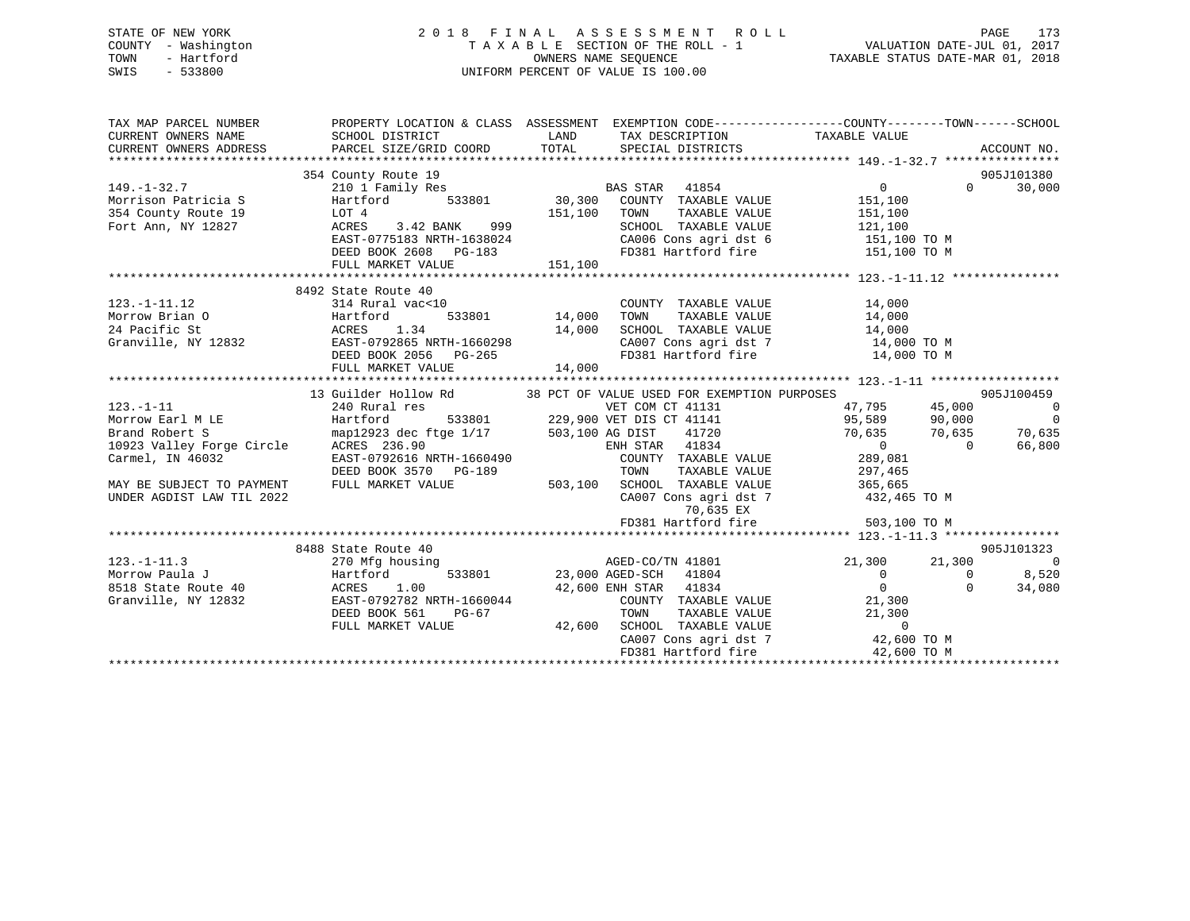# STATE OF NEW YORK 2 0 1 8 F I N A L A S S E S S M E N T R O L L PAGE 173 COUNTY - Washington T A X A B L E SECTION OF THE ROLL - 1 VALUATION DATE-JUL 01, 2017 TOWN - Hartford **TAXABLE STATUS DATE-MAR 01, 2018** OWNERS NAME SEQUENCE TAXABLE STATUS DATE-MAR 01, 2018 SWIS - 533800 UNIFORM PERCENT OF VALUE IS 100.00

| TAX MAP PARCEL NUMBER     | PROPERTY LOCATION & CLASS ASSESSMENT EXEMPTION CODE----------------COUNTY-------TOWN------SCHOOL                                                                                                                                                   |                                                                                                                                                                                                                                           |                       |            |
|---------------------------|----------------------------------------------------------------------------------------------------------------------------------------------------------------------------------------------------------------------------------------------------|-------------------------------------------------------------------------------------------------------------------------------------------------------------------------------------------------------------------------------------------|-----------------------|------------|
|                           |                                                                                                                                                                                                                                                    |                                                                                                                                                                                                                                           |                       | 905J101380 |
| $149. - 1 - 32.7$         |                                                                                                                                                                                                                                                    |                                                                                                                                                                                                                                           | $\overline{0}$ 0      | 30,000     |
| Morrison Patricia S       | 210 1 Family Res<br>Hartford 533801 30,300 COUNTY TAXABLE VALUE<br>LOT 4 151 100 TOWN 2011                                                                                                                                                         |                                                                                                                                                                                                                                           | 151,100               |            |
| 354 County Route 19       |                                                                                                                                                                                                                                                    |                                                                                                                                                                                                                                           | TAXABLE VALUE 151,100 |            |
| Fort Ann, NY 12827        | ACRES 3.42 BANK 999                                                                                                                                                                                                                                | SCHOOL TAXABLE VALUE 121,100                                                                                                                                                                                                              |                       |            |
|                           |                                                                                                                                                                                                                                                    |                                                                                                                                                                                                                                           |                       |            |
|                           | EAST-0775183 NRTH-1638024<br>DEED BOOK 2608 PG-183                                                                                                                                                                                                 | CA006 Cons agri dst 6 151,100 TO M<br>FD381 Hartford fire 151,100 TO M                                                                                                                                                                    |                       |            |
|                           |                                                                                                                                                                                                                                                    |                                                                                                                                                                                                                                           |                       |            |
|                           |                                                                                                                                                                                                                                                    |                                                                                                                                                                                                                                           |                       |            |
|                           | 8492 State Route 40                                                                                                                                                                                                                                |                                                                                                                                                                                                                                           |                       |            |
| $123. - 1 - 11.12$        | 314 Rural vac<10                                                                                                                                                                                                                                   | COUNTY TAXABLE VALUE 14,000                                                                                                                                                                                                               |                       |            |
|                           |                                                                                                                                                                                                                                                    |                                                                                                                                                                                                                                           | TAXABLE VALUE 14,000  |            |
|                           |                                                                                                                                                                                                                                                    | SCHOOL TAXABLE VALUE $14,000$<br>CA007 Cons agri dst 7 $14,000$ TO M<br>FD381 Hartford fire $14,000$ TO M                                                                                                                                 |                       |            |
|                           |                                                                                                                                                                                                                                                    |                                                                                                                                                                                                                                           |                       |            |
|                           |                                                                                                                                                                                                                                                    |                                                                                                                                                                                                                                           |                       |            |
|                           |                                                                                                                                                                                                                                                    |                                                                                                                                                                                                                                           |                       |            |
|                           | 123.-1-11.12<br>Morrow Brian 0<br>24 Pacific St ACRES 1.34<br>Granville, NY 12832<br>DEED BOOK 2056 PG-265<br>PHILE 14,000<br>PHILE 14,000<br>PHILE 14,000<br>PHILE 14,000                                                                         |                                                                                                                                                                                                                                           |                       |            |
|                           | 13 GUIDER HARD 123.-1-11<br>13 GUIDER HARD 129.000 0 1<br>Morrow Earl M LE<br>13 Guider Hard Tes<br>240 Runal res<br>240 Runal res<br>240 Runal res<br>233801 229,900 VET DIS CT 41131<br>229,900 VET DIS CT 41141<br>229,900 VET DIS CT 41141<br> |                                                                                                                                                                                                                                           |                       |            |
|                           |                                                                                                                                                                                                                                                    |                                                                                                                                                                                                                                           |                       |            |
|                           |                                                                                                                                                                                                                                                    |                                                                                                                                                                                                                                           |                       |            |
|                           |                                                                                                                                                                                                                                                    |                                                                                                                                                                                                                                           |                       |            |
|                           |                                                                                                                                                                                                                                                    |                                                                                                                                                                                                                                           |                       |            |
|                           |                                                                                                                                                                                                                                                    |                                                                                                                                                                                                                                           |                       |            |
|                           | DEED BOOK 3570 PG-189                                                                                                                                                                                                                              | TOWN                                                                                                                                                                                                                                      | TAXABLE VALUE 297,465 |            |
| MAY BE SUBJECT TO PAYMENT | FULL MARKET VALUE                                                                                                                                                                                                                                  | 503,100 SCHOOL TAXABLE VALUE 365,665                                                                                                                                                                                                      |                       |            |
| UNDER AGDIST LAW TIL 2022 |                                                                                                                                                                                                                                                    | CA007 Cons agri dst 7 432,465 TO M                                                                                                                                                                                                        |                       |            |
|                           |                                                                                                                                                                                                                                                    | 70,635 EX                                                                                                                                                                                                                                 |                       |            |
|                           |                                                                                                                                                                                                                                                    | FD381 Hartford fire                                                                                                                                                                                                                       | 503,100 TO M          |            |
|                           |                                                                                                                                                                                                                                                    |                                                                                                                                                                                                                                           |                       |            |
|                           | 8488 State Route 40                                                                                                                                                                                                                                |                                                                                                                                                                                                                                           |                       | 905J101323 |
| $123.-1-11.3$             | 270 Mfg housing 60000 MGED-CO/TN 41801 21,300 21,300 21,300 0                                                                                                                                                                                      |                                                                                                                                                                                                                                           |                       |            |
| Morrow Paula J            | Hartford 533801 23,000 AGED-SCH 41804                                                                                                                                                                                                              |                                                                                                                                                                                                                                           |                       |            |
| 8518 State Route 40       | ACRES 1.00 42,600 ENH STAR 41834                                                                                                                                                                                                                   |                                                                                                                                                                                                                                           |                       |            |
| Granville, NY 12832       | EAST-0792782 NRTH-1660044                                                                                                                                                                                                                          |                                                                                                                                                                                                                                           |                       |            |
|                           | DEED BOOK 561 PG-67                                                                                                                                                                                                                                |                                                                                                                                                                                                                                           |                       |            |
|                           | FULL MARKET VALUE                                                                                                                                                                                                                                  |                                                                                                                                                                                                                                           |                       |            |
|                           |                                                                                                                                                                                                                                                    |                                                                                                                                                                                                                                           |                       |            |
|                           |                                                                                                                                                                                                                                                    | 3801 23,000 AGED-SCH 41804 21,300 0<br>42,600 ENH STAR 41834 0 0 34,080<br>COUNTY TAXABLE VALUE 21,300<br>42,600 SCHOOL TAXABLE VALUE 21,300<br>42,600 SCHOOL TAXABLE VALUE 21,300<br>CA007 Cons agri dst 7 42,600 TO M<br>FD381 Hartford |                       |            |
|                           |                                                                                                                                                                                                                                                    |                                                                                                                                                                                                                                           |                       |            |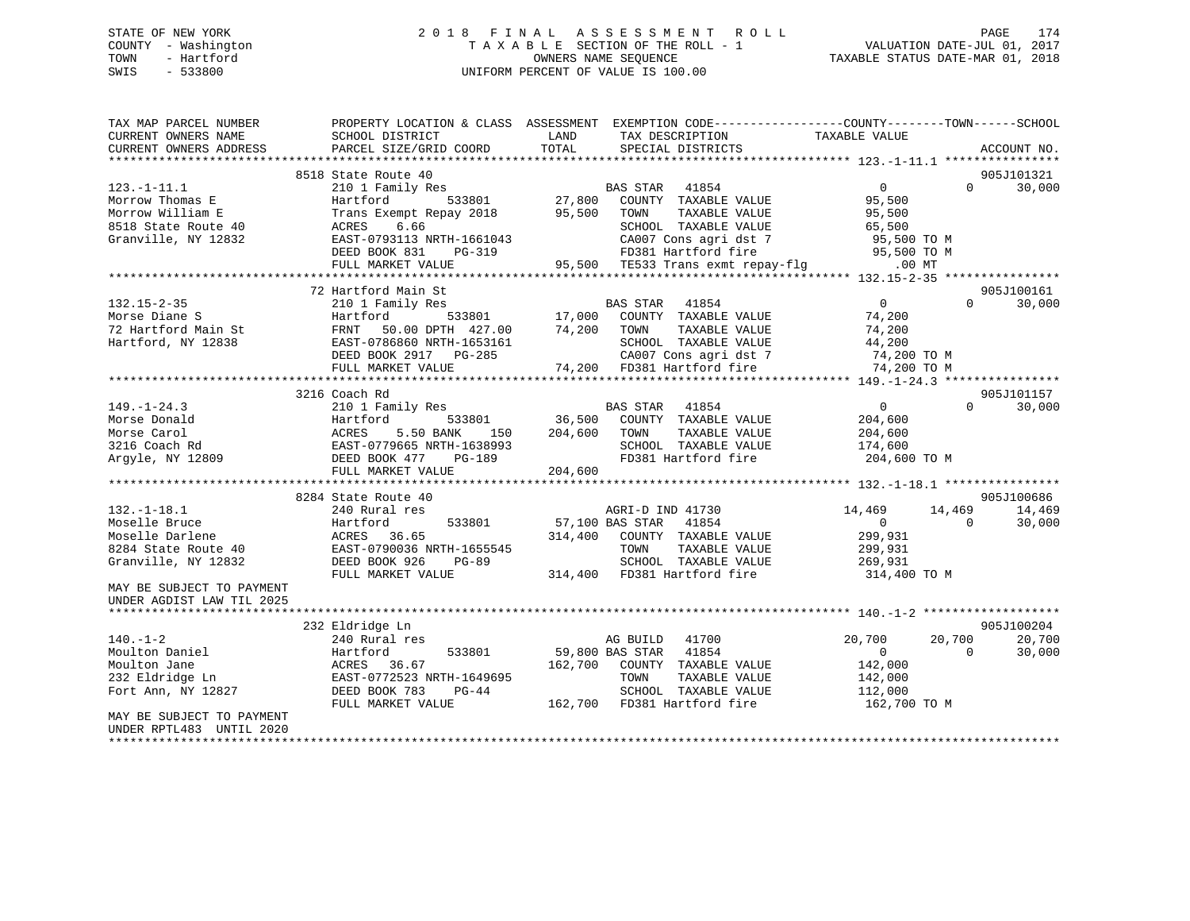# STATE OF NEW YORK 2 0 1 8 F I N A L A S S E S S M E N T R O L L PAGE 174COUNTY - Washington  $T A X A B L E$  SECTION OF THE ROLL - 1<br>TOWN - Hartford SWIS - 533800 UNIFORM PERCENT OF VALUE IS 100.00

| TAX MAP PARCEL NUMBER<br>CURRENT OWNERS NAME<br>CURRENT OWNERS ADDRESS                                                                                        | PROPERTY LOCATION & CLASS ASSESSMENT<br>SCHOOL DISTRICT<br>PARCEL SIZE/GRID COORD                                                                                                        | LAND<br>TAX DESCRIPTION<br>TOTAL<br>SPECIAL DISTRICTS                                                                                                                                               | EXEMPTION CODE-----------------COUNTY-------TOWN------SCHOOL<br>TAXABLE VALUE<br>ACCOUNT NO.                                      |
|---------------------------------------------------------------------------------------------------------------------------------------------------------------|------------------------------------------------------------------------------------------------------------------------------------------------------------------------------------------|-----------------------------------------------------------------------------------------------------------------------------------------------------------------------------------------------------|-----------------------------------------------------------------------------------------------------------------------------------|
| $123. - 1 - 11.1$<br>Morrow Thomas E<br>Morrow William E<br>8518 State Route 40<br>Granville, NY 12832                                                        | 8518 State Route 40<br>210 1 Family Res<br>Hartford<br>533801<br>Trans Exempt Repay 2018<br>6.66<br>ACRES<br>EAST-0793113 NRTH-1661043<br>DEED BOOK 831<br>$PG-319$<br>FULL MARKET VALUE | 41854<br>BAS STAR<br>27,800<br>COUNTY TAXABLE VALUE<br>95,500<br>TOWN<br>TAXABLE VALUE<br>SCHOOL TAXABLE VALUE<br>CA007 Cons agri dst 7<br>FD381 Hartford fire<br>95,500 TE533 Trans exmt repay-flg | 905J101321<br>0<br>$\Omega$<br>30,000<br>95,500<br>95,500<br>65,500<br>95,500 TO M<br>95,500 TO M<br>$.00$ MT                     |
| $132.15 - 2 - 35$<br>Morse Diane S<br>72 Hartford Main St<br>Hartford, NY 12838                                                                               | 72 Hartford Main St<br>210 1 Family Res<br>Hartford<br>533801<br>50.00 DPTH 427.00<br>FRNT<br>EAST-0786860 NRTH-1653161<br>DEED BOOK 2917 PG-285<br>FULL MARKET VALUE                    | BAS STAR<br>41854<br>17,000<br>COUNTY TAXABLE VALUE<br>74,200<br>TOWN<br>TAXABLE VALUE<br>SCHOOL TAXABLE VALUE<br>CA007 Cons agri dst 7<br>74,200 FD381 Hartford fire                               | 905J100161<br>$\overline{0}$<br>$\Omega$<br>30,000<br>74,200<br>74,200<br>44,200<br>74,200 TO M<br>74,200 TO M                    |
| $149. - 1 - 24.3$<br>Morse Donald<br>Morse Carol<br>3216 Coach Rd<br>Argyle, NY 12809                                                                         | 3216 Coach Rd<br>210 1 Family Res<br>Hartford<br>533801<br>5.50 BANK<br>ACRES<br>150<br>EAST-0779665 NRTH-1638993<br>DEED BOOK 477<br>PG-189<br>FULL MARKET VALUE                        | BAS STAR<br>41854<br>36,500<br>COUNTY TAXABLE VALUE<br>204,600<br>TAXABLE VALUE<br>TOWN<br>SCHOOL TAXABLE VALUE<br>FD381 Hartford fire<br>204,600                                                   | 905J101157<br>$\overline{0}$<br>$\Omega$<br>30,000<br>204,600<br>204,600<br>174,600<br>204,600 TO M                               |
| $132. - 1 - 18.1$<br>Moselle Bruce<br>Moselle Darlene<br>8284 State Route 40<br>Granville, NY 12832<br>MAY BE SUBJECT TO PAYMENT<br>UNDER AGDIST LAW TIL 2025 | 8284 State Route 40<br>240 Rural res<br>Hartford<br>533801<br>36.65<br>ACRES<br>EAST-0790036 NRTH-1655545<br>DEED BOOK 926<br>PG-89<br>FULL MARKET VALUE                                 | AGRI-D IND 41730<br>57,100 BAS STAR<br>41854<br>COUNTY TAXABLE VALUE<br>314,400<br>TOWN<br>TAXABLE VALUE<br>SCHOOL TAXABLE VALUE<br>314,400 FD381 Hartford fire                                     | 905J100686<br>14,469<br>14,469<br>14,469<br>$\overline{0}$<br>$\Omega$<br>30,000<br>299,931<br>299,931<br>269,931<br>314,400 TO M |
| $140. - 1 - 2$<br>Moulton Daniel<br>Moulton Jane<br>232 Eldridge Ln<br>Fort Ann, NY 12827<br>MAY BE SUBJECT TO PAYMENT<br>UNDER RPTL483 UNTIL 2020            | 232 Eldridge Ln<br>240 Rural res<br>533801<br>Hartford<br>ACRES<br>36.67<br>EAST-0772523 NRTH-1649695<br>DEED BOOK 783<br>$PG-44$<br>FULL MARKET VALUE                                   | AG BUILD<br>41700<br>59,800 BAS STAR<br>41854<br>162,700<br>COUNTY TAXABLE VALUE<br>TOWN<br>TAXABLE VALUE<br>SCHOOL TAXABLE VALUE<br>162,700 FD381 Hartford fire                                    | 905J100204<br>20,700<br>20,700<br>20,700<br>$\overline{0}$<br>$\Omega$<br>30,000<br>142,000<br>142,000<br>112,000<br>162,700 TO M |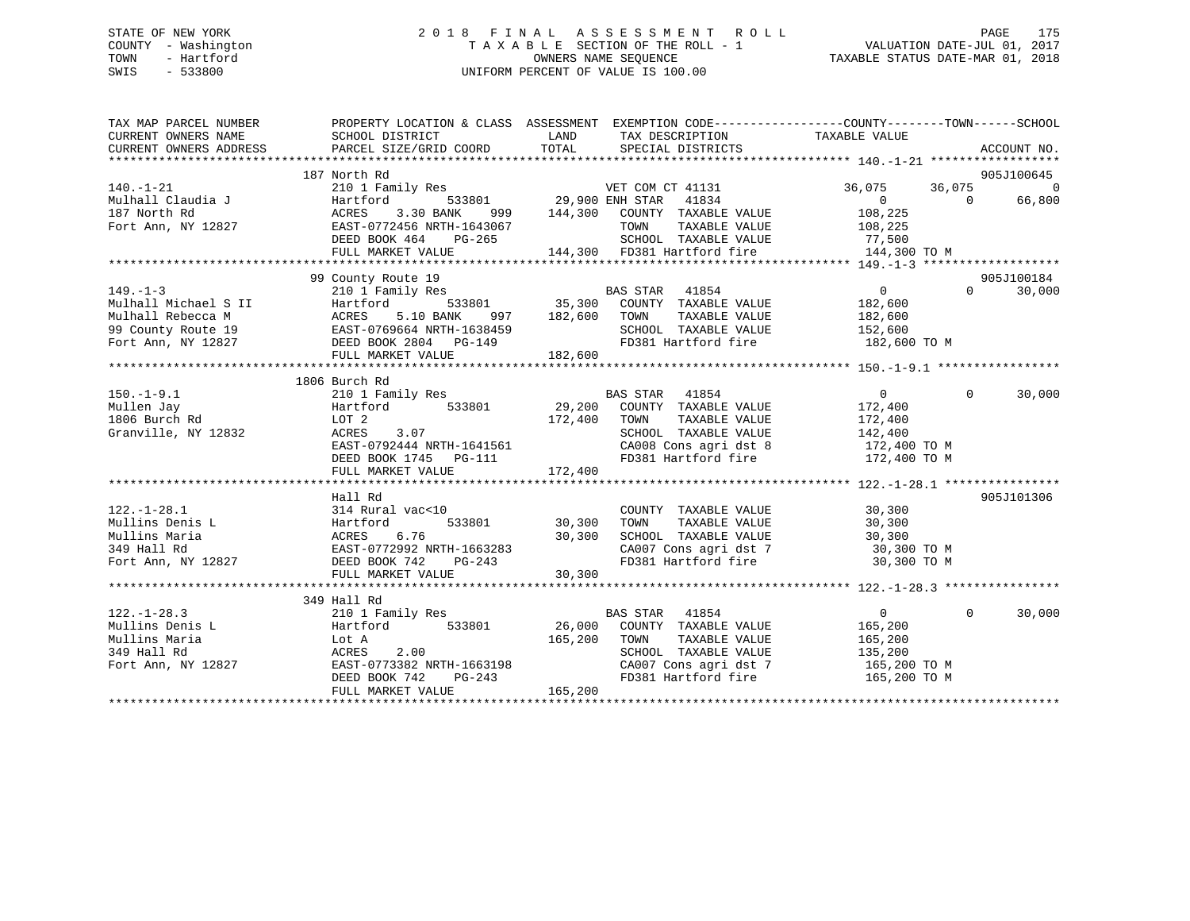# STATE OF NEW YORK 2 0 1 8 F I N A L A S S E S S M E N T R O L L PAGE 175 COUNTY - Washington T A X A B L E SECTION OF THE ROLL - 1 VALUATION DATE-JUL 01, 2017 TOWN - Hartford **TAXABLE STATUS DATE-MAR 01, 2018** OWNERS NAME SEQUENCE TAXABLE STATUS DATE-MAR 01, 2018 SWIS - 533800 UNIFORM PERCENT OF VALUE IS 100.00

| TAX MAP PARCEL NUMBER                                                          | PROPERTY LOCATION & CLASS ASSESSMENT EXEMPTION CODE---------------COUNTY-------TOWN-----SCHOOL                                                                                                       |                       |                                                                                                                                                                                                                                                                                                                                                                                                                                                        |                                                                    |          |                        |
|--------------------------------------------------------------------------------|------------------------------------------------------------------------------------------------------------------------------------------------------------------------------------------------------|-----------------------|--------------------------------------------------------------------------------------------------------------------------------------------------------------------------------------------------------------------------------------------------------------------------------------------------------------------------------------------------------------------------------------------------------------------------------------------------------|--------------------------------------------------------------------|----------|------------------------|
|                                                                                |                                                                                                                                                                                                      | LAND                  | TAX DESCRIPTION                                                                                                                                                                                                                                                                                                                                                                                                                                        | TAXABLE VALUE                                                      |          |                        |
| CURRENT OWNERS NAME SCHOOL DISTRICT<br>CURRENT OWNERS ADDRESS PARCEL SIZE/GRTT |                                                                                                                                                                                                      |                       |                                                                                                                                                                                                                                                                                                                                                                                                                                                        |                                                                    |          |                        |
|                                                                                |                                                                                                                                                                                                      |                       |                                                                                                                                                                                                                                                                                                                                                                                                                                                        |                                                                    |          |                        |
|                                                                                | 187 North Rd                                                                                                                                                                                         |                       |                                                                                                                                                                                                                                                                                                                                                                                                                                                        |                                                                    |          | 905J100645             |
| $140. - 1 - 21$                                                                |                                                                                                                                                                                                      |                       |                                                                                                                                                                                                                                                                                                                                                                                                                                                        | 36,075                                                             |          | $36,075$ 0<br>0 66,800 |
|                                                                                |                                                                                                                                                                                                      |                       |                                                                                                                                                                                                                                                                                                                                                                                                                                                        |                                                                    |          | 66,800                 |
|                                                                                |                                                                                                                                                                                                      |                       |                                                                                                                                                                                                                                                                                                                                                                                                                                                        |                                                                    |          |                        |
|                                                                                |                                                                                                                                                                                                      |                       |                                                                                                                                                                                                                                                                                                                                                                                                                                                        |                                                                    |          |                        |
|                                                                                |                                                                                                                                                                                                      |                       |                                                                                                                                                                                                                                                                                                                                                                                                                                                        |                                                                    |          |                        |
|                                                                                | DEED BOOK 464 PG-265 SCHOOL TAXABLE VALUE<br>FULL MARKET VALUE 144,300 FD381 Hartford fire                                                                                                           |                       |                                                                                                                                                                                                                                                                                                                                                                                                                                                        | 144,300 TO M                                                       |          |                        |
|                                                                                |                                                                                                                                                                                                      |                       |                                                                                                                                                                                                                                                                                                                                                                                                                                                        |                                                                    |          |                        |
|                                                                                | 99 County Route 19                                                                                                                                                                                   |                       |                                                                                                                                                                                                                                                                                                                                                                                                                                                        |                                                                    |          | 905J100184             |
| $149. - 1 - 3$                                                                 | 210 1 Family Res                                                                                                                                                                                     |                       |                                                                                                                                                                                                                                                                                                                                                                                                                                                        | $\overline{0}$                                                     | $\Omega$ | 30,000                 |
|                                                                                |                                                                                                                                                                                                      |                       | $\begin{tabular}{lllllllllll} \multicolumn{3}{c}{\textbf{BAS STAR}} & \multicolumn{3}{c}{\textbf{41854}} & \multicolumn{3}{c}{\textbf{0}} & \multicolumn{3}{c}{\textbf{0}} \\ \multicolumn{3}{c}{\textbf{533801}} & \multicolumn{3}{c}{\textbf{35,300}} & \multicolumn{3}{c}{\textbf{COUNTY}} & \multicolumn{3}{c}{\textbf{TAXABLE}} & \multicolumn{3}{c}{\textbf{VALUE}} & \multicolumn{3}{c}{\textbf{182,600}} \\ \multicolumn{3}{c}{\textbf{533801$ |                                                                    |          |                        |
|                                                                                |                                                                                                                                                                                                      | TOWN                  |                                                                                                                                                                                                                                                                                                                                                                                                                                                        |                                                                    |          |                        |
|                                                                                |                                                                                                                                                                                                      |                       | SCHOOL TAXABLE VALUE                                                                                                                                                                                                                                                                                                                                                                                                                                   | TAXABLE VALUE 182,600<br>TAXABLE VALUE 152,600                     |          |                        |
|                                                                                | 1997-1-3<br>Mulhall Nichael S II Hartford 533801 35,300<br>Mulhall Rebecca M ACRES 5.10 BANK 997 182,600<br>99 County Route 19 EAST-0769664 NRTH-1638459<br>Fort Ann, NY 12827 DEED BOOK 2804 PG-149 |                       |                                                                                                                                                                                                                                                                                                                                                                                                                                                        | FD381 Hartford fire 182,600 TO M                                   |          |                        |
|                                                                                | FULL MARKET VALUE                                                                                                                                                                                    | 182,600               |                                                                                                                                                                                                                                                                                                                                                                                                                                                        |                                                                    |          |                        |
|                                                                                |                                                                                                                                                                                                      |                       |                                                                                                                                                                                                                                                                                                                                                                                                                                                        |                                                                    |          |                        |
|                                                                                |                                                                                                                                                                                                      |                       |                                                                                                                                                                                                                                                                                                                                                                                                                                                        |                                                                    |          |                        |
| $150.-1-9.1$                                                                   |                                                                                                                                                                                                      |                       |                                                                                                                                                                                                                                                                                                                                                                                                                                                        | $\Omega$                                                           | $\Omega$ | 30,000                 |
| Mullen Jay                                                                     |                                                                                                                                                                                                      |                       |                                                                                                                                                                                                                                                                                                                                                                                                                                                        | 172,400                                                            |          |                        |
| 1806 Burch Rd                                                                  |                                                                                                                                                                                                      |                       |                                                                                                                                                                                                                                                                                                                                                                                                                                                        | 172,400                                                            |          |                        |
| Granville, NY 12832                                                            | ACRES 3.07                                                                                                                                                                                           |                       |                                                                                                                                                                                                                                                                                                                                                                                                                                                        |                                                                    |          |                        |
|                                                                                | $3.07$<br>EAST-0792444 NRTH-1641561<br>ERED DOOT 1115                                                                                                                                                |                       |                                                                                                                                                                                                                                                                                                                                                                                                                                                        | SCHOOL TAXABLE VALUE 142,400<br>CA008 Cons agri dst 8 172,400 TO M |          |                        |
|                                                                                |                                                                                                                                                                                                      |                       |                                                                                                                                                                                                                                                                                                                                                                                                                                                        | FD381 Hartford fire 172,400 TO M                                   |          |                        |
|                                                                                | DEED BOOK 1745 PG-111<br>FULL MARKET VALUE 172,400                                                                                                                                                   |                       |                                                                                                                                                                                                                                                                                                                                                                                                                                                        |                                                                    |          |                        |
|                                                                                |                                                                                                                                                                                                      |                       |                                                                                                                                                                                                                                                                                                                                                                                                                                                        |                                                                    |          |                        |
|                                                                                | Hall Rd                                                                                                                                                                                              |                       |                                                                                                                                                                                                                                                                                                                                                                                                                                                        |                                                                    |          | 905J101306             |
| $122. - 1 - 28.1$                                                              | 314 Rural vac<10                                                                                                                                                                                     |                       | COUNTY TAXABLE VALUE 30,300                                                                                                                                                                                                                                                                                                                                                                                                                            |                                                                    |          |                        |
| Hartford<br>Mullins Denis L                                                    |                                                                                                                                                                                                      | 533801 30,300<br>TOWN |                                                                                                                                                                                                                                                                                                                                                                                                                                                        | TAXABLE VALUE 30,300                                               |          |                        |
|                                                                                |                                                                                                                                                                                                      | 30,300                |                                                                                                                                                                                                                                                                                                                                                                                                                                                        |                                                                    |          |                        |
|                                                                                |                                                                                                                                                                                                      |                       |                                                                                                                                                                                                                                                                                                                                                                                                                                                        | SCHOOL TAXABLE VALUE 30,300<br>CA007 Cons agri dst 7 30,300 TO M   |          |                        |
|                                                                                | Mullins Maria<br>Mullins Maria<br>30,300<br>349 Hall Rd<br>Fort Ann, NY 12827<br>DEED BOOK 742 PG-243                                                                                                |                       |                                                                                                                                                                                                                                                                                                                                                                                                                                                        | FD381 Hartford fire 30,300 TO M                                    |          |                        |
|                                                                                | FULL MARKET VALUE                                                                                                                                                                                    | 30,300                |                                                                                                                                                                                                                                                                                                                                                                                                                                                        |                                                                    |          |                        |
|                                                                                |                                                                                                                                                                                                      |                       |                                                                                                                                                                                                                                                                                                                                                                                                                                                        |                                                                    |          |                        |
|                                                                                | 349 Hall Rd                                                                                                                                                                                          |                       |                                                                                                                                                                                                                                                                                                                                                                                                                                                        |                                                                    |          |                        |
| $122. - 1 - 28.3$                                                              | 210 1 Family Res                                                                                                                                                                                     |                       | BAS STAR 41854                                                                                                                                                                                                                                                                                                                                                                                                                                         | $\Omega$                                                           | $\Omega$ | 30,000                 |
| Mullins Denis L                                                                |                                                                                                                                                                                                      |                       |                                                                                                                                                                                                                                                                                                                                                                                                                                                        |                                                                    |          |                        |
| Mullins Maria                                                                  |                                                                                                                                                                                                      | 165,200 TOWN          | TAXABLE VALUE                                                                                                                                                                                                                                                                                                                                                                                                                                          |                                                                    |          |                        |
| 349 Hall Rd                                                                    | Lot A<br>ACRES 2.00                                                                                                                                                                                  |                       | SCHOOL TAXABLE VALUE                                                                                                                                                                                                                                                                                                                                                                                                                                   | 165,200<br>135,200                                                 |          |                        |
|                                                                                | Fort Ann, NY 12827 EAST-0773382 NRTH-1663198                                                                                                                                                         |                       |                                                                                                                                                                                                                                                                                                                                                                                                                                                        | CA007 Cons agri dst 7 165,200 TO M                                 |          |                        |
|                                                                                |                                                                                                                                                                                                      |                       |                                                                                                                                                                                                                                                                                                                                                                                                                                                        |                                                                    |          |                        |
|                                                                                |                                                                                                                                                                                                      |                       |                                                                                                                                                                                                                                                                                                                                                                                                                                                        |                                                                    |          |                        |
|                                                                                |                                                                                                                                                                                                      |                       |                                                                                                                                                                                                                                                                                                                                                                                                                                                        |                                                                    |          |                        |
|                                                                                |                                                                                                                                                                                                      |                       |                                                                                                                                                                                                                                                                                                                                                                                                                                                        |                                                                    |          |                        |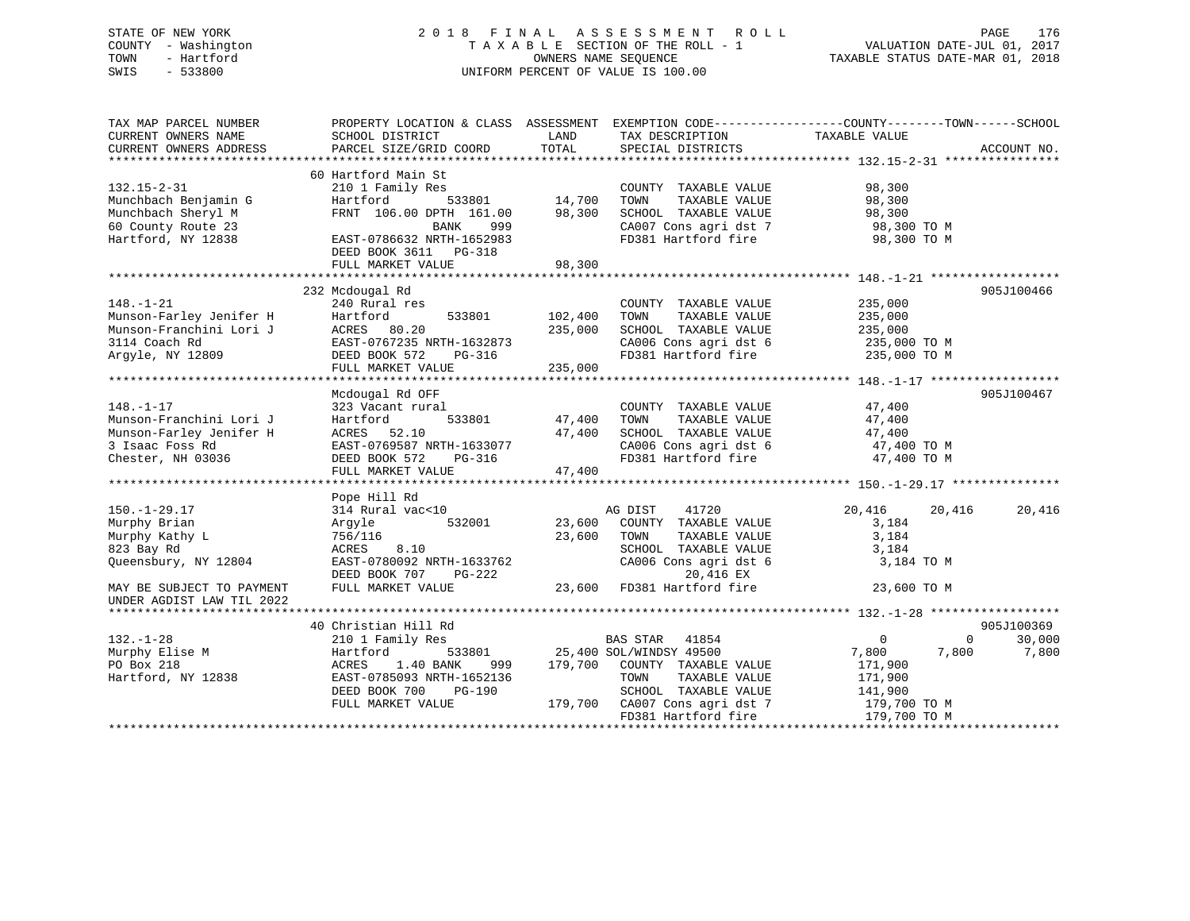# STATE OF NEW YORK 2 0 1 8 F I N A L A S S E S S M E N T R O L L PAGE 176 COUNTY - Washington T A X A B L E SECTION OF THE ROLL - 1 VALUATION DATE-JUL 01, 2017 TOWN - Hartford **TAXABLE STATUS DATE-MAR 01, 2018** OWNERS NAME SEQUENCE TAXABLE STATUS DATE-MAR 01, 2018 SWIS - 533800 UNIFORM PERCENT OF VALUE IS 100.00

| TAX MAP PARCEL NUMBER<br>CURRENT OWNERS NAME<br>CURRENT OWNERS ADDRESS                                        | PROPERTY LOCATION & CLASS ASSESSMENT<br>SCHOOL DISTRICT<br>PARCEL SIZE/GRID COORD                                                                                                  | LAND<br>TOTAL                 | TAX DESCRIPTION<br>SPECIAL DISTRICTS                                                                                                                                                 | EXEMPTION CODE-----------------COUNTY-------TOWN------SCHOOL<br>TAXABLE VALUE                                    | ACCOUNT NO.     |
|---------------------------------------------------------------------------------------------------------------|------------------------------------------------------------------------------------------------------------------------------------------------------------------------------------|-------------------------------|--------------------------------------------------------------------------------------------------------------------------------------------------------------------------------------|------------------------------------------------------------------------------------------------------------------|-----------------|
| $132.15 - 2 - 31$<br>Munchbach Benjamin G<br>Munchbach Sheryl M<br>60 County Route 23<br>Hartford, NY 12838   | 60 Hartford Main St<br>210 1 Family Res<br>Hartford<br>533801<br>FRNT 106.00 DPTH 161.00<br>999<br>BANK<br>EAST-0786632 NRTH-1652983<br>DEED BOOK 3611 PG-318<br>FULL MARKET VALUE | 14,700<br>98,300<br>98,300    | COUNTY TAXABLE VALUE<br>TOWN<br>TAXABLE VALUE<br>SCHOOL TAXABLE VALUE<br>CA007 Cons agri dst 7<br>FD381 Hartford fire                                                                | 98,300<br>98,300<br>98,300<br>98,300 TO M<br>98,300 TO M                                                         |                 |
|                                                                                                               | 232 Mcdougal Rd                                                                                                                                                                    |                               |                                                                                                                                                                                      |                                                                                                                  | 905J100466      |
| $148. - 1 - 21$<br>Munson-Farley Jenifer H<br>Munson-Franchini Lori J<br>3114 Coach Rd<br>Argyle, NY 12809    | 240 Rural res<br>533801<br>Hartford<br>ACRES 80.20<br>EAST-0767235 NRTH-1632873<br>DEED BOOK 572<br>PG-316<br>FULL MARKET VALUE                                                    | 102,400<br>235,000<br>235,000 | COUNTY TAXABLE VALUE<br>TAXABLE VALUE<br>TOWN<br>SCHOOL TAXABLE VALUE<br>CA006 Cons agri dst 6<br>FD381 Hartford fire                                                                | 235,000<br>235,000<br>235,000<br>235,000 TO M<br>235,000 TO M                                                    |                 |
|                                                                                                               | Mcdougal Rd OFF                                                                                                                                                                    |                               |                                                                                                                                                                                      |                                                                                                                  | 905J100467      |
| $148. - 1 - 17$<br>Munson-Franchini Lori J<br>Munson-Farley Jenifer H<br>3 Isaac Foss Rd<br>Chester, NH 03036 | 323 Vacant rural<br>533801<br>Hartford<br>ACRES 52.10<br>EAST-0769587 NRTH-1633077<br>DEED BOOK 572<br>PG-316<br>FULL MARKET VALUE                                                 | 47,400<br>47,400<br>47,400    | COUNTY TAXABLE VALUE<br>TAXABLE VALUE<br>TOWN<br>SCHOOL TAXABLE VALUE<br>CA006 Cons agri dst 6<br>FD381 Hartford fire                                                                | 47,400<br>47,400<br>47,400<br>47,400 TO M<br>47,400 TO M                                                         |                 |
|                                                                                                               | Pope Hill Rd                                                                                                                                                                       |                               |                                                                                                                                                                                      |                                                                                                                  |                 |
| $150.-1-29.17$<br>Murphy Brian<br>Murphy Kathy L<br>823 Bay Rd<br>Queensbury, NY 12804                        | 314 Rural vac<10<br>532001<br>Argyle<br>756/116<br>8.10<br>ACRES<br>EAST-0780092 NRTH-1633762<br>DEED BOOK 707<br>PG-222                                                           | 23,600<br>23,600              | AG DIST<br>41720<br>COUNTY TAXABLE VALUE<br>TOWN<br>TAXABLE VALUE<br>SCHOOL TAXABLE VALUE<br>CA006 Cons agri dst 6<br>20,416 EX                                                      | 20,416<br>20,416<br>3,184<br>3,184<br>3,184<br>3,184 TO M                                                        | 20,416          |
| MAY BE SUBJECT TO PAYMENT<br>UNDER AGDIST LAW TIL 2022                                                        | FULL MARKET VALUE                                                                                                                                                                  | 23,600                        | FD381 Hartford fire                                                                                                                                                                  | 23,600 TO M                                                                                                      |                 |
|                                                                                                               | 40 Christian Hill Rd                                                                                                                                                               |                               |                                                                                                                                                                                      |                                                                                                                  | 905J100369      |
| $132. - 1 - 28$<br>Murphy Elise M<br>PO Box 218<br>Hartford, NY 12838                                         | 210 1 Family Res<br>Hartford<br>533801<br>ACRES<br>1.40 BANK<br>999<br>EAST-0785093 NRTH-1652136<br>DEED BOOK 700<br>PG-190<br>FULL MARKET VALUE                                   | 179,700                       | <b>BAS STAR</b><br>41854<br>25,400 SOL/WINDSY 49500<br>COUNTY TAXABLE VALUE<br>TOWN<br>TAXABLE VALUE<br>SCHOOL TAXABLE VALUE<br>179,700 CA007 Cons agri dst 7<br>FD381 Hartford fire | $\overline{0}$<br>$\mathbf 0$<br>7,800<br>7,800<br>171,900<br>171,900<br>141,900<br>179,700 TO M<br>179,700 TO M | 30,000<br>7,800 |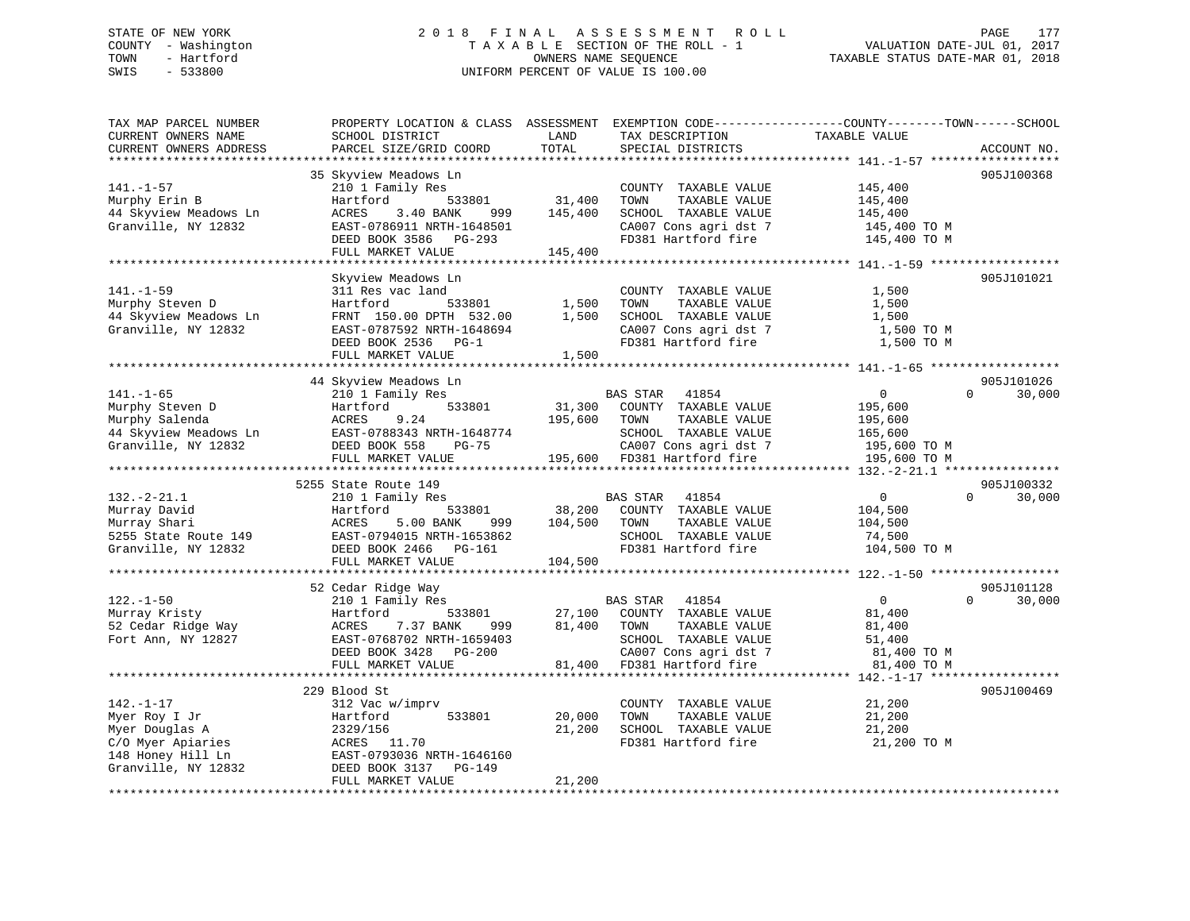# STATE OF NEW YORK 2 0 1 8 F I N A L A S S E S S M E N T R O L L PAGE 177 COUNTY - Washington T A X A B L E SECTION OF THE ROLL - 1 VALUATION DATE-JUL 01, 2017 TOWN - Hartford **TAXABLE STATUS DATE-MAR 01, 2018** OWNERS NAME SEQUENCE TAXABLE STATUS DATE-MAR 01, 2018 SWIS - 533800 UNIFORM PERCENT OF VALUE IS 100.00

| TAX MAP PARCEL NUMBER<br>CURRENT OWNERS NAME<br>CURRENT OWNERS ADDRESS                               | PROPERTY LOCATION & CLASS ASSESSMENT EXEMPTION CODE---------------COUNTY-------TOWN-----SCHOOL<br>SCHOOL DISTRICT<br>PARCEL SIZE/GRID COORD                             | LAND<br>TOTAL                | TAX DESCRIPTION<br>SPECIAL DISTRICTS                                                                                                              | TAXABLE VALUE                                                                   | ACCOUNT NO.                      |
|------------------------------------------------------------------------------------------------------|-------------------------------------------------------------------------------------------------------------------------------------------------------------------------|------------------------------|---------------------------------------------------------------------------------------------------------------------------------------------------|---------------------------------------------------------------------------------|----------------------------------|
| *******************                                                                                  | ***************************                                                                                                                                             |                              |                                                                                                                                                   |                                                                                 |                                  |
| $141. - 1 - 57$<br>Murphy Erin B<br>44 Skyview Meadows Ln<br>Granville, NY 12832                     | 35 Skyview Meadows Ln<br>210 1 Family Res<br>Hartford<br>533801<br>ACRES<br>3.40 BANK<br>999<br>EAST-0786911 NRTH-1648501<br>DEED BOOK 3586 PG-293<br>FULL MARKET VALUE | 31,400<br>145,400<br>145,400 | COUNTY TAXABLE VALUE<br>TAXABLE VALUE<br>TOWN<br>SCHOOL TAXABLE VALUE<br>CA007 Cons agri dst 7<br>FD381 Hartford fire                             | 145,400<br>145,400<br>145,400<br>145,400 TO M<br>145,400 TO M                   | 905J100368                       |
|                                                                                                      |                                                                                                                                                                         |                              |                                                                                                                                                   |                                                                                 |                                  |
| $141. - 1 - 59$<br>Murphy Steven D<br>44 Skyview Meadows Ln<br>Granville, NY 12832                   | Skyview Meadows Ln<br>311 Res vac land<br>Hartford<br>533801<br>FRNT 150.00 DPTH 532.00<br>EAST-0787592 NRTH-1648694<br>DEED BOOK 2536<br>$PG-1$<br>FULL MARKET VALUE   | 1,500<br>1,500<br>1,500      | COUNTY TAXABLE VALUE<br>TOWN<br>TAXABLE VALUE<br>SCHOOL TAXABLE VALUE<br>CA007 Cons agri dst 7<br>FD381 Hartford fire                             | 1,500<br>1,500<br>1,500<br>1,500 TO M<br>1,500 TO M                             | 905J101021                       |
|                                                                                                      |                                                                                                                                                                         |                              |                                                                                                                                                   |                                                                                 |                                  |
|                                                                                                      | 44 Skyview Meadows Ln                                                                                                                                                   |                              |                                                                                                                                                   |                                                                                 | 905J101026                       |
| $141. - 1 - 65$<br>Murphy Steven D<br>Murphy Salenda<br>44 Skyview Meadows Ln<br>Granville, NY 12832 | 210 1 Family Res<br>533801<br>Hartford<br>ACRES<br>9.24<br>EAST-0788343 NRTH-1648774<br>DEED BOOK 558<br>$PG-75$<br>FULL MARKET VALUE<br>5255 State Route 149           | 31,300<br>195,600            | BAS STAR 41854<br>COUNTY TAXABLE VALUE<br>TOWN<br>TAXABLE VALUE<br>SCHOOL TAXABLE VALUE<br>CA007 Cons agri dst 7<br>195,600 FD381 Hartford fire   | $\overline{0}$<br>195,600<br>195,600<br>165,600<br>195,600 TO M<br>195,600 TO M | 30,000<br>$\Omega$<br>905J100332 |
| $132 - 2 - 21.1$<br>Murray David<br>Murray Shari<br>5255 State Route 149                             | 210 1 Family Res<br>Hartford<br>533801<br>ACRES<br>5.00 BANK<br>999<br>EAST-0794015 NRTH-1653862                                                                        | 38,200<br>104,500            | <b>BAS STAR</b><br>41854<br>COUNTY TAXABLE VALUE<br>TOWN<br>TAXABLE VALUE<br>SCHOOL TAXABLE VALUE                                                 | $\mathbf{0}$<br>104,500<br>104,500<br>74,500                                    | $\Omega$<br>30,000               |
| Granville, NY 12832                                                                                  | DEED BOOK 2466 PG-161<br>FULL MARKET VALUE                                                                                                                              | 104,500                      | FD381 Hartford fire                                                                                                                               | 104,500 TO M                                                                    |                                  |
|                                                                                                      |                                                                                                                                                                         |                              |                                                                                                                                                   |                                                                                 |                                  |
| $122. - 1 - 50$<br>Murray Kristy<br>52 Cedar Ridge Way<br>Fort Ann, NY 12827                         | 52 Cedar Ridge Way<br>210 1 Family Res<br>Hartford<br>533801<br>7.37 BANK<br>ACRES<br>999<br>EAST-0768702 NRTH-1659403<br>DEED BOOK 3428<br><b>PG-200</b>               | 27,100<br>81,400<br>81,400   | <b>BAS STAR</b><br>41854<br>COUNTY TAXABLE VALUE<br>TOWN<br>TAXABLE VALUE<br>SCHOOL TAXABLE VALUE<br>CA007 Cons agri dst 7<br>FD381 Hartford fire | $\overline{0}$<br>81,400<br>81,400<br>51,400<br>81,400 TO M                     | 905J101128<br>$\Omega$<br>30,000 |
|                                                                                                      | FULL MARKET VALUE<br>*************************                                                                                                                          |                              |                                                                                                                                                   | 81,400 TO M                                                                     | ***********                      |
| $142. - 1 - 17$<br>Myer Roy I Jr<br>Myer Douglas A<br>C/O Myer Apiaries                              | 229 Blood St<br>312 Vac w/imprv<br>533801<br>Hartford<br>2329/156<br>ACRES 11.70                                                                                        | 20,000<br>21,200             | COUNTY TAXABLE VALUE<br>TOWN<br>TAXABLE VALUE<br>SCHOOL TAXABLE VALUE<br>FD381 Hartford fire                                                      | 21,200<br>21,200<br>21,200<br>21,200 TO M                                       | 905J100469                       |
| 148 Honey Hill Ln<br>Granville, NY 12832                                                             | EAST-0793036 NRTH-1646160<br>DEED BOOK 3137<br>PG-149<br>FULL MARKET VALUE                                                                                              | 21,200                       |                                                                                                                                                   |                                                                                 |                                  |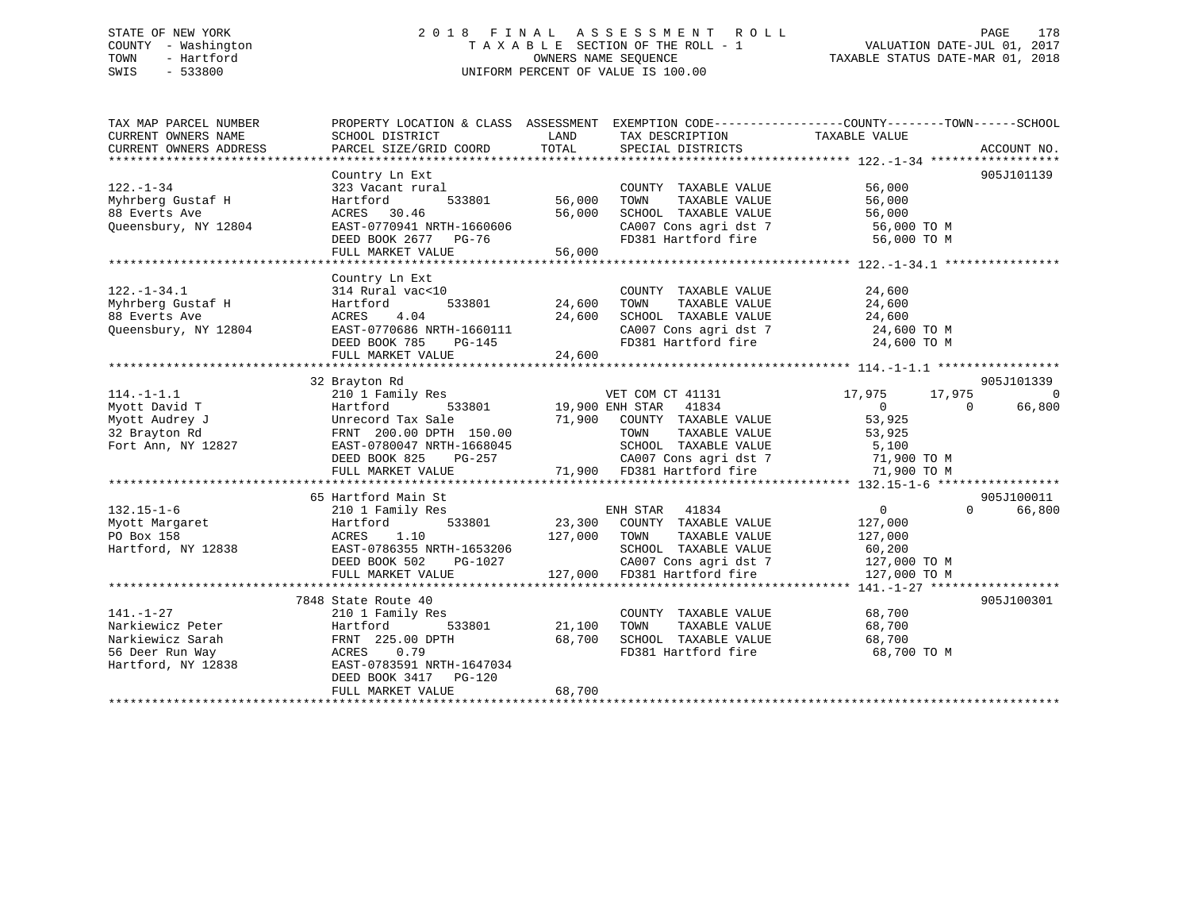# STATE OF NEW YORK 2 0 1 8 F I N A L A S S E S S M E N T R O L L PAGE 178 COUNTY - Washington T A X A B L E SECTION OF THE ROLL - 1 VALUATION DATE-JUL 01, 2017 TOWN - Hartford **TAXABLE STATUS DATE-MAR 01, 2018** OWNERS NAME SEQUENCE TAXABLE STATUS DATE-MAR 01, 2018 SWIS - 533800 UNIFORM PERCENT OF VALUE IS 100.00

| TAX MAP PARCEL NUMBER  | PROPERTY LOCATION & CLASS ASSESSMENT EXEMPTION CODE---------------COUNTY-------TOWN-----SCHOOL |                                                                                                                                                                                                                                  |                                                                   |                       |                |                    |
|------------------------|------------------------------------------------------------------------------------------------|----------------------------------------------------------------------------------------------------------------------------------------------------------------------------------------------------------------------------------|-------------------------------------------------------------------|-----------------------|----------------|--------------------|
| CURRENT OWNERS NAME    | SCHOOL DISTRICT                                                                                | LAND                                                                                                                                                                                                                             | TAX DESCRIPTION                                                   | TAXABLE VALUE         |                |                    |
| CURRENT OWNERS ADDRESS | PARCEL SIZE/GRID COORD                                                                         | TOTAL                                                                                                                                                                                                                            | SPECIAL DISTRICTS                                                 |                       |                | ACCOUNT NO.        |
|                        | Country Ln Ext                                                                                 |                                                                                                                                                                                                                                  |                                                                   |                       |                | 905J101139         |
| $122. - 1 - 34$        | 323 Vacant rural                                                                               |                                                                                                                                                                                                                                  | COUNTY TAXABLE VALUE                                              | 56,000                |                |                    |
| Myhrberg Gustaf H      | 533801<br>Hartford                                                                             | 56,000                                                                                                                                                                                                                           | TAXABLE VALUE<br>TOWN                                             | 56,000                |                |                    |
| 88 Everts Ave          | ACRES 30.46                                                                                    | 56,000                                                                                                                                                                                                                           | SCHOOL TAXABLE VALUE                                              | 56,000                |                |                    |
| Queensbury, NY 12804   | EAST-0770941 NRTH-1660606                                                                      |                                                                                                                                                                                                                                  |                                                                   | 56,000 TO M           |                |                    |
|                        | DEED BOOK 2677 PG-76                                                                           |                                                                                                                                                                                                                                  | CA007 Cons agri dst 7<br>FD381 Hartford fire                      | 56,000 TO M           |                |                    |
|                        | FULL MARKET VALUE                                                                              | 56,000                                                                                                                                                                                                                           |                                                                   |                       |                |                    |
|                        |                                                                                                |                                                                                                                                                                                                                                  |                                                                   |                       |                |                    |
|                        | Country Ln Ext                                                                                 |                                                                                                                                                                                                                                  |                                                                   |                       |                |                    |
| $122. - 1 - 34.1$      | 314 Rural vac<10                                                                               |                                                                                                                                                                                                                                  | COUNTY TAXABLE VALUE                                              | $\frac{24}{24}$ , 600 |                |                    |
| Myhrberg Gustaf H      | Hartford<br>533801                                                                             | 24,600                                                                                                                                                                                                                           | TAXABLE VALUE<br>TAXABLE VALUE<br>TOWN                            |                       |                |                    |
| 88 Everts Ave          | ACRES<br>4.04                                                                                  | 24,600                                                                                                                                                                                                                           | SCHOOL TAXABLE VALUE 24,600                                       |                       |                |                    |
| Queensbury, NY 12804   | EAST-0770686 NRTH-1660111                                                                      |                                                                                                                                                                                                                                  |                                                                   | 24,600 TO M           |                |                    |
|                        | DEED BOOK 785<br>PG-145                                                                        | en de la provincia de la provincia de la provincia de la provincia de la provincia de la provincia de la provi<br>En 1930, en 1930, en 1930, en 1930, en 1930, en 1930, en 1930, en 1930, en 1930, en 1930, en 1930, en 1930, en | CA007 Cons agri dst 7<br>FD381 Hartford fire                      | 24,600 TO M           |                |                    |
|                        | FULL MARKET VALUE                                                                              | 24,600                                                                                                                                                                                                                           |                                                                   |                       |                |                    |
|                        |                                                                                                |                                                                                                                                                                                                                                  |                                                                   |                       |                |                    |
|                        | 32 Brayton Rd                                                                                  |                                                                                                                                                                                                                                  |                                                                   |                       |                | 905J101339         |
| $114. - 1 - 1.1$       | 210 1 Family Res                                                                               |                                                                                                                                                                                                                                  | VET COM CT 41131                                                  | 17,975                | 17,975         | 0                  |
| Myott David T          | 533801<br>Hartford                                                                             |                                                                                                                                                                                                                                  | 19,900 ENH STAR 41834                                             | $\overline{0}$        | $\overline{0}$ | 66,800             |
| Myott Audrey J         | Unrecord Tax Sale                                                                              |                                                                                                                                                                                                                                  | 71,900 COUNTY TAXABLE VALUE                                       | 53,925                |                |                    |
| 32 Brayton Rd          | FRNT 200.00 DPTH 150.00                                                                        |                                                                                                                                                                                                                                  |                                                                   |                       |                |                    |
| Fort Ann, NY 12827     | EAST-0780047 NRTH-1668045                                                                      |                                                                                                                                                                                                                                  |                                                                   |                       |                |                    |
|                        | DEED BOOK 825<br>PG-257                                                                        |                                                                                                                                                                                                                                  | CA007 Cons agri dst 7 71,900 TO M                                 |                       |                |                    |
|                        | FULL MARKET VALUE                                                                              |                                                                                                                                                                                                                                  | CA007 Cons agri dst 7<br>71,900 FD381 Hartford fire               | 71,900 TO M           |                |                    |
|                        |                                                                                                |                                                                                                                                                                                                                                  |                                                                   |                       |                |                    |
|                        | 65 Hartford Main St                                                                            |                                                                                                                                                                                                                                  |                                                                   |                       |                | 905J100011         |
| $132.15 - 1 - 6$       | 210 1 Family Res                                                                               |                                                                                                                                                                                                                                  | ENH STAR 41834                                                    | $\overline{0}$        |                | 66,800<br>$\Omega$ |
| Myott Margaret         | Hartford<br>1.10                                                                               |                                                                                                                                                                                                                                  | 533801 23,300 COUNTY TAXABLE VALUE                                | 127,000               |                |                    |
| PO Box 158             | ACRES<br>EAST-0786355 NRTH-1653206                                                             | 127,000 TOWN                                                                                                                                                                                                                     | TAXABLE VALUE<br>SCHOOL TAXABLE VALUE                             | 127,000               |                |                    |
| Hartford, NY 12838     |                                                                                                | H-1653206<br>PG-1027                                                                                                                                                                                                             |                                                                   | 60,200                |                |                    |
|                        | DEED BOOK 502                                                                                  |                                                                                                                                                                                                                                  | CA007 Cons agri dst 7 127,000 TO M<br>127,000 FD381 Hartford fire |                       |                |                    |
|                        | FULL MARKET VALUE                                                                              |                                                                                                                                                                                                                                  |                                                                   | 127,000 TO M          |                |                    |
|                        | 7848 State Route 40                                                                            |                                                                                                                                                                                                                                  |                                                                   |                       |                | 905J100301         |
| $141. - 1 - 27$        | 210 1 Family Res                                                                               |                                                                                                                                                                                                                                  | COUNTY TAXABLE VALUE                                              | 68,700                |                |                    |
| Narkiewicz Peter       | Hartford                                                                                       | 533801 21,100                                                                                                                                                                                                                    | TOWN<br>TAXABLE VALUE                                             | 68,700                |                |                    |
| Narkiewicz Sarah       | FRNT 225.00 DPTH                                                                               | 68,700                                                                                                                                                                                                                           |                                                                   | 68,700                |                |                    |
| 56 Deer Run Way        | ACRES 0.79                                                                                     |                                                                                                                                                                                                                                  | SCHOOL TAXABLE VALUE<br>FD381 Hartford fire                       | 68,700 TO M           |                |                    |
| Hartford, NY 12838     | EAST-0783591 NRTH-1647034                                                                      |                                                                                                                                                                                                                                  |                                                                   |                       |                |                    |
|                        | DEED BOOK 3417 PG-120                                                                          |                                                                                                                                                                                                                                  |                                                                   |                       |                |                    |
|                        | FULL MARKET VALUE                                                                              | 68,700                                                                                                                                                                                                                           |                                                                   |                       |                |                    |
|                        |                                                                                                |                                                                                                                                                                                                                                  |                                                                   |                       |                |                    |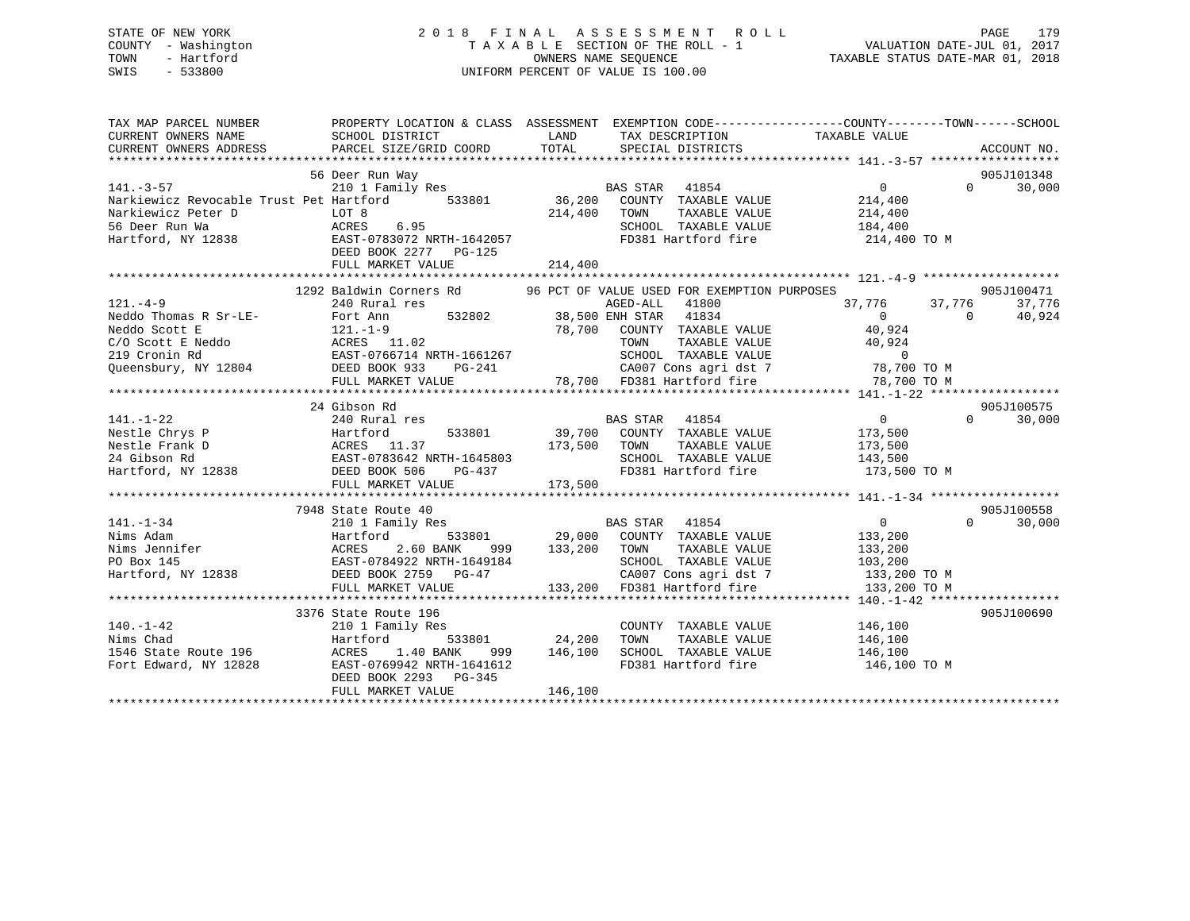# STATE OF NEW YORK 2 0 1 8 F I N A L A S S E S S M E N T R O L L PAGE 179 COUNTY - Washington T A X A B L E SECTION OF THE ROLL - 1 VALUATION DATE-JUL 01, 2017 TOWN - Hartford **TAXABLE STATUS DATE-MAR 01, 2018** OWNERS NAME SEQUENCE TAXABLE STATUS DATE-MAR 01, 2018 SWIS - 533800 UNIFORM PERCENT OF VALUE IS 100.00

| TAX MAP PARCEL NUMBER                                                                                                                                                                                                                                                                                                                                                                                                     | PROPERTY LOCATION & CLASS ASSESSMENT EXEMPTION CODE-----------------COUNTY-------TOWN------SCHOOL |  |                                                     |                             |
|---------------------------------------------------------------------------------------------------------------------------------------------------------------------------------------------------------------------------------------------------------------------------------------------------------------------------------------------------------------------------------------------------------------------------|---------------------------------------------------------------------------------------------------|--|-----------------------------------------------------|-----------------------------|
|                                                                                                                                                                                                                                                                                                                                                                                                                           | 56 Deer Run Way                                                                                   |  |                                                     | 905J101348                  |
|                                                                                                                                                                                                                                                                                                                                                                                                                           |                                                                                                   |  |                                                     | $0 \qquad \qquad$<br>30,000 |
| 141.-3-57<br>210 1 Family Res<br>210 1 Family Res<br>214,400<br>Narkiewicz Peter D LOT 8<br>214,400<br>214,400<br>214,400<br>214,400<br>214,400<br>214,400<br>214,400<br>214,400<br>214,400<br>214,400<br>214,400<br>214,400<br>214,400<br>214,400                                                                                                                                                                        |                                                                                                   |  |                                                     |                             |
|                                                                                                                                                                                                                                                                                                                                                                                                                           |                                                                                                   |  |                                                     |                             |
|                                                                                                                                                                                                                                                                                                                                                                                                                           |                                                                                                   |  |                                                     |                             |
|                                                                                                                                                                                                                                                                                                                                                                                                                           |                                                                                                   |  |                                                     |                             |
| Narkiewicz Peter D<br>Markiewicz Peter D<br>Markiewicz Peter D<br>Markiewicz Peter D<br>Markiewicz Peter D<br>Markiewicz Peter D<br>Markiewicz Peter D<br>Markiewicz Peter D<br>Markiewicz Peter D<br>Markiewicz Peter D<br>Markiewicz Peter D<br>Ma                                                                                                                                                                      |                                                                                                   |  |                                                     |                             |
|                                                                                                                                                                                                                                                                                                                                                                                                                           |                                                                                                   |  |                                                     |                             |
|                                                                                                                                                                                                                                                                                                                                                                                                                           | 1292 Baldwin Corners Rd 36 PCT OF VALUE USED FOR EXEMPTION PURPOSES 305J100471                    |  |                                                     |                             |
| 121.-4-9<br>Neddo Thomas R Sr-LE-<br>Neddo Thomas R Sr-LE-<br>240 Rural res<br>Neddo Scott E<br>277.776<br>Neddo Scott E<br>277.776<br>Neddo Scott E<br>277.776<br>27.776<br>27.776<br>27.776<br>27.776<br>27.776<br>27.776<br>27.776<br>27.776<br>27.776<br>27.776                                                                                                                                                       |                                                                                                   |  |                                                     |                             |
|                                                                                                                                                                                                                                                                                                                                                                                                                           |                                                                                                   |  | $37,776$ $37,776$ $37,776$ $37,776$<br>0 0 $40,924$ |                             |
|                                                                                                                                                                                                                                                                                                                                                                                                                           |                                                                                                   |  |                                                     |                             |
|                                                                                                                                                                                                                                                                                                                                                                                                                           |                                                                                                   |  |                                                     |                             |
|                                                                                                                                                                                                                                                                                                                                                                                                                           |                                                                                                   |  |                                                     |                             |
|                                                                                                                                                                                                                                                                                                                                                                                                                           |                                                                                                   |  |                                                     |                             |
|                                                                                                                                                                                                                                                                                                                                                                                                                           |                                                                                                   |  |                                                     |                             |
|                                                                                                                                                                                                                                                                                                                                                                                                                           |                                                                                                   |  |                                                     |                             |
|                                                                                                                                                                                                                                                                                                                                                                                                                           |                                                                                                   |  |                                                     | 905J100575                  |
|                                                                                                                                                                                                                                                                                                                                                                                                                           |                                                                                                   |  |                                                     | $0 \t 30,000$               |
|                                                                                                                                                                                                                                                                                                                                                                                                                           |                                                                                                   |  |                                                     |                             |
|                                                                                                                                                                                                                                                                                                                                                                                                                           |                                                                                                   |  |                                                     |                             |
|                                                                                                                                                                                                                                                                                                                                                                                                                           |                                                                                                   |  |                                                     |                             |
|                                                                                                                                                                                                                                                                                                                                                                                                                           |                                                                                                   |  |                                                     |                             |
| $\begin{tabular}{lllllllllllllllllllll} \hline & 24\;\; \text{Gibson }\;\text{Rd} & \text{BAS }\;\text{STAR} & 41854 & 0 \\ & 240\;\; \text{Rural res} & \text{BAS }\;\text{STAR} & 41854 & 0 \\ & \text{Nestle Chrys }\; \text{P} & \text{Hartford} & 533801 & 39,700 & \text{COUNTY }\;\text{TAXABLE }\;\text{VALUE} & 173,500 \\ & \text{Nestle Frank }\; \text{D} & \text{ACRES} & 11.37 & 173,500 & \text{TOWN} & \$ |                                                                                                   |  |                                                     |                             |
|                                                                                                                                                                                                                                                                                                                                                                                                                           |                                                                                                   |  |                                                     |                             |
|                                                                                                                                                                                                                                                                                                                                                                                                                           | 7948 State Route 40                                                                               |  |                                                     | 905J100558                  |
|                                                                                                                                                                                                                                                                                                                                                                                                                           |                                                                                                   |  |                                                     | $\Omega$<br>30,000          |
|                                                                                                                                                                                                                                                                                                                                                                                                                           |                                                                                                   |  |                                                     |                             |
|                                                                                                                                                                                                                                                                                                                                                                                                                           |                                                                                                   |  |                                                     |                             |
|                                                                                                                                                                                                                                                                                                                                                                                                                           |                                                                                                   |  |                                                     |                             |
|                                                                                                                                                                                                                                                                                                                                                                                                                           |                                                                                                   |  |                                                     |                             |
|                                                                                                                                                                                                                                                                                                                                                                                                                           |                                                                                                   |  |                                                     |                             |
|                                                                                                                                                                                                                                                                                                                                                                                                                           |                                                                                                   |  |                                                     |                             |
|                                                                                                                                                                                                                                                                                                                                                                                                                           |                                                                                                   |  |                                                     | 905J100690                  |
|                                                                                                                                                                                                                                                                                                                                                                                                                           |                                                                                                   |  |                                                     |                             |
|                                                                                                                                                                                                                                                                                                                                                                                                                           |                                                                                                   |  |                                                     |                             |
|                                                                                                                                                                                                                                                                                                                                                                                                                           |                                                                                                   |  |                                                     |                             |
|                                                                                                                                                                                                                                                                                                                                                                                                                           |                                                                                                   |  | 146,100 TO M                                        |                             |
|                                                                                                                                                                                                                                                                                                                                                                                                                           |                                                                                                   |  |                                                     |                             |
|                                                                                                                                                                                                                                                                                                                                                                                                                           |                                                                                                   |  |                                                     |                             |
| 3376 State Route 195<br>24,200 TONN TAXABLE VALUE<br>140.-1-42<br>24,200 TONN TAXABLE VALUE<br>146,100<br>146,100<br>Fort Edward, NY 12828<br>24,200 TONN TAXABLE VALUE<br>24,200 TONN TAXABLE VALUE<br>24,200 TONN TAXABLE VALUE<br>24,200 TONN T                                                                                                                                                                        |                                                                                                   |  |                                                     |                             |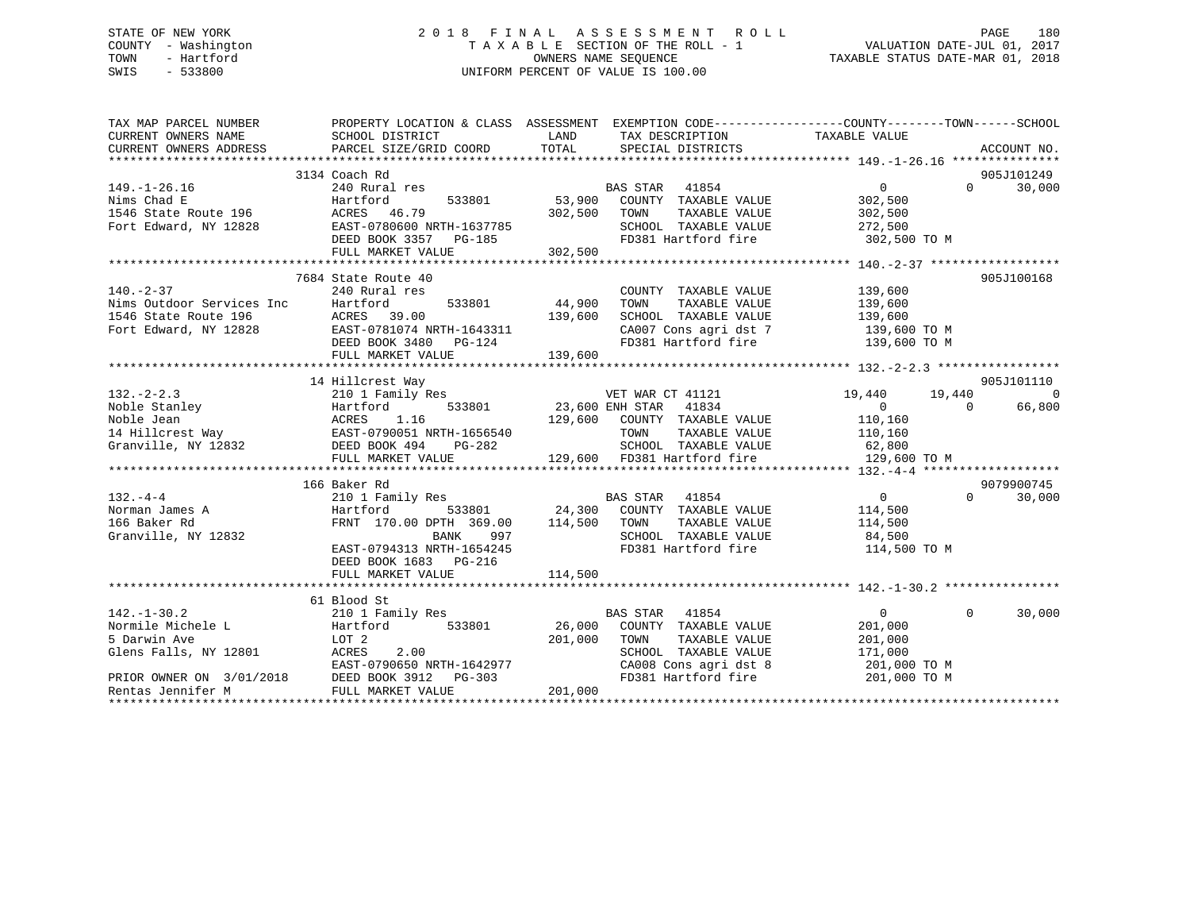# STATE OF NEW YORK 2 0 1 8 F I N A L A S S E S S M E N T R O L L PAGE 180 COUNTY - Washington T A X A B L E SECTION OF THE ROLL - 1 VALUATION DATE-JUL 01, 2017 TOWN - Hartford **TAXABLE STATUS DATE-MAR 01, 2018** OWNERS NAME SEQUENCE TAXABLE STATUS DATE-MAR 01, 2018 SWIS - 533800 UNIFORM PERCENT OF VALUE IS 100.00

| TAX MAP PARCEL NUMBER                                                                                                                                                                                                                                                | PROPERTY LOCATION & CLASS ASSESSMENT EXEMPTION CODE---------------COUNTY-------TOWN-----SCHOOL                 |                                   |                                                                         |                            |                                 |
|----------------------------------------------------------------------------------------------------------------------------------------------------------------------------------------------------------------------------------------------------------------------|----------------------------------------------------------------------------------------------------------------|-----------------------------------|-------------------------------------------------------------------------|----------------------------|---------------------------------|
| CURRENT OWNERS NAME                                                                                                                                                                                                                                                  | SCHOOL DISTRICT                                                                                                | LAND                              | TAX DESCRIPTION                                                         | TAXABLE VALUE              |                                 |
|                                                                                                                                                                                                                                                                      |                                                                                                                |                                   |                                                                         |                            |                                 |
|                                                                                                                                                                                                                                                                      |                                                                                                                |                                   |                                                                         |                            |                                 |
|                                                                                                                                                                                                                                                                      | 3134 Coach Rd                                                                                                  |                                   |                                                                         |                            | 905J101249                      |
| $149. - 1 - 26.16$                                                                                                                                                                                                                                                   | 240 Rural res                                                                                                  |                                   | <b>BAS STAR</b><br>41854                                                | $\overline{0}$             | 30,000<br>$\Omega$ and $\Omega$ |
| Johan B<br>1546 State Route 196<br>Fort Edward NY 19999                                                                                                                                                                                                              | Hartford<br>533801                                                                                             |                                   | 53,900 COUNTY TAXABLE VALUE<br>302,500 TOWN TAXABLE VALUE               | 302,500                    |                                 |
|                                                                                                                                                                                                                                                                      | ACRES 46.79                                                                                                    |                                   |                                                                         | TAXABLE VALUE 302,500      |                                 |
| Fort Edward, NY 12828 EAST-0780600 NRTH-1637785<br>DEED BOOK 3357 PG-185                                                                                                                                                                                             |                                                                                                                |                                   | SCHOOL TAXABLE VALUE 272,500                                            |                            |                                 |
|                                                                                                                                                                                                                                                                      |                                                                                                                |                                   | FD381 Hartford fire                                                     | 302,500 TO M               |                                 |
|                                                                                                                                                                                                                                                                      | FULL MARKET VALUE                                                                                              | 302,500                           |                                                                         |                            |                                 |
|                                                                                                                                                                                                                                                                      |                                                                                                                |                                   |                                                                         |                            |                                 |
|                                                                                                                                                                                                                                                                      | 7684 State Route 40                                                                                            |                                   |                                                                         |                            | 905J100168                      |
| 140.-2-37<br>Nims Outdoor Services Inc Hartford<br>1546 State Route 196 (ACRES 39.00<br>Fort Edward, NY 12828 (ACRES 39.00<br>Fort Edward, NY 12828 (ACRES 199.00 PG-124                                                                                             |                                                                                                                | $533801$<br>$44,900$<br>$139,600$ | COUNTY TAXABLE VALUE 139,600                                            |                            |                                 |
|                                                                                                                                                                                                                                                                      |                                                                                                                |                                   |                                                                         |                            |                                 |
|                                                                                                                                                                                                                                                                      |                                                                                                                |                                   |                                                                         |                            |                                 |
|                                                                                                                                                                                                                                                                      |                                                                                                                |                                   |                                                                         |                            |                                 |
|                                                                                                                                                                                                                                                                      |                                                                                                                |                                   |                                                                         |                            |                                 |
|                                                                                                                                                                                                                                                                      |                                                                                                                |                                   |                                                                         |                            |                                 |
| Fort Edward, NY 12828<br>Fort Edward, NY 12828<br>EED BOOK 3480 PG-124<br>FD381 Hartford fire 139,600 TO M<br>FULL MARKET VALUE 139,600<br>FULL MARKET VALUE 139,600<br>TO TO M FULL MARKET VALUE 139,600<br>FULL MARKET VALUE 139,600                               |                                                                                                                |                                   |                                                                         |                            |                                 |
|                                                                                                                                                                                                                                                                      | 14 Hillcrest Way                                                                                               |                                   |                                                                         |                            | 905J101110                      |
| $132. - 2 - 2.3$                                                                                                                                                                                                                                                     | 210 1 Family Res                                                                                               |                                   | VET WAR CT 41121                                                        | 19,440<br>19,440           | 0                               |
| Noble Stanley<br>Noble Jean<br>14 Hillcrest Way<br>Granville, NY 12832<br>2008 494<br>2008 494<br>2008 494<br>2008 494<br>2008 494<br>2008 494<br>2008 494<br>2008 494<br>2008 494<br>2008 494<br>2008 494<br>2008 494<br>2008 494<br>2008 494<br>2008 494<br>2008 4 |                                                                                                                |                                   | 533801 23,600 ENH STAR 41834                                            | $\overline{0}$<br>$\Omega$ | 66,800                          |
|                                                                                                                                                                                                                                                                      |                                                                                                                |                                   | 129,600 COUNTY TAXABLE VALUE                                            | 110,160                    |                                 |
|                                                                                                                                                                                                                                                                      |                                                                                                                |                                   | TOWN                                                                    | TAXABLE VALUE 110,160      |                                 |
|                                                                                                                                                                                                                                                                      |                                                                                                                |                                   |                                                                         |                            |                                 |
|                                                                                                                                                                                                                                                                      | FULL MARKET VALUE                                                                                              |                                   | SCHOOL TAXABLE VALUE 62,800<br>129,600 FD381 Hartford fire 129,600 TO M |                            |                                 |
|                                                                                                                                                                                                                                                                      |                                                                                                                |                                   |                                                                         |                            |                                 |
|                                                                                                                                                                                                                                                                      | 166 Baker Rd                                                                                                   |                                   |                                                                         |                            | 9079900745                      |
| $132 - 4 - 4$                                                                                                                                                                                                                                                        | 210 1 Family Res BAS STAR 41854                                                                                |                                   |                                                                         | $\overline{0}$             | $\Omega$<br>30,000              |
| Norman James A                                                                                                                                                                                                                                                       |                                                                                                                |                                   |                                                                         |                            |                                 |
| 166 Baker Rd                                                                                                                                                                                                                                                         | Hartford 533801 24,300 COUNTY TAXABLE VALUE 114,500 FRNT 170.00 DPTH 369.00 114,500 TOWN TAXABLE VALUE 114,500 |                                   |                                                                         |                            |                                 |
| Granville, NY 12832                                                                                                                                                                                                                                                  | BANK<br>997                                                                                                    |                                   |                                                                         |                            |                                 |
|                                                                                                                                                                                                                                                                      | EAST-0794313 NRTH-1654245                                                                                      |                                   | FD381 Hartford fire 114,500 TO M                                        |                            |                                 |
|                                                                                                                                                                                                                                                                      | DEED BOOK 1683 PG-216                                                                                          |                                   |                                                                         |                            |                                 |
|                                                                                                                                                                                                                                                                      |                                                                                                                |                                   |                                                                         |                            |                                 |
|                                                                                                                                                                                                                                                                      |                                                                                                                |                                   |                                                                         |                            |                                 |
|                                                                                                                                                                                                                                                                      | 61 Blood St                                                                                                    |                                   |                                                                         |                            |                                 |
| $142. - 1 - 30.2$                                                                                                                                                                                                                                                    | 210 1 Family Res                                                                                               |                                   | BAS STAR 41854                                                          | $\Omega$<br>$\Omega$       | 30,000                          |
|                                                                                                                                                                                                                                                                      | 533801                                                                                                         |                                   |                                                                         | 201,000                    |                                 |
|                                                                                                                                                                                                                                                                      |                                                                                                                |                                   | 26,000 COUNTY TAXABLE VALUE<br>201,000 TOWN TAXABLE VALUE               | 201,000                    |                                 |
| Glens Falls, NY 12801                                                                                                                                                                                                                                                |                                                                                                                |                                   | SCHOOL TAXABLE VALUE                                                    | 171,000                    |                                 |
|                                                                                                                                                                                                                                                                      |                                                                                                                |                                   |                                                                         | 201,000 TO M               |                                 |
| 2.00<br>PRIOR OWNER ON 3/01/2018<br>Rentas Jennifer M<br>TILL MAPKET WALL PG-303<br>THE MERICAL PRIOR SALE PRIOR PRIOR PRIOR PRIOR PRIOR PRIOR PRIOR PRIOR PRIOR PRIOR PRIOR PRIOR PRIOR PRIOR PRIOR PRIOR PRIOR PRIOR PRIOR PRIOR PRI                               |                                                                                                                |                                   | CA008 Cons agri dst 8<br>FD381 Hartford fire                            | 201,000 TO M               |                                 |
|                                                                                                                                                                                                                                                                      |                                                                                                                | 201,000                           |                                                                         |                            |                                 |
|                                                                                                                                                                                                                                                                      |                                                                                                                |                                   |                                                                         |                            |                                 |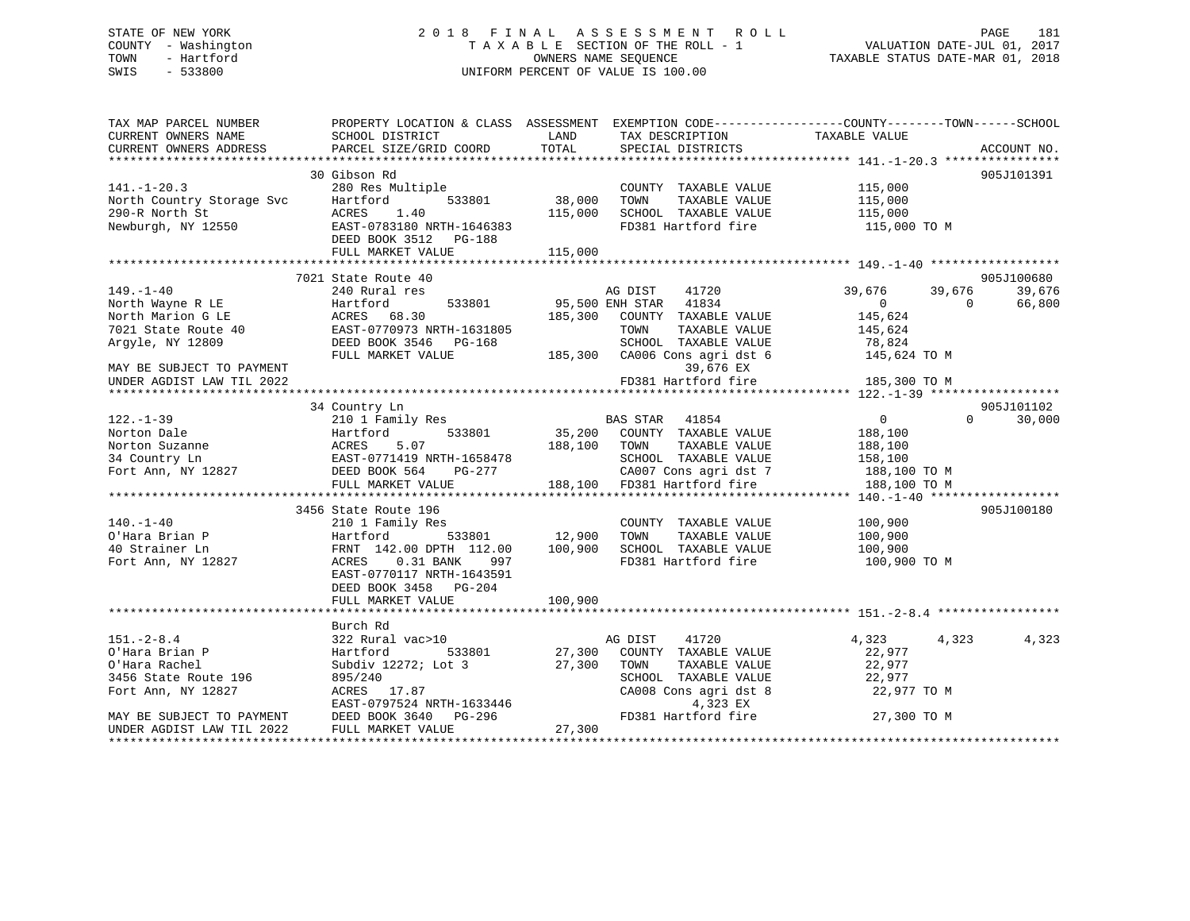## STATE OF NEW YORK 2 0 1 8 F I N A L A S S E S S M E N T R O L L PAGE 181 COUNTY - Washington T A X A B L E SECTION OF THE ROLL - 1 VALUATION DATE-JUL 01, 2017 TOWN - Hartford **TAXABLE STATUS DATE-MAR 01, 2018** OWNERS NAME SEQUENCE TAXABLE STATUS DATE-MAR 01, 2018 SWIS - 533800 UNIFORM PERCENT OF VALUE IS 100.00

| TAX MAP PARCEL NUMBER<br>CURRENT OWNERS NAME<br>CURRENT OWNERS ADDRESS | SCHOOL DISTRICT<br>PARCEL SIZE/GRID COORD                                                                              | LAND<br>TOTAL       | TAX DESCRIPTION<br>SPECIAL DISTRICTS                                             | PROPERTY LOCATION & CLASS ASSESSMENT EXEMPTION CODE----------------COUNTY-------TOWN------SCHOOL<br>TAXABLE VALUE | ACCOUNT NO. |
|------------------------------------------------------------------------|------------------------------------------------------------------------------------------------------------------------|---------------------|----------------------------------------------------------------------------------|-------------------------------------------------------------------------------------------------------------------|-------------|
|                                                                        |                                                                                                                        |                     |                                                                                  |                                                                                                                   |             |
|                                                                        | 30 Gibson Rd                                                                                                           |                     |                                                                                  |                                                                                                                   | 905J101391  |
| $141. - 1 - 20.3$                                                      | 280 Res Multiple                                                                                                       |                     | COUNTY TAXABLE VALUE 115,000                                                     |                                                                                                                   |             |
|                                                                        |                                                                                                                        | 533801 38,000       | TOWN<br>TAXABLE VALUE                                                            | 115,000                                                                                                           |             |
|                                                                        |                                                                                                                        | 115,000             | SCHOOL TAXABLE VALUE                                                             | 115,000                                                                                                           |             |
|                                                                        | North Country Storage Svc Bartford 533801<br>290-R North St ACRES 1.40<br>Newburgh, NY 12550 EAST-0783180 NRTH-1646383 |                     | FD381 Hartford fire                                                              | 115,000 TO M                                                                                                      |             |
|                                                                        | DEED BOOK 3512 PG-188                                                                                                  |                     |                                                                                  |                                                                                                                   |             |
|                                                                        | FULL MARKET VALUE                                                                                                      | 115,000             |                                                                                  |                                                                                                                   |             |
|                                                                        |                                                                                                                        |                     |                                                                                  |                                                                                                                   |             |
|                                                                        | 7021 State Route 40                                                                                                    |                     |                                                                                  |                                                                                                                   | 905J100680  |
| $149. - 1 - 40$                                                        | 240 Rural res                                                                                                          |                     | 41720<br>AG DIST                                                                 | 39,676<br>39,676                                                                                                  | 39,676      |
|                                                                        |                                                                                                                        |                     | 95,500 ENH STAR 41834                                                            | $\Omega$<br>$\Omega$                                                                                              | 66,800      |
|                                                                        |                                                                                                                        |                     | 185,300 COUNTY TAXABLE VALUE                                                     | 145,624                                                                                                           |             |
|                                                                        |                                                                                                                        |                     | TOWN<br>TAXABLE VALUE                                                            | 145,624                                                                                                           |             |
| Argyle, NY 12809                                                       | DEED BOOK 3546 PG-168                                                                                                  |                     | SCHOOL TAXABLE VALUE                                                             | 78,824                                                                                                            |             |
|                                                                        | FULL MARKET VALUE                                                                                                      |                     | 185,300 CA006 Cons agri dst 6                                                    | 145,624 TO M                                                                                                      |             |
| MAY BE SUBJECT TO PAYMENT                                              |                                                                                                                        |                     | 39,676 EX                                                                        |                                                                                                                   |             |
| UNDER AGDIST LAW TIL 2022                                              |                                                                                                                        |                     | FD381 Hartford fire                                                              | 185,300 TO M                                                                                                      |             |
|                                                                        |                                                                                                                        |                     |                                                                                  |                                                                                                                   |             |
|                                                                        | 34 Country Ln                                                                                                          |                     |                                                                                  |                                                                                                                   | 905J101102  |
| $122. - 1 - 39$                                                        | 210 1 Family Res                                                                                                       |                     | BAS STAR 41854                                                                   | $\overline{0}$<br>$\Omega$                                                                                        | 30,000      |
|                                                                        |                                                                                                                        | 188,100             | 35,200 COUNTY TAXABLE VALUE                                                      | 188,100                                                                                                           |             |
|                                                                        |                                                                                                                        |                     | TAXABLE VALUE<br>TOWN                                                            | 188,100                                                                                                           |             |
|                                                                        |                                                                                                                        | 1-1658478<br>PG-277 | SCHOOL TAXABLE VALUE                                                             | 158,100                                                                                                           |             |
|                                                                        |                                                                                                                        |                     | SCHOOL TAXABLE VALUE<br>CA007 Cons agri dst 7<br>188,100 FD381 Hartford fire     | $188,100$ TO M<br>$188,100$ TO M<br>188,100 TO M                                                                  |             |
|                                                                        | FULL MARKET VALUE                                                                                                      |                     |                                                                                  |                                                                                                                   |             |
|                                                                        | 3456 State Route 196                                                                                                   |                     |                                                                                  |                                                                                                                   | 905J100180  |
| $140. - 1 - 40$                                                        | 210 1 Family Res                                                                                                       |                     | COUNTY TAXABLE VALUE 100,900                                                     |                                                                                                                   |             |
| O'Hara Brian P                                                         | 533801 12,900<br>Hartford                                                                                              |                     | TOWN<br>TAXABLE VALUE                                                            | 100,900                                                                                                           |             |
| 40 Strainer Ln                                                         | FRNT 142.00 DPTH 112.00 100,900                                                                                        |                     | SCHOOL TAXABLE VALUE                                                             | 100,900                                                                                                           |             |
| Fort Ann, NY 12827                                                     | $0.31$ BANK<br>ACRES<br>997                                                                                            |                     | FD381 Hartford fire                                                              | 100,900 TO M                                                                                                      |             |
|                                                                        | EAST-0770117 NRTH-1643591                                                                                              |                     |                                                                                  |                                                                                                                   |             |
|                                                                        | DEED BOOK 3458 PG-204                                                                                                  |                     |                                                                                  |                                                                                                                   |             |
|                                                                        | FULL MARKET VALUE                                                                                                      | 100,900             |                                                                                  |                                                                                                                   |             |
|                                                                        |                                                                                                                        |                     |                                                                                  |                                                                                                                   |             |
|                                                                        | Burch Rd                                                                                                               |                     |                                                                                  |                                                                                                                   |             |
| $151. - 2 - 8.4$                                                       | 322 Rural vac>10                                                                                                       |                     | 41720<br>AG DIST                                                                 | 4,323<br>4,323                                                                                                    | 4,323       |
| O'Hara Brian P                                                         | Hartford<br>533801                                                                                                     |                     | 27,300 COUNTY TAXABLE VALUE                                                      | 22,977                                                                                                            |             |
| O'Hara Rachel                                                          | Subdiv 12272; Lot 3                                                                                                    | 27,300              | TOWN<br>TAXABLE VALUE                                                            | 22,977                                                                                                            |             |
| 3456 State Route 196                                                   | 895/240                                                                                                                |                     |                                                                                  | 22,977                                                                                                            |             |
| Fort Ann, NY 12827                                                     |                                                                                                                        |                     |                                                                                  | 44,977 TO M<br>22,977 TO M                                                                                        |             |
|                                                                        |                                                                                                                        |                     |                                                                                  |                                                                                                                   |             |
| MAY BE SUBJECT TO PAYMENT                                              | 020/240<br>ACRES 17.87<br>EAST-0797524 NRTH-1633446<br>DEED BOOK 3640 PG-296                                           |                     | SCHOOL TAXABLE VALUE<br>CA008 Cons agri dst 8<br>4,323 EX<br>FD381 Hartford fire | 27,300 TO M                                                                                                       |             |
| UNDER AGDIST LAW TIL 2022                                              | FULL MARKET VALUE                                                                                                      | 27,300              |                                                                                  |                                                                                                                   |             |
|                                                                        |                                                                                                                        |                     |                                                                                  |                                                                                                                   |             |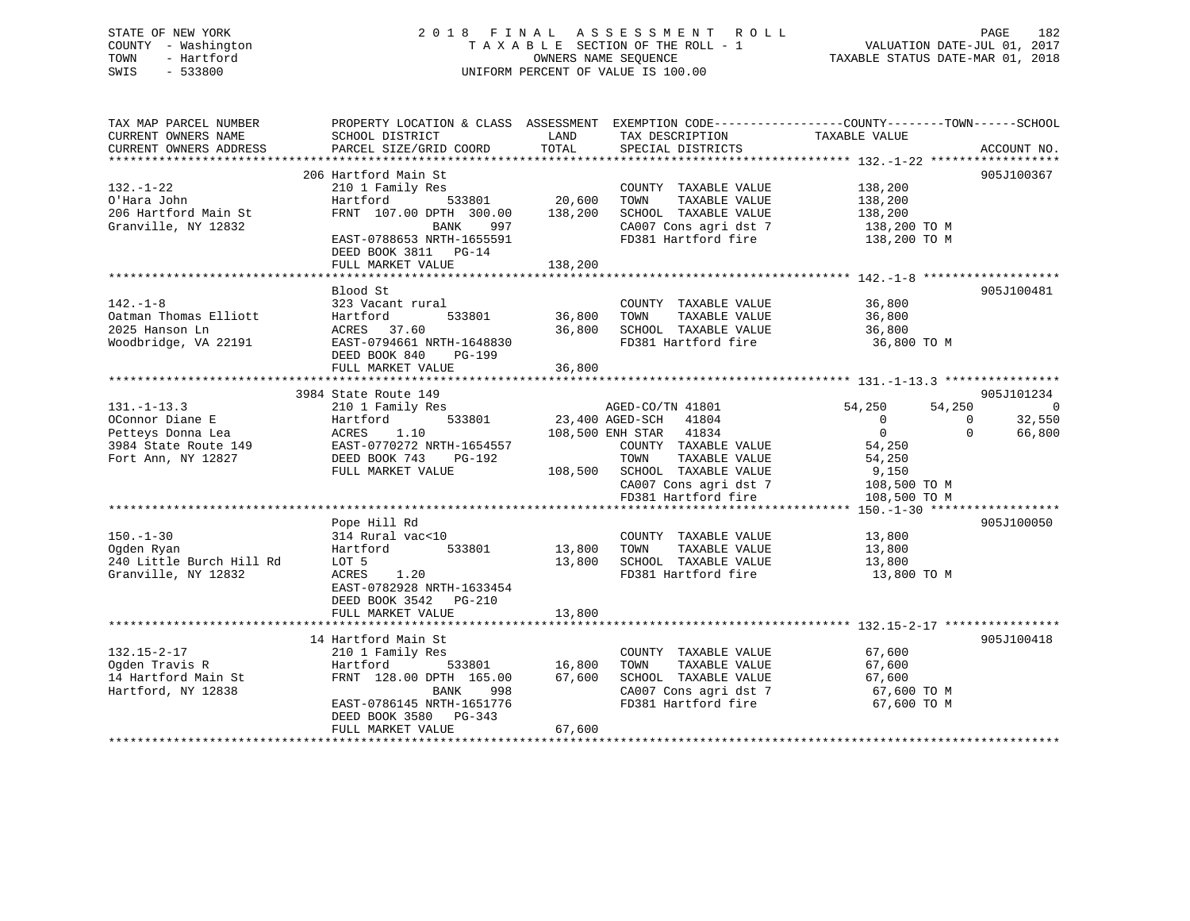## STATE OF NEW YORK 2 0 1 8 F I N A L A S S E S S M E N T R O L L PAGE 182 COUNTY - Washington T A X A B L E SECTION OF THE ROLL - 1 VALUATION DATE-JUL 01, 2017 TOWN - Hartford **TAXABLE STATUS DATE-MAR 01, 2018** OWNERS NAME SEQUENCE TAXABLE STATUS DATE-MAR 01, 2018 SWIS - 533800 UNIFORM PERCENT OF VALUE IS 100.00

| TAX MAP PARCEL NUMBER                         | PROPERTY LOCATION & CLASS ASSESSMENT      |               |                                      | EXEMPTION CODE-----------------COUNTY-------TOWN------SCHOOL |             |
|-----------------------------------------------|-------------------------------------------|---------------|--------------------------------------|--------------------------------------------------------------|-------------|
| CURRENT OWNERS NAME<br>CURRENT OWNERS ADDRESS | SCHOOL DISTRICT<br>PARCEL SIZE/GRID COORD | LAND<br>TOTAL | TAX DESCRIPTION<br>SPECIAL DISTRICTS | TAXABLE VALUE                                                | ACCOUNT NO. |
|                                               |                                           |               |                                      |                                                              |             |
|                                               | 206 Hartford Main St                      |               |                                      |                                                              | 905J100367  |
| $132. - 1 - 22$                               | 210 1 Family Res                          |               | COUNTY TAXABLE VALUE                 | 138,200                                                      |             |
| O'Hara John                                   | Hartford<br>533801                        | 20,600        | TOWN<br>TAXABLE VALUE                | 138,200                                                      |             |
| 206 Hartford Main St                          | FRNT 107.00 DPTH 300.00                   | 138,200       | SCHOOL TAXABLE VALUE                 | 138,200                                                      |             |
| Granville, NY 12832                           | BANK<br>997                               |               | CA007 Cons agri dst 7                | 138,200 TO M                                                 |             |
|                                               | EAST-0788653 NRTH-1655591                 |               | FD381 Hartford fire                  | 138,200 TO M                                                 |             |
|                                               | DEED BOOK 3811 PG-14                      |               |                                      |                                                              |             |
|                                               | FULL MARKET VALUE                         | 138,200       |                                      |                                                              |             |
|                                               |                                           |               |                                      |                                                              |             |
|                                               | Blood St                                  |               |                                      |                                                              | 905J100481  |
| $142. - 1 - 8$                                | 323 Vacant rural                          |               | COUNTY TAXABLE VALUE                 | 36,800                                                       |             |
| Oatman Thomas Elliott                         | Hartford<br>533801                        | 36,800        | TOWN<br>TAXABLE VALUE                | 36,800                                                       |             |
| 2025 Hanson Ln                                | ACRES 37.60                               | 36,800        | SCHOOL TAXABLE VALUE                 | 36,800                                                       |             |
| Woodbridge, VA 22191                          | EAST-0794661 NRTH-1648830                 |               | FD381 Hartford fire                  | 36,800 TO M                                                  |             |
|                                               | DEED BOOK 840<br><b>PG-199</b>            |               |                                      |                                                              |             |
|                                               | FULL MARKET VALUE                         | 36,800        |                                      |                                                              |             |
|                                               |                                           |               |                                      |                                                              |             |
|                                               | 3984 State Route 149                      |               |                                      |                                                              | 905J101234  |
| $131. - 1 - 13.3$                             | 210 1 Family Res                          |               | AGED-CO/TN 41801                     | 54,250<br>54,250                                             | 0           |
| OConnor Diane E                               | 533801<br>Hartford                        |               | 23,400 AGED-SCH 41804                | $\overline{0}$<br>$\Omega$                                   | 32,550      |
| Petteys Donna Lea                             | ACRES<br>1.10                             |               | 108,500 ENH STAR 41834               | $\overline{0}$<br>$\Omega$                                   | 66,800      |
| 3984 State Route 149                          | EAST-0770272 NRTH-1654557                 |               | COUNTY TAXABLE VALUE                 | 54,250                                                       |             |
| Fort Ann, NY 12827                            | DEED BOOK 743<br>PG-192                   |               | TOWN<br>TAXABLE VALUE                | 54,250                                                       |             |
|                                               | FULL MARKET VALUE                         |               | 108,500 SCHOOL TAXABLE VALUE         | 9,150                                                        |             |
|                                               |                                           |               | CA007 Cons agri dst 7                | 108,500 TO M                                                 |             |
|                                               |                                           |               | FD381 Hartford fire                  | 108,500 TO M                                                 |             |
|                                               | Pope Hill Rd                              |               |                                      |                                                              | 905J100050  |
| $150. - 1 - 30$                               | 314 Rural vac<10                          |               | COUNTY TAXABLE VALUE                 | 13,800                                                       |             |
| Oqden Ryan                                    | 533801<br>Hartford                        | 13,800        | TOWN<br>TAXABLE VALUE                | 13,800                                                       |             |
| 240 Little Burch Hill Rd                      | LOT 5                                     | 13,800        | SCHOOL TAXABLE VALUE                 | 13,800                                                       |             |
| Granville, NY 12832                           | ACRES<br>1.20                             |               | FD381 Hartford fire                  | 13,800 TO M                                                  |             |
|                                               | EAST-0782928 NRTH-1633454                 |               |                                      |                                                              |             |
|                                               | DEED BOOK 3542 PG-210                     |               |                                      |                                                              |             |
|                                               | FULL MARKET VALUE                         | 13,800        |                                      |                                                              |             |
|                                               |                                           |               |                                      |                                                              |             |
|                                               | 14 Hartford Main St                       |               |                                      |                                                              | 905J100418  |
| $132.15 - 2 - 17$                             | 210 1 Family Res                          |               | COUNTY TAXABLE VALUE                 | 67,600                                                       |             |
| Ogden Travis R                                | Hartford<br>533801                        | 16,800        | TAXABLE VALUE<br>TOWN                | 67,600                                                       |             |
| 14 Hartford Main St                           | FRNT 128.00 DPTH 165.00                   | 67,600        | SCHOOL TAXABLE VALUE                 | 67,600                                                       |             |
| Hartford, NY 12838                            | <b>BANK</b><br>998                        |               | CA007 Cons agri dst 7                | 67,600 TO M                                                  |             |
|                                               | EAST-0786145 NRTH-1651776                 |               | FD381 Hartford fire                  | 67,600 TO M                                                  |             |
|                                               | DEED BOOK 3580 PG-343                     |               |                                      |                                                              |             |
|                                               | FULL MARKET VALUE                         | 67,600        |                                      |                                                              |             |
|                                               |                                           |               |                                      |                                                              |             |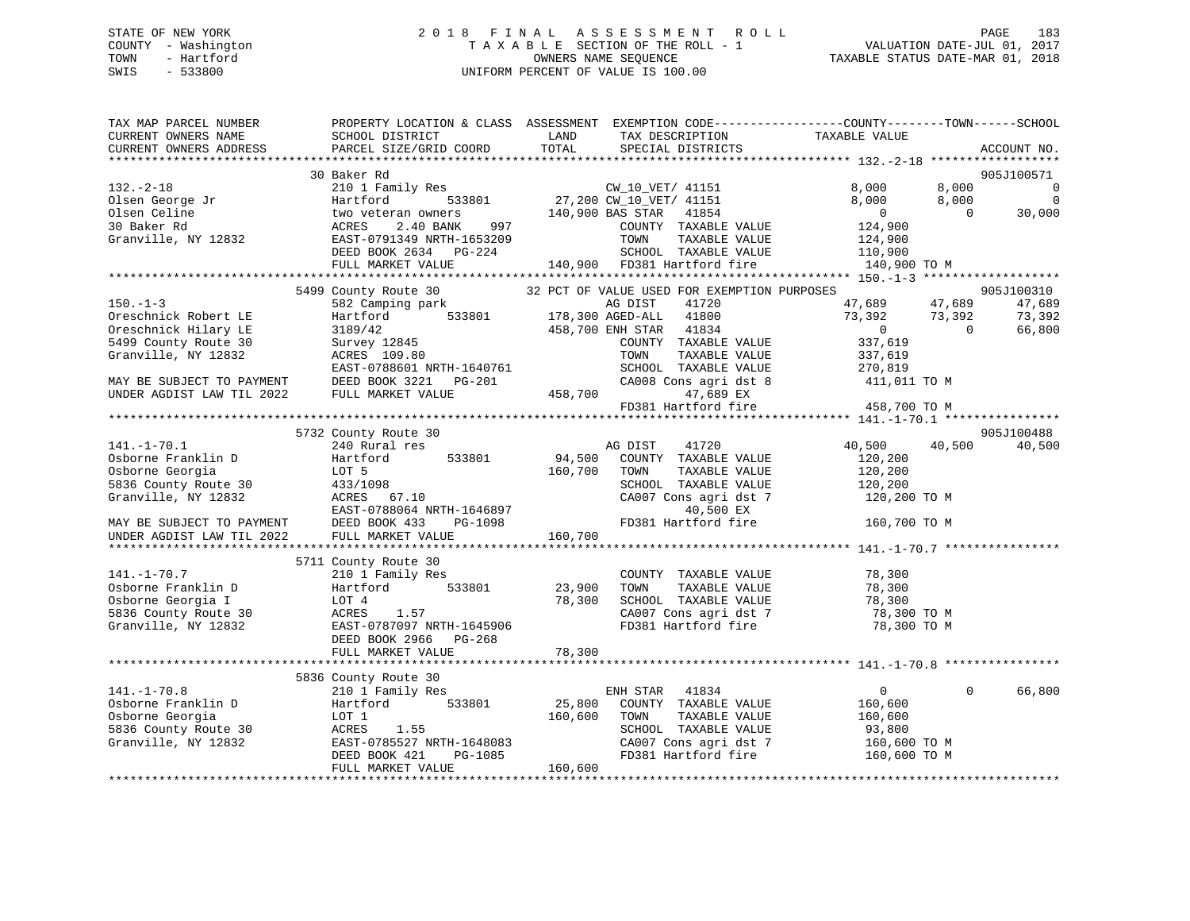## STATE OF NEW YORK 2 0 1 8 F I N A L A S S E S S M E N T R O L L PAGE 183 COUNTY - Washington T A X A B L E SECTION OF THE ROLL - 1 VALUATION DATE-JUL 01, 2017 TOWN - Hartford **TAXABLE STATUS DATE-MAR 01, 2018** OWNERS NAME SEQUENCE TAXABLE STATUS DATE-MAR 01, 2018 SWIS - 533800 UNIFORM PERCENT OF VALUE IS 100.00

| TAX MAP PARCEL NUMBER<br>CURRENT OWNERS NAME<br>CURRENT OWNERS ADDRESS | SCHOOL DISTRICT<br>PARCEL SIZE/GRID COORD                                                | LAND<br>TAX DESCRIPTION<br>TOTAL<br>SPECIAL DISTRICTS                                     | PROPERTY LOCATION & CLASS ASSESSMENT EXEMPTION CODE---------------COUNTY-------TOWN------SCHOOL<br>TAXABLE VALUE<br>ACCOUNT NO. |
|------------------------------------------------------------------------|------------------------------------------------------------------------------------------|-------------------------------------------------------------------------------------------|---------------------------------------------------------------------------------------------------------------------------------|
|                                                                        |                                                                                          |                                                                                           |                                                                                                                                 |
| $132. - 2 - 18$<br>Olsen George Jr                                     | 30 Baker Rd<br>210 1 Family Res<br>533801<br>Hartford                                    | CW_10_VET/ 41151<br>27,200 CW 10 VET/ 41151                                               | 905J100571<br>8,000<br>8,000<br>$\mathbf 0$<br>$\Omega$<br>8,000<br>8,000                                                       |
| Olsen Celine<br>30 Baker Rd                                            | two veteran owners<br>2.40 BANK<br>997<br>ACRES                                          | 140,900 BAS STAR<br>41854<br>COUNTY TAXABLE VALUE                                         | $\overline{0}$<br>30,000<br>$\Omega$<br>124,900                                                                                 |
| Granville, NY 12832                                                    | EAST-0791349 NRTH-1653209<br>DEED BOOK 2634 PG-224<br>FULL MARKET VALUE                  | TAXABLE VALUE<br>TOWN<br>SCHOOL TAXABLE VALUE<br>140,900 FD381 Hartford fire              | 124,900<br>110,900<br>140,900 TO M                                                                                              |
|                                                                        |                                                                                          |                                                                                           |                                                                                                                                 |
| $150. - 1 - 3$                                                         | 5499 County Route 30<br>582 Camping park                                                 | 32 PCT OF VALUE USED FOR EXEMPTION PURPOSES<br>AG DIST<br>41720                           | 905J100310<br>47,689<br>47,689<br>47,689                                                                                        |
| Oreschnick Robert LE<br>Oreschnick Hilary LE<br>5499 County Route 30   | Hartford<br>533801<br>3189/42<br>Survey 12845                                            | 178,300 AGED-ALL<br>41800<br>458,700 ENH STAR 41834<br>COUNTY TAXABLE VALUE               | 73,392<br>73,392<br>73,392<br>66,800<br>$\overline{0}$<br>$\Omega$<br>337,619                                                   |
| Granville, NY 12832                                                    | ACRES 109.80<br>EAST-0788601 NRTH-1640761                                                | TAXABLE VALUE<br>TOWN<br>SCHOOL TAXABLE VALUE                                             | 337,619<br>270,819                                                                                                              |
| MAY BE SUBJECT TO PAYMENT<br>UNDER AGDIST LAW TIL 2022                 | DEED BOOK 3221<br>PG-201<br>FULL MARKET VALUE                                            | CA008 Cons agri dst 8<br>458,700<br>47,689 EX                                             | 411,011 TO M                                                                                                                    |
|                                                                        |                                                                                          | FD381 Hartford fire                                                                       | 458,700 TO M                                                                                                                    |
|                                                                        | 5732 County Route 30                                                                     |                                                                                           | 905J100488                                                                                                                      |
| $141. - 1 - 70.1$                                                      | 240 Rural res                                                                            | AG DIST<br>41720                                                                          | 40,500<br>40,500<br>40,500                                                                                                      |
| Osborne Franklin D                                                     | Hartford<br>533801                                                                       | 94,500<br>COUNTY TAXABLE VALUE                                                            | 120,200                                                                                                                         |
| Osborne Georgia                                                        | LOT 5                                                                                    | 160,700<br>TAXABLE VALUE<br>TOWN                                                          | 120,200                                                                                                                         |
| 5836 County Route 30                                                   | 433/1098                                                                                 | SCHOOL TAXABLE VALUE                                                                      | 120,200                                                                                                                         |
| Granville, NY 12832                                                    | ACRES 67.10<br>EAST-0788064 NRTH-1646897                                                 | CA007 Cons agri dst 7<br>40,500 EX                                                        | 120,200 TO M                                                                                                                    |
| MAY BE SUBJECT TO PAYMENT<br>UNDER AGDIST LAW TIL 2022                 | DEED BOOK 433<br>PG-1098<br>FULL MARKET VALUE                                            | FD381 Hartford fire<br>160,700                                                            | 160,700 TO M                                                                                                                    |
|                                                                        | 5711 County Route 30                                                                     |                                                                                           |                                                                                                                                 |
| $141. - 1 - 70.7$<br>Osborne Franklin D<br>Osborne Georgia I           | 210 1 Family Res<br>533801<br>Hartford<br>LOT 4                                          | COUNTY TAXABLE VALUE<br>TAXABLE VALUE<br>23,900<br>TOWN<br>78,300<br>SCHOOL TAXABLE VALUE | 78,300<br>78,300<br>78,300                                                                                                      |
| 5836 County Route 30<br>Granville, NY 12832                            | ACRES<br>1.57<br>EAST-0787097 NRTH-1645906<br>DEED BOOK 2966 PG-268<br>FULL MARKET VALUE | CA007 Cons agri dst 7<br>FD381 Hartford fire<br>78,300                                    | 78,300 TO M<br>78,300 TO M                                                                                                      |
|                                                                        |                                                                                          |                                                                                           |                                                                                                                                 |
|                                                                        | 5836 County Route 30                                                                     |                                                                                           |                                                                                                                                 |
| $141. - 1 - 70.8$                                                      | 210 1 Family Res                                                                         | ENH STAR<br>41834                                                                         | 66,800<br>$\overline{0}$<br>$\Omega$                                                                                            |
| Osborne Franklin D                                                     | 533801<br>Hartford                                                                       | 25,800<br>COUNTY TAXABLE VALUE                                                            | 160,600                                                                                                                         |
| Osborne Georgia                                                        | LOT 1                                                                                    | 160,600<br>TOWN<br>TAXABLE VALUE                                                          | 160,600                                                                                                                         |
| 5836 County Route 30                                                   | ACRES<br>1.55                                                                            | SCHOOL TAXABLE VALUE                                                                      | 93,800                                                                                                                          |
| Granville, NY 12832                                                    | EAST-0785527 NRTH-1648083<br>DEED BOOK 421<br>PG-1085<br>FULL MARKET VALUE               | CA007 Cons agri dst 7<br>FD381 Hartford fire<br>160,600                                   | 160,600 TO M<br>160,600 TO M                                                                                                    |
|                                                                        |                                                                                          |                                                                                           |                                                                                                                                 |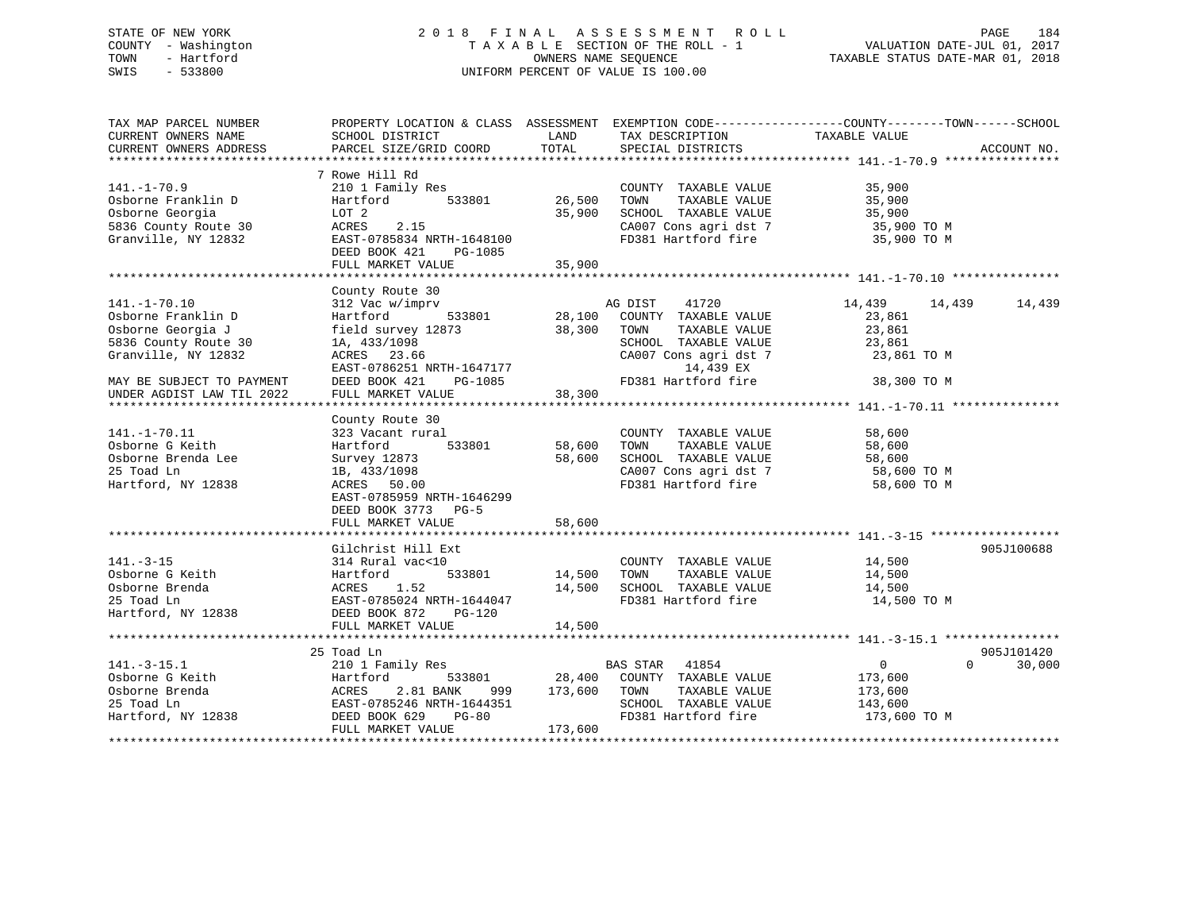## STATE OF NEW YORK 2 0 1 8 F I N A L A S S E S S M E N T R O L L PAGE 184 COUNTY - Washington T A X A B L E SECTION OF THE ROLL - 1 VALUATION DATE-JUL 01, 2017 TOWN - Hartford **TAXABLE STATUS DATE-MAR 01, 2018** OWNERS NAME SEQUENCE TAXABLE STATUS DATE-MAR 01, 2018 SWIS - 533800 UNIFORM PERCENT OF VALUE IS 100.00

| TAX MAP PARCEL NUMBER<br>CURRENT OWNERS NAME<br>CURRENT OWNERS ADDRESS                                                                    | PROPERTY LOCATION & CLASS ASSESSMENT<br>SCHOOL DISTRICT<br>PARCEL SIZE/GRID COORD                                                                                      | LAND<br>TOTAL                | TAX DESCRIPTION<br>SPECIAL DISTRICTS                                                                                                                   | EXEMPTION CODE-----------------COUNTY-------TOWN------SCHOOL<br>TAXABLE VALUE<br>ACCOUNT NO. |        |
|-------------------------------------------------------------------------------------------------------------------------------------------|------------------------------------------------------------------------------------------------------------------------------------------------------------------------|------------------------------|--------------------------------------------------------------------------------------------------------------------------------------------------------|----------------------------------------------------------------------------------------------|--------|
| $141. - 1 - 70.9$<br>Osborne Franklin D<br>Osborne Georgia<br>5836 County Route 30<br>Granville, NY 12832                                 | 7 Rowe Hill Rd<br>210 1 Family Res<br>533801<br>Hartford<br>LOT 2<br>ACRES<br>2.15<br>EAST-0785834 NRTH-1648100<br>DEED BOOK 421<br>PG-1085<br>FULL MARKET VALUE       | 26,500<br>35,900<br>35,900   | COUNTY TAXABLE VALUE<br>TOWN<br>TAXABLE VALUE<br>SCHOOL TAXABLE VALUE<br>CA007 Cons agri dst 7<br>FD381 Hartford fire                                  | 35,900<br>35,900<br>35,900<br>35,900 TO M<br>35,900 TO M                                     |        |
| $141. - 1 - 70.10$<br>Osborne Franklin D<br>Osborne Georgia J<br>5836 County Route 30<br>Granville, NY 12832<br>MAY BE SUBJECT TO PAYMENT | County Route 30<br>312 Vac w/imprv<br>533801<br>Hartford<br>field survey 12873<br>1A, 433/1098<br>ACRES 23.66<br>EAST-0786251 NRTH-1647177<br>DEED BOOK 421<br>PG-1085 | 28,100<br>38,300             | AG DIST<br>41720<br>COUNTY TAXABLE VALUE<br>TOWN<br>TAXABLE VALUE<br>SCHOOL TAXABLE VALUE<br>CA007 Cons agri dst 7<br>14,439 EX<br>FD381 Hartford fire | 14,439<br>14,439<br>23,861<br>23,861<br>23,861<br>23,861 TO M<br>38,300 TO M                 | 14,439 |
| UNDER AGDIST LAW TIL 2022                                                                                                                 | FULL MARKET VALUE                                                                                                                                                      | 38,300                       |                                                                                                                                                        |                                                                                              |        |
| $141. - 1 - 70.11$<br>Osborne G Keith<br>Osborne Brenda Lee<br>25 Toad Ln<br>Hartford, NY 12838                                           | County Route 30<br>323 Vacant rural<br>533801<br>Hartford<br>Survey 12873<br>1B, 433/1098<br>ACRES 50.00<br>EAST-0785959 NRTH-1646299<br>DEED BOOK 3773 PG-5           | 58,600<br>58,600             | COUNTY TAXABLE VALUE<br>TOWN<br>TAXABLE VALUE<br>SCHOOL TAXABLE VALUE<br>CA007 Cons agri dst 7<br>FD381 Hartford fire                                  | 58,600<br>58,600<br>58,600<br>$58,600$ TO M<br>58,600 TO M                                   |        |
|                                                                                                                                           | FULL MARKET VALUE                                                                                                                                                      | 58,600                       |                                                                                                                                                        |                                                                                              |        |
| $141. - 3 - 15$<br>Osborne G Keith<br>Osborne Brenda<br>25 Toad Ln<br>Hartford, NY 12838                                                  | Gilchrist Hill Ext<br>314 Rural vac<10<br>533801<br>Hartford<br>1.52<br>ACRES<br>EAST-0785024 NRTH-1644047<br>DEED BOOK 872<br>PG-120                                  | 14,500<br>14,500             | COUNTY TAXABLE VALUE<br>TAXABLE VALUE<br>TOWN<br>SCHOOL TAXABLE VALUE<br>FD381 Hartford fire                                                           | 905J100688<br>14,500<br>14,500<br>14,500<br>14,500 TO M                                      |        |
|                                                                                                                                           | FULL MARKET VALUE                                                                                                                                                      | 14,500                       |                                                                                                                                                        |                                                                                              |        |
|                                                                                                                                           |                                                                                                                                                                        |                              |                                                                                                                                                        |                                                                                              |        |
| $141. - 3 - 15.1$<br>Osborne G Keith<br>Osborne Brenda<br>25 Toad Ln<br>Hartford, NY 12838                                                | 25 Toad Ln<br>210 1 Family Res<br>533801<br>Hartford<br>ACRES<br>2.81 BANK<br>999<br>EAST-0785246 NRTH-1644351<br>DEED BOOK 629<br>$PG-80$<br>FULL MARKET VALUE        | 28,400<br>173,600<br>173,600 | BAS STAR 41854<br>COUNTY TAXABLE VALUE<br>TAXABLE VALUE<br>TOWN<br>SCHOOL TAXABLE VALUE<br>FD381 Hartford fire                                         | 905J101420<br>$\mathbf{0}$<br>$\Omega$<br>173,600<br>173,600<br>143,600<br>173,600 TO M      | 30,000 |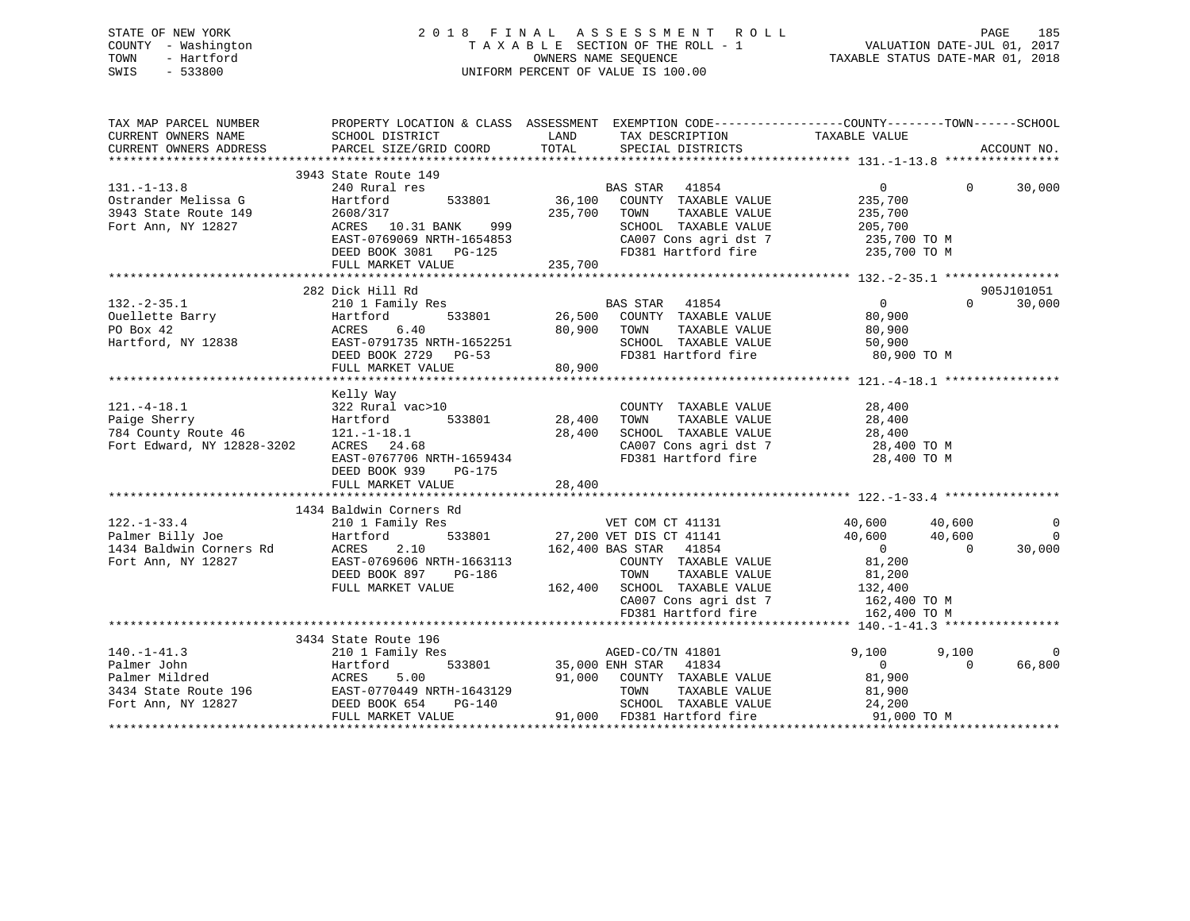## STATE OF NEW YORK 2 0 1 8 F I N A L A S S E S S M E N T R O L L PAGE 185 COUNTY - Washington T A X A B L E SECTION OF THE ROLL - 1 VALUATION DATE-JUL 01, 2017 TOWN - Hartford **TAXABLE STATUS DATE-MAR 01, 2018** OWNERS NAME SEQUENCE TAXABLE STATUS DATE-MAR 01, 2018 SWIS - 533800 UNIFORM PERCENT OF VALUE IS 100.00

| TAX MAP PARCEL NUMBER                                                                                                                                                                           | PROPERTY LOCATION & CLASS ASSESSMENT EXEMPTION CODE----------------COUNTY-------TOWN------SCHOOL                                                                                                                                                   |              |                                                                                                                                                                                                                                 |                                              |          |             |
|-------------------------------------------------------------------------------------------------------------------------------------------------------------------------------------------------|----------------------------------------------------------------------------------------------------------------------------------------------------------------------------------------------------------------------------------------------------|--------------|---------------------------------------------------------------------------------------------------------------------------------------------------------------------------------------------------------------------------------|----------------------------------------------|----------|-------------|
|                                                                                                                                                                                                 |                                                                                                                                                                                                                                                    |              |                                                                                                                                                                                                                                 |                                              |          |             |
| $131. -1 - 13.8$<br>Ostrander Melissa G                                                                                                                                                         | 3943 State Route 149<br>240 Rural res<br>Hartford                                                                                                                                                                                                  |              | BAS STAR 41854<br>533801 36,100 COUNTY TAXABLE VALUE                                                                                                                                                                            | $\overline{0}$                               | $\Omega$ | 30,000      |
| 3943 State Route 149                                                                                                                                                                            | 2608/317                                                                                                                                                                                                                                           | 235,700 TOWN | TAXABLE VALUE                                                                                                                                                                                                                   | 235,700<br>235,700                           |          |             |
| Fort Ann, NY 12827                                                                                                                                                                              | ACRES 10.31 BANK 999                                                                                                                                                                                                                               |              | SCHOOL TAXABLE VALUE                                                                                                                                                                                                            | 205,700                                      |          |             |
|                                                                                                                                                                                                 | ------- - ----- ---- ------<br>EAST-0769069 NRTH-1654853<br>DEED BOOK 3081 PG-125<br>FULL MARKET VALUE                                                                                                                                             | 235,700      | CA007 Cons agri dst 7 235,700 TO M<br>FD381 Hartford fire 235,700 TO M                                                                                                                                                          |                                              |          |             |
|                                                                                                                                                                                                 |                                                                                                                                                                                                                                                    |              |                                                                                                                                                                                                                                 |                                              |          |             |
|                                                                                                                                                                                                 | 282 Dick Hill Rd<br>AND THE SERIES SERIES CONTROLLER STATE SERIES SERIES TO PARALLEL A PARTICULAR SERIES PRIME SERIES PRIME SERIES PRIME SERIES PRIME SERIES PRIME SERIES PRIME SERIES PRIME SERIES PRIME SERIES PRIME SERIES PRIME SERIES PRIME S |              |                                                                                                                                                                                                                                 |                                              |          | 905J101051  |
|                                                                                                                                                                                                 |                                                                                                                                                                                                                                                    |              |                                                                                                                                                                                                                                 | $\overline{0}$                               | $\Omega$ | 30,000      |
| 132.-2-35.1<br>Ouellette Barry                                                                                                                                                                  |                                                                                                                                                                                                                                                    |              |                                                                                                                                                                                                                                 | 80,900                                       |          |             |
|                                                                                                                                                                                                 | 6.40                                                                                                                                                                                                                                               | 80,900 TOWN  | TAXABLE VALUE                                                                                                                                                                                                                   | 80,900                                       |          |             |
| Hartford, NY 12838                                                                                                                                                                              |                                                                                                                                                                                                                                                    |              |                                                                                                                                                                                                                                 |                                              |          |             |
|                                                                                                                                                                                                 | EAST-0791735 NRTH-1652251<br>DEED BOOK 2729 PG-53                                                                                                                                                                                                  |              | SCHOOL TAXABLE VALUE 50,900<br>FD381 Hartford fire 60,900 TO M                                                                                                                                                                  |                                              |          |             |
|                                                                                                                                                                                                 | FULL MARKET VALUE 80,900                                                                                                                                                                                                                           |              |                                                                                                                                                                                                                                 |                                              |          |             |
|                                                                                                                                                                                                 |                                                                                                                                                                                                                                                    |              |                                                                                                                                                                                                                                 |                                              |          |             |
|                                                                                                                                                                                                 | Kelly Way                                                                                                                                                                                                                                          |              |                                                                                                                                                                                                                                 |                                              |          |             |
| $121.-4-18.1$                                                                                                                                                                                   | 322 Rural vac>10                                                                                                                                                                                                                                   |              | COUNTY TAXABLE VALUE                                                                                                                                                                                                            | 28,400                                       |          |             |
| Paige Sherry<br>784 County Route 46<br>Fort Edward. NY 19888 11                                                                                                                                 | 533801 28,400<br>Hartford                                                                                                                                                                                                                          |              | TOWN                                                                                                                                                                                                                            | TAXABLE VALUE 28,400                         |          |             |
|                                                                                                                                                                                                 | $121.-1-18.1$                                                                                                                                                                                                                                      | 28,400       |                                                                                                                                                                                                                                 |                                              |          |             |
|                                                                                                                                                                                                 |                                                                                                                                                                                                                                                    |              | SCHOOL TAXABLE VALUE 28,400<br>CA007 Cons agri dst 7 28,400 TO M                                                                                                                                                                |                                              |          |             |
|                                                                                                                                                                                                 |                                                                                                                                                                                                                                                    |              |                                                                                                                                                                                                                                 |                                              |          |             |
|                                                                                                                                                                                                 | $24.08$<br>EAST-0767706 NRTH-1659434<br>DEED BOOK 939 PG-175                                                                                                                                                                                       |              | FD381 Hartford fire                                                                                                                                                                                                             | 28,400 TO M                                  |          |             |
|                                                                                                                                                                                                 |                                                                                                                                                                                                                                                    |              |                                                                                                                                                                                                                                 |                                              |          |             |
|                                                                                                                                                                                                 |                                                                                                                                                                                                                                                    |              |                                                                                                                                                                                                                                 |                                              |          |             |
|                                                                                                                                                                                                 |                                                                                                                                                                                                                                                    |              |                                                                                                                                                                                                                                 |                                              |          |             |
|                                                                                                                                                                                                 | 1434 Baldwin Corners Rd                                                                                                                                                                                                                            |              |                                                                                                                                                                                                                                 |                                              |          |             |
|                                                                                                                                                                                                 | 210 1 Family Res                                                                                                                                                                                                                                   |              |                                                                                                                                                                                                                                 | 40,600                                       | 40,600   | $\mathbf 0$ |
|                                                                                                                                                                                                 | Hartford                                                                                                                                                                                                                                           |              | VET COM CT 41131<br>533801 27,200 VET DIS CT 41141                                                                                                                                                                              | 40,600                                       | 40,600   | $\Omega$    |
|                                                                                                                                                                                                 | 2.10                                                                                                                                                                                                                                               |              | 162,400 BAS STAR 41854                                                                                                                                                                                                          | $\overline{0}$                               | $\Omega$ | 30,000      |
|                                                                                                                                                                                                 | EAST-0769606 NRTH-1663113                                                                                                                                                                                                                          |              | COUNTY TAXABLE VALUE                                                                                                                                                                                                            | 81,200                                       |          |             |
|                                                                                                                                                                                                 | DEED BOOK 897 PG-186                                                                                                                                                                                                                               |              |                                                                                                                                                                                                                                 |                                              |          |             |
|                                                                                                                                                                                                 | FULL MARKET VALUE                                                                                                                                                                                                                                  |              | $PG-186$<br>and town the conduct of the set of the set of the set of the set of the set of the set of the transmental set of the set of the set of the set of the set of the set of the set of the set of the set of the set of |                                              |          |             |
|                                                                                                                                                                                                 |                                                                                                                                                                                                                                                    |              | $\begin{array}{lll} \texttt{CA007} \texttt{ Cons} & \texttt{asgri} \texttt{dst} & 7 & \texttt{162,400 T0 M} \\ \texttt{FD381} & \texttt{Hartford fire} & \texttt{162,400 T0 M} \end{array}$                                     |                                              |          |             |
|                                                                                                                                                                                                 |                                                                                                                                                                                                                                                    |              |                                                                                                                                                                                                                                 |                                              |          |             |
|                                                                                                                                                                                                 |                                                                                                                                                                                                                                                    |              |                                                                                                                                                                                                                                 |                                              |          |             |
|                                                                                                                                                                                                 | 3434 State Route 196                                                                                                                                                                                                                               |              |                                                                                                                                                                                                                                 |                                              |          |             |
|                                                                                                                                                                                                 | 210 1 Family Res                                                                                                                                                                                                                                   |              |                                                                                                                                                                                                                                 | 9,100                                        | 9,100    | $\Omega$    |
|                                                                                                                                                                                                 |                                                                                                                                                                                                                                                    |              |                                                                                                                                                                                                                                 | $\overline{0}$                               | $\Omega$ | 66,800      |
|                                                                                                                                                                                                 |                                                                                                                                                                                                                                                    |              | AGED-CO/TN 41801<br>533801 533801 35,000 ENH STAR 41834<br>533801 35,000 ENH STAR 41834<br>91,000 COUNTY TAXABLE VALUE<br>654 PG-140 SCHOOL TAXABLE VALUE                                                                       | 81,900                                       |          |             |
|                                                                                                                                                                                                 |                                                                                                                                                                                                                                                    |              |                                                                                                                                                                                                                                 |                                              |          |             |
|                                                                                                                                                                                                 |                                                                                                                                                                                                                                                    |              |                                                                                                                                                                                                                                 | TAXABLE VALUE 81,900<br>TAXABLE VALUE 24,200 |          |             |
| 140.-1-41.3<br>Palmer John Martford 533801<br>Palmer Mildred ACRES 5.00<br>3434 State Route 196 EAST-0770449 NRTH-1643129<br>Fort Ann, NY 12827 DEED BOOK 654 PG-140<br>MENT MARKET MARK PG-140 |                                                                                                                                                                                                                                                    |              |                                                                                                                                                                                                                                 |                                              |          |             |
|                                                                                                                                                                                                 | FULL MARKET VALUE                                                                                                                                                                                                                                  |              | 91,000 FD381 Hartford fire                                                                                                                                                                                                      | 91,000 TO M                                  |          |             |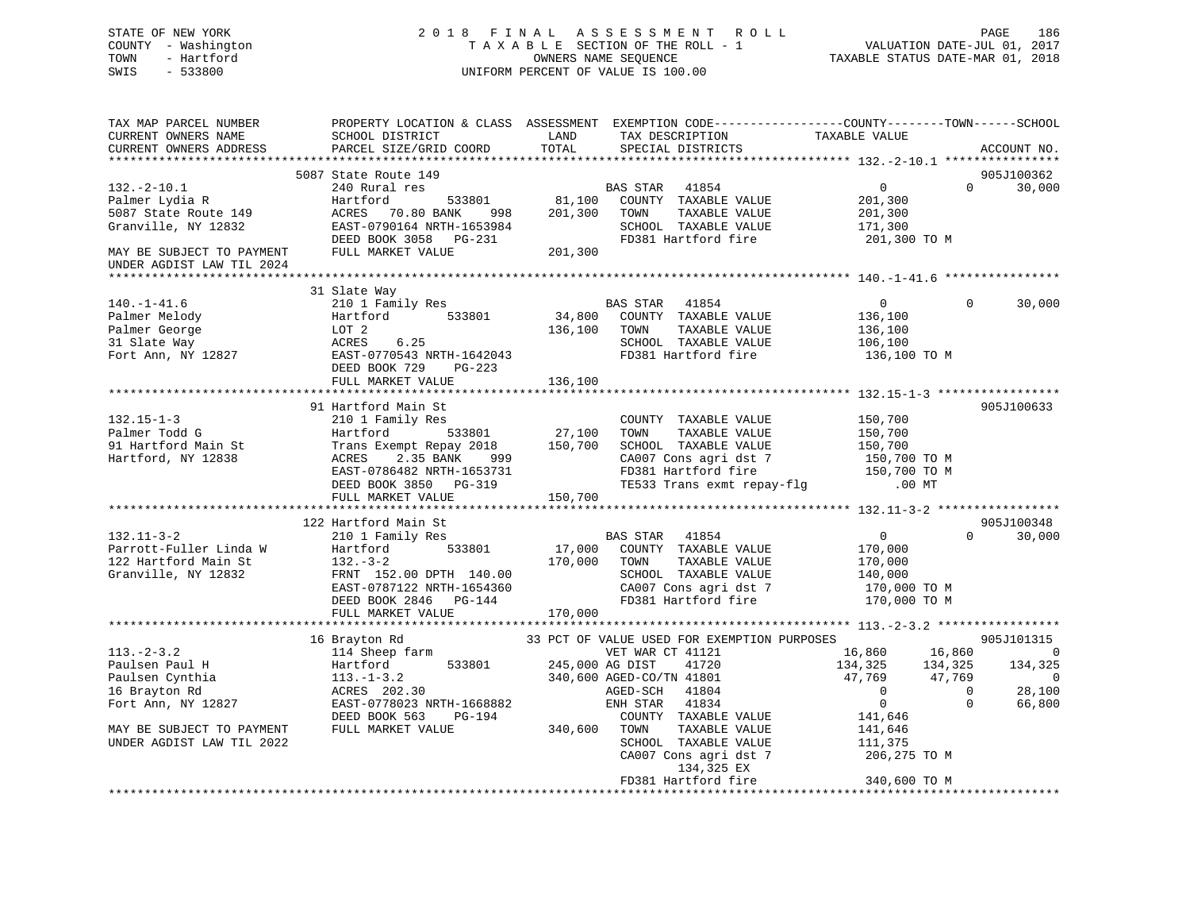## STATE OF NEW YORK 2 0 1 8 F I N A L A S S E S S M E N T R O L L PAGE 186 COUNTY - Washington T A X A B L E SECTION OF THE ROLL - 1 VALUATION DATE-JUL 01, 2017 TOWN - Hartford **TAXABLE STATUS DATE-MAR 01, 2018** OWNERS NAME SEQUENCE TAXABLE STATUS DATE-MAR 01, 2018 SWIS - 533800 UNIFORM PERCENT OF VALUE IS 100.00

| TAX MAP PARCEL NUMBER<br>CURRENT OWNERS NAME<br>CURRENT OWNERS ADDRESS                                                                             | PROPERTY LOCATION & CLASS ASSESSMENT EXEMPTION CODE----------------COUNTY-------TOWN------SCHOOL<br>SCHOOL DISTRICT<br>PARCEL SIZE/GRID COORD                                                            | LAND<br>TOTAL                | TAX DESCRIPTION<br>SPECIAL DISTRICTS                                                                                                                                                                                                                           | TAXABLE VALUE                                                                                              |                                                     | ACCOUNT NO.                                                                   |
|----------------------------------------------------------------------------------------------------------------------------------------------------|----------------------------------------------------------------------------------------------------------------------------------------------------------------------------------------------------------|------------------------------|----------------------------------------------------------------------------------------------------------------------------------------------------------------------------------------------------------------------------------------------------------------|------------------------------------------------------------------------------------------------------------|-----------------------------------------------------|-------------------------------------------------------------------------------|
|                                                                                                                                                    |                                                                                                                                                                                                          |                              |                                                                                                                                                                                                                                                                |                                                                                                            |                                                     |                                                                               |
| $132 - 2 - 10.1$<br>Palmer Lydia R<br>5087 State Route 149<br>Granville, NY 12832<br>MAY BE SUBJECT TO PAYMENT                                     | 5087 State Route 149<br>240 Rural res<br>533801<br>Hartford<br>ACRES 70.80 BANK 998<br>EAST-0790164 NRTH-1653984<br>DEED BOOK 3058 PG-231<br>FULL MARKET VALUE                                           | 81,100<br>201,300<br>201,300 | BAS STAR 41854<br>COUNTY TAXABLE VALUE<br>TOWN<br>TAXABLE VALUE<br>SCHOOL TAXABLE VALUE<br>FD381 Hartford fire                                                                                                                                                 | 0<br>201,300<br>201,300<br>171,300<br>201,300 TO M                                                         | $\Omega$                                            | 905J100362<br>30,000                                                          |
| UNDER AGDIST LAW TIL 2024                                                                                                                          |                                                                                                                                                                                                          |                              |                                                                                                                                                                                                                                                                |                                                                                                            |                                                     |                                                                               |
|                                                                                                                                                    |                                                                                                                                                                                                          |                              |                                                                                                                                                                                                                                                                |                                                                                                            |                                                     |                                                                               |
| $140.-1-41.6$<br>Palmer Melody<br>Palmer George<br>31 Slate Way<br>Fort Ann, NY 12827                                                              | 31 Slate Way<br>210 1 Family Res<br>533801<br>Hartford<br>LOT 2<br>6.25<br>ACRES<br>EAST-0770543 NRTH-1642043<br>DEED BOOK 729 PG-223<br>FULL MARKET VALUE                                               | 136,100 TOWN<br>136,100      | BAS STAR 41854<br>34,800 COUNTY TAXABLE VALUE<br>TAXABLE VALUE<br>SCHOOL TAXABLE VALUE<br>FD381 Hartford fire                                                                                                                                                  | $\overline{0}$<br>136,100<br>136,100<br>106,100<br>136,100 TO M                                            | $\Omega$                                            | 30,000                                                                        |
|                                                                                                                                                    |                                                                                                                                                                                                          |                              |                                                                                                                                                                                                                                                                |                                                                                                            |                                                     |                                                                               |
| $132.15 - 1 - 3$<br>Palmer Todd G<br>91 Hartford Main St<br>Hartford, NY 12838                                                                     | 91 Hartford Main St<br>210 1 Family Res<br>533801<br>Hartford<br>Trans Exempt Repay 2018 150,700<br>2.35 BANK<br>ACRES<br>999<br>EAST-0786482 NRTH-1653731<br>DEED BOOK 3850 PG-319<br>FULL MARKET VALUE | 27,100<br>150,700            | COUNTY TAXABLE VALUE<br>TAXABLE VALUE<br>TOWN<br>SCHOOL TAXABLE VALUE<br>CA007 Cons agri dst 7<br>FD381 Hartford fire 150,700 TO<br>TE533 Trans exmt repay-flg 0.00 MT                                                                                         | 150,700<br>150,700<br>150,700<br>150,700 TO M<br>150,700 TO M                                              |                                                     | 905J100633                                                                    |
|                                                                                                                                                    |                                                                                                                                                                                                          |                              |                                                                                                                                                                                                                                                                |                                                                                                            |                                                     |                                                                               |
| $132.11 - 3 - 2$<br>Parrott-Fuller Linda W<br>122 Hartford Main St<br>Granville, NY 12832                                                          | 122 Hartford Main St<br>210 1 Family Res<br>533801<br>Hartford<br>$132 - 3 - 2$<br>FRNT 152.00 DPTH 140.00<br>EAST-0787122 NRTH-1654360<br>DEED BOOK 2846 PG-144<br>FULL MARKET VALUE                    | 170,000<br>170,000           | BAS STAR 41854<br>17,000 COUNTY TAXABLE VALUE<br>TOWN<br>TAXABLE VALUE<br>SCHOOL TAXABLE VALUE<br>CA007 Cons agri dst 7<br>FD381 Hartford fire                                                                                                                 | $\overline{0}$<br>170,000<br>170,000<br>140,000<br>170,000 TO M<br>170,000 TO M                            | $\Omega$                                            | 905J100348<br>30,000                                                          |
|                                                                                                                                                    |                                                                                                                                                                                                          |                              |                                                                                                                                                                                                                                                                |                                                                                                            |                                                     |                                                                               |
| $113.-2-3.2$<br>Paulsen Paul H<br>Paulsen Cynthia<br>16 Brayton Rd<br>Fort Ann, NY 12827<br>MAY BE SUBJECT TO PAYMENT<br>UNDER AGDIST LAW TIL 2022 | 16 Brayton Rd<br>114 Sheep farm<br>533801<br>Hartford<br>$113.-1-3.2$<br>ACRES 202.30<br>EAST-0778023 NRTH-1668882<br>DEED BOOK 563<br>PG-194<br>FULL MARKET VALUE                                       | 245,000 AG DIST<br>340,600   | 33 PCT OF VALUE USED FOR EXEMPTION PURPOSES<br>VET WAR CT 41121<br>41720<br>340,600 AGED-CO/TN 41801<br>AGED-SCH<br>41804<br>41834<br>ENH STAR<br>COUNTY TAXABLE VALUE<br>TOWN<br>TAXABLE VALUE<br>SCHOOL TAXABLE VALUE<br>CA007 Cons agri dst 7<br>134,325 EX | 16,860<br>134,325<br>47,769<br>$\overline{0}$<br>$\Omega$<br>141,646<br>141,646<br>111,375<br>206,275 TO M | 16,860<br>134,325<br>47,769<br>$\Omega$<br>$\Omega$ | 905J101315<br>$\overline{0}$<br>134,325<br>$\overline{0}$<br>28,100<br>66,800 |
|                                                                                                                                                    |                                                                                                                                                                                                          |                              |                                                                                                                                                                                                                                                                |                                                                                                            |                                                     |                                                                               |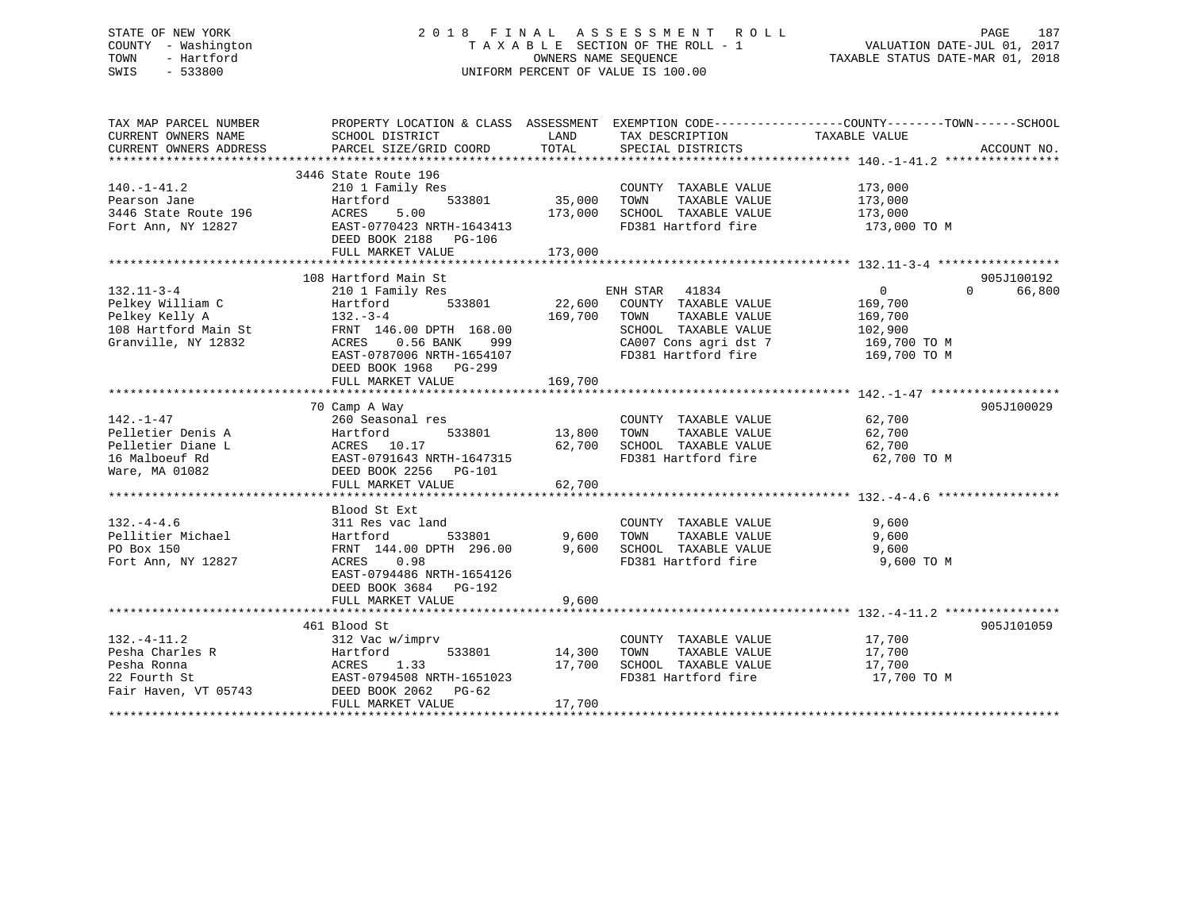## STATE OF NEW YORK 2 0 1 8 F I N A L A S S E S S M E N T R O L L PAGE 187 COUNTY - Washington T A X A B L E SECTION OF THE ROLL - 1 VALUATION DATE-JUL 01, 2017 TOWN - Hartford **TAXABLE STATUS DATE-MAR 01, 2018** OWNERS NAME SEQUENCE TAXABLE STATUS DATE-MAR 01, 2018 SWIS - 533800 UNIFORM PERCENT OF VALUE IS 100.00

| TAX MAP PARCEL NUMBER<br>CURRENT OWNERS NAME<br>CURRENT OWNERS ADDRESS                                                                                                  | PROPERTY LOCATION & CLASS ASSESSMENT EXEMPTION CODE----------------COUNTY-------TOWN------SCHOOL<br>SCHOOL DISTRICT<br>PARCEL SIZE/GRID COORD              | LAND<br>TOTAL                           | TAX DESCRIPTION TAXABLE VALUE SPECIAL DISTRICTS                                                                                                             |                                                                    | ACCOUNT NO.                      |
|-------------------------------------------------------------------------------------------------------------------------------------------------------------------------|------------------------------------------------------------------------------------------------------------------------------------------------------------|-----------------------------------------|-------------------------------------------------------------------------------------------------------------------------------------------------------------|--------------------------------------------------------------------|----------------------------------|
| $140. - 1 - 41.2$<br>Pearson Jane<br>3446 State Route 196<br>Fort Ann, NY 12827                                                                                         | 3446 State Route 196<br>210 1 Family Res<br>533801<br>Hartford<br>5.00<br>ACRES<br>EAST-0770423 NRTH-1643413<br>DEED BOOK 2188 PG-106<br>FULL MARKET VALUE | 35,000 TOWN<br>173,000 SCHOO<br>173,000 | COUNTY TAXABLE VALUE<br>FD381 Hartford fire 173,000 TO M                                                                                                    | 173,000                                                            |                                  |
|                                                                                                                                                                         |                                                                                                                                                            |                                         |                                                                                                                                                             |                                                                    |                                  |
| $132.11 - 3 - 4$<br>210 1 Fan<br>Hartford<br>132.-3-4<br>232 FRNT 146<br>832 ACRES<br>Pelkey William C<br>Pelkey Kelly A<br>108 Hartford Main St<br>Granville, NY 12832 | 108 Hartford Main St<br>210 1 Family Res<br>533801<br>FRNT 146.00 DPTH 168.00<br>0.56 BANK 999<br>EAST-0787006 NRTH-1654107<br>DEED BOOK 1968 PG-299       | 169,700                                 | ENH STAR 41834<br>22,600 COUNTY TAXABLE VALUE<br>TOWN<br>TAXABLE VALUE<br>SCHOOL TAXABLE VALUE<br>CA007 Cons agri dst 7 169,700 TO M<br>FD381 Hartford fire | $0 \qquad \qquad$<br>169,700<br>169,700<br>102,900<br>169,700 TO M | 905J100192<br>$\Omega$<br>66,800 |
|                                                                                                                                                                         | FULL MARKET VALUE                                                                                                                                          | 169,700                                 |                                                                                                                                                             |                                                                    |                                  |
|                                                                                                                                                                         | 70 Camp A Way                                                                                                                                              |                                         |                                                                                                                                                             |                                                                    | 905J100029                       |
| $142. - 1 - 47$<br>Pelletier Denis A<br>Pelletier Diane L<br>16 Malboeuf Rd<br>Ware, MA 01082                                                                           | 260 Seasonal res<br>Hartford<br>ACRES 10.17<br>EAST-0791643 NRTH-1647315<br>DEED BOOK 2256 PG-101<br>FULL MARKET VALUE                                     | 3<br>533801 13,800 TOWN<br>62,700       | COUNTY TAXABLE VALUE<br>TAXABLE VALUE<br>62,700 SCHOOL TAXABLE VALUE<br>FD381 Hartford fire                                                                 | 62,700<br>62,700<br>62,700<br>62,700 TO M                          |                                  |
|                                                                                                                                                                         |                                                                                                                                                            |                                         |                                                                                                                                                             |                                                                    |                                  |
| $132. - 4 - 4.6$<br>Pellitier Michael<br>PO Box 150<br>Fort Ann, NY 12827                                                                                               | Blood St Ext<br>DEED BOOK 3684 PG-192                                                                                                                      |                                         |                                                                                                                                                             |                                                                    |                                  |
|                                                                                                                                                                         | FULL MARKET VALUE                                                                                                                                          | 9,600                                   |                                                                                                                                                             |                                                                    |                                  |
| $132. - 4 - 11.2$<br>Pesha Charles R                                                                                                                                    | 461 Blood St<br>312 Vac w/imprv                                                                                                                            |                                         | COUNTY TAXABLE VALUE<br>TAXABLE VALUE<br>TOWN                                                                                                               | 17,700<br>17,700                                                   | 905J101059                       |
| Pesha Ronna<br>22 Fourth St<br>Fair Haven, VT 05743 DEED BOOK 2062 PG-62                                                                                                | Hartford 533801 1.7,700<br>ACRES 1.33 17,700<br>EAST-0794508 NRTH-1651023<br>FULL MARKET VALUE                                                             | 17,700                                  | SCHOOL TAXABLE VALUE 17,700<br>FD381 Hartford fire                                                                                                          | 17,700 TO M                                                        |                                  |
|                                                                                                                                                                         |                                                                                                                                                            |                                         |                                                                                                                                                             |                                                                    |                                  |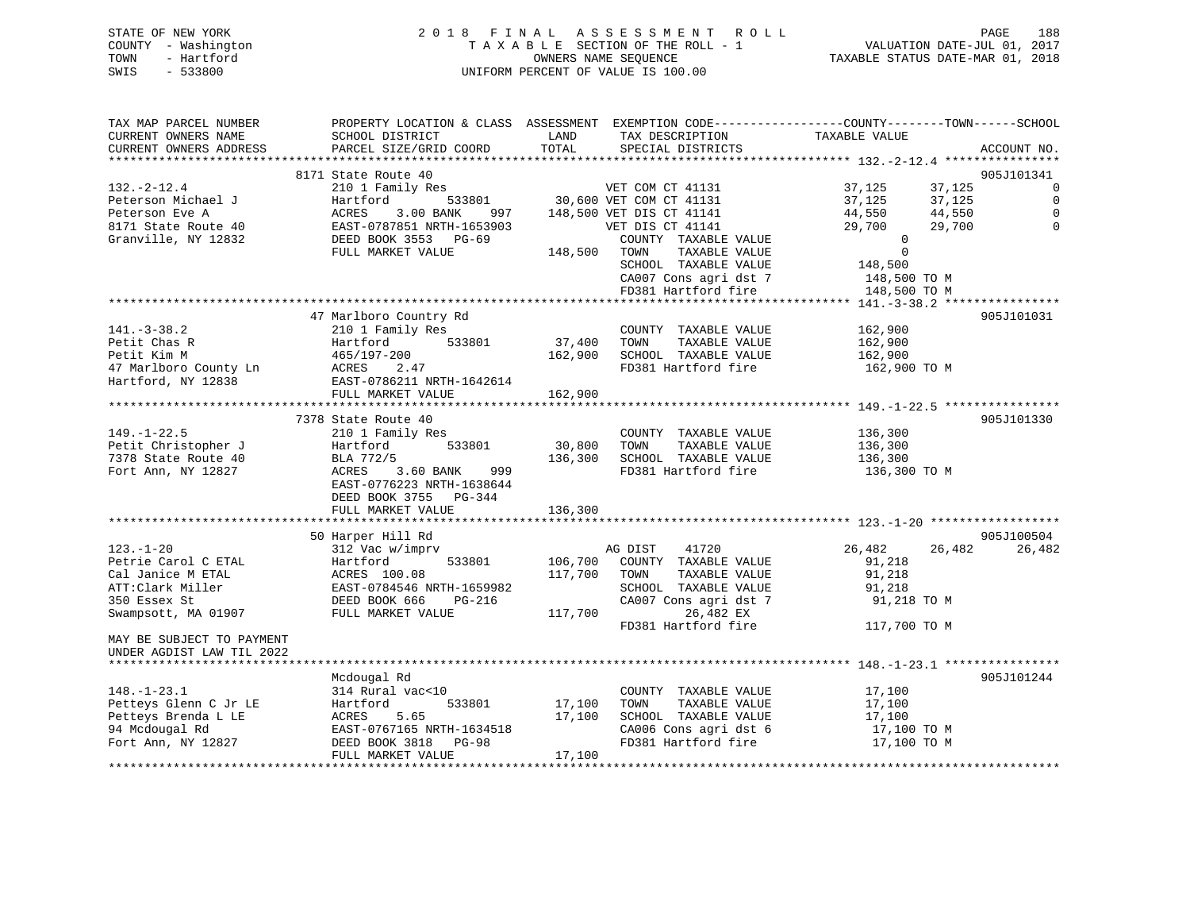| STATE OF NEW YORK   |            | 2018 FINAL ASSESSMENT ROLL         |                                  | PAGE | 188 |
|---------------------|------------|------------------------------------|----------------------------------|------|-----|
| COUNTY - Washington |            | TAXABLE SECTION OF THE ROLL - 1    | VALUATION DATE-JUL 01, 2017      |      |     |
| TOWN                | - Hartford | OWNERS NAME SEOUENCE               | TAXABLE STATUS DATE-MAR 01, 2018 |      |     |
| SWIS - 533800       |            | UNIFORM PERCENT OF VALUE IS 100.00 |                                  |      |     |

| TAX MAP PARCEL NUMBER     | PROPERTY LOCATION & CLASS ASSESSMENT EXEMPTION CODE---------------COUNTY-------TOWN------SCHOOL |               |                                |                  |             |
|---------------------------|-------------------------------------------------------------------------------------------------|---------------|--------------------------------|------------------|-------------|
| CURRENT OWNERS NAME       | SCHOOL DISTRICT                                                                                 | LAND          | TAX DESCRIPTION                | TAXABLE VALUE    |             |
| CURRENT OWNERS ADDRESS    | PARCEL SIZE/GRID COORD                                                                          | TOTAL         | SPECIAL DISTRICTS              |                  | ACCOUNT NO. |
|                           |                                                                                                 |               |                                |                  |             |
|                           | 8171 State Route 40                                                                             |               |                                |                  | 905J101341  |
| $132. - 2 - 12.4$         | 210 1 Family Res                                                                                |               | VET COM CT 41131               | 37,125<br>37,125 | $\Omega$    |
| Peterson Michael J        | Hartford                                                                                        |               | 533801 30,600 VET COM CT 41131 | 37,125<br>37,125 | $\Omega$    |
| Peterson Eve A            | 997<br>ACRES<br>3.00 BANK                                                                       |               | 148,500 VET DIS CT 41141       | 44,550<br>44,550 | $\Omega$    |
| 8171 State Route 40       | EAST-0787851 NRTH-1653903                                                                       |               | VET DIS CT 41141               | 29,700<br>29,700 | $\Omega$    |
| Granville, NY 12832       | DEED BOOK 3553 PG-69                                                                            |               | COUNTY TAXABLE VALUE           | $\Omega$         |             |
|                           | FULL MARKET VALUE                                                                               | 148,500       | TOWN<br>TAXABLE VALUE          | $\Omega$         |             |
|                           |                                                                                                 |               | SCHOOL TAXABLE VALUE           | 148,500          |             |
|                           |                                                                                                 |               | CA007 Cons agri dst 7          | 148,500 TO M     |             |
|                           |                                                                                                 |               | FD381 Hartford fire            | 148,500 TO M     |             |
|                           |                                                                                                 |               |                                |                  |             |
|                           | 47 Marlboro Country Rd                                                                          |               |                                |                  | 905J101031  |
| $141. - 3 - 38.2$         | 210 1 Family Res                                                                                |               | COUNTY TAXABLE VALUE           | 162,900          |             |
| Petit Chas R              | Hartford<br>533801                                                                              | 37,400        | TOWN<br>TAXABLE VALUE          | 162,900          |             |
| Petit Kim M               | 465/197-200                                                                                     | 162,900       | SCHOOL TAXABLE VALUE           | 162,900          |             |
| 47 Marlboro County Ln     | ACRES 2.47                                                                                      |               | FD381 Hartford fire            | 162,900 TO M     |             |
| Hartford, NY 12838        | EAST-0786211 NRTH-1642614                                                                       |               |                                |                  |             |
|                           | FULL MARKET VALUE                                                                               | 162,900       |                                |                  |             |
|                           |                                                                                                 |               |                                |                  |             |
|                           | 7378 State Route 40                                                                             |               |                                |                  | 905J101330  |
| $149. - 1 - 22.5$         | 210 1 Family Res                                                                                |               | COUNTY TAXABLE VALUE           | 136,300          |             |
| Petit Christopher J       | 533801<br>Hartford                                                                              | 30,800        | TOWN<br>TAXABLE VALUE          | 136,300          |             |
| 7378 State Route 40       | BLA 772/5                                                                                       | 136,300       | SCHOOL TAXABLE VALUE           | 136,300          |             |
| Fort Ann, NY 12827        | 3.60 BANK<br>999<br>ACRES                                                                       |               | FD381 Hartford fire            | 136,300 TO M     |             |
|                           | EAST-0776223 NRTH-1638644                                                                       |               |                                |                  |             |
|                           | DEED BOOK 3755 PG-344                                                                           |               |                                |                  |             |
|                           | FULL MARKET VALUE                                                                               | 136,300       |                                |                  |             |
|                           |                                                                                                 |               |                                |                  |             |
|                           | 50 Harper Hill Rd                                                                               |               |                                |                  | 905J100504  |
| $123. - 1 - 20$           | 312 Vac w/imprv                                                                                 |               | AG DIST<br>41720               | 26,482<br>26,482 | 26,482      |
| Petrie Carol C ETAL       | 533801<br>Hartford                                                                              | 106,700       | COUNTY TAXABLE VALUE           | 91,218           |             |
| Cal Janice M ETAL         | ACRES 100.08                                                                                    | 117,700       | TOWN<br>TAXABLE VALUE          | 91,218           |             |
| ATT:Clark Miller          | EAST-0784546 NRTH-1659982                                                                       |               | SCHOOL TAXABLE VALUE           | 91,218           |             |
| 350 Essex St              | DEED BOOK 666<br>PG-216                                                                         |               | CA007 Cons agri dst 7          | 91,218 TO M      |             |
| Swampsott, MA 01907       | FULL MARKET VALUE                                                                               | 117,700       | 26,482 EX                      |                  |             |
|                           |                                                                                                 |               | FD381 Hartford fire            | 117,700 TO M     |             |
| MAY BE SUBJECT TO PAYMENT |                                                                                                 |               |                                |                  |             |
| UNDER AGDIST LAW TIL 2022 |                                                                                                 |               |                                |                  |             |
|                           |                                                                                                 |               |                                |                  |             |
|                           | Mcdougal Rd                                                                                     |               |                                |                  | 905J101244  |
| $148. - 1 - 23.1$         | 314 Rural vac<10                                                                                |               | COUNTY TAXABLE VALUE           | 17,100           |             |
| Petteys Glenn C Jr LE     | Hartford                                                                                        | 533801 17,100 | TOWN<br>TAXABLE VALUE          | 17,100           |             |
| Petteys Brenda L LE       | ACRES<br>5.65                                                                                   | 17,100        | SCHOOL TAXABLE VALUE           | 17,100           |             |
| 94 Mcdougal Rd            | EAST-0767165 NRTH-1634518                                                                       |               | CA006 Cons agri dst 6          | 17,100 TO M      |             |
| Fort Ann, NY 12827        | DEED BOOK 3818 PG-98                                                                            |               | FD381 Hartford fire            | 17,100 TO M      |             |
|                           | FULL MARKET VALUE                                                                               | 17,100        |                                |                  |             |
|                           |                                                                                                 |               |                                |                  |             |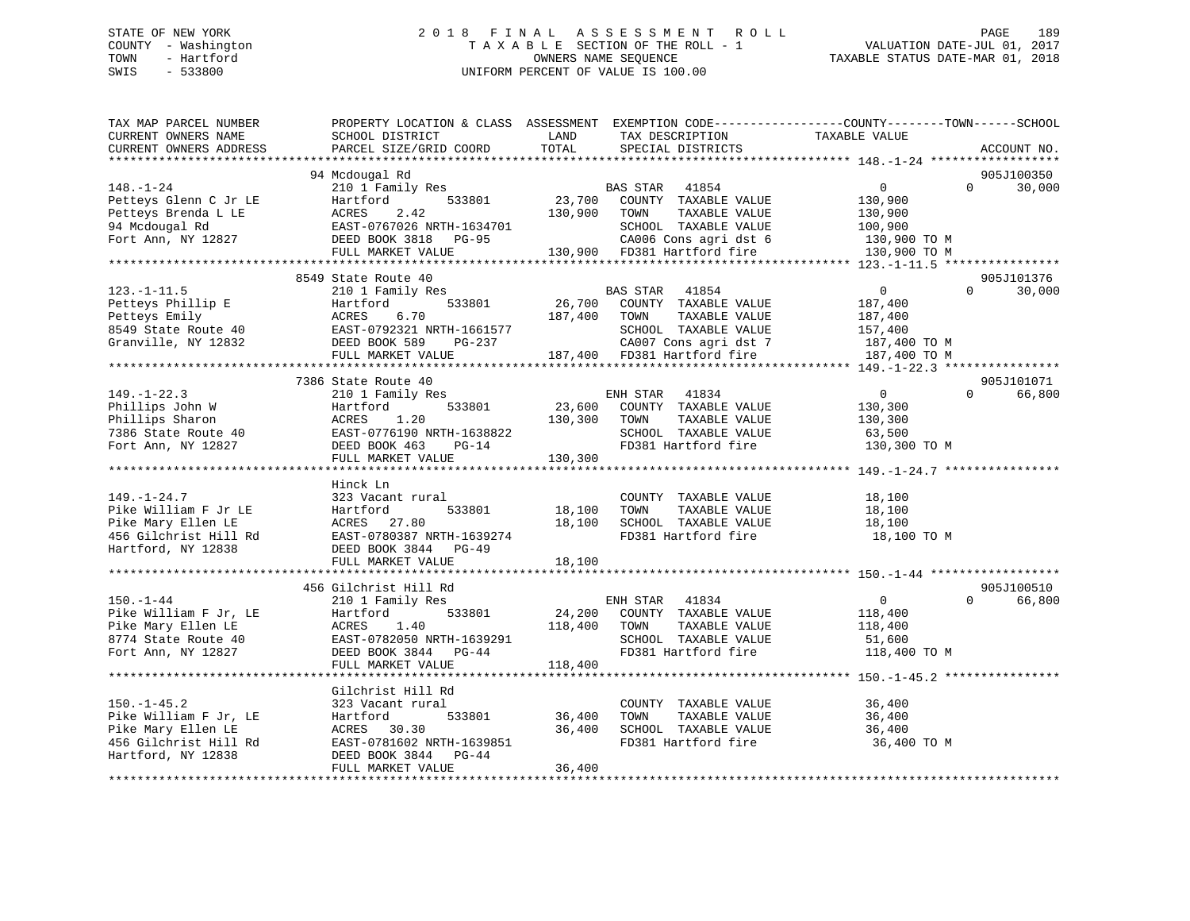## STATE OF NEW YORK 2 0 1 8 F I N A L A S S E S S M E N T R O L L PAGE 189 COUNTY - Washington T A X A B L E SECTION OF THE ROLL - 1 VALUATION DATE-JUL 01, 2017 TOWN - Hartford **TAXABLE STATUS DATE-MAR 01, 2018** OWNERS NAME SEQUENCE TAXABLE STATUS DATE-MAR 01, 2018 SWIS - 533800 UNIFORM PERCENT OF VALUE IS 100.00

| TAX MAP PARCEL NUMBER<br>CURRENT OWNERS NAME<br>CURRENT OWNERS ADDRESS                                          | PROPERTY LOCATION & CLASS ASSESSMENT<br>SCHOOL DISTRICT<br>PARCEL SIZE/GRID COORD                                                                           | LAND<br>TOTAL                | TAX DESCRIPTION<br>SPECIAL DISTRICTS                                                                                                               | EXEMPTION CODE-----------------COUNTY-------TOWN------SCHOOL<br>TAXABLE VALUE               | ACCOUNT NO.          |
|-----------------------------------------------------------------------------------------------------------------|-------------------------------------------------------------------------------------------------------------------------------------------------------------|------------------------------|----------------------------------------------------------------------------------------------------------------------------------------------------|---------------------------------------------------------------------------------------------|----------------------|
|                                                                                                                 |                                                                                                                                                             |                              |                                                                                                                                                    |                                                                                             |                      |
| $148. - 1 - 24$<br>Petteys Glenn C Jr LE<br>Petteys Brenda L LE<br>94 Mcdougal Rd<br>Fort Ann, NY 12827         | 94 Mcdougal Rd<br>210 1 Family Res<br>533801<br>Hartford<br>ACRES<br>2.42<br>EAST-0767026 NRTH-1634701<br>DEED BOOK 3818 PG-95<br>FULL MARKET VALUE         | 23,700<br>130,900            | BAS STAR<br>41854<br>COUNTY TAXABLE VALUE<br>TOWN<br>TAXABLE VALUE<br>SCHOOL TAXABLE VALUE<br>CA006 Cons agri dst 6<br>130,900 FD381 Hartford fire | $\overline{0}$<br>$\Omega$<br>130,900<br>130,900<br>100,900<br>130,900 TO M<br>130,900 TO M | 905J100350<br>30,000 |
|                                                                                                                 |                                                                                                                                                             |                              |                                                                                                                                                    |                                                                                             |                      |
| $123. - 1 - 11.5$<br>Petteys Phillip E<br>Petteys Emily<br>8549 State Route 40<br>Granville, NY 12832           | 8549 State Route 40<br>210 1 Family Res<br>533801<br>Hartford<br>6.70<br>ACRES<br>EAST-0792321 NRTH-1661577<br>DEED BOOK 589<br>PG-237<br>FULL MARKET VALUE | 26,700<br>187,400            | BAS STAR<br>41854<br>COUNTY TAXABLE VALUE<br>TOWN<br>TAXABLE VALUE<br>SCHOOL TAXABLE VALUE<br>CA007 Cons agri dst 7<br>187,400 FD381 Hartford fire | $\Omega$<br>$\mathbf{0}$<br>187,400<br>187,400<br>157,400<br>187,400 TO M<br>187,400 TO M   | 905J101376<br>30,000 |
|                                                                                                                 | 7386 State Route 40                                                                                                                                         |                              |                                                                                                                                                    |                                                                                             |                      |
| $149. - 1 - 22.3$<br>Phillips John W<br>Phillips Sharon<br>7386 State Route 40<br>Fort Ann, NY 12827            | 210 1 Family Res<br>533801<br>Hartford<br>1.20<br>ACRES<br>EAST-0776190 NRTH-1638822<br>DEED BOOK 463<br>$PG-14$<br>FULL MARKET VALUE                       | 23,600<br>130,300<br>130,300 | 41834<br>ENH STAR<br>COUNTY TAXABLE VALUE<br>TAXABLE VALUE<br>TOWN<br>SCHOOL TAXABLE VALUE<br>FD381 Hartford fire                                  | $\overline{0}$<br>$\Omega$<br>130,300<br>130,300<br>63,500<br>130,300 TO M                  | 905J101071<br>66,800 |
|                                                                                                                 | Hinck Ln                                                                                                                                                    |                              |                                                                                                                                                    |                                                                                             |                      |
| $149. - 1 - 24.7$<br>Pike William F Jr LE<br>Pike Mary Ellen LE<br>456 Gilchrist Hill Rd<br>Hartford, NY 12838  | 323 Vacant rural<br>Hartford<br>533801<br>ACRES 27.80<br>EAST-0780387 NRTH-1639274<br>DEED BOOK 3844 PG-49<br>FULL MARKET VALUE                             | 18,100<br>18,100<br>18,100   | COUNTY TAXABLE VALUE<br>TOWN<br>TAXABLE VALUE<br>SCHOOL TAXABLE VALUE<br>FD381 Hartford fire                                                       | 18,100<br>18,100<br>18,100<br>18,100 TO M                                                   |                      |
|                                                                                                                 |                                                                                                                                                             |                              |                                                                                                                                                    |                                                                                             |                      |
| $150. - 1 - 44$<br>Pike William F Jr, LE<br>Pike Mary Ellen LE<br>8774 State Route 40<br>Fort Ann, NY 12827     | 456 Gilchrist Hill Rd<br>210 1 Family Res<br>533801<br>Hartford<br>1.40<br>ACRES<br>EAST-0782050 NRTH-1639291<br>DEED BOOK 3844 PG-44                       | 24,200<br>118,400            | ENH STAR 41834<br>COUNTY TAXABLE VALUE<br>TOWN<br>TAXABLE VALUE<br>SCHOOL TAXABLE VALUE<br>FD381 Hartford fire                                     | $\overline{0}$<br>$\Omega$<br>118,400<br>118,400<br>51,600<br>118,400 TO M                  | 905J100510<br>66,800 |
|                                                                                                                 | FULL MARKET VALUE                                                                                                                                           | 118,400                      |                                                                                                                                                    |                                                                                             |                      |
| $150. - 1 - 45.2$<br>Pike William F Jr, LE<br>Pike Mary Ellen LE<br>456 Gilchrist Hill Rd<br>Hartford, NY 12838 | Gilchrist Hill Rd<br>323 Vacant rural<br>533801<br>Hartford<br>ACRES 30.30<br>EAST-0781602 NRTH-1639851<br>DEED BOOK 3844 PG-44<br>FULL MARKET VALUE        | 36,400<br>36,400<br>36,400   | COUNTY TAXABLE VALUE<br>TOWN<br>TAXABLE VALUE<br>SCHOOL TAXABLE VALUE<br>FD381 Hartford fire                                                       | 36,400<br>36,400<br>36,400<br>36,400 TO M                                                   |                      |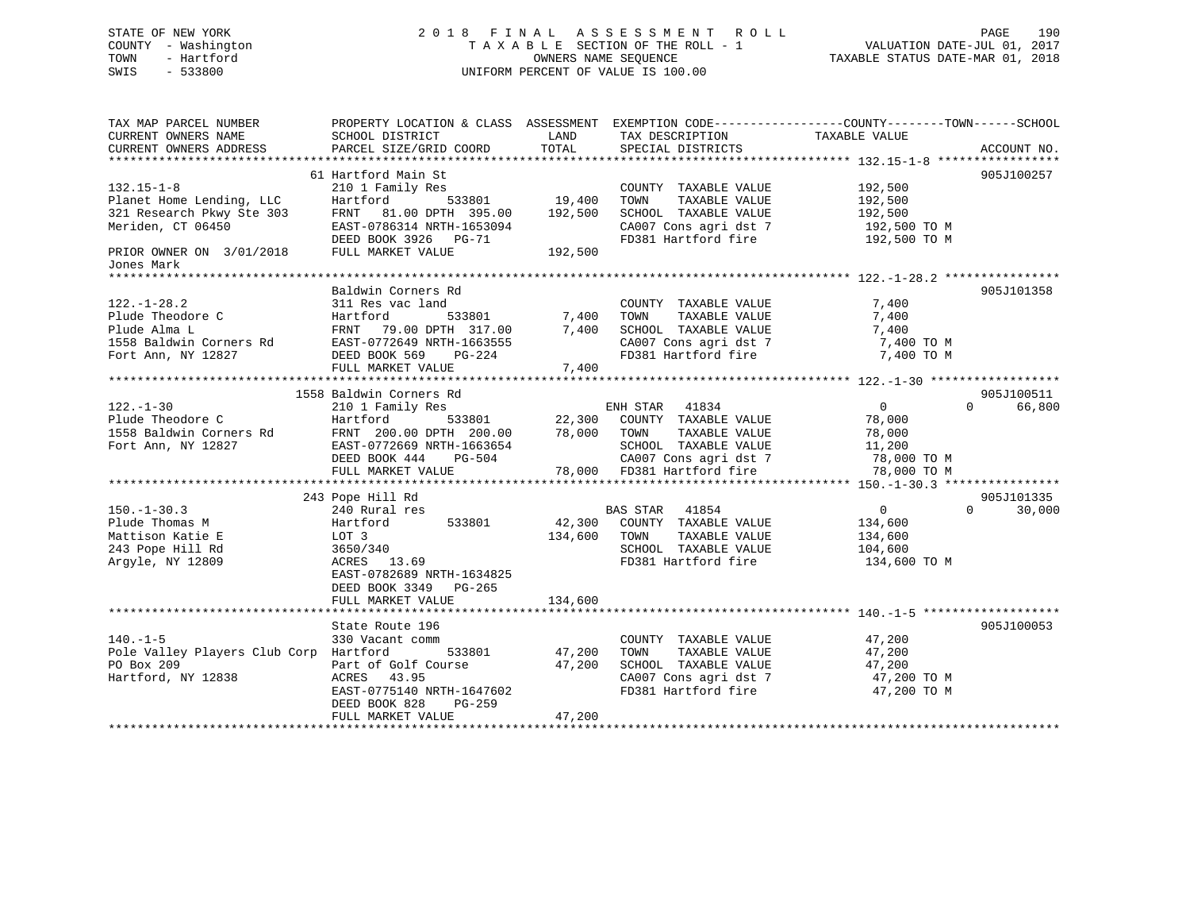## STATE OF NEW YORK 2 0 1 8 F I N A L A S S E S S M E N T R O L L PAGE 190 COUNTY - Washington T A X A B L E SECTION OF THE ROLL - 1 VALUATION DATE-JUL 01, 2017 TOWN - Hartford **TAXABLE STATUS DATE-MAR 01, 2018** OWNERS NAME SEQUENCE TAXABLE STATUS DATE-MAR 01, 2018 SWIS - 533800 UNIFORM PERCENT OF VALUE IS 100.00

| TAX MAP PARCEL NUMBER<br>CURRENT OWNERS NAME<br>CURRENT OWNERS ADDRESS                                                                                        | PROPERTY LOCATION & CLASS ASSESSMENT EXEMPTION CODE----------------COUNTY-------TOWN------SCHOOL<br>SCHOOL DISTRICT<br>PARCEL SIZE/GRID COORD                                  | LAND<br>TOTAL              | TAX DESCRIPTION<br>SPECIAL DISTRICTS                                                                                               | TAXABLE VALUE                                                    | ACCOUNT NO.                      |
|---------------------------------------------------------------------------------------------------------------------------------------------------------------|--------------------------------------------------------------------------------------------------------------------------------------------------------------------------------|----------------------------|------------------------------------------------------------------------------------------------------------------------------------|------------------------------------------------------------------|----------------------------------|
| $132.15 - 1 - 8$<br>Planet Home Lending, LLC<br>321 Research Pkwy Ste 303<br>Meriden, CT 06450<br>Meriden, CT 06450<br>PRIOR OWNER ON 3/01/2018<br>Jones Mark | 61 Hartford Main St<br>210 1 Family Res<br>Hartford<br>FRNT 81.00 DPTH 395.00 192,500<br>EAST-0786314 NRTH-1653094<br>DEED BOOK 3926 PG-71<br>FULL MARKET VALUE                | 533801 19,400<br>192,500   | COUNTY TAXABLE VALUE<br>TOWN<br>TAXABLE VALUE<br>CA007 Cons agri dst 7<br>FD381 Hartford of<br>FD381 Hartford fire 192,500 TO M    | 192,500<br>192,500<br>192,500<br>192,500 TO M                    | 905J100257                       |
| $122. - 1 - 28.2$                                                                                                                                             | Baldwin Corners Rd                                                                                                                                                             |                            |                                                                                                                                    |                                                                  | 905J101358                       |
| $122. - 1 - 30$<br>Plude Theodore C<br>1558 Baldwin Corners Rd<br>Fort Ann, NY 12827                                                                          | 1558 Baldwin Corners Rd<br>210 1 Family Res<br>EAST-0772669 NRTH-1663654<br>DEED BOOK 444 PG-504<br>FULL MARKET VALUE                                                          |                            | ENH STAR 41834<br>SCHOOL TAXABLE VALUE 11,200<br>CA007 Cons agri dst 7<br>78,000 FD381 Hartford fire                               | $\overline{0}$<br>78,000<br>78,000<br>78,000 TO M<br>78,000 TO M | 905J100511<br>66,800<br>$\Omega$ |
| $150. - 1 - 30.3$<br>Plude Thomas M<br>Mattison Katie E<br>243 Pope Hill Rd<br>Argyle, NY 12809                                                               | 243 Pope Hill Rd<br>240 Rural res<br>533801<br>Hartford<br>LOT 3<br>3650/340<br>ACRES 13.69<br>EAST-0782689 NRTH-1634825<br>DEED BOOK 3349 PG-265<br>FULL MARKET VALUE         | 134,600<br>134,600         | BAS STAR 41854<br>42,300 COUNTY TAXABLE VALUE<br>TAXABLE VALUE<br>TOWN<br>SCHOOL TAXABLE VALUE<br>FD381 Hartford fire 134,600 TO M | $\overline{0}$<br>134,600<br>134,600<br>104,600                  | 905J101335<br>$\Omega$<br>30,000 |
| $140. -1 - 5$<br>Pole Valley Players Club Corp Hartford<br>PO Box 209<br>Hartford, NY 12838                                                                   | State Route 196<br>330 Vacant comm<br>533801<br>Part of Golf Course<br>ACRES 43.95<br>ACRES 43.95<br>EAST-0775140 NRTH-1647602<br>DEED BOOK 828<br>PG-259<br>FULL MARKET VALUE | 47,200<br>47,200<br>47,200 | COUNTY TAXABLE VALUE<br>TOWN<br>TAXABLE VALUE<br>SCHOOL TAXABLE VALUE<br>CA007 Cons agri dst 7 47,200 TO M<br>FD381 Hartford fire  | 47,200<br>47,200<br>47,200<br>47,200 TO M                        | 905J100053                       |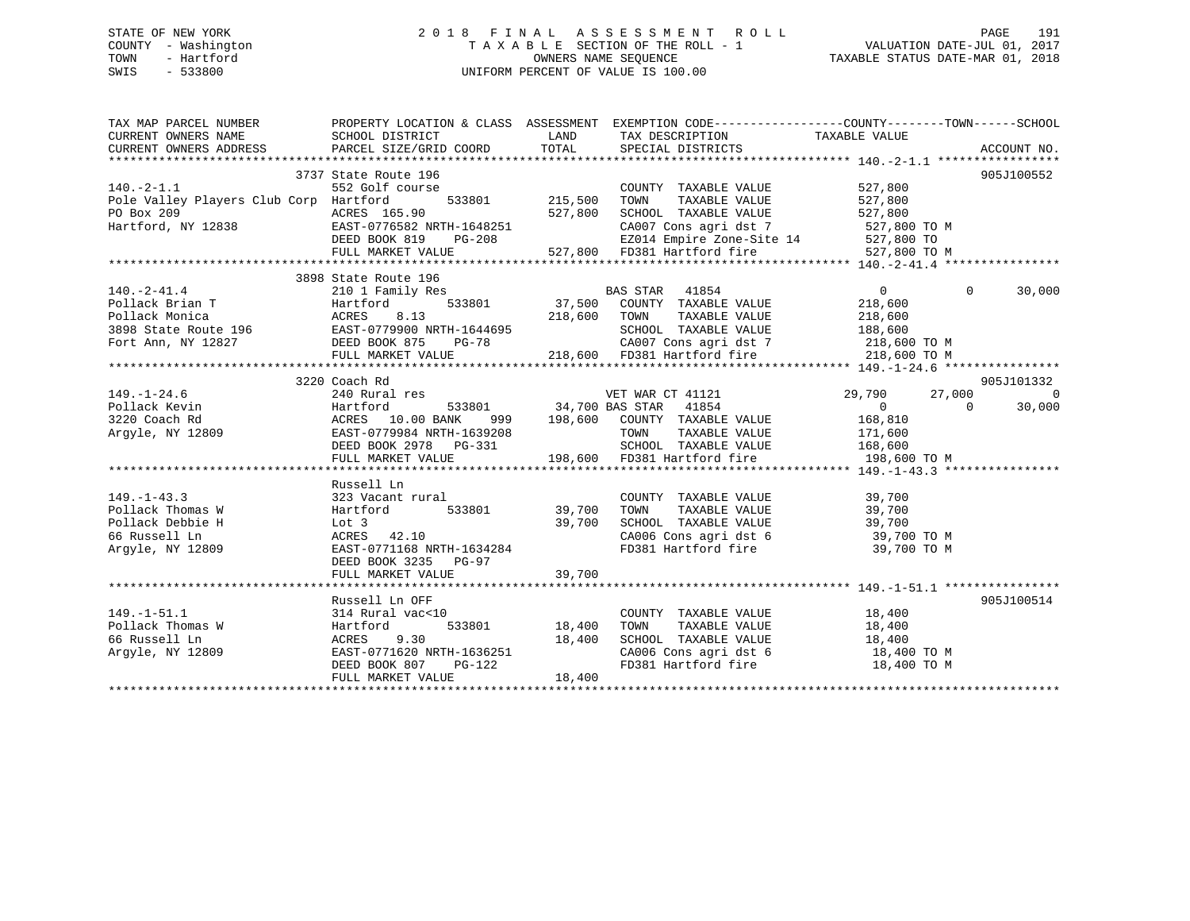## STATE OF NEW YORK 2 0 1 8 F I N A L A S S E S S M E N T R O L L PAGE 191 COUNTY - Washington T A X A B L E SECTION OF THE ROLL - 1 VALUATION DATE-JUL 01, 2017 TOWN - Hartford **TAXABLE STATUS DATE-MAR 01, 2018** OWNERS NAME SEQUENCE TAXABLE STATUS DATE-MAR 01, 2018 SWIS - 533800 UNIFORM PERCENT OF VALUE IS 100.00

| $\begin{tabular}{lllllllllll} \textsc{rank} & & & & & & & \textsc{propexry LOCATION & & & & & \textsc{MASS} & & & & \textsc{SSESSMENT} & & & & \textsc{EXEMPTION} & & & & \textsc{comp-------------COUNTY---------SCHOOL} \\ \textsc{curreNT} & & & & & & & \textsc{SCHOOL DISTRICT} & & & & & \textsc{LAND} & & \textsc{TAX DESCRIPTION} & & & \textsc{TAXABLE VALUE} & & & & \textsc{ACOUNT NO} & & \\ \textsc{curreNT} & & & & & & & \textsc{DDEES} & & & \textsc{PARCEL SIZE/$ |                                                                                                                                                                         |        |                                                                                                                                                                 |                    |            |
|------------------------------------------------------------------------------------------------------------------------------------------------------------------------------------------------------------------------------------------------------------------------------------------------------------------------------------------------------------------------------------------------------------------------------------------------------------------------------------|-------------------------------------------------------------------------------------------------------------------------------------------------------------------------|--------|-----------------------------------------------------------------------------------------------------------------------------------------------------------------|--------------------|------------|
| $140.-2-1.1$<br>Pole Valley Players Club Corp Hartford                                                                                                                                                                                                                                                                                                                                                                                                                             | 3737 State Route 196<br>552 Golf course<br>533801 215,500                                                                                                               |        | COUNTY TAXABLE VALUE<br>TAXABLE VALUE<br>TOWN                                                                                                                   | 527,800<br>527,800 | 905J100552 |
| PO Box 209<br>PO Box 209<br>Hartford, NY 12838<br>EAST-0776582 NRTH-1648251<br>DEED BOOK 819 PG-208<br>FULL MARKET VALUE<br>FULL MARKET VALUE<br>FULL MARKET VALUE<br>FULL MARKET VALUE<br>FULL MARKET VALUE<br>FULL MARKET VALUE<br>FULL MARKET VAL                                                                                                                                                                                                                               |                                                                                                                                                                         |        |                                                                                                                                                                 |                    |            |
|                                                                                                                                                                                                                                                                                                                                                                                                                                                                                    |                                                                                                                                                                         |        |                                                                                                                                                                 |                    |            |
| $\begin{array}{cccccccc} 140.-2-41.4 & 3898 \text{ State Route } 196 & \text{BAS STAR } 41854 & 0 & 0 \\ \text{Pollack Brian T} & Hartford & 533801 & 37,500 & \text{COUNTY } TAXABLE VALUE & 218,600 \\ \text{Pollack Unionica} & \text{ACRES } 8.13 & 218,600 & \text{TOWNT } TAXABLE VALUE & 218,600 \\ \text{398 State Route } 196 & \text{EAST}-0779900 \text{ NRTH}-1644695 & \text{SCHODL } TAXABLE VALUE & 218,600$                                                        | 3898 State Route 196                                                                                                                                                    |        |                                                                                                                                                                 |                    | 30,000     |
|                                                                                                                                                                                                                                                                                                                                                                                                                                                                                    |                                                                                                                                                                         |        |                                                                                                                                                                 |                    |            |
|                                                                                                                                                                                                                                                                                                                                                                                                                                                                                    | 3220 Coach Rd                                                                                                                                                           |        |                                                                                                                                                                 |                    | 905J101332 |
|                                                                                                                                                                                                                                                                                                                                                                                                                                                                                    |                                                                                                                                                                         |        |                                                                                                                                                                 |                    |            |
| 149.-1-43.3<br>Pollack Thomas W 323 Vacant rural<br>Pollack Debbie H 39,700<br>Follack Debbie H 533801 39,700<br>66 Russell Ln ACRES 42.10<br>29,700<br>Argyle, NY 12809                                                                                                                                                                                                                                                                                                           | Russell Ln<br>Lot 3 39,700<br>ACRES 42.10 39,700<br>EAST-0771168 NRTH-1634284<br>DEED BOOK 3235 PG-97                                                                   |        | COUNTY TAXABLE VALUE 39,700<br>TOWN TAXABLE VALUE 39,700<br>SCHOOL TAXABLE VALUE 39,700<br>CA006 Cons agri dst 6 39,700 TO M<br>FD381 Hartford fire 39,700 TO M |                    |            |
|                                                                                                                                                                                                                                                                                                                                                                                                                                                                                    | FULL MARKET VALUE                                                                                                                                                       | 39,700 |                                                                                                                                                                 |                    |            |
|                                                                                                                                                                                                                                                                                                                                                                                                                                                                                    | Russell Ln OFF                                                                                                                                                          |        |                                                                                                                                                                 |                    | 905J100514 |
| $149. - 1 - 51.1$<br>Pollack Thomas W<br>66 Russell Ln<br>Argyle, NY 12809                                                                                                                                                                                                                                                                                                                                                                                                         | Aussell mi Orr<br>314 Rural vac<10<br>W<br>Hartford 533801 18,400<br>ACRES 9.30 18,400<br>BEST-0771620 NRTH-1636251<br>DEED BOOK 807 PG-122<br>FULL MARKET VALUE 18,400 |        | COUNTY TAXABLE VALUE 18,400<br>TOWN TAXABLE VALUE 18,400<br>SCHOOL TAXABLE VALUE 18,400<br>CA006 Cons agri dst 6 18,400 TO M<br>FD381 Hartford fire 18,400 TO M |                    |            |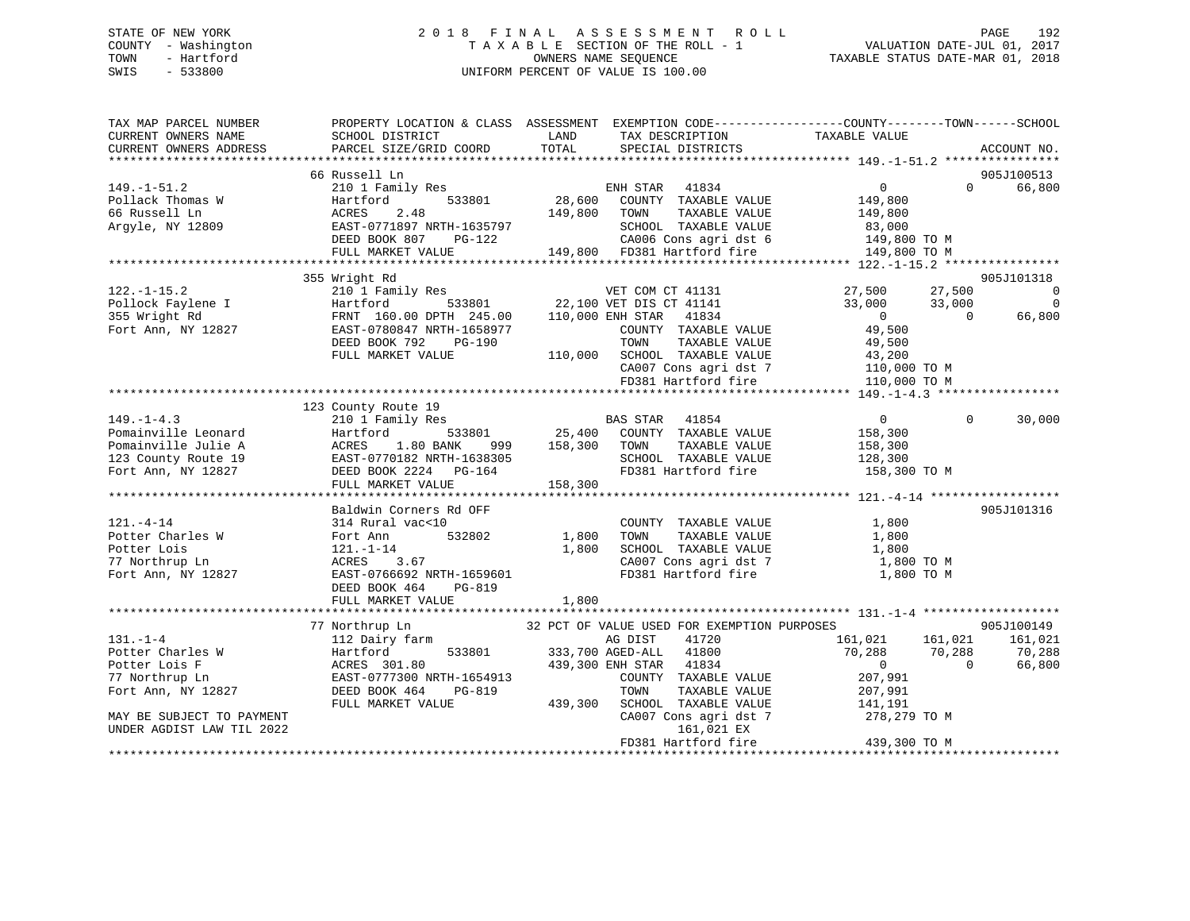## STATE OF NEW YORK 2 0 1 8 F I N A L A S S E S S M E N T R O L L PAGE 192 COUNTY - Washington T A X A B L E SECTION OF THE ROLL - 1 VALUATION DATE-JUL 01, 2017 TOWN - Hartford OWNERS NAME SEQUENCE TAXABLE STATUS DATE-MAR 01, 2018 SWIS - 533800 UNIFORM PERCENT OF VALUE IS 100.00UNIFORM PERCENT OF VALUE IS 100.00

| TAX MAP PARCEL NUMBER<br>CURRENT OWNERS NAME<br>CURRENT OWNERS ADDRESS                                      | SCHOOL DISTRICT<br><b>Example 12</b> LAND<br>PARCEL SIZE/GRID COORD                                                                               | TAX DESCRIPTION TAXABLE VALUE SPECIAL DISTRICTS<br>TOTAL                                                                                                                                                                                                                                                                                           | PROPERTY LOCATION & CLASS ASSESSMENT EXEMPTION CODE----------------COUNTY-------TOWN------SCHOOL<br>ACCOUNT NO.        |
|-------------------------------------------------------------------------------------------------------------|---------------------------------------------------------------------------------------------------------------------------------------------------|----------------------------------------------------------------------------------------------------------------------------------------------------------------------------------------------------------------------------------------------------------------------------------------------------------------------------------------------------|------------------------------------------------------------------------------------------------------------------------|
| $149. - 1 - 51.2$<br>Pollack Thomas W<br>66 Russell Ln<br>Argyle, NY 12809                                  | 66 Russell Ln<br>2.48<br>ACRES                                                                                                                    | 149,800 TOWN<br>TAXABLE VALUE<br>EAST-0771897 NRTH-1635797<br>DEED BOOK 807 PG-122 CA006 Cons agri dst 6 149,800 TO M<br>FULL MARKET VALUE 149,800 FD381 Hartford fire 149,800 TO M<br>SCHOOL TAXABLE VALUE 83,000<br>CA006 Cons agri dst 6 149,800 TO M                                                                                           | 905J100513<br>$\Omega$<br>66,800<br>149,800                                                                            |
|                                                                                                             |                                                                                                                                                   |                                                                                                                                                                                                                                                                                                                                                    |                                                                                                                        |
| $122. - 1 - 15.2$<br>Pollock Faylene I<br>355 Wright Rd<br>Fort Ann, NY 12827                               | 355 Wright Rd<br>EAST-0780847 NRTH-1658977<br>DEED BOOK 792 PG-190<br>FULL MARKET VALUE                                                           | 210 1 Family Res<br>210 1 Family Res<br>Hartford 533801 22,100 VET DIS CT 41141 33,000<br>FRNT 160.00 DPTH 245.00 110,000 ENH STAR 41834 0<br>NH SIAR TIOS<br>COUNTY TAXABLE VALUE 49,500<br>TOWN TAXABLE VALUE 49,500<br>110,000 SCHOOL TAXABLE VALUE 110,000 TO M<br>CA007 Cons agri dst 7 110,000 TO M<br>FD381 Hartford fire 110,000 TO M      | 905J101318<br>27,500<br>$\overline{\phantom{0}}$<br>33,000<br>$\Omega$<br>$\overline{0}$<br>66,800                     |
|                                                                                                             |                                                                                                                                                   |                                                                                                                                                                                                                                                                                                                                                    |                                                                                                                        |
| $149. - 1 - 4.3$<br>Pomainville Leonard<br>Pomainville Julie A<br>123 County Route 19<br>Fort Ann, NY 12827 | 123 County Route 19<br>210 1 Family Res<br>Hartford<br>ACRES 1.80 BANK<br>EAST-0770182 NRTH-1638305<br>DEED BOOK 2224 PG-164<br>FULL MARKET VALUE | SCHOOL TAXABLE VALUE 128,300<br>FD381 Hartford fire<br>158,300                                                                                                                                                                                                                                                                                     | $\Omega$<br>30,000<br>158,300 TO M                                                                                     |
|                                                                                                             | Baldwin Corners Rd OFF                                                                                                                            |                                                                                                                                                                                                                                                                                                                                                    | 905J101316                                                                                                             |
| $121. - 4 - 14$<br>Potter Charles W<br>Potter Lois<br>1827<br>77 Northrup Ln<br>Fort Ann, NY 12827          | 314 Rural vac<10<br>Fort Ann<br>121.-1-14<br>PG-819<br>DEED BOOK 464<br>FULL MARKET VALUE                                                         | COUNTY TAXABLE VALUE<br>TOWN TAXABLE VALUE<br>532802 1,800<br>1,800<br>SCHOOL TAXABLE VALUE<br>CA007 Cons agri dst 7 1,800 TO M<br>FD381 Hartford fire<br>1,800                                                                                                                                                                                    | 1,800<br>1,800<br>1,800<br>1,800 TO M                                                                                  |
|                                                                                                             |                                                                                                                                                   |                                                                                                                                                                                                                                                                                                                                                    |                                                                                                                        |
| $131. - 1 - 4$<br>Potter Charles W<br>Potter Lois F<br>77 Northrup Ln<br>Fort Ann, NY 12827                 | 77 Northrup Ln<br>112 Dairy farm<br>Hartford<br>ACRES 301.80                                                                                      | 32 PCT OF VALUE USED FOR EXEMPTION PURPOSES<br>AG DIST<br>41720<br>533801 333,700 AGED-ALL<br>41800<br>439,300 ENH STAR 41834<br>ACRES 301.80<br>EAST-0777300 NRTH-1654913 COUNTY TAXABLE VALUE<br>DEED BOOK 464 PG-819 TOWN TAXABLE VALUE 207,991<br>FULL MARKET VALUE 439,300 SCHOOL TAXABLE VALUE 141,191<br>CA007 Cons agri dst 7 278,279 TO M | 905J100149<br>161,021 161,021<br>161,021<br>70,288 70,288<br>70,288<br>$\begin{array}{c} 0 \\ 0 \end{array}$<br>66,800 |
| MAY BE SUBJECT TO PAYMENT<br>UNDER AGDIST LAW TIL 2022                                                      |                                                                                                                                                   | FD381 Hartford fire                                                                                                                                                                                                                                                                                                                                | 439,300 TO M                                                                                                           |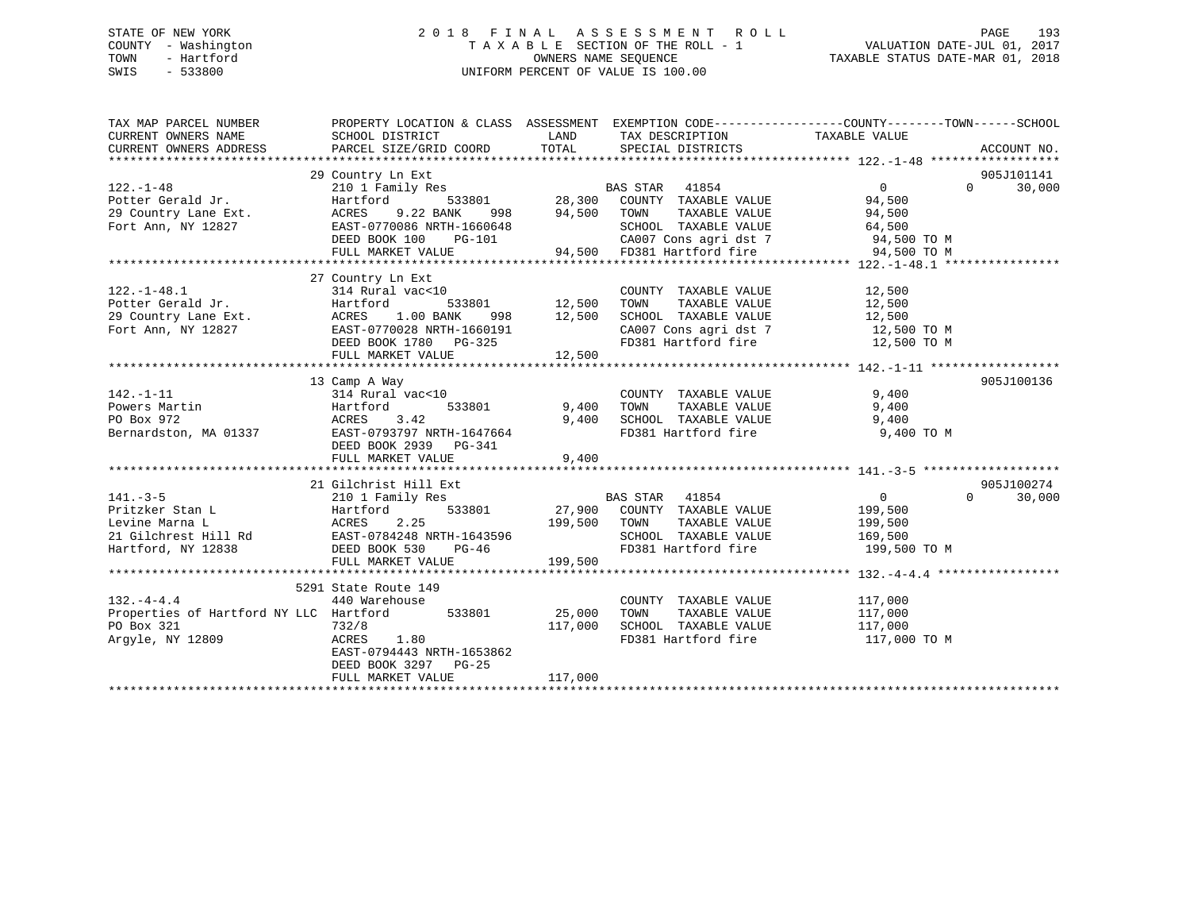## STATE OF NEW YORK 2 0 1 8 F I N A L A S S E S S M E N T R O L L PAGE 193 COUNTY - Washington T A X A B L E SECTION OF THE ROLL - 1 VALUATION DATE-JUL 01, 2017 TOWN - Hartford **TAXABLE STATUS DATE-MAR 01, 2018** OWNERS NAME SEQUENCE TAXABLE STATUS DATE-MAR 01, 2018 SWIS - 533800 UNIFORM PERCENT OF VALUE IS 100.00

| TAX MAP PARCEL NUMBER<br>CURRENT OWNERS NAME<br>CURRENT OWNERS ADDRESS                                                                                 | PROPERTY LOCATION & CLASS ASSESSMENT EXEMPTION CODE----------------COUNTY-------TOWN------SCHOOL<br>SCHOOL DISTRICT<br>PARCEL SIZE/GRID COORD | <b>LAND</b><br>TOTAL                       | TAX DESCRIPTION TAXABLE VALUE<br>SPECIAL DISTRICTS                                                                                                         |                                                      | ACCOUNT NO.                      |
|--------------------------------------------------------------------------------------------------------------------------------------------------------|-----------------------------------------------------------------------------------------------------------------------------------------------|--------------------------------------------|------------------------------------------------------------------------------------------------------------------------------------------------------------|------------------------------------------------------|----------------------------------|
|                                                                                                                                                        |                                                                                                                                               | 94,500                                     |                                                                                                                                                            |                                                      | 905J101141<br>$\Omega$<br>30,000 |
|                                                                                                                                                        | FULL MARKET VALUE                                                                                                                             |                                            | CA007 Cons agri dst 7 94,500 TO M<br>94,500 FD381 Hartford fire 94,500 TO M                                                                                |                                                      |                                  |
| $122. - 1 - 48.1$                                                                                                                                      | 27 Country Ln Ext<br>314 Rural vac<10<br>FULL MARKET VALUE                                                                                    | 12,500                                     | COUNTY TAXABLE VALUE<br>TOWN<br>TAXABLE VALUE<br>SCHOOL TAXABLE VALUE $12,500$<br>CA007 Cons agri dst 7 $12,500$ TO M<br>FD381 Hartford fire $12,500$ TO M | 12,500<br>12,500                                     |                                  |
|                                                                                                                                                        | 13 Camp A Way                                                                                                                                 |                                            |                                                                                                                                                            |                                                      | 905J100136                       |
| $142. - 1 - 11$<br>142.-1-11 314 Rural<br>Powers Martin Hartford<br>PO Box 972 ACRES<br>Bernardston, MA 01337 EAST-0793<br>Powers Martin<br>DO Box 972 | 314 Rural vac<10<br>3.42<br>EAST-0793797 NRTH-1647664<br>DEED BOOK 2939 PG-341<br>FULL MARKET VALUE                                           | )<br>533801      9 , 400<br>9,400<br>9,400 | COUNTY TAXABLE VALUE<br>TOWN TAXABLE VALUE<br>TOWN<br>SCHOOL TAXABLE VALUE 9,400<br>FD381 Hartford fire 9,400 TO M                                         | 9,400<br>9,400                                       |                                  |
|                                                                                                                                                        | 21 Gilchrist Hill Ext                                                                                                                         |                                            |                                                                                                                                                            |                                                      | 905J100274                       |
| $141. - 3 - 5$<br>Hartford<br>ACRES<br>Pritzker Stan L<br>Hartford, NY 12838 DEED BOOK 530                                                             | 210 1 Family Res<br>$PG-46$<br>FULL MARKET VALUE                                                                                              | 199,500                                    | BAS STAR 41854<br>533801 27,900 COUNTY TAXABLE VALUE<br>TAXABLE VALUE<br>SCHOOL TAXABLE VALUE 169,500<br>FD381 Hartford fire                               | $\overline{0}$<br>199,500<br>199,500<br>199,500 TO M | $0 \qquad \qquad$<br>30,000      |
|                                                                                                                                                        |                                                                                                                                               |                                            |                                                                                                                                                            |                                                      |                                  |
| $132. - 4 - 4.4$<br>Properties of Hartford NY LLC Hartford<br>PO Box 321<br>Arqyle, NY 12809                                                           | 5291 State Route 149<br>440 Warehouse<br>533801 25,000<br>732/8<br>ACRES<br>1.80<br>EAST-0794443 NRTH-1653862<br>DEED BOOK 3297 PG-25         | 117,000                                    | COUNTY TAXABLE VALUE 117,000<br>TOWN<br>TAXABLE VALUE<br>SCHOOL TAXABLE VALUE<br>FD381 Hartford fire                                                       | 117,000<br>117,000<br>117,000 TO M                   |                                  |
|                                                                                                                                                        | FULL MARKET VALUE                                                                                                                             | 117,000                                    |                                                                                                                                                            |                                                      |                                  |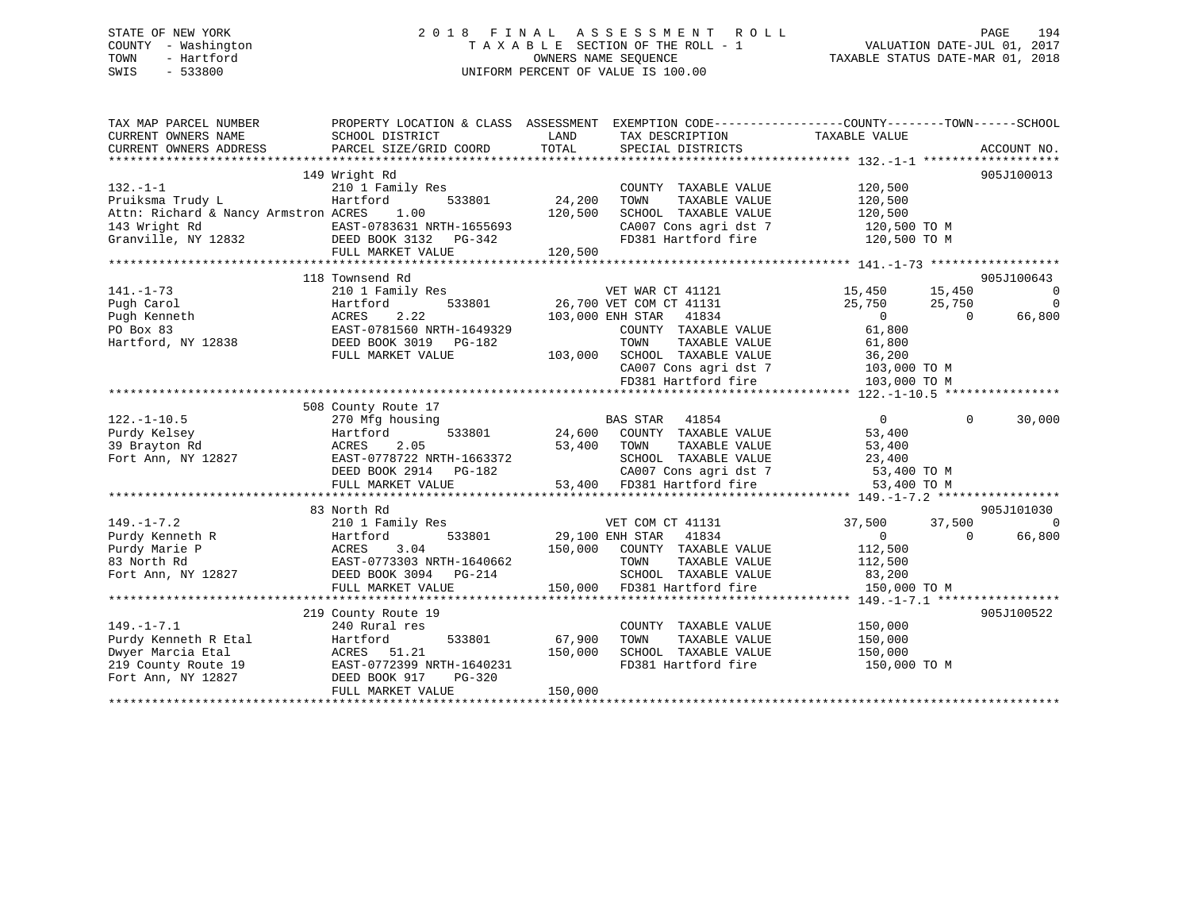## STATE OF NEW YORK 2 0 1 8 F I N A L A S S E S S M E N T R O L L PAGE 194 COUNTY - Washington T A X A B L E SECTION OF THE ROLL - 1 VALUATION DATE-JUL 01, 2017 TOWN - Hartford **TAXABLE STATUS DATE-MAR 01, 2018** OWNERS NAME SEQUENCE TAXABLE STATUS DATE-MAR 01, 2018 SWIS - 533800 UNIFORM PERCENT OF VALUE IS 100.00

| TAX MAP PARCEL NUMBER<br>CURRENT OWNERS NAME<br>CURRENT OWNERS ADDRESS                                                                      | PROPERTY LOCATION & CLASS ASSESSMENT EXEMPTION CODE---------------COUNTY-------TOWN-----SCHOOL<br>SCHOOL DISTRICT<br>PARCEL SIZE/GRID COORD | LAND<br>TOTAL | TAX DESCRIPTION TAXABLE VALUE<br>SPECIAL DISTRICTS |                        |            | ACCOUNT NO.              |
|---------------------------------------------------------------------------------------------------------------------------------------------|---------------------------------------------------------------------------------------------------------------------------------------------|---------------|----------------------------------------------------|------------------------|------------|--------------------------|
|                                                                                                                                             | 149 Wright Rd                                                                                                                               |               |                                                    |                        |            | 905J100013               |
| $132. - 1 - 1$                                                                                                                              | 210 1 Family Res                                                                                                                            |               | COUNTY TAXABLE VALUE                               | 120,500                |            |                          |
| Pruiksma Trudy L                                                                                                                            | Hartford<br>533801                                                                                                                          | 24,200        | TOWN<br>TAXABLE VALUE                              | 120,500                |            |                          |
| Attn: Richard & Nancy Armstron ACRES 1.00                                                                                                   |                                                                                                                                             | 120,500       | SCHOOL TAXABLE VALUE                               | 120,500                |            |                          |
| 143 Wright Rd<br>Granville, NY 12832<br>Chanville, NY 12832<br>CHERRE BOOK 3132<br>CHERRE BOOK 3132<br>CHERRE POOK 3132<br>CHERRE POOK 3132 |                                                                                                                                             |               | CA007 Cons agri dst 7                              | 120,500 TO M           |            |                          |
|                                                                                                                                             |                                                                                                                                             |               | FD381 Hartford fire                                | 120,500 TO M           |            |                          |
|                                                                                                                                             | FULL MARKET VALUE                                                                                                                           | 120,500       |                                                    |                        |            |                          |
|                                                                                                                                             |                                                                                                                                             |               |                                                    |                        |            |                          |
|                                                                                                                                             | 118 Townsend Rd                                                                                                                             |               |                                                    |                        |            | 905J100643               |
| $141. - 1 - 73$                                                                                                                             | 210 1 Family Res                                                                                                                            |               | VET WAR CT 41121 15,450 15,450                     |                        |            | $\overline{\phantom{0}}$ |
| Pugh Carol                                                                                                                                  | 533801<br>Hartford                                                                                                                          |               | 26,700 VET COM CT 41131                            | 25,750                 | 25,750     | $\overline{\phantom{0}}$ |
| Pugh Kenneth                                                                                                                                | 2.22<br>ACRES                                                                                                                               |               | 103,000 ENH STAR 41834                             | $\overline{0}$         | $\bigcirc$ | 66,800                   |
| PO Box 83                                                                                                                                   | EAST-0781560 NRTH-1649329                                                                                                                   |               | COUNTY TAXABLE VALUE                               | 61,800                 |            |                          |
| Hartford, NY 12838                                                                                                                          | DEED BOOK 3019 PG-182                                                                                                                       |               | TOWN<br>TAXABLE VALUE                              | 61,800                 |            |                          |
|                                                                                                                                             | FULL MARKET VALUE                                                                                                                           |               | 103,000 SCHOOL TAXABLE VALUE                       | 36,200<br>103,000 TO M |            |                          |
|                                                                                                                                             |                                                                                                                                             |               | CA007 Cons agri dst 7<br>FD381 Hartford fire       |                        |            |                          |
|                                                                                                                                             |                                                                                                                                             |               |                                                    | 103,000 TO M           |            |                          |
|                                                                                                                                             | 508 County Route 17                                                                                                                         |               |                                                    |                        |            |                          |
| $122. - 1 - 10.5$                                                                                                                           | 270 Mfg housing                                                                                                                             |               | <b>BAS STAR 41854</b>                              | $\Omega$               | $\Omega$   | 30,000                   |
| Purdy Kelsey                                                                                                                                | Hartford<br>533801                                                                                                                          |               | 24,600 COUNTY TAXABLE VALUE                        | 53,400                 |            |                          |
| 39 Brayton Rd                                                                                                                               | 2.05<br>ACRES                                                                                                                               |               | 53,400 TOWN<br>TAXABLE VALUE                       | 53,400                 |            |                          |
| Fort Ann, NY 12827                                                                                                                          | EAST-0778722 NRTH-1663372                                                                                                                   |               | SCHOOL TAXABLE VALUE                               | 23,400                 |            |                          |
|                                                                                                                                             | DEED BOOK 2914 PG-182                                                                                                                       |               | CA007 Cons agri dst 7 53,400 TO M                  |                        |            |                          |
|                                                                                                                                             | FULL MARKET VALUE                                                                                                                           |               | 53,400 FD381 Hartford fire                         | 53,400 TO M            |            |                          |
|                                                                                                                                             |                                                                                                                                             |               |                                                    |                        |            |                          |
|                                                                                                                                             | 83 North Rd                                                                                                                                 |               |                                                    |                        |            | 905J101030               |
| $149. - 1 - 7.2$                                                                                                                            | 210 1 Family Res                                                                                                                            |               | VET COM CT 41131                                   | 37,500                 | 37,500     | $\Omega$                 |
| Purdy Kenneth R                                                                                                                             | 533801<br>Hartford                                                                                                                          |               | 29,100 ENH STAR 41834                              | $\overline{0}$         | $\Omega$   | 66,800                   |
| Purdy Marie P                                                                                                                               | ACRES<br>3.04                                                                                                                               |               | 150,000 COUNTY TAXABLE VALUE                       | 112,500                |            |                          |
| 83 North Rd                                                                                                                                 | EAST-0773303 NRTH-1640662                                                                                                                   |               | TAXABLE VALUE<br>TOWN                              | 112,500                |            |                          |
| Fort Ann, NY 12827                                                                                                                          | DEED BOOK 3094 PG-214                                                                                                                       |               | SCHOOL TAXABLE VALUE                               | 83,200                 |            |                          |
|                                                                                                                                             | FULL MARKET VALUE                                                                                                                           |               | 150,000 FD381 Hartford fire                        | 150,000 TO M           |            |                          |
|                                                                                                                                             |                                                                                                                                             |               |                                                    |                        |            |                          |
|                                                                                                                                             | 219 County Route 19                                                                                                                         |               |                                                    |                        |            | 905J100522               |
| $149. - 1 - 7.1$                                                                                                                            | 240 Rural res                                                                                                                               |               | COUNTY TAXABLE VALUE                               | 150,000                |            |                          |
| Purdy Kenneth R Etal                                                                                                                        | 533801<br>Hartford                                                                                                                          | 67,900        | TAXABLE VALUE<br>TOWN                              | 150,000                |            |                          |
| Dwyer Marcia Etal                                                                                                                           | ACRES 51.21                                                                                                                                 | 150,000       | SCHOOL TAXABLE VALUE                               | 150,000                |            |                          |
| 219 County Route 19                                                                                                                         | EAST-0772399 NRTH-1640231                                                                                                                   |               | FD381 Hartford fire                                | 150,000 TO M           |            |                          |
| Fort Ann, NY 12827                                                                                                                          | DEED BOOK 917<br>$PG-320$                                                                                                                   |               |                                                    |                        |            |                          |
|                                                                                                                                             | FULL MARKET VALUE                                                                                                                           | 150,000       |                                                    |                        |            |                          |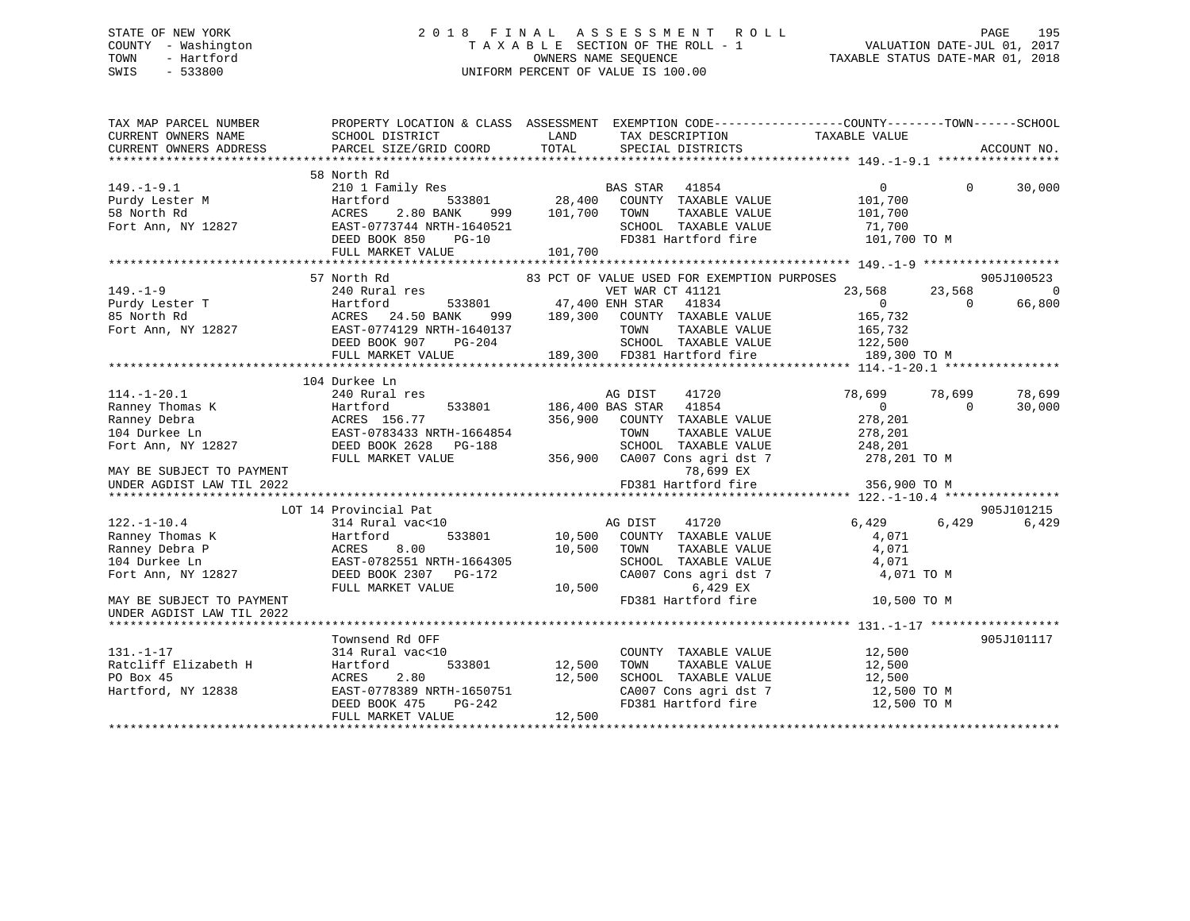## STATE OF NEW YORK 2 0 1 8 F I N A L A S S E S S M E N T R O L L PAGE 195 COUNTY - Washington T A X A B L E SECTION OF THE ROLL - 1 VALUATION DATE-JUL 01, 2017 TOWN - Hartford **TAXABLE STATUS DATE-MAR 01, 2018** OWNERS NAME SEQUENCE TAXABLE STATUS DATE-MAR 01, 2018 SWIS - 533800 UNIFORM PERCENT OF VALUE IS 100.00

| TAX MAP PARCEL NUMBER                         | PROPERTY LOCATION & CLASS ASSESSMENT EXEMPTION CODE----------------COUNTY-------TOWN------SCHOOL |                     |                                                   |                          |                    |             |
|-----------------------------------------------|--------------------------------------------------------------------------------------------------|---------------------|---------------------------------------------------|--------------------------|--------------------|-------------|
| CURRENT OWNERS NAME<br>CURRENT OWNERS ADDRESS | SCHOOL DISTRICT<br>PARCEL SIZE/GRID COORD                                                        | LAND<br>TOTAL       | TAX DESCRIPTION<br>SPECIAL DISTRICTS              | TAXABLE VALUE            |                    | ACCOUNT NO. |
|                                               |                                                                                                  |                     |                                                   |                          |                    |             |
|                                               | 58 North Rd                                                                                      |                     |                                                   |                          |                    |             |
| $149. - 1 - 9.1$                              | 210 1 Family Res BAS STAR 41854                                                                  |                     |                                                   | $\overline{0}$           | $\Omega$           | 30,000      |
| Purdy Lester M<br>58 North Rd                 | Hartford                                                                                         |                     | 533801 28,400 COUNTY TAXABLE VALUE                | 101,700                  |                    |             |
|                                               |                                                                                                  | 999 101,700 TOWN    | TAXABLE VALUE                                     | 101,700                  |                    |             |
|                                               |                                                                                                  |                     | SCHOOL TAXABLE VALUE 71,700                       |                          |                    |             |
|                                               | DEED BOOK 850<br>$PG-10$                                                                         |                     | FD381 Hartford fire 101,700 TO M                  |                          |                    |             |
|                                               | FULL MARKET VALUE                                                                                | 101,700             |                                                   |                          |                    |             |
|                                               |                                                                                                  |                     |                                                   |                          |                    |             |
|                                               | 57 North Rd                                                                                      |                     | 83 PCT OF VALUE USED FOR EXEMPTION PURPOSES       |                          |                    | 905J100523  |
| $149. - 1 - 9$                                | 240 Rural res                                                                                    |                     | VET WAR CT 41121                                  | 23,568                   | 23,568             | 0           |
| Purdy Lester T<br>85 North Rd                 | 533801 47,400 ENH STAR<br>Hartford 533<br>ACRES 24.50 BANK<br>EAST-0774129 NRTH-1                |                     | 41834                                             | $\overline{0}$           | $\Omega$           | 66,800      |
|                                               |                                                                                                  |                     | 999 189,300 COUNTY TAXABLE VALUE 165,732          |                          |                    |             |
| Fort Ann, NY 12827                            | EAST-0774129 NRTH-1640137                                                                        | H-1640137<br>PG-204 |                                                   | 165,732                  |                    |             |
|                                               | DEED BOOK 907                                                                                    |                     |                                                   |                          |                    |             |
|                                               |                                                                                                  |                     |                                                   |                          |                    |             |
|                                               |                                                                                                  |                     |                                                   |                          |                    |             |
| $114. - 1 - 20.1$                             | 104 Durkee Ln                                                                                    |                     |                                                   |                          |                    | 78,699      |
|                                               | 240 Rural res                                                                                    |                     | AG DIST<br>41720<br>533801 186,400 BAS STAR 41854 | 78,699<br>$\overline{0}$ | 78,699<br>$\Omega$ |             |
|                                               |                                                                                                  |                     | 356,900 COUNTY TAXABLE VALUE                      | 278,201                  |                    | 30,000      |
|                                               |                                                                                                  |                     | TOWN<br>TAXABLE VALUE                             | 278,201                  |                    |             |
|                                               |                                                                                                  |                     |                                                   | 248,201                  |                    |             |
|                                               | Fort Ann, NY 12827 DEED BOOK 2628 PG-188<br>FULL MARKET VALUE                                    |                     |                                                   | 278,201 TO M             |                    |             |
| MAY BE SUBJECT TO PAYMENT                     |                                                                                                  |                     |                                                   |                          |                    |             |
| UNDER AGDIST LAW TIL 2022                     |                                                                                                  |                     |                                                   |                          |                    |             |
|                                               |                                                                                                  |                     |                                                   |                          |                    |             |
|                                               | LOT 14 Provincial Pat                                                                            |                     |                                                   |                          |                    | 905J101215  |
| $122. - 1 - 10.4$                             | 314 Rural vac<10                                                                                 |                     | AG DIST<br>41720                                  | 6,429                    | 6,429              | 6,429       |
| Ranney Thomas K                               |                                                                                                  |                     | 533801 10,500 COUNTY TAXABLE VALUE                | 4,071                    |                    |             |
| Ranney Debra P                                |                                                                                                  | 10,500              | TOWN<br>TAXABLE VALUE                             | 4,071                    |                    |             |
| 104 Durkee Ln                                 |                                                                                                  |                     | SCHOOL TAXABLE VALUE                              | 4,071                    |                    |             |
| Fort Ann, NY 12827                            | Hartford 533801<br>ACRES 8.00<br>EAST-0782551 NRTH-1664305<br>BEED BOOK 2307 PG-172              |                     | CA007 Cons agri dst 7                             | 4,071 TO M               |                    |             |
|                                               | FULL MARKET VALUE                                                                                | 10,500              | 6,429 EX                                          |                          |                    |             |
| MAY BE SUBJECT TO PAYMENT                     |                                                                                                  |                     | FD381 Hartford fire                               | 10,500 TO M              |                    |             |
| UNDER AGDIST LAW TIL 2022                     |                                                                                                  |                     |                                                   |                          |                    |             |
|                                               |                                                                                                  |                     |                                                   |                          |                    |             |
|                                               | Townsend Rd OFF                                                                                  |                     |                                                   |                          |                    | 905J101117  |
| $131. - 1 - 17$                               | 314 Rural vac<10                                                                                 |                     | COUNTY TAXABLE VALUE                              | 12,500                   |                    |             |
|                                               | Hartford<br>533801                                                                               | 12,500              | TAXABLE VALUE<br>TOWN                             | 12,500                   |                    |             |
| Ratcliff Elizabeth H<br>PO Box 45             | 2.80<br>ACRES                                                                                    | 12,500              | SCHOOL TAXABLE VALUE                              | 12,500                   |                    |             |
| Hartford, NY 12838                            | EAST-0778389 NRTH-1650751                                                                        |                     |                                                   | 12,500 TO M              |                    |             |
|                                               | DEED BOOK 475                                                                                    | H-1650751<br>PG-242 | CA007 Cons agri dst 7<br>FD381 Hartford fire      | 12,500 TO M              |                    |             |
|                                               | FULL MARKET VALUE                                                                                | 12,500              |                                                   |                          |                    |             |
|                                               |                                                                                                  |                     |                                                   |                          |                    |             |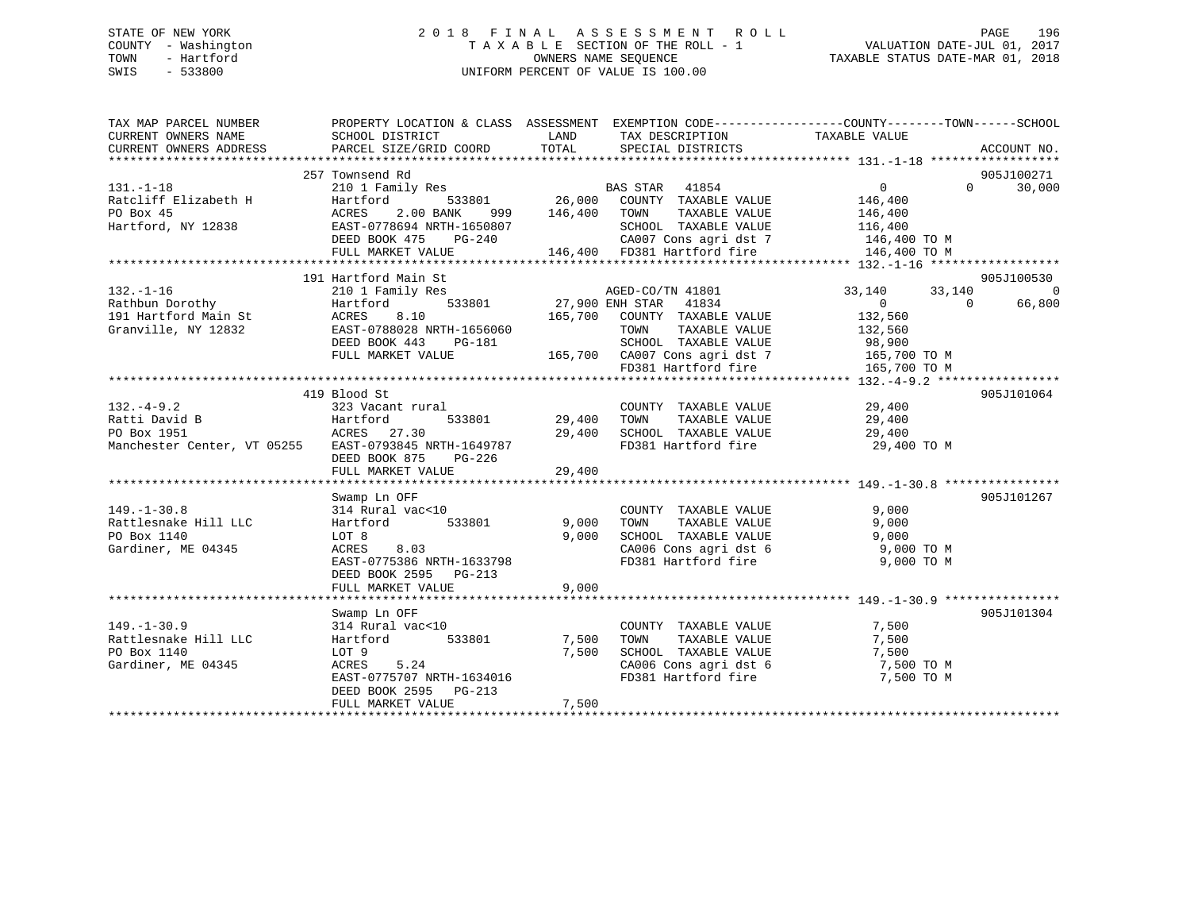## STATE OF NEW YORK 2 0 1 8 F I N A L A S S E S S M E N T R O L L PAGE 196 COUNTY - Washington T A X A B L E SECTION OF THE ROLL - 1 VALUATION DATE-JUL 01, 2017 TOWN - Hartford **TAXABLE STATUS DATE-MAR 01, 2018** OWNERS NAME SEQUENCE TAXABLE STATUS DATE-MAR 01, 2018 SWIS - 533800 UNIFORM PERCENT OF VALUE IS 100.00

| TAX MAP PARCEL NUMBER<br>CURRENT OWNERS NAME                                | PROPERTY LOCATION & CLASS ASSESSMENT EXEMPTION CODE---------------COUNTY-------TOWN------SCHOOL<br>SCHOOL DISTRICT                                   | <b>EXAMPLE SETTING STATE</b> | TAX DESCRIPTION                                                        | TAXABLE VALUE                    |                    |
|-----------------------------------------------------------------------------|------------------------------------------------------------------------------------------------------------------------------------------------------|------------------------------|------------------------------------------------------------------------|----------------------------------|--------------------|
| CURRENT OWNERS ADDRESS                                                      | PARCEL SIZE/GRID COORD                                                                                                                               |                              | TOTAL SPECIAL DISTRICTS                                                |                                  | ACCOUNT NO.        |
|                                                                             | 257 Townsend Rd                                                                                                                                      |                              |                                                                        |                                  | 905J100271         |
| $131. -1 - 18$                                                              |                                                                                                                                                      |                              |                                                                        | $\overline{0}$                   | 30,000<br>$\Omega$ |
| Ratcliff Elizabeth H                                                        | 10 1 Family Res<br>Hartford 533801 26,000 COUNTY TAXABLE VALUE                                                                                       |                              |                                                                        | 146,400                          |                    |
| PO Box 45                                                                   | 2.00 BANK<br>ACRES                                                                                                                                   | 999 146,400 TOWN             | TAXABLE VALUE                                                          | 146,400                          |                    |
| Hartford, NY 12838                                                          | EAST-0778694 NRTH-1650807                                                                                                                            |                              | SCHOOL TAXABLE VALUE                                                   | 116,400                          |                    |
|                                                                             |                                                                                                                                                      |                              | CA007 Cons agri dst 7 146,400 TO M                                     |                                  |                    |
|                                                                             | FULL MARKET VALUE                                                                                                                                    |                              | 146,400 FD381 Hartford fire                                            | 146,400 TO M                     |                    |
|                                                                             |                                                                                                                                                      |                              |                                                                        |                                  |                    |
|                                                                             | 191 Hartford Main St                                                                                                                                 |                              |                                                                        |                                  | 905J100530         |
| $132. - 1 - 16$                                                             | 210 1 Family Res                                                                                                                                     |                              | AGED-CO/TN 41801                                                       | 33, 140 33, 140                  | $\mathbf 0$        |
| 132.-1-10<br>Rathbun Dorothy<br>191 Hartford Main St<br>Granville, NY 12832 | Hartford                                                                                                                                             |                              | 533801 27,900 ENH STAR 41834                                           | $\overline{0}$<br>$\overline{0}$ | 66,800             |
|                                                                             | ACRES<br>8.10                                                                                                                                        |                              | 165,700 COUNTY TAXABLE VALUE                                           | 132,560<br>132,560               |                    |
|                                                                             | EAST-0788028 NRTH-1656060                                                                                                                            |                              | TOWN<br>TAXABLE VALUE                                                  |                                  |                    |
|                                                                             |                                                                                                                                                      |                              |                                                                        |                                  |                    |
|                                                                             | DEED BOOK 443 PG-181 SCHOOL TAXABLE VALUE 98,900<br>FULL MARKET VALUE 165,700 CA007 Cons agri dst 7 165,700 TO M<br>FD381 Hartford fire 165,700 TO M |                              |                                                                        |                                  |                    |
|                                                                             |                                                                                                                                                      |                              |                                                                        |                                  |                    |
|                                                                             |                                                                                                                                                      |                              |                                                                        |                                  |                    |
|                                                                             | 419 Blood St                                                                                                                                         |                              |                                                                        |                                  | 905J101064         |
| $132 - 4 - 9.2$                                                             | 323 Vacant rural                                                                                                                                     |                              | COUNTY TAXABLE VALUE 29,400                                            |                                  |                    |
|                                                                             |                                                                                                                                                      |                              | TAXABLE VALUE                                                          | 29,400                           |                    |
|                                                                             |                                                                                                                                                      |                              | 29,400 SCHOOL TAXABLE VALUE 29,400                                     |                                  |                    |
| Manchester Center, VT 05255 EAST-0793845 NRTH-1649787                       |                                                                                                                                                      |                              | FD381 Hartford fire 29,400 TO M                                        |                                  |                    |
|                                                                             | DEED BOOK 875 PG-226                                                                                                                                 |                              |                                                                        |                                  |                    |
|                                                                             |                                                                                                                                                      |                              |                                                                        |                                  |                    |
|                                                                             | Swamp Ln OFF                                                                                                                                         |                              |                                                                        |                                  | 905J101267         |
| $149. - 1 - 30.8$                                                           | 314 Rural vac<10                                                                                                                                     |                              |                                                                        |                                  |                    |
| Rattlesnake Hill LLC                                                        | Hartford 533801                                                                                                                                      | 9,000                        | COUNTY TAXABLE VALUE<br>TOWN TAXABLE VALUE                             | 9,000<br>9.000<br>9,000          |                    |
| PO Box 1140                                                                 | LOT 8                                                                                                                                                | 9,000                        | SCHOOL TAXABLE VALUE                                                   | 9,000                            |                    |
| Gardiner, ME 04345                                                          | ACRES<br>8.03                                                                                                                                        |                              |                                                                        |                                  |                    |
|                                                                             | EAST-0775386 NRTH-1633798                                                                                                                            |                              | $CA006$ Cons agri dst 6 $9,000$ TO M<br>FD381 Hartford fire 9,000 TO M |                                  |                    |
|                                                                             | DEED BOOK 2595 PG-213                                                                                                                                |                              |                                                                        |                                  |                    |
|                                                                             | FULL MARKET VALUE                                                                                                                                    | 9,000                        |                                                                        |                                  |                    |
|                                                                             |                                                                                                                                                      |                              |                                                                        |                                  |                    |
|                                                                             | Swamp Ln OFF                                                                                                                                         |                              |                                                                        |                                  | 905J101304         |
| $149. - 1 - 30.9$                                                           | 314 Rural vac<10                                                                                                                                     |                              | COUNTY TAXABLE VALUE                                                   | 7,500                            |                    |
| Rattlesnake Hill LLC                                                        | 533801<br>Hartford                                                                                                                                   | 7,500                        | TAXABLE VALUE<br>TOWN                                                  | 7,500                            |                    |
| PO Box 1140                                                                 | LOT 9                                                                                                                                                | 7,500                        | SCHOOL TAXABLE VALUE                                                   | 7,500                            |                    |
| Gardiner, ME 04345                                                          | 5.24<br>ACRES                                                                                                                                        |                              | CA006 Cons agri dst 6 7,500 TO M                                       |                                  |                    |
|                                                                             | EAST-0775707 NRTH-1634016                                                                                                                            |                              | FD381 Hartford fire                                                    | 7,500 TO M                       |                    |
|                                                                             | DEED BOOK 2595 PG-213                                                                                                                                |                              |                                                                        |                                  |                    |
|                                                                             | FULL MARKET VALUE                                                                                                                                    | 7,500                        |                                                                        |                                  |                    |
|                                                                             |                                                                                                                                                      |                              |                                                                        |                                  |                    |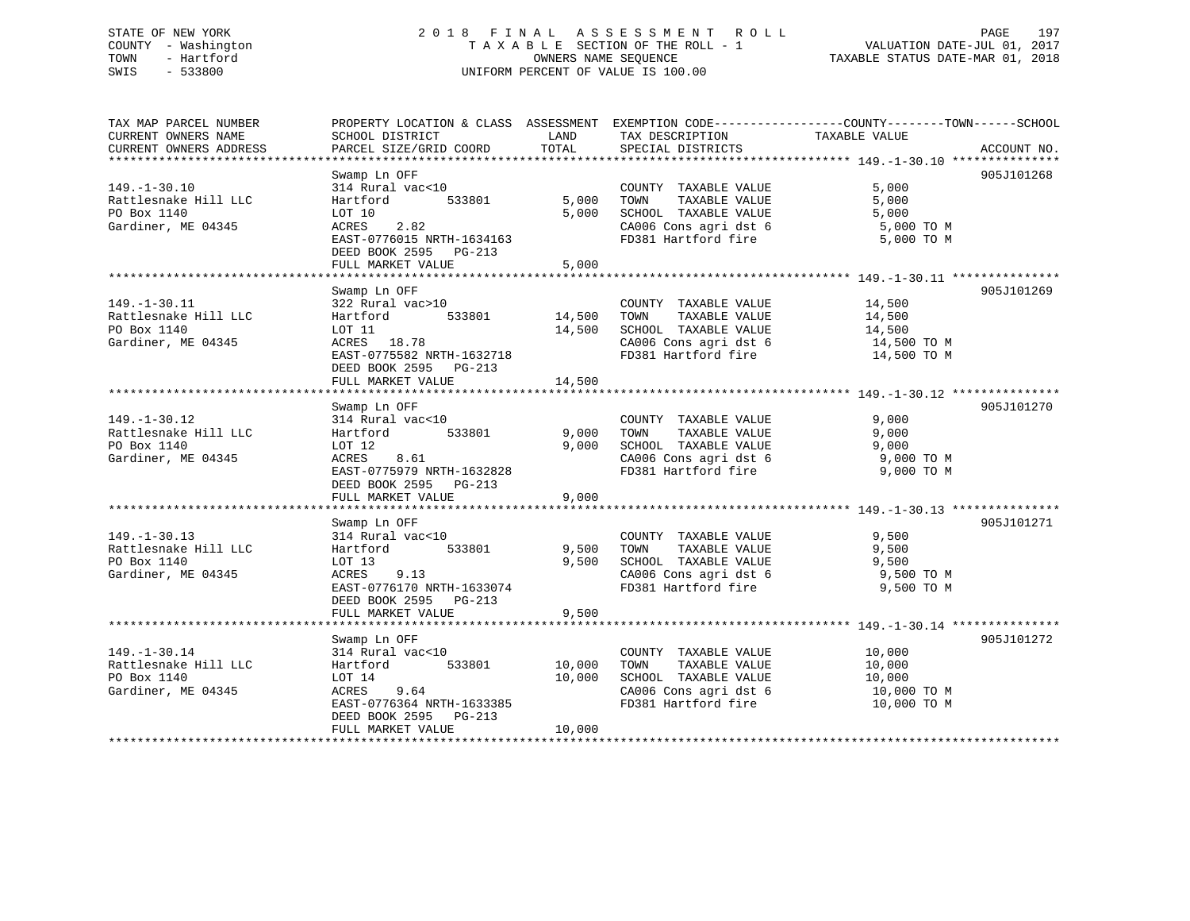## STATE OF NEW YORK 2 0 1 8 F I N A L A S S E S S M E N T R O L L PAGE 197 COUNTY - Washington T A X A B L E SECTION OF THE ROLL - 1 VALUATION DATE-JUL 01, 2017 TOWN - Hartford **TAXABLE STATUS DATE-MAR 01, 2018** OWNERS NAME SEQUENCE TAXABLE STATUS DATE-MAR 01, 2018 SWIS - 533800 UNIFORM PERCENT OF VALUE IS 100.00

| TAX MAP PARCEL NUMBER  | PROPERTY LOCATION & CLASS ASSESSMENT EXEMPTION CODE----------------COUNTY-------TOWN------SCHOOL |        |                                                                                                     |                      |             |
|------------------------|--------------------------------------------------------------------------------------------------|--------|-----------------------------------------------------------------------------------------------------|----------------------|-------------|
| CURRENT OWNERS NAME    | SCHOOL DISTRICT                                                                                  | LAND   | TAX DESCRIPTION                                                                                     | TAXABLE VALUE        |             |
| CURRENT OWNERS ADDRESS | PARCEL SIZE/GRID COORD TOTAL                                                                     |        | SPECIAL DISTRICTS                                                                                   |                      | ACCOUNT NO. |
|                        |                                                                                                  |        |                                                                                                     |                      |             |
|                        |                                                                                                  |        |                                                                                                     |                      | 905J101268  |
|                        | Swamp Ln OFF                                                                                     |        |                                                                                                     |                      |             |
| $149. - 1 - 30.10$     | 314 Rural vac<10 COUNT<br>Hartford 533801 5,000 TOWN                                             |        | COUNTY TAXABLE VALUE<br>TOWN      TAXABLE VALUE                                                     | 5,000                |             |
| Rattlesnake Hill LLC   |                                                                                                  |        |                                                                                                     | 5,000                |             |
| PO Box 1140            | LOT 10                                                                                           | 5,000  |                                                                                                     |                      |             |
| Gardiner, ME 04345     | ACRES 2.82                                                                                       |        | SCHOOL TAXABLE VALUE 5,000<br>CA006 Cons agri dst 6 5,000 TO M                                      |                      |             |
|                        | EAST-0776015 NRTH-1634163                                                                        |        | FD381 Hartford fire 5,000 TO M                                                                      |                      |             |
|                        | DEED BOOK 2595 PG-213                                                                            |        |                                                                                                     |                      |             |
|                        | FULL MARKET VALUE                                                                                | 5,000  |                                                                                                     |                      |             |
|                        |                                                                                                  |        |                                                                                                     |                      |             |
|                        |                                                                                                  |        |                                                                                                     |                      |             |
|                        | Swamp Ln OFF                                                                                     |        |                                                                                                     |                      | 905J101269  |
| $149. - 1 - 30.11$     | $322 \text{ Rural vac}>10$ $14,500$ TOWNTY<br>Hartford 533801 14,500 TOWN                        |        | COUNTY TAXABLE VALUE                                                                                | 14,500               |             |
| Rattlesnake Hill LLC   |                                                                                                  |        |                                                                                                     | TAXABLE VALUE 14,500 |             |
| PO Box 1140            | LOT 11                                                                                           |        |                                                                                                     |                      |             |
| Gardiner, ME 04345     | ACRES 18.78                                                                                      |        | 14,500 SCHOOL TAXABLE VALUE 14,500<br>CA006 Cons agri dst 6 14,500 TO M                             |                      |             |
|                        | EAST-0775582 NRTH-1632718                                                                        |        | FD381 Hartford fire 14,500 TO M                                                                     |                      |             |
|                        | DEED BOOK 2595 PG-213                                                                            |        |                                                                                                     |                      |             |
|                        |                                                                                                  |        |                                                                                                     |                      |             |
|                        | FULL MARKET VALUE                                                                                | 14,500 |                                                                                                     |                      |             |
|                        |                                                                                                  |        |                                                                                                     |                      |             |
|                        | Swamp Ln OFF                                                                                     |        |                                                                                                     |                      | 905J101270  |
| $149. - 1 - 30.12$     | 314 Rural vac<10                                                                                 |        |                                                                                                     | 9,000                |             |
|                        |                                                                                                  |        | COUNTY TAXABLE VALUE<br>TOWN TAXABLE VALUE<br>TOWN                                                  | 9,000                |             |
| PO Box 1140            | LOT 12                                                                                           | 9,000  | SCHOOL TAXABLE VALUE 9,000<br>CA006 Cons agri dst 6 9,000 TO M                                      |                      |             |
| Gardiner, ME 04345     | ACRES 8.61                                                                                       |        |                                                                                                     |                      |             |
|                        | EAST-0775979 NRTH-1632828                                                                        |        | FD381 Hartford fire                                                                                 | 9,000 TO M           |             |
|                        | DEED BOOK 2595 PG-213                                                                            |        |                                                                                                     |                      |             |
|                        |                                                                                                  |        |                                                                                                     |                      |             |
|                        | FULL MARKET VALUE                                                                                | 9,000  |                                                                                                     |                      |             |
|                        |                                                                                                  |        |                                                                                                     |                      |             |
|                        | Swamp Ln OFF                                                                                     |        |                                                                                                     |                      | 905J101271  |
| $149. - 1 - 30.13$     | 314 Rural vac<10                                                                                 |        | COUNTY TAXABLE VALUE                                                                                | 9,500                |             |
| Rattlesnake Hill LLC   | Hartford 533801 9,500                                                                            |        | TOWN                                                                                                | TAXABLE VALUE 9,500  |             |
| PO Box 1140            | LOT 13                                                                                           |        |                                                                                                     |                      |             |
| Gardiner, ME 04345     | ACRES 9.13                                                                                       |        | $9,500$ SCHOOL TAXABLE VALUE $9,500$<br>CA006 Cons agri dst 6 9,500 TO M                            |                      |             |
|                        | EAST-0776170 NRTH-1633074                                                                        |        | FD381 Hartford fire                                                                                 | 9,500 TO M           |             |
|                        |                                                                                                  |        |                                                                                                     |                      |             |
|                        | DEED BOOK 2595 PG-213                                                                            |        |                                                                                                     |                      |             |
|                        | FULL MARKET VALUE                                                                                | 9,500  |                                                                                                     |                      |             |
|                        |                                                                                                  |        |                                                                                                     |                      |             |
|                        | Swamp Ln OFF                                                                                     |        |                                                                                                     |                      | 905J101272  |
| $149. - 1 - 30.14$     |                                                                                                  |        | COUNTY TAXABLE VALUE 10,000                                                                         |                      |             |
| Rattlesnake Hill LLC   | 314 Rural vac<10<br>Hartford 533801 10,000                                                       |        | TOWN TAXABLE VALUE $10,000$<br>SCHOOL TAXABLE VALUE $10,000$<br>CA006 Cons agri dst 6 $10,000$ TO M |                      |             |
| PO Box 1140            | LOT 14                                                                                           | 10,000 |                                                                                                     |                      |             |
| Gardiner, ME 04345     | ACRES 9.64                                                                                       |        |                                                                                                     |                      |             |
|                        |                                                                                                  |        | FD381 Hartford fire                                                                                 |                      |             |
|                        | EAST-0776364 NRTH-1633385                                                                        |        |                                                                                                     | 10,000 TO M          |             |
|                        | DEED BOOK 2595 PG-213                                                                            |        |                                                                                                     |                      |             |
|                        | FULL MARKET VALUE                                                                                | 10,000 |                                                                                                     |                      |             |
|                        |                                                                                                  |        |                                                                                                     |                      |             |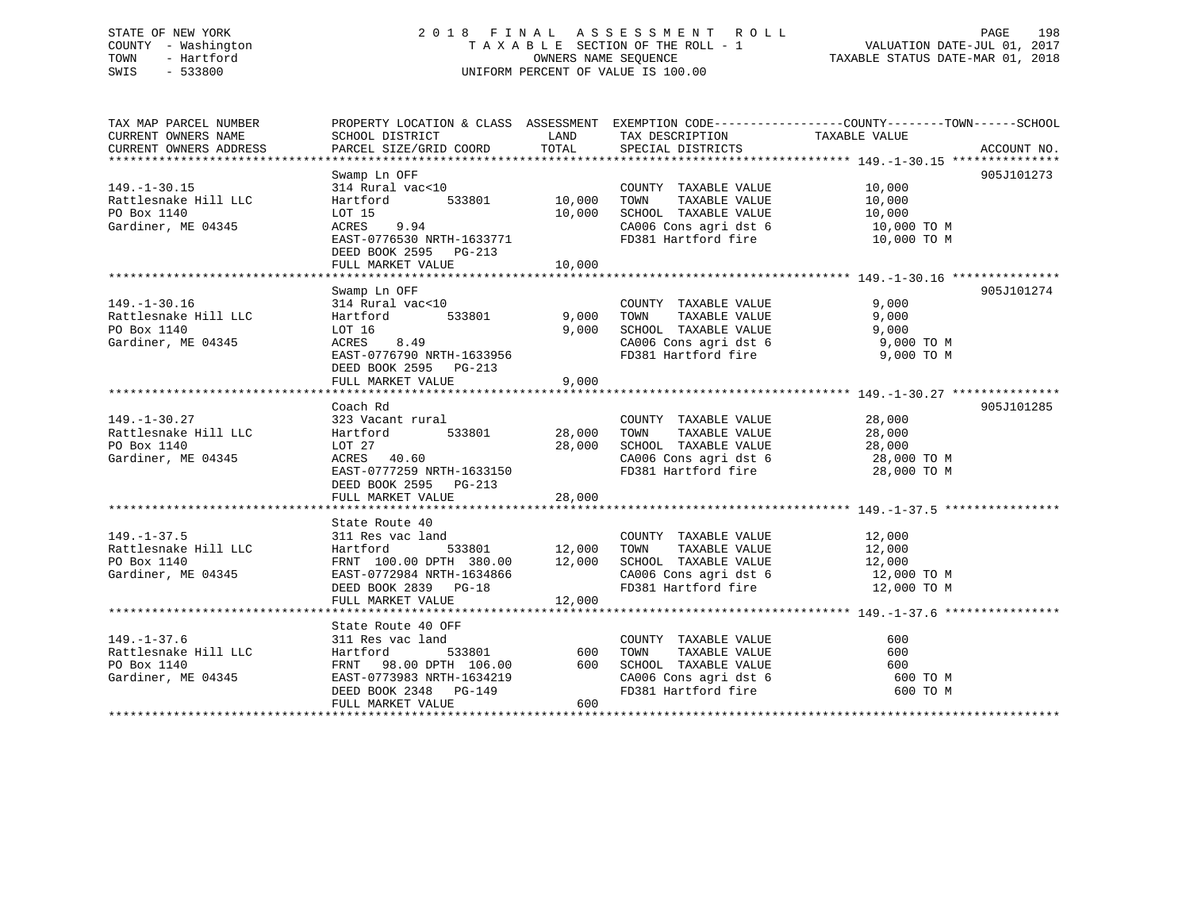## STATE OF NEW YORK 2 0 1 8 F I N A L A S S E S S M E N T R O L L PAGE 198 COUNTY - Washington T A X A B L E SECTION OF THE ROLL - 1 VALUATION DATE-JUL 01, 2017 TOWN - Hartford **TAXABLE STATUS DATE-MAR 01, 2018** OWNERS NAME SEQUENCE TAXABLE STATUS DATE-MAR 01, 2018 SWIS - 533800 UNIFORM PERCENT OF VALUE IS 100.00

| TAX MAP PARCEL NUMBER | PROPERTY LOCATION & CLASS ASSESSMENT EXEMPTION CODE----------------COUNTY-------TOWN------SCHOOL                                                                                                                                 |        |                                                                         |                                              |            |
|-----------------------|----------------------------------------------------------------------------------------------------------------------------------------------------------------------------------------------------------------------------------|--------|-------------------------------------------------------------------------|----------------------------------------------|------------|
|                       |                                                                                                                                                                                                                                  |        |                                                                         |                                              |            |
|                       |                                                                                                                                                                                                                                  |        |                                                                         |                                              |            |
|                       |                                                                                                                                                                                                                                  |        |                                                                         |                                              |            |
|                       | Swamp Ln OFF                                                                                                                                                                                                                     |        |                                                                         |                                              | 905J101273 |
| $149. - 1 - 30.15$    | 314 Rural vac<10                                                                                                                                                                                                                 |        | COUNTY TAXABLE VALUE 10,000                                             |                                              |            |
| Rattlesnake Hill LLC  | Hartford 533801 10,000                                                                                                                                                                                                           |        | TOWN                                                                    |                                              |            |
| PO Box 1140           | LOT 15                                                                                                                                                                                                                           |        |                                                                         | TAXABLE VALUE 10,000<br>TAXABLE VALUE 10,000 |            |
| Gardiner, ME 04345    | ACRES 9.94                                                                                                                                                                                                                       |        | 10,000 SCHOOL TAXABLE VALUE 10,000<br>CA006 Cons agri dst 6 10,000 TO M |                                              |            |
|                       | EAST-0776530 NRTH-1633771                                                                                                                                                                                                        |        | FD381 Hartford fire 10,000 TO M                                         |                                              |            |
|                       | DEED BOOK 2595 PG-213                                                                                                                                                                                                            |        |                                                                         |                                              |            |
|                       |                                                                                                                                                                                                                                  |        |                                                                         |                                              |            |
|                       | FULL MARKET VALUE                                                                                                                                                                                                                | 10,000 |                                                                         |                                              |            |
|                       |                                                                                                                                                                                                                                  |        |                                                                         |                                              |            |
|                       | Swamp Ln OFF                                                                                                                                                                                                                     |        |                                                                         |                                              | 905J101274 |
| $149. - 1 - 30.16$    | 314 Rural vac<10                                                                                                                                                                                                                 |        | COUNTY TAXABLE VALUE<br>TAXABLE VALUE<br>TAXABLE VALUE                  | 9,000                                        |            |
| Rattlesnake Hill LLC  | Hartford 533801 9,000 TOWN                                                                                                                                                                                                       |        |                                                                         | 9,000                                        |            |
| PO Box 1140           |                                                                                                                                                                                                                                  |        | 9,000 SCHOOL TAXABLE VALUE                                              | 9,000                                        |            |
| Gardiner, ME 04345    | 101 10<br>ACRES 8.49                                                                                                                                                                                                             |        | CA006 Cons agri dst 6 9,000 TO M<br>FD381 Hartford fire 9,000 TO M      |                                              |            |
|                       | EAST-0776790 NRTH-1633956                                                                                                                                                                                                        |        |                                                                         |                                              |            |
|                       | DEED BOOK 2595 PG-213                                                                                                                                                                                                            |        |                                                                         |                                              |            |
|                       | FULL MARKET VALUE                                                                                                                                                                                                                | 9,000  |                                                                         |                                              |            |
|                       |                                                                                                                                                                                                                                  |        |                                                                         |                                              |            |
|                       | Coach Rd                                                                                                                                                                                                                         |        |                                                                         |                                              | 905J101285 |
|                       |                                                                                                                                                                                                                                  |        | COUNTY TAXABLE VALUE                                                    | 28,000                                       |            |
|                       |                                                                                                                                                                                                                                  |        | TOWN<br>TAXABLE VALUE                                                   | 28,000                                       |            |
|                       | 323 Vacant rural<br>Rattlesnake Hill LLC Hartford 533801 28,000<br>PO Box 1140 1.07 27                                                                                                                                           |        | 28,000 SCHOOL TAXABLE VALUE                                             | 28,000                                       |            |
| Gardiner, ME 04345    | $ACRES$ 40.60                                                                                                                                                                                                                    |        | CA006 Cons agri dst 6 28,000 TO M                                       |                                              |            |
|                       | EAST-0777259 NRTH-1633150                                                                                                                                                                                                        |        | FD381 Hartford fire                                                     | 28,000 TO M                                  |            |
|                       | DEED BOOK 2595 PG-213                                                                                                                                                                                                            |        |                                                                         |                                              |            |
|                       | FULL MARKET VALUE                                                                                                                                                                                                                | 28,000 |                                                                         |                                              |            |
|                       |                                                                                                                                                                                                                                  |        |                                                                         |                                              |            |
|                       | State Route 40                                                                                                                                                                                                                   |        |                                                                         |                                              |            |
|                       |                                                                                                                                                                                                                                  |        |                                                                         |                                              |            |
|                       |                                                                                                                                                                                                                                  |        |                                                                         |                                              |            |
|                       | Hartford 533801 12,000 10mm 100.00 DPTH 380.00 12,000 SCHOOL TAXABLE VALUE 12,000 12,000 TO M                                                                                                                                    |        |                                                                         |                                              |            |
|                       |                                                                                                                                                                                                                                  |        |                                                                         |                                              |            |
|                       | 149.-1-37.5<br>Rattlesnake Hill LLC (12,000 Hartford 533801 12,000 TOWN TAXABLE VALUE 12,000 ROBOX 1140 FRNT 100.00 DPTH 380.00 12,000 SCHOOL TAXABLE VALUE 12,000 Gardiner, ME 04345 EAST-0772984 NRTH-1634866 (2000 CANOL CANO |        | CA006 Cons agri dst 6<br>FD381 Hartford fire                            |                                              |            |
|                       | DEED BOOK 2839 PG-18                                                                                                                                                                                                             |        |                                                                         | 12,000 TO M                                  |            |
|                       | FULL MARKET VALUE 12,000                                                                                                                                                                                                         |        |                                                                         |                                              |            |
|                       |                                                                                                                                                                                                                                  |        |                                                                         |                                              |            |
|                       | State Route 40 OFF                                                                                                                                                                                                               |        |                                                                         |                                              |            |
| $149. - 1 - 37.6$     | 311 Res vac land                                                                                                                                                                                                                 |        | COUNTY TAXABLE VALUE                                                    | 600                                          |            |
| Rattlesnake Hill LLC  | 533801 600 TOWN<br>Hartford                                                                                                                                                                                                      |        | TAXABLE VALUE                                                           | 600                                          |            |
| PO Box 1140           | FRNT 98.00 DPTH 106.00 600 SCHOOL TAXABLE VALUE                                                                                                                                                                                  |        |                                                                         | 600                                          |            |
| Gardiner, ME 04345    | EAST-0773983 NRTH-1634219<br>DEED BOOK 2348 PG-149                                                                                                                                                                               |        |                                                                         | 600 TO M                                     |            |
|                       |                                                                                                                                                                                                                                  |        | SCHOOL TAXABLE VALUE<br>CA006 Cons agri dst 6<br>FD381 Hartford fire    | 600 TO M                                     |            |
|                       | FULL MARKET VALUE                                                                                                                                                                                                                | 600    |                                                                         |                                              |            |
|                       |                                                                                                                                                                                                                                  |        |                                                                         |                                              |            |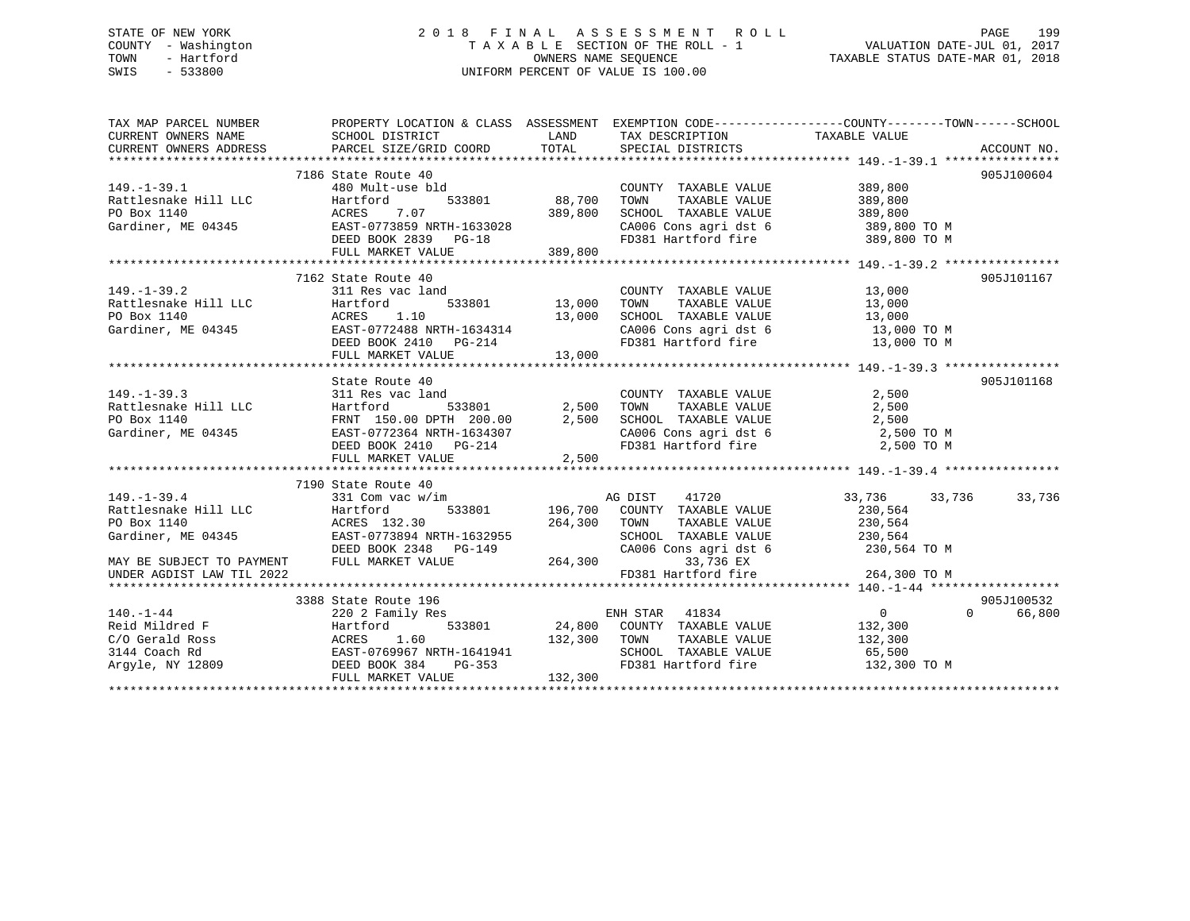## STATE OF NEW YORK 2 0 1 8 F I N A L A S S E S S M E N T R O L L PAGE 199 COUNTY - Washington T A X A B L E SECTION OF THE ROLL - 1 VALUATION DATE-JUL 01, 2017 TOWN - Hartford **TAXABLE STATUS DATE-MAR 01, 2018** OWNERS NAME SEQUENCE TAXABLE STATUS DATE-MAR 01, 2018 SWIS - 533800 UNIFORM PERCENT OF VALUE IS 100.00

| TAX MAP PARCEL NUMBER                                                                                                                                                                                                                                                | PROPERTY LOCATION & CLASS ASSESSMENT EXEMPTION CODE----------------COUNTY-------TOWN------SCHOOL |                                                                                                                                                                                                                                                                                                           |                       |            |        |
|----------------------------------------------------------------------------------------------------------------------------------------------------------------------------------------------------------------------------------------------------------------------|--------------------------------------------------------------------------------------------------|-----------------------------------------------------------------------------------------------------------------------------------------------------------------------------------------------------------------------------------------------------------------------------------------------------------|-----------------------|------------|--------|
| $149. - 1 - 39.1$<br>149.-1-39.1<br>Rattlesnake Hill LLC Hartford 533801 88,700<br>PO Box 1140 ACRES 7.07 389,800<br>Gardiner, ME 04345 EAST-0773859 NRTH-1633028<br>DEED BOOK 2839 PG-18 389,800<br>FIILL MARKET VALUE 389,800                                      | 7186 State Route 40                                                                              | COUNTY TAXABLE VALUE 389,800<br>TOWN<br>SCHOOL TAXABLE VALUE 389,800<br>CA006 Cons agri dst 6 389,800 TO M<br>FD381 Hartford fire 389,800 TO M                                                                                                                                                            | TAXABLE VALUE 389,800 | 905J100604 |        |
|                                                                                                                                                                                                                                                                      |                                                                                                  |                                                                                                                                                                                                                                                                                                           |                       |            |        |
| 149.-1-39.2<br>Rattlesnake Hill LLC<br>PO Box 1140<br>Gardiner, ME 04345<br>ME 04345<br>ME 04345<br>ME 04345<br>ME 04345<br>ME 04345<br>ME 04345<br>ME 04345<br>ME 04345<br>ME 04345<br>ME 04345<br>ME 04345<br>ME 04345<br>ME 04345<br>ME 04345<br>ME 04345<br>ME 0 | 7162 State Route 40<br>FULL MARKET VALUE 13,000                                                  | $\begin{tabular}{lllllllllllll} \multicolumn{2}{c}{\text{COUNTY}} & \text{TAXABLE VALUE} & & & 13\, ,000 \\ \multicolumn{2}{c}{\text{TOWN}} & \text{TAXABLE VALUE} & & 13\, ,000 \\ \end{tabular}$<br>SCHOOL TAXABLE VALUE 13,000<br>CA006 Cons agri dst 6 13,000 TO M<br>FD381 Hartford fire 13,000 TO M |                       | 905J101167 |        |
|                                                                                                                                                                                                                                                                      | State Route 40                                                                                   |                                                                                                                                                                                                                                                                                                           |                       | 905J101168 |        |
| 149.-1-39.3<br>Rattlesnake Hill LLC<br>Rattlesnake Hill LLC<br>PO Box 1140<br>Gardiner, ME 04345<br>TO BOX 2410<br>FULL MARKET VALUE<br>FULL MARKET VALUE<br>FULL MARKET VALUE<br>FULL MARKET VALUE<br>FULL MARKET VALUE<br>FULL MARKET VALUE<br>FULL                |                                                                                                  |                                                                                                                                                                                                                                                                                                           |                       |            |        |
|                                                                                                                                                                                                                                                                      | 7190 State Route 40                                                                              |                                                                                                                                                                                                                                                                                                           |                       |            |        |
| $149. - 1 - 39.4$<br>Partiles<br>Partiles Hill LLC<br>PO Box 1140<br>Gardiner, ME 04345<br>Gardiner, ME 04345<br>BAST-0773894 NRTH-1632955<br>EAST-0773894 NRTH-1632955<br>COMP                                                                                      | 331 Com vac w/im                                                                                 | AG DIST 41720<br>$196,700$ COUNTY TAXABLE VALUE 230,564<br>TOWN TAXABLE VALUE 230,564<br>SCHOOL TAXABLE VALUE 230,564<br>CA006 Cons agri dst 6 230,564 TO M                                                                                                                                               | 33,736 33,736         |            | 33,736 |
|                                                                                                                                                                                                                                                                      |                                                                                                  |                                                                                                                                                                                                                                                                                                           |                       |            |        |
|                                                                                                                                                                                                                                                                      | 3388 State Route 196                                                                             |                                                                                                                                                                                                                                                                                                           |                       | 905J100532 |        |
| $140. - 1 - 44$                                                                                                                                                                                                                                                      | 220 2 Family Res                                                                                 | $ENHSTAR$ 41834<br>FD381 Hartford fire 132,300 TO M                                                                                                                                                                                                                                                       | $\overline{0}$        | $\Omega$   | 66,800 |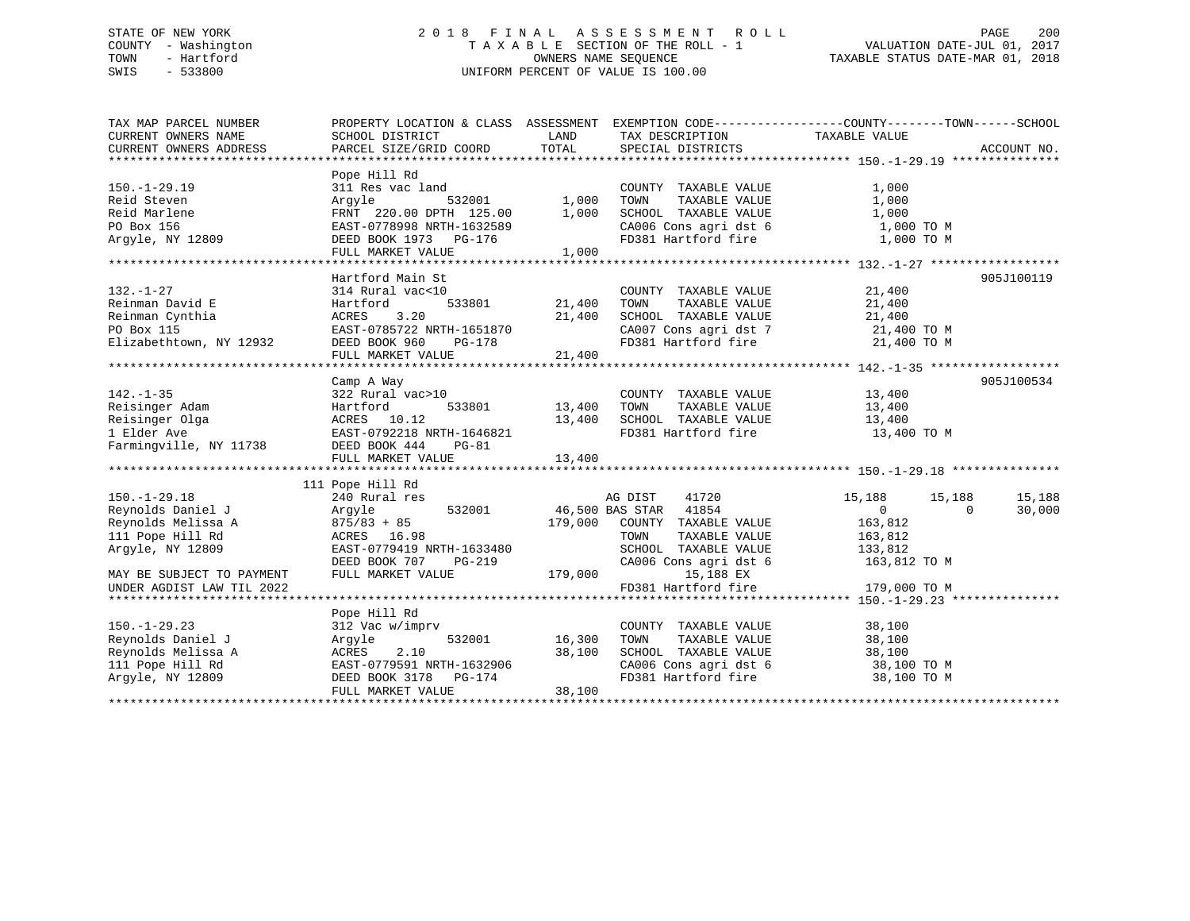## STATE OF NEW YORK 2 0 1 8 F I N A L A S S E S S M E N T R O L L PAGE 200 COUNTY - Washington T A X A B L E SECTION OF THE ROLL - 1 VALUATION DATE-JUL 01, 2017 TOWN - Hartford **TAXABLE STATUS DATE-MAR 01, 2018** OWNERS NAME SEQUENCE TAXABLE STATUS DATE-MAR 01, 2018 SWIS - 533800 UNIFORM PERCENT OF VALUE IS 100.00

| TAX MAP PARCEL NUMBER                   |                                                                                                                                                                                                       |                    |                                                                                                                                                                                                                     | PROPERTY LOCATION & CLASS ASSESSMENT EXEMPTION CODE---------------COUNTY-------TOWN------SCHOOL |            |
|-----------------------------------------|-------------------------------------------------------------------------------------------------------------------------------------------------------------------------------------------------------|--------------------|---------------------------------------------------------------------------------------------------------------------------------------------------------------------------------------------------------------------|-------------------------------------------------------------------------------------------------|------------|
| CURRENT OWNERS NAME                     | SCHOOL DISTRICT                                                                                                                                                                                       | LAND               | TAX DESCRIPTION TAXABLE VALUE                                                                                                                                                                                       |                                                                                                 |            |
|                                         |                                                                                                                                                                                                       |                    |                                                                                                                                                                                                                     |                                                                                                 |            |
|                                         |                                                                                                                                                                                                       |                    |                                                                                                                                                                                                                     |                                                                                                 |            |
|                                         | Pope Hill Rd                                                                                                                                                                                          |                    |                                                                                                                                                                                                                     |                                                                                                 |            |
| $150. - 1 - 29.19$                      | Proposed the set of the set of the set of the set of the set of the set of the set of the set of the set of the<br>Argyle 532001 1,000 TOWN                                                           |                    | COUNTY TAXABLE VALUE                                                                                                                                                                                                | 1,000                                                                                           |            |
| Reid Steven                             |                                                                                                                                                                                                       |                    | TAXABLE VALUE                                                                                                                                                                                                       | 1,000                                                                                           |            |
| Reid Marlene                            | FRNT 220.00 DPTH 125.00 1,000                                                                                                                                                                         |                    | SCHOOL TAXABLE VALUE                                                                                                                                                                                                | 1,000                                                                                           |            |
|                                         |                                                                                                                                                                                                       |                    |                                                                                                                                                                                                                     |                                                                                                 |            |
|                                         |                                                                                                                                                                                                       |                    | CA006 Cons agri dst 6 1,000 TO M<br>FD381 Hartford fire 1,000 TO M                                                                                                                                                  |                                                                                                 |            |
|                                         | FULL MARKET VALUE                                                                                                                                                                                     | 1,000              |                                                                                                                                                                                                                     |                                                                                                 |            |
|                                         |                                                                                                                                                                                                       |                    |                                                                                                                                                                                                                     |                                                                                                 |            |
|                                         | Hartford Main St                                                                                                                                                                                      |                    |                                                                                                                                                                                                                     |                                                                                                 | 905J100119 |
| $132. - 1 - 27$                         |                                                                                                                                                                                                       |                    |                                                                                                                                                                                                                     |                                                                                                 |            |
|                                         |                                                                                                                                                                                                       |                    | $\begin{tabular}{lllllllllllll} \multicolumn{2}{c}{\textbf{COUNTY}} & \textbf{TXABLE VALUE} & & & \textbf{21,400} \\ \multicolumn{2}{c}{\textbf{TOWN}} & \textbf{TXABLE VALUE} & & & \textbf{21,400} \end{tabular}$ |                                                                                                 |            |
|                                         |                                                                                                                                                                                                       |                    | 21,400 SCHOOL TAXABLE VALUE 21,400                                                                                                                                                                                  |                                                                                                 |            |
|                                         |                                                                                                                                                                                                       |                    |                                                                                                                                                                                                                     |                                                                                                 |            |
|                                         | VRTH-1651870<br>PG-178                                                                                                                                                                                |                    | CA007 Cons agri dst 7 and 21,400 TO M<br>FD381 Hartford fire and 21,400 TO M                                                                                                                                        |                                                                                                 |            |
|                                         | FULL MARKET VALUE                                                                                                                                                                                     | 21,400             |                                                                                                                                                                                                                     |                                                                                                 |            |
|                                         |                                                                                                                                                                                                       |                    |                                                                                                                                                                                                                     |                                                                                                 |            |
|                                         | Camp A Way                                                                                                                                                                                            |                    |                                                                                                                                                                                                                     |                                                                                                 | 905J100534 |
| $142. - 1 - 35$                         | 322 Rural vac>10                                                                                                                                                                                      |                    | COUNTY TAXABLE VALUE 13,400                                                                                                                                                                                         |                                                                                                 |            |
|                                         |                                                                                                                                                                                                       | 533801 13,400 TOWN |                                                                                                                                                                                                                     |                                                                                                 |            |
|                                         |                                                                                                                                                                                                       |                    | 13,400 TOWN TAXABLE VALUE<br>13,400 SCHOOL TAXABLE VALUE                                                                                                                                                            | 13,400<br>13,400                                                                                |            |
|                                         |                                                                                                                                                                                                       |                    | FD381 Hartford fire 13,400 TO M                                                                                                                                                                                     |                                                                                                 |            |
|                                         |                                                                                                                                                                                                       |                    |                                                                                                                                                                                                                     |                                                                                                 |            |
|                                         | FULL MARKET VALUE                                                                                                                                                                                     | 13,400             |                                                                                                                                                                                                                     |                                                                                                 |            |
|                                         |                                                                                                                                                                                                       |                    |                                                                                                                                                                                                                     |                                                                                                 |            |
|                                         | 111 Pope Hill Rd                                                                                                                                                                                      |                    |                                                                                                                                                                                                                     |                                                                                                 |            |
| $150. - 1 - 29.18$                      | 240 Rural res                                                                                                                                                                                         |                    | AG DIST<br>41720                                                                                                                                                                                                    | 15,188 15,188                                                                                   | 15,188     |
|                                         |                                                                                                                                                                                                       |                    |                                                                                                                                                                                                                     | $\overline{0}$<br>$\Omega$                                                                      | 30,000     |
|                                         | Reynolds Daniel J<br>Reynolds Melissa A (1875/83 + 85)<br>Reynolds Melissa A (1875/83 + 85)<br>Reynolds Melissa A (179,000 COUNTY TAXABLE VALUE<br>179,000 COUNTY TAXABLE VALUE<br>TOWN TAXABLE VALUE |                    |                                                                                                                                                                                                                     | 163,812                                                                                         |            |
|                                         |                                                                                                                                                                                                       |                    |                                                                                                                                                                                                                     | TAXABLE VALUE 163,812                                                                           |            |
| Argyle, NY 12809                        |                                                                                                                                                                                                       |                    |                                                                                                                                                                                                                     |                                                                                                 |            |
|                                         |                                                                                                                                                                                                       |                    |                                                                                                                                                                                                                     |                                                                                                 |            |
| MAY BE SUBJECT TO PAYMENT               |                                                                                                                                                                                                       |                    |                                                                                                                                                                                                                     |                                                                                                 |            |
| UNDER AGDIST LAW TIL 2022               |                                                                                                                                                                                                       |                    | FD381 Hartford fire 179,000 TO M                                                                                                                                                                                    |                                                                                                 |            |
|                                         |                                                                                                                                                                                                       |                    |                                                                                                                                                                                                                     |                                                                                                 |            |
|                                         |                                                                                                                                                                                                       |                    |                                                                                                                                                                                                                     |                                                                                                 |            |
|                                         | Pope Hill Rd                                                                                                                                                                                          |                    |                                                                                                                                                                                                                     |                                                                                                 |            |
| $150. - 1 - 29.23$<br>Reynolds Daniel J | 312 Vac w/imprv                                                                                                                                                                                       | 532001 16,300 TOWN | COUNTY TAXABLE VALUE                                                                                                                                                                                                | 38,100                                                                                          |            |
|                                         | Argyle                                                                                                                                                                                                |                    | TAXABLE VALUE                                                                                                                                                                                                       | 38,100                                                                                          |            |
|                                         |                                                                                                                                                                                                       |                    |                                                                                                                                                                                                                     |                                                                                                 |            |
|                                         | Reynolds Melissa A (ACRES 2.10 38,100<br>111 Pope Hill Rd (EAST-0779591 NRTH-1632906<br>Argyle, NY 12809 (DEED BOOK 3178 PG-174                                                                       |                    | SCHOOL TAXABLE VALUE 38,100<br>CA006 Cons agri dst 6 38,100<br>FD381 Hartford fire 38,100                                                                                                                           | 38,100 TO M                                                                                     |            |
|                                         |                                                                                                                                                                                                       |                    |                                                                                                                                                                                                                     | 38,100 TO M                                                                                     |            |
|                                         | FULL MARKET VALUE                                                                                                                                                                                     | 38,100             |                                                                                                                                                                                                                     |                                                                                                 |            |
|                                         |                                                                                                                                                                                                       |                    |                                                                                                                                                                                                                     |                                                                                                 |            |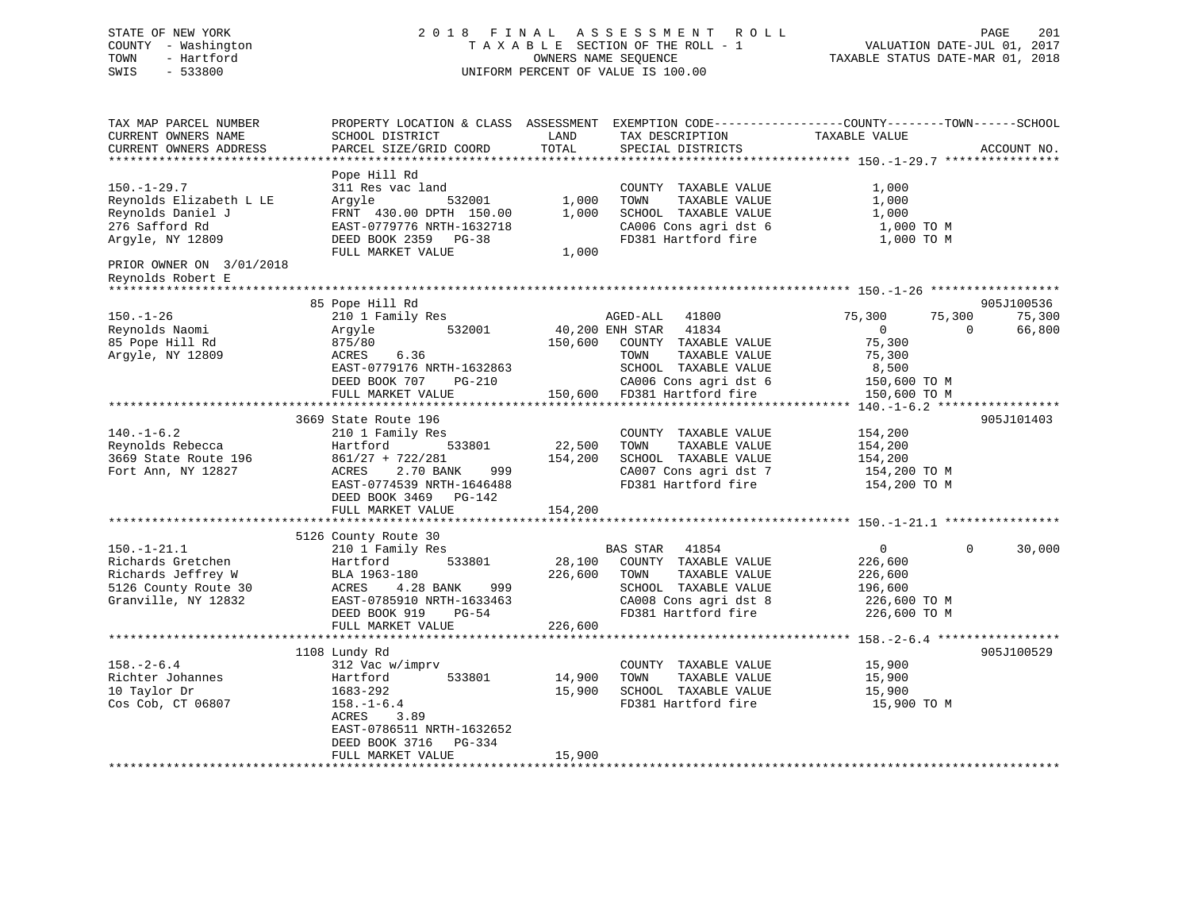## STATE OF NEW YORK 2 0 1 8 F I N A L A S S E S S M E N T R O L L PAGE 201 COUNTY - Washington T A X A B L E SECTION OF THE ROLL - 1 VALUATION DATE-JUL 01, 2017 TOWN - Hartford OWNERS NAME SEQUENCE TAXABLE STATUS DATE-MAR 01, 2018 SWIS - 533800 UNIFORM PERCENT OF VALUE IS 100.00

| TAX MAP PARCEL NUMBER                           | PROPERTY LOCATION & CLASS ASSESSMENT      |         |                             | EXEMPTION CODE-----------------COUNTY-------TOWN------SCHOOL |        |
|-------------------------------------------------|-------------------------------------------|---------|-----------------------------|--------------------------------------------------------------|--------|
| CURRENT OWNERS NAME                             | SCHOOL DISTRICT                           | LAND    | TAX DESCRIPTION             | TAXABLE VALUE                                                |        |
| CURRENT OWNERS ADDRESS<br>********************* | PARCEL SIZE/GRID COORD                    | TOTAL   | SPECIAL DISTRICTS           | ACCOUNT NO.                                                  |        |
|                                                 |                                           |         |                             |                                                              |        |
|                                                 | Pope Hill Rd                              |         |                             |                                                              |        |
| $150. - 1 - 29.7$                               | 311 Res vac land                          |         | COUNTY TAXABLE VALUE        | 1,000                                                        |        |
| Reynolds Elizabeth L LE                         | Arqyle<br>532001                          | 1,000   | TOWN<br>TAXABLE VALUE       | 1,000                                                        |        |
| Reynolds Daniel J                               | FRNT 430.00 DPTH 150.00                   | 1,000   | SCHOOL TAXABLE VALUE        | 1,000                                                        |        |
| 276 Safford Rd                                  | EAST-0779776 NRTH-1632718                 |         | CA006 Cons agri dst 6       | 1,000 TO M                                                   |        |
| Argyle, NY 12809                                | DEED BOOK 2359 PG-38<br>FULL MARKET VALUE | 1,000   | FD381 Hartford fire         | 1,000 TO M                                                   |        |
| PRIOR OWNER ON 3/01/2018                        |                                           |         |                             |                                                              |        |
| Reynolds Robert E                               |                                           |         |                             |                                                              |        |
| ***************************                     |                                           |         |                             |                                                              |        |
|                                                 | 85 Pope Hill Rd                           |         |                             | 905J100536                                                   |        |
| $150. - 1 - 26$                                 | 210 1 Family Res                          |         | AGED-ALL 41800              | 75,300<br>75,300                                             | 75,300 |
| Reynolds Naomi                                  | 532001<br>Argyle                          |         | 40,200 ENH STAR 41834       | $\overline{0}$<br>$\Omega$                                   | 66,800 |
| 85 Pope Hill Rd                                 | 875/80                                    | 150,600 | COUNTY TAXABLE VALUE        | 75,300                                                       |        |
| Argyle, NY 12809                                | ACRES<br>6.36                             |         | TAXABLE VALUE<br>TOWN       | 75,300                                                       |        |
|                                                 | EAST-0779176 NRTH-1632863                 |         | SCHOOL TAXABLE VALUE        | 8,500                                                        |        |
|                                                 | PG-210<br>DEED BOOK 707                   |         | CA006 Cons agri dst 6       | 150,600 TO M                                                 |        |
|                                                 | FULL MARKET VALUE                         |         | 150,600 FD381 Hartford fire | 150,600 TO M                                                 |        |
|                                                 |                                           |         |                             |                                                              |        |
|                                                 | 3669 State Route 196                      |         |                             | 905J101403                                                   |        |
| $140. - 1 - 6.2$                                | 210 1 Family Res                          |         | COUNTY TAXABLE VALUE        | 154,200                                                      |        |
| Reynolds Rebecca                                | Hartford<br>533801                        | 22,500  | TAXABLE VALUE<br>TOWN       | 154,200                                                      |        |
| 3669 State Route 196                            | $861/27 + 722/281$                        | 154,200 | SCHOOL TAXABLE VALUE        | 154,200                                                      |        |
| Fort Ann, NY 12827                              | 2.70 BANK<br>ACRES<br>999                 |         | CA007 Cons agri dst 7       | 154,200 TO M                                                 |        |
|                                                 | EAST-0774539 NRTH-1646488                 |         | FD381 Hartford fire         | 154,200 TO M                                                 |        |
|                                                 | DEED BOOK 3469 PG-142                     |         |                             |                                                              |        |
|                                                 | FULL MARKET VALUE                         | 154,200 |                             |                                                              |        |
|                                                 |                                           |         |                             |                                                              |        |
|                                                 | 5126 County Route 30                      |         |                             |                                                              |        |
| $150. - 1 - 21.1$                               | 210 1 Family Res                          |         | BAS STAR 41854              | 0<br>$\Omega$                                                | 30,000 |
| Richards Gretchen                               | Hartford<br>533801                        | 28,100  | COUNTY TAXABLE VALUE        | 226,600                                                      |        |
| Richards Jeffrey W                              | BLA 1963-180                              | 226,600 | TAXABLE VALUE<br>TOWN       | 226,600                                                      |        |
| 5126 County Route 30                            | ACRES<br>4.28 BANK<br>999                 |         | SCHOOL TAXABLE VALUE        | 196,600                                                      |        |
| Granville, NY 12832                             | EAST-0785910 NRTH-1633463                 |         | CA008 Cons agri dst 8       | 226,600 TO M                                                 |        |
|                                                 | DEED BOOK 919<br>$PG-54$                  |         | FD381 Hartford fire         | 226,600 TO M                                                 |        |
|                                                 | FULL MARKET VALUE                         | 226,600 |                             |                                                              |        |
|                                                 |                                           |         |                             |                                                              |        |
|                                                 | 1108 Lundy Rd                             |         |                             | 905J100529                                                   |        |
| $158. - 2 - 6.4$                                | 312 Vac w/imprv                           |         | COUNTY TAXABLE VALUE        | 15,900                                                       |        |
| Richter Johannes                                | 533801<br>Hartford                        | 14,900  | TOWN<br>TAXABLE VALUE       | 15,900                                                       |        |
| 10 Taylor Dr                                    | 1683-292                                  | 15,900  | SCHOOL TAXABLE VALUE        | 15,900                                                       |        |
| Cos Cob, CT 06807                               | $158. - 1 - 6.4$                          |         | FD381 Hartford fire         | 15,900 TO M                                                  |        |
|                                                 | 3.89<br>ACRES                             |         |                             |                                                              |        |
|                                                 | EAST-0786511 NRTH-1632652                 |         |                             |                                                              |        |
|                                                 | DEED BOOK 3716<br>PG-334                  |         |                             |                                                              |        |
|                                                 | FULL MARKET VALUE                         | 15,900  |                             |                                                              |        |
|                                                 |                                           |         |                             |                                                              |        |
|                                                 |                                           |         |                             |                                                              |        |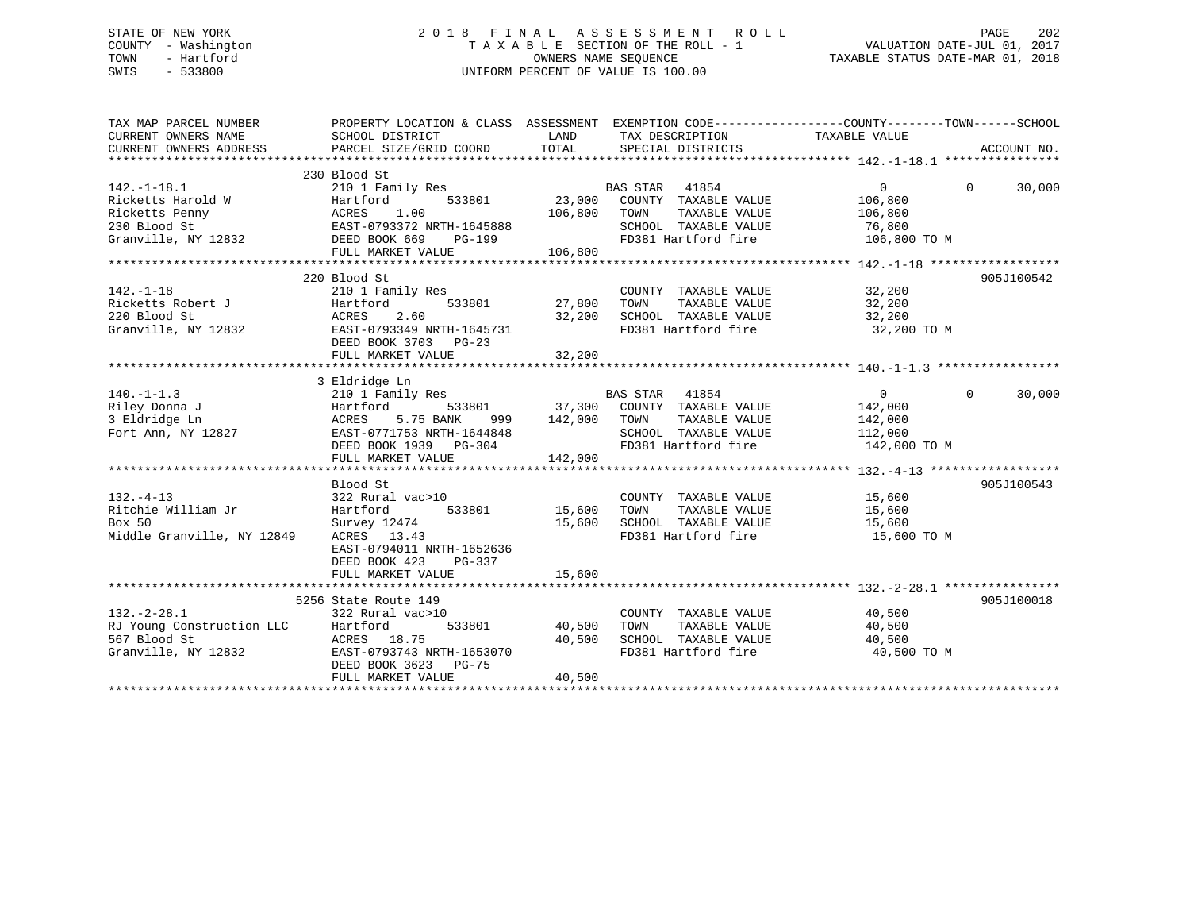## STATE OF NEW YORK 2 0 1 8 F I N A L A S S E S S M E N T R O L L PAGE 202 COUNTY - Washington T A X A B L E SECTION OF THE ROLL - 1 VALUATION DATE-JUL 01, 2017 TOWN - Hartford **TAXABLE STATUS DATE-MAR 01, 2018** OWNERS NAME SEQUENCE TAXABLE STATUS DATE-MAR 01, 2018 SWIS - 533800 UNIFORM PERCENT OF VALUE IS 100.00

| TAX MAP PARCEL NUMBER<br>CURRENT OWNERS NAME<br>CURRENT OWNERS ADDRESS                                                                                                                                                                               | PROPERTY LOCATION & CLASS ASSESSMENT EXEMPTION CODE----------------COUNTY-------TOWN------SCHOOL                 |         |                                                                                                            |                  |                    |
|------------------------------------------------------------------------------------------------------------------------------------------------------------------------------------------------------------------------------------------------------|------------------------------------------------------------------------------------------------------------------|---------|------------------------------------------------------------------------------------------------------------|------------------|--------------------|
|                                                                                                                                                                                                                                                      |                                                                                                                  |         |                                                                                                            |                  |                    |
| $142.-1-18.1$                                                                                                                                                                                                                                        | 230 Blood St<br>210 1 Family Res                                                                                 |         | BAS STAR 41854                                                                                             | $\Omega$         | $\Omega$<br>30,000 |
| Ricketts Harold W Hartford 533801<br>Ricketts Penny ACRES 1.00<br>230 Blood St EAST-0793372 NRTH-1645888                                                                                                                                             |                                                                                                                  |         | 533801 23,000 COUNTY TAXABLE VALUE 106,800<br>TAXABLE VALUE<br>106,800 TOWN<br>SCHOOL TAXABLE VALUE 76,800 | 106,800          |                    |
| Granville, NY 12832 DEED BOOK 669                                                                                                                                                                                                                    | <b>PG-199</b><br>FULL MARKET VALUE                                                                               | 106,800 | FD381 Hartford fire 106,800 TO M                                                                           |                  |                    |
|                                                                                                                                                                                                                                                      |                                                                                                                  |         |                                                                                                            |                  |                    |
|                                                                                                                                                                                                                                                      | 220 Blood St                                                                                                     |         |                                                                                                            |                  | 905J100542         |
| $142. - 1 - 18$                                                                                                                                                                                                                                      | 210 1 Family Res                                                                                                 |         | COUNTY TAXABLE VALUE 32,200                                                                                |                  |                    |
|                                                                                                                                                                                                                                                      |                                                                                                                  |         |                                                                                                            |                  |                    |
|                                                                                                                                                                                                                                                      | DEED BOOK 3703 PG-23                                                                                             |         |                                                                                                            | 32,200 TO M      |                    |
|                                                                                                                                                                                                                                                      |                                                                                                                  |         |                                                                                                            |                  |                    |
|                                                                                                                                                                                                                                                      | 3 Eldridge Ln                                                                                                    |         |                                                                                                            |                  |                    |
| 140.-1-1.3<br>Riley Donna J<br>210 1 Family Res<br>210 1 Family Res<br>37,300 COUNTY TAXABLE VALUE<br>3 Eldridge Ln<br>3 Eldridge Ln<br>3 Eldridge Ln<br>2002 COUNTY TAXABLE VALUE<br>210 2003<br>2142,000 TOWN TAXABLE VALUE<br>2142,000 TOWN TAXAB |                                                                                                                  |         |                                                                                                            | $\overline{0}$   | $\Omega$<br>30,000 |
|                                                                                                                                                                                                                                                      |                                                                                                                  |         |                                                                                                            | 142,000          |                    |
|                                                                                                                                                                                                                                                      |                                                                                                                  |         | TAXABLE VALUE                                                                                              | 142,000          |                    |
|                                                                                                                                                                                                                                                      |                                                                                                                  |         | SCHOOL TAXABLE VALUE 112,000                                                                               |                  |                    |
|                                                                                                                                                                                                                                                      | EAST-0771753 NRTH-1644848 SCHOOL TAXABLE VALUE<br>DEED BOOK 1939 PG-304 FD381 Hartford fire<br>FULL MARKET VALUE | 142,000 |                                                                                                            | 142,000 TO M     |                    |
|                                                                                                                                                                                                                                                      |                                                                                                                  |         |                                                                                                            |                  |                    |
|                                                                                                                                                                                                                                                      | Blood St                                                                                                         |         |                                                                                                            |                  | 905J100543         |
| $132. - 4 - 13$                                                                                                                                                                                                                                      | 322 Rural vac>10                                                                                                 |         | COUNTY TAXABLE VALUE 15,600                                                                                |                  |                    |
| Ritchie William Jr                                                                                                                                                                                                                                   | Hartford<br>533801 15,600                                                                                        |         | TOWN<br>TAXABLE VALUE                                                                                      |                  |                    |
| Box 50                                                                                                                                                                                                                                               | Survey 12474                                                                                                     | 15,600  | SCHOOL TAXABLE VALUE                                                                                       | 15,600<br>15,600 |                    |
| Middle Granville, NY 12849                                                                                                                                                                                                                           | ACRES 13.43<br>EAST-0794011 NRTH-1652636<br>DEED BOOK 423<br>PG-337                                              |         | FD381 Hartford fire 15,600 TO M                                                                            |                  |                    |
|                                                                                                                                                                                                                                                      | FULL MARKET VALUE                                                                                                | 15,600  |                                                                                                            |                  |                    |
|                                                                                                                                                                                                                                                      | 5256 State Route 149                                                                                             |         |                                                                                                            |                  | 905J100018         |
| $132 - 2 - 28.1$                                                                                                                                                                                                                                     | 322 Rural vac>10                                                                                                 |         | COUNTY TAXABLE VALUE 40,500                                                                                |                  |                    |
| RJ Young Construction LLC<br>567 Blood St                                                                                                                                                                                                            | 533801<br>Hartford                                                                                               |         | 40,500 TOWN TAXABLE VALUE<br>40,500 SCHOOL TAXABLE VALUE                                                   | 40,500           |                    |
|                                                                                                                                                                                                                                                      | ACRES 18.75                                                                                                      |         |                                                                                                            | 40,500           |                    |
| Granville, NY 12832                                                                                                                                                                                                                                  | EAST-0793743 NRTH-1653070<br>DEED BOOK 3623 PG-75<br>FULL MARKET VALUE                                           | 40,500  | FD381 Hartford fire 40,500 TO M                                                                            |                  |                    |
|                                                                                                                                                                                                                                                      |                                                                                                                  |         |                                                                                                            |                  |                    |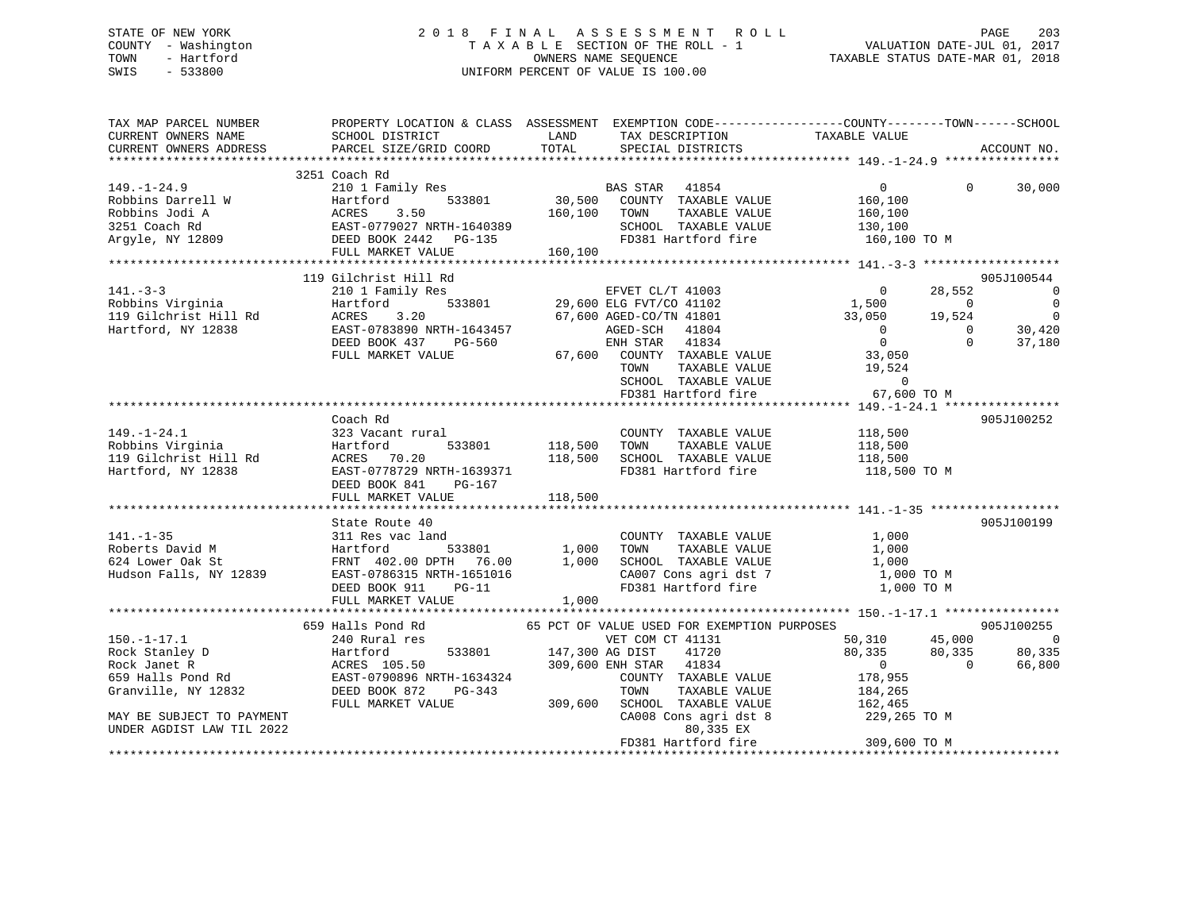## STATE OF NEW YORK 2 0 1 8 F I N A L A S S E S S M E N T R O L L PAGE 203 COUNTY - Washington T A X A B L E SECTION OF THE ROLL - 1 VALUATION DATE-JUL 01, 2017 TOWN - Hartford OWNERS NAME SEQUENCE TAXABLE STATUS DATE-MAR 01, 2018 SWIS - 533800 UNIFORM PERCENT OF VALUE IS 100.00

| TAX MAP PARCEL NUMBER<br>CURRENT OWNERS NAME<br>CURRENT OWNERS ADDRESS                                                                                                                                                                                                | PROPERTY LOCATION & CLASS ASSESSMENT EXEMPTION CODE----------------COUNTY-------TOWN------SCHOOL<br>SCHOOL DISTRICT<br><b>EXAMPLE THE STATE OF STATE OF STATE</b><br>PARCEL SIZE/GRID COORD                         | TOTAL                        | TAX DESCRIPTION TAXABLE VALUE SPECIAL DISTRICTS                                                                                           |                                                                                                               |                      | ACCOUNT NO.                                                    |
|-----------------------------------------------------------------------------------------------------------------------------------------------------------------------------------------------------------------------------------------------------------------------|---------------------------------------------------------------------------------------------------------------------------------------------------------------------------------------------------------------------|------------------------------|-------------------------------------------------------------------------------------------------------------------------------------------|---------------------------------------------------------------------------------------------------------------|----------------------|----------------------------------------------------------------|
|                                                                                                                                                                                                                                                                       |                                                                                                                                                                                                                     |                              |                                                                                                                                           |                                                                                                               |                      |                                                                |
| $149. - 1 - 24.9$<br>Robbins Darrell W<br>Robbins Jodi A<br>Robbins Jodi A<br>2015 - ACRES 3.50<br>2016 - 2017 TAXABLE VALUE<br>2016 - 2017 TAXABLE VALUE<br>2016 - 2017 TAXABLE VALUE<br>2017 TAXABLE VALUE<br>2017 TAXABLE VALUE<br>2018 - 2018 EAST-0779027 NRTH-1 | 3251 Coach Rd<br>FULL MARKET VALUE                                                                                                                                                                                  | 160,100                      |                                                                                                                                           | $\overline{0}$<br>160,100<br>160,100<br>130,100<br>160,100 TO M                                               |                      | $0 \t 30,000$                                                  |
|                                                                                                                                                                                                                                                                       |                                                                                                                                                                                                                     |                              |                                                                                                                                           |                                                                                                               |                      |                                                                |
|                                                                                                                                                                                                                                                                       | 119 Gilchrist Hill Rd<br>210 1 Family Res                                                                                                                                                                           |                              | 3<br>533801 29,600 ELG FVT/CO 41102<br>533801 29,600 ELG FVT/CO 41102                                                                     | $\sim$ 0                                                                                                      | 28,552               | 905J100544<br>$\overline{\phantom{0}}$                         |
| 141.-3-3<br>Robbins Virginia<br>Anti-Anti-Hill Rd<br>Hartford, NY 12838                                                                                                                                                                                               | Hartford<br>ACRES 3.20 67,600 AGED-CO/TN 41801<br>EAST-0783890 NRTH-1643457 AGED-SCH 41804<br>DEED BOOK 437 PG-560 ENH STAR 41834<br>FULL MARKET VALUE                                                              |                              | 67,600 COUNTY TAXABLE VALUE<br>TOWN<br>TAXABLE VALUE<br>SCHOOL TAXABLE VALUE<br>FD381 Hartford fire 67,                                   | $1,500$ 0<br>33,050 19,524<br>$\overline{0}$<br>$\overline{0}$<br>33,050<br>19,524<br>$\Omega$<br>67,600 TO M | $\Omega$<br>$\Omega$ | $\overline{0}$<br>$\overline{\phantom{0}}$<br>30,420<br>37,180 |
|                                                                                                                                                                                                                                                                       |                                                                                                                                                                                                                     |                              |                                                                                                                                           |                                                                                                               |                      |                                                                |
| $149. - 1 - 24.1$<br>Robbins Virginia<br>119 Gilchrist Hill Rd<br>Hartford, NY 12838                                                                                                                                                                                  | Coach Rd<br>323 Vacant rural<br>Hartford<br>533801<br>ACRES 70.20<br>EAST-0778729 NRTH-1639371<br>DEED BOOK 841<br>PG-167<br>FULL MARKET VALUE                                                                      | 118,500 TOWN<br>118,500      | COUNTY TAXABLE VALUE<br>TAXABLE VALUE<br>118,500 SCHOOL TAXABLE VALUE 118,500<br>FD381 Hartford fire                                      | 118,500<br>118,500<br>118,500 TO M                                                                            |                      | 905J100252                                                     |
|                                                                                                                                                                                                                                                                       | State Route 40                                                                                                                                                                                                      |                              |                                                                                                                                           |                                                                                                               |                      | 905J100199                                                     |
| $141. - 1 - 35$<br>Roberts David M<br>624 Lower Oak St<br>Hudson Falls, NY 12839                                                                                                                                                                                      | 311 Res vac land<br>DEED BOOK 911<br>$PG-11$<br>FULL MARKET VALUE                                                                                                                                                   | COUNT<br>1,000 TOWN<br>1,000 | COUNTY TAXABLE VALUE<br>TAXABLE VALUE<br>1,000 SCHOOL TAXABLE VALUE<br>CA007 Cons agri dst 7 1,000 TO M<br>FD381 Hartford fire 1,000 TO M | 1,000<br>1,000<br>1,000                                                                                       |                      |                                                                |
|                                                                                                                                                                                                                                                                       |                                                                                                                                                                                                                     |                              |                                                                                                                                           |                                                                                                               |                      |                                                                |
|                                                                                                                                                                                                                                                                       | 659 Halls Pond Rd 65 PCT OF VALUE USED FOR EXEMPTION PURPOSES                                                                                                                                                       |                              |                                                                                                                                           |                                                                                                               |                      | 905J100255                                                     |
| $150. - 1 - 17.1$<br>Rock Stanley D<br>Rock Janet R<br>659 Halls Pond Rd<br>Granville, NY 12832                                                                                                                                                                       | 240 Rural res<br>Hartford<br>ACRES 105.50<br>ACRES 105.50<br>EAST-0790896 NRTH-1634324<br>$PG-343$<br>DEED BOOK 872<br>FULL MARKET VALUE 309,600 SCHOOL TAXABLE VALUE 162,465<br>CA008 Cons agri dst 8 229,265 TO M |                              | VET COM CT 41131<br>533801 147,300 AG DIST 41720<br>309,600 ENH STAR 41834<br>COUNTY TAXABLE VALUE<br>TOWN<br>TAXABLE VALUE               | 50,310 45,000<br>80,335<br>$\begin{matrix}0&&&&0\cr178\,,955&&&&0\end{matrix}$<br>184,265                     | 80,335               | $\overline{\phantom{0}}$<br>80,335<br>66,800                   |
| MAY BE SUBJECT TO PAYMENT<br>UNDER AGDIST LAW TIL 2022                                                                                                                                                                                                                |                                                                                                                                                                                                                     |                              | 80,335 EX<br>FD381 Hartford fire                                                                                                          | 309,600 TO M                                                                                                  |                      |                                                                |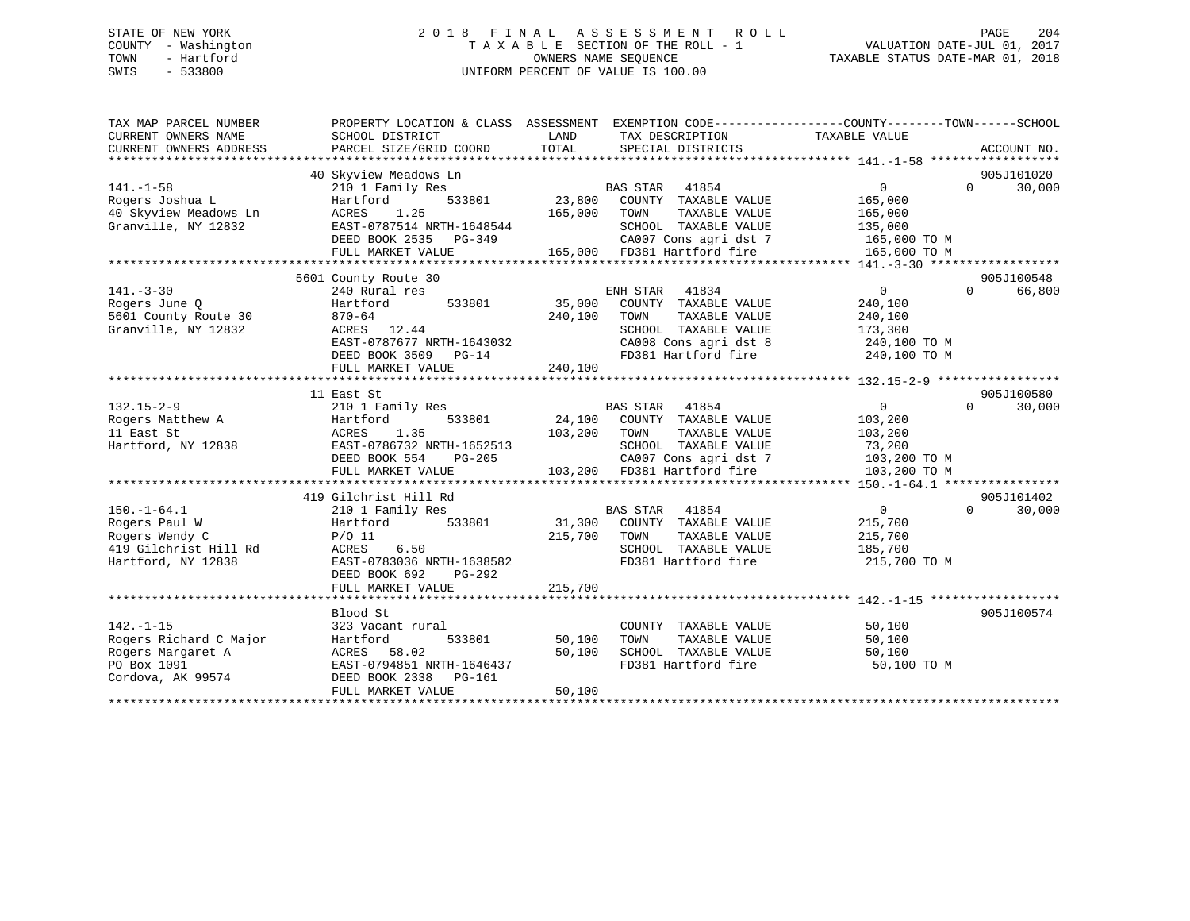## STATE OF NEW YORK 2 0 1 8 F I N A L A S S E S S M E N T R O L L PAGE 204 COUNTY - Washington T A X A B L E SECTION OF THE ROLL - 1 VALUATION DATE-JUL 01, 2017 TOWN - Hartford **TAXABLE STATUS DATE-MAR 01, 2018** OWNERS NAME SEQUENCE TAXABLE STATUS DATE-MAR 01, 2018 SWIS - 533800 UNIFORM PERCENT OF VALUE IS 100.00

| TAX MAP PARCEL NUMBER<br>CURRENT OWNERS NAME<br>CURRENT OWNERS ADDRESS | PROPERTY LOCATION & CLASS ASSESSMENT EXEMPTION CODE---------------COUNTY-------TOWN-----SCHOOL<br>SCHOOL DISTRICT<br>PARCEL SIZE/GRID COORD | LAND<br>TOTAL | TAX DESCRIPTION TAXABLE VALUE<br>SPECIAL DISTRICTS   |                    | ACCOUNT NO.        |
|------------------------------------------------------------------------|---------------------------------------------------------------------------------------------------------------------------------------------|---------------|------------------------------------------------------|--------------------|--------------------|
|                                                                        |                                                                                                                                             |               |                                                      |                    |                    |
|                                                                        | 40 Skyview Meadows Ln                                                                                                                       |               |                                                      |                    | 905J101020         |
| $141. - 1 - 58$                                                        | 210 1 Family Res                                                                                                                            |               | BAS STAR 41854                                       | $\overline{0}$     | $\Omega$<br>30,000 |
| Rogers Joshua L                                                        | 533801<br>Hartford                                                                                                                          |               | 23,800 COUNTY TAXABLE VALUE                          | 165,000            |                    |
| 40 Skyview Meadows Ln                                                  | ACRES<br>1.25                                                                                                                               | 165,000       | TOWN<br>TAXABLE VALUE                                | 165,000            |                    |
| Granville, NY 12832                                                    | EAST-0787514 NRTH-1648544                                                                                                                   |               | SCHOOL TAXABLE VALUE                                 | 135,000            |                    |
|                                                                        | DEED BOOK 2535 PG-349                                                                                                                       |               |                                                      | 165,000 TO M       |                    |
|                                                                        | FULL MARKET VALUE                                                                                                                           |               | CA007 Cons agri dst 7<br>165,000 FD381 Hartford fire | 165,000 TO M       |                    |
|                                                                        |                                                                                                                                             |               |                                                      |                    |                    |
|                                                                        | 5601 County Route 30                                                                                                                        |               |                                                      |                    | 905J100548         |
| $141. - 3 - 30$                                                        | 240 Rural res                                                                                                                               |               | ENH STAR<br>41834                                    | $\overline{0}$     | $\Omega$<br>66,800 |
| Rogers June 0                                                          | 533801<br>Hartford                                                                                                                          |               | 35,000 COUNTY TAXABLE VALUE                          | 240,100            |                    |
| 5601 County Route 30                                                   | 870-64                                                                                                                                      | 240,100       | TAXABLE VALUE<br>TOWN                                | 240,100            |                    |
| Granville, NY 12832                                                    | ACRES 12.44                                                                                                                                 |               | SCHOOL TAXABLE VALUE                                 | 173,300            |                    |
|                                                                        | EAST-0787677 NRTH-1643032                                                                                                                   |               | CA008 Cons agri dst 8<br>FD381 Hartford fire         | 240,100 TO M       |                    |
|                                                                        | DEED BOOK 3509 PG-14                                                                                                                        |               |                                                      | 240,100 TO M       |                    |
|                                                                        | FULL MARKET VALUE                                                                                                                           | 240,100       |                                                      |                    |                    |
|                                                                        |                                                                                                                                             |               |                                                      |                    |                    |
|                                                                        | 11 East St                                                                                                                                  |               |                                                      |                    | 905J100580         |
| $132.15 - 2 - 9$                                                       | 210 1 Family Res                                                                                                                            |               | BAS STAR 41854                                       | 0                  | 30,000<br>$\Omega$ |
| Rogers Matthew A                                                       | Hartford<br>533801                                                                                                                          |               | 24,100 COUNTY TAXABLE VALUE                          | 103,200            |                    |
| 11 East St                                                             | 1.35<br>ACRES                                                                                                                               | 103,200 TOWN  | TAXABLE VALUE                                        | 103,200            |                    |
| Hartford, NY 12838                                                     | EAST-0786732 NRTH-1652513                                                                                                                   |               | SCHOOL TAXABLE VALUE                                 | 73,200             |                    |
|                                                                        | DEED BOOK 554 PG-205                                                                                                                        |               | CA007 Cons agri dst 7                                | 103,200 TO M       |                    |
|                                                                        | FULL MARKET VALUE                                                                                                                           |               | 103,200 FD381 Hartford fire                          | 103,200 TO M       |                    |
|                                                                        |                                                                                                                                             |               |                                                      |                    |                    |
|                                                                        | 419 Gilchrist Hill Rd                                                                                                                       |               |                                                      |                    | 905J101402         |
| $150. - 1 - 64.1$                                                      | 210 1 Family Res                                                                                                                            |               | <b>BAS STAR</b><br>41854                             | $\overline{0}$     | 30,000<br>$\Omega$ |
| Rogers Paul W<br>Rogers Wendy C                                        | Hartford 533801                                                                                                                             |               | 31,300 COUNTY TAXABLE VALUE<br>TOWN                  | 215,700            |                    |
| 419 Gilchrist Hill Rd                                                  | $P/O$ 11<br>6.50<br>ACRES                                                                                                                   | 215,700       | TAXABLE VALUE<br>SCHOOL TAXABLE VALUE                | 215,700<br>185,700 |                    |
| Hartford, NY 12838                                                     | EAST-0783036 NRTH-1638582                                                                                                                   |               | FD381 Hartford fire                                  | 215,700 TO M       |                    |
|                                                                        | DEED BOOK 692<br>PG-292                                                                                                                     |               |                                                      |                    |                    |
|                                                                        | FULL MARKET VALUE                                                                                                                           | 215,700       |                                                      |                    |                    |
|                                                                        |                                                                                                                                             |               |                                                      |                    |                    |
|                                                                        | Blood St                                                                                                                                    |               |                                                      |                    | 905J100574         |
| $142. - 1 - 15$                                                        | 323 Vacant rural                                                                                                                            |               | COUNTY TAXABLE VALUE                                 | 50,100             |                    |
| Rogers Richard C Major                                                 | 533801<br>Hartford                                                                                                                          | 50,100        | TAXABLE VALUE<br>TOWN                                | 50,100             |                    |
| Rogers Margaret A                                                      | ACRES 58.02                                                                                                                                 | 50,100        | SCHOOL TAXABLE VALUE                                 | 50,100             |                    |
| PO Box 1091                                                            | EAST-0794851 NRTH-1646437                                                                                                                   |               | FD381 Hartford fire                                  | 50,100 TO M        |                    |
| Cordova, AK 99574                                                      | DEED BOOK 2338 PG-161                                                                                                                       |               |                                                      |                    |                    |
|                                                                        | FULL MARKET VALUE                                                                                                                           | 50,100        |                                                      |                    |                    |
|                                                                        |                                                                                                                                             |               |                                                      |                    |                    |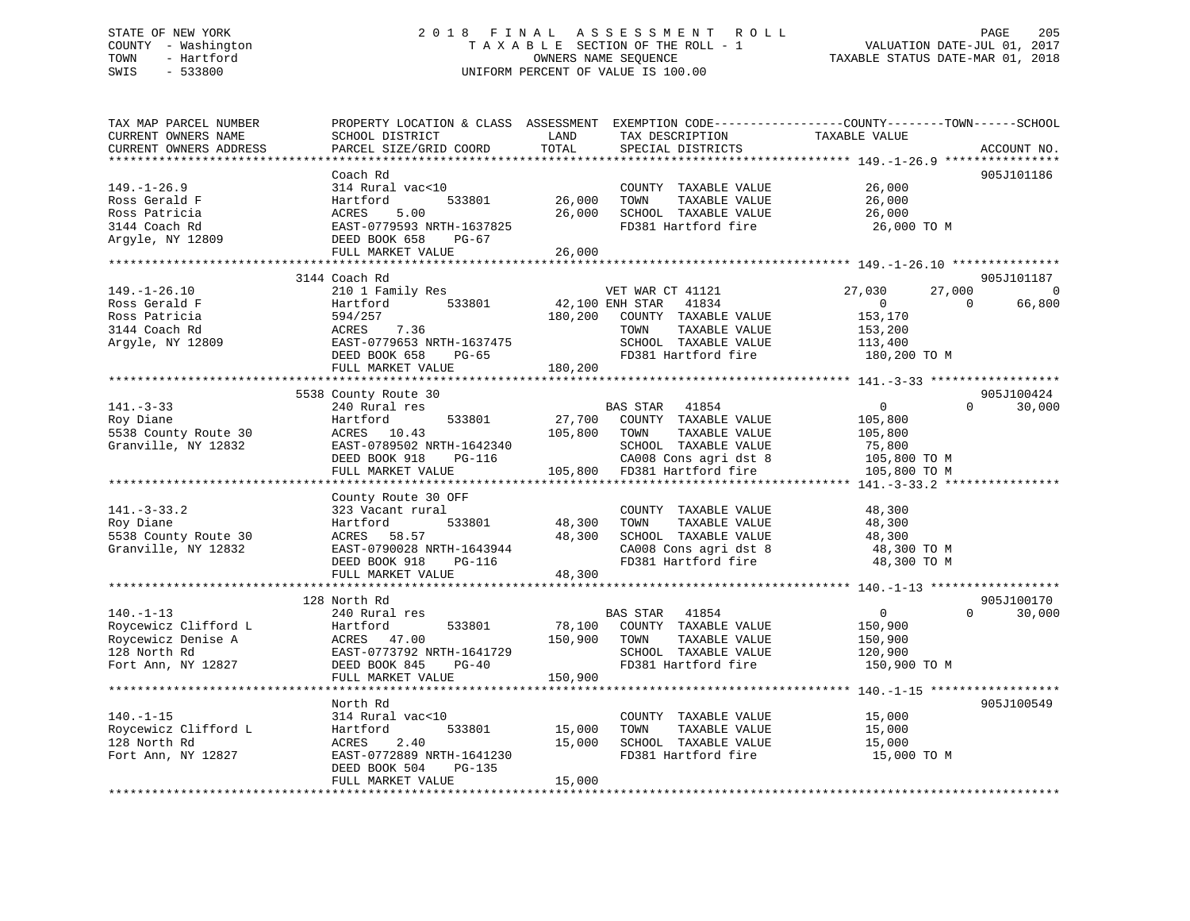## STATE OF NEW YORK 2 0 1 8 F I N A L A S S E S S M E N T R O L L PAGE 205 COUNTY - Washington T A X A B L E SECTION OF THE ROLL - 1 VALUATION DATE-JUL 01, 2017 TOWN - Hartford OWNERS NAME SEQUENCE TAXABLE STATUS DATE-MAR 01, 2018 SWIS - 533800 UNIFORM PERCENT OF VALUE IS 100.00

TAX MAP PARCEL NUMBER PROPERTY LOCATION & CLASS ASSESSMENT EXEMPTION CODE------------------COUNTY--------TOWN------SCHOOL CURRENT OWNERS NAME SCHOOL DISTRICT LAND TAX DESCRIPTION TAXABLE VALUE CURRENT OWNERS ADDRESS PARCEL SIZE/GRID COORD TOTAL SPECIAL DISTRICTS ACCOUNT NO. \*\*\*\*\*\*\*\*\*\*\*\*\*\*\*\*\*\*\*\*\*\*\*\*\*\*\*\*\*\*\*\*\*\*\*\*\*\*\*\*\*\*\*\*\*\*\*\*\*\*\*\*\*\*\*\*\*\*\*\*\*\*\*\*\*\*\*\*\*\*\*\*\*\*\*\*\*\*\*\*\*\*\*\*\*\*\*\*\*\*\*\*\*\*\*\*\*\*\*\*\*\*\* 149.-1-26.9 \*\*\*\*\*\*\*\*\*\*\*\*\*\*\*\* Coach Rd 905J101186149.-1-26.9 314 Rural vac<10 COUNTY TAXABLE VALUE 26,000 Ross Gerald F Hartford 533801 26,000 TOWN TAXABLE VALUE 26,000 Ross Patricia ACRES 5.00 26,000 SCHOOL TAXABLE VALUE 26,000 3144 Coach Rd EAST-0779593 NRTH-1637825 FD381 Hartford fire 26,000 TO M Argyle, NY 12809 DEED BOOK 658 PG-67 FULL MARKET VALUE 26,000 \*\*\*\*\*\*\*\*\*\*\*\*\*\*\*\*\*\*\*\*\*\*\*\*\*\*\*\*\*\*\*\*\*\*\*\*\*\*\*\*\*\*\*\*\*\*\*\*\*\*\*\*\*\*\*\*\*\*\*\*\*\*\*\*\*\*\*\*\*\*\*\*\*\*\*\*\*\*\*\*\*\*\*\*\*\*\*\*\*\*\*\*\*\*\*\*\*\*\*\*\*\*\* 149.-1-26.10 \*\*\*\*\*\*\*\*\*\*\*\*\*\*\* 3144 Coach Rd 905J101187 149.-1-26.10 210 1 Family Res VET WAR CT 41121 27,030 27,000 0 Ross Gerald F Hartford 533801 42,100 ENH STAR 41834 0 0 66,800 Ross Patricia 594/257 180,200 COUNTY TAXABLE VALUE 153,170 3144 Coach Rd ACRES 7.36 TOWN TAXABLE VALUE 153,200 Argyle, NY 12809 EAST-0779653 NRTH-1637475 SCHOOL TAXABLE VALUE 113,400 DEED BOOK 658 PG-65 FD381 Hartford fire 180,200 TO M FULL MARKET VALUE 180,200 \*\*\*\*\*\*\*\*\*\*\*\*\*\*\*\*\*\*\*\*\*\*\*\*\*\*\*\*\*\*\*\*\*\*\*\*\*\*\*\*\*\*\*\*\*\*\*\*\*\*\*\*\*\*\*\*\*\*\*\*\*\*\*\*\*\*\*\*\*\*\*\*\*\*\*\*\*\*\*\*\*\*\*\*\*\*\*\*\*\*\*\*\*\*\*\*\*\*\*\*\*\*\* 141.-3-33 \*\*\*\*\*\*\*\*\*\*\*\*\*\*\*\*\*\* 5538 County Route 30 905J100424 141.-3-33 240 Rural res BAS STAR 41854 0 0 30,000 Roy Diane Hartford 533801 27,700 COUNTY TAXABLE VALUE 105,800 5538 County Route 30 ACRES 10.43 105,800 TOWN TAXABLE VALUE 105,800 Granville, NY 12832 EAST-0789502 NRTH-1642340 SCHOOL TAXABLE VALUE 75,800 DEED BOOK 918 PG-116 CA008 Cons agri dst 8 105,800 TO M FULL MARKET VALUE 105,800 FD381 Hartford fire 105,800 TO M \*\*\*\*\*\*\*\*\*\*\*\*\*\*\*\*\*\*\*\*\*\*\*\*\*\*\*\*\*\*\*\*\*\*\*\*\*\*\*\*\*\*\*\*\*\*\*\*\*\*\*\*\*\*\*\*\*\*\*\*\*\*\*\*\*\*\*\*\*\*\*\*\*\*\*\*\*\*\*\*\*\*\*\*\*\*\*\*\*\*\*\*\*\*\*\*\*\*\*\*\*\*\* 141.-3-33.2 \*\*\*\*\*\*\*\*\*\*\*\*\*\*\*\* County Route 30 OFF 141.-3-33.2 323 Vacant rural COUNTY TAXABLE VALUE 48,300 Roy Diane Hartford 533801 48,300 TOWN TAXABLE VALUE 48,300 5538 County Route 30 ACRES 58.57 48,300 SCHOOL TAXABLE VALUE 48,300 Granville, NY 12832 EAST-0790028 NRTH-1643944 CA008 Cons agri dst 8 48,300 TO M DEED BOOK 918 PG-116 FD381 Hartford fire 48,300 TO M EAST-0790028 NKIR-10002.<br>DEED BOOK 918 PG-116 48,300 F \*\*\*\*\*\*\*\*\*\*\*\*\*\*\*\*\*\*\*\*\*\*\*\*\*\*\*\*\*\*\*\*\*\*\*\*\*\*\*\*\*\*\*\*\*\*\*\*\*\*\*\*\*\*\*\*\*\*\*\*\*\*\*\*\*\*\*\*\*\*\*\*\*\*\*\*\*\*\*\*\*\*\*\*\*\*\*\*\*\*\*\*\*\*\*\*\*\*\*\*\*\*\* 140.-1-13 \*\*\*\*\*\*\*\*\*\*\*\*\*\*\*\*\*\*905J100170 128 North Rd 905J100170 $0 \t30.000$ 140.-1-13 240 Rural res BAS STAR 41854 0 0 30,000 Roycewicz Clifford L Hartford 533801 78,100 COUNTY TAXABLE VALUE 150,900 Roycewicz Denise A ACRES 47.00 150,900 TOWN TAXABLE VALUE 150,900 128 North Rd EAST-0773792 NRTH-1641729 SCHOOL TAXABLE VALUE 120,900 Fort Ann, NY 12827 DEED BOOK 845 PG-40 FD381 Hartford fire 150,900 TO M FULL MARKET VALUE 150,900 \*\*\*\*\*\*\*\*\*\*\*\*\*\*\*\*\*\*\*\*\*\*\*\*\*\*\*\*\*\*\*\*\*\*\*\*\*\*\*\*\*\*\*\*\*\*\*\*\*\*\*\*\*\*\*\*\*\*\*\*\*\*\*\*\*\*\*\*\*\*\*\*\*\*\*\*\*\*\*\*\*\*\*\*\*\*\*\*\*\*\*\*\*\*\*\*\*\*\*\*\*\*\* 140.-1-15 \*\*\*\*\*\*\*\*\*\*\*\*\*\*\*\*\*\*905.T100549 North Rd 905J100549140.-1-15 314 Rural vac<10 COUNTY TAXABLE VALUE 15,000 Roycewicz Clifford L Hartford 533801 15,000 TOWN TAXABLE VALUE 15,000 128 North Rd ACRES 2.40 15,000 SCHOOL TAXABLE VALUE 15,000 Fort Ann, NY 12827 EAST-0772889 NRTH-1641230 FD381 Hartford fire 15,000 TO M DEED BOOK 504 PG-135 FULL MARKET VALUE 15,000 \*\*\*\*\*\*\*\*\*\*\*\*\*\*\*\*\*\*\*\*\*\*\*\*\*\*\*\*\*\*\*\*\*\*\*\*\*\*\*\*\*\*\*\*\*\*\*\*\*\*\*\*\*\*\*\*\*\*\*\*\*\*\*\*\*\*\*\*\*\*\*\*\*\*\*\*\*\*\*\*\*\*\*\*\*\*\*\*\*\*\*\*\*\*\*\*\*\*\*\*\*\*\*\*\*\*\*\*\*\*\*\*\*\*\*\*\*\*\*\*\*\*\*\*\*\*\*\*\*\*\*\*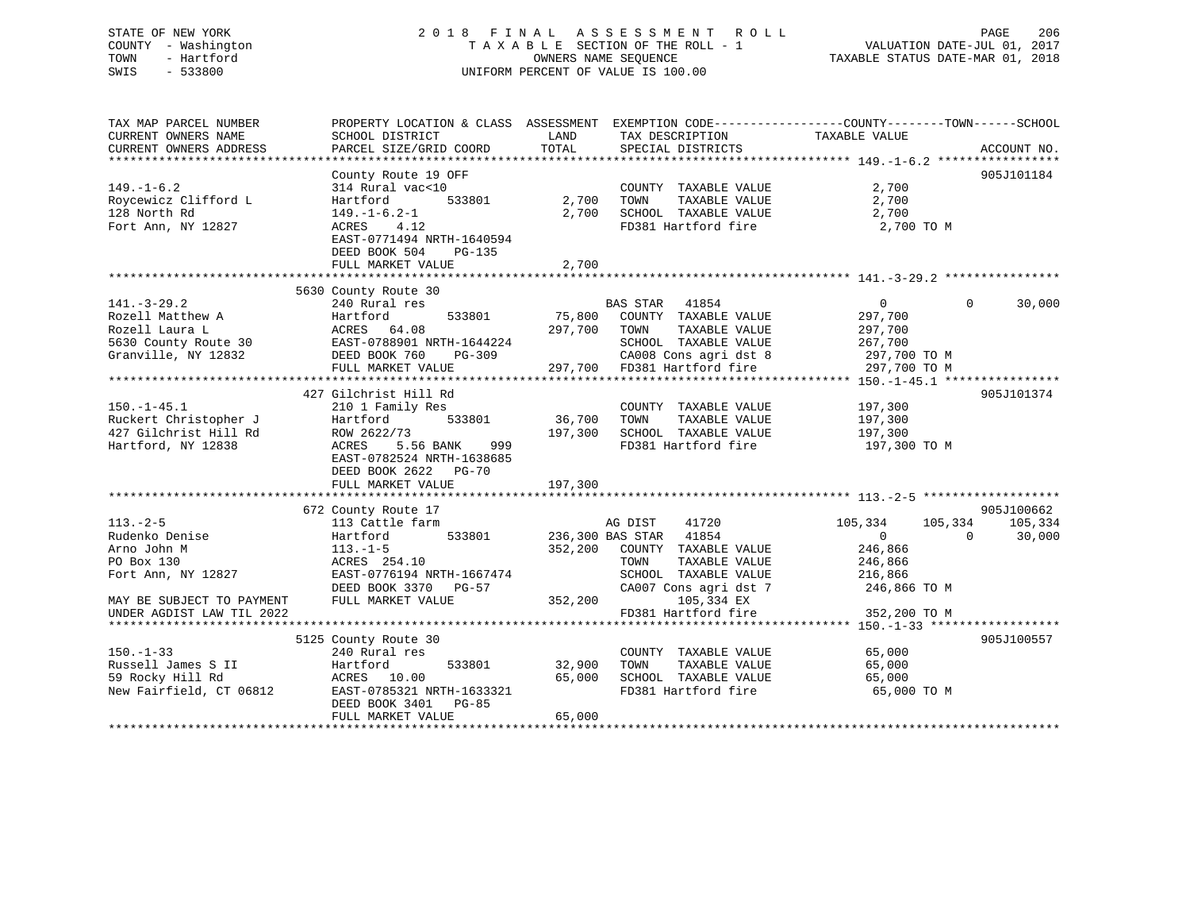#### STATE OF NEW YORK 2 0 1 8 F I N A L A S S E S S M E N T R O L L PAGE 206 COUNTY - Washington T A X A B L E SECTION OF THE ROLL - 1 VALUATION DATE-JUL 01, 2017 TOWN - Hartford OWNERS NAME SEQUENCE TAXABLE STATUS DATE-MAR 01, 2018 SWIS - 533800 UNIFORM PERCENT OF VALUE IS 100.00

TAX MAP PARCEL NUMBER PROPERTY LOCATION & CLASS ASSESSMENT EXEMPTION CODE------------------COUNTY--------TOWN------SCHOOL

CURRENT OWNERS NAME SCHOOL DISTRICT THE LAND TAX DESCRIPTION TAXABLE VALUE

CURRENT OWNERS ADDRESS PARCEL SIZE/GRID COORD TOTAL SPECIAL DISTRICTS ACCOUNT NO. \*\*\*\*\*\*\*\*\*\*\*\*\*\*\*\*\*\*\*\*\*\*\*\*\*\*\*\*\*\*\*\*\*\*\*\*\*\*\*\*\*\*\*\*\*\*\*\*\*\*\*\*\*\*\*\*\*\*\*\*\*\*\*\*\*\*\*\*\*\*\*\*\*\*\*\*\*\*\*\*\*\*\*\*\*\*\*\*\*\*\*\*\*\*\*\*\*\*\*\*\*\*\* 149.-1-6.2 \*\*\*\*\*\*\*\*\*\*\*\*\*\*\*\*\* County Route 19 OFF 905J101184 149.-1-6.2 314 Rural vac<10 COUNTY TAXABLE VALUE 2,700 Roycewicz Clifford L Hartford 533801 2,700 TOWN TAXABLE VALUE 2,700 128 North Rd 149.-1-6.2-1 2,700 SCHOOL TAXABLE VALUE 2,700 Fort Ann, NY 12827 ACRES 4.12 FD381 Hartford fire 2,700 TO M EAST-0771494 NRTH-1640594 DEED BOOK 504 PG-135 FULL MARKET VALUE 2,700 \*\*\*\*\*\*\*\*\*\*\*\*\*\*\*\*\*\*\*\*\*\*\*\*\*\*\*\*\*\*\*\*\*\*\*\*\*\*\*\*\*\*\*\*\*\*\*\*\*\*\*\*\*\*\*\*\*\*\*\*\*\*\*\*\*\*\*\*\*\*\*\*\*\*\*\*\*\*\*\*\*\*\*\*\*\*\*\*\*\*\*\*\*\*\*\*\*\*\*\*\*\*\* 141.-3-29.2 \*\*\*\*\*\*\*\*\*\*\*\*\*\*\*\* 5630 County Route 30 141.-3-29.2 240 Rural res BAS STAR 41854 0 0 30,000 Rozell Matthew A Hartford 533801 75,800 COUNTY TAXABLE VALUE 297,700 Rozell Laura L ACRES 64.08 297,700 TOWN TAXABLE VALUE 297,700 5630 County Route 30 EAST-0788901 NRTH-1644224 SCHOOL TAXABLE VALUE 267,700 Granville, NY 12832 DEED BOOK 760 PG-309 CA008 Cons agri dst 8 297,700 TO M FULL MARKET VALUE 297,700 FD381 Hartford fire 297,700 TO M \*\*\*\*\*\*\*\*\*\*\*\*\*\*\*\*\*\*\*\*\*\*\*\*\*\*\*\*\*\*\*\*\*\*\*\*\*\*\*\*\*\*\*\*\*\*\*\*\*\*\*\*\*\*\*\*\*\*\*\*\*\*\*\*\*\*\*\*\*\*\*\*\*\*\*\*\*\*\*\*\*\*\*\*\*\*\*\*\*\*\*\*\*\*\*\*\*\*\*\*\*\*\* 150.-1-45.1 \*\*\*\*\*\*\*\*\*\*\*\*\*\*\*\* 427 Gilchrist Hill Rd 905J101374150.-1-45.1 210 1 Family Res COUNTY TAXABLE VALUE 197,300 Ruckert Christopher J Hartford 533801 36,700 TOWN TAXABLE VALUE 197,300 427 Gilchrist Hill Rd ROW 2622/73 197,300 SCHOOL TAXABLE VALUE 197,300 Hartford, NY 12838 ACRES 5.56 BANK 999 FD381 Hartford fire 197,300 TO M EAST-0782524 NRTH-1638685 DEED BOOK 2622 PG-70 FULL MARKET VALUE 197,300 \*\*\*\*\*\*\*\*\*\*\*\*\*\*\*\*\*\*\*\*\*\*\*\*\*\*\*\*\*\*\*\*\*\*\*\*\*\*\*\*\*\*\*\*\*\*\*\*\*\*\*\*\*\*\*\*\*\*\*\*\*\*\*\*\*\*\*\*\*\*\*\*\*\*\*\*\*\*\*\*\*\*\*\*\*\*\*\*\*\*\*\*\*\*\*\*\*\*\*\*\*\*\* 113.-2-5 \*\*\*\*\*\*\*\*\*\*\*\*\*\*\*\*\*\*\* 672 County Route 17 905J100662 113.-2-5 113 Cattle farm AG DIST 41720 105,334 105,334 105,334 Rudenko Denise Hartford 533801 236,300 BAS STAR 41854 0 0 30,000 Arno John M 113.-1-5 352,200 COUNTY TAXABLE VALUE 246,866 PO Box 130 ACRES 254.10 TOWN TAXABLE VALUE 246,866 Fort Ann, NY 12827 EAST-0776194 NRTH-1667474 SCHOOL TAXABLE VALUE 216,866 DEED BOOK 3370 PG-57 CA007 Cons agri dst 7 246,866 TO M MAY BE SUBJECT TO PAYMENT FULL MARKET VALUE 352,200 105,334 EX UNDER AGDIST LAW TIL 2022 FD381 Hartford fire 352,200 TO M \*\*\*\*\*\*\*\*\*\*\*\*\*\*\*\*\*\*\*\*\*\*\*\*\*\*\*\*\*\*\*\*\*\*\*\*\*\*\*\*\*\*\*\*\*\*\*\*\*\*\*\*\*\*\*\*\*\*\*\*\*\*\*\*\*\*\*\*\*\*\*\*\*\*\*\*\*\*\*\*\*\*\*\*\*\*\*\*\*\*\*\*\*\*\*\*\*\*\*\*\*\*\* 150.-1-33 \*\*\*\*\*\*\*\*\*\*\*\*\*\*\*\*\*\* 5125 County Route 30 905J100557 150.-1-33 240 Rural res COUNTY TAXABLE VALUE 65,000 Russell James S II Hartford 533801 32,900 TOWN TAXABLE VALUE 65,000 59 Rocky Hill Rd ACRES 10.00 65,000 SCHOOL TAXABLE VALUE 65,000 New Fairfield, CT 06812 EAST-0785321 NRTH-1633321 FD381 Hartford fire 65,000 TO M DEED BOOK 3401 PG-85FULL MARKET VALUE 65,000

\*\*\*\*\*\*\*\*\*\*\*\*\*\*\*\*\*\*\*\*\*\*\*\*\*\*\*\*\*\*\*\*\*\*\*\*\*\*\*\*\*\*\*\*\*\*\*\*\*\*\*\*\*\*\*\*\*\*\*\*\*\*\*\*\*\*\*\*\*\*\*\*\*\*\*\*\*\*\*\*\*\*\*\*\*\*\*\*\*\*\*\*\*\*\*\*\*\*\*\*\*\*\*\*\*\*\*\*\*\*\*\*\*\*\*\*\*\*\*\*\*\*\*\*\*\*\*\*\*\*\*\*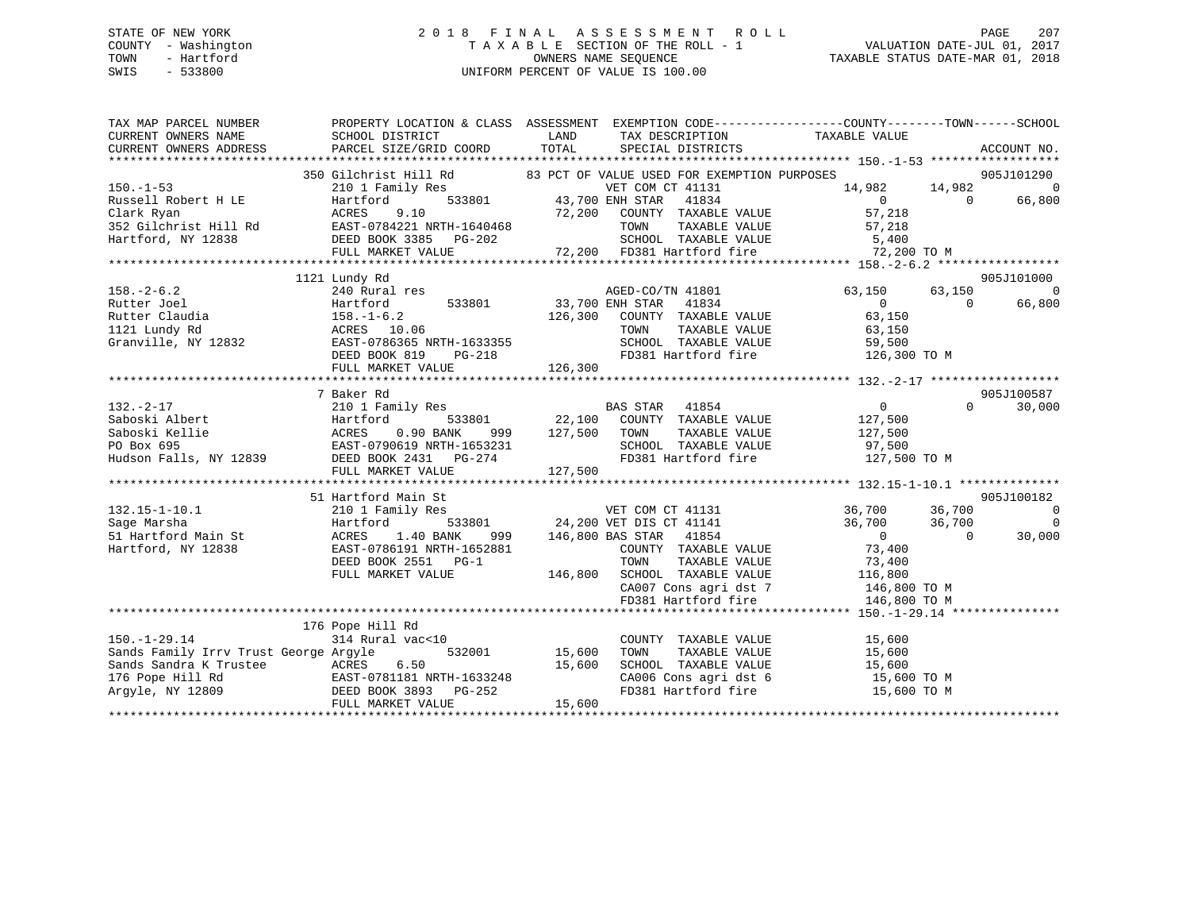## STATE OF NEW YORK 2 0 1 8 F I N A L A S S E S S M E N T R O L L PAGE 207 COUNTY - Washington T A X A B L E SECTION OF THE ROLL - 1 VALUATION DATE-JUL 01, 2017 TOWN - Hartford OWNERS NAME SEQUENCE TAXABLE STATUS DATE-MAR 01, 2018 SWIS - 533800 UNIFORM PERCENT OF VALUE IS 100.00

| TAX MAP PARCEL NUMBER<br>CURRENT OWNERS NAME<br>CURRENT OWNERS ADDRESS                                                                                                                                                                                                                                                                                                                                                     | PROPERTY LOCATION & CLASS ASSESSMENT EXEMPTION CODE-----------------COUNTY--------TOWN------SCHOOL<br>SCHOOL DISTRICT<br>PARCEL SIZE/GRID COORD | <b>LAND</b><br>TOTAL | TAX DESCRIPTION TAXABLE VALUE<br>SPECIAL DISTRICTS                                                                                                                                                   |                                                                             |                      | ACCOUNT NO.                                                  |
|----------------------------------------------------------------------------------------------------------------------------------------------------------------------------------------------------------------------------------------------------------------------------------------------------------------------------------------------------------------------------------------------------------------------------|-------------------------------------------------------------------------------------------------------------------------------------------------|----------------------|------------------------------------------------------------------------------------------------------------------------------------------------------------------------------------------------------|-----------------------------------------------------------------------------|----------------------|--------------------------------------------------------------|
| 350 Gilchrist Hill Rd and EXERE S (200 FD381 Hartford and DEED BOOK 3385 PG-202 (200 FD381 Hartford and DEED BOOK 3385 PG-202 (200 FD381 Hartford and DEED BOOK SALUE (200 FD381 Hartford and DEED BOOK SALUE (200 FD381 Hartf                                                                                                                                                                                             |                                                                                                                                                 |                      |                                                                                                                                                                                                      |                                                                             |                      |                                                              |
|                                                                                                                                                                                                                                                                                                                                                                                                                            |                                                                                                                                                 |                      |                                                                                                                                                                                                      |                                                                             |                      |                                                              |
|                                                                                                                                                                                                                                                                                                                                                                                                                            | 1121 Lundy Rd                                                                                                                                   |                      |                                                                                                                                                                                                      |                                                                             | 63,150<br>$\bigcirc$ | 905J101000<br>$\mathbf 0$<br>66,800                          |
|                                                                                                                                                                                                                                                                                                                                                                                                                            |                                                                                                                                                 |                      |                                                                                                                                                                                                      |                                                                             |                      |                                                              |
|                                                                                                                                                                                                                                                                                                                                                                                                                            | 7 Baker Rd                                                                                                                                      |                      |                                                                                                                                                                                                      |                                                                             |                      | 905J100587                                                   |
| $132 - 2 - 17$<br>$\begin{tabular}{lllllllllllllllllllll} \text{332.}-2-17 & \text{210.1 cm} & \text{22,100} & \text{COUNIT} & \text{IADADLE} & \text{23,500} \\ \text{Saboski Albert} & \text{Hartford} & 533801 & 22,100 & \text{COUNIT} & \text{IADADLE} & \text{23,500} \\ \text{Saboski Kellie} & \text{ACRES} & 0.90 & \text{BANK} & 999 & 127,500 & \text{TOWN} & \text{TAXABLE VALUE} & 127,500 \\ \text{PO Box 6$ |                                                                                                                                                 |                      |                                                                                                                                                                                                      | $\begin{array}{ccccc} & & & & 0 & \\ & & & & 127\,,500 & \end{array}$ VALUE | $\Omega$             | 30,000                                                       |
|                                                                                                                                                                                                                                                                                                                                                                                                                            |                                                                                                                                                 |                      |                                                                                                                                                                                                      |                                                                             |                      |                                                              |
|                                                                                                                                                                                                                                                                                                                                                                                                                            | 51 Hartford Main St<br>210 1 Family Res<br>1.40 BANK<br>EAST-0786191 NRTH-1652881<br>DEED BOOK 2551 PG-1<br>FULL MARKET VALUE                   |                      | COUNTY TAXABLE VALUE<br>COUNTY TAXABLE VALUE<br>TOWN TRANS<br>146,800 SCHOOL TAXABLE VALUE 116,800<br>CA007 Cons agri dst 7 146,800 TO M<br>FD381 Hartford fire 146,800 TO M                         | TAXABLE VALUE 73,400                                                        |                      | 905J100182<br>$\overline{\phantom{0}}$<br>$\Omega$<br>30,000 |
|                                                                                                                                                                                                                                                                                                                                                                                                                            |                                                                                                                                                 |                      |                                                                                                                                                                                                      |                                                                             |                      |                                                              |
| $150. - 1 - 29.14$<br>Sands Family Irrv Trust George Argyle<br>Sands Family Irrv Trust George Argyic Constants Sandra K Trustee (ACRES 6.50 15,600<br>176 Pope Hill Rd (EAST-0781181 NRTH-1633248<br>Argyle, NY 12809 (DEED BOOK 3893 PG-252<br>FULL MARKET VALUE 15,600                                                                                                                                                   | 176 Pope Hill Rd<br>11 Rd<br>al vac<10 532001 15,600 TOWN<br>314 Rural vac<10                                                                   |                      | COUNTY TAXABLE VALUE 15,600<br>TOWN TAXABLE VALUE 15,600<br>SCHOOL TAXABLE VALUE 15,600<br>CA006 Cons agri dst 6 15,600 TO M<br>CA006 Cons agri dst 6 15,600 TO M<br>FD381 Hartford fire 15,600 TO M |                                                                             |                      |                                                              |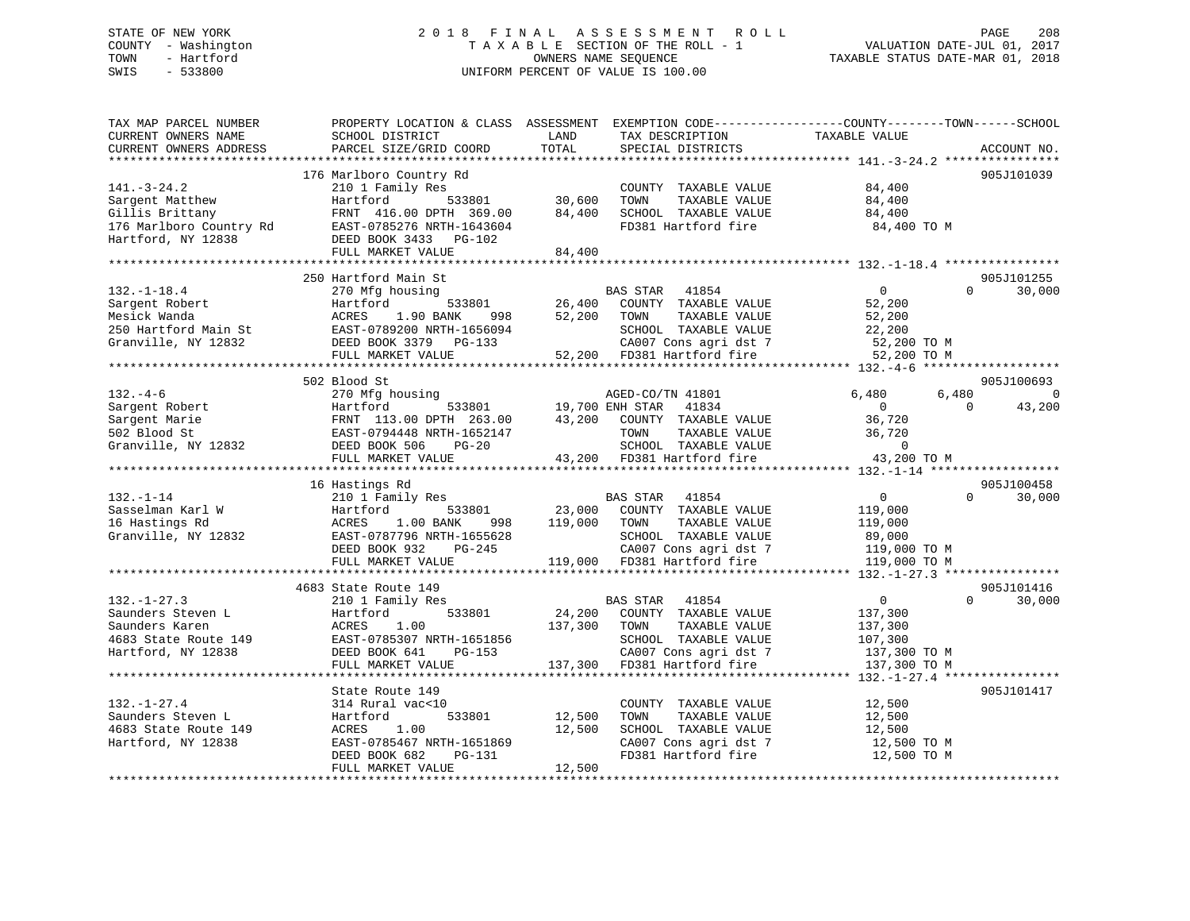## STATE OF NEW YORK 2 0 1 8 F I N A L A S S E S S M E N T R O L L PAGE 208 COUNTY - Washington T A X A B L E SECTION OF THE ROLL - 1 VALUATION DATE-JUL 01, 2017 TOWN - Hartford **TAXABLE STATUS DATE-MAR 01, 2018** OWNERS NAME SEQUENCE TAXABLE STATUS DATE-MAR 01, 2018 SWIS - 533800 UNIFORM PERCENT OF VALUE IS 100.00

| PROPERTY LOCATION & CLASS ASSESSMENT<br>SCHOOL DISTRICT<br>PARCEL SIZE/GRID COORD                                                                       | LAND<br>TOTAL                                                                                                                                        | TAX DESCRIPTION<br>SPECIAL DISTRICTS                                                                                           | EXEMPTION CODE----------------COUNTY-------TOWN-----SCHOOL<br>TAXABLE VALUE                                        | ACCOUNT NO.                                                                                                                          |
|---------------------------------------------------------------------------------------------------------------------------------------------------------|------------------------------------------------------------------------------------------------------------------------------------------------------|--------------------------------------------------------------------------------------------------------------------------------|--------------------------------------------------------------------------------------------------------------------|--------------------------------------------------------------------------------------------------------------------------------------|
|                                                                                                                                                         |                                                                                                                                                      |                                                                                                                                |                                                                                                                    |                                                                                                                                      |
| 210 1 Family Res<br>Hartford<br>533801<br>FRNT 416.00 DPTH 369.00<br>EAST-0785276 NRTH-1643604<br>DEED BOOK 3433 PG-102<br>FULL MARKET VALUE            | 30,600<br>84,400<br>84,400                                                                                                                           | COUNTY TAXABLE VALUE<br>TOWN<br>TAXABLE VALUE<br>SCHOOL TAXABLE VALUE<br>FD381 Hartford fire                                   | 84,400<br>84,400<br>84,400<br>84,400 TO M                                                                          | 905J101039                                                                                                                           |
|                                                                                                                                                         |                                                                                                                                                      |                                                                                                                                |                                                                                                                    |                                                                                                                                      |
| 270 Mfg housing<br>533801<br>Hartford<br>ACRES<br>1.90 BANK<br>998<br>EAST-0789200 NRTH-1656094<br>DEED BOOK 3379 PG-133<br>FULL MARKET VALUE           | 26,400<br>52,200                                                                                                                                     | 41854<br>COUNTY TAXABLE VALUE<br>TAXABLE VALUE<br>TOWN<br>SCHOOL TAXABLE VALUE<br>CA007 Cons agri dst 7                        | $\overline{0}$<br>$\Omega$<br>52,200<br>52,200<br>22,200<br>52,200 TO M<br>52,200 TO M                             | 905J101255<br>30,000                                                                                                                 |
|                                                                                                                                                         |                                                                                                                                                      |                                                                                                                                |                                                                                                                    | 905J100693                                                                                                                           |
| 270 Mfg housing                                                                                                                                         |                                                                                                                                                      |                                                                                                                                | 6,480<br>6,480                                                                                                     | $\Omega$<br>43,200                                                                                                                   |
| FRNT 113.00 DPTH 263.00<br>EAST-0794448 NRTH-1652147<br>DEED BOOK 506<br>$PG-20$                                                                        | 43,200                                                                                                                                               | COUNTY TAXABLE VALUE<br>TOWN<br>TAXABLE VALUE<br>SCHOOL TAXABLE VALUE                                                          | 36,720<br>36,720<br>$\overline{0}$                                                                                 |                                                                                                                                      |
|                                                                                                                                                         |                                                                                                                                                      |                                                                                                                                |                                                                                                                    |                                                                                                                                      |
|                                                                                                                                                         |                                                                                                                                                      |                                                                                                                                |                                                                                                                    | 905J100458                                                                                                                           |
| 210 1 Family Res<br>Hartford<br>533801<br>1.00 BANK<br>ACRES<br>998<br>EAST-0787796 NRTH-1655628<br>DEED BOOK 932<br>PG-245<br>FULL MARKET VALUE        | 119,000                                                                                                                                              | 41854<br>COUNTY TAXABLE VALUE<br>TOWN<br>TAXABLE VALUE<br>SCHOOL TAXABLE VALUE<br>CA007 Cons agri dst 7                        | 0<br>$\cap$<br>119,000<br>119,000<br>89,000<br>119,000 TO M<br>119,000 TO M                                        | 30,000                                                                                                                               |
|                                                                                                                                                         |                                                                                                                                                      |                                                                                                                                |                                                                                                                    | 905J101416                                                                                                                           |
| 210 1 Family Res<br>533801<br>Hartford<br>1.00<br>ACRES<br>EAST-0785307 NRTH-1651856<br>DEED BOOK 641<br>PG-153<br>FULL MARKET VALUE                    | 137,300<br>137,300                                                                                                                                   | 41854<br>COUNTY TAXABLE VALUE<br>TAXABLE VALUE<br>TOWN<br>SCHOOL TAXABLE VALUE<br>CA007 Cons agri dst 7<br>FD381 Hartford fire | $\overline{0}$<br>$\Omega$<br>137,300<br>137,300<br>107,300<br>137,300 TO M<br>137,300 TO M                        | 30,000                                                                                                                               |
|                                                                                                                                                         |                                                                                                                                                      |                                                                                                                                |                                                                                                                    |                                                                                                                                      |
| State Route 149<br>314 Rural vac<10<br>Hartford<br>533801<br>ACRES<br>1.00<br>EAST-0785467 NRTH-1651869<br>DEED BOOK 682<br>PG-131<br>FULL MARKET VALUE | 12,500<br>12,500<br>12,500                                                                                                                           | COUNTY TAXABLE VALUE<br>TAXABLE VALUE<br>TOWN<br>SCHOOL TAXABLE VALUE<br>CA007 Cons agri dst 7<br>FD381 Hartford fire          | 12,500<br>12,500<br>12,500<br>12,500 TO M<br>12,500 TO M                                                           | 905J101417                                                                                                                           |
|                                                                                                                                                         | 176 Marlboro Country Rd<br>250 Hartford Main St<br>502 Blood St<br>Hartford<br>533801<br>FULL MARKET VALUE<br>16 Hastings Rd<br>4683 State Route 149 |                                                                                                                                | BAS STAR<br>AGED-CO/TN 41801<br>19,700 ENH STAR<br>41834<br><b>BAS STAR</b><br>23,000<br><b>BAS STAR</b><br>24,200 | 52,200 FD381 Hartford fire<br>$\overline{0}$<br>$\Omega$<br>43,200 FD381 Hartford fire<br>43,200 TO M<br>119,000 FD381 Hartford fire |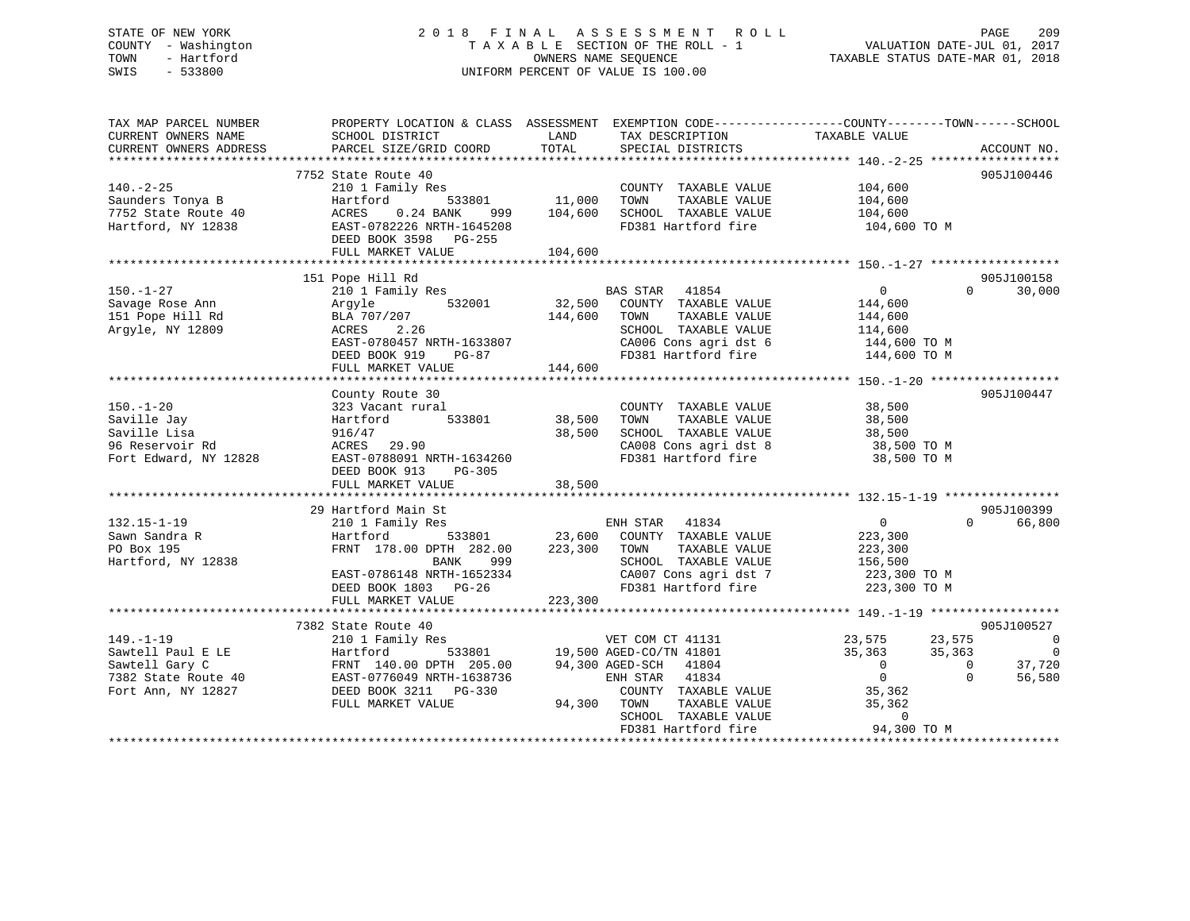## STATE OF NEW YORK 2 0 1 8 F I N A L A S S E S S M E N T R O L L PAGE 209 COUNTY - Washington T A X A B L E SECTION OF THE ROLL - 1 VALUATION DATE-JUL 01, 2017 TOWN - Hartford **TAXABLE STATUS DATE-MAR 01, 2018** OWNERS NAME SEQUENCE TAXABLE STATUS DATE-MAR 01, 2018 SWIS - 533800 UNIFORM PERCENT OF VALUE IS 100.00

| TAX MAP PARCEL NUMBER<br>CURRENT OWNERS NAME<br>CURRENT OWNERS ADDRESS | PROPERTY LOCATION & CLASS ASSESSMENT<br>SCHOOL DISTRICT<br>PARCEL SIZE/GRID COORD | LAND<br>TOTAL | TAX DESCRIPTION<br>SPECIAL DISTRICTS        | EXEMPTION CODE-----------------COUNTY-------TOWN------SCHOOL<br>TAXABLE VALUE | ACCOUNT NO.            |
|------------------------------------------------------------------------|-----------------------------------------------------------------------------------|---------------|---------------------------------------------|-------------------------------------------------------------------------------|------------------------|
|                                                                        |                                                                                   |               |                                             |                                                                               |                        |
|                                                                        | 7752 State Route 40                                                               |               |                                             |                                                                               | 905J100446             |
| $140. - 2 - 25$                                                        | 210 1 Family Res                                                                  |               | COUNTY TAXABLE VALUE                        | 104,600                                                                       |                        |
| Saunders Tonya B                                                       | Hartford<br>533801                                                                | 11,000        | TOWN<br>TAXABLE VALUE                       | 104,600                                                                       |                        |
| 7752 State Route 40                                                    | ACRES<br>$0.24$ BANK<br>999                                                       | 104,600       | SCHOOL TAXABLE VALUE                        | 104,600                                                                       |                        |
| Hartford, NY 12838                                                     | EAST-0782226 NRTH-1645208                                                         |               | FD381 Hartford fire                         | 104,600 TO M                                                                  |                        |
|                                                                        | DEED BOOK 3598 PG-255                                                             |               |                                             |                                                                               |                        |
|                                                                        | FULL MARKET VALUE                                                                 | 104,600       |                                             |                                                                               |                        |
|                                                                        |                                                                                   |               |                                             |                                                                               |                        |
|                                                                        | 151 Pope Hill Rd                                                                  |               |                                             |                                                                               | 905J100158             |
| $150. - 1 - 27$                                                        | 210 1 Family Res                                                                  |               | BAS STAR 41854                              | $\overline{0}$                                                                | 30,000<br>$\Omega$     |
| Savage Rose Ann                                                        | 532001<br>Argyle                                                                  | 32,500        | COUNTY TAXABLE VALUE                        | 144,600                                                                       |                        |
| 151 Pope Hill Rd                                                       | BLA 707/207                                                                       | 144,600       | TOWN<br>TAXABLE VALUE                       | 144,600                                                                       |                        |
|                                                                        |                                                                                   |               |                                             |                                                                               |                        |
| Argyle, NY 12809                                                       | ACRES<br>2.26                                                                     |               | SCHOOL TAXABLE VALUE                        | 114,600                                                                       |                        |
|                                                                        | EAST-0780457 NRTH-1633807                                                         |               | CA006 Cons agri dst 6                       | 144,600 TO M                                                                  |                        |
|                                                                        | DEED BOOK 919<br>PG-87                                                            |               | FD381 Hartford fire                         | 144,600 TO M                                                                  |                        |
|                                                                        | FULL MARKET VALUE                                                                 | 144,600       |                                             |                                                                               |                        |
|                                                                        |                                                                                   |               |                                             |                                                                               |                        |
|                                                                        | County Route 30                                                                   |               |                                             |                                                                               | 905J100447             |
| $150. - 1 - 20$                                                        | 323 Vacant rural                                                                  |               | COUNTY TAXABLE VALUE                        | 38,500                                                                        |                        |
| Saville Jay                                                            | 533801<br>Hartford                                                                | 38,500        | TOWN<br>TAXABLE VALUE                       | 38,500                                                                        |                        |
| Saville Lisa                                                           | 916/47                                                                            | 38,500        | SCHOOL TAXABLE VALUE                        | 38,500                                                                        |                        |
| 96 Reservoir Rd                                                        | ACRES 29.90                                                                       |               | CA008 Cons agri dst 8                       | 38,500 TO M                                                                   |                        |
| Fort Edward, NY 12828                                                  | EAST-0788091 NRTH-1634260                                                         |               | FD381 Hartford fire                         | 38,500 TO M                                                                   |                        |
|                                                                        | DEED BOOK 913<br>$PG-305$                                                         |               |                                             |                                                                               |                        |
|                                                                        | FULL MARKET VALUE                                                                 | 38,500        |                                             |                                                                               |                        |
|                                                                        |                                                                                   |               |                                             |                                                                               |                        |
|                                                                        | 29 Hartford Main St                                                               |               |                                             |                                                                               | 905J100399             |
| $132.15 - 1 - 19$                                                      |                                                                                   |               | ENH STAR 41834                              | $\overline{0}$                                                                | $\Omega$<br>66,800     |
|                                                                        | 210 1 Family Res                                                                  |               |                                             |                                                                               |                        |
| Sawn Sandra R                                                          | Hartford<br>533801                                                                |               | 23,600 COUNTY TAXABLE VALUE                 | 223,300                                                                       |                        |
| PO Box 195                                                             | FRNT 178.00 DPTH 282.00                                                           | 223,300       | TOWN<br>TAXABLE VALUE                       | 223,300                                                                       |                        |
| Hartford, NY 12838                                                     | BANK<br>999                                                                       |               | SCHOOL TAXABLE VALUE                        | 156,500                                                                       |                        |
|                                                                        | EAST-0786148 NRTH-1652334                                                         |               | CA007 Cons agri dst 7                       | 223,300 TO M                                                                  |                        |
|                                                                        | DEED BOOK 1803 PG-26                                                              |               | FD381 Hartford fire                         | 223,300 TO M                                                                  |                        |
|                                                                        | FULL MARKET VALUE                                                                 | 223,300       |                                             |                                                                               |                        |
|                                                                        |                                                                                   |               |                                             |                                                                               |                        |
|                                                                        | 7382 State Route 40                                                               |               |                                             |                                                                               | 905J100527             |
| $149. - 1 - 19$                                                        | 210 1 Family Res                                                                  |               | VET COM CT 41131<br>19,500 AGED-CO/TN 41801 | 23,575<br>23,575                                                              | $\overline{0}$         |
| Sawtell Paul E LE                                                      | 533801<br>Hartford                                                                |               |                                             | 35,363<br>35,363                                                              | $\overline{0}$         |
| Sawtell Gary C                                                         | FRNT 140.00 DPTH 205.00                                                           |               | 94,300 AGED-SCH 41804                       | $\overline{0}$                                                                | 37,720<br>$\mathbf{0}$ |
| 7382 State Route 40                                                    | EAST-0776049 NRTH-1638736                                                         |               | ENH STAR 41834                              | $\overline{0}$                                                                | $\Omega$<br>56,580     |
| Fort Ann, NY 12827                                                     | DEED BOOK 3211 PG-330                                                             |               | COUNTY TAXABLE VALUE                        | 35,362                                                                        |                        |
|                                                                        | FULL MARKET VALUE                                                                 | 94,300 TOWN   | TAXABLE VALUE                               | 35,362                                                                        |                        |
|                                                                        |                                                                                   |               | SCHOOL TAXABLE VALUE                        |                                                                               |                        |
|                                                                        |                                                                                   |               |                                             | $\mathbf 0$                                                                   |                        |
|                                                                        |                                                                                   |               | FD381 Hartford fire                         | 94,300 TO M<br>***************************                                    |                        |
|                                                                        |                                                                                   |               |                                             |                                                                               |                        |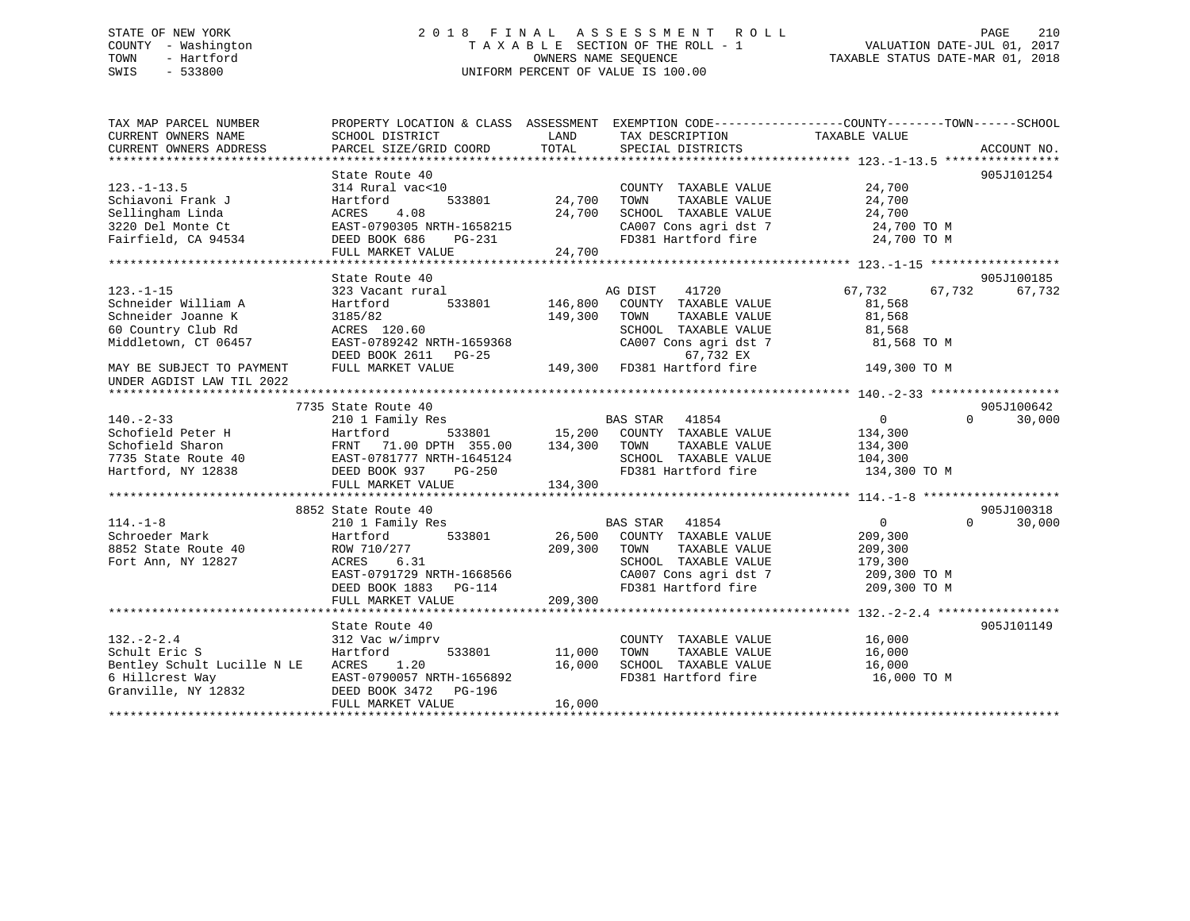## STATE OF NEW YORK 2 0 1 8 F I N A L A S S E S S M E N T R O L L PAGE 210 COUNTY - Washington T A X A B L E SECTION OF THE ROLL - 1 VALUATION DATE-JUL 01, 2017 TOWN - Hartford **TAXABLE STATUS DATE-MAR 01, 2018** OWNERS NAME SEQUENCE TAXABLE STATUS DATE-MAR 01, 2018 SWIS - 533800 UNIFORM PERCENT OF VALUE IS 100.00

| TAX MAP PARCEL NUMBER<br>CURRENT OWNERS NAME | PROPERTY LOCATION & CLASS ASSESSMENT EXEMPTION CODE----------------COUNTY-------TOWN------SCHOOL<br>SCHOOL DISTRICT | LAND          | TAX DESCRIPTION          | TAXABLE VALUE    |                    |
|----------------------------------------------|---------------------------------------------------------------------------------------------------------------------|---------------|--------------------------|------------------|--------------------|
| CURRENT OWNERS ADDRESS                       | PARCEL SIZE/GRID COORD                                                                                              | TOTAL         | SPECIAL DISTRICTS        |                  | ACCOUNT NO.        |
|                                              |                                                                                                                     |               |                          |                  |                    |
|                                              | State Route 40                                                                                                      |               |                          |                  | 905J101254         |
| $123. - 1 - 13.5$                            | 314 Rural vac<10                                                                                                    |               | COUNTY TAXABLE VALUE     | 24,700           |                    |
| Schiavoni Frank J                            | 533801<br>Hartford                                                                                                  | 24,700        | TOWN<br>TAXABLE VALUE    | 24,700           |                    |
| Sellingham Linda                             | 4.08<br>ACRES                                                                                                       | 24,700        | SCHOOL TAXABLE VALUE     | 24,700           |                    |
| 3220 Del Monte Ct                            | EAST-0790305 NRTH-1658215                                                                                           |               | CA007 Cons agri dst 7    | 24,700 TO M      |                    |
| Fairfield, CA 94534                          | DEED BOOK 686<br>PG-231                                                                                             |               | FD381 Hartford fire      | 24,700 TO M      |                    |
|                                              | FULL MARKET VALUE                                                                                                   | 24,700        |                          |                  |                    |
|                                              |                                                                                                                     |               |                          |                  |                    |
|                                              | State Route 40                                                                                                      |               |                          |                  | 905J100185         |
| $123. - 1 - 15$                              | 323 Vacant rural                                                                                                    |               | AG DIST<br>41720         | 67,732<br>67,732 | 67,732             |
| Schneider William A                          | 533801<br>Hartford                                                                                                  | 146,800       | COUNTY TAXABLE VALUE     | 81,568           |                    |
| Schneider Joanne K                           | 3185/82                                                                                                             | 149,300       | TAXABLE VALUE<br>TOWN    | 81,568           |                    |
| 60 Country Club Rd                           | ACRES 120.60                                                                                                        |               | SCHOOL TAXABLE VALUE     | 81,568           |                    |
| Middletown, CT 06457                         | EAST-0789242 NRTH-1659368                                                                                           |               | CA007 Cons agri dst 7    | 81,568 TO M      |                    |
|                                              | DEED BOOK 2611 PG-25                                                                                                |               | 67,732 EX                |                  |                    |
| MAY BE SUBJECT TO PAYMENT                    | FULL MARKET VALUE                                                                                                   | 149,300       | FD381 Hartford fire      | 149,300 TO M     |                    |
| UNDER AGDIST LAW TIL 2022                    |                                                                                                                     |               |                          |                  |                    |
|                                              |                                                                                                                     |               |                          |                  |                    |
|                                              | 7735 State Route 40                                                                                                 |               |                          |                  | 905J100642         |
| $140. - 2 - 33$                              | 210 1 Family Res                                                                                                    |               | BAS STAR<br>41854        | $\overline{0}$   | $\Omega$<br>30,000 |
| Schofield Peter H                            | Hartford                                                                                                            | 533801 15,200 | COUNTY TAXABLE VALUE     | 134,300          |                    |
| Schofield Sharon                             | FRNT 71.00 DPTH 355.00                                                                                              | 134,300       | TOWN<br>TAXABLE VALUE    | 134,300          |                    |
| 7735 State Route 40                          | EAST-0781777 NRTH-1645124                                                                                           |               | SCHOOL TAXABLE VALUE     | 104,300          |                    |
| Hartford, NY 12838                           | DEED BOOK 937<br>PG-250                                                                                             |               | FD381 Hartford fire      | 134,300 TO M     |                    |
|                                              | FULL MARKET VALUE                                                                                                   | 134,300       |                          |                  |                    |
|                                              |                                                                                                                     |               |                          |                  |                    |
|                                              | 8852 State Route 40                                                                                                 |               |                          |                  | 905J100318         |
| $114. - 1 - 8$                               | 210 1 Family Res                                                                                                    |               | <b>BAS STAR</b><br>41854 | $\overline{0}$   | 30,000<br>$\Omega$ |
| Schroeder Mark                               | 533801<br>Hartford                                                                                                  | 26,500        | COUNTY TAXABLE VALUE     | 209,300          |                    |
| 8852 State Route 40                          | ROW 710/277                                                                                                         | 209,300       | TAXABLE VALUE<br>TOWN    | 209,300          |                    |
| Fort Ann, NY 12827                           | 6.31<br>ACRES                                                                                                       |               | SCHOOL TAXABLE VALUE     | 179,300          |                    |
|                                              |                                                                                                                     |               | CA007 Cons agri dst 7    |                  |                    |
|                                              | EAST-0791729 NRTH-1668566                                                                                           |               |                          | 209,300 TO M     |                    |
|                                              | DEED BOOK 1883<br>PG-114                                                                                            |               | FD381 Hartford fire      | 209,300 TO M     |                    |
|                                              | FULL MARKET VALUE                                                                                                   | 209,300       |                          |                  |                    |
|                                              |                                                                                                                     |               |                          |                  |                    |
|                                              | State Route 40                                                                                                      |               |                          |                  | 905J101149         |
| $132 - 2 - 2.4$                              | 312 Vac w/imprv                                                                                                     |               | COUNTY TAXABLE VALUE     | 16,000           |                    |
| Schult Eric S                                | Hartford<br>533801                                                                                                  | 11,000        | TAXABLE VALUE<br>TOWN    | 16,000           |                    |
| Bentley Schult Lucille N LE                  | ACRES<br>1.20                                                                                                       | 16,000        | SCHOOL TAXABLE VALUE     | 16,000           |                    |
| 6 Hillcrest Way                              | EAST-0790057 NRTH-1656892                                                                                           |               | FD381 Hartford fire      | 16,000 TO M      |                    |
| Granville, NY 12832                          | DEED BOOK 3472<br>PG-196                                                                                            |               |                          |                  |                    |
|                                              | FULL MARKET VALUE                                                                                                   | 16,000        |                          |                  |                    |
|                                              |                                                                                                                     |               |                          |                  |                    |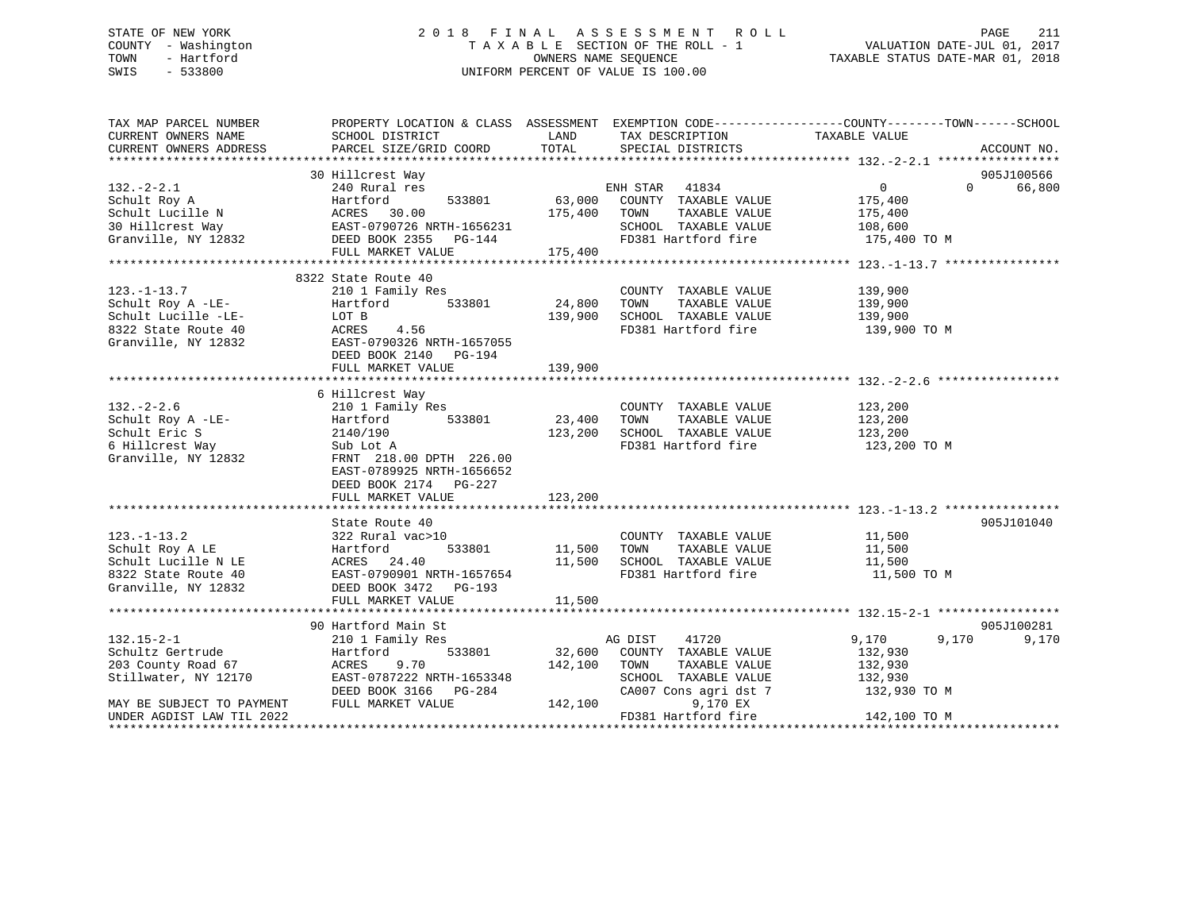## STATE OF NEW YORK 2 0 1 8 F I N A L A S S E S S M E N T R O L L PAGE 211 COUNTY - Washington T A X A B L E SECTION OF THE ROLL - 1 VALUATION DATE-JUL 01, 2017 TOWN - Hartford **TAXABLE STATUS DATE-MAR 01, 2018** OWNERS NAME SEQUENCE TAXABLE STATUS DATE-MAR 01, 2018 SWIS - 533800 UNIFORM PERCENT OF VALUE IS 100.00

| TAX MAP PARCEL NUMBER<br>CURRENT OWNERS NAME<br>CURRENT OWNERS ADDRESS | PROPERTY LOCATION & CLASS ASSESSMENT EXEMPTION CODE---------------COUNTY-------TOWN-----SCHOOL<br>SCHOOL DISTRICT<br>PARCEL SIZE/GRID COORD                                                                                                          | LAND<br>TOTAL | TAX DESCRIPTION<br>SPECIAL DISTRICTS | TAXABLE VALUE      | ACCOUNT NO.        |
|------------------------------------------------------------------------|------------------------------------------------------------------------------------------------------------------------------------------------------------------------------------------------------------------------------------------------------|---------------|--------------------------------------|--------------------|--------------------|
|                                                                        |                                                                                                                                                                                                                                                      |               |                                      |                    |                    |
|                                                                        | 30 Hillcrest Way                                                                                                                                                                                                                                     |               |                                      |                    | 905J100566         |
|                                                                        |                                                                                                                                                                                                                                                      |               | ENH STAR 41834                       | $\overline{0}$     | 66,800<br>$\Omega$ |
|                                                                        |                                                                                                                                                                                                                                                      |               | 63,000 COUNTY TAXABLE VALUE          | 175,400            |                    |
|                                                                        |                                                                                                                                                                                                                                                      |               | 175,400 TOWN<br>TAXABLE VALUE        | 175,400            |                    |
|                                                                        |                                                                                                                                                                                                                                                      |               | SCHOOL TAXABLE VALUE                 | 108,600            |                    |
|                                                                        |                                                                                                                                                                                                                                                      |               | FD381 Hartford fire 175,400 TO M     |                    |                    |
|                                                                        | 132.-2-2.1<br>Schult Roy A<br>Schult Lucille N<br>30 Hillcrest Way<br>The Magnus CAST-0790726 NRTH-1656231<br>20 Hillcrest Way<br>20 Hillcrest Way<br>20 Hillcrest Way<br>20 Hillcrest Way<br>20 Hillcrest Way<br>20 Hillcrest Way<br>20 Hillcrest W |               |                                      |                    |                    |
|                                                                        | 8322 State Route 40                                                                                                                                                                                                                                  |               |                                      |                    |                    |
| $123. - 1 - 13.7$                                                      | 210 1 Family Res                                                                                                                                                                                                                                     |               | COUNTY TAXABLE VALUE                 | 139,900            |                    |
| Schult Roy A -LE-                                                      | 533801<br>Hartford                                                                                                                                                                                                                                   | 24,800        | TAXABLE VALUE<br>TOWN                | 139,900            |                    |
| Schult Lucille -LE-                                                    | LOT B                                                                                                                                                                                                                                                | 139,900       | SCHOOL TAXABLE VALUE                 | 139,900            |                    |
| 8322 State Route 40                                                    |                                                                                                                                                                                                                                                      |               | FD381 Hartford fire 139,900 TO M     |                    |                    |
| Granville, NY 12832                                                    | ACRES 4.56<br>EAST-0790326 NRTH-1657055                                                                                                                                                                                                              |               |                                      |                    |                    |
|                                                                        | DEED BOOK 2140 PG-194                                                                                                                                                                                                                                |               |                                      |                    |                    |
|                                                                        |                                                                                                                                                                                                                                                      |               |                                      |                    |                    |
|                                                                        |                                                                                                                                                                                                                                                      |               |                                      |                    |                    |
|                                                                        | 6 Hillcrest Way                                                                                                                                                                                                                                      |               |                                      |                    |                    |
| $132. - 2 - 2.6$                                                       | 210 1 Family Res                                                                                                                                                                                                                                     |               | COUNTY TAXABLE VALUE                 | 123,200            |                    |
| Schult Roy A -LE-<br>Schult Eric S<br>2140/190                         | 533801                                                                                                                                                                                                                                               | 23,400        | TAXABLE VALUE<br>TOWN                | 123,200<br>123,200 |                    |
|                                                                        |                                                                                                                                                                                                                                                      | 123,200       | SCHOOL TAXABLE VALUE                 |                    |                    |
| 6 Hillcrest Way                                                        | Sub Lot A<br>FRNT 218.                                                                                                                                                                                                                               |               | FD381 Hartford fire                  | 123,200 TO M       |                    |
| Granville, NY 12832                                                    | FRNT 218.00 DPTH 226.00                                                                                                                                                                                                                              |               |                                      |                    |                    |
|                                                                        | EAST-0789925 NRTH-1656652                                                                                                                                                                                                                            |               |                                      |                    |                    |
|                                                                        | DEED BOOK 2174    PG-227                                                                                                                                                                                                                             |               |                                      |                    |                    |
|                                                                        | FULL MARKET VALUE                                                                                                                                                                                                                                    | 123,200       |                                      |                    |                    |
|                                                                        |                                                                                                                                                                                                                                                      |               |                                      |                    |                    |
| $123. - 1 - 13.2$                                                      | State Route 40                                                                                                                                                                                                                                       |               | COUNTY TAXABLE VALUE                 |                    | 905J101040         |
|                                                                        | 322 Rural vac>10                                                                                                                                                                                                                                     |               |                                      | 11,500<br>11,500   |                    |
| Schult Roy A LE                                                        | 533801<br>Hartford                                                                                                                                                                                                                                   | 11,500        | TAXABLE VALUE<br>TOWN                |                    |                    |
| Schult Lucille N LE                                                    | ACRES 24.40<br>EAST-0790901 NRTH-1657654                                                                                                                                                                                                             | 11,500        | SCHOOL TAXABLE VALUE                 | 11,500             |                    |
| 8322 State Route 40                                                    |                                                                                                                                                                                                                                                      |               | FD381 Hartford fire                  | 11,500 TO M        |                    |
| Granville, NY 12832                                                    | DEED BOOK 3472 PG-193                                                                                                                                                                                                                                |               |                                      |                    |                    |
|                                                                        | FULL MARKET VALUE                                                                                                                                                                                                                                    | 11,500        |                                      |                    |                    |
|                                                                        | 90 Hartford Main St                                                                                                                                                                                                                                  |               |                                      |                    | 905J100281         |
| $132.15 - 2 - 1$                                                       | 210 1 Family Res                                                                                                                                                                                                                                     |               | AG DIST<br>41720                     | 9,170              | 9,170<br>9,170     |
| Schultz Gertrude                                                       | 533801<br>Hartford                                                                                                                                                                                                                                   | 32,600        | COUNTY TAXABLE VALUE                 | 132,930            |                    |
| 203 County Road 67                                                     | 9.70<br>ACRES                                                                                                                                                                                                                                        | 142,100       | TOWN<br>TAXABLE VALUE                | 132,930            |                    |
| Stillwater, NY 12170                                                   | EAST-0787222 NRTH-1653348                                                                                                                                                                                                                            |               | SCHOOL TAXABLE VALUE                 | 132,930            |                    |
|                                                                        | DEED BOOK 3166 PG-284                                                                                                                                                                                                                                |               | CA007 Cons agri dst 7                | 132,930 TO M       |                    |
| MAY BE SUBJECT TO PAYMENT                                              | FULL MARKET VALUE                                                                                                                                                                                                                                    | 142,100       | 9,170 EX                             |                    |                    |
| UNDER AGDIST LAW TIL 2022                                              |                                                                                                                                                                                                                                                      |               | FD381 Hartford fire                  | 142,100 TO M       |                    |
|                                                                        |                                                                                                                                                                                                                                                      |               |                                      |                    |                    |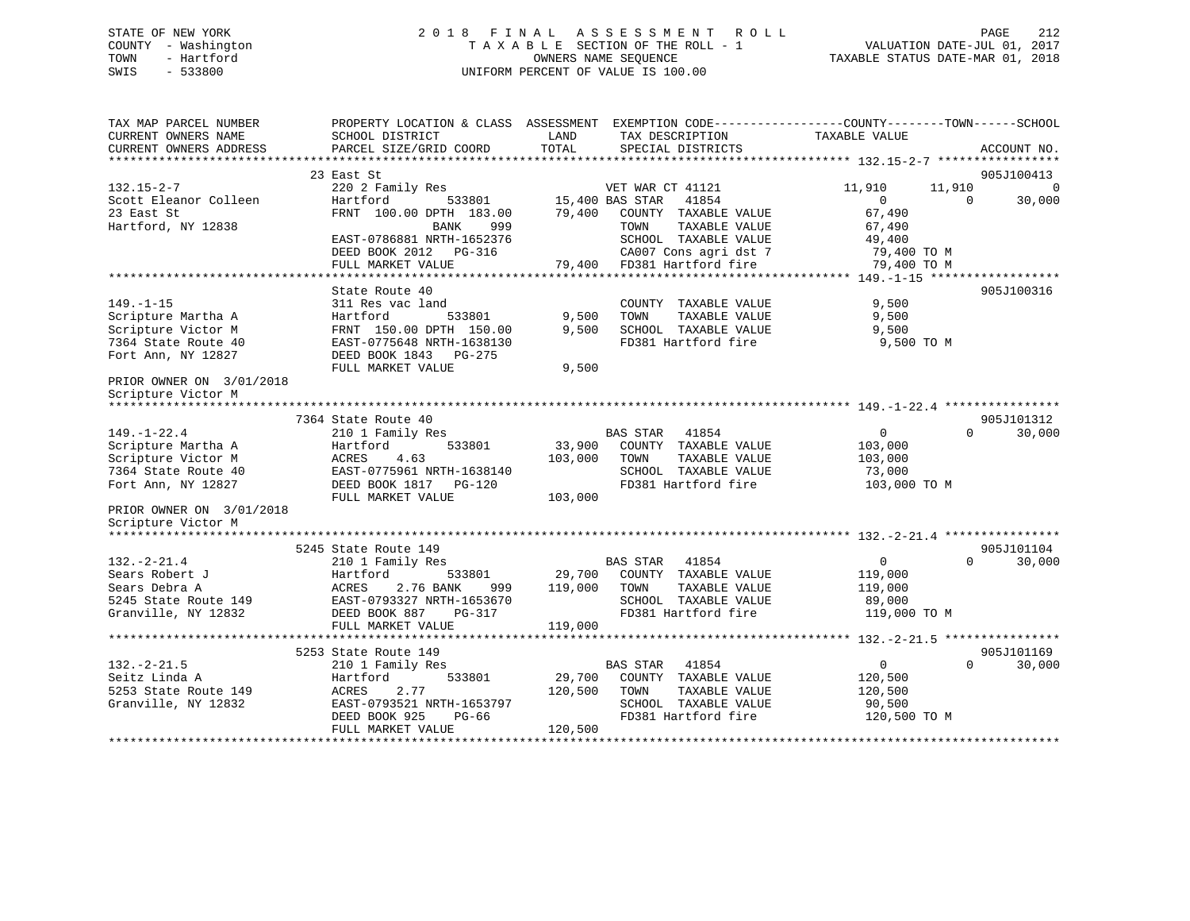## STATE OF NEW YORK 2 0 1 8 F I N A L A S S E S S M E N T R O L L PAGE 212 COUNTY - Washington T A X A B L E SECTION OF THE ROLL - 1 VALUATION DATE-JUL 01, 2017 TOWN - Hartford **TAXABLE STATUS DATE-MAR 01, 2018** OWNERS NAME SEQUENCE TAXABLE STATUS DATE-MAR 01, 2018 SWIS - 533800 UNIFORM PERCENT OF VALUE IS 100.00

| TAX MAP PARCEL NUMBER<br>CURRENT OWNERS NAME | PROPERTY LOCATION & CLASS ASSESSMENT EXEMPTION CODE---------------COUNTY-------TOWN-----SCHOOL<br>SCHOOL DISTRICT | LAND            | TAX DESCRIPTION          | TAXABLE VALUE |                          |
|----------------------------------------------|-------------------------------------------------------------------------------------------------------------------|-----------------|--------------------------|---------------|--------------------------|
| CURRENT OWNERS ADDRESS                       | PARCEL SIZE/GRID COORD                                                                                            | TOTAL           | SPECIAL DISTRICTS        |               | ACCOUNT NO.              |
|                                              | 23 East St                                                                                                        |                 |                          |               | 905J100413               |
| $132.15 - 2 - 7$                             | 220 2 Family Res                                                                                                  |                 | VET WAR CT 41121         | 11,910        | 11,910<br>$\overline{0}$ |
| Scott Eleanor Colleen                        | Hartford<br>533801                                                                                                | 15,400 BAS STAR | 41854                    | $\mathbf{0}$  | 30,000<br>$\Omega$       |
| 23 East St                                   | FRNT 100.00 DPTH 183.00                                                                                           | 79,400          | COUNTY TAXABLE VALUE     | 67,490        |                          |
| Hartford, NY 12838                           | BANK<br>999                                                                                                       |                 | TOWN<br>TAXABLE VALUE    | 67,490        |                          |
|                                              | EAST-0786881 NRTH-1652376                                                                                         |                 | SCHOOL TAXABLE VALUE     | 49,400        |                          |
|                                              | DEED BOOK 2012 PG-316                                                                                             |                 | CA007 Cons agri dst 7    | 79,400 TO M   |                          |
|                                              | FULL MARKET VALUE                                                                                                 | 79,400          | FD381 Hartford fire      | 79,400 TO M   |                          |
|                                              |                                                                                                                   |                 |                          |               |                          |
|                                              | State Route 40                                                                                                    |                 |                          |               | 905J100316               |
| $149. - 1 - 15$                              | 311 Res vac land                                                                                                  |                 | COUNTY TAXABLE VALUE     | 9,500         |                          |
| Scripture Martha A                           | 533801<br>Hartford                                                                                                | 9,500           | TOWN<br>TAXABLE VALUE    | 9,500         |                          |
| Scripture Victor M                           | FRNT 150.00 DPTH 150.00                                                                                           | 9,500           | SCHOOL TAXABLE VALUE     | 9,500         |                          |
| 7364 State Route 40                          | EAST-0775648 NRTH-1638130<br>$PG-275$                                                                             |                 | FD381 Hartford fire      | 9,500 TO M    |                          |
| Fort Ann, NY 12827                           | DEED BOOK 1843<br>FULL MARKET VALUE                                                                               | 9,500           |                          |               |                          |
| PRIOR OWNER ON 3/01/2018                     |                                                                                                                   |                 |                          |               |                          |
| Scripture Victor M                           |                                                                                                                   |                 |                          |               |                          |
| **************                               |                                                                                                                   |                 |                          |               |                          |
|                                              | 7364 State Route 40                                                                                               |                 |                          |               | 905J101312               |
| $149. - 1 - 22.4$                            | 210 1 Family Res                                                                                                  |                 | BAS STAR 41854           | 0             | $\Omega$<br>30,000       |
| Scripture Martha A                           | 533801<br>Hartford                                                                                                | 33,900          | COUNTY TAXABLE VALUE     | 103,000       |                          |
| Scripture Victor M                           | 4.63<br>ACRES                                                                                                     | 103,000         | TOWN<br>TAXABLE VALUE    | 103,000       |                          |
| 7364 State Route 40                          | EAST-0775961 NRTH-1638140                                                                                         |                 | SCHOOL TAXABLE VALUE     | 73,000        |                          |
| Fort Ann, NY 12827                           | DEED BOOK 1817 PG-120                                                                                             |                 | FD381 Hartford fire      | 103,000 TO M  |                          |
|                                              | FULL MARKET VALUE                                                                                                 | 103,000         |                          |               |                          |
| PRIOR OWNER ON 3/01/2018                     |                                                                                                                   |                 |                          |               |                          |
| Scripture Victor M                           |                                                                                                                   |                 |                          |               |                          |
|                                              | 5245 State Route 149                                                                                              |                 |                          |               | 905J101104               |
| $132. - 2 - 21.4$                            | 210 1 Family Res                                                                                                  |                 | BAS STAR 41854           | $\Omega$      | $\Omega$<br>30,000       |
| Sears Robert J                               | 533801<br>Hartford                                                                                                | 29,700          | COUNTY TAXABLE VALUE     | 119,000       |                          |
| Sears Debra A                                | ACRES<br>2.76 BANK<br>999                                                                                         | 119,000         | TOWN<br>TAXABLE VALUE    | 119,000       |                          |
| 5245 State Route 149                         | EAST-0793327 NRTH-1653670                                                                                         |                 | SCHOOL TAXABLE VALUE     | 89,000        |                          |
| Granville, NY 12832                          | DEED BOOK 887<br>PG-317                                                                                           |                 | FD381 Hartford fire      | 119,000 TO M  |                          |
|                                              | FULL MARKET VALUE                                                                                                 | 119,000         |                          |               |                          |
|                                              |                                                                                                                   |                 |                          |               |                          |
|                                              | 5253 State Route 149                                                                                              |                 |                          |               | 905J101169               |
| $132. - 2 - 21.5$                            | 210 1 Family Res                                                                                                  |                 | <b>BAS STAR</b><br>41854 | $\mathbf 0$   | $\Omega$<br>30,000       |
| Seitz Linda A                                | 533801<br>Hartford                                                                                                | 29,700          | COUNTY TAXABLE VALUE     | 120,500       |                          |
| 5253 State Route 149                         | 2.77<br>ACRES                                                                                                     | 120,500         | TOWN<br>TAXABLE VALUE    | 120,500       |                          |
| Granville, NY 12832                          | EAST-0793521 NRTH-1653797                                                                                         |                 | SCHOOL TAXABLE VALUE     | 90,500        |                          |
|                                              | DEED BOOK 925<br>$PG-66$                                                                                          |                 | FD381 Hartford fire      | 120,500 TO M  |                          |
|                                              | FULL MARKET VALUE                                                                                                 | 120,500         |                          |               |                          |
|                                              |                                                                                                                   |                 |                          |               |                          |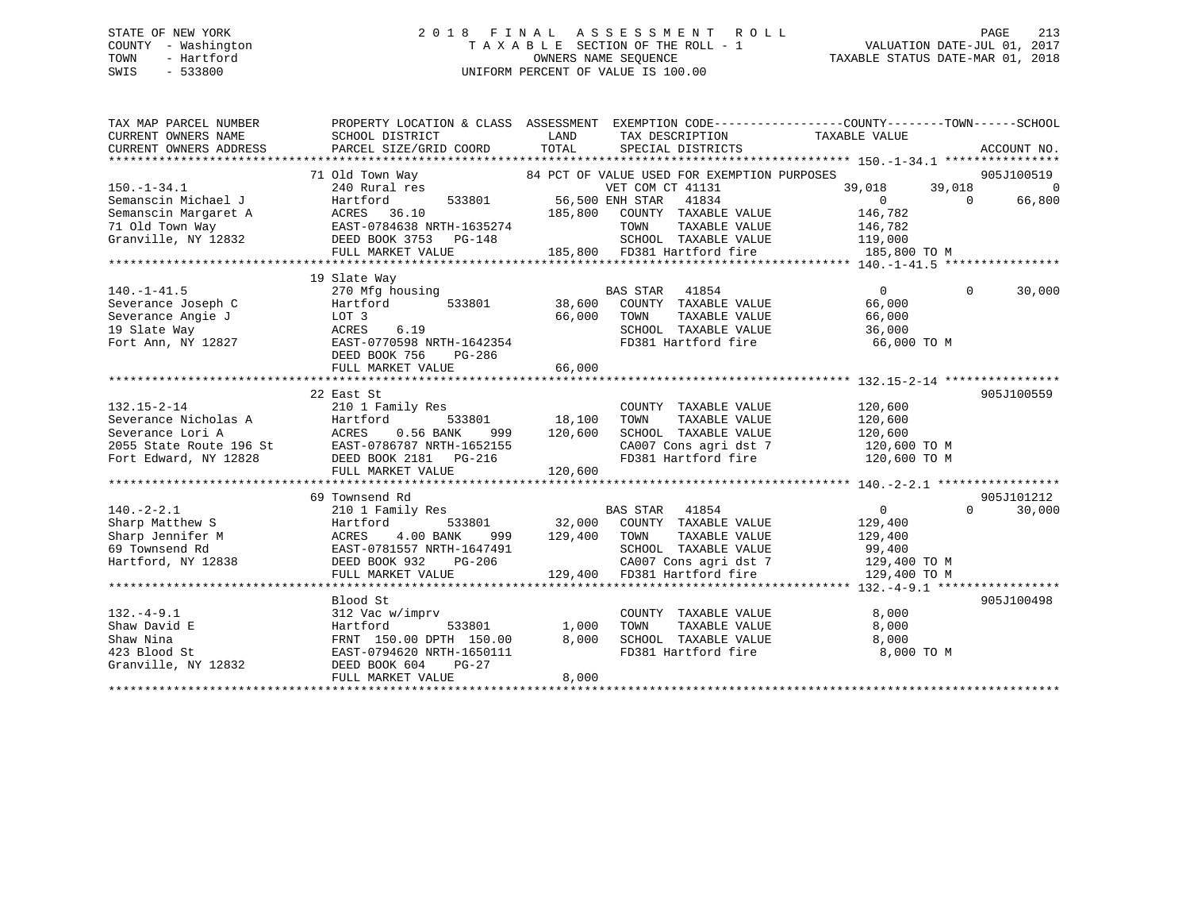# STATE OF NEW YORK 213 2018 FINAL ASSESSMENT ROLL 2018 PAGE 213 COUNTY - Washington  $T A X A B L E$  SECTION OF THE ROLL - 1<br>TOWN - Hartford SWIS - 533800 UNIFORM PERCENT OF VALUE IS 100.00

| TAX MAP PARCEL NUMBER  |                                                                                                                                   |                                                                                | PROPERTY LOCATION & CLASS ASSESSMENT EXEMPTION CODE---------------COUNTY-------TOWN------SCHOOL |
|------------------------|-----------------------------------------------------------------------------------------------------------------------------------|--------------------------------------------------------------------------------|-------------------------------------------------------------------------------------------------|
| CURRENT OWNERS NAME    | SCHOOL DISTRICT                                                                                                                   | LAND<br>TAX DESCRIPTION                                                        | TAXABLE VALUE                                                                                   |
| CURRENT OWNERS ADDRESS | PARCEL SIZE/GRID COORD TOTAL                                                                                                      | SPECIAL DISTRICTS                                                              | ACCOUNT NO.                                                                                     |
|                        |                                                                                                                                   |                                                                                |                                                                                                 |
|                        | 71 Old Town Way                                                                                                                   | 84 PCT OF VALUE USED FOR EXEMPTION PURPOSES                                    | 905J100519                                                                                      |
| $150. - 1 - 34.1$      |                                                                                                                                   | 240 Rural res 633801 VET COM CT 41131<br>Hartford 533801 56,500 ENH STAR 41834 | $\overline{0}$<br>39,018<br>39,018                                                              |
| Semanscin Michael J    |                                                                                                                                   |                                                                                | $\overline{0}$<br>66,800<br>$\overline{0}$                                                      |
| Semanscin Margaret A   | ACRES 36.10                                                                                                                       | 185,800 COUNTY TAXABLE VALUE                                                   | 146,782                                                                                         |
|                        |                                                                                                                                   | TOWN TAXABLE VALUE 146,782<br>SCHOOL TAXABLE VALUE 119,000                     |                                                                                                 |
|                        |                                                                                                                                   |                                                                                |                                                                                                 |
|                        | FULL MARKET VALUE                                                                                                                 | 185,800 FD381 Hartford fire                                                    | 185,800 TO M                                                                                    |
|                        |                                                                                                                                   |                                                                                |                                                                                                 |
|                        | 19 Slate Way                                                                                                                      |                                                                                |                                                                                                 |
| $140. - 1 - 41.5$      | 270 Mfg housing                                                                                                                   | BAS STAR<br>41854                                                              | 30,000<br>$\Omega$<br>$\overline{0}$                                                            |
| Severance Joseph C     | Hartford                                                                                                                          | 533801 38,600 COUNTY TAXABLE VALUE                                             | 66,000                                                                                          |
| Severance Angie J      | LOT 3                                                                                                                             | 66,000 TOWN<br>TAXABLE VALUE                                                   | 66,000                                                                                          |
| 19 Slate Way           | 6.19<br>ACRES                                                                                                                     | SCHOOL TAXABLE VALUE                                                           | 36,000                                                                                          |
| Fort Ann, NY 12827     | EAST-0770598 NRTH-1642354                                                                                                         |                                                                                | FD381 Hartford fire 66,000 TO M                                                                 |
|                        | DEED BOOK 756<br>PG-286                                                                                                           |                                                                                |                                                                                                 |
|                        |                                                                                                                                   |                                                                                |                                                                                                 |
|                        |                                                                                                                                   |                                                                                |                                                                                                 |
|                        | 22 East St                                                                                                                        |                                                                                | 905J100559                                                                                      |
| $132.15 - 2 - 14$      | 210 1 Family Res                                                                                                                  | COUNTY TAXABLE VALUE                                                           | 120,600                                                                                         |
|                        | Severance Nicholas A Martford 533801<br>Severance Lori A ACRES 0.56 BANK 999<br>2055 State Route 196 St EAST-0786787 NRTH-1652155 | 533801 18,100<br>TOWN<br>TAXABLE VALUE                                         | 120,600                                                                                         |
|                        |                                                                                                                                   | 999 120,600<br>SCHOOL TAXABLE VALUE                                            | 120,600                                                                                         |
|                        |                                                                                                                                   |                                                                                |                                                                                                 |
| Fort Edward, NY 12828  | DEED BOOK 2181    PG-216                                                                                                          |                                                                                | FD381 Hartford fire 120,600 TO M                                                                |
|                        | FULL MARKET VALUE                                                                                                                 | 120,600                                                                        |                                                                                                 |
|                        |                                                                                                                                   |                                                                                |                                                                                                 |
|                        | 69 Townsend Rd                                                                                                                    |                                                                                | 905J101212                                                                                      |
| $140. - 2 - 2.1$       | 210 1 Family Res                                                                                                                  | BAS STAR 41854                                                                 | $\overline{0}$<br>$\Omega$<br>30,000                                                            |
| Sharp Matthew S        | 533801<br>Hartford                                                                                                                | 32,000 COUNTY TAXABLE VALUE                                                    | 129,400                                                                                         |
| Sharp Jennifer M       | 4.00 BANK<br>ACRES<br>999                                                                                                         | 129,400 TOWN<br>TAXABLE VALUE                                                  | 129,400                                                                                         |
| 69 Townsend Rd         | EAST-0781557 NRTH-1647491                                                                                                         | SCHOOL TAXABLE VALUE                                                           | 99,400<br>129,400 TO M                                                                          |
| Hartford, NY 12838     | DEED BOOK 932<br>PG-206                                                                                                           | CA007 Cons agri dst 7<br>129,400 FD381 Hartford fire                           |                                                                                                 |
|                        | FULL MARKET VALUE                                                                                                                 |                                                                                | 129,400 TO M                                                                                    |
|                        |                                                                                                                                   |                                                                                |                                                                                                 |
|                        | Blood St                                                                                                                          |                                                                                | 905J100498                                                                                      |
| $132. -4 - 9.1$        | 312 Vac w/imprv                                                                                                                   | COUNTY TAXABLE VALUE                                                           | 8,000                                                                                           |
| Shaw David E           | Hartford<br>533801                                                                                                                | 1,000<br>TOWN<br>TAXABLE VALUE                                                 | 8,000                                                                                           |
| Shaw Nina              | FRNT 150.00 DPTH 150.00                                                                                                           | 8,000<br>SCHOOL TAXABLE VALUE                                                  | 8,000                                                                                           |
| 423 Blood St           | EAST-0794620 NRTH-1650111                                                                                                         | FD381 Hartford fire                                                            | 8,000 TO M                                                                                      |
| Granville, NY 12832    | DEED BOOK 604<br>$PG-27$                                                                                                          |                                                                                |                                                                                                 |
|                        | FULL MARKET VALUE                                                                                                                 | 8,000                                                                          |                                                                                                 |
|                        |                                                                                                                                   |                                                                                |                                                                                                 |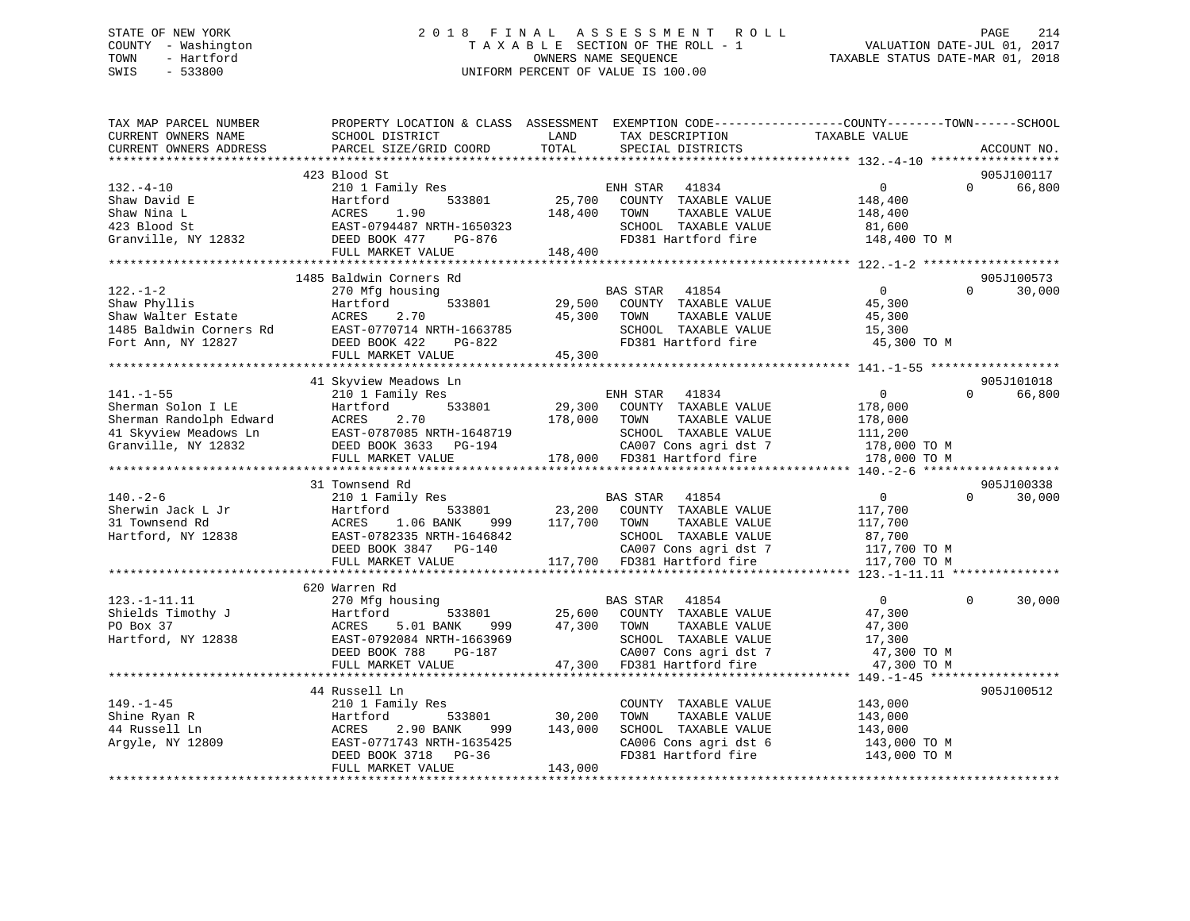## STATE OF NEW YORK 2 0 1 8 F I N A L A S S E S S M E N T R O L L PAGE 214 COUNTY - Washington T A X A B L E SECTION OF THE ROLL - 1 VALUATION DATE-JUL 01, 2017 TOWN - Hartford **TAXABLE STATUS DATE-MAR 01, 2018** OWNERS NAME SEQUENCE TAXABLE STATUS DATE-MAR 01, 2018 SWIS - 533800 UNIFORM PERCENT OF VALUE IS 100.00

| TAX MAP PARCEL NUMBER<br>CURRENT OWNERS NAME<br>CURRENT OWNERS ADDRESS                                           | PROPERTY LOCATION & CLASS ASSESSMENT EXEMPTION CODE----------------COUNTY-------TOWN-----SCHOOL<br>SCHOOL DISTRICT<br>PARCEL SIZE/GRID COORD                      | LAND<br>TOTAL                | TAX DESCRIPTION<br>SPECIAL DISTRICTS                                                                                                               | TAXABLE VALUE                                                                   | ACCOUNT NO.                      |
|------------------------------------------------------------------------------------------------------------------|-------------------------------------------------------------------------------------------------------------------------------------------------------------------|------------------------------|----------------------------------------------------------------------------------------------------------------------------------------------------|---------------------------------------------------------------------------------|----------------------------------|
|                                                                                                                  |                                                                                                                                                                   |                              |                                                                                                                                                    |                                                                                 |                                  |
| $132. -4 - 10$<br>Shaw David E<br>Shaw Nina L<br>423 Blood St<br>Granville, NY 12832                             | 423 Blood St<br>210 1 Family Res<br>533801<br>Hartford<br>ACRES<br>1.90<br>EAST-0794487 NRTH-1650323<br>PG-876<br>DEED BOOK 477                                   | 25,700<br>148,400            | ENH STAR<br>41834<br>COUNTY TAXABLE VALUE<br>TOWN<br>TAXABLE VALUE<br>SCHOOL TAXABLE VALUE<br>FD381 Hartford fire                                  | $\mathbf{0}$<br>148,400<br>148,400<br>81,600<br>148,400 TO M                    | 905J100117<br>$\Omega$<br>66,800 |
|                                                                                                                  | FULL MARKET VALUE                                                                                                                                                 | 148,400                      |                                                                                                                                                    |                                                                                 |                                  |
|                                                                                                                  |                                                                                                                                                                   |                              |                                                                                                                                                    |                                                                                 |                                  |
| $122. - 1 - 2$<br>Shaw Phyllis<br>Shaw Walter Estate<br>1485 Baldwin Corners Rd                                  | 1485 Baldwin Corners Rd<br>270 Mfg housing<br>533801<br>Hartford<br>2.70<br>ACRES<br>EAST-0770714 NRTH-1663785                                                    | 29,500<br>45,300             | BAS STAR<br>41854<br>COUNTY TAXABLE VALUE<br>TOWN<br>TAXABLE VALUE<br>SCHOOL TAXABLE VALUE                                                         | $\Omega$<br>45,300<br>45,300<br>15,300                                          | 905J100573<br>30,000<br>$\Omega$ |
| Fort Ann, NY 12827                                                                                               | PG-822<br>DEED BOOK 422                                                                                                                                           |                              | FD381 Hartford fire                                                                                                                                | 45,300 TO M                                                                     |                                  |
|                                                                                                                  | FULL MARKET VALUE                                                                                                                                                 | 45,300                       |                                                                                                                                                    |                                                                                 |                                  |
|                                                                                                                  |                                                                                                                                                                   |                              |                                                                                                                                                    |                                                                                 |                                  |
| $141. - 1 - 55$<br>Sherman Solon I LE<br>Sherman Randolph Edward<br>41 Skyview Meadows Ln<br>Granville, NY 12832 | 41 Skyview Meadows Ln<br>210 1 Family Res<br>Hartford<br>533801<br>2.70<br>ACRES<br>EAST-0787085 NRTH-1648719<br>DEED BOOK 3633 PG-194<br>FULL MARKET VALUE       | 29,300<br>178,000            | ENH STAR<br>41834<br>COUNTY TAXABLE VALUE<br>TOWN<br>TAXABLE VALUE<br>SCHOOL TAXABLE VALUE<br>CA007 Cons agri dst 7<br>178,000 FD381 Hartford fire | $\overline{0}$<br>178,000<br>178,000<br>111,200<br>178,000 TO M<br>178,000 TO M | 905J101018<br>$\Omega$<br>66,800 |
|                                                                                                                  |                                                                                                                                                                   |                              |                                                                                                                                                    |                                                                                 |                                  |
| $140. - 2 - 6$<br>Sherwin Jack L Jr<br>31 Townsend Rd<br>Hartford, NY 12838                                      | 31 Townsend Rd<br>210 1 Family Res<br>Hartford<br>533801<br>1.06 BANK<br>ACRES<br>999<br>EAST-0782335 NRTH-1646842<br>DEED BOOK 3847 PG-140<br>FULL MARKET VALUE  | 23,200<br>117,700 TOWN       | BAS STAR<br>41854<br>COUNTY TAXABLE VALUE<br>TAXABLE VALUE<br>SCHOOL TAXABLE VALUE<br>CA007 Cons agri dst 7<br>117,700 FD381 Hartford fire         | $\overline{0}$<br>117,700<br>117,700<br>87,700<br>117,700 TO M<br>117,700 TO M  | 905J100338<br>30,000<br>$\Omega$ |
|                                                                                                                  |                                                                                                                                                                   |                              |                                                                                                                                                    |                                                                                 |                                  |
| $123. -1 - 11.11$<br>Shields Timothy J<br>PO Box 37<br>Hartford, NY 12838                                        | 620 Warren Rd<br>270 Mfg housing<br>Hartford<br>533801<br>5.01 BANK<br>ACRES<br>999<br>EAST-0792084 NRTH-1663969<br>DEED BOOK 788<br>PG-187                       | 47,300                       | 41854<br>BAS STAR<br>25,600 COUNTY TAXABLE VALUE<br>TOWN<br>TAXABLE VALUE<br>SCHOOL TAXABLE VALUE<br>CA007 Cons agri dst 7                         | $\overline{0}$<br>47,300<br>47,300<br>17,300<br>47,300 TO M                     | 30,000<br>$\Omega$               |
|                                                                                                                  | FULL MARKET VALUE                                                                                                                                                 | 47,300                       | FD381 Hartford fire                                                                                                                                | 47,300 TO M                                                                     |                                  |
| $149. - 1 - 45$<br>Shine Ryan R<br>44 Russell Ln<br>Argyle, NY 12809                                             | 44 Russell Ln<br>210 1 Family Res<br>Hartford<br>533801<br>2.90 BANK<br>ACRES<br>999<br>EAST-0771743 NRTH-1635425<br>DEED BOOK 3718<br>PG-36<br>FULL MARKET VALUE | 30,200<br>143,000<br>143,000 | COUNTY TAXABLE VALUE<br>TOWN<br>TAXABLE VALUE<br>SCHOOL TAXABLE VALUE<br>CA006 Cons agri dst 6<br>FD381 Hartford fire                              | 143,000<br>143,000<br>143,000<br>143,000 TO M<br>143,000 TO M                   | 905J100512                       |
|                                                                                                                  |                                                                                                                                                                   |                              |                                                                                                                                                    |                                                                                 |                                  |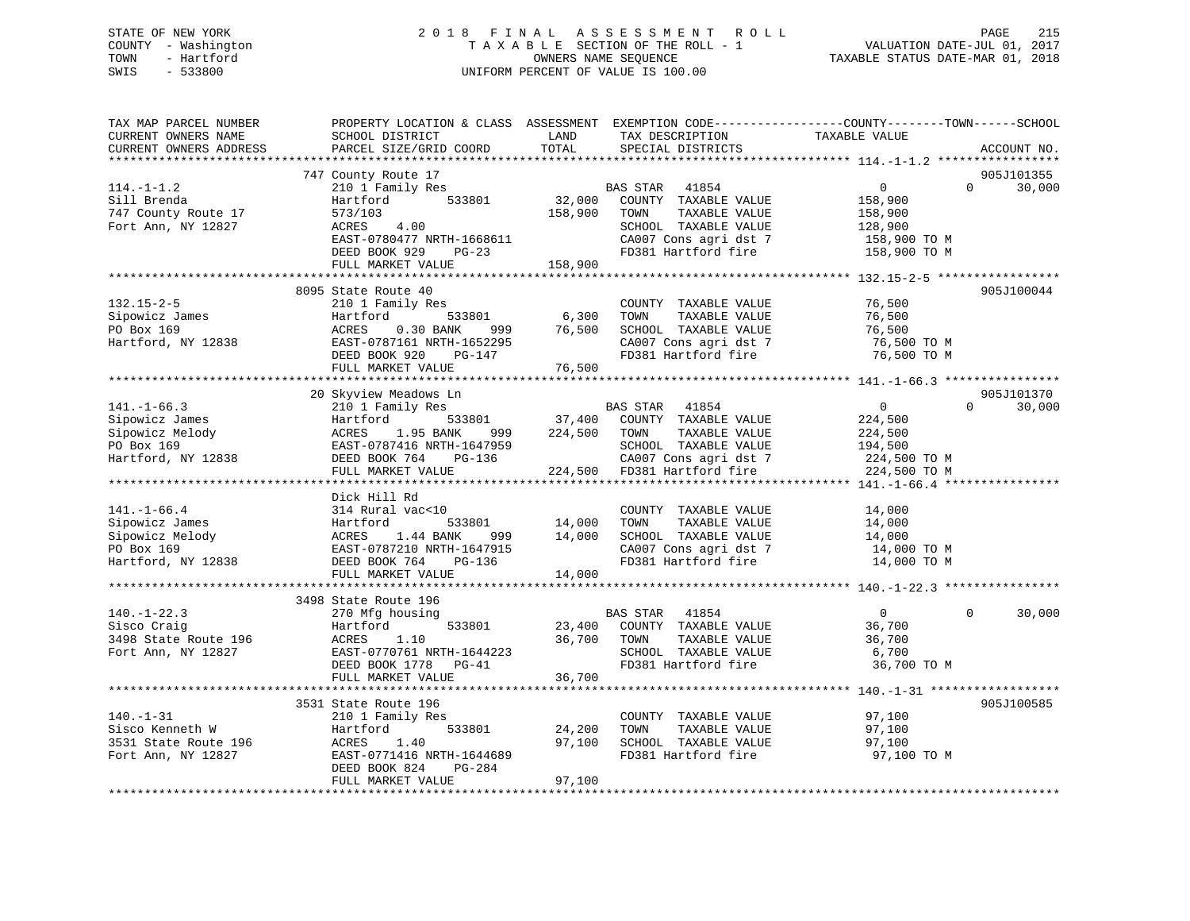## STATE OF NEW YORK 2 0 1 8 F I N A L A S S E S S M E N T R O L L PAGE 215 COUNTY - Washington T A X A B L E SECTION OF THE ROLL - 1 VALUATION DATE-JUL 01, 2017 TOWN - Hartford **TAXABLE STATUS DATE-MAR 01, 2018** OWNERS NAME SEQUENCE TAXABLE STATUS DATE-MAR 01, 2018 SWIS - 533800 UNIFORM PERCENT OF VALUE IS 100.00

| TAX MAP PARCEL NUMBER<br>CURRENT OWNERS NAME<br>CURRENT OWNERS ADDRESS | PROPERTY LOCATION & CLASS ASSESSMENT<br>SCHOOL DISTRICT<br>PARCEL SIZE/GRID COORD | LAND<br>TOTAL | TAX DESCRIPTION<br>SPECIAL DISTRICTS | EXEMPTION CODE-----------------COUNTY--------TOWN------SCHOOL<br>TAXABLE VALUE | ACCOUNT NO.                      |
|------------------------------------------------------------------------|-----------------------------------------------------------------------------------|---------------|--------------------------------------|--------------------------------------------------------------------------------|----------------------------------|
| ***********************                                                |                                                                                   |               |                                      |                                                                                |                                  |
| $114.-1-1.2$                                                           | 747 County Route 17<br>210 1 Family Res                                           |               | BAS STAR<br>41854                    | $\overline{0}$                                                                 | 905J101355<br>$\Omega$<br>30,000 |
| Sill Brenda                                                            | Hartford<br>533801                                                                | 32,000        | COUNTY TAXABLE VALUE                 | 158,900                                                                        |                                  |
| 747 County Route 17                                                    | 573/103                                                                           | 158,900       | TOWN<br>TAXABLE VALUE                | 158,900                                                                        |                                  |
| Fort Ann, NY 12827                                                     | 4.00<br>ACRES                                                                     |               | SCHOOL TAXABLE VALUE                 | 128,900                                                                        |                                  |
|                                                                        | EAST-0780477 NRTH-1668611                                                         |               | CA007 Cons agri dst 7                | 158,900 TO M                                                                   |                                  |
|                                                                        | DEED BOOK 929<br>$PG-23$                                                          |               | FD381 Hartford fire                  | 158,900 TO M                                                                   |                                  |
|                                                                        | FULL MARKET VALUE                                                                 | 158,900       |                                      |                                                                                |                                  |
|                                                                        |                                                                                   |               |                                      |                                                                                |                                  |
|                                                                        | 8095 State Route 40                                                               |               |                                      |                                                                                | 905J100044                       |
| $132.15 - 2 - 5$                                                       | 210 1 Family Res                                                                  |               | COUNTY TAXABLE VALUE                 | 76,500                                                                         |                                  |
| Sipowicz James                                                         | 533801<br>Hartford                                                                | 6,300         | TOWN<br>TAXABLE VALUE                | 76,500                                                                         |                                  |
| PO Box 169                                                             | ACRES<br>$0.30$ BANK<br>999                                                       | 76,500        | SCHOOL TAXABLE VALUE                 | 76,500                                                                         |                                  |
| Hartford, NY 12838                                                     | EAST-0787161 NRTH-1652295                                                         |               | CA007 Cons agri dst 7                | 76,500 TO M                                                                    |                                  |
|                                                                        | DEED BOOK 920<br>PG-147                                                           |               | FD381 Hartford fire                  | 76,500 TO M                                                                    |                                  |
|                                                                        | FULL MARKET VALUE                                                                 | 76,500        |                                      |                                                                                |                                  |
|                                                                        |                                                                                   |               |                                      |                                                                                |                                  |
|                                                                        | 20 Skyview Meadows Ln                                                             |               |                                      |                                                                                | 905J101370                       |
| $141. - 1 - 66.3$                                                      | 210 1 Family Res                                                                  |               | <b>BAS STAR</b><br>41854             | 0                                                                              | $\Omega$<br>30,000               |
| Sipowicz James                                                         | 533801<br>Hartford                                                                | 37,400        | COUNTY TAXABLE VALUE                 | 224,500                                                                        |                                  |
| Sipowicz Melody                                                        | ACRES<br>1.95 BANK<br>999                                                         | 224,500       | TOWN<br>TAXABLE VALUE                | 224,500                                                                        |                                  |
| PO Box 169                                                             | EAST-0787416 NRTH-1647959                                                         |               | SCHOOL TAXABLE VALUE                 | 194,500                                                                        |                                  |
| Hartford, NY 12838                                                     | DEED BOOK 764<br>PG-136                                                           |               | CA007 Cons agri dst 7                | 224,500 TO M                                                                   |                                  |
|                                                                        | FULL MARKET VALUE                                                                 |               | 224,500 FD381 Hartford fire          | 224,500 TO M                                                                   |                                  |
|                                                                        | *****************************                                                     |               |                                      | ******* 141.-1-66.4 ****                                                       |                                  |
|                                                                        | Dick Hill Rd                                                                      |               |                                      |                                                                                |                                  |
| $141. - 1 - 66.4$                                                      | 314 Rural vac<10                                                                  |               | COUNTY TAXABLE VALUE                 | 14,000                                                                         |                                  |
| Sipowicz James                                                         | 533801<br>Hartford                                                                | 14,000        | TAXABLE VALUE<br>TOWN                | 14,000                                                                         |                                  |
| Sipowicz Melody                                                        | ACRES<br>1.44 BANK<br>999                                                         | 14,000        | SCHOOL TAXABLE VALUE                 | 14,000                                                                         |                                  |
| PO Box 169                                                             | EAST-0787210 NRTH-1647915                                                         |               | CA007 Cons agri dst 7                |                                                                                |                                  |
|                                                                        |                                                                                   |               |                                      | 14,000 TO M                                                                    |                                  |
| Hartford, NY 12838                                                     | DEED BOOK 764<br>PG-136                                                           |               | FD381 Hartford fire                  | 14,000 TO M                                                                    |                                  |
|                                                                        | FULL MARKET VALUE<br>******************************                               | 14,000        |                                      |                                                                                |                                  |
|                                                                        |                                                                                   |               |                                      |                                                                                |                                  |
|                                                                        | 3498 State Route 196                                                              |               |                                      |                                                                                |                                  |
| $140. - 1 - 22.3$                                                      | 270 Mfg housing                                                                   |               | BAS STAR 41854                       | $\overline{0}$                                                                 | $\Omega$<br>30,000               |
| Sisco Craig                                                            | 533801<br>Hartford                                                                | 23,400        | COUNTY TAXABLE VALUE                 | 36,700                                                                         |                                  |
| 3498 State Route 196                                                   | ACRES<br>1.10                                                                     | 36,700        | TOWN<br>TAXABLE VALUE                | 36,700                                                                         |                                  |
| Fort Ann, NY 12827                                                     | EAST-0770761 NRTH-1644223                                                         |               | SCHOOL TAXABLE VALUE                 | 6,700                                                                          |                                  |
|                                                                        | DEED BOOK 1778 PG-41                                                              |               | FD381 Hartford fire                  | 36,700 TO M                                                                    |                                  |
|                                                                        | FULL MARKET VALUE                                                                 | 36,700        |                                      |                                                                                |                                  |
|                                                                        | *********************                                                             |               |                                      | ************** 140.-1-31 ***************                                       |                                  |
|                                                                        | 3531 State Route 196                                                              |               |                                      |                                                                                | 905J100585                       |
| $140. - 1 - 31$                                                        | 210 1 Family Res                                                                  |               | COUNTY TAXABLE VALUE                 | 97,100                                                                         |                                  |
| Sisco Kenneth W                                                        | Hartford<br>533801                                                                | 24,200        | TOWN<br>TAXABLE VALUE                | 97,100                                                                         |                                  |
| 3531 State Route 196                                                   | ACRES<br>1.40                                                                     | 97,100        | SCHOOL TAXABLE VALUE                 | 97,100                                                                         |                                  |
| Fort Ann, NY 12827                                                     | EAST-0771416 NRTH-1644689                                                         |               | FD381 Hartford fire                  | 97,100 TO M                                                                    |                                  |
|                                                                        | DEED BOOK 824<br>PG-284                                                           |               |                                      |                                                                                |                                  |
|                                                                        | FULL MARKET VALUE                                                                 | 97,100        |                                      |                                                                                |                                  |
|                                                                        |                                                                                   |               |                                      |                                                                                |                                  |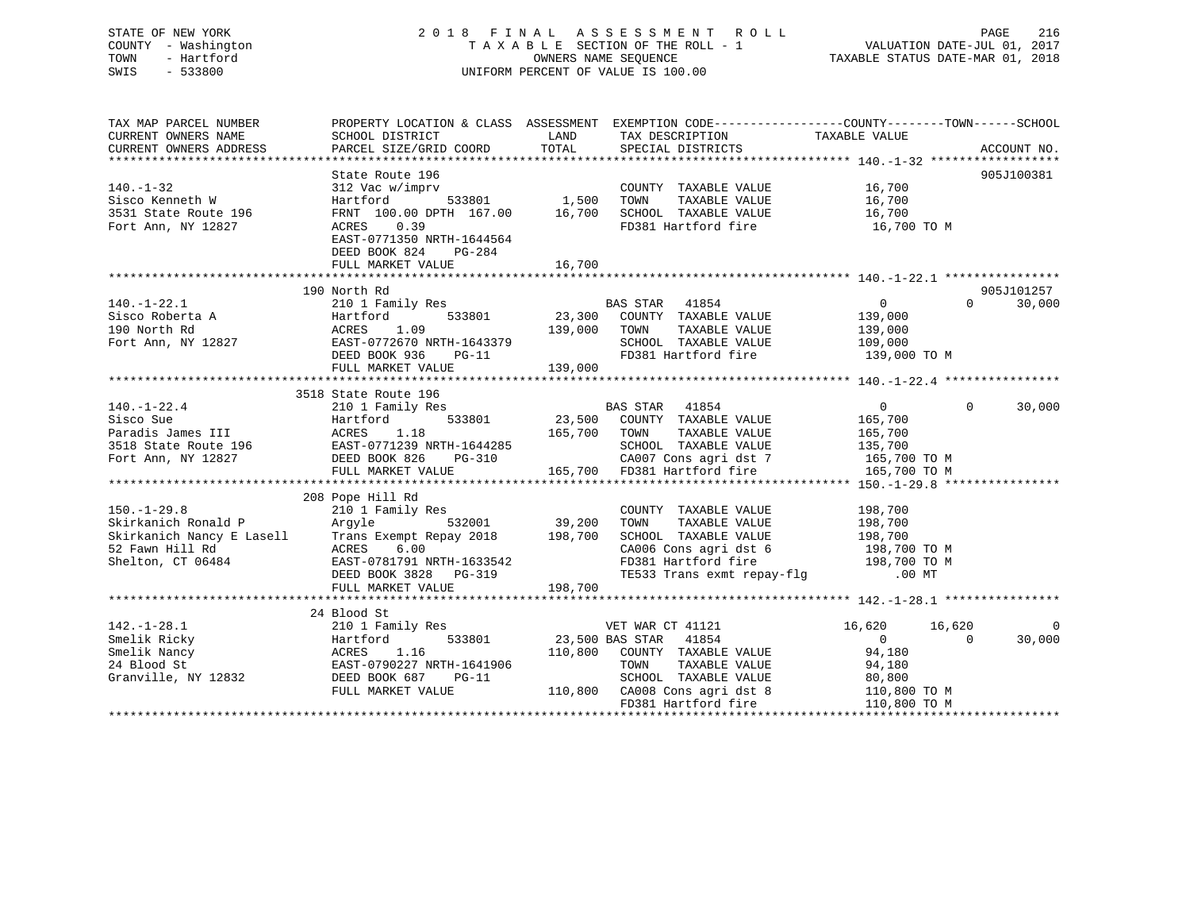## STATE OF NEW YORK 2 0 1 8 F I N A L A S S E S S M E N T R O L L PAGE 216 COUNTY - Washington T A X A B L E SECTION OF THE ROLL - 1 VALUATION DATE-JUL 01, 2017 TOWN - Hartford **TAXABLE STATUS DATE-MAR 01, 2018** OWNERS NAME SEQUENCE TAXABLE STATUS DATE-MAR 01, 2018 SWIS - 533800 UNIFORM PERCENT OF VALUE IS 100.00

| TAX MAP PARCEL NUMBER<br>CURRENT OWNERS NAME<br>CURRENT OWNERS ADDRESS | SCHOOL DISTRICT<br>PARCEL SIZE/GRID COORD                                                                                                                                                                                                                                                                                                                                                                                                        | <b>EXAMPLE THE STATE OF STATE OF STATE OF STATE OF STATE OF STATE OF STATE OF STATE</b><br>TOTAL | TAX DESCRIPTION TAXABLE VALUE SPECIAL DISTRICTS                                                                                                                                                                                                 | PROPERTY LOCATION & CLASS ASSESSMENT EXEMPTION CODE---------------COUNTY-------TOWN-----SCHOOL | ACCOUNT NO.          |
|------------------------------------------------------------------------|--------------------------------------------------------------------------------------------------------------------------------------------------------------------------------------------------------------------------------------------------------------------------------------------------------------------------------------------------------------------------------------------------------------------------------------------------|--------------------------------------------------------------------------------------------------|-------------------------------------------------------------------------------------------------------------------------------------------------------------------------------------------------------------------------------------------------|------------------------------------------------------------------------------------------------|----------------------|
| 140.-1-32<br>Sisco Kenneth W<br>$140. - 1 - 32$<br>Fort Ann, NY 12827  | State Route 196<br>312 Vac w/imprv<br>140.-1-32 512 Vac W/Imprv<br>Sisco Kenneth W Hartford 533801 1,500 TOWN TAXABLE VALUE 16,700<br>3531 State Route 196 FRNT 100.00 DPTH 167.00 16,700 SCHOOL TAXABLE VALUE 16,700<br>ACRES 0.39<br>EAST-0771350 NRTH-1644564<br>DEED BOOK 824<br>PG-284                                                                                                                                                      |                                                                                                  | COUNTY TAXABLE VALUE 16,700<br>TOWN TAXABLE VALUE 16,700<br>FD381 Hartford fire                                                                                                                                                                 | 16,700 TO M                                                                                    | 905J100381           |
|                                                                        |                                                                                                                                                                                                                                                                                                                                                                                                                                                  |                                                                                                  |                                                                                                                                                                                                                                                 |                                                                                                |                      |
|                                                                        |                                                                                                                                                                                                                                                                                                                                                                                                                                                  |                                                                                                  |                                                                                                                                                                                                                                                 |                                                                                                |                      |
|                                                                        | 190 North Rd<br>140.-1-22.1 139,000<br>Sisco Roberta A 12827 10 1 Family Res<br>139,000 190 North Rd ACRES 1.09 139,000 139,000 120NN TAXABLE VALUE<br>Fort Ann, NY 12827 EAST-0772670 NRTH-1643379 SCHOOL TAXABLE VALUE 139,000<br>DEED BOOK 936 PG-1<br>FULL MARKET VALUE                                                                                                                                                                      | 139,000                                                                                          |                                                                                                                                                                                                                                                 | $0 \qquad \qquad$<br>139,000 TO M                                                              | 905J101257<br>30,000 |
|                                                                        |                                                                                                                                                                                                                                                                                                                                                                                                                                                  |                                                                                                  |                                                                                                                                                                                                                                                 |                                                                                                |                      |
|                                                                        | 3518 State Route 196                                                                                                                                                                                                                                                                                                                                                                                                                             |                                                                                                  |                                                                                                                                                                                                                                                 |                                                                                                |                      |
|                                                                        | $\begin{array}{cccccccc} \texttt{140.-1-22.4} & \texttt{3516 State Route} & \texttt{140. -1-22.4} & \texttt{3516 State Route} & \texttt{140. -1-22.4} & \texttt{0} \\ \texttt{Size} & \texttt{210 I Family Res} & \texttt{BAS STAR} & \texttt{41854} & \texttt{0} \\ \texttt{Size} & \texttt{210 I} & \texttt{210 I} & \texttt{23,500} & \texttt{COUNTY} & \texttt{TAXABLE VALUE} & \texttt{165,700} \\ \texttt{Paradis James III} & \texttt{AC$ |                                                                                                  |                                                                                                                                                                                                                                                 | $\mathbf 0$                                                                                    | 30,000               |
|                                                                        |                                                                                                                                                                                                                                                                                                                                                                                                                                                  |                                                                                                  |                                                                                                                                                                                                                                                 |                                                                                                |                      |
|                                                                        | 208 Pope Hill Rd<br>FULL MARKET VALUE                                                                                                                                                                                                                                                                                                                                                                                                            | 198,700                                                                                          | COUNTY TAXABLE VALUE 198,700<br>TOWN TAXABLE VALUE 198,700<br>SCHOOL TAXABLE VALUE 198,700<br>CA006 Cons agri dst 6 198,700 TO M<br>CA006 Cons agri dst 6 198,700 TO M<br>FD381 Hartford fire 198,700 TO M<br>TE533 Trans exmt repay-flg .00 MT |                                                                                                |                      |
|                                                                        |                                                                                                                                                                                                                                                                                                                                                                                                                                                  |                                                                                                  |                                                                                                                                                                                                                                                 |                                                                                                |                      |
|                                                                        | 24 Blood St<br>$\begin{array}{cccccccc} \texttt{142.-1-28.1} & \texttt{24 B1000} & \texttt{X} & \texttt{25 B1000} & \texttt{26 B1000} & \texttt{27 B1000} & \texttt{28 B1000} & \texttt{29 B1000} & \texttt{20 B10} & \texttt{21 B1000} & \texttt{21 B1000} & \texttt{22 B1001} & \texttt{23,500 BAS STAR} & \texttt{41854} & \texttt{0} \\ \texttt{Smelik Nancy} & \texttt{ACRES} & \texttt{1.16}$                                              |                                                                                                  | -1641906 TOWN TAXABLE VALUE 94,180<br>PG-11 SCHOOL TAXABLE VALUE 80,800<br>110,800 CA008 Cons agri dst 8 110,800 TO M<br>FD381 Hartford fire 110,800 TO M                                                                                       | 16,620<br>16,620<br>$\overline{0}$                                                             | 0<br>30,000          |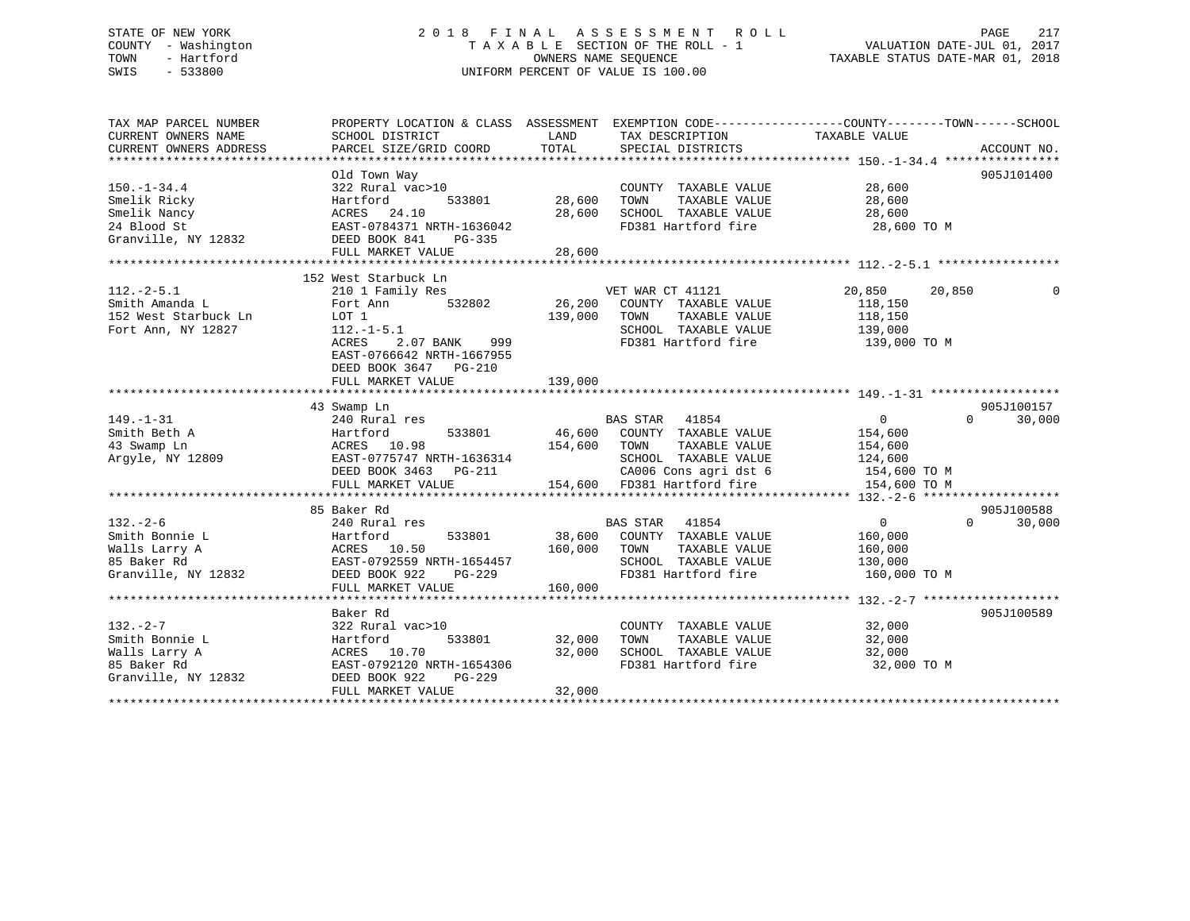# STATE OF NEW YORK 2 0 1 8 F I N A L A S S E S S M E N T R O L L PAGE 217 COUNTY - Washington T A X A B L E SECTION OF THE ROLL - 1 VALUATION DATE-JUL 01, 2017 SIALE OF NEW IONN 1999 CONTROLLER STATUS IN THE SECTION OF THE ROLL - 1 COUNTY - WALUATION DATE-JUL 01, 2017<br>COUNTY - Washington<br>TOWN - Hartford 1. 2018 SWIS - 533800 UNIFORM PERCENT OF VALUE IS 100.00

TAX MAP PARCEL NUMBER PROPERTY LOCATION & CLASS ASSESSMENT EXEMPTION CODE------------------COUNTY--------TOWN------SCHOOL CURRENT OWNERS NAME SCHOOL DISTRICT THE LAND TAX DESCRIPTION TAXABLE VALUE CURRENT OWNERS ADDRESS PARCEL SIZE/GRID COORD TOTAL SPECIAL DISTRICTS ACCOUNT NO. \*\*\*\*\*\*\*\*\*\*\*\*\*\*\*\*\*\*\*\*\*\*\*\*\*\*\*\*\*\*\*\*\*\*\*\*\*\*\*\*\*\*\*\*\*\*\*\*\*\*\*\*\*\*\*\*\*\*\*\*\*\*\*\*\*\*\*\*\*\*\*\*\*\*\*\*\*\*\*\*\*\*\*\*\*\*\*\*\*\*\*\*\*\*\*\*\*\*\*\*\*\*\* 150.-1-34.4 \*\*\*\*\*\*\*\*\*\*\*\*\*\*\*\* Old Town Way 905J101400 150.-1-34.4 322 Rural vac>10 COUNTY TAXABLE VALUE 28,600 Smelik Ricky Hartford 533801 28,600 TOWN TAXABLE VALUE 28,600 Smelik Nancy ACRES 24.10 28,600 SCHOOL TAXABLE VALUE 28,600 24 Blood St EAST-0784371 NRTH-1636042 FD381 Hartford fire 28,600 TO M Granville, NY 12832 DEED BOOK 841 PG-335 FULL MARKET VALUE 28,600 \*\*\*\*\*\*\*\*\*\*\*\*\*\*\*\*\*\*\*\*\*\*\*\*\*\*\*\*\*\*\*\*\*\*\*\*\*\*\*\*\*\*\*\*\*\*\*\*\*\*\*\*\*\*\*\*\*\*\*\*\*\*\*\*\*\*\*\*\*\*\*\*\*\*\*\*\*\*\*\*\*\*\*\*\*\*\*\*\*\*\*\*\*\*\*\*\*\*\*\*\*\*\* 112.-2-5.1 \*\*\*\*\*\*\*\*\*\*\*\*\*\*\*\*\* 152 West Starbuck Ln 112.-2-5.1 210 1 Family Res VET WAR CT 41121 20,850 20,850 0 Smith Amanda L Fort Ann 532802 26,200 COUNTY TAXABLE VALUE 118,150 152 West Starbuck Ln LOT 1 139,000 TOWN TAXABLE VALUE 118,150 Fort Ann, NY 12827 112.-1-5.1 SCHOOL TAXABLE VALUE 139,000 ACRES 2.07 BANK 999 FD381 Hartford fire 139,000 TO M EAST-0766642 NRTH-1667955 DEED BOOK 3647 PG-210FULL MARKET VALUE 139,000 \*\*\*\*\*\*\*\*\*\*\*\*\*\*\*\*\*\*\*\*\*\*\*\*\*\*\*\*\*\*\*\*\*\*\*\*\*\*\*\*\*\*\*\*\*\*\*\*\*\*\*\*\*\*\*\*\*\*\*\*\*\*\*\*\*\*\*\*\*\*\*\*\*\*\*\*\*\*\*\*\*\*\*\*\*\*\*\*\*\*\*\*\*\*\*\*\*\*\*\*\*\*\* 149.-1-31 \*\*\*\*\*\*\*\*\*\*\*\*\*\*\*\*\*\* 43 Swamp Ln 905J100157 149.-1-31 240 Rural res BAS STAR 41854 0 0 30,000 Smith Beth A Hartford 533801 46,600 COUNTY TAXABLE VALUE 154,600 43 Swamp Ln ACRES 10.98 154,600 TOWN TAXABLE VALUE 154,600 Argyle, NY 12809 EAST-0775747 NRTH-1636314 SCHOOL TAXABLE VALUE 124,600 DEED BOOK 3463 PG-211 CA006 Cons agri dst 6 154,600 TO M FULL MARKET VALUE 154,600 FD381 Hartford fire 154,600 TO M \*\*\*\*\*\*\*\*\*\*\*\*\*\*\*\*\*\*\*\*\*\*\*\*\*\*\*\*\*\*\*\*\*\*\*\*\*\*\*\*\*\*\*\*\*\*\*\*\*\*\*\*\*\*\*\*\*\*\*\*\*\*\*\*\*\*\*\*\*\*\*\*\*\*\*\*\*\*\*\*\*\*\*\*\*\*\*\*\*\*\*\*\*\*\*\*\*\*\*\*\*\*\* 132.-2-6 \*\*\*\*\*\*\*\*\*\*\*\*\*\*\*\*\*\*\* 85 Baker Rd 905J100588 $0 \t 0 \t 30,000$ 132.-2-6 240 Rural res BAS STAR 41854 0 0 30,000 Smith Bonnie L Hartford 533801 38,600 COUNTY TAXABLE VALUE 160,000 Walls Larry A ACRES 10.50 160,000 TOWN TAXABLE VALUE 160,000 85 Baker Rd EAST-0792559 NRTH-1654457 SCHOOL TAXABLE VALUE 130,000 Granville, NY 12832 DEED BOOK 922 PG-229 FD381 Hartford fire 160,000 TO M FULL MARKET VALUE 160,000 \*\*\*\*\*\*\*\*\*\*\*\*\*\*\*\*\*\*\*\*\*\*\*\*\*\*\*\*\*\*\*\*\*\*\*\*\*\*\*\*\*\*\*\*\*\*\*\*\*\*\*\*\*\*\*\*\*\*\*\*\*\*\*\*\*\*\*\*\*\*\*\*\*\*\*\*\*\*\*\*\*\*\*\*\*\*\*\*\*\*\*\*\*\*\*\*\*\*\*\*\*\*\* 132.-2-7 \*\*\*\*\*\*\*\*\*\*\*\*\*\*\*\*\*\*\* Baker Rd 905J100589132.-2-7 322 Rural vac>10 COUNTY TAXABLE VALUE 32,000 Smith Bonnie L Hartford 533801 32,000 TOWN TAXABLE VALUE 32,000 Walls Larry A ACRES 10.70 32,000 SCHOOL TAXABLE VALUE 32,000 85 Baker Rd EAST-0792120 NRTH-1654306 FD381 Hartford fire 32,000 TO M Granville, NY 12832 DEED BOOK 922 PG-229 FULL MARKET VALUE 32,000 \*\*\*\*\*\*\*\*\*\*\*\*\*\*\*\*\*\*\*\*\*\*\*\*\*\*\*\*\*\*\*\*\*\*\*\*\*\*\*\*\*\*\*\*\*\*\*\*\*\*\*\*\*\*\*\*\*\*\*\*\*\*\*\*\*\*\*\*\*\*\*\*\*\*\*\*\*\*\*\*\*\*\*\*\*\*\*\*\*\*\*\*\*\*\*\*\*\*\*\*\*\*\*\*\*\*\*\*\*\*\*\*\*\*\*\*\*\*\*\*\*\*\*\*\*\*\*\*\*\*\*\*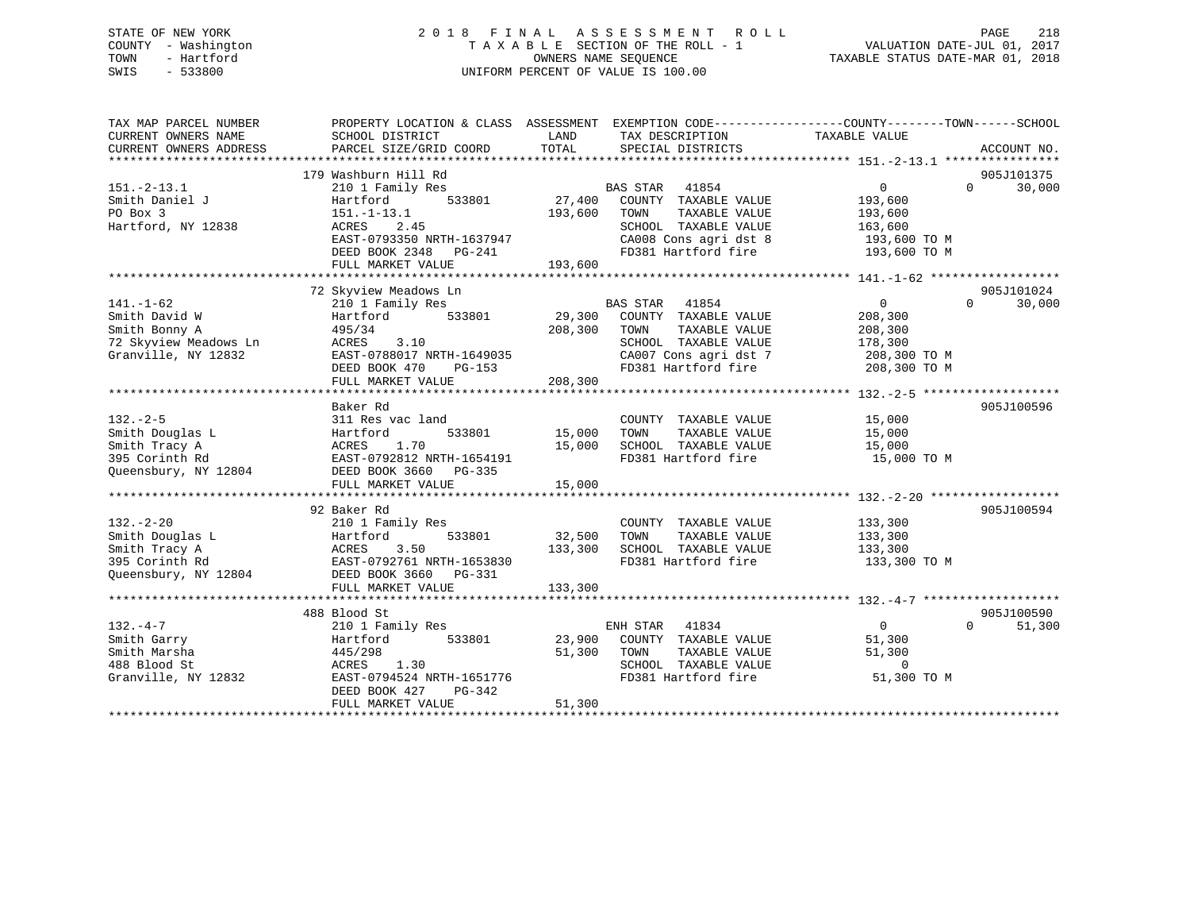# STATE OF NEW YORK 2 0 1 8 F I N A L A S S E S S M E N T R O L L PAGE 218 COUNTY - Washington T A X A B L E SECTION OF THE ROLL - 1 VALUATION DATE-JUL 01, 2017 TOWN - Hartford **TAXABLE STATUS DATE-MAR 01, 2018** OWNERS NAME SEQUENCE TAXABLE STATUS DATE-MAR 01, 2018 SWIS - 533800 UNIFORM PERCENT OF VALUE IS 100.00

| TAX MAP PARCEL NUMBER<br>CURRENT OWNERS NAME<br>CURRENT OWNERS ADDRESS | PROPERTY LOCATION & CLASS ASSESSMENT<br>SCHOOL DISTRICT<br>PARCEL SIZE/GRID COORD | LAND<br>TOTAL | EXEMPTION CODE-----------------COUNTY-------TOWN------SCHOOL<br>TAX DESCRIPTION TAXABLE VALUE<br>SPECIAL DISTRICTS |                | ACCOUNT NO.        |
|------------------------------------------------------------------------|-----------------------------------------------------------------------------------|---------------|--------------------------------------------------------------------------------------------------------------------|----------------|--------------------|
|                                                                        |                                                                                   |               |                                                                                                                    |                |                    |
|                                                                        | 179 Washburn Hill Rd                                                              |               |                                                                                                                    |                | 905J101375         |
| $151. - 2 - 13.1$                                                      | 210 1 Family Res                                                                  |               | <b>BAS STAR</b><br>41854                                                                                           | $\overline{0}$ | $\Omega$<br>30,000 |
| Smith Daniel J                                                         | 533801<br>Hartford                                                                | 27,400        | COUNTY TAXABLE VALUE                                                                                               | 193,600        |                    |
| PO Box 3                                                               | $151.-1-13.1$                                                                     | 193,600       | TOWN<br>TAXABLE VALUE                                                                                              | 193,600        |                    |
| Hartford, NY 12838                                                     | ACRES<br>2.45                                                                     |               | SCHOOL TAXABLE VALUE                                                                                               | 163,600        |                    |
|                                                                        | EAST-0793350 NRTH-1637947                                                         |               | CA008 Cons agri dst 8                                                                                              | 193,600 ТО М   |                    |
|                                                                        | DEED BOOK 2348 PG-241                                                             |               | FD381 Hartford fire                                                                                                | 193,600 TO M   |                    |
|                                                                        |                                                                                   |               |                                                                                                                    |                |                    |
|                                                                        |                                                                                   |               |                                                                                                                    |                |                    |
|                                                                        | 72 Skyview Meadows Ln                                                             |               |                                                                                                                    |                | 905J101024         |
| $141. - 1 - 62$                                                        | 210 1 Family Res                                                                  |               | BAS STAR 41854                                                                                                     | $\overline{0}$ | 30,000<br>$\Omega$ |
| Smith David W                                                          | 533801<br>Hartford                                                                | 29,300        | COUNTY TAXABLE VALUE                                                                                               | 208,300        |                    |
| Smith Bonny A                                                          | 495/34                                                                            | 208,300       | TAXABLE VALUE<br>TOWN                                                                                              | 208,300        |                    |
| 72 Skyview Meadows Ln                                                  | ACRES<br>3.10                                                                     |               | SCHOOL TAXABLE VALUE                                                                                               | 178,300        |                    |
| Granville, NY 12832                                                    | EAST-0788017 NRTH-1649035<br>DEED BOOK 470 PG-153                                 |               | CA007 Cons agri dst 7                                                                                              | 208,300 TO M   |                    |
|                                                                        |                                                                                   |               | FD381 Hartford fire                                                                                                | 208,300 TO M   |                    |
|                                                                        | FULL MARKET VALUE                                                                 | 208, 300      |                                                                                                                    |                |                    |
|                                                                        | Baker Rd                                                                          |               |                                                                                                                    |                | 905J100596         |
| $132 - 2 - 5$                                                          | 311 Res vac land                                                                  |               | COUNTY TAXABLE VALUE                                                                                               | 15,000         |                    |
| Smith Douglas L                                                        | Hartford                                                                          | 533801 15,000 | TOWN<br>TAXABLE VALUE                                                                                              | 15,000         |                    |
| Smith Tracy A                                                          | ACRES<br>1.70                                                                     | 15,000        | SCHOOL TAXABLE VALUE                                                                                               | 15,000         |                    |
| 395 Corinth Rd                                                         | EAST-0792812 NRTH-1654191                                                         |               | FD381 Hartford fire                                                                                                | 15,000 TO M    |                    |
| Queensbury, NY 12804                                                   | DEED BOOK 3660 PG-335                                                             |               |                                                                                                                    |                |                    |
|                                                                        | FULL MARKET VALUE                                                                 | 15,000        |                                                                                                                    |                |                    |
|                                                                        |                                                                                   |               |                                                                                                                    |                |                    |
|                                                                        | 92 Baker Rd                                                                       |               |                                                                                                                    |                | 905J100594         |
| $132 - 2 - 20$                                                         | 210 1 Family Res                                                                  |               | COUNTY TAXABLE VALUE                                                                                               | 133,300        |                    |
| Smith Douglas L                                                        | 533801<br>Hartford                                                                | 32,500        | TAXABLE VALUE<br>TOWN                                                                                              | 133,300        |                    |
| Smith Tracy A                                                          | 3.50<br>ACRES                                                                     | 133,300       | SCHOOL TAXABLE VALUE                                                                                               | 133,300        |                    |
| 395 Corinth Rd                                                         | EAST-0792761 NRTH-1653830                                                         |               | FD381 Hartford fire                                                                                                | 133,300 TO M   |                    |
| Queensbury, NY 12804                                                   | DEED BOOK 3660 PG-331                                                             |               |                                                                                                                    |                |                    |
|                                                                        | FULL MARKET VALUE                                                                 | 133,300       |                                                                                                                    |                |                    |
|                                                                        |                                                                                   |               |                                                                                                                    |                |                    |
|                                                                        | 488 Blood St                                                                      |               |                                                                                                                    |                | 905J100590         |
| $132 - 4 - 7$                                                          | 210 1 Family Res                                                                  |               | ENH STAR<br>41834                                                                                                  | $\overline{0}$ | $\Omega$<br>51,300 |
| Smith Garry                                                            | 533801<br>Hartford                                                                |               | 23,900 COUNTY TAXABLE VALUE                                                                                        | 51,300         |                    |
| Smith Marsha                                                           | 445/298                                                                           | 51,300        | TAXABLE VALUE<br>TOWN                                                                                              | 51,300         |                    |
| 488 Blood St                                                           | ACRES<br>1.30                                                                     |               | SCHOOL TAXABLE VALUE                                                                                               | $\overline{0}$ |                    |
| Granville, NY 12832                                                    | EAST-0794524 NRTH-1651776                                                         |               | FD381 Hartford fire                                                                                                | 51,300 TO M    |                    |
|                                                                        | DEED BOOK 427<br>$PG-342$                                                         |               |                                                                                                                    |                |                    |
|                                                                        | FULL MARKET VALUE                                                                 | 51,300        |                                                                                                                    |                |                    |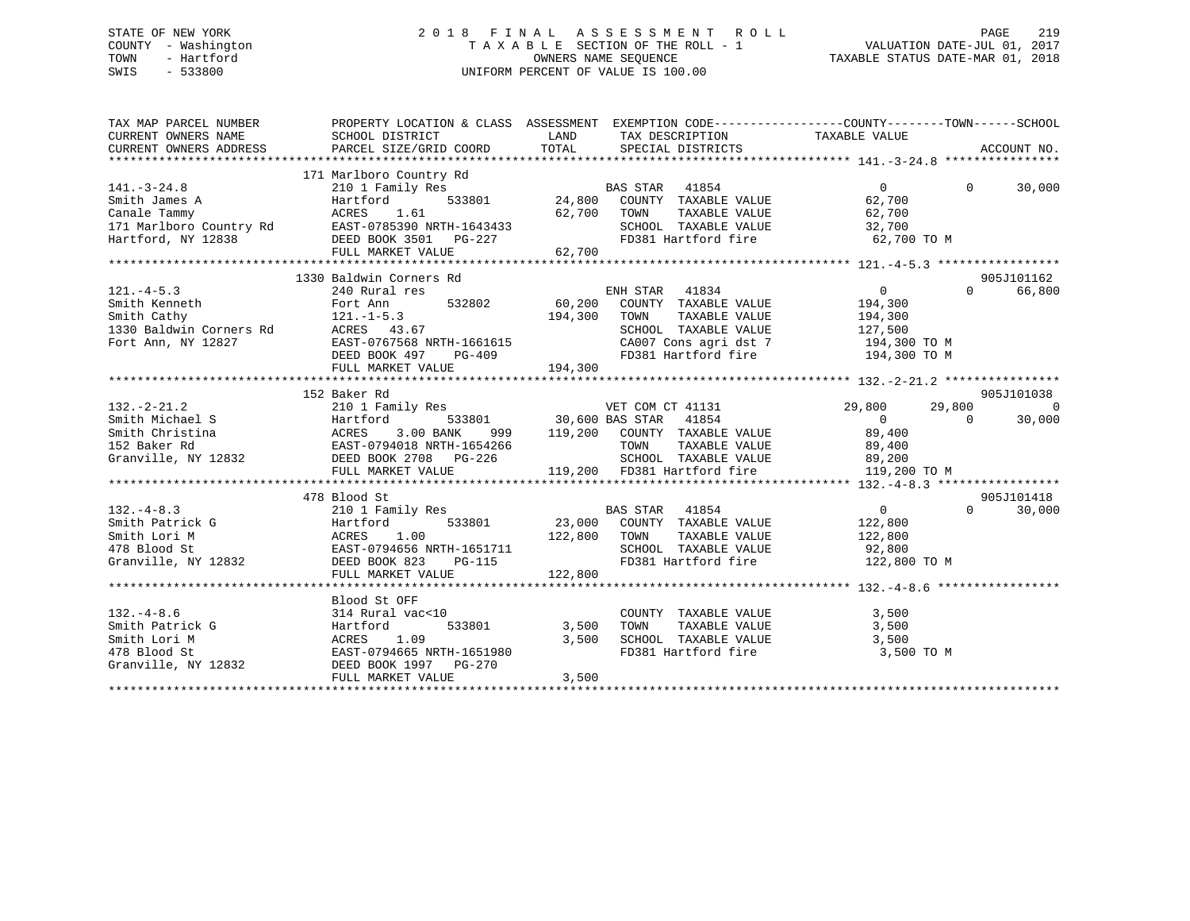# STATE OF NEW YORK 2 0 1 8 F I N A L A S S E S S M E N T R O L L PAGE 219 COUNTY - Washington T A X A B L E SECTION OF THE ROLL - 1 VALUATION DATE-JUL 01, 2017 TOWN - Hartford **TAXABLE STATUS DATE-MAR 01, 2018** OWNERS NAME SEQUENCE TAXABLE STATUS DATE-MAR 01, 2018 SWIS - 533800 UNIFORM PERCENT OF VALUE IS 100.00

| TAX MAP PARCEL NUMBER<br>CURRENT OWNERS NAME SCHOOL DISTRICT LAND TAX DESCRIPTION TAXABLE VALUE<br>CURRENT OWNERS ADDRESS PARCEL SIZE/GRID COORD TOTAL SPECIAL DISTRICTS ACCOUNT NO. ACCOUNT NO.                                                                             | PROPERTY LOCATION & CLASS ASSESSMENT EXEMPTION CODE-----------------COUNTY-------TOWN------SCHOOL                                                                                                                                          |                   |                                                                                                |                    |
|------------------------------------------------------------------------------------------------------------------------------------------------------------------------------------------------------------------------------------------------------------------------------|--------------------------------------------------------------------------------------------------------------------------------------------------------------------------------------------------------------------------------------------|-------------------|------------------------------------------------------------------------------------------------|--------------------|
|                                                                                                                                                                                                                                                                              |                                                                                                                                                                                                                                            |                   |                                                                                                |                    |
|                                                                                                                                                                                                                                                                              | 171 Marlboro Country Rd 210 1 Family Res 24,800 COUNTY TAXABLE VALUE 27,700<br>ACRES 1.61 22,700<br>ACRES 2,700<br>24,800 COUNTY TAXABLE VALUE 27,700<br>24,800 COUNTY TAXABLE VALUE 27,700<br>24,800 COUNTY TAXABLE VALUE 27,700<br>24,80 |                   |                                                                                                |                    |
| $141. - 3 - 24.8$                                                                                                                                                                                                                                                            |                                                                                                                                                                                                                                            |                   |                                                                                                | $\Omega$<br>30,000 |
|                                                                                                                                                                                                                                                                              |                                                                                                                                                                                                                                            |                   |                                                                                                |                    |
|                                                                                                                                                                                                                                                                              |                                                                                                                                                                                                                                            |                   |                                                                                                |                    |
|                                                                                                                                                                                                                                                                              |                                                                                                                                                                                                                                            |                   |                                                                                                |                    |
|                                                                                                                                                                                                                                                                              |                                                                                                                                                                                                                                            |                   | FD381 Hartford fire 62,700 TO M                                                                |                    |
| 91.73.24.800 COUNTY<br>Smith James A Hartford 533801 24,800 COUNTY<br>Canale Tammy ACRES 1.61 62,700 TOWN<br>171 Marlboro Country Rd EAST-0785390 NRTH-1643433 SCHOOL<br>Hartford, NY 12838 DEED BOOK 3501 PG-227 62,700 FD381 Hz<br>FUL                                     |                                                                                                                                                                                                                                            |                   |                                                                                                |                    |
|                                                                                                                                                                                                                                                                              |                                                                                                                                                                                                                                            |                   |                                                                                                |                    |
| 1330 Baldwin Corners Rd<br>1330 Baldwin Corners Rd<br>240 Rural res<br>240 Rural res<br>240 Rural res<br>240 Rural res<br>240 Rural res<br>240 Rural res<br>240 Rural res<br>240 Rural res<br>240 Rural 125<br>240 Rural 125<br>240 CONTAINE VALUE<br>26                     |                                                                                                                                                                                                                                            |                   |                                                                                                |                    |
|                                                                                                                                                                                                                                                                              |                                                                                                                                                                                                                                            |                   |                                                                                                |                    |
|                                                                                                                                                                                                                                                                              |                                                                                                                                                                                                                                            |                   |                                                                                                |                    |
|                                                                                                                                                                                                                                                                              |                                                                                                                                                                                                                                            |                   |                                                                                                |                    |
|                                                                                                                                                                                                                                                                              |                                                                                                                                                                                                                                            |                   |                                                                                                |                    |
|                                                                                                                                                                                                                                                                              |                                                                                                                                                                                                                                            |                   |                                                                                                |                    |
|                                                                                                                                                                                                                                                                              |                                                                                                                                                                                                                                            |                   |                                                                                                |                    |
|                                                                                                                                                                                                                                                                              |                                                                                                                                                                                                                                            |                   |                                                                                                |                    |
|                                                                                                                                                                                                                                                                              |                                                                                                                                                                                                                                            |                   |                                                                                                |                    |
|                                                                                                                                                                                                                                                                              | 152 Baker Rd                                                                                                                                                                                                                               |                   |                                                                                                | 905J101038         |
|                                                                                                                                                                                                                                                                              |                                                                                                                                                                                                                                            |                   |                                                                                                |                    |
|                                                                                                                                                                                                                                                                              |                                                                                                                                                                                                                                            |                   |                                                                                                |                    |
|                                                                                                                                                                                                                                                                              |                                                                                                                                                                                                                                            |                   |                                                                                                |                    |
|                                                                                                                                                                                                                                                                              |                                                                                                                                                                                                                                            |                   |                                                                                                |                    |
|                                                                                                                                                                                                                                                                              |                                                                                                                                                                                                                                            |                   |                                                                                                |                    |
|                                                                                                                                                                                                                                                                              |                                                                                                                                                                                                                                            |                   |                                                                                                |                    |
|                                                                                                                                                                                                                                                                              |                                                                                                                                                                                                                                            |                   |                                                                                                |                    |
|                                                                                                                                                                                                                                                                              |                                                                                                                                                                                                                                            |                   |                                                                                                | 905J101418         |
|                                                                                                                                                                                                                                                                              |                                                                                                                                                                                                                                            |                   |                                                                                                | 30,000             |
|                                                                                                                                                                                                                                                                              |                                                                                                                                                                                                                                            |                   |                                                                                                |                    |
|                                                                                                                                                                                                                                                                              |                                                                                                                                                                                                                                            |                   |                                                                                                |                    |
|                                                                                                                                                                                                                                                                              |                                                                                                                                                                                                                                            |                   |                                                                                                |                    |
|                                                                                                                                                                                                                                                                              |                                                                                                                                                                                                                                            |                   |                                                                                                |                    |
|                                                                                                                                                                                                                                                                              | FULL MARKET VALUE                                                                                                                                                                                                                          | 122,800           |                                                                                                |                    |
|                                                                                                                                                                                                                                                                              |                                                                                                                                                                                                                                            |                   |                                                                                                |                    |
|                                                                                                                                                                                                                                                                              | Blood St OFF                                                                                                                                                                                                                               |                   |                                                                                                |                    |
|                                                                                                                                                                                                                                                                              |                                                                                                                                                                                                                                            |                   | COUNTY TAXABLE VALUE 3,500                                                                     |                    |
|                                                                                                                                                                                                                                                                              |                                                                                                                                                                                                                                            | 533801 3,500 TOWN |                                                                                                |                    |
|                                                                                                                                                                                                                                                                              |                                                                                                                                                                                                                                            |                   |                                                                                                |                    |
|                                                                                                                                                                                                                                                                              |                                                                                                                                                                                                                                            |                   | 3,500 TOWN TAXABLE VALUE<br>3,500 SCHOOL TAXABLE VALUE 3,500<br>FD381 Hartford fire 3,500 TO M |                    |
|                                                                                                                                                                                                                                                                              |                                                                                                                                                                                                                                            |                   |                                                                                                |                    |
| 132.-4-8.6<br>Smith Patrick G<br>Smith Lori M<br>478 Blood St<br>Granville, NY 12832<br>233801<br>678 Blood St<br>533801<br>23,500<br>533801<br>23,500<br>2503801<br>23,500<br>2503801<br>253801<br>253801<br>253801<br>25500<br>2500<br>2500<br>2500<br>2500<br>2500<br>250 | FULL MARKET VALUE                                                                                                                                                                                                                          | 3,500             |                                                                                                |                    |
|                                                                                                                                                                                                                                                                              |                                                                                                                                                                                                                                            |                   |                                                                                                |                    |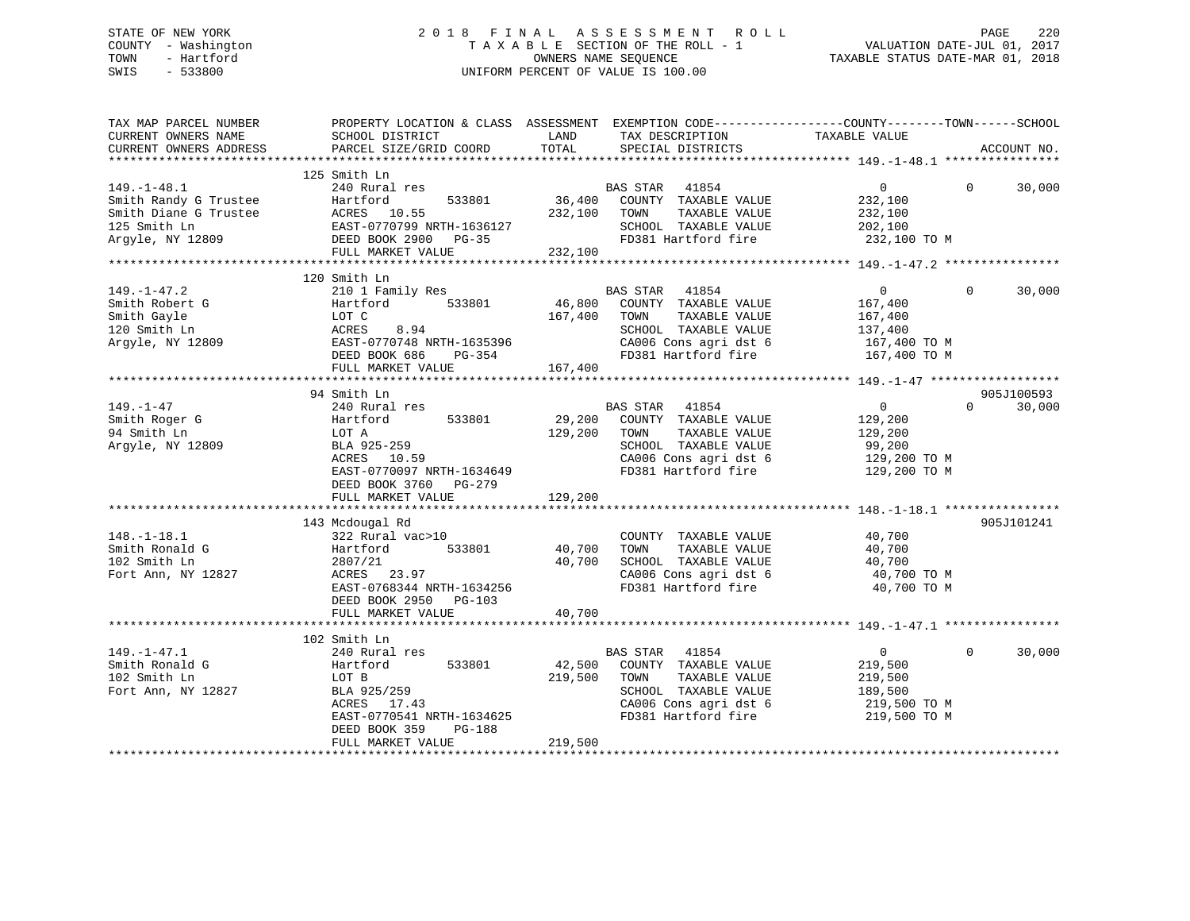# STATE OF NEW YORK 2 0 1 8 F I N A L A S S E S S M E N T R O L L PAGE 220 COUNTY - Washington T A X A B L E SECTION OF THE ROLL - 1 VALUATION DATE-JUL 01, 2017 TOWN - Hartford **TAXABLE STATUS DATE-MAR 01, 2018** OWNERS NAME SEQUENCE TAXABLE STATUS DATE-MAR 01, 2018 SWIS - 533800 UNIFORM PERCENT OF VALUE IS 100.00

| TAX MAP PARCEL NUMBER<br>CURRENT OWNERS NAME<br>CURRENT OWNERS ADDRESS                                  | PROPERTY LOCATION & CLASS ASSESSMENT<br>SCHOOL DISTRICT<br>PARCEL SIZE/GRID COORD                                                                            | LAND<br>TOTAL                | EXEMPTION CODE-----------------COUNTY-------TOWN------SCHOOL<br>TAX DESCRIPTION<br>SPECIAL DISTRICTS                                       | TAXABLE VALUE                                                                   |          | ACCOUNT NO. |
|---------------------------------------------------------------------------------------------------------|--------------------------------------------------------------------------------------------------------------------------------------------------------------|------------------------------|--------------------------------------------------------------------------------------------------------------------------------------------|---------------------------------------------------------------------------------|----------|-------------|
|                                                                                                         |                                                                                                                                                              |                              |                                                                                                                                            |                                                                                 |          |             |
| $149. - 1 - 48.1$<br>Smith Randy G Trustee<br>Smith Diane G Trustee<br>125 Smith Ln<br>Argyle, NY 12809 | 125 Smith Ln<br>240 Rural res<br>Hartford<br>533801<br>10.55<br>ACRES<br>EAST-0770799 NRTH-1636127<br>DEED BOOK 2900 PG-35<br>FULL MARKET VALUE              | 36,400<br>232,100<br>232,100 | BAS STAR<br>41854<br>COUNTY TAXABLE VALUE<br>TOWN<br>TAXABLE VALUE<br>SCHOOL TAXABLE VALUE<br>FD381 Hartford fire                          | $\overline{0}$<br>232,100<br>232,100<br>202,100<br>232,100 TO M                 | $\Omega$ | 30,000      |
|                                                                                                         |                                                                                                                                                              |                              |                                                                                                                                            |                                                                                 |          |             |
| $149. - 1 - 47.2$<br>Smith Robert G<br>Smith Gayle<br>120 Smith Ln<br>Argyle, NY 12809                  | 120 Smith Ln<br>210 1 Family Res<br>533801<br>Hartford<br>LOT C<br>8.94<br>ACRES<br>EAST-0770748 NRTH-1635396<br>DEED BOOK 686<br>PG-354                     | 46,800<br>167,400            | BAS STAR 41854<br>COUNTY TAXABLE VALUE<br>TAXABLE VALUE<br>TOWN<br>SCHOOL TAXABLE VALUE<br>CA006 Cons agri dst 6<br>FD381 Hartford fire    | $\overline{0}$<br>167,400<br>167,400<br>137,400<br>167,400 TO M<br>167,400 TO M | $\Omega$ | 30,000      |
|                                                                                                         | FULL MARKET VALUE                                                                                                                                            | 167,400                      |                                                                                                                                            |                                                                                 |          |             |
|                                                                                                         | 94 Smith Ln                                                                                                                                                  |                              |                                                                                                                                            |                                                                                 |          | 905J100593  |
| $149. - 1 - 47$<br>Smith Roger G<br>94 Smith Ln<br>Argyle, NY 12809                                     | 240 Rural res<br>Hartford<br>533801<br>LOT A<br>BLA 925-259<br>ACRES 10.59<br>EAST-0770097 NRTH-1634649<br>DEED BOOK 3760<br>PG-279<br>FULL MARKET VALUE     | 29,200<br>129,200<br>129,200 | BAS STAR<br>41854<br>COUNTY TAXABLE VALUE<br>TAXABLE VALUE<br>TOWN<br>SCHOOL TAXABLE VALUE<br>CA006 Cons agri dst 6<br>FD381 Hartford fire | $\overline{0}$<br>129,200<br>129,200<br>99,200<br>129,200 TO M<br>129,200 TO M  | $\Omega$ | 30,000      |
|                                                                                                         | 143 Mcdougal Rd                                                                                                                                              |                              |                                                                                                                                            |                                                                                 |          | 905J101241  |
| $148. - 1 - 18.1$<br>Smith Ronald G<br>102 Smith Ln<br>Fort Ann, NY 12827                               | 322 Rural vac>10<br>533801<br>Hartford<br>2807/21<br>23.97<br>ACRES<br>EAST-0768344 NRTH-1634256<br>DEED BOOK 2950<br>$PG-103$                               | 40,700<br>40,700             | COUNTY TAXABLE VALUE<br>TAXABLE VALUE<br>TOWN<br>SCHOOL TAXABLE VALUE<br>CA006 Cons agri dst 6<br>FD381 Hartford fire                      | 40,700<br>40,700<br>40,700<br>40,700 TO M<br>40,700 TO M                        |          |             |
|                                                                                                         | FULL MARKET VALUE                                                                                                                                            | 40,700                       |                                                                                                                                            |                                                                                 |          |             |
|                                                                                                         |                                                                                                                                                              |                              |                                                                                                                                            |                                                                                 |          |             |
| $149. - 1 - 47.1$<br>Smith Ronald G<br>102 Smith Ln<br>Fort Ann, NY 12827                               | 102 Smith Ln<br>240 Rural res<br>533801<br>Hartford<br>LOT B<br>BLA 925/259<br>ACRES<br>17.43<br>EAST-0770541 NRTH-1634625<br>DEED BOOK 359<br><b>PG-188</b> | 42,500<br>219,500            | BAS STAR<br>41854<br>COUNTY TAXABLE VALUE<br>TOWN<br>TAXABLE VALUE<br>SCHOOL TAXABLE VALUE<br>CA006 Cons agri dst 6<br>FD381 Hartford fire | $\overline{0}$<br>219,500<br>219,500<br>189,500<br>219,500 TO M<br>219,500 TO M | $\Omega$ | 30,000      |
|                                                                                                         | FULL MARKET VALUE                                                                                                                                            | 219,500                      |                                                                                                                                            |                                                                                 |          |             |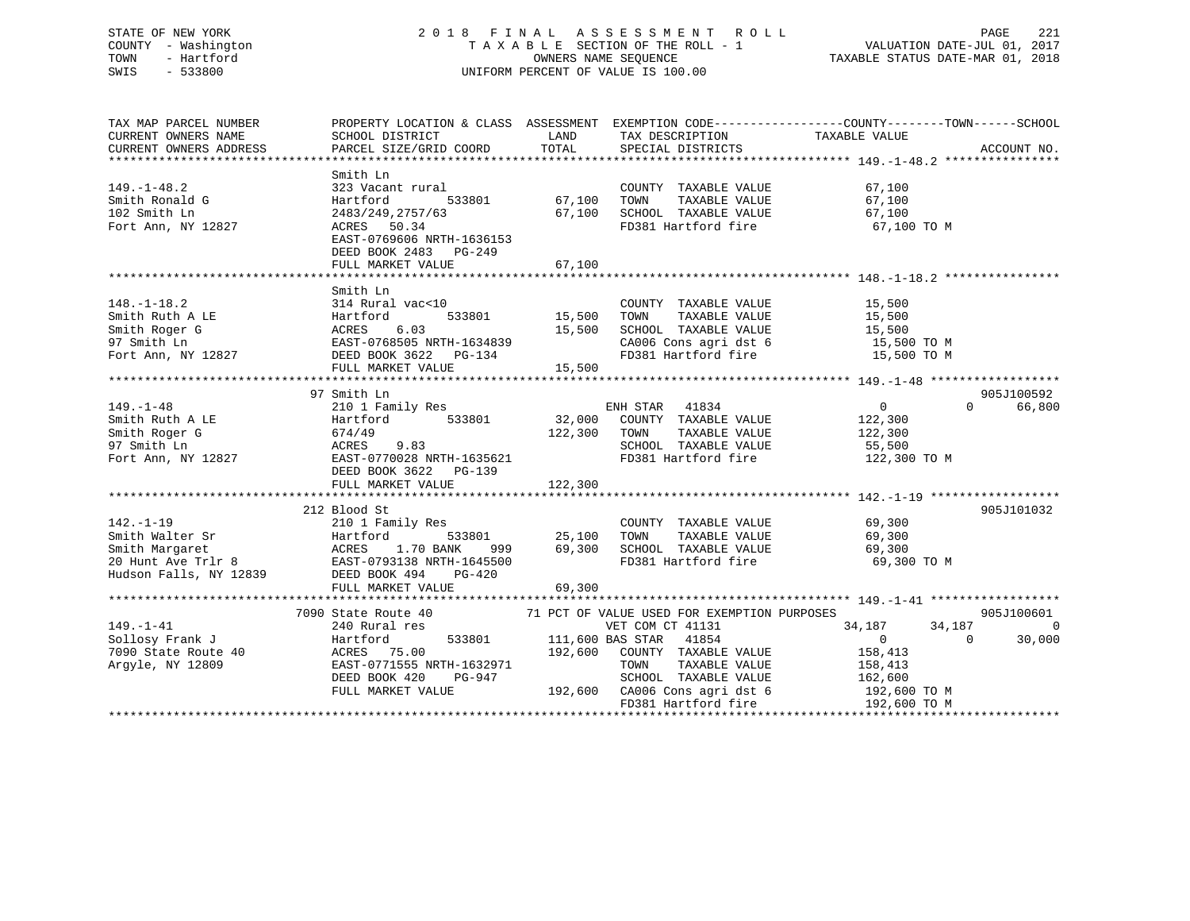# STATE OF NEW YORK 2 0 1 8 F I N A L A S S E S S M E N T R O L L PAGE 221 COUNTY - Washington T A X A B L E SECTION OF THE ROLL - 1 VALUATION DATE-JUL 01, 2017 TOWN - Hartford **TAXABLE STATUS DATE-MAR 01, 2018** OWNERS NAME SEQUENCE TAXABLE STATUS DATE-MAR 01, 2018 SWIS - 533800 UNIFORM PERCENT OF VALUE IS 100.00

| TAX MAP PARCEL NUMBER |                                                                                                                                                                      |                                             |                                                                      | PROPERTY LOCATION & CLASS ASSESSMENT EXEMPTION CODE--------------COUNTY-------TOWN-----SCHOOL |            |
|-----------------------|----------------------------------------------------------------------------------------------------------------------------------------------------------------------|---------------------------------------------|----------------------------------------------------------------------|-----------------------------------------------------------------------------------------------|------------|
| CURRENT OWNERS NAME   | SCHOOL DISTRICT                                                                                                                                                      | LAND                                        | TAX DESCRIPTION                                                      | TAXABLE VALUE                                                                                 |            |
|                       |                                                                                                                                                                      |                                             |                                                                      |                                                                                               |            |
|                       |                                                                                                                                                                      |                                             |                                                                      |                                                                                               |            |
|                       | Smith Ln                                                                                                                                                             |                                             |                                                                      |                                                                                               |            |
| $149. - 1 - 48.2$     | 323 Vacant rural                                                                                                                                                     |                                             | COUNTY TAXABLE VALUE 67,100                                          |                                                                                               |            |
| Smith Ronald G        | Hartford                                                                                                                                                             | 533801 67,100                               | TOWN<br>TAXABLE VALUE                                                |                                                                                               |            |
| 102 Smith Ln          |                                                                                                                                                                      |                                             | 67,100 SCHOOL TAXABLE VALUE                                          | $67,100$<br>$67,100$                                                                          |            |
| Fort Ann, NY 12827    | 2483/249,2757/63<br>ACRES 50.34                                                                                                                                      |                                             | FD381 Hartford fire 67,100 TO M                                      |                                                                                               |            |
|                       | EAST-0769606 NRTH-1636153                                                                                                                                            |                                             |                                                                      |                                                                                               |            |
|                       | DEED BOOK 2483 PG-249                                                                                                                                                |                                             |                                                                      |                                                                                               |            |
|                       | FULL MARKET VALUE                                                                                                                                                    | 67,100                                      |                                                                      |                                                                                               |            |
|                       |                                                                                                                                                                      |                                             |                                                                      |                                                                                               |            |
|                       |                                                                                                                                                                      |                                             |                                                                      |                                                                                               |            |
|                       | Smith Ln                                                                                                                                                             |                                             |                                                                      |                                                                                               |            |
| $148. - 1 - 18.2$     | 314 Rural vac<10                                                                                                                                                     | 533801 15,500 TOWN                          | COUNTY TAXABLE VALUE                                                 | 15,500<br>15,500                                                                              |            |
| Smith Ruth A LE       | Hartford                                                                                                                                                             |                                             | TAXABLE VALUE                                                        |                                                                                               |            |
|                       | Smith Roger G<br>97 Smith Ln<br>Fort Ann, NY 12827<br>Fort Ann, NY 12827<br>DEED BOOK 3622<br>DEED BOOK 3622<br>PG-134                                               |                                             | SCHOOL TAXABLE VALUE                                                 | 15,500<br>15,500 TO M                                                                         |            |
|                       |                                                                                                                                                                      |                                             | CA006 Cons agri dst 6 15,500 TO M<br>FD381 Hartford fire 15,500 TO M |                                                                                               |            |
|                       |                                                                                                                                                                      |                                             |                                                                      |                                                                                               |            |
|                       | FULL MARKET VALUE 15,500                                                                                                                                             |                                             |                                                                      |                                                                                               |            |
|                       |                                                                                                                                                                      |                                             |                                                                      |                                                                                               |            |
|                       | 97 Smith Ln                                                                                                                                                          |                                             |                                                                      |                                                                                               | 905J100592 |
| $149. - 1 - 48$       | 210 1 Family Res                                                                                                                                                     |                                             | ENH STAR 41834                                                       | $\overline{0}$<br>$\Omega$                                                                    | 66,800     |
| Smith Ruth A LE       |                                                                                                                                                                      |                                             |                                                                      | 122,300                                                                                       |            |
|                       |                                                                                                                                                                      | 122,300 TOWN                                | TAXABLE VALUE                                                        | 122,300                                                                                       |            |
|                       |                                                                                                                                                                      |                                             | SCHOOL TAXABLE VALUE                                                 | 55,500                                                                                        |            |
|                       | Smith Roger G<br>97 Smith Ln<br>Fort Ann, NY 12827<br>Fort Ann, NY 12827<br>EAST-0770028 NRTH-1635621                                                                |                                             | FD381 Hartford fire 122,300 TO M                                     |                                                                                               |            |
|                       | DEED BOOK 3622 PG-139                                                                                                                                                |                                             |                                                                      |                                                                                               |            |
|                       | FULL MARKET VALUE                                                                                                                                                    | 122,300                                     |                                                                      |                                                                                               |            |
|                       |                                                                                                                                                                      |                                             |                                                                      |                                                                                               |            |
|                       | 212 Blood St                                                                                                                                                         |                                             |                                                                      |                                                                                               | 905J101032 |
| $142. - 1 - 19$       | 210 1 Family Res                                                                                                                                                     |                                             | COUNTY TAXABLE VALUE 69,300                                          |                                                                                               |            |
|                       |                                                                                                                                                                      |                                             |                                                                      |                                                                                               |            |
|                       |                                                                                                                                                                      | 533801 25,100 TOWN<br>ANK 999 69,300 SCHOOL | 25,100 TOWN TAXABLE VALUE<br>69,300 SCHOOL TAXABLE VALUE             | 69,300<br>69,300                                                                              |            |
|                       |                                                                                                                                                                      |                                             | FD381 Hartford fire 69,300 TO M                                      |                                                                                               |            |
|                       | Smith Walter Sr Martford 533801<br>Smith Margaret ACRES 1.70 BANK 999<br>20 Hunt Ave Trlr 8 EAST-0793138 NRTH-1645500<br>Hudson Falls, NY 12839 DEED BOOK 494 PG-420 |                                             |                                                                      |                                                                                               |            |
|                       | FULL MARKET VALUE                                                                                                                                                    | 69,300                                      |                                                                      |                                                                                               |            |
|                       |                                                                                                                                                                      |                                             |                                                                      |                                                                                               |            |
|                       | 7090 State Route 40 71 PCT OF VALUE USED FOR EXEMPTION PURPOSES                                                                                                      |                                             |                                                                      |                                                                                               | 905J100601 |
| $149. - 1 - 41$       | 240 Rural res                                                                                                                                                        |                                             | VET COM CT 41131                                                     | 34,187<br>34,187                                                                              | $\Omega$   |
| Sollosy Frank J       | Hartford                                                                                                                                                             |                                             | 533801 111,600 BAS STAR 41854                                        | $\overline{0}$<br>$\Omega$                                                                    | 30,000     |
| 7090 State Route 40   | ACRES 75.00                                                                                                                                                          | 192,600                                     | COUNTY TAXABLE VALUE                                                 | 158,413                                                                                       |            |
|                       |                                                                                                                                                                      |                                             |                                                                      |                                                                                               |            |
| Argyle, NY 12809      | EAST-0771555 NRTH-1632971                                                                                                                                            |                                             | TOWN                                                                 | TAXABLE VALUE 158,413                                                                         |            |
|                       | DEED BOOK 420<br>PG-947                                                                                                                                              |                                             | SCHOOL TAXABLE VALUE<br>192,600 CA006 Cons agri dst 6 192,600 TO M   | 162,600                                                                                       |            |
|                       | FULL MARKET VALUE                                                                                                                                                    |                                             |                                                                      |                                                                                               |            |
|                       |                                                                                                                                                                      |                                             | FD381 Hartford fire                                                  | 192,600 TO M                                                                                  |            |
|                       |                                                                                                                                                                      |                                             |                                                                      |                                                                                               |            |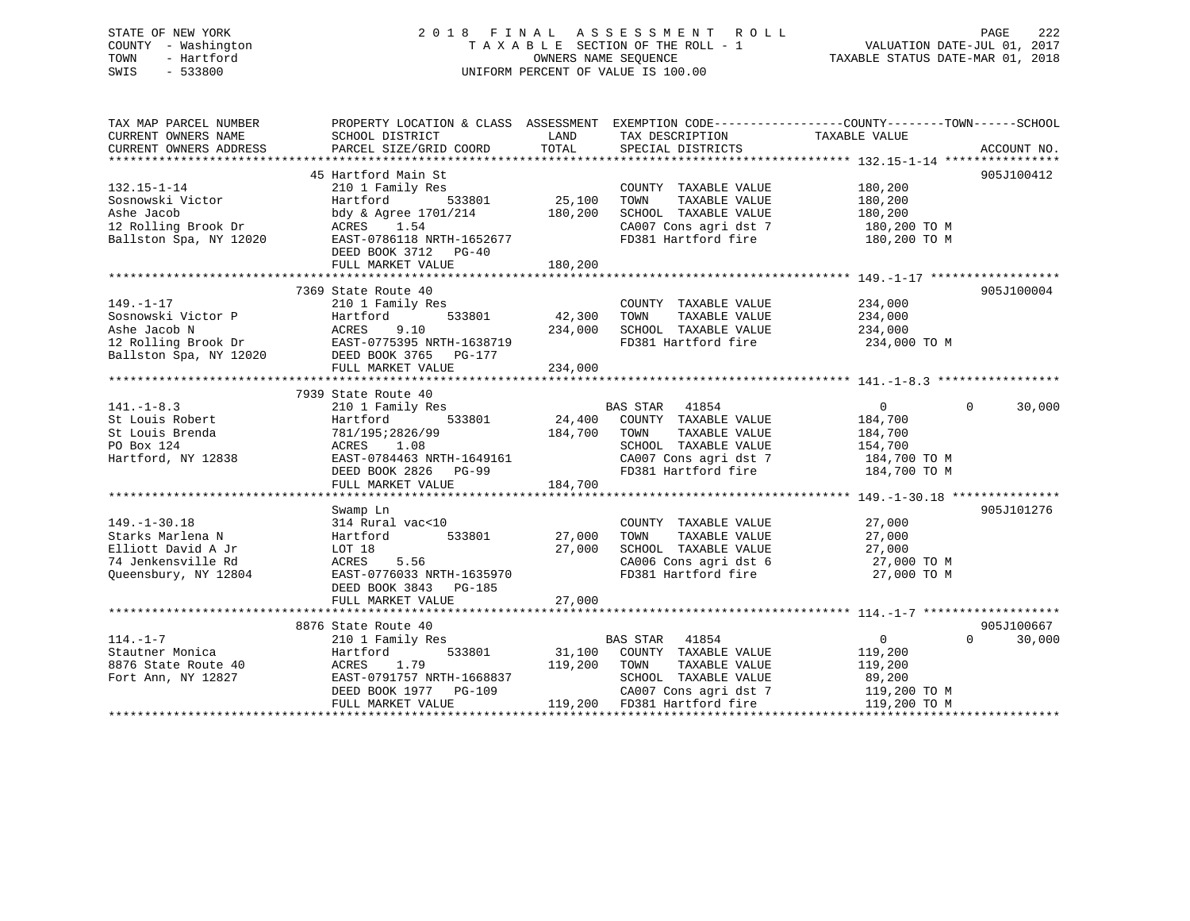#### STATE OF NEW YORK 2 0 1 8 F I N A L A S S E S S M E N T R O L L PAGE 222 COUNTY - Washington T A X A B L E SECTION OF THE ROLL - 1 VALUATION DATE-JUL 01, 2017 TOWN - Hartford OWNERS NAME SEQUENCE TAXABLE STATUS DATE-MAR 01, 2018 SWIS - 533800 UNIFORM PERCENT OF VALUE IS 100.00

TAX MAP PARCEL NUMBER PROPERTY LOCATION & CLASS ASSESSMENT EXEMPTION CODE------------------COUNTY--------TOWN------SCHOOL CURRENT OWNERS NAME SCHOOL DISTRICT THE LAND TAX DESCRIPTION TAXABLE VALUE CURRENT OWNERS ADDRESS PARCEL SIZE/GRID COORD TOTAL SPECIAL DISTRICTS ACCOUNT NO. \*\*\*\*\*\*\*\*\*\*\*\*\*\*\*\*\*\*\*\*\*\*\*\*\*\*\*\*\*\*\*\*\*\*\*\*\*\*\*\*\*\*\*\*\*\*\*\*\*\*\*\*\*\*\*\*\*\*\*\*\*\*\*\*\*\*\*\*\*\*\*\*\*\*\*\*\*\*\*\*\*\*\*\*\*\*\*\*\*\*\*\*\*\*\*\*\*\*\*\*\*\*\* 132.15-1-14 \*\*\*\*\*\*\*\*\*\*\*\*\*\*\*\* 45 Hartford Main St 905J100412132.15-1-14 210 1 Family Res COUNTY TAXABLE VALUE 180,200 Sosnowski Victor Hartford 533801 25,100 TOWN TAXABLE VALUE 180,200 Ashe Jacob bdy & Agree 1701/214 180,200 SCHOOL TAXABLE VALUE 180,200 12 Rolling Brook Dr ACRES 1.54 CA007 Cons agri dst 7 180,200 TO M Ballston Spa, NY 12020 EAST-0786118 NRTH-1652677 FD381 Hartford fire 180,200 TO M DEED BOOK 3712 PG-40FULL MARKET VALUE 180,200 \*\*\*\*\*\*\*\*\*\*\*\*\*\*\*\*\*\*\*\*\*\*\*\*\*\*\*\*\*\*\*\*\*\*\*\*\*\*\*\*\*\*\*\*\*\*\*\*\*\*\*\*\*\*\*\*\*\*\*\*\*\*\*\*\*\*\*\*\*\*\*\*\*\*\*\*\*\*\*\*\*\*\*\*\*\*\*\*\*\*\*\*\*\*\*\*\*\*\*\*\*\*\* 149.-1-17 \*\*\*\*\*\*\*\*\*\*\*\*\*\*\*\*\*\* 7369 State Route 40 905J100004149.-1-17 210 1 Family Res COUNTY TAXABLE VALUE 234,000 Sosnowski Victor P Hartford 533801 42,300 TOWN TAXABLE VALUE 234,000 Ashe Jacob N ACRES 9.10 234,000 SCHOOL TAXABLE VALUE 234,000 12 Rolling Brook Dr EAST-0775395 NRTH-1638719 FD381 Hartford fire 234,000 TO M Ballston Spa, NY 12020 DEED BOOK 3765 PG-177 FULL MARKET VALUE 234,000<br>FULL MARKET VALUE 234,000 \*\*\*\*\*\*\*\*\*\*\*\*\*\*\*\*\*\*\*\*\*\*\*\*\*\*\*\*\*\*\*\*\*\*\*\*\*\*\*\*\*\*\*\*\*\*\*\*\*\*\*\*\*\*\*\*\*\*\*\*\*\*\*\*\*\*\*\*\*\*\*\*\*\*\*\*\*\*\*\*\*\*\*\*\*\*\*\*\*\*\*\*\*\*\*\*\*\*\*\*\*\*\* 141.-1-8.3 \*\*\*\*\*\*\*\*\*\*\*\*\*\*\*\*\* 7939 State Route 40 141.-1-8.3 210 1 Family Res BAS STAR 41854 0 0 30,000 St Louis Robert Hartford 533801 24,400 COUNTY TAXABLE VALUE 184,700 St Louis Brenda 781/195;2826/99 184,700 TOWN TAXABLE VALUE 184,700 PO Box 124 ACRES 1.08 SCHOOL TAXABLE VALUE 154,700 Hartford, NY 12838 EAST-0784463 NRTH-1649161 CA007 Cons agri dst 7 184,700 TO M DEED BOOK 2826 PG-99 FD381 Hartford fire 184,700 TO M FULL MARKET VALUE 184,700 \*\*\*\*\*\*\*\*\*\*\*\*\*\*\*\*\*\*\*\*\*\*\*\*\*\*\*\*\*\*\*\*\*\*\*\*\*\*\*\*\*\*\*\*\*\*\*\*\*\*\*\*\*\*\*\*\*\*\*\*\*\*\*\*\*\*\*\*\*\*\*\*\*\*\*\*\*\*\*\*\*\*\*\*\*\*\*\*\*\*\*\*\*\*\*\*\*\*\*\*\*\*\* 149.-1-30.18 \*\*\*\*\*\*\*\*\*\*\*\*\*\*\* Swamp Ln 905J101276 149.-1-30.18 314 Rural vac<10 COUNTY TAXABLE VALUE 27,000 Starks Marlena N Hartford 533801 27,000 TOWN TAXABLE VALUE 27,000 Elliott David A Jr LOT 18 27,000 SCHOOL TAXABLE VALUE 27,000 74 Jenkensville Rd ACRES 5.56 CA006 Cons agri dst 6 27,000 TO M Queensbury, NY 12804 EAST-0776033 NRTH-1635970 FD381 Hartford fire 27,000 TO M DEED BOOK 3843 PG-185 FULL MARKET VALUE 27,000 \*\*\*\*\*\*\*\*\*\*\*\*\*\*\*\*\*\*\*\*\*\*\*\*\*\*\*\*\*\*\*\*\*\*\*\*\*\*\*\*\*\*\*\*\*\*\*\*\*\*\*\*\*\*\*\*\*\*\*\*\*\*\*\*\*\*\*\*\*\*\*\*\*\*\*\*\*\*\*\*\*\*\*\*\*\*\*\*\*\*\*\*\*\*\*\*\*\*\*\*\*\*\* 114.-1-7 \*\*\*\*\*\*\*\*\*\*\*\*\*\*\*\*\*\*\*8876 State Route 40 905J100667

 $0 \t 30,000$ 114.-1-7 210 1 Family Res BAS STAR 41854 0 0 30,000 Stautner Monica Hartford 533801 31,100 COUNTY TAXABLE VALUE 119,200 8876 State Route 40 ACRES 1.79 119,200 TOWN TAXABLE VALUE 119,200 Fort Ann, NY 12827 EAST-0791757 NRTH-1668837 SCHOOL TAXABLE VALUE 89,200 DEED BOOK 1977 PG-109 CA007 Cons agri dst 7 119,200 TO M FULL MARKET VALUE 119,200 FD381 Hartford fire 119,200 TO M \*\*\*\*\*\*\*\*\*\*\*\*\*\*\*\*\*\*\*\*\*\*\*\*\*\*\*\*\*\*\*\*\*\*\*\*\*\*\*\*\*\*\*\*\*\*\*\*\*\*\*\*\*\*\*\*\*\*\*\*\*\*\*\*\*\*\*\*\*\*\*\*\*\*\*\*\*\*\*\*\*\*\*\*\*\*\*\*\*\*\*\*\*\*\*\*\*\*\*\*\*\*\*\*\*\*\*\*\*\*\*\*\*\*\*\*\*\*\*\*\*\*\*\*\*\*\*\*\*\*\*\*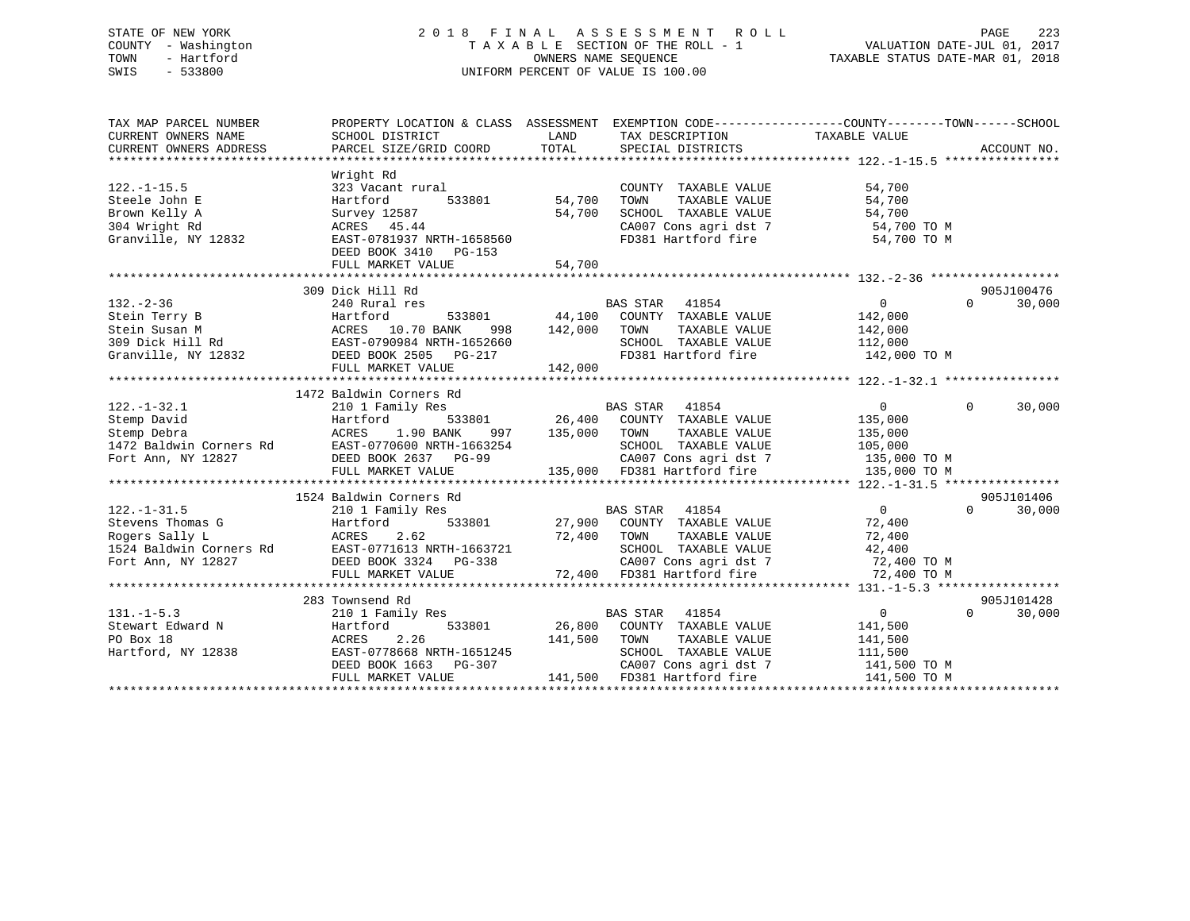# STATE OF NEW YORK 2 0 1 8 F I N A L A S S E S S M E N T R O L L PAGE 223 COUNTY - Washington T A X A B L E SECTION OF THE ROLL - 1 VALUATION DATE-JUL 01, 2017 TOWN - Hartford **TAXABLE STATUS DATE-MAR 01, 2018** OWNERS NAME SEQUENCE TAXABLE STATUS DATE-MAR 01, 2018 SWIS - 533800 UNIFORM PERCENT OF VALUE IS 100.00

| TAX MAP PARCEL NUMBER                                                                                    | PROPERTY LOCATION & CLASS ASSESSMENT                                                                                                                                                                                                                                                                   |                                   | EXEMPTION CODE-----------------COUNTY-------TOWN------SCHOOL                                                                                                     |                                                                                 |                                  |
|----------------------------------------------------------------------------------------------------------|--------------------------------------------------------------------------------------------------------------------------------------------------------------------------------------------------------------------------------------------------------------------------------------------------------|-----------------------------------|------------------------------------------------------------------------------------------------------------------------------------------------------------------|---------------------------------------------------------------------------------|----------------------------------|
| $122. - 1 - 15.5$<br>Steele John E<br>Brown Kelly A<br>304 Wright Rd<br>Granville, NY 12832              | Wright Rd<br>323 Vacant rural<br>Hartford<br>Survey 12587<br>ACRES 45.44<br>EAST-0781937 NRTH-1658560<br>DEED BOOK 3410 PG-153<br>FULL MARKET VALUE                                                                                                                                                    | 533801 54,700<br>54,700<br>54,700 | COUNTY TAXABLE VALUE<br>TAXABLE VALUE<br>TOWN<br>SCHOOL TAXABLE VALUE<br>CA007 Cons agri dst 7 54,700 TO M<br>FD381 Hartford fire 54,700 TO M                    | 54,700<br>54,700<br>54,700                                                      |                                  |
|                                                                                                          | 309 Dick Hill Rd                                                                                                                                                                                                                                                                                       |                                   |                                                                                                                                                                  |                                                                                 | 905J100476                       |
| $132 - 2 - 36$<br>Granville, NY 12832 DEED BOOK 2505 PG-217                                              | 240 Rural res<br>Note in Terry B 33801<br>Stein Terry B 309 Dick Hill Rd<br>309 Dick Hill Rd<br>309 Dick Hill Rd<br>2009 Bick Hill Rd<br>2009 Bick Hill Rd<br>2009 Bick Hill Rd<br>2009 Bick Hill Rd<br>2009 Bick Hill Rd<br>2009 Bick Hill Rd<br>2009 Bick Hill Rd<br>FULL MARKET VALUE               | 142,000<br>142,000                | BAS STAR<br>41854<br>533801 44,100 COUNTY TAXABLE VALUE<br>TAXABLE VALUE<br>TOWN<br>SCHOOL TAXABLE VALUE 112,000<br>FD381 Hartford fire 142,000 TO M             | $\overline{0}$<br>142,000<br>142,000                                            | $\Omega$<br>30,000               |
|                                                                                                          | 1472 Baldwin Corners Rd                                                                                                                                                                                                                                                                                |                                   |                                                                                                                                                                  |                                                                                 |                                  |
| $122. - 1 - 32.1$<br>Stemp David<br>Stemp Debra<br>1472 Baldwin Corners Rd<br>Fort Ann, NY 12827         | 210 1 Family Res<br>Hartford<br>1.90 BANK<br>ACRES<br>997<br>ACRES 1.90 DAIN 22.<br>EAST-0770600 NRTH-1663254<br>DEED BOOK 2637 PG-99<br>FULL MARKET VALUE                                                                                                                                             | 533801 26,400<br>135,000          | BAS STAR 41854<br>COUNTY TAXABLE VALUE<br>TOWN<br>TAXABLE VALUE<br>SCHOOL TAXABLE VALUE<br>CA007 Cons agri dst 7<br>135,000 FD381 Hartford fire                  | $\overline{0}$<br>135,000<br>135,000<br>105,000<br>135,000 TO M<br>135,000 TO M | $\Omega$<br>30,000               |
|                                                                                                          | 1524 Baldwin Corners Rd                                                                                                                                                                                                                                                                                |                                   |                                                                                                                                                                  |                                                                                 | 905J101406                       |
| $122. - 1 - 31.5$<br>Stevens Thomas G<br>Rogers Sally L<br>1524 Baldwin Corners Rd<br>Fort Ann, NY 12827 | 210 1 Family Res<br>Martford<br>Martford<br>Martford<br>2.62 72,400<br>27,900<br>27,900<br>27,900<br>27,900<br>27,900<br>27,800<br>27,800<br>27,800<br>27,800<br>27,800<br>27,800<br>27,800<br>27,800<br>27,800<br>27,800<br>27,800<br>27,800<br>27,800<br>27,800<br>27,800<br>27,800<br>27,800<br>27, | 72,400 TOWN                       | BAS STAR 41854<br>533801 27,900 COUNTY TAXABLE VALUE<br>TAXABLE VALUE<br>SCHOOL TAXABLE VALUE<br>CA007 Cons agri dst 7 72,400 TO M<br>72,400 FD381 Hartford fire | $\overline{0}$<br>72,400<br>72,400<br>42,400<br>72,400 TO M                     | $\Omega$<br>30,000               |
|                                                                                                          |                                                                                                                                                                                                                                                                                                        |                                   |                                                                                                                                                                  |                                                                                 |                                  |
| $131. -1 - 5.3$<br>Stewart Edward N<br>PO Box 18<br>Hartford, NY 12838                                   | 283 Townsend Rd<br>210 1 Family Res<br>533801<br>Hartford<br>ACRES<br>2.26<br>EAST-0778668 NRTH-1651245<br>DEED BOOK 1663 PG-307<br>FULL MARKET VALUE                                                                                                                                                  | 141,500<br>141,500                | BAS STAR 41854<br>26,800 COUNTY TAXABLE VALUE<br>TOWN<br>TAXABLE VALUE<br>SCHOOL TAXABLE VALUE<br>CA007 Cons agri dst 7<br>FD381 Hartford fire                   | $\overline{0}$<br>141,500<br>141,500<br>111,500<br>141,500 TO M<br>141,500 TO M | 905J101428<br>$\Omega$<br>30,000 |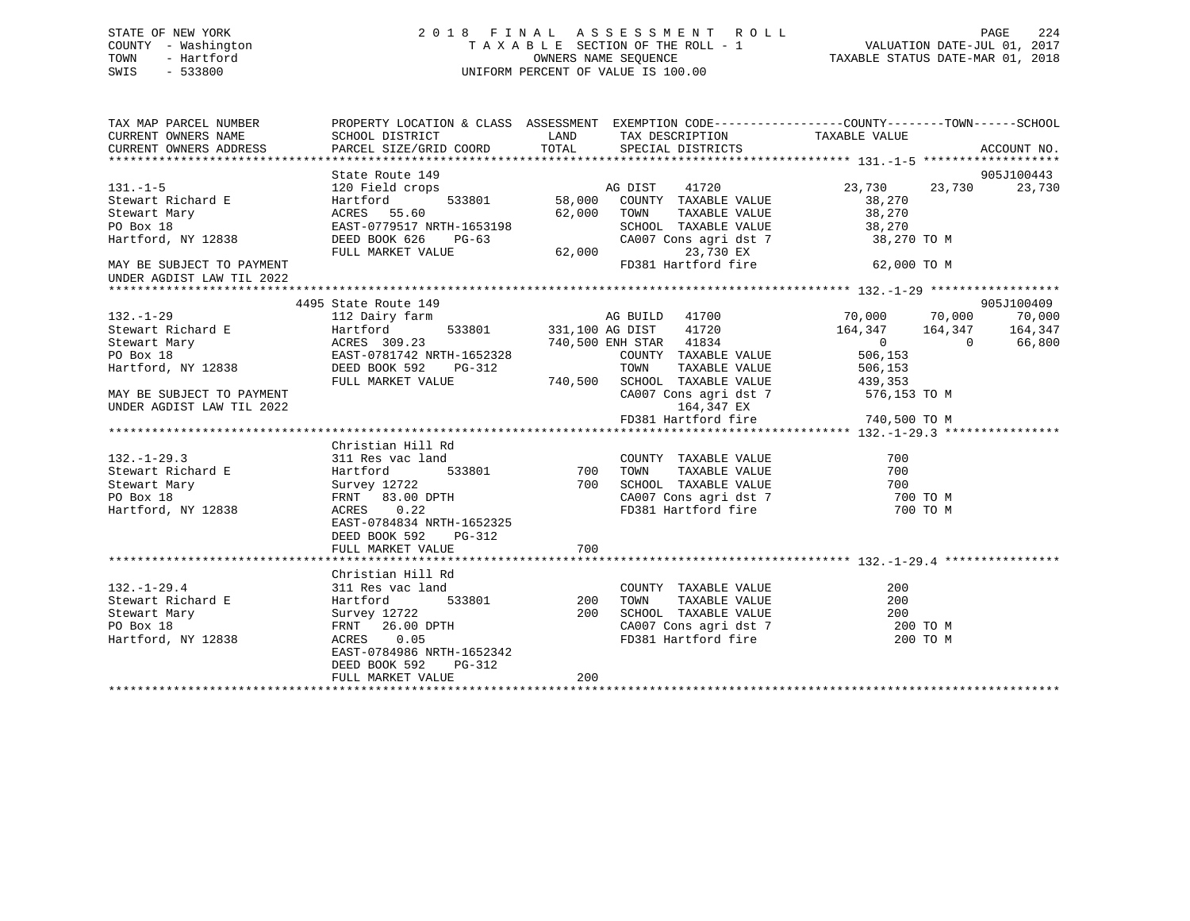# STATE OF NEW YORK 2 0 1 8 F I N A L A S S E S S M E N T R O L L PAGE 224 COUNTY - Washington T A X A B L E SECTION OF THE ROLL - 1 VALUATION DATE-JUL 01, 2017 TOWN - Hartford **TAXABLE STATUS DATE-MAR 01, 2018** OWNERS NAME SEQUENCE TAXABLE STATUS DATE-MAR 01, 2018 SWIS - 533800 UNIFORM PERCENT OF VALUE IS 100.00

| TAX MAP PARCEL NUMBER<br>CURRENT OWNERS NAME<br>CURRENT OWNERS ADDRESS | PROPERTY LOCATION & CLASS ASSESSMENT EXEMPTION CODE---------------COUNTY-------TOWN-----SCHOOL<br>SCHOOL DISTRICT<br>PARCEL SIZE/GRID COORD                                                      | LAND   | TOTAL SPECIAL DISTRICTS                                    | TAX DESCRIPTION TAXABLE VALUE                                        |        | ACCOUNT NO. |
|------------------------------------------------------------------------|--------------------------------------------------------------------------------------------------------------------------------------------------------------------------------------------------|--------|------------------------------------------------------------|----------------------------------------------------------------------|--------|-------------|
|                                                                        |                                                                                                                                                                                                  |        |                                                            |                                                                      |        |             |
|                                                                        | State Route 149                                                                                                                                                                                  |        |                                                            |                                                                      |        | 905J100443  |
| $131. -1 - 5$                                                          | 120 Field crops                                                                                                                                                                                  |        | Props and DIST 11720<br>533801 58,000 COUNTY TAXABLE VALUE | 23,730                                                               | 23,730 | 23,730      |
| Stewart Richard E Hartford                                             |                                                                                                                                                                                                  |        |                                                            | 38,270                                                               |        |             |
| Stewart Mary                                                           | ACRES 55.60                                                                                                                                                                                      | 62,000 | TOWN<br>TAXABLE VALUE                                      | 38,270                                                               |        |             |
| PO Box 18                                                              | EAST-0779517 NRTH-1653198                                                                                                                                                                        |        | SCHOOL TAXABLE VALUE                                       | 38,270                                                               |        |             |
| Hartford, NY 12838                                                     | DEED BOOK 626<br>$PG-63$                                                                                                                                                                         | CAO(   |                                                            | CA007 Cons agri dst 7 38,270 TO M                                    |        |             |
|                                                                        | FULL MARKET VALUE                                                                                                                                                                                |        | 23,730 EX                                                  | FD381 Hartford fire 62,000 TO M                                      |        |             |
| MAY BE SUBJECT TO PAYMENT<br>UNDER AGDIST LAW TIL 2022                 |                                                                                                                                                                                                  |        |                                                            |                                                                      |        |             |
|                                                                        |                                                                                                                                                                                                  |        |                                                            |                                                                      |        |             |
|                                                                        | 4495 State Route 149                                                                                                                                                                             |        |                                                            |                                                                      |        | 905J100409  |
| $132. - 1 - 29$                                                        | 112 Dairy farm                                                                                                                                                                                   |        | AG BUILD 41700<br>533801 331,100 AG DIST 41720             | 70,000 70,000                                                        |        | 70,000      |
|                                                                        |                                                                                                                                                                                                  |        |                                                            | $164,347$ $164,347$ 1<br>0                                           |        | 164,347     |
|                                                                        | Example 18 External External Stewart Richard E<br>Stewart Mary ACRES 309.23<br>PO Box 18<br>PO Box 18<br>PO Box 18<br>PO BOX 18<br>PO BOX 18<br>PO BOX 18<br>PO BOX 18<br>PO BOX 18<br>PO BOX 18 |        | 740,500 ENH STAR 41834                                     | $\overline{0}$                                                       |        | 66,800      |
|                                                                        | DEED BOOK 592                                                                                                                                                                                    |        | COUNTY TAXABLE VALUE<br>TOWN<br>TAXABLE VALUE              | 506,153                                                              |        |             |
| Hartford, NY 12838                                                     | PG-312                                                                                                                                                                                           |        |                                                            | 506,153<br>740,500 SCHOOL TAXABLE VALUE 439,353                      |        |             |
| MAY BE SUBJECT TO PAYMENT                                              | FULL MARKET VALUE                                                                                                                                                                                |        |                                                            |                                                                      |        |             |
| UNDER AGDIST LAW TIL 2022                                              |                                                                                                                                                                                                  |        |                                                            | CA007 Cons agri dst 7 576,153 TO M                                   |        |             |
|                                                                        |                                                                                                                                                                                                  |        |                                                            | 164,347 EX<br>FD381 Hartford fire 740,500 TO M                       |        |             |
|                                                                        |                                                                                                                                                                                                  |        |                                                            |                                                                      |        |             |
|                                                                        | Christian Hill Rd                                                                                                                                                                                |        |                                                            |                                                                      |        |             |
| $132. - 1 - 29.3$                                                      | 311 Res vac land                                                                                                                                                                                 |        | COUNTY TAXABLE VALUE                                       | 700                                                                  |        |             |
| Stewart Richard E                                                      | 533801 700 TOWN<br>Hartford                                                                                                                                                                      |        |                                                            |                                                                      |        |             |
| Stewart Mary                                                           | Survey 12722                                                                                                                                                                                     | 700    |                                                            |                                                                      |        |             |
| PO Box 18                                                              | FRNT 83.00 DPTH                                                                                                                                                                                  |        |                                                            |                                                                      |        |             |
| Hartford, NY 12838                                                     | 0.22<br>ACRES                                                                                                                                                                                    |        |                                                            | FD381 Hartford fire 700 TO M                                         |        |             |
|                                                                        | EAST-0784834 NRTH-1652325                                                                                                                                                                        |        |                                                            |                                                                      |        |             |
|                                                                        | DEED BOOK 592<br>PG-312                                                                                                                                                                          |        |                                                            |                                                                      |        |             |
|                                                                        | FULL MARKET VALUE                                                                                                                                                                                | 700    |                                                            |                                                                      |        |             |
|                                                                        |                                                                                                                                                                                                  |        |                                                            |                                                                      |        |             |
|                                                                        | Christian Hill Rd                                                                                                                                                                                |        |                                                            |                                                                      |        |             |
| $132. - 1 - 29.4$                                                      | 311 Res vac land                                                                                                                                                                                 |        | COUNTY TAXABLE VALUE                                       | 200                                                                  |        |             |
| Stewart Richard E                                                      | 533801<br>Hartford                                                                                                                                                                               | 200    | TAXABLE VALUE<br>TOWN                                      | 200                                                                  |        |             |
| Stewart Mary                                                           | Survey 12722                                                                                                                                                                                     | 200    | SCHOOL TAXABLE VALUE                                       | 200                                                                  |        |             |
| PO Box 18                                                              | FRNT 26.00 DPTH                                                                                                                                                                                  |        |                                                            |                                                                      |        |             |
| Hartford, NY 12838                                                     | 0.05<br>ACRES                                                                                                                                                                                    |        |                                                            | CA007 Cons agri dst 7 and 7 200 TO M<br>FD381 Hartford fire 200 TO M |        |             |
|                                                                        | EAST-0784986 NRTH-1652342                                                                                                                                                                        |        |                                                            |                                                                      |        |             |
|                                                                        | DEED BOOK 592<br>PG-312                                                                                                                                                                          |        |                                                            |                                                                      |        |             |
|                                                                        | FULL MARKET VALUE                                                                                                                                                                                | 200    |                                                            |                                                                      |        |             |
|                                                                        |                                                                                                                                                                                                  |        |                                                            |                                                                      |        |             |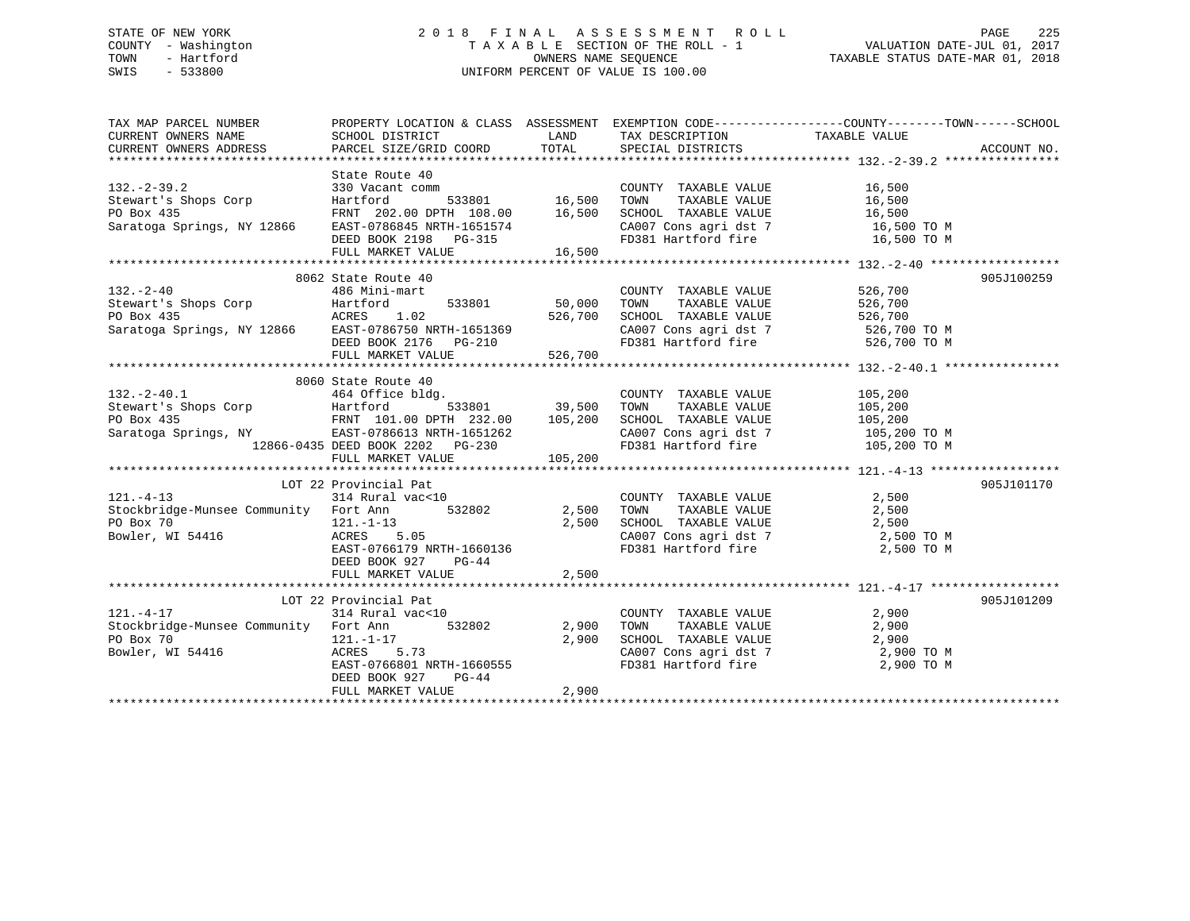# STATE OF NEW YORK 2 0 1 8 F I N A L A S S E S S M E N T R O L L PAGE 225 COUNTY - Washington T A X A B L E SECTION OF THE ROLL - 1 VALUATION DATE-JUL 01, 2017 TOWN - Hartford **TAXABLE STATUS DATE-MAR 01, 2018** OWNERS NAME SEQUENCE TAXABLE STATUS DATE-MAR 01, 2018 SWIS - 533800 UNIFORM PERCENT OF VALUE IS 100.00

| TAX MAP PARCEL NUMBER                                                                                                                                                                                                                                                       | PROPERTY LOCATION & CLASS ASSESSMENT EXEMPTION CODE---------------COUNTY-------TOWN-----SCHOOL |       |                                                                                                                                                                                                                                                                                                                                                                                                                                         |                                  |            |
|-----------------------------------------------------------------------------------------------------------------------------------------------------------------------------------------------------------------------------------------------------------------------------|------------------------------------------------------------------------------------------------|-------|-----------------------------------------------------------------------------------------------------------------------------------------------------------------------------------------------------------------------------------------------------------------------------------------------------------------------------------------------------------------------------------------------------------------------------------------|----------------------------------|------------|
|                                                                                                                                                                                                                                                                             |                                                                                                |       |                                                                                                                                                                                                                                                                                                                                                                                                                                         |                                  |            |
|                                                                                                                                                                                                                                                                             |                                                                                                |       |                                                                                                                                                                                                                                                                                                                                                                                                                                         |                                  |            |
|                                                                                                                                                                                                                                                                             |                                                                                                |       |                                                                                                                                                                                                                                                                                                                                                                                                                                         |                                  |            |
| State Route 40<br>330 Vacant comm<br>Stewart's Shops Corp<br>PO Box 435<br>Saratoga Springs, NY 12866<br>EAST-0786845 NRTH-1651574<br>EVEL TRANE VALUE<br>Saratoga Springs, NY 12866<br>EAST-0786845 NRTH-1651574<br>EVEL TRANE VALUE<br>CA007 Con                          |                                                                                                |       |                                                                                                                                                                                                                                                                                                                                                                                                                                         |                                  |            |
|                                                                                                                                                                                                                                                                             |                                                                                                |       |                                                                                                                                                                                                                                                                                                                                                                                                                                         |                                  |            |
|                                                                                                                                                                                                                                                                             |                                                                                                |       |                                                                                                                                                                                                                                                                                                                                                                                                                                         |                                  |            |
|                                                                                                                                                                                                                                                                             |                                                                                                |       |                                                                                                                                                                                                                                                                                                                                                                                                                                         |                                  |            |
|                                                                                                                                                                                                                                                                             |                                                                                                |       |                                                                                                                                                                                                                                                                                                                                                                                                                                         |                                  |            |
|                                                                                                                                                                                                                                                                             |                                                                                                |       |                                                                                                                                                                                                                                                                                                                                                                                                                                         |                                  |            |
|                                                                                                                                                                                                                                                                             | FULL MARKET VALUE 16,500                                                                       |       |                                                                                                                                                                                                                                                                                                                                                                                                                                         |                                  |            |
|                                                                                                                                                                                                                                                                             |                                                                                                |       |                                                                                                                                                                                                                                                                                                                                                                                                                                         |                                  |            |
|                                                                                                                                                                                                                                                                             | 8062 State Route 40                                                                            |       |                                                                                                                                                                                                                                                                                                                                                                                                                                         |                                  | 905J100259 |
|                                                                                                                                                                                                                                                                             |                                                                                                |       |                                                                                                                                                                                                                                                                                                                                                                                                                                         |                                  |            |
|                                                                                                                                                                                                                                                                             |                                                                                                |       |                                                                                                                                                                                                                                                                                                                                                                                                                                         |                                  |            |
|                                                                                                                                                                                                                                                                             |                                                                                                |       |                                                                                                                                                                                                                                                                                                                                                                                                                                         |                                  |            |
|                                                                                                                                                                                                                                                                             |                                                                                                |       |                                                                                                                                                                                                                                                                                                                                                                                                                                         |                                  |            |
|                                                                                                                                                                                                                                                                             |                                                                                                |       |                                                                                                                                                                                                                                                                                                                                                                                                                                         |                                  |            |
| 132.-2-40<br>Stewart's Shops Corp<br>26.700<br>Stewart's Shops Corp<br>26.700<br>26.700<br>26.700<br>27.533801<br>26.700<br>27.700<br>27.700<br>27.700<br>27.700<br>27.700<br>27.700<br>27.700<br>27.700<br>27.700<br>27.700<br>27.700<br>27.700<br>27.700<br>27.700<br>27. |                                                                                                |       |                                                                                                                                                                                                                                                                                                                                                                                                                                         |                                  |            |
|                                                                                                                                                                                                                                                                             |                                                                                                |       |                                                                                                                                                                                                                                                                                                                                                                                                                                         |                                  |            |
|                                                                                                                                                                                                                                                                             | 8060 State Route 40                                                                            |       |                                                                                                                                                                                                                                                                                                                                                                                                                                         |                                  |            |
|                                                                                                                                                                                                                                                                             |                                                                                                |       |                                                                                                                                                                                                                                                                                                                                                                                                                                         |                                  |            |
|                                                                                                                                                                                                                                                                             |                                                                                                |       |                                                                                                                                                                                                                                                                                                                                                                                                                                         |                                  |            |
|                                                                                                                                                                                                                                                                             |                                                                                                |       |                                                                                                                                                                                                                                                                                                                                                                                                                                         |                                  |            |
|                                                                                                                                                                                                                                                                             |                                                                                                |       |                                                                                                                                                                                                                                                                                                                                                                                                                                         |                                  |            |
| 132.-2-40.1<br>39,500 TOWN TAXABLE VALUE<br>2009 School (105,200 Hartford 533801 39,500 TOWN TAXABLE VALUE<br>2009 PO Box 435 FRNT 101.00 DPTH 232.00 105,200 SCHOOL TAXABLE VALUE<br>39,500 TOWN TAXABLE VALUE 105,200 PO BOX 435 FR                                       |                                                                                                |       | CA007 Cons agri dst 7 105,200 TO M<br>FD381 Hartford fire 105,200 TO M                                                                                                                                                                                                                                                                                                                                                                  |                                  |            |
|                                                                                                                                                                                                                                                                             |                                                                                                |       |                                                                                                                                                                                                                                                                                                                                                                                                                                         |                                  |            |
|                                                                                                                                                                                                                                                                             |                                                                                                |       |                                                                                                                                                                                                                                                                                                                                                                                                                                         |                                  |            |
|                                                                                                                                                                                                                                                                             | LOT 22 Provincial Pat                                                                          |       |                                                                                                                                                                                                                                                                                                                                                                                                                                         |                                  | 905J101170 |
|                                                                                                                                                                                                                                                                             |                                                                                                |       |                                                                                                                                                                                                                                                                                                                                                                                                                                         |                                  |            |
|                                                                                                                                                                                                                                                                             |                                                                                                |       |                                                                                                                                                                                                                                                                                                                                                                                                                                         |                                  |            |
|                                                                                                                                                                                                                                                                             |                                                                                                |       |                                                                                                                                                                                                                                                                                                                                                                                                                                         |                                  |            |
|                                                                                                                                                                                                                                                                             |                                                                                                |       |                                                                                                                                                                                                                                                                                                                                                                                                                                         | CA007 Cons agri dst 7 2,500 TO M |            |
| 121.-4-13<br>314 Rural vac<10<br>2,500<br>2,500<br>PO Box 70<br>Bowler, WI 54416<br>2,500<br>EAST-0766179 NRTH-1660136<br>2,500<br>EAST-0766179 NRTH-1660136<br>2,500<br>PO BOX 70<br>2,500<br>2,500<br>2,500<br>2,500<br>2,500<br>2,500<br>2,500<br>2,500<br>FD381 Ha      |                                                                                                |       |                                                                                                                                                                                                                                                                                                                                                                                                                                         | 2,500 TO M                       |            |
|                                                                                                                                                                                                                                                                             | DEED BOOK 927<br>PG-44                                                                         |       |                                                                                                                                                                                                                                                                                                                                                                                                                                         |                                  |            |
|                                                                                                                                                                                                                                                                             | FULL MARKET VALUE 2,500                                                                        |       |                                                                                                                                                                                                                                                                                                                                                                                                                                         |                                  |            |
|                                                                                                                                                                                                                                                                             |                                                                                                |       |                                                                                                                                                                                                                                                                                                                                                                                                                                         |                                  |            |
| LOT 22 Provincial Pat                                                                                                                                                                                                                                                       | Provincial Pat<br>314 Rural vac<10                                                             |       |                                                                                                                                                                                                                                                                                                                                                                                                                                         |                                  | 905J101209 |
| $121. - 4 - 17$                                                                                                                                                                                                                                                             |                                                                                                |       |                                                                                                                                                                                                                                                                                                                                                                                                                                         |                                  |            |
| Stockbridge-Munsee Community Fort Ann 532802 2,900 TOWN                                                                                                                                                                                                                     |                                                                                                |       | $\begin{tabular}{lllllllllll} \multicolumn{2}{c}{\text{COUNTY}} & \text{TAXABLE VALUE} & & & 2,900 \\ \multicolumn{2}{c}{2,900} & \text{TOWN} & \text{TAXABLE VALUE} & & 2,900 \\ \multicolumn{2}{c}{2,900} & \text{SCHOOL} & \text{TAXABLE VALUE} & & 2,900 \\ \multicolumn{2}{c}{2,900} & & & 2,900 \\ \multicolumn{2}{c}{\text{C}} & & & 2,900 \\ \multicolumn{2}{c}{\text{C}} & & & 2,900 \\ \multicolumn{2}{c}{\text{C}} & & & 2,$ |                                  |            |
| PO Box 70<br>Bowler, WI 54416<br>RORES 5.73                                                                                                                                                                                                                                 |                                                                                                |       |                                                                                                                                                                                                                                                                                                                                                                                                                                         |                                  |            |
|                                                                                                                                                                                                                                                                             |                                                                                                |       |                                                                                                                                                                                                                                                                                                                                                                                                                                         |                                  |            |
|                                                                                                                                                                                                                                                                             | ACRES 5.73<br>EAST-0766801 NRTH-1660555                                                        |       | CA007 Cons agri dst 7 and 2,900 TO M<br>FD381 Hartford fire 2,900 TO M                                                                                                                                                                                                                                                                                                                                                                  |                                  |            |
|                                                                                                                                                                                                                                                                             | $PG-44$<br>DEED BOOK 927                                                                       |       |                                                                                                                                                                                                                                                                                                                                                                                                                                         |                                  |            |
|                                                                                                                                                                                                                                                                             | FULL MARKET VALUE                                                                              | 2,900 |                                                                                                                                                                                                                                                                                                                                                                                                                                         |                                  |            |
|                                                                                                                                                                                                                                                                             |                                                                                                |       |                                                                                                                                                                                                                                                                                                                                                                                                                                         |                                  |            |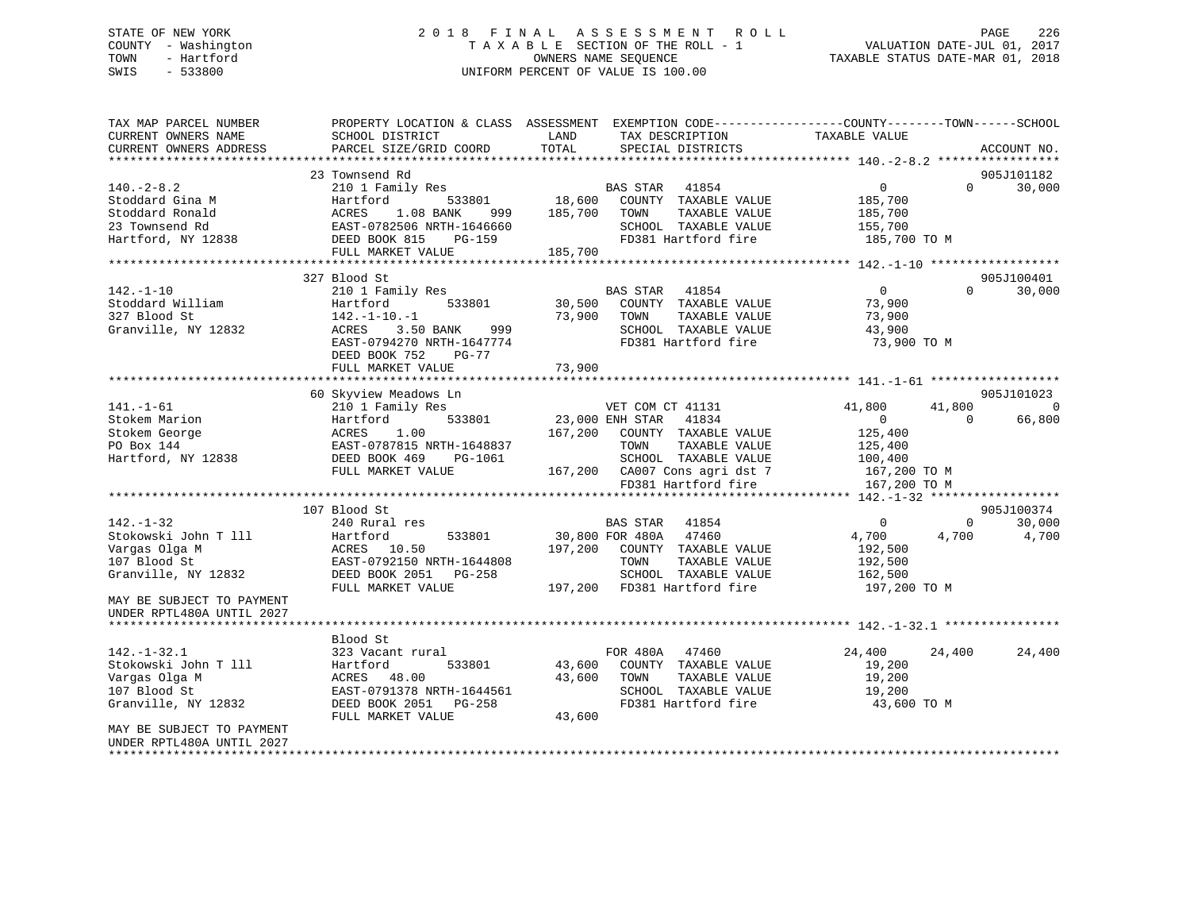# STATE OF NEW YORK 2 0 1 8 F I N A L A S S E S S M E N T R O L L PAGE 226 COUNTY - Washington T A X A B L E SECTION OF THE ROLL - 1 VALUATION DATE-JUL 01, 2017 TOWN - Hartford **TAXABLE STATUS DATE-MAR 01, 2018** OWNERS NAME SEQUENCE TAXABLE STATUS DATE-MAR 01, 2018 SWIS - 533800 UNIFORM PERCENT OF VALUE IS 100.00

| TAX MAP PARCEL NUMBER<br>CURRENT OWNERS NAME<br>CURRENT OWNERS ADDRESS                                                       | SCHOOL DISTRICT<br>PARCEL SIZE/GRID COORD                                                                                                          | PROPERTY LOCATION & CLASS ASSESSMENT EXEMPTION CODE----------------COUNTY-------TOWN------SCHOOL<br>LAND<br>TAX DESCRIPTION<br>TOTAL<br>SPECIAL DISTRICTS                                | TAXABLE VALUE                                                                                                   | ACCOUNT NO.              |
|------------------------------------------------------------------------------------------------------------------------------|----------------------------------------------------------------------------------------------------------------------------------------------------|------------------------------------------------------------------------------------------------------------------------------------------------------------------------------------------|-----------------------------------------------------------------------------------------------------------------|--------------------------|
|                                                                                                                              |                                                                                                                                                    |                                                                                                                                                                                          |                                                                                                                 |                          |
|                                                                                                                              | 23 Townsend Rd                                                                                                                                     |                                                                                                                                                                                          |                                                                                                                 | 905J101182               |
| $140. -2 - 8.2$<br>Stoddard Gina M<br>Stoddard Ronald<br>23 Townsend Rd<br>Hartford, NY 12838                                | 210 1 Family Res<br>533801<br>Hartford<br>ACRES<br>1.08 BANK<br>999<br>EAST-0782506 NRTH-1646660<br>DEED BOOK 815<br><b>PG-159</b>                 | BAS STAR 41854<br>18,600<br>COUNTY TAXABLE VALUE<br>185,700<br>TOWN<br>TAXABLE VALUE<br>SCHOOL TAXABLE VALUE<br>FD381 Hartford fire                                                      | $\overline{0}$<br>$\Omega$<br>185,700<br>185,700<br>155,700<br>185,700 TO M                                     | 30,000                   |
|                                                                                                                              | FULL MARKET VALUE                                                                                                                                  | 185,700                                                                                                                                                                                  |                                                                                                                 |                          |
|                                                                                                                              |                                                                                                                                                    |                                                                                                                                                                                          |                                                                                                                 |                          |
|                                                                                                                              | 327 Blood St                                                                                                                                       |                                                                                                                                                                                          |                                                                                                                 | 905J100401               |
| $142. - 1 - 10$<br>Stoddard William<br>327 Blood St<br>Granville, NY 12832                                                   | 210 1 Family Res<br>533801<br>Hartford<br>$142. - 1 - 10. - 1$<br>3.50 BANK<br>999<br>ACRES<br>EAST-0794270 NRTH-1647774<br>DEED BOOK 752<br>PG-77 | BAS STAR 41854<br>30,500<br>COUNTY TAXABLE VALUE<br>73,900<br>TOWN<br>TAXABLE VALUE<br>SCHOOL TAXABLE VALUE<br>FD381 Hartford fire                                                       | $\overline{0}$<br>$\Omega$<br>73,900<br>73,900<br>43,900<br>73,900 TO M                                         | 30,000                   |
|                                                                                                                              | FULL MARKET VALUE                                                                                                                                  | 73,900                                                                                                                                                                                   |                                                                                                                 |                          |
|                                                                                                                              | 60 Skyview Meadows Ln                                                                                                                              |                                                                                                                                                                                          |                                                                                                                 | 905J101023               |
| $141. - 1 - 61$<br>Stokem Marion<br>Stokem George<br>PO Box 144<br>Hartford, NY 12838                                        | 210 1 Family Res<br>Hartford<br>533801<br>ACRES<br>1.00<br>EAST-0787815 NRTH-1648837<br>DEED BOOK 469<br>PG-1061<br>FULL MARKET VALUE              | VET COM CT 41131<br>23,000 ENH STAR<br>41834<br>167,200<br>COUNTY TAXABLE VALUE<br>TAXABLE VALUE<br>TOWN<br>SCHOOL TAXABLE VALUE<br>167,200 CA007 Cons agri dst 7<br>FD381 Hartford fire | 41,800<br>41,800<br>$\overline{0}$<br>$\Omega$<br>125,400<br>125,400<br>100,400<br>167,200 TO M<br>167,200 TO M | $\overline{0}$<br>66,800 |
|                                                                                                                              | **************************************                                                                                                             |                                                                                                                                                                                          | ***************** 142.-1-32 *******************                                                                 |                          |
|                                                                                                                              | 107 Blood St                                                                                                                                       |                                                                                                                                                                                          |                                                                                                                 | 905J100374               |
| $142. - 1 - 32$<br>Stokowski John T 111<br>Vargas Olga M<br>107 Blood St<br>Granville, NY 12832<br>MAY BE SUBJECT TO PAYMENT | 240 Rural res<br>Hartford<br>533801<br>ACRES 10.50<br>EAST-0792150 NRTH-1644808<br>DEED BOOK 2051<br>PG-258<br>FULL MARKET VALUE                   | 41854<br>BAS STAR<br>47460<br>30,800 FOR 480A<br>197,200<br>COUNTY TAXABLE VALUE<br>TOWN<br>TAXABLE VALUE<br>SCHOOL TAXABLE VALUE<br>197,200<br>FD381 Hartford fire                      | $\mathbf 0$<br>$\Omega$<br>4,700<br>4,700<br>192,500<br>192,500<br>162,500<br>197,200 TO M                      | 30,000<br>4,700          |
| UNDER RPTL480A UNTIL 2027                                                                                                    |                                                                                                                                                    |                                                                                                                                                                                          |                                                                                                                 |                          |
| $142. - 1 - 32.1$<br>Stokowski John T 111<br>Vargas Olga M<br>107 Blood St<br>Granville, NY 12832                            | Blood St<br>323 Vacant rural<br>533801<br>Hartford<br>ACRES 48.00<br>EAST-0791378 NRTH-1644561<br>DEED BOOK 2051 PG-258<br>FULL MARKET VALUE       | FOR 480A 47460<br>43,600<br>COUNTY TAXABLE VALUE<br>43,600<br>TAXABLE VALUE<br>TOWN<br>SCHOOL TAXABLE VALUE<br>FD381 Hartford fire<br>43,600                                             | 24,400<br>24,400<br>19,200<br>19,200<br>19,200<br>43,600 TO M                                                   | 24,400                   |
| MAY BE SUBJECT TO PAYMENT<br>UNDER RPTL480A UNTIL 2027                                                                       |                                                                                                                                                    |                                                                                                                                                                                          |                                                                                                                 |                          |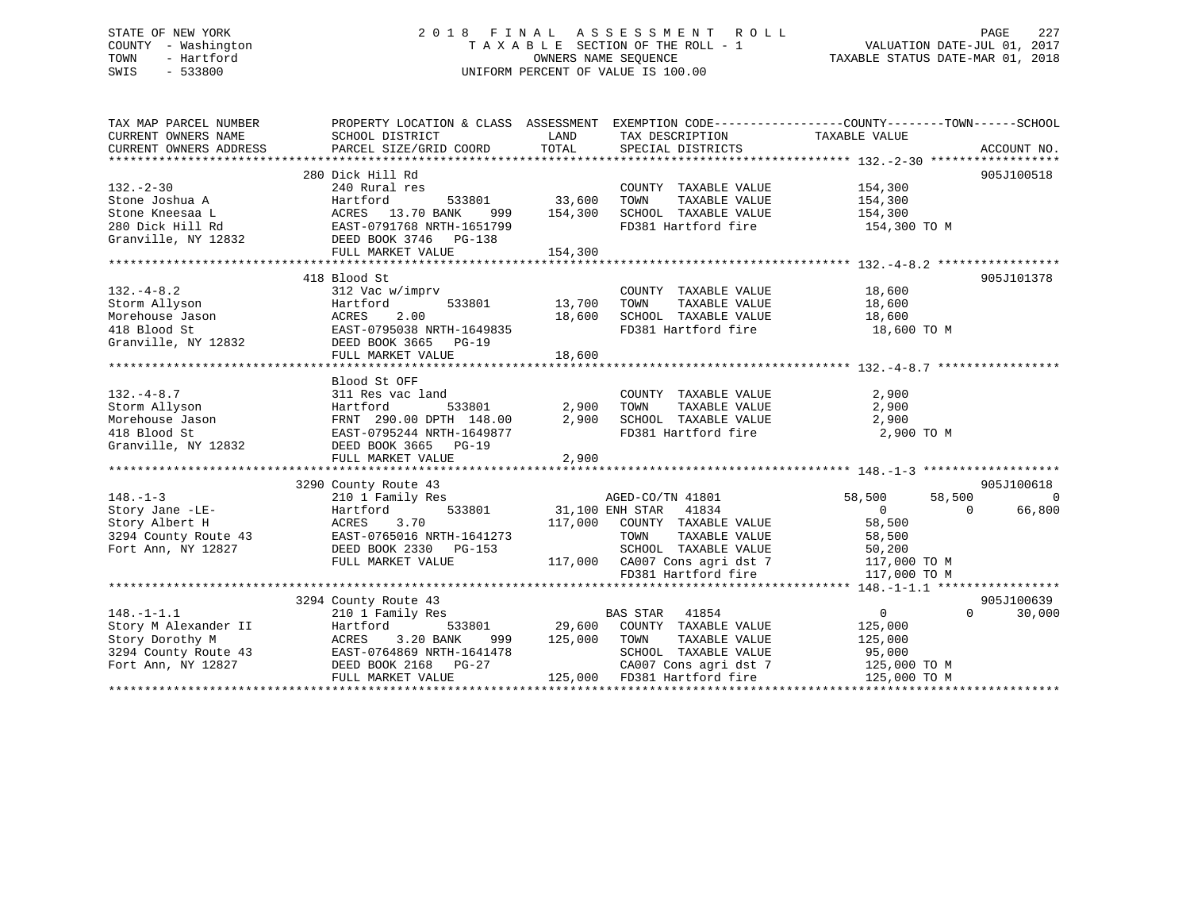# STATE OF NEW YORK 2 0 1 8 F I N A L A S S E S S M E N T R O L L PAGE 227 COUNTY - Washington T A X A B L E SECTION OF THE ROLL - 1 VALUATION DATE-JUL 01, 2017 TOWN - Hartford **TAXABLE STATUS DATE-MAR 01, 2018** OWNERS NAME SEQUENCE TAXABLE STATUS DATE-MAR 01, 2018 SWIS - 533800 UNIFORM PERCENT OF VALUE IS 100.00

| TAX MAP PARCEL NUMBER                      | PROPERTY LOCATION & CLASS ASSESSMENT EXEMPTION CODE----------------COUNTY-------TOWN------SCHOOL          |         |                                                                                                                          |                                              |                    |
|--------------------------------------------|-----------------------------------------------------------------------------------------------------------|---------|--------------------------------------------------------------------------------------------------------------------------|----------------------------------------------|--------------------|
| CURRENT OWNERS NAME                        | SCHOOL DISTRICT                                                                                           | LAND    | TAX DESCRIPTION                                                                                                          | TAXABLE VALUE                                |                    |
| CURRENT OWNERS ADDRESS                     | PARCEL SIZE/GRID COORD                                                                                    | TOTAL   | SPECIAL DISTRICTS                                                                                                        |                                              | ACCOUNT NO.        |
|                                            |                                                                                                           |         |                                                                                                                          |                                              |                    |
|                                            | 280 Dick Hill Rd                                                                                          |         |                                                                                                                          |                                              | 905J100518         |
| $132 - 2 - 30$                             | 240 Rural res                                                                                             |         | COUNTY TAXABLE VALUE                                                                                                     | 154,300                                      |                    |
| Stone Joshua A                             | Hartford<br>533801                                                                                        | 33,600  | TAXABLE VALUE<br>TOWN                                                                                                    | 154,300                                      |                    |
| Stone Kneesaa L                            | ACRES 13.70 BANK<br>999                                                                                   | 154,300 | SCHOOL TAXABLE VALUE                                                                                                     | 154,300                                      |                    |
|                                            |                                                                                                           |         | FD381 Hartford fire                                                                                                      | 154,300 TO M                                 |                    |
|                                            | 280 Dick Hill Rd<br>Granville, NY 12832<br>DEED BOOK 3746 PG-138<br>PULLER PROTECTS DEED BOOK 3746 PG-138 |         |                                                                                                                          |                                              |                    |
|                                            | FULL MARKET VALUE                                                                                         | 154,300 |                                                                                                                          |                                              |                    |
|                                            | 418 Blood St                                                                                              |         |                                                                                                                          |                                              | 905J101378         |
| $132. - 4 - 8.2$                           | 312 Vac w/imprv                                                                                           |         | COUNTY TAXABLE VALUE 18,600                                                                                              |                                              |                    |
| Storm Allyson                              | 533801<br>Hartford                                                                                        | 13,700  | TOWN<br>TAXABLE VALUE                                                                                                    |                                              |                    |
| Morehouse Jason<br>"" Plood St             |                                                                                                           | 18,600  |                                                                                                                          | 18,600                                       |                    |
|                                            |                                                                                                           |         | SCHOOL   TAXABLE  VALUE                               18,600<br>FD381 Hartford fire                          18,600 TO M |                                              |                    |
|                                            | ACRES 2.00<br>EAST-0795038 NRTH-1649835<br>---- 2665 PG-19<br>Granville, NY 12832 DEED BOOK 3665 PG-19    |         |                                                                                                                          |                                              |                    |
|                                            |                                                                                                           |         |                                                                                                                          |                                              |                    |
|                                            |                                                                                                           |         |                                                                                                                          |                                              |                    |
|                                            | Blood St OFF                                                                                              |         |                                                                                                                          |                                              |                    |
| $132 - 4 - 8.7$                            | 311 Res vac land                                                                                          |         | COUNTY TAXABLE VALUE                                                                                                     | 2,900                                        |                    |
| Storm Allyson                              | 533801<br>Hartford                                                                                        | 2,900   | TOWN<br>TAXABLE VALUE                                                                                                    | 2,900                                        |                    |
| Morehouse Jason                            | FRNT 290.00 DPTH 148.00                                                                                   | 2,900   | SCHOOL TAXABLE VALUE                                                                                                     | 2,900                                        |                    |
| 418 Blood St                               | EAST-0795244 NRTH-1649877                                                                                 |         | FD381 Hartford fire                                                                                                      | 2,900 TO M                                   |                    |
| Granville, NY 12832                        | DEED BOOK 3665 PG-19                                                                                      |         |                                                                                                                          |                                              |                    |
|                                            | FULL MARKET VALUE                                                                                         | 2,900   |                                                                                                                          |                                              |                    |
|                                            |                                                                                                           |         |                                                                                                                          |                                              |                    |
|                                            | 3290 County Route 43<br>s<br>533801                                                                       |         |                                                                                                                          |                                              | 905J100618         |
| $148. - 1 - 3$                             | 210 1 Family Res                                                                                          |         | AGED-CO/TN 41801                                                                                                         | 58,500<br>58,500                             | $\Omega$           |
| Story Jane -LE-                            | Hartford                                                                                                  |         | 31,100 ENH STAR 41834                                                                                                    | $\overline{0}$                               | 66,800<br>$\Omega$ |
| Story Albert H                             | ACRES<br>3.70                                                                                             | 117,000 | COUNTY TAXABLE VALUE                                                                                                     | 58,500                                       |                    |
| 3294 County Route 43                       | EAST-0765016 NRTH-1641273                                                                                 |         | TOWN                                                                                                                     | TAXABLE VALUE 58,500<br>TAXABLE VALUE 50.200 |                    |
| Fort Ann, NY 12827                         | DEED BOOK 2330 PG-153                                                                                     |         | SCHOOL TAXABLE VALUE                                                                                                     | 50,200                                       |                    |
|                                            | FULL MARKET VALUE                                                                                         |         | 117,000 CA007 Cons agri dst 7                                                                                            | 117,000 TO M                                 |                    |
|                                            |                                                                                                           |         | FD381 Hartford fire                                                                                                      | 117,000 TO M                                 |                    |
|                                            |                                                                                                           |         |                                                                                                                          |                                              |                    |
|                                            | 3294 County Route 43                                                                                      |         |                                                                                                                          |                                              | 905J100639         |
| $148. - 1 - 1.1$                           | 210 1 Family Res                                                                                          |         | <b>BAS STAR</b><br>41854                                                                                                 | $\overline{0}$                               | $\Omega$<br>30,000 |
| Story M Alexander II                       | 533801<br>Hartford                                                                                        |         | 29,600 COUNTY TAXABLE VALUE                                                                                              | 125,000                                      |                    |
| Story Dorothy M                            | 3.20 BANK<br>ACRES<br>999                                                                                 | 125,000 | TAXABLE VALUE<br>TOWN                                                                                                    | 125,000                                      |                    |
| 3294 County Route 43<br>Fort Ann, NY 12827 | EAST-0764869 NRTH-1641478<br>DEED BOOK 2168 PG-27                                                         |         | SCHOOL TAXABLE VALUE<br>CA007 Cons agri dst 7                                                                            | 95,000                                       |                    |
|                                            | FULL MARKET VALUE                                                                                         |         | 125,000 FD381 Hartford fire                                                                                              | 125,000 TO M<br>125,000 TO M                 |                    |
|                                            |                                                                                                           |         |                                                                                                                          |                                              |                    |
|                                            |                                                                                                           |         |                                                                                                                          |                                              |                    |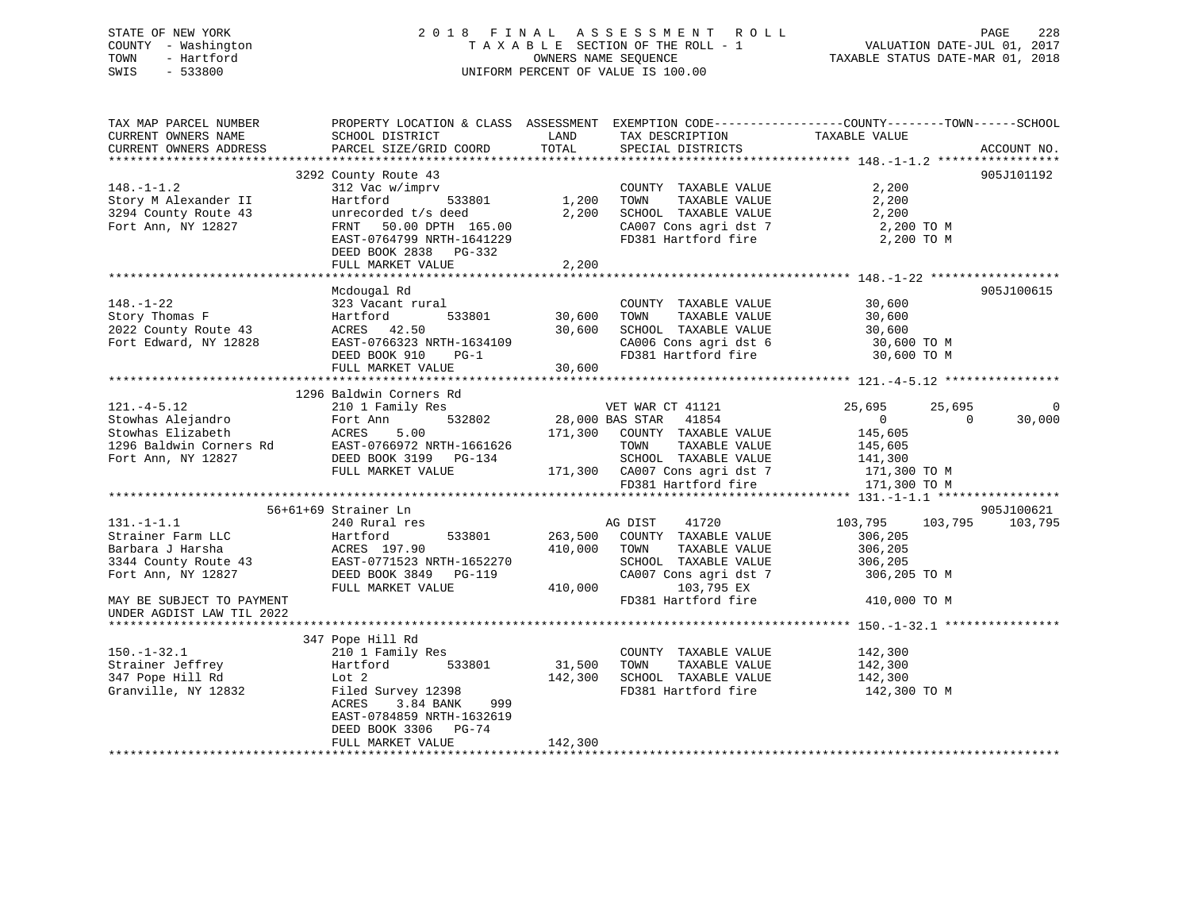# STATE OF NEW YORK 2 0 1 8 F I N A L A S S E S S M E N T R O L L PAGE 228 COUNTY - Washington T A X A B L E SECTION OF THE ROLL - 1 VALUATION DATE-JUL 01, 2017 TOWN THE SECTION OF THE ROLL SANDWARD COUNTY - Hartford COUNTY - Washington COUNTY - Washington COUNTY - Washington<br>TOWN - Hartford TAXABLE SECTION OF THE ROLL - 1 WALUATION DATE-JUL 01, 2017<br>SWIS - 533800 SWIS - 533800 UNIFORM PERCENT OF VALUE IS 100.00

TAX MAP PARCEL NUMBER PROPERTY LOCATION & CLASS ASSESSMENT EXEMPTION CODE------------------COUNTY--------TOWN------SCHOOL

CURRENT OWNERS NAME SCHOOL DISTRICT LAND TAX DESCRIPTION TAXABLE VALUE CURRENT OWNERS ADDRESS PARCEL SIZE/GRID COORD TOTAL SPECIAL DISTRICTS ACCOUNT NO. \*\*\*\*\*\*\*\*\*\*\*\*\*\*\*\*\*\*\*\*\*\*\*\*\*\*\*\*\*\*\*\*\*\*\*\*\*\*\*\*\*\*\*\*\*\*\*\*\*\*\*\*\*\*\*\*\*\*\*\*\*\*\*\*\*\*\*\*\*\*\*\*\*\*\*\*\*\*\*\*\*\*\*\*\*\*\*\*\*\*\*\*\*\*\*\*\*\*\*\*\*\*\* 148.-1-1.2 \*\*\*\*\*\*\*\*\*\*\*\*\*\*\*\*\* 3292 County Route 43 905J101192 148.-1-1.2 312 Vac w/imprv COUNTY TAXABLE VALUE 2,200 Story M Alexander II Hartford 533801 1,200 TOWN TAXABLE VALUE 2,200 3294 County Route 43 unrecorded t/s deed 2,200 SCHOOL TAXABLE VALUE 2,200 Fort Ann, NY 12827 FRNT 50.00 DPTH 165.00 CA007 Cons agri dst 7 2,200 TO M EAST-0764799 NRTH-1641229 FD381 Hartford fire 2,200 TO M DEED BOOK 2838 PG-332 FULL MARKET VALUE 2,200 \*\*\*\*\*\*\*\*\*\*\*\*\*\*\*\*\*\*\*\*\*\*\*\*\*\*\*\*\*\*\*\*\*\*\*\*\*\*\*\*\*\*\*\*\*\*\*\*\*\*\*\*\*\*\*\*\*\*\*\*\*\*\*\*\*\*\*\*\*\*\*\*\*\*\*\*\*\*\*\*\*\*\*\*\*\*\*\*\*\*\*\*\*\*\*\*\*\*\*\*\*\*\* 148.-1-22 \*\*\*\*\*\*\*\*\*\*\*\*\*\*\*\*\*\* Mcdougal Rd 905J100615 148.-1-22 323 Vacant rural COUNTY TAXABLE VALUE 30,600 Story Thomas F Hartford 533801 30,600 TOWN TAXABLE VALUE 30,600 2022 County Route 43 ACRES 42.50 30,600 SCHOOL TAXABLE VALUE 30,600 Fort Edward, NY 12828 EAST-0766323 NRTH-1634109 CA006 Cons agri dst 6 30,600 TO M DEED BOOK 910 PG-1 FD381 Hartford fire 30,600 TO M FULL MARKET VALUE 30,600 \*\*\*\*\*\*\*\*\*\*\*\*\*\*\*\*\*\*\*\*\*\*\*\*\*\*\*\*\*\*\*\*\*\*\*\*\*\*\*\*\*\*\*\*\*\*\*\*\*\*\*\*\*\*\*\*\*\*\*\*\*\*\*\*\*\*\*\*\*\*\*\*\*\*\*\*\*\*\*\*\*\*\*\*\*\*\*\*\*\*\*\*\*\*\*\*\*\*\*\*\*\*\* 121.-4-5.12 \*\*\*\*\*\*\*\*\*\*\*\*\*\*\*\* 1296 Baldwin Corners Rd121.-4-5.12 210 1 Family Res VET WAR CT 41121 25,695 25,695 25,695 0 Stowhas Alejandro Fort Ann 532802 28,000 BAS STAR 41854 0 0 30,000 Stowhas Elizabeth ACRES 5.00 171,300 COUNTY TAXABLE VALUE 145,605 1296 Baldwin Corners Rd EAST-0766972 NRTH-1661626 TOWN TAXABLE VALUE 145,605 Fort Ann, NY 12827 DEED BOOK 3199 PG-134 SCHOOL TAXABLE VALUE 141,300 FULL MARKET VALUE 171,300 CA007 Cons agri dst 7 171,300 TO M FD381 Hartford fire 171,300 TO M \*\*\*\*\*\*\*\*\*\*\*\*\*\*\*\*\*\*\*\*\*\*\*\*\*\*\*\*\*\*\*\*\*\*\*\*\*\*\*\*\*\*\*\*\*\*\*\*\*\*\*\*\*\*\*\*\*\*\*\*\*\*\*\*\*\*\*\*\*\*\*\*\*\*\*\*\*\*\*\*\*\*\*\*\*\*\*\*\*\*\*\*\*\*\*\*\*\*\*\*\*\*\* 131.-1-1.1 \*\*\*\*\*\*\*\*\*\*\*\*\*\*\*\*\* 56+61+69 Strainer Ln 905J100621 131.-1-1.1 240 Rural res AG DIST 41720 103,795 103,795 103,795 Strainer Farm LLC Hartford 533801 263,500 COUNTY TAXABLE VALUE 306,205 Barbara J Harsha ACRES 197.90 410,000 TOWN TAXABLE VALUE 306,205 3344 County Route 43 EAST-0771523 NRTH-1652270 SCHOOL TAXABLE VALUE 306,205 Fort Ann, NY 12827 DEED BOOK 3849 PG-119 CA007 Cons agri dst 7 306,205 TO M FULL MARKET VALUE 410,000 103,795 EX MAY BE SUBJECT TO PAYMENT **FLUIT CONSUMING THE SUBJECT TO PAYMENT** FLUIT CONSUMING THE FOSS OF TO M UNDER AGDIST LAW TIL 2022 \*\*\*\*\*\*\*\*\*\*\*\*\*\*\*\*\*\*\*\*\*\*\*\*\*\*\*\*\*\*\*\*\*\*\*\*\*\*\*\*\*\*\*\*\*\*\*\*\*\*\*\*\*\*\*\*\*\*\*\*\*\*\*\*\*\*\*\*\*\*\*\*\*\*\*\*\*\*\*\*\*\*\*\*\*\*\*\*\*\*\*\*\*\*\*\*\*\*\*\*\*\*\* 150.-1-32.1 \*\*\*\*\*\*\*\*\*\*\*\*\*\*\*\* 347 Pope Hill Rd 150.-1-32.1 210 1 Family Res COUNTY TAXABLE VALUE 142,300 Strainer Jeffrey Hartford 533801 31,500 TOWN TAXABLE VALUE 142,300 347 Pope Hill Rd Lot 2 142,300 SCHOOL TAXABLE VALUE 142,300 Granville, NY 12832 Filed Survey 12398 FD381 Hartford fire 142,300 TO M ACRES 3.84 BANK 999EAST-0784859 NRTH-1632619

\*\*\*\*\*\*\*\*\*\*\*\*\*\*\*\*\*\*\*\*\*\*\*\*\*\*\*\*\*\*\*\*\*\*\*\*\*\*\*\*\*\*\*\*\*\*\*\*\*\*\*\*\*\*\*\*\*\*\*\*\*\*\*\*\*\*\*\*\*\*\*\*\*\*\*\*\*\*\*\*\*\*\*\*\*\*\*\*\*\*\*\*\*\*\*\*\*\*\*\*\*\*\*\*\*\*\*\*\*\*\*\*\*\*\*\*\*\*\*\*\*\*\*\*\*\*\*\*\*\*\*\*

DEED BOOK 3306 PG-74

FULL MARKET VALUE 142,300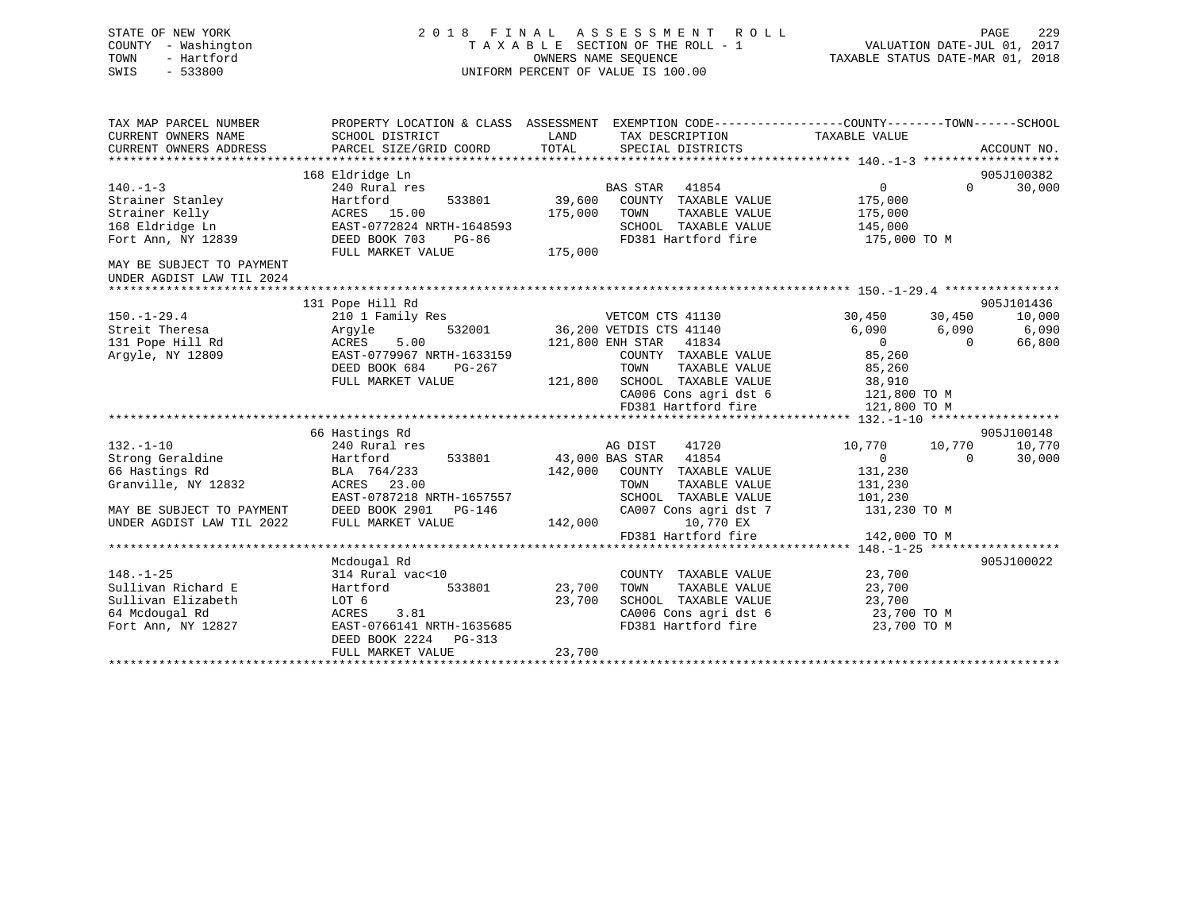| STATE OF NEW YORK<br>- Washington<br>COUNTY<br>- Hartford<br>TOWN<br>$-533800$<br>SWIS | 2018<br>FINAL                             | TAXABLE SECTION OF THE ROLL - 1<br>OWNERS NAME SEOUENCE<br>UNIFORM PERCENT OF VALUE IS 100.00 |          | ASSESSMENT ROLL                      | VALUATION DATE-JUL 01,<br>TAXABLE STATUS DATE-MAR 01, 2018   | PAGE     | 229<br>2017 |
|----------------------------------------------------------------------------------------|-------------------------------------------|-----------------------------------------------------------------------------------------------|----------|--------------------------------------|--------------------------------------------------------------|----------|-------------|
| TAX MAP PARCEL NUMBER                                                                  | PROPERTY LOCATION & CLASS                 | ASSESSMENT                                                                                    |          |                                      | EXEMPTION CODE-----------------COUNTY-------TOWN------SCHOOL |          |             |
| CURRENT OWNERS NAME<br>CURRENT OWNERS ADDRESS                                          | SCHOOL DISTRICT<br>PARCEL SIZE/GRID COORD | LAND<br>TOTAL                                                                                 |          | TAX DESCRIPTION<br>SPECIAL DISTRICTS | TAXABLE VALUE                                                |          | ACCOUNT NO. |
|                                                                                        |                                           |                                                                                               |          |                                      |                                                              |          |             |
|                                                                                        | 168 Eldridge Ln                           |                                                                                               |          |                                      |                                                              |          | 905J100382  |
| $140. - 1 - 3$                                                                         | 240 Rural res                             |                                                                                               | BAS STAR | 41854                                |                                                              | $\Omega$ | 30,000      |
| Strainer Stanley                                                                       | 533801<br>Hartford                        | 39,600                                                                                        | COUNTY   | TAXABLE VALUE                        | 175,000                                                      |          |             |
| Strainer Kelly                                                                         | ACRES 15.00                               | 175,000                                                                                       | TOWN     | TAXABLE VALUE                        | 175,000                                                      |          |             |
| 168 Eldridge Ln                                                                        | EAST-0772824 NRTH-1648593                 |                                                                                               | SCHOOL   | TAXABLE VALUE                        | 145,000                                                      |          |             |

\*\*\*\*\*\*\*\*\*\*\*\*\*\*\*\*\*\*\*\*\*\*\*\*\*\*\*\*\*\*\*\*\*\*\*\*\*\*\*\*\*\*\*\*\*\*\*\*\*\*\*\*\*\*\*\*\*\*\*\*\*\*\*\*\*\*\*\*\*\*\*\*\*\*\*\*\*\*\*\*\*\*\*\*\*\*\*\*\*\*\*\*\*\*\*\*\*\*\*\*\*\*\* 150.-1-29.4 \*\*\*\*\*\*\*\*\*\*\*\*\*\*\*\*

150.-1-29.4 210 1 Family Res VETCOM CTS 41130 30,450 30,450 10,000 Streit Theresa Argyle 532001 36,200 VETDIS CTS 41140 6,090 6,090 6,090 131 Pope Hill Rd ACRES 5.00 121,800 ENH STAR 41834 0 0 66,800

DEED BOOK 684 PG-267 TOWN TAXABLE VALUE 85,260

\*\*\*\*\*\*\*\*\*\*\*\*\*\*\*\*\*\*\*\*\*\*\*\*\*\*\*\*\*\*\*\*\*\*\*\*\*\*\*\*\*\*\*\*\*\*\*\*\*\*\*\*\*\*\*\*\*\*\*\*\*\*\*\*\*\*\*\*\*\*\*\*\*\*\*\*\*\*\*\*\*\*\*\*\*\*\*\*\*\*\*\*\*\*\*\*\*\*\*\*\*\*\* 132.-1-10 \*\*\*\*\*\*\*\*\*\*\*\*\*\*\*\*\*\*

132.-1-10 240 Rural res AG DIST 41720 10,770 10,770 10,770 Strong Geraldine Hartford 533801 43,000 BAS STAR 41854 0 0 30,000

EAST-0787218 NRTH-1657557 SCHOOL TAXABLE VALUE 101,230

\*\*\*\*\*\*\*\*\*\*\*\*\*\*\*\*\*\*\*\*\*\*\*\*\*\*\*\*\*\*\*\*\*\*\*\*\*\*\*\*\*\*\*\*\*\*\*\*\*\*\*\*\*\*\*\*\*\*\*\*\*\*\*\*\*\*\*\*\*\*\*\*\*\*\*\*\*\*\*\*\*\*\*\*\*\*\*\*\*\*\*\*\*\*\*\*\*\*\*\*\*\*\* 148.-1-25 \*\*\*\*\*\*\*\*\*\*\*\*\*\*\*\*\*\*

\*\*\*\*\*\*\*\*\*\*\*\*\*\*\*\*\*\*\*\*\*\*\*\*\*\*\*\*\*\*\*\*\*\*\*\*\*\*\*\*\*\*\*\*\*\*\*\*\*\*\*\*\*\*\*\*\*\*\*\*\*\*\*\*\*\*\*\*\*\*\*\*\*\*\*\*\*\*\*\*\*\*\*\*\*\*\*\*\*\*\*\*\*\*\*\*\*\*\*\*\*\*\*\*\*\*\*\*\*\*\*\*\*\*\*\*\*\*\*\*\*\*\*\*\*\*\*\*\*\*\*\*

131 Pope Hill Rd 905J101436

66 Hastings Rd 905J100148

Mcdougal Rd 905J100022

 CA006 Cons agri dst 6 121,800 TO M FD381 Hartford fire 121,800 TO M

FD381 Hartford fire 142,000 TO M

FULL MARKET VALUE 121,800 SCHOOL TAXABLE VALUE 38,910<br>FULL MARKET VALUE 121,800 SCHOOL TAXABLE VALUE 38,910<br>CA006 Cons agri dst 6 121.800 TO M

168 Eldridge Ln EAST-0772824 NRTH-1648593 SCHOOL TAXABLE VALUE 145,000 Fort Ann, NY 12839 DEED BOOK 703 PG-86 FD381 Hartford fire 175,000 TO M

Argyle, NY 12809 EAST-0779967 NRTH-1633159 COUNTY TAXABLE VALUE 85,260

66 Hastings Rd BLA 764/233 142,000 COUNTY TAXABLE VALUE 131,230 Granville, NY 12832 ACRES 23.00 TOWN TAXABLE VALUE 131,230

148.-1-25 314 Rural vac<10 COUNTY TAXABLE VALUE 23,700 Sullivan Richard E Hartford 533801 23,700 TOWN TAXABLE VALUE 23,700 Sullivan Elizabeth LOT 6 23,700 SCHOOL TAXABLE VALUE 23,700 64 Mcdougal Rd ACRES 3.81 CA006 Cons agri dst 6 23,700 TO M

UNDER AGDIST LAW TIL 2022 FULL MARKET VALUE 142,000 10,770 EX

DEED BOOK 2224 PG-313

FULL MARKET VALUE 23,700

Fort Ann, NY 12827 **EAST-0766141 NRTH-1635685** 

MAY BE SUBJECT TO PAYMENT DEED BOOK 2901 PG-146 CA007 Cons agri dst 7 131,230 TO M

FULL MARKET VALUE 175,000

MAY BE SUBJECT TO PAYMENTUNDER AGDIST LAW TIL 2024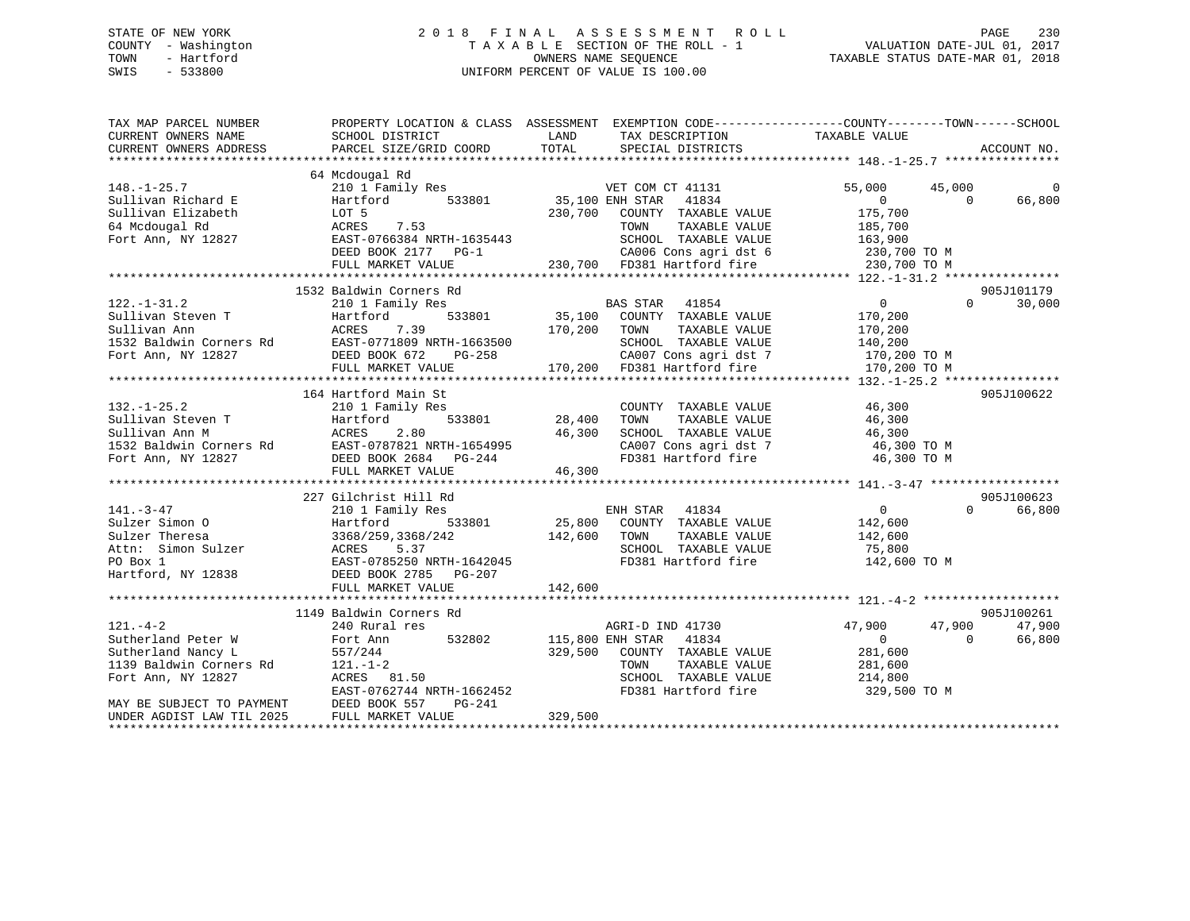# STATE OF NEW YORK 2 0 1 8 F I N A L A S S E S S M E N T R O L L PAGE 230 COUNTY - Washington T A X A B L E SECTION OF THE ROLL - 1 VALUATION DATE-JUL 01, 2017 TOWN - Hartford **TAXABLE STATUS DATE-MAR 01, 2018** OWNERS NAME SEQUENCE TAXABLE STATUS DATE-MAR 01, 2018 SWIS - 533800 UNIFORM PERCENT OF VALUE IS 100.00

| TAX MAP PARCEL NUMBER                         | PROPERTY LOCATION & CLASS ASSESSMENT EXEMPTION CODE---------------COUNTY-------TOWN-----SCHOOL                                                                                                                                                        |                                                                                                                          |                      |                                   |                |             |
|-----------------------------------------------|-------------------------------------------------------------------------------------------------------------------------------------------------------------------------------------------------------------------------------------------------------|--------------------------------------------------------------------------------------------------------------------------|----------------------|-----------------------------------|----------------|-------------|
| CURRENT OWNERS NAME                           | SCHOOL DISTRICT                                                                                                                                                                                                                                       | LAND<br>TAX DESCRIPTION                                                                                                  |                      | TAXABLE VALUE                     |                |             |
| CURRENT OWNERS ADDRESS                        | PARCEL SIZE/GRID COORD                                                                                                                                                                                                                                | TOTAL<br>SPECIAL DISTRICTS                                                                                               |                      |                                   |                | ACCOUNT NO. |
|                                               |                                                                                                                                                                                                                                                       |                                                                                                                          |                      |                                   |                |             |
|                                               | 64 Mcdougal Rd                                                                                                                                                                                                                                        |                                                                                                                          |                      |                                   |                |             |
| $148. - 1 - 25.7$                             | 210 1 Family Res                                                                                                                                                                                                                                      | VET COM CT 41131                                                                                                         |                      | 55,000                            | 45,000         | $\Omega$    |
| Sullivan Richard E                            | Hartford                                                                                                                                                                                                                                              | 533801 35,100 ENH STAR                                                                                                   | 41834                | $\overline{0}$                    | $\Omega$       | 66,800      |
| Sullivan Elizabeth                            |                                                                                                                                                                                                                                                       | 230,700 COUNTY TAXABLE VALUE                                                                                             |                      | 175,700                           |                |             |
| 64 Mcdougal Rd                                | LOT 5<br>ACRES<br>7.53                                                                                                                                                                                                                                | TOWN                                                                                                                     | TAXABLE VALUE        | 185,700                           |                |             |
| Fort Ann, NY 12827                            | EAST-0766384 NRTH-1635443                                                                                                                                                                                                                             |                                                                                                                          |                      |                                   |                |             |
|                                               | DEED BOOK 2177 PG-1                                                                                                                                                                                                                                   |                                                                                                                          |                      |                                   |                |             |
|                                               | FULL MARKET VALUE                                                                                                                                                                                                                                     | 635443 SCHOOL TAXABLE VALUE 163,900<br>-1 CA006 Cons agri dst 6 230,700 TO M<br>230,700 FD381 Hartford fire 230,700 TO M |                      |                                   |                |             |
|                                               |                                                                                                                                                                                                                                                       |                                                                                                                          |                      |                                   |                |             |
|                                               | 1532 Baldwin Corners Rd                                                                                                                                                                                                                               |                                                                                                                          |                      |                                   |                | 905J101179  |
| $122. - 1 - 31.2$                             | 210 1 Family Res                                                                                                                                                                                                                                      | BAS STAR 41854                                                                                                           |                      | $\overline{0}$                    | $\Omega$       | 30,000      |
|                                               |                                                                                                                                                                                                                                                       |                                                                                                                          |                      |                                   |                |             |
|                                               |                                                                                                                                                                                                                                                       |                                                                                                                          |                      |                                   |                |             |
|                                               |                                                                                                                                                                                                                                                       |                                                                                                                          |                      |                                   |                |             |
|                                               |                                                                                                                                                                                                                                                       |                                                                                                                          |                      |                                   |                |             |
|                                               |                                                                                                                                                                                                                                                       |                                                                                                                          |                      |                                   |                |             |
|                                               |                                                                                                                                                                                                                                                       |                                                                                                                          |                      |                                   |                |             |
|                                               | 122.-1-32<br>Sullivan Ann McRES 7.39<br>Sullivan Ann ACRES 7.39<br>132 Baldwin Corners Rd EAST-0771809 NRTH-1663500<br>Fort Ann, NY 12827 DEED BOOK 672 PG-258 CA007 CONS agri dst 7 170,200 TO M<br>FULL MARKET VALUE 170,200 FD381 H                |                                                                                                                          |                      |                                   |                |             |
|                                               | 164 Hartford Main St                                                                                                                                                                                                                                  |                                                                                                                          |                      |                                   |                | 905J100622  |
| $132. - 1 - 25.2$                             | 210 1 Family Res                                                                                                                                                                                                                                      |                                                                                                                          | COUNTY TAXABLE VALUE | 46,300                            |                |             |
|                                               |                                                                                                                                                                                                                                                       | 533801 28,400<br>TOWN                                                                                                    | TAXABLE VALUE        | 46,300                            |                |             |
|                                               | Sullivan Steven T<br>Sullivan Ann M<br>Sullivan Ann M<br>1532 Baldwin Corners Rd<br>Fort Ann, NY 12827<br>Fort Ann, NY 12827<br>FULL MARKET VALUE<br>16,300<br>FORED BOOK 2684<br>PG-244<br>FULL MARKET VALUE<br>16,300                               | 46,300                                                                                                                   | SCHOOL TAXABLE VALUE | 46,300                            |                |             |
|                                               |                                                                                                                                                                                                                                                       |                                                                                                                          |                      | CA007 Cons agri dst 7 46,300 TO M |                |             |
|                                               |                                                                                                                                                                                                                                                       |                                                                                                                          | FD381 Hartford fire  | 46,300 TO M                       |                |             |
|                                               | FULL MARKET VALUE                                                                                                                                                                                                                                     | 46,300                                                                                                                   |                      |                                   |                |             |
|                                               |                                                                                                                                                                                                                                                       |                                                                                                                          |                      |                                   |                |             |
|                                               | 227 Gilchrist Hill Rd                                                                                                                                                                                                                                 |                                                                                                                          |                      |                                   |                | 905J100623  |
| $141. - 3 - 47$                               | 210 1 Family Res                                                                                                                                                                                                                                      |                                                                                                                          |                      | $\overline{0}$                    | $\Omega$       | 66,800      |
|                                               |                                                                                                                                                                                                                                                       | ENH STAR 41834<br>25,800 COUNTY TAXABLE VALUE                                                                            |                      | 142,600                           |                |             |
|                                               |                                                                                                                                                                                                                                                       | 142,600 TOWN                                                                                                             |                      | TAXABLE VALUE 142,600             |                |             |
|                                               |                                                                                                                                                                                                                                                       |                                                                                                                          | SCHOOL TAXABLE VALUE | 75,800                            |                |             |
|                                               |                                                                                                                                                                                                                                                       |                                                                                                                          | FD381 Hartford fire  | 142,600 TO M                      |                |             |
|                                               | First-19-47<br>Sulzer Simon 0<br>Sulzer Theresa<br>Attn: Simon Sulzer<br>PO Box 1<br>Hartford, NY 12838<br>Hartford, NY 12838<br>BEED BOOK 2785<br>PO FORM 2785<br>PO PO BOX 1<br>Hartford, NY 12838<br>PO BOOK 2785<br>PO PO PO PO PO PO PO PO PO PO |                                                                                                                          |                      |                                   |                |             |
|                                               | FULL MARKET VALUE                                                                                                                                                                                                                                     | 142,600                                                                                                                  |                      |                                   |                |             |
|                                               |                                                                                                                                                                                                                                                       |                                                                                                                          |                      |                                   |                |             |
|                                               |                                                                                                                                                                                                                                                       |                                                                                                                          |                      |                                   |                |             |
|                                               | 1149 Baldwin Corners Rd                                                                                                                                                                                                                               |                                                                                                                          |                      |                                   |                | 905J100261  |
| $121. - 4 - 2$                                | 240 Rural res                                                                                                                                                                                                                                         | AGRI-D IND 41730                                                                                                         |                      | 47,900                            | 47,900         | 47,900      |
| Sutherland Peter W                            | Fort Ann 532802                                                                                                                                                                                                                                       | 115,800 ENH STAR 41834                                                                                                   |                      | $\overline{0}$                    | $\overline{0}$ | 66,800      |
| Sutherland Nancy L                            | 557/244                                                                                                                                                                                                                                               | 329,500 COUNTY TAXABLE VALUE                                                                                             |                      | 281,600                           |                |             |
| 1139 Baldwin Corners Rd<br>Fort Ann. NY 12827 | $121. - 1 - 2$                                                                                                                                                                                                                                        | TOWN                                                                                                                     | TAXABLE VALUE        | 281,600                           |                |             |
| Fort Ann, NY 12827                            | ACRES 81.50                                                                                                                                                                                                                                           |                                                                                                                          | SCHOOL TAXABLE VALUE | 214,800                           |                |             |
|                                               | EAST-0762744 NRTH-1662452                                                                                                                                                                                                                             |                                                                                                                          | FD381 Hartford fire  | 329,500 TO M                      |                |             |
| MAY BE SUBJECT TO PAYMENT                     | DEED BOOK 557<br>PG-241                                                                                                                                                                                                                               |                                                                                                                          |                      |                                   |                |             |
| UNDER AGDIST LAW TIL 2025                     | FULL MARKET VALUE                                                                                                                                                                                                                                     | 329,500                                                                                                                  |                      |                                   |                |             |
|                                               |                                                                                                                                                                                                                                                       |                                                                                                                          |                      |                                   |                |             |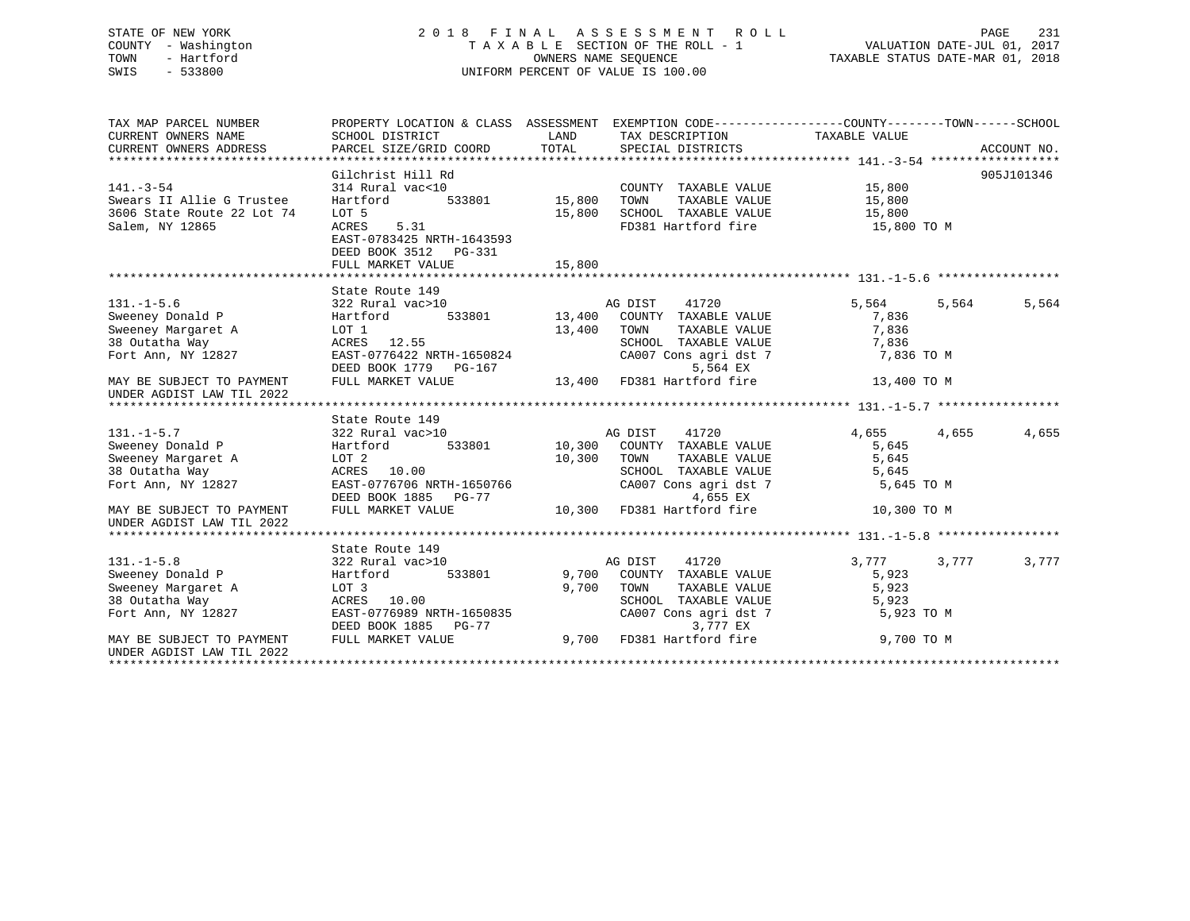# STATE OF NEW YORK 2 0 1 8 F I N A L A S S E S S M E N T R O L L PAGE 231 COUNTY - Washington T A X A B L E SECTION OF THE ROLL - 1 VALUATION DATE-JUL 01, 2017 TOWN - Hartford **TAXABLE STATUS DATE-MAR 01, 2018** OWNERS NAME SEQUENCE TAXABLE STATUS DATE-MAR 01, 2018 SWIS - 533800 UNIFORM PERCENT OF VALUE IS 100.00

| CURRENT OWNERS ADDRESS                                                                                                                                                                                                    |             |                |
|---------------------------------------------------------------------------------------------------------------------------------------------------------------------------------------------------------------------------|-------------|----------------|
|                                                                                                                                                                                                                           |             |                |
| Gilchrist Hill Rd                                                                                                                                                                                                         |             | 905J101346     |
| COUNTY TAXABLE VALUE 15,800<br>TOWN TAXABLE VALUE 15,800<br>$141. - 3 - 54$                                                                                                                                               |             |                |
| Swears II Allie G Trustee                                                                                                                                                                                                 |             |                |
| SCHOOL TAXABLE VALUE 15,800<br>3606 State Route 22 Lot 74<br>LOT 5<br>15,800                                                                                                                                              |             |                |
| Salem, NY 12865<br>5.31<br>FD381 Hartford fire 15,800 TO M<br>ACRES<br>EAST-0783425 NRTH-1643593<br>DEED BOOK 3512 PG-331<br>15,800<br>FULL MARKET VALUE                                                                  |             |                |
|                                                                                                                                                                                                                           |             |                |
| State Route 149                                                                                                                                                                                                           |             |                |
| $131. - 1 - 5.6$<br>322 Rural vac>10                                                                                                                                                                                      | 5,564       | 5,564<br>5,564 |
| $\begin{tabular}{lllllll} \texttt{vac}>10 & & \texttt{AG DIST} & 41720 \\ & 533801 & 13,400 & \texttt{COUNTY} & \texttt{TAXABLE VALUE} \end{tabular}$<br>Hartford<br>Sweeney Donald P<br>Sweeney Margaret A<br>Andrea Way | 7,836       |                |
| 13,400 TOWN<br>TAXABLE VALUE<br>LOT 1                                                                                                                                                                                     | 7,836       |                |
| ACRES 12.55<br>TOWN TAXABLE VALUE<br>SCHOOL TAXABLE VALUE                                                                                                                                                                 | 7,836       |                |
| Fort Ann, NY 12827<br>EAST-0776422 NRTH-1650824                                                                                                                                                                           | 7,836 TO M  |                |
| DEED BOOK 1779 PG-167<br>5,564 EX                                                                                                                                                                                         |             |                |
| 13,400 FD381 Hartford fire<br>FULL MARKET VALUE<br>MAY BE SUBJECT TO PAYMENT<br>UNDER AGDIST LAW TIL 2022                                                                                                                 | 13,400 TO M |                |
|                                                                                                                                                                                                                           |             |                |
| State Route 149                                                                                                                                                                                                           |             |                |
| $131. -1 - 5.7$<br>AG DIST<br>41720<br>322 Rural vac>10                                                                                                                                                                   | 4,655       | 4,655<br>4,655 |
| Sweeney Donald P<br>533801 10,300 COUNTY TAXABLE VALUE<br>Hartford                                                                                                                                                        | 5,645       |                |
| Sweeney Margaret A<br>LOT 2<br>10,300 TOWN<br>TAXABLE VALUE                                                                                                                                                               | 5,645       |                |
| 38 Outatha Way<br>ACRES 10.00<br>SCHOOL TAXABLE VALUE                                                                                                                                                                     | 5,645       |                |
| CA007 Cons agri dst 7<br>EAST-0776706 NRTH-1650766<br>Fort Ann, NY 12827                                                                                                                                                  | 5,645 TO M  |                |
| DEED BOOK 1885 PG-77 4,655 EX<br>FULL MARKET VALUE 10,300 FD381 Hartford fire                                                                                                                                             |             |                |
| MAY BE SUBJECT TO PAYMENT<br>UNDER AGDIST LAW TIL 2022                                                                                                                                                                    | 10,300 TO M |                |
|                                                                                                                                                                                                                           |             |                |
| State Route 149                                                                                                                                                                                                           |             |                |
| AG DIST<br>41720<br>$131. -1 - 5.8$<br>322 Rural vac>10                                                                                                                                                                   | 3,777       | 3,777<br>3,777 |
| Sweeney Donald P<br>Hartford<br>533801<br>9,700 COUNTY TAXABLE VALUE                                                                                                                                                      | 5,923       |                |
| Sweeney Margaret A<br>9,700 TOWN<br>LOT 3<br>TAXABLE VALUE<br>LOT 3<br>ACRES 10.00                                                                                                                                        | 5,923       |                |
| 38 Outatha Way                                                                                                                                                                                                            | 5,923       |                |
| SCHOOL TAXABLE VALUE<br>CA007 Cons agri dst 7<br>3.777 EX<br>EAST-0776989 NRTH-1650835<br>Fort Ann, NY 12827                                                                                                              | 5,923 TO M  |                |
| 3,777 EX<br>DEED BOOK 1885 PG-77                                                                                                                                                                                          |             |                |
| 9,700 FD381 Hartford fire 9,700 TO M<br>MAY BE SUBJECT TO PAYMENT<br>FULL MARKET VALUE<br>UNDER AGDIST LAW TIL 2022                                                                                                       |             |                |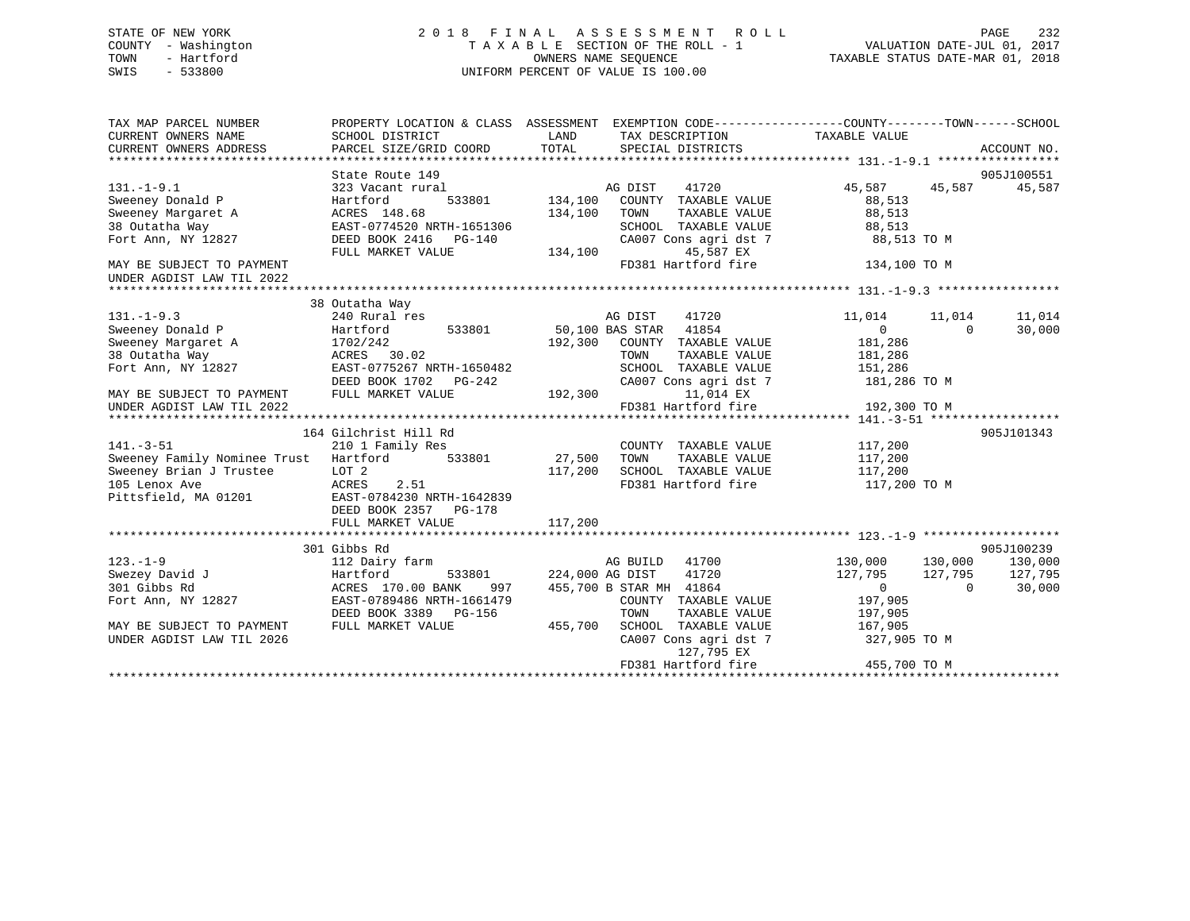# STATE OF NEW YORK 2 0 1 8 F I N A L A S S E S S M E N T R O L L PAGE 232 COUNTY - Washington T A X A B L E SECTION OF THE ROLL - 1 VALUATION DATE-JUL 01, 2017 TOWN - Hartford **TAXABLE STATUS DATE-MAR 01, 2018** OWNERS NAME SEQUENCE TAXABLE STATUS DATE-MAR 01, 2018 SWIS - 533800 UNIFORM PERCENT OF VALUE IS 100.00

| TAX MAP PARCEL NUMBER<br>CURRENT OWNERS NAME<br>CURRENT OWNERS ADDRESS                              | PROPERTY LOCATION & CLASS ASSESSMENT<br>SCHOOL DISTRICT<br>PARCEL SIZE/GRID COORD                                                           | LAND<br>TOTAL         |                                                                      | EXEMPTION CODE-----------------COUNTY-------TOWN------SCHOOL<br>TAX DESCRIPTION TAXABLE VALUE<br>SPECIAL DISTRICTS |                                                          |                                | ACCOUNT NO.                  |
|-----------------------------------------------------------------------------------------------------|---------------------------------------------------------------------------------------------------------------------------------------------|-----------------------|----------------------------------------------------------------------|--------------------------------------------------------------------------------------------------------------------|----------------------------------------------------------|--------------------------------|------------------------------|
| $131. - 1 - 9.1$                                                                                    | State Route 149<br>323 Vacant rural                                                                                                         |                       | AG DIST                                                              | 41720                                                                                                              | 45,587                                                   | 45,587                         | 905J100551<br>45,587         |
| Sweeney Donald P<br>Sweeney Margaret A                                                              | 533801 134,100<br>Hartford<br>ACRES 148.68                                                                                                  | 134,100               | TOWN                                                                 | COUNTY TAXABLE VALUE<br>TAXABLE VALUE                                                                              | 88,513<br>88,513                                         |                                |                              |
| 38 Outatha Way<br>Fort Ann, NY 12827                                                                | EAST-0774520 NRTH-1651306<br>DEED BOOK 2416    PG-140<br>FULL MARKET VALUE                                                                  | 134,100               |                                                                      | SCHOOL TAXABLE VALUE<br>CA007 Cons agri dst 7<br>45,587 EX                                                         | 88,513<br>88,513 TO M                                    |                                |                              |
| MAY BE SUBJECT TO PAYMENT<br>UNDER AGDIST LAW TIL 2022                                              |                                                                                                                                             |                       |                                                                      | FD381 Hartford fire                                                                                                | 134,100 TO M                                             |                                |                              |
|                                                                                                     |                                                                                                                                             |                       |                                                                      |                                                                                                                    |                                                          |                                |                              |
| $131. - 1 - 9.3$                                                                                    | 38 Outatha Way<br>240 Rural res                                                                                                             |                       | AG DIST                                                              | 41720                                                                                                              | 11,014                                                   | 11,014                         | 11,014                       |
| Sweeney Donald P                                                                                    | Hartford<br>533801                                                                                                                          | 50,100 BAS STAR 41854 |                                                                      |                                                                                                                    | 0                                                        | $\Omega$                       | 30,000                       |
| Sweeney Margaret A                                                                                  | 1702/242                                                                                                                                    |                       |                                                                      | 192,300 COUNTY TAXABLE VALUE                                                                                       | 181,286                                                  |                                |                              |
| 38 Outatha Way                                                                                      | ACRES 30.02                                                                                                                                 |                       | TOWN                                                                 | TAXABLE VALUE                                                                                                      | 181,286                                                  |                                |                              |
| Fort Ann, NY 12827                                                                                  | EAST-0775267 NRTH-1650482                                                                                                                   |                       |                                                                      | SCHOOL TAXABLE VALUE                                                                                               | 151,286                                                  |                                |                              |
|                                                                                                     | DEED BOOK 1702 PG-242                                                                                                                       |                       |                                                                      | CA007 Cons agri dst 7                                                                                              | 181,286 TO M                                             |                                |                              |
| MAY BE SUBJECT TO PAYMENT<br>UNDER AGDIST LAW TIL 2022                                              | FULL MARKET VALUE                                                                                                                           | 192,300               |                                                                      | 11,014 EX<br>FD381 Hartford fire                                                                                   | 192,300 TO M                                             |                                |                              |
|                                                                                                     |                                                                                                                                             |                       |                                                                      |                                                                                                                    |                                                          |                                |                              |
|                                                                                                     | 164 Gilchrist Hill Rd                                                                                                                       |                       |                                                                      |                                                                                                                    |                                                          |                                | 905J101343                   |
| $141. - 3 - 51$                                                                                     | 210 1 Family Res                                                                                                                            |                       |                                                                      | COUNTY TAXABLE VALUE                                                                                               | 117,200                                                  |                                |                              |
| Sweeney Family Nominee Trust                                                                        | 533801 27,500<br>Hartford                                                                                                                   |                       | TOWN                                                                 | TAXABLE VALUE                                                                                                      | 117,200                                                  |                                |                              |
| Sweeney Brian J Trustee                                                                             | LOT 2                                                                                                                                       | 117,200               |                                                                      | SCHOOL TAXABLE VALUE                                                                                               | 117,200                                                  |                                |                              |
| 105 Lenox Ave<br>Pittsfield, MA 01201                                                               | ACRES<br>2.51<br>EAST-0784230 NRTH-1642839<br>DEED BOOK 2357<br>PG-178<br>FULL MARKET VALUE                                                 | 117,200               |                                                                      | FD381 Hartford fire                                                                                                | 117,200 TO M                                             |                                |                              |
|                                                                                                     |                                                                                                                                             |                       |                                                                      |                                                                                                                    |                                                          |                                |                              |
|                                                                                                     | 301 Gibbs Rd                                                                                                                                |                       |                                                                      |                                                                                                                    |                                                          |                                | 905J100239                   |
| $123. - 1 - 9$<br>Swezey David J<br>301 Gibbs Rd<br>Fort Ann, NY 12827<br>MAY BE SUBJECT TO PAYMENT | 112 Dairy farm<br>Hartford<br>533801<br>ACRES 170.00 BANK<br>997<br>EAST-0789486 NRTH-1661479<br>DEED BOOK 3389 PG-156<br>FULL MARKET VALUE | 455,700               | AG BUILD 41700<br>224,000 AG DIST<br>455,700 B STAR MH 41864<br>TOWN | 41720<br>COUNTY TAXABLE VALUE<br>TAXABLE VALUE<br>SCHOOL TAXABLE VALUE                                             | 130,000<br>127,795<br>0<br>197,905<br>197,905<br>167,905 | 130,000<br>127,795<br>$\Omega$ | 130,000<br>127,795<br>30,000 |
| UNDER AGDIST LAW TIL 2026                                                                           |                                                                                                                                             |                       |                                                                      | CA007 Cons agri dst 7<br>127,795 EX<br>FD381 Hartford fire                                                         | 327,905 TO M<br>455,700 TO M                             |                                |                              |
|                                                                                                     |                                                                                                                                             |                       |                                                                      |                                                                                                                    |                                                          |                                |                              |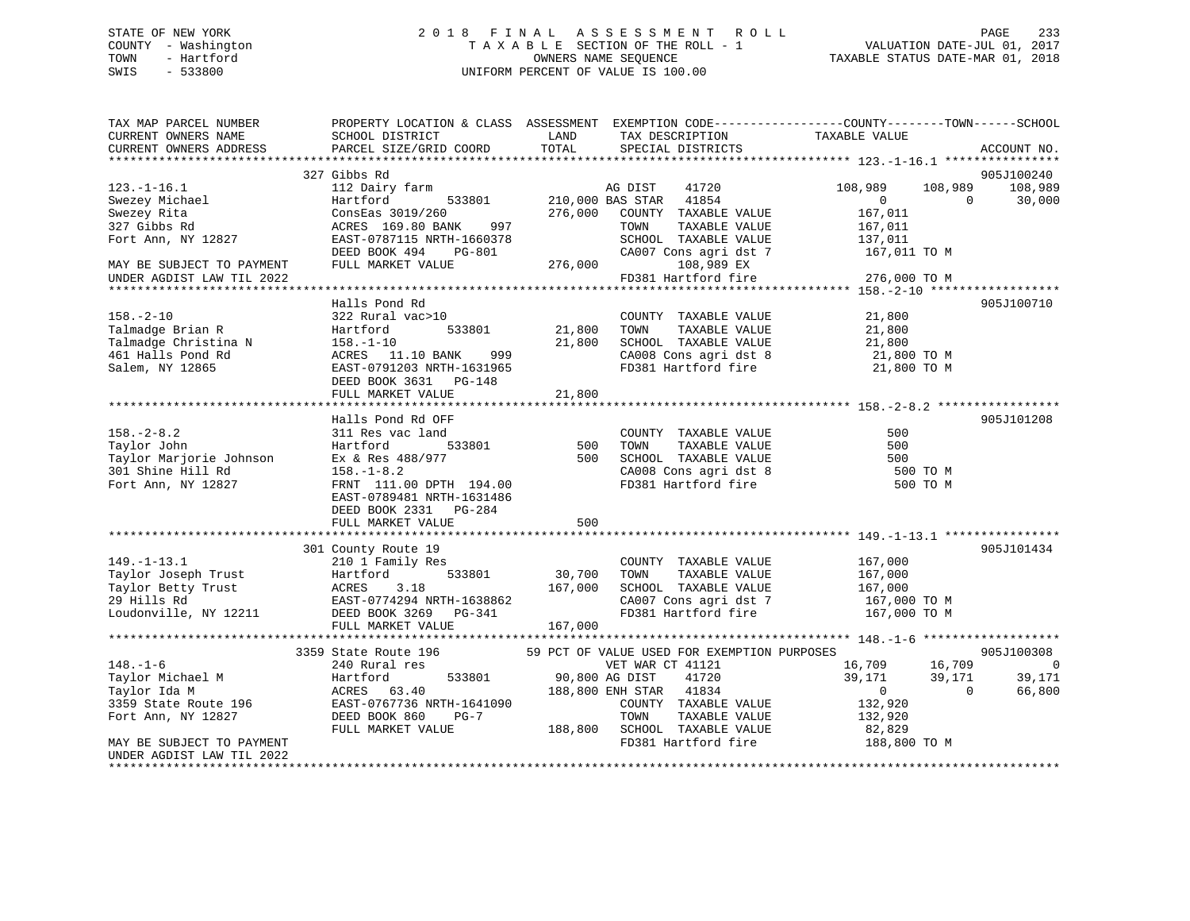# STATE OF NEW YORK 2 0 1 8 F I N A L A S S E S S M E N T R O L L PAGE 233 COUNTY - Washington T A X A B L E SECTION OF THE ROLL - 1 VALUATION DATE-JUL 01, 2017 TOWN - Hartford **TAXABLE STATUS DATE-MAR 01, 2018** OWNERS NAME SEQUENCE TAXABLE STATUS DATE-MAR 01, 2018 SWIS - 533800 UNIFORM PERCENT OF VALUE IS 100.00

| TAX MAP PARCEL NUMBER<br>CURRENT OWNERS NAME<br>CURRENT OWNERS ADDRESS                                 | SCHOOL DISTRICT<br>PARCEL SIZE/GRID COORD                                                                                                                                            | LAND<br>TOTAL                | TAX DESCRIPTION<br>SPECIAL DISTRICTS                                                                                  | PROPERTY LOCATION & CLASS ASSESSMENT EXEMPTION CODE---------------COUNTY-------TOWN------SCHOOL<br>TAXABLE VALUE | ACCOUNT NO.                    |
|--------------------------------------------------------------------------------------------------------|--------------------------------------------------------------------------------------------------------------------------------------------------------------------------------------|------------------------------|-----------------------------------------------------------------------------------------------------------------------|------------------------------------------------------------------------------------------------------------------|--------------------------------|
|                                                                                                        |                                                                                                                                                                                      |                              |                                                                                                                       |                                                                                                                  |                                |
|                                                                                                        | 327 Gibbs Rd                                                                                                                                                                         |                              |                                                                                                                       |                                                                                                                  | 905J100240                     |
| $123. - 1 - 16.1$<br>Swezey Michael<br>Swezey Rita                                                     | 112 Dairy farm<br>533801<br>Hartford<br>ConsEas 3019/260                                                                                                                             | 276,000                      | 41720<br>AG DIST<br>210,000 BAS STAR 41854<br>COUNTY TAXABLE VALUE                                                    | 108,989<br>$\mathbf{0}$<br>$\Omega$<br>167,011                                                                   | 108,989 108,989<br>30,000      |
| 327 Gibbs Rd<br>Fort Ann, NY 12827                                                                     | ACRES 169.80 BANK 997<br>EAST-0787115 NRTH-1660378<br>DEED BOOK 494<br>PG-801                                                                                                        |                              | TAXABLE VALUE<br>TOWN<br>SCHOOL TAXABLE VALUE<br>CA007 Cons agri dst 7                                                | 167,011<br>137,011<br>167,011 TO M                                                                               |                                |
| MAY BE SUBJECT TO PAYMENT                                                                              | FULL MARKET VALUE                                                                                                                                                                    | 276,000                      | 108,989 EX                                                                                                            |                                                                                                                  |                                |
| UNDER AGDIST LAW TIL 2022                                                                              |                                                                                                                                                                                      |                              | FD381 Hartford fire                                                                                                   | 276,000 TO M                                                                                                     |                                |
|                                                                                                        | Halls Pond Rd                                                                                                                                                                        |                              |                                                                                                                       |                                                                                                                  | 905J100710                     |
| $158. - 2 - 10$<br>Talmadge Brian R<br>Talmadge Christina N<br>461 Halls Pond Rd<br>Salem, NY 12865    | 322 Rural vac>10<br>533801<br>Hartford<br>$158. - 1 - 10$<br>ACRES 11.10 BANK<br>999<br>EAST-0791203 NRTH-1631965<br>DEED BOOK 3631 PG-148                                           | 21,800<br>21,800             | COUNTY TAXABLE VALUE<br>TOWN<br>TAXABLE VALUE<br>SCHOOL TAXABLE VALUE                                                 | 21,800<br>21,800<br>21,800<br>CA008 Cons agri dst 8 21,800 TO M<br>FD381 Hartford fire 21,800 TO M               |                                |
|                                                                                                        | FULL MARKET VALUE                                                                                                                                                                    | 21,800                       |                                                                                                                       |                                                                                                                  |                                |
|                                                                                                        |                                                                                                                                                                                      |                              |                                                                                                                       |                                                                                                                  |                                |
| $158. - 2 - 8.2$<br>Taylor John<br>Taylor Marjorie Johnson<br>301 Shine Hill Rd<br>Fort Ann, NY 12827  | Halls Pond Rd OFF<br>311 Res vac land<br>533801<br>Hartford<br>Ex & Res 488/977<br>$158. - 1 - 8.2$<br>FRNT 111.00 DPTH 194.00<br>EAST-0789481 NRTH-1631486<br>DEED BOOK 2331 PG-284 | 500<br>500                   | COUNTY TAXABLE VALUE<br>TOWN<br>TAXABLE VALUE<br>SCHOOL TAXABLE VALUE<br>CA008 Cons agri dst 8<br>FD381 Hartford fire | 500<br>500<br>500<br>500 TO M<br>500 TO M                                                                        | 905J101208                     |
|                                                                                                        | FULL MARKET VALUE                                                                                                                                                                    | 500                          |                                                                                                                       |                                                                                                                  |                                |
|                                                                                                        | 301 County Route 19                                                                                                                                                                  |                              |                                                                                                                       |                                                                                                                  | 905J101434                     |
| $149. - 1 - 13.1$<br>Taylor Joseph Trust<br>Taylor Betty Trust<br>29 Hills Rd<br>Loudonville, NY 12211 | 210 1 Family Res<br>533801<br>Hartford<br>3.18<br>ACRES<br>EAST-0774294 NRTH-1638862<br>DEED BOOK 3269 PG-341<br>FULL MARKET VALUE                                                   | 30,700<br>167,000<br>167,000 | COUNTY TAXABLE VALUE<br>TAXABLE VALUE<br>TOWN<br>SCHOOL TAXABLE VALUE<br>CA007 Cons agri dst 7<br>FD381 Hartford fire | 167,000<br>167,000<br>167,000<br>167,000 TO M<br>167,000 TO M                                                    |                                |
|                                                                                                        | 3359 State Route 196                                                                                                                                                                 |                              | 59 PCT OF VALUE USED FOR EXEMPTION PURPOSES                                                                           |                                                                                                                  | 905J100308                     |
| $148. - 1 - 6$<br>Taylor Michael M<br>Taylor Ida M<br>3359 State Route 196<br>Fort Ann, NY 12827       | 240 Rural res<br>533801<br>Hartford<br>ACRES 63.40<br>EAST-0767736 NRTH-1641090<br>DEED BOOK 860<br>$PG-7$                                                                           | 90,800 AG DIST               | VET WAR CT 41121<br>41720<br>188,800 ENH STAR 41834<br>COUNTY TAXABLE VALUE<br>TOWN<br>TAXABLE VALUE                  | 16,709<br>16,709<br>39,171<br>39,171<br>$0 \qquad \qquad$<br>$\Omega$<br>132,920<br>132,920                      | $\bigcirc$<br>39,171<br>66,800 |
| MAY BE SUBJECT TO PAYMENT<br>UNDER AGDIST LAW TIL 2022                                                 | FULL MARKET VALUE                                                                                                                                                                    |                              | 188,800 SCHOOL TAXABLE VALUE<br>FD381 Hartford fire                                                                   | 82,829<br>188,800 TO M                                                                                           |                                |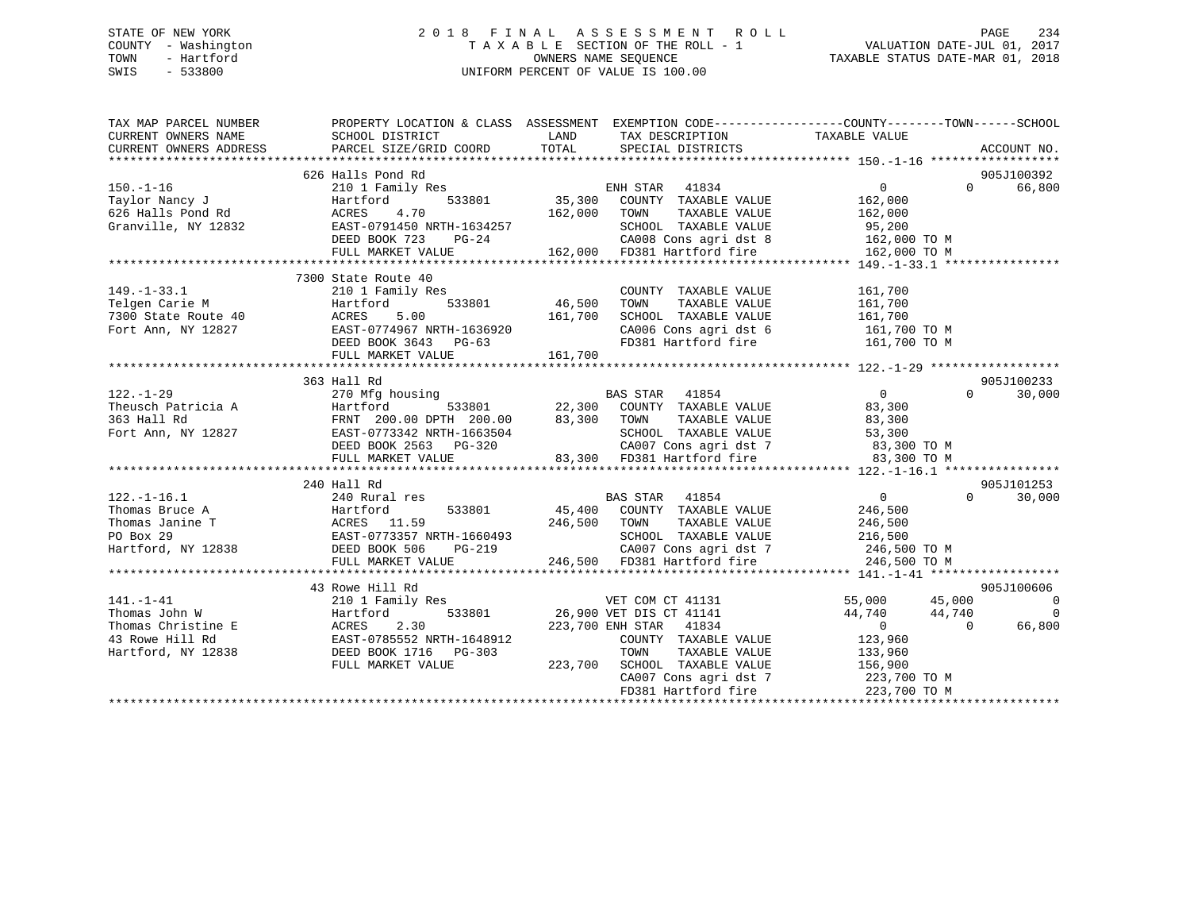# STATE OF NEW YORK 2 0 1 8 F I N A L A S S E S S M E N T R O L L PAGE 234 COUNTY - Washington T A X A B L E SECTION OF THE ROLL - 1 VALUATION DATE-JUL 01, 2017 TOWN - Hartford **TAXABLE STATUS DATE-MAR 01, 2018** OWNERS NAME SEQUENCE TAXABLE STATUS DATE-MAR 01, 2018 SWIS - 533800 UNIFORM PERCENT OF VALUE IS 100.00

| TAX MAP PARCEL NUMBER<br>CURRENT OWNERS NAME     | SCHOOL DISTRICT                                                   | LAND<br>TAX DESCRIPTION                                                          | PROPERTY LOCATION & CLASS ASSESSMENT EXEMPTION CODE---------------COUNTY-------TOWN-----SCHOOL<br>TAXABLE VALUE |
|--------------------------------------------------|-------------------------------------------------------------------|----------------------------------------------------------------------------------|-----------------------------------------------------------------------------------------------------------------|
| CURRENT OWNERS ADDRESS                           | PARCEL SIZE/GRID COORD                                            | TOTAL<br>SPECIAL DISTRICTS                                                       | ACCOUNT NO.                                                                                                     |
|                                                  |                                                                   |                                                                                  |                                                                                                                 |
|                                                  | 626 Halls Pond Rd                                                 |                                                                                  | 905J100392                                                                                                      |
| 150.-1-16<br>Taylor Nancy J<br>626 Halls Pond Rd | 210 1 Family Res                                                  | ENH STAR 41834<br>33801 35,300 COUNTY TAXABLE VALUE                              | 0<br>66,800<br>$\Omega$                                                                                         |
|                                                  | Hartford<br>533801                                                |                                                                                  | 162,000                                                                                                         |
|                                                  | 4.70<br>ACRES                                                     | 162,000 TOWN<br>TAXABLE VALUE                                                    | 162,000                                                                                                         |
| Granville, NY 12832                              | EAST-0791450 NRTH-1634257                                         | SCHOOL TAXABLE VALUE                                                             | 95,200<br>162,000 TO M                                                                                          |
|                                                  | DEED BOOK 723<br>$PG-24$                                          | 24 CA008 Cons agri dst 8<br>162,000 FD381 Hartford fire                          |                                                                                                                 |
|                                                  | FULL MARKET VALUE                                                 |                                                                                  | 162,000 TO M                                                                                                    |
|                                                  |                                                                   |                                                                                  |                                                                                                                 |
|                                                  | 7300 State Route 40                                               |                                                                                  |                                                                                                                 |
| $149. - 1 - 33.1$                                | 210 1 Family Res                                                  | COUNTY TAXABLE VALUE                                                             | 161,700                                                                                                         |
| Telgen Carie M<br>7300 State Route 40            | 533801<br>Hartford                                                | 46,500<br>TOWN<br>TAXABLE VALUE                                                  | 161,700                                                                                                         |
|                                                  | ACRES<br>5.00                                                     | SCHOOL TAXABLE VALUE 161,700<br>161,700                                          |                                                                                                                 |
| Fort Ann, NY 12827                               | EAST-0774967 NRTH-1636920                                         | CA006 Cons agri dst 6 161,700 TO M                                               |                                                                                                                 |
|                                                  | DEED BOOK 3643 PG-63                                              | FD381 Hartford fire                                                              | 161,700 TO M                                                                                                    |
|                                                  | FULL MARKET VALUE                                                 | 161,700                                                                          |                                                                                                                 |
|                                                  |                                                                   |                                                                                  |                                                                                                                 |
|                                                  | 363 Hall Rd                                                       |                                                                                  | 905J100233                                                                                                      |
| $122. - 1 - 29$                                  | 270 Mfg housing                                                   | BAS STAR 41854                                                                   | $\overline{0}$<br>$0 \qquad \qquad$<br>30,000                                                                   |
|                                                  |                                                                   | $533801$ 22,300 COUNTY TAXABLE VALUE<br>00 DPTH 200.00 83,300 TOWN TAXABLE VALUE | 83,300                                                                                                          |
|                                                  |                                                                   |                                                                                  | 83,300                                                                                                          |
|                                                  | Fort Ann, NY 12827<br>Fort Ann, NY 12827<br>DEED BOOK 2563 PG-320 | SCHOOL TAXABLE VALUE                                                             | 53,300                                                                                                          |
|                                                  |                                                                   | CA007 Cons agri dst 7<br>83,300 FD381 Hartford fire                              | 83,300 TO M                                                                                                     |
|                                                  | FULL MARKET VALUE                                                 |                                                                                  | 83,300 TO M                                                                                                     |
|                                                  |                                                                   |                                                                                  |                                                                                                                 |
|                                                  | 240 Hall Rd                                                       |                                                                                  | 905J101253<br>$\Omega$                                                                                          |
| $122. - 1 - 16.1$                                | 240 Rural res                                                     | BAS STAR 41854                                                                   | $\overline{0}$<br>30,000                                                                                        |
|                                                  |                                                                   | 45,400 COUNTY TAXABLE VALUE<br>246,500 TOWN TAXABLE VALUE<br>246,500 TOWN        | 246,500<br>246,500                                                                                              |
|                                                  |                                                                   | SCHOOL TAXABLE VALUE 216,500                                                     |                                                                                                                 |
|                                                  |                                                                   | H-1660493<br>PG-219                                                              |                                                                                                                 |
|                                                  | FULL MARKET VALUE                                                 |                                                                                  |                                                                                                                 |
|                                                  |                                                                   |                                                                                  |                                                                                                                 |
|                                                  | 43 Rowe Hill Rd                                                   |                                                                                  | 905J100606                                                                                                      |
| $141. - 1 - 41$                                  | 210 1 Family Res                                                  | VET COM CT 41131                                                                 | 55,000 45,000<br>$\overline{\phantom{0}}$                                                                       |
| Thomas John W                                    | Hartford                                                          | 533801 26,900 VET DIS CT 41141                                                   | 44,740<br>44,740<br>$\Omega$                                                                                    |
| Thomas Christine E                               | Hartford 533801<br>ACRES 2.30<br>EAST-0785552 NRTH-1648912        | 223,700 ENH STAR 41834                                                           | $\sim$ 0<br>$\overline{0}$<br>66,800                                                                            |
| 43 Rowe Hill Rd                                  |                                                                   | COUNTY TAXABLE VALUE                                                             | 123,960                                                                                                         |
| Hartford, NY 12838                               | DEED BOOK 1716 PG-303                                             | TOWN<br>TAXABLE VALUE                                                            | 133,960                                                                                                         |
|                                                  | FULL MARKET VALUE                                                 | 223,700 SCHOOL TAXABLE VALUE                                                     | 156,900                                                                                                         |
|                                                  |                                                                   | CA007 Cons agri dst 7                                                            | 223,700 TO M                                                                                                    |
|                                                  |                                                                   | FD381 Hartford fire                                                              | 223,700 TO M                                                                                                    |
|                                                  |                                                                   |                                                                                  |                                                                                                                 |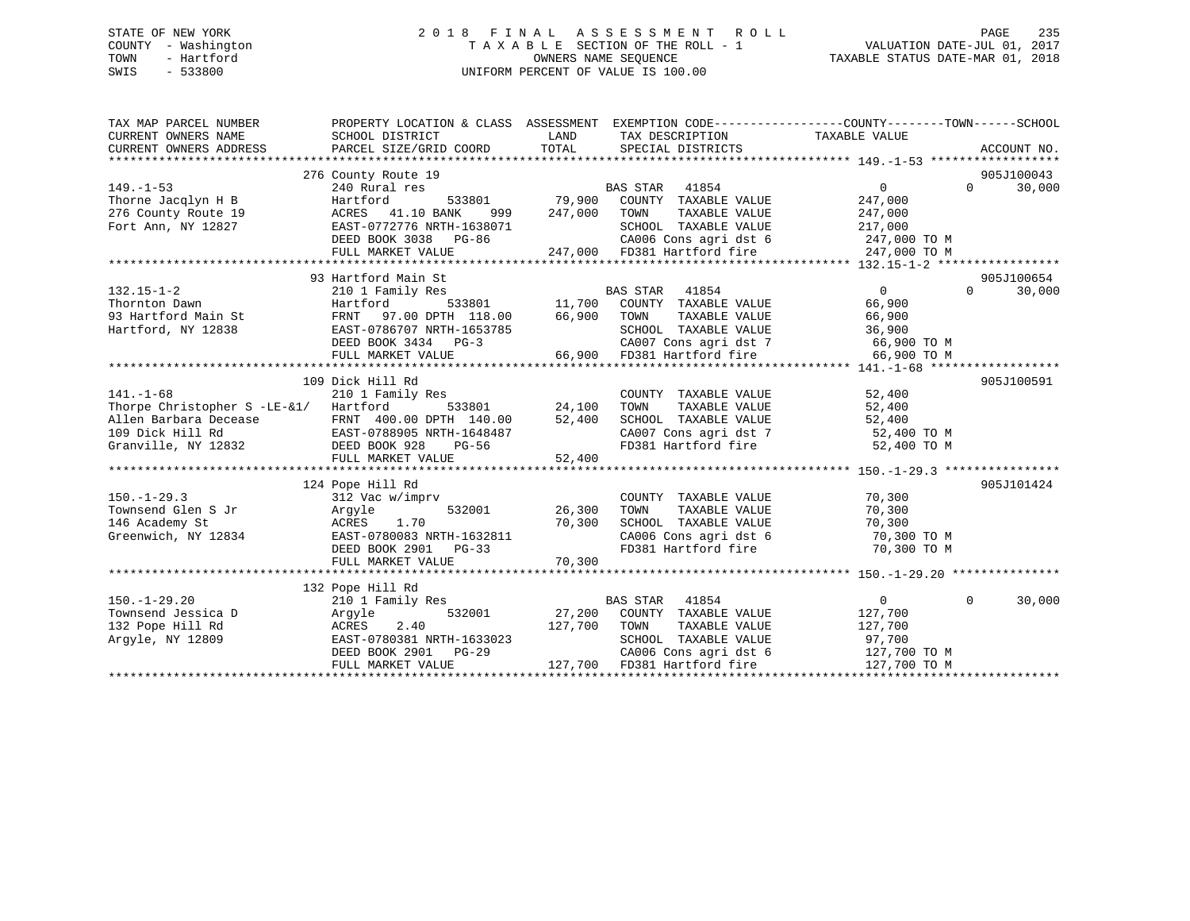# STATE OF NEW YORK 2 0 1 8 F I N A L A S S E S S M E N T R O L L PAGE 235 COUNTY - Washington T A X A B L E SECTION OF THE ROLL - 1 VALUATION DATE-JUL 01, 2017 TOWN - Hartford **TAXABLE STATUS DATE-MAR 01, 2018** OWNERS NAME SEQUENCE TAXABLE STATUS DATE-MAR 01, 2018 SWIS - 533800 UNIFORM PERCENT OF VALUE IS 100.00

| TAX MAP PARCEL NUMBER<br>CURRENT OWNERS NAME<br>CURRENT OWNERS ADDRESS             | SCHOOL DISTRICT<br>PARCEL SIZE/GRID COORD                                                                                                                                                                     | PROPERTY LOCATION & CLASS ASSESSMENT EXEMPTION CODE----------------COUNTY-------TOWN------SCHOOL<br>LAND<br>TAX DESCRIPTION TAXABLE VALUE<br>TOTAL<br>SPECIAL DISTRICTS                               | ACCOUNT NO.                                                                                                    |
|------------------------------------------------------------------------------------|---------------------------------------------------------------------------------------------------------------------------------------------------------------------------------------------------------------|-------------------------------------------------------------------------------------------------------------------------------------------------------------------------------------------------------|----------------------------------------------------------------------------------------------------------------|
| $149. - 1 - 53$<br>Thorne Jacqlyn H B<br>276 County Route 19<br>Fort Ann, NY 12827 | 276 County Route 19<br>240 Rural res<br>Hartford<br>ACRES 41.10 BANK<br>EAST-0772776 NRTH-1638071<br>DEED BOOK 3038 PG-86<br>FULL MARKET VALUE                                                                | BAS STAR 41854<br>533801 79,900 COUNTY TAXABLE VALUE<br>TOWN<br>999 247,000<br>TAXABLE VALUE<br>SCHOOL TAXABLE VALUE<br>CA006 Cons agri dst 6 247,000 TO M<br>247,000 FD381 Hartford fire             | 905J100043<br>$\Omega$<br>30,000<br>$\Omega$<br>247,000<br>247,000<br>217,000<br>247,000 TO M                  |
| $132.15 - 1 - 2$<br>Thornton Dawn<br>93 Hartford Main St<br>Hartford, NY 12838     | 93 Hartford Main St<br>210 1 Family Res<br>Hartford<br>FRNT 97.00 DPTH 118.00<br>EAST-0786707 NRTH-1653785<br>DEED BOOK 3434 PG-3<br>FULL MARKET VALUE                                                        | <b>BAS STAR</b><br>41854<br>533801 11,700 COUNTY TAXABLE VALUE<br>TH 118.00 66,900 TOWN TAXABLE VALUE<br>TAXABLE VALUE<br>SCHOOL TAXABLE VALUE<br>CA007 Cons agri dst 7<br>66,900 FD381 Hartford fire | 905J100654<br>$\overline{0}$<br>$\Omega$<br>30,000<br>66,900<br>66,900<br>36,900<br>66,900 TO M<br>66,900 TO M |
| $141. - 1 - 68$<br>Thorpe Christopher S -LE-&1/ Hartford                           | 109 Dick Hill Rd<br>210 1 Family Res<br>533801<br>Allen Barbara Decease FRNT 400.00 DPTH 140.00<br>109 Dick Hill Rd EAST-0788905 NRTH-1648487<br>Granville, NY 12832 DEED BOOK 928 PG-56<br>FULL MARKET VALUE | COUNTY TAXABLE VALUE<br>24,100<br>TAXABLE VALUE<br>TOWN<br>52,400<br>SCHOOL TAXABLE VALUE<br>CA007 Cons agri dst 7 52,400 TO M<br>FD381 Hartford fire 52,400 TO M<br>52,400                           | 905J100591<br>52,400<br>52,400<br>52,400                                                                       |
| $150. - 1 - 29.3$<br>Townsend Glen S Jr<br>146 Academy St<br>Greenwich, NY 12834   | 124 Pope Hill Rd<br>312 Vac w/imprv<br>Argyle<br>532001<br>1.70<br>ACRES<br>EAST-0780083 NRTH-1632811<br>DEED BOOK 2901 PG-33<br>FULL MARKET VALUE                                                            | COUNTY TAXABLE VALUE<br>26,300<br>TAXABLE VALUE<br>TOWN<br>70,300<br>SCHOOL TAXABLE VALUE<br>SCHOOL TAXABLE VALUE<br>CA006 Cons agri dst 6<br>FD381 Hartford fire 70,300 TO M<br>70,300               | 905J101424<br>70,300<br>70,300<br>70,300<br>$70,300$ TO M                                                      |
| $150. - 1 - 29.20$<br>Townsend Jessica D<br>132 Pope Hill Rd<br>Argyle, NY 12809   | 132 Pope Hill Rd<br>210 1 Family Res<br>532001<br>Argyle<br>2.40<br>ACRES<br>EAST-0780381 NRTH-1633023<br>DEED BOOK 2901 PG-29<br>FULL MARKET VALUE                                                           | <b>BAS STAR</b><br>41854<br>27,200 COUNTY TAXABLE VALUE<br>127,700<br>TAXABLE VALUE<br>TOWN<br>SCHOOL TAXABLE VALUE<br>CA006 Cons agri dst 6<br>127,700 FD381 Hartford fire                           | $\Omega$<br>30,000<br>$\overline{0}$<br>127,700<br>127,700<br>97,700<br>$127,700$ TO M<br>127,700 TO M         |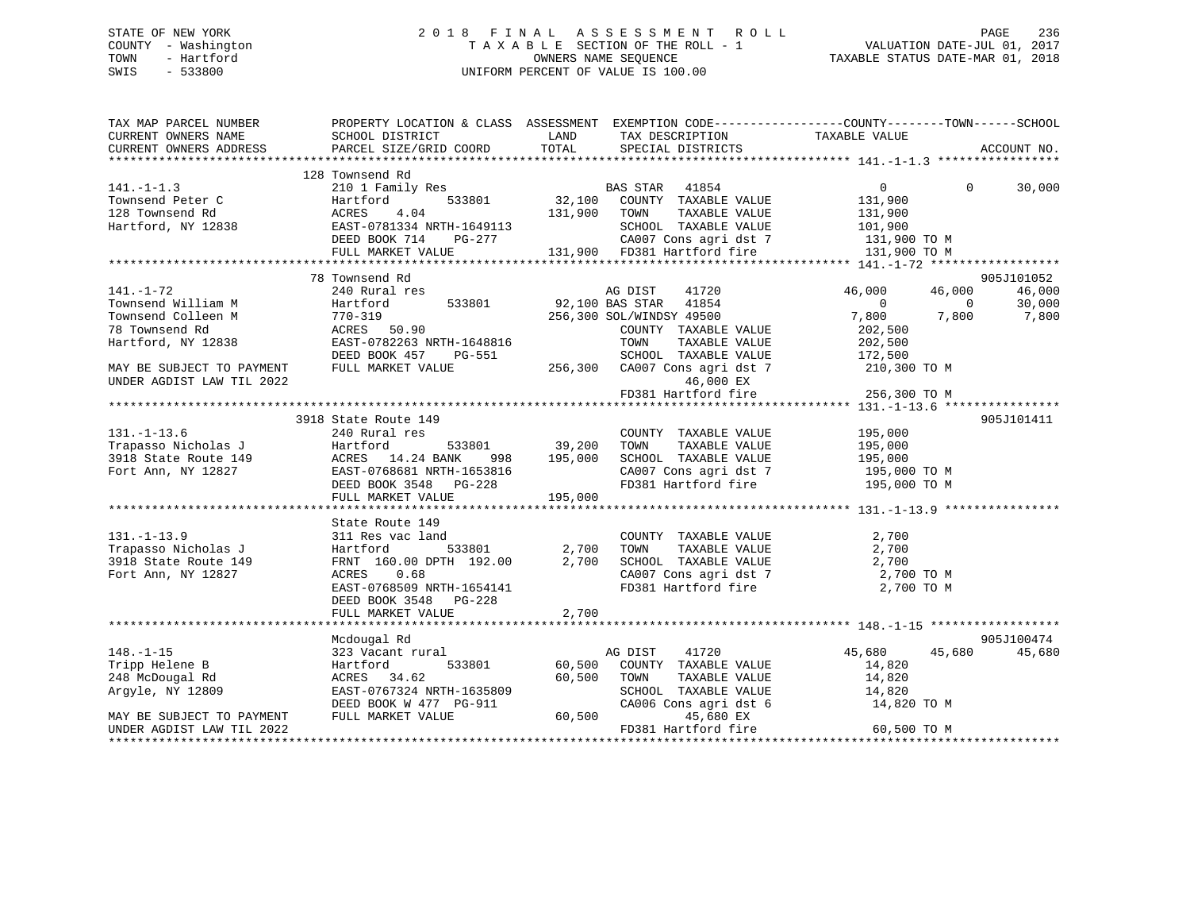#### STATE OF NEW YORK 2 0 1 8 F I N A L A S S E S S M E N T R O L L PAGE 236COUNTY - Washington  $\begin{array}{ccc}\n\text{T A X A B L E} & \text{SECTION OF THE ROLL - 1} \\
\text{T} & \text{M N N E S} & \text{SOLUTION OF THE ROLL - 1}\n\end{array}$ OWNERS NAME SEQUENCE TAXABLE STATUS DATE-MAR 01, 2018 SWIS - 533800 UNIFORM PERCENT OF VALUE IS 100.00

| TAX MAP PARCEL NUMBER                                                                       | PROPERTY LOCATION & CLASS ASSESSMENT EXEMPTION CODE---------------COUNTY-------TOWN-----SCHOOL |                              |                                                                                        |                                |          |                 |
|---------------------------------------------------------------------------------------------|------------------------------------------------------------------------------------------------|------------------------------|----------------------------------------------------------------------------------------|--------------------------------|----------|-----------------|
| CURRENT OWNERS NAME                                                                         | SCHOOL DISTRICT                                                                                | LAND                         | TAX DESCRIPTION                                                                        | TAXABLE VALUE                  |          |                 |
| CURRENT OWNERS ADDRESS                                                                      | PARCEL SIZE/GRID COORD                                                                         | TOTAL                        | SPECIAL DISTRICTS                                                                      |                                |          | ACCOUNT NO.     |
|                                                                                             |                                                                                                |                              |                                                                                        |                                |          |                 |
|                                                                                             | 128 Townsend Rd                                                                                |                              |                                                                                        |                                |          |                 |
| $141. - 1 - 1.3$                                                                            | 210 1 Family Res                                                                               |                              | BAS STAR 41854                                                                         | $\overline{0}$                 | $\Omega$ | 30,000          |
| Townsend Peter C                                                                            | 533801<br>Hartford                                                                             |                              | 32,100 COUNTY TAXABLE VALUE                                                            |                                |          |                 |
| 128 Townsend Rd                                                                             | ACRES<br>4.04                                                                                  | 131,900 TOWN                 | TAXABLE VALUE                                                                          | 131,900<br>131,900             |          |                 |
| Hartford, NY 12838                                                                          | EAST-0781334 NRTH-1649113                                                                      |                              | SCHOOL TAXABLE VALUE                                                                   |                                |          |                 |
|                                                                                             | DEED BOOK 714                                                                                  |                              |                                                                                        | $101,900$ TO M<br>131,900 TO M |          |                 |
|                                                                                             | FULL MARKET VALUE                                                                              |                              | 131,900 FD381 Hartford fire                                                            | 131,900 TO M                   |          |                 |
|                                                                                             |                                                                                                |                              |                                                                                        |                                |          |                 |
|                                                                                             | 78 Townsend Rd                                                                                 |                              |                                                                                        |                                |          | 905J101052      |
| $141. - 1 - 72$                                                                             | 240 Rural res                                                                                  |                              | AG DIST<br>41720                                                                       | 46,000                         | 46,000   | 46,000          |
| Townsend William M                                                                          | Hartford                                                                                       |                              | 533801 92,100 BAS STAR 41854                                                           | $\overline{0}$                 | $\sim$ 0 |                 |
| Townsend Colleen M                                                                          | 770-319                                                                                        |                              | 256,300 SOL/WINDSY 49500                                                               | 7,800 7,800                    |          | 30,000<br>7,800 |
| 78 Townsend Rd                                                                              | ACRES 50.90                                                                                    |                              | COUNTY TAXABLE VALUE                                                                   | 202,500                        |          |                 |
| Hartford, NY 12838                                                                          | EAST-0782263 NRTH-1648816                                                                      |                              | TAXABLE VALUE<br>TOWN                                                                  | 202,500                        |          |                 |
|                                                                                             | DEED BOOK 457<br>PG-551                                                                        |                              | SCHOOL TAXABLE VALUE                                                                   | 172,500                        |          |                 |
| MAY BE SUBJECT TO PAYMENT                                                                   | FULL MARKET VALUE                                                                              |                              |                                                                                        |                                |          |                 |
| UNDER AGDIST LAW TIL 2022                                                                   |                                                                                                |                              | 256,300 CA007 Cons agri dst 7 210,300 TO M<br>46,000 EX                                |                                |          |                 |
|                                                                                             |                                                                                                |                              |                                                                                        |                                |          |                 |
|                                                                                             |                                                                                                |                              | FD381 Hartford fire                                                                    | 256,300 TO M                   |          |                 |
|                                                                                             |                                                                                                |                              |                                                                                        |                                |          |                 |
|                                                                                             | 3918 State Route 149                                                                           |                              |                                                                                        | 195,000                        |          | 905J101411      |
| $131. - 1 - 13.6$                                                                           | 240 Rural res                                                                                  |                              | COUNTY TAXABLE VALUE                                                                   |                                |          |                 |
| Trapasso Nicholas J<br>$$\tt Hartford$$ 533<br>918 State Route 149 $$\tt ACRES$$ 14.24 BANK |                                                                                                | 533801 39,200<br>998 195,000 | TAXABLE VALUE<br>TOWN                                                                  | 195,000                        |          |                 |
|                                                                                             |                                                                                                |                              | SCHOOL TAXABLE VALUE                                                                   | 195,000                        |          |                 |
| Fort Ann, NY 12827                                                                          | RUNDU<br>EAST-0768681 NRTH-1653816<br>REED BOOK 2548 DG-228                                    |                              | CA007 Cons agri dst 7 195,000 TO M                                                     |                                |          |                 |
|                                                                                             | DEED BOOK 3548 PG-228                                                                          |                              | FD381 Hartford fire                                                                    | 195,000 TO M                   |          |                 |
|                                                                                             | FULL MARKET VALUE                                                                              | 195,000                      |                                                                                        |                                |          |                 |
|                                                                                             |                                                                                                |                              |                                                                                        |                                |          |                 |
|                                                                                             | State Route 149                                                                                |                              |                                                                                        |                                |          |                 |
| $131. - 1 - 13.9$                                                                           | 311 Res vac land                                                                               |                              | COUNTY TAXABLE VALUE                                                                   | 2,700                          |          |                 |
| Trapasso Nicholas J                                                                         | 533801<br>Hartford                                                                             | 2,700                        | TAXABLE VALUE<br>TOWN                                                                  | 2,700                          |          |                 |
| 3918 State Route 149                                                                        | FRNT 160.00 DPTH 192.00                                                                        | 2,700                        | SCHOOL TAXABLE VALUE<br>SCHOOL TAXABLE VALUE 2,700<br>CA007 Cons agri dst 7 2,700 TO M |                                |          |                 |
| Fort Ann, NY 12827                                                                          | 0.68<br>ACRES                                                                                  |                              |                                                                                        |                                |          |                 |
|                                                                                             | EAST-0768509 NRTH-1654141                                                                      |                              | FD381 Hartford fire                                                                    | 2,700 TO M                     |          |                 |
|                                                                                             | DEED BOOK 3548 PG-228                                                                          |                              |                                                                                        |                                |          |                 |
|                                                                                             | FULL MARKET VALUE                                                                              | 2,700                        |                                                                                        |                                |          |                 |
|                                                                                             |                                                                                                |                              |                                                                                        |                                |          |                 |
|                                                                                             | Mcdougal Rd                                                                                    |                              |                                                                                        |                                |          | 905J100474      |
| $148. - 1 - 15$                                                                             | 323 Vacant rural                                                                               |                              | AG DIST<br>41720                                                                       | 45,680                         | 45,680   | 45,680          |
| Tripp Helene B                                                                              | Hartford                                                                                       | 533801 60,500                | COUNTY TAXABLE VALUE                                                                   | 14,820                         |          |                 |
| 248 McDougal Rd                                                                             | ACRES 34.62                                                                                    | 60,500                       | TOWN<br>TAXABLE VALUE                                                                  | 14,820                         |          |                 |
| Argyle, NY 12809                                                                            | EAST-0767324 NRTH-1635809                                                                      |                              | SCHOOL TAXABLE VALUE                                                                   | 14,820                         |          |                 |
|                                                                                             | DEED BOOK W 477 PG-911                                                                         |                              | CA006 Cons agri dst 6                                                                  | 14,820 TO M                    |          |                 |
| MAY BE SUBJECT TO PAYMENT                                                                   | FULL MARKET VALUE                                                                              | 60,500                       | 45,680 EX                                                                              |                                |          |                 |
| UNDER AGDIST LAW TIL 2022                                                                   |                                                                                                |                              | FD381 Hartford fire                                                                    | 60,500 TO M                    |          |                 |
| **********************                                                                      |                                                                                                |                              |                                                                                        |                                |          |                 |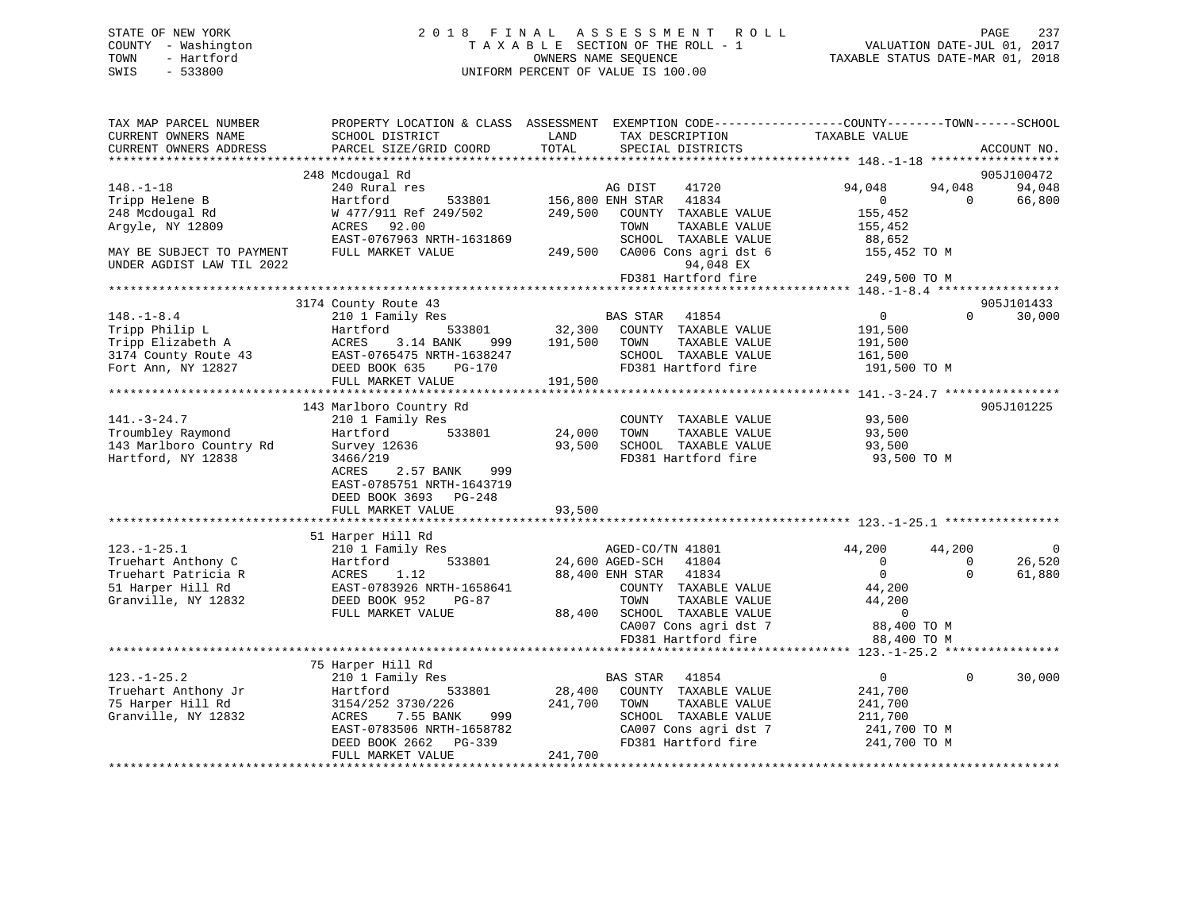# STATE OF NEW YORK 2 0 1 8 F I N A L A S S E S S M E N T R O L L PAGE 237 COUNTY - Washington T A X A B L E SECTION OF THE ROLL - 1 VALUATION DATE-JUL 01, 2017 TOWN - Hartford **TAXABLE STATUS DATE-MAR 01, 2018** OWNERS NAME SEQUENCE TAXABLE STATUS DATE-MAR 01, 2018 SWIS - 533800 UNIFORM PERCENT OF VALUE IS 100.00

| TAX MAP PARCEL NUMBER<br>CURRENT OWNERS NAME<br>CURRENT OWNERS ADDRESS | SCHOOL DISTRICT<br>PARCEL SIZE/GRID COORD                          | PROPERTY LOCATION & CLASS ASSESSMENT EXEMPTION CODE----------------COUNTY-------TOWN------SCHOOL<br>LAND<br>TAX DESCRIPTION<br>TOTAL<br>SPECIAL DISTRICTS | TAXABLE VALUE            | ACCOUNT NO.                            |
|------------------------------------------------------------------------|--------------------------------------------------------------------|-----------------------------------------------------------------------------------------------------------------------------------------------------------|--------------------------|----------------------------------------|
|                                                                        |                                                                    |                                                                                                                                                           |                          |                                        |
|                                                                        | 248 Mcdougal Rd                                                    |                                                                                                                                                           |                          | 905J100472                             |
| $148. - 1 - 18$<br>Tripp Helene B                                      | 240 Rural res<br>Hartford<br>533801                                | 41720<br>AG DIST<br>156,800 ENH STAR<br>41834                                                                                                             | 94,048<br>$\overline{0}$ | 94,048<br>94,048<br>66,800<br>$\Omega$ |
| 248 Mcdougal Rd                                                        | W 477/911 Ref 249/502                                              | 249,500<br>COUNTY TAXABLE VALUE                                                                                                                           | 155,452                  |                                        |
| Argyle, NY 12809                                                       | ACRES 92.00                                                        | TOWN                                                                                                                                                      | TAXABLE VALUE<br>155,452 |                                        |
|                                                                        | EAST-0767963 NRTH-1631869                                          | SCHOOL TAXABLE VALUE                                                                                                                                      | 88,652                   |                                        |
| MAY BE SUBJECT TO PAYMENT                                              | FULL MARKET VALUE                                                  | CA006 Cons agri dst 6<br>249,500                                                                                                                          | 155,452 TO M             |                                        |
| UNDER AGDIST LAW TIL 2022                                              |                                                                    | 94,048 EX                                                                                                                                                 |                          |                                        |
|                                                                        |                                                                    | FD381 Hartford fire                                                                                                                                       | 249,500 TO M             |                                        |
|                                                                        |                                                                    |                                                                                                                                                           |                          |                                        |
| $148. - 1 - 8.4$                                                       | 3174 County Route 43<br>210 1 Family Res                           | BAS STAR<br>41854                                                                                                                                         | $\Omega$                 | 905J101433<br>$\Omega$<br>30,000       |
| Tripp Philip L                                                         | 533801<br>Hartford                                                 | 32,300<br>COUNTY TAXABLE VALUE                                                                                                                            | 191,500                  |                                        |
| Tripp Elizabeth A                                                      | ACRES<br>3.14 BANK<br>999                                          | 191,500<br>TOWN                                                                                                                                           | TAXABLE VALUE<br>191,500 |                                        |
| 3174 County Route 43                                                   | EAST-0765475 NRTH-1638247                                          | SCHOOL TAXABLE VALUE                                                                                                                                      | 161,500                  |                                        |
| Fort Ann, NY 12827                                                     | DEED BOOK 635<br>$PG-170$                                          | FD381 Hartford fire                                                                                                                                       | 191,500 TO M             |                                        |
|                                                                        | FULL MARKET VALUE                                                  | 191,500                                                                                                                                                   |                          |                                        |
|                                                                        |                                                                    |                                                                                                                                                           |                          |                                        |
|                                                                        | 143 Marlboro Country Rd                                            |                                                                                                                                                           |                          | 905J101225                             |
| $141. - 3 - 24.7$                                                      | 210 1 Family Res                                                   | COUNTY TAXABLE VALUE                                                                                                                                      | 93,500                   |                                        |
| Troumbley Raymond                                                      | 533801<br>Hartford                                                 | 24,000<br>TOWN                                                                                                                                            | TAXABLE VALUE<br>93,500  |                                        |
| 143 Marlboro Country Rd                                                | Survey 12636                                                       | 93,500<br>SCHOOL TAXABLE VALUE                                                                                                                            | 93,500                   |                                        |
| Hartford, NY 12838                                                     | 3466/219<br>2.57 BANK<br>ACRES<br>999<br>EAST-0785751 NRTH-1643719 | FD381 Hartford fire                                                                                                                                       | 93,500 TO M              |                                        |
|                                                                        | DEED BOOK 3693 PG-248                                              |                                                                                                                                                           |                          |                                        |
|                                                                        | FULL MARKET VALUE                                                  | 93,500                                                                                                                                                    |                          |                                        |
|                                                                        | 51 Harper Hill Rd                                                  |                                                                                                                                                           |                          |                                        |
| $123. - 1 - 25.1$                                                      | 210 1 Family Res                                                   | AGED-CO/TN 41801                                                                                                                                          | 44,200                   | 44,200<br>0                            |
| Truehart Anthony C                                                     | 533801<br>Hartford                                                 | 24,600 AGED-SCH<br>41804                                                                                                                                  | $\overline{0}$           | 26,520<br>$\mathbf 0$                  |
| Truehart Patricia R                                                    | 1.12<br>ACRES                                                      | 88,400 ENH STAR<br>41834                                                                                                                                  | $\overline{0}$           | $\Omega$<br>61,880                     |
| 51 Harper Hill Rd                                                      | EAST-0783926 NRTH-1658641                                          | COUNTY TAXABLE VALUE                                                                                                                                      | 44,200                   |                                        |
| Granville, NY 12832                                                    | DEED BOOK 952<br>PG-87                                             | TOWN                                                                                                                                                      | TAXABLE VALUE<br>44,200  |                                        |
|                                                                        | FULL MARKET VALUE                                                  | 88,400<br>SCHOOL TAXABLE VALUE                                                                                                                            | $\Omega$                 |                                        |
|                                                                        |                                                                    | CA007 Cons agri dst 7                                                                                                                                     | 88,400 TO M              |                                        |
|                                                                        |                                                                    | FD381 Hartford fire                                                                                                                                       | 88,400 TO M              |                                        |
|                                                                        |                                                                    |                                                                                                                                                           |                          |                                        |
|                                                                        | 75 Harper Hill Rd                                                  |                                                                                                                                                           |                          |                                        |
| $123. - 1 - 25.2$                                                      | 210 1 Family Res                                                   | BAS STAR<br>41854                                                                                                                                         | $\overline{0}$           | 30,000<br>$\Omega$                     |
| Truehart Anthony Jr<br>75 Harper Hill Rd                               | Hartford<br>533801<br>3154/252 3730/226                            | 28,400<br>COUNTY TAXABLE VALUE<br>241,700<br>TOWN                                                                                                         | 241,700<br>TAXABLE VALUE |                                        |
| Granville, NY 12832                                                    | 7.55 BANK<br>999<br>ACRES                                          | SCHOOL TAXABLE VALUE                                                                                                                                      | 241,700<br>211,700       |                                        |
|                                                                        | EAST-0783506 NRTH-1658782                                          | CA007 Cons agri dst 7                                                                                                                                     | 241,700 TO M             |                                        |
|                                                                        | DEED BOOK 2662<br>$PG-339$                                         | FD381 Hartford fire                                                                                                                                       | 241,700 TO M             |                                        |
|                                                                        | FULL MARKET VALUE                                                  | 241,700                                                                                                                                                   |                          |                                        |
|                                                                        |                                                                    |                                                                                                                                                           |                          |                                        |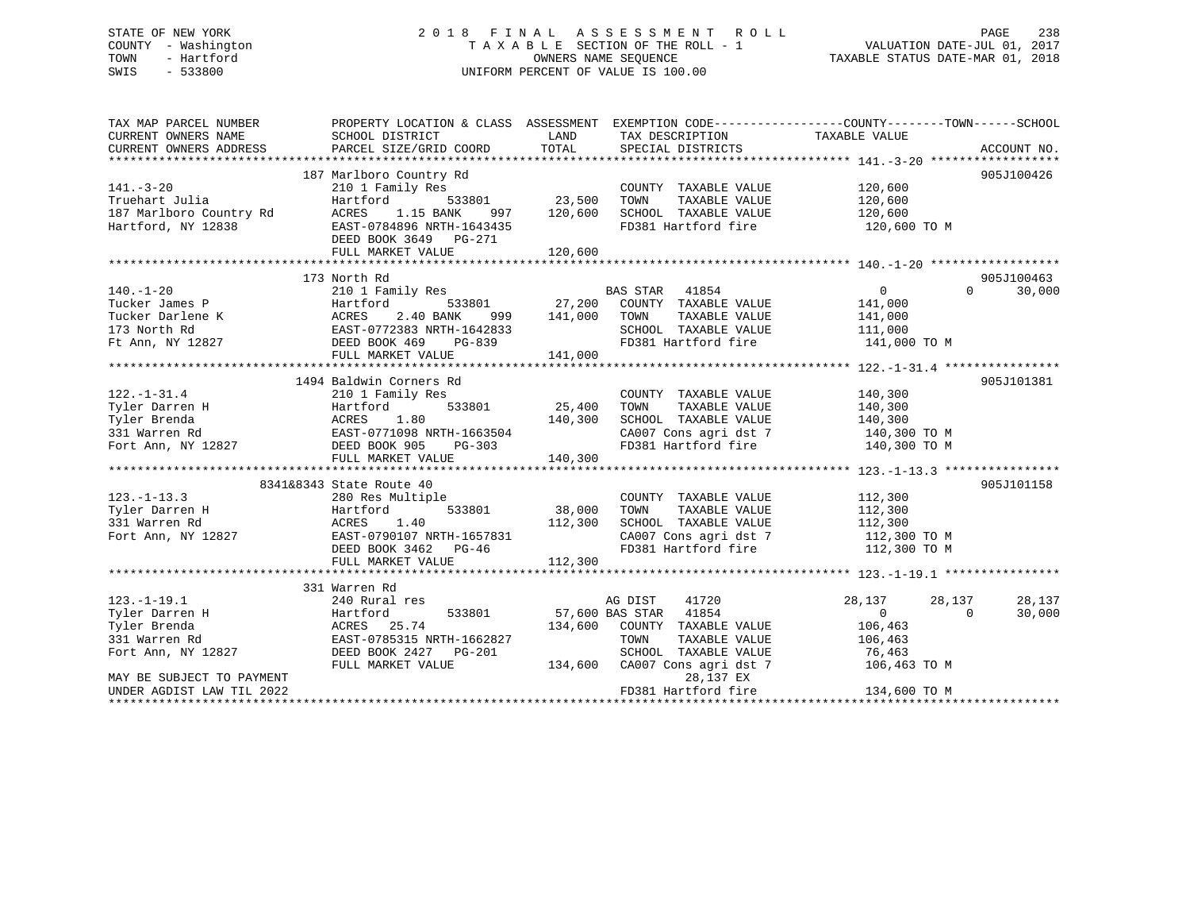# STATE OF NEW YORK 2 0 1 8 F I N A L A S S E S S M E N T R O L L PAGE 238 COUNTY - Washington T A X A B L E SECTION OF THE ROLL - 1 VALUATION DATE-JUL 01, 2017 TOWN - Hartford **TAXABLE STATUS DATE-MAR 01, 2018** OWNERS NAME SEQUENCE TAXABLE STATUS DATE-MAR 01, 2018 SWIS - 533800 UNIFORM PERCENT OF VALUE IS 100.00

| TAX MAP PARCEL NUMBER<br>CURRENT OWNERS NAME | PROPERTY LOCATION & CLASS ASSESSMENT EXEMPTION CODE---------------COUNTY-------TOWN-----SCHOOL<br>SCHOOL DISTRICT | LAND                     | TAX DESCRIPTION                    | TAXABLE VALUE           |                    |
|----------------------------------------------|-------------------------------------------------------------------------------------------------------------------|--------------------------|------------------------------------|-------------------------|--------------------|
| CURRENT OWNERS ADDRESS                       | PARCEL SIZE/GRID COORD                                                                                            | TOTAL                    | SPECIAL DISTRICTS                  |                         | ACCOUNT NO.        |
|                                              |                                                                                                                   |                          |                                    |                         |                    |
|                                              | 187 Marlboro Country Rd                                                                                           |                          |                                    |                         | 905J100426         |
| $141. - 3 - 20$                              | 210 1 Family Res                                                                                                  |                          | COUNTY TAXABLE VALUE               | 120,600                 |                    |
| Truehart Julia                               | Hartford                                                                                                          | 533801 23,500            | TAXABLE VALUE<br>TOWN              | 120,600                 |                    |
| 187 Marlboro Country Rd                      | 1.15 BANK<br>997<br>ACRES                                                                                         | 120,600                  | SCHOOL TAXABLE VALUE               | 120,600                 |                    |
| Hartford, NY 12838                           | EAST-0784896 NRTH-1643435                                                                                         |                          | FD381 Hartford fire 120,600 TO M   |                         |                    |
|                                              | DEED BOOK 3649 PG-271                                                                                             |                          |                                    |                         |                    |
|                                              | FULL MARKET VALUE                                                                                                 | 120,600                  |                                    |                         |                    |
|                                              |                                                                                                                   |                          |                                    |                         |                    |
|                                              | 173 North Rd                                                                                                      |                          |                                    |                         | 905J100463         |
| $140. - 1 - 20$                              | 210 1 Family Res                                                                                                  |                          | <b>BAS STAR</b><br>41854           | $\overline{0}$          | $\Omega$<br>30,000 |
| Tucker James P                               |                                                                                                                   |                          | 533801 27,200 COUNTY TAXABLE VALUE | 141,000                 |                    |
| Tucker Darlene K                             |                                                                                                                   | 141,000                  | TOWN<br>TAXABLE VALUE              | 141,000                 |                    |
| 173 North Rd                                 |                                                                                                                   |                          | SCHOOL TAXABLE VALUE               |                         |                    |
| Ft Ann, NY 12827                             |                                                                                                                   |                          | FD381 Hartford fire                | 111,000<br>141,000 TO M |                    |
|                                              |                                                                                                                   | 141,000                  |                                    |                         |                    |
|                                              |                                                                                                                   |                          |                                    |                         |                    |
|                                              | 1494 Baldwin Corners Rd                                                                                           |                          |                                    |                         | 905J101381         |
| $122. - 1 - 31.4$                            | 210 1 Family Res                                                                                                  |                          | COUNTY TAXABLE VALUE               | 140,300                 |                    |
| Tyler Darren H                               |                                                                                                                   |                          | TAXABLE VALUE<br>TOWN              | 140,300                 |                    |
| Tyler Brenda                                 |                                                                                                                   | 533801 25,400<br>140,300 | SCHOOL TAXABLE VALUE               |                         |                    |
|                                              |                                                                                                                   |                          |                                    | 140,300                 |                    |
| 331 Warren Rd                                |                                                                                                                   |                          | CA007 Cons agri dst 7 140,300 TO M |                         |                    |
| Fort Ann, NY 12827                           |                                                                                                                   |                          | FD381 Hartford fire                | 140,300 TO M            |                    |
|                                              | Harttoru<br>ACRES 1.80<br>EAST-0771098 NRTH-1663504<br>DEED BOOK 905 PG-303<br>THE MARKET VALUE                   | 140,300                  |                                    |                         |                    |
|                                              |                                                                                                                   |                          |                                    |                         |                    |
|                                              | 8341&8343 State Route 40                                                                                          |                          |                                    |                         | 905J101158         |
| $123. - 1 - 13.3$                            | 280 Res Multiple                                                                                                  |                          | COUNTY TAXABLE VALUE               | 112,300                 |                    |
| Tyler Darren H                               | 533801<br>Hartford                                                                                                | 38,000                   | TOWN<br>TAXABLE VALUE              | 112,300                 |                    |
| 331 Warren Rd                                | 1.40<br>ACRES                                                                                                     | 112,300                  | SCHOOL TAXABLE VALUE               | 112,300                 |                    |
| Fort Ann, NY 12827                           | EAST-0790107 NRTH-1657831                                                                                         |                          | CA007 Cons agri dst 7 112,300 TO M |                         |                    |
|                                              | DEED BOOK 3462 PG-46                                                                                              |                          | FD381 Hartford fire                | 112,300 TO M            |                    |
|                                              | FULL MARKET VALUE                                                                                                 | 112,300                  |                                    |                         |                    |
|                                              |                                                                                                                   |                          |                                    |                         |                    |
|                                              | 331 Warren Rd                                                                                                     |                          |                                    |                         |                    |
| $123. - 1 - 19.1$                            | 240 Rural res                                                                                                     |                          | AG DIST<br>41720                   | 28,137<br>28,137        | 28,137             |
| Tyler Darren H                               | 533801<br>Hartford                                                                                                |                          | 57,600 BAS STAR 41854              | $\overline{0}$          | 30,000<br>$\Omega$ |
| Tyler Brenda                                 | 25.74<br>ACRES                                                                                                    |                          | 134,600 COUNTY TAXABLE VALUE       | 106,463                 |                    |
| 331 Warren Rd                                | EAST-0785315 NRTH-1662827                                                                                         |                          | TOWN<br>TAXABLE VALUE              | 106,463                 |                    |
| Fort Ann, NY 12827                           | DEED BOOK 2427    PG-201                                                                                          |                          | SCHOOL TAXABLE VALUE               | 76,463                  |                    |
|                                              | FULL MARKET VALUE                                                                                                 |                          | 134,600 CA007 Cons agri dst 7      | 106,463 TO M            |                    |
| MAY BE SUBJECT TO PAYMENT                    |                                                                                                                   |                          | 28,137 EX                          |                         |                    |
| UNDER AGDIST LAW TIL 2022                    |                                                                                                                   |                          | FD381 Hartford fire                | 134,600 TO M            |                    |
|                                              |                                                                                                                   |                          |                                    |                         |                    |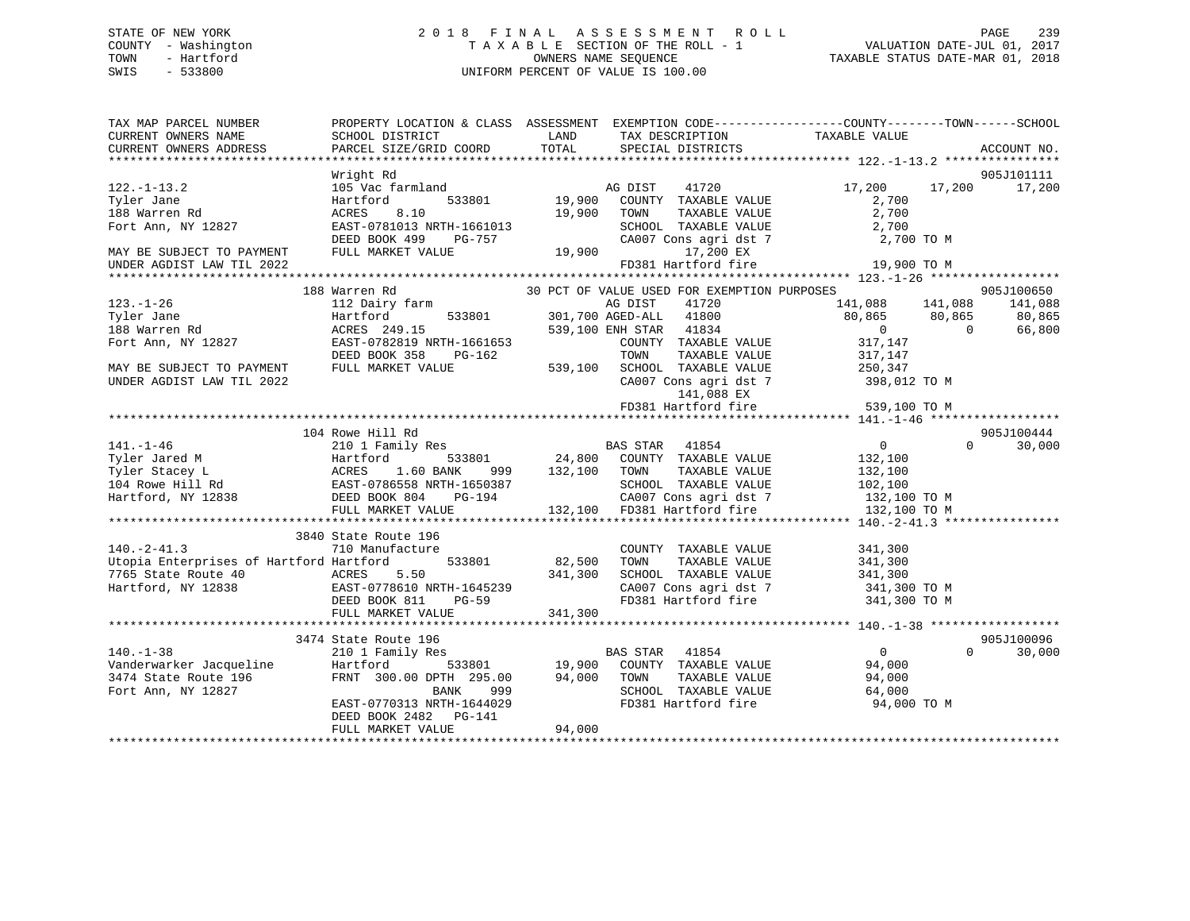# STATE OF NEW YORK 2 0 1 8 F I N A L A S S E S S M E N T R O L L PAGE 239 COUNTY - Washington T A X A B L E SECTION OF THE ROLL - 1 VALUATION DATE-JUL 01, 2017 TOWN - Hartford **TAXABLE STATUS DATE-MAR 01, 2018** OWNERS NAME SEQUENCE TAXABLE STATUS DATE-MAR 01, 2018 SWIS - 533800 UNIFORM PERCENT OF VALUE IS 100.00

| TAX MAP PARCEL NUMBER<br>CURRENT OWNERS NAME                                                                                                                                                                                 | PROPERTY LOCATION & CLASS ASSESSMENT EXEMPTION CODE---------------COUNTY-------TOWN------SCHOOL<br>SCHOOL DISTRICT                                                                                                                                  |                  | LAND TAX DESCRIPTION                                                                                                                                                                                           | TAXABLE VALUE                                                                                                                |                             |
|------------------------------------------------------------------------------------------------------------------------------------------------------------------------------------------------------------------------------|-----------------------------------------------------------------------------------------------------------------------------------------------------------------------------------------------------------------------------------------------------|------------------|----------------------------------------------------------------------------------------------------------------------------------------------------------------------------------------------------------------|------------------------------------------------------------------------------------------------------------------------------|-----------------------------|
| CURRENT OWNERS ADDRESS                                                                                                                                                                                                       | PARCEL SIZE/GRID COORD                                                                                                                                                                                                                              | TOTAL            | SPECIAL DISTRICTS                                                                                                                                                                                              |                                                                                                                              | ACCOUNT NO.                 |
|                                                                                                                                                                                                                              | Wright Rd                                                                                                                                                                                                                                           |                  |                                                                                                                                                                                                                |                                                                                                                              | 905J101111                  |
| $122. - 1 - 13.2$<br>Tyler Jane<br>188 Warren Rd                                                                                                                                                                             | 105 Vac farmland<br>105 Vac farmland<br>19,900 COUNTY TAXABLE VALUE<br>8.10<br>ACRES                                                                                                                                                                |                  | 19,900 TOWN<br>TAXABLE VALUE                                                                                                                                                                                   | 17,200 17,200<br>2,700<br>2,700                                                                                              | 17,200                      |
| Fort Ann, NY 12827                                                                                                                                                                                                           | EAST-0781013 NRTH-1661013<br>DEED BOOK 499                                                                                                                                                                                                          |                  | NRTH-1661013 SCHOOL TAXABLE VALUE 2,700<br>PG-757 CA007 Cons agri dst 7 2,700<br>ALUE 19,900 17,200 EX                                                                                                         | 2,700 TO M                                                                                                                   |                             |
| MAY BE SUBJECT TO PAYMENT<br>UNDER AGDIST LAW TIL 2022                                                                                                                                                                       | FULL MARKET VALUE                                                                                                                                                                                                                                   |                  | FD381 Hartford fire                                                                                                                                                                                            | 19,900 TO M                                                                                                                  |                             |
|                                                                                                                                                                                                                              |                                                                                                                                                                                                                                                     |                  |                                                                                                                                                                                                                |                                                                                                                              |                             |
|                                                                                                                                                                                                                              | 188 Warren Rd                                                                                                                                                                                                                                       |                  |                                                                                                                                                                                                                |                                                                                                                              | 905J100650                  |
| $123. - 1 - 26$<br>Tyler Jane                                                                                                                                                                                                | 112 Dairy farm<br>Hartford                                                                                                                                                                                                                          |                  | AG DIST 41720<br>533801 301,700 AGED-ALL 41800                                                                                                                                                                 | 30 PCT OF VALUE USED FOR EXEMPTION PURPOSES<br>30 PCT OF VALUE USED FOR EXEMPTION PURPOSES<br>30 141,088<br>365              | 141,088                     |
| 188 Warren Rd<br>Fort Ann, NY 12827                                                                                                                                                                                          | ACRES 249.15<br>EAST-0782819 NRTH-1661653<br>DEED BOOK 358 PG-162                                                                                                                                                                                   |                  | 539,100 ENH STAR 41834<br>COUNTY TAXABLE VALUE                                                                                                                                                                 | 317,147<br>317,147                                                                                                           | 66,800                      |
| MAY BE SUBJECT TO PAYMENT<br>UNDER AGDIST LAW TIL 2022                                                                                                                                                                       | FULL MARKET VALUE                                                                                                                                                                                                                                   |                  | TOWN<br>TAXABLE VALUE                                                                                                                                                                                          |                                                                                                                              |                             |
|                                                                                                                                                                                                                              |                                                                                                                                                                                                                                                     |                  |                                                                                                                                                                                                                | 539,100 SCHOOL TAXABLE VALUE 250,347<br>CA007 Cons agri dst 7 398,012 TO M<br>141,088 EX<br>FD381 Hartford fire 539,100 TO M |                             |
|                                                                                                                                                                                                                              |                                                                                                                                                                                                                                                     |                  |                                                                                                                                                                                                                |                                                                                                                              |                             |
|                                                                                                                                                                                                                              | 104 Rowe Hill Rd                                                                                                                                                                                                                                    |                  |                                                                                                                                                                                                                |                                                                                                                              | 905J100444                  |
| $141. - 1 - 46$<br>141.-1-46 210 1 Family Res<br>Tyler Jared M Hartford 533801 24,800<br>Tyler Stacey L ACRES 1.60 BANK 999 132,100<br>104 Rowe Hill Rd EAST-0786558 NRTH-1650387<br>Hartford, NY 12838 DEED BOOK 804 PG-194 | 210 1 Family Res                                                                                                                                                                                                                                    |                  |                                                                                                                                                                                                                | $\overline{0}$                                                                                                               | $0 \qquad \qquad$<br>30,000 |
|                                                                                                                                                                                                                              |                                                                                                                                                                                                                                                     | 999 132,100 TOWN |                                                                                                                                                                                                                | 132,100<br>TAXABLE VALUE 132,100                                                                                             |                             |
|                                                                                                                                                                                                                              |                                                                                                                                                                                                                                                     |                  |                                                                                                                                                                                                                |                                                                                                                              |                             |
|                                                                                                                                                                                                                              |                                                                                                                                                                                                                                                     |                  |                                                                                                                                                                                                                | SCHOOL TAXABLE VALUE 102,100<br>CA007 Cons agri dst 7 132,100 TO M                                                           |                             |
|                                                                                                                                                                                                                              | FULL MARKET VALUE 132,100 FD381 Hartford fire                                                                                                                                                                                                       |                  |                                                                                                                                                                                                                | 132,100 TO M                                                                                                                 |                             |
|                                                                                                                                                                                                                              |                                                                                                                                                                                                                                                     |                  |                                                                                                                                                                                                                |                                                                                                                              |                             |
|                                                                                                                                                                                                                              | 3840 State Route 196                                                                                                                                                                                                                                |                  |                                                                                                                                                                                                                |                                                                                                                              |                             |
| $140. -2 - 41.3$                                                                                                                                                                                                             | 710 Manufacture                                                                                                                                                                                                                                     |                  | COUNTY TAXABLE VALUE                                                                                                                                                                                           | 341,300                                                                                                                      |                             |
| Utopia Enterprises of Hartford Hartford                                                                                                                                                                                      | $533801$ 82,500                                                                                                                                                                                                                                     |                  | TAXABLE VALUE<br>TOWN                                                                                                                                                                                          | 341,300                                                                                                                      |                             |
| 7765 State Route 40                                                                                                                                                                                                          |                                                                                                                                                                                                                                                     |                  | SCHOOL TAXABLE VALUE                                                                                                                                                                                           | 341,300                                                                                                                      |                             |
| Hartford, NY 12838                                                                                                                                                                                                           |                                                                                                                                                                                                                                                     |                  |                                                                                                                                                                                                                | CA007 Cons agri dst 7 341,300 TO M                                                                                           |                             |
|                                                                                                                                                                                                                              | ACRES 5.50 341,300<br>EAST-0778610 NRTH-1645239<br>DEED BOOK 811 PG-59<br>FULL MARKET VALUE                                                                                                                                                         | 341,300          | FD381 Hartford fire                                                                                                                                                                                            | 341,300 TO M                                                                                                                 |                             |
|                                                                                                                                                                                                                              |                                                                                                                                                                                                                                                     |                  |                                                                                                                                                                                                                |                                                                                                                              |                             |
|                                                                                                                                                                                                                              | 3474 State Route 196                                                                                                                                                                                                                                |                  |                                                                                                                                                                                                                |                                                                                                                              | 905J100096                  |
| $140. - 1 - 38$                                                                                                                                                                                                              | 210 1 Family Res                                                                                                                                                                                                                                    |                  | $\begin{tabular}{lllllllllll} \texttt{s} & \texttt{BAS STAR} & \texttt{41854} & \texttt{0} \\ \texttt{533801} & \texttt{19,900} & \texttt{COUNTY} & \texttt{TAXABLE VALUE} & \texttt{94,000} \\ \end{tabular}$ |                                                                                                                              | $\Omega$<br>30,000          |
| Vanderwarker Jacqueline Hartford                                                                                                                                                                                             |                                                                                                                                                                                                                                                     |                  |                                                                                                                                                                                                                |                                                                                                                              |                             |
| 3474 State Route 196<br>Fort Ann, NY 12827                                                                                                                                                                                   |                                                                                                                                                                                                                                                     |                  | TAXABLE VALUE                                                                                                                                                                                                  | 94,000                                                                                                                       |                             |
|                                                                                                                                                                                                                              |                                                                                                                                                                                                                                                     |                  | SCHOOL TAXABLE VALUE                                                                                                                                                                                           | 64,000                                                                                                                       |                             |
|                                                                                                                                                                                                                              | $\begin{tabular}{lcccc} \textsc{FRNT} & 300.00 \textsc{DPTH} & 295.00 & 94,000 & \textsc{TOWN} \\ & \textsc{BANK} & 999 & \textsc{SCHOO} \\ \textsc{EAST} -0770313 \textsc{NRTH} - 1644029 & \textsc{FD381} \end{tabular}$<br>DEED BOOK 2482 PG-141 | 94,000           | FD381 Hartford fire                                                                                                                                                                                            | 94,000 TO M                                                                                                                  |                             |
|                                                                                                                                                                                                                              | FULL MARKET VALUE                                                                                                                                                                                                                                   |                  |                                                                                                                                                                                                                |                                                                                                                              |                             |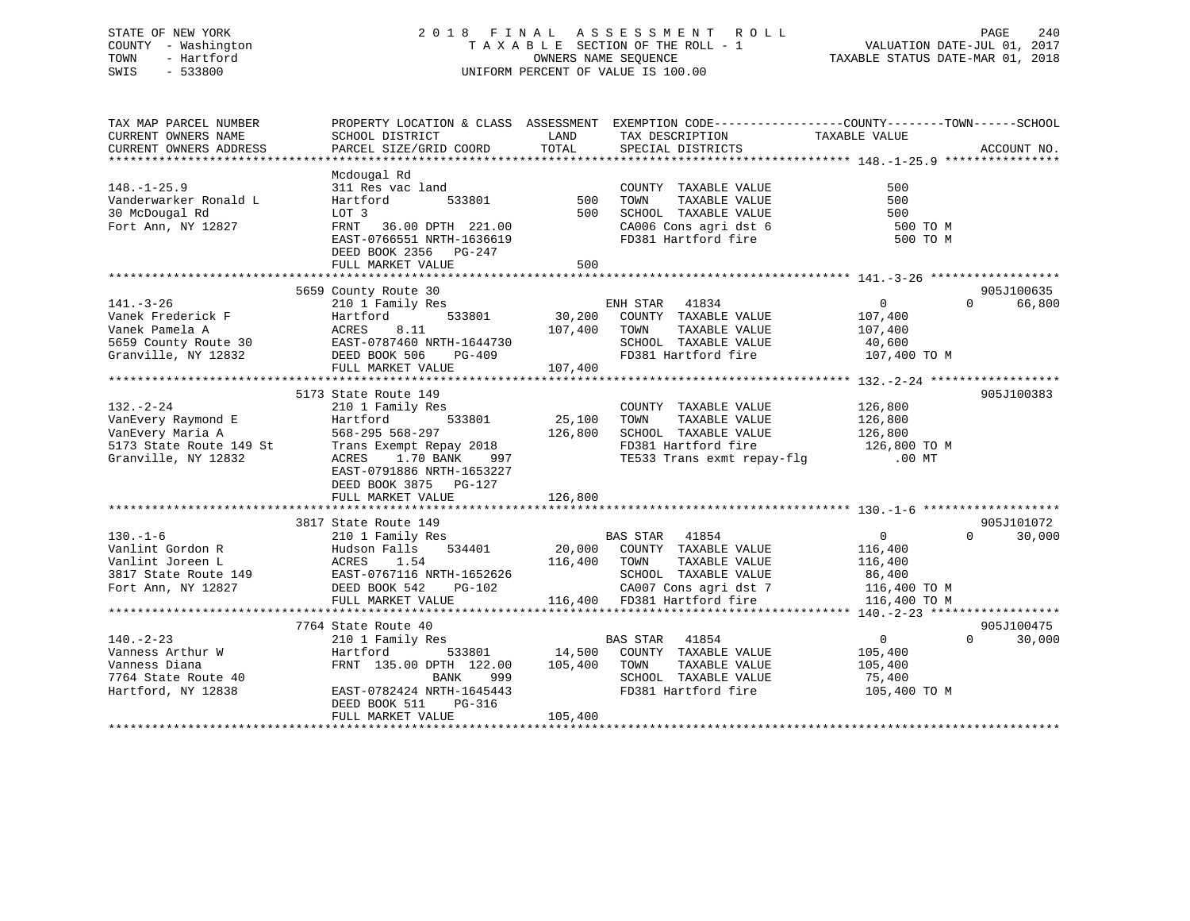# STATE OF NEW YORK 2 0 1 8 F I N A L A S S E S S M E N T R O L L PAGE 240 COUNTY - Washington T A X A B L E SECTION OF THE ROLL - 1 VALUATION DATE-JUL 01, 2017 TOWN - Hartford **TAXABLE STATUS DATE-MAR 01, 2018** OWNERS NAME SEQUENCE TAXABLE STATUS DATE-MAR 01, 2018 SWIS - 533800 UNIFORM PERCENT OF VALUE IS 100.00

| SCHOOL DISTRICT                                                                                                                              | LAND<br>TOTAL                                                                                                                                       | TAX DESCRIPTION                                                                                                                                                                                                                                                                                                                                                                                                                    |                                                                                                                                                                                                                                                                                       | ACCOUNT NO.                                                                                                                                                                                                                                                                                                                                                                                                                                                                                                                                            |
|----------------------------------------------------------------------------------------------------------------------------------------------|-----------------------------------------------------------------------------------------------------------------------------------------------------|------------------------------------------------------------------------------------------------------------------------------------------------------------------------------------------------------------------------------------------------------------------------------------------------------------------------------------------------------------------------------------------------------------------------------------|---------------------------------------------------------------------------------------------------------------------------------------------------------------------------------------------------------------------------------------------------------------------------------------|--------------------------------------------------------------------------------------------------------------------------------------------------------------------------------------------------------------------------------------------------------------------------------------------------------------------------------------------------------------------------------------------------------------------------------------------------------------------------------------------------------------------------------------------------------|
|                                                                                                                                              |                                                                                                                                                     |                                                                                                                                                                                                                                                                                                                                                                                                                                    |                                                                                                                                                                                                                                                                                       |                                                                                                                                                                                                                                                                                                                                                                                                                                                                                                                                                        |
| Mcdougal Rd<br>Hartford<br>LOT 3<br>FRNT 36.00 DPTH 221.00<br>DEED BOOK 2356 PG-247<br>FULL MARKET VALUE                                     | 500                                                                                                                                                 | COUNTY TAXABLE VALUE<br>TAXABLE VALUE<br>TOWN                                                                                                                                                                                                                                                                                                                                                                                      | 500<br>500<br>500<br>500 TO M<br>500 TO M                                                                                                                                                                                                                                             |                                                                                                                                                                                                                                                                                                                                                                                                                                                                                                                                                        |
|                                                                                                                                              |                                                                                                                                                     |                                                                                                                                                                                                                                                                                                                                                                                                                                    |                                                                                                                                                                                                                                                                                       | 905J100635                                                                                                                                                                                                                                                                                                                                                                                                                                                                                                                                             |
| 210 1 Family Res<br>141.-3-26<br>Vanek Frederick F<br>Hartford<br>ACRES 8.11<br>DEED BOOK 506<br>PG-409<br>FULL MARKET VALUE                 |                                                                                                                                                     | TAXABLE VALUE                                                                                                                                                                                                                                                                                                                                                                                                                      | 107,400<br>107,400                                                                                                                                                                                                                                                                    | $\Omega$<br>66,800                                                                                                                                                                                                                                                                                                                                                                                                                                                                                                                                     |
|                                                                                                                                              |                                                                                                                                                     |                                                                                                                                                                                                                                                                                                                                                                                                                                    |                                                                                                                                                                                                                                                                                       | 905J100383                                                                                                                                                                                                                                                                                                                                                                                                                                                                                                                                             |
| 210 1 Family Res<br>533801<br>Hartford<br>1.70 BANK<br>ACRES<br>EAST-0791886 NRTH-1653227<br>DEED BOOK 3875 PG-127<br>FULL MARKET VALUE      | 126,800                                                                                                                                             | COUNTY TAXABLE VALUE<br>TAXABLE VALUE<br>TOWN                                                                                                                                                                                                                                                                                                                                                                                      | 126,800<br>126,800                                                                                                                                                                                                                                                                    |                                                                                                                                                                                                                                                                                                                                                                                                                                                                                                                                                        |
|                                                                                                                                              |                                                                                                                                                     |                                                                                                                                                                                                                                                                                                                                                                                                                                    |                                                                                                                                                                                                                                                                                       |                                                                                                                                                                                                                                                                                                                                                                                                                                                                                                                                                        |
| DEED BOOK 542<br>FULL MARKET VALUE                                                                                                           |                                                                                                                                                     | TAXABLE VALUE                                                                                                                                                                                                                                                                                                                                                                                                                      | $\overline{0}$<br>116,400<br>116,400                                                                                                                                                                                                                                                  | 905J101072<br>$\Omega$<br>30,000                                                                                                                                                                                                                                                                                                                                                                                                                                                                                                                       |
|                                                                                                                                              |                                                                                                                                                     |                                                                                                                                                                                                                                                                                                                                                                                                                                    |                                                                                                                                                                                                                                                                                       | 905J100475                                                                                                                                                                                                                                                                                                                                                                                                                                                                                                                                             |
| 210 1 Family Res<br>Hartford<br>FRNT 135.00 DPTH 122.00<br>BANK<br>EAST-0782424 NRTH-1645443<br>DEED BOOK 511<br>PG-316<br>FULL MARKET VALUE | 105,400                                                                                                                                             | TAXABLE VALUE<br>SCHOOL TAXABLE VALUE<br>FD381 Hartford fire                                                                                                                                                                                                                                                                                                                                                                       | $\overline{0}$<br>105,400<br>75,400<br>105,400 TO M                                                                                                                                                                                                                                   | $\Omega$<br>30,000                                                                                                                                                                                                                                                                                                                                                                                                                                                                                                                                     |
|                                                                                                                                              | PARCEL SIZE/GRID COORD<br>5659 County Route 30<br>5173 State Route 149<br>3817 State Route 149<br>$210 \text{ 1 Family Res}$<br>7764 State Route 40 | 311 Res vac land<br>533801<br>EAST-0766551 NRTH-1636619<br>5659 County Route 30 EAST-0787460 NRTH-1644730<br>Trans Exempt Repay 2018<br>997<br>130.-1-0<br>Vanlint Gordon R<br>Vanlint Joreen L<br>3817 State Route 149<br>20,000<br>20,000<br>20,000<br>20,000<br>20,000<br>20,000<br>20,000<br>20,000<br>20,000<br>20,000<br>20,000<br>20,000<br>20,000<br>20,000<br>20,000<br>20,000<br>20,000<br>20,000<br>20,000<br>20<br>999 | SPECIAL DISTRICTS<br>500<br>500<br>ENH STAR 41834<br>107,400 TOWN<br>107,400<br>25,100<br>568-295 568-297 126,800<br><b>BAS STAR</b> 41854<br>Hudson Falls 534401 20,000 COUNTY TAXABLE VALUE<br>116,400 TOWN<br>BAS STAR 41854<br>533801 14,500 COUNTY TAXABLE VALUE<br>105,400 TOWN | PROPERTY LOCATION & CLASS ASSESSMENT EXEMPTION CODE---------------COUNTY-------TOWN-----SCHOOL<br>TAXABLE VALUE<br>SCHOOL TAXABLE VALUE<br>CA006 Cons agri dst 6<br>FD381 Hartford fire<br>$\overline{0}$<br>533801 30,200 COUNTY TAXABLE VALUE<br>SCHOOL TAXABLE VALUE 40,600<br>FD381 Hartford fire 107,400 TO M<br>SCHOOL TAXABLE VALUE 126,800<br>FD381 Hartford fire 126,800 TO M<br>TE533 Trans exmt repay-flg 00 MT<br>SCHOOL TAXABLE VALUE 86,400<br>CA007 Cons agri dst 7 116,400 TO M<br>116,400 FD381 Hartford fire 116,400 TO M<br>105,400 |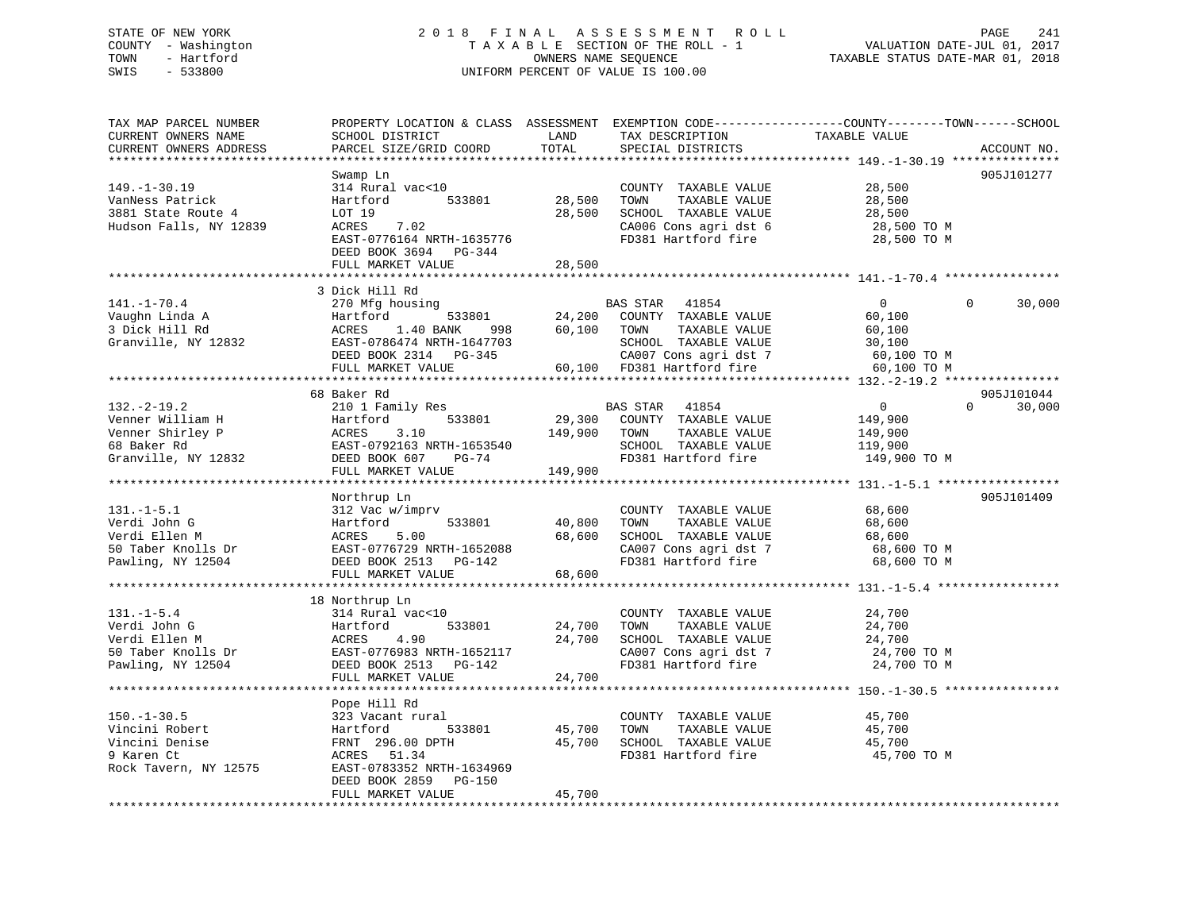# STATE OF NEW YORK 2 0 1 8 F I N A L A S S E S S M E N T R O L L PAGE 241 COUNTY - Washington T A X A B L E SECTION OF THE ROLL - 1 VALUATION DATE-JUL 01, 2017 TOWN - Hartford **TAXABLE STATUS DATE-MAR 01, 2018** OWNERS NAME SEQUENCE TAXABLE STATUS DATE-MAR 01, 2018 SWIS - 533800 UNIFORM PERCENT OF VALUE IS 100.00

| TAX MAP PARCEL NUMBER<br>CURRENT OWNERS NAME<br>CURRENT OWNERS ADDRESS                       | PROPERTY LOCATION & CLASS ASSESSMENT<br>SCHOOL DISTRICT<br>PARCEL SIZE/GRID COORD                                                                               | LAND<br>TOTAL              | TAX DESCRIPTION<br>SPECIAL DISTRICTS                                                                                                             | EXEMPTION CODE-----------------COUNTY-------TOWN------SCHOOL<br>TAXABLE VALUE | ACCOUNT NO.                      |
|----------------------------------------------------------------------------------------------|-----------------------------------------------------------------------------------------------------------------------------------------------------------------|----------------------------|--------------------------------------------------------------------------------------------------------------------------------------------------|-------------------------------------------------------------------------------|----------------------------------|
| *********************                                                                        |                                                                                                                                                                 |                            |                                                                                                                                                  |                                                                               |                                  |
| $149. - 1 - 30.19$<br>VanNess Patrick<br>3881 State Route 4<br>Hudson Falls, NY 12839        | Swamp Ln<br>314 Rural vac<10<br>Hartford<br>533801<br>LOT 19<br>ACRES<br>7.02<br>EAST-0776164 NRTH-1635776                                                      | 28,500<br>28,500           | COUNTY TAXABLE VALUE<br>TAXABLE VALUE<br>TOWN<br>SCHOOL TAXABLE VALUE<br>CA006 Cons agri dst 6<br>FD381 Hartford fire                            | 28,500<br>28,500<br>28,500<br>28,500 TO M                                     | 905J101277                       |
|                                                                                              | DEED BOOK 3694 PG-344<br>FULL MARKET VALUE                                                                                                                      | 28,500                     |                                                                                                                                                  | 28,500 TO M                                                                   |                                  |
|                                                                                              |                                                                                                                                                                 |                            |                                                                                                                                                  |                                                                               |                                  |
| $141. - 1 - 70.4$<br>Vaughn Linda A<br>3 Dick Hill Rd<br>Granville, NY 12832                 | 3 Dick Hill Rd<br>270 Mfg housing<br>533801<br>Hartford<br>ACRES<br>1.40 BANK<br>998<br>EAST-0786474 NRTH-1647703<br>DEED BOOK 2314 PG-345<br>FULL MARKET VALUE | 60,100 TOWN                | 41854<br>BAS STAR<br>24,200 COUNTY TAXABLE VALUE<br>TAXABLE VALUE<br>SCHOOL TAXABLE VALUE<br>CA007 Cons agri dst 7<br>60,100 FD381 Hartford fire | $\overline{0}$<br>60,100<br>60,100<br>30,100<br>60,100 TO M<br>60,100 TO M    | 30,000<br>$\Omega$               |
|                                                                                              |                                                                                                                                                                 |                            |                                                                                                                                                  |                                                                               |                                  |
| $132 - 2 - 19.2$                                                                             | 68 Baker Rd<br>210 1 Family Res                                                                                                                                 |                            | BAS STAR 41854                                                                                                                                   | $\overline{0}$                                                                | 905J101044<br>30,000<br>$\Omega$ |
| Venner William H<br>Venner Shirley P<br>68 Baker Rd<br>Granville, NY 12832                   | 533801<br>Hartford<br>ACRES<br>3.10<br>EAST-0792163 NRTH-1653540<br>DEED BOOK 607<br>PG-74                                                                      | 29,300<br>149,900          | COUNTY TAXABLE VALUE<br>TAXABLE VALUE<br>TOWN<br>SCHOOL TAXABLE VALUE<br>FD381 Hartford fire                                                     | 149,900<br>149,900<br>119,900<br>149,900 TO M                                 |                                  |
|                                                                                              | FULL MARKET VALUE                                                                                                                                               | 149,900                    |                                                                                                                                                  |                                                                               |                                  |
|                                                                                              | Northrup Ln                                                                                                                                                     |                            |                                                                                                                                                  |                                                                               | 905J101409                       |
| $131.-1-5.1$<br>Verdi John G<br>Verdi Ellen M<br>50 Taber Knolls Dr<br>Pawling, NY 12504     | 312 Vac w/imprv<br>533801<br>Hartford<br>ACRES<br>5.00<br>EAST-0776729 NRTH-1652088<br>DEED BOOK 2513 PG-142<br>FULL MARKET VALUE                               | 40,800<br>68,600<br>68,600 | COUNTY TAXABLE VALUE<br>TAXABLE VALUE<br>TOWN<br>SCHOOL TAXABLE VALUE<br>CA007 Cons agri dst 7<br>FD381 Hartford fire                            | 68,600<br>68,600<br>68,600<br>68,600 TO M<br>68,600 TO M                      |                                  |
|                                                                                              |                                                                                                                                                                 |                            |                                                                                                                                                  |                                                                               |                                  |
| $131. - 1 - 5.4$<br>Verdi John G<br>Verdi Ellen M<br>50 Taber Knolls Dr<br>Pawling, NY 12504 | 18 Northrup Ln<br>314 Rural vac<10<br>Hartford<br>533801<br>4.90<br>ACRES<br>EAST-0776983 NRTH-1652117<br>DEED BOOK 2513 PG-142<br>FULL MARKET VALUE            | 24,700<br>24,700<br>24,700 | COUNTY TAXABLE VALUE<br>TOWN<br>TAXABLE VALUE<br>SCHOOL TAXABLE VALUE<br>CA007 Cons agri dst 7<br>FD381 Hartford fire                            | 24,700<br>24,700<br>24,700<br>24,700 TO M<br>24,700 TO M                      |                                  |
|                                                                                              |                                                                                                                                                                 |                            |                                                                                                                                                  | ************************************ 150.-1-30.5                              |                                  |
| $150. - 1 - 30.5$<br>Vincini Robert<br>Vincini Denise<br>9 Karen Ct<br>Rock Tavern, NY 12575 | Pope Hill Rd<br>323 Vacant rural<br>Hartford<br>533801<br>FRNT 296.00 DPTH<br>ACRES 51.34<br>EAST-0783352 NRTH-1634969<br>DEED BOOK 2859<br>PG-150              | 45,700<br>45,700           | COUNTY TAXABLE VALUE<br>TOWN<br>TAXABLE VALUE<br>SCHOOL TAXABLE VALUE<br>FD381 Hartford fire                                                     | 45,700<br>45,700<br>45,700<br>45,700 TO M                                     |                                  |
|                                                                                              | FULL MARKET VALUE                                                                                                                                               | 45,700                     |                                                                                                                                                  |                                                                               |                                  |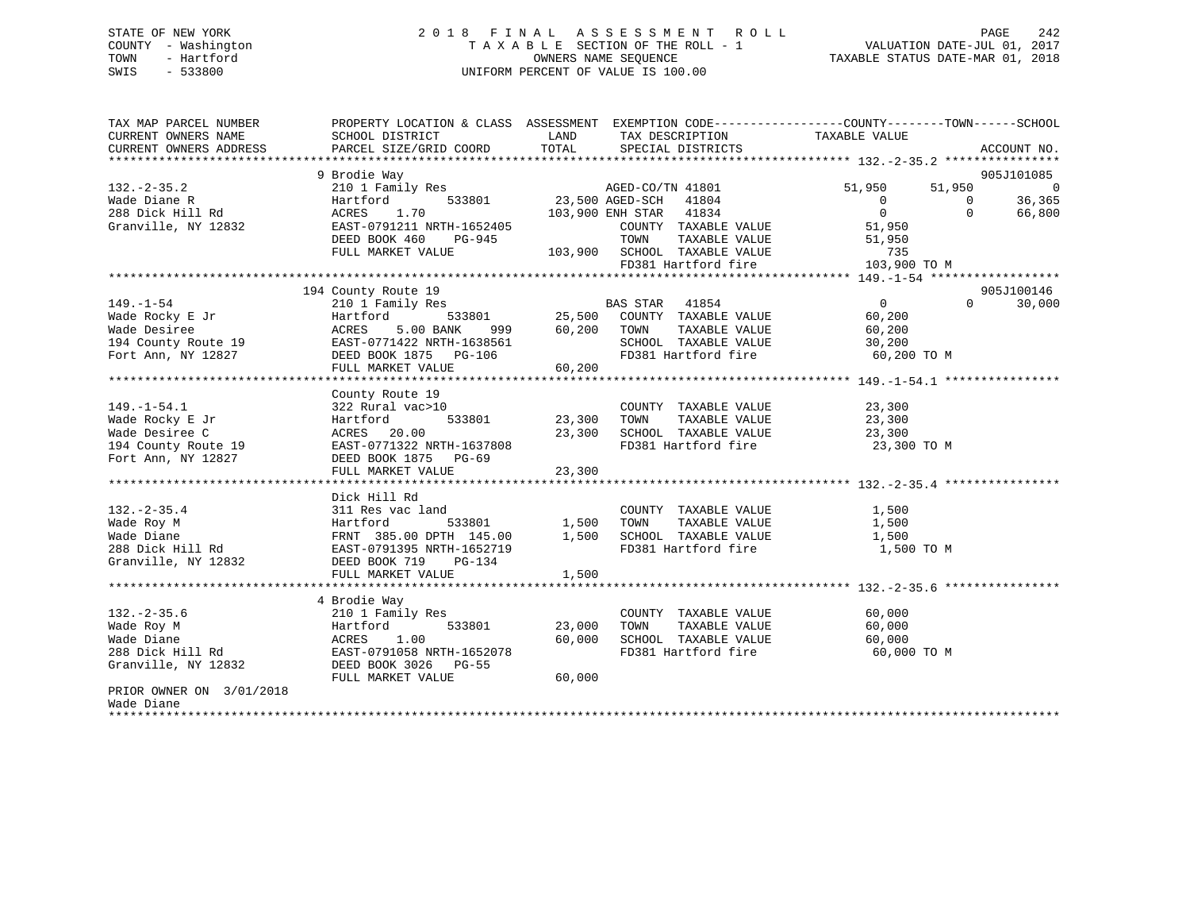# STATE OF NEW YORK 2 0 1 8 F I N A L A S S E S S M E N T R O L L PAGE 242 COUNTY - Washington T A X A B L E SECTION OF THE ROLL - 1 VALUATION DATE-JUL 01, 2017 TOWN - Hartford **TAXABLE STATUS DATE-MAR 01, 2018** OWNERS NAME SEQUENCE TAXABLE STATUS DATE-MAR 01, 2018 SWIS - 533800 UNIFORM PERCENT OF VALUE IS 100.00

| TAX MAP PARCEL NUMBER<br>CURRENT OWNERS NAME | PROPERTY LOCATION & CLASS ASSESSMENT EXEMPTION CODE----------------COUNTY-------TOWN-----SCHOOL<br>SCHOOL DISTRICT | LAND            | TAX DESCRIPTION                                     | TAXABLE VALUE  |          |                              |
|----------------------------------------------|--------------------------------------------------------------------------------------------------------------------|-----------------|-----------------------------------------------------|----------------|----------|------------------------------|
| CURRENT OWNERS ADDRESS                       | PARCEL SIZE/GRID COORD                                                                                             | TOTAL           | SPECIAL DISTRICTS                                   |                |          | ACCOUNT NO.                  |
|                                              |                                                                                                                    |                 |                                                     |                |          |                              |
| $132. - 2 - 35.2$                            | 9 Brodie Way<br>210 1 Family Res                                                                                   |                 | AGED-CO/TN 41801                                    | 51,950         | 51,950   | 905J101085<br>$\overline{0}$ |
|                                              | 533801                                                                                                             | 23,500 AGED-SCH | 41804                                               | $\overline{0}$ | $\Omega$ |                              |
| Wade Diane R                                 | Hartford                                                                                                           |                 |                                                     | $\overline{0}$ | $\Omega$ | 36,365                       |
| 288 Dick Hill Rd                             | 1.70<br>ACRES<br>EAST-0791211 NRTH-1652405                                                                         |                 | 103,900 ENH STAR 41834                              | 51,950         |          | 66,800                       |
| Granville, NY 12832                          |                                                                                                                    |                 | COUNTY TAXABLE VALUE                                |                |          |                              |
|                                              | DEED BOOK 460<br>PG-945                                                                                            |                 | TOWN<br>TAXABLE VALUE                               | 51,950         |          |                              |
|                                              | FULL MARKET VALUE                                                                                                  |                 | 103,900 SCHOOL TAXABLE VALUE<br>FD381 Hartford fire | 735            |          |                              |
|                                              |                                                                                                                    |                 |                                                     | 103,900 TO M   |          |                              |
|                                              |                                                                                                                    |                 |                                                     |                |          |                              |
|                                              | 194 County Route 19                                                                                                |                 |                                                     |                | $\Omega$ | 905J100146                   |
| $149. - 1 - 54$                              | 210 1 Family Res                                                                                                   |                 | <b>BAS STAR</b><br>41854                            | $\overline{0}$ |          | 30,000                       |
| Wade Rocky E Jr                              | 533801<br>Hartford                                                                                                 | 25,500          | COUNTY TAXABLE VALUE                                | 60,200         |          |                              |
| Wade Desiree                                 | ACRES<br>5.00 BANK<br>999                                                                                          | 60,200          | TOWN<br>TAXABLE VALUE                               | 60,200         |          |                              |
| 194 County Route 19                          | EAST-0771422 NRTH-1638561                                                                                          |                 | SCHOOL TAXABLE VALUE                                | 30,200         |          |                              |
| Fort Ann, NY 12827                           | DEED BOOK 1875 PG-106                                                                                              |                 | FD381 Hartford fire                                 | 60,200 TO M    |          |                              |
|                                              | FULL MARKET VALUE                                                                                                  | 60,200          |                                                     |                |          |                              |
|                                              |                                                                                                                    |                 |                                                     |                |          |                              |
|                                              | County Route 19                                                                                                    |                 |                                                     |                |          |                              |
| $149. - 1 - 54.1$                            | 322 Rural vac>10                                                                                                   |                 | COUNTY TAXABLE VALUE                                | 23,300         |          |                              |
| Wade Rocky E Jr                              | Hartford<br>533801                                                                                                 | 23,300          | TAXABLE VALUE<br>TOWN                               | 23,300         |          |                              |
| Wade Desiree C                               | ACRES<br>20.00                                                                                                     | 23,300          | SCHOOL TAXABLE VALUE                                | 23,300         |          |                              |
| 194 County Route 19                          | EAST-0771322 NRTH-1637808                                                                                          |                 | FD381 Hartford fire                                 | 23,300 TO M    |          |                              |
| Fort Ann, NY 12827                           | DEED BOOK 1875 PG-69                                                                                               |                 |                                                     |                |          |                              |
|                                              | FULL MARKET VALUE                                                                                                  | 23,300          |                                                     |                |          |                              |
|                                              |                                                                                                                    |                 |                                                     |                |          |                              |
|                                              | Dick Hill Rd                                                                                                       |                 |                                                     |                |          |                              |
| $132. - 2 - 35.4$                            | 311 Res vac land                                                                                                   |                 | COUNTY TAXABLE VALUE                                | 1,500          |          |                              |
| Wade Roy M                                   | Hartford<br>533801                                                                                                 | 1,500           | TAXABLE VALUE<br>TOWN                               | 1,500          |          |                              |
| Wade Diane                                   | FRNT 385.00 DPTH 145.00                                                                                            | 1,500           | SCHOOL TAXABLE VALUE                                | 1,500          |          |                              |
| 288 Dick Hill Rd                             | EAST-0791395 NRTH-1652719                                                                                          |                 | FD381 Hartford fire                                 | 1,500 TO M     |          |                              |
| Granville, NY 12832                          | DEED BOOK 719<br>$PG-134$                                                                                          |                 |                                                     |                |          |                              |
|                                              | FULL MARKET VALUE                                                                                                  | 1,500           |                                                     |                |          |                              |
|                                              |                                                                                                                    |                 |                                                     |                |          |                              |
|                                              | 4 Brodie Way                                                                                                       |                 |                                                     |                |          |                              |
| $132 - 2 - 35.6$                             | 210 1 Family Res                                                                                                   |                 | COUNTY TAXABLE VALUE                                | 60,000         |          |                              |
| Wade Roy M                                   | 533801<br>Hartford                                                                                                 | 23,000          | TOWN<br>TAXABLE VALUE                               | 60,000         |          |                              |
| Wade Diane                                   | 1.00<br>ACRES                                                                                                      | 60,000          | SCHOOL TAXABLE VALUE                                | 60,000         |          |                              |
| 288 Dick Hill Rd                             | EAST-0791058 NRTH-1652078                                                                                          |                 | FD381 Hartford fire                                 | 60,000 TO M    |          |                              |
| Granville, NY 12832                          | DEED BOOK 3026 PG-55                                                                                               |                 |                                                     |                |          |                              |
|                                              | FULL MARKET VALUE                                                                                                  | 60,000          |                                                     |                |          |                              |
| PRIOR OWNER ON 3/01/2018                     |                                                                                                                    |                 |                                                     |                |          |                              |
| Wade Diane                                   |                                                                                                                    |                 |                                                     |                |          |                              |
| *************                                |                                                                                                                    |                 |                                                     |                |          |                              |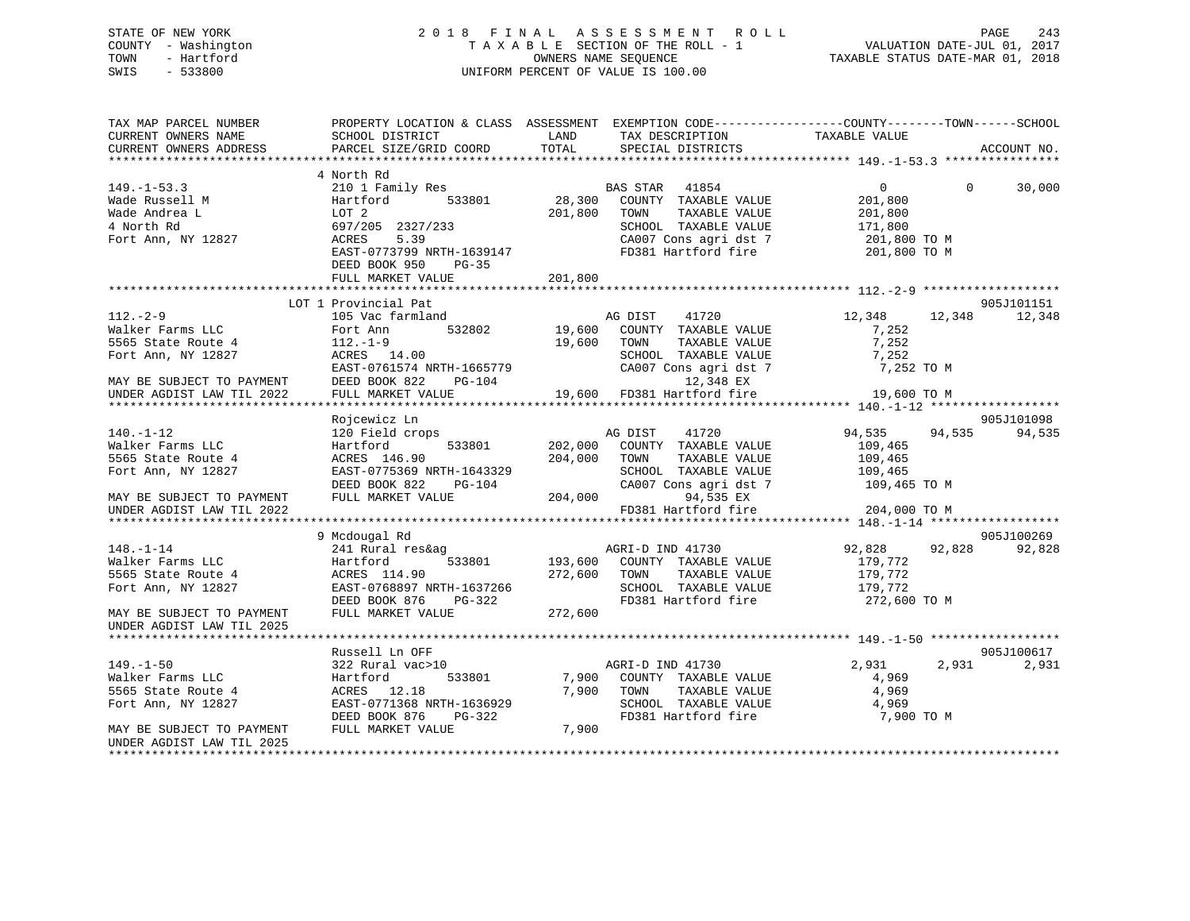# STATE OF NEW YORK 2 0 1 8 F I N A L A S S E S S M E N T R O L L PAGE 243 COUNTY - Washington T A X A B L E SECTION OF THE ROLL - 1 VALUATION DATE-JUL 01, 2017 TOWN - Hartford **TAXABLE STATUS DATE-MAR 01, 2018** OWNERS NAME SEQUENCE TAXABLE STATUS DATE-MAR 01, 2018 SWIS - 533800 UNIFORM PERCENT OF VALUE IS 100.00

| 4 North Rd<br>$\overline{0}$<br>210 1 Family Res<br>BAS STAR 41854<br>$\Omega$<br>30,000<br>28,300<br>COUNTY TAXABLE VALUE<br>Wade Russell M<br>Hartford<br>533801<br>201,800<br>Wade Andrea L<br>LOT <sub>2</sub><br>201,800<br>TAXABLE VALUE<br>201,800<br>TOWN<br>4 North Rd<br>697/205 2327/233<br>SCHOOL TAXABLE VALUE<br>171,800<br>ACRES<br>5.39<br>CA007 Cons agri dst 7<br>201,800 TO M<br>FD381 Hartford fire<br>EAST-0773799 NRTH-1639147<br>201,800 TO M<br>DEED BOOK 950<br>PG-35<br>201,800<br>FULL MARKET VALUE<br>LOT 1 Provincial Pat<br>905J101151<br>$112. - 2 - 9$<br>105 Vac farmland<br>AG DIST<br>12,348<br>12,348<br>12,348<br>41720<br>532802 19,600<br>Walker Farms LLC<br>Fort Ann<br>COUNTY TAXABLE VALUE<br>7,252<br>7,252<br>5565 State Route 4<br>$112.-1-9$<br>19,600<br>TOWN<br>TAXABLE VALUE<br>Fort Ann, NY 12827<br>ACRES 14.00<br>SCHOOL TAXABLE VALUE<br>7,252<br>EAST-0761574 NRTH-1665779<br>CA007 Cons agri dst 7<br>7,252 TO M<br>DEED BOOK 822<br>$PG-104$<br>12,348 EX<br>MAY BE SUBJECT TO PAYMENT<br>19,600 FD381 Hartford fire<br>FULL MARKET VALUE<br>UNDER AGDIST LAW TIL 2022<br>19,600 TO M<br>Rojcewicz Ln<br>905J101098<br>$140. - 1 - 12$<br>120 Field crops<br>AG DIST<br>41720<br>94,535<br>94,535<br>94,535<br>Walker Farms LLC<br>Hartford<br>533801<br>202,000<br>COUNTY TAXABLE VALUE<br>109,465<br>5565 State Route 4<br>ACRES 146.90<br>204,000<br>TOWN<br>TAXABLE VALUE<br>109,465<br>Fort Ann, NY 12827<br>EAST-0775369 NRTH-1643329<br>SCHOOL TAXABLE VALUE<br>109,465<br>CA007 Cons agri dst 7 109,465 TO M<br>DEED BOOK 822<br>PG-104<br>FULL MARKET VALUE<br>204,000<br>94,535 EX<br>MAY BE SUBJECT TO PAYMENT<br>FD381 Hartford fire<br>204,000 TO M<br>UNDER AGDIST LAW TIL 2022<br>905J100269<br>9 Mcdougal Rd<br>AGRI-D IND 41730<br>92,828 92,828<br>92,828<br>$148. - 1 - 14$<br>241 Rural res&ag<br>Walker Farms LLC<br>Hartford<br>533801<br>193,600<br>COUNTY TAXABLE VALUE<br>179,772<br>5565 State Route 4<br>ACRES 114.90<br>272,600<br>TOWN<br>TAXABLE VALUE<br>179,772<br>Fort Ann, NY 12827<br>EAST-0768897 NRTH-1637266<br>SCHOOL TAXABLE VALUE<br>179,772<br>DEED BOOK 876<br>PG-322<br>FD381 Hartford fire<br>272,600 TO M<br>FULL MARKET VALUE<br>272,600<br>MAY BE SUBJECT TO PAYMENT<br>UNDER AGDIST LAW TIL 2025<br>905J100617<br>Russell Ln OFF<br>322 Rural vac>10<br>AGRI-D IND 41730<br>2,931<br>2,931<br>2,931<br>Walker Farms LLC<br>Hartford<br>533801<br>7,900<br>COUNTY TAXABLE VALUE<br>4,969<br>TAXABLE VALUE<br>5565 State Route 4<br>ACRES 12.18<br>7,900<br>TOWN<br>4,969<br>Fort Ann, NY 12827<br>EAST-0771368 NRTH-1636929<br>SCHOOL TAXABLE VALUE<br>4,969<br>FD381 Hartford fire<br>DEED BOOK 876<br>$PG-322$<br>7,900 TO M<br>FULL MARKET VALUE<br>7,900<br>UNDER AGDIST LAW TIL 2025 | TAX MAP PARCEL NUMBER<br>CURRENT OWNERS NAME | PROPERTY LOCATION & CLASS ASSESSMENT EXEMPTION CODE----------------COUNTY-------TOWN------SCHOOL<br>SCHOOL DISTRICT | LAND<br>TOTAL | TAX DESCRIPTION TAXABLE VALUE SPECIAL DISTRICTS | ACCOUNT NO. |
|----------------------------------------------------------------------------------------------------------------------------------------------------------------------------------------------------------------------------------------------------------------------------------------------------------------------------------------------------------------------------------------------------------------------------------------------------------------------------------------------------------------------------------------------------------------------------------------------------------------------------------------------------------------------------------------------------------------------------------------------------------------------------------------------------------------------------------------------------------------------------------------------------------------------------------------------------------------------------------------------------------------------------------------------------------------------------------------------------------------------------------------------------------------------------------------------------------------------------------------------------------------------------------------------------------------------------------------------------------------------------------------------------------------------------------------------------------------------------------------------------------------------------------------------------------------------------------------------------------------------------------------------------------------------------------------------------------------------------------------------------------------------------------------------------------------------------------------------------------------------------------------------------------------------------------------------------------------------------------------------------------------------------------------------------------------------------------------------------------------------------------------------------------------------------------------------------------------------------------------------------------------------------------------------------------------------------------------------------------------------------------------------------------------------------------------------------------------------------------------------------------------------------------------------------------------------------------------------------------------------------------------------------------------------------------------------------------------------------------------------------------------------------------------------------|----------------------------------------------|---------------------------------------------------------------------------------------------------------------------|---------------|-------------------------------------------------|-------------|
|                                                                                                                                                                                                                                                                                                                                                                                                                                                                                                                                                                                                                                                                                                                                                                                                                                                                                                                                                                                                                                                                                                                                                                                                                                                                                                                                                                                                                                                                                                                                                                                                                                                                                                                                                                                                                                                                                                                                                                                                                                                                                                                                                                                                                                                                                                                                                                                                                                                                                                                                                                                                                                                                                                                                                                                                    | CURRENT OWNERS ADDRESS                       | PARCEL SIZE/GRID COORD                                                                                              |               |                                                 |             |
|                                                                                                                                                                                                                                                                                                                                                                                                                                                                                                                                                                                                                                                                                                                                                                                                                                                                                                                                                                                                                                                                                                                                                                                                                                                                                                                                                                                                                                                                                                                                                                                                                                                                                                                                                                                                                                                                                                                                                                                                                                                                                                                                                                                                                                                                                                                                                                                                                                                                                                                                                                                                                                                                                                                                                                                                    |                                              |                                                                                                                     |               |                                                 |             |
|                                                                                                                                                                                                                                                                                                                                                                                                                                                                                                                                                                                                                                                                                                                                                                                                                                                                                                                                                                                                                                                                                                                                                                                                                                                                                                                                                                                                                                                                                                                                                                                                                                                                                                                                                                                                                                                                                                                                                                                                                                                                                                                                                                                                                                                                                                                                                                                                                                                                                                                                                                                                                                                                                                                                                                                                    | $149. - 1 - 53.3$                            |                                                                                                                     |               |                                                 |             |
|                                                                                                                                                                                                                                                                                                                                                                                                                                                                                                                                                                                                                                                                                                                                                                                                                                                                                                                                                                                                                                                                                                                                                                                                                                                                                                                                                                                                                                                                                                                                                                                                                                                                                                                                                                                                                                                                                                                                                                                                                                                                                                                                                                                                                                                                                                                                                                                                                                                                                                                                                                                                                                                                                                                                                                                                    |                                              |                                                                                                                     |               |                                                 |             |
|                                                                                                                                                                                                                                                                                                                                                                                                                                                                                                                                                                                                                                                                                                                                                                                                                                                                                                                                                                                                                                                                                                                                                                                                                                                                                                                                                                                                                                                                                                                                                                                                                                                                                                                                                                                                                                                                                                                                                                                                                                                                                                                                                                                                                                                                                                                                                                                                                                                                                                                                                                                                                                                                                                                                                                                                    |                                              |                                                                                                                     |               |                                                 |             |
|                                                                                                                                                                                                                                                                                                                                                                                                                                                                                                                                                                                                                                                                                                                                                                                                                                                                                                                                                                                                                                                                                                                                                                                                                                                                                                                                                                                                                                                                                                                                                                                                                                                                                                                                                                                                                                                                                                                                                                                                                                                                                                                                                                                                                                                                                                                                                                                                                                                                                                                                                                                                                                                                                                                                                                                                    |                                              |                                                                                                                     |               |                                                 |             |
|                                                                                                                                                                                                                                                                                                                                                                                                                                                                                                                                                                                                                                                                                                                                                                                                                                                                                                                                                                                                                                                                                                                                                                                                                                                                                                                                                                                                                                                                                                                                                                                                                                                                                                                                                                                                                                                                                                                                                                                                                                                                                                                                                                                                                                                                                                                                                                                                                                                                                                                                                                                                                                                                                                                                                                                                    | Fort Ann, NY 12827                           |                                                                                                                     |               |                                                 |             |
|                                                                                                                                                                                                                                                                                                                                                                                                                                                                                                                                                                                                                                                                                                                                                                                                                                                                                                                                                                                                                                                                                                                                                                                                                                                                                                                                                                                                                                                                                                                                                                                                                                                                                                                                                                                                                                                                                                                                                                                                                                                                                                                                                                                                                                                                                                                                                                                                                                                                                                                                                                                                                                                                                                                                                                                                    |                                              |                                                                                                                     |               |                                                 |             |
|                                                                                                                                                                                                                                                                                                                                                                                                                                                                                                                                                                                                                                                                                                                                                                                                                                                                                                                                                                                                                                                                                                                                                                                                                                                                                                                                                                                                                                                                                                                                                                                                                                                                                                                                                                                                                                                                                                                                                                                                                                                                                                                                                                                                                                                                                                                                                                                                                                                                                                                                                                                                                                                                                                                                                                                                    |                                              |                                                                                                                     |               |                                                 |             |
|                                                                                                                                                                                                                                                                                                                                                                                                                                                                                                                                                                                                                                                                                                                                                                                                                                                                                                                                                                                                                                                                                                                                                                                                                                                                                                                                                                                                                                                                                                                                                                                                                                                                                                                                                                                                                                                                                                                                                                                                                                                                                                                                                                                                                                                                                                                                                                                                                                                                                                                                                                                                                                                                                                                                                                                                    |                                              |                                                                                                                     |               |                                                 |             |
|                                                                                                                                                                                                                                                                                                                                                                                                                                                                                                                                                                                                                                                                                                                                                                                                                                                                                                                                                                                                                                                                                                                                                                                                                                                                                                                                                                                                                                                                                                                                                                                                                                                                                                                                                                                                                                                                                                                                                                                                                                                                                                                                                                                                                                                                                                                                                                                                                                                                                                                                                                                                                                                                                                                                                                                                    |                                              |                                                                                                                     |               |                                                 |             |
|                                                                                                                                                                                                                                                                                                                                                                                                                                                                                                                                                                                                                                                                                                                                                                                                                                                                                                                                                                                                                                                                                                                                                                                                                                                                                                                                                                                                                                                                                                                                                                                                                                                                                                                                                                                                                                                                                                                                                                                                                                                                                                                                                                                                                                                                                                                                                                                                                                                                                                                                                                                                                                                                                                                                                                                                    |                                              |                                                                                                                     |               |                                                 |             |
|                                                                                                                                                                                                                                                                                                                                                                                                                                                                                                                                                                                                                                                                                                                                                                                                                                                                                                                                                                                                                                                                                                                                                                                                                                                                                                                                                                                                                                                                                                                                                                                                                                                                                                                                                                                                                                                                                                                                                                                                                                                                                                                                                                                                                                                                                                                                                                                                                                                                                                                                                                                                                                                                                                                                                                                                    |                                              |                                                                                                                     |               |                                                 |             |
|                                                                                                                                                                                                                                                                                                                                                                                                                                                                                                                                                                                                                                                                                                                                                                                                                                                                                                                                                                                                                                                                                                                                                                                                                                                                                                                                                                                                                                                                                                                                                                                                                                                                                                                                                                                                                                                                                                                                                                                                                                                                                                                                                                                                                                                                                                                                                                                                                                                                                                                                                                                                                                                                                                                                                                                                    |                                              |                                                                                                                     |               |                                                 |             |
|                                                                                                                                                                                                                                                                                                                                                                                                                                                                                                                                                                                                                                                                                                                                                                                                                                                                                                                                                                                                                                                                                                                                                                                                                                                                                                                                                                                                                                                                                                                                                                                                                                                                                                                                                                                                                                                                                                                                                                                                                                                                                                                                                                                                                                                                                                                                                                                                                                                                                                                                                                                                                                                                                                                                                                                                    |                                              |                                                                                                                     |               |                                                 |             |
|                                                                                                                                                                                                                                                                                                                                                                                                                                                                                                                                                                                                                                                                                                                                                                                                                                                                                                                                                                                                                                                                                                                                                                                                                                                                                                                                                                                                                                                                                                                                                                                                                                                                                                                                                                                                                                                                                                                                                                                                                                                                                                                                                                                                                                                                                                                                                                                                                                                                                                                                                                                                                                                                                                                                                                                                    |                                              |                                                                                                                     |               |                                                 |             |
|                                                                                                                                                                                                                                                                                                                                                                                                                                                                                                                                                                                                                                                                                                                                                                                                                                                                                                                                                                                                                                                                                                                                                                                                                                                                                                                                                                                                                                                                                                                                                                                                                                                                                                                                                                                                                                                                                                                                                                                                                                                                                                                                                                                                                                                                                                                                                                                                                                                                                                                                                                                                                                                                                                                                                                                                    |                                              |                                                                                                                     |               |                                                 |             |
|                                                                                                                                                                                                                                                                                                                                                                                                                                                                                                                                                                                                                                                                                                                                                                                                                                                                                                                                                                                                                                                                                                                                                                                                                                                                                                                                                                                                                                                                                                                                                                                                                                                                                                                                                                                                                                                                                                                                                                                                                                                                                                                                                                                                                                                                                                                                                                                                                                                                                                                                                                                                                                                                                                                                                                                                    |                                              |                                                                                                                     |               |                                                 |             |
|                                                                                                                                                                                                                                                                                                                                                                                                                                                                                                                                                                                                                                                                                                                                                                                                                                                                                                                                                                                                                                                                                                                                                                                                                                                                                                                                                                                                                                                                                                                                                                                                                                                                                                                                                                                                                                                                                                                                                                                                                                                                                                                                                                                                                                                                                                                                                                                                                                                                                                                                                                                                                                                                                                                                                                                                    |                                              |                                                                                                                     |               |                                                 |             |
|                                                                                                                                                                                                                                                                                                                                                                                                                                                                                                                                                                                                                                                                                                                                                                                                                                                                                                                                                                                                                                                                                                                                                                                                                                                                                                                                                                                                                                                                                                                                                                                                                                                                                                                                                                                                                                                                                                                                                                                                                                                                                                                                                                                                                                                                                                                                                                                                                                                                                                                                                                                                                                                                                                                                                                                                    |                                              |                                                                                                                     |               |                                                 |             |
|                                                                                                                                                                                                                                                                                                                                                                                                                                                                                                                                                                                                                                                                                                                                                                                                                                                                                                                                                                                                                                                                                                                                                                                                                                                                                                                                                                                                                                                                                                                                                                                                                                                                                                                                                                                                                                                                                                                                                                                                                                                                                                                                                                                                                                                                                                                                                                                                                                                                                                                                                                                                                                                                                                                                                                                                    |                                              |                                                                                                                     |               |                                                 |             |
|                                                                                                                                                                                                                                                                                                                                                                                                                                                                                                                                                                                                                                                                                                                                                                                                                                                                                                                                                                                                                                                                                                                                                                                                                                                                                                                                                                                                                                                                                                                                                                                                                                                                                                                                                                                                                                                                                                                                                                                                                                                                                                                                                                                                                                                                                                                                                                                                                                                                                                                                                                                                                                                                                                                                                                                                    |                                              |                                                                                                                     |               |                                                 |             |
|                                                                                                                                                                                                                                                                                                                                                                                                                                                                                                                                                                                                                                                                                                                                                                                                                                                                                                                                                                                                                                                                                                                                                                                                                                                                                                                                                                                                                                                                                                                                                                                                                                                                                                                                                                                                                                                                                                                                                                                                                                                                                                                                                                                                                                                                                                                                                                                                                                                                                                                                                                                                                                                                                                                                                                                                    |                                              |                                                                                                                     |               |                                                 |             |
|                                                                                                                                                                                                                                                                                                                                                                                                                                                                                                                                                                                                                                                                                                                                                                                                                                                                                                                                                                                                                                                                                                                                                                                                                                                                                                                                                                                                                                                                                                                                                                                                                                                                                                                                                                                                                                                                                                                                                                                                                                                                                                                                                                                                                                                                                                                                                                                                                                                                                                                                                                                                                                                                                                                                                                                                    |                                              |                                                                                                                     |               |                                                 |             |
|                                                                                                                                                                                                                                                                                                                                                                                                                                                                                                                                                                                                                                                                                                                                                                                                                                                                                                                                                                                                                                                                                                                                                                                                                                                                                                                                                                                                                                                                                                                                                                                                                                                                                                                                                                                                                                                                                                                                                                                                                                                                                                                                                                                                                                                                                                                                                                                                                                                                                                                                                                                                                                                                                                                                                                                                    |                                              |                                                                                                                     |               |                                                 |             |
|                                                                                                                                                                                                                                                                                                                                                                                                                                                                                                                                                                                                                                                                                                                                                                                                                                                                                                                                                                                                                                                                                                                                                                                                                                                                                                                                                                                                                                                                                                                                                                                                                                                                                                                                                                                                                                                                                                                                                                                                                                                                                                                                                                                                                                                                                                                                                                                                                                                                                                                                                                                                                                                                                                                                                                                                    |                                              |                                                                                                                     |               |                                                 |             |
|                                                                                                                                                                                                                                                                                                                                                                                                                                                                                                                                                                                                                                                                                                                                                                                                                                                                                                                                                                                                                                                                                                                                                                                                                                                                                                                                                                                                                                                                                                                                                                                                                                                                                                                                                                                                                                                                                                                                                                                                                                                                                                                                                                                                                                                                                                                                                                                                                                                                                                                                                                                                                                                                                                                                                                                                    |                                              |                                                                                                                     |               |                                                 |             |
|                                                                                                                                                                                                                                                                                                                                                                                                                                                                                                                                                                                                                                                                                                                                                                                                                                                                                                                                                                                                                                                                                                                                                                                                                                                                                                                                                                                                                                                                                                                                                                                                                                                                                                                                                                                                                                                                                                                                                                                                                                                                                                                                                                                                                                                                                                                                                                                                                                                                                                                                                                                                                                                                                                                                                                                                    |                                              |                                                                                                                     |               |                                                 |             |
|                                                                                                                                                                                                                                                                                                                                                                                                                                                                                                                                                                                                                                                                                                                                                                                                                                                                                                                                                                                                                                                                                                                                                                                                                                                                                                                                                                                                                                                                                                                                                                                                                                                                                                                                                                                                                                                                                                                                                                                                                                                                                                                                                                                                                                                                                                                                                                                                                                                                                                                                                                                                                                                                                                                                                                                                    |                                              |                                                                                                                     |               |                                                 |             |
|                                                                                                                                                                                                                                                                                                                                                                                                                                                                                                                                                                                                                                                                                                                                                                                                                                                                                                                                                                                                                                                                                                                                                                                                                                                                                                                                                                                                                                                                                                                                                                                                                                                                                                                                                                                                                                                                                                                                                                                                                                                                                                                                                                                                                                                                                                                                                                                                                                                                                                                                                                                                                                                                                                                                                                                                    |                                              |                                                                                                                     |               |                                                 |             |
|                                                                                                                                                                                                                                                                                                                                                                                                                                                                                                                                                                                                                                                                                                                                                                                                                                                                                                                                                                                                                                                                                                                                                                                                                                                                                                                                                                                                                                                                                                                                                                                                                                                                                                                                                                                                                                                                                                                                                                                                                                                                                                                                                                                                                                                                                                                                                                                                                                                                                                                                                                                                                                                                                                                                                                                                    |                                              |                                                                                                                     |               |                                                 |             |
|                                                                                                                                                                                                                                                                                                                                                                                                                                                                                                                                                                                                                                                                                                                                                                                                                                                                                                                                                                                                                                                                                                                                                                                                                                                                                                                                                                                                                                                                                                                                                                                                                                                                                                                                                                                                                                                                                                                                                                                                                                                                                                                                                                                                                                                                                                                                                                                                                                                                                                                                                                                                                                                                                                                                                                                                    |                                              |                                                                                                                     |               |                                                 |             |
|                                                                                                                                                                                                                                                                                                                                                                                                                                                                                                                                                                                                                                                                                                                                                                                                                                                                                                                                                                                                                                                                                                                                                                                                                                                                                                                                                                                                                                                                                                                                                                                                                                                                                                                                                                                                                                                                                                                                                                                                                                                                                                                                                                                                                                                                                                                                                                                                                                                                                                                                                                                                                                                                                                                                                                                                    |                                              |                                                                                                                     |               |                                                 |             |
|                                                                                                                                                                                                                                                                                                                                                                                                                                                                                                                                                                                                                                                                                                                                                                                                                                                                                                                                                                                                                                                                                                                                                                                                                                                                                                                                                                                                                                                                                                                                                                                                                                                                                                                                                                                                                                                                                                                                                                                                                                                                                                                                                                                                                                                                                                                                                                                                                                                                                                                                                                                                                                                                                                                                                                                                    |                                              |                                                                                                                     |               |                                                 |             |
|                                                                                                                                                                                                                                                                                                                                                                                                                                                                                                                                                                                                                                                                                                                                                                                                                                                                                                                                                                                                                                                                                                                                                                                                                                                                                                                                                                                                                                                                                                                                                                                                                                                                                                                                                                                                                                                                                                                                                                                                                                                                                                                                                                                                                                                                                                                                                                                                                                                                                                                                                                                                                                                                                                                                                                                                    |                                              |                                                                                                                     |               |                                                 |             |
|                                                                                                                                                                                                                                                                                                                                                                                                                                                                                                                                                                                                                                                                                                                                                                                                                                                                                                                                                                                                                                                                                                                                                                                                                                                                                                                                                                                                                                                                                                                                                                                                                                                                                                                                                                                                                                                                                                                                                                                                                                                                                                                                                                                                                                                                                                                                                                                                                                                                                                                                                                                                                                                                                                                                                                                                    |                                              |                                                                                                                     |               |                                                 |             |
|                                                                                                                                                                                                                                                                                                                                                                                                                                                                                                                                                                                                                                                                                                                                                                                                                                                                                                                                                                                                                                                                                                                                                                                                                                                                                                                                                                                                                                                                                                                                                                                                                                                                                                                                                                                                                                                                                                                                                                                                                                                                                                                                                                                                                                                                                                                                                                                                                                                                                                                                                                                                                                                                                                                                                                                                    | $149. - 1 - 50$                              |                                                                                                                     |               |                                                 |             |
|                                                                                                                                                                                                                                                                                                                                                                                                                                                                                                                                                                                                                                                                                                                                                                                                                                                                                                                                                                                                                                                                                                                                                                                                                                                                                                                                                                                                                                                                                                                                                                                                                                                                                                                                                                                                                                                                                                                                                                                                                                                                                                                                                                                                                                                                                                                                                                                                                                                                                                                                                                                                                                                                                                                                                                                                    |                                              |                                                                                                                     |               |                                                 |             |
|                                                                                                                                                                                                                                                                                                                                                                                                                                                                                                                                                                                                                                                                                                                                                                                                                                                                                                                                                                                                                                                                                                                                                                                                                                                                                                                                                                                                                                                                                                                                                                                                                                                                                                                                                                                                                                                                                                                                                                                                                                                                                                                                                                                                                                                                                                                                                                                                                                                                                                                                                                                                                                                                                                                                                                                                    |                                              |                                                                                                                     |               |                                                 |             |
|                                                                                                                                                                                                                                                                                                                                                                                                                                                                                                                                                                                                                                                                                                                                                                                                                                                                                                                                                                                                                                                                                                                                                                                                                                                                                                                                                                                                                                                                                                                                                                                                                                                                                                                                                                                                                                                                                                                                                                                                                                                                                                                                                                                                                                                                                                                                                                                                                                                                                                                                                                                                                                                                                                                                                                                                    |                                              |                                                                                                                     |               |                                                 |             |
|                                                                                                                                                                                                                                                                                                                                                                                                                                                                                                                                                                                                                                                                                                                                                                                                                                                                                                                                                                                                                                                                                                                                                                                                                                                                                                                                                                                                                                                                                                                                                                                                                                                                                                                                                                                                                                                                                                                                                                                                                                                                                                                                                                                                                                                                                                                                                                                                                                                                                                                                                                                                                                                                                                                                                                                                    |                                              |                                                                                                                     |               |                                                 |             |
|                                                                                                                                                                                                                                                                                                                                                                                                                                                                                                                                                                                                                                                                                                                                                                                                                                                                                                                                                                                                                                                                                                                                                                                                                                                                                                                                                                                                                                                                                                                                                                                                                                                                                                                                                                                                                                                                                                                                                                                                                                                                                                                                                                                                                                                                                                                                                                                                                                                                                                                                                                                                                                                                                                                                                                                                    | MAY BE SUBJECT TO PAYMENT                    |                                                                                                                     |               |                                                 |             |
|                                                                                                                                                                                                                                                                                                                                                                                                                                                                                                                                                                                                                                                                                                                                                                                                                                                                                                                                                                                                                                                                                                                                                                                                                                                                                                                                                                                                                                                                                                                                                                                                                                                                                                                                                                                                                                                                                                                                                                                                                                                                                                                                                                                                                                                                                                                                                                                                                                                                                                                                                                                                                                                                                                                                                                                                    |                                              |                                                                                                                     |               |                                                 |             |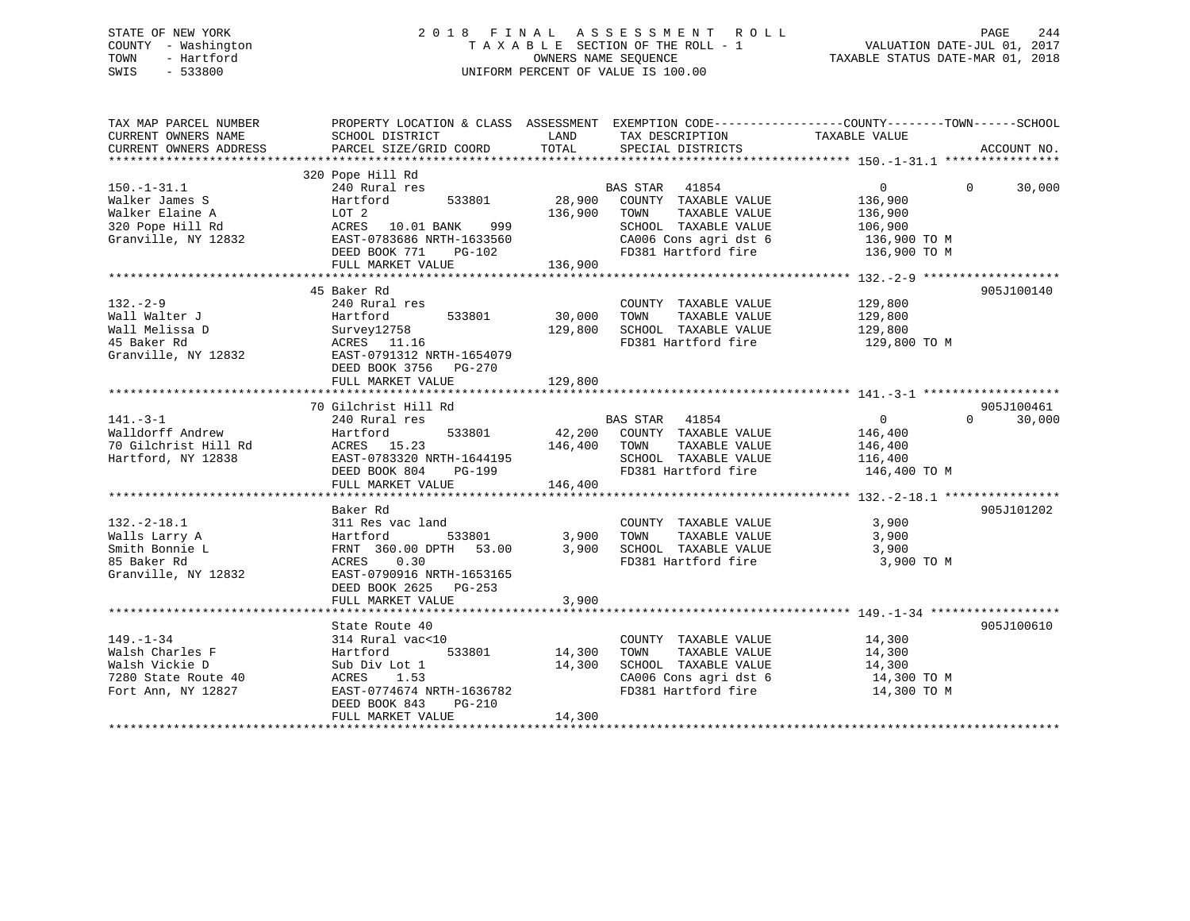# STATE OF NEW YORK 2 0 1 8 F I N A L A S S E S S M E N T R O L L PAGE 244 COUNTY - Washington T A X A B L E SECTION OF THE ROLL - 1 VALUATION DATE-JUL 01, 2017 TOWN - Hartford **TAXABLE STATUS DATE-MAR 01, 2018** OWNERS NAME SEQUENCE TAXABLE STATUS DATE-MAR 01, 2018 SWIS - 533800 UNIFORM PERCENT OF VALUE IS 100.00

| TAX MAP PARCEL NUMBER<br>CURRENT OWNERS NAME<br>CURRENT OWNERS ADDRESS                            | PROPERTY LOCATION & CLASS ASSESSMENT EXEMPTION CODE----------------COUNTY-------TOWN-----SCHOOL<br>SCHOOL DISTRICT<br>PARCEL SIZE/GRID COORD                | LAND<br>TOTAL                | TAX DESCRIPTION TAXABLE VALUE<br>SPECIAL DISTRICTS                                                                                                   |                                                                 | ACCOUNT NO.                      |
|---------------------------------------------------------------------------------------------------|-------------------------------------------------------------------------------------------------------------------------------------------------------------|------------------------------|------------------------------------------------------------------------------------------------------------------------------------------------------|-----------------------------------------------------------------|----------------------------------|
|                                                                                                   |                                                                                                                                                             |                              |                                                                                                                                                      |                                                                 |                                  |
| $150.-1-31.1$<br>Walker James S<br>Walker Elaine A<br>320 Pope Hill Rd<br>Granville, NY 12832     | 320 Pope Hill Rd<br>240 Rural res<br>Hartford<br>533801<br>LOT 2<br>ACRES 10.01 BANK 999<br>EAST-0783686 NRTH-1633560<br>DEED BOOK 771<br>PG-102            | 28,900<br>136,900            | BAS STAR 41854<br>COUNTY TAXABLE VALUE<br>TOWN<br>TAXABLE VALUE<br>SCHOOL TAXABLE VALUE<br>CA006 Cons agri dst 6 136,900 TO M<br>FD381 Hartford fire | $\overline{0}$<br>136,900<br>136,900<br>106,900<br>136,900 TO M | $\Omega$<br>30,000               |
|                                                                                                   | FULL MARKET VALUE                                                                                                                                           | 136,900                      |                                                                                                                                                      |                                                                 |                                  |
| $132 - 2 - 9$<br>Wall Walter J<br>Wall Melissa D<br>45 Baker Rd<br>Granville, NY 12832            | 45 Baker Rd<br>240 Rural res<br>Hartford<br>533801<br>Survey12758<br>ACRES 11.16<br>EAST-0791312 NRTH-1654079<br>DEED BOOK 3756 PG-270<br>FULL MARKET VALUE | 30,000<br>129,800<br>129,800 | COUNTY TAXABLE VALUE<br>TAXABLE VALUE<br>TOWN<br>SCHOOL TAXABLE VALUE<br>FD381 Hartford fire                                                         | 129,800<br>129,800<br>129,800<br>129,800 TO M                   | 905J100140                       |
|                                                                                                   |                                                                                                                                                             |                              |                                                                                                                                                      |                                                                 |                                  |
| $141. - 3 - 1$<br>Walldorff Andrew<br>70 Gilchrist Hill Rd<br>Hartford, NY 12838                  | 70 Gilchrist Hill Rd<br>240 Rural res<br>533801<br>Hartford<br>ACRES 15.23<br>EAST-0783320 NRTH-1644195<br>DEED BOOK 804 PG-199<br>FULL MARKET VALUE        | 146,400 TOWN<br>146,400      | BAS STAR 41854<br>42,200 COUNTY TAXABLE VALUE<br>TAXABLE VALUE<br>SCHOOL TAXABLE VALUE<br>FD381 Hartford fire 146,400 TO M                           | $\overline{0}$<br>146,400<br>146,400<br>116,400                 | 905J100461<br>$\Omega$<br>30,000 |
|                                                                                                   |                                                                                                                                                             |                              |                                                                                                                                                      |                                                                 |                                  |
| $132.-2-18.1$<br>Walls Larry A<br>Smith Bonnie L<br>85 Baker Rd<br>Granville, NY 12832            | Baker Rd<br>311 Res vac land<br>533801<br>Hartford<br>FRNT 360.00 DPTH 53.00<br>ACRES<br>0.30<br>EAST-0790916 NRTH-1653165<br>DEED BOOK 2625 PG-253         | 3,900<br>3,900               | COUNTY TAXABLE VALUE<br>TAXABLE VALUE<br>TOWN<br>SCHOOL TAXABLE VALUE<br>FD381 Hartford fire                                                         | 3,900<br>3,900<br>3,900<br>3,900 TO M                           | 905J101202                       |
|                                                                                                   | FULL MARKET VALUE                                                                                                                                           | 3,900                        |                                                                                                                                                      |                                                                 |                                  |
|                                                                                                   | State Route 40                                                                                                                                              |                              |                                                                                                                                                      |                                                                 | 905J100610                       |
| $149. - 1 - 34$<br>Walsh Charles F<br>Walsh Vickie D<br>7280 State Route 40<br>Fort Ann, NY 12827 | 314 Rural vac<10<br>Hartford<br>533801<br>Sub Div Lot 1<br>ACRES<br>1.53<br>EAST-0774674 NRTH-1636782<br>DEED BOOK 843<br>$PG-210$<br>FULL MARKET VALUE     | 14,300<br>14,300<br>14,300   | COUNTY TAXABLE VALUE<br>TOWN<br>TAXABLE VALUE<br>SCHOOL TAXABLE VALUE<br>CA006 Cons agri dst 6 14,300 TO M<br>FD381 Hartford fire                    | 14,300<br>14,300<br>14,300<br>14,300 TO M                       |                                  |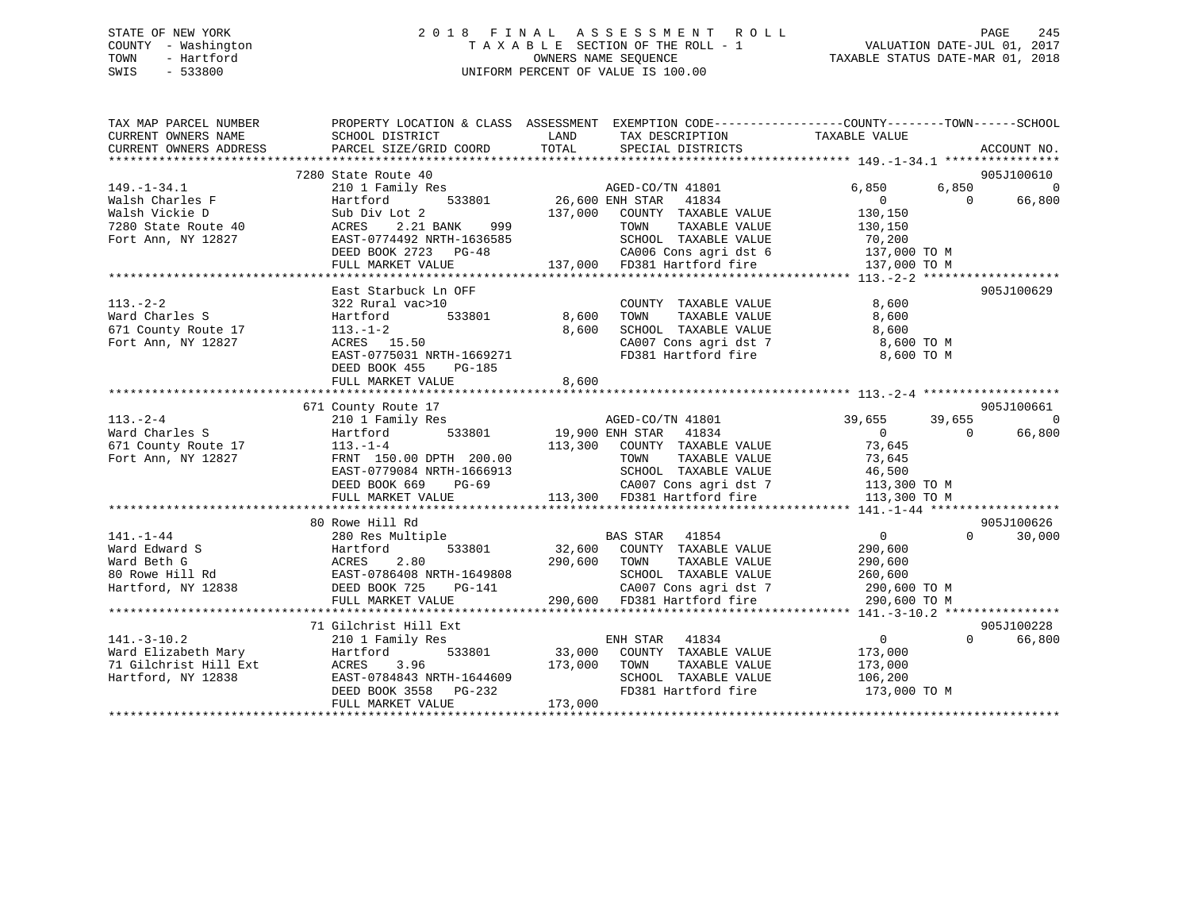# STATE OF NEW YORK 2 0 1 8 F I N A L A S S E S S M E N T R O L L PAGE 245 COUNTY - Washington T A X A B L E SECTION OF THE ROLL - 1 VALUATION DATE-JUL 01, 2017 TOWN - Hartford **TAXABLE STATUS DATE-MAR 01, 2018** OWNERS NAME SEQUENCE TAXABLE STATUS DATE-MAR 01, 2018 SWIS - 533800 UNIFORM PERCENT OF VALUE IS 100.00

| TAX MAP PARCEL NUMBER<br>CURRENT OWNERS NAME<br>CURRENT OWNERS ADDRESS                                                   | SCHOOL DISTRICT<br>PARCEL SIZE/GRID COORD            | LAND TAX DESCRIPTION<br>TOTAL SPECIAL DISTRICTS                                                                                                                                                                                        | PROPERTY LOCATION & CLASS ASSESSMENT EXEMPTION CODE---------------COUNTY-------TOWN------SCHOOL<br>TAXABLE VALUE<br>ACCOUNT NO. |
|--------------------------------------------------------------------------------------------------------------------------|------------------------------------------------------|----------------------------------------------------------------------------------------------------------------------------------------------------------------------------------------------------------------------------------------|---------------------------------------------------------------------------------------------------------------------------------|
|                                                                                                                          |                                                      |                                                                                                                                                                                                                                        |                                                                                                                                 |
|                                                                                                                          | 7280 State Route 40                                  |                                                                                                                                                                                                                                        | 905J100610                                                                                                                      |
| $149. - 1 - 34.1$<br>149.-1-34.1<br>Walsh Charles F                                                                      | 210 1 Family Res                                     | ily Res<br>533801 26,600 ENH STAR 41834                                                                                                                                                                                                | 6,850<br>6,850<br>$\Omega$                                                                                                      |
|                                                                                                                          | Hartford                                             |                                                                                                                                                                                                                                        | $\sim$ 0<br>$\sim$ 0<br>66,800                                                                                                  |
|                                                                                                                          |                                                      | NUMERIAL CONTRACTED MARINE VALUE<br>ACRES 2.21 BANK 999 TOWN TAXABLE VALUE 130,150<br>EAST-0774492 NRTH-1636585 SCHOOL TAXABLE VALUE 70,200                                                                                            |                                                                                                                                 |
| 7280 State Route 40                                                                                                      |                                                      |                                                                                                                                                                                                                                        |                                                                                                                                 |
| Fort Ann, NY 12827                                                                                                       |                                                      |                                                                                                                                                                                                                                        |                                                                                                                                 |
|                                                                                                                          | DEED BOOK 2723 PG-48                                 |                                                                                                                                                                                                                                        |                                                                                                                                 |
|                                                                                                                          | FULL MARKET VALUE                                    | CA006 Cons agri dst 6 137,000 TO M<br>137,000 FD381 Hartford fire 137,000 TO M                                                                                                                                                         |                                                                                                                                 |
|                                                                                                                          |                                                      |                                                                                                                                                                                                                                        |                                                                                                                                 |
|                                                                                                                          | East Starbuck Ln OFF                                 |                                                                                                                                                                                                                                        | 905J100629                                                                                                                      |
| $113. - 2 - 2$                                                                                                           | 322 Rural vac>10                                     | COUNTY TAXABLE VALUE                                                                                                                                                                                                                   | 8,600                                                                                                                           |
| Ward Charles S                                                                                                           | 533801 8,600<br>Hartford                             | TOWN<br>TAXABLE VALUE                                                                                                                                                                                                                  | 8,600                                                                                                                           |
| naru charies 5<br>671 County Route 17                                                                                    | $113. - 1 - 2$                                       | 8,600<br>SCHOOL TAXABLE VALUE                                                                                                                                                                                                          | 8,600                                                                                                                           |
| Fort Ann, NY 12827                                                                                                       |                                                      |                                                                                                                                                                                                                                        | CA007 Cons agri dst 7 8,600 TO M                                                                                                |
|                                                                                                                          | 113. 1 2<br>ACRES 15.50<br>EAST-0775031 NRTH-1669271 | FD381 Hartford fire                                                                                                                                                                                                                    | 8,600 TO M                                                                                                                      |
|                                                                                                                          | DEED BOOK 455 PG-185                                 |                                                                                                                                                                                                                                        |                                                                                                                                 |
|                                                                                                                          | FULL MARKET VALUE                                    | 8,600                                                                                                                                                                                                                                  |                                                                                                                                 |
|                                                                                                                          |                                                      |                                                                                                                                                                                                                                        |                                                                                                                                 |
|                                                                                                                          | 671 County Route 17                                  |                                                                                                                                                                                                                                        | 905J100661                                                                                                                      |
|                                                                                                                          |                                                      |                                                                                                                                                                                                                                        | $\Omega$                                                                                                                        |
| $113. - 2 - 4$                                                                                                           | 210 1 Family Res                                     | s<br>533801 19,900 ENH STAR 41834<br>AGED-CO/TN 41801                                                                                                                                                                                  | 39,655<br>39,655<br>66,800<br>$\Omega$                                                                                          |
| Ward Charles S<br>Ward Charles 5<br>671 County Route 17 113.-1-4<br>FRNT 150.00 DPTH 200.00                              | Hartford                                             |                                                                                                                                                                                                                                        | $\overline{0}$                                                                                                                  |
|                                                                                                                          |                                                      | 113,300 COUNTY TAXABLE VALUE<br>TOWN TAXABLE VALUE                                                                                                                                                                                     | 73,645<br>3,045<br>73,645                                                                                                       |
|                                                                                                                          |                                                      |                                                                                                                                                                                                                                        | TOWN IAAADDE VADUE<br>SCHOOL TAXABLE VALUE 46,500<br>CAOOZ Consaaridst 7 113,300 TO M                                           |
|                                                                                                                          | EAST-0779084 NRTH-1666913                            |                                                                                                                                                                                                                                        |                                                                                                                                 |
|                                                                                                                          | DEED BOOK 669 PG-69                                  | 69 CA007 Cons agri dst 7<br>113,300 FD381 Hartford fire                                                                                                                                                                                |                                                                                                                                 |
|                                                                                                                          | FULL MARKET VALUE                                    |                                                                                                                                                                                                                                        | 113,300 TO M                                                                                                                    |
|                                                                                                                          |                                                      |                                                                                                                                                                                                                                        |                                                                                                                                 |
|                                                                                                                          | 80 Rowe Hill Rd                                      |                                                                                                                                                                                                                                        | 905J100626                                                                                                                      |
|                                                                                                                          |                                                      | 280 Res Multiple 633801 BAS STAR 41854<br>Hartford 533801 32,600 COUNTY TAXABLE VALUE                                                                                                                                                  | $\overline{0}$<br>$\Omega$<br>30,000                                                                                            |
| 141.-1-44 280 Res Multiple<br>Ward Edward S<br>Ward Beth G<br>80 Rowe Hill Rd<br>Hartford, NY 12838 DEED BOOK 725 PG-141 |                                                      |                                                                                                                                                                                                                                        | 290,600                                                                                                                         |
|                                                                                                                          |                                                      | 290,600 TOWN<br>TAXABLE VALUE                                                                                                                                                                                                          | 290,600                                                                                                                         |
|                                                                                                                          |                                                      | SCHOOL TAXABLE VALUE                                                                                                                                                                                                                   | 260,600                                                                                                                         |
|                                                                                                                          |                                                      | H-1649808<br>PG-141                                                                                                                                                                                                                    |                                                                                                                                 |
|                                                                                                                          | FULL MARKET VALUE                                    | 99808 SCHOOL TAXABLE VALUE 260,600<br>141 290,600 CA007 Cons agri dst 7 290,600 TO M<br>290,600 290,600 FD381 Hartford fire 290,600 TO M                                                                                               |                                                                                                                                 |
|                                                                                                                          |                                                      |                                                                                                                                                                                                                                        |                                                                                                                                 |
|                                                                                                                          | 71 Gilchrist Hill Ext                                |                                                                                                                                                                                                                                        | 905J100228                                                                                                                      |
| $141. - 3 - 10.2$                                                                                                        | 210 1 Family Res                                     | ENH STAR 41834                                                                                                                                                                                                                         | $\overline{0}$<br>$\Omega$<br>66,800                                                                                            |
|                                                                                                                          |                                                      |                                                                                                                                                                                                                                        | 173,000                                                                                                                         |
|                                                                                                                          |                                                      |                                                                                                                                                                                                                                        | 173,000                                                                                                                         |
|                                                                                                                          |                                                      | SCHOOL TAXABLE VALUE                                                                                                                                                                                                                   | 106,200                                                                                                                         |
|                                                                                                                          |                                                      |                                                                                                                                                                                                                                        | FD381 Hartford fire 173,000 TO M                                                                                                |
|                                                                                                                          |                                                      | 141.-3-10.2<br>Ward Elizabeth Mary Hartford 533801 33,000 COUNIT IMANUE VALUE<br>71 Gilchrist Hill Ext ACRES 3.96 173,000 TOWN TAXABLE VALUE<br>Hartford, NY 12838 EAST-0784843 NRTH-1644609 SCHOOL TAXABLE VALUE<br>DEED BOOK 3558 PG |                                                                                                                                 |
|                                                                                                                          |                                                      |                                                                                                                                                                                                                                        |                                                                                                                                 |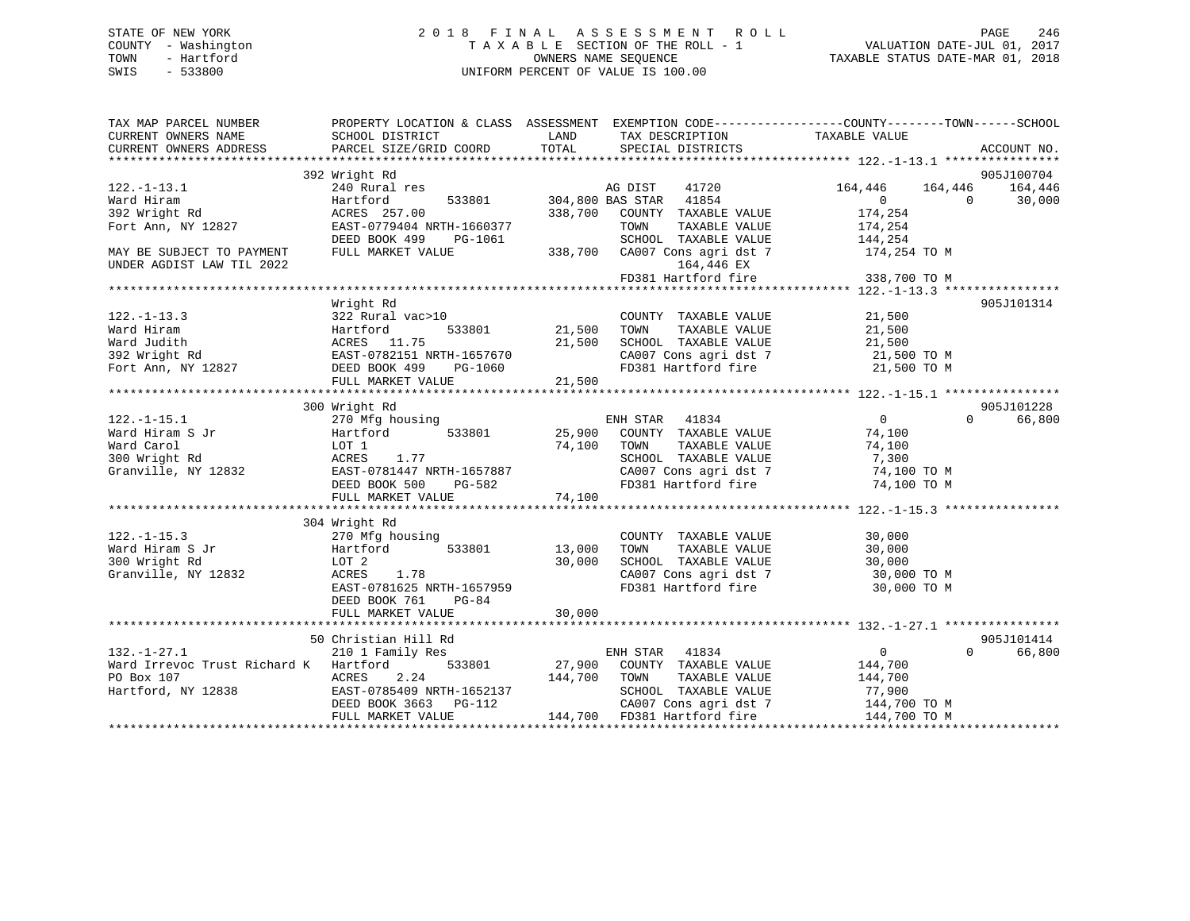# STATE OF NEW YORK 2 0 1 8 F I N A L A S S E S S M E N T R O L L PAGE 246 COUNTY - Washington T A X A B L E SECTION OF THE ROLL - 1 VALUATION DATE-JUL 01, 2017 TOWN - Hartford **TAXABLE STATUS DATE-MAR 01, 2018** OWNERS NAME SEQUENCE TAXABLE STATUS DATE-MAR 01, 2018 SWIS - 533800 UNIFORM PERCENT OF VALUE IS 100.00

| TAX MAP PARCEL NUMBER<br>CURRENT OWNERS NAME           | SCHOOL DISTRICT                                       | PROPERTY LOCATION & CLASS ASSESSMENT EXEMPTION CODE----------------COUNTY-------TOWN------SCHOOL<br>LAND<br>TAX DESCRIPTION | TAXABLE VALUE                                                                          |
|--------------------------------------------------------|-------------------------------------------------------|-----------------------------------------------------------------------------------------------------------------------------|----------------------------------------------------------------------------------------|
| CURRENT OWNERS ADDRESS                                 | PARCEL SIZE/GRID COORD                                | TOTAL<br>SPECIAL DISTRICTS                                                                                                  | ACCOUNT NO.                                                                            |
|                                                        |                                                       |                                                                                                                             |                                                                                        |
| $122. - 1 - 13.1$<br>Ward Hiram                        | 392 Wright Rd<br>240 Rural res<br>Hartford            | 41720<br>AG DIST<br>533801 304,800 BAS STAR 41854                                                                           | 905J100704<br>164,446<br>164,446<br>164,446<br>$0 \qquad \qquad$<br>30,000<br>$\Omega$ |
| 392 Wright Rd                                          | ACRES 257.00                                          | 338,700 COUNTY TAXABLE VALUE                                                                                                | 174,254                                                                                |
| Fort Ann, NY 12827                                     | EAST-0779404 NRTH-1660377<br>DEED BOOK 499<br>PG-1061 | TOWN<br>TAXABLE VALUE<br>SCHOOL TAXABLE VALUE                                                                               | 174,254<br>144,254                                                                     |
| MAY BE SUBJECT TO PAYMENT<br>UNDER AGDIST LAW TIL 2022 | FULL MARKET VALUE                                     | 338,700 CA007 Cons agri dst 7<br>164,446 EX                                                                                 | 174,254 TO M                                                                           |
|                                                        |                                                       | FD381 Hartford fire                                                                                                         | 338,700 TO M                                                                           |
|                                                        |                                                       |                                                                                                                             |                                                                                        |
| $122. - 1 - 13.3$                                      | Wright Rd<br>322 Rural vac>10                         | COUNTY TAXABLE VALUE                                                                                                        | 905J101314<br>21,500                                                                   |
| Ward Hiram                                             | 533801<br>Hartford                                    | 21,500<br>TOWN<br>TAXABLE VALUE                                                                                             | 21,500                                                                                 |
| Ward Judith                                            | ACRES 11.75                                           | 21,500<br>SCHOOL TAXABLE VALUE                                                                                              | 21,500                                                                                 |
| 392 Wright Rd                                          |                                                       | CA007 Cons agri dst 7 21,500 TO M                                                                                           |                                                                                        |
| Fort Ann, NY 12827                                     |                                                       | FD381 Hartford fire<br>21,500                                                                                               | 21,500 TO M                                                                            |
|                                                        | FULL MARKET VALUE                                     |                                                                                                                             |                                                                                        |
|                                                        | 300 Wright Rd                                         |                                                                                                                             | 905J101228                                                                             |
| $122. - 1 - 15.1$                                      | 270 Mfg housing                                       | ENH STAR 41834                                                                                                              | $\overline{0}$<br>66,800<br>$\Omega$                                                   |
| Ward Hiram S Jr                                        | 533801<br>Hartford                                    | 25,900<br>COUNTY TAXABLE VALUE                                                                                              | 74,100                                                                                 |
| Ward Carol                                             | LOT 1                                                 | 74,100<br>TOWN<br>TAXABLE VALUE                                                                                             | 74,100                                                                                 |
| 300 Wright Rd                                          | ACRES<br>1.77                                         | SCHOOL TAXABLE VALUE                                                                                                        | 7,300                                                                                  |
| Granville, NY 12832                                    | EAST-0781447 NRTH-1657887                             | CA007 Cons agri dst 7                                                                                                       | 74,100 TO M                                                                            |
|                                                        | DEED BOOK 500<br>PG-582                               | FD381 Hartford fire                                                                                                         | 74,100 TO M                                                                            |
|                                                        | FULL MARKET VALUE                                     | 74,100                                                                                                                      |                                                                                        |
|                                                        |                                                       |                                                                                                                             |                                                                                        |
|                                                        | 304 Wright Rd                                         |                                                                                                                             |                                                                                        |
| $122. - 1 - 15.3$                                      | 270 Mfg housing                                       | COUNTY TAXABLE VALUE                                                                                                        | 30,000                                                                                 |
| Ward Hiram S Jr                                        | Hartford<br>533801                                    | 13,000<br>TOWN<br>TAXABLE VALUE                                                                                             | 30,000                                                                                 |
| 300 Wright Rd                                          | LOT 2                                                 | 30,000<br>SCHOOL TAXABLE VALUE                                                                                              | 30,000                                                                                 |
| Granville, NY 12832                                    | ACRES<br>1.78                                         | CA007 Cons agri dst 7<br>2001 Time ford fire                                                                                | 30,000 TO M                                                                            |
|                                                        | EAST-0781625 NRTH-1657959                             | FD381 Hartford fire                                                                                                         | 30,000 TO M                                                                            |
|                                                        | DEED BOOK 761<br>$PG-84$                              |                                                                                                                             |                                                                                        |
|                                                        |                                                       |                                                                                                                             |                                                                                        |
|                                                        | 50 Christian Hill Rd                                  |                                                                                                                             | 905J101414                                                                             |
| $132. - 1 - 27.1$                                      | 210 1 Family Res                                      | ENH STAR<br>41834                                                                                                           | 0<br>$\Omega$<br>66,800                                                                |
| Ward Irrevoc Trust Richard K Hartford                  |                                                       | 533801 27,900 COUNTY TAXABLE VALUE                                                                                          | 144,700                                                                                |
| PO Box 107                                             | 2.24<br>ACRES                                         | 144,700<br>TOWN<br>TAXABLE VALUE                                                                                            | 144,700                                                                                |
| Hartford, NY 12838                                     | EAST-0785409 NRTH-1652137                             | SCHOOL TAXABLE VALUE                                                                                                        | 77,900                                                                                 |
|                                                        | DEED BOOK 3663 PG-112                                 | CA007 Cons agri dst 7                                                                                                       | 144,700 TO M                                                                           |
|                                                        | FULL MARKET VALUE                                     | 144,700 FD381 Hartford fire                                                                                                 | 144,700 TO M                                                                           |
|                                                        |                                                       |                                                                                                                             |                                                                                        |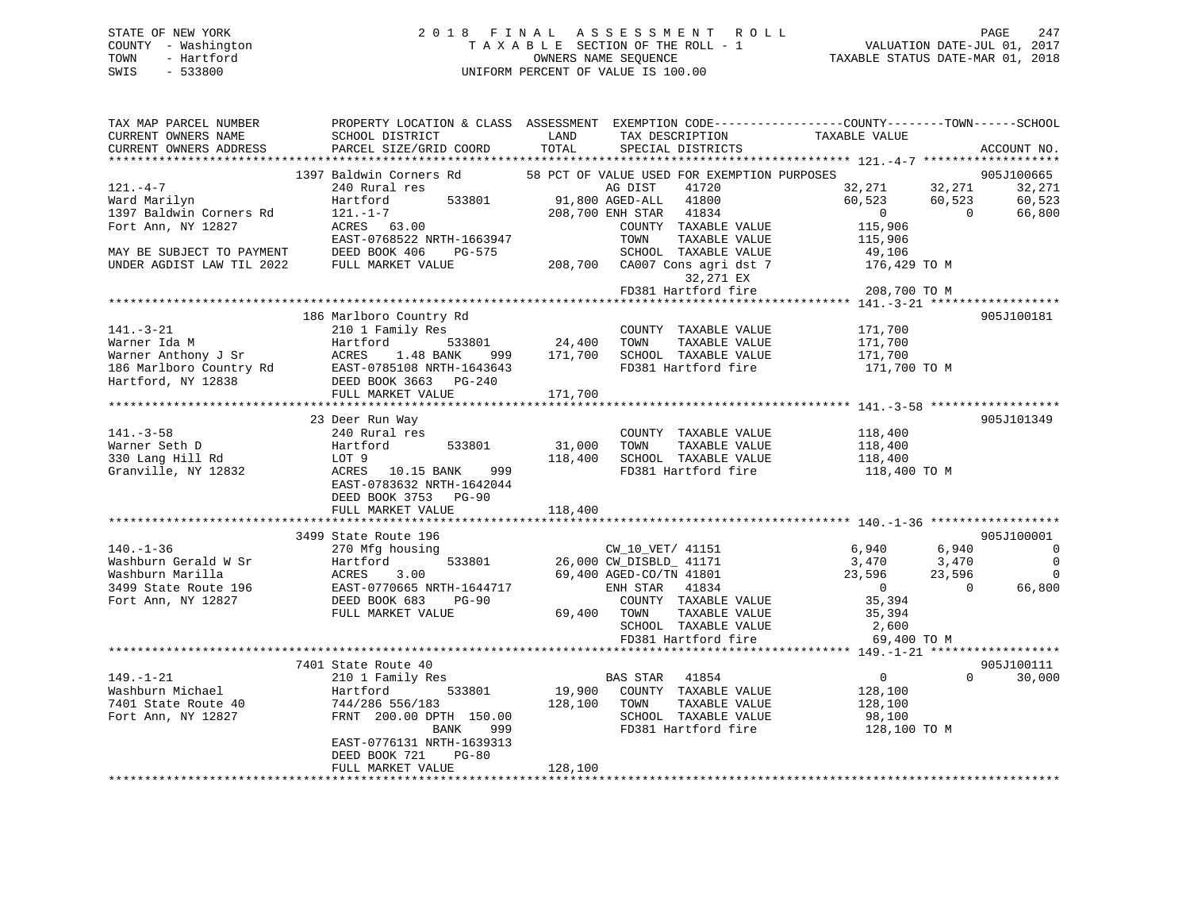# STATE OF NEW YORK 2 0 1 8 F I N A L A S S E S S M E N T R O L L PAGE 247 COUNTY - Washington T A X A B L E SECTION OF THE ROLL - 1 VALUATION DATE-JUL 01, 2017 TOWN - Hartford **TAXABLE STATUS DATE-MAR 01, 2018** OWNERS NAME SEQUENCE TAXABLE STATUS DATE-MAR 01, 2018 SWIS - 533800 UNIFORM PERCENT OF VALUE IS 100.00

| TAX MAP PARCEL NUMBER<br>CURRENT OWNERS NAME | PROPERTY LOCATION & CLASS ASSESSMENT EXEMPTION CODE----------------COUNTY-------TOWN------SCHOOL<br><b>EXAMPLE THE EXAMPLE THE EXAMPLE THE EXAMPLE THE EXAMPLE THE EXAMPLE THE EXAMPLE THE EXAMPLE THE EXAMPLE THE EXA</b><br>SCHOOL DISTRICT |                   | TAX DESCRIPTION                                                                   | TAXABLE VALUE                                                                                    |             |
|----------------------------------------------|-----------------------------------------------------------------------------------------------------------------------------------------------------------------------------------------------------------------------------------------------|-------------------|-----------------------------------------------------------------------------------|--------------------------------------------------------------------------------------------------|-------------|
| CURRENT OWNERS ADDRESS                       | PARCEL SIZE/GRID COORD                                                                                                                                                                                                                        | TOTAL             | SPECIAL DISTRICTS                                                                 |                                                                                                  | ACCOUNT NO. |
| $121. -4-7$                                  | 1397 Baldwin Corners Rd 58 PCT OF VALUE USED FOR EXEMPTION PURPOSES                                                                                                                                                                           |                   |                                                                                   |                                                                                                  | 905J100665  |
| Ward Marilyn<br>1397 Baldwin Corners Rd      | 240 Rural res<br>Hartford 533801 91,800 AGED-ALL 41800<br>121.-1-7 208,700 ENH STAR 41834<br>121.-1-7<br>ACRES 63.00                                                                                                                          |                   |                                                                                   | $32,271$ $32,271$ $32,271$ $32,271$<br>$60,523$ $60,523$ $60,523$<br>$0$ $66,800$<br>$115,906$   |             |
| Fort Ann, NY 12827                           | $EAST-0768522$ NRTH-1663947<br>DEED ROOK 405                                                                                                                                                                                                  |                   | COUNTY TAXABLE VALUE<br>TOWN TAXABLE VALUE 115,906<br>SCHOOL TAXABLE VALUE 49,106 |                                                                                                  |             |
| UNDER AGDIST LAW TIL 2022 FULL MARKET VALUE  | MAY BE SUBJECT TO PAYMENT DEED BOOK 406 PG-575<br>UNDER AGDIST LAW TIL 2022 THE MOOK 406 PG-575                                                                                                                                               |                   | 32,271 EX                                                                         | 208,700 CA007 Cons agri dst 7 176,429 TO M                                                       |             |
|                                              |                                                                                                                                                                                                                                               |                   | FD381 Hartford fire                                                               | 208,700 TO M                                                                                     |             |
|                                              | 186 Marlboro Country Rd                                                                                                                                                                                                                       |                   |                                                                                   |                                                                                                  | 905J100181  |
|                                              |                                                                                                                                                                                                                                               |                   |                                                                                   |                                                                                                  |             |
|                                              |                                                                                                                                                                                                                                               |                   |                                                                                   |                                                                                                  |             |
|                                              |                                                                                                                                                                                                                                               |                   |                                                                                   |                                                                                                  |             |
|                                              | 23 Deer Run Way                                                                                                                                                                                                                               |                   |                                                                                   |                                                                                                  | 905J101349  |
|                                              |                                                                                                                                                                                                                                               |                   | COUNTY TAXABLE VALUE 118,400                                                      |                                                                                                  |             |
|                                              |                                                                                                                                                                                                                                               | 31,000<br>118,400 | TOWN TAXABLE VALUE 118,400<br>SCHOOL TAXABLE VALUE 118,400                        |                                                                                                  |             |
|                                              |                                                                                                                                                                                                                                               |                   |                                                                                   |                                                                                                  |             |
|                                              | Example 2003<br>Marner Seth D 240 Rural res<br>330 Lang Hill Rd 2007 9<br>Granville, NY 12832 2007 9<br>ACRES 10.15 BANK 000<br>ACRES 10.15 BANK 999<br>DEED BOOK 3753 PG-90<br>FULL MARKET VALUE                                             | 118,400           | FD381 Hartford fire                                                               | 118,400 TO M                                                                                     |             |
|                                              |                                                                                                                                                                                                                                               |                   |                                                                                   |                                                                                                  |             |
|                                              | 3499 State Route 196                                                                                                                                                                                                                          |                   |                                                                                   |                                                                                                  | 905J100001  |
| $140. -1 - 36$                               |                                                                                                                                                                                                                                               |                   |                                                                                   |                                                                                                  |             |
|                                              |                                                                                                                                                                                                                                               |                   |                                                                                   |                                                                                                  |             |
|                                              |                                                                                                                                                                                                                                               |                   |                                                                                   | TOWN TAXABLE VALUE $35,394$<br>SCHOOL TAXABLE VALUE $2,600$<br>FD381 Hartford fire $69,400$ TO M |             |
|                                              |                                                                                                                                                                                                                                               |                   |                                                                                   |                                                                                                  |             |
|                                              | 7401 State Route 40<br>state KOUTE 40<br>210 1 Family Res                                                                                                                                                                                     |                   |                                                                                   | 0 0 30,000                                                                                       | 905J100111  |
| $149. - 1 - 21$                              |                                                                                                                                                                                                                                               |                   | <b>BAS STAR 41854</b><br>533801 19,900 COUNTY TAXABLE VALUE 128,100               |                                                                                                  |             |
|                                              |                                                                                                                                                                                                                                               | 128,100 TOWN      | TAXABLE VALUE                                                                     | 128,100                                                                                          |             |
|                                              | Washburn Michael 210 1 Pamily Res<br>7401 State Route 40<br>744/286 556/183<br>Fort Ann, NY 12827<br>FRNT 200.00 DPTH 150.00<br>144/286 556/105<br>FRNT 200.00 DPTH 150.00<br>999 ספר הארי<br>BANK 999                                        |                   | SCHOOL TAXABLE VALUE<br>FD381 Hartford fire                                       | 98,100<br>128,100 TO M                                                                           |             |
|                                              | EAST-0776131 NRTH-1639313<br>DEED BOOK 721<br>PG-80                                                                                                                                                                                           |                   |                                                                                   |                                                                                                  |             |
|                                              | FULL MARKET VALUE                                                                                                                                                                                                                             | 128,100           |                                                                                   |                                                                                                  |             |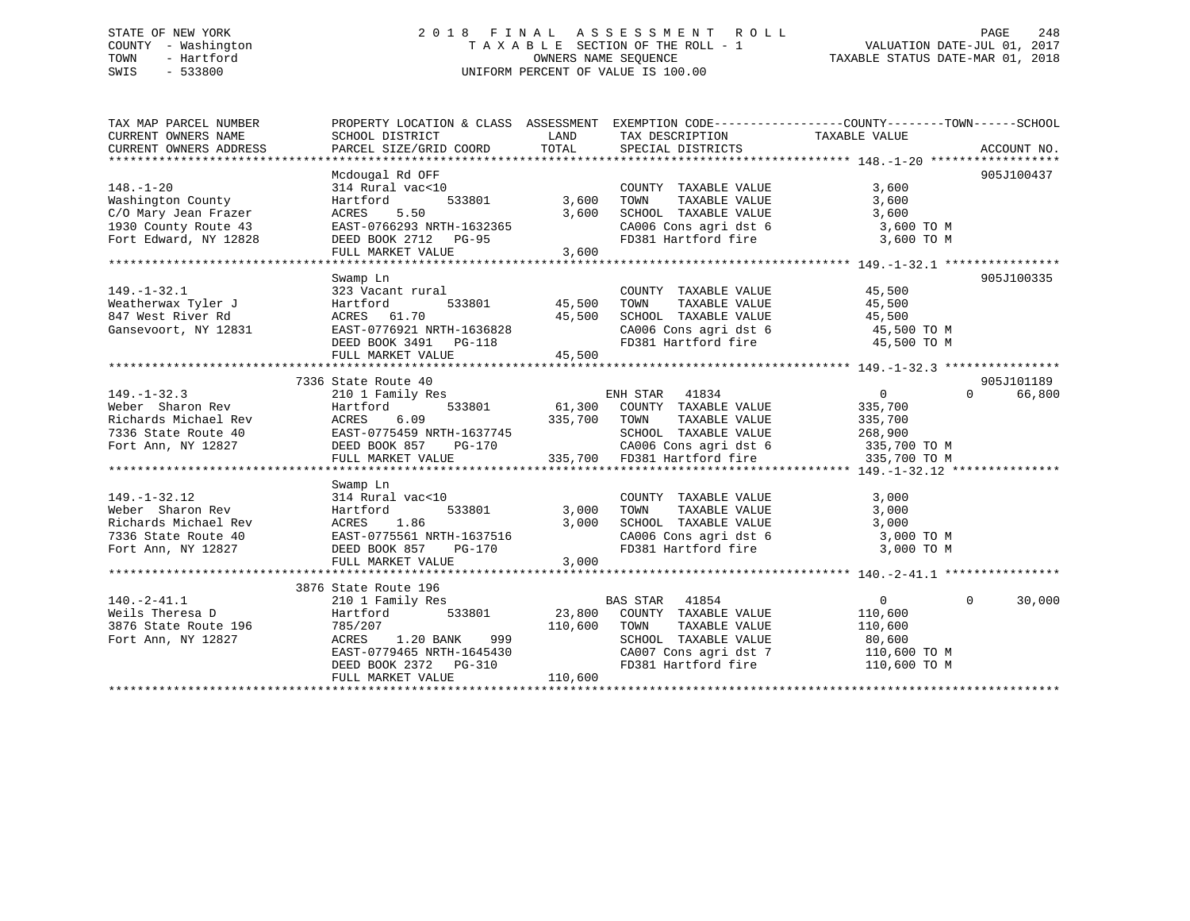# STATE OF NEW YORK 2 0 1 8 F I N A L A S S E S S M E N T R O L L PAGE 248 COUNTY - Washington T A X A B L E SECTION OF THE ROLL - 1 VALUATION DATE-JUL 01, 2017 TOWN - Hartford **TAXABLE STATUS DATE-MAR 01, 2018** OWNERS NAME SEQUENCE TAXABLE STATUS DATE-MAR 01, 2018 SWIS - 533800 UNIFORM PERCENT OF VALUE IS 100.00

| TAX MAP PARCEL NUMBER<br>CURRENT OWNERS NAME<br>CURRENT OWNERS ADDRESS                                        | SCHOOL DISTRICT<br>PARCEL SIZE/GRID COORD                                                                                                                                                                                                                              | LAND<br>TOTAL                     | TAX DESCRIPTION TAXABLE VALUE<br>SPECIAL DISTRICTS                                                                                                                         | PROPERTY LOCATION & CLASS ASSESSMENT EXEMPTION CODE----------------COUNTY-------TOWN------SCHOOL | ACCOUNT NO. |
|---------------------------------------------------------------------------------------------------------------|------------------------------------------------------------------------------------------------------------------------------------------------------------------------------------------------------------------------------------------------------------------------|-----------------------------------|----------------------------------------------------------------------------------------------------------------------------------------------------------------------------|--------------------------------------------------------------------------------------------------|-------------|
| $148. - 1 - 20$<br>Washington County<br>C/O Mary Jean Frazer<br>1930 County Route 43<br>Fort Edward, NY 12828 | Mcdougal Rd OFF<br>314 Rural vac<10<br>Hartford<br>ACRES<br>5.50<br>EAST-0766293 NRTH-1632365<br>DEED BOOK 2712 PG-95<br>FULL MARKET VALUE                                                                                                                             | 533801 3,600<br>3,600<br>3,600    | COUNTY TAXABLE VALUE<br>TAXABLE VALUE<br>TOWN<br>SCHOOL TAXABLE VALUE<br>$CA006$ Cons agri dst 6 3,600 TO M<br>FD381 Hartford fire 3,600 TO M                              | 3,600<br>3,600<br>3,600                                                                          | 905J100437  |
| $149. - 1 - 32.1$<br>Weatherwax Tyler J<br>847 West River Rd<br>Gansevoort, NY 12831                          | Swamp Ln<br>323 Vacant rural<br>Hartford<br>ACRES 61.70<br>ACRES 61.70 45,500<br>EAST-0776921 NRTH-1636828<br>DEED BOOK 3491 PG-118<br>FULL MARKET VALUE                                                                                                               | 533801 45,500<br>45,500<br>45,500 | COUNTY TAXABLE VALUE 45,500<br>TOWN<br>TAXABLE VALUE<br>SCHOOL TAXABLE VALUE $45,500$<br>CA006 Cons agri dst 6 $45,500$ TO M<br>FD381 Hartford fire $45,500$ TO M          | 45,500                                                                                           | 905J100335  |
|                                                                                                               | 7336 State Route 40                                                                                                                                                                                                                                                    |                                   |                                                                                                                                                                            |                                                                                                  | 905J101189  |
| $149. - 1 - 32.3$                                                                                             | 210 1 Family Res<br>я<br>533801<br>149.-1-32.3 210 1 Family Res<br>Weber Sharon Rev Hartford 533801 61,300<br>Richards Michael Rev ACRES 6.09 335,700<br>7336 State Route 40 EAST-0775459 NRTH-1637745<br>Fort Ann, NY 12827 DEED BOOK 857 PG-170<br>FULL MARKET VALUE | 335,700 TOWN                      | ENH STAR 41834<br>61,300 COUNTY TAXABLE VALUE<br>TAXABLE VALUE<br>SCHOOL TAXABLE VALUE                                                                                     | $\overline{0}$<br>$\Omega$<br>335,700<br>335,700<br>268,900                                      | 66,800      |
| $149. - 1 - 32.12$                                                                                            | Swamp Ln<br>314 Rural vac<10<br>Weber Sharon Rev Hartford 533801 3,00<br>Richards Michael Rev ACRES 1.86 3,00<br>7336 State Route 40 EAST-0775561 NRTH-1637516 500<br>Fort Ann, NY 12827 DEED BOOK 857 PG-170<br>FULL MARKET VALUE                                     | 533801 3,000<br>3,000<br>3,000    | COUNTY TAXABLE VALUE<br>TAXABLE VALUE<br>TOWN<br>SCHOOL TAXABLE VALUE<br>CA006 Cons agri dst 6 $\overline{3}$ ,000 TO M<br>FD381 Hartford fire                             | 3,000<br>3,000<br>3,000<br>3,000 TO M                                                            |             |
| $140.-2-41.1$<br>Weils Theresa D<br>3876 State Route 196<br>Fort Ann, NY 12827                                | 3876 State Route 196<br>210 1 Family Res<br>533801<br>Hartford<br>785/207<br>999<br>ACRES<br>1.20 BANK<br>EAST-0779465 NRTH-1645430<br>DEED BOOK 2372 PG-310<br>FULL MARKET VALUE                                                                                      | 110,600 TOWN<br>110,600           | <b>BAS STAR</b><br>41854<br>23,800 COUNTY TAXABLE VALUE<br>TAXABLE VALUE<br>SCHOOL TAXABLE VALUE<br>CA007 Cons agri dst 7 110,600 TO M<br>FD381 Hartford fire 110,600 TO M | $\Omega$<br>$\overline{0}$<br>110,600<br>110,600<br>80,600                                       | 30,000      |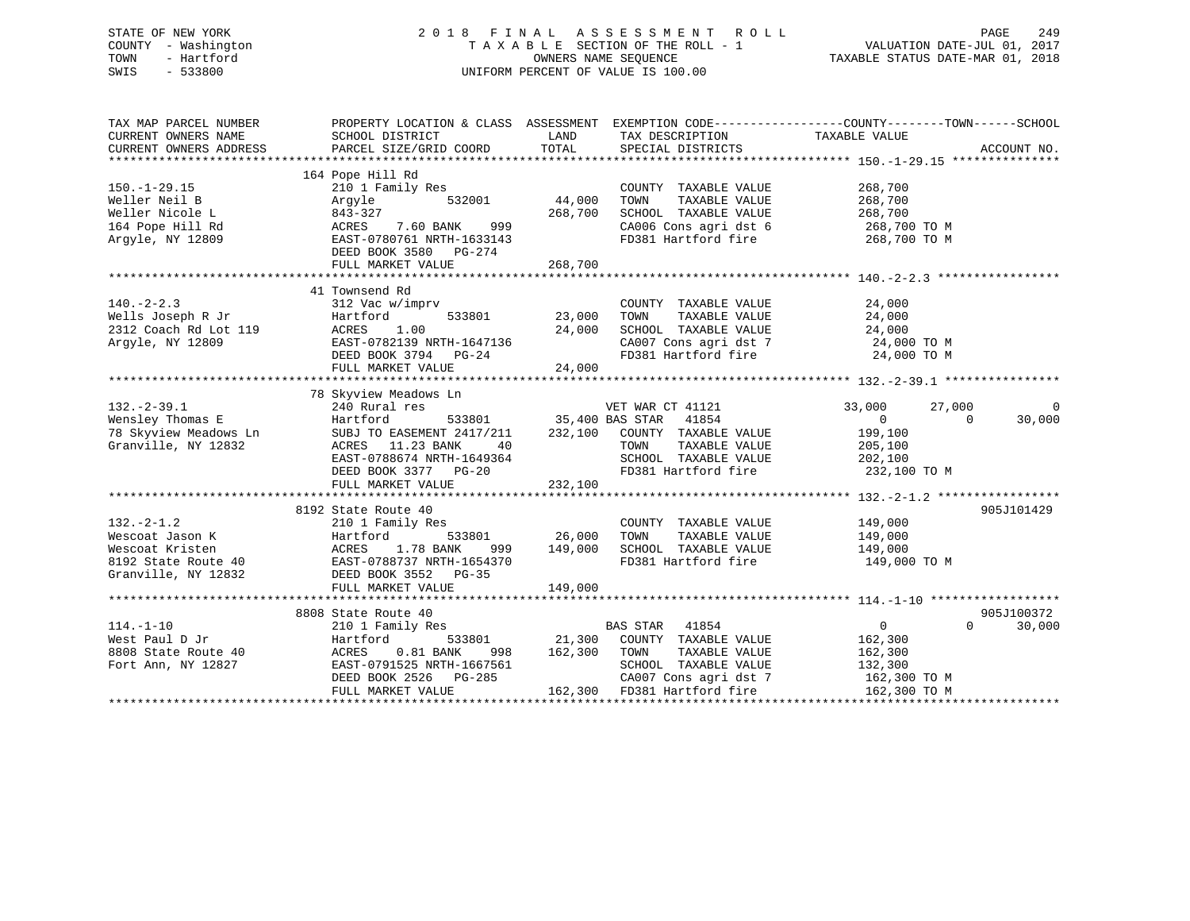# STATE OF NEW YORK 2 0 1 8 F I N A L A S S E S S M E N T R O L L PAGE 249 COUNTY - Washington T A X A B L E SECTION OF THE ROLL - 1 VALUATION DATE-JUL 01, 2017 TOWN - Hartford **TAXABLE STATUS DATE-MAR 01, 2018** OWNERS NAME SEQUENCE TAXABLE STATUS DATE-MAR 01, 2018 SWIS - 533800 UNIFORM PERCENT OF VALUE IS 100.00

| TAX MAP PARCEL NUMBER  |                                                                                                                                                                                                                                    |                                             |                                                                        | PROPERTY LOCATION & CLASS ASSESSMENT EXEMPTION CODE----------------COUNTY-------TOWN------SCHOOL |                    |
|------------------------|------------------------------------------------------------------------------------------------------------------------------------------------------------------------------------------------------------------------------------|---------------------------------------------|------------------------------------------------------------------------|--------------------------------------------------------------------------------------------------|--------------------|
| CURRENT OWNERS NAME    | SCHOOL DISTRICT                                                                                                                                                                                                                    | <b>LAND</b>                                 | TAX DESCRIPTION                                                        | TAXABLE VALUE                                                                                    |                    |
| CURRENT OWNERS ADDRESS | PARCEL SIZE/GRID COORD                                                                                                                                                                                                             | TOTAL                                       | SPECIAL DISTRICTS                                                      |                                                                                                  | ACCOUNT NO.        |
|                        |                                                                                                                                                                                                                                    |                                             |                                                                        |                                                                                                  |                    |
|                        | 164 Pope Hill Rd                                                                                                                                                                                                                   |                                             |                                                                        |                                                                                                  |                    |
| $150. - 1 - 29.15$     | Pope Hill Ku<br>210 1 Family Res<br>Arovle 532001 44,000                                                                                                                                                                           |                                             | COUNTY TAXABLE VALUE                                                   | 268,700                                                                                          |                    |
| Weller Neil B          |                                                                                                                                                                                                                                    |                                             | TAXABLE VALUE<br>TOWN                                                  | 268,700                                                                                          |                    |
| Weller Nicole L        |                                                                                                                                                                                                                                    | 268,700                                     | SCHOOL TAXABLE VALUE                                                   | 268,700                                                                                          |                    |
| 164 Pope Hill Rd       |                                                                                                                                                                                                                                    |                                             |                                                                        |                                                                                                  |                    |
| Argyle, NY 12809       | 210 1 ram11y Res<br>Argyle 532001 44,<br>843-327 268,<br>ACRES 7.60 BANK 999<br>EAST-0780761 NRTH-1633143                                                                                                                          |                                             | CA006 Cons agri dst 6 268,700 TO M<br>FD381 Hartford fire 268,700 TO M |                                                                                                  |                    |
|                        | DEED BOOK 3580 PG-274                                                                                                                                                                                                              |                                             |                                                                        |                                                                                                  |                    |
|                        | FULL MARKET VALUE                                                                                                                                                                                                                  | 268,700                                     |                                                                        |                                                                                                  |                    |
|                        |                                                                                                                                                                                                                                    |                                             |                                                                        |                                                                                                  |                    |
|                        | 41 Townsend Rd                                                                                                                                                                                                                     |                                             |                                                                        |                                                                                                  |                    |
| $140. -2 - 2.3$        | 312 Vac w/imprv                                                                                                                                                                                                                    |                                             | COUNTY TAXABLE VALUE                                                   | 24,000                                                                                           |                    |
|                        |                                                                                                                                                                                                                                    | COUNT 533801 23,000 TOWN                    |                                                                        | TAXABLE VALUE 24,000                                                                             |                    |
|                        |                                                                                                                                                                                                                                    |                                             |                                                                        |                                                                                                  |                    |
|                        |                                                                                                                                                                                                                                    |                                             | SCHOOL TAXABLE VALUE 24,000<br>CA007 Cons agri dst 7 24,000 TO M       |                                                                                                  |                    |
|                        |                                                                                                                                                                                                                                    |                                             | FD381 Hartford fire 24,000 TO M                                        |                                                                                                  |                    |
|                        |                                                                                                                                                                                                                                    |                                             |                                                                        |                                                                                                  |                    |
|                        | FULL MARKET VALUE                                                                                                                                                                                                                  | 24,000                                      |                                                                        |                                                                                                  |                    |
|                        |                                                                                                                                                                                                                                    |                                             |                                                                        |                                                                                                  |                    |
|                        | 78 Skyview Meadows Ln                                                                                                                                                                                                              |                                             | VET WAR CT $41121$                                                     |                                                                                                  |                    |
| $132 - 2 - 39.1$       | 240 Rural res                                                                                                                                                                                                                      |                                             |                                                                        | 33,000<br>27,000                                                                                 | $\overline{0}$     |
|                        | 132.-2-39.1<br>Weil War Clift Hart Hotel (1994)<br>Mensiley Thomas E Hart Hart Hotel (1995)<br>The Subj To EASEMENT 2417/211 232,100 COUNTY TAXABLE VALUE<br>Granville, NY 12832 ACRES 11.23 BANK 40 TOWN TAXABLE VALUE            |                                             |                                                                        | $\overline{0}$<br>$\overline{0}$                                                                 | 30,000             |
|                        |                                                                                                                                                                                                                                    |                                             |                                                                        | 199,100                                                                                          |                    |
|                        |                                                                                                                                                                                                                                    |                                             |                                                                        |                                                                                                  |                    |
|                        |                                                                                                                                                                                                                                    |                                             |                                                                        |                                                                                                  |                    |
|                        |                                                                                                                                                                                                                                    |                                             | FD381 Hartford fire 232,100 TO M                                       |                                                                                                  |                    |
|                        | ACRES 11.23 BANK 40 TOWN TAXABLE VALUE 205,100<br>EAST-0788674 NRTH-1649364 SCHOOL TAXABLE VALUE 202,100<br>DEED BOOK 3377 PG-20 FD381 Hartford fire 232,100<br>FULL MARKET VALUE 232,100                                          |                                             |                                                                        |                                                                                                  |                    |
|                        |                                                                                                                                                                                                                                    |                                             |                                                                        |                                                                                                  |                    |
|                        | 8192 State Route 40                                                                                                                                                                                                                |                                             |                                                                        |                                                                                                  | 905J101429         |
| $132 - 2 - 1.2$        | 210 1 Family Res                                                                                                                                                                                                                   |                                             | COUNTY TAXABLE VALUE 149,000                                           |                                                                                                  |                    |
|                        |                                                                                                                                                                                                                                    |                                             | TOWN                                                                   | TAXABLE VALUE 149,000                                                                            |                    |
|                        |                                                                                                                                                                                                                                    | 。<br>533801    26,000<br>\NK  999   149,000 | SCHOOL TAXABLE VALUE                                                   | 149,000                                                                                          |                    |
|                        | Wescoat Jason K<br>Wescoat Jason K<br>Wescoat Kristen<br>8192 State Route 40<br>Granville, NY 12832<br>DEED BOOK 3552<br>DEED BOOK 352<br>DEED BOOK 352<br>PG-35                                                                   |                                             | FD381 Hartford fire 149,000 TO M                                       |                                                                                                  |                    |
|                        |                                                                                                                                                                                                                                    |                                             |                                                                        |                                                                                                  |                    |
|                        | FULL MARKET VALUE                                                                                                                                                                                                                  | 149,000                                     |                                                                        |                                                                                                  |                    |
|                        |                                                                                                                                                                                                                                    |                                             |                                                                        |                                                                                                  |                    |
|                        | 8808 State Route 40                                                                                                                                                                                                                |                                             |                                                                        |                                                                                                  | 905J100372         |
| $114. - 1 - 10$        |                                                                                                                                                                                                                                    |                                             |                                                                        | $\overline{0}$                                                                                   | 30,000<br>$\Omega$ |
|                        |                                                                                                                                                                                                                                    |                                             |                                                                        |                                                                                                  |                    |
|                        |                                                                                                                                                                                                                                    |                                             |                                                                        |                                                                                                  |                    |
|                        |                                                                                                                                                                                                                                    |                                             |                                                                        |                                                                                                  |                    |
|                        |                                                                                                                                                                                                                                    |                                             |                                                                        |                                                                                                  |                    |
|                        | West Paul D Jr (19.19) Handred McRES (19.300 21,300 CONTY TAXABLE VALUE 162,300<br>8808 State Route 40 ACRES (19.300 ACRES 162,300 TOWN TAXABLE VALUE 162,300<br>Fort Ann, NY 12827 EAST-0791525 NRTH-1667561 SCHOOL TAXABLE VALUE |                                             |                                                                        |                                                                                                  |                    |
|                        |                                                                                                                                                                                                                                    |                                             |                                                                        |                                                                                                  |                    |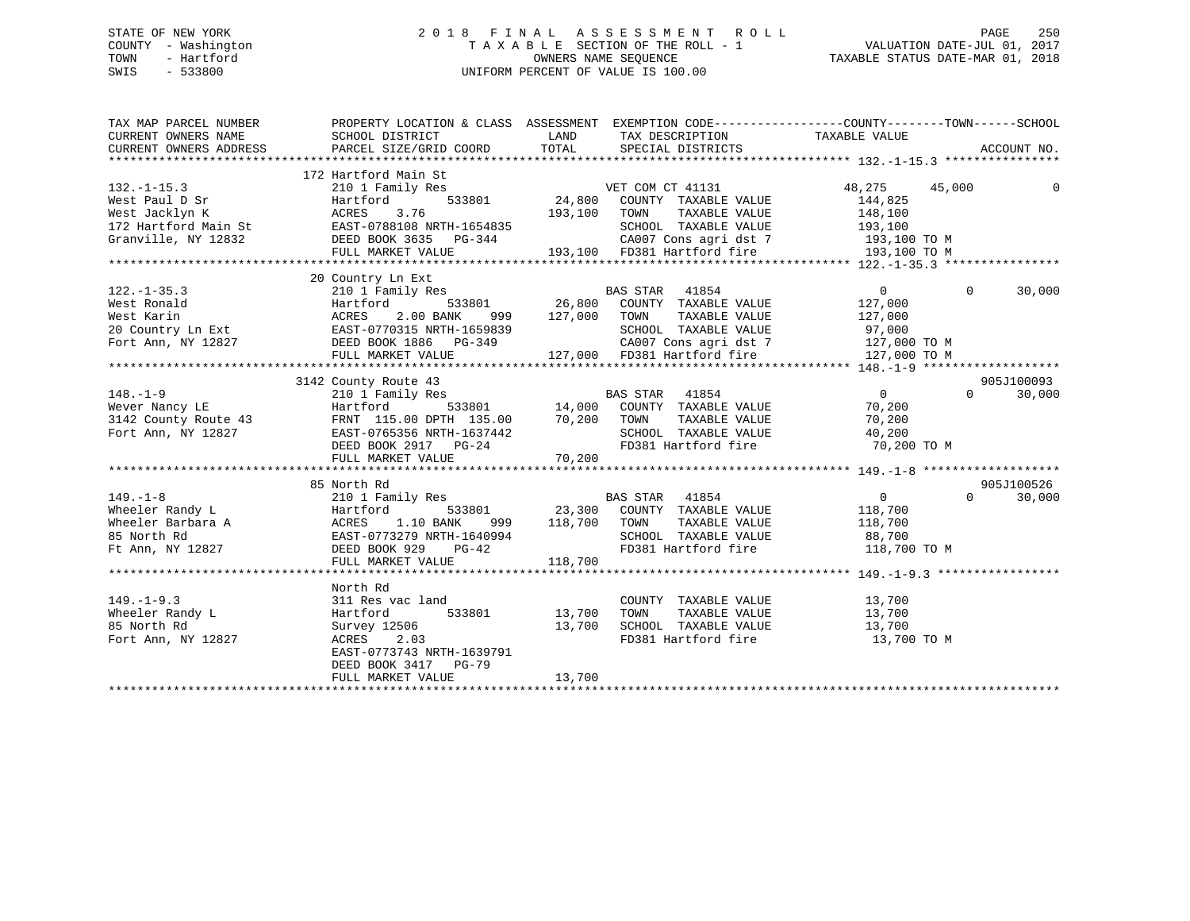# STATE OF NEW YORK 2 0 1 8 F I N A L A S S E S S M E N T R O L L PAGE 250 COUNTY - Washington T A X A B L E SECTION OF THE ROLL - 1 VALUATION DATE-JUL 01, 2017 TOWN - Hartford **TAXABLE STATUS DATE-MAR 01, 2018** OWNERS NAME SEQUENCE TAXABLE STATUS DATE-MAR 01, 2018 SWIS - 533800 UNIFORM PERCENT OF VALUE IS 100.00

| TAX MAP PARCEL NUMBER<br>CURRENT OWNERS NAME                                                                                                                                                   | PROPERTY LOCATION & CLASS ASSESSMENT EXEMPTION CODE---------------COUNTY-------TOWN-----SCHOOL |                  |                                                                                     |                   |                             |
|------------------------------------------------------------------------------------------------------------------------------------------------------------------------------------------------|------------------------------------------------------------------------------------------------|------------------|-------------------------------------------------------------------------------------|-------------------|-----------------------------|
|                                                                                                                                                                                                |                                                                                                |                  |                                                                                     |                   |                             |
|                                                                                                                                                                                                | 172 Hartford Main St                                                                           |                  |                                                                                     |                   |                             |
| $132. - 1 - 15.3$                                                                                                                                                                              | 210 1 Family Res                                                                               |                  | VET COM CT 41131                                                                    | 48,275 45,000     | 0                           |
| Vest Paul D Sr<br>West Paul D Sr<br>West Jacklyn K<br>193,100<br>172 Hartford Main St<br>Granville, NY 12832<br>DEED BOOK 3635 PG-344                                                          |                                                                                                |                  | Res<br>533801 24,800 COUNTY TAXABLE VALUE                                           | 144,825           |                             |
|                                                                                                                                                                                                |                                                                                                | 193,100 TOWN     | TOWN TAXABLE VALUE 148,100<br>SCHOOL TAXABLE VALUE 193,100                          |                   |                             |
|                                                                                                                                                                                                |                                                                                                |                  |                                                                                     |                   |                             |
|                                                                                                                                                                                                |                                                                                                |                  |                                                                                     |                   |                             |
|                                                                                                                                                                                                | FULL MARKET VALUE                                                                              |                  | -344 2A007 Cons agri dst 7 193,100 TO M<br>193,100 FD381 Hartford fire 193,100 TO M |                   |                             |
|                                                                                                                                                                                                |                                                                                                |                  |                                                                                     |                   |                             |
|                                                                                                                                                                                                | 20 Country Ln Ext                                                                              |                  |                                                                                     |                   |                             |
|                                                                                                                                                                                                |                                                                                                |                  |                                                                                     | $0 \qquad \qquad$ | $\mathbf{0}$<br>30,000      |
| $122. -1 - 35.3$                                                                                                                                                                               |                                                                                                |                  |                                                                                     | 127,000           |                             |
|                                                                                                                                                                                                |                                                                                                | 999 127,000 TOWN | TAXABLE VALUE                                                                       | 127,000           |                             |
|                                                                                                                                                                                                |                                                                                                |                  |                                                                                     |                   |                             |
| 122.-1-35.3<br>West Ronald Mest Martford Bart Martford<br>West Karin Martford 2.00 BANK 999 127,000<br>20 Country Ln Ext EAST-0770315 NRTH-1659839<br>Fort Ann, NY 12827 DEED BOOK 1886 PG-349 |                                                                                                |                  | SCHOOL TAXABLE VALUE 97,000<br>CA007 Cons agri dst 7 127,000 TO M                   |                   |                             |
|                                                                                                                                                                                                | FULL MARKET VALUE                                                                              |                  | 127,000 FD381 Hartford fire                                                         | 127,000 TO M      |                             |
|                                                                                                                                                                                                |                                                                                                |                  |                                                                                     |                   |                             |
|                                                                                                                                                                                                | 3142 County Route 43                                                                           |                  |                                                                                     |                   | 905J100093                  |
|                                                                                                                                                                                                |                                                                                                |                  |                                                                                     |                   |                             |
|                                                                                                                                                                                                |                                                                                                |                  |                                                                                     |                   |                             |
|                                                                                                                                                                                                |                                                                                                |                  |                                                                                     |                   |                             |
|                                                                                                                                                                                                |                                                                                                |                  |                                                                                     |                   |                             |
|                                                                                                                                                                                                |                                                                                                |                  |                                                                                     |                   |                             |
|                                                                                                                                                                                                |                                                                                                |                  |                                                                                     |                   |                             |
|                                                                                                                                                                                                |                                                                                                |                  |                                                                                     |                   |                             |
|                                                                                                                                                                                                | 85 North Rd                                                                                    |                  |                                                                                     |                   | 905J100526                  |
| $149. - 1 - 8$                                                                                                                                                                                 | 210 1 Family Res BAS STAR 41854                                                                |                  |                                                                                     | $\overline{0}$    | $0 \qquad \qquad$<br>30,000 |
|                                                                                                                                                                                                |                                                                                                |                  | 533801 23,300 COUNTY TAXABLE VALUE 118,700                                          |                   |                             |
|                                                                                                                                                                                                |                                                                                                | 999 118,700 TOWN |                                                                                     |                   |                             |
| Text Text 210 Text 210 Family Res<br>Wheeler Randy L<br>Wheeler Barbara A ACRES 1.10 BANK 999<br>85 North Rd<br>Ft Ann, NY 12827 DEED BOOK 929 PG-42                                           |                                                                                                |                  | TOWN TAXABLE VALUE 118,700<br>SCHOOL TAXABLE VALUE 88,700                           |                   |                             |
|                                                                                                                                                                                                |                                                                                                |                  | FD381 Hartford fire 118,700 TO M                                                    |                   |                             |
|                                                                                                                                                                                                | FULL MARKET VALUE                                                                              | 118,700          |                                                                                     |                   |                             |
|                                                                                                                                                                                                |                                                                                                |                  |                                                                                     |                   |                             |
|                                                                                                                                                                                                | North Rd                                                                                       |                  |                                                                                     |                   |                             |
| $149. - 1 - 9.3$                                                                                                                                                                               | 311 Res vac land                                                                               |                  |                                                                                     |                   |                             |
| Wheeler Randy L                                                                                                                                                                                | 533801 13,700<br>Hartford                                                                      |                  | COUNTY TAXABLE VALUE 13,700<br>TOWN TAXABLE VALUE 13,700                            |                   |                             |
| 85 North Rd                                                                                                                                                                                    | 13,700<br>Survey 12506                                                                         |                  | SCHOOL TAXABLE VALUE 13,700                                                         |                   |                             |
| Fort Ann, NY 12827                                                                                                                                                                             | ACRES 2.03                                                                                     |                  | FD381 Hartford fire                                                                 | 13,700 TO M       |                             |
|                                                                                                                                                                                                | EAST-0773743 NRTH-1639791                                                                      |                  |                                                                                     |                   |                             |
|                                                                                                                                                                                                | DEED BOOK 3417 PG-79                                                                           |                  |                                                                                     |                   |                             |
|                                                                                                                                                                                                | FULL MARKET VALUE                                                                              | 13,700           |                                                                                     |                   |                             |
|                                                                                                                                                                                                |                                                                                                |                  |                                                                                     |                   |                             |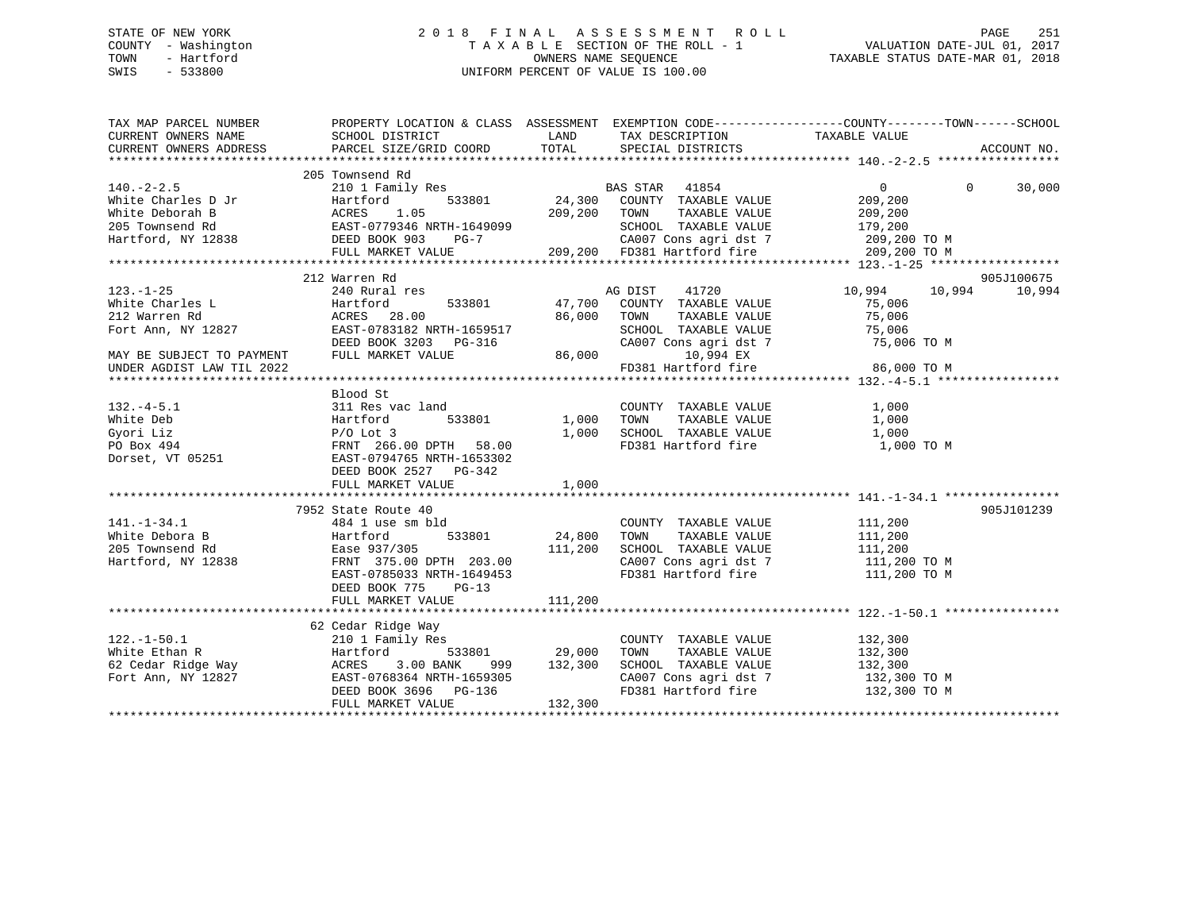# STATE OF NEW YORK 2 0 1 8 F I N A L A S S E S S M E N T R O L L PAGE 251 COUNTY - Washington T A X A B L E SECTION OF THE ROLL - 1 VALUATION DATE-JUL 01, 2017 TOWN - Hartford **TAXABLE STATUS DATE-MAR 01, 2018** OWNERS NAME SEQUENCE TAXABLE STATUS DATE-MAR 01, 2018 SWIS - 533800 UNIFORM PERCENT OF VALUE IS 100.00

| TAX MAP PARCEL NUMBER  | PROPERTY LOCATION & CLASS ASSESSMENT EXEMPTION CODE-----------------COUNTY-------TOWN------SCHOOL                                                                                                                                                                                                                                                                                                                  |         |                                                                                                                                 |                       |                    |
|------------------------|--------------------------------------------------------------------------------------------------------------------------------------------------------------------------------------------------------------------------------------------------------------------------------------------------------------------------------------------------------------------------------------------------------------------|---------|---------------------------------------------------------------------------------------------------------------------------------|-----------------------|--------------------|
| CURRENT OWNERS NAME    | SCHOOL DISTRICT                                                                                                                                                                                                                                                                                                                                                                                                    | LAND    | TAX DESCRIPTION TAXABLE VALUE SPECIAL DISTRICTS                                                                                 |                       |                    |
| CURRENT OWNERS ADDRESS | PARCEL SIZE/GRID COORD                                                                                                                                                                                                                                                                                                                                                                                             |         | TOTAL SPECIAL DISTRICTS                                                                                                         |                       | ACCOUNT NO.        |
|                        |                                                                                                                                                                                                                                                                                                                                                                                                                    |         |                                                                                                                                 |                       |                    |
|                        | 205 Townsend Rd<br>$\begin{array}{ccccccccc} & & & & & & 205& & 200& & 200& & 200& & 200& & 200& & 200& & 200& & 200& & 200& & 200& & 200& & 200& & 200& & 200& & 200& & 200& & 200& & 200& & 200& & 200& & 200& & 200& & 200& & 200& & 200& & 200& & 200& & 200& & 200& & 200& & 200& & 200& & 200& & $                                                                                                           |         |                                                                                                                                 |                       |                    |
|                        |                                                                                                                                                                                                                                                                                                                                                                                                                    |         |                                                                                                                                 | $\overline{0}$        | $\Omega$<br>30,000 |
|                        |                                                                                                                                                                                                                                                                                                                                                                                                                    |         |                                                                                                                                 |                       |                    |
|                        |                                                                                                                                                                                                                                                                                                                                                                                                                    |         |                                                                                                                                 |                       |                    |
|                        |                                                                                                                                                                                                                                                                                                                                                                                                                    |         | SCHOOL TAXABLE VALUE 179,200<br>CA007 Cons agri dst 7 1209,200 TO M                                                             |                       |                    |
|                        |                                                                                                                                                                                                                                                                                                                                                                                                                    |         |                                                                                                                                 | 209,200 TO M          |                    |
|                        |                                                                                                                                                                                                                                                                                                                                                                                                                    |         |                                                                                                                                 |                       |                    |
|                        | 212 Warren Rd                                                                                                                                                                                                                                                                                                                                                                                                      |         |                                                                                                                                 |                       | 905J100675         |
|                        | 123.-1-25<br>White Charles L<br>212 Warren Rd<br>Fort Ann, NY 12827<br>227<br>22827<br>22827<br>22827<br>22827<br>22827<br>22827<br>22827<br>22827<br>22827<br>22827<br>22827<br>22827<br>22827<br>22827<br>22827<br>22827<br>22827<br>22827<br>22827<br>22827<br>22827<br>22827<br>                                                                                                                               |         |                                                                                                                                 | 10,994 10,994         | 10,994             |
|                        |                                                                                                                                                                                                                                                                                                                                                                                                                    |         | $\begin{tabular}{lllllll} \bf res & & \bf AG\ DIST & 41720 \\ \bf 533801 & 47,700 & \tt COUNTY\ & TAXABLE\ VALUE \end{tabular}$ | 75,006                |                    |
|                        |                                                                                                                                                                                                                                                                                                                                                                                                                    |         |                                                                                                                                 |                       |                    |
|                        |                                                                                                                                                                                                                                                                                                                                                                                                                    |         |                                                                                                                                 |                       |                    |
|                        |                                                                                                                                                                                                                                                                                                                                                                                                                    |         | TOWN TAXABLE VALUE 75,006<br>SCHOOL TAXABLE VALUE 75,006<br>CA007 Cons agri dst 7 75,006 TO M                                   |                       |                    |
|                        |                                                                                                                                                                                                                                                                                                                                                                                                                    |         |                                                                                                                                 |                       |                    |
|                        |                                                                                                                                                                                                                                                                                                                                                                                                                    |         | $10,994 \t\t\t EX$ FD381 Hartford fire $86,000 \t\t TO M$                                                                       |                       |                    |
|                        |                                                                                                                                                                                                                                                                                                                                                                                                                    |         |                                                                                                                                 |                       |                    |
|                        | Blood St                                                                                                                                                                                                                                                                                                                                                                                                           |         |                                                                                                                                 |                       |                    |
| $132 - 4 - 5.1$        |                                                                                                                                                                                                                                                                                                                                                                                                                    |         | COUNTY TAXABLE VALUE                                                                                                            | 1,000                 |                    |
|                        | 311 Res vac land $\begin{array}{cc}\n311 & \text{Res} & \text{vac} \\ \text{Hartford} & 533801 & 1,000 \\ \hline\nD/0 & \text{Lot} & 3\n\end{array}$<br>White Deb<br>Gyori Liz<br>P/O Lot 3<br>P/O Lot 3<br>P/O Lot 3<br>P/O Lot 3<br>P/O Lot 3<br>FRNT 266.00 DPTH 58.00<br>Dorset, VT 05251<br>PC EAST-0794765 NRTH-1653302<br>PC RTH-1653302<br>PC RTH-1653302<br>PC RTH-1653302<br>PC RTH-1653302<br>PC RTH-16 |         |                                                                                                                                 |                       |                    |
|                        |                                                                                                                                                                                                                                                                                                                                                                                                                    |         |                                                                                                                                 |                       |                    |
|                        |                                                                                                                                                                                                                                                                                                                                                                                                                    |         | FD381 Hartford fire 1,000 TO M                                                                                                  |                       |                    |
|                        |                                                                                                                                                                                                                                                                                                                                                                                                                    |         |                                                                                                                                 |                       |                    |
|                        | DEED BOOK 2527 PG-342                                                                                                                                                                                                                                                                                                                                                                                              |         |                                                                                                                                 |                       |                    |
|                        | FULL MARKET VALUE                                                                                                                                                                                                                                                                                                                                                                                                  | 1,000   |                                                                                                                                 |                       |                    |
|                        |                                                                                                                                                                                                                                                                                                                                                                                                                    |         |                                                                                                                                 |                       |                    |
|                        | 7952 State Route 40<br>484 1 use sm bld                                                                                                                                                                                                                                                                                                                                                                            |         |                                                                                                                                 |                       | 905J101239         |
| $141. - 1 - 34.1$      |                                                                                                                                                                                                                                                                                                                                                                                                                    |         | COUNTY TAXABLE VALUE 111,200                                                                                                    |                       |                    |
|                        |                                                                                                                                                                                                                                                                                                                                                                                                                    |         |                                                                                                                                 |                       |                    |
|                        | VALLE Debora B<br>205 Townsend Rd Ease 937/305 111,200 24,800 TOWN TAXABLE VALUE 111,200<br>205 Townsend Rd Ease 937/305 111,200 SCHOOL TAXABLE VALUE 111,200<br>Hartford, NY 12838 FRNT 375.00 DPTH 203.00 CA007 Cons agri dst 7 11                                                                                                                                                                               |         | CA007 Cons agri dst 7 111,200 TO M                                                                                              |                       |                    |
|                        | EAST-0785033 NRTH-1649453                                                                                                                                                                                                                                                                                                                                                                                          |         | FD381 Hartford fire                                                                                                             | 111,200 TO M          |                    |
|                        | DEED BOOK 775<br>$PG-13$                                                                                                                                                                                                                                                                                                                                                                                           |         |                                                                                                                                 |                       |                    |
|                        | FULL MARKET VALUE                                                                                                                                                                                                                                                                                                                                                                                                  | 111,200 |                                                                                                                                 |                       |                    |
|                        |                                                                                                                                                                                                                                                                                                                                                                                                                    |         |                                                                                                                                 |                       |                    |
|                        | 62 Cedar Ridge Way                                                                                                                                                                                                                                                                                                                                                                                                 |         |                                                                                                                                 |                       |                    |
|                        | ceaar Ridge Way<br>210 1 Family Res                                                                                                                                                                                                                                                                                                                                                                                |         | COUNTY TAXABLE VALUE 132,300                                                                                                    |                       |                    |
|                        |                                                                                                                                                                                                                                                                                                                                                                                                                    |         | TOWN                                                                                                                            | TAXABLE VALUE 132,300 |                    |
|                        |                                                                                                                                                                                                                                                                                                                                                                                                                    |         |                                                                                                                                 |                       |                    |
|                        |                                                                                                                                                                                                                                                                                                                                                                                                                    |         | SCHOOL TAXABLE VALUE 132,300<br>CA007 Cons agri dst 7 132,300 TO M                                                              |                       |                    |
|                        |                                                                                                                                                                                                                                                                                                                                                                                                                    |         | $FD381$ Hartford fire $132,300$ TO M                                                                                            |                       |                    |
|                        | 122.-1-50.1 210 1 Family No. 7<br>White Ethan R Martford 533801 29,000<br>62 Cedar Ridge Way ACRES 3.00 BANK 999 132,300<br>Fort Ann, NY 12827 EAST-0768364 NRTH-1659305<br>DEED BOOK 3696 PG-136<br>THE MATHE 132,300<br>THE MATHE 132,30                                                                                                                                                                         |         |                                                                                                                                 |                       |                    |
|                        |                                                                                                                                                                                                                                                                                                                                                                                                                    |         |                                                                                                                                 |                       |                    |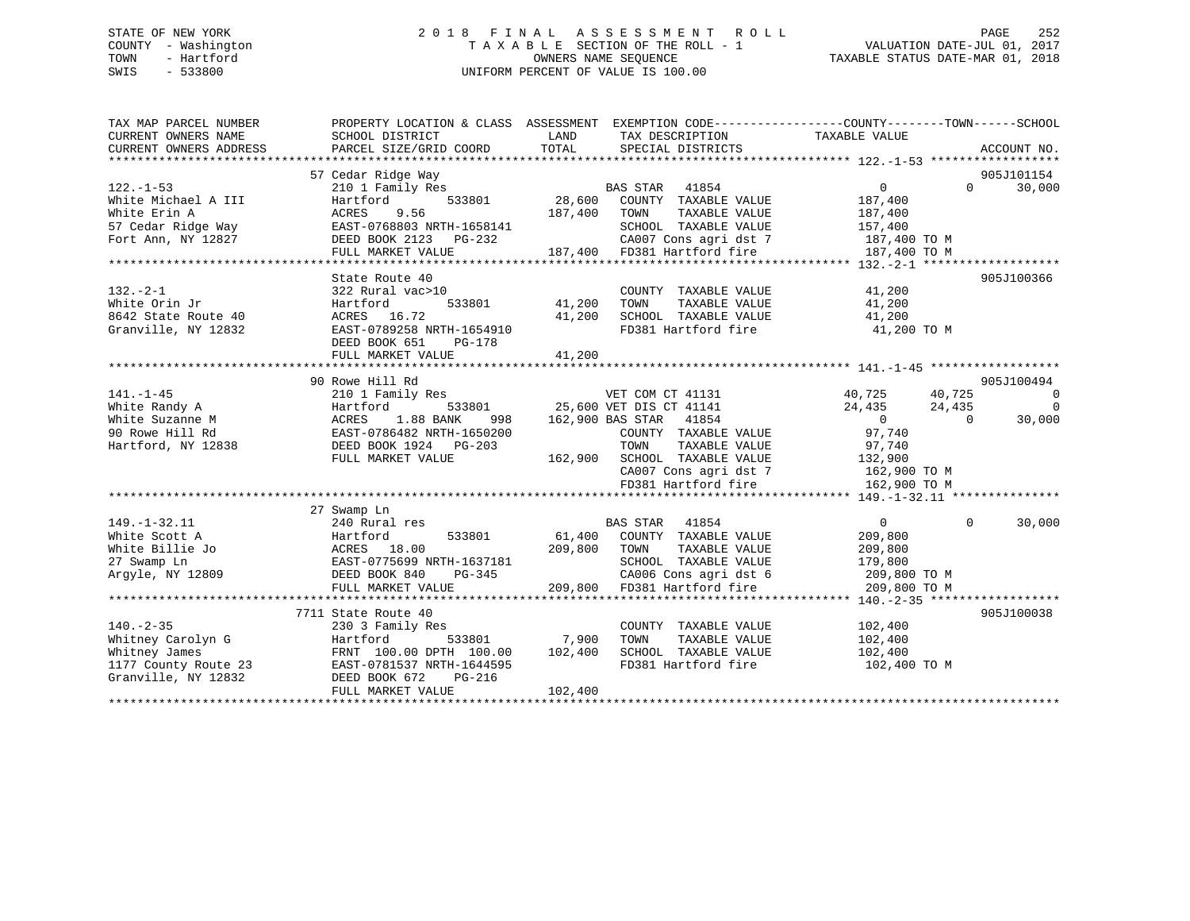# STATE OF NEW YORK 2 0 1 8 F I N A L A S S E S S M E N T R O L L PAGE 252 COUNTY - Washington T A X A B L E SECTION OF THE ROLL - 1 VALUATION DATE-JUL 01, 2017 TOWN - Hartford **TAXABLE STATUS DATE-MAR 01, 2018** OWNERS NAME SEQUENCE TAXABLE STATUS DATE-MAR 01, 2018 SWIS - 533800 UNIFORM PERCENT OF VALUE IS 100.00

| TAX MAP PARCEL NUMBER                                        |                                                    |                                                                           | PROPERTY LOCATION & CLASS ASSESSMENT EXEMPTION CODE---------------COUNTY-------TOWN------SCHOOL |
|--------------------------------------------------------------|----------------------------------------------------|---------------------------------------------------------------------------|-------------------------------------------------------------------------------------------------|
| CURRENT OWNERS NAME                                          | SCHOOL DISTRICT                                    | LAND<br>TAX DESCRIPTION                                                   | TAXABLE VALUE                                                                                   |
| CURRENT OWNERS ADDRESS                                       | PARCEL SIZE/GRID COORD                             | TOTAL<br>SPECIAL DISTRICTS                                                | ACCOUNT NO.                                                                                     |
|                                                              |                                                    |                                                                           |                                                                                                 |
|                                                              | 57 Cedar Ridge Way                                 |                                                                           | 905J101154                                                                                      |
| $122. - 1 - 53$                                              |                                                    | 210 1 Family Res<br>Hartford 533801 28,600 COUNTY TAXABLE VALUE           | 30,000<br>$\overline{0}$<br>$\Omega$                                                            |
| White Michael A III                                          |                                                    |                                                                           | 187,400                                                                                         |
| White Erin A                                                 | 9.56<br>ACRES                                      | 187,400 TOWN<br>TAXABLE VALUE                                             | 187,400                                                                                         |
| 57 Cedar Ridge Way                                           | EAST-0768803 NRTH-1658141<br>DEED BOOK 2123 PG-232 |                                                                           | SCHOOL TAXABLE VALUE 157,400<br>CA007 Cons agri dst 7 187,400 TO M                              |
| Fort Ann, NY 12827                                           |                                                    |                                                                           |                                                                                                 |
|                                                              | FULL MARKET VALUE                                  | 187,400 FD381 Hartford fire                                               | 187,400 TO M                                                                                    |
|                                                              |                                                    |                                                                           |                                                                                                 |
|                                                              | State Route 40                                     |                                                                           | 905J100366                                                                                      |
| $132 - 2 - 1$                                                | 322 Rural vac>10                                   | COUNTY TAXABLE VALUE<br>COUNT<br>41,200       TOWN                        | 41,200                                                                                          |
| White Orin Jr                                                | 533801<br>Hartford                                 | TAXABLE VALUE<br>SCHOOL TAXABLE VALUE                                     | 41,200                                                                                          |
| 8642 State Route 40                                          | ACRES 16.72                                        | 41,200                                                                    | 41,200                                                                                          |
| Granville, NY 12832                                          | EAST-0789258 NRTH-1654910                          |                                                                           | FD381 Hartford fire 41,200 TO M                                                                 |
|                                                              | DEED BOOK 651<br>PG-178                            |                                                                           |                                                                                                 |
|                                                              | FULL MARKET VALUE                                  | 41,200                                                                    |                                                                                                 |
|                                                              | 90 Rowe Hill Rd                                    |                                                                           | 905J100494                                                                                      |
| $141. - 1 - 45$                                              | 210 1 Family Res                                   | VET COM CT 41131                                                          | 40,725<br>40,725<br>$\overline{\phantom{0}}$                                                    |
| White Randy A                                                | Hartford                                           | י בדי 25,600 VET DIS CT 41141<br>-- המידף פורש המידי 25,600 VET DIS 41854 | $\overline{0}$<br>24,435<br>24,435                                                              |
| White Suzanne M                                              | 1.88 BANK<br>998<br>ACRES                          | 162,900 BAS STAR 41854                                                    | $\sim$ 0<br>$\overline{0}$<br>30,000                                                            |
| 90 Rowe Hill Rd                                              | EAST-0786482 NRTH-1650200                          | COUNTY TAXABLE VALUE                                                      | 97,740                                                                                          |
| Hartford, NY 12838                                           | DEED BOOK 1924    PG-203                           |                                                                           |                                                                                                 |
|                                                              | FULL MARKET VALUE                                  | TOWN TAXABLE VALUE 97,740<br>162,900 SCHOOL TAXABLE VALUE 132,900         |                                                                                                 |
|                                                              |                                                    |                                                                           | CA007 Cons agri dst 7 162,900 TO M                                                              |
|                                                              |                                                    | FD381 Hartford fire                                                       | 162,900 TO M                                                                                    |
|                                                              |                                                    |                                                                           |                                                                                                 |
|                                                              | 27 Swamp Ln                                        |                                                                           |                                                                                                 |
| $149. - 1 - 32.11$                                           | 240 Rural res                                      | BAS STAR 41854                                                            | $\overline{0}$<br>$\Omega$<br>30,000                                                            |
| White Scott A                                                | Hartford                                           | 533801 61,400 COUNTY TAXABLE VALUE                                        | 209,800                                                                                         |
| White Billie Jo                                              | ACRES 18.00                                        | 209,800 TOWN<br>TAXABLE VALUE                                             | 209,800                                                                                         |
| 27 Swamp Ln                                                  | EAST-0775699 NRTH-1637181                          | SCHOOL TAXABLE VALUE                                                      | 179,800                                                                                         |
| Arqyle, NY 12809                                             | PG-345<br>DEED BOOK 840                            | CA006 Cons agri dst 6                                                     | 209,800 TO M                                                                                    |
|                                                              | FULL MARKET VALUE                                  | 209,800 FD381 Hartford fire                                               | 209,800 TO M                                                                                    |
|                                                              |                                                    |                                                                           |                                                                                                 |
|                                                              | 7711 State Route 40                                |                                                                           | 905J100038                                                                                      |
| $140. -2 - 35$                                               | 230 3 Family Res                                   | COUNTY TAXABLE VALUE                                                      | 102,400                                                                                         |
| Whitney Carolyn G                                            | Hartford                                           | 533801 7,900<br>TOWN<br>TAXABLE VALUE                                     | 102,400                                                                                         |
| whitney James<br>1177 County Route 23<br>Granville, NY 12832 | FRNT 100.00 DPTH 100.00 102,400                    | SCHOOL TAXABLE VALUE                                                      | 102,400                                                                                         |
|                                                              | EAST-0781537 NRTH-1644595                          | FD381 Hartford fire                                                       | 102,400 TO M                                                                                    |
|                                                              | DEED BOOK 672<br>PG-216                            |                                                                           |                                                                                                 |
|                                                              | FULL MARKET VALUE                                  | 102,400                                                                   |                                                                                                 |
|                                                              |                                                    |                                                                           |                                                                                                 |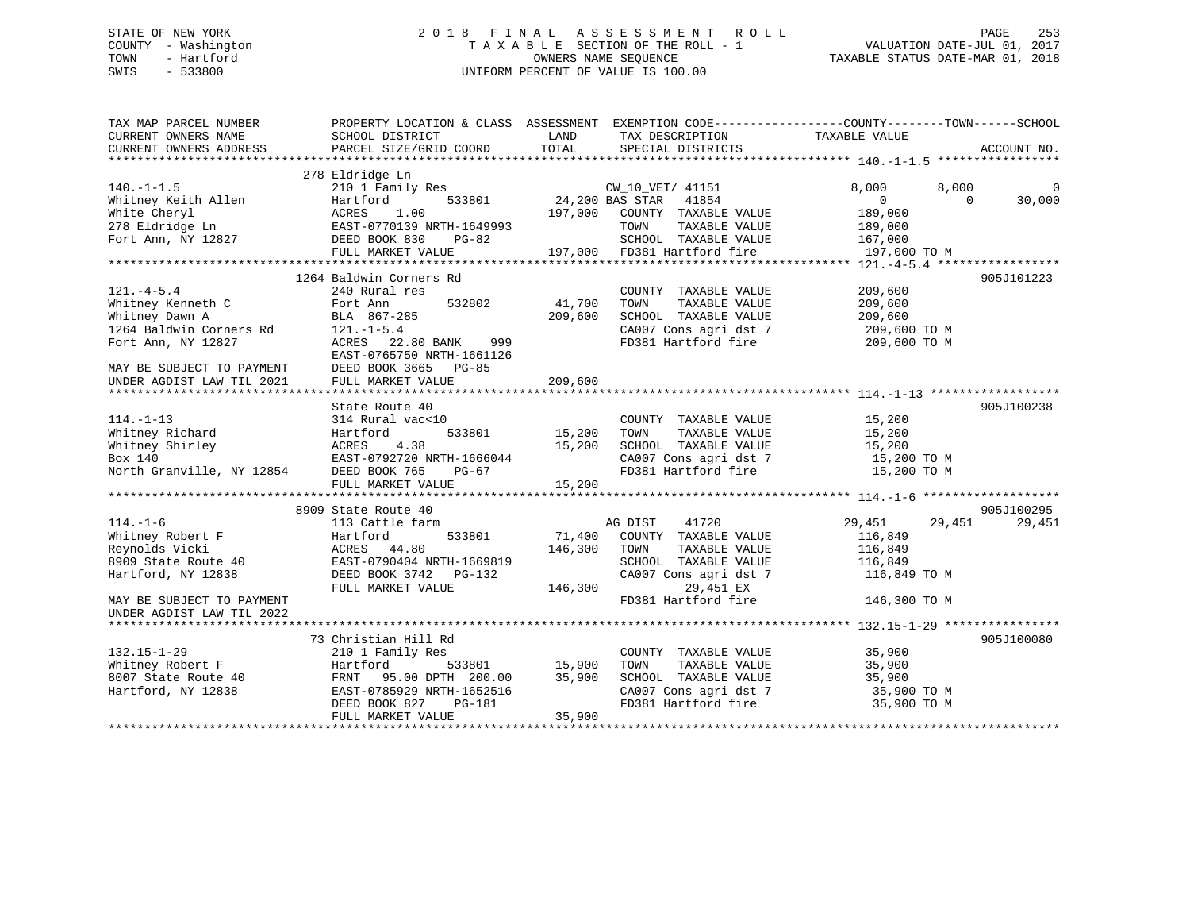## STATE OF NEW YORK 2 0 1 8 F I N A L A S S E S S M E N T R O L L PAGE 253 COUNTY - Washington T A X A B L E SECTION OF THE ROLL - 1 VALUATION DATE-JUL 01, 2017 TOWN - Hartford OWNERS NAME SEQUENCE TAXABLE STATUS DATE-MAR 01, 2018 SWIS - 533800 UNIFORM PERCENT OF VALUE IS 100.00

| TAX MAP PARCEL NUMBER                                                                       | PROPERTY LOCATION & CLASS ASSESSMENT EXEMPTION CODE----------------COUNTY-------TOWN------SCHOOL |         |                                                           |                            |             |
|---------------------------------------------------------------------------------------------|--------------------------------------------------------------------------------------------------|---------|-----------------------------------------------------------|----------------------------|-------------|
| CURRENT OWNERS NAME                                                                         | SCHOOL DISTRICT                                                                                  | LAND    | TAX DESCRIPTION TAXABLE VALUE                             |                            |             |
| CURRENT OWNERS ADDRESS                                                                      | PARCEL SIZE/GRID COORD                                                                           | TOTAL   | SPECIAL DISTRICTS                                         |                            | ACCOUNT NO. |
|                                                                                             |                                                                                                  |         |                                                           |                            |             |
|                                                                                             | 278 Eldridge Ln                                                                                  |         |                                                           |                            |             |
| $140. - 1 - 1.5$                                                                            | 210 1 Family Res                                                                                 |         |                                                           | 8,000<br>8,000             | $\Omega$    |
| Whitney Keith Allen                                                                         | 533801<br>Hartford                                                                               |         | CW_10_VET/ 41151<br>24,200 BAS STAR 41854                 | $\overline{0}$<br>$\Omega$ | 30,000      |
| White Cheryl                                                                                | 1.00<br>ACRES                                                                                    |         | 197,000 COUNTY TAXABLE VALUE                              | 189,000                    |             |
| 278 Eldridge Ln                                                                             | EAST-0770139 NRTH-1649993                                                                        |         | TAXABLE VALUE<br>TOWN                                     | 189,000                    |             |
| Fort Ann, NY 12827                                                                          | DEED BOOK 830<br>PG-82                                                                           |         | SCHOOL TAXABLE VALUE 167,000                              |                            |             |
|                                                                                             |                                                                                                  |         | 197,000 FD381 Hartford fire                               | 197,000 TO M               |             |
|                                                                                             | FULL MARKET VALUE                                                                                |         |                                                           |                            |             |
|                                                                                             |                                                                                                  |         |                                                           |                            |             |
|                                                                                             | 1264 Baldwin Corners Rd                                                                          |         |                                                           |                            | 905J101223  |
| $121. -4 - 5.4$                                                                             | 240 Rural res                                                                                    |         | COUNTY TAXABLE VALUE                                      | 209,600                    |             |
| Whitney Kenneth C                                                                           | 532802<br>Fort Ann                                                                               | 41,700  | TAXABLE VALUE<br>TOWN                                     | 209,600                    |             |
| Whitney Dawn A                                                                              | BLA 867-285                                                                                      | 209,600 | SCHOOL TAXABLE VALUE                                      | 209,600                    |             |
| 1264 Baldwin Corners Rd                                                                     | $121. -1 - 5.4$                                                                                  |         | CA007 Cons agri dst 7                                     | 209,600 TO M               |             |
| Fort Ann, NY 12827                                                                          | ACRES 22.80 BANK<br>999                                                                          |         | FD381 Hartford fire                                       | 209,600 TO M               |             |
|                                                                                             | EAST-0765750 NRTH-1661126                                                                        |         |                                                           |                            |             |
|                                                                                             | DEED BOOK 3665 PG-85                                                                             |         |                                                           |                            |             |
| MAY BE SUBJECT TO PAYMENT<br>UNDER AGDIST LAW TIL 2021                                      | FULL MARKET VALUE                                                                                | 209,600 |                                                           |                            |             |
|                                                                                             |                                                                                                  |         |                                                           |                            |             |
|                                                                                             | State Route 40                                                                                   |         |                                                           |                            | 905J100238  |
| $114. - 1 - 13$                                                                             | 314 Rural vac<10                                                                                 |         | COUNTY TAXABLE VALUE                                      | 15,200                     |             |
| Whitney Richard                                                                             | 533801<br>Hartford                                                                               | 15,200  | TAXABLE VALUE<br>TOWN                                     | 15,200                     |             |
|                                                                                             |                                                                                                  | 15,200  | SCHOOL TAXABLE VALUE                                      | 15,200                     |             |
|                                                                                             |                                                                                                  |         |                                                           |                            |             |
| Whitney Shirley<br>Whitney Shirley<br>Box 140<br>North Granville, NY 12854<br>DEED BOOK 765 | EAST-0792720 NRTH-1666044                                                                        |         | SCHOOL Income<br>CA007 Cons agri dst 7<br>CA007 Cons fire | 15,200 TO M                |             |
|                                                                                             | PG-67                                                                                            |         |                                                           | 15,200 TO M                |             |
|                                                                                             | FULL MARKET VALUE                                                                                | 15,200  |                                                           |                            |             |
|                                                                                             |                                                                                                  |         |                                                           |                            |             |
|                                                                                             | 8909 State Route 40                                                                              |         |                                                           |                            | 905J100295  |
| $114. - 1 - 6$                                                                              | 113 Cattle farm                                                                                  |         | AG DIST<br>41720                                          | 29,451<br>29,451           | 29,451      |
| Whitney Robert F                                                                            | 533801<br>Hartford                                                                               | 71,400  | COUNTY TAXABLE VALUE                                      | 116,849                    |             |
| Reynolds Vicki                                                                              | ACRES 44.80                                                                                      | 146,300 | TAXABLE VALUE<br>TOWN                                     | 116,849                    |             |
| 8909 State Route 40                                                                         | EAST-0790404 NRTH-1669819                                                                        |         | SCHOOL TAXABLE VALUE                                      | 116,849                    |             |
| Hartford, NY 12838                                                                          | DEED BOOK 3742 PG-132                                                                            |         | CA007 Cons agri dst 7                                     | 116,849 TO M               |             |
|                                                                                             | FULL MARKET VALUE                                                                                | 146,300 | 29,451 EX                                                 |                            |             |
| MAY BE SUBJECT TO PAYMENT                                                                   |                                                                                                  |         | FD381 Hartford fire                                       | 146,300 TO M               |             |
| UNDER AGDIST LAW TIL 2022                                                                   |                                                                                                  |         |                                                           |                            |             |
|                                                                                             |                                                                                                  |         |                                                           |                            |             |
|                                                                                             | 73 Christian Hill Rd                                                                             |         |                                                           |                            | 905J100080  |
| $132.15 - 1 - 29$                                                                           | 210 1 Family Res                                                                                 |         | COUNTY TAXABLE VALUE                                      | 35,900                     |             |
| Whitney Robert F                                                                            | Hartford<br>533801                                                                               | 15,900  | TAXABLE VALUE<br>TOWN                                     | 35,900                     |             |
|                                                                                             |                                                                                                  |         | SCHOOL TAXABLE VALUE                                      | 35,900                     |             |
| 8007 State Route 40                                                                         | FRNT 95.00 DPTH 200.00                                                                           | 35,900  |                                                           |                            |             |
| Hartford, NY 12838                                                                          | EAST-0785929 NRTH-1652516                                                                        |         | CA007 Cons agri dst 7                                     | 35,900 TO M                |             |
|                                                                                             | PG-181<br>DEED BOOK 827                                                                          |         | FD381 Hartford fire                                       | 35,900 TO M                |             |
|                                                                                             | FULL MARKET VALUE                                                                                | 35,900  |                                                           |                            |             |
|                                                                                             |                                                                                                  |         |                                                           |                            |             |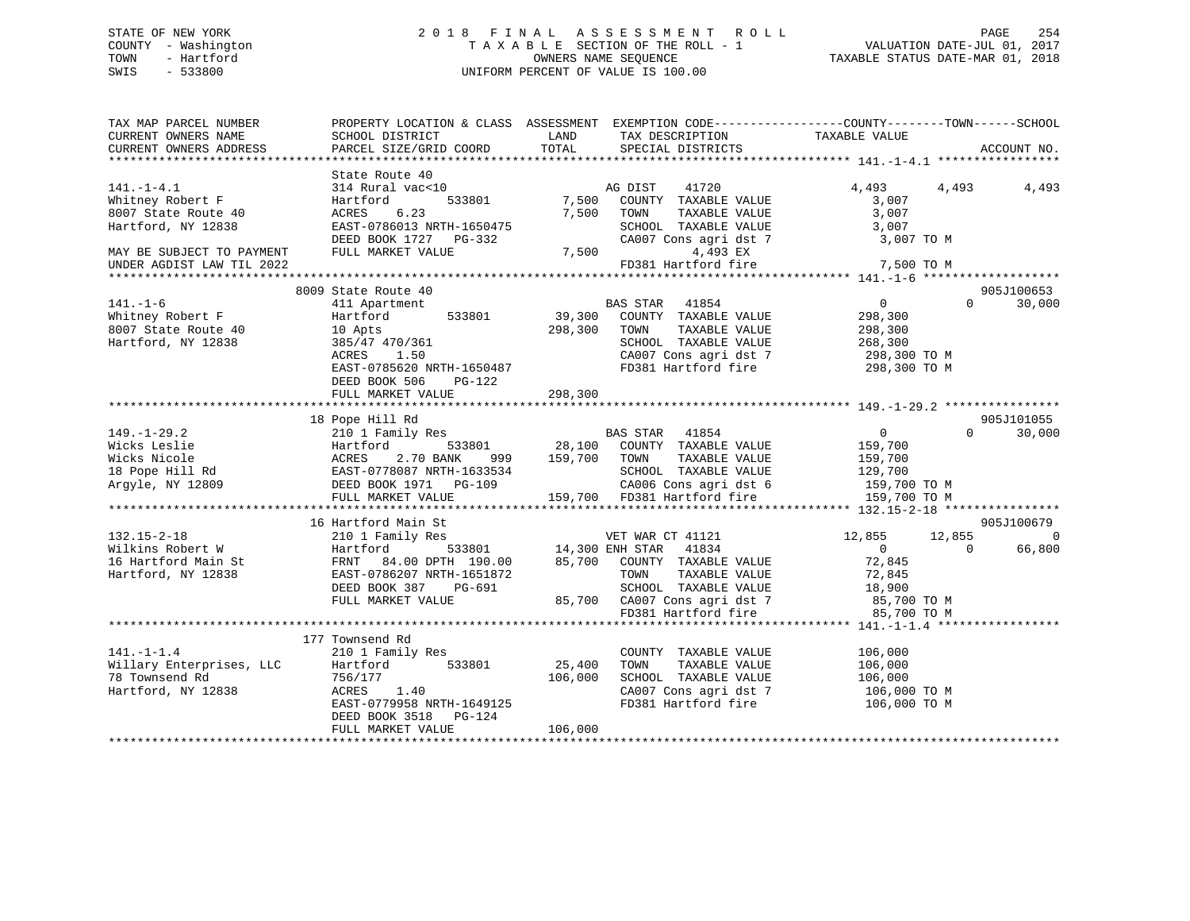## STATE OF NEW YORK 2 0 1 8 F I N A L A S S E S S M E N T R O L L PAGE 254 COUNTY - Washington T A X A B L E SECTION OF THE ROLL - 1 VALUATION DATE-JUL 01, 2017 TOWN - Hartford **TAXABLE STATUS DATE-MAR 01, 2018** OWNERS NAME SEQUENCE TAXABLE STATUS DATE-MAR 01, 2018 SWIS - 533800 UNIFORM PERCENT OF VALUE IS 100.00

| TAX MAP PARCEL NUMBER<br>CURRENT OWNERS NAME<br>CURRENT OWNERS ADDRESS                                                                      | SCHOOL DISTRICT<br>PARCEL SIZE/GRID COORD                                                                                                                                          | LAND<br>TOTAL                | TAX DESCRIPTION<br>SPECIAL DISTRICTS                                                                                                                                                    | PROPERTY LOCATION & CLASS ASSESSMENT EXEMPTION CODE----------------COUNTY-------TOWN-----SCHOOL<br>TAXABLE VALUE | ACCOUNT NO.          |
|---------------------------------------------------------------------------------------------------------------------------------------------|------------------------------------------------------------------------------------------------------------------------------------------------------------------------------------|------------------------------|-----------------------------------------------------------------------------------------------------------------------------------------------------------------------------------------|------------------------------------------------------------------------------------------------------------------|----------------------|
| $141. - 1 - 4.1$<br>Whitney Robert F<br>8007 State Route 40<br>Hartford, NY 12838<br>MAY BE SUBJECT TO PAYMENT<br>UNDER AGDIST LAW TIL 2022 | State Route 40<br>314 Rural vac<10<br>533801<br>Hartford<br>6.23<br>ACRES<br>EAST-0786013 NRTH-1650475<br>DEED BOOK 1727 PG-332<br>FULL MARKET VALUE                               | 7,500                        | AG DIST<br>41720<br>COUNTY TAXABLE VALUE<br>7,500 TOWN<br>TAXABLE VALUE<br>SCHOOL TAXABLE VALUE<br>CA007 Cons agri dst 7<br>4,493 EX<br>7,500<br>FD381 Hartford fire                    | 4,493<br>4,493<br>3,007<br>3,007<br>3,007<br>3,007 TO M<br>7,500 TO M                                            | 4,493                |
|                                                                                                                                             |                                                                                                                                                                                    |                              |                                                                                                                                                                                         |                                                                                                                  |                      |
| 141.-1-6<br>Whitney Robert F<br>8007 State Route 40<br>Hartford, NY 12838                                                                   | 8009 State Route 40<br>411 Apartment<br>533801<br>Hartford<br>10 Apts<br>385/47 470/361<br>ACRES 1.50<br>EAST-0785620 NRTH-1650487<br>DEED BOOK 506<br>PG-122<br>FULL MARKET VALUE | 298,300<br>298,300           | BAS STAR 41854<br>39,300 COUNTY TAXABLE VALUE<br>TAXABLE VALUE<br>TOWN<br>SCHOOL TAXABLE VALUE<br>CA007 Cons agri dst 7<br>FD381 Hartford fire 298,300 TO M                             | $\overline{0}$<br>$\Omega$<br>298,300<br>298,300<br>268,300<br>298,300 TO M                                      | 905J100653<br>30,000 |
|                                                                                                                                             |                                                                                                                                                                                    |                              |                                                                                                                                                                                         |                                                                                                                  |                      |
| $149. - 1 - 29.2$<br>Argyle, NY 12809                                                                                                       | 18 Pope Hill Rd<br>210 1 Family Res<br>999<br>DEED BOOK 1971 PG-109<br>FULL MARKET VALUE                                                                                           | 159,700 TOWN                 | BAS STAR 41854<br>533801 28,100 COUNTY TAXABLE VALUE<br>TAXABLE VALUE<br>SCHOOL TAXABLE VALUE<br>CA006 Cons agri dst 6 159,700 TO M<br>159,700 FD381 Hartford fire 159,700 TO M         | $\overline{0}$<br>$\Omega$<br>159,700<br>159,700<br>129,700                                                      | 905J101055<br>30,000 |
|                                                                                                                                             | 16 Hartford Main St                                                                                                                                                                |                              |                                                                                                                                                                                         |                                                                                                                  | 905J100679           |
| $132.15 - 2 - 18$<br>Wilkins Robert W<br>16 Hartford Main St<br>Hartford, NY 12838                                                          | 210 1 Family Res<br>Hartford<br>FRNT 84.00 DPTH 190.00<br>EAST-0786207 NRTH-1651872<br>DEED BOOK 387<br>PG-691<br>FULL MARKET VALUE                                                |                              | VET WAR CT 41121<br>533801 14,300 ENH STAR 41834<br>85,700 COUNTY TAXABLE VALUE<br>TOWN<br>TAXABLE VALUE<br>SCHOOL TAXABLE VALUE<br>85,700 CA007 Cons agri dst 7<br>FD381 Hartford fire | 12,855<br>12,855<br>$\overline{0}$<br>$\Omega$<br>72,845<br>72,845<br>18,900<br>85,700 TO M<br>85,700 TO M       | $\Omega$<br>66,800   |
|                                                                                                                                             |                                                                                                                                                                                    |                              |                                                                                                                                                                                         |                                                                                                                  |                      |
| $141. - 1 - 1.4$<br>Willary Enterprises, LLC<br>78 Townsend Rd<br>Hartford, NY 12838                                                        | 177 Townsend Rd<br>210 1 Family Res<br>Hartford<br>533801<br>756/177<br>1.40<br>ACRES<br>EAST-0779958 NRTH-1649125<br>DEED BOOK 3518 PG-124<br>FULL MARKET VALUE                   | 25,400<br>106,000<br>106,000 | COUNTY TAXABLE VALUE<br>TOWN<br>TAXABLE VALUE<br>SCHOOL TAXABLE VALUE<br>CA007 Cons agri dst 7<br>FD381 Hartford fire                                                                   | 106,000<br>106,000<br>106,000<br>$106,000$ TO M<br>106,000 ТО М                                                  |                      |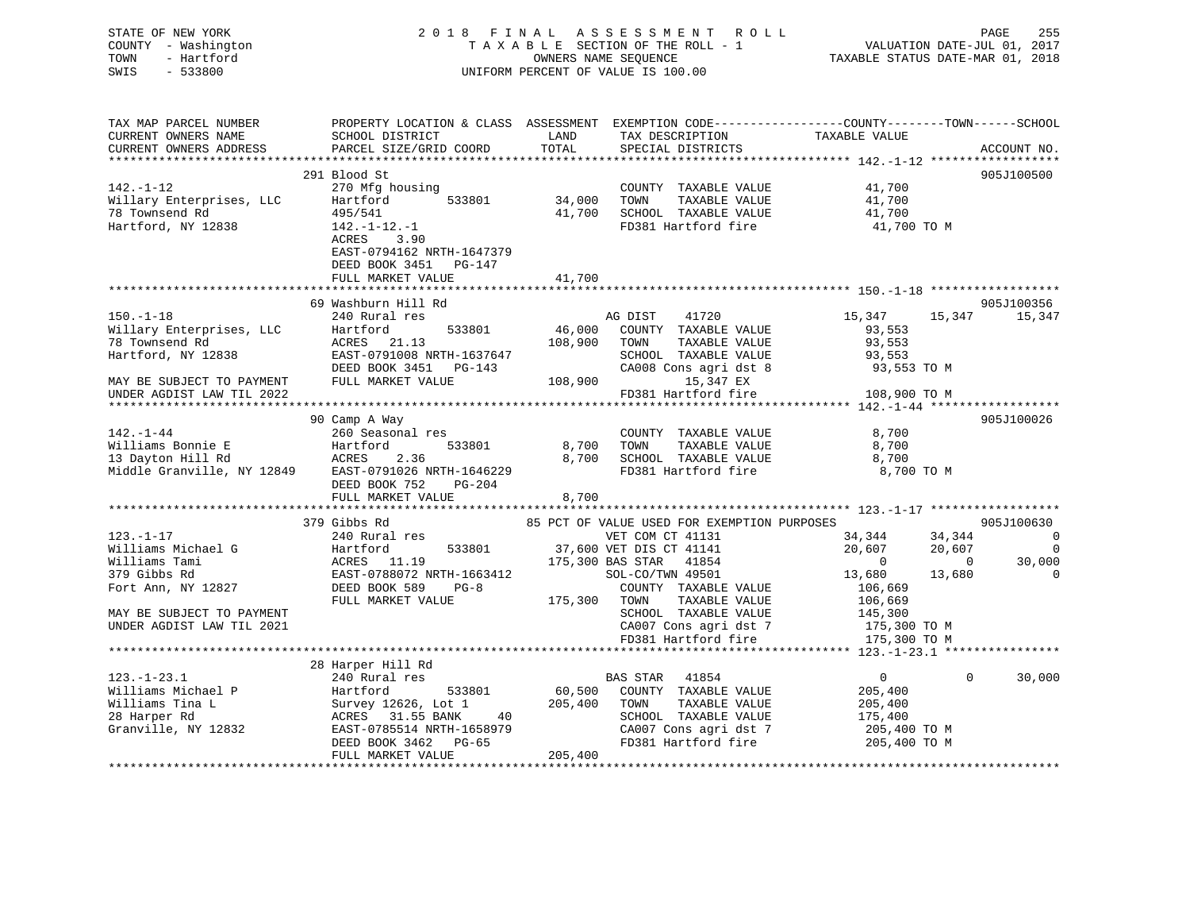| STATE OF NEW YORK<br>COUNTY - Washington<br>- Hartford<br>TOWN<br>$-533800$<br>SWIS                                   |                                                                                                                                                                                                                                                    |            | 2018 FINAL ASSESSMENT ROLL<br>T A X A B L E SECTION OF THE ROLL - 1<br>OWNERS NAME SEQUENCE<br>UNIFORM PERCENT OF VALUE IS 100.00 |                  | PAGE<br>255<br>VALUATION DATE-JUL 01, 2017<br>TAXABLE STATUS DATE-MAR 01, 2018 |
|-----------------------------------------------------------------------------------------------------------------------|----------------------------------------------------------------------------------------------------------------------------------------------------------------------------------------------------------------------------------------------------|------------|-----------------------------------------------------------------------------------------------------------------------------------|------------------|--------------------------------------------------------------------------------|
| TAX MAP PARCEL NUMBER<br>CURRENT OWNERS NAME<br>CURRENT OWNERS ADDRESS                                                | PROPERTY LOCATION & CLASS ASSESSMENT EXEMPTION CODE---------------COUNTY-------TOWN-----SCHOOL<br>SCHOOL DISTRICT<br>PARCEL SIZE/GRID COORD                                                                                                        |            | TAX DESCRIPTION TAXABLE VALUE<br>SPECIAL DISTRICTS TAXABLE VALUE                                                                  |                  | ACCOUNT NO.                                                                    |
|                                                                                                                       |                                                                                                                                                                                                                                                    |            |                                                                                                                                   |                  |                                                                                |
|                                                                                                                       | 291 Blood St                                                                                                                                                                                                                                       |            |                                                                                                                                   |                  | 905J100500                                                                     |
| 142.-1-12<br>-- anterprises, LLC<br>78 Townsend Rd<br>Hartford, NY 19939                                              | 270 Mfg housing<br>COUNTY TAXABLE VALUE<br>Hartford 533801 34,000 TOWN TAXABLE VALUE<br>Hartford 533801 34,000 TOWN TAXABLE VALUE<br>495/541                                                                                                       |            | COUNTY TAXABLE VALUE 41,700<br>41,700 SCHOOL TAXABLE VALUE                                                                        | 41,700<br>41,700 |                                                                                |
| Hartford, NY 12838                                                                                                    | 142.-1-12.-1<br>ACRES 3.90                                                                                                                                                                                                                         |            | FD381 Hartford fire                                                                                                               | 41,700 TO M      |                                                                                |
|                                                                                                                       | EAST-0794162 NRTH-1647379<br>DEED BOOK 3451 PG-147                                                                                                                                                                                                 |            |                                                                                                                                   |                  |                                                                                |
|                                                                                                                       | FULL MARKET VALUE                                                                                                                                                                                                                                  | 41,700     |                                                                                                                                   |                  |                                                                                |
|                                                                                                                       |                                                                                                                                                                                                                                                    |            |                                                                                                                                   |                  |                                                                                |
|                                                                                                                       | 69 Washburn Hill Rd                                                                                                                                                                                                                                |            |                                                                                                                                   |                  | 905J100356                                                                     |
| $150. - 1 - 18$                                                                                                       | 240 Rural res<br>533801                                                                                                                                                                                                                            |            | AG DIST 41720<br>46,000 COUNTY TAXABLE VALUE                                                                                      | 15,347<br>93,553 | 15,347 15,347                                                                  |
| Willary Enterprises, LLC Hartford<br>78 Townsend Rd ACRES 21.13<br>78 Townsend Rd                                     | ACRES 21.13 108,900 TOWN TAXABLE VALUE                                                                                                                                                                                                             |            |                                                                                                                                   | 93,553           |                                                                                |
| Hartford, NY 12838                                                                                                    |                                                                                                                                                                                                                                                    |            |                                                                                                                                   | 93,553           |                                                                                |
|                                                                                                                       |                                                                                                                                                                                                                                                    |            | SCHOOL TAXABLE VALUE<br>CA008 Cons agri dst 8                                                                                     | 93,553 TO M      |                                                                                |
| MAY BE SUBJECT TO PAYMENT                                                                                             | EAST-0791008 NRTH-1637647 SCHOOL TAXABLE VALUE<br>DEED BOOK 3451 PG-143 CA008 Cons agri dst 8<br>FULL MARKET VALUE 108,900 15,347 EX                                                                                                               |            |                                                                                                                                   |                  |                                                                                |
| UNDER AGDIST LAW TIL 2022                                                                                             |                                                                                                                                                                                                                                                    |            | FD381 Hartford fire                                                                                                               | 108,900 TO M     |                                                                                |
|                                                                                                                       |                                                                                                                                                                                                                                                    |            |                                                                                                                                   |                  |                                                                                |
|                                                                                                                       | 90 Camp A Way                                                                                                                                                                                                                                      |            |                                                                                                                                   |                  | 905J100026                                                                     |
| $142. - 1 - 44$                                                                                                       | 260 Seasonal res                                                                                                                                                                                                                                   |            | COUNTY TAXABLE VALUE                                                                                                              | 8,700            |                                                                                |
|                                                                                                                       | 533801                                                                                                                                                                                                                                             | 8,700 TOWN | TAXABLE VALUE                                                                                                                     | 8,700            |                                                                                |
| Williams Bonnie E<br>Milliams Bonnie E<br>13 Dayton Hill Rd<br>Middle Granville, NY 12849<br>EAST-0791026 NRTH-164622 | EAST-0791026 NRTH-1646229                                                                                                                                                                                                                          |            | 8,700 SCHOOL TAXABLE VALUE<br>FD381 Hartford fire 8,700 TO M                                                                      | 8,700            |                                                                                |
|                                                                                                                       | DEED BOOK 752 PG-204<br>FULL MARKET VALUE                                                                                                                                                                                                          | 8,700      |                                                                                                                                   |                  |                                                                                |
|                                                                                                                       |                                                                                                                                                                                                                                                    |            |                                                                                                                                   |                  |                                                                                |
|                                                                                                                       | 379 Gibbs Rd                                                                                                                                                                                                                                       |            | 85 PCT OF VALUE USED FOR EXEMPTION PURPOSES                                                                                       |                  | 905J100630                                                                     |
| $123. - 1 - 17$                                                                                                       | 240 Rural res                                                                                                                                                                                                                                      |            | VET COM CT 41131                                                                                                                  | 34,344           | 34,344 0                                                                       |
| Williams Michael G                                                                                                    |                                                                                                                                                                                                                                                    |            |                                                                                                                                   | 20,607           | 20,607<br>$\overline{\phantom{0}}$                                             |
| Williams Tami                                                                                                         |                                                                                                                                                                                                                                                    |            |                                                                                                                                   | $\sim$ 0         |                                                                                |
| 379 Gibbs Rd                                                                                                          | 240 Rural res<br>Hartford 533801 37,600 VET DIS CT 41141<br>ACRES 11.19 175,300 BAS STAR 41854<br>EAST-0788072 NRTH-1663412 SOL-CO/TWN 49501<br>DEED BOOK 589 PG-8 COUNTY TAXABLE VALUE<br>FULL MARKET VALUE 175,300 TOWN TAXABLE VALUE<br>        |            |                                                                                                                                   | 13,680           | $20,607$<br>0 30,000<br>13 680 0                                               |
| Fort Ann, NY 12827                                                                                                    |                                                                                                                                                                                                                                                    |            |                                                                                                                                   | 106,669          |                                                                                |
|                                                                                                                       |                                                                                                                                                                                                                                                    |            |                                                                                                                                   | 106,669          |                                                                                |
| MAY BE SUBJECT TO PAYMENT<br>UNDER AGDIST LAW TIL 2021                                                                |                                                                                                                                                                                                                                                    |            | SCHOOL TAXABLE VALUE 145,300<br>CA007 Cons agri dst 7 175,300 TO M<br>FD381 Hartford fire 175,300 TO M                            |                  |                                                                                |
|                                                                                                                       |                                                                                                                                                                                                                                                    |            |                                                                                                                                   |                  |                                                                                |
|                                                                                                                       |                                                                                                                                                                                                                                                    |            |                                                                                                                                   |                  |                                                                                |
|                                                                                                                       | 28 Harper Hill Rd                                                                                                                                                                                                                                  |            |                                                                                                                                   |                  |                                                                                |
| $123. - 1 - 23.1$                                                                                                     | 240 Rural res                                                                                                                                                                                                                                      |            | BAS STAR 41854                                                                                                                    | $\overline{0}$   | 30,000<br>$\mathbf{0}$                                                         |
|                                                                                                                       | 123.-1-23.1<br>Williams Michael P<br>Williams Tina L<br>28 Harper Rd<br>Granville, NY 12832<br>EXECT-0785514 NRTH-1658979<br>DEED BOOK 3462 PG-65<br>PULL MARKET VALUE<br>205,400 TOWN TAXABLE VALUE<br>CA007 Cons agri dst 7<br>PULL MARKET VALUE |            | 60,500 COUNTY TAXABLE VALUE                                                                                                       | 205,400          |                                                                                |
|                                                                                                                       |                                                                                                                                                                                                                                                    |            |                                                                                                                                   | 205,400          |                                                                                |
|                                                                                                                       |                                                                                                                                                                                                                                                    |            | SCHOOL TAXABLE VALUE                                                                                                              | 175,400          |                                                                                |
|                                                                                                                       |                                                                                                                                                                                                                                                    |            | CA007 Cons agri dst 7                                                                                                             | 205,400 TO M     |                                                                                |
|                                                                                                                       |                                                                                                                                                                                                                                                    |            | FD381 Hartford fire                                                                                                               | 205,400 TO M     |                                                                                |
|                                                                                                                       |                                                                                                                                                                                                                                                    |            |                                                                                                                                   |                  |                                                                                |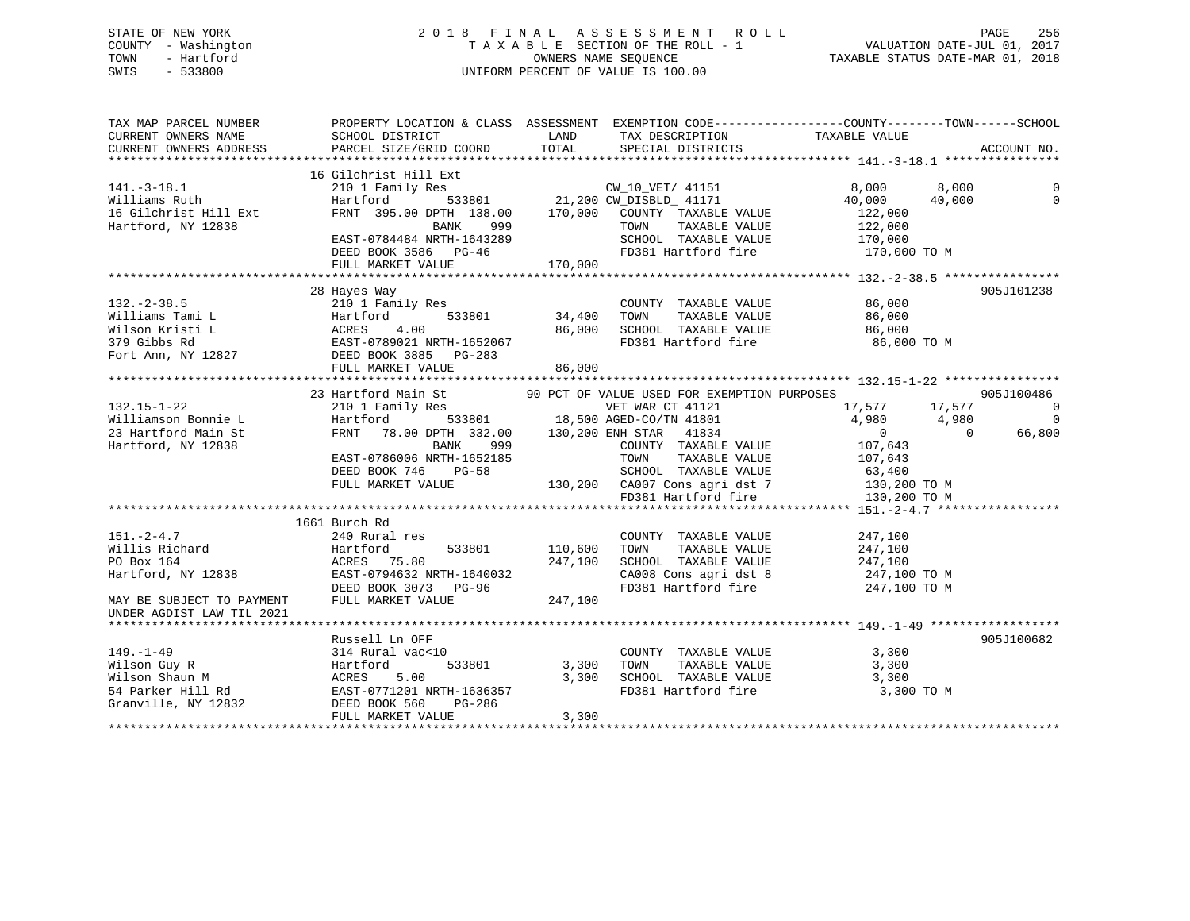## STATE OF NEW YORK 2 0 1 8 F I N A L A S S E S S M E N T R O L L PAGE 256 COUNTY - Washington T A X A B L E SECTION OF THE ROLL - 1 VALUATION DATE-JUL 01, 2017 TOWN - Hartford **TAXABLE STATUS DATE-MAR 01, 2018** OWNERS NAME SEQUENCE TAXABLE STATUS DATE-MAR 01, 2018 SWIS - 533800 UNIFORM PERCENT OF VALUE IS 100.00

| TAX MAP PARCEL NUMBER<br>CURRENT OWNERS NAME<br>CURRENT OWNERS ADDRESS | SCHOOL DISTRICT<br>PARCEL SIZE/GRID COORD                                                                                                                                                                                                                                                  | <b>EXAMPLE THE STATE OF STATE OF STATE</b><br>TOTAL | TAX DESCRIPTION TAXABLE VALUE<br>SPECIAL DISTRICTS<br>SPECIAL DISTRICTS                                                                  | PROPERTY LOCATION & CLASS ASSESSMENT EXEMPTION CODE----------------COUNTY-------TOWN------SCHOOL | ACCOUNT NO.                          |
|------------------------------------------------------------------------|--------------------------------------------------------------------------------------------------------------------------------------------------------------------------------------------------------------------------------------------------------------------------------------------|-----------------------------------------------------|------------------------------------------------------------------------------------------------------------------------------------------|--------------------------------------------------------------------------------------------------|--------------------------------------|
|                                                                        |                                                                                                                                                                                                                                                                                            |                                                     |                                                                                                                                          |                                                                                                  |                                      |
|                                                                        | 16 Gilchrist Hill Ext                                                                                                                                                                                                                                                                      |                                                     |                                                                                                                                          |                                                                                                  |                                      |
| $141.-3-18.1$<br>Williams Ruth                                         | 210 1 Family Res<br>Hartford                                                                                                                                                                                                                                                               |                                                     | ly Res<br>533801 21,200 CW_DISBLD_ 41171                                                                                                 | 8,000<br>8,000<br>40,000<br>40,000                                                               | $\Omega$                             |
| 16 Gilchrist Hill Ext<br>Hartford, NY 12838                            | FRNT 395.00 DPTH $138.00$ $170,000$ COUNTY TAXABLE VALUE<br>BANK<br>999 — 1                                                                                                                                                                                                                |                                                     | TOWN<br>TAXABLE VALUE                                                                                                                    | 122,000<br>122,000                                                                               |                                      |
|                                                                        | FULL MARKET VALUE                                                                                                                                                                                                                                                                          | 170,000                                             |                                                                                                                                          |                                                                                                  |                                      |
|                                                                        |                                                                                                                                                                                                                                                                                            |                                                     |                                                                                                                                          |                                                                                                  |                                      |
| $132. - 2 - 38.5$                                                      | 28 Hayes Way<br>210 1 Family Res<br>132.-2-38.5<br>Williams Tami L<br>Wilson Kristi L<br>379 Gibbs Rd<br>Fort Ann, NY 12827<br>The CAST-0789021 NRTH-1652067<br>The EAST-0789021 NRTH-1652067<br>DEED BOOK 3885<br>THE BOOK 3885<br>THE BOOK 3885<br>THE BOOK 3885<br>THE BOOK 3885<br>THE | 34,400<br>86,000                                    | COUNTY TAXABLE VALUE<br><b>TAXABLE VALUE<br/>TAXABLE VALUE<br/>maxings</b><br>TOWN<br>SCHOOL TAXABLE VALUE 86,000<br>FD381 Hartford fire | 86,000<br>86,000<br>86,000 TO M                                                                  | 905J101238                           |
|                                                                        |                                                                                                                                                                                                                                                                                            |                                                     |                                                                                                                                          |                                                                                                  |                                      |
|                                                                        | FULL MARKET VALUE                                                                                                                                                                                                                                                                          | 86,000                                              |                                                                                                                                          |                                                                                                  |                                      |
|                                                                        |                                                                                                                                                                                                                                                                                            |                                                     |                                                                                                                                          |                                                                                                  | 905J100486                           |
| $132.15 - 1 - 22$<br>Williamson Bonnie L                               | 23 Hartford Main St 90 PCT OF VALUE USED FOR EXEMPTION PURPOSES<br>210 1 Family Res VET WAR CT 41121 17,577<br>Hartford 533801 18,500 AGED-CO/TN 41801 4,980<br>FRNT 78.00 DPTH 332.00 130,200 ENH STAR 41834 0                                                                            |                                                     |                                                                                                                                          | 17,577 17,577<br>4,980 4,980                                                                     | $\overline{\phantom{0}}$<br>$\Omega$ |
| 23 Hartford Main St<br>Hartford, NY 12838                              | BANK 999<br>EAST-0786006 NRTH-1652185<br>EASI-0760000 NKIR-1032103<br>DEED BOOK 746 PG-58 3CHOOL TAXABLE VALUE 63,400<br>FULL MARKET VALUE 130,200 CA007 Cons agri dst 7 130,200 TO M<br>FD381 Hartford fire 130,200 TO M                                                                  |                                                     | COUNTY TAXABLE VALUE 107,643<br>TOWN<br>TAXABLE VALUE                                                                                    | $\sim$ 0 $\sim$<br>$\overline{0}$<br>107,643                                                     | 66,800                               |
|                                                                        |                                                                                                                                                                                                                                                                                            |                                                     |                                                                                                                                          |                                                                                                  |                                      |
|                                                                        | 1661 Burch Rd                                                                                                                                                                                                                                                                              |                                                     |                                                                                                                                          |                                                                                                  |                                      |
| $151. - 2 - 4.7$<br>Willis Richard<br>PO Box 164<br>Hartford, NY 12838 | 240 Rural res<br>533801<br>Hartford<br>ACRES 75.80<br>LASI-0794632 NRTH-1640032<br>DEED BOOK 3073 PG-96<br>-----                                                                                                                                                                           | 110,600<br>247,100                                  | COUNTY TAXABLE VALUE<br>TOWN<br>TAXABLE VALUE<br>SCHOOL TAXABLE VALUE<br>CA008 Cons agri dst 8<br>FD381 Hartford fire                    | 247,100<br>247,100<br>247,100<br>247,100 TO M<br>$247,100$ TO M                                  |                                      |
| MAY BE SUBJECT TO PAYMENT<br>UNDER AGDIST LAW TIL 2021                 | FULL MARKET VALUE                                                                                                                                                                                                                                                                          | 247,100                                             |                                                                                                                                          |                                                                                                  |                                      |
|                                                                        |                                                                                                                                                                                                                                                                                            |                                                     |                                                                                                                                          |                                                                                                  |                                      |
|                                                                        | Russell Ln OFF<br>149.-1-49<br>Wilson Guy R<br>Wilson Shaun M<br>1314 Rural vac<10<br>Hartford 533801 3,300<br>54 Parker Hill Rd<br>67 Granville, NY 12832<br>54 DEAST-0771201 NRTH-1636357<br>56 DEAST-0771201 NRTH-1636357<br>56 DEAST-0771201 NRTH-1636357<br>56                        | 3,300<br>3,300                                      | COUNTY TAXABLE VALUE<br>TAXABLE VALUE<br>TOWN<br>SCHOOL TAXABLE VALUE 3,300                                                              | 3,300<br>3,300                                                                                   | 905J100682                           |
|                                                                        | FULL MARKET VALUE                                                                                                                                                                                                                                                                          | 3,300                                               | FD381 Hartford fire                                                                                                                      | 3,300 TO M                                                                                       |                                      |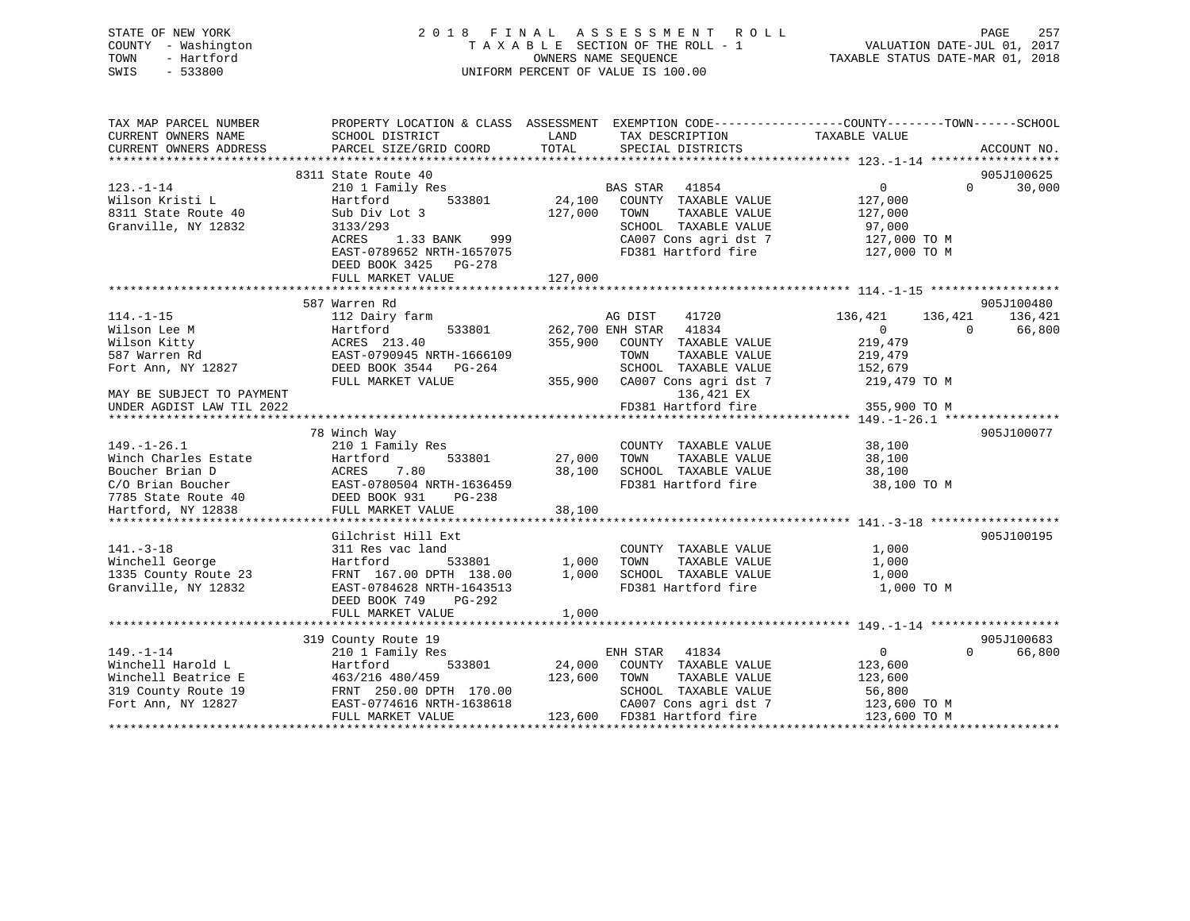| STATE OF NEW YORK<br>COUNTY - Washington | 2018 FINAL ASSESSMENT ROLL<br>TAXABLE SECTION OF THE ROLL - 1 | 257<br>PAGE<br>VALUATION DATE-JUL 01, 2017 |
|------------------------------------------|---------------------------------------------------------------|--------------------------------------------|
| - Hartford<br>TOWN                       | OWNERS NAME SEOUENCE                                          | TAXABLE STATUS DATE-MAR 01, 2018           |
| $-533800$<br>SWIS                        | UNIFORM PERCENT OF VALUE IS 100.00                            |                                            |

| TAX MAP PARCEL NUMBER     |                           |         | PROPERTY LOCATION & CLASS ASSESSMENT EXEMPTION CODE---------------COUNTY-------TOWN------SCHOOL |                    |                    |
|---------------------------|---------------------------|---------|-------------------------------------------------------------------------------------------------|--------------------|--------------------|
| CURRENT OWNERS NAME       | SCHOOL DISTRICT           | LAND    | TAX DESCRIPTION                                                                                 | TAXABLE VALUE      |                    |
| CURRENT OWNERS ADDRESS    | PARCEL SIZE/GRID COORD    | TOTAL   | SPECIAL DISTRICTS                                                                               |                    | ACCOUNT NO.        |
| **********************    |                           |         |                                                                                                 |                    |                    |
|                           | 8311 State Route 40       |         |                                                                                                 |                    | 905J100625         |
| $123. - 1 - 14$           | 210 1 Family Res          |         | BAS STAR<br>41854                                                                               | $\overline{0}$     | $\Omega$<br>30,000 |
| Wilson Kristi L           | 533801<br>Hartford        |         | 24,100 COUNTY TAXABLE VALUE                                                                     | 127,000            |                    |
| 8311 State Route 40       | Sub Div Lot 3             | 127,000 | TOWN<br>TAXABLE VALUE                                                                           | 127,000            |                    |
| Granville, NY 12832       | 3133/293                  |         | SCHOOL TAXABLE VALUE                                                                            | 97,000             |                    |
|                           | ACRES 1.33 BANK 999       |         | CA007 Cons agri dst 7                                                                           | 127,000 TO M       |                    |
|                           | EAST-0789652 NRTH-1657075 |         | FD381 Hartford fire                                                                             | 127,000 TO M       |                    |
|                           | DEED BOOK 3425 PG-278     |         |                                                                                                 |                    |                    |
|                           | FULL MARKET VALUE         | 127,000 |                                                                                                 |                    |                    |
|                           |                           |         |                                                                                                 |                    |                    |
|                           | 587 Warren Rd             |         |                                                                                                 |                    | 905J100480         |
| $114. - 1 - 15$           | 112 Dairy farm            |         | AG DIST<br>41720                                                                                | 136,421<br>136,421 | 136,421            |
|                           | Hartford                  |         |                                                                                                 | $\overline{0}$     | $\Omega$           |
| Wilson Lee M              | 533801                    |         | 262,700 ENH STAR 41834                                                                          |                    | 66,800             |
| Wilson Kitty              | ACRES 213.40              | 355,900 | COUNTY TAXABLE VALUE                                                                            | 219,479            |                    |
| 587 Warren Rd             | EAST-0790945 NRTH-1666109 |         | TAXABLE VALUE<br>TOWN                                                                           | 219,479            |                    |
| Fort Ann, NY 12827        | DEED BOOK 3544 PG-264     |         | SCHOOL TAXABLE VALUE                                                                            | 152,679            |                    |
|                           | FULL MARKET VALUE         | 355,900 | CA007 Cons agri dst 7                                                                           | 219,479 TO M       |                    |
| MAY BE SUBJECT TO PAYMENT |                           |         | 136,421 EX                                                                                      |                    |                    |
| UNDER AGDIST LAW TIL 2022 |                           |         | FD381 Hartford fire                                                                             | 355,900 TO M       |                    |
|                           |                           |         |                                                                                                 |                    |                    |
|                           | 78 Winch Way              |         |                                                                                                 |                    | 905J100077         |
| $149. - 1 - 26.1$         | 210 1 Family Res          |         | COUNTY TAXABLE VALUE                                                                            | 38,100             |                    |
| Winch Charles Estate      | Hartford<br>533801        | 27,000  | TAXABLE VALUE<br>TOWN                                                                           | 38,100             |                    |
| Boucher Brian D           | ACRES<br>7.80             | 38,100  | SCHOOL TAXABLE VALUE                                                                            | 38,100             |                    |
| C/O Brian Boucher         | EAST-0780504 NRTH-1636459 |         | FD381 Hartford fire                                                                             | 38,100 TO M        |                    |
| 7785 State Route 40       | DEED BOOK 931<br>$PG-238$ |         |                                                                                                 |                    |                    |
| Hartford, NY 12838        | FULL MARKET VALUE         | 38,100  |                                                                                                 |                    |                    |
|                           |                           |         |                                                                                                 |                    |                    |
|                           | Gilchrist Hill Ext        |         |                                                                                                 |                    | 905J100195         |
| $141. - 3 - 18$           | 311 Res vac land          |         | COUNTY TAXABLE VALUE                                                                            | 1,000              |                    |
| Winchell George           | 533801<br>Hartford        | 1,000   | TAXABLE VALUE<br>TOWN                                                                           | 1,000              |                    |
| 1335 County Route 23      | FRNT 167.00 DPTH 138.00   | 1,000   | SCHOOL TAXABLE VALUE                                                                            | 1,000              |                    |
| Granville, NY 12832       | EAST-0784628 NRTH-1643513 |         | FD381 Hartford fire                                                                             | 1,000 TO M         |                    |
|                           | DEED BOOK 749<br>PG-292   |         |                                                                                                 |                    |                    |
|                           | FULL MARKET VALUE         | 1,000   |                                                                                                 |                    |                    |
|                           |                           |         |                                                                                                 |                    |                    |
|                           | 319 County Route 19       |         |                                                                                                 |                    | 905J100683         |
| $149. - 1 - 14$           | 210 1 Family Res          |         | ENH STAR<br>41834                                                                               | $\overline{0}$     | 66,800<br>$\Omega$ |
| Winchell Harold L         | Hartford<br>533801        |         | 24,000 COUNTY TAXABLE VALUE                                                                     | 123,600            |                    |
| Winchell Beatrice E       | 463/216 480/459           | 123,600 | TOWN<br>TAXABLE VALUE                                                                           | 123,600            |                    |
| 319 County Route 19       | FRNT 250.00 DPTH 170.00   |         | SCHOOL TAXABLE VALUE                                                                            | 56,800             |                    |
| Fort Ann, NY 12827        | EAST-0774616 NRTH-1638618 |         | CA007 Cons agri dst 7                                                                           | 123,600 TO M       |                    |
|                           | FULL MARKET VALUE         |         | 123,600 FD381 Hartford fire                                                                     | 123,600 TO M       |                    |
|                           |                           |         |                                                                                                 |                    |                    |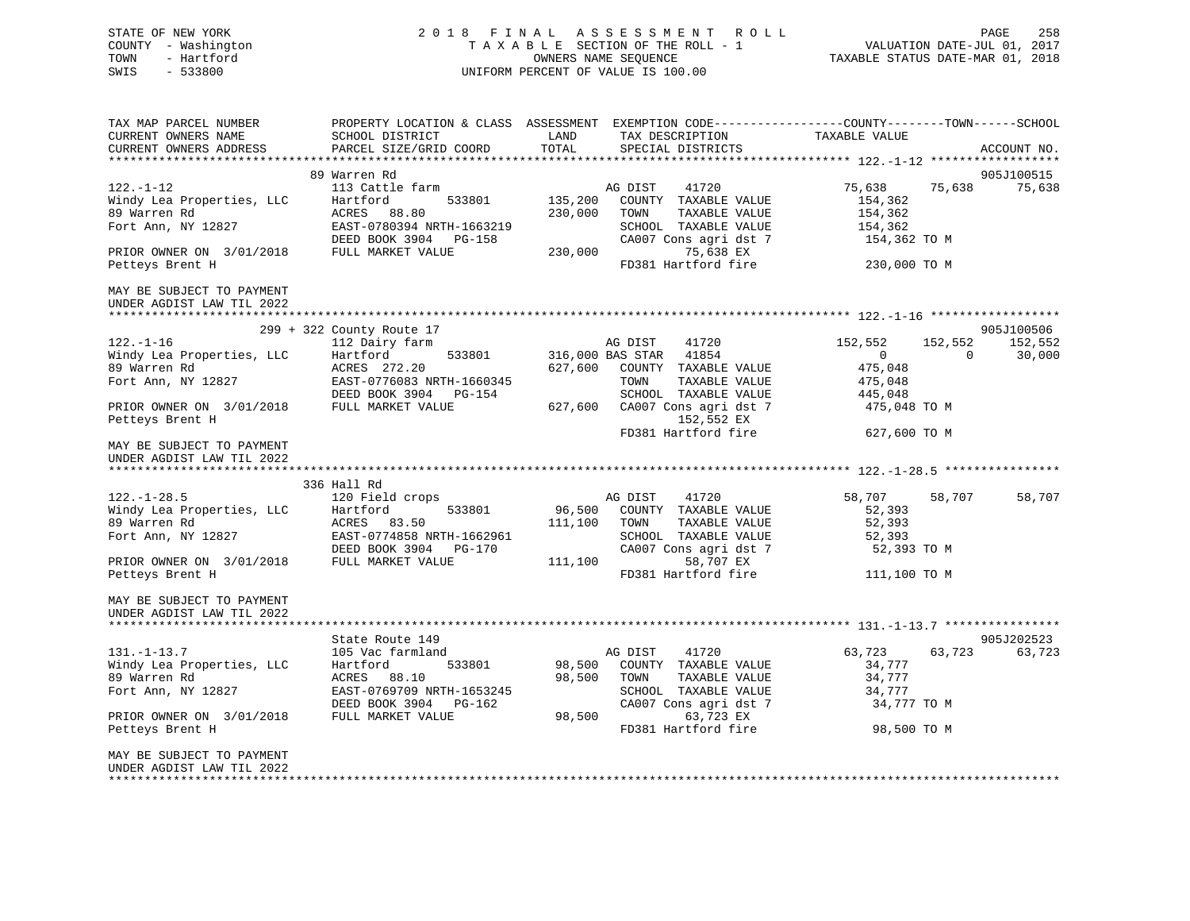| STATE OF NEW YORK<br>COUNTY - Washington<br>TOWN<br>- Hartford<br>SWIS<br>$-533800$                                                                              |                                                                                                                                                              | 2018 FINAL ASSESSMENT ROLL<br>UNIFORM PERCENT OF VALUE IS 100.00                                                                                                                                  | FINAL ASSESSING THE ROLL - 1<br>TAXABLE SECTION OF THE ROLL - 1<br>TAXABLE STATUS DATE-MAR 01, 2018                             |                                 |
|------------------------------------------------------------------------------------------------------------------------------------------------------------------|--------------------------------------------------------------------------------------------------------------------------------------------------------------|---------------------------------------------------------------------------------------------------------------------------------------------------------------------------------------------------|---------------------------------------------------------------------------------------------------------------------------------|---------------------------------|
| TAX MAP PARCEL NUMBER<br>CURRENT OWNERS NAME<br>CURRENT OWNERS ADDRESS                                                                                           | SCHOOL DISTRICT<br>PARCEL SIZE/GRID COORD                                                                                                                    | LAND<br>TOTAL<br>SPECIAL DISTRICTS                                                                                                                                                                | PROPERTY LOCATION & CLASS ASSESSMENT EXEMPTION CODE---------------COUNTY-------TOWN-----SCHOOL<br>TAX DESCRIPTION TAXABLE VALUE | ACCOUNT NO.                     |
| $122. - 1 - 12$<br>Windy Lea Properties, LLC<br>89 Warren Rd<br>Fort Ann, NY 12827<br>PRIOR OWNER ON 3/01/2018                                                   | 89 Warren Rd<br>113 Cattle farm<br>Hartford<br>533801<br>ACRES 88.80<br>EAST-0780394 NRTH-1663219<br>DEED BOOK 3904 PG-158<br>FULL MARKET VALUE              | AG DIST<br>41720<br>135,200 COUNTY TAXABLE VALUE<br>230,000<br>TOWN<br>TAXABLE VALUE<br>SCHOOL TAXABLE VALUE<br>CA007 Cons agri dst 7<br>230,000<br>75,638 EX                                     | 75,638<br>75,638<br>154,362<br>154,362<br>154,362<br>154,362 TO M                                                               | 905J100515<br>75,638            |
| Petteys Brent H<br>MAY BE SUBJECT TO PAYMENT<br>UNDER AGDIST LAW TIL 2022                                                                                        |                                                                                                                                                              | FD381 Hartford fire                                                                                                                                                                               | 230,000 TO M                                                                                                                    |                                 |
| $122. - 1 - 16$<br>Windy Lea Properties, LLC<br>89 Warren Rd<br>Fort Ann, NY 12827<br>PRIOR OWNER ON 3/01/2018<br>Petteys Brent H                                | 299 + 322 County Route 17<br>112 Dairy farm<br>Hartford<br>533801<br>ACRES 272.20<br>EAST-0776083 NRTH-1660345<br>DEED BOOK 3904 PG-154<br>FULL MARKET VALUE | AG DIST<br>41720<br>316,000 BAS STAR 41854<br>627,600 COUNTY TAXABLE VALUE<br>TOWN<br>TAXABLE VALUE<br>SCHOOL TAXABLE VALUE<br>627,600 CA007 Cons agri dst 7<br>152,552 EX<br>FD381 Hartford fire | 152,552<br>152,552<br>$\overline{0}$<br>$\overline{0}$<br>475,048<br>475,048<br>445,048<br>475,048 TO M<br>627,600 TO M         | 905J100506<br>152,552<br>30,000 |
| MAY BE SUBJECT TO PAYMENT<br>UNDER AGDIST LAW TIL 2022                                                                                                           |                                                                                                                                                              |                                                                                                                                                                                                   |                                                                                                                                 |                                 |
| $122. - 1 - 28.5$<br>Windy Lea Properties, LLC<br>89 Warren Rd<br>Fort Ann, NY 12827<br>PRIOR OWNER ON 3/01/2018<br>Petteys Brent H                              | 336 Hall Rd<br>120 Field crops<br>533801<br>Hartford<br>ACRES 83.50<br>EAST-0774858 NRTH-1662961<br>DEED BOOK 3904 PG-170<br>FULL MARKET VALUE               | AG DIST<br>41720<br>96,500<br>COUNTY TAXABLE VALUE<br>111,100<br>TOWN<br>TAXABLE VALUE<br>SCHOOL TAXABLE VALUE<br>CA007 Cons agri dst 7<br>111,100<br>58,707 EX<br>FD381 Hartford fire            | 58,707<br>58,707<br>52,393<br>52,393<br>52,393<br>52,393 TO M<br>111,100 TO M                                                   | 58,707                          |
| MAY BE SUBJECT TO PAYMENT<br>UNDER AGDIST LAW TIL 2022                                                                                                           |                                                                                                                                                              |                                                                                                                                                                                                   |                                                                                                                                 |                                 |
| $131. - 1 - 13.7$<br>Windy Lea Properties, LLC<br>89 Warren Rd<br>Fort Ann, NY 12827<br>PRIOR OWNER ON 3/01/2018<br>Petteys Brent H<br>MAY BE SUBJECT TO PAYMENT | State Route 149<br>105 Vac farmland<br>Hartford<br>533801<br>ACRES 88.10<br>EAST-0769709 NRTH-1653245<br>DEED BOOK 3904 PG-162<br>FULL MARKET VALUE          | AG DIST<br>41720<br>98,500 COUNTY TAXABLE VALUE<br>98,500<br>TOWN<br>TAXABLE VALUE<br>SCHOOL TAXABLE VALUE<br>CA007 Cons agri dst 7<br>98,500<br>63,723 EX<br>FD381 Hartford fire                 | 63,723<br>63,723<br>34,777<br>34,777<br>34,777<br>34,777 TO M<br>98,500 TO M                                                    | 905J202523<br>63,723            |
| UNDER AGDIST LAW TIL 2022<br>**************************                                                                                                          |                                                                                                                                                              |                                                                                                                                                                                                   |                                                                                                                                 |                                 |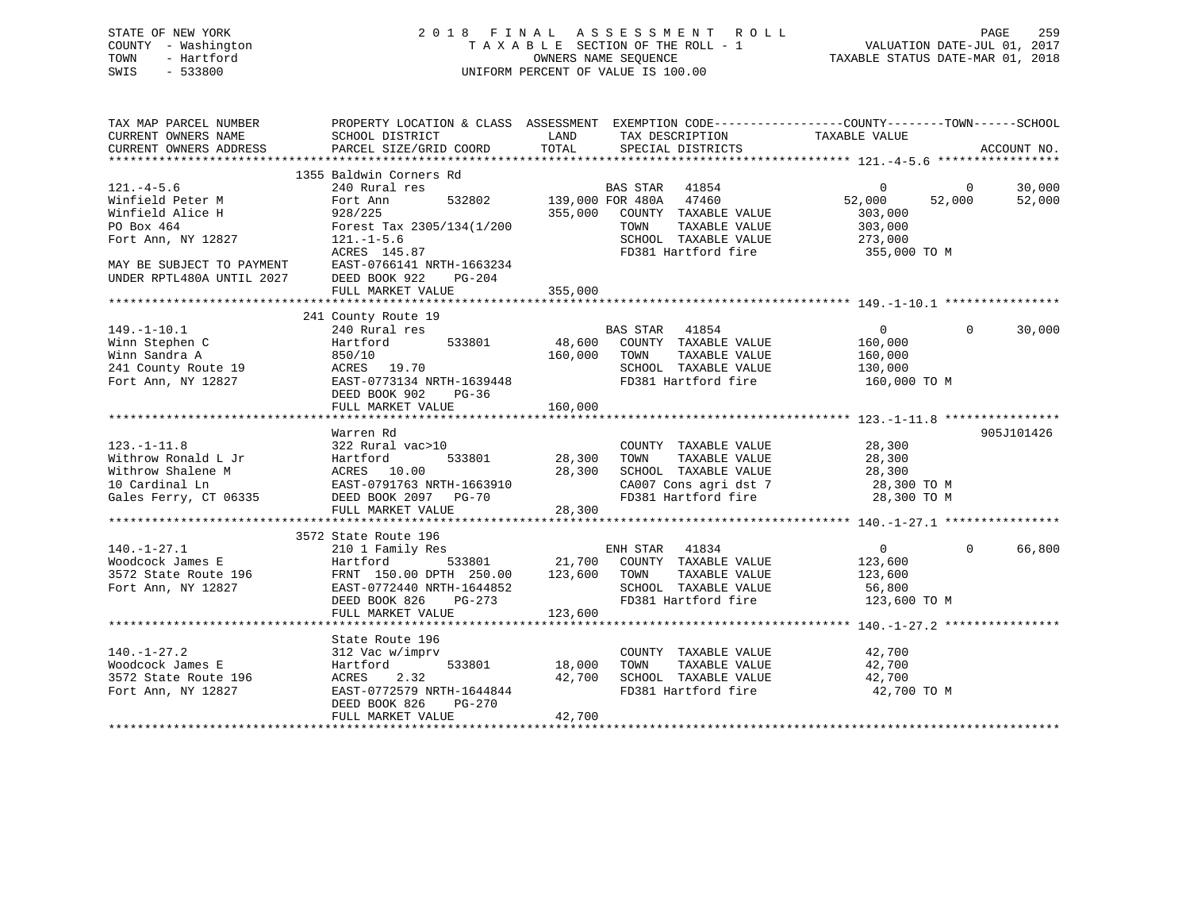## STATE OF NEW YORK 2 0 1 8 F I N A L A S S E S S M E N T R O L L PAGE 259 COUNTY - Washington T A X A B L E SECTION OF THE ROLL - 1 VALUATION DATE-JUL 01, 2017 TOWN - Hartford **TAXABLE STATUS DATE-MAR 01, 2018** OWNERS NAME SEQUENCE TAXABLE STATUS DATE-MAR 01, 2018 SWIS - 533800 UNIFORM PERCENT OF VALUE IS 100.00

| TAX MAP PARCEL NUMBER<br>CURRENT OWNERS NAME   |                                                                                                                                                                                                                                           | LAND                       | PROPERTY LOCATION & CLASS ASSESSMENT EXEMPTION CODE---------------COUNTY-------TOWN-----SCHOOL |                                |          |             |
|------------------------------------------------|-------------------------------------------------------------------------------------------------------------------------------------------------------------------------------------------------------------------------------------------|----------------------------|------------------------------------------------------------------------------------------------|--------------------------------|----------|-------------|
| CURRENT OWNERS ADDRESS                         | SCHOOL DISTRICT<br>PARCEL SIZE/GRID COORD                                                                                                                                                                                                 | TOTAL                      | TAX DESCRIPTION TAXABLE VALUE SPECIAL DISTRICTS                                                |                                |          | ACCOUNT NO. |
|                                                |                                                                                                                                                                                                                                           |                            |                                                                                                |                                |          |             |
|                                                |                                                                                                                                                                                                                                           |                            |                                                                                                |                                |          |             |
| $121. -4 - 5.6$                                |                                                                                                                                                                                                                                           |                            |                                                                                                | $\overline{0}$                 | $\sim$ 0 | 30,000      |
| Winfield Peter M                               |                                                                                                                                                                                                                                           |                            |                                                                                                | 52,000                         | 52,000   | 52,000      |
| Winfield Alice H                               | 928/225                                                                                                                                                                                                                                   |                            | 355,000 COUNTY TAXABLE VALUE                                                                   | 303,000                        |          |             |
| PO Box 464                                     | Forest Tax 2305/134(1/200                                                                                                                                                                                                                 |                            | TAXABLE VALUE<br>TOWN                                                                          | 303,000                        |          |             |
| Fort Ann, NY 12827 121.-1-5.6                  |                                                                                                                                                                                                                                           |                            | SCHOOL TAXABLE VALUE 273,000                                                                   |                                |          |             |
|                                                | ACRES 145.87                                                                                                                                                                                                                              |                            | FD381 Hartford fire                                                                            | 355,000 TO M                   |          |             |
|                                                |                                                                                                                                                                                                                                           |                            |                                                                                                |                                |          |             |
|                                                |                                                                                                                                                                                                                                           |                            |                                                                                                |                                |          |             |
|                                                | FULL MARKET VALUE                                                                                                                                                                                                                         | 355,000                    |                                                                                                |                                |          |             |
|                                                |                                                                                                                                                                                                                                           |                            |                                                                                                |                                |          |             |
|                                                | 241 County Route 19                                                                                                                                                                                                                       |                            |                                                                                                |                                |          |             |
| $149. - 1 - 10.1$                              | 240 Rural res                                                                                                                                                                                                                             |                            | BAS STAR 41854<br>48,600 COUNTY TAXABLE VALUE                                                  | $\sim$ 0                       | $\Omega$ | 30,000      |
| Winn Stephen C                                 | Hartford 533801                                                                                                                                                                                                                           |                            |                                                                                                | 160,000                        |          |             |
| Winn Sandra A                                  | 850/10<br>ACRES 19.70                                                                                                                                                                                                                     | 160,000 TOWN               | TAXABLE VALUE                                                                                  | 160,000                        |          |             |
| 241 County Route 19                            |                                                                                                                                                                                                                                           |                            | SCHOOL TAXABLE VALUE                                                                           | 130,000                        |          |             |
| Fort Ann, NY 12827                             | EAST-0773134 NRTH-1639448                                                                                                                                                                                                                 |                            | FD381 Hartford fire 160,000 TO M                                                               |                                |          |             |
|                                                | DEED BOOK 902<br>PG-36                                                                                                                                                                                                                    |                            |                                                                                                |                                |          |             |
|                                                | FULL MARKET VALUE                                                                                                                                                                                                                         | 160,000                    |                                                                                                |                                |          |             |
|                                                |                                                                                                                                                                                                                                           |                            |                                                                                                |                                |          |             |
|                                                | Warren Rd                                                                                                                                                                                                                                 |                            |                                                                                                |                                |          | 905J101426  |
| $123. - 1 - 11.8$                              | 322 Rural vac>10                                                                                                                                                                                                                          | COUNTY<br>28,300      TOWN | COUNTY TAXABLE VALUE 28,300                                                                    |                                |          |             |
|                                                |                                                                                                                                                                                                                                           |                            | TAXABLE VALUE                                                                                  | 28,300                         |          |             |
|                                                | 123.-1-11.8<br>Withrow Ronald L Jr<br>Withrow Shalene M<br>Michrow Shalene M<br>Michrow Shalene M<br>Michrow Shalene M<br>Michrow Shalene M<br>Michrow Shalene M<br>Michrow Shalene M<br>Michrow Shalene M<br>Michrow Shalene M<br>Michro |                            | SCHOOL TAXABLE VALUE<br>38,300<br>38,300                                                       |                                |          |             |
|                                                |                                                                                                                                                                                                                                           |                            | CA007 Cons agri dst 7<br>FD381 Hartford fire                                                   | 28,300 TO M                    |          |             |
|                                                |                                                                                                                                                                                                                                           |                            |                                                                                                | 28,300 TO M                    |          |             |
|                                                | FULL MARKET VALUE                                                                                                                                                                                                                         | 28,300                     |                                                                                                |                                |          |             |
|                                                |                                                                                                                                                                                                                                           |                            |                                                                                                |                                |          |             |
|                                                | 3572 State Route 196                                                                                                                                                                                                                      |                            |                                                                                                |                                |          |             |
| $140. - 1 - 27.1$                              | 210 1 Family Res                                                                                                                                                                                                                          |                            | ENH STAR 41834                                                                                 | $\sim$ 0                       | $\Omega$ | 66,800      |
|                                                |                                                                                                                                                                                                                                           |                            |                                                                                                |                                |          |             |
|                                                |                                                                                                                                                                                                                                           |                            |                                                                                                |                                |          |             |
|                                                |                                                                                                                                                                                                                                           |                            | SCHOOL TAXABLE VALUE 56,800                                                                    |                                |          |             |
|                                                | DEED BOOK 826<br>PG-273                                                                                                                                                                                                                   |                            | FD381 Hartford fire 123,600 TO M                                                               |                                |          |             |
|                                                | FULL MARKET VALUE                                                                                                                                                                                                                         | 123,600                    |                                                                                                |                                |          |             |
|                                                | State Route 196                                                                                                                                                                                                                           |                            |                                                                                                |                                |          |             |
| $140. - 1 - 27.2$                              | 312 Vac w/imprv                                                                                                                                                                                                                           |                            | COUNTY TAXABLE VALUE                                                                           |                                |          |             |
| E 312 Vac w/<br>E Hartford<br>Woodcock James E |                                                                                                                                                                                                                                           | 533801 18,000              | TAXABLE VALUE<br>TOWN                                                                          | $42,700$<br>$42,700$<br>42,700 |          |             |
| 3572 State Route 196                           | ACRES<br>2.32                                                                                                                                                                                                                             | 42,700                     | SCHOOL TAXABLE VALUE 42,700                                                                    |                                |          |             |
| Fort Ann, NY 12827                             | EAST-0772579 NRTH-1644844                                                                                                                                                                                                                 |                            | FD381 Hartford fire                                                                            | 42,700 TO M                    |          |             |
|                                                | DEED BOOK 826<br>PG-270                                                                                                                                                                                                                   |                            |                                                                                                |                                |          |             |
|                                                | FULL MARKET VALUE                                                                                                                                                                                                                         | 42,700                     |                                                                                                |                                |          |             |
|                                                |                                                                                                                                                                                                                                           |                            |                                                                                                |                                |          |             |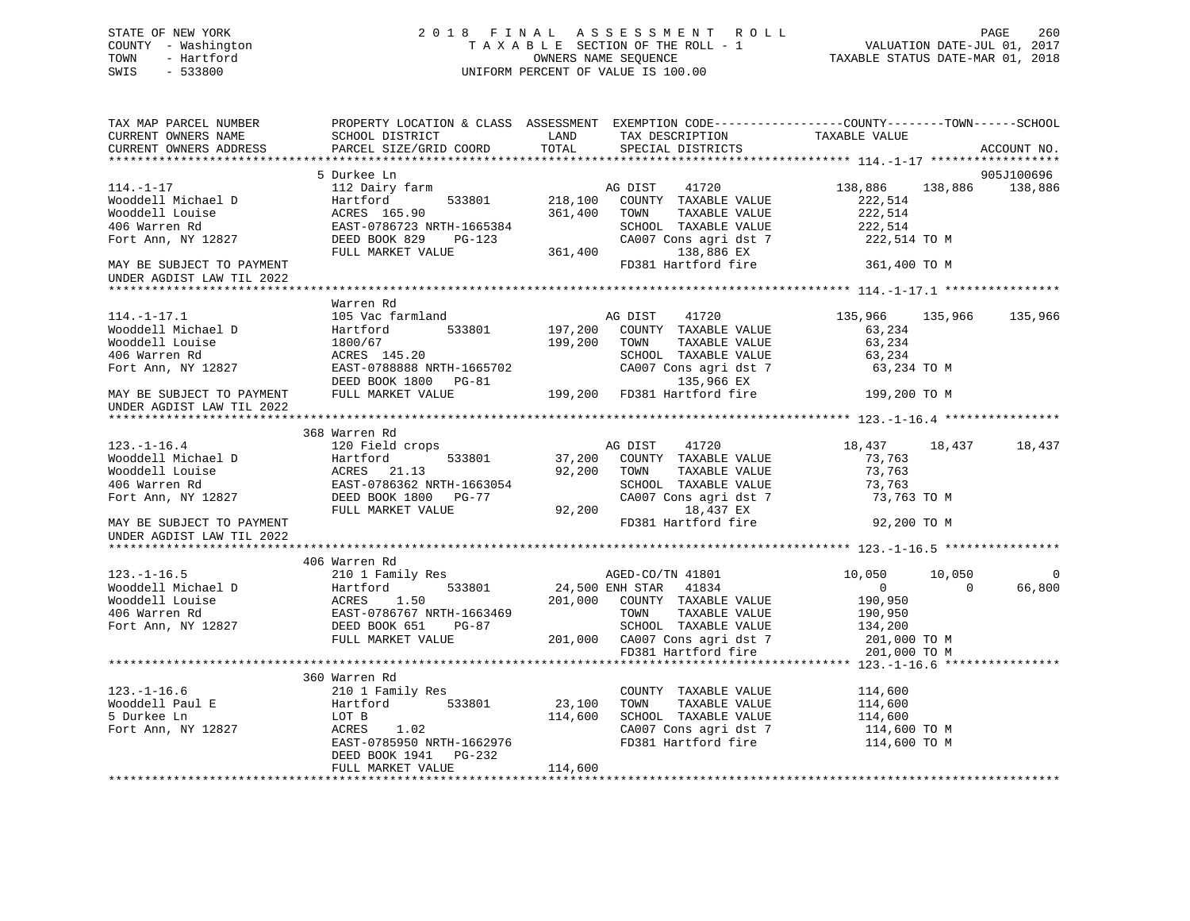## STATE OF NEW YORK 2 0 1 8 F I N A L A S S E S S M E N T R O L L PAGE 260 COUNTY - Washington T A X A B L E SECTION OF THE ROLL - 1 VALUATION DATE-JUL 01, 2017 TOWN - Hartford **TAXABLE STATUS DATE-MAR 01, 2018** OWNERS NAME SEQUENCE TAXABLE STATUS DATE-MAR 01, 2018 SWIS - 533800 UNIFORM PERCENT OF VALUE IS 100.00

| TAX MAP PARCEL NUMBER<br>CURRENT OWNERS NAME<br>CURRENT OWNERS ADDRESS | PROPERTY LOCATION & CLASS ASSESSMENT EXEMPTION CODE----------------COUNTY-------TOWN------SCHOOL<br><b>LAND</b><br>SCHOOL DISTRICT<br>PARCEL SIZE/GRID COORD                                                                                                                                    | TOTAL        | TAX DESCRIPTION<br>SPECIAL DISTRICTS                                                                                    | TAXABLE VALUE                                    |                    | ACCOUNT NO. |
|------------------------------------------------------------------------|-------------------------------------------------------------------------------------------------------------------------------------------------------------------------------------------------------------------------------------------------------------------------------------------------|--------------|-------------------------------------------------------------------------------------------------------------------------|--------------------------------------------------|--------------------|-------------|
|                                                                        |                                                                                                                                                                                                                                                                                                 |              |                                                                                                                         |                                                  |                    |             |
|                                                                        | 5 Durkee Ln                                                                                                                                                                                                                                                                                     |              |                                                                                                                         |                                                  |                    | 905J100696  |
|                                                                        | 112 Dairy farm<br>112 Dairy farm<br>112 Dairy farm<br>133801 218,100 COUNTY TAXABLE VALUE                                                                                                                                                                                                       | 361,400 TOWN | TAXABLE VALUE<br>SCHOOL TAXABLE VALUE                                                                                   | 138,886 138,886<br>222,514<br>222,514<br>222,514 |                    | 138,886     |
|                                                                        |                                                                                                                                                                                                                                                                                                 |              | CA007 Cons agri dst 7 222,514 TO M<br>138,886 EX                                                                        |                                                  |                    |             |
| UNDER AGDIST LAW TIL 2022                                              |                                                                                                                                                                                                                                                                                                 |              | FD381 Hartford fire 361,400 TO M                                                                                        |                                                  |                    |             |
|                                                                        | Warren Rd                                                                                                                                                                                                                                                                                       |              |                                                                                                                         |                                                  |                    |             |
| $114. -1 - 17.1$                                                       | 105 Vac farmland Management AG DIST 41720<br>14.-1-17.1<br>Wooddell Michael D<br>Wooddell Louise 155,966<br>Wooddell Michael D<br>Wooddell Louise 1800/67<br>Hartford 533801<br>200 TOWN TAXABLE VALUE<br>200 TOWN TAXABLE VALUE<br>200 TOWN TAXABLE VALUE<br>200 TOWN TAXABLE VALUE<br>200 TOW |              |                                                                                                                         | 135,966 135,966 135,966                          |                    |             |
| UNDER AGDIST LAW TIL 2022                                              |                                                                                                                                                                                                                                                                                                 |              |                                                                                                                         |                                                  |                    |             |
|                                                                        | 368 Warren Rd                                                                                                                                                                                                                                                                                   |              |                                                                                                                         |                                                  |                    |             |
| $123. - 1 - 16.4$                                                      | 120 Field crops                                                                                                                                                                                                                                                                                 |              | AG DIST 41720<br>533801 37,200 COUNTY TAXABLE VALUE                                                                     | 18,437 18,437 18,437                             |                    |             |
|                                                                        |                                                                                                                                                                                                                                                                                                 |              |                                                                                                                         |                                                  |                    |             |
|                                                                        |                                                                                                                                                                                                                                                                                                 |              |                                                                                                                         |                                                  |                    |             |
|                                                                        | 406 Warren Rd 406 Warren Rd 406 Warren Rd 406 Warren Rd 201,000 CO/TN 41801 17881 24,500 ENH STAR 41834 0<br>Wooddell Michael D Hartford 533801 24,500 ENH STAR 41834 0<br>406 Warren Rd EAST-0786767 NRTH-1663469 201,000 COUNTY TA                                                            |              |                                                                                                                         |                                                  | 10,050<br>$\sim$ 0 | 66,800      |
|                                                                        |                                                                                                                                                                                                                                                                                                 |              |                                                                                                                         |                                                  |                    |             |
|                                                                        | 360 Warren Rd<br>LOT B<br>ACRES 1.02 114,600 SCHOOL TAXABLE VALUE<br>EAST-0785950 NRTH-1662976 FD381 Hartford fire<br>DEED BOOK 1941    PG-232<br>FULL MARKET VALUE                                                                                                                             | 114,600      | COUNTY TAXABLE VALUE 114,600<br>TOWN TAXABLE VALUE 114,600<br>CA007 Cons agri dst 7 114,600 TO M<br>FD381 Hartford fire | 114,600<br>114,600 TO M                          |                    |             |
|                                                                        |                                                                                                                                                                                                                                                                                                 |              |                                                                                                                         |                                                  |                    |             |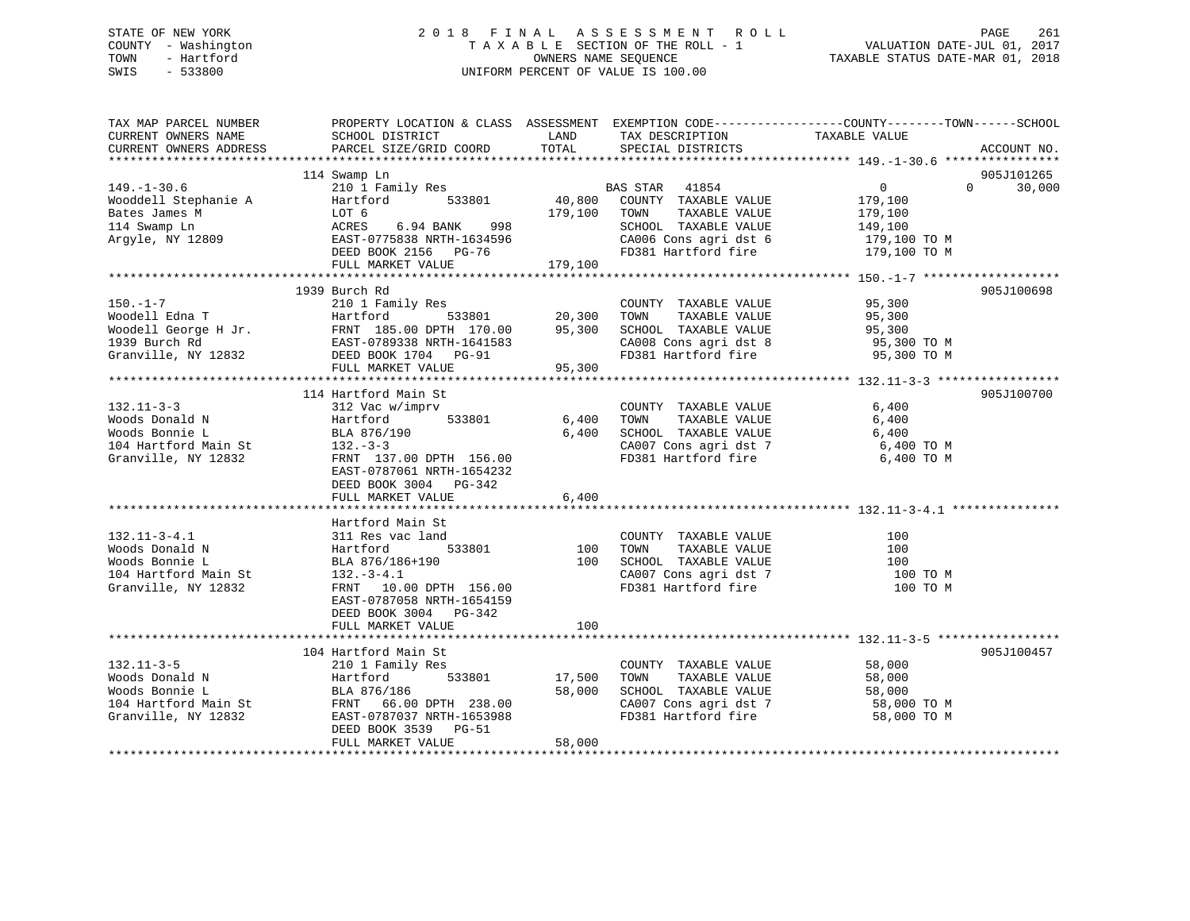## STATE OF NEW YORK 2 0 1 8 F I N A L A S S E S S M E N T R O L L PAGE 261 COUNTY - Washington T A X A B L E SECTION OF THE ROLL - 1 VALUATION DATE-JUL 01, 2017 TOWN - Hartford **TAXABLE STATUS DATE-MAR 01, 2018** OWNERS NAME SEQUENCE TAXABLE STATUS DATE-MAR 01, 2018 SWIS - 533800 UNIFORM PERCENT OF VALUE IS 100.00

| TAX MAP PARCEL NUMBER<br>CURRENT OWNERS NAME<br>CURRENT OWNERS ADDRESS | PROPERTY LOCATION & CLASS ASSESSMENT<br>SCHOOL DISTRICT<br>PARCEL SIZE/GRID COORD | LAND<br>TOTAL | TAX DESCRIPTION<br>SPECIAL DISTRICTS          | EXEMPTION CODE-----------------COUNTY-------TOWN------SCHOOL<br>TAXABLE VALUE | ACCOUNT NO. |
|------------------------------------------------------------------------|-----------------------------------------------------------------------------------|---------------|-----------------------------------------------|-------------------------------------------------------------------------------|-------------|
|                                                                        |                                                                                   |               |                                               |                                                                               |             |
|                                                                        | 114 Swamp Ln                                                                      |               |                                               |                                                                               | 905J101265  |
| $149. - 1 - 30.6$                                                      | 210 1 Family Res                                                                  |               | BAS STAR 41854                                | $\overline{0}$<br>$\Omega$                                                    | 30,000      |
| Wooddell Stephanie A                                                   | 533801<br>Hartford                                                                | 40,800        | COUNTY TAXABLE VALUE                          | 179,100                                                                       |             |
| Bates James M                                                          | LOT 6                                                                             | 179,100       | TOWN<br>TAXABLE VALUE                         | 179,100                                                                       |             |
| 114 Swamp Ln<br>Argyle, NY 12809                                       | ACRES<br>6.94 BANK<br>998<br>EAST-0775838 NRTH-1634596                            |               | SCHOOL TAXABLE VALUE<br>CA006 Cons agri dst 6 | 149,100<br>179,100 TO M                                                       |             |
|                                                                        | DEED BOOK 2156 PG-76                                                              |               | FD381 Hartford fire                           | 179,100 TO M                                                                  |             |
|                                                                        | FULL MARKET VALUE                                                                 | 179,100       |                                               |                                                                               |             |
|                                                                        |                                                                                   |               |                                               |                                                                               |             |
|                                                                        | 1939 Burch Rd                                                                     |               |                                               |                                                                               | 905J100698  |
| $150. - 1 - 7$                                                         | 210 1 Family Res                                                                  |               | COUNTY TAXABLE VALUE                          | 95,300                                                                        |             |
| Woodell Edna T                                                         | 533801<br>Hartford                                                                | 20,300        | TAXABLE VALUE<br>TOWN                         | 95,300                                                                        |             |
| Woodell George H Jr.                                                   | FRNT 185.00 DPTH 170.00                                                           | 95,300        | SCHOOL TAXABLE VALUE                          | 95,300                                                                        |             |
| 1939 Burch Rd                                                          | EAST-0789338 NRTH-1641583                                                         |               | CA008 Cons agri dst 8                         | 95,300 TO M                                                                   |             |
| Granville, NY 12832                                                    | DEED BOOK 1704 PG-91                                                              |               | FD381 Hartford fire                           | 95,300 TO M                                                                   |             |
|                                                                        | FULL MARKET VALUE                                                                 | 95,300        |                                               |                                                                               |             |
|                                                                        |                                                                                   |               |                                               |                                                                               |             |
|                                                                        | 114 Hartford Main St                                                              |               |                                               |                                                                               | 905J100700  |
| $132.11 - 3 - 3$                                                       | 312 Vac w/imprv                                                                   |               | COUNTY TAXABLE VALUE                          | 6,400                                                                         |             |
| Woods Donald N                                                         | Hartford<br>533801                                                                | 6,400         | TOWN<br>TAXABLE VALUE                         | 6,400                                                                         |             |
| Woods Bonnie L                                                         | BLA 876/190                                                                       | 6,400         | SCHOOL TAXABLE VALUE                          | 6,400                                                                         |             |
| 104 Hartford Main St                                                   | $132 - 3 - 3$                                                                     |               | CA007 Cons agri dst 7                         | 6,400 TO M                                                                    |             |
| Granville, NY 12832                                                    | FRNT 137.00 DPTH 156.00                                                           |               | FD381 Hartford fire                           | 6,400 TO M                                                                    |             |
|                                                                        | EAST-0787061 NRTH-1654232                                                         |               |                                               |                                                                               |             |
|                                                                        | DEED BOOK 3004 PG-342<br>FULL MARKET VALUE                                        | 6,400         |                                               |                                                                               |             |
|                                                                        |                                                                                   |               |                                               |                                                                               |             |
|                                                                        | Hartford Main St                                                                  |               |                                               |                                                                               |             |
| $132.11 - 3 - 4.1$                                                     | 311 Res vac land                                                                  |               | COUNTY TAXABLE VALUE                          | 100                                                                           |             |
| Woods Donald N                                                         | 533801<br>Hartford                                                                | 100           | TAXABLE VALUE<br>TOWN                         | 100                                                                           |             |
| Woods Bonnie L                                                         | BLA 876/186+190                                                                   | 100           | SCHOOL TAXABLE VALUE                          | 100                                                                           |             |
| 104 Hartford Main St                                                   | $132.-3-4.1$                                                                      |               | CA007 Cons agri dst 7                         | 100 TO M                                                                      |             |
| Granville, NY 12832                                                    | FRNT 10.00 DPTH 156.00                                                            |               | FD381 Hartford fire                           | 100 TO M                                                                      |             |
|                                                                        | EAST-0787058 NRTH-1654159                                                         |               |                                               |                                                                               |             |
|                                                                        | DEED BOOK 3004 PG-342                                                             |               |                                               |                                                                               |             |
|                                                                        | FULL MARKET VALUE                                                                 | 100           |                                               |                                                                               |             |
|                                                                        |                                                                                   |               |                                               |                                                                               |             |
|                                                                        | 104 Hartford Main St                                                              |               |                                               |                                                                               | 905J100457  |
| $132.11 - 3 - 5$                                                       | 210 1 Family Res                                                                  |               | COUNTY TAXABLE VALUE                          | 58,000                                                                        |             |
| Woods Donald N                                                         | 533801<br>Hartford                                                                | 17,500        | TOWN<br>TAXABLE VALUE                         | 58,000                                                                        |             |
| Woods Bonnie L                                                         | BLA 876/186                                                                       | 58,000        | SCHOOL TAXABLE VALUE                          | 58,000                                                                        |             |
| 104 Hartford Main St                                                   | FRNT 66.00 DPTH 238.00                                                            |               | CA007 Cons agri dst 7                         | 58,000 TO M                                                                   |             |
| Granville, NY 12832                                                    | EAST-0787037 NRTH-1653988                                                         |               | FD381 Hartford fire                           | 58,000 TO M                                                                   |             |
|                                                                        | DEED BOOK 3539<br>$PG-51$                                                         |               |                                               |                                                                               |             |
|                                                                        | FULL MARKET VALUE                                                                 | 58,000        |                                               |                                                                               |             |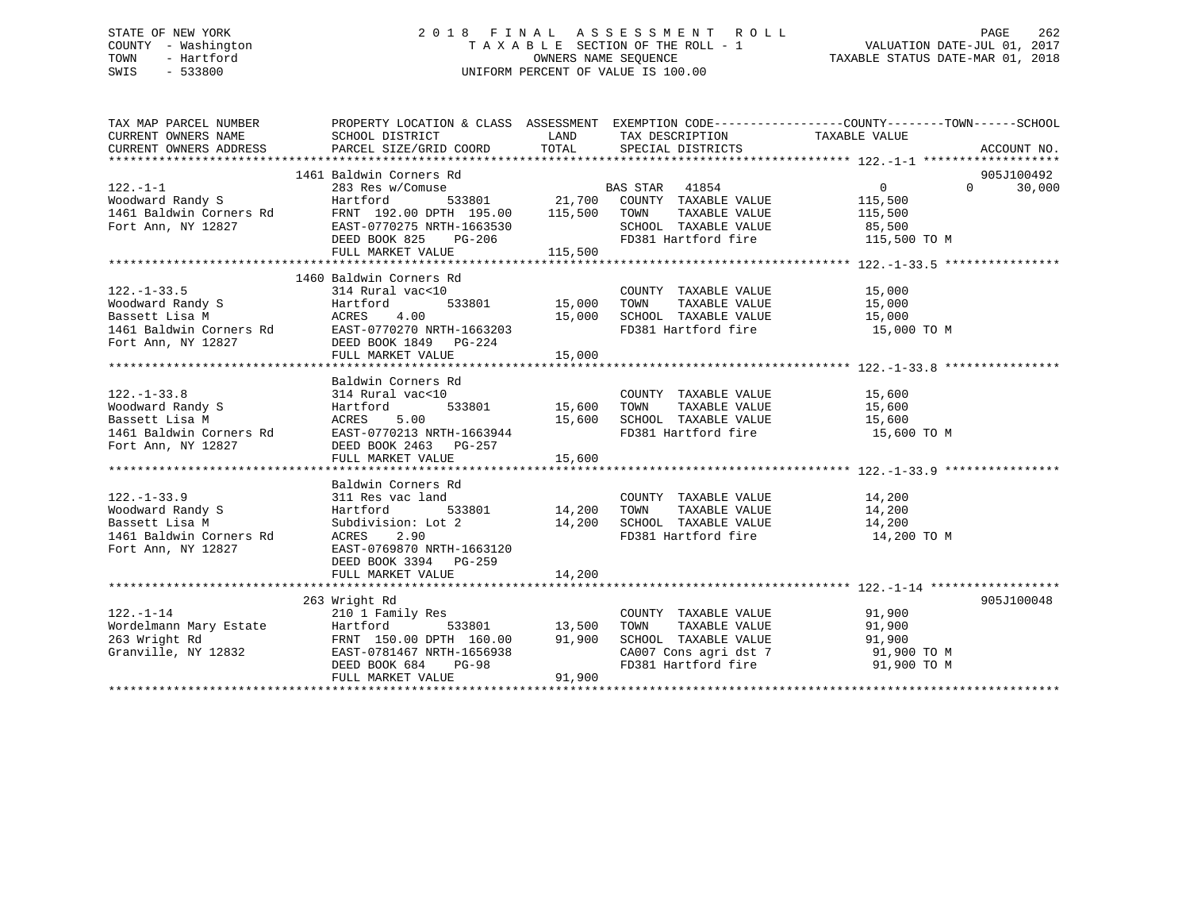## STATE OF NEW YORK 2 0 1 8 F I N A L A S S E S S M E N T R O L L PAGE 262 COUNTY - Washington T A X A B L E SECTION OF THE ROLL - 1 VALUATION DATE-JUL 01, 2017 TOWN - Hartford **TAXABLE STATUS DATE-MAR 01, 2018** OWNERS NAME SEQUENCE TAXABLE STATUS DATE-MAR 01, 2018 SWIS - 533800 UNIFORM PERCENT OF VALUE IS 100.00

| TAX MAP PARCEL NUMBER<br>CURRENT OWNERS ADDRESS                                                    |                                                                                                                                                                                                                                                                                                     |        |                                  | PROPERTY LOCATION & CLASS ASSESSMENT EXEMPTION CODE---------------COUNTY-------TOWN------SCHOOL |
|----------------------------------------------------------------------------------------------------|-----------------------------------------------------------------------------------------------------------------------------------------------------------------------------------------------------------------------------------------------------------------------------------------------------|--------|----------------------------------|-------------------------------------------------------------------------------------------------|
|                                                                                                    | 1461 Baldwin Corners Rd                                                                                                                                                                                                                                                                             |        | FD381 Hartford fire 115,500 TO M | 905J100492<br>$\overline{0}$<br>$\Omega$<br>30,000                                              |
| $122. - 1 - 33.5$                                                                                  | 1460 Baldwin Corners Rd<br>314 Rural vac<10<br>Woodward Randy S<br>Moodward Randy S<br>Bassett Lisa M<br>161 Baldwin Corners Rd<br>EAST-0770270 NRTH-1663203<br>EAST-0770270 NRTH-1663203<br>EAST-0770270 NRTH-1663203<br>FULL MARKET VALUE<br>FULL MARKET VALUE<br>15,000<br>FULL MARKET VALUE<br> |        |                                  |                                                                                                 |
|                                                                                                    | Baldwin Corners Rd                                                                                                                                                                                                                                                                                  | 15,600 |                                  |                                                                                                 |
| 122.-1-33.9<br>Woodward Randy S<br>Bassett Lisa M<br>1461 Baldwin Corners Rd<br>Fort Ann, NY 12827 | Baldwin Corners Rd<br>311 Res vac land<br>533801 14,200 TOWN<br>Hartford<br>Subdivision: Lot 2 14,200<br>ACRES 2.90<br>EAST-0769870 NRTH-1663120<br>DEED BOOK 3394 PG-259<br>FULL MARKET VALUE                                                                                                      | 14,200 | COUNTY TAXABLE VALUE 14,200      | TAXABLE VALUE 14,200<br>TAXABLE VALUE 14,200                                                    |
|                                                                                                    | 263 Wright Rd<br>122.-1-14<br>Wordelmann Mary Estate Hartford 533801 13,500<br>263 Wright Rd FRNT 150.00 DPTH 160.00 91,900<br>Granville, NY 12832 EAST-0781467 NRTH-1656938<br>DEED BOOK 684 PG-98<br>FIILL MARKET VALUE<br>PHILL MARKET VALUE                                                     |        | COUNTY TAXABLE VALUE 91,900      | 905J100048<br>CA007 Cons agri dst 7 91,900 TO M<br>FD381 Hartford fire 91,900 TO M              |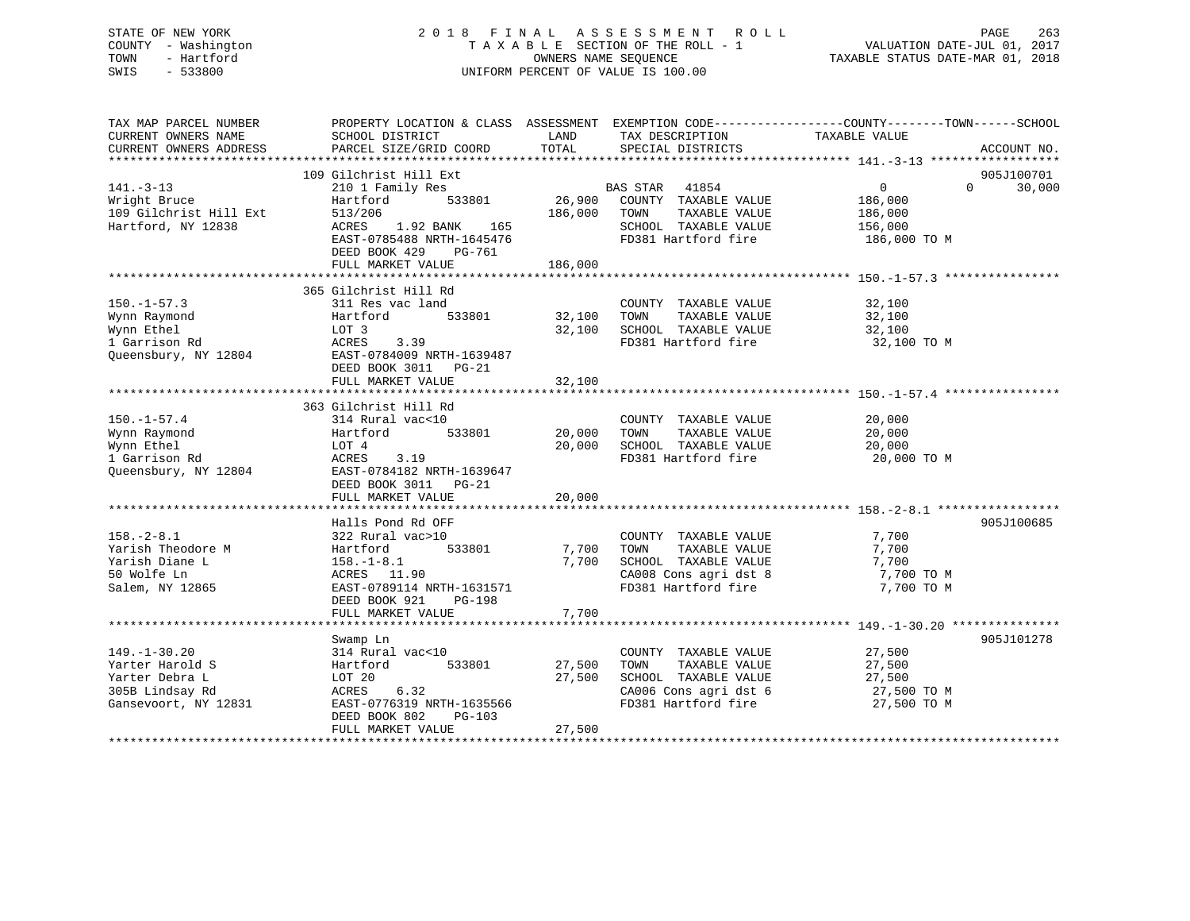## STATE OF NEW YORK 2 0 1 8 F I N A L A S S E S S M E N T R O L L PAGE 263 COUNTY - Washington T A X A B L E SECTION OF THE ROLL - 1 VALUATION DATE-JUL 01, 2017 TOWN - Hartford **TAXABLE STATUS DATE-MAR 01, 2018** OWNERS NAME SEQUENCE TAXABLE STATUS DATE-MAR 01, 2018 SWIS - 533800 UNIFORM PERCENT OF VALUE IS 100.00

| TAX MAP PARCEL NUMBER          | PROPERTY LOCATION & CLASS ASSESSMENT EXEMPTION CODE---------------COUNTY-------TOWN------SCHOOL |              |                                               |                |                    |
|--------------------------------|-------------------------------------------------------------------------------------------------|--------------|-----------------------------------------------|----------------|--------------------|
| CURRENT OWNERS NAME            | SCHOOL DISTRICT                                                                                 | LAND         | TAX DESCRIPTION                               | TAXABLE VALUE  |                    |
| CURRENT OWNERS ADDRESS         | PARCEL SIZE/GRID COORD                                                                          | TOTAL        | SPECIAL DISTRICTS                             |                | ACCOUNT NO.        |
|                                |                                                                                                 |              |                                               |                |                    |
|                                | 109 Gilchrist Hill Ext                                                                          |              |                                               |                | 905J100701         |
| $141. - 3 - 13$                | 210 1 Family Res                                                                                |              |                                               | $\overline{0}$ | $\Omega$<br>30,000 |
| Wright Bruce                   | 533801<br>Hartford                                                                              |              | BAS STAR 41854<br>26,900 COUNTY TAXABLE VALUE | 186,000        |                    |
|                                |                                                                                                 | 186,000 TOWN | TAXABLE VALUE                                 |                |                    |
| 109 Gilchrist Hill Ext 513/206 |                                                                                                 |              |                                               | 186,000        |                    |
| Hartford, NY 12838             | ACRES 1.92 BANK 165                                                                             |              | SCHOOL TAXABLE VALUE                          | 156,000        |                    |
|                                | EAST-0785488 NRTH-1645476                                                                       |              | FD381 Hartford fire 186,000 TO M              |                |                    |
|                                | DEED BOOK 429<br>PG-761                                                                         |              |                                               |                |                    |
|                                | FULL MARKET VALUE                                                                               | 186,000      |                                               |                |                    |
|                                |                                                                                                 |              |                                               |                |                    |
|                                | 365 Gilchrist Hill Rd                                                                           |              |                                               |                |                    |
| $150. - 1 - 57.3$              | 311 Res vac land                                                                                |              | COUNTY TAXABLE VALUE                          | 32,100         |                    |
| Wynn Raymond                   | 533801<br>Hartford                                                                              | 32,100 TOWN  | TAXABLE VALUE                                 | 32,100         |                    |
| Wynn Ethel                     | LOT 3                                                                                           | 32,100       | SCHOOL TAXABLE VALUE                          | 32,100         |                    |
| 1 Garrison Rd                  | 3.39<br>ACRES                                                                                   |              | FD381 Hartford fire                           | 32,100 TO M    |                    |
|                                | Queensbury, NY 12804 EAST-0784009 NRTH-1639487                                                  |              |                                               |                |                    |
|                                | DEED BOOK 3011 PG-21                                                                            |              |                                               |                |                    |
|                                | FULL MARKET VALUE                                                                               | 32,100       |                                               |                |                    |
|                                |                                                                                                 |              |                                               |                |                    |
|                                | 363 Gilchrist Hill Rd                                                                           |              |                                               |                |                    |
|                                |                                                                                                 |              |                                               |                |                    |
| $150. - 1 - 57.4$              | 314 Rural vac<10                                                                                |              | COUNTY TAXABLE VALUE                          | 20,000         |                    |
| Wynn Raymond                   | 533801<br>Hartford                                                                              | 20,000       | TOWN<br>TAXABLE VALUE                         | 20,000         |                    |
| Wynn Ethel                     | LOT 4                                                                                           | 20,000       | SCHOOL TAXABLE VALUE                          | 20,000         |                    |
| 1 Garrison Rd                  | ACRES<br>3.19                                                                                   |              | FD381 Hartford fire                           | 20,000 TO M    |                    |
| Queensbury, NY 12804           | EAST-0784182 NRTH-1639647                                                                       |              |                                               |                |                    |
|                                | DEED BOOK 3011 PG-21                                                                            |              |                                               |                |                    |
|                                | FULL MARKET VALUE                                                                               | 20,000       |                                               |                |                    |
|                                |                                                                                                 |              |                                               |                |                    |
|                                | Halls Pond Rd OFF                                                                               |              |                                               |                | 905J100685         |
| $158. - 2 - 8.1$               | 322 Rural vac>10                                                                                |              | COUNTY TAXABLE VALUE                          | 7,700          |                    |
| Yarish Theodore M              | 533801<br>Hartford                                                                              | 7,700        | TAXABLE VALUE<br>TOWN                         | 7,700          |                    |
| Yarish Diane L                 | $158. - 1 - 8.1$                                                                                | 7,700        | SCHOOL TAXABLE VALUE                          | 7,700          |                    |
| 50 Wolfe Ln                    | ACRES 11.90                                                                                     |              | CA008 Cons agri dst 8                         | 7,700 TO M     |                    |
| Salem, NY 12865                | EAST-0789114 NRTH-1631571                                                                       |              | FD381 Hartford fire                           | 7,700 TO M     |                    |
|                                | DEED BOOK 921<br>PG-198                                                                         |              |                                               |                |                    |
|                                | FULL MARKET VALUE                                                                               | 7,700        |                                               |                |                    |
|                                |                                                                                                 |              |                                               |                |                    |
|                                |                                                                                                 |              |                                               |                |                    |
|                                | Swamp Ln                                                                                        |              |                                               |                | 905J101278         |
| $149. - 1 - 30.20$             | 314 Rural vac<10                                                                                |              | COUNTY TAXABLE VALUE                          | 27,500         |                    |
| Yarter Harold S                | 533801<br>Hartford                                                                              | 27,500       | TAXABLE VALUE<br>TOWN                         | 27,500         |                    |
| Yarter Debra L                 | LOT 20                                                                                          | 27,500       | SCHOOL TAXABLE VALUE                          | 27,500         |                    |
| 305B Lindsay Rd                | <b>ACRES</b><br>6.32                                                                            |              | CA006 Cons agri dst 6                         | 27,500 TO M    |                    |
| Gansevoort, NY 12831           | EAST-0776319 NRTH-1635566                                                                       |              | FD381 Hartford fire                           | 27,500 TO M    |                    |
|                                | DEED BOOK 802<br>PG-103                                                                         |              |                                               |                |                    |
|                                | FULL MARKET VALUE                                                                               | 27,500       |                                               |                |                    |
|                                |                                                                                                 |              |                                               |                |                    |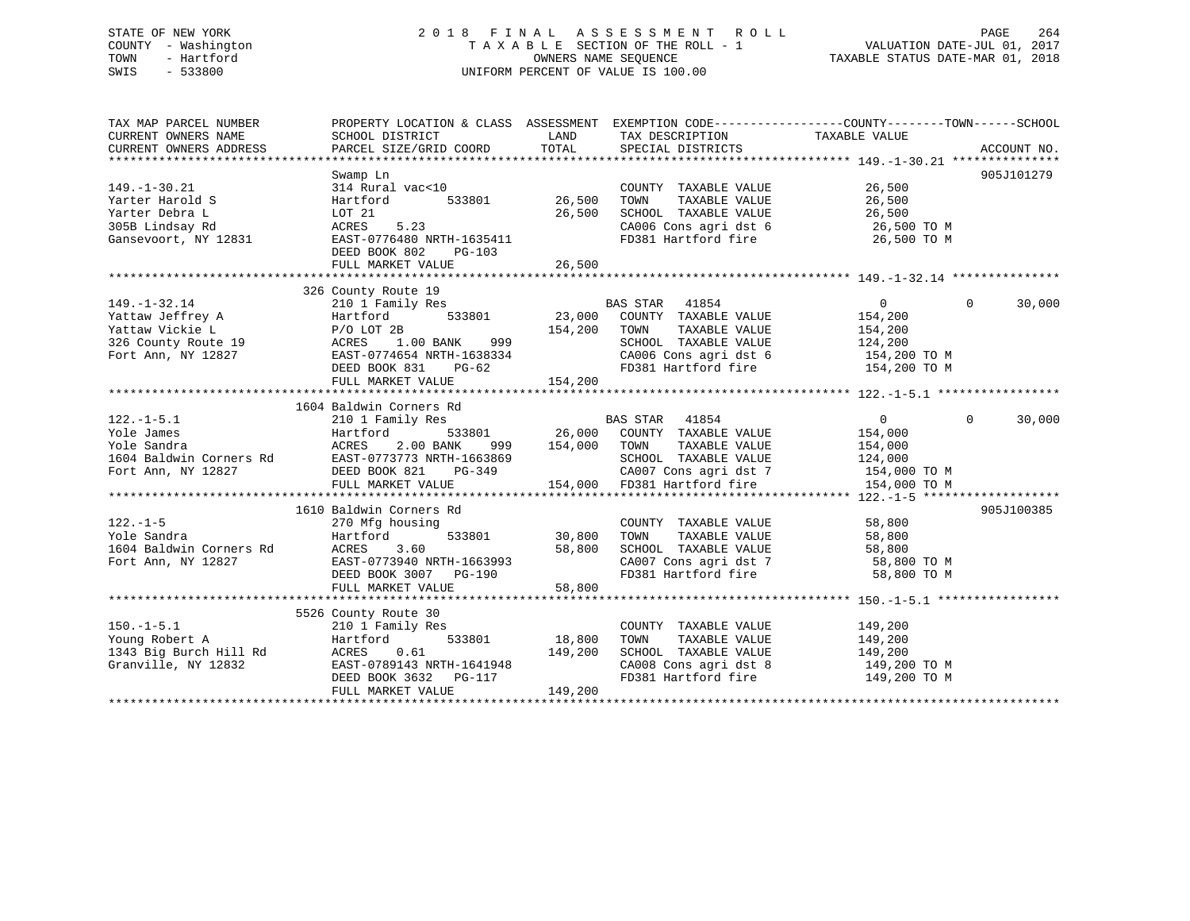## STATE OF NEW YORK 2 0 1 8 F I N A L A S S E S S M E N T R O L L PAGE 264 COUNTY - Washington T A X A B L E SECTION OF THE ROLL - 1 VALUATION DATE-JUL 01, 2017 TOWN - Hartford OWNERS NAME SEQUENCE TAXABLE STATUS DATE-MAR 01, 2018 SWIS - 533800 UNIFORM PERCENT OF VALUE IS 100.00

| TAX MAP PARCEL NUMBER  | PROPERTY LOCATION & CLASS ASSESSMENT EXEMPTION CODE---------------COUNTY-------TOWN------SCHOOL                                                                                                                                                                                                            |                          |                                                                                                     |                            |                    |
|------------------------|------------------------------------------------------------------------------------------------------------------------------------------------------------------------------------------------------------------------------------------------------------------------------------------------------------|--------------------------|-----------------------------------------------------------------------------------------------------|----------------------------|--------------------|
|                        |                                                                                                                                                                                                                                                                                                            |                          |                                                                                                     | TAXABLE VALUE              |                    |
| CURRENT OWNERS ADDRESS |                                                                                                                                                                                                                                                                                                            |                          |                                                                                                     |                            |                    |
|                        |                                                                                                                                                                                                                                                                                                            |                          |                                                                                                     |                            |                    |
|                        | Swamp Ln                                                                                                                                                                                                                                                                                                   |                          |                                                                                                     |                            | 905J101279         |
| 149. -1 - 30. 21       | 314 Rural vac<10 COUNT<br>Hartford 533801 26,500 TOWN                                                                                                                                                                                                                                                      |                          | COUNTY TAXABLE VALUE 26,500                                                                         |                            |                    |
| Yarter Harold S        |                                                                                                                                                                                                                                                                                                            |                          |                                                                                                     |                            |                    |
| Yarter Debra L         |                                                                                                                                                                                                                                                                                                            |                          |                                                                                                     |                            |                    |
| 305B Lindsay Rd        |                                                                                                                                                                                                                                                                                                            |                          |                                                                                                     |                            |                    |
|                        | Hartford 533801 26,500 TOWN TAXABLE VALUE 26,500<br>LOT 21 26,500 SCHOOL TAXABLE VALUE 26,500<br>ACRES 5.23 CA006 Cons agri dst 6 26,500 TO M<br>EAST-0776480 NRTH-1635411 FD381 Hartford fire 26,500 TO M<br>Gansevoort, NY 12831 EAST-0776480 NRTH-1635411                                               |                          |                                                                                                     |                            |                    |
|                        | DEED BOOK 802 PG-103                                                                                                                                                                                                                                                                                       |                          |                                                                                                     |                            |                    |
|                        |                                                                                                                                                                                                                                                                                                            |                          |                                                                                                     |                            |                    |
|                        |                                                                                                                                                                                                                                                                                                            |                          |                                                                                                     |                            |                    |
|                        |                                                                                                                                                                                                                                                                                                            |                          |                                                                                                     |                            |                    |
|                        | 326 County Route 19                                                                                                                                                                                                                                                                                        |                          |                                                                                                     |                            |                    |
| $149. - 1 - 32.14$     | 210 1 Family Res                                                                                                                                                                                                                                                                                           |                          | 150 1988 EAS STAR 41854<br>1y Res 533801 23,000 COUNTY TAXABLE VALUE<br>154 2000 TOWN TAXABLE VALUE | $\overline{0}$<br>$\Omega$ | 30,000             |
|                        |                                                                                                                                                                                                                                                                                                            |                          |                                                                                                     |                            |                    |
|                        |                                                                                                                                                                                                                                                                                                            |                          |                                                                                                     |                            |                    |
|                        |                                                                                                                                                                                                                                                                                                            |                          |                                                                                                     |                            |                    |
|                        |                                                                                                                                                                                                                                                                                                            |                          |                                                                                                     |                            |                    |
|                        |                                                                                                                                                                                                                                                                                                            |                          |                                                                                                     |                            |                    |
|                        | 149.-1-32.14<br>Yattaw Jeffrey A Hartford 533801 23,000 COUNTY IMANDLE VALUE<br>Yattaw Vickie L P/O LOT 2B 154,200 TOWN TAXABLE VALUE<br>326 County Route 19 ACRES 1.00 BANK 999 SCHOOL TAXABLE VALUE<br>Fort Ann, NY 12827 EAST-07746                                                                     |                          |                                                                                                     |                            |                    |
|                        |                                                                                                                                                                                                                                                                                                            |                          |                                                                                                     |                            |                    |
|                        | 1604 Baldwin Corners Rd                                                                                                                                                                                                                                                                                    |                          |                                                                                                     |                            |                    |
| $122. -1 - 5.1$        |                                                                                                                                                                                                                                                                                                            |                          |                                                                                                     |                            | $\Omega$<br>30,000 |
|                        |                                                                                                                                                                                                                                                                                                            |                          |                                                                                                     |                            |                    |
|                        |                                                                                                                                                                                                                                                                                                            |                          |                                                                                                     |                            |                    |
|                        |                                                                                                                                                                                                                                                                                                            |                          |                                                                                                     |                            |                    |
|                        |                                                                                                                                                                                                                                                                                                            |                          |                                                                                                     |                            |                    |
|                        |                                                                                                                                                                                                                                                                                                            |                          |                                                                                                     |                            |                    |
|                        | $\begin{array}{cccccccccccc} 122.1-1-5.1 & 210 & 1 & \text{rall11} & \text{res} & 533801 & 26,000 & \text{COMITY} & \text{TAXABLE VALUE} & 154,000 & 53401 & 26000 & 533801 & 260000 & 533801 & 2600000 & 533801 & 26000000 & 533801 & 26000000 & 533801 & 26000000 & 53400000 & 53400000 & 53400000 & 53$ |                          |                                                                                                     |                            |                    |
|                        | 1610 Baldwin Corners Rd                                                                                                                                                                                                                                                                                    |                          |                                                                                                     |                            | 905J100385         |
|                        |                                                                                                                                                                                                                                                                                                            |                          | COUNTY TAXABLE VALUE 58,800                                                                         |                            |                    |
|                        |                                                                                                                                                                                                                                                                                                            | COUNT 533801 30,800 TOWN |                                                                                                     |                            |                    |
|                        |                                                                                                                                                                                                                                                                                                            |                          |                                                                                                     |                            |                    |
|                        |                                                                                                                                                                                                                                                                                                            |                          |                                                                                                     |                            |                    |
|                        | DEED BOOK 3007 PG-190<br>FULL MARKET VALUE 58,800                                                                                                                                                                                                                                                          |                          | FD381 Hartford fire                                                                                 | 58,800 TO M                |                    |
|                        |                                                                                                                                                                                                                                                                                                            |                          |                                                                                                     |                            |                    |
|                        |                                                                                                                                                                                                                                                                                                            |                          |                                                                                                     |                            |                    |
|                        | 5526 County Route 30                                                                                                                                                                                                                                                                                       |                          |                                                                                                     |                            |                    |
|                        | County Route 30<br>210 1 Family Res                                                                                                                                                                                                                                                                        |                          |                                                                                                     |                            |                    |
| $150. - 1 - 5.1$       | $18,800$ TOWN                                                                                                                                                                                                                                                                                              |                          | COUNTY TAXABLE VALUE 149,200                                                                        | TAXABLE VALUE 149,200      |                    |
|                        |                                                                                                                                                                                                                                                                                                            |                          |                                                                                                     |                            |                    |
|                        |                                                                                                                                                                                                                                                                                                            |                          | SCHOOL TAXABLE VALUE 149,200                                                                        |                            |                    |
|                        | 1343 Big Burch Hill Rd<br>Granville, NY 12832<br>EAST-0789143 NRTH-1641948<br>DEED BOOK 3632 PG-117                                                                                                                                                                                                        |                          | CA008 Cons agri dst 8 149,200 TO M<br>FD381 Hartford fire 149,200 TO M                              |                            |                    |
|                        |                                                                                                                                                                                                                                                                                                            |                          |                                                                                                     |                            |                    |
|                        | FULL MARKET VALUE                                                                                                                                                                                                                                                                                          | 149,200                  |                                                                                                     |                            |                    |
|                        |                                                                                                                                                                                                                                                                                                            |                          |                                                                                                     |                            |                    |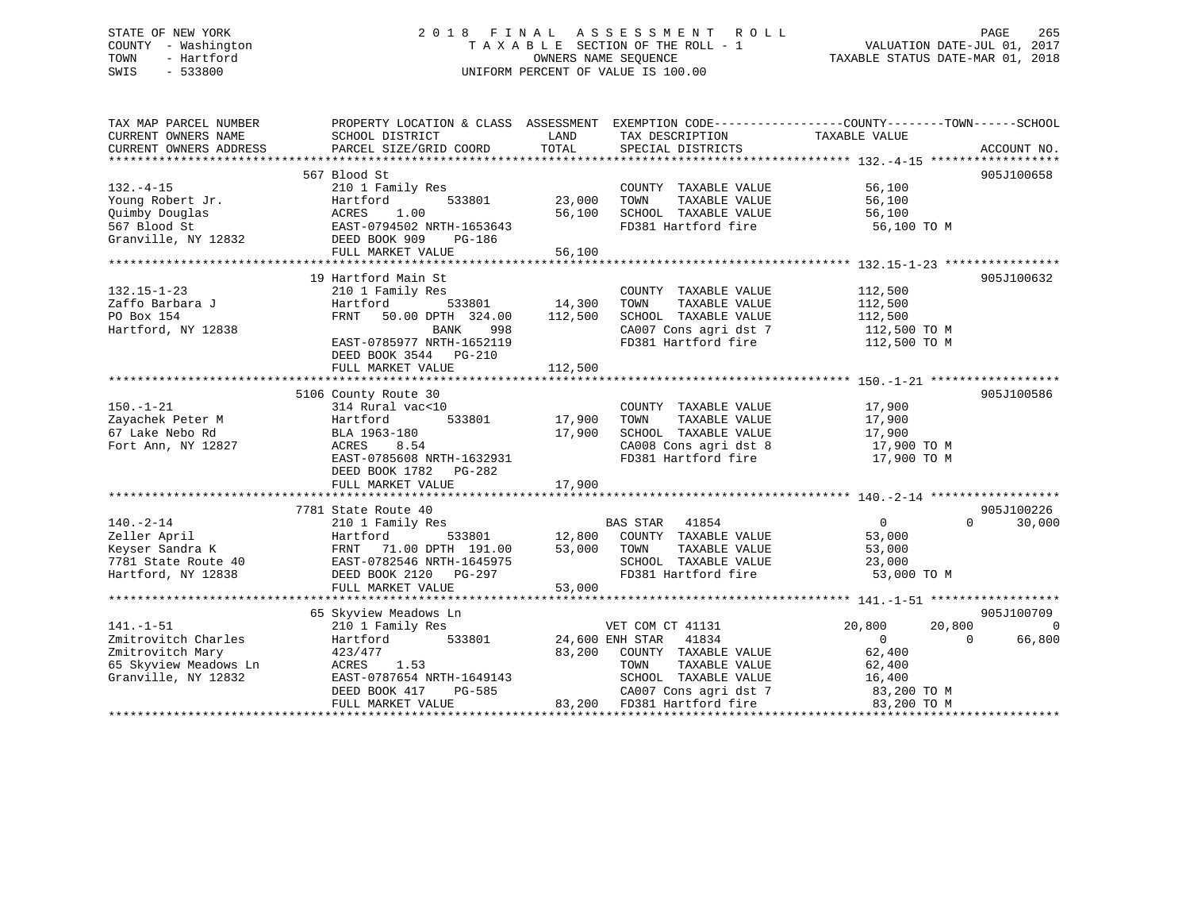# STATE OF NEW YORK 2 0 1 8 F I N A L A S S E S S M E N T R O L L PAGE 265 COUNTY - Washington T A X A B L E SECTION OF THE ROLL - 1 VALUATION DATE-JUL 01, 2017 SWIS - 533800 UNIFORM PERCENT OF VALUE IS 100.00

TOWN - Hartford OWNERS NAME SEQUENCE TAXABLE STATUS DATE-MAR 01, 2018

| TAX MAP PARCEL NUMBER<br>CURRENT OWNERS NAME                                                               | SCHOOL DISTRICT                                                                                                                                                                                                 | LAND<br>TAX DESCRIPTION<br>TOTAL                                                                                                                                                                | PROPERTY LOCATION & CLASS ASSESSMENT EXEMPTION CODE---------------COUNTY-------TOWN-----SCHOOL<br>TAXABLE VALUE                                          |
|------------------------------------------------------------------------------------------------------------|-----------------------------------------------------------------------------------------------------------------------------------------------------------------------------------------------------------------|-------------------------------------------------------------------------------------------------------------------------------------------------------------------------------------------------|----------------------------------------------------------------------------------------------------------------------------------------------------------|
| CURRENT OWNERS ADDRESS                                                                                     | PARCEL SIZE/GRID COORD                                                                                                                                                                                          | SPECIAL DISTRICTS                                                                                                                                                                               | ACCOUNT NO.                                                                                                                                              |
|                                                                                                            | 567 Blood St                                                                                                                                                                                                    |                                                                                                                                                                                                 | 905J100658                                                                                                                                               |
| $132. -4 - 15$<br>Young Robert Jr.<br>Quimby Douglas<br>567 Blood St                                       | 210 1 Family Res<br>533801<br>Hartford<br>ACRES 1.00<br>EAST-0794502 NRTH-1653643<br>CAST 009 PG-186                                                                                                            | COUNTY TAXABLE VALUE<br>23,000<br>TOWN<br>TAXABLE VALUE<br>56,100<br>SCHOOL TAXABLE VALUE<br>FD381 Hartford fire                                                                                | 56,100<br>56,100<br>56,100<br>56,100 TO M                                                                                                                |
| Granville, NY 12832 DEED BOOK 909                                                                          | FULL MARKET VALUE                                                                                                                                                                                               | 56,100                                                                                                                                                                                          |                                                                                                                                                          |
|                                                                                                            |                                                                                                                                                                                                                 |                                                                                                                                                                                                 |                                                                                                                                                          |
| $132.15 - 1 - 23$<br>Zaffo Barbara J<br>PO Box 154<br>Hartford, NY 12838                                   | 19 Hartford Main St<br>210 1 Family Res<br>Hartford<br>FRNT 50.00 DPTH 324.00 112,500<br>998<br>BANK<br>EAST-0785977 NRTH-1652119                                                                               | COUNTY TAXABLE VALUE<br>-<br>533801 14,300<br>TOWN<br>SCHOOL TAXABLE VALUE                                                                                                                      | 905J100632<br>112,500<br>TAXABLE VALUE 112,500<br>SCHOOL TAXABLE VALUE 112,500<br>CA007 Cons agri dst 7 112,500 TO M<br>FD381 Hartford fire 112,500 TO M |
|                                                                                                            | DEED BOOK 3544 PG-210<br>FULL MARKET VALUE                                                                                                                                                                      | 112,500                                                                                                                                                                                         |                                                                                                                                                          |
|                                                                                                            |                                                                                                                                                                                                                 |                                                                                                                                                                                                 |                                                                                                                                                          |
| $150. - 1 - 21$<br>Zayachek Peter M<br>67 Lake Nebo Rd<br>Fort Ann, NY 12827                               | 5106 County Route 30<br>314 Rural vac<10<br>533801<br>Hartford<br>BLA 1963-180<br>ACRES 8.54<br>EAST-0785608 NRTH-1632931<br>DEED BOOK 1782 PG-282<br>FULL MARKET VALUE                                         | 17,900<br>COUNTY TAXABLE VALUE 17,900<br>TOWN TAXABLE VALUE 17,900<br>TOWN<br>17,900<br>SCHOOL TAXABLE VALUE<br>CA008 Cons agri dst 8<br>CA008 Cons agri dst 8<br>FD381 Hartford fire<br>17,900 | 905J100586<br>17,900<br>17,900 TO M<br>17,900 TO M                                                                                                       |
|                                                                                                            |                                                                                                                                                                                                                 |                                                                                                                                                                                                 |                                                                                                                                                          |
| $140. -2 - 14$<br>Zeller April<br>Keyser Sandra K                                                          | 7781 State Route 40<br>210 1 Family Res<br>7781 State Route 40 EAST-0782546 NRTH-1645975<br>Hartford, NY 12838 DEED BOOK 2120 PG-297<br>EAST-0782546 NRTH-1645975<br>DEED BOOK 2120 PG-297<br>FULL MARKET VALUE | BAS STAR 41854<br>Hartford 533801 12,800 COUNTY TAXABLE VALUE<br>FRNT 71.00 DPTH 191.00 53,000 TOWN TAXABLE VALUE<br>SCHOOL TAXABLE VALUE<br>FD381 Hartford fire<br>53,000                      | 905J100226<br>$\overline{0}$<br>$\Omega$<br>30,000<br>53,000<br>53,000<br>23,000<br>53,000 TO M                                                          |
|                                                                                                            | 65 Skyview Meadows Ln                                                                                                                                                                                           |                                                                                                                                                                                                 | 905J100709                                                                                                                                               |
| $141. - 1 - 51$<br>Zmitrovitch Charles<br>Zmitrovitch Mary<br>65 Skyview Meadows Ln<br>Granville, NY 12832 | 210 1 Family Res<br>533801<br>Hartford<br>423/477<br>ACRES 1.53<br>EAST-0787654 NRTH-1649143                                                                                                                    | VET COM CT 41131<br>24,600 ENH STAR 41834<br>83,200 COUNTY TAXABLE VALUE 62,400<br>TOWN<br>SCHOOL TAXABLE VALUE                                                                                 | 20,800<br>20,800<br>$\Omega$<br>$\overline{0}$<br>66,800<br>$\Omega$<br>TAXABLE VALUE 62,400<br>TAXABLE VALUE 16,400                                     |
|                                                                                                            |                                                                                                                                                                                                                 |                                                                                                                                                                                                 |                                                                                                                                                          |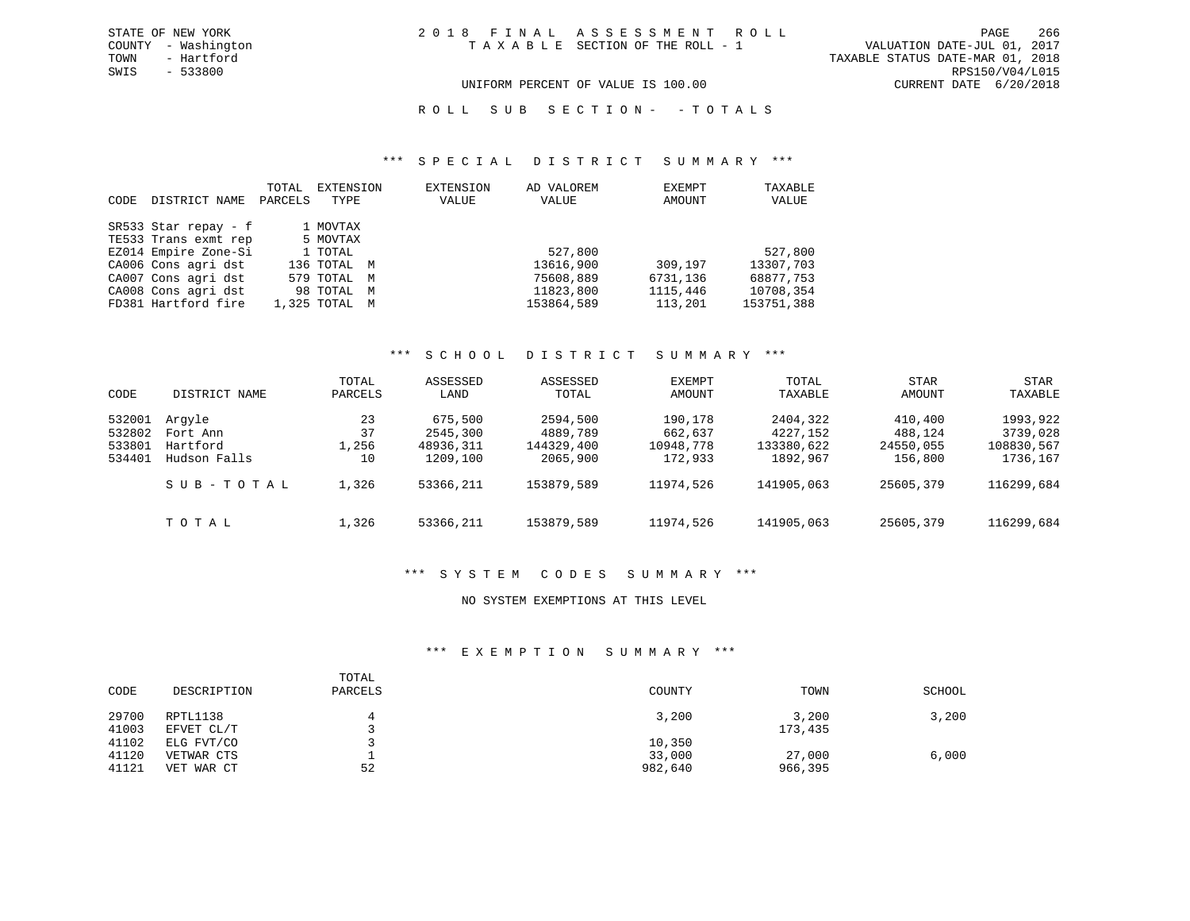TOWN - Hartford TAXABLE STATUS DATE-MAR 01, 2018 SWIS - 533800 RPS150/V04/L015 UNIFORM PERCENT OF VALUE IS 100.00 CURRENT DATE 6/20/2018

ROLL SUB SECTION - - TOTALS

#### \*\*\* S P E C I A L D I S T R I C T S U M M A R Y \*\*\*

| CODE | DISTRICT NAME        | TOTAL<br>PARCELS | EXTENSION<br>TYPE |   | <b>EXTENSION</b><br>VALUE | AD VALOREM<br>VALUE | EXEMPT<br>AMOUNT | TAXABLE<br>VALUE |
|------|----------------------|------------------|-------------------|---|---------------------------|---------------------|------------------|------------------|
|      | SR533 Star repay - f |                  | 1 MOVTAX          |   |                           |                     |                  |                  |
|      | TE533 Trans exmt rep |                  | 5 MOVTAX          |   |                           |                     |                  |                  |
|      | EZ014 Empire Zone-Si |                  | 1 TOTAL           |   |                           | 527,800             |                  | 527,800          |
|      | CA006 Cons agri dst  |                  | 136 TOTAL M       |   |                           | 13616,900           | 309,197          | 13307,703        |
|      | CA007 Cons agri dst  |                  | 579 TOTAL M       |   |                           | 75608,889           | 6731,136         | 68877,753        |
|      | CA008 Cons agri dst  |                  | 98 TOTAL          | M |                           | 11823,800           | 1115,446         | 10708,354        |
|      | FD381 Hartford fire  |                  | 1,325 TOTAL M     |   |                           | 153864,589          | 113,201          | 153751,388       |

#### \*\*\* S C H O O L D I S T R I C T S U M M A R Y \*\*\*

| CODE             | DISTRICT NAME      | TOTAL<br>PARCELS | ASSESSED<br>LAND    | ASSESSED<br>TOTAL    | <b>EXEMPT</b><br>AMOUNT | TOTAL<br>TAXABLE     | <b>STAR</b><br>AMOUNT | STAR<br>TAXABLE      |
|------------------|--------------------|------------------|---------------------|----------------------|-------------------------|----------------------|-----------------------|----------------------|
| 532001<br>532802 | Arqyle<br>Fort Ann | 23<br>37         | 675,500<br>2545,300 | 2594,500<br>4889,789 | 190,178<br>662,637      | 2404,322<br>4227,152 | 410,400<br>488,124    | 1993,922<br>3739,028 |
| 533801           | Hartford           | 1,256            | 48936,311           | 144329,400           | 10948,778               | 133380,622           | 24550,055             | 108830,567           |
| 534401           | Hudson Falls       | 10               | 1209,100            | 2065,900             | 172,933                 | 1892,967             | 156,800               | 1736,167             |
|                  | SUB-TOTAL          | 1,326            | 53366,211           | 153879,589           | 11974,526               | 141905,063           | 25605,379             | 116299,684           |
|                  | TOTAL              | 1,326            | 53366,211           | 153879,589           | 11974,526               | 141905,063           | 25605,379             | 116299,684           |

### \*\*\* S Y S T E M C O D E S S U M M A R Y \*\*\*

### NO SYSTEM EXEMPTIONS AT THIS LEVEL

### \*\*\* E X E M P T I O N S U M M A R Y \*\*\*

| CODE                    | DESCRIPTION                            | TOTAL<br>PARCELS | COUNTY                      | TOWN              | SCHOOL |
|-------------------------|----------------------------------------|------------------|-----------------------------|-------------------|--------|
| 29700<br>41003          | RPTL1138<br>EFVET CL/T                 |                  | 3,200                       | 3,200<br>173,435  | 3,200  |
| 41102<br>41120<br>41121 | ELG FVT/CO<br>VETWAR CTS<br>VET WAR CT | 52               | 10,350<br>33,000<br>982,640 | 27,000<br>966,395 | 6,000  |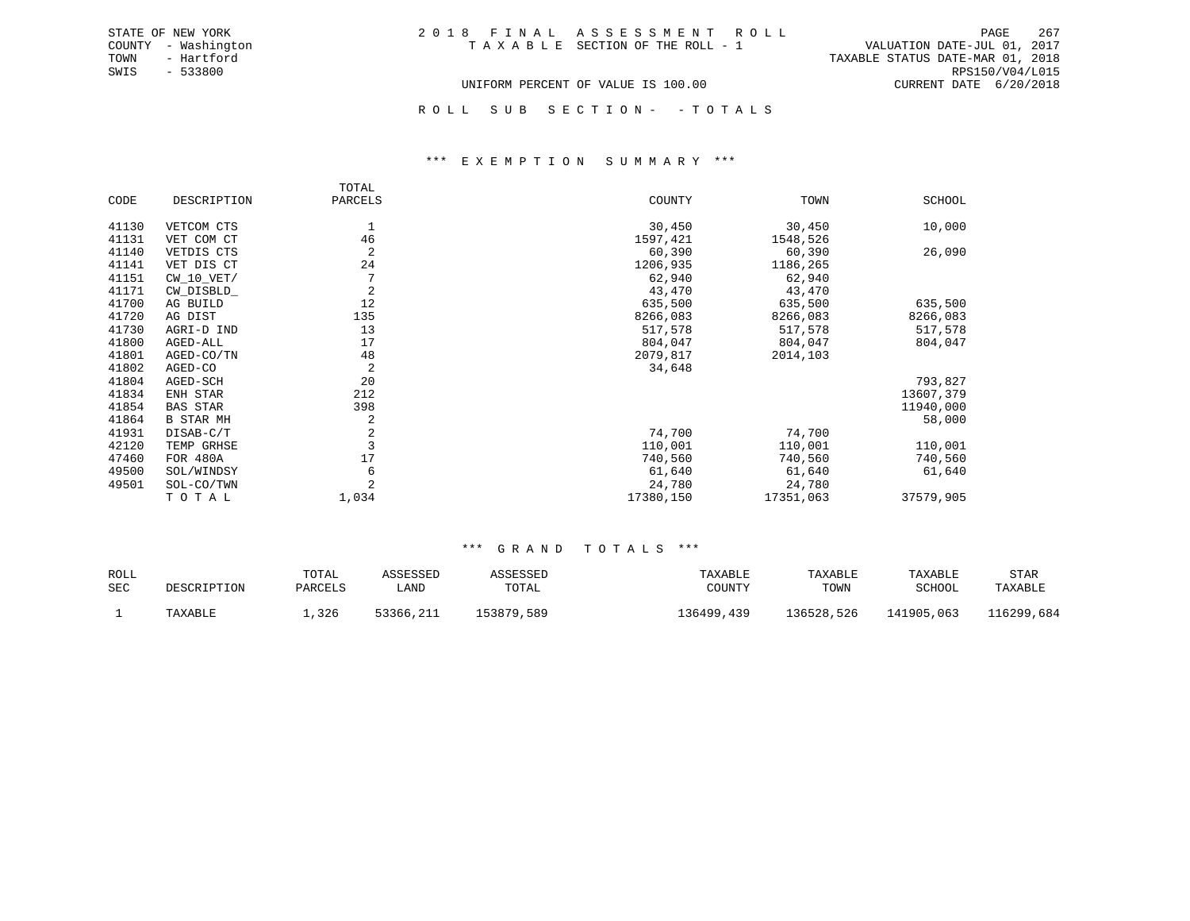| 2018 FINAL ASSESSMENT ROLL            |  |                                  | PAGE            | 267 |
|---------------------------------------|--|----------------------------------|-----------------|-----|
| T A X A B L E SECTION OF THE ROLL - 1 |  | VALUATION DATE-JUL 01, 2017      |                 |     |
|                                       |  | TAXABLE STATUS DATE-MAR 01, 2018 |                 |     |
|                                       |  |                                  | RPS150/V04/L015 |     |
| UNIFORM PERCENT OF VALUE IS 100.00    |  | CURRENT DATE 6/20/2018           |                 |     |

ROLL SUB SECTION - - TOTALS

#### \*\*\* E X E M P T I O N S U M M A R Y \*\*\*

|       |                  | TOTAL   |           |           |           |
|-------|------------------|---------|-----------|-----------|-----------|
| CODE  | DESCRIPTION      | PARCELS | COUNTY    | TOWN      | SCHOOL    |
| 41130 | VETCOM CTS       |         | 30,450    | 30,450    | 10,000    |
| 41131 | VET COM CT       | 46      | 1597,421  | 1548,526  |           |
| 41140 | VETDIS CTS       | 2       | 60,390    | 60,390    | 26,090    |
| 41141 | VET DIS CT       | 24      | 1206,935  | 1186,265  |           |
| 41151 | $CW_10_VET/$     | 7       | 62,940    | 62,940    |           |
| 41171 | CW DISBLD        | 2       | 43,470    | 43,470    |           |
| 41700 | AG BUILD         | 12      | 635,500   | 635,500   | 635,500   |
| 41720 | AG DIST          | 135     | 8266,083  | 8266,083  | 8266,083  |
| 41730 | AGRI-D IND       | 13      | 517,578   | 517,578   | 517,578   |
| 41800 | AGED-ALL         | 17      | 804,047   | 804,047   | 804,047   |
| 41801 | AGED-CO/TN       | 48      | 2079,817  | 2014,103  |           |
| 41802 | AGED-CO          | 2       | 34,648    |           |           |
| 41804 | AGED-SCH         | 20      |           |           | 793,827   |
| 41834 | ENH STAR         | 212     |           |           | 13607,379 |
| 41854 | <b>BAS STAR</b>  | 398     |           |           | 11940,000 |
| 41864 | <b>B STAR MH</b> | 2       |           |           | 58,000    |
| 41931 | DISAB-C/T        | 2       | 74,700    | 74,700    |           |
| 42120 | TEMP GRHSE       |         | 110,001   | 110,001   | 110,001   |
| 47460 | FOR 480A         | 17      | 740,560   | 740,560   | 740,560   |
| 49500 | SOL/WINDSY       | 6       | 61,640    | 61,640    | 61,640    |
| 49501 | SOL-CO/TWN       | 2       | 24,780    | 24,780    |           |
|       | TOTAL            | 1,034   | 17380,150 | 17351,063 | 37579,905 |

STATE OF NEW YORK COUNTY - Washington TOWN - Hartford SWIS - 533800

| ROLL       |                    | TOTAL   | <i><b>SSESSED</b></i> | <b>SSESSED</b> | TAXABLE      | TAXABLE    | TAXABLE    | STAR      |
|------------|--------------------|---------|-----------------------|----------------|--------------|------------|------------|-----------|
| <b>SEC</b> | <b>DESCRIPTION</b> | PARCELS | LAND                  | TOTAL          | COUNTY       | TOWN       | SCHOOL     | TAXABLE   |
|            | TAXABLE            | , 326   | 53366,211<br>, 21 T   | 153879,589     | 36499<br>439 | 136528,526 | L41905,063 | 16299,684 |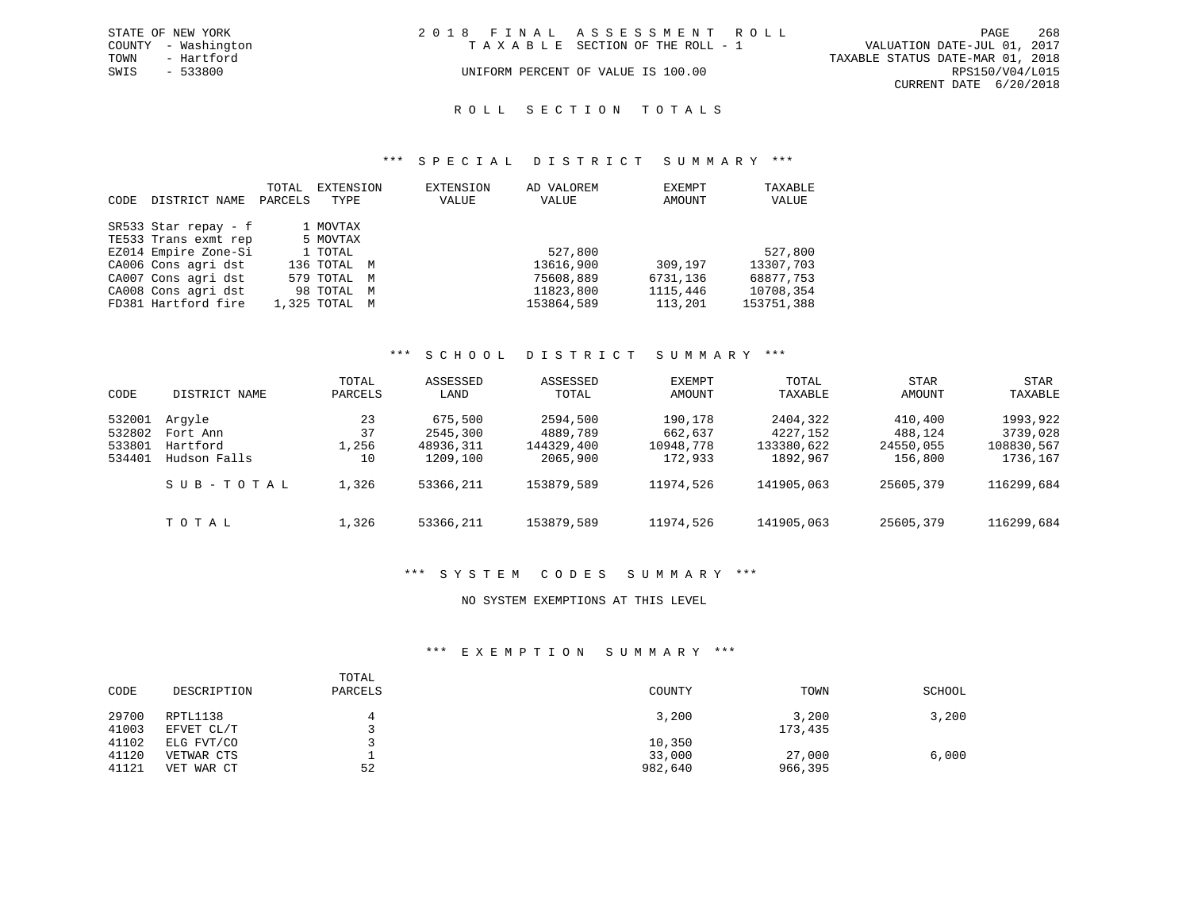|      | STATE OF NEW YORK   | 2018 FINAL ASSESSMENT ROLL |                                    |                                  | PAGE                   | 268 |
|------|---------------------|----------------------------|------------------------------------|----------------------------------|------------------------|-----|
|      | COUNTY - Washington |                            | TAXABLE SECTION OF THE ROLL - 1    | VALUATION DATE-JUL 01, 2017      |                        |     |
| TOWN | - Hartford          |                            |                                    | TAXABLE STATUS DATE-MAR 01, 2018 |                        |     |
| SWIS | $-533800$           |                            | UNIFORM PERCENT OF VALUE IS 100.00 |                                  | RPS150/V04/L015        |     |
|      |                     |                            |                                    |                                  | CURRENT DATE 6/20/2018 |     |

### ROLL SECTION TOTALS

#### \*\*\* S P E C I A L D I S T R I C T S U M M A R Y \*\*\*

|      |                      | TOTAL   | EXTENSION     | EXTENSION | AD VALOREM | EXEMPT   | TAXABLE    |
|------|----------------------|---------|---------------|-----------|------------|----------|------------|
| CODE | DISTRICT NAME        | PARCELS | TYPE          | VALUE     | VALUE      | AMOUNT   | VALUE      |
|      |                      |         |               |           |            |          |            |
|      | SR533 Star repay - f |         | 1 MOVTAX      |           |            |          |            |
|      | TE533 Trans exmt rep |         | 5 MOVTAX      |           |            |          |            |
|      | EZ014 Empire Zone-Si |         | 1 TOTAL       |           | 527,800    |          | 527,800    |
|      | CA006 Cons agri dst  |         | 136 TOTAL M   |           | 13616,900  | 309,197  | 13307,703  |
|      | CA007 Cons agri dst  |         | 579 TOTAL M   |           | 75608,889  | 6731,136 | 68877,753  |
|      | CA008 Cons agri dst  |         | 98 TOTAL M    |           | 11823,800  | 1115,446 | 10708,354  |
|      | FD381 Hartford fire  |         | 1,325 TOTAL M |           | 153864,589 | 113,201  | 153751,388 |

#### \*\*\* S C H O O L D I S T R I C T S U M M A R Y \*\*\*

| CODE                                 | DISTRICT NAME                                  | TOTAL<br>PARCELS        | ASSESSED<br>LAND                             | ASSESSED<br>TOTAL                              | EXEMPT<br>AMOUNT                           | TOTAL<br>TAXABLE                               | <b>STAR</b><br>AMOUNT                      | STAR<br>TAXABLE                                |
|--------------------------------------|------------------------------------------------|-------------------------|----------------------------------------------|------------------------------------------------|--------------------------------------------|------------------------------------------------|--------------------------------------------|------------------------------------------------|
| 532001<br>532802<br>533801<br>534401 | Arqyle<br>Fort Ann<br>Hartford<br>Hudson Falls | 23<br>37<br>1,256<br>10 | 675,500<br>2545,300<br>48936,311<br>1209,100 | 2594,500<br>4889,789<br>144329,400<br>2065,900 | 190,178<br>662,637<br>10948,778<br>172,933 | 2404,322<br>4227,152<br>133380,622<br>1892,967 | 410,400<br>488,124<br>24550,055<br>156,800 | 1993,922<br>3739,028<br>108830,567<br>1736,167 |
|                                      | SUB-TOTAL                                      | 1,326                   | 53366,211                                    | 153879,589                                     | 11974,526                                  | 141905,063                                     | 25605,379                                  | 116299,684                                     |
|                                      | тотаь                                          | 1,326                   | 53366,211                                    | 153879,589                                     | 11974,526                                  | 141905,063                                     | 25605,379                                  | 116299,684                                     |

### \*\*\* S Y S T E M C O D E S S U M M A R Y \*\*\*

### NO SYSTEM EXEMPTIONS AT THIS LEVEL

### \*\*\* E X E M P T I O N S U M M A R Y \*\*\*

| CODE                    | DESCRIPTION                            | TOTAL<br>PARCELS | COUNTY                      | TOWN              | SCHOOL |
|-------------------------|----------------------------------------|------------------|-----------------------------|-------------------|--------|
| 29700<br>41003          | RPTL1138<br>EFVET CL/T                 |                  | 3,200                       | 3,200<br>173,435  | 3,200  |
| 41102<br>41120<br>41121 | ELG FVT/CO<br>VETWAR CTS<br>VET WAR CT | 52               | 10,350<br>33,000<br>982,640 | 27,000<br>966,395 | 6,000  |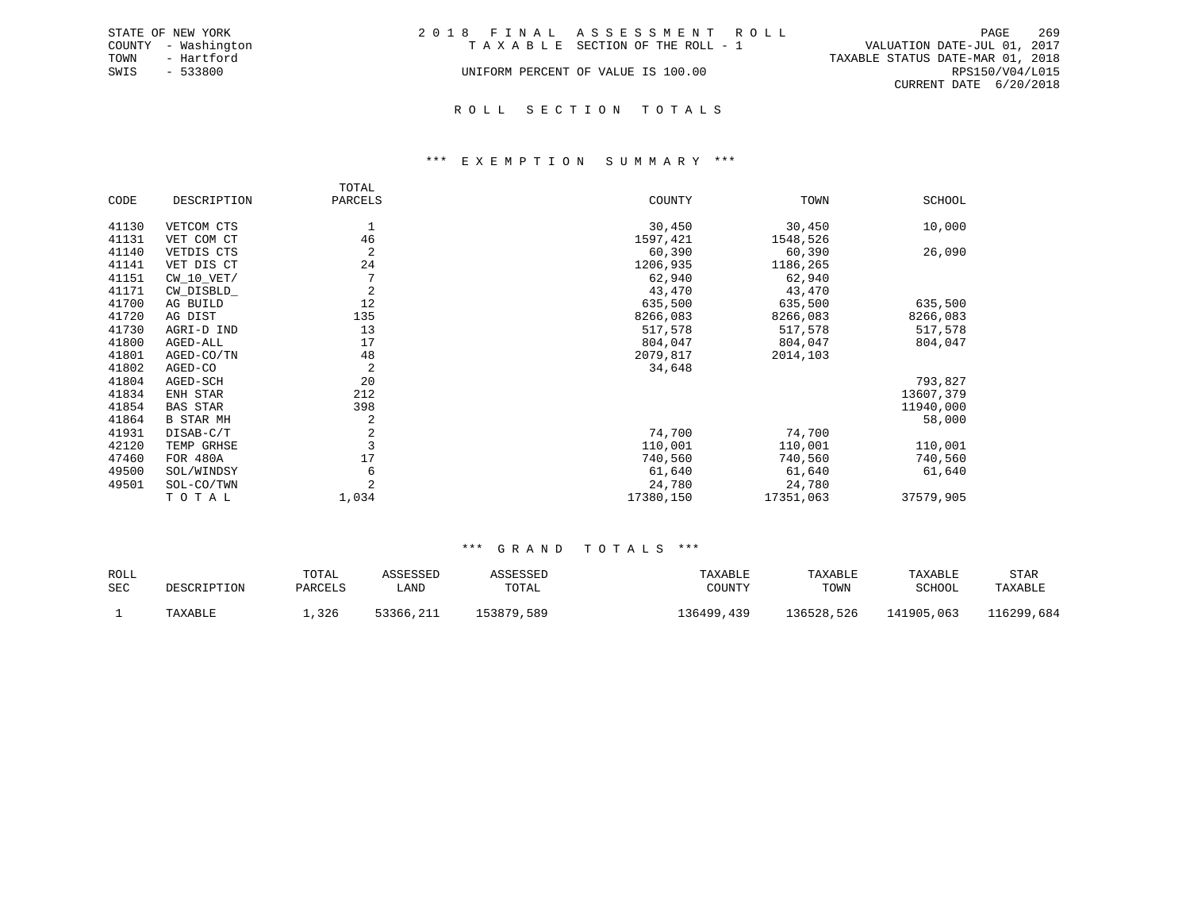|      | STATE OF NEW YORK   | 2018 FINAL ASSESSMENT ROLL |                                    |                                  |                        | PAGE | 269 |
|------|---------------------|----------------------------|------------------------------------|----------------------------------|------------------------|------|-----|
|      | COUNTY - Washington |                            | TAXABLE SECTION OF THE ROLL - 1    | VALUATION DATE-JUL 01, 2017      |                        |      |     |
| TOWN | - Hartford          |                            |                                    | TAXABLE STATUS DATE-MAR 01, 2018 |                        |      |     |
| SWIS | - 533800            |                            | UNIFORM PERCENT OF VALUE IS 100.00 |                                  | RPS150/V04/L015        |      |     |
|      |                     |                            |                                    |                                  | CURRENT DATE 6/20/2018 |      |     |
|      |                     |                            |                                    |                                  |                        |      |     |

# R O L L S E C T I O N T O T A L S

#### \*\*\* E X E M P T I O N S U M M A R Y \*\*\*

|       |                  | TOTAL          |           |           |           |
|-------|------------------|----------------|-----------|-----------|-----------|
| CODE  | DESCRIPTION      | PARCELS        | COUNTY    | TOWN      | SCHOOL    |
| 41130 | VETCOM CTS       | 1              | 30,450    | 30,450    | 10,000    |
| 41131 | VET COM CT       | 46             | 1597,421  | 1548,526  |           |
| 41140 | VETDIS CTS       | 2              | 60,390    | 60,390    | 26,090    |
| 41141 | VET DIS CT       | 24             | 1206,935  | 1186,265  |           |
| 41151 | $CW_10_VET/$     | 7              | 62,940    | 62,940    |           |
| 41171 | CW DISBLD        | 2              | 43,470    | 43,470    |           |
| 41700 | AG BUILD         | 12             | 635,500   | 635,500   | 635,500   |
| 41720 | AG DIST          | 135            | 8266,083  | 8266,083  | 8266,083  |
| 41730 | AGRI-D IND       | 13             | 517,578   | 517,578   | 517,578   |
| 41800 | AGED-ALL         | 17             | 804,047   | 804,047   | 804,047   |
| 41801 | AGED-CO/TN       | 48             | 2079,817  | 2014,103  |           |
| 41802 | AGED-CO          | 2              | 34,648    |           |           |
| 41804 | AGED-SCH         | 20             |           |           | 793,827   |
| 41834 | ENH STAR         | 212            |           |           | 13607,379 |
| 41854 | <b>BAS STAR</b>  | 398            |           |           | 11940,000 |
| 41864 | <b>B STAR MH</b> | 2              |           |           | 58,000    |
| 41931 | DISAB-C/T        | $\sqrt{2}$     | 74,700    | 74,700    |           |
| 42120 | TEMP GRHSE       | $\overline{3}$ | 110,001   | 110,001   | 110,001   |
| 47460 | FOR 480A         | 17             | 740,560   | 740,560   | 740,560   |
| 49500 | SOL/WINDSY       | 6              | 61,640    | 61,640    | 61,640    |
| 49501 | SOL-CO/TWN       |                | 24,780    | 24,780    |           |
|       | TOTAL            | 1,034          | 17380,150 | 17351,063 | 37579,905 |

| ROLL<br><b>SEC</b> | <b>ESCRIPTION</b> | TOTAL<br>PARCELS | CCPCCPD<br>LAND | TOTAL      | COUNTY       | TAXABLE<br>TOWN | TAXABLE<br>SCHOOL | STAR<br>TAXABLE |
|--------------------|-------------------|------------------|-----------------|------------|--------------|-----------------|-------------------|-----------------|
|                    | TAYARI.F          | 326              | 53366,211       | 153879,589 | 26499<br>439 | 136528,526      | 141905,063        | 16299,684.      |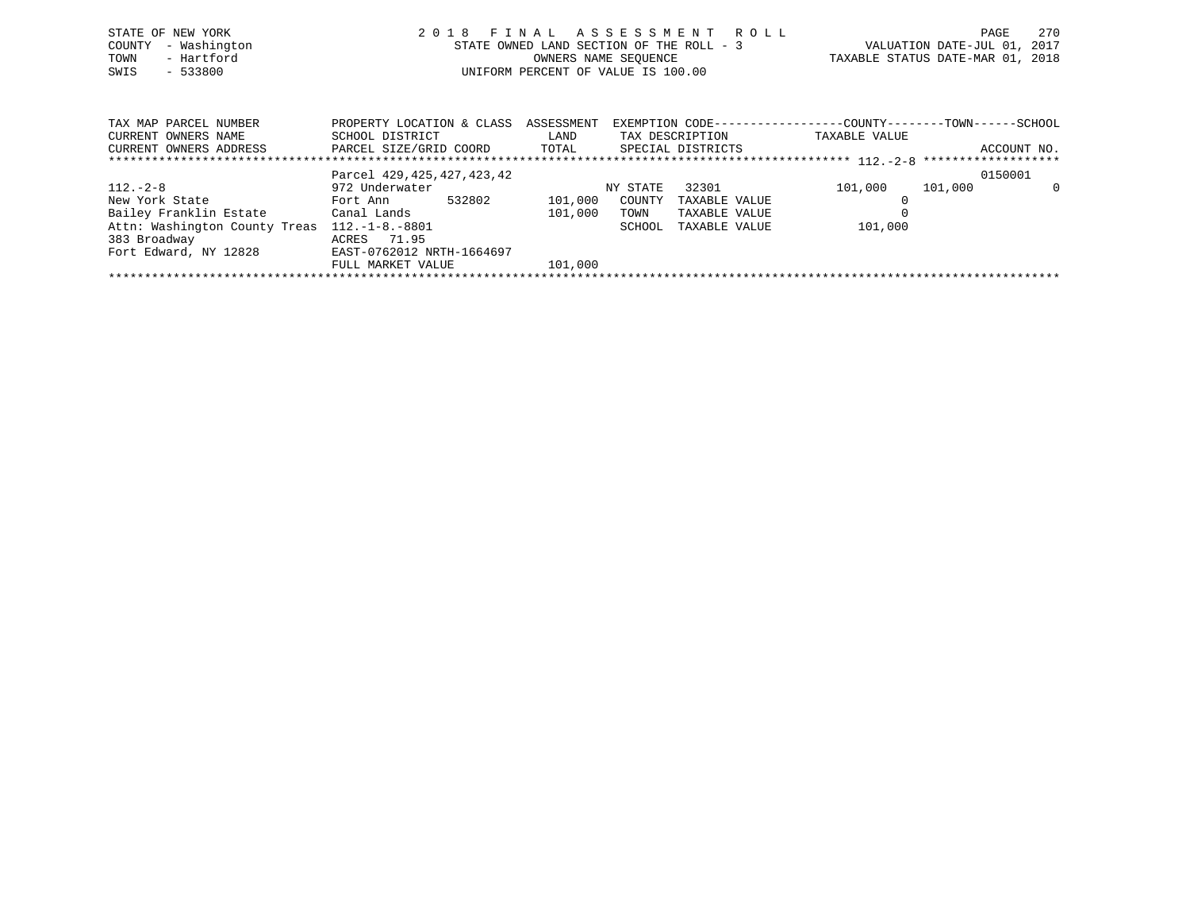| STATE OF NEW YORK<br>- Washington<br>COUNTY<br>- Hartford<br>TOWN<br>$-533800$<br>SWIS                                     | 2018<br>FINAL ASSESSMENT ROLL<br>STATE OWNED LAND SECTION OF THE ROLL - 3<br>OWNERS NAME SEOUENCE<br>UNIFORM PERCENT OF VALUE IS 100.00 |         |          |                 | TAXABLE STATUS DATE-MAR 01, 2018                                              | PAGE<br>VALUATION DATE-JUL 01, 2017 | 270         |
|----------------------------------------------------------------------------------------------------------------------------|-----------------------------------------------------------------------------------------------------------------------------------------|---------|----------|-----------------|-------------------------------------------------------------------------------|-------------------------------------|-------------|
| TAX MAP PARCEL NUMBER<br>CURRENT OWNERS NAME<br>CURRENT OWNERS ADDRESS <b>EXEL</b> SIZE/GRID COORD TOTAL SPECIAL DISTRICTS | PROPERTY LOCATION & CLASS ASSESSMENT<br>SCHOOL DISTRICT                                                                                 | LAND    |          | TAX DESCRIPTION | EXEMPTION CODE-----------------COUNTY-------TOWN------SCHOOL<br>TAXABLE VALUE |                                     | ACCOUNT NO. |
|                                                                                                                            | Parcel 429, 425, 427, 423, 42                                                                                                           |         |          |                 |                                                                               | 0150001                             |             |
| $112. - 2 - 8$                                                                                                             | 972 Underwater                                                                                                                          |         | NY STATE | 32301           | 101,000                                                                       | 101,000                             | - 0         |
| New York State                                                                                                             | Fort Ann 532802                                                                                                                         | 101,000 | COUNTY   | TAXABLE VALUE   |                                                                               |                                     |             |
| Bailey Franklin Estate                Canal Lands                                                                          |                                                                                                                                         | 101,000 | TOWN     | TAXABLE VALUE   |                                                                               |                                     |             |
| Attn: Washington County Treas 112.-1-8.-8801                                                                               |                                                                                                                                         |         | SCHOOL   | TAXABLE VALUE   | 101,000                                                                       |                                     |             |
| 383 Broadway                                                                                                               | ACRES 71.95                                                                                                                             |         |          |                 |                                                                               |                                     |             |

\*\*\*\*\*\*\*\*\*\*\*\*\*\*\*\*\*\*\*\*\*\*\*\*\*\*\*\*\*\*\*\*\*\*\*\*\*\*\*\*\*\*\*\*\*\*\*\*\*\*\*\*\*\*\*\*\*\*\*\*\*\*\*\*\*\*\*\*\*\*\*\*\*\*\*\*\*\*\*\*\*\*\*\*\*\*\*\*\*\*\*\*\*\*\*\*\*\*\*\*\*\*\*\*\*\*\*\*\*\*\*\*\*\*\*\*\*\*\*\*\*\*\*\*\*\*\*\*\*\*\*\*

FULL MARKET VALUE 101,000

Fort Edward, NY 12828 EAST-0762012 NRTH-1664697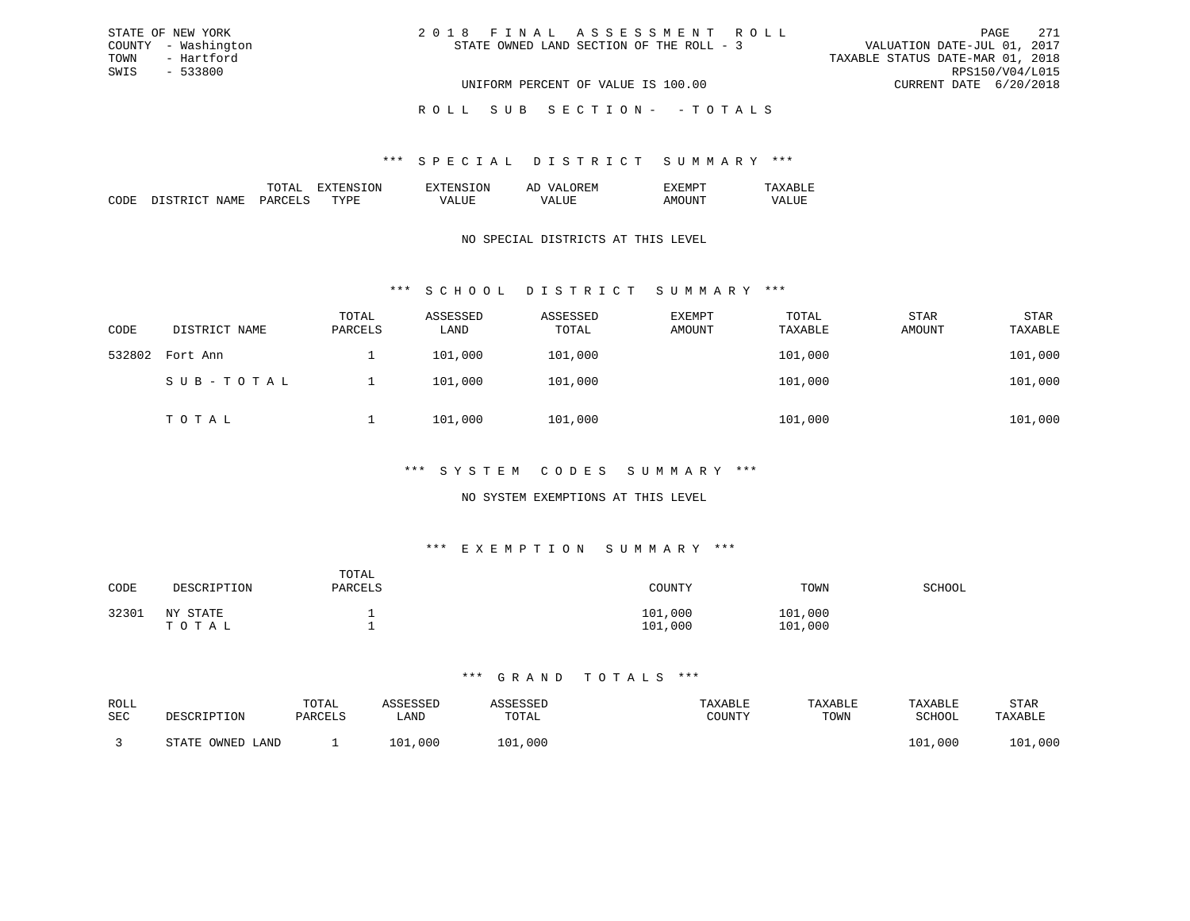| 2018 FINAL ASSESSMENT ROLL               |                                  | PAGE                        | 271 |
|------------------------------------------|----------------------------------|-----------------------------|-----|
| STATE OWNED LAND SECTION OF THE ROLL - 3 |                                  | VALUATION DATE-JUL 01, 2017 |     |
|                                          | TAXABLE STATUS DATE-MAR 01, 2018 |                             |     |
|                                          |                                  | RPS150/V04/L015             |     |
| UNIFORM PERCENT OF VALUE IS 100.00       |                                  | CURRENT DATE 6/20/2018      |     |

ROLL SUB SECTION - - TOTALS

#### \*\*\* S P E C I A L D I S T R I C T S U M M A R Y \*\*\*

|        |    | 'NN<br>N | $\cdots$<br>. |  |
|--------|----|----------|---------------|--|
| חר<br> | m. |          |               |  |

STATE OF NEW YORK COUNTY - Washington TOWN - Hartford SWIS - 533800

### NO SPECIAL DISTRICTS AT THIS LEVEL

### \*\*\* S C H O O L D I S T R I C T S U M M A R Y \*\*\*

| CODE   | DISTRICT NAME | TOTAL<br>PARCELS | ASSESSED<br>LAND | ASSESSED<br>TOTAL | <b>EXEMPT</b><br>AMOUNT | TOTAL<br>TAXABLE | STAR<br>AMOUNT | STAR<br>TAXABLE |
|--------|---------------|------------------|------------------|-------------------|-------------------------|------------------|----------------|-----------------|
| 532802 | Fort Ann      |                  | 101,000          | 101,000           |                         | 101,000          |                | 101,000         |
|        | SUB-TOTAL     |                  | 101,000          | 101,000           |                         | 101,000          |                | 101,000         |
|        | TOTAL         |                  | 101,000          | 101,000           |                         | 101,000          |                | 101,000         |

### \*\*\* S Y S T E M C O D E S S U M M A R Y \*\*\*

### NO SYSTEM EXEMPTIONS AT THIS LEVEL

### \*\*\* E X E M P T I O N S U M M A R Y \*\*\*

| CODE  | DESCRIPTION           | TOTAL<br>PARCELS | COUNTY             | TOWN               | SCHOOL |
|-------|-----------------------|------------------|--------------------|--------------------|--------|
| 32301 | NY.<br>STATE<br>ТОТАЬ |                  | 101,000<br>101,000 | 101,000<br>101,000 |        |

| ROLL |                         | TOTAL   |             |         | TAXABLE | TAXABLE | TAXABLE | STAR          |
|------|-------------------------|---------|-------------|---------|---------|---------|---------|---------------|
| SEC  | DESCRIPTION             | PARCELS | LAND        | TOTAL   | TOUNTY  | TOWN    | SCHOOL  | TAXABLE       |
|      |                         |         |             |         |         |         |         |               |
|      | OWNED.<br>STATE<br>LAND |         | ,000<br>'01 | 101,000 |         |         | 101,000 | ,000<br>1 N 1 |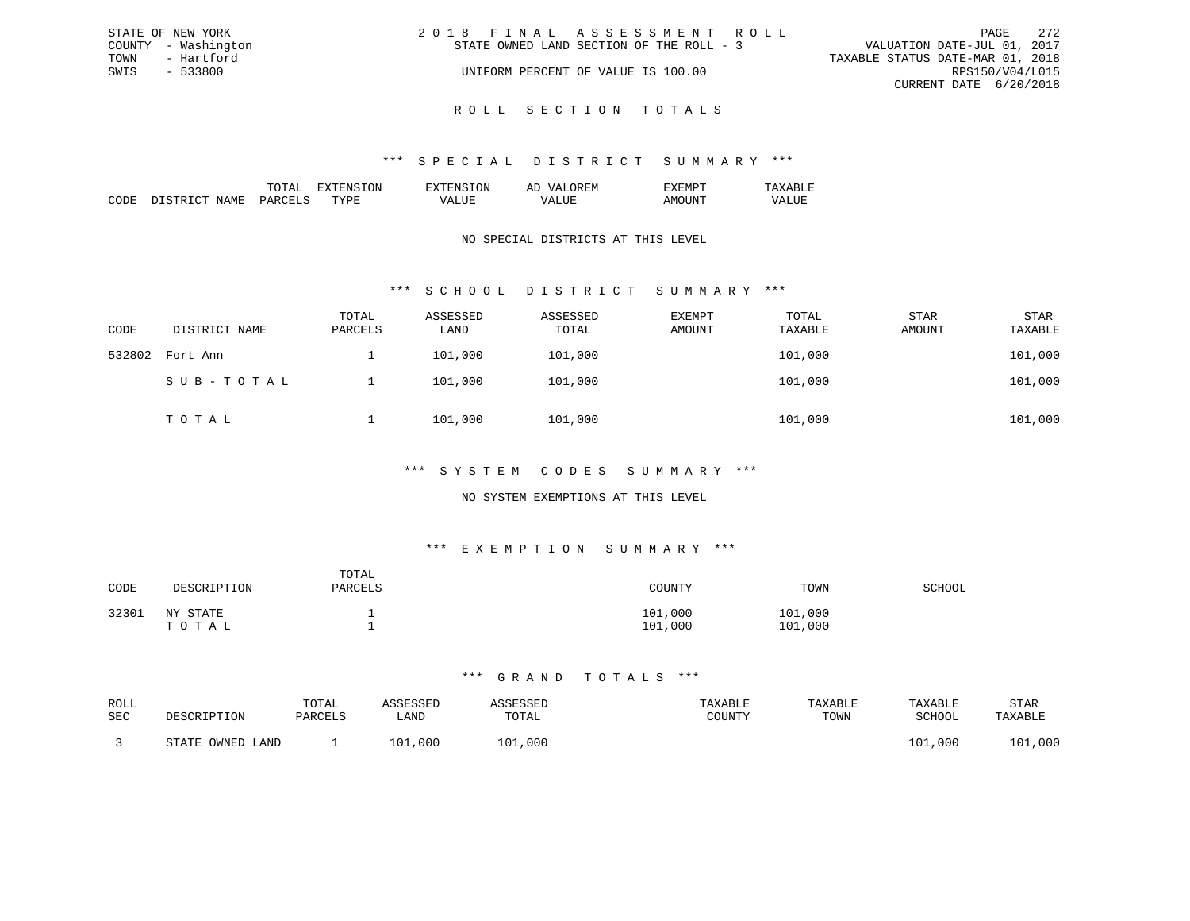| STATE OF NEW YORK   | 2018 FINAL ASSESSMENT ROLL               | 2.72<br>PAGE                     |
|---------------------|------------------------------------------|----------------------------------|
| COUNTY - Washington | STATE OWNED LAND SECTION OF THE ROLL - 3 | VALUATION DATE-JUL 01, 2017      |
| TOWN<br>- Hartford  |                                          | TAXABLE STATUS DATE-MAR 01, 2018 |
| SWIS<br>- 533800    | UNIFORM PERCENT OF VALUE IS 100.00       | RPS150/V04/L015                  |
|                     |                                          | CURRENT DATE 6/20/2018           |
|                     |                                          |                                  |

ROLL SECTION TOTALS

### \*\*\* S P E C I A L D I S T R I C T S U M M A R Y \*\*\*

|  | $\cdots$ | . . | .111 |  |
|--|----------|-----|------|--|
|  | ᠇᠇       |     |      |  |

### NO SPECIAL DISTRICTS AT THIS LEVEL

### \*\*\* S C H O O L D I S T R I C T S U M M A R Y \*\*\*

| CODE   | DISTRICT NAME | TOTAL<br>PARCELS | ASSESSED<br>LAND | ASSESSED<br>TOTAL | EXEMPT<br>AMOUNT | TOTAL<br>TAXABLE | STAR<br>AMOUNT | <b>STAR</b><br>TAXABLE |
|--------|---------------|------------------|------------------|-------------------|------------------|------------------|----------------|------------------------|
| 532802 | Fort Ann      |                  | 101,000          | 101,000           |                  | 101,000          |                | 101,000                |
|        | SUB-TOTAL     |                  | 101,000          | 101,000           |                  | 101,000          |                | 101,000                |
|        | TOTAL         |                  | 101,000          | 101,000           |                  | 101,000          |                | 101,000                |

### \*\*\* S Y S T E M C O D E S S U M M A R Y \*\*\*

### NO SYSTEM EXEMPTIONS AT THIS LEVEL

### \*\*\* E X E M P T I O N S U M M A R Y \*\*\*

| CODE  | DESCRIPTION           | TOTAL<br>PARCELS | COUNTY             | TOWN               | SCHOOL |
|-------|-----------------------|------------------|--------------------|--------------------|--------|
| 32301 | NY.<br>STATE<br>ТОТАЬ |                  | 101,000<br>101,000 | 101,000<br>101,000 |        |

| ROLL |                         | TOTAL   |             |         | TAXABLE | TAXABLE | TAXABLE | STAR          |
|------|-------------------------|---------|-------------|---------|---------|---------|---------|---------------|
| SEC  | DESCRIPTION             | PARCELS | LAND        | TOTAL   | TOUNTY  | TOWN    | SCHOOL  | TAXABLE       |
|      | OWNED.<br>STATE<br>JAND |         | ,000<br>'01 | 101,000 |         |         | 101,000 | ,000<br>1 N 1 |
|      |                         |         |             |         |         |         |         |               |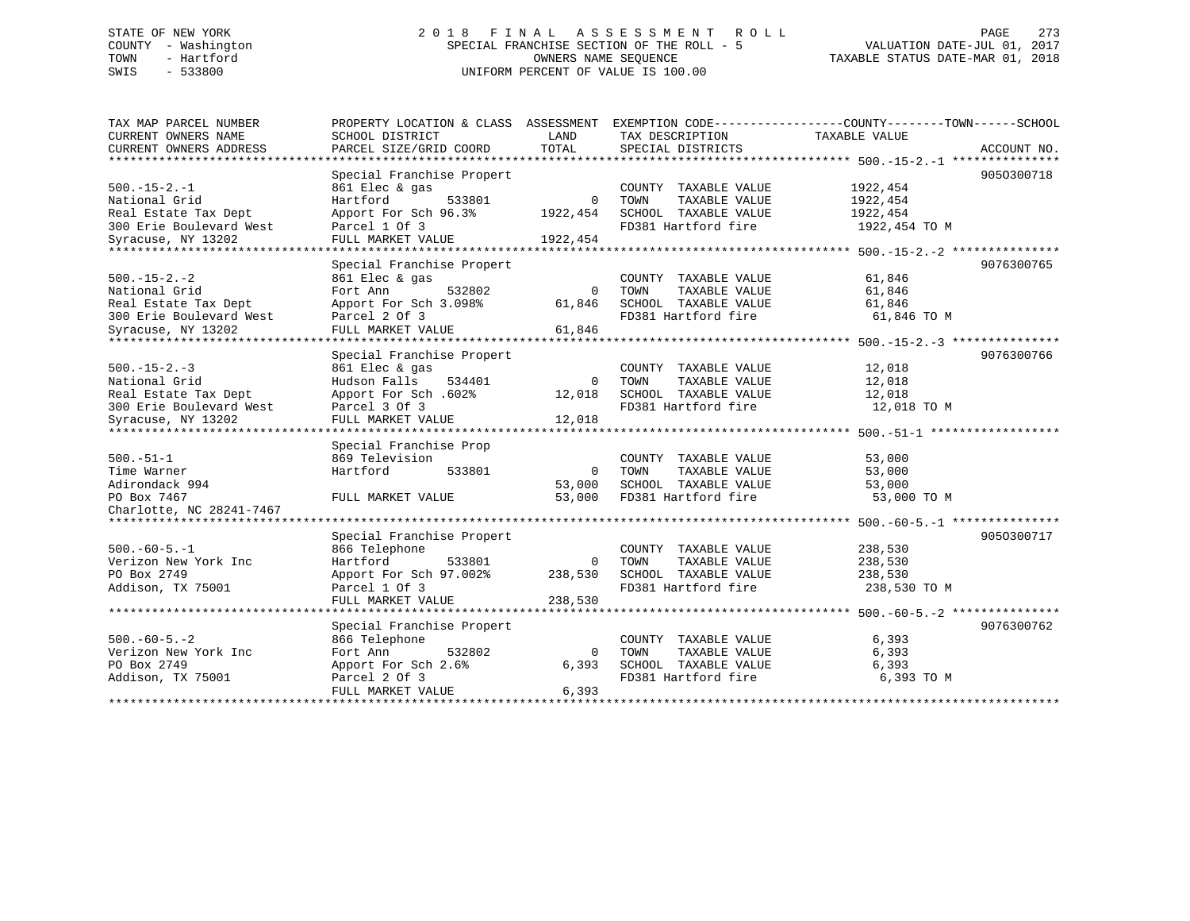## STATE OF NEW YORK 2 0 1 8 F I N A L A S S E S S M E N T R O L L PAGE 273 COUNTY - Washington SPECIAL FRANCHISE SECTION OF THE ROLL - 5 VALUATION DATE-JUL 01, 2017 TOWN - Hartford OWNERS NAME SEQUENCE TAXABLE STATUS DATE-MAR 01, 2018 SWIS - 533800 UNIFORM PERCENT OF VALUE IS 100.00

| TAX MAP PARCEL NUMBER          | PROPERTY LOCATION & CLASS ASSESSMENT |             | EXEMPTION CODE-----------------COUNTY-------TOWN------SCHOOL |                                               |             |
|--------------------------------|--------------------------------------|-------------|--------------------------------------------------------------|-----------------------------------------------|-------------|
| CURRENT OWNERS NAME            | SCHOOL DISTRICT                      | LAND        | TAX DESCRIPTION                                              | TAXABLE VALUE                                 |             |
| CURRENT OWNERS ADDRESS         | PARCEL SIZE/GRID COORD               | TOTAL       | SPECIAL DISTRICTS                                            |                                               | ACCOUNT NO. |
| **********************         |                                      |             |                                                              |                                               |             |
|                                | Special Franchise Propert            |             |                                                              |                                               | 9050300718  |
| $500. -15 - 2. -1$             | 861 Elec & gas                       |             | COUNTY TAXABLE VALUE                                         | 1922, 454                                     |             |
| National Grid                  | Hartford<br>533801                   | $\Omega$    | TOWN<br>TAXABLE VALUE                                        | 1922,454                                      |             |
| Real Estate Tax Dept           | Apport For Sch 96.3%                 | 1922,454    | SCHOOL TAXABLE VALUE                                         | 1922, 454                                     |             |
| 300 Erie Boulevard West        | Parcel 1 Of 3                        |             | FD381 Hartford fire                                          | 1922,454 TO M                                 |             |
| Syracuse, NY 13202             | FULL MARKET VALUE                    | 1922,454    |                                                              |                                               |             |
| **********************         |                                      |             |                                                              |                                               |             |
|                                | Special Franchise Propert            |             |                                                              |                                               | 9076300765  |
| $500. - 15 - 2. - 2$           | 861 Elec & gas                       |             | COUNTY TAXABLE VALUE                                         | 61,846                                        |             |
| National Grid                  | 532802<br>Fort Ann                   | $\mathbf 0$ | TOWN<br>TAXABLE VALUE                                        | 61,846                                        |             |
| Real Estate Tax Dept           | Apport For Sch 3.098%                | 61,846      | SCHOOL TAXABLE VALUE                                         | 61,846                                        |             |
| 300 Erie Boulevard West        | Parcel 2 Of 3                        |             | FD381 Hartford fire                                          | 61,846 TO M                                   |             |
|                                |                                      |             |                                                              |                                               |             |
| Syracuse, NY 13202             | FULL MARKET VALUE                    | 61,846      |                                                              |                                               |             |
|                                |                                      |             |                                                              |                                               |             |
|                                | Special Franchise Propert            |             |                                                              |                                               | 9076300766  |
| $500. -15 - 2. -3$             | 861 Elec & gas                       |             | COUNTY TAXABLE VALUE                                         | 12,018                                        |             |
| National Grid                  | Hudson Falls<br>534401               | $\Omega$    | TAXABLE VALUE<br>TOWN                                        | 12,018                                        |             |
| Real Estate Tax Dept           | Apport For Sch. 602%                 | 12,018      | SCHOOL TAXABLE VALUE                                         | 12,018                                        |             |
| 300 Erie Boulevard West        | Parcel 3 Of 3                        |             | FD381 Hartford fire                                          | 12,018 TO M                                   |             |
| Syracuse, NY 13202             | FULL MARKET VALUE                    | 12,018      |                                                              |                                               |             |
|                                |                                      |             |                                                              | ******************** 500. -51-1 ************* |             |
|                                | Special Franchise Prop               |             |                                                              |                                               |             |
| $500.-51-1$                    | 869 Television                       |             | COUNTY TAXABLE VALUE                                         | 53,000                                        |             |
| Time Warner                    | Hartford<br>533801                   | $\mathbf 0$ | TAXABLE VALUE<br>TOWN                                        | 53,000                                        |             |
| Adirondack 994                 |                                      | 53,000      | SCHOOL TAXABLE VALUE                                         | 53,000                                        |             |
| PO Box 7467                    | FULL MARKET VALUE                    | 53,000      | FD381 Hartford fire                                          | 53,000 TO M                                   |             |
| Charlotte, NC 28241-7467       |                                      |             |                                                              |                                               |             |
| ****************************** |                                      |             |                                                              |                                               |             |
|                                | Special Franchise Propert            |             |                                                              |                                               | 9050300717  |
| $500. -60 - 5. -1$             | 866 Telephone                        |             | COUNTY TAXABLE VALUE                                         | 238,530                                       |             |
| Verizon New York Inc           | Hartford<br>533801                   | $\mathbf 0$ | TAXABLE VALUE<br>TOWN                                        | 238,530                                       |             |
|                                |                                      |             |                                                              |                                               |             |
| PO Box 2749                    | Apport For Sch 97.002%               | 238,530     | SCHOOL TAXABLE VALUE                                         | 238,530                                       |             |
| Addison, TX 75001              | Parcel 1 Of 3                        |             | FD381 Hartford fire                                          | 238,530 TO M                                  |             |
|                                | FULL MARKET VALUE                    | 238,530     |                                                              |                                               |             |
|                                | ********************                 |             |                                                              |                                               |             |
|                                | Special Franchise Propert            |             |                                                              |                                               | 9076300762  |
| $500. -60 - 5. -2$             | 866 Telephone                        |             | COUNTY TAXABLE VALUE                                         | 6,393                                         |             |
| Verizon New York Inc           | Fort Ann<br>532802                   | $\mathbf 0$ | TOWN<br>TAXABLE VALUE                                        | 6,393                                         |             |
| PO Box 2749                    | Apport For Sch 2.6%                  | 6,393       | SCHOOL TAXABLE VALUE                                         | 6,393                                         |             |
| Addison, TX 75001              | Parcel 2 Of 3                        |             | FD381 Hartford fire                                          | 6,393 TO M                                    |             |
|                                | FULL MARKET VALUE                    | 6,393       |                                                              |                                               |             |
|                                |                                      |             |                                                              |                                               |             |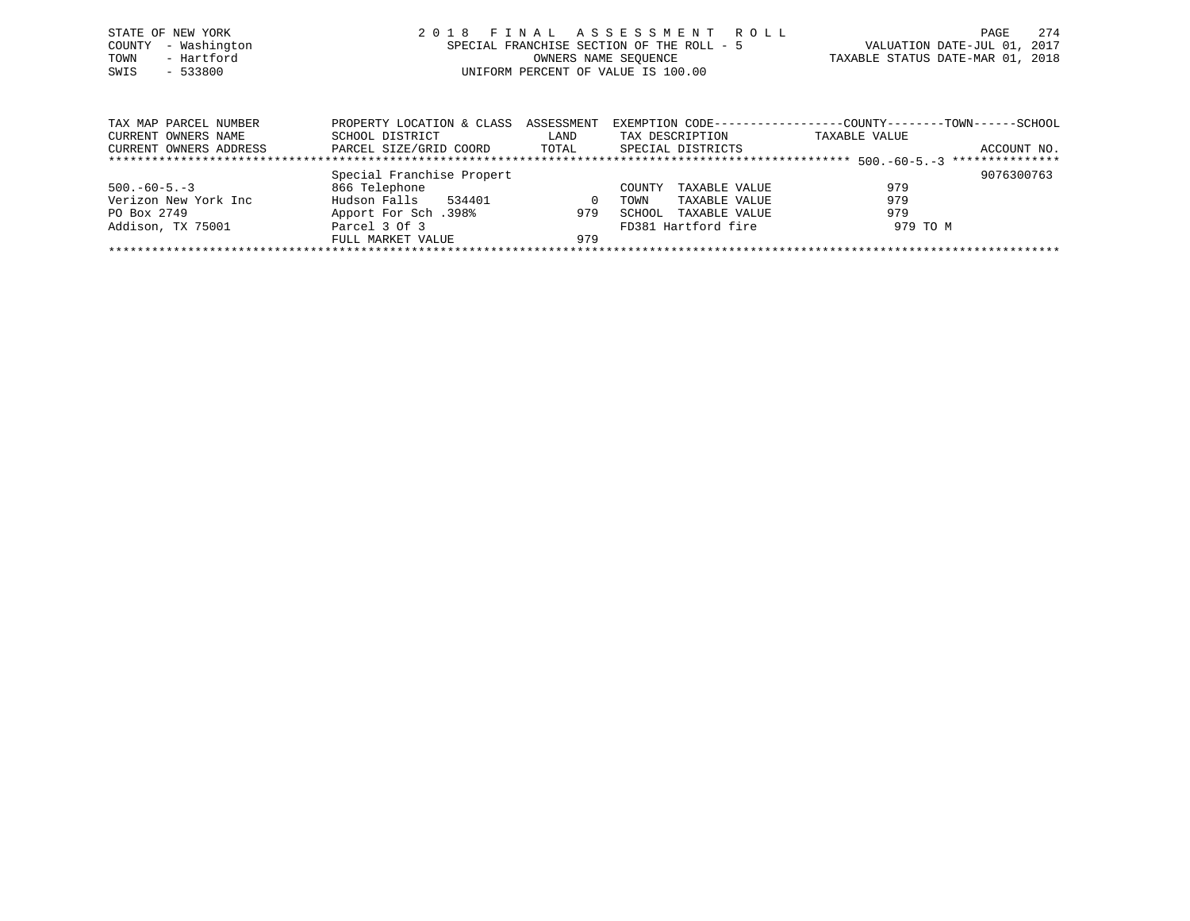| STATE OF NEW YORK | COUNTY - Washington    | 2018 FINAL ASSESSMENT ROLL<br>VALUATION DATE-JUL 01, 2017<br>SPECIAL FRANCHISE SECTION OF THE ROLL - 5 | 2.74<br>PAGE |
|-------------------|------------------------|--------------------------------------------------------------------------------------------------------|--------------|
| TOWN<br>SWIS      | - Hartford<br>- 533800 | TAXABLE STATUS DATE-MAR 01, 2018<br>OWNERS NAME SEOUENCE<br>UNIFORM PERCENT OF VALUE IS 100.00         |              |
|                   |                        |                                                                                                        |              |

| TAX MAP PARCEL NUMBER  | PROPERTY LOCATION & CLASS ASSESSMENT |       | EXEMPTION CODE----------------- | --COUNTY--------TOWN------SCHOOL |             |  |  |  |  |  |
|------------------------|--------------------------------------|-------|---------------------------------|----------------------------------|-------------|--|--|--|--|--|
| CURRENT OWNERS NAME    | SCHOOL DISTRICT                      | LAND  | TAX DESCRIPTION                 | TAXABLE VALUE                    |             |  |  |  |  |  |
| CURRENT OWNERS ADDRESS | PARCEL SIZE/GRID COORD               | TOTAL | SPECIAL DISTRICTS               |                                  | ACCOUNT NO. |  |  |  |  |  |
|                        |                                      |       |                                 |                                  |             |  |  |  |  |  |
|                        | Special Franchise Propert            |       |                                 |                                  | 9076300763  |  |  |  |  |  |
| $500. -60 - 5. -3$     | 866 Telephone                        |       | TAXABLE VALUE<br>COUNTY         | 979                              |             |  |  |  |  |  |
| Verizon New York Inc   | Hudson Falls<br>534401               |       | TAXABLE VALUE<br>TOWN           | 979                              |             |  |  |  |  |  |
| PO Box 2749            | 198%. Apport For Sch                 | 979   | TAXABLE VALUE<br>SCHOOL         | 979                              |             |  |  |  |  |  |
| Addison, TX 75001      | Parcel 3 Of 3                        |       | FD381 Hartford fire             | 979 TO M                         |             |  |  |  |  |  |
|                        | FULL MARKET VALUE                    | 979   |                                 |                                  |             |  |  |  |  |  |
|                        |                                      |       |                                 |                                  |             |  |  |  |  |  |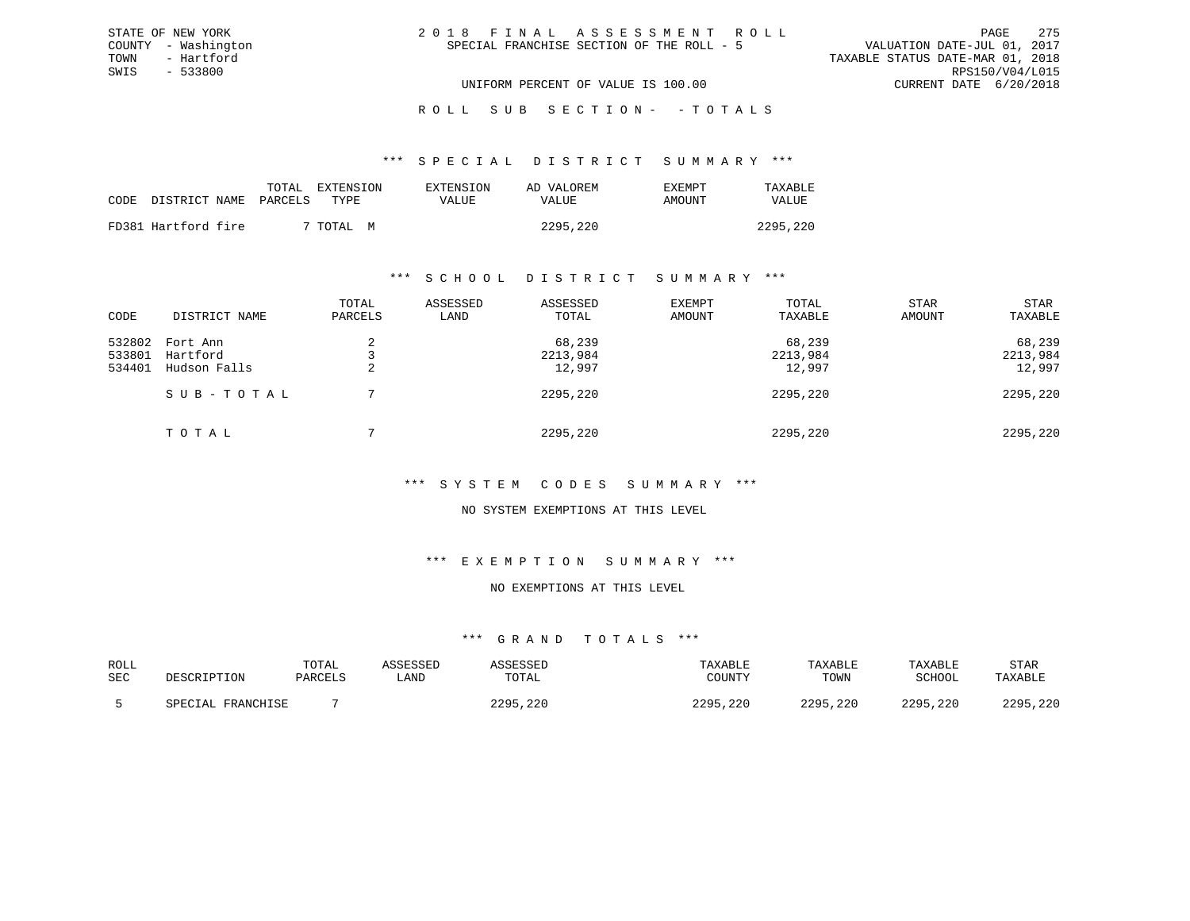| 2018 FINAL ASSESSMENT ROLL |                                           |                                  | 275<br>PAGE.    |
|----------------------------|-------------------------------------------|----------------------------------|-----------------|
|                            | SPECIAL FRANCHISE SECTION OF THE ROLL - 5 | VALUATION DATE-JUL 01, 2017      |                 |
|                            |                                           | TAXABLE STATUS DATE-MAR 01, 2018 |                 |
|                            |                                           |                                  | RPS150/V04/L015 |
|                            | UNIFORM PERCENT OF VALUE IS 100.00        | CURRENT DATE 6/20/2018           |                 |

ROLL SUB SECTION - - TOTALS

#### \*\*\* S P E C I A L D I S T R I C T S U M M A R Y \*\*\*

|      |                     | TOTAL   | EXTENSION      | EXTENSION | AD VALOREM | <b>EXEMPT</b> | TAXABLE      |
|------|---------------------|---------|----------------|-----------|------------|---------------|--------------|
| CODE | DISTRICT NAME       | PARCELS | TYPE.          | VALUE     | VALUE      | AMOUNT        | <b>VALUE</b> |
|      |                     |         |                |           |            |               |              |
|      | FD381 Hartford fire |         | 7 TOTAL .<br>M |           | 2295,220   |               | 2295,220     |

STATE OF NEW YORK COUNTY - Washington TOWN - Hartford SWIS - 533800

### \*\*\* S C H O O L D I S T R I C T S U M M A R Y \*\*\*

| CODE                       | DISTRICT NAME                        | TOTAL<br>PARCELS | ASSESSED<br>LAND | ASSESSED<br>TOTAL            | <b>EXEMPT</b><br>AMOUNT | TOTAL<br>TAXABLE             | <b>STAR</b><br>AMOUNT | STAR<br>TAXABLE              |
|----------------------------|--------------------------------------|------------------|------------------|------------------------------|-------------------------|------------------------------|-----------------------|------------------------------|
| 532802<br>533801<br>534401 | Fort Ann<br>Hartford<br>Hudson Falls | 4                |                  | 68,239<br>2213,984<br>12,997 |                         | 68,239<br>2213,984<br>12,997 |                       | 68,239<br>2213,984<br>12,997 |
|                            | SUB-TOTAL                            |                  |                  | 2295,220                     |                         | 2295,220                     |                       | 2295,220                     |
|                            | TOTAL                                |                  |                  | 2295,220                     |                         | 2295,220                     |                       | 2295,220                     |

### \*\*\* S Y S T E M C O D E S S U M M A R Y \*\*\*

### NO SYSTEM EXEMPTIONS AT THIS LEVEL

#### \*\*\* E X E M P T I O N S U M M A R Y \*\*\*

### NO EXEMPTIONS AT THIS LEVEL

| ROLL |                   | TOTAL   | ASSESSED | ASSESSED | TAXABLE       | TAXABLE  | TAXABLE  | STAR     |
|------|-------------------|---------|----------|----------|---------------|----------|----------|----------|
| SEC  | DESCRIPTION       | PARCELS | ∟AND     | TOTAL    | COUNTY        | TOWN     | SCHOOL   | TAXABLE  |
|      | SPECIAL FRANCHISE |         |          | 2295,220 | 2295,<br>,220 | 2295,220 | 2295,220 | 2295,220 |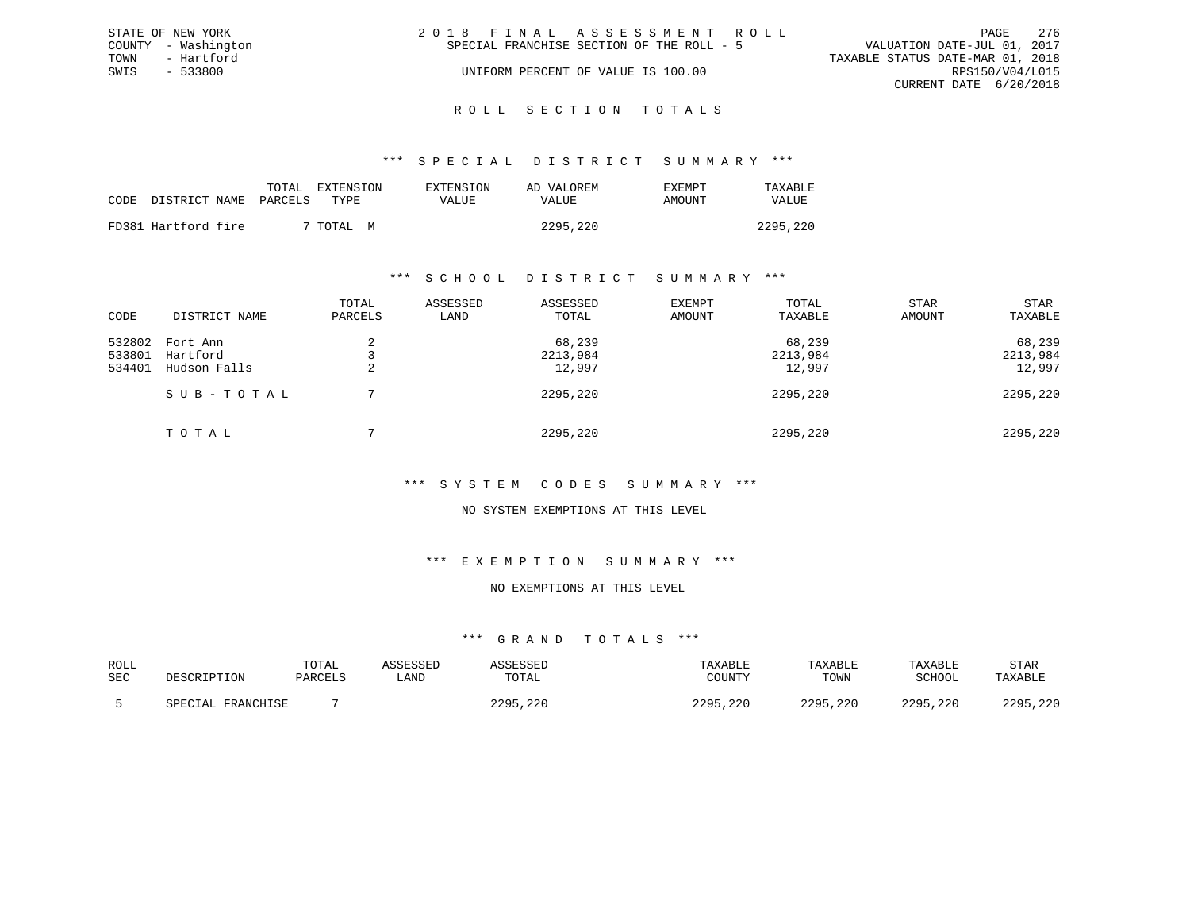|      | STATE OF NEW YORK   | 2018 FINAL ASSESSMENT ROLL                                               | PAGE            | 276 |
|------|---------------------|--------------------------------------------------------------------------|-----------------|-----|
|      | COUNTY - Washington | VALUATION DATE-JUL 01, 2017<br>SPECIAL FRANCHISE SECTION OF THE ROLL - 5 |                 |     |
| TOWN | - Hartford          | TAXABLE STATUS DATE-MAR 01, 2018                                         |                 |     |
| SWIS | $-533800$           | UNIFORM PERCENT OF VALUE IS 100.00                                       | RPS150/V04/L015 |     |
|      |                     | CURRENT DATE 6/20/2018                                                   |                 |     |
|      |                     |                                                                          |                 |     |

### ROLL SECTION TOTALS

### \*\*\* S P E C I A L D I S T R I C T S U M M A R Y \*\*\*

|                            | TOTAL | EXTENSION      | <b>EXTENSION</b> | AD VALOREM | <b>EXEMPT</b> | TAXABLE      |
|----------------------------|-------|----------------|------------------|------------|---------------|--------------|
| CODE DISTRICT NAME PARCELS |       | TYPE.          | VALUE            | VALUE      | AMOUNT        | <b>VALUE</b> |
| FD381 Hartford fire        |       | 7 TOTAL .<br>М |                  | 2295,220   |               | 2295,220     |

### \*\*\* S C H O O L D I S T R I C T S U M M A R Y \*\*\*

| CODE                       | DISTRICT NAME                        | TOTAL<br>PARCELS | ASSESSED<br>LAND | ASSESSED<br>TOTAL            | EXEMPT<br>AMOUNT | TOTAL<br>TAXABLE             | <b>STAR</b><br>AMOUNT | STAR<br>TAXABLE              |
|----------------------------|--------------------------------------|------------------|------------------|------------------------------|------------------|------------------------------|-----------------------|------------------------------|
| 532802<br>533801<br>534401 | Fort Ann<br>Hartford<br>Hudson Falls | ∠                |                  | 68,239<br>2213,984<br>12,997 |                  | 68,239<br>2213,984<br>12,997 |                       | 68,239<br>2213,984<br>12,997 |
|                            | SUB-TOTAL                            |                  |                  | 2295,220                     |                  | 2295,220                     |                       | 2295,220                     |
|                            | TOTAL                                |                  |                  | 2295,220                     |                  | 2295,220                     |                       | 2295,220                     |

### \*\*\* S Y S T E M C O D E S S U M M A R Y \*\*\*

### NO SYSTEM EXEMPTIONS AT THIS LEVEL

#### \*\*\* E X E M P T I O N S U M M A R Y \*\*\*

### NO EXEMPTIONS AT THIS LEVEL

| ROLL       |                   | TOTAL   | SSESSED | SSESSED  | TAXABLE  | TAXABLE  | TAXABLE       | STAR     |
|------------|-------------------|---------|---------|----------|----------|----------|---------------|----------|
| <b>SEC</b> | DESCRIPTION       | PARCELS | . AND   | TOTAL    | COUNTY   | TOWN     | <b>SCHOOL</b> | TAXABLE  |
|            | SPECIAL FRANCHISE |         |         | 2295,220 | 2295,220 | 2295,220 | 2295,220      | 2295,220 |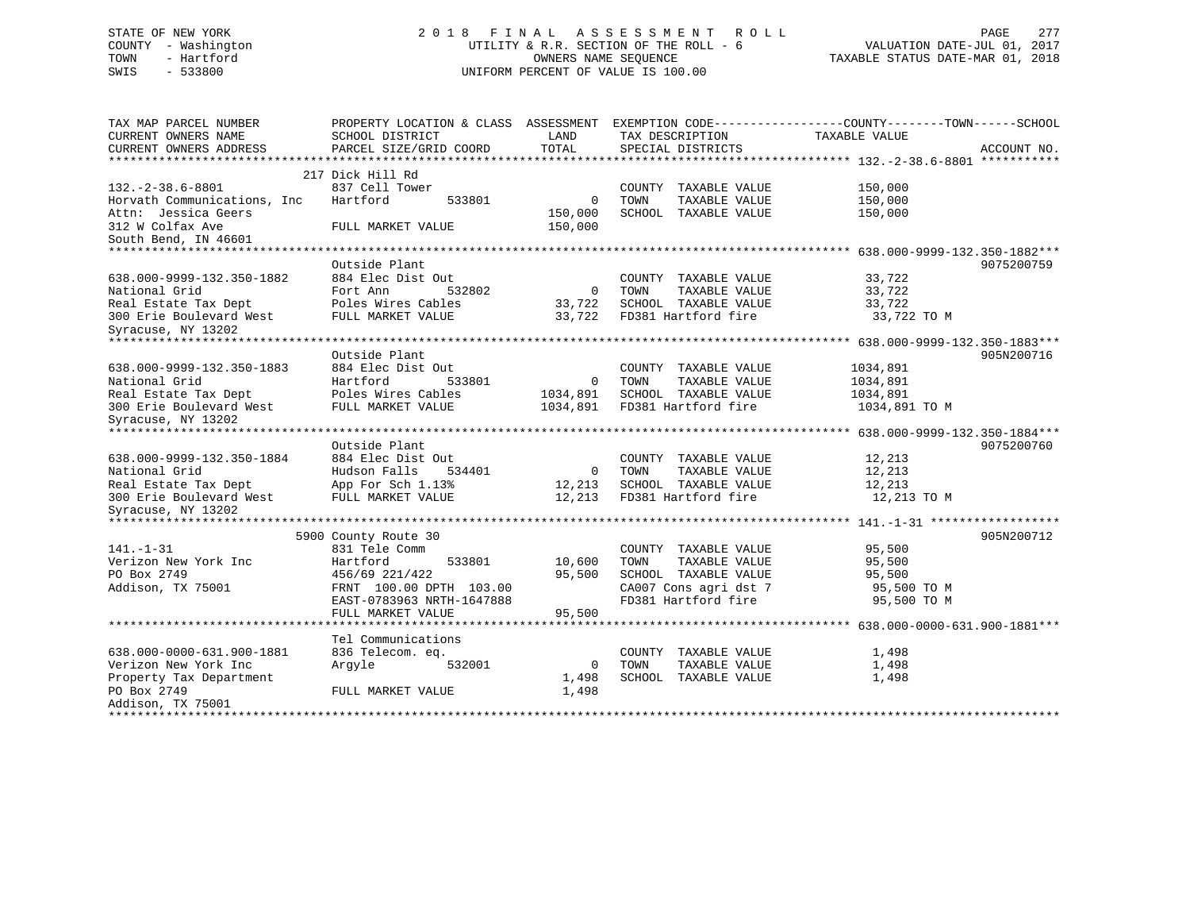## STATE OF NEW YORK 2 0 1 8 F I N A L A S S E S S M E N T R O L L PAGE 277 COUNTY - Washington UTILITY & R.R. SECTION OF THE ROLL - 6 VALUATION DATE-JUL 01, 2017 TOWN - Hartford OWNERS NAME SEQUENCE TAXABLE STATUS DATE-MAR 01, 2018 SWIS - 533800 UNIFORM PERCENT OF VALUE IS 100.00

| TAX MAP PARCEL NUMBER<br>CURRENT OWNERS NAME<br>CURRENT OWNERS ADDRESS | PROPERTY LOCATION & CLASS ASSESSMENT EXEMPTION CODE----------------COUNTY-------TOWN-----SCHOOL<br>SCHOOL DISTRICT<br>PARCEL SIZE/GRID COORD | LAND<br>TOTAL  | TAX DESCRIPTION<br>SPECIAL DISTRICTS | TAXABLE VALUE | ACCOUNT NO. |
|------------------------------------------------------------------------|----------------------------------------------------------------------------------------------------------------------------------------------|----------------|--------------------------------------|---------------|-------------|
|                                                                        |                                                                                                                                              |                |                                      |               |             |
|                                                                        | 217 Dick Hill Rd                                                                                                                             |                |                                      |               |             |
| $132. -2 - 38.6 - 8801$                                                | 837 Cell Tower                                                                                                                               |                | COUNTY TAXABLE VALUE                 | 150,000       |             |
| Horvath Communications, Inc.                                           | Hartford<br>533801                                                                                                                           | $\overline{0}$ | TOWN<br>TAXABLE VALUE                | 150,000       |             |
| Attn: Jessica Geers                                                    |                                                                                                                                              | 150,000        | SCHOOL TAXABLE VALUE                 | 150,000       |             |
| 312 W Colfax Ave                                                       | FULL MARKET VALUE                                                                                                                            | 150,000        |                                      |               |             |
| South Bend, IN 46601                                                   |                                                                                                                                              |                |                                      |               |             |
|                                                                        |                                                                                                                                              |                |                                      |               |             |
|                                                                        | Outside Plant                                                                                                                                |                |                                      |               | 9075200759  |
| 638.000-9999-132.350-1882                                              | 884 Elec Dist Out                                                                                                                            |                | COUNTY TAXABLE VALUE                 | 33,722        |             |
| National Grid                                                          | Fort Ann<br>532802                                                                                                                           | $\overline{0}$ | TAXABLE VALUE<br>TOWN                | 33,722        |             |
| Real Estate Tax Dept                                                   | Poles Wires Cables                                                                                                                           | 33,722         | SCHOOL TAXABLE VALUE                 | 33,722        |             |
| 300 Erie Boulevard West                                                | FULL MARKET VALUE                                                                                                                            | 33,722         | FD381 Hartford fire                  | 33,722 TO M   |             |
| Syracuse, NY 13202                                                     |                                                                                                                                              |                |                                      |               |             |
|                                                                        |                                                                                                                                              |                |                                      |               |             |
|                                                                        | Outside Plant                                                                                                                                |                |                                      |               | 905N200716  |
| 638.000-9999-132.350-1883                                              | 884 Elec Dist Out                                                                                                                            |                | COUNTY TAXABLE VALUE                 | 1034,891      |             |
| National Grid                                                          | Hartford<br>533801                                                                                                                           | $\overline{0}$ | TOWN<br>TAXABLE VALUE                | 1034,891      |             |
| Real Estate Tax Dept                                                   | Poles Wires Cables                                                                                                                           | 1034,891       | SCHOOL TAXABLE VALUE                 | 1034,891      |             |
| 300 Erie Boulevard West                                                | FULL MARKET VALUE                                                                                                                            | 1034,891       | FD381 Hartford fire                  | 1034,891 TO M |             |
| Syracuse, NY 13202<br>*****************************                    |                                                                                                                                              |                |                                      |               |             |
|                                                                        |                                                                                                                                              |                |                                      |               |             |
|                                                                        | Outside Plant                                                                                                                                |                |                                      |               | 9075200760  |
| 638.000-9999-132.350-1884                                              | 884 Elec Dist Out                                                                                                                            |                | COUNTY TAXABLE VALUE                 | 12,213        |             |
| National Grid                                                          | 534401<br>Hudson Falls                                                                                                                       | $\mathbf 0$    | TAXABLE VALUE<br>TOWN                | 12,213        |             |
| Real Estate Tax Dept                                                   | App For Sch 1.13%                                                                                                                            | 12,213         | SCHOOL TAXABLE VALUE                 | 12,213        |             |
| 300 Erie Boulevard West                                                | FULL MARKET VALUE                                                                                                                            | 12,213         | FD381 Hartford fire                  | 12,213 TO M   |             |
| Syracuse, NY 13202<br>*****************                                |                                                                                                                                              |                |                                      |               |             |
|                                                                        | 5900 County Route 30                                                                                                                         |                |                                      |               | 905N200712  |
| $141. - 1 - 31$                                                        | 831 Tele Comm                                                                                                                                |                | COUNTY TAXABLE VALUE                 | 95,500        |             |
| Verizon New York Inc                                                   | Hartford<br>533801                                                                                                                           | 10,600         | TOWN<br>TAXABLE VALUE                | 95,500        |             |
| PO Box 2749                                                            | 456/69 221/422                                                                                                                               | 95,500         | SCHOOL TAXABLE VALUE                 | 95,500        |             |
| Addison, TX 75001                                                      | FRNT 100.00 DPTH 103.00                                                                                                                      |                | CA007 Cons agri dst 7                | 95,500 TO M   |             |
|                                                                        | EAST-0783963 NRTH-1647888                                                                                                                    |                | FD381 Hartford fire                  | 95,500 TO M   |             |
|                                                                        | FULL MARKET VALUE                                                                                                                            | 95,500         |                                      |               |             |
|                                                                        |                                                                                                                                              |                |                                      |               |             |
|                                                                        | Tel Communications                                                                                                                           |                |                                      |               |             |
| 638.000-0000-631.900-1881                                              | 836 Telecom. eq.                                                                                                                             |                | COUNTY TAXABLE VALUE                 | 1,498         |             |
| Verizon New York Inc                                                   | Argyle<br>532001                                                                                                                             | $\mathbf 0$    | TOWN<br>TAXABLE VALUE                | 1,498         |             |
| Property Tax Department                                                |                                                                                                                                              | 1,498          | SCHOOL TAXABLE VALUE                 | 1,498         |             |
| PO Box 2749                                                            | FULL MARKET VALUE                                                                                                                            | 1,498          |                                      |               |             |
| Addison, TX 75001                                                      |                                                                                                                                              |                |                                      |               |             |
|                                                                        |                                                                                                                                              |                |                                      |               |             |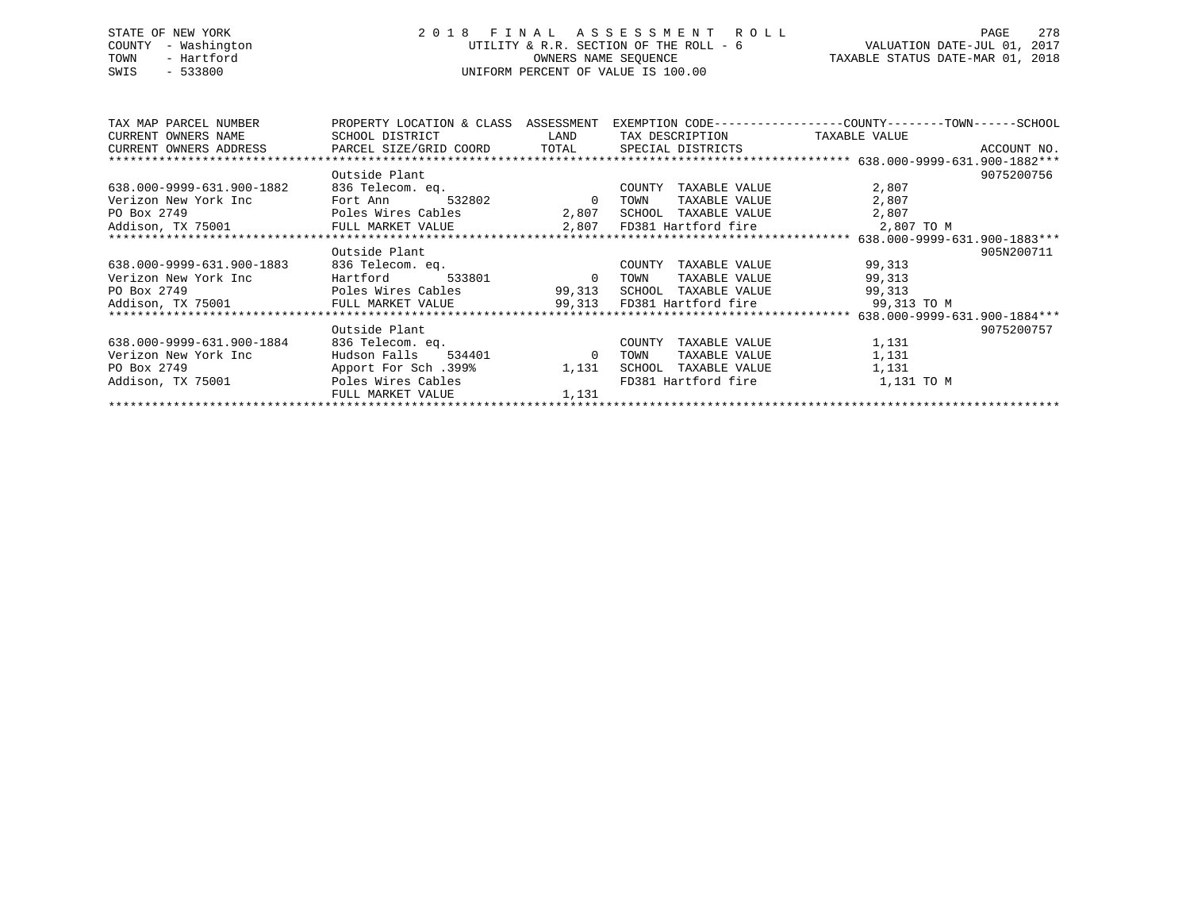## STATE OF NEW YORK 2 0 1 8 F I N A L A S S E S S M E N T R O L L PAGE 278 COUNTY - Washington UTILITY & R.R. SECTION OF THE ROLL - 6 VALUATION DATE-JUL 01, 2017 TOWN - Hartford OWNERS NAME SEQUENCE TAXABLE STATUS DATE-MAR 01, 2018 SWIS - 533800 UNIFORM PERCENT OF VALUE IS 100.00

| TAX MAP PARCEL NUMBER                               | PROPERTY LOCATION & CLASS | ASSESSMENT   |                            | EXEMPTION CODE-----------------COUNTY-------TOWN------SCHOOL |
|-----------------------------------------------------|---------------------------|--------------|----------------------------|--------------------------------------------------------------|
| CURRENT OWNERS NAME                                 | SCHOOL DISTRICT           | LAND         | TAX DESCRIPTION            | TAXABLE VALUE                                                |
| CURRENT OWNERS ADDRESS PARCEL SIZE/GRID COORD TOTAL |                           |              | SPECIAL DISTRICTS          | ACCOUNT NO.                                                  |
|                                                     |                           |              |                            |                                                              |
|                                                     | Outside Plant             |              |                            | 9075200756                                                   |
| 638.000-9999-631.900-1882                           | 836 Telecom. eq.          |              | COUNTY<br>TAXABLE VALUE    | 2,807                                                        |
| Verizon New York Inc                                | Fort Ann                  | 532802 0     | TOWN<br>TAXABLE VALUE      | 2,807                                                        |
| PO Box 2749                                         | Poles Wires Cables        | 2,807        | SCHOOL TAXABLE VALUE       | 2,807                                                        |
| Addison, TX 75001 FULL MARKET VALUE                 |                           |              | 2,807 FD381 Hartford fire  | 2,807 TO M                                                   |
|                                                     |                           |              |                            |                                                              |
|                                                     | Outside Plant             |              |                            | 905N200711                                                   |
| 638.000-9999-631.900-1883                           | 836 Telecom. eq.          |              | COUNTY<br>TAXABLE VALUE    | 99,313                                                       |
| Verizon New York Inc                                | Hartford<br>533801        | $\sim$ 0     | TOWN<br>TAXABLE VALUE      | 99,313                                                       |
| PO Box 2749                                         | Poles Wires Cables        | 99,313       | SCHOOL TAXABLE VALUE       | 99,313                                                       |
| Addison, TX 75001 FULL MARKET VALUE                 |                           |              | 99,313 FD381 Hartford fire | 99,313 TO M                                                  |
|                                                     |                           |              |                            |                                                              |
|                                                     | Outside Plant             |              |                            | 9075200757                                                   |
| 638.000-9999-631.900-1884                           | 836 Telecom. eq.          |              | COUNTY<br>TAXABLE VALUE    | 1,131                                                        |
| Verizon New York Inc                                | Hudson Falls<br>534401    | $\mathbf{0}$ | TAXABLE VALUE<br>TOWN      | 1,131                                                        |
| PO Box 2749                                         | Apport For Sch.399%       | 1,131        | TAXABLE VALUE<br>SCHOOL    | 1,131                                                        |
| Addison, TX 75001                                   | Poles Wires Cables        |              | FD381 Hartford fire        | 1,131 TO M                                                   |
|                                                     | FULL MARKET VALUE         | 1,131        |                            |                                                              |
|                                                     |                           |              |                            |                                                              |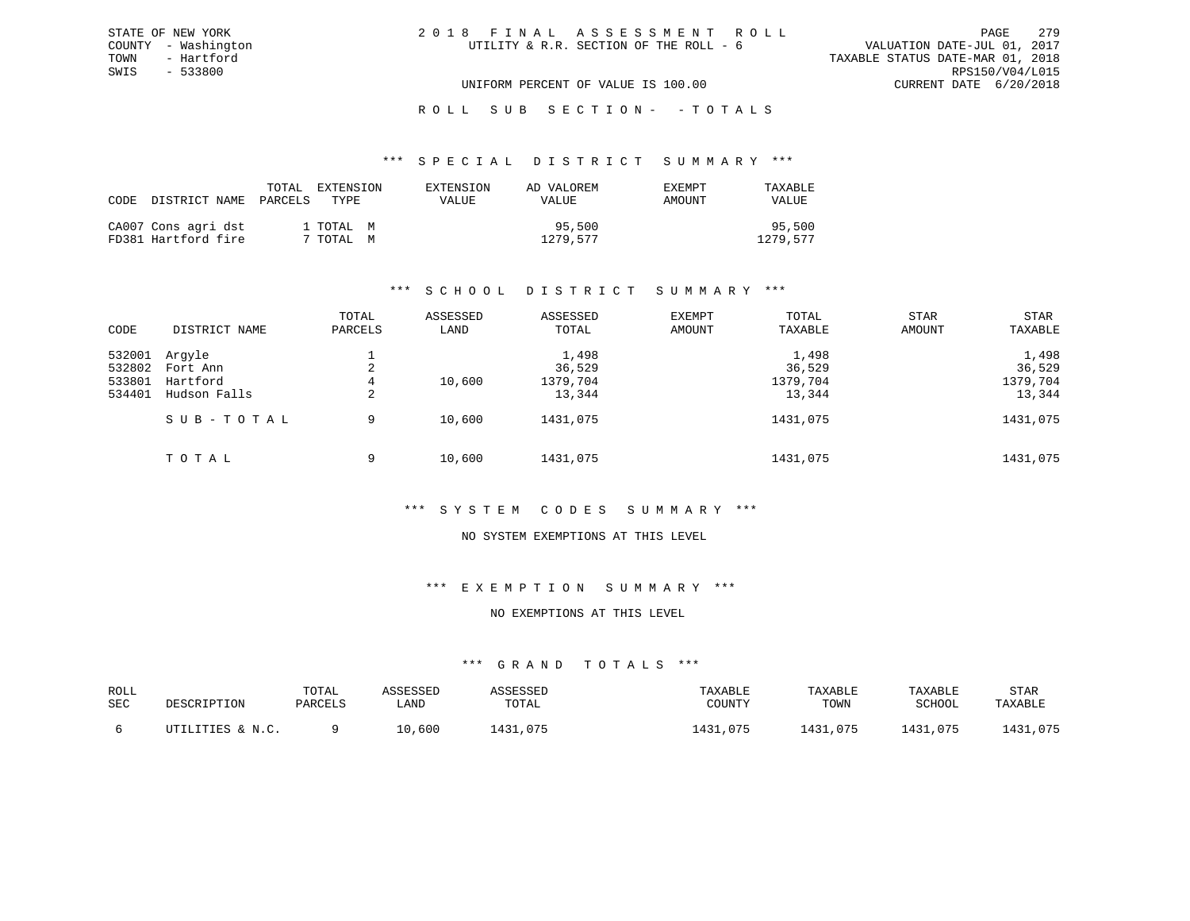#### \*\*\* S P E C I A L D I S T R I C T S U M M A R Y \*\*\*

| CODE DISTRICT NAME                         | TOTAL<br>PARCELS<br>TYPE | EXTENSION | EXTENSION<br>VALUE | AD VALOREM<br>VALUE | EXEMPT<br>AMOUNT | TAXABLE<br>VALUE   |
|--------------------------------------------|--------------------------|-----------|--------------------|---------------------|------------------|--------------------|
| CA007 Cons agri dst<br>FD381 Hartford fire | 1 ТОТАL М<br>7 TOTAL M   |           |                    | 95,500<br>1279.577  |                  | 95,500<br>1279.577 |

### \*\*\* S C H O O L D I S T R I C T S U M M A R Y \*\*\*

|        |               | TOTAL   | ASSESSED | ASSESSED | EXEMPT | TOTAL    | <b>STAR</b> | <b>STAR</b> |
|--------|---------------|---------|----------|----------|--------|----------|-------------|-------------|
| CODE   | DISTRICT NAME | PARCELS | LAND     | TOTAL    | AMOUNT | TAXABLE  | AMOUNT      | TAXABLE     |
| 532001 | Arqyle        |         |          | 1,498    |        | 1,498    |             | 1,498       |
| 532802 | Fort Ann      | 2       |          | 36,529   |        | 36,529   |             | 36,529      |
| 533801 | Hartford      | 4       | 10,600   | 1379,704 |        | 1379,704 |             | 1379,704    |
| 534401 | Hudson Falls  | 2       |          | 13,344   |        | 13,344   |             | 13,344      |
|        | SUB-TOTAL     | 9       | 10,600   | 1431,075 |        | 1431,075 |             | 1431,075    |
|        | TOTAL         | 9       | 10,600   | 1431,075 |        | 1431,075 |             | 1431,075    |

### \*\*\* S Y S T E M C O D E S S U M M A R Y \*\*\*

#### NO SYSTEM EXEMPTIONS AT THIS LEVEL

### \*\*\* E X E M P T I O N S U M M A R Y \*\*\*

### NO EXEMPTIONS AT THIS LEVEL

| ROLL<br>SEC | DESCRIPTION      | TOTAL<br>PARCELS | SSESSEL<br>LAND | <i><b>\SSESSED</b></i><br>TOTAL | TAXABLE<br>COUNTY | TAXABLE<br>TOWN | TAXABLE<br>SCHOOL | STAR<br>TAXABLE |
|-------------|------------------|------------------|-----------------|---------------------------------|-------------------|-----------------|-------------------|-----------------|
|             | UTILITIES & N.C. |                  | LO,600          | 1431,075                        | 1431,075          | 1431,075        | 1431,075          | 1431,075        |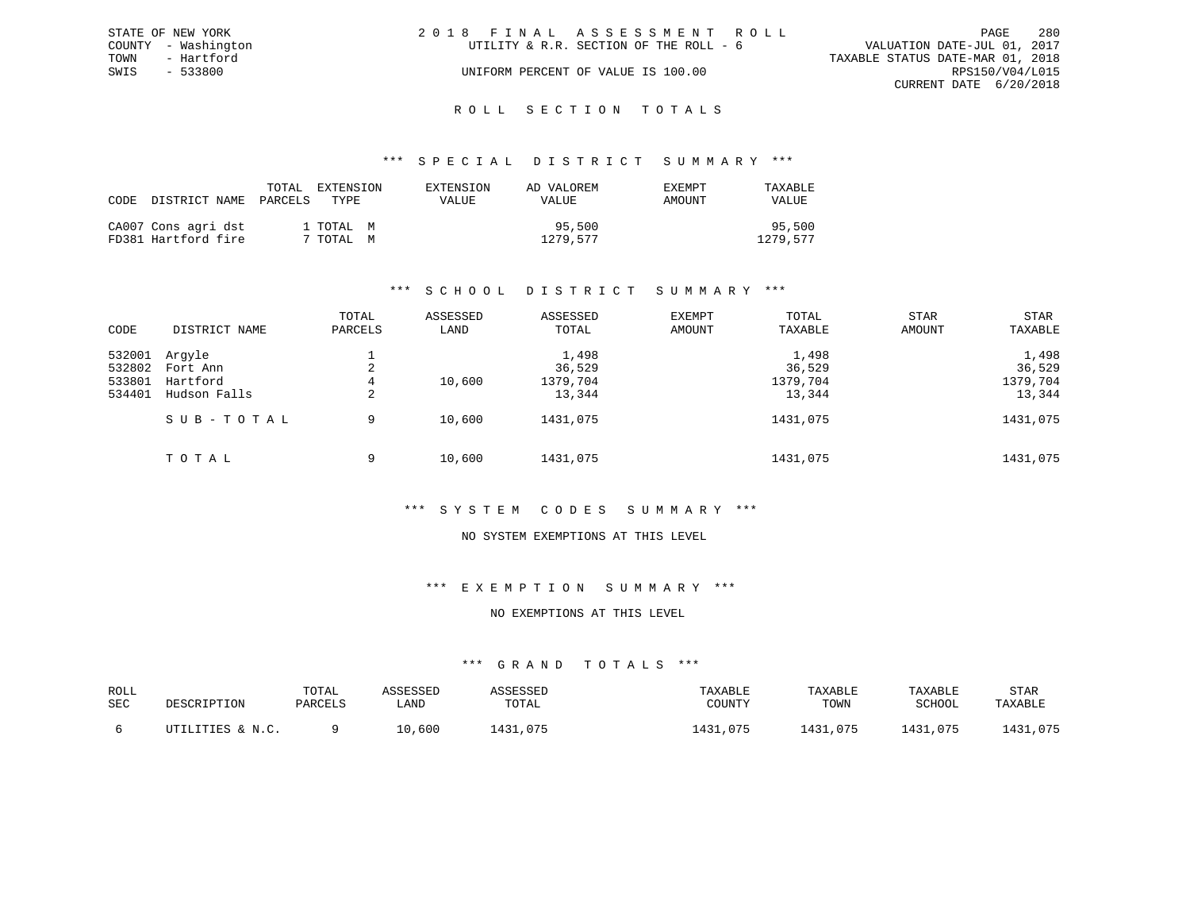|      | STATE OF NEW YORK   | 2018 FINAL ASSESSMENT ROLL                                            | PAGE            | 280 |
|------|---------------------|-----------------------------------------------------------------------|-----------------|-----|
|      | COUNTY - Washington | VALUATION DATE-JUL 01, 2017<br>UTILITY & R.R. SECTION OF THE ROLL - 6 |                 |     |
| TOWN | - Hartford          | TAXABLE STATUS DATE-MAR 01, 2018                                      |                 |     |
| SWIS | - 533800            | UNIFORM PERCENT OF VALUE IS 100.00                                    | RPS150/V04/L015 |     |
|      |                     | CURRENT DATE 6/20/2018                                                |                 |     |
|      |                     |                                                                       |                 |     |

## ROLL SECTION TOTALS

### \*\*\* S P E C I A L D I S T R I C T S U M M A R Y \*\*\*

| CODE | DISTRICT NAME                              | TOTAL<br>PARCELS | EXTENSION<br>TYPE.     | EXTENSION<br>VALUE | AD VALOREM<br>VALUE | EXEMPT<br>AMOUNT | TAXABLE<br>VALUE   |
|------|--------------------------------------------|------------------|------------------------|--------------------|---------------------|------------------|--------------------|
|      | CA007 Cons agri dst<br>FD381 Hartford fire |                  | 1 ТОТАL М<br>' TOTAL M |                    | 95,500<br>1279,577  |                  | 95,500<br>1279.577 |

### \*\*\* S C H O O L D I S T R I C T S U M M A R Y \*\*\*

| CODE             | DISTRICT NAME            | TOTAL<br>PARCELS | ASSESSED<br>LAND | ASSESSED<br>TOTAL  | EXEMPT<br>AMOUNT | TOTAL<br>TAXABLE   | STAR<br>AMOUNT | <b>STAR</b><br>TAXABLE |
|------------------|--------------------------|------------------|------------------|--------------------|------------------|--------------------|----------------|------------------------|
| 532001<br>532802 | Arqyle<br>Fort Ann       | 2                |                  | 1,498<br>36,529    |                  | 1,498<br>36,529    |                | 1,498<br>36,529        |
| 533801<br>534401 | Hartford<br>Hudson Falls | 4<br>2           | 10,600           | 1379,704<br>13,344 |                  | 1379,704<br>13,344 |                | 1379,704<br>13,344     |
|                  | SUB-TOTAL                | 9                | 10,600           | 1431,075           |                  | 1431,075           |                | 1431,075               |
|                  | TOTAL                    | 9                | 10,600           | 1431,075           |                  | 1431,075           |                | 1431,075               |

#### \*\*\* S Y S T E M C O D E S S U M M A R Y \*\*\*

#### NO SYSTEM EXEMPTIONS AT THIS LEVEL

### \*\*\* E X E M P T I O N S U M M A R Y \*\*\*

### NO EXEMPTIONS AT THIS LEVEL

| ROLL<br>SEC | DESCRIPTION      | TOTAL<br>PARCELS | SSESSEL<br>LAND | <i><b>\SSESSED</b></i><br>TOTAL | TAXABLE<br>COUNTY | TAXABLE<br>TOWN | TAXABLE<br>SCHOOL | STAR<br>TAXABLE |
|-------------|------------------|------------------|-----------------|---------------------------------|-------------------|-----------------|-------------------|-----------------|
|             | UTILITIES & N.C. |                  | LO,600          | 1431,075                        | 1431,075          | 1431,075        | 1431,075          | 1431,075        |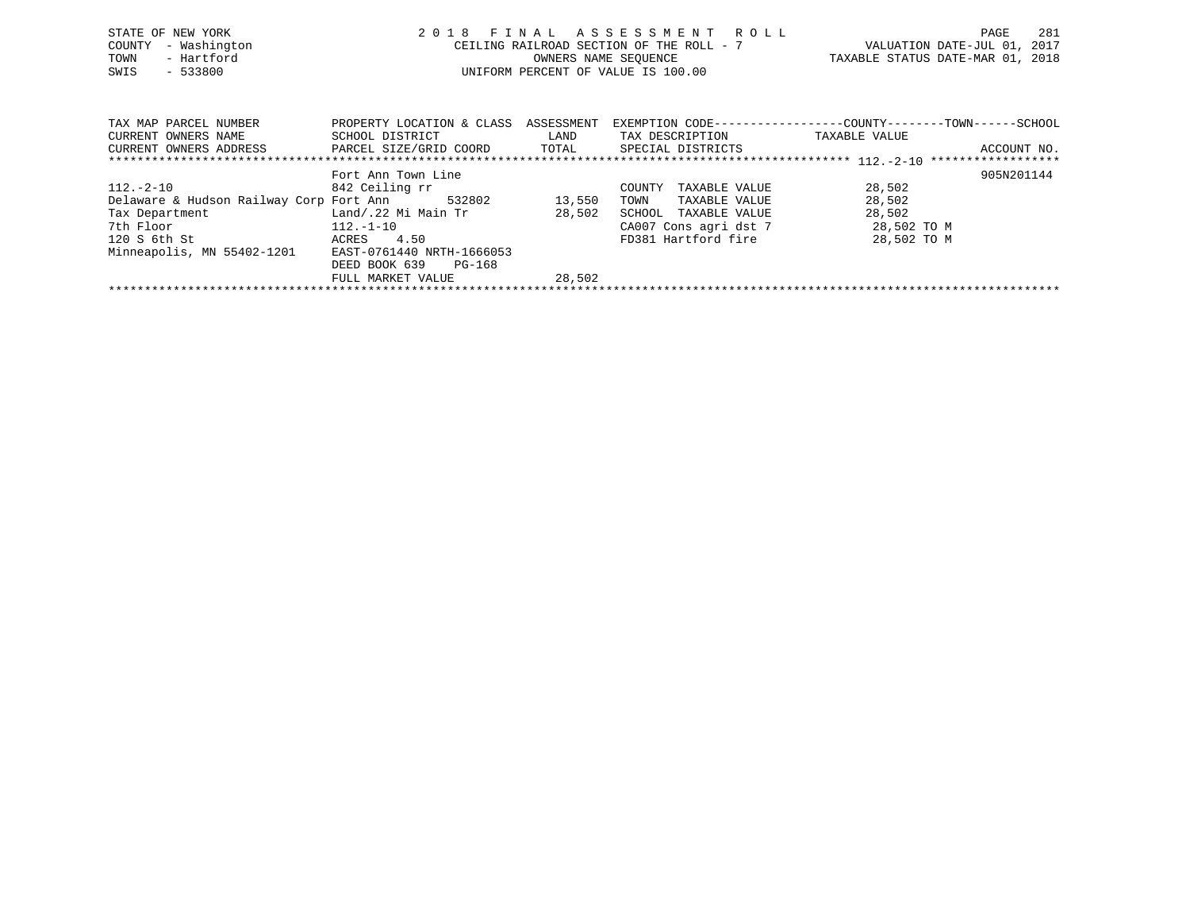| STATE OF NEW YORK<br>- Washington<br>COUNTY<br>- Hartford<br>TOWN<br>$-533800$<br>SWIS | 2 0 1 8                                      | OWNERS NAME SEOUENCE | FINAL ASSESSMENT ROLL<br>CEILING RAILROAD SECTION OF THE ROLL - 7<br>UNIFORM PERCENT OF VALUE IS 100.00 | VALUATION DATE-JUL 01, 2017<br>TAXABLE STATUS DATE-MAR 01, 2018               | 281<br>PAGE |
|----------------------------------------------------------------------------------------|----------------------------------------------|----------------------|---------------------------------------------------------------------------------------------------------|-------------------------------------------------------------------------------|-------------|
| TAX MAP PARCEL NUMBER<br>CURRENT OWNERS NAME                                           | PROPERTY LOCATION & CLASS<br>SCHOOL DISTRICT | ASSESSMENT<br>LAND   | TAX DESCRIPTION                                                                                         | EXEMPTION CODE-----------------COUNTY-------TOWN------SCHOOL<br>TAXABLE VALUE |             |
| CURRENT OWNERS ADDRESS                                                                 | PARCEL SIZE/GRID COORD TOTAL                 |                      | SPECIAL DISTRICTS                                                                                       |                                                                               | ACCOUNT NO. |
|                                                                                        | Fort Ann Town Line                           |                      |                                                                                                         |                                                                               | 905N201144  |
| 112.-2-10                                                                              | 842 Ceiling rr                               |                      | TAXABLE VALUE<br>COUNTY                                                                                 | 28,502                                                                        |             |
| Delaware & Hudson Railway Corp Fort Ann                                                | 532802                                       | 13,550               | TOWN<br>TAXABLE VALUE                                                                                   | 28,502                                                                        |             |
| Tax Department                                                                         | Land/.22 Mi Main Tr                          | 28,502               | SCHOOL<br>TAXABLE VALUE                                                                                 | 28,502                                                                        |             |
| 7th Floor                                                                              | $112.-1-10$                                  |                      | CA007 Cons agri dst 7                                                                                   | 28,502 TO M                                                                   |             |
| 120 S 6th St                                                                           | 4.50<br>ACRES                                |                      | FD381 Hartford fire                                                                                     | 28,502 TO M                                                                   |             |
| Minneapolis, MN 55402-1201 EAST-0761440 NRTH-1666053                                   |                                              |                      |                                                                                                         |                                                                               |             |

FULL MARKET VALUE 28,502 \*\*\*\*\*\*\*\*\*\*\*\*\*\*\*\*\*\*\*\*\*\*\*\*\*\*\*\*\*\*\*\*\*\*\*\*\*\*\*\*\*\*\*\*\*\*\*\*\*\*\*\*\*\*\*\*\*\*\*\*\*\*\*\*\*\*\*\*\*\*\*\*\*\*\*\*\*\*\*\*\*\*\*\*\*\*\*\*\*\*\*\*\*\*\*\*\*\*\*\*\*\*\*\*\*\*\*\*\*\*\*\*\*\*\*\*\*\*\*\*\*\*\*\*\*\*\*\*\*\*\*\*

DEED BOOK 639 PG-168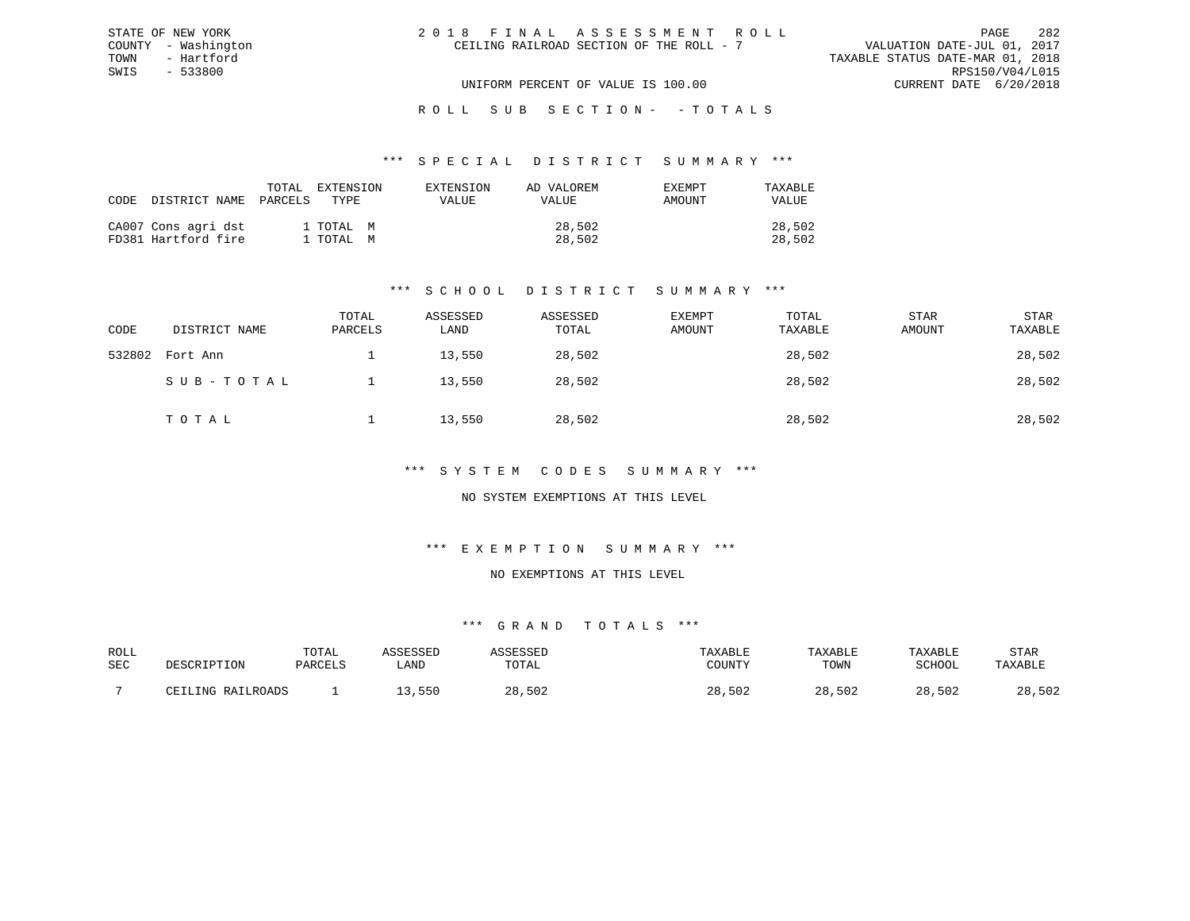| 2018 FINAL ASSESSMENT ROLL               | 282<br>PAGE                      |
|------------------------------------------|----------------------------------|
| CEILING RAILROAD SECTION OF THE ROLL - 7 | VALUATION DATE-JUL 01, 2017      |
|                                          | TAXABLE STATUS DATE-MAR 01, 2018 |
|                                          | RPS150/V04/L015                  |
| UNIFORM PERCENT OF VALUE IS 100.00       | CURRENT DATE 6/20/2018           |

#### \*\*\* S P E C I A L D I S T R I C T S U M M A R Y \*\*\*

| CODE DISTRICT NAME                         | TOTAL<br>PARCELS       | EXTENSION<br>TYPE. | EXTENSION<br><b>VALUE</b> | AD VALOREM<br><b>VALUE</b> | EXEMPT<br>AMOUNT | TAXABLE<br><b>VALUE</b> |
|--------------------------------------------|------------------------|--------------------|---------------------------|----------------------------|------------------|-------------------------|
| CA007 Cons agri dst<br>FD381 Hartford fire | 1 TOTAL M<br>1 TOTAL M |                    |                           | 28,502<br>28,502           |                  | 28,502<br>28,502        |

STATE OF NEW YORK COUNTY - Washington TOWN - Hartford SWIS - 533800

### \*\*\* S C H O O L D I S T R I C T S U M M A R Y \*\*\*

| CODE   | DISTRICT NAME | TOTAL<br>PARCELS | ASSESSED<br>LAND | ASSESSED<br>TOTAL | EXEMPT<br>AMOUNT | TOTAL<br>TAXABLE | STAR<br>AMOUNT | STAR<br>TAXABLE |
|--------|---------------|------------------|------------------|-------------------|------------------|------------------|----------------|-----------------|
| 532802 | Fort Ann      |                  | 13,550           | 28,502            |                  | 28,502           |                | 28,502          |
|        | SUB-TOTAL     |                  | 13,550           | 28,502            |                  | 28,502           |                | 28,502          |
|        | TOTAL         |                  | 13,550           | 28,502            |                  | 28,502           |                | 28,502          |

### \*\*\* S Y S T E M C O D E S S U M M A R Y \*\*\*

### NO SYSTEM EXEMPTIONS AT THIS LEVEL

### \*\*\* E X E M P T I O N S U M M A R Y \*\*\*

#### NO EXEMPTIONS AT THIS LEVEL

| ROLL |       | TOTAl  |      |       |             | $\Delta$ $\rm H$ $\rm H$ | <b>ZARLA</b> | STAR                 |
|------|-------|--------|------|-------|-------------|--------------------------|--------------|----------------------|
| SEC  |       | דסומתח | ∟AND | 1 A I | CCTINTEM    | TOWN                     | COUOOT       |                      |
|      |       |        |      |       |             |                          |              |                      |
|      | T NTA |        | 55C  |       | 502<br>$ -$ | 502                      | ົດ           | E O C<br>າດ<br>، د ب |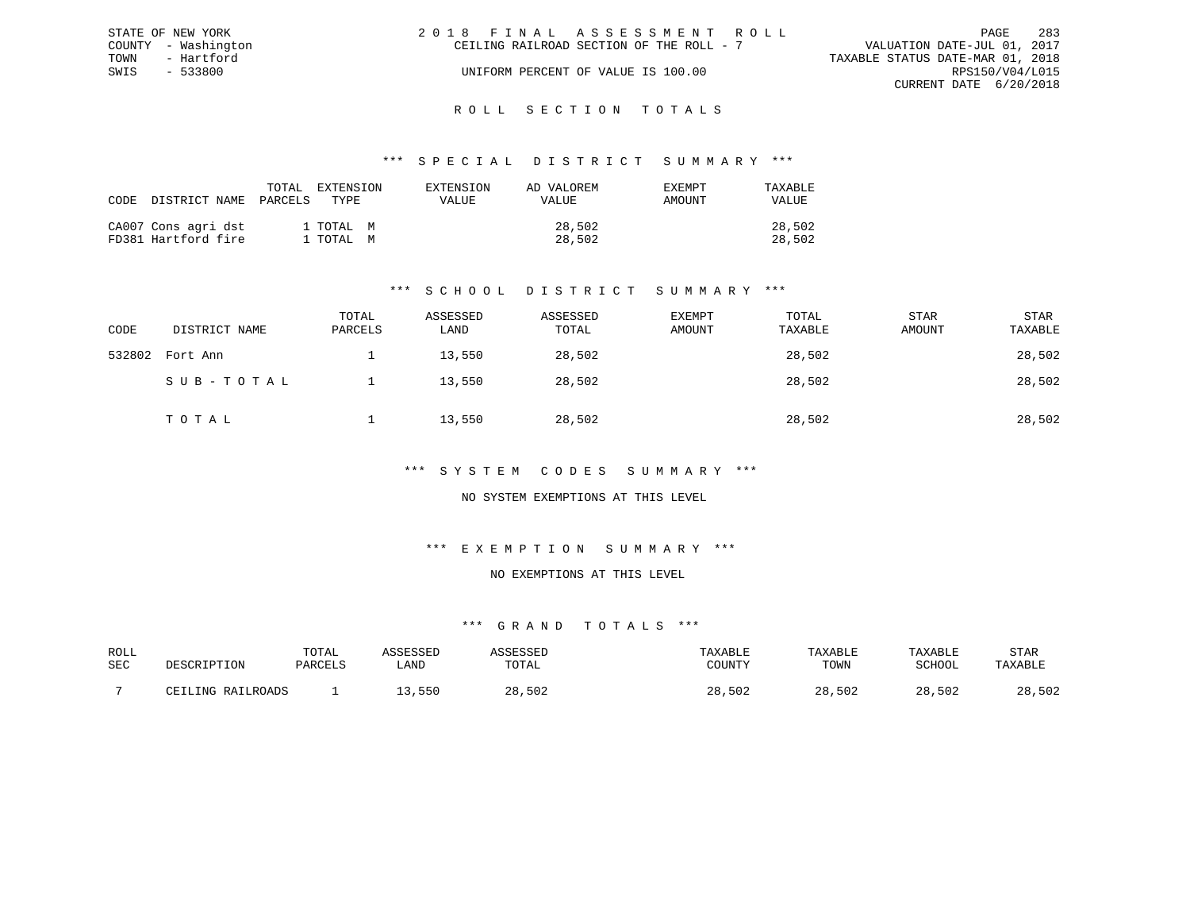| STATE OF NEW YORK   | 2018 FINAL ASSESSMENT ROLL               | 283<br>PAGE                      |
|---------------------|------------------------------------------|----------------------------------|
| COUNTY - Washington | CEILING RAILROAD SECTION OF THE ROLL - 7 | VALUATION DATE-JUL 01, 2017      |
| TOWN<br>- Hartford  |                                          | TAXABLE STATUS DATE-MAR 01, 2018 |
| SWIS<br>- 533800    | UNIFORM PERCENT OF VALUE IS 100.00       | RPS150/V04/L015                  |
|                     |                                          | CURRENT DATE 6/20/2018           |
|                     |                                          |                                  |

#### R O L L S E C T I O N T O T A L S

### \*\*\* S P E C I A L D I S T R I C T S U M M A R Y \*\*\*

| CODE | DISTRICT NAME                              | TOTAL<br>PARCELS | EXTENSION<br>TYPE      | EXTENSION<br>VALUE | AD VALOREM<br><b>VALUE</b> | EXEMPT<br>AMOUNT | TAXABLE<br>VALUE |
|------|--------------------------------------------|------------------|------------------------|--------------------|----------------------------|------------------|------------------|
|      | CA007 Cons agri dst<br>FD381 Hartford fire |                  | 1 ТОТАL М<br>1 ТОТАL М |                    | 28,502<br>28,502           |                  | 28,502<br>28,502 |

### \*\*\* S C H O O L D I S T R I C T S U M M A R Y \*\*\*

| CODE   | DISTRICT NAME | TOTAL<br>PARCELS | ASSESSED<br>LAND | ASSESSED<br>TOTAL | <b>EXEMPT</b><br>AMOUNT | TOTAL<br>TAXABLE | <b>STAR</b><br>AMOUNT | STAR<br>TAXABLE |
|--------|---------------|------------------|------------------|-------------------|-------------------------|------------------|-----------------------|-----------------|
| 532802 | Fort Ann      |                  | 13,550           | 28,502            |                         | 28,502           |                       | 28,502          |
|        | SUB-TOTAL     |                  | 13,550           | 28,502            |                         | 28,502           |                       | 28,502          |
|        | TOTAL         |                  | 13,550           | 28,502            |                         | 28,502           |                       | 28,502          |

### \*\*\* S Y S T E M C O D E S S U M M A R Y \*\*\*

### NO SYSTEM EXEMPTIONS AT THIS LEVEL

### \*\*\* E X E M P T I O N S U M M A R Y \*\*\*

#### NO EXEMPTIONS AT THIS LEVEL

| ROLL |                   | TOTAL   | COPOCPT |           | TAXABLE          | TAXABLE     | TAXABLE    | STAR                    |
|------|-------------------|---------|---------|-----------|------------------|-------------|------------|-------------------------|
| SEC  | DESCRIPTION       | PARCELS | ∟AND    | TOTAL     | COUNTY           | TOWN        | SCHOOL     | TAXABLE                 |
|      | CETIJNG RAILROADS |         | 550     | 502<br>ററ | ,502<br>ററ<br>40 | ,502<br>28. | 502<br>n n | 28,502<br>$\cap$ $\cap$ |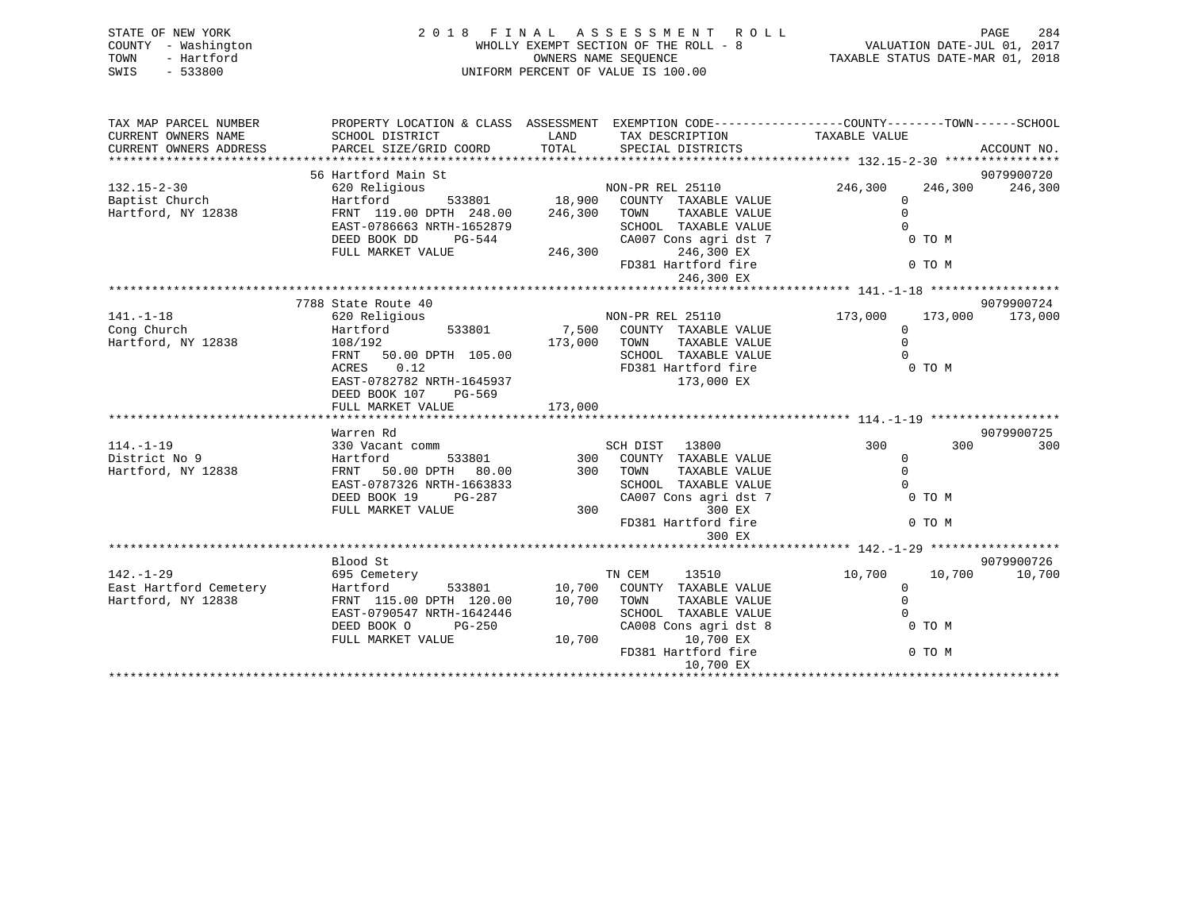| STATE OF NEW YORK<br>COUNTY - Washington<br>TOWN<br>- Hartford<br>$-533800$<br>SWIS |                                                                                                                    |               | 2018 FINAL ASSESSMENT ROLL<br>WHOLLY EXEMPT SECTION OF THE ROLL - 8<br>OWNERS NAME SEQUENCE<br>UNIFORM PERCENT OF VALUE IS 100.00 | 284<br>PAGE<br>$\begin{array}{cccccc} \text{RQ-B} & \text{RQ-B} & \text{RQ-B} & \text{RQ-B} \\ - & 8 & & \text{VALUATION DATE-JUL 01, 2017} \\ & & & \text{TAXABLE STATUS DATE-MAR 01, 2018} \end{array}$ |                    |
|-------------------------------------------------------------------------------------|--------------------------------------------------------------------------------------------------------------------|---------------|-----------------------------------------------------------------------------------------------------------------------------------|-----------------------------------------------------------------------------------------------------------------------------------------------------------------------------------------------------------|--------------------|
| TAX MAP PARCEL NUMBER                                                               |                                                                                                                    |               | PROPERTY LOCATION & CLASS ASSESSMENT EXEMPTION CODE---------------COUNTY-------TOWN-----SCHOOL                                    |                                                                                                                                                                                                           |                    |
| CURRENT OWNERS NAME                                                                 | SCHOOL DISTRICT                                                                                                    |               | TAX DESCRIPTION TAXABLE VALUE<br>LAND TAX DESCRIPTION<br>TOTAL SPECIAL DISTRICTS                                                  |                                                                                                                                                                                                           |                    |
| CURRENT OWNERS ADDRESS                                                              | PARCEL SIZE/GRID COORD                                                                                             |               |                                                                                                                                   |                                                                                                                                                                                                           | ACCOUNT NO.        |
|                                                                                     |                                                                                                                    |               |                                                                                                                                   |                                                                                                                                                                                                           |                    |
| $132.15 - 2 - 30$                                                                   | 56 Hartford Main St                                                                                                |               |                                                                                                                                   |                                                                                                                                                                                                           | 9079900720         |
| Baptist Church                                                                      |                                                                                                                    |               |                                                                                                                                   | 246,300<br>$\mathbf{0}$                                                                                                                                                                                   | 246,300<br>246,300 |
| Hartford, NY 12838                                                                  | 620 Religious<br>Hartford 533801 18,900 COUNTY TAXABLE VALUE<br>FRNT 119.00 DPTH 248.00 246,300 TOWN TAXABLE VALUE |               |                                                                                                                                   | $\Omega$                                                                                                                                                                                                  |                    |
|                                                                                     | EAST-0786663 NRTH-1652879                                                                                          |               | SCHOOL TAXABLE VALUE                                                                                                              |                                                                                                                                                                                                           |                    |
|                                                                                     | $PG-544$<br>DEED BOOK DD                                                                                           |               | CA007 Cons agri dst 7                                                                                                             | 0 TO M                                                                                                                                                                                                    |                    |
|                                                                                     | FULL MARKET VALUE                                                                                                  |               | 246,300 246,300 EX                                                                                                                |                                                                                                                                                                                                           |                    |
|                                                                                     |                                                                                                                    |               | FD381 Hartford fire                                                                                                               | 0 TO M                                                                                                                                                                                                    |                    |
|                                                                                     |                                                                                                                    |               | 246,300 EX                                                                                                                        |                                                                                                                                                                                                           |                    |
|                                                                                     |                                                                                                                    |               |                                                                                                                                   |                                                                                                                                                                                                           |                    |
|                                                                                     | 7788 State Route 40                                                                                                |               |                                                                                                                                   |                                                                                                                                                                                                           | 9079900724         |
| $141. - 1 - 18$                                                                     | 620 Religious                                                                                                      |               | NON-PR REL 25110                                                                                                                  | 173,000                                                                                                                                                                                                   | 173,000 173,000    |
| Cong Church                                                                         | 533801<br>Hartford                                                                                                 |               | 7,500 COUNTY TAXABLE VALUE                                                                                                        | $\Omega$                                                                                                                                                                                                  |                    |
| Hartford, NY 12838                                                                  | 108/192                                                                                                            | 173,000 TOWN  | TAXABLE VALUE                                                                                                                     | $\Omega$                                                                                                                                                                                                  |                    |
|                                                                                     | FRNT 50.00 DPTH 105.00                                                                                             |               | SCHOOL TAXABLE VALUE                                                                                                              | $\Omega$                                                                                                                                                                                                  |                    |
|                                                                                     | 0.12<br>ACRES<br>EAST-0782782 NRTH-1645937                                                                         |               | FD381 Hartford fire<br>173,000 EX                                                                                                 | 0 TO M                                                                                                                                                                                                    |                    |
|                                                                                     | DEED BOOK 107 PG-569                                                                                               |               |                                                                                                                                   |                                                                                                                                                                                                           |                    |
|                                                                                     | FULL MARKET VALUE                                                                                                  | 173,000       |                                                                                                                                   |                                                                                                                                                                                                           |                    |
|                                                                                     |                                                                                                                    |               |                                                                                                                                   |                                                                                                                                                                                                           |                    |
|                                                                                     | Warren Rd                                                                                                          |               |                                                                                                                                   |                                                                                                                                                                                                           | 9079900725         |
| $114. - 1 - 19$                                                                     | 330 Vacant comm                                                                                                    |               | SCH DIST 13800                                                                                                                    | 300                                                                                                                                                                                                       | 300<br>300         |
| District No 9                                                                       | Hartford<br>533801                                                                                                 |               | 300 COUNTY TAXABLE VALUE                                                                                                          | $\mathbf{0}$                                                                                                                                                                                              |                    |
| Hartford, NY 12838                                                                  | FRNT 50.00 DPTH 80.00                                                                                              |               | 300 TOWN<br>TAXABLE VALUE                                                                                                         | $\Omega$                                                                                                                                                                                                  |                    |
|                                                                                     | EAST-0787326 NRTH-1663833                                                                                          |               | SCHOOL TAXABLE VALUE                                                                                                              |                                                                                                                                                                                                           |                    |
|                                                                                     | DEED BOOK 19 PG-287                                                                                                |               | CA007 Cons agri dst 7                                                                                                             | 0 TO M                                                                                                                                                                                                    |                    |
|                                                                                     | FULL MARKET VALUE                                                                                                  | 300           | 300 EX                                                                                                                            |                                                                                                                                                                                                           |                    |
|                                                                                     |                                                                                                                    |               | FD381 Hartford fire                                                                                                               | 0 TO M                                                                                                                                                                                                    |                    |
|                                                                                     |                                                                                                                    |               | 300 EX                                                                                                                            |                                                                                                                                                                                                           |                    |
|                                                                                     |                                                                                                                    |               |                                                                                                                                   |                                                                                                                                                                                                           |                    |
|                                                                                     | Blood St                                                                                                           |               |                                                                                                                                   |                                                                                                                                                                                                           | 9079900726         |
| $142. - 1 - 29$<br>East Hartford Cemetery                                           | 695 Cemetery<br>Hartford                                                                                           | 533801 10,700 | TN CEM<br>13510<br>COUNTY TAXABLE VALUE                                                                                           | 10,700<br>$\overline{0}$                                                                                                                                                                                  | 10,700<br>10,700   |
| Hartford, NY 12838                                                                  | FRNT 115.00 DPTH 120.00 10,700 TOWN                                                                                |               | TAXABLE VALUE                                                                                                                     | $\mathbf{0}$                                                                                                                                                                                              |                    |
|                                                                                     | EAST-0790547 NRTH-1642446                                                                                          |               | SCHOOL TAXABLE VALUE                                                                                                              |                                                                                                                                                                                                           |                    |
|                                                                                     | DEED BOOK O<br>PG-250                                                                                              |               | CA008 Cons agri dst 8                                                                                                             | 0 TO M                                                                                                                                                                                                    |                    |
|                                                                                     | FULL MARKET VALUE                                                                                                  | 10,700        | 10,700 EX                                                                                                                         |                                                                                                                                                                                                           |                    |
|                                                                                     |                                                                                                                    |               | FD381 Hartford fire                                                                                                               | 0 TO M                                                                                                                                                                                                    |                    |

10,700 EX \*\*\*\*\*\*\*\*\*\*\*\*\*\*\*\*\*\*\*\*\*\*\*\*\*\*\*\*\*\*\*\*\*\*\*\*\*\*\*\*\*\*\*\*\*\*\*\*\*\*\*\*\*\*\*\*\*\*\*\*\*\*\*\*\*\*\*\*\*\*\*\*\*\*\*\*\*\*\*\*\*\*\*\*\*\*\*\*\*\*\*\*\*\*\*\*\*\*\*\*\*\*\*\*\*\*\*\*\*\*\*\*\*\*\*\*\*\*\*\*\*\*\*\*\*\*\*\*\*\*\*\*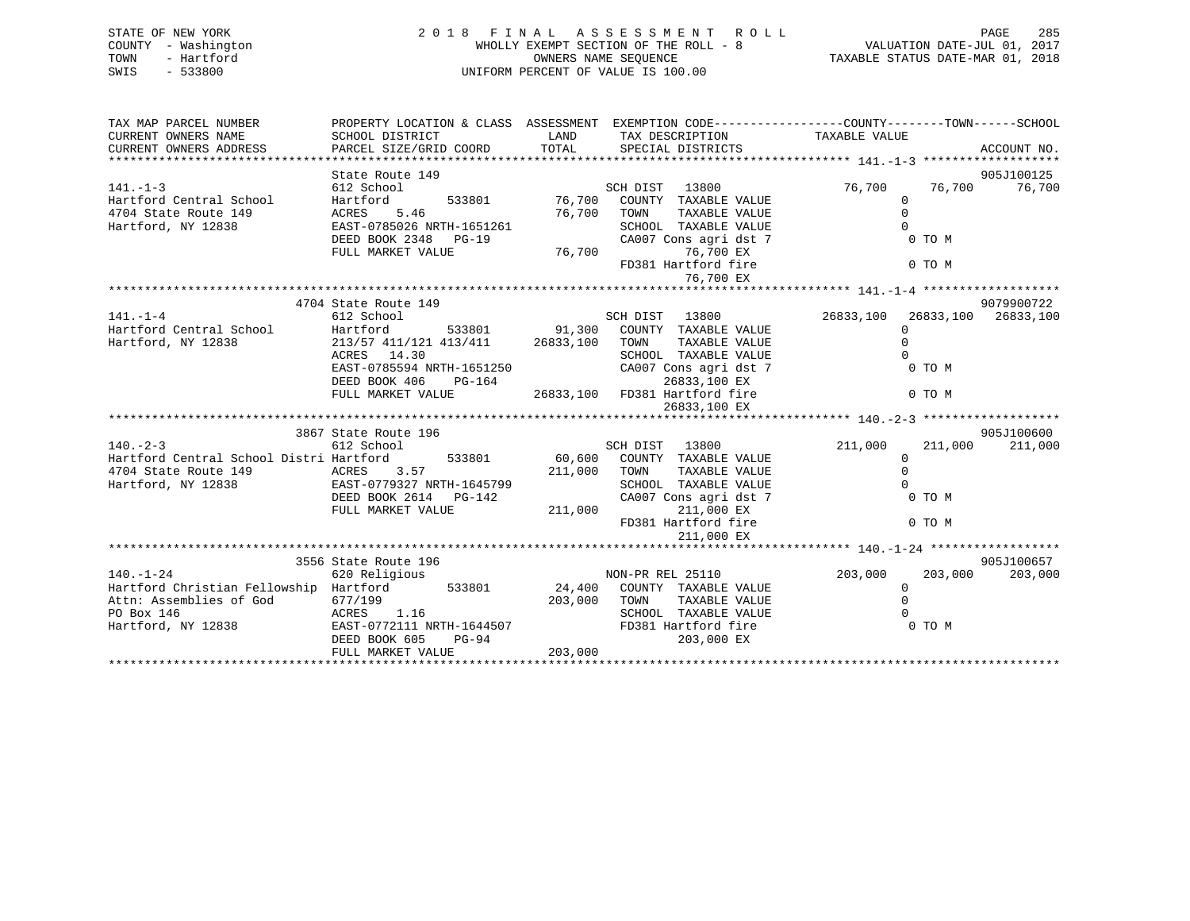| STATE OF NEW YORK<br>COUNTY - Washington<br>- Hartford<br>TOWN<br>$-533800$<br>SWIS | $\begin{array}{c} 2 & 0 & 1 \end{array}$                                                                                                | PAGE 285 A S S E S S M E N T R O L L PAGE 285 A PAGE 285 A F I N A L A S S E S S M E N T R O L L CHUATION DATE-JUL 01, 2017<br>WHOLLY EXEMPT SECTION OF THE ROLL - 8 VALUATION DATE-JUL 01, 2017<br>OWNERS NAME SEQUENCE TAXABLE STA<br>UNIFORM PERCENT OF VALUE IS 100.00 |                                                                 |
|-------------------------------------------------------------------------------------|-----------------------------------------------------------------------------------------------------------------------------------------|----------------------------------------------------------------------------------------------------------------------------------------------------------------------------------------------------------------------------------------------------------------------------|-----------------------------------------------------------------|
| TAX MAP PARCEL NUMBER<br>CURRENT OWNERS NAME<br>CURRENT OWNERS ADDRESS              |                                                                                                                                         | PROPERTY LOCATION & CLASS ASSESSMENT EXEMPTION CODE---------------COUNTY-------TOWN------SCHOOL                                                                                                                                                                            | ACCOUNT NO.                                                     |
|                                                                                     | State Route 149                                                                                                                         |                                                                                                                                                                                                                                                                            | 905J100125                                                      |
| $141. - 1 - 3$<br>Hartford, NY 12838                                                | 612 School<br>ACRES 5.46<br>EAST-0785026 NRTH-1651261<br>DEED BOOK 2348 PG-19<br>FULL MARKET VALUE                                      | SCH DIST 13800 76,700<br>Hartford 533801 76,700 COUNTY TAXABLE VALUE<br>76,700<br>TAXABLE VALUE<br>TOWN<br>SCHOOL TAXABLE VALUE<br>CA007 Cons agri dst 7<br>76,700<br>76,700 EX<br>FD381 Hartford fire<br>76,700 EX                                                        | 76,700 76,700<br>$\Omega$<br>$\Omega$<br>0 TO M<br>0 TO M       |
|                                                                                     | 4704 State Route 149                                                                                                                    |                                                                                                                                                                                                                                                                            | 9079900722                                                      |
| $141. - 1 - 4$<br>Hartford, NY 12838                                                | 612 School<br>213/57 411/121 413/411 26833,100<br>ACRES 14.30<br>EAST-0785594 NRTH-1651250<br>DEED BOOK 406 PG-164<br>FULL MARKET VALUE | SCH DIST 13800 26833,100<br>Hartford Central School Martford 533801 91,300 COUNTY TAXABLE VALUE<br>TOWN<br>TAXABLE VALUE<br>SCHOOL TAXABLE VALUE<br>CA007 Cons agri dst 7<br>26833,100 EX<br>26833,100 FD381 Hartford fire<br>26833,100 EX                                 | 26833,100 26833,100<br>$\Omega$<br>$\Omega$<br>0 TO M<br>0 TO M |
|                                                                                     |                                                                                                                                         |                                                                                                                                                                                                                                                                            |                                                                 |
|                                                                                     | 3867 State Route 196                                                                                                                    |                                                                                                                                                                                                                                                                            | 905J100600                                                      |
| $140. - 2 - 3$                                                                      | 612 School                                                                                                                              | 13800<br>SCH DIST                                                                                                                                                                                                                                                          | 211,000<br>211,000<br>211,000                                   |
| Hartford Central School Distri Hartford 533801                                      |                                                                                                                                         | 60,600 COUNTY TAXABLE VALUE                                                                                                                                                                                                                                                | $\Omega$                                                        |

| 4704 State Route 149                   | 3.57<br>ACRES             | 211,000 | TOWN   | TAXABLE VALUE         |         |         |            |
|----------------------------------------|---------------------------|---------|--------|-----------------------|---------|---------|------------|
| Hartford, NY 12838                     | EAST-0779327 NRTH-1645799 |         |        | SCHOOL TAXABLE VALUE  |         |         |            |
|                                        | DEED BOOK 2614 PG-142     |         |        | CA007 Cons agri dst 7 |         | 0 TO M  |            |
|                                        | FULL MARKET VALUE         | 211,000 |        | 211,000 EX            |         |         |            |
|                                        |                           |         |        | FD381 Hartford fire   |         | 0 TO M  |            |
|                                        |                           |         |        | 211,000 EX            |         |         |            |
|                                        |                           |         |        |                       |         |         |            |
|                                        | 3556 State Route 196      |         |        |                       |         |         | 905J100657 |
| 140.-1-24                              | 620 Religious             |         |        | NON-PR REL 25110      | 203,000 | 203,000 | 203,000    |
| Hartford Christian Fellowship Hartford | 533801                    | 24,400  |        | COUNTY TAXABLE VALUE  |         |         |            |
| Attn: Assemblies of God                | 677/199                   | 203,000 | TOWN   | TAXABLE VALUE         |         |         |            |
| PO Box 146                             | ACRES 1.16                |         | SCHOOL | TAXABLE VALUE         |         |         |            |
| Hartford, NY 12838                     | EAST-0772111 NRTH-1644507 |         |        | FD381 Hartford fire   |         | 0 TO M  |            |
|                                        | DEED BOOK 605<br>$PG-94$  |         |        | 203,000 EX            |         |         |            |
|                                        | FULL MARKET VALUE         | 203,000 |        |                       |         |         |            |
|                                        |                           |         |        |                       |         |         |            |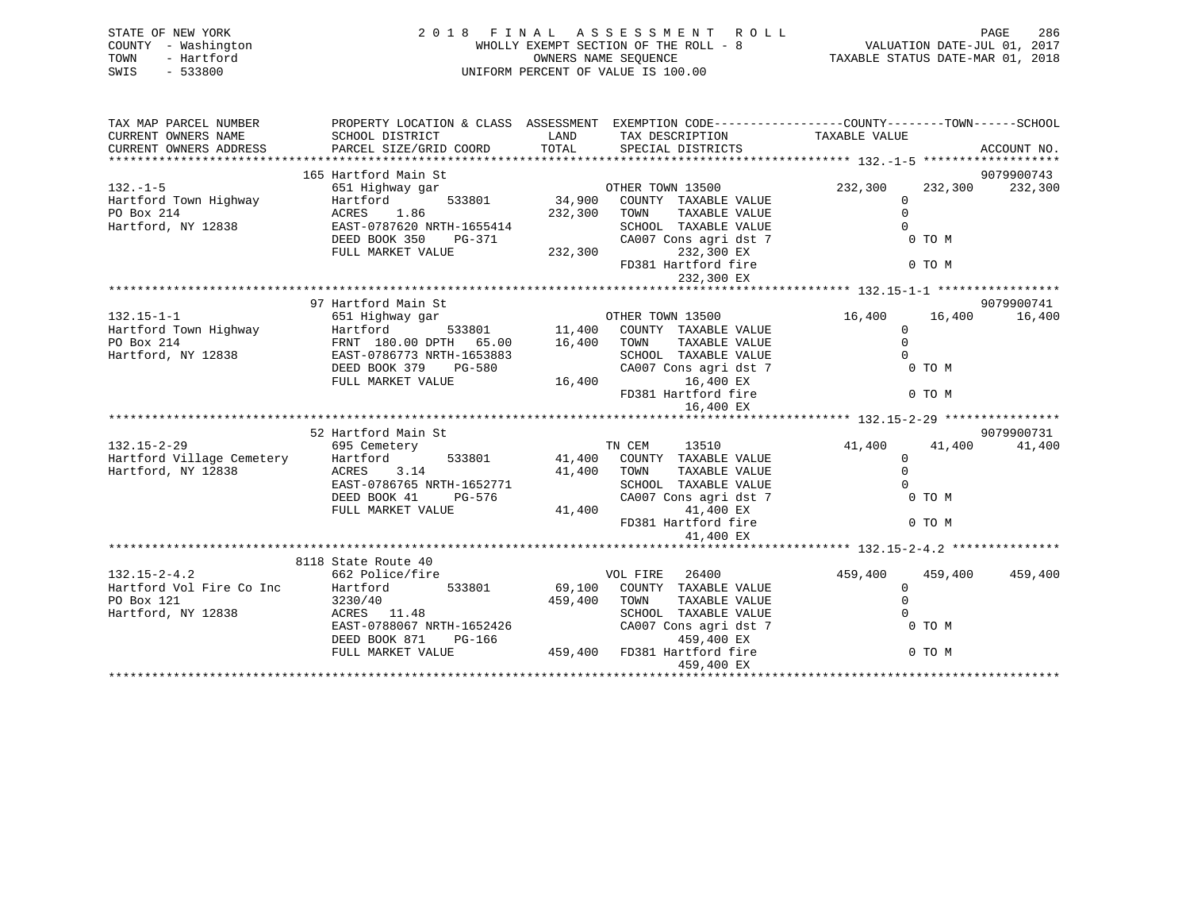| STATE OF NEW YORK<br>COUNTY - Washington<br>- Hartford<br>TOWN<br>SWIS<br>$-533800$ | 2 0 1 8<br>FINAL ASSESSMENT ROLL<br>WHOLLY EXEMPT SECTION OF THE ROLL - 8<br>OWNERS NAME SEQUENCE<br>UNIFORM PERCENT OF VALUE IS 100.00                             |                              |                                                                                                                                                                       |                                                    |                             | PAGE<br>286<br>VALUATION DATE-JUL 01, 2017<br>TAXABLE STATUS DATE-MAR 01, 2018 |
|-------------------------------------------------------------------------------------|---------------------------------------------------------------------------------------------------------------------------------------------------------------------|------------------------------|-----------------------------------------------------------------------------------------------------------------------------------------------------------------------|----------------------------------------------------|-----------------------------|--------------------------------------------------------------------------------|
| TAX MAP PARCEL NUMBER<br>CURRENT OWNERS NAME<br>CURRENT OWNERS ADDRESS              | SCHOOL DISTRICT<br>PARCEL SIZE/GRID COORD                                                                                                                           | LAND<br>TOTAL                | PROPERTY LOCATION & CLASS ASSESSMENT EXEMPTION CODE---------------COUNTY-------TOWN-----SCHOOL<br>TAX DESCRIPTION<br>SPECIAL DISTRICTS                                | TAXABLE VALUE                                      |                             | ACCOUNT NO.                                                                    |
|                                                                                     |                                                                                                                                                                     |                              |                                                                                                                                                                       |                                                    |                             |                                                                                |
|                                                                                     | 165 Hartford Main St                                                                                                                                                |                              |                                                                                                                                                                       |                                                    |                             | 9079900743                                                                     |
| $132. - 1 - 5$<br>Hartford Town Highway<br>PO Box 214<br>Hartford, NY 12838         | 651 Highway gar<br>Hartford<br>533801<br>1.86<br>ACRES<br>EAST-0787620 NRTH-1655414<br>DEED BOOK 350<br>PG-371<br>FULL MARKET VALUE                                 | 34,900<br>232,300<br>232,300 | OTHER TOWN 13500<br>COUNTY TAXABLE VALUE<br>TAXABLE VALUE<br>TOWN<br>SCHOOL TAXABLE VALUE<br>CA007 Cons agri dst 7<br>232,300 EX<br>FD381 Hartford fire<br>232,300 EX | 232,300<br>$\mathbf{0}$<br>$\mathbf 0$<br>$\Omega$ | 232,300<br>0 TO M<br>0 TO M | 232,300                                                                        |
|                                                                                     |                                                                                                                                                                     |                              |                                                                                                                                                                       |                                                    |                             |                                                                                |
| $132.15 - 1 - 1$<br>Hartford Town Highway<br>PO Box 214<br>Hartford, NY 12838       | 97 Hartford Main St<br>651 Highway gar<br>533801<br>Hartford<br>FRNT 180.00 DPTH 65.00<br>EAST-0786773 NRTH-1653883<br>DEED BOOK 379<br>PG-580<br>FULL MARKET VALUE | 11,400<br>16,400<br>16,400   | OTHER TOWN 13500<br>COUNTY TAXABLE VALUE<br>TAXABLE VALUE<br>TOWN<br>SCHOOL TAXABLE VALUE<br>CA007 Cons agri dst 7<br>16,400 EX<br>FD381 Hartford fire<br>16,400 EX   | 16,400<br>$\mathbf{0}$<br>$\Omega$<br>$\Omega$     | 16,400<br>0 TO M<br>0 TO M  | 9079900741<br>16,400                                                           |
|                                                                                     |                                                                                                                                                                     |                              |                                                                                                                                                                       |                                                    |                             |                                                                                |
|                                                                                     | 52 Hartford Main St                                                                                                                                                 |                              |                                                                                                                                                                       |                                                    |                             | 9079900731                                                                     |
| $132.15 - 2 - 29$<br>Hartford Village Cemetery<br>Hartford, NY 12838                | 695 Cemetery<br>Hartford<br>533801<br>3.14<br>ACRES<br>EAST-0786765 NRTH-1652771<br>DEED BOOK 41<br>PG-576<br>FULL MARKET VALUE                                     | 41,400<br>41,400             | TN CEM<br>13510<br>41,400 COUNTY TAXABLE VALUE<br>TOWN<br>TAXABLE VALUE<br>SCHOOL TAXABLE VALUE<br>CA007 Cons agri dst 7<br>41,400 EX<br>FD381 Hartford fire          | 41,400<br>$\mathbf 0$<br>$\Omega$<br>$\Omega$      | 41,400<br>0 TO M<br>0 TO M  | 41,400                                                                         |
|                                                                                     |                                                                                                                                                                     |                              | 41,400 EX                                                                                                                                                             |                                                    |                             |                                                                                |
|                                                                                     | 8118 State Route 40                                                                                                                                                 |                              |                                                                                                                                                                       |                                                    |                             |                                                                                |
| $132.15 - 2 - 4.2$<br>Hartford Vol Fire Co Inc<br>PO Box 121<br>Hartford, NY 12838  | 662 Police/fire<br>Hartford<br>533801<br>3230/40<br>ACRES 11.48                                                                                                     | 69,100<br>459,400            | VOL FIRE<br>26400<br>COUNTY TAXABLE VALUE<br>TAXABLE VALUE<br>TOWN<br>SCHOOL TAXABLE VALUE                                                                            | 459,400<br>0<br>$\Omega$<br>$\Omega$               | 459,400                     | 459,400                                                                        |

DEED BOOK 871 PG-166

459,400 EX

EAST-0788067 NRTH-1652426 CA007 Cons agri dst 7 0 TO M DEED BOOK 871 PG-166 (2008)

FULL MARKET VALUE 459,400 FD381 Hartford fire 0 TO M

\*\*\*\*\*\*\*\*\*\*\*\*\*\*\*\*\*\*\*\*\*\*\*\*\*\*\*\*\*\*\*\*\*\*\*\*\*\*\*\*\*\*\*\*\*\*\*\*\*\*\*\*\*\*\*\*\*\*\*\*\*\*\*\*\*\*\*\*\*\*\*\*\*\*\*\*\*\*\*\*\*\*\*\*\*\*\*\*\*\*\*\*\*\*\*\*\*\*\*\*\*\*\*\*\*\*\*\*\*\*\*\*\*\*\*\*\*\*\*\*\*\*\*\*\*\*\*\*\*\*\*\*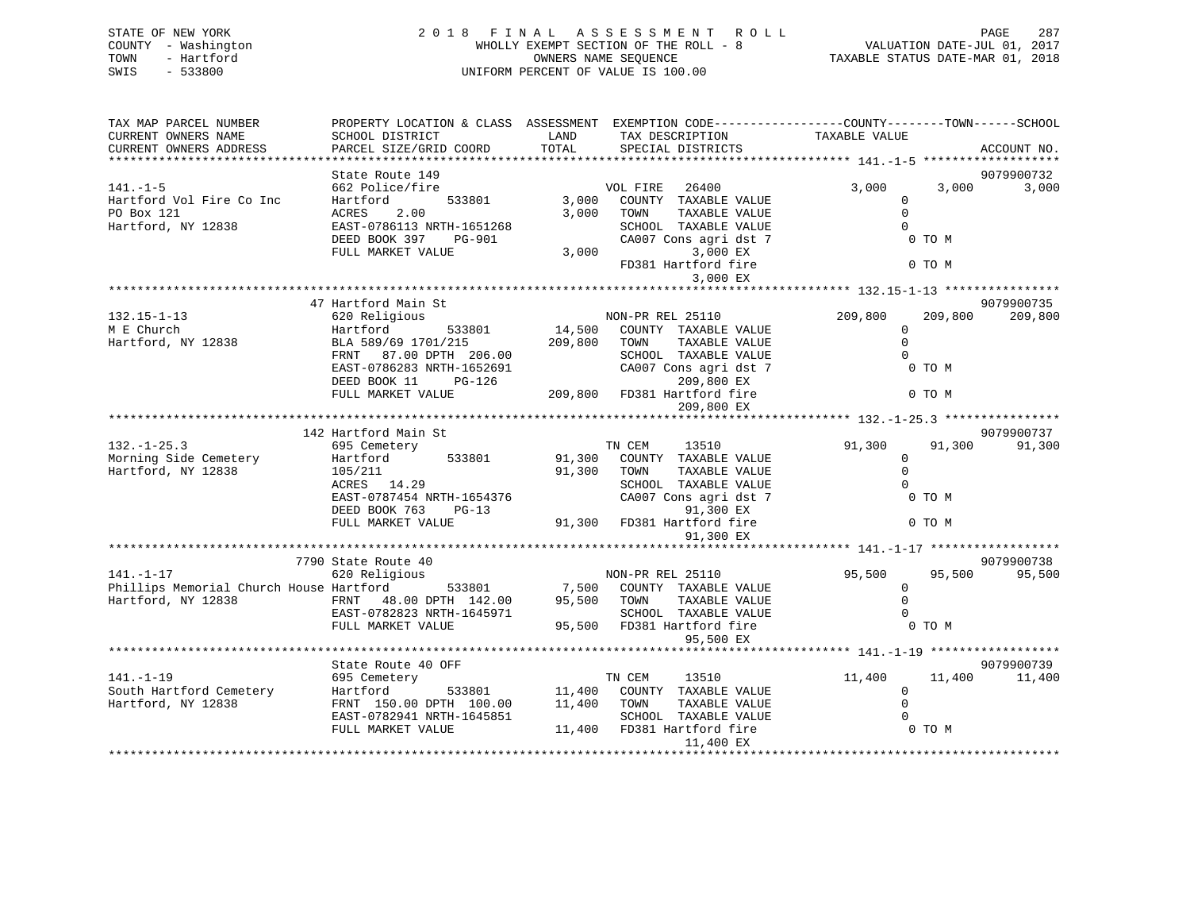| STATE OF NEW YORK<br>COUNTY - Washington<br>TOWN<br>- Hartford<br>SWIS<br>$-533800$ | 2018 FINAL                                                                                       |               | ASSESSMENT<br>WHOLLY EXEMPT SECTION OF THE ROLL - 8<br>OWNERS NAME SEQUENCE<br>UNIFORM PERCENT OF VALUE IS 100.00 | ROLL          |                             | PAGE<br>VALUATION DATE-JUL 01, 2017<br>TAXABLE STATUS DATE-MAR 01, 2018 |             |  |
|-------------------------------------------------------------------------------------|--------------------------------------------------------------------------------------------------|---------------|-------------------------------------------------------------------------------------------------------------------|---------------|-----------------------------|-------------------------------------------------------------------------|-------------|--|
| TAX MAP PARCEL NUMBER                                                               | PROPERTY LOCATION & CLASS ASSESSMENT EXEMPTION CODE----------------COUNTY-------TOWN------SCHOOL |               |                                                                                                                   |               |                             |                                                                         |             |  |
| CURRENT OWNERS NAME<br>CURRENT OWNERS ADDRESS                                       | SCHOOL DISTRICT<br>PARCEL SIZE/GRID COORD                                                        | LAND<br>TOTAL | TAX DESCRIPTION<br>SPECIAL DISTRICTS                                                                              |               | TAXABLE VALUE               |                                                                         | ACCOUNT NO. |  |
| *****************************                                                       |                                                                                                  |               |                                                                                                                   |               |                             |                                                                         |             |  |
|                                                                                     | State Route 149                                                                                  |               |                                                                                                                   |               |                             |                                                                         | 9079900732  |  |
| $141. - 1 - 5$<br>Hartford Vol Fire Co Inc                                          | 662 Police/fire<br>Hartford<br>533801                                                            | 3,000         | VOL FIRE<br>26400<br>COUNTY TAXABLE VALUE                                                                         |               | 3,000<br>$\Omega$           | 3,000                                                                   | 3,000       |  |
| PO Box 121                                                                          | ACRES<br>2.00                                                                                    | 3,000         | TOWN                                                                                                              | TAXABLE VALUE | $\mathbf 0$                 |                                                                         |             |  |
| Hartford, NY 12838                                                                  | EAST-0786113 NRTH-1651268                                                                        |               | SCHOOL TAXABLE VALUE                                                                                              |               | $\Omega$                    |                                                                         |             |  |
|                                                                                     | DEED BOOK 397<br>PG-901                                                                          |               | CA007 Cons agri dst 7                                                                                             |               |                             | 0 TO M                                                                  |             |  |
|                                                                                     | FULL MARKET VALUE                                                                                | 3,000         |                                                                                                                   | 3,000 EX      |                             |                                                                         |             |  |
|                                                                                     |                                                                                                  |               | FD381 Hartford fire                                                                                               |               |                             | 0 TO M                                                                  |             |  |
|                                                                                     |                                                                                                  |               |                                                                                                                   | 3,000 EX      |                             |                                                                         |             |  |
|                                                                                     |                                                                                                  |               |                                                                                                                   |               |                             |                                                                         |             |  |
|                                                                                     | 47 Hartford Main St                                                                              |               |                                                                                                                   |               |                             |                                                                         | 9079900735  |  |
| $132.15 - 1 - 13$                                                                   | 620 Religious                                                                                    |               | NON-PR REL 25110                                                                                                  |               | 209,800                     | 209,800                                                                 | 209,800     |  |
| M E Church                                                                          | Hartford<br>533801                                                                               | 14,500        | COUNTY TAXABLE VALUE                                                                                              |               | $\mathbf 0$                 |                                                                         |             |  |
| Hartford, NY 12838                                                                  | BLA 589/69 1701/215                                                                              | 209,800       | TOWN                                                                                                              | TAXABLE VALUE | $\Omega$                    |                                                                         |             |  |
|                                                                                     | 87.00 DPTH 206.00<br>FRNT                                                                        |               | SCHOOL TAXABLE VALUE                                                                                              |               | $\Omega$                    |                                                                         |             |  |
|                                                                                     | EAST-0786283 NRTH-1652691<br>DEED BOOK 11<br>$PG-126$                                            |               | CA007 Cons agri dst 7<br>209,800 EX                                                                               |               |                             | 0 TO M                                                                  |             |  |
|                                                                                     | FULL MARKET VALUE                                                                                |               | 209,800 FD381 Hartford fire<br>209,800 EX                                                                         |               |                             | 0 TO M                                                                  |             |  |
|                                                                                     |                                                                                                  |               |                                                                                                                   |               |                             |                                                                         |             |  |
|                                                                                     | 142 Hartford Main St                                                                             |               |                                                                                                                   |               |                             |                                                                         | 9079900737  |  |
| $132. - 1 - 25.3$                                                                   | 695 Cemetery                                                                                     |               | TN CEM<br>13510                                                                                                   |               | 91,300                      | 91,300                                                                  | 91,300      |  |
| Morning Side Cemetery                                                               | Hartford<br>533801                                                                               | 91,300        | COUNTY TAXABLE VALUE                                                                                              |               | $\mathbf 0$                 |                                                                         |             |  |
| Hartford, NY 12838                                                                  | 105/211                                                                                          | 91,300        | TOWN                                                                                                              | TAXABLE VALUE | $\Omega$                    |                                                                         |             |  |
|                                                                                     | ACRES 14.29                                                                                      |               | SCHOOL TAXABLE VALUE                                                                                              |               | $\Omega$                    |                                                                         |             |  |
|                                                                                     | EAST-0787454 NRTH-1654376                                                                        |               | CA007 Cons agri dst 7                                                                                             |               |                             | 0 TO M                                                                  |             |  |
|                                                                                     | DEED BOOK 763<br>$PG-13$                                                                         |               | 91,300 EX                                                                                                         |               |                             |                                                                         |             |  |
|                                                                                     | FULL MARKET VALUE                                                                                | 91,300        | FD381 Hartford fire                                                                                               |               |                             | 0 TO M                                                                  |             |  |
|                                                                                     |                                                                                                  |               | 91,300 EX                                                                                                         |               |                             |                                                                         |             |  |
|                                                                                     |                                                                                                  |               |                                                                                                                   |               |                             |                                                                         |             |  |
|                                                                                     | 7790 State Route 40                                                                              |               |                                                                                                                   |               |                             |                                                                         | 9079900738  |  |
| $141. - 1 - 17$                                                                     | 620 Religious                                                                                    |               | NON-PR REL 25110                                                                                                  |               | 95,500                      | 95,500                                                                  | 95,500      |  |
| Phillips Memorial Church House Hartford<br>Hartford, NY 12838                       | 533801<br>FRNT 48.00 DPTH 142.00                                                                 | 7,500         | COUNTY TAXABLE VALUE                                                                                              |               | $\mathbf{0}$<br>$\mathbf 0$ |                                                                         |             |  |
|                                                                                     |                                                                                                  | 95,500        | TOWN                                                                                                              | TAXABLE VALUE | $\Omega$                    |                                                                         |             |  |
|                                                                                     | EAST-0782823 NRTH-1645971<br>FULL MARKET VALUE                                                   | 95,500        | SCHOOL TAXABLE VALUE<br>FD381 Hartford fire                                                                       |               |                             | 0 TO M                                                                  |             |  |
|                                                                                     |                                                                                                  |               | 95,500 EX                                                                                                         |               |                             |                                                                         |             |  |
|                                                                                     |                                                                                                  |               |                                                                                                                   |               |                             |                                                                         |             |  |
|                                                                                     | State Route 40 OFF                                                                               |               |                                                                                                                   |               |                             |                                                                         | 9079900739  |  |
| $141. - 1 - 19$                                                                     | 695 Cemetery                                                                                     |               | TN CEM<br>13510                                                                                                   |               | 11,400                      | 11,400                                                                  | 11,400      |  |

South Hartford Cemetery 11,400 COUNTY TAXABLE VALUE 0<br>11,400 COUNTY TAXABLE VALUE 108.88 11,400 TOWN TAXABLE VALUE 0<br>SCHOOL TAXABLE VALUE 0 EAST-0782941 NRTH-1645851 0 TO M FULL MARKET VALUE 11,400 FD381 Hartford fire 11,400 EX \*\*\*\*\*\*\*\*\*\*\*\*\*\*\*\*\*\*\*\*\*\*\*\*\*\*\*\*\*\*\*\*\*\*\*\*\*\*\*\*\*\*\*\*\*\*\*\*\*\*\*\*\*\*\*\*\*\*\*\*\*\*\*\*\*\*\*\*\*\*\*\*\*\*\*\*\*\*\*\*\*\*\*\*\*\*\*\*\*\*\*\*\*\*\*\*\*\*\*\*\*\*\*\*\*\*\*\*\*\*\*\*\*\*\*\*\*\*\*\*\*\*\*\*\*\*\*\*\*\*\*\*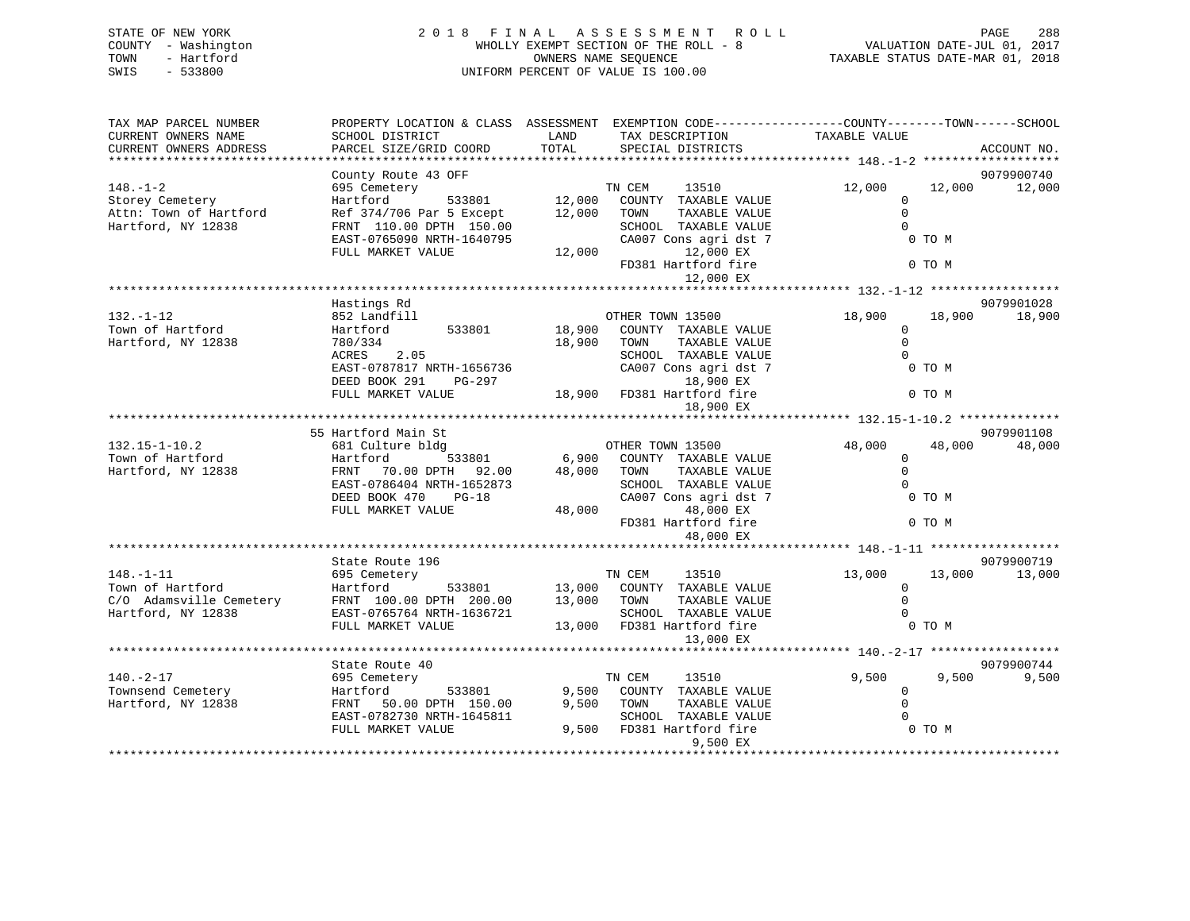| STATE OF NEW YORK   | 2018 FINAL ASSESSMENT ROLL            | PAGE                             | 288 |
|---------------------|---------------------------------------|----------------------------------|-----|
| COUNTY - Washington | WHOLLY EXEMPT SECTION OF THE ROLL - 8 | VALUATION DATE-JUL 01, 2017      |     |
| - Hartford<br>TOWN  | OWNERS NAME SEOUENCE                  | TAXABLE STATUS DATE-MAR 01, 2018 |     |
| $-533800$<br>SWIS   | UNIFORM PERCENT OF VALUE IS 100.00    |                                  |     |
|                     |                                       |                                  |     |
|                     |                                       |                                  |     |

| TAX MAP PARCEL NUMBER   | PROPERTY LOCATION & CLASS ASSESSMENT EXEMPTION CODE----------------COUNTY-------TOWN------SCHOOL |                                |                            |               |        |             |
|-------------------------|--------------------------------------------------------------------------------------------------|--------------------------------|----------------------------|---------------|--------|-------------|
| CURRENT OWNERS NAME     | SCHOOL DISTRICT                                                                                  | LAND                           | TAX DESCRIPTION            | TAXABLE VALUE |        |             |
| CURRENT OWNERS ADDRESS  | PARCEL SIZE/GRID COORD                                                                           | TOTAL                          | SPECIAL DISTRICTS          |               |        | ACCOUNT NO. |
|                         |                                                                                                  |                                |                            |               |        |             |
|                         | County Route 43 OFF                                                                              |                                |                            |               |        | 9079900740  |
| $148. - 1 - 2$          | 695 Cemetery                                                                                     |                                | TN CEM<br>13510            | 12,000        | 12,000 | 12,000      |
| Storey Cemetery         | Hartford<br>533801                                                                               | 12,000                         | COUNTY TAXABLE VALUE       | $\Omega$      |        |             |
| Attn: Town of Hartford  |                                                                                                  | 12,000                         | TOWN                       | $\mathbf 0$   |        |             |
|                         | Ref 374/706 Par 5 Except                                                                         |                                | TAXABLE VALUE              |               |        |             |
| Hartford, NY 12838      | FRNT 110.00 DPTH 150.00                                                                          |                                | SCHOOL TAXABLE VALUE       | $\Omega$      |        |             |
|                         | EAST-0765090 NRTH-1640795                                                                        |                                | CA007 Cons agri dst 7      |               | 0 TO M |             |
|                         | FULL MARKET VALUE                                                                                | 12,000                         | 12,000 EX                  |               |        |             |
|                         |                                                                                                  |                                | FD381 Hartford fire        |               | 0 TO M |             |
|                         |                                                                                                  |                                | 12,000 EX                  |               |        |             |
|                         |                                                                                                  |                                |                            |               |        |             |
|                         | Hastings Rd                                                                                      |                                |                            |               |        | 9079901028  |
| $132. - 1 - 12$         | 852 Landfill                                                                                     |                                | OTHER TOWN 13500           | 18,900        | 18,900 | 18,900      |
| Town of Hartford        | Hartford<br>533801                                                                               | 18,900                         | COUNTY TAXABLE VALUE       | $\Omega$      |        |             |
| Hartford, NY 12838      | 780/334                                                                                          | 18,900                         | TAXABLE VALUE<br>TOWN      | $\Omega$      |        |             |
|                         |                                                                                                  |                                |                            | $\Omega$      |        |             |
|                         | ACRES<br>2.05                                                                                    |                                | SCHOOL TAXABLE VALUE       |               |        |             |
|                         | EAST-0787817 NRTH-1656736                                                                        |                                | CA007 Cons agri dst 7      |               | 0 TO M |             |
|                         | DEED BOOK 291<br>PG-297                                                                          |                                | 18,900 EX                  |               |        |             |
|                         | FULL MARKET VALUE                                                                                |                                | 18,900 FD381 Hartford fire |               | 0 TO M |             |
|                         |                                                                                                  |                                | 18,900 EX                  |               |        |             |
|                         |                                                                                                  |                                |                            |               |        |             |
|                         | 55 Hartford Main St                                                                              |                                |                            |               |        | 9079901108  |
| $132.15 - 1 - 10.2$     | 681 Culture bldg                                                                                 |                                | OTHER TOWN 13500           | 48,000        | 48,000 | 48,000      |
| Town of Hartford        | 533801<br>Hartford                                                                               | 6,900                          | COUNTY TAXABLE VALUE       | $\mathbf 0$   |        |             |
| Hartford, NY 12838      | FRNT<br>70.00 DPTH 92.00                                                                         | 48,000                         | TAXABLE VALUE<br>TOWN      | $\Omega$      |        |             |
|                         | EAST-0786404 NRTH-1652873                                                                        |                                | SCHOOL TAXABLE VALUE       | $\Omega$      |        |             |
|                         | DEED BOOK 470<br>$PG-18$                                                                         |                                | CA007 Cons agri dst 7      |               | 0 TO M |             |
|                         | FULL MARKET VALUE                                                                                | 48,000                         | 48,000 EX                  |               |        |             |
|                         |                                                                                                  |                                | FD381 Hartford fire        |               | 0 TO M |             |
|                         |                                                                                                  |                                |                            |               |        |             |
|                         |                                                                                                  |                                | 48,000 EX                  |               |        |             |
|                         |                                                                                                  |                                |                            |               |        |             |
|                         | State Route 196                                                                                  |                                |                            |               |        | 9079900719  |
| $148. - 1 - 11$         | 695 Cemetery                                                                                     |                                | TN CEM<br>13510            | 13,000        | 13,000 | 13,000      |
| Town of Hartford        | Hartford                                                                                         | $\frac{533801}{13,000}$ 13,000 | COUNTY TAXABLE VALUE       | $\mathbf 0$   |        |             |
| C/O Adamsville Cemetery | FRNT 100.00 DPTH 200.00                                                                          | 13,000                         | TOWN<br>TAXABLE VALUE      | $\Omega$      |        |             |
| Hartford, NY 12838      | EAST-0765764 NRTH-1636721                                                                        |                                | SCHOOL TAXABLE VALUE       | $\Omega$      |        |             |
|                         | FULL MARKET VALUE                                                                                |                                | 13,000 FD381 Hartford fire |               | 0 TO M |             |
|                         |                                                                                                  |                                | 13,000 EX                  |               |        |             |
|                         |                                                                                                  |                                |                            |               |        |             |
|                         | State Route 40                                                                                   |                                |                            |               |        | 9079900744  |
| $140. - 2 - 17$         | 695 Cemetery                                                                                     |                                | TN CEM<br>13510            | 9,500         | 9,500  | 9,500       |
| Townsend Cemetery       | 533801<br>Hartford                                                                               | 9,500                          | COUNTY TAXABLE VALUE       | $\mathbf 0$   |        |             |
|                         |                                                                                                  |                                |                            | $\Omega$      |        |             |
| Hartford, NY 12838      | 50.00 DPTH 150.00<br>FRNT                                                                        | 9,500                          | TOWN<br>TAXABLE VALUE      |               |        |             |
|                         | EAST-0782730 NRTH-1645811                                                                        |                                | SCHOOL TAXABLE VALUE       | $\Omega$      |        |             |
|                         | FULL MARKET VALUE                                                                                |                                | 9,500 FD381 Hartford fire  |               | 0 TO M |             |
|                         |                                                                                                  |                                | 9,500 EX                   |               |        |             |
|                         |                                                                                                  |                                |                            |               |        |             |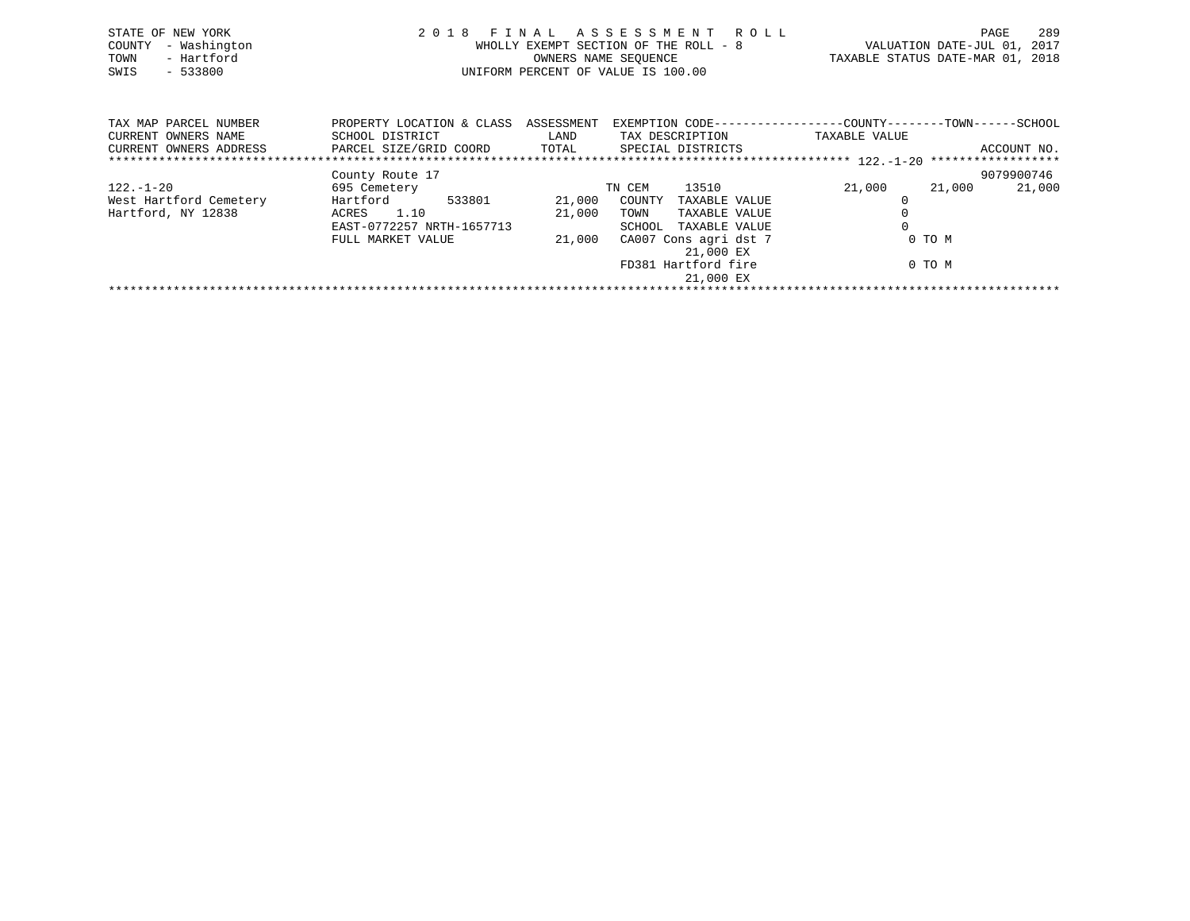| STATE OF NEW YORK<br>- Washington<br>COUNTY<br>- Hartford<br>TOWN<br>SWIS<br>$-533800$ |                                              | WHOLLY EXEMPT SECTION OF THE ROLL - 8<br>OWNERS NAME SEQUENCE<br>UNIFORM PERCENT OF VALUE IS 100.00 |        | 2018 FINAL ASSESSMENT ROLL | VALUATION DATE-JUL 01,<br>TAXABLE STATUS DATE-MAR 01, 2018                    |        | PAGE<br>2017 | 289 |
|----------------------------------------------------------------------------------------|----------------------------------------------|-----------------------------------------------------------------------------------------------------|--------|----------------------------|-------------------------------------------------------------------------------|--------|--------------|-----|
| TAX MAP PARCEL NUMBER<br>CURRENT OWNERS NAME                                           | PROPERTY LOCATION & CLASS<br>SCHOOL DISTRICT | ASSESSMENT<br>LAND                                                                                  |        | TAX DESCRIPTION            | EXEMPTION CODE-----------------COUNTY-------TOWN------SCHOOL<br>TAXABLE VALUE |        |              |     |
| CURRENT OWNERS ADDRESS                                                                 | PARCEL SIZE/GRID COORD                       | TOTAL                                                                                               |        | SPECIAL DISTRICTS          |                                                                               |        | ACCOUNT NO.  |     |
|                                                                                        | County Route 17                              |                                                                                                     |        |                            |                                                                               |        | 9079900746   |     |
| $122. - 1 - 20$                                                                        | 695 Cemetery                                 |                                                                                                     | TN CEM | 13510                      | 21,000                                                                        | 21,000 | 21,000       |     |

\*\*\*\*\*\*\*\*\*\*\*\*\*\*\*\*\*\*\*\*\*\*\*\*\*\*\*\*\*\*\*\*\*\*\*\*\*\*\*\*\*\*\*\*\*\*\*\*\*\*\*\*\*\*\*\*\*\*\*\*\*\*\*\*\*\*\*\*\*\*\*\*\*\*\*\*\*\*\*\*\*\*\*\*\*\*\*\*\*\*\*\*\*\*\*\*\*\*\*\*\*\*\*\*\*\*\*\*\*\*\*\*\*\*\*\*\*\*\*\*\*\*\*\*\*\*\*\*\*\*\*\*

 EAST-0772257 NRTH-1657713 SCHOOL TAXABLE VALUE 0FULL MARKET VALUE  $21,000$  CA007 Cons agri dst 7 0 TO M

21,000 EX

21,000 EX

FD381 Hartford fire 0 TO M

West Hartford Cemetery Hartford 533801 21,000 COUNTY TAXABLE VALUE 0

Hartford, NY 12838 ACRES 1.10 21,000 TOWN TAXABLE VALUE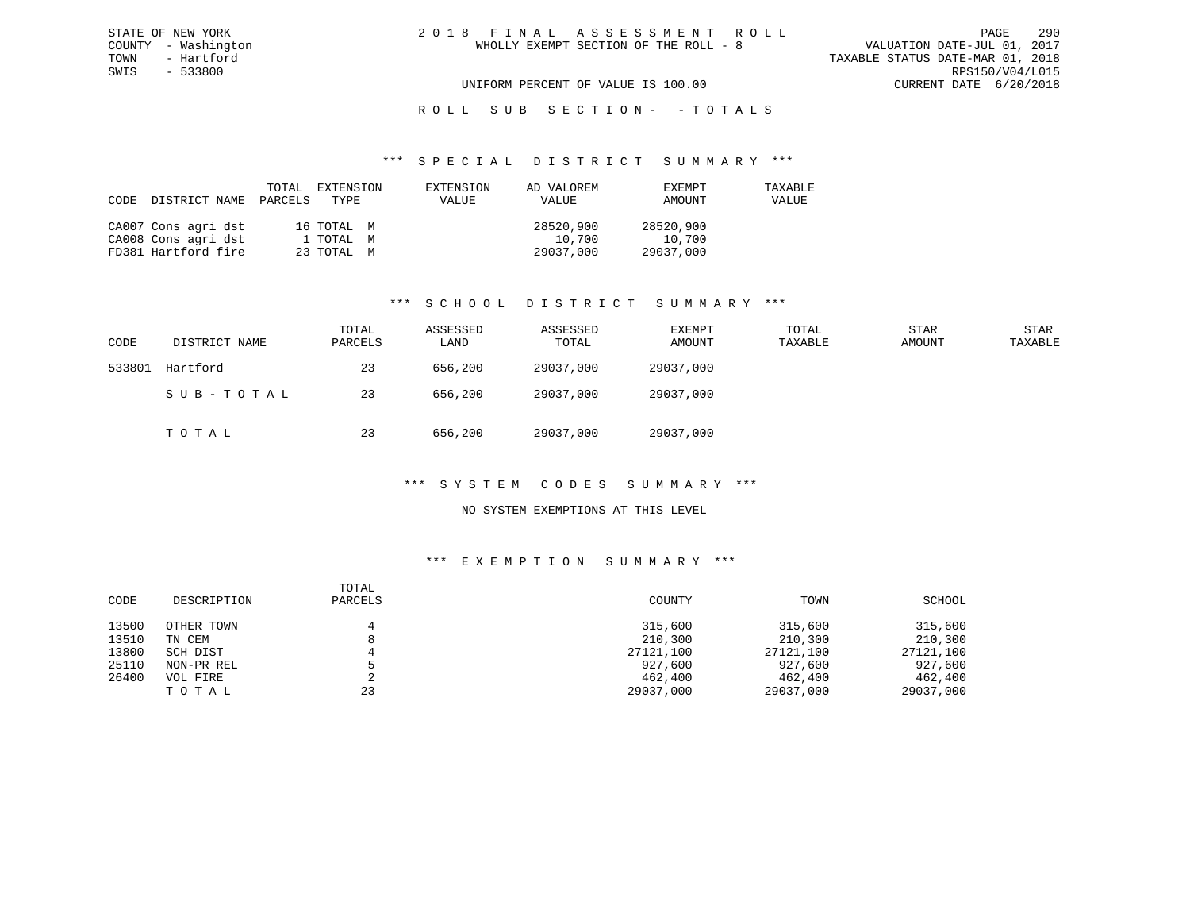# R O L L S U B S E C T I O N - - T O T A L S

### \*\*\* S P E C I A L D I S T R I C T S U M M A R Y \*\*\*

| CODE | DISTRICT NAME       | PARCELS | TOTAL EXTENSION<br>TYPE | EXTENSION<br>VALUE | AD VALOREM<br>VALUE | EXEMPT<br>AMOUNT | TAXABLE<br>VALUE |
|------|---------------------|---------|-------------------------|--------------------|---------------------|------------------|------------------|
|      | CA007 Cons agri dst |         | 16 TOTAL M              |                    | 28520,900           | 28520,900        |                  |
|      | CA008 Cons agri dst |         | 1 TOTAL M               |                    | 10,700              | 10,700           |                  |
|      | FD381 Hartford fire |         | 23 TOTAL M              |                    | 29037,000           | 29037,000        |                  |

## \*\*\* S C H O O L D I S T R I C T S U M M A R Y \*\*\*

| CODE   | DISTRICT NAME | TOTAL<br>PARCELS | ASSESSED<br>LAND | ASSESSED<br>TOTAL | EXEMPT<br>AMOUNT | TOTAL<br>TAXABLE | <b>STAR</b><br>AMOUNT | <b>STAR</b><br>TAXABLE |
|--------|---------------|------------------|------------------|-------------------|------------------|------------------|-----------------------|------------------------|
| 533801 | Hartford      | 23               | 656,200          | 29037,000         | 29037,000        |                  |                       |                        |
|        | SUB-TOTAL     | 23               | 656,200          | 29037,000         | 29037,000        |                  |                       |                        |
|        | TOTAL         | 23               | 656,200          | 29037,000         | 29037,000        |                  |                       |                        |

## \*\*\* S Y S T E M C O D E S S U M M A R Y \*\*\*

## NO SYSTEM EXEMPTIONS AT THIS LEVEL

| CODE  | DESCRIPTION | TOTAL<br>PARCELS | COUNTY    | TOWN      | SCHOOL    |
|-------|-------------|------------------|-----------|-----------|-----------|
| 13500 | OTHER TOWN  |                  | 315,600   | 315,600   | 315,600   |
| 13510 | TN CEM      | o                | 210,300   | 210,300   | 210,300   |
| 13800 | SCH DIST    |                  | 27121,100 | 27121,100 | 27121,100 |
| 25110 | NON-PR REL  |                  | 927,600   | 927,600   | 927,600   |
| 26400 | VOL FIRE    |                  | 462,400   | 462,400   | 462,400   |
|       | TOTAL       | 23               | 29037,000 | 29037,000 | 29037,000 |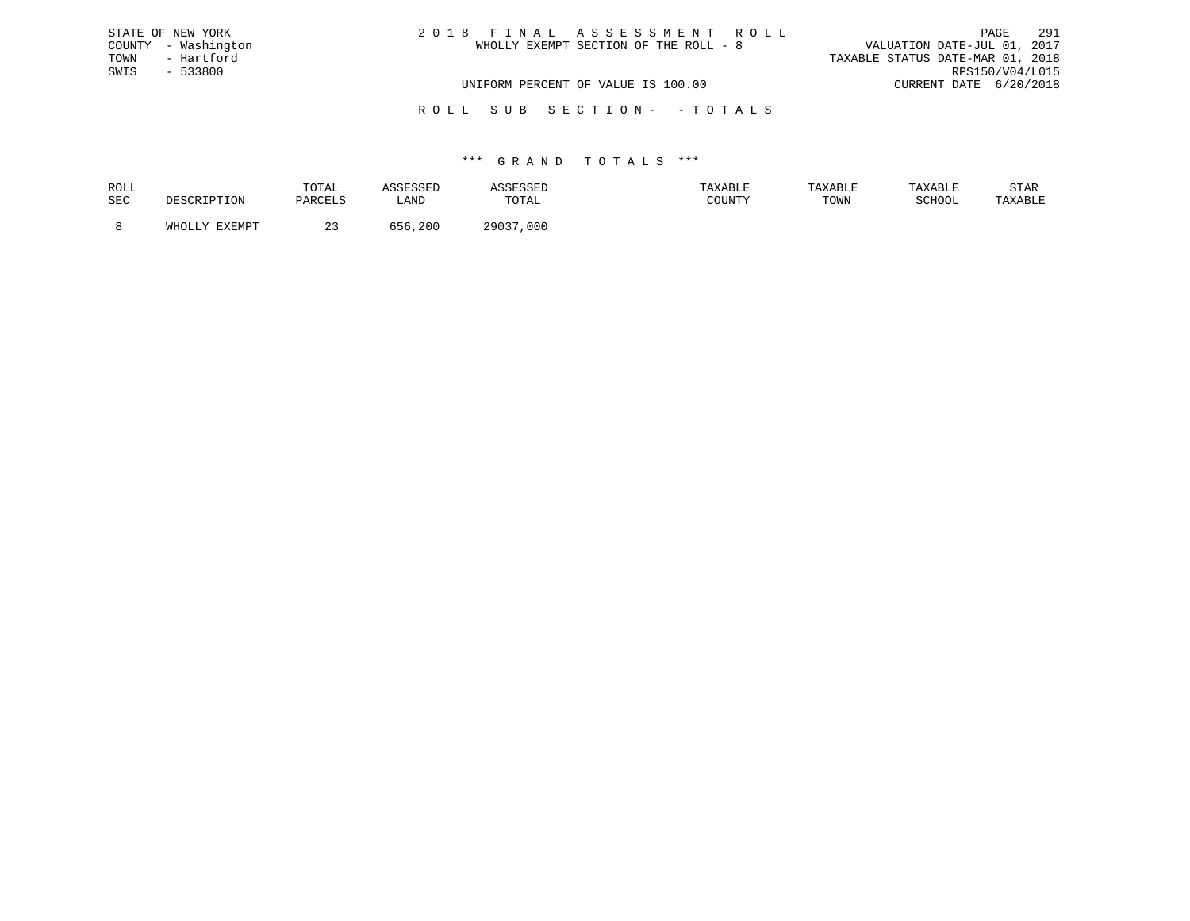| STATE OF NEW YORK   | 2018 FINAL ASSESSMENT ROLL            | 291<br>PAGE                      |
|---------------------|---------------------------------------|----------------------------------|
| COUNTY - Washington | WHOLLY EXEMPT SECTION OF THE ROLL - 8 | VALUATION DATE-JUL 01, 2017      |
| TOWN<br>- Hartford  |                                       | TAXABLE STATUS DATE-MAR 01, 2018 |
| SWIS<br>$-533800$   |                                       | RPS150/V04/L015                  |
|                     | UNIFORM PERCENT OF VALUE IS 100.00    | CURRENT DATE 6/20/2018           |
|                     |                                       |                                  |

R O L L S U B S E C T I O N - - T O T A L S

## \*\*\* G R A N D T O T A L S \*\*\*

| ROLL |        | TOTAL          | <b>SSESSED</b> |               | AXABLE | TAXABLE | TAXABLE       | STAR    |
|------|--------|----------------|----------------|---------------|--------|---------|---------------|---------|
| SEC  |        | <b>DARCTIC</b> | ∟AND           | TOTAL         | COUNTY | TOWN    | <b>SCHOOL</b> | TAXABLE |
|      | FYFMDT |                | , 200          | 29037<br>,000 |        |         |               |         |
|      |        |                |                |               |        |         |               |         |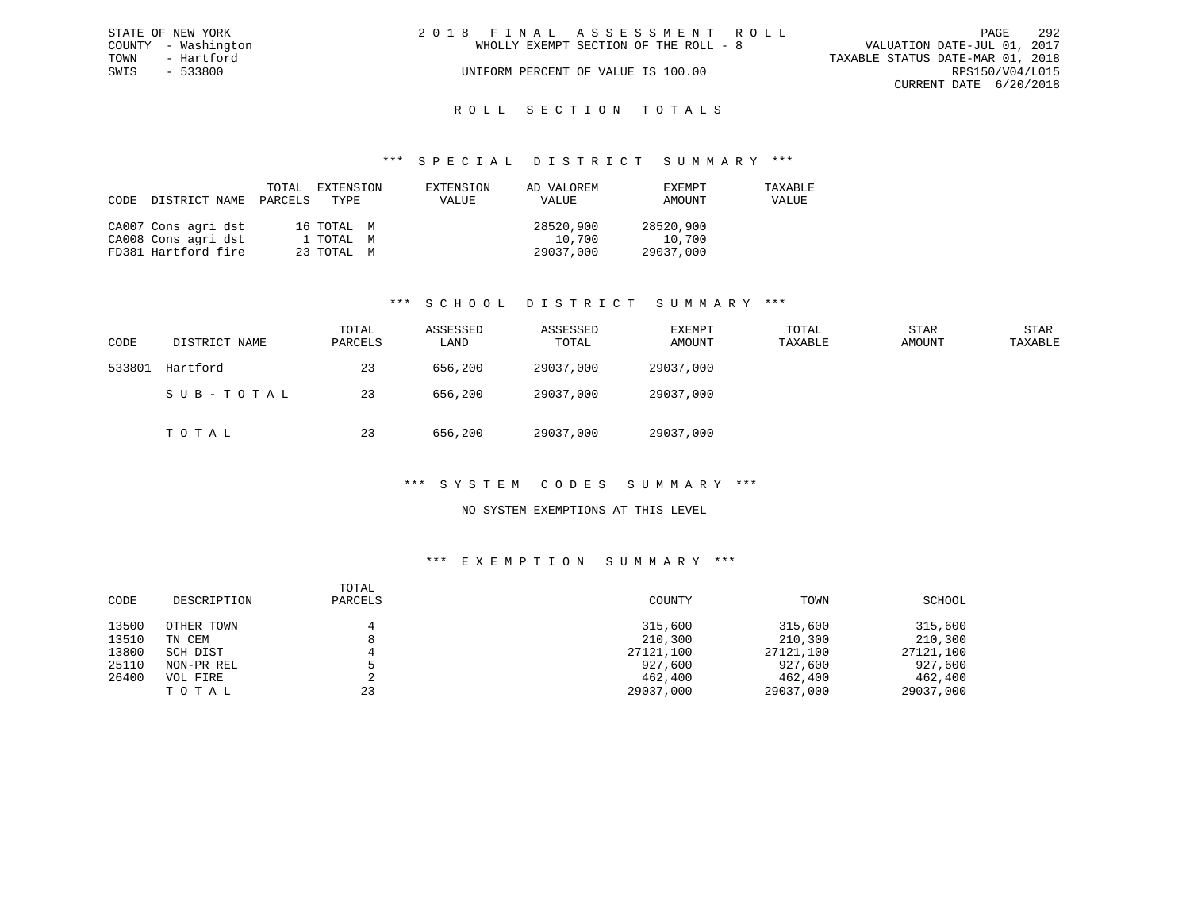| STATE OF NEW YORK   | 2018 FINAL ASSESSMENT ROLL            | -292<br>PAGE                     |
|---------------------|---------------------------------------|----------------------------------|
| COUNTY - Washington | WHOLLY EXEMPT SECTION OF THE ROLL - 8 | VALUATION DATE-JUL 01, 2017      |
| TOWN<br>- Hartford  |                                       | TAXABLE STATUS DATE-MAR 01, 2018 |
| SWIS<br>- 533800    | UNIFORM PERCENT OF VALUE IS 100.00    | RPS150/V04/L015                  |
|                     |                                       | CURRENT DATE 6/20/2018           |
|                     |                                       |                                  |

# ROLL SECTION TOTALS

### \*\*\* S P E C I A L D I S T R I C T S U M M A R Y \*\*\*

| CODE | DISTRICT NAME PARCELS TYPE | TOTAL | EXTENSION  | EXTENSION<br><b>VALUE</b> | AD VALOREM<br>VALUE | EXEMPT<br>AMOUNT | TAXABLE<br>VALUE |
|------|----------------------------|-------|------------|---------------------------|---------------------|------------------|------------------|
|      | CA007 Cons agri dst        |       | 16 ТОТАЬ М |                           | 28520,900           | 28520,900        |                  |
|      | CA008 Cons agri dst        |       | 1 ТОТАL М  |                           | 10,700              | 10,700           |                  |
|      | FD381 Hartford fire        |       | 23 TOTAL M |                           | 29037,000           | 29037,000        |                  |

## \*\*\* S C H O O L D I S T R I C T S U M M A R Y \*\*\*

| CODE   | DISTRICT NAME | TOTAL<br>PARCELS | ASSESSED<br>LAND | ASSESSED<br>TOTAL | EXEMPT<br>AMOUNT | TOTAL<br>TAXABLE | <b>STAR</b><br>AMOUNT | <b>STAR</b><br>TAXABLE |
|--------|---------------|------------------|------------------|-------------------|------------------|------------------|-----------------------|------------------------|
| 533801 | Hartford      | 23               | 656,200          | 29037,000         | 29037,000        |                  |                       |                        |
|        | SUB-TOTAL     | 23               | 656,200          | 29037,000         | 29037,000        |                  |                       |                        |
|        | тотаь         | 23               | 656,200          | 29037,000         | 29037,000        |                  |                       |                        |

## \*\*\* S Y S T E M C O D E S S U M M A R Y \*\*\*

## NO SYSTEM EXEMPTIONS AT THIS LEVEL

| CODE  | DESCRIPTION | TOTAL<br>PARCELS | COUNTY    | TOWN      | SCHOOL    |
|-------|-------------|------------------|-----------|-----------|-----------|
| 13500 | OTHER TOWN  |                  | 315,600   | 315,600   | 315,600   |
| 13510 | TN CEM      |                  | 210,300   | 210,300   | 210,300   |
| 13800 | SCH DIST    |                  | 27121,100 | 27121,100 | 27121,100 |
| 25110 | NON-PR REL  |                  | 927,600   | 927,600   | 927,600   |
| 26400 | VOL FIRE    | ∠                | 462,400   | 462,400   | 462,400   |
|       | TOTAL       | 23               | 29037,000 | 29037,000 | 29037,000 |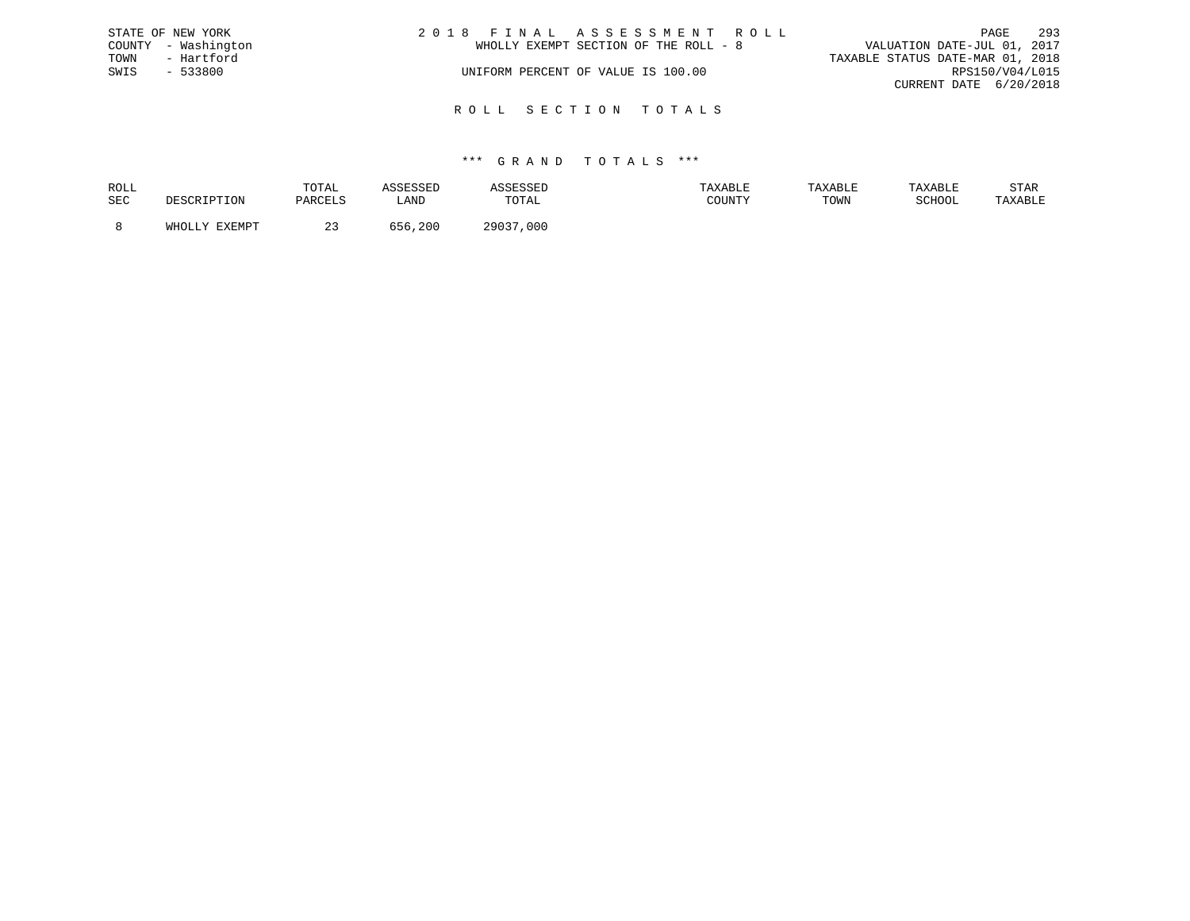|      | STATE OF NEW YORK   | 2018 FINAL ASSESSMENT ROLL            | 293<br>PAGE                      |
|------|---------------------|---------------------------------------|----------------------------------|
|      | COUNTY - Washington | WHOLLY EXEMPT SECTION OF THE ROLL - 8 | VALUATION DATE-JUL 01, 2017      |
| TOWN | - Hartford          |                                       | TAXABLE STATUS DATE-MAR 01, 2018 |
| SWIS | $-533800$           | UNIFORM PERCENT OF VALUE IS 100.00    | RPS150/V04/L015                  |
|      |                     |                                       | CURRENT DATE 6/20/2018           |
|      |                     |                                       |                                  |

R O L L S E C T I O N T O T A L S

## \*\*\* G R A N D T O T A L S \*\*\*

| ROLL |                                      | TOTAL   |             |       | TAXABLE | <b>TAXABL.</b> |        | STAR    |
|------|--------------------------------------|---------|-------------|-------|---------|----------------|--------|---------|
| SEC  | אים ר                                | DARCT.S | <b>_AND</b> | TOTAL | ATINTHI | TOWN           | SCHOOL | 'AXABLE |
|      | <b>DVDMDR</b><br>$5.777 \wedge 7.77$ | $\sim$  |             | 29037 |         |                |        |         |
|      |                                      |         | 200         | 000   |         |                |        |         |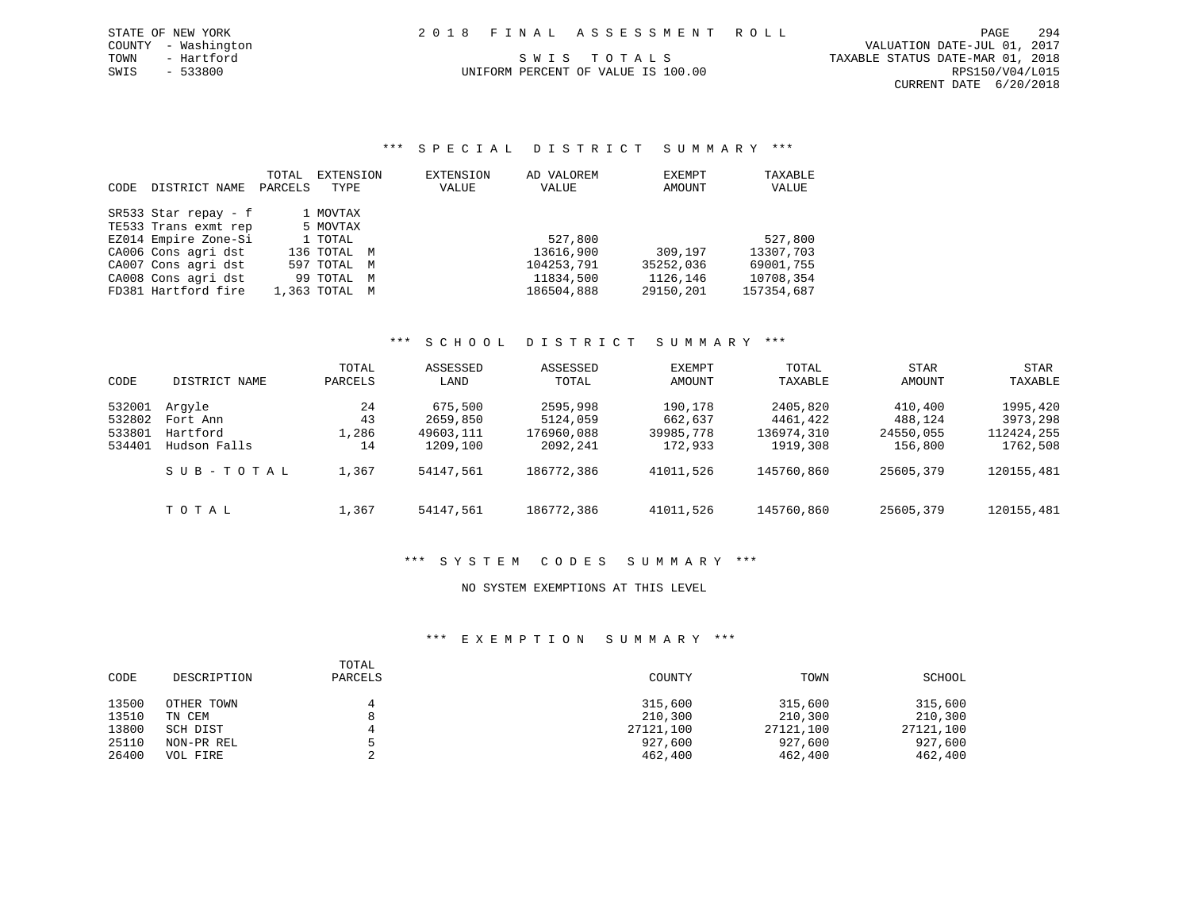\*\*\* S P E C I A L D I S T R I C T S U M M A R Y \*\*\*

| CODE | DISTRICT NAME        | TOTAL<br>PARCELS | EXTENSION<br>TYPE | EXTENSION<br>VALUE | AD VALOREM<br>VALUE | EXEMPT<br>AMOUNT | TAXABLE<br>VALUE |
|------|----------------------|------------------|-------------------|--------------------|---------------------|------------------|------------------|
|      | SR533 Star repay - f |                  | 1 MOVTAX          |                    |                     |                  |                  |
|      | TE533 Trans exmt rep |                  | 5 MOVTAX          |                    |                     |                  |                  |
|      | EZ014 Empire Zone-Si |                  | 1 TOTAL           |                    | 527,800             |                  | 527,800          |
|      | CA006 Cons agri dst  |                  | 136 TOTAL M       |                    | 13616,900           | 309,197          | 13307,703        |
|      | CA007 Cons agri dst  |                  | 597 TOTAL M       |                    | 104253,791          | 35252,036        | 69001,755        |
|      | CA008 Cons agri dst  |                  | 99 TOTAL M        |                    | 11834,500           | 1126,146         | 10708,354        |
|      | FD381 Hartford fire  |                  | 1,363 TOTAL M     |                    | 186504,888          | 29150,201        | 157354,687       |

# \*\*\* S C H O O L D I S T R I C T S U M M A R Y \*\*\*

| CODE   | DISTRICT NAME | TOTAL<br>PARCELS | ASSESSED<br>LAND | ASSESSED<br>TOTAL | <b>EXEMPT</b><br>AMOUNT | TOTAL<br>TAXABLE | <b>STAR</b><br>AMOUNT | STAR<br>TAXABLE |
|--------|---------------|------------------|------------------|-------------------|-------------------------|------------------|-----------------------|-----------------|
| 532001 | Arqyle        | 24               | 675,500          | 2595,998          | 190,178                 | 2405,820         | 410,400               | 1995,420        |
| 532802 | Fort Ann      | 43               | 2659,850         | 5124,059          | 662,637                 | 4461,422         | 488,124               | 3973,298        |
| 533801 | Hartford      | 1,286            | 49603,111        | 176960,088        | 39985,778               | 136974,310       | 24550,055             | 112424,255      |
| 534401 | Hudson Falls  | 14               | 1209,100         | 2092,241          | 172,933                 | 1919,308         | 156,800               | 1762,508        |
|        | SUB-TOTAL     | 1,367            | 54147.561        | 186772,386        | 41011,526               | 145760,860       | 25605,379             | 120155,481      |
|        | тотаь         | 1,367            | 54147.561        | 186772,386        | 41011,526               | 145760,860       | 25605,379             | 120155,481      |

## \*\*\* S Y S T E M C O D E S S U M M A R Y \*\*\*

## NO SYSTEM EXEMPTIONS AT THIS LEVEL

| CODE  | DESCRIPTION | TOTAL<br>PARCELS | COUNTY    | TOWN      | SCHOOL    |
|-------|-------------|------------------|-----------|-----------|-----------|
| 13500 | OTHER TOWN  |                  | 315,600   | 315,600   | 315,600   |
| 13510 | TN CEM      | 8                | 210,300   | 210,300   | 210,300   |
| 13800 | SCH DIST    |                  | 27121,100 | 27121,100 | 27121,100 |
| 25110 | NON-PR REL  |                  | 927,600   | 927,600   | 927,600   |
| 26400 | VOL FIRE    |                  | 462,400   | 462,400   | 462,400   |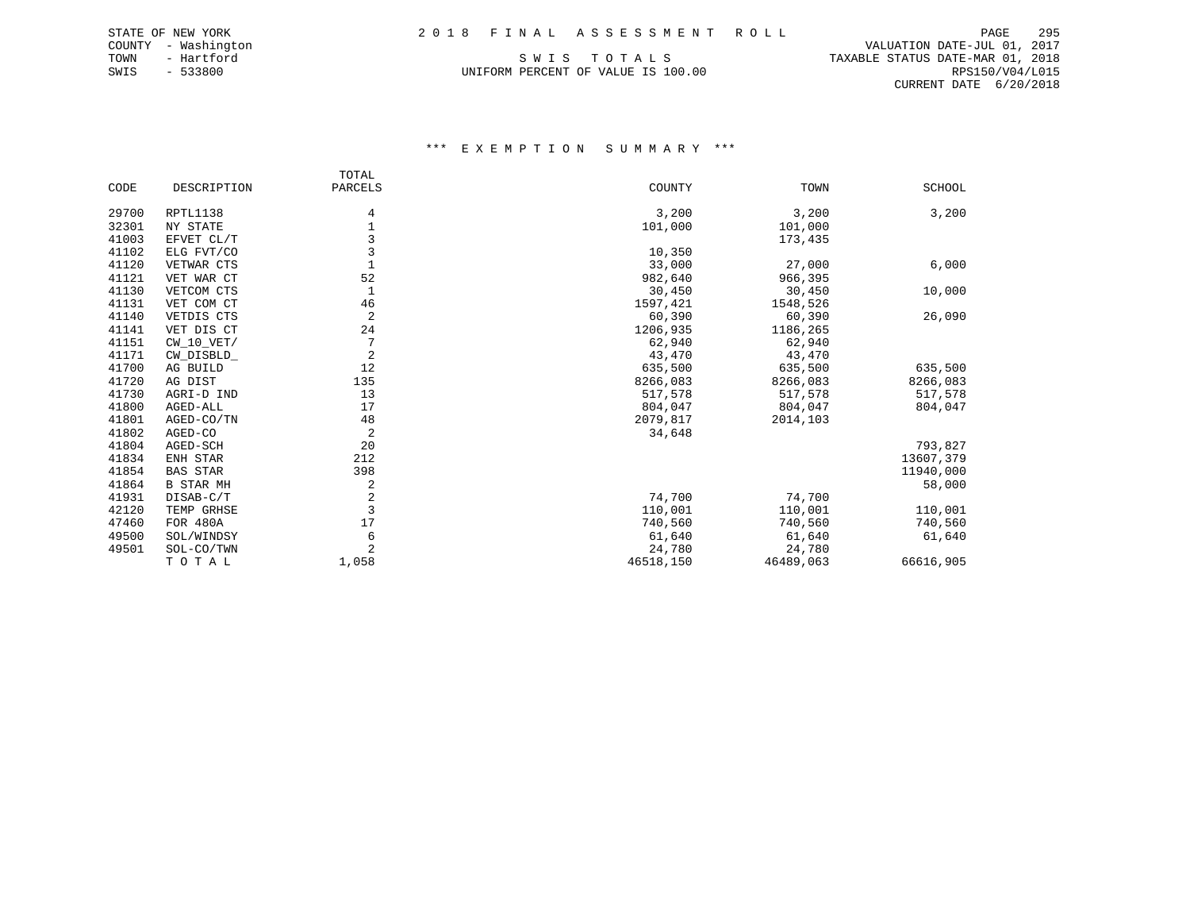SWIS - 533800 UNIFORM PERCENT OF VALUE IS 100.00 RPS150/V04/L015

 COUNTY - Washington VALUATION DATE-JUL 01, 2017 TOWN - Hartford SWIS TO TALS TO THE STATUS DATE-MAR 01, 2018 CURRENT DATE 6/20/2018

|       |                  | TOTAL                   |           |           |               |
|-------|------------------|-------------------------|-----------|-----------|---------------|
| CODE  | DESCRIPTION      | PARCELS                 | COUNTY    | TOWN      | <b>SCHOOL</b> |
| 29700 | RPTL1138         | 4                       | 3,200     | 3,200     | 3,200         |
| 32301 | NY STATE         | 1                       | 101,000   | 101,000   |               |
| 41003 | EFVET CL/T       | 3                       |           | 173,435   |               |
| 41102 | ELG FVT/CO       | 3                       | 10,350    |           |               |
| 41120 | VETWAR CTS       |                         | 33,000    | 27,000    | 6,000         |
| 41121 | VET WAR CT       | 52                      | 982,640   | 966,395   |               |
| 41130 | VETCOM CTS       |                         | 30,450    | 30,450    | 10,000        |
| 41131 | VET COM CT       | 46                      | 1597,421  | 1548,526  |               |
| 41140 | VETDIS CTS       | 2                       | 60,390    | 60,390    | 26,090        |
| 41141 | VET DIS CT       | 24                      | 1206,935  | 1186,265  |               |
| 41151 | $CW_10_VET/$     | 7                       | 62,940    | 62,940    |               |
| 41171 | CW_DISBLD_       | $\overline{2}$          | 43,470    | 43,470    |               |
| 41700 | AG BUILD         | 12                      | 635,500   | 635,500   | 635,500       |
| 41720 | AG DIST          | 135                     | 8266,083  | 8266,083  | 8266,083      |
| 41730 | AGRI-D IND       | 13                      | 517,578   | 517,578   | 517,578       |
| 41800 | AGED-ALL         | 17                      | 804,047   | 804,047   | 804,047       |
| 41801 | AGED-CO/TN       | 48                      | 2079,817  | 2014,103  |               |
| 41802 | AGED-CO          | 2                       | 34,648    |           |               |
| 41804 | AGED-SCH         | 20                      |           |           | 793,827       |
| 41834 | ENH STAR         | 212                     |           |           | 13607,379     |
| 41854 | <b>BAS STAR</b>  | 398                     |           |           | 11940,000     |
| 41864 | <b>B STAR MH</b> | 2                       |           |           | 58,000        |
| 41931 | DISAB-C/T        | $\overline{\mathbf{c}}$ | 74,700    | 74,700    |               |
| 42120 | TEMP GRHSE       | 3                       | 110,001   | 110,001   | 110,001       |
| 47460 | FOR 480A         | 17                      | 740,560   | 740,560   | 740,560       |
| 49500 | SOL/WINDSY       | 6                       | 61,640    | 61,640    | 61,640        |
| 49501 | SOL-CO/TWN       | $\overline{a}$          | 24,780    | 24,780    |               |
|       | TOTAL            | 1,058                   | 46518,150 | 46489,063 | 66616,905     |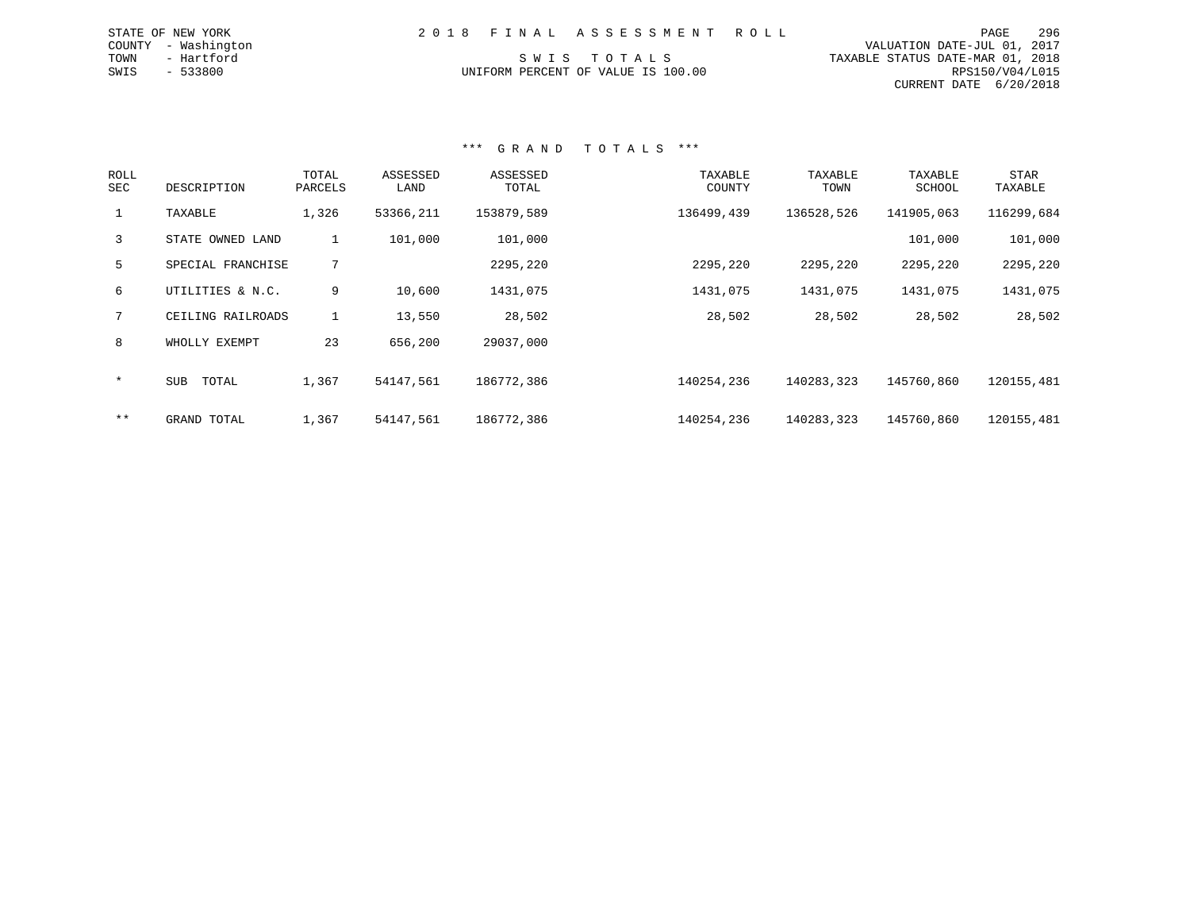| 2018 FINAL ASSESSMENT ROLL         |                                  | PAGE                        | 296 |
|------------------------------------|----------------------------------|-----------------------------|-----|
|                                    |                                  | VALUATION DATE-JUL 01, 2017 |     |
| SWIS TOTALS                        | TAXABLE STATUS DATE-MAR 01, 2018 |                             |     |
| UNIFORM PERCENT OF VALUE IS 100.00 |                                  | RPS150/V04/L015             |     |
|                                    |                                  | CURRENT DATE 6/20/2018      |     |

### \*\*\* G R A N D T O T A L S \*\*\*

STATE OF NEW YORK COUNTY - Washington TOWN - Hartford  $SWIS$  - 533800

| ROLL<br>SEC | DESCRIPTION         | TOTAL<br>PARCELS | ASSESSED<br>LAND | ASSESSED<br>TOTAL | TAXABLE<br>COUNTY | TAXABLE<br>TOWN | TAXABLE<br>SCHOOL | <b>STAR</b><br>TAXABLE |
|-------------|---------------------|------------------|------------------|-------------------|-------------------|-----------------|-------------------|------------------------|
|             | TAXABLE             | 1,326            | 53366,211        | 153879,589        | 136499,439        | 136528,526      | 141905,063        | 116299,684             |
| 3           | STATE OWNED LAND    | 1                | 101,000          | 101,000           |                   |                 | 101,000           | 101,000                |
| 5           | SPECIAL FRANCHISE   | 7                |                  | 2295,220          | 2295,220          | 2295,220        | 2295,220          | 2295,220               |
| 6           | UTILITIES & N.C.    | 9                | 10,600           | 1431,075          | 1431,075          | 1431,075        | 1431,075          | 1431,075               |
| 7           | CEILING RAILROADS   | $\mathbf{1}$     | 13,550           | 28,502            | 28,502            | 28,502          | 28,502            | 28,502                 |
| 8           | WHOLLY EXEMPT       | 23               | 656,200          | 29037,000         |                   |                 |                   |                        |
| $\star$     | <b>SUB</b><br>TOTAL | 1,367            | 54147,561        | 186772,386        | 140254,236        | 140283,323      | 145760,860        | 120155,481             |
| $***$       | GRAND TOTAL         | 1,367            | 54147,561        | 186772,386        | 140254,236        | 140283,323      | 145760,860        | 120155,481             |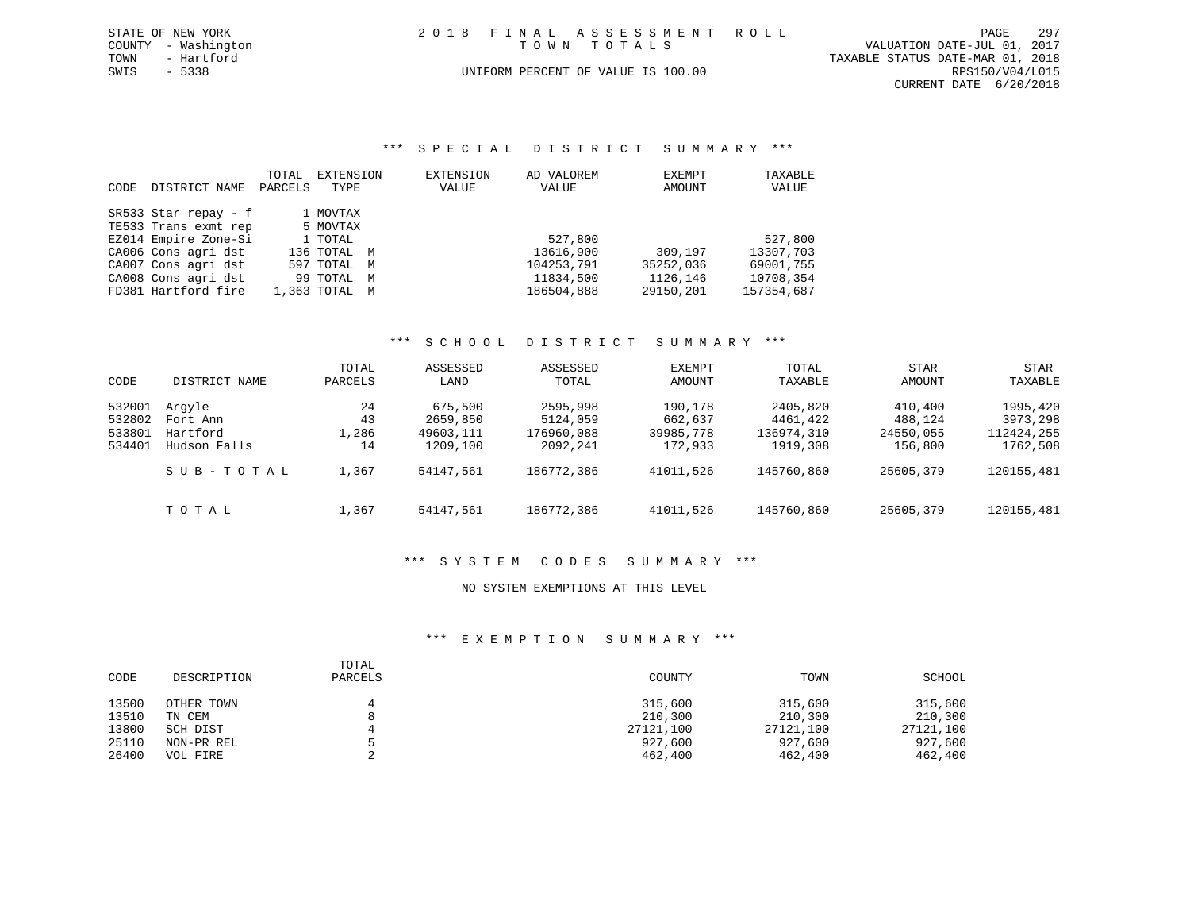| STATE OF NEW YORK   | 2018 FINAL ASSESSMENT ROLL         | 297<br>PAGE                      |
|---------------------|------------------------------------|----------------------------------|
| COUNTY - Washington | TOWN TOTALS                        | VALUATION DATE-JUL 01, 2017      |
| TOWN<br>- Hartford  |                                    | TAXABLE STATUS DATE-MAR 01, 2018 |
| SWIS - 5338         | UNIFORM PERCENT OF VALUE IS 100.00 | RPS150/V04/L015                  |
|                     |                                    | CURRENT DATE 6/20/2018           |

\*\*\* S P E C I A L D I S T R I C T S U M M A R Y \*\*\*

|      |                      | TOTAL   | EXTENSION     | EXTENSION | AD VALOREM | EXEMPT    | TAXABLE    |
|------|----------------------|---------|---------------|-----------|------------|-----------|------------|
| CODE | DISTRICT NAME        | PARCELS | TYPE          | VALUE     | VALUE      | AMOUNT    | VALUE      |
|      | SR533 Star repay - f |         | 1 MOVTAX      |           |            |           |            |
|      | TE533 Trans exmt rep |         | 5 MOVTAX      |           |            |           |            |
|      | EZ014 Empire Zone-Si |         | 1 TOTAL       |           | 527,800    |           | 527,800    |
|      | CA006 Cons agri dst  |         | 136 TOTAL M   |           | 13616,900  | 309,197   | 13307,703  |
|      | CA007 Cons agri dst  |         | 597 TOTAL M   |           | 104253,791 | 35252,036 | 69001,755  |
|      | CA008 Cons agri dst  |         | 99 TOTAL M    |           | 11834,500  | 1126,146  | 10708,354  |
|      | FD381 Hartford fire  |         | 1,363 TOTAL M |           | 186504,888 | 29150,201 | 157354,687 |

# \*\*\* S C H O O L D I S T R I C T S U M M A R Y \*\*\*

| CODE                                 | DISTRICT NAME                                  | TOTAL<br>PARCELS        | ASSESSED<br>LAND                             | ASSESSED<br>TOTAL                              | EXEMPT<br>AMOUNT                           | TOTAL<br>TAXABLE                               | <b>STAR</b><br>AMOUNT                      | <b>STAR</b><br>TAXABLE                         |
|--------------------------------------|------------------------------------------------|-------------------------|----------------------------------------------|------------------------------------------------|--------------------------------------------|------------------------------------------------|--------------------------------------------|------------------------------------------------|
| 532001<br>532802<br>533801<br>534401 | Arqyle<br>Fort Ann<br>Hartford<br>Hudson Falls | 24<br>43<br>1,286<br>14 | 675,500<br>2659,850<br>49603,111<br>1209,100 | 2595,998<br>5124,059<br>176960,088<br>2092,241 | 190,178<br>662,637<br>39985,778<br>172,933 | 2405,820<br>4461,422<br>136974,310<br>1919,308 | 410,400<br>488,124<br>24550,055<br>156,800 | 1995,420<br>3973,298<br>112424,255<br>1762,508 |
|                                      | SUB-TOTAL                                      | 1,367                   | 54147,561                                    | 186772,386                                     | 41011,526                                  | 145760,860                                     | 25605,379                                  | 120155,481                                     |
|                                      | тотаь                                          | 1,367                   | 54147,561                                    | 186772,386                                     | 41011,526                                  | 145760,860                                     | 25605,379                                  | 120155,481                                     |

## \*\*\* S Y S T E M C O D E S S U M M A R Y \*\*\*

## NO SYSTEM EXEMPTIONS AT THIS LEVEL

| CODE  | DESCRIPTION | TOTAL<br>PARCELS | COUNTY    | TOWN      | SCHOOL    |
|-------|-------------|------------------|-----------|-----------|-----------|
| 13500 | OTHER TOWN  |                  | 315,600   | 315,600   | 315,600   |
| 13510 | TN CEM      | 8                | 210,300   | 210,300   | 210,300   |
| 13800 | SCH DIST    |                  | 27121,100 | 27121,100 | 27121,100 |
| 25110 | NON-PR REL  |                  | 927,600   | 927,600   | 927,600   |
| 26400 | VOL FIRE    |                  | 462,400   | 462,400   | 462,400   |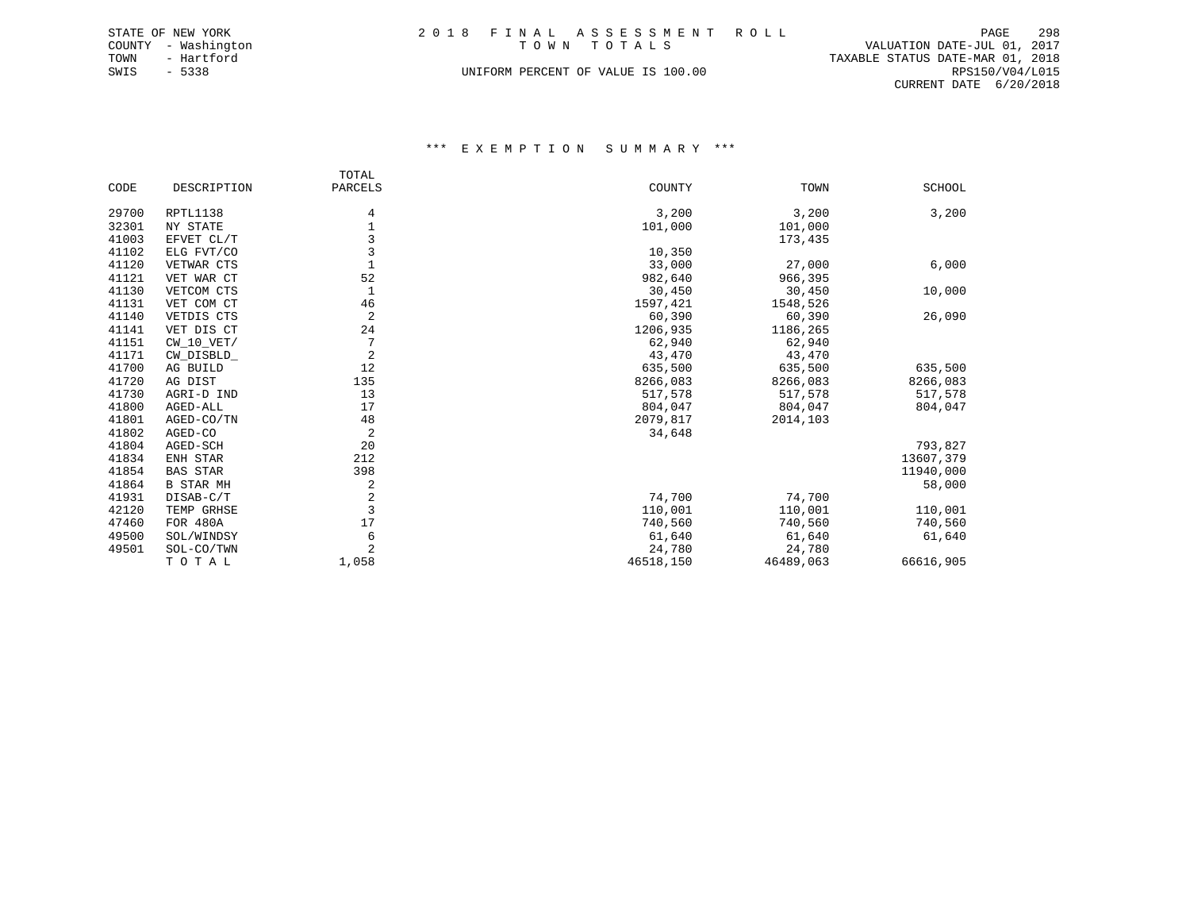|             | STATE OF NEW YORK   |  | 2018 FINAL ASSESSMENT ROLL         |                                  | PAGE            | 298 |
|-------------|---------------------|--|------------------------------------|----------------------------------|-----------------|-----|
|             | COUNTY - Washington |  | TOWN TOTALS                        | VALUATION DATE-JUL 01, 2017      |                 |     |
| TOWN        | - Hartford          |  |                                    | TAXABLE STATUS DATE-MAR 01, 2018 |                 |     |
| SWIS - 5338 |                     |  | UNIFORM PERCENT OF VALUE IS 100.00 |                                  | RPS150/V04/L015 |     |
|             |                     |  |                                    | CURRENT DATE 6/20/2018           |                 |     |

|       |                  | TOTAL          |           |           |               |
|-------|------------------|----------------|-----------|-----------|---------------|
| CODE  | DESCRIPTION      | PARCELS        | COUNTY    | TOWN      | <b>SCHOOL</b> |
| 29700 | RPTL1138         | 4              | 3,200     | 3,200     | 3,200         |
| 32301 | NY STATE         |                | 101,000   | 101,000   |               |
| 41003 | EFVET CL/T       | $\overline{3}$ |           | 173,435   |               |
| 41102 | ELG FVT/CO       | 3              | 10,350    |           |               |
| 41120 | VETWAR CTS       |                | 33,000    | 27,000    | 6,000         |
| 41121 | VET WAR CT       | 52             | 982,640   | 966,395   |               |
| 41130 | VETCOM CTS       |                | 30,450    | 30,450    | 10,000        |
| 41131 | VET COM CT       | 46             | 1597,421  | 1548,526  |               |
| 41140 | VETDIS CTS       | 2              | 60,390    | 60,390    | 26,090        |
| 41141 | VET DIS CT       | 24             | 1206,935  | 1186,265  |               |
| 41151 | $CW_10_VET/$     | 7              | 62,940    | 62,940    |               |
| 41171 | CW_DISBLD_       | $\overline{2}$ | 43,470    | 43,470    |               |
| 41700 | AG BUILD         | 12             | 635,500   | 635,500   | 635,500       |
| 41720 | AG DIST          | 135            | 8266,083  | 8266,083  | 8266,083      |
| 41730 | AGRI-D IND       | 13             | 517,578   | 517,578   | 517,578       |
| 41800 | AGED-ALL         | 17             | 804,047   | 804,047   | 804,047       |
| 41801 | AGED-CO/TN       | 48             | 2079,817  | 2014,103  |               |
| 41802 | AGED-CO          | 2              | 34,648    |           |               |
| 41804 | AGED-SCH         | 20             |           |           | 793,827       |
| 41834 | ENH STAR         | 212            |           |           | 13607,379     |
| 41854 | <b>BAS STAR</b>  | 398            |           |           | 11940,000     |
| 41864 | <b>B STAR MH</b> | 2              |           |           | 58,000        |
| 41931 | DISAB-C/T        | $\overline{2}$ | 74,700    | 74,700    |               |
| 42120 | TEMP GRHSE       | 3              | 110,001   | 110,001   | 110,001       |
| 47460 | FOR 480A         | 17             | 740,560   | 740,560   | 740,560       |
| 49500 | SOL/WINDSY       | 6              | 61,640    | 61,640    | 61,640        |
| 49501 | SOL-CO/TWN       | $\overline{a}$ | 24,780    | 24,780    |               |
|       | TOTAL            | 1,058          | 46518,150 | 46489,063 | 66616,905     |